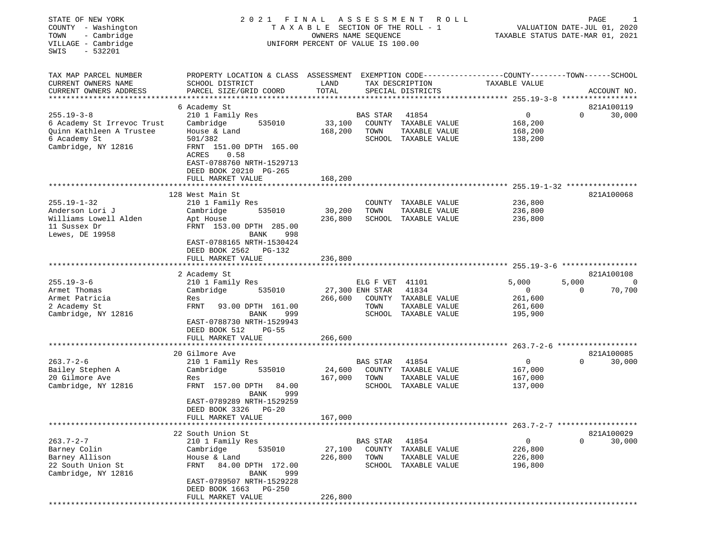| TAX MAP PARCEL NUMBER<br>EXEMPTION CODE-----------------COUNTY-------TOWN------SCHOOL<br>PROPERTY LOCATION & CLASS ASSESSMENT<br>CURRENT OWNERS NAME<br>SCHOOL DISTRICT<br>LAND<br>TAX DESCRIPTION<br>TAXABLE VALUE<br>TOTAL<br>CURRENT OWNERS ADDRESS<br>PARCEL SIZE/GRID COORD<br>SPECIAL DISTRICTS<br>ACCOUNT NO.<br>***********************<br>6 Academy St<br>821A100119<br>$255.19 - 3 - 8$<br>0<br>210 1 Family Res<br><b>BAS STAR</b><br>41854<br>$\Omega$<br>30,000<br>Cambridge<br>535010<br>33,100<br>COUNTY TAXABLE VALUE<br>168,200<br>6 Academy St Irrevoc Trust<br>Quinn Kathleen A Trustee<br>House & Land<br>168,200<br>TOWN<br>TAXABLE VALUE<br>168,200<br>6 Academy St<br>501/382<br>SCHOOL TAXABLE VALUE<br>138,200<br>Cambridge, NY 12816<br>FRNT 151.00 DPTH 165.00<br>0.58<br>ACRES<br>EAST-0788760 NRTH-1529713<br>DEED BOOK 20210 PG-265<br>FULL MARKET VALUE<br>168,200<br>128 West Main St<br>821A100068<br>$255.19 - 1 - 32$<br>210 1 Family Res<br>TAXABLE VALUE<br>236,800<br>COUNTY<br>30,200<br>Anderson Lori J<br>Cambridge<br>535010<br>TOWN<br>TAXABLE VALUE<br>236,800<br>Williams Lowell Alden<br>236,800<br>SCHOOL<br>TAXABLE VALUE<br>236,800<br>Apt House<br>FRNT 153.00 DPTH 285.00<br>11 Sussex Dr<br>Lewes, DE 19958<br><b>BANK</b><br>998<br>EAST-0788165 NRTH-1530424<br>DEED BOOK 2562<br>PG-132<br>FULL MARKET VALUE<br>236,800<br>821A100108<br>2 Academy St<br>$255.19 - 3 - 6$<br>5,000<br>210 1 Family Res<br>ELG F VET 41101<br>5,000<br>0<br>Armet Thomas<br>27,300 ENH STAR<br>41834<br>Cambridge<br>535010<br>$\Omega$<br>70,700<br>$\mathbf{0}$<br>Armet Patricia<br>266,600<br>COUNTY TAXABLE VALUE<br>261,600<br>Res<br><b>FRNT</b><br>2 Academy St<br>93.00 DPTH 161.00<br>TOWN<br>TAXABLE VALUE<br>261,600<br>Cambridge, NY 12816<br><b>BANK</b><br>SCHOOL TAXABLE VALUE<br>195,900<br>999<br>EAST-0788730 NRTH-1529943<br>DEED BOOK 512<br>$PG-55$<br>FULL MARKET VALUE<br>266,600<br>821A100085<br>20 Gilmore Ave<br>$263.7 - 2 - 6$<br>30,000<br>210 1 Family Res<br>41854<br>$\overline{0}$<br>$\Omega$<br>BAS STAR<br>Bailey Stephen A<br>24,600<br>Cambridge<br>535010<br>COUNTY<br>167,000<br>TAXABLE VALUE<br>20 Gilmore Ave<br>167,000<br>Res<br>TOWN<br>TAXABLE VALUE<br>167,000<br>Cambridge, NY 12816<br>FRNT 157.00 DPTH<br>SCHOOL TAXABLE VALUE<br>137,000<br>84.00<br>999<br>BANK<br>EAST-0789289 NRTH-1529259<br>DEED BOOK 3326<br>$PG-20$<br>167,000<br>FULL MARKET VALUE<br>22 South Union St<br>821A100029<br>$263.7 - 2 - 7$<br>210 1 Family Res<br>41854<br>0<br>0<br>30,000<br>BAS STAR<br>Barney Colin<br>535010<br>27,100<br>COUNTY<br>Cambridge<br>TAXABLE VALUE<br>226,800<br>Barney Allison<br>226,800<br>House & Land<br>TOWN<br>TAXABLE VALUE<br>226,800<br>22 South Union St<br>SCHOOL TAXABLE VALUE<br>FRNT<br>84.00 DPTH 172.00<br>196,800<br>Cambridge, NY 12816<br>BANK<br>999<br>EAST-0789507 NRTH-1529228<br>DEED BOOK 1663<br>PG-250<br>FULL MARKET VALUE<br>226,800 | STATE OF NEW YORK<br>COUNTY - Washington<br>- Cambridge<br>TOWN<br>VILLAGE - Cambridge<br>$-532201$<br>SWIS | 2021 FINAL | T A X A B L E SECTION OF THE ROLL - 1<br>OWNERS NAME SEQUENCE<br>UNIFORM PERCENT OF VALUE IS 100.00 | ASSESSMENT | R O L L | PAGE<br>1<br>VALUATION DATE-JUL 01, 2020<br>TAXABLE STATUS DATE-MAR 01, 2021 |  |  |
|-----------------------------------------------------------------------------------------------------------------------------------------------------------------------------------------------------------------------------------------------------------------------------------------------------------------------------------------------------------------------------------------------------------------------------------------------------------------------------------------------------------------------------------------------------------------------------------------------------------------------------------------------------------------------------------------------------------------------------------------------------------------------------------------------------------------------------------------------------------------------------------------------------------------------------------------------------------------------------------------------------------------------------------------------------------------------------------------------------------------------------------------------------------------------------------------------------------------------------------------------------------------------------------------------------------------------------------------------------------------------------------------------------------------------------------------------------------------------------------------------------------------------------------------------------------------------------------------------------------------------------------------------------------------------------------------------------------------------------------------------------------------------------------------------------------------------------------------------------------------------------------------------------------------------------------------------------------------------------------------------------------------------------------------------------------------------------------------------------------------------------------------------------------------------------------------------------------------------------------------------------------------------------------------------------------------------------------------------------------------------------------------------------------------------------------------------------------------------------------------------------------------------------------------------------------------------------------------------------------------------------------------------------------------------------------------------------------------------------------------------------------------------------------------------------------------------------------------------------------------------------------------------------------------------------------------------------------------------|-------------------------------------------------------------------------------------------------------------|------------|-----------------------------------------------------------------------------------------------------|------------|---------|------------------------------------------------------------------------------|--|--|
|                                                                                                                                                                                                                                                                                                                                                                                                                                                                                                                                                                                                                                                                                                                                                                                                                                                                                                                                                                                                                                                                                                                                                                                                                                                                                                                                                                                                                                                                                                                                                                                                                                                                                                                                                                                                                                                                                                                                                                                                                                                                                                                                                                                                                                                                                                                                                                                                                                                                                                                                                                                                                                                                                                                                                                                                                                                                                                                                                                       |                                                                                                             |            |                                                                                                     |            |         |                                                                              |  |  |
|                                                                                                                                                                                                                                                                                                                                                                                                                                                                                                                                                                                                                                                                                                                                                                                                                                                                                                                                                                                                                                                                                                                                                                                                                                                                                                                                                                                                                                                                                                                                                                                                                                                                                                                                                                                                                                                                                                                                                                                                                                                                                                                                                                                                                                                                                                                                                                                                                                                                                                                                                                                                                                                                                                                                                                                                                                                                                                                                                                       |                                                                                                             |            |                                                                                                     |            |         |                                                                              |  |  |
|                                                                                                                                                                                                                                                                                                                                                                                                                                                                                                                                                                                                                                                                                                                                                                                                                                                                                                                                                                                                                                                                                                                                                                                                                                                                                                                                                                                                                                                                                                                                                                                                                                                                                                                                                                                                                                                                                                                                                                                                                                                                                                                                                                                                                                                                                                                                                                                                                                                                                                                                                                                                                                                                                                                                                                                                                                                                                                                                                                       |                                                                                                             |            |                                                                                                     |            |         |                                                                              |  |  |
|                                                                                                                                                                                                                                                                                                                                                                                                                                                                                                                                                                                                                                                                                                                                                                                                                                                                                                                                                                                                                                                                                                                                                                                                                                                                                                                                                                                                                                                                                                                                                                                                                                                                                                                                                                                                                                                                                                                                                                                                                                                                                                                                                                                                                                                                                                                                                                                                                                                                                                                                                                                                                                                                                                                                                                                                                                                                                                                                                                       |                                                                                                             |            |                                                                                                     |            |         |                                                                              |  |  |
|                                                                                                                                                                                                                                                                                                                                                                                                                                                                                                                                                                                                                                                                                                                                                                                                                                                                                                                                                                                                                                                                                                                                                                                                                                                                                                                                                                                                                                                                                                                                                                                                                                                                                                                                                                                                                                                                                                                                                                                                                                                                                                                                                                                                                                                                                                                                                                                                                                                                                                                                                                                                                                                                                                                                                                                                                                                                                                                                                                       |                                                                                                             |            |                                                                                                     |            |         |                                                                              |  |  |
|                                                                                                                                                                                                                                                                                                                                                                                                                                                                                                                                                                                                                                                                                                                                                                                                                                                                                                                                                                                                                                                                                                                                                                                                                                                                                                                                                                                                                                                                                                                                                                                                                                                                                                                                                                                                                                                                                                                                                                                                                                                                                                                                                                                                                                                                                                                                                                                                                                                                                                                                                                                                                                                                                                                                                                                                                                                                                                                                                                       |                                                                                                             |            |                                                                                                     |            |         |                                                                              |  |  |
|                                                                                                                                                                                                                                                                                                                                                                                                                                                                                                                                                                                                                                                                                                                                                                                                                                                                                                                                                                                                                                                                                                                                                                                                                                                                                                                                                                                                                                                                                                                                                                                                                                                                                                                                                                                                                                                                                                                                                                                                                                                                                                                                                                                                                                                                                                                                                                                                                                                                                                                                                                                                                                                                                                                                                                                                                                                                                                                                                                       |                                                                                                             |            |                                                                                                     |            |         |                                                                              |  |  |
|                                                                                                                                                                                                                                                                                                                                                                                                                                                                                                                                                                                                                                                                                                                                                                                                                                                                                                                                                                                                                                                                                                                                                                                                                                                                                                                                                                                                                                                                                                                                                                                                                                                                                                                                                                                                                                                                                                                                                                                                                                                                                                                                                                                                                                                                                                                                                                                                                                                                                                                                                                                                                                                                                                                                                                                                                                                                                                                                                                       |                                                                                                             |            |                                                                                                     |            |         |                                                                              |  |  |
|                                                                                                                                                                                                                                                                                                                                                                                                                                                                                                                                                                                                                                                                                                                                                                                                                                                                                                                                                                                                                                                                                                                                                                                                                                                                                                                                                                                                                                                                                                                                                                                                                                                                                                                                                                                                                                                                                                                                                                                                                                                                                                                                                                                                                                                                                                                                                                                                                                                                                                                                                                                                                                                                                                                                                                                                                                                                                                                                                                       |                                                                                                             |            |                                                                                                     |            |         |                                                                              |  |  |
|                                                                                                                                                                                                                                                                                                                                                                                                                                                                                                                                                                                                                                                                                                                                                                                                                                                                                                                                                                                                                                                                                                                                                                                                                                                                                                                                                                                                                                                                                                                                                                                                                                                                                                                                                                                                                                                                                                                                                                                                                                                                                                                                                                                                                                                                                                                                                                                                                                                                                                                                                                                                                                                                                                                                                                                                                                                                                                                                                                       |                                                                                                             |            |                                                                                                     |            |         |                                                                              |  |  |
|                                                                                                                                                                                                                                                                                                                                                                                                                                                                                                                                                                                                                                                                                                                                                                                                                                                                                                                                                                                                                                                                                                                                                                                                                                                                                                                                                                                                                                                                                                                                                                                                                                                                                                                                                                                                                                                                                                                                                                                                                                                                                                                                                                                                                                                                                                                                                                                                                                                                                                                                                                                                                                                                                                                                                                                                                                                                                                                                                                       |                                                                                                             |            |                                                                                                     |            |         |                                                                              |  |  |
|                                                                                                                                                                                                                                                                                                                                                                                                                                                                                                                                                                                                                                                                                                                                                                                                                                                                                                                                                                                                                                                                                                                                                                                                                                                                                                                                                                                                                                                                                                                                                                                                                                                                                                                                                                                                                                                                                                                                                                                                                                                                                                                                                                                                                                                                                                                                                                                                                                                                                                                                                                                                                                                                                                                                                                                                                                                                                                                                                                       |                                                                                                             |            |                                                                                                     |            |         |                                                                              |  |  |
|                                                                                                                                                                                                                                                                                                                                                                                                                                                                                                                                                                                                                                                                                                                                                                                                                                                                                                                                                                                                                                                                                                                                                                                                                                                                                                                                                                                                                                                                                                                                                                                                                                                                                                                                                                                                                                                                                                                                                                                                                                                                                                                                                                                                                                                                                                                                                                                                                                                                                                                                                                                                                                                                                                                                                                                                                                                                                                                                                                       |                                                                                                             |            |                                                                                                     |            |         |                                                                              |  |  |
|                                                                                                                                                                                                                                                                                                                                                                                                                                                                                                                                                                                                                                                                                                                                                                                                                                                                                                                                                                                                                                                                                                                                                                                                                                                                                                                                                                                                                                                                                                                                                                                                                                                                                                                                                                                                                                                                                                                                                                                                                                                                                                                                                                                                                                                                                                                                                                                                                                                                                                                                                                                                                                                                                                                                                                                                                                                                                                                                                                       |                                                                                                             |            |                                                                                                     |            |         |                                                                              |  |  |
|                                                                                                                                                                                                                                                                                                                                                                                                                                                                                                                                                                                                                                                                                                                                                                                                                                                                                                                                                                                                                                                                                                                                                                                                                                                                                                                                                                                                                                                                                                                                                                                                                                                                                                                                                                                                                                                                                                                                                                                                                                                                                                                                                                                                                                                                                                                                                                                                                                                                                                                                                                                                                                                                                                                                                                                                                                                                                                                                                                       |                                                                                                             |            |                                                                                                     |            |         |                                                                              |  |  |
|                                                                                                                                                                                                                                                                                                                                                                                                                                                                                                                                                                                                                                                                                                                                                                                                                                                                                                                                                                                                                                                                                                                                                                                                                                                                                                                                                                                                                                                                                                                                                                                                                                                                                                                                                                                                                                                                                                                                                                                                                                                                                                                                                                                                                                                                                                                                                                                                                                                                                                                                                                                                                                                                                                                                                                                                                                                                                                                                                                       |                                                                                                             |            |                                                                                                     |            |         |                                                                              |  |  |
|                                                                                                                                                                                                                                                                                                                                                                                                                                                                                                                                                                                                                                                                                                                                                                                                                                                                                                                                                                                                                                                                                                                                                                                                                                                                                                                                                                                                                                                                                                                                                                                                                                                                                                                                                                                                                                                                                                                                                                                                                                                                                                                                                                                                                                                                                                                                                                                                                                                                                                                                                                                                                                                                                                                                                                                                                                                                                                                                                                       |                                                                                                             |            |                                                                                                     |            |         |                                                                              |  |  |
|                                                                                                                                                                                                                                                                                                                                                                                                                                                                                                                                                                                                                                                                                                                                                                                                                                                                                                                                                                                                                                                                                                                                                                                                                                                                                                                                                                                                                                                                                                                                                                                                                                                                                                                                                                                                                                                                                                                                                                                                                                                                                                                                                                                                                                                                                                                                                                                                                                                                                                                                                                                                                                                                                                                                                                                                                                                                                                                                                                       |                                                                                                             |            |                                                                                                     |            |         |                                                                              |  |  |
|                                                                                                                                                                                                                                                                                                                                                                                                                                                                                                                                                                                                                                                                                                                                                                                                                                                                                                                                                                                                                                                                                                                                                                                                                                                                                                                                                                                                                                                                                                                                                                                                                                                                                                                                                                                                                                                                                                                                                                                                                                                                                                                                                                                                                                                                                                                                                                                                                                                                                                                                                                                                                                                                                                                                                                                                                                                                                                                                                                       |                                                                                                             |            |                                                                                                     |            |         |                                                                              |  |  |
|                                                                                                                                                                                                                                                                                                                                                                                                                                                                                                                                                                                                                                                                                                                                                                                                                                                                                                                                                                                                                                                                                                                                                                                                                                                                                                                                                                                                                                                                                                                                                                                                                                                                                                                                                                                                                                                                                                                                                                                                                                                                                                                                                                                                                                                                                                                                                                                                                                                                                                                                                                                                                                                                                                                                                                                                                                                                                                                                                                       |                                                                                                             |            |                                                                                                     |            |         |                                                                              |  |  |
|                                                                                                                                                                                                                                                                                                                                                                                                                                                                                                                                                                                                                                                                                                                                                                                                                                                                                                                                                                                                                                                                                                                                                                                                                                                                                                                                                                                                                                                                                                                                                                                                                                                                                                                                                                                                                                                                                                                                                                                                                                                                                                                                                                                                                                                                                                                                                                                                                                                                                                                                                                                                                                                                                                                                                                                                                                                                                                                                                                       |                                                                                                             |            |                                                                                                     |            |         |                                                                              |  |  |
|                                                                                                                                                                                                                                                                                                                                                                                                                                                                                                                                                                                                                                                                                                                                                                                                                                                                                                                                                                                                                                                                                                                                                                                                                                                                                                                                                                                                                                                                                                                                                                                                                                                                                                                                                                                                                                                                                                                                                                                                                                                                                                                                                                                                                                                                                                                                                                                                                                                                                                                                                                                                                                                                                                                                                                                                                                                                                                                                                                       |                                                                                                             |            |                                                                                                     |            |         |                                                                              |  |  |
|                                                                                                                                                                                                                                                                                                                                                                                                                                                                                                                                                                                                                                                                                                                                                                                                                                                                                                                                                                                                                                                                                                                                                                                                                                                                                                                                                                                                                                                                                                                                                                                                                                                                                                                                                                                                                                                                                                                                                                                                                                                                                                                                                                                                                                                                                                                                                                                                                                                                                                                                                                                                                                                                                                                                                                                                                                                                                                                                                                       |                                                                                                             |            |                                                                                                     |            |         |                                                                              |  |  |
|                                                                                                                                                                                                                                                                                                                                                                                                                                                                                                                                                                                                                                                                                                                                                                                                                                                                                                                                                                                                                                                                                                                                                                                                                                                                                                                                                                                                                                                                                                                                                                                                                                                                                                                                                                                                                                                                                                                                                                                                                                                                                                                                                                                                                                                                                                                                                                                                                                                                                                                                                                                                                                                                                                                                                                                                                                                                                                                                                                       |                                                                                                             |            |                                                                                                     |            |         |                                                                              |  |  |
|                                                                                                                                                                                                                                                                                                                                                                                                                                                                                                                                                                                                                                                                                                                                                                                                                                                                                                                                                                                                                                                                                                                                                                                                                                                                                                                                                                                                                                                                                                                                                                                                                                                                                                                                                                                                                                                                                                                                                                                                                                                                                                                                                                                                                                                                                                                                                                                                                                                                                                                                                                                                                                                                                                                                                                                                                                                                                                                                                                       |                                                                                                             |            |                                                                                                     |            |         |                                                                              |  |  |
|                                                                                                                                                                                                                                                                                                                                                                                                                                                                                                                                                                                                                                                                                                                                                                                                                                                                                                                                                                                                                                                                                                                                                                                                                                                                                                                                                                                                                                                                                                                                                                                                                                                                                                                                                                                                                                                                                                                                                                                                                                                                                                                                                                                                                                                                                                                                                                                                                                                                                                                                                                                                                                                                                                                                                                                                                                                                                                                                                                       |                                                                                                             |            |                                                                                                     |            |         |                                                                              |  |  |
|                                                                                                                                                                                                                                                                                                                                                                                                                                                                                                                                                                                                                                                                                                                                                                                                                                                                                                                                                                                                                                                                                                                                                                                                                                                                                                                                                                                                                                                                                                                                                                                                                                                                                                                                                                                                                                                                                                                                                                                                                                                                                                                                                                                                                                                                                                                                                                                                                                                                                                                                                                                                                                                                                                                                                                                                                                                                                                                                                                       |                                                                                                             |            |                                                                                                     |            |         |                                                                              |  |  |
|                                                                                                                                                                                                                                                                                                                                                                                                                                                                                                                                                                                                                                                                                                                                                                                                                                                                                                                                                                                                                                                                                                                                                                                                                                                                                                                                                                                                                                                                                                                                                                                                                                                                                                                                                                                                                                                                                                                                                                                                                                                                                                                                                                                                                                                                                                                                                                                                                                                                                                                                                                                                                                                                                                                                                                                                                                                                                                                                                                       |                                                                                                             |            |                                                                                                     |            |         |                                                                              |  |  |
|                                                                                                                                                                                                                                                                                                                                                                                                                                                                                                                                                                                                                                                                                                                                                                                                                                                                                                                                                                                                                                                                                                                                                                                                                                                                                                                                                                                                                                                                                                                                                                                                                                                                                                                                                                                                                                                                                                                                                                                                                                                                                                                                                                                                                                                                                                                                                                                                                                                                                                                                                                                                                                                                                                                                                                                                                                                                                                                                                                       |                                                                                                             |            |                                                                                                     |            |         |                                                                              |  |  |
|                                                                                                                                                                                                                                                                                                                                                                                                                                                                                                                                                                                                                                                                                                                                                                                                                                                                                                                                                                                                                                                                                                                                                                                                                                                                                                                                                                                                                                                                                                                                                                                                                                                                                                                                                                                                                                                                                                                                                                                                                                                                                                                                                                                                                                                                                                                                                                                                                                                                                                                                                                                                                                                                                                                                                                                                                                                                                                                                                                       |                                                                                                             |            |                                                                                                     |            |         |                                                                              |  |  |
|                                                                                                                                                                                                                                                                                                                                                                                                                                                                                                                                                                                                                                                                                                                                                                                                                                                                                                                                                                                                                                                                                                                                                                                                                                                                                                                                                                                                                                                                                                                                                                                                                                                                                                                                                                                                                                                                                                                                                                                                                                                                                                                                                                                                                                                                                                                                                                                                                                                                                                                                                                                                                                                                                                                                                                                                                                                                                                                                                                       |                                                                                                             |            |                                                                                                     |            |         |                                                                              |  |  |
|                                                                                                                                                                                                                                                                                                                                                                                                                                                                                                                                                                                                                                                                                                                                                                                                                                                                                                                                                                                                                                                                                                                                                                                                                                                                                                                                                                                                                                                                                                                                                                                                                                                                                                                                                                                                                                                                                                                                                                                                                                                                                                                                                                                                                                                                                                                                                                                                                                                                                                                                                                                                                                                                                                                                                                                                                                                                                                                                                                       |                                                                                                             |            |                                                                                                     |            |         |                                                                              |  |  |
|                                                                                                                                                                                                                                                                                                                                                                                                                                                                                                                                                                                                                                                                                                                                                                                                                                                                                                                                                                                                                                                                                                                                                                                                                                                                                                                                                                                                                                                                                                                                                                                                                                                                                                                                                                                                                                                                                                                                                                                                                                                                                                                                                                                                                                                                                                                                                                                                                                                                                                                                                                                                                                                                                                                                                                                                                                                                                                                                                                       |                                                                                                             |            |                                                                                                     |            |         |                                                                              |  |  |
|                                                                                                                                                                                                                                                                                                                                                                                                                                                                                                                                                                                                                                                                                                                                                                                                                                                                                                                                                                                                                                                                                                                                                                                                                                                                                                                                                                                                                                                                                                                                                                                                                                                                                                                                                                                                                                                                                                                                                                                                                                                                                                                                                                                                                                                                                                                                                                                                                                                                                                                                                                                                                                                                                                                                                                                                                                                                                                                                                                       |                                                                                                             |            |                                                                                                     |            |         |                                                                              |  |  |
|                                                                                                                                                                                                                                                                                                                                                                                                                                                                                                                                                                                                                                                                                                                                                                                                                                                                                                                                                                                                                                                                                                                                                                                                                                                                                                                                                                                                                                                                                                                                                                                                                                                                                                                                                                                                                                                                                                                                                                                                                                                                                                                                                                                                                                                                                                                                                                                                                                                                                                                                                                                                                                                                                                                                                                                                                                                                                                                                                                       |                                                                                                             |            |                                                                                                     |            |         |                                                                              |  |  |
|                                                                                                                                                                                                                                                                                                                                                                                                                                                                                                                                                                                                                                                                                                                                                                                                                                                                                                                                                                                                                                                                                                                                                                                                                                                                                                                                                                                                                                                                                                                                                                                                                                                                                                                                                                                                                                                                                                                                                                                                                                                                                                                                                                                                                                                                                                                                                                                                                                                                                                                                                                                                                                                                                                                                                                                                                                                                                                                                                                       |                                                                                                             |            |                                                                                                     |            |         |                                                                              |  |  |
|                                                                                                                                                                                                                                                                                                                                                                                                                                                                                                                                                                                                                                                                                                                                                                                                                                                                                                                                                                                                                                                                                                                                                                                                                                                                                                                                                                                                                                                                                                                                                                                                                                                                                                                                                                                                                                                                                                                                                                                                                                                                                                                                                                                                                                                                                                                                                                                                                                                                                                                                                                                                                                                                                                                                                                                                                                                                                                                                                                       |                                                                                                             |            |                                                                                                     |            |         |                                                                              |  |  |
|                                                                                                                                                                                                                                                                                                                                                                                                                                                                                                                                                                                                                                                                                                                                                                                                                                                                                                                                                                                                                                                                                                                                                                                                                                                                                                                                                                                                                                                                                                                                                                                                                                                                                                                                                                                                                                                                                                                                                                                                                                                                                                                                                                                                                                                                                                                                                                                                                                                                                                                                                                                                                                                                                                                                                                                                                                                                                                                                                                       |                                                                                                             |            |                                                                                                     |            |         |                                                                              |  |  |
|                                                                                                                                                                                                                                                                                                                                                                                                                                                                                                                                                                                                                                                                                                                                                                                                                                                                                                                                                                                                                                                                                                                                                                                                                                                                                                                                                                                                                                                                                                                                                                                                                                                                                                                                                                                                                                                                                                                                                                                                                                                                                                                                                                                                                                                                                                                                                                                                                                                                                                                                                                                                                                                                                                                                                                                                                                                                                                                                                                       |                                                                                                             |            |                                                                                                     |            |         |                                                                              |  |  |
|                                                                                                                                                                                                                                                                                                                                                                                                                                                                                                                                                                                                                                                                                                                                                                                                                                                                                                                                                                                                                                                                                                                                                                                                                                                                                                                                                                                                                                                                                                                                                                                                                                                                                                                                                                                                                                                                                                                                                                                                                                                                                                                                                                                                                                                                                                                                                                                                                                                                                                                                                                                                                                                                                                                                                                                                                                                                                                                                                                       |                                                                                                             |            |                                                                                                     |            |         |                                                                              |  |  |
|                                                                                                                                                                                                                                                                                                                                                                                                                                                                                                                                                                                                                                                                                                                                                                                                                                                                                                                                                                                                                                                                                                                                                                                                                                                                                                                                                                                                                                                                                                                                                                                                                                                                                                                                                                                                                                                                                                                                                                                                                                                                                                                                                                                                                                                                                                                                                                                                                                                                                                                                                                                                                                                                                                                                                                                                                                                                                                                                                                       |                                                                                                             |            |                                                                                                     |            |         |                                                                              |  |  |
|                                                                                                                                                                                                                                                                                                                                                                                                                                                                                                                                                                                                                                                                                                                                                                                                                                                                                                                                                                                                                                                                                                                                                                                                                                                                                                                                                                                                                                                                                                                                                                                                                                                                                                                                                                                                                                                                                                                                                                                                                                                                                                                                                                                                                                                                                                                                                                                                                                                                                                                                                                                                                                                                                                                                                                                                                                                                                                                                                                       |                                                                                                             |            |                                                                                                     |            |         |                                                                              |  |  |
|                                                                                                                                                                                                                                                                                                                                                                                                                                                                                                                                                                                                                                                                                                                                                                                                                                                                                                                                                                                                                                                                                                                                                                                                                                                                                                                                                                                                                                                                                                                                                                                                                                                                                                                                                                                                                                                                                                                                                                                                                                                                                                                                                                                                                                                                                                                                                                                                                                                                                                                                                                                                                                                                                                                                                                                                                                                                                                                                                                       |                                                                                                             |            |                                                                                                     |            |         |                                                                              |  |  |
|                                                                                                                                                                                                                                                                                                                                                                                                                                                                                                                                                                                                                                                                                                                                                                                                                                                                                                                                                                                                                                                                                                                                                                                                                                                                                                                                                                                                                                                                                                                                                                                                                                                                                                                                                                                                                                                                                                                                                                                                                                                                                                                                                                                                                                                                                                                                                                                                                                                                                                                                                                                                                                                                                                                                                                                                                                                                                                                                                                       |                                                                                                             |            |                                                                                                     |            |         |                                                                              |  |  |
|                                                                                                                                                                                                                                                                                                                                                                                                                                                                                                                                                                                                                                                                                                                                                                                                                                                                                                                                                                                                                                                                                                                                                                                                                                                                                                                                                                                                                                                                                                                                                                                                                                                                                                                                                                                                                                                                                                                                                                                                                                                                                                                                                                                                                                                                                                                                                                                                                                                                                                                                                                                                                                                                                                                                                                                                                                                                                                                                                                       |                                                                                                             |            |                                                                                                     |            |         |                                                                              |  |  |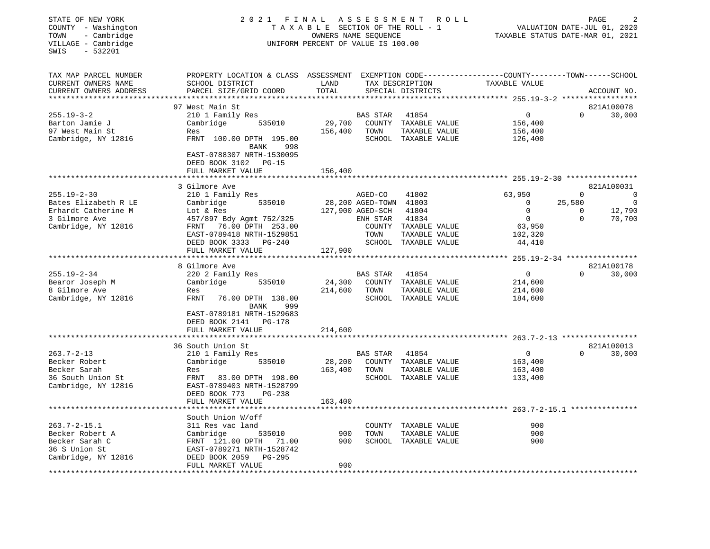| STATE OF NEW YORK                            | 2021<br>FINAL                                                                                                      | PAGE                               |                        |                      |                                        |          |                             |
|----------------------------------------------|--------------------------------------------------------------------------------------------------------------------|------------------------------------|------------------------|----------------------|----------------------------------------|----------|-----------------------------|
| COUNTY - Washington                          |                                                                                                                    | TAXABLE SECTION OF THE ROLL - 1    |                        |                      |                                        |          | VALUATION DATE-JUL 01, 2020 |
| TOWN<br>- Cambridge                          |                                                                                                                    | OWNERS NAME SEOUENCE               |                        |                      | TAXABLE STATUS DATE-MAR 01, 2021       |          |                             |
| VILLAGE - Cambridge                          |                                                                                                                    | UNIFORM PERCENT OF VALUE IS 100.00 |                        |                      |                                        |          |                             |
| SWIS<br>$-532201$                            |                                                                                                                    |                                    |                        |                      |                                        |          |                             |
|                                              |                                                                                                                    |                                    |                        |                      |                                        |          |                             |
| TAX MAP PARCEL NUMBER<br>CURRENT OWNERS NAME | PROPERTY LOCATION & CLASS ASSESSMENT EXEMPTION CODE---------------COUNTY-------TOWN------SCHOOL<br>SCHOOL DISTRICT | LAND                               |                        | TAX DESCRIPTION      |                                        |          |                             |
| CURRENT OWNERS ADDRESS                       | PARCEL SIZE/GRID COORD                                                                                             | TOTAL                              |                        | SPECIAL DISTRICTS    | TAXABLE VALUE                          |          | ACCOUNT NO.                 |
|                                              |                                                                                                                    | *********                          |                        |                      | ********* 255.19-3-2 ***************** |          |                             |
|                                              | 97 West Main St                                                                                                    |                                    |                        |                      |                                        |          | 821A100078                  |
| $255.19 - 3 - 2$                             | 210 1 Family Res                                                                                                   |                                    | BAS STAR               | 41854                | 0                                      | $\Omega$ | 30,000                      |
| Barton Jamie J                               | Cambridge<br>535010                                                                                                | 29,700                             | COUNTY                 | TAXABLE VALUE        | 156,400                                |          |                             |
| 97 West Main St                              | Res                                                                                                                | 156,400                            | TOWN                   | TAXABLE VALUE        | 156,400                                |          |                             |
| Cambridge, NY 12816                          | FRNT 100.00 DPTH 195.00                                                                                            |                                    |                        | SCHOOL TAXABLE VALUE | 126,400                                |          |                             |
|                                              | BANK<br>998                                                                                                        |                                    |                        |                      |                                        |          |                             |
|                                              | EAST-0788307 NRTH-1530095<br>DEED BOOK 3102<br>PG-15                                                               |                                    |                        |                      |                                        |          |                             |
|                                              | FULL MARKET VALUE                                                                                                  | 156,400                            |                        |                      |                                        |          |                             |
|                                              |                                                                                                                    |                                    |                        |                      |                                        |          |                             |
|                                              | 3 Gilmore Ave                                                                                                      |                                    |                        |                      |                                        |          | 821A100031                  |
| $255.19 - 2 - 30$                            | 210 1 Family Res                                                                                                   |                                    | AGED-CO                | 41802                | 63,950                                 | $\Omega$ | $\Omega$                    |
| Bates Elizabeth R LE                         | 535010<br>Cambridge                                                                                                |                                    | 28,200 AGED-TOWN 41803 |                      | 0                                      | 25,580   | $\overline{0}$              |
| Erhardt Catherine M                          | Lot & Res                                                                                                          |                                    | 127,900 AGED-SCH       | 41804                | 0                                      | 0        | 12,790                      |
| 3 Gilmore Ave                                | 457/897 Bdy Agmt 752/325                                                                                           |                                    | ENH STAR               | 41834                | $\mathbf 0$                            | $\Omega$ | 70,700                      |
| Cambridge, NY 12816                          | 76.00 DPTH 253.00<br>FRNT                                                                                          |                                    | COUNTY                 | TAXABLE VALUE        | 63,950                                 |          |                             |
|                                              | EAST-0789418 NRTH-1529851                                                                                          |                                    | TOWN                   | TAXABLE VALUE        | 102,320                                |          |                             |
|                                              | DEED BOOK 3333<br>PG-240                                                                                           |                                    | SCHOOL                 | TAXABLE VALUE        | 44,410                                 |          |                             |
|                                              | FULL MARKET VALUE                                                                                                  | 127,900                            |                        |                      |                                        |          |                             |
|                                              | ***********************                                                                                            |                                    |                        |                      |                                        |          |                             |
|                                              | 8 Gilmore Ave                                                                                                      |                                    |                        |                      |                                        |          | 821A100178                  |
| $255.19 - 2 - 34$                            | 220 2 Family Res                                                                                                   |                                    | <b>BAS STAR</b>        | 41854                | 0                                      | $\Omega$ | 30,000                      |
| Bearor Joseph M                              | Cambridge<br>535010                                                                                                | 24,300                             | COUNTY                 | TAXABLE VALUE        | 214,600                                |          |                             |
| 8 Gilmore Ave                                | Res                                                                                                                | 214,600                            | TOWN                   | TAXABLE VALUE        | 214,600                                |          |                             |
| Cambridge, NY 12816                          | FRNT<br>76.00 DPTH 138.00<br><b>BANK</b><br>999                                                                    |                                    |                        | SCHOOL TAXABLE VALUE | 184,600                                |          |                             |
|                                              | EAST-0789181 NRTH-1529683                                                                                          |                                    |                        |                      |                                        |          |                             |
|                                              | DEED BOOK 2141<br>PG-178                                                                                           |                                    |                        |                      |                                        |          |                             |
|                                              | FULL MARKET VALUE                                                                                                  | 214,600                            |                        |                      |                                        |          |                             |
|                                              |                                                                                                                    |                                    |                        |                      |                                        |          |                             |
|                                              | 36 South Union St                                                                                                  |                                    |                        |                      |                                        |          | 821A100013                  |
| $263.7 - 2 - 13$                             | 210 1 Family Res                                                                                                   |                                    | <b>BAS STAR</b>        | 41854                | 0                                      | $\Omega$ | 30,000                      |
| Becker Robert                                | Cambridge<br>535010                                                                                                | 28,200                             | COUNTY                 | TAXABLE VALUE        | 163,400                                |          |                             |
| Becker Sarah                                 | Res                                                                                                                | 163,400                            | TOWN                   | TAXABLE VALUE        | 163,400                                |          |                             |
| 36 South Union St                            | FRNT<br>83.00 DPTH 198.00                                                                                          |                                    |                        | SCHOOL TAXABLE VALUE | 133,400                                |          |                             |
| Cambridge, NY 12816                          | EAST-0789403 NRTH-1528799                                                                                          |                                    |                        |                      |                                        |          |                             |
|                                              | DEED BOOK 773<br>PG-238                                                                                            |                                    |                        |                      |                                        |          |                             |
|                                              | FULL MARKET VALUE                                                                                                  | 163,400                            |                        |                      |                                        |          |                             |
|                                              |                                                                                                                    |                                    |                        |                      |                                        |          |                             |
|                                              | South Union W/off                                                                                                  |                                    |                        |                      |                                        |          |                             |
| $263.7 - 2 - 15.1$                           | 311 Res vac land                                                                                                   |                                    | COUNTY                 | TAXABLE VALUE        | 900                                    |          |                             |
| Becker Robert A                              | Cambridge<br>535010                                                                                                | 900                                | TOWN                   | TAXABLE VALUE        | 900                                    |          |                             |
| Becker Sarah C                               | FRNT 121.00 DPTH<br>71.00                                                                                          | 900                                |                        | SCHOOL TAXABLE VALUE | 900                                    |          |                             |
| 36 S Union St                                | EAST-0789271 NRTH-1528742                                                                                          |                                    |                        |                      |                                        |          |                             |
| Cambridge, NY 12816                          | DEED BOOK 2059<br>PG-295                                                                                           | 900                                |                        |                      |                                        |          |                             |
|                                              | FULL MARKET VALUE<br>*********************                                                                         | ***********                        |                        |                      |                                        |          |                             |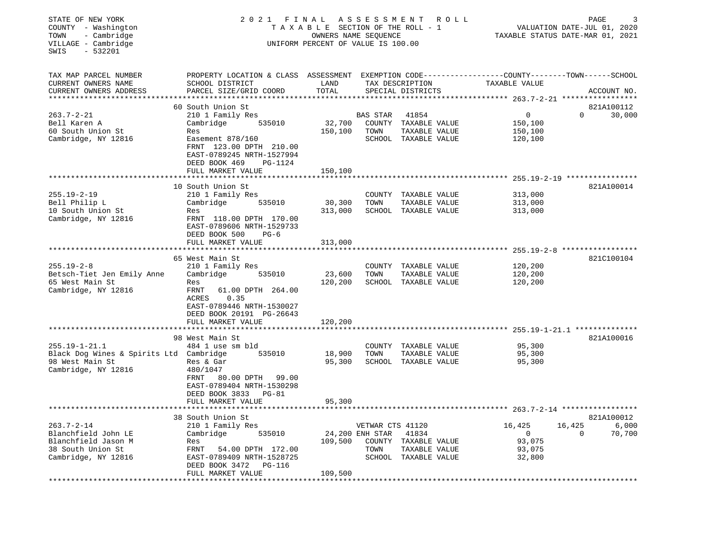| STATE OF NEW YORK<br>2021 FINAL<br>A S S E S S M E N T<br>R O L L<br>COUNTY - Washington<br>TAXABLE SECTION OF THE ROLL - 1<br>- Cambridge<br>OWNERS NAME SEQUENCE<br>TOWN<br>VILLAGE - Cambridge<br>UNIFORM PERCENT OF VALUE IS 100.00<br>SWIS<br>$-532201$ |                                                                                                                                                                                                  |                                                   |                                             |                                                                        | PAGE<br>VALUATION DATE-JUL 01, 2020<br>TAXABLE STATUS DATE-MAR 01, 2021             |                                       |  |  |
|--------------------------------------------------------------------------------------------------------------------------------------------------------------------------------------------------------------------------------------------------------------|--------------------------------------------------------------------------------------------------------------------------------------------------------------------------------------------------|---------------------------------------------------|---------------------------------------------|------------------------------------------------------------------------|-------------------------------------------------------------------------------------|---------------------------------------|--|--|
| TAX MAP PARCEL NUMBER<br>CURRENT OWNERS NAME<br>CURRENT OWNERS ADDRESS<br>**************************                                                                                                                                                         | PROPERTY LOCATION & CLASS ASSESSMENT EXEMPTION CODE---------------COUNTY-------TOWN-----SCHOOL<br>SCHOOL DISTRICT<br>PARCEL SIZE/GRID COORD                                                      | LAND<br>TOTAL                                     |                                             | TAX DESCRIPTION<br>SPECIAL DISTRICTS                                   | TAXABLE VALUE                                                                       | ACCOUNT NO.                           |  |  |
| $263.7 - 2 - 21$<br>Bell Karen A<br>60 South Union St<br>Cambridge, NY 12816                                                                                                                                                                                 | 60 South Union St<br>210 1 Family Res<br>Cambridge<br>535010<br>Res<br>Easement 878/160<br>FRNT 123.00 DPTH 210.00<br>EAST-0789245 NRTH-1527994<br>DEED BOOK 469<br>PG-1124<br>FULL MARKET VALUE | 32,700<br>150,100<br>150,100                      | BAS STAR<br>TOWN                            | 41854<br>COUNTY TAXABLE VALUE<br>TAXABLE VALUE<br>SCHOOL TAXABLE VALUE | $\Omega$<br>150,100<br>150,100<br>120,100                                           | 821A100112<br>$\Omega$<br>30,000      |  |  |
|                                                                                                                                                                                                                                                              |                                                                                                                                                                                                  |                                                   |                                             |                                                                        | ************ 255.19-2-19 ****************                                           |                                       |  |  |
| $255.19 - 2 - 19$<br>Bell Philip L<br>10 South Union St<br>Cambridge, NY 12816                                                                                                                                                                               | 10 South Union St<br>210 1 Family Res<br>Cambridge<br>535010<br>Res<br>FRNT 118.00 DPTH 170.00<br>EAST-0789606 NRTH-1529733<br>DEED BOOK 500<br>$PG-6$                                           | 30,300<br>313,000                                 | TOWN                                        | COUNTY TAXABLE VALUE<br>TAXABLE VALUE<br>SCHOOL TAXABLE VALUE          | 313,000<br>313,000<br>313,000                                                       | 821A100014                            |  |  |
|                                                                                                                                                                                                                                                              | FULL MARKET VALUE                                                                                                                                                                                | 313,000                                           |                                             |                                                                        |                                                                                     |                                       |  |  |
|                                                                                                                                                                                                                                                              |                                                                                                                                                                                                  |                                                   |                                             |                                                                        |                                                                                     | $255.19 - 2 - 8$ ******************   |  |  |
| $255.19 - 2 - 8$<br>Betsch-Tiet Jen Emily Anne<br>65 West Main St<br>Cambridge, NY 12816                                                                                                                                                                     | 65 West Main St<br>210 1 Family Res<br>535010<br>Cambridge<br>Res<br>FRNT<br>61.00 DPTH 264.00<br>ACRES<br>0.35<br>EAST-0789446 NRTH-1530027                                                     | 23,600<br>120,200                                 | COUNTY<br>TOWN                              | TAXABLE VALUE<br>TAXABLE VALUE<br>SCHOOL TAXABLE VALUE                 | 120,200<br>120,200<br>120,200                                                       | 821C100104                            |  |  |
|                                                                                                                                                                                                                                                              | DEED BOOK 20191 PG-26643<br>FULL MARKET VALUE                                                                                                                                                    | 120,200                                           |                                             |                                                                        |                                                                                     |                                       |  |  |
|                                                                                                                                                                                                                                                              | *******************<br>98 West Main St                                                                                                                                                           | ***************                                   |                                             |                                                                        |                                                                                     | 821A100016                            |  |  |
| $255.19 - 1 - 21.1$<br>Black Dog Wines & Spirits Ltd Cambridge<br>98 West Main St<br>Cambridge, NY 12816                                                                                                                                                     | 484 1 use sm bld<br>535010<br>Res & Gar<br>480/1047<br>FRNT 80.00 DPTH 99.00<br>EAST-0789404 NRTH-1530298<br>DEED BOOK 3833 PG-81                                                                | 18,900<br>95,300                                  | TOWN                                        | COUNTY TAXABLE VALUE<br>TAXABLE VALUE<br>SCHOOL TAXABLE VALUE          | 95,300<br>95,300<br>95,300                                                          |                                       |  |  |
|                                                                                                                                                                                                                                                              | FULL MARKET VALUE                                                                                                                                                                                | 95,300                                            |                                             |                                                                        |                                                                                     |                                       |  |  |
| **********************                                                                                                                                                                                                                                       | ************************************<br>38 South Union St                                                                                                                                        |                                                   |                                             |                                                                        |                                                                                     | 821A100012                            |  |  |
| $263.7 - 2 - 14$<br>Blanchfield John LE<br>Blanchfield Jason M<br>38 South Union St<br>Cambridge, NY 12816<br>**********************                                                                                                                         | 210 1 Family Res<br>Cambridge<br>535010<br>Res<br>54.00 DPTH 172.00<br>FRNT<br>EAST-0789409 NRTH-1528725<br>DEED BOOK 3472<br><b>PG-116</b><br>FULL MARKET VALUE<br>********************         | 109,500<br>109,500<br>* * * * * * * * * * * * * * | VETWAR CTS 41120<br>24,200 ENH STAR<br>TOWN | 41834<br>COUNTY TAXABLE VALUE<br>TAXABLE VALUE<br>SCHOOL TAXABLE VALUE | 16,425<br>0<br>93,075<br>93,075<br>32,800<br>************************************** | 16,425<br>6,000<br>70,700<br>$\Omega$ |  |  |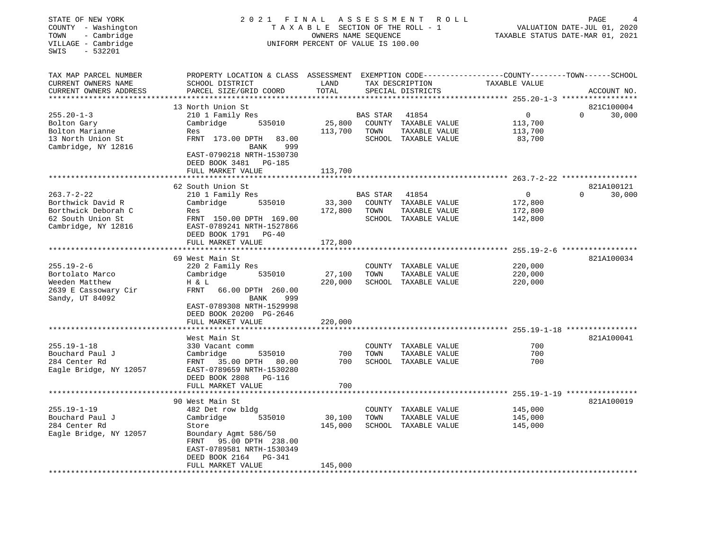| STATE OF NEW YORK<br>COUNTY - Washington<br>- Cambridge<br>TOWN<br>VILLAGE - Cambridge<br>$-532201$<br>SWIS | 2021 FINAL                                                                                                                                  | A S S E S S M E N T<br>R O L L<br>T A X A B L E SECTION OF THE ROLL - 1<br>OWNERS NAME SEQUENCE<br>UNIFORM PERCENT OF VALUE IS 100.00 |                         |                                                                        | TAXABLE STATUS DATE-MAR 01, 2021                           | PAGE<br>VALUATION DATE-JUL 01, 2020 |                      |
|-------------------------------------------------------------------------------------------------------------|---------------------------------------------------------------------------------------------------------------------------------------------|---------------------------------------------------------------------------------------------------------------------------------------|-------------------------|------------------------------------------------------------------------|------------------------------------------------------------|-------------------------------------|----------------------|
| TAX MAP PARCEL NUMBER<br>CURRENT OWNERS NAME<br>CURRENT OWNERS ADDRESS<br>*************************         | PROPERTY LOCATION & CLASS ASSESSMENT EXEMPTION CODE---------------COUNTY-------TOWN-----SCHOOL<br>SCHOOL DISTRICT<br>PARCEL SIZE/GRID COORD | LAND<br>TOTAL                                                                                                                         |                         | TAX DESCRIPTION<br>SPECIAL DISTRICTS                                   | TAXABLE VALUE                                              |                                     | ACCOUNT NO.          |
| $255.20 - 1 - 3$<br>Bolton Gary<br>Bolton Marianne<br>13 North Union St                                     | 13 North Union St<br>210 1 Family Res<br>Cambridge<br>535010<br>Res<br>FRNT 173.00 DPTH<br>83.00                                            | 25,800<br>113,700                                                                                                                     | <b>BAS STAR</b><br>TOWN | 41854<br>COUNTY TAXABLE VALUE<br>TAXABLE VALUE<br>SCHOOL TAXABLE VALUE | $\mathbf 0$<br>113,700<br>113,700<br>83,700                | $\Omega$                            | 821C100004<br>30,000 |
| Cambridge, NY 12816                                                                                         | BANK<br>999<br>EAST-0790218 NRTH-1530730<br>DEED BOOK 3481<br>PG-185<br>FULL MARKET VALUE                                                   | 113,700                                                                                                                               |                         |                                                                        |                                                            |                                     |                      |
|                                                                                                             | 62 South Union St                                                                                                                           |                                                                                                                                       |                         |                                                                        |                                                            |                                     | 821A100121           |
| $263.7 - 2 - 22$<br>Borthwick David R<br>Borthwick Deborah C<br>62 South Union St<br>Cambridge, NY 12816    | 210 1 Family Res<br>Cambridge<br>535010<br>Res<br>FRNT 150.00 DPTH 169.00<br>EAST-0789241 NRTH-1527866                                      | 33,300<br>172,800                                                                                                                     | <b>BAS STAR</b><br>TOWN | 41854<br>COUNTY TAXABLE VALUE<br>TAXABLE VALUE<br>SCHOOL TAXABLE VALUE | $\Omega$<br>172,800<br>172,800<br>142,800                  | $\Omega$                            | 30,000               |
|                                                                                                             | DEED BOOK 1791 PG-40<br>FULL MARKET VALUE                                                                                                   | 172,800                                                                                                                               |                         |                                                                        |                                                            |                                     |                      |
|                                                                                                             |                                                                                                                                             |                                                                                                                                       |                         |                                                                        | $255.19 - 2 - 6$ *****                                     |                                     |                      |
| $255.19 - 2 - 6$<br>Bortolato Marco                                                                         | 69 West Main St<br>220 2 Family Res<br>Cambridge<br>535010                                                                                  | 27,100                                                                                                                                | TOWN                    | COUNTY TAXABLE VALUE<br>TAXABLE VALUE                                  | 220,000<br>220,000                                         |                                     | 821A100034           |
| Weeden Matthew<br>2639 E Cassowary Cir<br>Sandy, UT 84092                                                   | H & L<br>FRNT<br>66.00 DPTH 260.00<br>999<br>BANK<br>EAST-0789308 NRTH-1529998<br>DEED BOOK 20200 PG-2646                                   | 220,000                                                                                                                               |                         | SCHOOL TAXABLE VALUE                                                   | 220,000                                                    |                                     |                      |
|                                                                                                             | FULL MARKET VALUE                                                                                                                           | 220,000                                                                                                                               |                         |                                                                        |                                                            |                                     |                      |
| $255.19 - 1 - 18$                                                                                           | West Main St<br>330 Vacant comm                                                                                                             |                                                                                                                                       |                         | COUNTY TAXABLE VALUE                                                   | ********************** 255.19-1-18 ****************<br>700 |                                     | 821A100041           |
| Bouchard Paul J<br>284 Center Rd<br>Eagle Bridge, NY 12057                                                  | Cambridge<br>535010<br>35.00 DPTH<br>FRNT<br>80.00<br>EAST-0789659 NRTH-1530280<br>DEED BOOK 2808<br>PG-116<br>FULL MARKET VALUE            | 700<br>700<br>700                                                                                                                     | TOWN                    | TAXABLE VALUE<br>SCHOOL TAXABLE VALUE                                  | 700<br>700                                                 |                                     |                      |
|                                                                                                             |                                                                                                                                             |                                                                                                                                       |                         |                                                                        |                                                            |                                     |                      |
|                                                                                                             | 90 West Main St                                                                                                                             |                                                                                                                                       |                         |                                                                        |                                                            |                                     | 821A100019           |
| $255.19 - 1 - 19$<br>Bouchard Paul J                                                                        | 482 Det row bldg<br>Cambridge<br>535010                                                                                                     | 30,100                                                                                                                                | COUNTY<br>TOWN          | TAXABLE VALUE<br>TAXABLE VALUE                                         | 145,000<br>145,000                                         |                                     |                      |
| 284 Center Rd<br>Eagle Bridge, NY 12057                                                                     | Store<br>Boundary Agmt 586/50<br>95.00 DPTH 238.00<br>FRNT<br>EAST-0789581 NRTH-1530349<br>DEED BOOK 2164<br>PG-341                         | 145,000                                                                                                                               |                         | SCHOOL TAXABLE VALUE                                                   | 145,000                                                    |                                     |                      |
| ********************                                                                                        | FULL MARKET VALUE<br>* * * * * * * * * * * * * * * * * * * *                                                                                | 145,000                                                                                                                               |                         |                                                                        |                                                            |                                     |                      |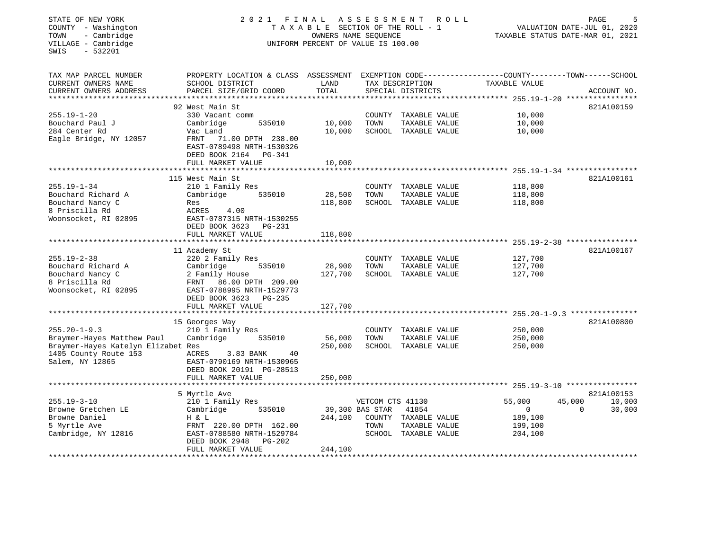| STATE OF NEW YORK<br>COUNTY - Washington<br>- Cambridge<br>TOWN<br>VILLAGE - Cambridge<br>$-532201$<br>SWIS | 2021 FINAL                                                                                       | TAXABLE SECTION OF THE ROLL - 1<br>OWNERS NAME SEQUENCE<br>UNIFORM PERCENT OF VALUE IS 100.00 | A S S E S S M E N T |                                | R O L L | TAXABLE STATUS DATE-MAR 01, 2021                                     |          | PAGE<br>5<br>VALUATION DATE-JUL 01, 2020 |
|-------------------------------------------------------------------------------------------------------------|--------------------------------------------------------------------------------------------------|-----------------------------------------------------------------------------------------------|---------------------|--------------------------------|---------|----------------------------------------------------------------------|----------|------------------------------------------|
| TAX MAP PARCEL NUMBER                                                                                       | PROPERTY LOCATION & CLASS ASSESSMENT EXEMPTION CODE----------------COUNTY-------TOWN------SCHOOL |                                                                                               |                     |                                |         |                                                                      |          |                                          |
| CURRENT OWNERS NAME                                                                                         | SCHOOL DISTRICT                                                                                  | LAND                                                                                          |                     | TAX DESCRIPTION                |         | TAXABLE VALUE                                                        |          |                                          |
| CURRENT OWNERS ADDRESS<br>*********************                                                             | PARCEL SIZE/GRID COORD<br>***************************                                            | TOTAL<br>**************                                                                       |                     | SPECIAL DISTRICTS              |         |                                                                      |          | ACCOUNT NO.                              |
|                                                                                                             | 92 West Main St                                                                                  |                                                                                               |                     |                                |         |                                                                      |          | 821A100159                               |
| $255.19 - 1 - 20$                                                                                           | 330 Vacant comm                                                                                  |                                                                                               | COUNTY              | TAXABLE VALUE                  |         | 10,000                                                               |          |                                          |
| Bouchard Paul J                                                                                             | Cambridge<br>535010                                                                              | 10,000                                                                                        | TOWN                | TAXABLE VALUE                  |         | 10,000                                                               |          |                                          |
| 284 Center Rd                                                                                               | Vac Land                                                                                         | 10,000                                                                                        |                     | SCHOOL TAXABLE VALUE           |         | 10,000                                                               |          |                                          |
| Eagle Bridge, NY 12057                                                                                      | FRNT 71.00 DPTH 238.00<br>EAST-0789498 NRTH-1530326<br>DEED BOOK 2164<br>PG-341                  |                                                                                               |                     |                                |         |                                                                      |          |                                          |
|                                                                                                             | FULL MARKET VALUE                                                                                | 10,000                                                                                        |                     |                                |         |                                                                      |          |                                          |
|                                                                                                             | *******************                                                                              |                                                                                               |                     |                                |         | ************************************** 255.19-1-34 ***************** |          |                                          |
|                                                                                                             | 115 West Main St                                                                                 |                                                                                               |                     |                                |         |                                                                      |          | 821A100161                               |
| $255.19 - 1 - 34$<br>Bouchard Richard A                                                                     | 210 1 Family Res<br>535010                                                                       | 28,500                                                                                        | COUNTY<br>TOWN      | TAXABLE VALUE<br>TAXABLE VALUE |         | 118,800                                                              |          |                                          |
| Bouchard Nancy C                                                                                            | Cambridge<br>Res                                                                                 | 118,800                                                                                       | SCHOOL              | TAXABLE VALUE                  |         | 118,800<br>118,800                                                   |          |                                          |
| 8 Priscilla Rd                                                                                              | ACRES<br>4.00                                                                                    |                                                                                               |                     |                                |         |                                                                      |          |                                          |
| Woonsocket, RI 02895                                                                                        | EAST-0787315 NRTH-1530255<br>DEED BOOK 3623<br>PG-231                                            |                                                                                               |                     |                                |         |                                                                      |          |                                          |
|                                                                                                             | FULL MARKET VALUE                                                                                | 118,800                                                                                       |                     |                                |         |                                                                      |          |                                          |
|                                                                                                             | 11 Academy St                                                                                    |                                                                                               |                     |                                |         |                                                                      |          | 821A100167                               |
| $255.19 - 2 - 38$                                                                                           | 220 2 Family Res                                                                                 |                                                                                               | COUNTY              | TAXABLE VALUE                  |         | 127,700                                                              |          |                                          |
| Bouchard Richard A                                                                                          | Cambridge<br>535010                                                                              | 28,900                                                                                        | TOWN                | TAXABLE VALUE                  |         | 127,700                                                              |          |                                          |
| Bouchard Nancy C                                                                                            | 2 Family House                                                                                   | 127,700                                                                                       |                     | SCHOOL TAXABLE VALUE           |         | 127,700                                                              |          |                                          |
| 8 Priscilla Rd                                                                                              | FRNT 86.00 DPTH 209.00                                                                           |                                                                                               |                     |                                |         |                                                                      |          |                                          |
| Woonsocket, RI 02895                                                                                        | EAST-0788995 NRTH-1529773                                                                        |                                                                                               |                     |                                |         |                                                                      |          |                                          |
|                                                                                                             | DEED BOOK 3623<br>$PG-235$<br>FULL MARKET VALUE                                                  | 127,700                                                                                       |                     |                                |         |                                                                      |          |                                          |
|                                                                                                             |                                                                                                  |                                                                                               |                     |                                |         |                                                                      |          |                                          |
|                                                                                                             | 15 Georges Way                                                                                   |                                                                                               |                     |                                |         |                                                                      |          | 821A100800                               |
| $255.20 - 1 - 9.3$                                                                                          | 210 1 Family Res                                                                                 |                                                                                               | COUNTY              | TAXABLE VALUE                  |         | 250,000                                                              |          |                                          |
| Braymer-Hayes Matthew Paul                                                                                  | Cambridge<br>535010                                                                              | 56,000                                                                                        | TOWN                | TAXABLE VALUE                  |         | 250,000                                                              |          |                                          |
| Braymer-Hayes Katelyn Elizabet Res                                                                          |                                                                                                  | 250,000                                                                                       |                     | SCHOOL TAXABLE VALUE           |         | 250,000                                                              |          |                                          |
| 1405 County Route 153                                                                                       | ACRES<br>3.83 BANK<br>40                                                                         |                                                                                               |                     |                                |         |                                                                      |          |                                          |
| Salem, NY 12865                                                                                             | EAST-0790169 NRTH-1530965                                                                        |                                                                                               |                     |                                |         |                                                                      |          |                                          |
|                                                                                                             | DEED BOOK 20191 PG-28513<br>FULL MARKET VALUE                                                    | 250,000                                                                                       |                     |                                |         |                                                                      |          |                                          |
|                                                                                                             | ********************                                                                             |                                                                                               |                     |                                |         |                                                                      |          |                                          |
|                                                                                                             | 5 Myrtle Ave                                                                                     |                                                                                               |                     |                                |         |                                                                      |          | 821A100153                               |
| $255.19 - 3 - 10$                                                                                           | 210 1 Family Res                                                                                 |                                                                                               | VETCOM CTS 41130    |                                |         | 55,000                                                               | 45,000   | 10,000                                   |
| Browne Gretchen LE                                                                                          | Cambridge<br>535010                                                                              |                                                                                               | 39,300 BAS STAR     | 41854                          |         | 0                                                                    | $\Omega$ | 30,000                                   |
| Browne Daniel                                                                                               | H & L                                                                                            | 244,100                                                                                       |                     | COUNTY TAXABLE VALUE           |         | 189,100                                                              |          |                                          |
| 5 Myrtle Ave                                                                                                | FRNT 220.00 DPTH 162.00                                                                          |                                                                                               | TOWN                | TAXABLE VALUE                  |         | 199,100                                                              |          |                                          |
| Cambridge, NY 12816                                                                                         | EAST-0788580 NRTH-1529784<br>DEED BOOK 2948<br><b>PG-202</b>                                     |                                                                                               |                     | SCHOOL TAXABLE VALUE           |         | 204,100                                                              |          |                                          |
| ******************                                                                                          | FULL MARKET VALUE<br>*****************                                                           | 244,100<br>***********                                                                        |                     |                                |         |                                                                      |          | **********************                   |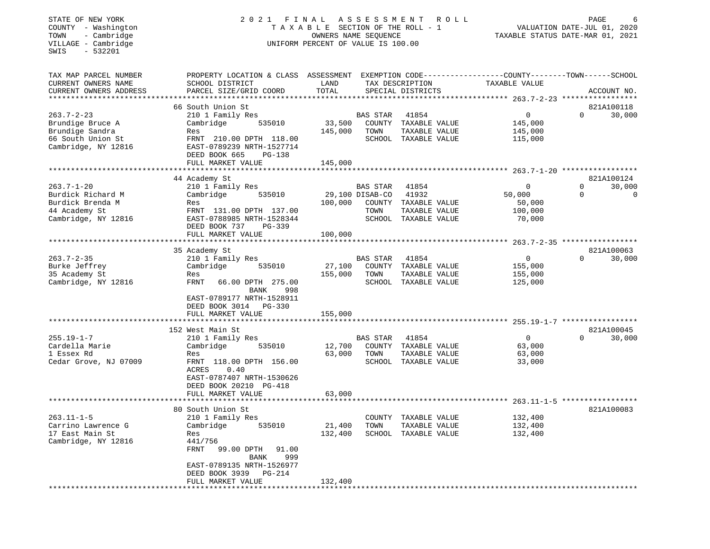## STATE OF NEW YORK 2 0 2 1 F I N A L A S S E S S M E N T R O L L PAGE 6 COUNTY - Washington T A X A B L E SECTION OF THE ROLL - 1 VALUATION DATE-JUL 01, 2020 TOWN - Cambridge OWNERS NAME SEQUENCE TAXABLE STATUS DATE-MAR 01, 2021 COUNTY - Washington<br>
TAXABLE SECTION OF THE ROLL<br>
TOWN - Cambridge UNIFORM PERCENT OF VALUE IS 100.00<br>
UNIFORM PERCENT OF VALUE IS 100.00

| TAX MAP PARCEL NUMBER  | PROPERTY LOCATION & CLASS ASSESSMENT EXEMPTION CODE----------------COUNTY-------TOWN------SCHOOL |         |                 |                      |               |          |             |
|------------------------|--------------------------------------------------------------------------------------------------|---------|-----------------|----------------------|---------------|----------|-------------|
| CURRENT OWNERS NAME    | SCHOOL DISTRICT                                                                                  | LAND    |                 | TAX DESCRIPTION      | TAXABLE VALUE |          |             |
| CURRENT OWNERS ADDRESS | PARCEL SIZE/GRID COORD                                                                           | TOTAL   |                 | SPECIAL DISTRICTS    |               |          | ACCOUNT NO. |
|                        |                                                                                                  |         |                 |                      |               |          |             |
|                        | 66 South Union St                                                                                |         |                 |                      |               |          | 821A100118  |
| $263.7 - 2 - 23$       | 210 1 Family Res                                                                                 |         | BAS STAR        | 41854                | $\mathsf{O}$  | $\Omega$ | 30,000      |
| Brundige Bruce A       | 535010<br>Cambridge                                                                              | 33,500  |                 | COUNTY TAXABLE VALUE | 145,000       |          |             |
| Brundige Sandra        | Res                                                                                              | 145,000 | TOWN            | TAXABLE VALUE        | 145,000       |          |             |
| 66 South Union St      | FRNT 210.00 DPTH 118.00                                                                          |         |                 | SCHOOL TAXABLE VALUE | 115,000       |          |             |
| Cambridge, NY 12816    | EAST-0789239 NRTH-1527714                                                                        |         |                 |                      |               |          |             |
|                        | DEED BOOK 665<br>$PG-138$                                                                        |         |                 |                      |               |          |             |
|                        | FULL MARKET VALUE                                                                                | 145,000 |                 |                      |               |          |             |
|                        |                                                                                                  |         |                 |                      |               |          |             |
|                        | 44 Academy St                                                                                    |         |                 |                      |               |          | 821A100124  |
| $263.7 - 1 - 20$       | 210 1 Family Res                                                                                 |         | BAS STAR        | 41854                | $\Omega$      | $\Omega$ | 30,000      |
| Burdick Richard M      | Cambridge<br>535010                                                                              |         | 29,100 DISAB-CO | 41932                | 50,000        | $\Omega$ | $\mathbf 0$ |
| Burdick Brenda M       | Res                                                                                              | 100,000 |                 | COUNTY TAXABLE VALUE | 50,000        |          |             |
| 44 Academy St          | FRNT 131.00 DPTH 137.00                                                                          |         | TOWN            | TAXABLE VALUE        | 100,000       |          |             |
| Cambridge, NY 12816    | EAST-0788985 NRTH-1528344                                                                        |         |                 | SCHOOL TAXABLE VALUE | 70,000        |          |             |
|                        | DEED BOOK 737<br>PG-339                                                                          |         |                 |                      |               |          |             |
|                        | FULL MARKET VALUE                                                                                | 100,000 |                 |                      |               |          |             |
|                        |                                                                                                  |         |                 |                      |               |          |             |
|                        | 35 Academy St                                                                                    |         |                 |                      |               |          | 821A100063  |
| $263.7 - 2 - 35$       | 210 1 Family Res                                                                                 |         | <b>BAS STAR</b> | 41854                | $\circ$       | $\Omega$ | 30,000      |
| Burke Jeffrey          | 535010<br>Cambridge                                                                              | 27,100  |                 | COUNTY TAXABLE VALUE | 155,000       |          |             |
| 35 Academy St          | Res                                                                                              | 155,000 | TOWN            | TAXABLE VALUE        | 155,000       |          |             |
| Cambridge, NY 12816    | 66.00 DPTH 275.00<br>FRNT                                                                        |         |                 |                      |               |          |             |
|                        | 998                                                                                              |         |                 | SCHOOL TAXABLE VALUE | 125,000       |          |             |
|                        | <b>BANK</b>                                                                                      |         |                 |                      |               |          |             |
|                        | EAST-0789177 NRTH-1528911                                                                        |         |                 |                      |               |          |             |
|                        | DEED BOOK 3014<br><b>PG-330</b>                                                                  |         |                 |                      |               |          |             |
|                        | FULL MARKET VALUE                                                                                | 155,000 |                 |                      |               |          |             |
|                        |                                                                                                  |         |                 |                      |               |          | 821A100045  |
| $255.19 - 1 - 7$       | 152 West Main St                                                                                 |         |                 |                      |               | $\Omega$ |             |
|                        | 210 1 Family Res                                                                                 |         | BAS STAR        | 41854                | $\mathbf{0}$  |          | 30,000      |
| Cardella Marie         | 535010<br>Cambridge                                                                              | 12,700  |                 | COUNTY TAXABLE VALUE | 63,000        |          |             |
| 1 Essex Rd             | Res                                                                                              | 63,000  | TOWN            | TAXABLE VALUE        | 63,000        |          |             |
| Cedar Grove, NJ 07009  | FRNT 118.00 DPTH 156.00                                                                          |         |                 | SCHOOL TAXABLE VALUE | 33,000        |          |             |
|                        | ACRES<br>0.40                                                                                    |         |                 |                      |               |          |             |
|                        | EAST-0787407 NRTH-1530626                                                                        |         |                 |                      |               |          |             |
|                        | DEED BOOK 20210 PG-418                                                                           |         |                 |                      |               |          |             |
|                        | FULL MARKET VALUE<br>**********************                                                      | 63,000  |                 |                      |               |          |             |
|                        |                                                                                                  |         |                 |                      |               |          |             |
|                        | 80 South Union St                                                                                |         |                 |                      |               |          | 821A100083  |
| $263.11 - 1 - 5$       | 210 1 Family Res                                                                                 |         |                 | COUNTY TAXABLE VALUE | 132,400       |          |             |
| Carrino Lawrence G     | 535010<br>Cambridge                                                                              | 21,400  | TOWN            | TAXABLE VALUE        | 132,400       |          |             |
| 17 East Main St        | Res                                                                                              | 132,400 |                 | SCHOOL TAXABLE VALUE | 132,400       |          |             |
| Cambridge, NY 12816    | 441/756                                                                                          |         |                 |                      |               |          |             |
|                        | <b>FRNT</b><br>99.00 DPTH<br>91.00                                                               |         |                 |                      |               |          |             |
|                        | 999<br>BANK                                                                                      |         |                 |                      |               |          |             |
|                        | EAST-0789135 NRTH-1526977                                                                        |         |                 |                      |               |          |             |
|                        | DEED BOOK 3939<br><b>PG-214</b>                                                                  |         |                 |                      |               |          |             |
| ********************** | FULL MARKET VALUE                                                                                | 132,400 |                 |                      |               |          |             |
|                        |                                                                                                  |         |                 |                      |               |          |             |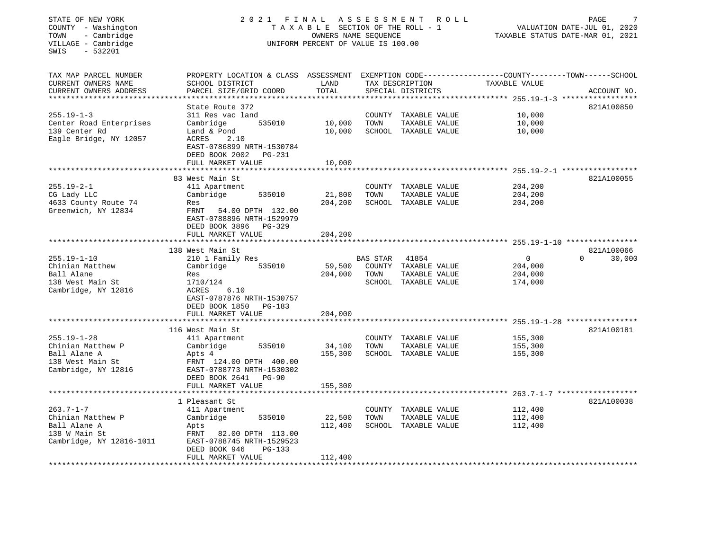| STATE OF NEW YORK<br>2021<br>FINAL<br>ASSESSMENT<br>R O L L<br>TAXABLE SECTION OF THE ROLL - 1<br>COUNTY - Washington<br>- Cambridge<br>TOWN<br>OWNERS NAME SEQUENCE<br>VILLAGE - Cambridge<br>UNIFORM PERCENT OF VALUE IS 100.00<br>$-532201$<br>SWIS |                                                     |               |                                      |                                                              | PAGE<br>VALUATION DATE-JUL 01, 2020<br>TAXABLE STATUS DATE-MAR 01, 2021 |  |  |  |
|--------------------------------------------------------------------------------------------------------------------------------------------------------------------------------------------------------------------------------------------------------|-----------------------------------------------------|---------------|--------------------------------------|--------------------------------------------------------------|-------------------------------------------------------------------------|--|--|--|
| TAX MAP PARCEL NUMBER                                                                                                                                                                                                                                  | PROPERTY LOCATION & CLASS ASSESSMENT                |               |                                      | EXEMPTION CODE-----------------COUNTY-------TOWN------SCHOOL |                                                                         |  |  |  |
| CURRENT OWNERS NAME<br>CURRENT OWNERS ADDRESS                                                                                                                                                                                                          | SCHOOL DISTRICT<br>PARCEL SIZE/GRID COORD           | LAND<br>TOTAL | TAX DESCRIPTION<br>SPECIAL DISTRICTS | TAXABLE VALUE                                                | ACCOUNT NO.                                                             |  |  |  |
|                                                                                                                                                                                                                                                        | State Route 372                                     |               |                                      |                                                              | 821A100850                                                              |  |  |  |
| $255.19 - 1 - 3$                                                                                                                                                                                                                                       | 311 Res vac land                                    |               | COUNTY TAXABLE VALUE                 | 10,000                                                       |                                                                         |  |  |  |
| Center Road Enterprises                                                                                                                                                                                                                                | Cambridge<br>535010                                 | 10,000        | TOWN<br>TAXABLE VALUE                | 10,000                                                       |                                                                         |  |  |  |
| 139 Center Rd                                                                                                                                                                                                                                          | Land & Pond                                         | 10,000        | SCHOOL TAXABLE VALUE                 | 10,000                                                       |                                                                         |  |  |  |
| Eagle Bridge, NY 12057                                                                                                                                                                                                                                 | ACRES<br>2.10                                       |               |                                      |                                                              |                                                                         |  |  |  |
|                                                                                                                                                                                                                                                        | EAST-0786899 NRTH-1530784                           |               |                                      |                                                              |                                                                         |  |  |  |
|                                                                                                                                                                                                                                                        | DEED BOOK 2002<br>PG-231                            |               |                                      |                                                              |                                                                         |  |  |  |
|                                                                                                                                                                                                                                                        | FULL MARKET VALUE                                   | 10,000        |                                      |                                                              |                                                                         |  |  |  |
|                                                                                                                                                                                                                                                        |                                                     |               |                                      |                                                              |                                                                         |  |  |  |
|                                                                                                                                                                                                                                                        | 83 West Main St                                     |               |                                      |                                                              | 821A100055                                                              |  |  |  |
| $255.19 - 2 - 1$                                                                                                                                                                                                                                       | 411 Apartment                                       |               | COUNTY TAXABLE VALUE                 | 204,200                                                      |                                                                         |  |  |  |
| CG Lady LLC                                                                                                                                                                                                                                            | Cambridge<br>535010                                 | 21,800        | TOWN<br>TAXABLE VALUE                | 204,200                                                      |                                                                         |  |  |  |
| 4633 County Route 74                                                                                                                                                                                                                                   | Res                                                 | 204,200       | SCHOOL TAXABLE VALUE                 | 204,200                                                      |                                                                         |  |  |  |
| Greenwich, NY 12834                                                                                                                                                                                                                                    | FRNT<br>54.00 DPTH 132.00                           |               |                                      |                                                              |                                                                         |  |  |  |
|                                                                                                                                                                                                                                                        | EAST-0788896 NRTH-1529979                           |               |                                      |                                                              |                                                                         |  |  |  |
|                                                                                                                                                                                                                                                        | DEED BOOK 3896<br>PG-329                            |               |                                      |                                                              |                                                                         |  |  |  |
|                                                                                                                                                                                                                                                        | FULL MARKET VALUE                                   | 204,200       |                                      |                                                              |                                                                         |  |  |  |
|                                                                                                                                                                                                                                                        |                                                     |               |                                      |                                                              |                                                                         |  |  |  |
|                                                                                                                                                                                                                                                        | 138 West Main St                                    |               |                                      |                                                              | 821A100066                                                              |  |  |  |
| $255.19 - 1 - 10$                                                                                                                                                                                                                                      | 210 1 Family Res                                    |               | BAS STAR<br>41854                    | $\mathsf{O}$                                                 | $\Omega$<br>30,000                                                      |  |  |  |
| Chinian Matthew                                                                                                                                                                                                                                        | Cambridge<br>535010                                 | 59,500        | COUNTY TAXABLE VALUE                 | 204,000                                                      |                                                                         |  |  |  |
| Ball Alane                                                                                                                                                                                                                                             | Res                                                 | 204,000       | TAXABLE VALUE<br>TOWN                | 204,000                                                      |                                                                         |  |  |  |
| 138 West Main St                                                                                                                                                                                                                                       | 1710/124                                            |               | SCHOOL TAXABLE VALUE                 | 174,000                                                      |                                                                         |  |  |  |
| Cambridge, NY 12816                                                                                                                                                                                                                                    | ACRES<br>6.10                                       |               |                                      |                                                              |                                                                         |  |  |  |
|                                                                                                                                                                                                                                                        | EAST-0787876 NRTH-1530757                           |               |                                      |                                                              |                                                                         |  |  |  |
|                                                                                                                                                                                                                                                        | DEED BOOK 1850<br>PG-183                            |               |                                      |                                                              |                                                                         |  |  |  |
|                                                                                                                                                                                                                                                        | FULL MARKET VALUE<br>****************************   | 204,000       |                                      |                                                              |                                                                         |  |  |  |
|                                                                                                                                                                                                                                                        |                                                     |               |                                      |                                                              |                                                                         |  |  |  |
|                                                                                                                                                                                                                                                        | 116 West Main St                                    |               |                                      |                                                              | 821A100181                                                              |  |  |  |
| $255.19 - 1 - 28$                                                                                                                                                                                                                                      | 411 Apartment                                       |               | COUNTY TAXABLE VALUE                 | 155,300                                                      |                                                                         |  |  |  |
| Chinian Matthew P                                                                                                                                                                                                                                      | Cambridge<br>535010                                 | 34,100        | TOWN<br>TAXABLE VALUE                | 155,300                                                      |                                                                         |  |  |  |
| Ball Alane A                                                                                                                                                                                                                                           | Apts 4                                              | 155,300       | SCHOOL TAXABLE VALUE                 | 155,300                                                      |                                                                         |  |  |  |
| 138 West Main St                                                                                                                                                                                                                                       | FRNT 124.00 DPTH 400.00                             |               |                                      |                                                              |                                                                         |  |  |  |
| Cambridge, NY 12816                                                                                                                                                                                                                                    | EAST-0788773 NRTH-1530302                           |               |                                      |                                                              |                                                                         |  |  |  |
|                                                                                                                                                                                                                                                        | DEED BOOK 2641<br><b>PG-90</b><br>FULL MARKET VALUE | 155,300       |                                      |                                                              |                                                                         |  |  |  |
|                                                                                                                                                                                                                                                        |                                                     |               |                                      |                                                              |                                                                         |  |  |  |
|                                                                                                                                                                                                                                                        | 1 Pleasant St                                       |               |                                      |                                                              | 821A100038                                                              |  |  |  |
| $263.7 - 1 - 7$                                                                                                                                                                                                                                        | 411 Apartment                                       |               | COUNTY TAXABLE VALUE                 | 112,400                                                      |                                                                         |  |  |  |
| Chinian Matthew P                                                                                                                                                                                                                                      | Cambridge<br>535010                                 | 22,500        | TOWN<br>TAXABLE VALUE                | 112,400                                                      |                                                                         |  |  |  |
| Ball Alane A                                                                                                                                                                                                                                           | Apts                                                | 112,400       | SCHOOL TAXABLE VALUE                 | 112,400                                                      |                                                                         |  |  |  |
| 138 W Main St                                                                                                                                                                                                                                          | FRNT<br>82.00 DPTH 113.00                           |               |                                      |                                                              |                                                                         |  |  |  |
| Cambridge, NY 12816-1011                                                                                                                                                                                                                               | EAST-0788745 NRTH-1529523                           |               |                                      |                                                              |                                                                         |  |  |  |
|                                                                                                                                                                                                                                                        | DEED BOOK 946<br>$PG-133$                           |               |                                      |                                                              |                                                                         |  |  |  |
|                                                                                                                                                                                                                                                        | FULL MARKET VALUE                                   | 112,400       |                                      |                                                              |                                                                         |  |  |  |
| *********************                                                                                                                                                                                                                                  |                                                     |               |                                      |                                                              |                                                                         |  |  |  |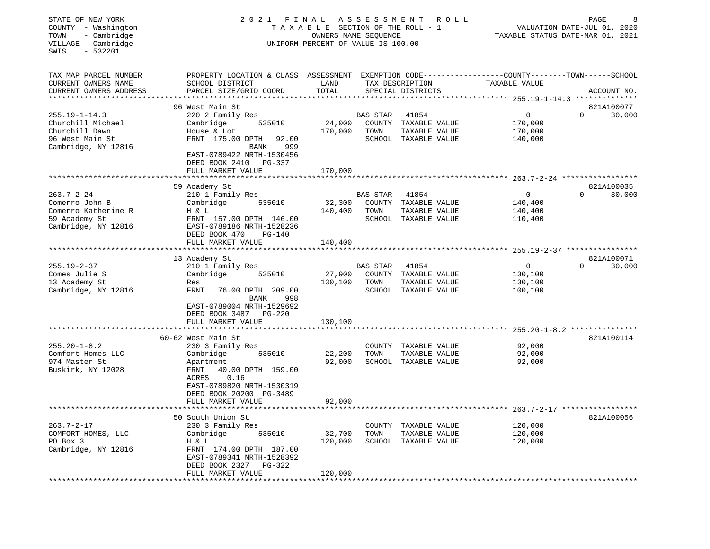| STATE OF NEW YORK<br>COUNTY - Washington<br>TOWN<br>- Cambridge<br>VILLAGE - Cambridge<br>$-532201$<br>SWIS | 2 0 2 1                                  | FINAL             | ASSESSMENT<br>R O L L<br>TAXABLE SECTION OF THE ROLL - 1<br>OWNERS NAME SEQUENCE<br>UNIFORM PERCENT OF VALUE IS 100.00 |                                       |                                                              | PAGE<br>VALUATION DATE-JUL 01, 2020<br>TAXABLE STATUS DATE-MAR 01, 2021 |             |  |  |
|-------------------------------------------------------------------------------------------------------------|------------------------------------------|-------------------|------------------------------------------------------------------------------------------------------------------------|---------------------------------------|--------------------------------------------------------------|-------------------------------------------------------------------------|-------------|--|--|
| TAX MAP PARCEL NUMBER                                                                                       | PROPERTY LOCATION & CLASS ASSESSMENT     |                   |                                                                                                                        |                                       | EXEMPTION CODE-----------------COUNTY-------TOWN------SCHOOL |                                                                         |             |  |  |
| CURRENT OWNERS NAME                                                                                         | SCHOOL DISTRICT                          | LAND              |                                                                                                                        | TAX DESCRIPTION                       | TAXABLE VALUE                                                |                                                                         |             |  |  |
| CURRENT OWNERS ADDRESS                                                                                      | PARCEL SIZE/GRID COORD                   | TOTAL             |                                                                                                                        | SPECIAL DISTRICTS                     |                                                              |                                                                         | ACCOUNT NO. |  |  |
| *********************                                                                                       |                                          |                   |                                                                                                                        |                                       |                                                              |                                                                         |             |  |  |
|                                                                                                             | 96 West Main St                          |                   |                                                                                                                        |                                       |                                                              |                                                                         | 821A100077  |  |  |
| $255.19 - 1 - 14.3$<br>Churchill Michael                                                                    | 220 2 Family Res<br>535010               | 24,000            | <b>BAS STAR</b><br>COUNTY                                                                                              | 41854<br>TAXABLE VALUE                | $\mathbf 0$<br>170,000                                       | $\Omega$                                                                | 30,000      |  |  |
| Churchill Dawn                                                                                              | Cambridge<br>House & Lot                 | 170,000           | TOWN                                                                                                                   | TAXABLE VALUE                         | 170,000                                                      |                                                                         |             |  |  |
| 96 West Main St                                                                                             | FRNT 175.00 DPTH<br>92.00                |                   |                                                                                                                        | SCHOOL TAXABLE VALUE                  | 140,000                                                      |                                                                         |             |  |  |
| Cambridge, NY 12816                                                                                         | 999<br>BANK                              |                   |                                                                                                                        |                                       |                                                              |                                                                         |             |  |  |
|                                                                                                             | EAST-0789422 NRTH-1530456                |                   |                                                                                                                        |                                       |                                                              |                                                                         |             |  |  |
|                                                                                                             | DEED BOOK 2410<br>PG-337                 |                   |                                                                                                                        |                                       |                                                              |                                                                         |             |  |  |
|                                                                                                             | FULL MARKET VALUE                        | 170,000           |                                                                                                                        |                                       |                                                              |                                                                         |             |  |  |
|                                                                                                             | ********************                     |                   |                                                                                                                        |                                       |                                                              |                                                                         |             |  |  |
|                                                                                                             | 59 Academy St                            |                   |                                                                                                                        |                                       |                                                              |                                                                         | 821A100035  |  |  |
| $263.7 - 2 - 24$                                                                                            | 210 1 Family Res                         |                   | BAS STAR                                                                                                               | 41854                                 | $\mathbf 0$                                                  | $\Omega$                                                                | 30,000      |  |  |
| Comerro John B                                                                                              | 535010<br>Cambridge                      | 32,300            | COUNTY                                                                                                                 | TAXABLE VALUE                         | 140,400                                                      |                                                                         |             |  |  |
| Comerro Katherine R<br>59 Academy St                                                                        | H & L<br>FRNT 157.00 DPTH 146.00         | 140,400           | TOWN                                                                                                                   | TAXABLE VALUE<br>SCHOOL TAXABLE VALUE | 140,400<br>110,400                                           |                                                                         |             |  |  |
| Cambridge, NY 12816                                                                                         | EAST-0789186 NRTH-1528236                |                   |                                                                                                                        |                                       |                                                              |                                                                         |             |  |  |
|                                                                                                             | DEED BOOK 470<br>PG-140                  |                   |                                                                                                                        |                                       |                                                              |                                                                         |             |  |  |
|                                                                                                             | FULL MARKET VALUE                        | 140,400           |                                                                                                                        |                                       |                                                              |                                                                         |             |  |  |
|                                                                                                             |                                          |                   |                                                                                                                        |                                       |                                                              |                                                                         |             |  |  |
|                                                                                                             | 13 Academy St                            |                   |                                                                                                                        |                                       |                                                              |                                                                         | 821A100071  |  |  |
| $255.19 - 2 - 37$                                                                                           | 210 1 Family Res                         |                   | <b>BAS STAR</b>                                                                                                        | 41854                                 | $\mathbf 0$                                                  | $\Omega$                                                                | 30,000      |  |  |
| Comes Julie S                                                                                               | Cambridge<br>535010                      | 27,900            | COUNTY                                                                                                                 | TAXABLE VALUE                         | 130,100                                                      |                                                                         |             |  |  |
| 13 Academy St                                                                                               | Res                                      | 130,100           | TOWN                                                                                                                   | TAXABLE VALUE                         | 130,100                                                      |                                                                         |             |  |  |
| Cambridge, NY 12816                                                                                         | FRNT<br>76.00 DPTH 209.00<br>BANK<br>998 |                   |                                                                                                                        | SCHOOL TAXABLE VALUE                  | 100,100                                                      |                                                                         |             |  |  |
|                                                                                                             | EAST-0789004 NRTH-1529692                |                   |                                                                                                                        |                                       |                                                              |                                                                         |             |  |  |
|                                                                                                             | DEED BOOK 3487<br>PG-220                 |                   |                                                                                                                        |                                       |                                                              |                                                                         |             |  |  |
|                                                                                                             | FULL MARKET VALUE<br>******************  | 130,100           |                                                                                                                        |                                       |                                                              |                                                                         |             |  |  |
|                                                                                                             |                                          |                   |                                                                                                                        |                                       |                                                              |                                                                         |             |  |  |
| $255.20 - 1 - 8.2$                                                                                          | 60-62 West Main St<br>230 3 Family Res   |                   |                                                                                                                        | COUNTY TAXABLE VALUE                  | 92,000                                                       |                                                                         | 821A100114  |  |  |
| Comfort Homes LLC                                                                                           | 535010<br>Cambridge                      | 22,200            | TOWN                                                                                                                   | TAXABLE VALUE                         | 92,000                                                       |                                                                         |             |  |  |
| 974 Master St                                                                                               | Apartment                                | 92,000            |                                                                                                                        | SCHOOL TAXABLE VALUE                  | 92,000                                                       |                                                                         |             |  |  |
| Buskirk, NY 12028                                                                                           | FRNT<br>40.00 DPTH 159.00                |                   |                                                                                                                        |                                       |                                                              |                                                                         |             |  |  |
|                                                                                                             | ACRES<br>0.16                            |                   |                                                                                                                        |                                       |                                                              |                                                                         |             |  |  |
|                                                                                                             | EAST-0789820 NRTH-1530319                |                   |                                                                                                                        |                                       |                                                              |                                                                         |             |  |  |
|                                                                                                             | DEED BOOK 20200 PG-3489                  |                   |                                                                                                                        |                                       |                                                              |                                                                         |             |  |  |
|                                                                                                             | FULL MARKET VALUE                        | 92,000            |                                                                                                                        |                                       |                                                              |                                                                         |             |  |  |
|                                                                                                             | **************************               | *************     |                                                                                                                        |                                       |                                                              |                                                                         |             |  |  |
|                                                                                                             | 50 South Union St                        |                   |                                                                                                                        |                                       |                                                              |                                                                         | 821A100056  |  |  |
| $263.7 - 2 - 17$                                                                                            | 230 3 Family Res                         |                   | COUNTY                                                                                                                 | TAXABLE VALUE                         | 120,000                                                      |                                                                         |             |  |  |
| COMFORT HOMES, LLC<br>PO Box 3                                                                              | Cambridge<br>535010<br>H & L             | 32,700<br>120,000 | TOWN                                                                                                                   | TAXABLE VALUE<br>SCHOOL TAXABLE VALUE | 120,000<br>120,000                                           |                                                                         |             |  |  |
| Cambridge, NY 12816                                                                                         | FRNT 174.00 DPTH 187.00                  |                   |                                                                                                                        |                                       |                                                              |                                                                         |             |  |  |
|                                                                                                             | EAST-0789341 NRTH-1528392                |                   |                                                                                                                        |                                       |                                                              |                                                                         |             |  |  |
|                                                                                                             | DEED BOOK 2327<br>$PG-322$               |                   |                                                                                                                        |                                       |                                                              |                                                                         |             |  |  |
|                                                                                                             | FULL MARKET VALUE                        | 120,000           |                                                                                                                        |                                       |                                                              |                                                                         |             |  |  |
|                                                                                                             |                                          |                   |                                                                                                                        |                                       |                                                              |                                                                         |             |  |  |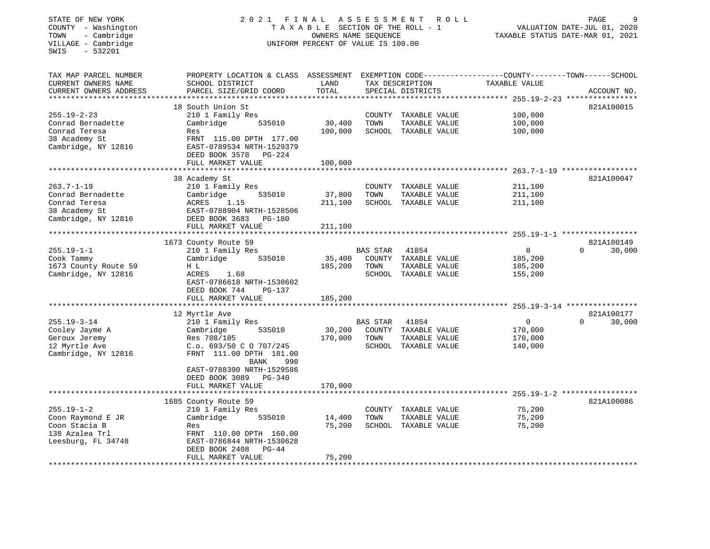# STATE OF NEW YORK 2 0 2 1 F I N A L A S S E S S M E N T R O L L PAGE 9<br>
COUNTY - Washington TA M COUNTY - Washington TA X A B L E SECTION OF THE ROLL - 1 VALUATION DATE-JUL 01, 2020<br>
TOWN - Cambridge Cambridge UNIFORM PERC T A X A B L E SECTION OF THE ROLL - 1<br>OWNERS NAME SEQUENCE UNIFORM PERCENT OF VALUE IS 100.00

VALUATION DATE-JUL 01, 2020

TAXABLE STATUS DATE-MAR 01, 2021

| TAX MAP PARCEL NUMBER                           | PROPERTY LOCATION & CLASS ASSESSMENT                 |                     |                 |                      | EXEMPTION CODE-----------------COUNTY--------TOWN------SCHOOL |                    |
|-------------------------------------------------|------------------------------------------------------|---------------------|-----------------|----------------------|---------------------------------------------------------------|--------------------|
| CURRENT OWNERS NAME                             | SCHOOL DISTRICT                                      | LAND                |                 | TAX DESCRIPTION      | TAXABLE VALUE                                                 |                    |
| CURRENT OWNERS ADDRESS<br>********************* | PARCEL SIZE/GRID COORD<br>**********************     | TOTAL<br>********** |                 | SPECIAL DISTRICTS    |                                                               | ACCOUNT NO.        |
|                                                 |                                                      |                     |                 |                      |                                                               |                    |
|                                                 | 18 South Union St                                    |                     |                 |                      |                                                               | 821A100015         |
| $255.19 - 2 - 23$                               | 210 1 Family Res                                     |                     | COUNTY          | TAXABLE VALUE        | 100,000                                                       |                    |
| Conrad Bernadette                               | Cambridge<br>535010                                  | 30,400              | TOWN            | TAXABLE VALUE        | 100,000                                                       |                    |
| Conrad Teresa                                   | Res                                                  | 100,000             |                 | SCHOOL TAXABLE VALUE | 100,000                                                       |                    |
| 38 Academy St<br>Cambridge, NY 12816            | FRNT 115.00 DPTH 177.00<br>EAST-0789534 NRTH-1529379 |                     |                 |                      |                                                               |                    |
|                                                 | DEED BOOK 3578<br>PG-224                             |                     |                 |                      |                                                               |                    |
|                                                 | FULL MARKET VALUE                                    | 100,000             |                 |                      |                                                               |                    |
|                                                 |                                                      |                     |                 |                      |                                                               |                    |
|                                                 | 38 Academy St                                        |                     |                 |                      |                                                               | 821A100047         |
| $263.7 - 1 - 19$                                | 210 1 Family Res                                     |                     | COUNTY          | TAXABLE VALUE        | 211,100                                                       |                    |
| Conrad Bernadette                               | Cambridge<br>535010                                  | 37,800              | TOWN            | TAXABLE VALUE        | 211,100                                                       |                    |
| Conrad Teresa                                   | ACRES<br>1.15                                        | 211,100             |                 | SCHOOL TAXABLE VALUE | 211,100                                                       |                    |
| 38 Academy St                                   | EAST-0788904 NRTH-1528506                            |                     |                 |                      |                                                               |                    |
| Cambridge, NY 12816                             | DEED BOOK 3683<br>PG-180                             |                     |                 |                      |                                                               |                    |
|                                                 | FULL MARKET VALUE                                    | 211,100             |                 |                      |                                                               |                    |
|                                                 |                                                      |                     |                 |                      |                                                               |                    |
|                                                 | 1673 County Route 59                                 |                     |                 |                      |                                                               | 821A100149         |
| $255.19 - 1 - 1$                                | 210 1 Family Res                                     |                     | <b>BAS STAR</b> | 41854                | $\Omega$                                                      | 30,000<br>$\Omega$ |
| Cook Tammy                                      | Cambridge<br>535010                                  | 35,400              |                 | COUNTY TAXABLE VALUE | 185,200                                                       |                    |
| 1673 County Route 59                            | H L                                                  | 185,200             | TOWN            | TAXABLE VALUE        | 185,200                                                       |                    |
| Cambridge, NY 12816                             | ACRES<br>1.68                                        |                     |                 | SCHOOL TAXABLE VALUE | 155,200                                                       |                    |
|                                                 | EAST-0786618 NRTH-1530602                            |                     |                 |                      |                                                               |                    |
|                                                 | DEED BOOK 744<br>$PG-137$                            |                     |                 |                      |                                                               |                    |
|                                                 | FULL MARKET VALUE                                    | 185,200             |                 |                      |                                                               |                    |
|                                                 |                                                      |                     |                 |                      | $255.19 - 3 - 14$ *********                                   |                    |
|                                                 | 12 Myrtle Ave                                        |                     |                 |                      |                                                               | 821A100177         |
| $255.19 - 3 - 14$                               | 210 1 Family Res                                     |                     | BAS STAR        | 41854                | 0                                                             | 30,000<br>$\Omega$ |
| Cooley Jayme A                                  | Cambridge<br>535010                                  | 30,200              |                 | COUNTY TAXABLE VALUE | 170,000                                                       |                    |
| Geroux Jeremy<br>12 Myrtle Ave                  | Res 708/105                                          | 170,000             | TOWN            | TAXABLE VALUE        | 170,000                                                       |                    |
| Cambridge, NY 12816                             | C.o. 693/50 C O 707/245<br>FRNT 111.00 DPTH 181.00   |                     |                 | SCHOOL TAXABLE VALUE | 140,000                                                       |                    |
|                                                 | <b>BANK</b><br>998                                   |                     |                 |                      |                                                               |                    |
|                                                 | EAST-0788390 NRTH-1529586                            |                     |                 |                      |                                                               |                    |
|                                                 | DEED BOOK 3089<br>$PG-340$                           |                     |                 |                      |                                                               |                    |
|                                                 | FULL MARKET VALUE                                    | 170,000             |                 |                      |                                                               |                    |
|                                                 | *************************                            | ***********         |                 |                      |                                                               |                    |
|                                                 | 1685 County Route 59                                 |                     |                 |                      |                                                               | 821A100086         |
| $255.19 - 1 - 2$                                | 210 1 Family Res                                     |                     | COUNTY          | TAXABLE VALUE        | 75,200                                                        |                    |
| Coon Raymond E JR                               | Cambridge<br>535010                                  | 14,400              | TOWN            | TAXABLE VALUE        | 75,200                                                        |                    |
| Coon Stacia B                                   | Res                                                  | 75,200              |                 | SCHOOL TAXABLE VALUE | 75,200                                                        |                    |
| 138 Azalea Trl                                  | FRNT 110.00 DPTH 160.00                              |                     |                 |                      |                                                               |                    |
| Leesburg, FL 34748                              | EAST-0786844 NRTH-1530628                            |                     |                 |                      |                                                               |                    |
|                                                 | DEED BOOK 2408<br>$PG-44$                            |                     |                 |                      |                                                               |                    |
|                                                 | FULL MARKET VALUE                                    | 75,200              |                 |                      |                                                               |                    |
|                                                 |                                                      |                     |                 |                      |                                                               |                    |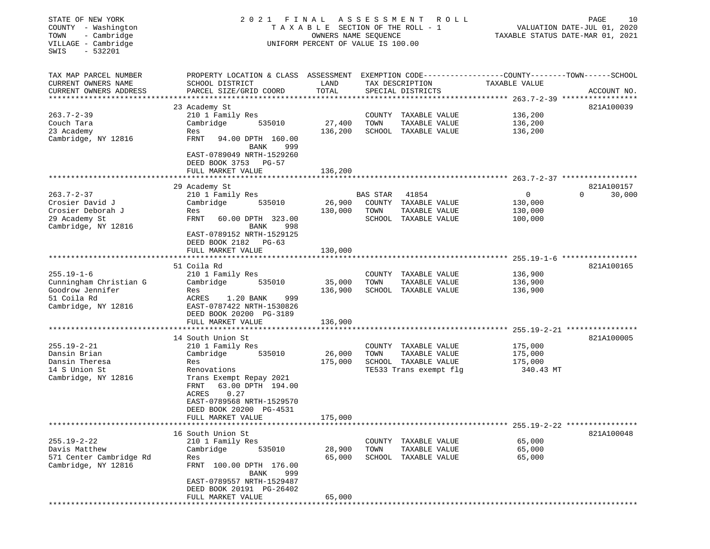| STATE OF NEW YORK<br>COUNTY - Washington<br>TOWN<br>- Cambridge<br>VILLAGE - Cambridge<br>$-532201$<br>SWIS | 2021 FINAL                                                                                                                                                        | T A X A B L E SECTION OF THE ROLL - 1<br>OWNERS NAME SEQUENCE<br>UNIFORM PERCENT OF VALUE IS 100.00 | ASSESSMENT       | R O L L                                                                |                                                 | PAGE<br>10<br>VALUATION DATE-JUL 01, 2020<br>TAXABLE STATUS DATE-MAR 01, 2021 |
|-------------------------------------------------------------------------------------------------------------|-------------------------------------------------------------------------------------------------------------------------------------------------------------------|-----------------------------------------------------------------------------------------------------|------------------|------------------------------------------------------------------------|-------------------------------------------------|-------------------------------------------------------------------------------|
| TAX MAP PARCEL NUMBER<br>CURRENT OWNERS NAME                                                                | PROPERTY LOCATION & CLASS ASSESSMENT EXEMPTION CODE---------------COUNTY-------TOWN------SCHOOL<br>SCHOOL DISTRICT                                                | LAND                                                                                                |                  | TAX DESCRIPTION                                                        | TAXABLE VALUE                                   |                                                                               |
| CURRENT OWNERS ADDRESS<br>***********************                                                           | PARCEL SIZE/GRID COORD                                                                                                                                            | TOTAL                                                                                               |                  | SPECIAL DISTRICTS                                                      |                                                 | ACCOUNT NO.                                                                   |
|                                                                                                             | 23 Academy St                                                                                                                                                     |                                                                                                     |                  |                                                                        |                                                 | 821A100039                                                                    |
| $263.7 - 2 - 39$                                                                                            | 210 1 Family Res                                                                                                                                                  |                                                                                                     |                  | COUNTY TAXABLE VALUE                                                   | 136,200                                         |                                                                               |
| Couch Tara                                                                                                  | Cambridge<br>535010                                                                                                                                               | 27,400                                                                                              | TOWN             | TAXABLE VALUE                                                          | 136,200                                         |                                                                               |
| 23 Academy<br>Cambridge, NY 12816                                                                           | Res<br>FRNT<br>94.00 DPTH 160.00<br>BANK<br>999                                                                                                                   | 136,200                                                                                             |                  | SCHOOL TAXABLE VALUE                                                   | 136,200                                         |                                                                               |
|                                                                                                             | EAST-0789049 NRTH-1529260<br>DEED BOOK 3753 PG-57<br>FULL MARKET VALUE                                                                                            | 136,200                                                                                             |                  |                                                                        |                                                 |                                                                               |
|                                                                                                             | ********************                                                                                                                                              |                                                                                                     |                  |                                                                        |                                                 |                                                                               |
|                                                                                                             | 29 Academy St                                                                                                                                                     |                                                                                                     |                  |                                                                        |                                                 | 821A100157                                                                    |
| $263.7 - 2 - 37$<br>Crosier David J<br>Crosier Deborah J<br>29 Academy St<br>Cambridge, NY 12816            | 210 1 Family Res<br>Cambridge<br>535010<br>Res<br>FRNT<br>60.00 DPTH 323.00<br>BANK<br>998<br>EAST-0789152 NRTH-1529125<br>DEED BOOK 2182 PG-63                   | 26,900<br>130,000                                                                                   | BAS STAR<br>TOWN | 41854<br>COUNTY TAXABLE VALUE<br>TAXABLE VALUE<br>SCHOOL TAXABLE VALUE | $\overline{0}$<br>130,000<br>130,000<br>100,000 | $\Omega$<br>30,000                                                            |
|                                                                                                             | FULL MARKET VALUE                                                                                                                                                 | 130,000                                                                                             |                  |                                                                        |                                                 |                                                                               |
|                                                                                                             |                                                                                                                                                                   |                                                                                                     |                  |                                                                        |                                                 |                                                                               |
| $255.19 - 1 - 6$<br>Cunningham Christian G<br>Goodrow Jennifer<br>51 Coila Rd<br>Cambridge, NY 12816        | 51 Coila Rd<br>210 1 Family Res<br>Cambridge<br>535010<br>Res<br>ACRES<br>1.20 BANK<br>999<br>EAST-0787422 NRTH-1530826<br>DEED BOOK 20200 PG-3189                | 35,000<br>136,900                                                                                   | TOWN             | COUNTY TAXABLE VALUE<br>TAXABLE VALUE<br>SCHOOL TAXABLE VALUE          | 136,900<br>136,900<br>136,900                   | 821A100165                                                                    |
|                                                                                                             | FULL MARKET VALUE                                                                                                                                                 | 136,900                                                                                             |                  |                                                                        |                                                 |                                                                               |
|                                                                                                             | 14 South Union St                                                                                                                                                 |                                                                                                     |                  |                                                                        |                                                 | 821A100005                                                                    |
| $255.19 - 2 - 21$<br>Dansin Brian                                                                           | 210 1 Family Res<br>Cambridge<br>535010                                                                                                                           | 26,000                                                                                              | TOWN             | COUNTY TAXABLE VALUE<br>TAXABLE VALUE                                  | 175,000<br>175,000                              |                                                                               |
| Dansin Theresa                                                                                              | Res                                                                                                                                                               | 175,000                                                                                             |                  | SCHOOL TAXABLE VALUE                                                   | 175,000                                         |                                                                               |
| 14 S Union St<br>Cambridge, NY 12816                                                                        | Renovations<br>Trans Exempt Repay 2021<br>FRNT<br>63.00 DPTH 194.00<br>ACRES<br>0.27<br>EAST-0789568 NRTH-1529570<br>DEED BOOK 20200 PG-4531<br>FULL MARKET VALUE | 175,000                                                                                             |                  | TE533 Trans exempt flg                                                 | 340.43 MT                                       |                                                                               |
|                                                                                                             |                                                                                                                                                                   |                                                                                                     |                  |                                                                        |                                                 |                                                                               |
|                                                                                                             | 16 South Union St                                                                                                                                                 |                                                                                                     |                  |                                                                        |                                                 | 821A100048                                                                    |
| $255.19 - 2 - 22$                                                                                           | 210 1 Family Res                                                                                                                                                  |                                                                                                     |                  | COUNTY TAXABLE VALUE                                                   | 65,000                                          |                                                                               |
| Davis Matthew<br>571 Center Cambridge Rd<br>Cambridge, NY 12816                                             | 535010<br>Cambridge<br>Res<br>FRNT 100.00 DPTH 176.00<br>BANK<br>999                                                                                              | 28,900<br>65,000                                                                                    | TOWN             | TAXABLE VALUE<br>SCHOOL TAXABLE VALUE                                  | 65,000<br>65,000                                |                                                                               |
|                                                                                                             | EAST-0789557 NRTH-1529487<br>DEED BOOK 20191 PG-26402<br>FULL MARKET VALUE<br>*******************                                                                 | 65,000                                                                                              |                  |                                                                        |                                                 |                                                                               |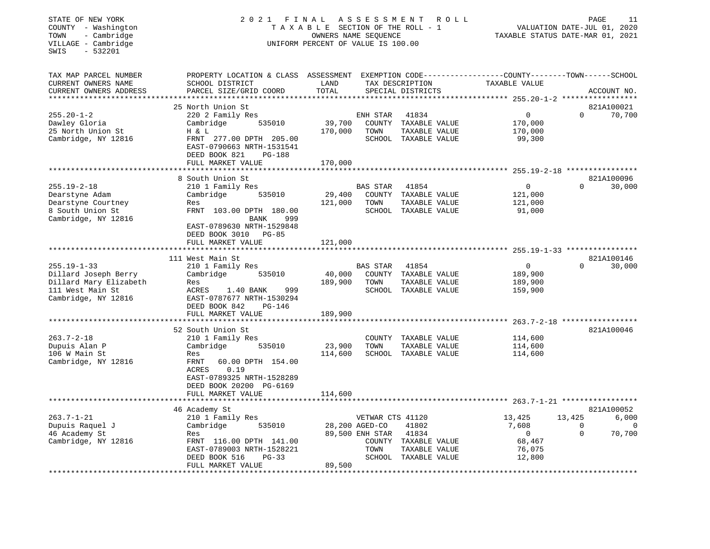| STATE OF NEW YORK<br>COUNTY - Washington<br>- Cambridge<br>TOWN<br>VILLAGE - Cambridge<br>$-532201$<br>SWIS | 2021                                                                                                         | FINAL<br>ASSESSMENT<br>R O L L<br>TAXABLE SECTION OF THE ROLL - 1<br>VALUATION DATE-JUL 01, 2020<br>OWNERS NAME SEQUENCE<br>TAXABLE STATUS DATE-MAR 01, 2021<br>UNIFORM PERCENT OF VALUE IS 100.00 |                  |                      |                                                                               |             | PAGE<br>11  |
|-------------------------------------------------------------------------------------------------------------|--------------------------------------------------------------------------------------------------------------|----------------------------------------------------------------------------------------------------------------------------------------------------------------------------------------------------|------------------|----------------------|-------------------------------------------------------------------------------|-------------|-------------|
| TAX MAP PARCEL NUMBER<br>CURRENT OWNERS NAME                                                                | PROPERTY LOCATION & CLASS ASSESSMENT<br>SCHOOL DISTRICT                                                      | LAND                                                                                                                                                                                               |                  | TAX DESCRIPTION      | EXEMPTION CODE-----------------COUNTY-------TOWN------SCHOOL<br>TAXABLE VALUE |             |             |
| CURRENT OWNERS ADDRESS<br>**********************                                                            | PARCEL SIZE/GRID COORD<br>*************************                                                          | TOTAL                                                                                                                                                                                              |                  | SPECIAL DISTRICTS    |                                                                               |             | ACCOUNT NO. |
|                                                                                                             | 25 North Union St                                                                                            |                                                                                                                                                                                                    |                  |                      |                                                                               |             | 821A100021  |
| $255.20 - 1 - 2$                                                                                            | 220 2 Family Res                                                                                             |                                                                                                                                                                                                    | ENH STAR         | 41834                | $\mathbf 0$                                                                   | $\Omega$    | 70,700      |
| Dawley Gloria                                                                                               | Cambridge<br>535010                                                                                          | 39,700                                                                                                                                                                                             |                  | COUNTY TAXABLE VALUE | 170,000                                                                       |             |             |
| 25 North Union St                                                                                           | H & L                                                                                                        | 170,000                                                                                                                                                                                            | TOWN             | TAXABLE VALUE        | 170,000                                                                       |             |             |
| Cambridge, NY 12816                                                                                         | FRNT 277.00 DPTH 205.00<br>EAST-0790663 NRTH-1531541<br>DEED BOOK 821<br>PG-188                              |                                                                                                                                                                                                    |                  | SCHOOL TAXABLE VALUE | 99,300                                                                        |             |             |
|                                                                                                             | FULL MARKET VALUE                                                                                            | 170,000                                                                                                                                                                                            |                  |                      |                                                                               |             |             |
|                                                                                                             |                                                                                                              | ********                                                                                                                                                                                           |                  |                      | *********** 255.19-2-18 ****************                                      |             |             |
|                                                                                                             | 8 South Union St                                                                                             |                                                                                                                                                                                                    |                  |                      |                                                                               |             | 821A100096  |
| $255.19 - 2 - 18$                                                                                           | 210 1 Family Res                                                                                             |                                                                                                                                                                                                    | <b>BAS STAR</b>  | 41854                | $\mathbf 0$                                                                   | $\Omega$    | 30,000      |
| Dearstyne Adam                                                                                              | Cambridge<br>535010                                                                                          | 29,400                                                                                                                                                                                             |                  | COUNTY TAXABLE VALUE | 121,000                                                                       |             |             |
| Dearstyne Courtney                                                                                          | Res                                                                                                          | 121,000                                                                                                                                                                                            | TOWN             | TAXABLE VALUE        | 121,000                                                                       |             |             |
| 8 South Union St<br>Cambridge, NY 12816                                                                     | FRNT 103.00 DPTH 180.00<br><b>BANK</b><br>999<br>EAST-0789630 NRTH-1529848<br><b>PG-85</b><br>DEED BOOK 3010 |                                                                                                                                                                                                    |                  | SCHOOL TAXABLE VALUE | 91,000                                                                        |             |             |
|                                                                                                             | FULL MARKET VALUE                                                                                            | 121,000                                                                                                                                                                                            |                  |                      |                                                                               |             |             |
|                                                                                                             |                                                                                                              |                                                                                                                                                                                                    |                  |                      |                                                                               |             |             |
|                                                                                                             | 111 West Main St                                                                                             |                                                                                                                                                                                                    |                  |                      |                                                                               |             | 821A100146  |
| $255.19 - 1 - 33$                                                                                           | 210 1 Family Res                                                                                             |                                                                                                                                                                                                    | <b>BAS STAR</b>  | 41854                | $\mathbf 0$                                                                   | $\Omega$    | 30,000      |
| Dillard Joseph Berry                                                                                        | 535010<br>Cambridge                                                                                          | 40,000                                                                                                                                                                                             |                  | COUNTY TAXABLE VALUE | 189,900                                                                       |             |             |
| Dillard Mary Elizabeth                                                                                      | Res                                                                                                          | 189,900                                                                                                                                                                                            | TOWN             | TAXABLE VALUE        | 189,900                                                                       |             |             |
| 111 West Main St<br>Cambridge, NY 12816                                                                     | ACRES<br>1.40 BANK<br>999<br>EAST-0787677 NRTH-1530294<br>DEED BOOK 842<br><b>PG-146</b>                     |                                                                                                                                                                                                    |                  | SCHOOL TAXABLE VALUE | 159,900                                                                       |             |             |
|                                                                                                             | FULL MARKET VALUE<br>*******************                                                                     | 189,900<br>*************                                                                                                                                                                           |                  |                      |                                                                               |             |             |
|                                                                                                             | 52 South Union St                                                                                            |                                                                                                                                                                                                    |                  |                      |                                                                               |             | 821A100046  |
| $263.7 - 2 - 18$                                                                                            | 210 1 Family Res                                                                                             |                                                                                                                                                                                                    | COUNTY           | TAXABLE VALUE        | 114,600                                                                       |             |             |
| Dupuis Alan P                                                                                               | Cambridge<br>535010                                                                                          | 23,900                                                                                                                                                                                             | TOWN             | TAXABLE VALUE        | 114,600                                                                       |             |             |
| 106 W Main St                                                                                               | Res                                                                                                          | 114,600                                                                                                                                                                                            |                  | SCHOOL TAXABLE VALUE | 114,600                                                                       |             |             |
| Cambridge, NY 12816                                                                                         | FRNT<br>60.00 DPTH 154.00<br>0.19<br>ACRES<br>EAST-0789325 NRTH-1528289<br>DEED BOOK 20200 PG-6169           |                                                                                                                                                                                                    |                  |                      |                                                                               |             |             |
|                                                                                                             | FULL MARKET VALUE                                                                                            | 114,600                                                                                                                                                                                            |                  |                      |                                                                               |             |             |
|                                                                                                             | ************************                                                                                     |                                                                                                                                                                                                    |                  |                      |                                                                               |             |             |
|                                                                                                             | 46 Academy St                                                                                                |                                                                                                                                                                                                    |                  |                      |                                                                               |             | 821A100052  |
| $263.7 - 1 - 21$                                                                                            | 210 1 Family Res                                                                                             |                                                                                                                                                                                                    | VETWAR CTS 41120 |                      | 13,425                                                                        | 13,425      | 6,000       |
| Dupuis Raquel J                                                                                             | 535010<br>Cambridge                                                                                          |                                                                                                                                                                                                    | 28,200 AGED-CO   | 41802                | 7,608                                                                         | $\mathbf 0$ | 0           |
| 46 Academy St                                                                                               | Res                                                                                                          |                                                                                                                                                                                                    | 89,500 ENH STAR  | 41834                | $\overline{0}$                                                                | $\Omega$    | 70,700      |
| Cambridge, NY 12816                                                                                         | FRNT 116.00 DPTH 141.00                                                                                      |                                                                                                                                                                                                    |                  | COUNTY TAXABLE VALUE | 68,467                                                                        |             |             |
|                                                                                                             | EAST-0789003 NRTH-1528221                                                                                    |                                                                                                                                                                                                    | TOWN             | TAXABLE VALUE        | 76,075                                                                        |             |             |
|                                                                                                             | $PG-33$<br>DEED BOOK 516<br>FULL MARKET VALUE<br>*******************                                         | 89,500                                                                                                                                                                                             |                  | SCHOOL TAXABLE VALUE | 12,800                                                                        |             |             |
|                                                                                                             |                                                                                                              |                                                                                                                                                                                                    |                  |                      |                                                                               |             |             |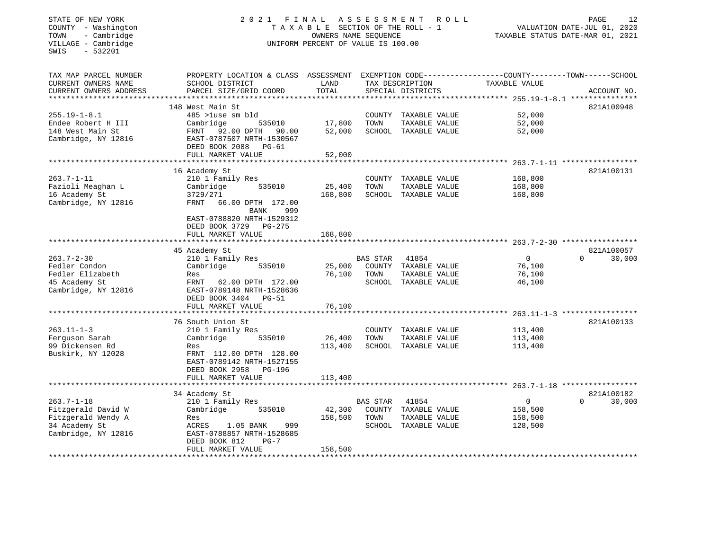| STATE OF NEW YORK<br>COUNTY - Washington<br>TOWN<br>- Cambridge<br>VILLAGE - Cambridge<br>SWIS<br>$-532201$ | 2021 FINAL ASSESSMENT                                                             | TAXABLE SECTION OF THE ROLL - 1<br>OWNERS NAME SEQUENCE<br>UNIFORM PERCENT OF VALUE IS 100.00 |          |                                      | R O L L       | 12<br>PAGE<br>VALUATION DATE-JUL 01, 2020<br>TAXABLE STATUS DATE-MAR 01, 2021 |
|-------------------------------------------------------------------------------------------------------------|-----------------------------------------------------------------------------------|-----------------------------------------------------------------------------------------------|----------|--------------------------------------|---------------|-------------------------------------------------------------------------------|
| TAX MAP PARCEL NUMBER<br>CURRENT OWNERS NAME<br>CURRENT OWNERS ADDRESS                                      | PROPERTY LOCATION & CLASS ASSESSMENT<br>SCHOOL DISTRICT<br>PARCEL SIZE/GRID COORD | LAND<br>TOTAL                                                                                 |          | TAX DESCRIPTION<br>SPECIAL DISTRICTS | TAXABLE VALUE | EXEMPTION CODE----------------COUNTY-------TOWN------SCHOOL<br>ACCOUNT NO.    |
| ****************                                                                                            |                                                                                   | **********                                                                                    |          |                                      |               |                                                                               |
|                                                                                                             | 148 West Main St                                                                  |                                                                                               |          |                                      |               | 821A100948                                                                    |
| $255.19 - 1 - 8.1$                                                                                          | 485 >luse sm bld                                                                  |                                                                                               |          | COUNTY TAXABLE VALUE                 | 52,000        |                                                                               |
| Endee Robert H III                                                                                          | Cambridge<br>535010                                                               | 17,800                                                                                        | TOWN     | TAXABLE VALUE                        | 52,000        |                                                                               |
| 148 West Main St<br>Cambridge, NY 12816                                                                     | FRNT 92.00 DPTH 90.00<br>EAST-0787507 NRTH-1530567<br>DEED BOOK 2088 PG-61        | 52,000                                                                                        |          | SCHOOL TAXABLE VALUE                 | 52,000        |                                                                               |
|                                                                                                             | FULL MARKET VALUE                                                                 | 52,000                                                                                        |          |                                      |               |                                                                               |
|                                                                                                             | 16 Academy St                                                                     |                                                                                               |          |                                      |               | 821A100131                                                                    |
| $263.7 - 1 - 11$                                                                                            | 210 1 Family Res                                                                  |                                                                                               |          | COUNTY TAXABLE VALUE                 | 168,800       |                                                                               |
| Fazioli Meaghan L                                                                                           | 535010<br>Cambridge                                                               | 25,400                                                                                        | TOWN     | TAXABLE VALUE                        | 168,800       |                                                                               |
| 16 Academy St                                                                                               | 3729/271                                                                          | 168,800                                                                                       |          | SCHOOL TAXABLE VALUE                 | 168,800       |                                                                               |
| Cambridge, NY 12816                                                                                         | FRNT 66.00 DPTH 172.00<br>BANK<br>999                                             |                                                                                               |          |                                      |               |                                                                               |
|                                                                                                             | EAST-0788820 NRTH-1529312<br>DEED BOOK 3729 PG-275<br>FULL MARKET VALUE           | 168,800                                                                                       |          |                                      |               |                                                                               |
|                                                                                                             |                                                                                   |                                                                                               |          |                                      |               |                                                                               |
|                                                                                                             | 45 Academy St                                                                     |                                                                                               |          |                                      |               | 821A100057                                                                    |
| $263.7 - 2 - 30$                                                                                            | 210 1 Family Res                                                                  |                                                                                               | BAS STAR | 41854                                | $\Omega$      | 30,000<br>$\Omega$                                                            |
| Fedler Condon                                                                                               | Cambridge<br>535010                                                               | 25,000                                                                                        |          | COUNTY TAXABLE VALUE                 | 76,100        |                                                                               |
| Fedler Elizabeth                                                                                            | Res                                                                               | 76,100                                                                                        | TOWN     | TAXABLE VALUE                        | 76,100        |                                                                               |
| 45 Academy St                                                                                               | FRNT<br>62.00 DPTH 172.00                                                         |                                                                                               |          | SCHOOL TAXABLE VALUE                 | 46,100        |                                                                               |
| Cambridge, NY 12816                                                                                         | EAST-0789148 NRTH-1528636                                                         |                                                                                               |          |                                      |               |                                                                               |
|                                                                                                             | DEED BOOK 3404 PG-51                                                              |                                                                                               |          |                                      |               |                                                                               |
|                                                                                                             | FULL MARKET VALUE                                                                 | 76,100                                                                                        |          |                                      |               |                                                                               |
|                                                                                                             | 76 South Union St                                                                 |                                                                                               |          |                                      |               | 821A100133                                                                    |
| $263.11 - 1 - 3$                                                                                            | 210 1 Family Res                                                                  |                                                                                               |          | COUNTY TAXABLE VALUE                 | 113,400       |                                                                               |
| Ferguson Sarah                                                                                              | Cambridge<br>535010                                                               | 26,400                                                                                        | TOWN     | TAXABLE VALUE                        | 113,400       |                                                                               |
| 99 Dickensen Rd                                                                                             | Res                                                                               | 113,400                                                                                       |          | SCHOOL TAXABLE VALUE                 | 113,400       |                                                                               |
| Buskirk, NY 12028                                                                                           | FRNT 112.00 DPTH 128.00<br>EAST-0789142 NRTH-1527155<br>DEED BOOK 2958 PG-196     |                                                                                               |          |                                      |               |                                                                               |
|                                                                                                             | FULL MARKET VALUE                                                                 | 113,400                                                                                       |          |                                      |               |                                                                               |
|                                                                                                             |                                                                                   |                                                                                               |          |                                      |               |                                                                               |
|                                                                                                             | 34 Academy St                                                                     |                                                                                               |          |                                      |               | 821A100182                                                                    |
| $263.7 - 1 - 18$                                                                                            | 210 1 Family Res                                                                  |                                                                                               | BAS STAR | 41854                                | 0             | $\Omega$<br>30,000                                                            |
| Fitzgerald David W                                                                                          | Cambridge<br>535010                                                               | 42,300                                                                                        |          | COUNTY TAXABLE VALUE                 | 158,500       |                                                                               |
| Fitzgerald Wendy A                                                                                          | Res                                                                               | 158,500                                                                                       | TOWN     | TAXABLE VALUE                        | 158,500       |                                                                               |
| 34 Academy St<br>Cambridge, NY 12816                                                                        | ACRES<br>1.05 BANK<br>999<br>EAST-0788857 NRTH-1528685<br>DEED BOOK 812<br>$PG-7$ |                                                                                               |          | SCHOOL TAXABLE VALUE                 | 128,500       |                                                                               |
|                                                                                                             | FULL MARKET VALUE                                                                 | 158,500                                                                                       |          |                                      |               |                                                                               |
|                                                                                                             |                                                                                   |                                                                                               |          |                                      |               |                                                                               |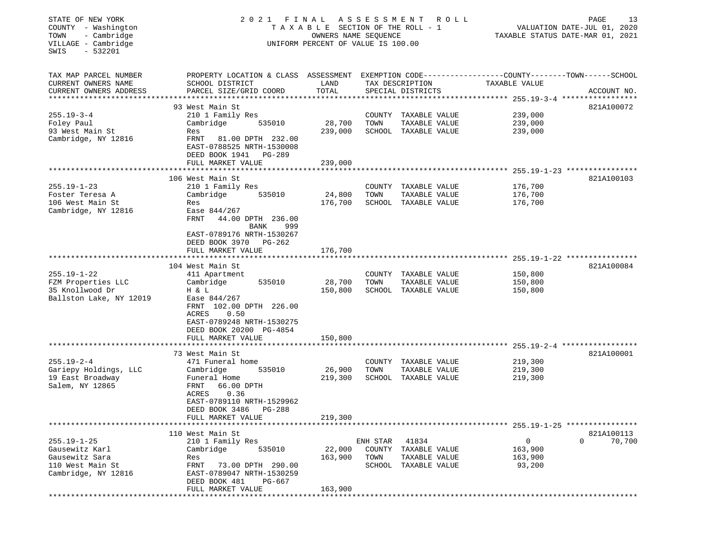| STATE OF NEW YORK<br>COUNTY - Washington<br>- Cambridge<br>TOWN<br>VILLAGE - Cambridge<br>SWIS<br>$-532201$                   | 2021 FINAL ASSESSMENT                                                                                                                                                                                      | T A X A B L E SECTION OF THE ROLL - 1<br>OWNERS NAME SEQUENCE<br>UNIFORM PERCENT OF VALUE IS 100.00 |                                      | ROLL                                                          | PAGE<br>VALUATION DATE-JUL 01, 2020<br>TAXABLE STATUS DATE-MAR 01, 2021 |                                  |  |
|-------------------------------------------------------------------------------------------------------------------------------|------------------------------------------------------------------------------------------------------------------------------------------------------------------------------------------------------------|-----------------------------------------------------------------------------------------------------|--------------------------------------|---------------------------------------------------------------|-------------------------------------------------------------------------|----------------------------------|--|
| TAX MAP PARCEL NUMBER<br>CURRENT OWNERS NAME<br>CURRENT OWNERS ADDRESS                                                        | PROPERTY LOCATION & CLASS ASSESSMENT EXEMPTION CODE----------------COUNTY-------TOWN------SCHOOL<br>SCHOOL DISTRICT<br>PARCEL SIZE/GRID COORD                                                              | LAND<br>TOTAL                                                                                       |                                      | TAX DESCRIPTION<br>SPECIAL DISTRICTS                          | TAXABLE VALUE                                                           | ACCOUNT NO.                      |  |
| $255.19 - 3 - 4$<br>Foley Paul<br>93 West Main St<br>Cambridge, NY 12816                                                      | 93 West Main St<br>210 1 Family Res<br>Cambridge<br>535010<br>Res<br>FRNT<br>81.00 DPTH 232.00<br>EAST-0788525 NRTH-1530008<br>DEED BOOK 1941 PG-289<br>FULL MARKET VALUE                                  | 28,700<br>239,000<br>239,000                                                                        | TOWN                                 | COUNTY TAXABLE VALUE<br>TAXABLE VALUE<br>SCHOOL TAXABLE VALUE | 239,000<br>239,000<br>239,000                                           | 821A100072                       |  |
| $255.19 - 1 - 23$<br>Foster Teresa A<br>106 West Main St<br>Cambridge, NY 12816                                               | 106 West Main St<br>210 1 Family Res<br>Cambridge<br>535010<br>Res<br>Ease 844/267<br>FRNT<br>44.00 DPTH 236.00<br>999<br>BANK                                                                             | 24,800<br>176,700                                                                                   | TOWN                                 | COUNTY TAXABLE VALUE<br>TAXABLE VALUE<br>SCHOOL TAXABLE VALUE | 176,700<br>176,700<br>176,700                                           | 821A100103                       |  |
|                                                                                                                               | EAST-0789176 NRTH-1530267<br>DEED BOOK 3970 PG-262<br>FULL MARKET VALUE                                                                                                                                    | 176,700                                                                                             |                                      |                                                               |                                                                         |                                  |  |
| $255.19 - 1 - 22$<br>FZM Properties LLC<br>35 Knollwood Dr<br>Ballston Lake, NY 12019                                         | 104 West Main St<br>411 Apartment<br>Cambridge<br>535010<br>H & L<br>Ease 844/267<br>FRNT 102.00 DPTH 226.00<br>ACRES<br>0.50<br>EAST-0789248 NRTH-1530275<br>DEED BOOK 20200 PG-4854<br>FULL MARKET VALUE | 28,700<br>150,800<br>150,800                                                                        | TOWN                                 | COUNTY TAXABLE VALUE<br>TAXABLE VALUE<br>SCHOOL TAXABLE VALUE | 150,800<br>150,800<br>150,800                                           | 821A100084                       |  |
| $255.19 - 2 - 4$<br>Gariepy Holdings, LLC<br>19 East Broadway<br>Salem, NY 12865                                              | 73 West Main St<br>471 Funeral home<br>Cambridge<br>535010<br>Funeral Home<br>FRNT<br>66.00 DPTH<br>0.36<br>ACRES<br>EAST-0789110 NRTH-1529962<br>DEED BOOK 3486<br>PG-288<br>FULL MARKET VALUE            | 26,900<br>219,300<br>219,300                                                                        | TOWN                                 | COUNTY TAXABLE VALUE<br>TAXABLE VALUE<br>SCHOOL TAXABLE VALUE | 219,300<br>219,300<br>219,300                                           | 821A100001                       |  |
| *************************<br>$255.19 - 1 - 25$<br>Gausewitz Karl<br>Gausewitz Sara<br>110 West Main St<br>Cambridge, NY 12816 | 110 West Main St<br>210 1 Family Res<br>535010<br>Cambridge<br>Res<br>FRNT<br>73.00 DPTH 290.00<br>EAST-0789047 NRTH-1530259<br>DEED BOOK 481<br>PG-667<br>FULL MARKET VALUE<br>******************         | 22,000<br>163,900<br>163,900<br>*****************************                                       | ENH STAR<br>COUNTY<br>TOWN<br>SCHOOL | 41834<br>TAXABLE VALUE<br>TAXABLE VALUE<br>TAXABLE VALUE      | 0<br>163,900<br>163,900<br>93,200                                       | 821A100113<br>$\Omega$<br>70,700 |  |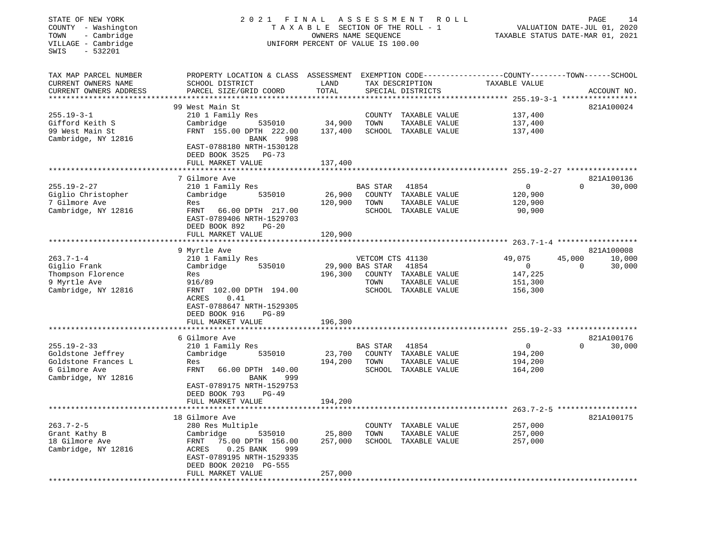| STATE OF NEW YORK<br>COUNTY - Washington<br>TOWN<br>- Cambridge<br>VILLAGE - Cambridge<br>SWIS<br>$-532201$ | 2021 FINAL                                                                                              | T A X A B L E SECTION OF THE ROLL - 1<br>OWNERS NAME SEQUENCE<br>UNIFORM PERCENT OF VALUE IS 100.00 | ASSESSMENT       | R O L L                               |                                                                               | PAGE<br>14<br>VALUATION DATE-JUL 01, 2020<br>TAXABLE STATUS DATE-MAR 01, 2021 |
|-------------------------------------------------------------------------------------------------------------|---------------------------------------------------------------------------------------------------------|-----------------------------------------------------------------------------------------------------|------------------|---------------------------------------|-------------------------------------------------------------------------------|-------------------------------------------------------------------------------|
| TAX MAP PARCEL NUMBER<br>CURRENT OWNERS NAME<br>CURRENT OWNERS ADDRESS                                      | PROPERTY LOCATION & CLASS ASSESSMENT<br>SCHOOL DISTRICT<br>PARCEL SIZE/GRID COORD                       | LAND<br>TOTAL                                                                                       |                  | TAX DESCRIPTION<br>SPECIAL DISTRICTS  | EXEMPTION CODE-----------------COUNTY-------TOWN------SCHOOL<br>TAXABLE VALUE | ACCOUNT NO.                                                                   |
| ********************                                                                                        |                                                                                                         |                                                                                                     |                  |                                       | ************************************* 255.19-3-1 *****************            |                                                                               |
| $255.19 - 3 - 1$                                                                                            | 99 West Main St<br>210 1 Family Res                                                                     |                                                                                                     | COUNTY           |                                       | 137,400                                                                       | 821A100024                                                                    |
| Gifford Keith S                                                                                             | Cambridge<br>535010                                                                                     | 34,900                                                                                              | TOWN             | TAXABLE VALUE<br>TAXABLE VALUE        | 137,400                                                                       |                                                                               |
| 99 West Main St                                                                                             | FRNT 155.00 DPTH 222.00                                                                                 | 137,400                                                                                             |                  | SCHOOL TAXABLE VALUE                  | 137,400                                                                       |                                                                               |
| Cambridge, NY 12816                                                                                         | 998<br>BANK<br>EAST-0788180 NRTH-1530128<br>DEED BOOK 3525<br>$PG-73$                                   |                                                                                                     |                  |                                       |                                                                               |                                                                               |
|                                                                                                             | FULL MARKET VALUE                                                                                       | 137,400                                                                                             |                  |                                       |                                                                               |                                                                               |
|                                                                                                             |                                                                                                         |                                                                                                     |                  |                                       |                                                                               |                                                                               |
| $255.19 - 2 - 27$                                                                                           | 7 Gilmore Ave<br>210 1 Family Res                                                                       |                                                                                                     | <b>BAS STAR</b>  | 41854                                 | 0                                                                             | 821A100136<br>$\Omega$<br>30,000                                              |
| Giglio Christopher                                                                                          | Cambridge<br>535010                                                                                     | 26,900                                                                                              |                  | COUNTY TAXABLE VALUE                  | 120,900                                                                       |                                                                               |
| 7 Gilmore Ave                                                                                               | Res                                                                                                     | 120,900                                                                                             | TOWN             | TAXABLE VALUE                         | 120,900                                                                       |                                                                               |
| Cambridge, NY 12816                                                                                         | FRNT<br>66.00 DPTH 217.00<br>EAST-0789406 NRTH-1529703<br>DEED BOOK 892<br>$PG-20$<br>FULL MARKET VALUE | 120,900                                                                                             |                  | SCHOOL TAXABLE VALUE                  | 90,900                                                                        |                                                                               |
|                                                                                                             |                                                                                                         |                                                                                                     |                  |                                       |                                                                               |                                                                               |
|                                                                                                             | 9 Myrtle Ave                                                                                            |                                                                                                     |                  |                                       |                                                                               | 821A100008                                                                    |
| $263.7 - 1 - 4$                                                                                             | 210 1 Family Res                                                                                        |                                                                                                     | VETCOM CTS 41130 |                                       | 49,075                                                                        | 10,000<br>45,000                                                              |
| Giglio Frank                                                                                                | Cambridge<br>535010                                                                                     |                                                                                                     | 29,900 BAS STAR  | 41854                                 | $\mathbf{0}$                                                                  | $\mathbf 0$<br>30,000                                                         |
| Thompson Florence                                                                                           | Res                                                                                                     | 196,300                                                                                             |                  | COUNTY TAXABLE VALUE                  | 147,225                                                                       |                                                                               |
| 9 Myrtle Ave                                                                                                | 916/89                                                                                                  |                                                                                                     | TOWN             | TAXABLE VALUE                         | 151,300                                                                       |                                                                               |
| Cambridge, NY 12816                                                                                         | FRNT 102.00 DPTH 194.00<br>0.41<br>ACRES<br>EAST-0788647 NRTH-1529305<br>DEED BOOK 916<br>$PG-89$       |                                                                                                     |                  | SCHOOL TAXABLE VALUE                  | 156,300                                                                       |                                                                               |
|                                                                                                             | FULL MARKET VALUE                                                                                       | 196,300                                                                                             |                  |                                       |                                                                               |                                                                               |
|                                                                                                             | 6 Gilmore Ave                                                                                           |                                                                                                     |                  |                                       |                                                                               | 821A100176                                                                    |
| $255.19 - 2 - 33$                                                                                           | 210 1 Family Res                                                                                        |                                                                                                     | <b>BAS STAR</b>  | 41854                                 | $\mathbf 0$                                                                   | 30,000<br>$\Omega$                                                            |
| Goldstone Jeffrey                                                                                           | Cambridge<br>535010                                                                                     | 23,700                                                                                              |                  | COUNTY TAXABLE VALUE                  | 194,200                                                                       |                                                                               |
| Goldstone Frances L                                                                                         | Res                                                                                                     | 194,200                                                                                             | TOWN             | TAXABLE VALUE                         | 194,200                                                                       |                                                                               |
| 6 Gilmore Ave                                                                                               | <b>FRNT</b><br>66.00 DPTH 140.00                                                                        |                                                                                                     |                  | SCHOOL TAXABLE VALUE                  | 164,200                                                                       |                                                                               |
| Cambridge, NY 12816                                                                                         | BANK<br>999<br>EAST-0789175 NRTH-1529753<br>DEED BOOK 793<br>PG-49                                      |                                                                                                     |                  |                                       |                                                                               |                                                                               |
|                                                                                                             | FULL MARKET VALUE<br>********************                                                               | 194,200                                                                                             |                  |                                       |                                                                               |                                                                               |
|                                                                                                             |                                                                                                         |                                                                                                     |                  | * * * * * * * * * * * * * * * * * * * |                                                                               | $263.7 - 2 - 5$ *******************<br>821A100175                             |
| $263.7 - 2 - 5$                                                                                             | 18 Gilmore Ave<br>280 Res Multiple                                                                      |                                                                                                     |                  | COUNTY TAXABLE VALUE                  | 257,000                                                                       |                                                                               |
| Grant Kathy B                                                                                               | Cambridge<br>535010                                                                                     | 25,800                                                                                              | TOWN             | TAXABLE VALUE                         | 257,000                                                                       |                                                                               |
| 18 Gilmore Ave                                                                                              | 75.00 DPTH 156.00<br>FRNT                                                                               | 257,000                                                                                             |                  | SCHOOL TAXABLE VALUE                  | 257,000                                                                       |                                                                               |
| Cambridge, NY 12816                                                                                         | $0.25$ BANK<br>ACRES<br>999<br>EAST-0789195 NRTH-1529335<br>DEED BOOK 20210 PG-555                      |                                                                                                     |                  |                                       |                                                                               |                                                                               |
|                                                                                                             | FULL MARKET VALUE<br>.                                                                                  | 257,000                                                                                             |                  |                                       |                                                                               |                                                                               |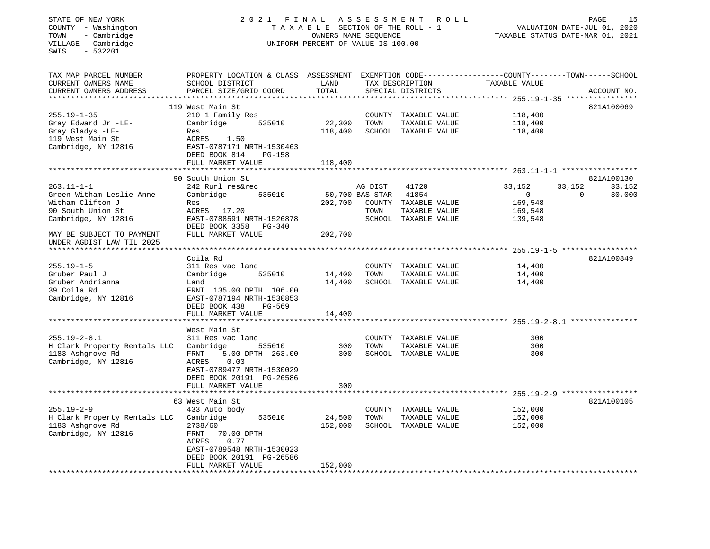## STATE OF NEW YORK 2 0 2 1 F I N A L A S S E S S M E N T R O L L PAGE 15 COUNTY - Washington T A X A B L E SECTION OF THE ROLL - 1 VALUATION DATE-JUL 01, 2020 TOWN - Cambridge OWNERS NAME SEQUENCE TAXABLE STATUS DATE-MAR 01, 2021 COUNTY - Washington<br>
TAXABLE SECTION OF THE ROLL<br>
TOWN - Cambridge UNIFORM PERCENT OF VALUE IS 100.00<br>
UNIFORM PERCENT OF VALUE IS 100.00

| TOTAL<br>CURRENT OWNERS ADDRESS<br>PARCEL SIZE/GRID COORD<br>SPECIAL DISTRICTS<br>ACCOUNT NO.<br>**********************<br>119 West Main St<br>821A100069<br>$255.19 - 1 - 35$<br>210 1 Family Res<br>118,400<br>COUNTY TAXABLE VALUE<br>22,300<br>118,400<br>Gray Edward Jr -LE-<br>Cambridge<br>535010<br>TOWN<br>TAXABLE VALUE<br>Gray Gladys -LE-<br>118,400<br>SCHOOL TAXABLE VALUE<br>118,400<br>Res<br>119 West Main St<br>ACRES<br>1.50<br>Cambridge, NY 12816<br>EAST-0787171 NRTH-1530463<br>DEED BOOK 814<br>$PG-158$<br>FULL MARKET VALUE<br>118,400<br>*********************<br>821A100130<br>90 South Union St<br>$263.11 - 1 - 1$<br>33,152<br>242 Rurl res&rec<br>AG DIST<br>41720<br>33,152<br>33,152<br>Green-Witham Leslie Anne<br>Cambridge<br>535010<br>50,700 BAS STAR<br>41854<br>$\mathbf{0}$<br>$\mathbf 0$<br>30,000<br>Witham Clifton J<br>169,548<br>202,700<br>COUNTY<br>TAXABLE VALUE<br>Res<br>90 South Union St<br>ACRES 17.20<br>TOWN<br>TAXABLE VALUE<br>169,548<br>Cambridge, NY 12816<br>EAST-0788591 NRTH-1526878<br>SCHOOL TAXABLE VALUE<br>139,548<br>DEED BOOK 3358<br><b>PG-340</b><br>FULL MARKET VALUE<br>202,700<br>MAY BE SUBJECT TO PAYMENT<br>UNDER AGDIST LAW TIL 2025<br>821A100849<br>Coila Rd<br>$255.19 - 1 - 5$<br>311 Res vac land<br>COUNTY TAXABLE VALUE<br>14,400<br>Cambridge<br>14,400<br>14,400<br>Gruber Paul J<br>535010<br>TOWN<br>TAXABLE VALUE<br>Gruber Andrianna<br>14,400<br>SCHOOL TAXABLE VALUE<br>14,400<br>Land<br>39 Coila Rd<br>FRNT 135.00 DPTH 106.00<br>Cambridge, NY 12816<br>EAST-0787194 NRTH-1530853<br>DEED BOOK 438<br>$PG-569$<br>FULL MARKET VALUE<br>14,400<br>West Main St<br>$255.19 - 2 - 8.1$<br>311 Res vac land<br>COUNTY<br>TAXABLE VALUE<br>300<br>H Clark Property Rentals LLC<br>Cambridge<br>300<br>TAXABLE VALUE<br>300<br>535010<br>TOWN<br>1183 Ashgrove Rd<br>300<br>300<br>FRNT<br>5.00 DPTH 263.00<br>SCHOOL<br>TAXABLE VALUE<br>Cambridge, NY 12816<br>ACRES<br>0.03<br>EAST-0789477 NRTH-1530029<br>DEED BOOK 20191 PG-26586<br>FULL MARKET VALUE<br>300<br>63 West Main St<br>821A100105<br>$255.19 - 2 - 9$<br>433 Auto body<br>152,000<br>COUNTY TAXABLE VALUE<br>Cambridge<br>535010<br>24,500<br>TOWN<br>TAXABLE VALUE<br>152,000<br>1183 Ashgrove Rd<br>2738/60<br>152,000<br>SCHOOL TAXABLE VALUE<br>152,000<br>Cambridge, NY 12816<br>FRNT<br>70.00 DPTH<br><b>ACRES</b><br>0.77<br>EAST-0789548 NRTH-1530023<br>DEED BOOK 20191 PG-26586<br>FULL MARKET VALUE<br>152,000 | TAX MAP PARCEL NUMBER<br>CURRENT OWNERS NAME | PROPERTY LOCATION & CLASS ASSESSMENT<br>SCHOOL DISTRICT | LAND | TAX DESCRIPTION | EXEMPTION CODE-----------------COUNTY-------TOWN------SCHOOL<br>TAXABLE VALUE |  |
|--------------------------------------------------------------------------------------------------------------------------------------------------------------------------------------------------------------------------------------------------------------------------------------------------------------------------------------------------------------------------------------------------------------------------------------------------------------------------------------------------------------------------------------------------------------------------------------------------------------------------------------------------------------------------------------------------------------------------------------------------------------------------------------------------------------------------------------------------------------------------------------------------------------------------------------------------------------------------------------------------------------------------------------------------------------------------------------------------------------------------------------------------------------------------------------------------------------------------------------------------------------------------------------------------------------------------------------------------------------------------------------------------------------------------------------------------------------------------------------------------------------------------------------------------------------------------------------------------------------------------------------------------------------------------------------------------------------------------------------------------------------------------------------------------------------------------------------------------------------------------------------------------------------------------------------------------------------------------------------------------------------------------------------------------------------------------------------------------------------------------------------------------------------------------------------------------------------------------------------------------------------------------------------------------------------------------------------------------------------------------------------------------------------------------------------------------------------------------------------------|----------------------------------------------|---------------------------------------------------------|------|-----------------|-------------------------------------------------------------------------------|--|
|                                                                                                                                                                                                                                                                                                                                                                                                                                                                                                                                                                                                                                                                                                                                                                                                                                                                                                                                                                                                                                                                                                                                                                                                                                                                                                                                                                                                                                                                                                                                                                                                                                                                                                                                                                                                                                                                                                                                                                                                                                                                                                                                                                                                                                                                                                                                                                                                                                                                                            |                                              |                                                         |      |                 |                                                                               |  |
|                                                                                                                                                                                                                                                                                                                                                                                                                                                                                                                                                                                                                                                                                                                                                                                                                                                                                                                                                                                                                                                                                                                                                                                                                                                                                                                                                                                                                                                                                                                                                                                                                                                                                                                                                                                                                                                                                                                                                                                                                                                                                                                                                                                                                                                                                                                                                                                                                                                                                            |                                              |                                                         |      |                 |                                                                               |  |
|                                                                                                                                                                                                                                                                                                                                                                                                                                                                                                                                                                                                                                                                                                                                                                                                                                                                                                                                                                                                                                                                                                                                                                                                                                                                                                                                                                                                                                                                                                                                                                                                                                                                                                                                                                                                                                                                                                                                                                                                                                                                                                                                                                                                                                                                                                                                                                                                                                                                                            |                                              |                                                         |      |                 |                                                                               |  |
|                                                                                                                                                                                                                                                                                                                                                                                                                                                                                                                                                                                                                                                                                                                                                                                                                                                                                                                                                                                                                                                                                                                                                                                                                                                                                                                                                                                                                                                                                                                                                                                                                                                                                                                                                                                                                                                                                                                                                                                                                                                                                                                                                                                                                                                                                                                                                                                                                                                                                            |                                              |                                                         |      |                 |                                                                               |  |
|                                                                                                                                                                                                                                                                                                                                                                                                                                                                                                                                                                                                                                                                                                                                                                                                                                                                                                                                                                                                                                                                                                                                                                                                                                                                                                                                                                                                                                                                                                                                                                                                                                                                                                                                                                                                                                                                                                                                                                                                                                                                                                                                                                                                                                                                                                                                                                                                                                                                                            |                                              |                                                         |      |                 |                                                                               |  |
|                                                                                                                                                                                                                                                                                                                                                                                                                                                                                                                                                                                                                                                                                                                                                                                                                                                                                                                                                                                                                                                                                                                                                                                                                                                                                                                                                                                                                                                                                                                                                                                                                                                                                                                                                                                                                                                                                                                                                                                                                                                                                                                                                                                                                                                                                                                                                                                                                                                                                            |                                              |                                                         |      |                 |                                                                               |  |
|                                                                                                                                                                                                                                                                                                                                                                                                                                                                                                                                                                                                                                                                                                                                                                                                                                                                                                                                                                                                                                                                                                                                                                                                                                                                                                                                                                                                                                                                                                                                                                                                                                                                                                                                                                                                                                                                                                                                                                                                                                                                                                                                                                                                                                                                                                                                                                                                                                                                                            |                                              |                                                         |      |                 |                                                                               |  |
|                                                                                                                                                                                                                                                                                                                                                                                                                                                                                                                                                                                                                                                                                                                                                                                                                                                                                                                                                                                                                                                                                                                                                                                                                                                                                                                                                                                                                                                                                                                                                                                                                                                                                                                                                                                                                                                                                                                                                                                                                                                                                                                                                                                                                                                                                                                                                                                                                                                                                            |                                              |                                                         |      |                 |                                                                               |  |
|                                                                                                                                                                                                                                                                                                                                                                                                                                                                                                                                                                                                                                                                                                                                                                                                                                                                                                                                                                                                                                                                                                                                                                                                                                                                                                                                                                                                                                                                                                                                                                                                                                                                                                                                                                                                                                                                                                                                                                                                                                                                                                                                                                                                                                                                                                                                                                                                                                                                                            |                                              |                                                         |      |                 |                                                                               |  |
|                                                                                                                                                                                                                                                                                                                                                                                                                                                                                                                                                                                                                                                                                                                                                                                                                                                                                                                                                                                                                                                                                                                                                                                                                                                                                                                                                                                                                                                                                                                                                                                                                                                                                                                                                                                                                                                                                                                                                                                                                                                                                                                                                                                                                                                                                                                                                                                                                                                                                            |                                              |                                                         |      |                 |                                                                               |  |
|                                                                                                                                                                                                                                                                                                                                                                                                                                                                                                                                                                                                                                                                                                                                                                                                                                                                                                                                                                                                                                                                                                                                                                                                                                                                                                                                                                                                                                                                                                                                                                                                                                                                                                                                                                                                                                                                                                                                                                                                                                                                                                                                                                                                                                                                                                                                                                                                                                                                                            |                                              |                                                         |      |                 |                                                                               |  |
|                                                                                                                                                                                                                                                                                                                                                                                                                                                                                                                                                                                                                                                                                                                                                                                                                                                                                                                                                                                                                                                                                                                                                                                                                                                                                                                                                                                                                                                                                                                                                                                                                                                                                                                                                                                                                                                                                                                                                                                                                                                                                                                                                                                                                                                                                                                                                                                                                                                                                            |                                              |                                                         |      |                 |                                                                               |  |
|                                                                                                                                                                                                                                                                                                                                                                                                                                                                                                                                                                                                                                                                                                                                                                                                                                                                                                                                                                                                                                                                                                                                                                                                                                                                                                                                                                                                                                                                                                                                                                                                                                                                                                                                                                                                                                                                                                                                                                                                                                                                                                                                                                                                                                                                                                                                                                                                                                                                                            |                                              |                                                         |      |                 |                                                                               |  |
|                                                                                                                                                                                                                                                                                                                                                                                                                                                                                                                                                                                                                                                                                                                                                                                                                                                                                                                                                                                                                                                                                                                                                                                                                                                                                                                                                                                                                                                                                                                                                                                                                                                                                                                                                                                                                                                                                                                                                                                                                                                                                                                                                                                                                                                                                                                                                                                                                                                                                            |                                              |                                                         |      |                 |                                                                               |  |
|                                                                                                                                                                                                                                                                                                                                                                                                                                                                                                                                                                                                                                                                                                                                                                                                                                                                                                                                                                                                                                                                                                                                                                                                                                                                                                                                                                                                                                                                                                                                                                                                                                                                                                                                                                                                                                                                                                                                                                                                                                                                                                                                                                                                                                                                                                                                                                                                                                                                                            |                                              |                                                         |      |                 |                                                                               |  |
|                                                                                                                                                                                                                                                                                                                                                                                                                                                                                                                                                                                                                                                                                                                                                                                                                                                                                                                                                                                                                                                                                                                                                                                                                                                                                                                                                                                                                                                                                                                                                                                                                                                                                                                                                                                                                                                                                                                                                                                                                                                                                                                                                                                                                                                                                                                                                                                                                                                                                            |                                              |                                                         |      |                 |                                                                               |  |
|                                                                                                                                                                                                                                                                                                                                                                                                                                                                                                                                                                                                                                                                                                                                                                                                                                                                                                                                                                                                                                                                                                                                                                                                                                                                                                                                                                                                                                                                                                                                                                                                                                                                                                                                                                                                                                                                                                                                                                                                                                                                                                                                                                                                                                                                                                                                                                                                                                                                                            |                                              |                                                         |      |                 |                                                                               |  |
|                                                                                                                                                                                                                                                                                                                                                                                                                                                                                                                                                                                                                                                                                                                                                                                                                                                                                                                                                                                                                                                                                                                                                                                                                                                                                                                                                                                                                                                                                                                                                                                                                                                                                                                                                                                                                                                                                                                                                                                                                                                                                                                                                                                                                                                                                                                                                                                                                                                                                            |                                              |                                                         |      |                 |                                                                               |  |
|                                                                                                                                                                                                                                                                                                                                                                                                                                                                                                                                                                                                                                                                                                                                                                                                                                                                                                                                                                                                                                                                                                                                                                                                                                                                                                                                                                                                                                                                                                                                                                                                                                                                                                                                                                                                                                                                                                                                                                                                                                                                                                                                                                                                                                                                                                                                                                                                                                                                                            |                                              |                                                         |      |                 |                                                                               |  |
|                                                                                                                                                                                                                                                                                                                                                                                                                                                                                                                                                                                                                                                                                                                                                                                                                                                                                                                                                                                                                                                                                                                                                                                                                                                                                                                                                                                                                                                                                                                                                                                                                                                                                                                                                                                                                                                                                                                                                                                                                                                                                                                                                                                                                                                                                                                                                                                                                                                                                            |                                              |                                                         |      |                 |                                                                               |  |
|                                                                                                                                                                                                                                                                                                                                                                                                                                                                                                                                                                                                                                                                                                                                                                                                                                                                                                                                                                                                                                                                                                                                                                                                                                                                                                                                                                                                                                                                                                                                                                                                                                                                                                                                                                                                                                                                                                                                                                                                                                                                                                                                                                                                                                                                                                                                                                                                                                                                                            |                                              |                                                         |      |                 |                                                                               |  |
|                                                                                                                                                                                                                                                                                                                                                                                                                                                                                                                                                                                                                                                                                                                                                                                                                                                                                                                                                                                                                                                                                                                                                                                                                                                                                                                                                                                                                                                                                                                                                                                                                                                                                                                                                                                                                                                                                                                                                                                                                                                                                                                                                                                                                                                                                                                                                                                                                                                                                            |                                              |                                                         |      |                 |                                                                               |  |
|                                                                                                                                                                                                                                                                                                                                                                                                                                                                                                                                                                                                                                                                                                                                                                                                                                                                                                                                                                                                                                                                                                                                                                                                                                                                                                                                                                                                                                                                                                                                                                                                                                                                                                                                                                                                                                                                                                                                                                                                                                                                                                                                                                                                                                                                                                                                                                                                                                                                                            |                                              |                                                         |      |                 |                                                                               |  |
|                                                                                                                                                                                                                                                                                                                                                                                                                                                                                                                                                                                                                                                                                                                                                                                                                                                                                                                                                                                                                                                                                                                                                                                                                                                                                                                                                                                                                                                                                                                                                                                                                                                                                                                                                                                                                                                                                                                                                                                                                                                                                                                                                                                                                                                                                                                                                                                                                                                                                            |                                              |                                                         |      |                 |                                                                               |  |
|                                                                                                                                                                                                                                                                                                                                                                                                                                                                                                                                                                                                                                                                                                                                                                                                                                                                                                                                                                                                                                                                                                                                                                                                                                                                                                                                                                                                                                                                                                                                                                                                                                                                                                                                                                                                                                                                                                                                                                                                                                                                                                                                                                                                                                                                                                                                                                                                                                                                                            |                                              |                                                         |      |                 |                                                                               |  |
|                                                                                                                                                                                                                                                                                                                                                                                                                                                                                                                                                                                                                                                                                                                                                                                                                                                                                                                                                                                                                                                                                                                                                                                                                                                                                                                                                                                                                                                                                                                                                                                                                                                                                                                                                                                                                                                                                                                                                                                                                                                                                                                                                                                                                                                                                                                                                                                                                                                                                            |                                              |                                                         |      |                 |                                                                               |  |
|                                                                                                                                                                                                                                                                                                                                                                                                                                                                                                                                                                                                                                                                                                                                                                                                                                                                                                                                                                                                                                                                                                                                                                                                                                                                                                                                                                                                                                                                                                                                                                                                                                                                                                                                                                                                                                                                                                                                                                                                                                                                                                                                                                                                                                                                                                                                                                                                                                                                                            |                                              |                                                         |      |                 |                                                                               |  |
|                                                                                                                                                                                                                                                                                                                                                                                                                                                                                                                                                                                                                                                                                                                                                                                                                                                                                                                                                                                                                                                                                                                                                                                                                                                                                                                                                                                                                                                                                                                                                                                                                                                                                                                                                                                                                                                                                                                                                                                                                                                                                                                                                                                                                                                                                                                                                                                                                                                                                            |                                              |                                                         |      |                 |                                                                               |  |
|                                                                                                                                                                                                                                                                                                                                                                                                                                                                                                                                                                                                                                                                                                                                                                                                                                                                                                                                                                                                                                                                                                                                                                                                                                                                                                                                                                                                                                                                                                                                                                                                                                                                                                                                                                                                                                                                                                                                                                                                                                                                                                                                                                                                                                                                                                                                                                                                                                                                                            |                                              |                                                         |      |                 |                                                                               |  |
|                                                                                                                                                                                                                                                                                                                                                                                                                                                                                                                                                                                                                                                                                                                                                                                                                                                                                                                                                                                                                                                                                                                                                                                                                                                                                                                                                                                                                                                                                                                                                                                                                                                                                                                                                                                                                                                                                                                                                                                                                                                                                                                                                                                                                                                                                                                                                                                                                                                                                            |                                              |                                                         |      |                 |                                                                               |  |
|                                                                                                                                                                                                                                                                                                                                                                                                                                                                                                                                                                                                                                                                                                                                                                                                                                                                                                                                                                                                                                                                                                                                                                                                                                                                                                                                                                                                                                                                                                                                                                                                                                                                                                                                                                                                                                                                                                                                                                                                                                                                                                                                                                                                                                                                                                                                                                                                                                                                                            |                                              |                                                         |      |                 |                                                                               |  |
|                                                                                                                                                                                                                                                                                                                                                                                                                                                                                                                                                                                                                                                                                                                                                                                                                                                                                                                                                                                                                                                                                                                                                                                                                                                                                                                                                                                                                                                                                                                                                                                                                                                                                                                                                                                                                                                                                                                                                                                                                                                                                                                                                                                                                                                                                                                                                                                                                                                                                            |                                              |                                                         |      |                 |                                                                               |  |
|                                                                                                                                                                                                                                                                                                                                                                                                                                                                                                                                                                                                                                                                                                                                                                                                                                                                                                                                                                                                                                                                                                                                                                                                                                                                                                                                                                                                                                                                                                                                                                                                                                                                                                                                                                                                                                                                                                                                                                                                                                                                                                                                                                                                                                                                                                                                                                                                                                                                                            |                                              |                                                         |      |                 |                                                                               |  |
|                                                                                                                                                                                                                                                                                                                                                                                                                                                                                                                                                                                                                                                                                                                                                                                                                                                                                                                                                                                                                                                                                                                                                                                                                                                                                                                                                                                                                                                                                                                                                                                                                                                                                                                                                                                                                                                                                                                                                                                                                                                                                                                                                                                                                                                                                                                                                                                                                                                                                            |                                              |                                                         |      |                 |                                                                               |  |
|                                                                                                                                                                                                                                                                                                                                                                                                                                                                                                                                                                                                                                                                                                                                                                                                                                                                                                                                                                                                                                                                                                                                                                                                                                                                                                                                                                                                                                                                                                                                                                                                                                                                                                                                                                                                                                                                                                                                                                                                                                                                                                                                                                                                                                                                                                                                                                                                                                                                                            |                                              |                                                         |      |                 |                                                                               |  |
|                                                                                                                                                                                                                                                                                                                                                                                                                                                                                                                                                                                                                                                                                                                                                                                                                                                                                                                                                                                                                                                                                                                                                                                                                                                                                                                                                                                                                                                                                                                                                                                                                                                                                                                                                                                                                                                                                                                                                                                                                                                                                                                                                                                                                                                                                                                                                                                                                                                                                            |                                              |                                                         |      |                 |                                                                               |  |
|                                                                                                                                                                                                                                                                                                                                                                                                                                                                                                                                                                                                                                                                                                                                                                                                                                                                                                                                                                                                                                                                                                                                                                                                                                                                                                                                                                                                                                                                                                                                                                                                                                                                                                                                                                                                                                                                                                                                                                                                                                                                                                                                                                                                                                                                                                                                                                                                                                                                                            |                                              |                                                         |      |                 |                                                                               |  |
|                                                                                                                                                                                                                                                                                                                                                                                                                                                                                                                                                                                                                                                                                                                                                                                                                                                                                                                                                                                                                                                                                                                                                                                                                                                                                                                                                                                                                                                                                                                                                                                                                                                                                                                                                                                                                                                                                                                                                                                                                                                                                                                                                                                                                                                                                                                                                                                                                                                                                            |                                              |                                                         |      |                 |                                                                               |  |
|                                                                                                                                                                                                                                                                                                                                                                                                                                                                                                                                                                                                                                                                                                                                                                                                                                                                                                                                                                                                                                                                                                                                                                                                                                                                                                                                                                                                                                                                                                                                                                                                                                                                                                                                                                                                                                                                                                                                                                                                                                                                                                                                                                                                                                                                                                                                                                                                                                                                                            |                                              |                                                         |      |                 |                                                                               |  |
|                                                                                                                                                                                                                                                                                                                                                                                                                                                                                                                                                                                                                                                                                                                                                                                                                                                                                                                                                                                                                                                                                                                                                                                                                                                                                                                                                                                                                                                                                                                                                                                                                                                                                                                                                                                                                                                                                                                                                                                                                                                                                                                                                                                                                                                                                                                                                                                                                                                                                            | H Clark Property Rentals LLC                 |                                                         |      |                 |                                                                               |  |
|                                                                                                                                                                                                                                                                                                                                                                                                                                                                                                                                                                                                                                                                                                                                                                                                                                                                                                                                                                                                                                                                                                                                                                                                                                                                                                                                                                                                                                                                                                                                                                                                                                                                                                                                                                                                                                                                                                                                                                                                                                                                                                                                                                                                                                                                                                                                                                                                                                                                                            |                                              |                                                         |      |                 |                                                                               |  |
|                                                                                                                                                                                                                                                                                                                                                                                                                                                                                                                                                                                                                                                                                                                                                                                                                                                                                                                                                                                                                                                                                                                                                                                                                                                                                                                                                                                                                                                                                                                                                                                                                                                                                                                                                                                                                                                                                                                                                                                                                                                                                                                                                                                                                                                                                                                                                                                                                                                                                            |                                              |                                                         |      |                 |                                                                               |  |
|                                                                                                                                                                                                                                                                                                                                                                                                                                                                                                                                                                                                                                                                                                                                                                                                                                                                                                                                                                                                                                                                                                                                                                                                                                                                                                                                                                                                                                                                                                                                                                                                                                                                                                                                                                                                                                                                                                                                                                                                                                                                                                                                                                                                                                                                                                                                                                                                                                                                                            |                                              |                                                         |      |                 |                                                                               |  |
|                                                                                                                                                                                                                                                                                                                                                                                                                                                                                                                                                                                                                                                                                                                                                                                                                                                                                                                                                                                                                                                                                                                                                                                                                                                                                                                                                                                                                                                                                                                                                                                                                                                                                                                                                                                                                                                                                                                                                                                                                                                                                                                                                                                                                                                                                                                                                                                                                                                                                            |                                              |                                                         |      |                 |                                                                               |  |
|                                                                                                                                                                                                                                                                                                                                                                                                                                                                                                                                                                                                                                                                                                                                                                                                                                                                                                                                                                                                                                                                                                                                                                                                                                                                                                                                                                                                                                                                                                                                                                                                                                                                                                                                                                                                                                                                                                                                                                                                                                                                                                                                                                                                                                                                                                                                                                                                                                                                                            |                                              |                                                         |      |                 |                                                                               |  |
|                                                                                                                                                                                                                                                                                                                                                                                                                                                                                                                                                                                                                                                                                                                                                                                                                                                                                                                                                                                                                                                                                                                                                                                                                                                                                                                                                                                                                                                                                                                                                                                                                                                                                                                                                                                                                                                                                                                                                                                                                                                                                                                                                                                                                                                                                                                                                                                                                                                                                            |                                              |                                                         |      |                 |                                                                               |  |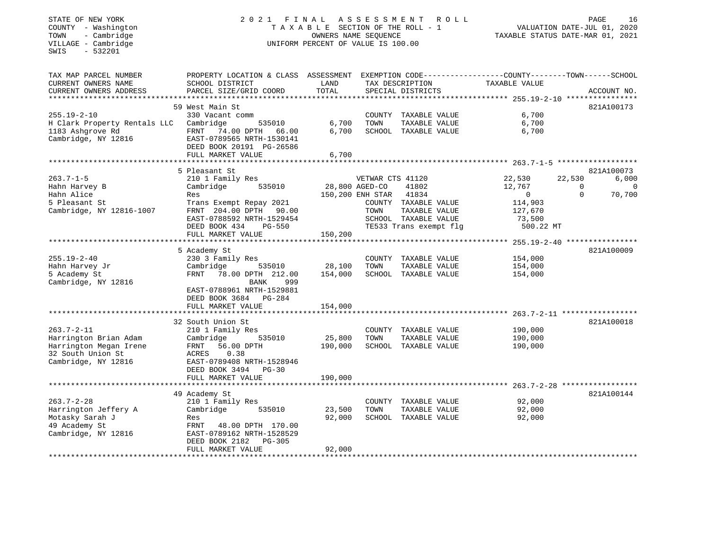## STATE OF NEW YORK 2 0 2 1 F I N A L A S S E S S M E N T R O L L PAGE 16 COUNTY - Washington T A X A B L E SECTION OF THE ROLL - 1 VALUATION DATE-JUL 01, 2020 TOWN - Cambridge OWNERS NAME SEQUENCE TAXABLE STATUS DATE-MAR 01, 2021 COUNTY - Washington<br>
TAXABLE SECTION OF THE ROLL<br>
TOWN - Cambridge Cambridge UNIFORM PERCENT OF VALUE IS 100.00

| TAX MAP PARCEL NUMBER        | PROPERTY LOCATION & CLASS ASSESSMENT                |                |                        |                        | EXEMPTION CODE-----------------COUNTY-------TOWN------SCHOOL |          |             |
|------------------------------|-----------------------------------------------------|----------------|------------------------|------------------------|--------------------------------------------------------------|----------|-------------|
| CURRENT OWNERS NAME          | SCHOOL DISTRICT                                     | LAND           |                        | TAX DESCRIPTION        | TAXABLE VALUE                                                |          |             |
| CURRENT OWNERS ADDRESS       | PARCEL SIZE/GRID COORD                              | TOTAL          |                        | SPECIAL DISTRICTS      |                                                              |          | ACCOUNT NO. |
| ***************************  |                                                     |                |                        |                        |                                                              |          |             |
|                              | 59 West Main St                                     |                |                        |                        |                                                              |          | 821A100173  |
| $255.19 - 2 - 10$            | 330 Vacant comm                                     |                |                        | COUNTY TAXABLE VALUE   | 6,700                                                        |          |             |
| H Clark Property Rentals LLC | Cambridge<br>535010                                 | 6,700          | TOWN                   | TAXABLE VALUE          | 6,700                                                        |          |             |
| 1183 Ashqrove Rd             | FRNT 74.00 DPTH 66.00                               | 6,700          |                        | SCHOOL TAXABLE VALUE   | 6,700                                                        |          |             |
| Cambridge, NY 12816          | EAST-0789565 NRTH-1530141                           |                |                        |                        |                                                              |          |             |
|                              | DEED BOOK 20191 PG-26586                            |                |                        |                        |                                                              |          |             |
|                              | FULL MARKET VALUE                                   | 6,700          |                        |                        |                                                              |          |             |
|                              |                                                     |                |                        |                        |                                                              |          |             |
|                              | 5 Pleasant St                                       |                |                        |                        |                                                              |          | 821A100073  |
| $263.7 - 1 - 5$              | 210 1 Family Res                                    |                | VETWAR CTS 41120       |                        | 22,530                                                       | 22,530   | 6,000       |
| Hahn Harvey B                | Cambridge<br>535010                                 | 28,800 AGED-CO |                        | 41802                  | 12,767                                                       | $\Omega$ | $\mathbf 0$ |
| Hahn Alice                   | Res                                                 |                | 150,200 ENH STAR 41834 |                        | $\overline{0}$                                               | $\Omega$ | 70,700      |
| 5 Pleasant St                | Trans Exempt Repay 2021                             |                |                        | COUNTY TAXABLE VALUE   | 114,903                                                      |          |             |
| Cambridge, NY 12816-1007     | FRNT 204.00 DPTH 90.00                              |                | TOWN                   | TAXABLE VALUE          | 127,670                                                      |          |             |
|                              | EAST-0788592 NRTH-1529454                           |                |                        | SCHOOL TAXABLE VALUE   | 73,500                                                       |          |             |
|                              | DEED BOOK 434<br>PG-550                             |                |                        | TE533 Trans exempt flg | 500.22 MT                                                    |          |             |
|                              | FULL MARKET VALUE                                   | 150,200        |                        |                        |                                                              |          |             |
|                              |                                                     |                |                        |                        |                                                              |          |             |
|                              | 5 Academy St                                        |                |                        |                        |                                                              |          | 821A100009  |
| $255.19 - 2 - 40$            | 230 3 Family Res                                    |                |                        | COUNTY TAXABLE VALUE   | 154,000                                                      |          |             |
| Hahn Harvey Jr               | Cambridge<br>535010                                 | 28,100         | TOWN                   | TAXABLE VALUE          | 154,000                                                      |          |             |
| 5 Academy St                 | FRNT 78.00 DPTH 212.00                              | 154,000        |                        | SCHOOL TAXABLE VALUE   | 154,000                                                      |          |             |
| Cambridge, NY 12816          | BANK<br>999                                         |                |                        |                        |                                                              |          |             |
|                              | EAST-0788961 NRTH-1529881                           |                |                        |                        |                                                              |          |             |
|                              | DEED BOOK 3684 PG-284                               |                |                        |                        |                                                              |          |             |
|                              | FULL MARKET VALUE                                   | 154,000        |                        |                        |                                                              |          |             |
|                              |                                                     |                |                        |                        |                                                              |          |             |
|                              | 32 South Union St                                   |                |                        |                        |                                                              |          | 821A100018  |
| $263.7 - 2 - 11$             | 210 1 Family Res                                    |                |                        | COUNTY TAXABLE VALUE   | 190,000                                                      |          |             |
| Harrington Brian Adam        | 535010<br>Cambridge                                 | 25,800         | TOWN                   | TAXABLE VALUE          | 190,000                                                      |          |             |
| Harrington Megan Irene       | 56.00 DPTH<br>FRNT                                  | 190,000        |                        | SCHOOL TAXABLE VALUE   | 190,000                                                      |          |             |
| 32 South Union St            | 0.38<br>ACRES                                       |                |                        |                        |                                                              |          |             |
| Cambridge, NY 12816          | EAST-0789408 NRTH-1528946                           |                |                        |                        |                                                              |          |             |
|                              | DEED BOOK 3494 PG-30                                |                |                        |                        |                                                              |          |             |
|                              | FULL MARKET VALUE                                   | 190,000        |                        |                        |                                                              |          |             |
|                              |                                                     |                |                        |                        |                                                              |          |             |
|                              | 49 Academy St                                       |                |                        |                        |                                                              |          | 821A100144  |
| $263.7 - 2 - 28$             | 210 1 Family Res                                    |                |                        | COUNTY TAXABLE VALUE   | 92,000                                                       |          |             |
| Harrington Jeffery A         | Cambridge<br>535010                                 | 23,500         | TOWN                   | TAXABLE VALUE          | 92,000                                                       |          |             |
| Motasky Sarah J              | Res                                                 | 92,000         |                        | SCHOOL TAXABLE VALUE   | 92,000                                                       |          |             |
| 49 Academy St                | FRNT 48.00 DPTH 170.00                              |                |                        |                        |                                                              |          |             |
| Cambridge, NY 12816          | EAST-0789162 NRTH-1528529                           |                |                        |                        |                                                              |          |             |
|                              | DEED BOOK 2182<br>PG-305                            |                |                        |                        |                                                              |          |             |
|                              | FULL MARKET VALUE<br>****************************** | 92,000         |                        |                        |                                                              |          |             |
|                              |                                                     |                |                        |                        |                                                              |          |             |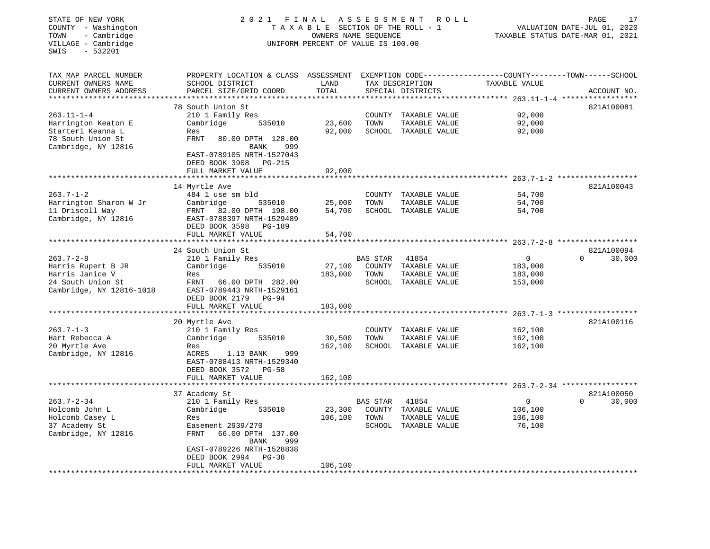| STATE OF NEW YORK<br>COUNTY - Washington<br>- Cambridge<br>TOWN<br>VILLAGE - Cambridge<br>$-532201$<br>SWIS | 2021 FINAL ASSESSMENT                                                                                                                                                                                      | TAXABLE SECTION OF THE ROLL - 1<br>OWNERS NAME SEQUENCE<br>UNIFORM PERCENT OF VALUE IS 100.00 |                            | ROLL                                                            |                                                                           | PAGE<br>17<br>VALUATION DATE-JUL 01, 2020<br>TAXABLE STATUS DATE-MAR 01, 2021 |
|-------------------------------------------------------------------------------------------------------------|------------------------------------------------------------------------------------------------------------------------------------------------------------------------------------------------------------|-----------------------------------------------------------------------------------------------|----------------------------|-----------------------------------------------------------------|---------------------------------------------------------------------------|-------------------------------------------------------------------------------|
| TAX MAP PARCEL NUMBER<br>CURRENT OWNERS NAME<br>CURRENT OWNERS ADDRESS                                      | PROPERTY LOCATION & CLASS ASSESSMENT EXEMPTION CODE---------------COUNTY-------TOWN------SCHOOL<br>SCHOOL DISTRICT<br>PARCEL SIZE/GRID COORD                                                               | LAND<br>TOTAL                                                                                 |                            | TAX DESCRIPTION<br>SPECIAL DISTRICTS                            | TAXABLE VALUE<br>*************************** 263.11-1-4 ***************** | ACCOUNT NO.                                                                   |
| $263.11 - 1 - 4$<br>Harrington Keaton E<br>Starteri Keanna L<br>78 South Union St<br>Cambridge, NY 12816    | 78 South Union St<br>210 1 Family Res<br>Cambridge<br>535010<br>Res<br>FRNT<br>80.00 DPTH 128.00<br>BANK<br>999<br>EAST-0789105 NRTH-1527043<br>DEED BOOK 3908 PG-215                                      | 23,600<br>92,000                                                                              | COUNTY<br>TOWN             | TAXABLE VALUE<br>TAXABLE VALUE<br>SCHOOL TAXABLE VALUE          | 92,000<br>92,000<br>92,000                                                | 821A100081                                                                    |
|                                                                                                             | FULL MARKET VALUE                                                                                                                                                                                          | 92,000                                                                                        |                            |                                                                 |                                                                           |                                                                               |
| $263.7 - 1 - 2$<br>Harrington Sharon W Jr<br>11 Driscoll Way<br>Cambridge, NY 12816                         | 14 Myrtle Ave<br>484 1 use sm bld<br>Cambridge<br>535010<br>FRNT 82.00 DPTH 198.00<br>EAST-0788397 NRTH-1529489<br>DEED BOOK 3598 PG-189<br>FULL MARKET VALUE                                              | 25,000<br>54,700<br>54,700                                                                    | TOWN                       | COUNTY TAXABLE VALUE<br>TAXABLE VALUE<br>SCHOOL TAXABLE VALUE   | 54,700<br>54,700<br>54,700                                                | 821A100043                                                                    |
|                                                                                                             |                                                                                                                                                                                                            |                                                                                               |                            |                                                                 |                                                                           |                                                                               |
| $263.7 - 2 - 8$<br>Harris Rupert B JR<br>Harris Janice V<br>24 South Union St<br>Cambridge, NY 12816-1018   | 24 South Union St<br>210 1 Family Res<br>Cambridge<br>535010<br>Res<br>FRNT 66.00 DPTH 282.00<br>EAST-0789443 NRTH-1529161<br>DEED BOOK 2179 PG-94                                                         | 27,100<br>183,000                                                                             | BAS STAR<br>COUNTY<br>TOWN | 41854<br>TAXABLE VALUE<br>TAXABLE VALUE<br>SCHOOL TAXABLE VALUE | $\mathbf 0$<br>183,000<br>183,000<br>153,000                              | 821A100094<br>30,000<br>$\Omega$                                              |
|                                                                                                             | FULL MARKET VALUE                                                                                                                                                                                          | 183,000                                                                                       |                            |                                                                 |                                                                           |                                                                               |
|                                                                                                             | 20 Myrtle Ave                                                                                                                                                                                              |                                                                                               |                            |                                                                 |                                                                           | 821A100116                                                                    |
| $263.7 - 1 - 3$<br>Hart Rebecca A<br>20 Myrtle Ave<br>Cambridge, NY 12816                                   | 210 1 Family Res<br>Cambridge<br>535010<br>Res<br>ACRES<br>1.13 BANK<br>999<br>EAST-0788413 NRTH-1529340<br>DEED BOOK 3572 PG-58<br>FULL MARKET VALUE                                                      | 30,500<br>162,100                                                                             | TOWN                       | COUNTY TAXABLE VALUE<br>TAXABLE VALUE<br>SCHOOL TAXABLE VALUE   | 162,100<br>162,100<br>162,100                                             |                                                                               |
|                                                                                                             |                                                                                                                                                                                                            | 162,100                                                                                       |                            |                                                                 |                                                                           |                                                                               |
| $263.7 - 2 - 34$<br>Holcomb John L<br>Holcomb Casey L<br>37 Academy St<br>Cambridge, NY 12816               | 37 Academy St<br>210 1 Family Res<br>Cambridge<br>535010<br>Res<br>Easement 2939/270<br>FRNT<br>66.00 DPTH 137.00<br>BANK<br>999<br>EAST-0789226 NRTH-1528838<br>DEED BOOK 2994 PG-38<br>FULL MARKET VALUE | 23,300<br>106,100<br>106,100                                                                  | BAS STAR<br>COUNTY<br>TOWN | 41854<br>TAXABLE VALUE<br>TAXABLE VALUE<br>SCHOOL TAXABLE VALUE | $\overline{0}$<br>106,100<br>106,100<br>76,100                            | 821A100050<br>$\mathbf 0$<br>30,000                                           |
|                                                                                                             | *********************                                                                                                                                                                                      |                                                                                               |                            |                                                                 |                                                                           |                                                                               |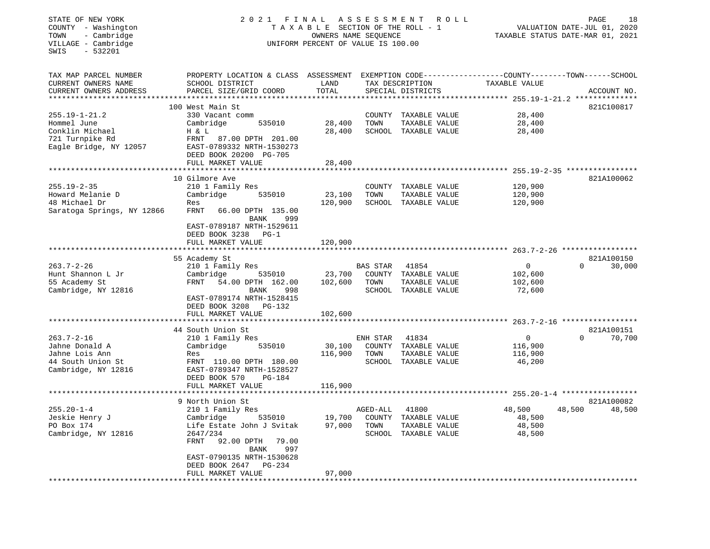|                                                                                                                                                                                                           |                                                                                                                                                                                              |                    | R O L L                          |                                                                                                                                                                                                                                                                                                                                                                                                                | PAGE<br>18<br>VALUATION DATE-JUL 01, 2020<br>TAXABLE STATUS DATE-MAR 01, 2021                  |
|-----------------------------------------------------------------------------------------------------------------------------------------------------------------------------------------------------------|----------------------------------------------------------------------------------------------------------------------------------------------------------------------------------------------|--------------------|----------------------------------|----------------------------------------------------------------------------------------------------------------------------------------------------------------------------------------------------------------------------------------------------------------------------------------------------------------------------------------------------------------------------------------------------------------|------------------------------------------------------------------------------------------------|
| SCHOOL DISTRICT<br>PARCEL SIZE/GRID COORD                                                                                                                                                                 | LAND<br>TOTAL                                                                                                                                                                                |                    |                                  | TAXABLE VALUE                                                                                                                                                                                                                                                                                                                                                                                                  | ACCOUNT NO.                                                                                    |
| 330 Vacant comm<br>Cambridge<br>535010<br>H & L<br>FRNT 87.00 DPTH 201.00<br>EAST-0789332 NRTH-1530273                                                                                                    | 28,400<br>28,400                                                                                                                                                                             | TOWN               | TAXABLE VALUE                    | 28,400<br>28,400<br>28,400                                                                                                                                                                                                                                                                                                                                                                                     | 821C100817                                                                                     |
| FULL MARKET VALUE                                                                                                                                                                                         | 28,400                                                                                                                                                                                       |                    |                                  |                                                                                                                                                                                                                                                                                                                                                                                                                |                                                                                                |
| 210 1 Family Res<br>Cambridge<br>535010<br>Res<br>FRNT<br>66.00 DPTH 135.00<br>BANK<br>999<br>EAST-0789187 NRTH-1529611                                                                                   | 23,100<br>120,900                                                                                                                                                                            | TOWN               | TAXABLE VALUE                    | 120,900<br>120,900<br>120,900                                                                                                                                                                                                                                                                                                                                                                                  | 821A100062                                                                                     |
| FULL MARKET VALUE                                                                                                                                                                                         | 120,900                                                                                                                                                                                      |                    |                                  |                                                                                                                                                                                                                                                                                                                                                                                                                |                                                                                                |
| 210 1 Family Res<br>Cambridge<br>535010<br>FRNT 54.00 DPTH 162.00<br>BANK<br>998<br>EAST-0789174 NRTH-1528415<br>DEED BOOK 3208 PG-132                                                                    | 23,700<br>102,600                                                                                                                                                                            | TOWN               | 41854<br>TAXABLE VALUE           | 0<br>102,600<br>102,600<br>72,600                                                                                                                                                                                                                                                                                                                                                                              | 821A100150<br>$\mathbf 0$<br>30,000                                                            |
|                                                                                                                                                                                                           | * * * * * * * * * * *                                                                                                                                                                        |                    |                                  |                                                                                                                                                                                                                                                                                                                                                                                                                |                                                                                                |
| 210 1 Family Res<br>Cambridge<br>535010<br>Res<br>FRNT 110.00 DPTH 180.00<br>EAST-0789347 NRTH-1528527<br>DEED BOOK 570<br><b>PG-184</b><br>FULL MARKET VALUE                                             | 30,100<br>116,900                                                                                                                                                                            | TOWN               | 41834<br>TAXABLE VALUE           | $\mathsf 0$<br>116,900<br>116,900<br>46,200                                                                                                                                                                                                                                                                                                                                                                    | 821A100151<br>70,700<br>$\Omega$                                                               |
|                                                                                                                                                                                                           |                                                                                                                                                                                              |                    |                                  |                                                                                                                                                                                                                                                                                                                                                                                                                |                                                                                                |
| 210 1 Family Res<br>Cambridge<br>535010<br>Life Estate John J Svitak<br>2647/234<br>FRNT<br>92.00 DPTH<br>79.00<br>BANK<br>997<br>EAST-0790135 NRTH-1530628<br>DEED BOOK 2647 PG-234<br>FULL MARKET VALUE | 19,700<br>97,000<br>97,000                                                                                                                                                                   | TOWN               | 41800<br>TAXABLE VALUE           | 48,500<br>48,500<br>48,500<br>48,500                                                                                                                                                                                                                                                                                                                                                                           | 821A100082<br>48,500<br>48,500                                                                 |
|                                                                                                                                                                                                           | 100 West Main St<br>DEED BOOK 20200 PG-705<br>10 Gilmore Ave<br>DEED BOOK 3238 PG-1<br>55 Academy St<br>FULL MARKET VALUE<br>44 South Union St<br>**********************<br>9 North Union St | 102,600<br>116,900 | BAS STAR<br>ENH STAR<br>AGED-ALL | 2021 FINAL ASSESSMENT<br>TAXABLE SECTION OF THE ROLL - 1<br>OWNERS NAME SEQUENCE<br>UNIFORM PERCENT OF VALUE IS 100.00<br>TAX DESCRIPTION<br>SPECIAL DISTRICTS<br>COUNTY TAXABLE VALUE<br>SCHOOL TAXABLE VALUE<br>COUNTY TAXABLE VALUE<br>SCHOOL TAXABLE VALUE<br>COUNTY TAXABLE VALUE<br>SCHOOL TAXABLE VALUE<br>COUNTY TAXABLE VALUE<br>SCHOOL TAXABLE VALUE<br>COUNTY TAXABLE VALUE<br>SCHOOL TAXABLE VALUE | PROPERTY LOCATION & CLASS ASSESSMENT EXEMPTION CODE---------------COUNTY-------TOWN-----SCHOOL |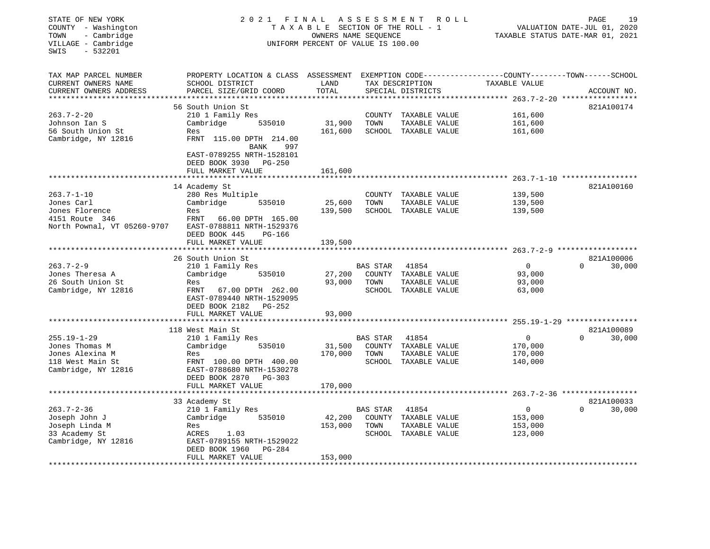| STATE OF NEW YORK<br>COUNTY - Washington<br>- Cambridge<br>TOWN<br>VILLAGE - Cambridge<br>$-532201$<br>SWIS | 2021 FINAL                                                                                                         | TAXABLE SECTION OF THE ROLL - 1<br>OWNERS NAME SEQUENCE<br>UNIFORM PERCENT OF VALUE IS 100.00 |                 | ASSESSMENT ROLL      | 19<br>PAGE<br>VALUATION DATE-JUL 01, 2020<br>TAXABLE STATUS DATE-MAR 01, 2021 |             |             |
|-------------------------------------------------------------------------------------------------------------|--------------------------------------------------------------------------------------------------------------------|-----------------------------------------------------------------------------------------------|-----------------|----------------------|-------------------------------------------------------------------------------|-------------|-------------|
| TAX MAP PARCEL NUMBER<br>CURRENT OWNERS NAME                                                                | PROPERTY LOCATION & CLASS ASSESSMENT EXEMPTION CODE---------------COUNTY-------TOWN------SCHOOL<br>SCHOOL DISTRICT | LAND                                                                                          |                 | TAX DESCRIPTION      | TAXABLE VALUE                                                                 |             |             |
| CURRENT OWNERS ADDRESS<br>***********************                                                           | PARCEL SIZE/GRID COORD                                                                                             | TOTAL                                                                                         |                 | SPECIAL DISTRICTS    |                                                                               |             | ACCOUNT NO. |
|                                                                                                             | 56 South Union St                                                                                                  |                                                                                               |                 |                      |                                                                               |             | 821A100174  |
| $263.7 - 2 - 20$                                                                                            | 210 1 Family Res                                                                                                   |                                                                                               |                 | COUNTY TAXABLE VALUE | 161,600                                                                       |             |             |
| Johnson Ian S                                                                                               | Cambridge<br>535010                                                                                                | 31,900                                                                                        | TOWN            | TAXABLE VALUE        | 161,600                                                                       |             |             |
| 56 South Union St                                                                                           | Res                                                                                                                | 161,600                                                                                       |                 | SCHOOL TAXABLE VALUE | 161,600                                                                       |             |             |
| Cambridge, NY 12816                                                                                         | FRNT 115.00 DPTH 214.00<br>BANK<br>997                                                                             |                                                                                               |                 |                      |                                                                               |             |             |
|                                                                                                             | EAST-0789255 NRTH-1528101<br>DEED BOOK 3930 PG-250                                                                 |                                                                                               |                 |                      |                                                                               |             |             |
|                                                                                                             | FULL MARKET VALUE                                                                                                  | 161,600                                                                                       |                 |                      |                                                                               |             |             |
|                                                                                                             |                                                                                                                    |                                                                                               |                 |                      |                                                                               |             |             |
|                                                                                                             | 14 Academy St                                                                                                      |                                                                                               |                 |                      |                                                                               |             | 821A100160  |
| $263.7 - 1 - 10$                                                                                            | 280 Res Multiple                                                                                                   |                                                                                               |                 | COUNTY TAXABLE VALUE | 139,500                                                                       |             |             |
| Jones Carl                                                                                                  | 535010<br>Cambridge                                                                                                | 25,600                                                                                        | TOWN            | TAXABLE VALUE        | 139,500                                                                       |             |             |
| Jones Florence                                                                                              | Res                                                                                                                | 139,500                                                                                       |                 | SCHOOL TAXABLE VALUE | 139,500                                                                       |             |             |
| 4151 Route 346<br>North Pownal, VT 05260-9707                                                               | FRNT<br>66.00 DPTH 165.00<br>EAST-0788811 NRTH-1529376                                                             |                                                                                               |                 |                      |                                                                               |             |             |
|                                                                                                             | DEED BOOK 445<br><b>PG-166</b>                                                                                     |                                                                                               |                 |                      |                                                                               |             |             |
|                                                                                                             | FULL MARKET VALUE                                                                                                  | 139,500                                                                                       |                 |                      |                                                                               |             |             |
|                                                                                                             | ***********************                                                                                            |                                                                                               |                 |                      |                                                                               |             |             |
|                                                                                                             | 26 South Union St                                                                                                  |                                                                                               |                 |                      |                                                                               |             | 821A100006  |
| $263.7 - 2 - 9$                                                                                             | 210 1 Family Res                                                                                                   |                                                                                               | BAS STAR        | 41854                | $\overline{0}$                                                                | $\mathbf 0$ | 30,000      |
| Jones Theresa A                                                                                             | 535010<br>Cambridge                                                                                                | 27,200                                                                                        |                 | COUNTY TAXABLE VALUE | 93,000                                                                        |             |             |
| 26 South Union St                                                                                           | Res                                                                                                                | 93,000                                                                                        | TOWN            | TAXABLE VALUE        | 93,000                                                                        |             |             |
| Cambridge, NY 12816                                                                                         | 67.00 DPTH 262.00<br>FRNT<br>EAST-0789440 NRTH-1529095<br>DEED BOOK 2182 PG-252                                    |                                                                                               |                 | SCHOOL TAXABLE VALUE | 63,000                                                                        |             |             |
|                                                                                                             | FULL MARKET VALUE                                                                                                  | 93,000                                                                                        |                 |                      |                                                                               |             |             |
|                                                                                                             |                                                                                                                    |                                                                                               |                 |                      |                                                                               |             |             |
|                                                                                                             | 118 West Main St                                                                                                   |                                                                                               |                 |                      |                                                                               |             | 821A100089  |
| $255.19 - 1 - 29$                                                                                           | 210 1 Family Res                                                                                                   |                                                                                               | BAS STAR        | 41854                | $\mathbf{0}$                                                                  | $\Omega$    | 30,000      |
| Jones Thomas M                                                                                              | 535010<br>Cambridge                                                                                                | 31,500                                                                                        | COUNTY          | TAXABLE VALUE        | 170,000                                                                       |             |             |
| Jones Alexina M                                                                                             | Res                                                                                                                | 170,000                                                                                       | TOWN            | TAXABLE VALUE        | 170,000                                                                       |             |             |
| 118 West Main St                                                                                            | FRNT 100.00 DPTH 400.00                                                                                            |                                                                                               |                 | SCHOOL TAXABLE VALUE | 140,000                                                                       |             |             |
| Cambridge, NY 12816                                                                                         | EAST-0788680 NRTH-1530278                                                                                          |                                                                                               |                 |                      |                                                                               |             |             |
|                                                                                                             | DEED BOOK 2870 PG-303                                                                                              |                                                                                               |                 |                      |                                                                               |             |             |
|                                                                                                             | FULL MARKET VALUE                                                                                                  | 170,000                                                                                       |                 |                      |                                                                               |             |             |
|                                                                                                             |                                                                                                                    |                                                                                               |                 |                      |                                                                               |             |             |
|                                                                                                             | 33 Academy St                                                                                                      |                                                                                               |                 |                      |                                                                               |             | 821A100033  |
| $263.7 - 2 - 36$                                                                                            | 210 1 Family Res                                                                                                   |                                                                                               | <b>BAS STAR</b> | 41854                | 0                                                                             | $\Omega$    | 30,000      |
| Joseph John J                                                                                               | 535010<br>Cambridge                                                                                                | 42,200                                                                                        | COUNTY          | TAXABLE VALUE        | 153,000                                                                       |             |             |
| Joseph Linda M                                                                                              | Res                                                                                                                | 153,000                                                                                       | TOWN            | TAXABLE VALUE        | 153,000                                                                       |             |             |
| 33 Academy St                                                                                               | ACRES<br>1.03                                                                                                      |                                                                                               |                 | SCHOOL TAXABLE VALUE | 123,000                                                                       |             |             |
| Cambridge, NY 12816                                                                                         | EAST-0789155 NRTH-1529022<br><b>PG-284</b><br>DEED BOOK 1960                                                       |                                                                                               |                 |                      |                                                                               |             |             |
| *********************                                                                                       | FULL MARKET VALUE<br>***************************                                                                   | 153,000<br>*******************                                                                |                 |                      |                                                                               |             |             |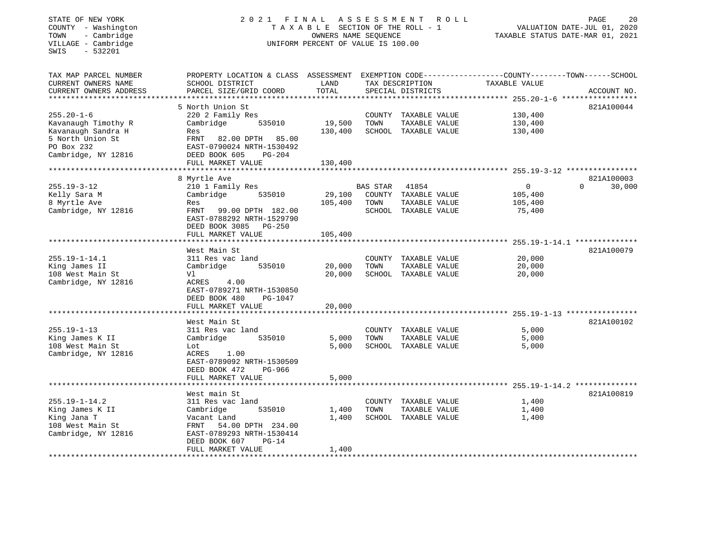## STATE OF NEW YORK 2 0 2 1 F I N A L A S S E S S M E N T R O L L PAGE 20 COUNTY - Washington T A X A B L E SECTION OF THE ROLL - 1 VALUATION DATE-JUL 01, 2020 TOWN - Cambridge OWNERS NAME SEQUENCE TAXABLE STATUS DATE-MAR 01, 2021 COUNTY - Washington<br>
TAXABLE SECTION OF THE ROLL<br>
TOWN - Cambridge UNIFORM PERCENT OF VALUE IS 100.00<br>
UNIFORM PERCENT OF VALUE IS 100.00

| TAX MAP PARCEL NUMBER  | PROPERTY LOCATION & CLASS ASSESSMENT |         |                 |                      | EXEMPTION CODE-----------------COUNTY-------TOWN------SCHOOL |                    |
|------------------------|--------------------------------------|---------|-----------------|----------------------|--------------------------------------------------------------|--------------------|
| CURRENT OWNERS NAME    | SCHOOL DISTRICT                      | LAND    |                 | TAX DESCRIPTION      | TAXABLE VALUE                                                |                    |
| CURRENT OWNERS ADDRESS | PARCEL SIZE/GRID COORD               | TOTAL   |                 | SPECIAL DISTRICTS    |                                                              | ACCOUNT NO.        |
|                        | **********************               |         |                 |                      |                                                              |                    |
|                        | 5 North Union St                     |         |                 |                      |                                                              | 821A100044         |
| $255.20 - 1 - 6$       | 220 2 Family Res                     |         |                 | COUNTY TAXABLE VALUE | 130,400                                                      |                    |
| Kavanaugh Timothy R    | 535010<br>Cambridge                  | 19,500  | TOWN            | TAXABLE VALUE        | 130,400                                                      |                    |
| Kavanaugh Sandra H     | Res                                  | 130,400 |                 | SCHOOL TAXABLE VALUE | 130,400                                                      |                    |
| 5 North Union St       | 82.00 DPTH<br>85.00<br>FRNT          |         |                 |                      |                                                              |                    |
| PO Box 232             | EAST-0790024 NRTH-1530492            |         |                 |                      |                                                              |                    |
| Cambridge, NY 12816    | DEED BOOK 605<br><b>PG-204</b>       |         |                 |                      |                                                              |                    |
|                        | FULL MARKET VALUE                    | 130,400 |                 |                      |                                                              |                    |
|                        |                                      |         |                 |                      |                                                              |                    |
|                        | 8 Myrtle Ave                         |         |                 |                      |                                                              | 821A100003         |
| $255.19 - 3 - 12$      | 210 1 Family Res                     |         | <b>BAS STAR</b> | 41854                | $\Omega$                                                     | $\Omega$<br>30,000 |
| Kelly Sara M           | Cambridge<br>535010                  | 29,100  |                 | COUNTY TAXABLE VALUE | 105,400                                                      |                    |
| 8 Myrtle Ave           | Res                                  | 105,400 | TOWN            | TAXABLE VALUE        | 105,400                                                      |                    |
| Cambridge, NY 12816    | FRNT<br>99.00 DPTH 182.00            |         |                 | SCHOOL TAXABLE VALUE | 75,400                                                       |                    |
|                        | EAST-0788292 NRTH-1529790            |         |                 |                      |                                                              |                    |
|                        | DEED BOOK 3085<br>$PG-250$           |         |                 |                      |                                                              |                    |
|                        | FULL MARKET VALUE                    | 105,400 |                 |                      |                                                              |                    |
|                        |                                      |         |                 |                      |                                                              |                    |
|                        | West Main St                         |         |                 |                      |                                                              | 821A100079         |
| $255.19 - 1 - 14.1$    | 311 Res vac land                     |         |                 | COUNTY TAXABLE VALUE | 20,000                                                       |                    |
| King James II          | Cambridge<br>535010                  | 20,000  | TOWN            | TAXABLE VALUE        | 20,000                                                       |                    |
| 108 West Main St       | Vl                                   | 20,000  |                 | SCHOOL TAXABLE VALUE | 20,000                                                       |                    |
| Cambridge, NY 12816    | ACRES<br>4.00                        |         |                 |                      |                                                              |                    |
|                        | EAST-0789271 NRTH-1530850            |         |                 |                      |                                                              |                    |
|                        | DEED BOOK 480<br>PG-1047             |         |                 |                      |                                                              |                    |
|                        | FULL MARKET VALUE                    | 20,000  |                 |                      |                                                              |                    |
|                        | ***********************              |         |                 |                      |                                                              |                    |
|                        | West Main St                         |         |                 |                      |                                                              | 821A100102         |
| $255.19 - 1 - 13$      | 311 Res vac land                     |         |                 | COUNTY TAXABLE VALUE | 5,000                                                        |                    |
| King James K II        | Cambridge<br>535010                  | 5,000   | TOWN            | TAXABLE VALUE        | 5,000                                                        |                    |
| 108 West Main St       | Lot                                  | 5,000   |                 | SCHOOL TAXABLE VALUE | 5,000                                                        |                    |
| Cambridge, NY 12816    | ACRES<br>1.00                        |         |                 |                      |                                                              |                    |
|                        | EAST-0789092 NRTH-1530509            |         |                 |                      |                                                              |                    |
|                        | DEED BOOK 472<br>PG-966              |         |                 |                      |                                                              |                    |
|                        | FULL MARKET VALUE                    | 5,000   |                 |                      |                                                              |                    |
|                        |                                      |         |                 |                      |                                                              |                    |
|                        | West main St                         |         |                 |                      |                                                              | 821A100819         |
| $255.19 - 1 - 14.2$    | 311 Res vac land                     |         | COUNTY          | TAXABLE VALUE        | 1,400                                                        |                    |
| King James K II        | Cambridge<br>535010                  | 1,400   | TOWN            | TAXABLE VALUE        | 1,400                                                        |                    |
| King Jana T            | Vacant Land                          | 1,400   |                 | SCHOOL TAXABLE VALUE | 1,400                                                        |                    |
| 108 West Main St       | 54.00 DPTH 234.00<br>FRNT            |         |                 |                      |                                                              |                    |
| Cambridge, NY 12816    | EAST-0789293 NRTH-1530414            |         |                 |                      |                                                              |                    |
|                        | DEED BOOK 607<br>$PG-14$             |         |                 |                      |                                                              |                    |
|                        | FULL MARKET VALUE                    | 1,400   |                 |                      |                                                              |                    |
|                        |                                      |         |                 |                      |                                                              |                    |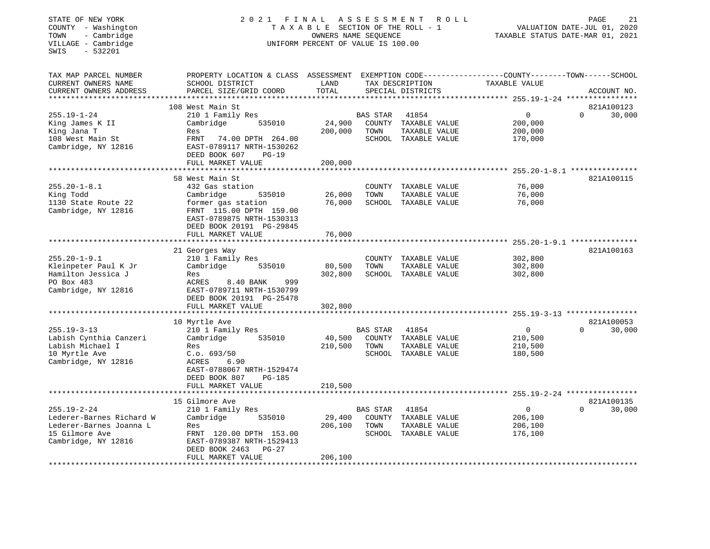| STATE OF NEW YORK<br>COUNTY - Washington<br>- Cambridge<br>TOWN<br>VILLAGE - Cambridge<br>$-532201$<br>SWIS       | 2021                                                                                                                                                                                          | FINAL<br>TAXABLE SECTION OF THE ROLL - 1<br>OWNERS NAME SEQUENCE<br>UNIFORM PERCENT OF VALUE IS 100.00 | ASSESSMENT              | ROLL                                                                   | PAGE<br>21<br>VALUATION DATE-JUL 01, 2020<br>TAXABLE STATUS DATE-MAR 01, 2021 |                                                  |  |
|-------------------------------------------------------------------------------------------------------------------|-----------------------------------------------------------------------------------------------------------------------------------------------------------------------------------------------|--------------------------------------------------------------------------------------------------------|-------------------------|------------------------------------------------------------------------|-------------------------------------------------------------------------------|--------------------------------------------------|--|
| TAX MAP PARCEL NUMBER<br>CURRENT OWNERS NAME<br>CURRENT OWNERS ADDRESS                                            | PROPERTY LOCATION & CLASS ASSESSMENT EXEMPTION CODE---------------COUNTY-------TOWN------SCHOOL<br>SCHOOL DISTRICT<br>PARCEL SIZE/GRID COORD                                                  | LAND<br>TOTAL                                                                                          |                         | TAX DESCRIPTION<br>SPECIAL DISTRICTS                                   | TAXABLE VALUE                                                                 | ACCOUNT NO.                                      |  |
|                                                                                                                   | 108 West Main St                                                                                                                                                                              |                                                                                                        |                         |                                                                        |                                                                               | 821A100123                                       |  |
| $255.19 - 1 - 24$<br>King James K II<br>King Jana T<br>108 West Main St<br>Cambridge, NY 12816                    | 210 1 Family Res<br>Cambridge<br>535010<br>Res<br>FRNT<br>74.00 DPTH 264.00<br>EAST-0789117 NRTH-1530262<br>DEED BOOK 607<br>$PG-19$                                                          | 24,900<br>200,000                                                                                      | BAS STAR<br>TOWN        | 41854<br>COUNTY TAXABLE VALUE<br>TAXABLE VALUE<br>SCHOOL TAXABLE VALUE | $\Omega$<br>200,000<br>200,000<br>170,000                                     | $\Omega$<br>30,000                               |  |
|                                                                                                                   | FULL MARKET VALUE                                                                                                                                                                             | 200,000                                                                                                |                         |                                                                        |                                                                               |                                                  |  |
| $255.20 - 1 - 8.1$<br>King Todd<br>1130 State Route 22<br>Cambridge, NY 12816                                     | **********************<br>58 West Main St<br>432 Gas station<br>535010<br>Cambridge<br>former gas station<br>FRNT 115.00 DPTH 159.00<br>EAST-0789875 NRTH-1530313<br>DEED BOOK 20191 PG-29845 | 26,000<br>76,000                                                                                       | TOWN                    | COUNTY TAXABLE VALUE<br>TAXABLE VALUE<br>SCHOOL TAXABLE VALUE          | 76,000<br>76,000<br>76,000                                                    | $255.20 - 1 - 8.1$ ***************<br>821A100115 |  |
|                                                                                                                   | FULL MARKET VALUE                                                                                                                                                                             | 76,000                                                                                                 |                         |                                                                        |                                                                               |                                                  |  |
|                                                                                                                   |                                                                                                                                                                                               |                                                                                                        |                         |                                                                        |                                                                               | 821A100163                                       |  |
| $255.20 - 1 - 9.1$<br>Kleinpeter Paul K Jr<br>Hamilton Jessica J<br>PO Box 483<br>Cambridge, NY 12816             | 21 Georges Way<br>210 1 Family Res<br>Cambridge<br>535010<br>Res<br>ACRES<br>8.40 BANK<br>999<br>EAST-0789711 NRTH-1530799<br>DEED BOOK 20191 PG-25478                                        | 80,500<br>302,800                                                                                      | TOWN                    | COUNTY TAXABLE VALUE<br>TAXABLE VALUE<br>SCHOOL TAXABLE VALUE          | 302,800<br>302,800<br>302,800                                                 |                                                  |  |
|                                                                                                                   | FULL MARKET VALUE                                                                                                                                                                             | 302,800                                                                                                |                         |                                                                        |                                                                               |                                                  |  |
| $255.19 - 3 - 13$<br>Labish Cynthia Canzeri<br>Labish Michael I<br>10 Myrtle Ave<br>Cambridge, NY 12816           | 10 Myrtle Ave<br>210 1 Family Res<br>535010<br>Cambridge<br>Res<br>C.o. 693/50<br>ACRES<br>6.90<br>EAST-0788067 NRTH-1529474<br>DEED BOOK 807<br><b>PG-185</b><br>FULL MARKET VALUE           | 40,500<br>210,500<br>210,500                                                                           | <b>BAS STAR</b><br>TOWN | 41854<br>COUNTY TAXABLE VALUE<br>TAXABLE VALUE<br>SCHOOL TAXABLE VALUE | $\mathbf{0}$<br>210,500<br>210,500<br>180,500                                 | 821A100053<br>$\Omega$<br>30,000                 |  |
|                                                                                                                   |                                                                                                                                                                                               |                                                                                                        |                         |                                                                        |                                                                               |                                                  |  |
| $255.19 - 2 - 24$<br>Lederer-Barnes Richard W<br>Lederer-Barnes Joanna L<br>15 Gilmore Ave<br>Cambridge, NY 12816 | 15 Gilmore Ave<br>210 1 Family Res<br>Cambridge<br>535010<br>Res<br>FRNT 120.00 DPTH 153.00<br>EAST-0789387 NRTH-1529413<br>DEED BOOK 2463<br>PG-27<br>FULL MARKET VALUE                      | 29,400<br>206,100<br>206,100                                                                           | BAS STAR<br>TOWN        | 41854<br>COUNTY TAXABLE VALUE<br>TAXABLE VALUE<br>SCHOOL TAXABLE VALUE | $\mathsf{O}$<br>206,100<br>206,100<br>176,100                                 | 821A100135<br>$\Omega$<br>30,000                 |  |
|                                                                                                                   |                                                                                                                                                                                               |                                                                                                        |                         |                                                                        |                                                                               |                                                  |  |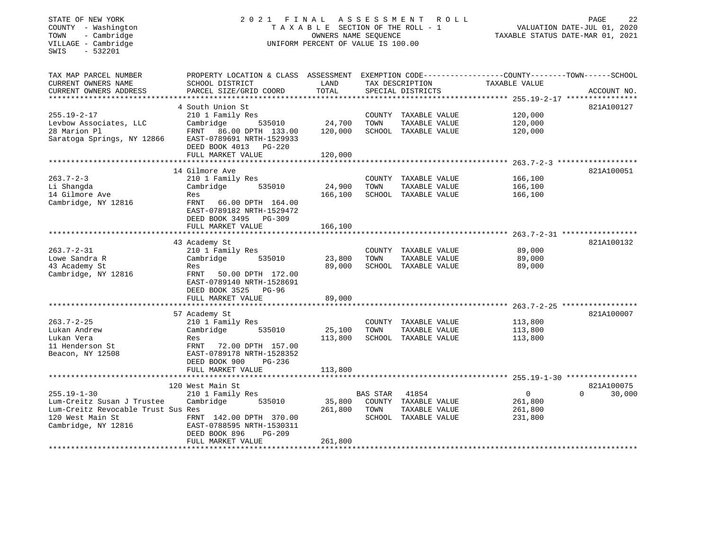| STATE OF NEW YORK<br>COUNTY - Washington<br>- Cambridge<br>TOWN<br>VILLAGE - Cambridge<br>SWIS<br>$-532201$ | 2021<br>FINAL                                                                                                      | ASSESSMENT<br>TAXABLE SECTION OF THE ROLL - 1<br>OWNERS NAME SEQUENCE<br>UNIFORM PERCENT OF VALUE IS 100.00 | R O L L         | 22<br>PAGE<br>VALUATION DATE-JUL 01, 2020<br>TAXABLE STATUS DATE-MAR 01, 2021 |                                                              |                    |
|-------------------------------------------------------------------------------------------------------------|--------------------------------------------------------------------------------------------------------------------|-------------------------------------------------------------------------------------------------------------|-----------------|-------------------------------------------------------------------------------|--------------------------------------------------------------|--------------------|
| TAX MAP PARCEL NUMBER<br>CURRENT OWNERS NAME                                                                | PROPERTY LOCATION & CLASS ASSESSMENT EXEMPTION CODE---------------COUNTY-------TOWN------SCHOOL<br>SCHOOL DISTRICT | LAND                                                                                                        |                 | TAX DESCRIPTION                                                               | TAXABLE VALUE                                                |                    |
| CURRENT OWNERS ADDRESS                                                                                      | PARCEL SIZE/GRID COORD                                                                                             | TOTAL                                                                                                       |                 | SPECIAL DISTRICTS                                                             |                                                              | ACCOUNT NO.        |
|                                                                                                             |                                                                                                                    |                                                                                                             |                 |                                                                               |                                                              |                    |
|                                                                                                             | 4 South Union St                                                                                                   |                                                                                                             |                 |                                                                               |                                                              | 821A100127         |
| $255.19 - 2 - 17$<br>Levbow Associates, LLC                                                                 | 210 1 Family Res<br>Cambridge<br>535010                                                                            | 24,700                                                                                                      | TOWN            | COUNTY TAXABLE VALUE<br>TAXABLE VALUE                                         | 120,000<br>120,000                                           |                    |
| 28 Marion Pl                                                                                                | FRNT 86.00 DPTH 133.00                                                                                             | 120,000                                                                                                     |                 | SCHOOL TAXABLE VALUE                                                          | 120,000                                                      |                    |
| Saratoga Springs, NY 12866                                                                                  | EAST-0789691 NRTH-1529933<br>DEED BOOK 4013 PG-220                                                                 |                                                                                                             |                 |                                                                               |                                                              |                    |
|                                                                                                             | FULL MARKET VALUE                                                                                                  | 120,000                                                                                                     |                 |                                                                               |                                                              |                    |
|                                                                                                             |                                                                                                                    |                                                                                                             |                 |                                                                               |                                                              |                    |
| $263.7 - 2 - 3$                                                                                             | 14 Gilmore Ave<br>210 1 Family Res                                                                                 |                                                                                                             | COUNTY          |                                                                               | 166,100                                                      | 821A100051         |
| Li Shangda                                                                                                  | Cambridge<br>535010                                                                                                | 24,900                                                                                                      | TOWN            | TAXABLE VALUE<br>TAXABLE VALUE                                                | 166,100                                                      |                    |
| 14 Gilmore Ave                                                                                              | Res                                                                                                                | 166,100                                                                                                     |                 | SCHOOL TAXABLE VALUE                                                          | 166,100                                                      |                    |
| Cambridge, NY 12816                                                                                         | FRNT<br>66.00 DPTH 164.00<br>EAST-0789182 NRTH-1529472<br>DEED BOOK 3495 PG-309                                    |                                                                                                             |                 |                                                                               |                                                              |                    |
|                                                                                                             | FULL MARKET VALUE                                                                                                  | 166,100                                                                                                     |                 |                                                                               |                                                              |                    |
|                                                                                                             |                                                                                                                    |                                                                                                             |                 |                                                                               |                                                              |                    |
| $263.7 - 2 - 31$                                                                                            | 43 Academy St<br>210 1 Family Res                                                                                  |                                                                                                             |                 | COUNTY TAXABLE VALUE                                                          | 89,000                                                       | 821A100132         |
| Lowe Sandra R                                                                                               | Cambridge<br>535010                                                                                                | 23,800                                                                                                      | TOWN            | TAXABLE VALUE                                                                 | 89,000                                                       |                    |
| 43 Academy St                                                                                               | Res                                                                                                                | 89,000                                                                                                      |                 | SCHOOL TAXABLE VALUE                                                          | 89,000                                                       |                    |
| Cambridge, NY 12816                                                                                         | FRNT 50.00 DPTH 172.00<br>EAST-0789140 NRTH-1528691<br>DEED BOOK 3525 PG-96                                        |                                                                                                             |                 |                                                                               |                                                              |                    |
|                                                                                                             | FULL MARKET VALUE                                                                                                  | 89,000                                                                                                      |                 |                                                                               |                                                              |                    |
|                                                                                                             |                                                                                                                    |                                                                                                             |                 |                                                                               | ******************************* 263.7-2-25 ***************** | 821A100007         |
| $263.7 - 2 - 25$                                                                                            | 57 Academy St<br>210 1 Family Res                                                                                  |                                                                                                             |                 | COUNTY TAXABLE VALUE                                                          | 113,800                                                      |                    |
| Lukan Andrew                                                                                                | Cambridge<br>535010                                                                                                | 25,100                                                                                                      | TOWN            | TAXABLE VALUE                                                                 | 113,800                                                      |                    |
| Lukan Vera                                                                                                  | Res                                                                                                                | 113,800                                                                                                     |                 | SCHOOL TAXABLE VALUE                                                          | 113,800                                                      |                    |
| 11 Henderson St<br>Beacon, NY 12508                                                                         | FRNT<br>72.00 DPTH 157.00<br>EAST-0789178 NRTH-1528352<br>DEED BOOK 900<br>PG-236                                  |                                                                                                             |                 |                                                                               |                                                              |                    |
|                                                                                                             | FULL MARKET VALUE                                                                                                  | 113,800                                                                                                     |                 |                                                                               |                                                              |                    |
|                                                                                                             | 120 West Main St                                                                                                   |                                                                                                             |                 |                                                                               |                                                              | 821A100075         |
| $255.19 - 1 - 30$                                                                                           | 210 1 Family Res                                                                                                   |                                                                                                             | <b>BAS STAR</b> | 41854                                                                         | $\mathbf{0}$                                                 | 30,000<br>$\Omega$ |
| Lum-Creitz Susan J Trustee                                                                                  | Cambridge<br>535010                                                                                                | 35,800                                                                                                      |                 | COUNTY TAXABLE VALUE                                                          | 261,800                                                      |                    |
| Lum-Creitz Revocable Trust Sus Res                                                                          |                                                                                                                    | 261,800                                                                                                     | TOWN            | TAXABLE VALUE                                                                 | 261,800                                                      |                    |
| 120 West Main St<br>Cambridge, NY 12816                                                                     | FRNT 142.00 DPTH 370.00<br>EAST-0788595 NRTH-1530311<br>DEED BOOK 896<br><b>PG-209</b>                             |                                                                                                             |                 | SCHOOL TAXABLE VALUE                                                          | 231,800                                                      |                    |
|                                                                                                             | FULL MARKET VALUE                                                                                                  | 261,800                                                                                                     |                 |                                                                               |                                                              |                    |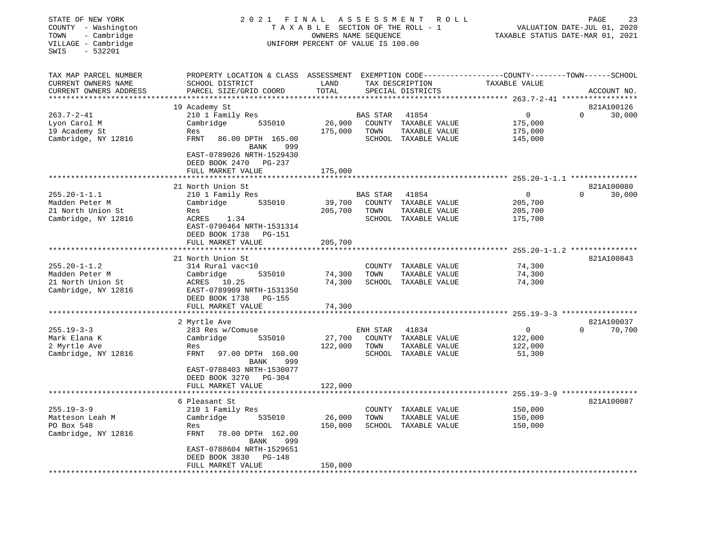| STATE OF NEW YORK<br>COUNTY - Washington<br>- Cambridge<br>TOWN<br>VILLAGE - Cambridge<br>SWIS<br>$-532201$ | 2021<br>FINAL<br>TAXABLE SECTION OF THE ROLL - 1<br>UNIFORM PERCENT OF VALUE IS 100.00                                                      |               | 23<br>PAGE<br>VALUATION DATE-JUL 01, 2020<br>TAXABLE STATUS DATE-MAR 01, 2021 |                                      |                                                                    |                    |
|-------------------------------------------------------------------------------------------------------------|---------------------------------------------------------------------------------------------------------------------------------------------|---------------|-------------------------------------------------------------------------------|--------------------------------------|--------------------------------------------------------------------|--------------------|
| TAX MAP PARCEL NUMBER<br>CURRENT OWNERS NAME<br>CURRENT OWNERS ADDRESS<br>***********************           | PROPERTY LOCATION & CLASS ASSESSMENT EXEMPTION CODE---------------COUNTY-------TOWN-----SCHOOL<br>SCHOOL DISTRICT<br>PARCEL SIZE/GRID COORD | LAND<br>TOTAL |                                                                               | TAX DESCRIPTION<br>SPECIAL DISTRICTS | TAXABLE VALUE                                                      | ACCOUNT NO.        |
|                                                                                                             | 19 Academy St                                                                                                                               |               |                                                                               |                                      |                                                                    | 821A100126         |
| $263.7 - 2 - 41$                                                                                            | 210 1 Family Res                                                                                                                            |               | <b>BAS STAR</b>                                                               | 41854                                | $\mathbf 0$                                                        | 30,000<br>$\Omega$ |
| Lyon Carol M                                                                                                | Cambridge<br>535010                                                                                                                         | 26,900        | COUNTY                                                                        | TAXABLE VALUE                        | 175,000                                                            |                    |
| 19 Academy St                                                                                               | Res                                                                                                                                         | 175,000       | TOWN                                                                          | TAXABLE VALUE                        | 175,000                                                            |                    |
| Cambridge, NY 12816                                                                                         | FRNT<br>86.00 DPTH 165.00<br>BANK<br>999                                                                                                    |               |                                                                               | SCHOOL TAXABLE VALUE                 | 145,000                                                            |                    |
|                                                                                                             | EAST-0789026 NRTH-1529430<br>DEED BOOK 2470<br>PG-237                                                                                       |               |                                                                               |                                      |                                                                    |                    |
|                                                                                                             | FULL MARKET VALUE                                                                                                                           | 175,000       |                                                                               |                                      |                                                                    |                    |
|                                                                                                             | 21 North Union St                                                                                                                           |               |                                                                               |                                      |                                                                    | 821A100080         |
| $255.20 - 1 - 1.1$                                                                                          | 210 1 Family Res                                                                                                                            |               | <b>BAS STAR</b>                                                               | 41854                                | $\Omega$                                                           | $\Omega$<br>30,000 |
| Madden Peter M                                                                                              | Cambridge<br>535010                                                                                                                         | 39,700        |                                                                               | COUNTY TAXABLE VALUE                 | 205,700                                                            |                    |
| 21 North Union St                                                                                           | Res                                                                                                                                         | 205,700       | TOWN                                                                          | TAXABLE VALUE                        | 205,700                                                            |                    |
| Cambridge, NY 12816                                                                                         | ACRES<br>1.34                                                                                                                               |               |                                                                               | SCHOOL TAXABLE VALUE                 | 175,700                                                            |                    |
|                                                                                                             | EAST-0790464 NRTH-1531314                                                                                                                   |               |                                                                               |                                      |                                                                    |                    |
|                                                                                                             | DEED BOOK 1738<br>PG-151                                                                                                                    |               |                                                                               |                                      |                                                                    |                    |
|                                                                                                             | FULL MARKET VALUE                                                                                                                           | 205,700       |                                                                               |                                      |                                                                    |                    |
|                                                                                                             |                                                                                                                                             |               |                                                                               |                                      | ********** 255.20-1-1.2 ***************                            |                    |
|                                                                                                             | 21 North Union St                                                                                                                           |               |                                                                               |                                      |                                                                    | 821A100843         |
| $255.20 - 1 - 1.2$                                                                                          | 314 Rural vac<10                                                                                                                            |               |                                                                               | COUNTY TAXABLE VALUE                 | 74,300                                                             |                    |
| Madden Peter M                                                                                              | Cambridge<br>535010                                                                                                                         | 74,300        | TOWN                                                                          | TAXABLE VALUE                        | 74,300                                                             |                    |
| 21 North Union St<br>Cambridge, NY 12816                                                                    | ACRES<br>10.25<br>EAST-0789909 NRTH-1531350                                                                                                 | 74,300        |                                                                               | SCHOOL TAXABLE VALUE                 | 74,300                                                             |                    |
|                                                                                                             | DEED BOOK 1738<br>PG-155                                                                                                                    |               |                                                                               |                                      |                                                                    |                    |
|                                                                                                             | FULL MARKET VALUE                                                                                                                           | 74,300        |                                                                               |                                      |                                                                    |                    |
|                                                                                                             |                                                                                                                                             |               |                                                                               |                                      |                                                                    |                    |
|                                                                                                             | 2 Myrtle Ave                                                                                                                                |               |                                                                               |                                      |                                                                    | 821A100037         |
| $255.19 - 3 - 3$                                                                                            | 283 Res w/Comuse                                                                                                                            |               | ENH STAR                                                                      | 41834                                | $\Omega$                                                           | $\Omega$<br>70,700 |
| Mark Elana K                                                                                                | Cambridge<br>535010                                                                                                                         | 27,700        | COUNTY                                                                        | TAXABLE VALUE                        | 122,000                                                            |                    |
| 2 Myrtle Ave                                                                                                | Res                                                                                                                                         | 122,000       | TOWN                                                                          | TAXABLE VALUE                        | 122,000                                                            |                    |
| Cambridge, NY 12816                                                                                         | <b>FRNT</b><br>97.00 DPTH 160.00                                                                                                            |               |                                                                               | SCHOOL TAXABLE VALUE                 | 51,300                                                             |                    |
|                                                                                                             | BANK<br>999                                                                                                                                 |               |                                                                               |                                      |                                                                    |                    |
|                                                                                                             | EAST-0788403 NRTH-1530077                                                                                                                   |               |                                                                               |                                      |                                                                    |                    |
|                                                                                                             | DEED BOOK 3270<br>PG-304                                                                                                                    |               |                                                                               |                                      |                                                                    |                    |
|                                                                                                             | FULL MARKET VALUE<br>**********************                                                                                                 | 122,000       |                                                                               |                                      |                                                                    |                    |
|                                                                                                             | 6 Pleasant St                                                                                                                               |               |                                                                               |                                      | *************************************955.19-3-9 ****************** | 821A100087         |
| $255.19 - 3 - 9$                                                                                            | 210 1 Family Res                                                                                                                            |               | COUNTY                                                                        | TAXABLE VALUE                        | 150,000                                                            |                    |
| Matteson Leah M                                                                                             | Cambridge<br>535010                                                                                                                         | 26,000        | TOWN                                                                          | TAXABLE VALUE                        | 150,000                                                            |                    |
| PO Box 548                                                                                                  | Res                                                                                                                                         | 150,000       |                                                                               | SCHOOL TAXABLE VALUE                 | 150,000                                                            |                    |
| Cambridge, NY 12816                                                                                         | <b>FRNT</b><br>78.00 DPTH 162.00                                                                                                            |               |                                                                               |                                      |                                                                    |                    |
|                                                                                                             | BANK<br>999                                                                                                                                 |               |                                                                               |                                      |                                                                    |                    |
|                                                                                                             | EAST-0788604 NRTH-1529651                                                                                                                   |               |                                                                               |                                      |                                                                    |                    |
|                                                                                                             | DEED BOOK 3830<br><b>PG-148</b>                                                                                                             |               |                                                                               |                                      |                                                                    |                    |
|                                                                                                             | FULL MARKET VALUE                                                                                                                           | 150,000       |                                                                               |                                      |                                                                    |                    |
|                                                                                                             |                                                                                                                                             |               |                                                                               |                                      |                                                                    |                    |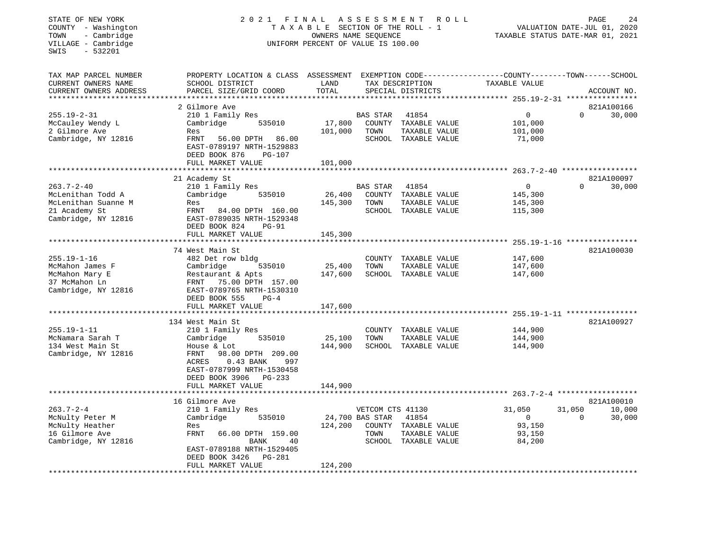| STATE OF NEW YORK<br>COUNTY - Washington<br>- Cambridge<br>TOWN<br>VILLAGE - Cambridge<br>SWIS<br>$-532201$         | 2021                                                                                                                                                                                           | ASSESSMENT<br>FINAL<br>TAXABLE SECTION OF THE ROLL - 1<br>OWNERS NAME SEQUENCE<br>UNIFORM PERCENT OF VALUE IS 100.00 | 24<br>ROLL<br>PAGE<br>VALUATION DATE-JUL 01, 2020<br>TAXABLE STATUS DATE-MAR 01, 2021 |                                                                        |                                                     |                                        |
|---------------------------------------------------------------------------------------------------------------------|------------------------------------------------------------------------------------------------------------------------------------------------------------------------------------------------|----------------------------------------------------------------------------------------------------------------------|---------------------------------------------------------------------------------------|------------------------------------------------------------------------|-----------------------------------------------------|----------------------------------------|
| TAX MAP PARCEL NUMBER<br>CURRENT OWNERS NAME<br>CURRENT OWNERS ADDRESS<br>***********************                   | PROPERTY LOCATION & CLASS ASSESSMENT EXEMPTION CODE---------------COUNTY-------TOWN------SCHOOL<br>SCHOOL DISTRICT<br>PARCEL SIZE/GRID COORD                                                   | LAND<br>TOTAL                                                                                                        |                                                                                       | TAX DESCRIPTION<br>SPECIAL DISTRICTS                                   | TAXABLE VALUE                                       | ACCOUNT NO.                            |
|                                                                                                                     | 2 Gilmore Ave                                                                                                                                                                                  |                                                                                                                      |                                                                                       |                                                                        |                                                     | 821A100166                             |
| $255.19 - 2 - 31$<br>McCauley Wendy L<br>2 Gilmore Ave<br>Cambridge, NY 12816                                       | 210 1 Family Res<br>535010<br>Cambridge<br>Res<br><b>FRNT</b><br>56.00 DPTH<br>86.00<br>EAST-0789197 NRTH-1529883<br>DEED BOOK 876<br><b>PG-107</b><br>FULL MARKET VALUE                       | 17,800<br>101,000<br>101,000                                                                                         | <b>BAS STAR</b><br>TOWN                                                               | 41854<br>COUNTY TAXABLE VALUE<br>TAXABLE VALUE<br>SCHOOL TAXABLE VALUE | $\mathbf{0}$<br>101,000<br>101,000<br>71,000        | $\Omega$<br>30,000                     |
|                                                                                                                     |                                                                                                                                                                                                |                                                                                                                      |                                                                                       |                                                                        | ********* 263.7-2-40 ******************             |                                        |
| $263.7 - 2 - 40$<br>McLenithan Todd A<br>McLenithan Suanne M<br>21 Academy St<br>Cambridge, NY 12816                | 21 Academy St<br>210 1 Family Res<br>Cambridge<br>535010<br>Res<br>FRNT<br>84.00 DPTH 160.00<br>EAST-0789035 NRTH-1529348<br>DEED BOOK 824<br>PG-91                                            | 26,400<br>145,300                                                                                                    | BAS STAR<br>TOWN                                                                      | 41854<br>COUNTY TAXABLE VALUE<br>TAXABLE VALUE<br>SCHOOL TAXABLE VALUE | 0<br>145,300<br>145,300<br>115,300                  | 821A100097<br>0<br>30,000              |
|                                                                                                                     | FULL MARKET VALUE                                                                                                                                                                              | 145,300                                                                                                              |                                                                                       |                                                                        |                                                     |                                        |
|                                                                                                                     | **************************                                                                                                                                                                     |                                                                                                                      |                                                                                       |                                                                        |                                                     |                                        |
| $255.19 - 1 - 16$<br>McMahon James F<br>McMahon Mary E<br>37 McMahon Ln<br>Cambridge, NY 12816<br>***************** | 74 West Main St<br>482 Det row bldg<br>Cambridge<br>535010<br>Restaurant & Apts<br>FRNT<br>75.00 DPTH 157.00<br>EAST-0789765 NRTH-1530310<br>DEED BOOK 555<br>$PG-4$<br>FULL MARKET VALUE      | 25,400<br>147,600<br>147,600                                                                                         | TOWN                                                                                  | COUNTY TAXABLE VALUE<br>TAXABLE VALUE<br>SCHOOL TAXABLE VALUE          | 147,600<br>147,600<br>147,600                       | 821A100030                             |
|                                                                                                                     | 134 West Main St                                                                                                                                                                               |                                                                                                                      |                                                                                       |                                                                        |                                                     | 821A100927                             |
| $255.19 - 1 - 11$<br>McNamara Sarah T<br>134 West Main St<br>Cambridge, NY 12816                                    | 210 1 Family Res<br>535010<br>Cambridge<br>House & Lot<br>FRNT<br>98.00 DPTH 209.00<br>ACRES<br>0.43 BANK<br>997<br>EAST-0787999 NRTH-1530458<br>DEED BOOK 3906<br>PG-233<br>FULL MARKET VALUE | 25,100<br>144,900<br>144,900                                                                                         | TOWN                                                                                  | COUNTY TAXABLE VALUE<br>TAXABLE VALUE<br>SCHOOL TAXABLE VALUE          | 144,900<br>144,900<br>144,900                       |                                        |
|                                                                                                                     |                                                                                                                                                                                                |                                                                                                                      |                                                                                       |                                                                        |                                                     |                                        |
|                                                                                                                     | 16 Gilmore Ave                                                                                                                                                                                 |                                                                                                                      |                                                                                       |                                                                        |                                                     | 821A100010                             |
| $263.7 - 2 - 4$<br>McNulty Peter M<br>McNulty Heather<br>16 Gilmore Ave<br>Cambridge, NY 12816                      | 210 1 Family Res<br>Cambridge<br>535010<br>Res<br><b>FRNT</b><br>66.00 DPTH 159.00<br>BANK<br>40<br>EAST-0789188 NRTH-1529405<br>PG-281<br>DEED BOOK 3426<br>FULL MARKET VALUE                 | 124,200<br>124,200                                                                                                   | VETCOM CTS 41130<br>24,700 BAS STAR<br>TOWN                                           | 41854<br>COUNTY TAXABLE VALUE<br>TAXABLE VALUE<br>SCHOOL TAXABLE VALUE | 31,050<br>$\mathbf 0$<br>93,150<br>93,150<br>84,200 | 31,050<br>10,000<br>$\Omega$<br>30,000 |
| ********************                                                                                                | *********************                                                                                                                                                                          |                                                                                                                      |                                                                                       | *******************************                                        |                                                     |                                        |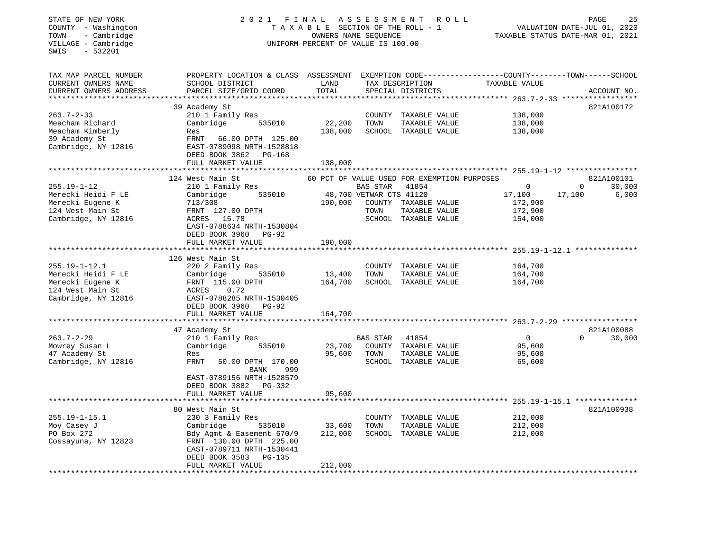## STATE OF NEW YORK 2 0 2 1 F I N A L A S S E S S M E N T R O L L PAGE 25 COUNTY - Washington T A X A B L E SECTION OF THE ROLL - 1 VALUATION DATE-JUL 01, 2020 TOWN - Cambridge OWNERS NAME SEQUENCE TAXABLE STATUS DATE-MAR 01, 2021 COUNTY - Washington<br>
TAXABLE SECTION OF THE ROLL<br>
TOWN - Cambridge UNIFORM PERCENT OF VALUE IS 100.00<br>
UNIFORM PERCENT OF VALUE IS 100.00

| TAX MAP PARCEL NUMBER                                                                                    | PROPERTY LOCATION & CLASS ASSESSMENT                                                                                                                                                      |                              |                                 |                                                                        | EXEMPTION CODE-----------------COUNTY-------TOWN------SCHOOL |          |                      |
|----------------------------------------------------------------------------------------------------------|-------------------------------------------------------------------------------------------------------------------------------------------------------------------------------------------|------------------------------|---------------------------------|------------------------------------------------------------------------|--------------------------------------------------------------|----------|----------------------|
| CURRENT OWNERS NAME                                                                                      | SCHOOL DISTRICT                                                                                                                                                                           | LAND                         | TAX DESCRIPTION                 |                                                                        | TAXABLE VALUE                                                |          |                      |
| CURRENT OWNERS ADDRESS                                                                                   | PARCEL SIZE/GRID COORD                                                                                                                                                                    | TOTAL                        |                                 | SPECIAL DISTRICTS                                                      |                                                              |          | ACCOUNT NO.          |
|                                                                                                          | 39 Academy St                                                                                                                                                                             |                              |                                 |                                                                        |                                                              |          | 821A100172           |
| $263.7 - 2 - 33$<br>Meacham Richard<br>Meacham Kimberly<br>39 Academy St<br>Cambridge, NY 12816          | 210 1 Family Res<br>535010<br>Cambridge<br>Res<br>FRNT 66.00 DPTH 125.00<br>EAST-0789098 NRTH-1528818                                                                                     | 22,200<br>138,000            | TOWN                            | COUNTY TAXABLE VALUE<br>TAXABLE VALUE<br>SCHOOL TAXABLE VALUE          | 138,000<br>138,000<br>138,000                                |          |                      |
|                                                                                                          | DEED BOOK 3862<br>PG-168<br>FULL MARKET VALUE                                                                                                                                             | 138,000                      |                                 |                                                                        |                                                              |          |                      |
|                                                                                                          |                                                                                                                                                                                           |                              |                                 |                                                                        |                                                              |          |                      |
|                                                                                                          | 124 West Main St                                                                                                                                                                          |                              |                                 | 60 PCT OF VALUE USED FOR EXEMPTION PURPOSES                            |                                                              |          | 821A100101           |
| $255.19 - 1 - 12$                                                                                        | 210 1 Family Res                                                                                                                                                                          |                              | BAS STAR                        | 41854                                                                  | $\mathbf 0$                                                  | $\Omega$ | 30,000               |
| Merecki Heidi F LE<br>Merecki Eugene K<br>124 West Main St<br>Cambridge, NY 12816                        | 535010<br>Cambridge<br>713/308<br>FRNT 127.00 DPTH<br>ACRES 15.78<br>EAST-0788634 NRTH-1530804<br>DEED BOOK 3960<br>PG-92<br>FULL MARKET VALUE                                            | 190,000<br>190,000           | 48,700 VETWAR CTS 41120<br>TOWN | COUNTY TAXABLE VALUE<br>TAXABLE VALUE<br>SCHOOL TAXABLE VALUE          | 17,100<br>172,900<br>172,900<br>154,000                      | 17,100   | 6,000                |
|                                                                                                          |                                                                                                                                                                                           |                              |                                 |                                                                        |                                                              |          |                      |
| $255.19 - 1 - 12.1$<br>Merecki Heidi F LE<br>Merecki Eugene K<br>124 West Main St<br>Cambridge, NY 12816 | 126 West Main St<br>220 2 Family Res<br>Cambridge<br>535010<br>FRNT 115.00 DPTH<br>0.72<br>ACRES<br>EAST-0788285 NRTH-1530405<br>DEED BOOK 3960<br>PG-92<br>FULL MARKET VALUE             | 13,400<br>164,700<br>164,700 | TOWN                            | COUNTY TAXABLE VALUE<br>TAXABLE VALUE<br>SCHOOL TAXABLE VALUE          | 164,700<br>164,700<br>164,700                                |          |                      |
|                                                                                                          |                                                                                                                                                                                           |                              |                                 |                                                                        |                                                              |          |                      |
| $263.7 - 2 - 29$<br>Mowrey Susan L<br>47 Academy St<br>Cambridge, NY 12816                               | 47 Academy St<br>210 1 Family Res<br>535010<br>Cambridge<br>Res<br>50.00 DPTH 170.00<br>FRNT<br>BANK<br>999<br>EAST-0789156 NRTH-1528579<br>DEED BOOK 3882<br>PG-332<br>FULL MARKET VALUE | 23,700<br>95,600<br>95,600   | BAS STAR<br>TOWN                | 41854<br>COUNTY TAXABLE VALUE<br>TAXABLE VALUE<br>SCHOOL TAXABLE VALUE | $\overline{0}$<br>95,600<br>95,600<br>65,600                 | $\Omega$ | 821A100088<br>30,000 |
|                                                                                                          |                                                                                                                                                                                           |                              |                                 |                                                                        |                                                              |          |                      |
|                                                                                                          | 80 West Main St                                                                                                                                                                           |                              |                                 |                                                                        |                                                              |          | 821A100938           |
| $255.19 - 1 - 15.1$<br>Moy Casey J<br>PO Box 272<br>Cossayuna, NY 12823                                  | 230 3 Family Res<br>535010<br>Cambridge<br>Bdy Agmt & Easement 670/9<br>FRNT 130.00 DPTH 225.00<br>EAST-0789711 NRTH-1530441<br>DEED BOOK 3583<br>PG-135                                  | 33,600<br>212,000            | TOWN                            | COUNTY TAXABLE VALUE<br>TAXABLE VALUE<br>SCHOOL TAXABLE VALUE          | 212,000<br>212,000<br>212,000                                |          |                      |
|                                                                                                          | FULL MARKET VALUE                                                                                                                                                                         | 212,000                      |                                 |                                                                        |                                                              |          |                      |
|                                                                                                          | ***********************************                                                                                                                                                       |                              |                                 |                                                                        |                                                              |          |                      |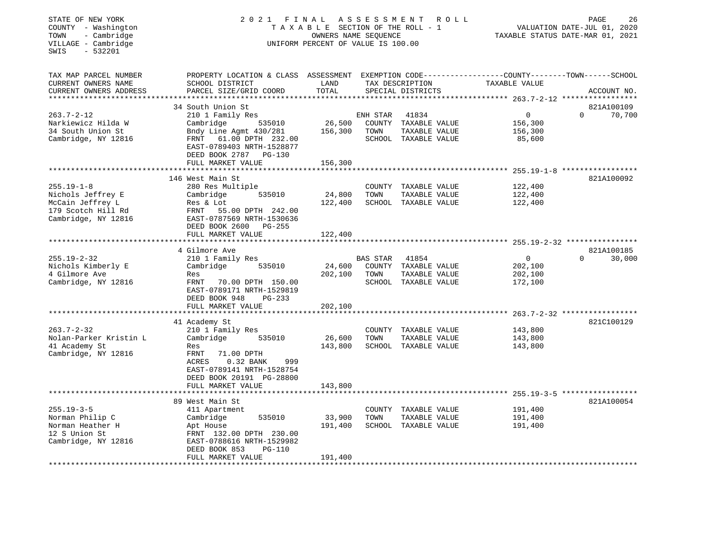| STATE OF NEW YORK<br>COUNTY - Washington<br>- Cambridge<br>TOWN<br>VILLAGE - Cambridge<br>$-532201$<br>SWIS |                                                                                                                                             | TAXABLE SECTION OF THE ROLL - 1<br>OWNERS NAME SEQUENCE<br>UNIFORM PERCENT OF VALUE IS 100.00 |          | 2021 FINAL ASSESSMENT ROLL            |                           | PAGE<br>26<br>VALUATION DATE-JUL 01, 2020<br>TAXABLE STATUS DATE-MAR 01, 2021 |
|-------------------------------------------------------------------------------------------------------------|---------------------------------------------------------------------------------------------------------------------------------------------|-----------------------------------------------------------------------------------------------|----------|---------------------------------------|---------------------------|-------------------------------------------------------------------------------|
| TAX MAP PARCEL NUMBER<br>CURRENT OWNERS NAME<br>CURRENT OWNERS ADDRESS<br>**********************            | PROPERTY LOCATION & CLASS ASSESSMENT EXEMPTION CODE---------------COUNTY-------TOWN-----SCHOOL<br>SCHOOL DISTRICT<br>PARCEL SIZE/GRID COORD | LAND<br>TOTAL                                                                                 |          | TAX DESCRIPTION<br>SPECIAL DISTRICTS  | TAXABLE VALUE             | ACCOUNT NO.                                                                   |
|                                                                                                             | 34 South Union St                                                                                                                           |                                                                                               |          |                                       |                           | 821A100109                                                                    |
| $263.7 - 2 - 12$<br>Narkiewicz Hilda W                                                                      | 210 1 Family Res<br>Cambridge<br>535010                                                                                                     |                                                                                               | ENH STAR | 41834<br>26,500 COUNTY TAXABLE VALUE  | $\overline{0}$<br>156,300 | $\Omega$<br>70,700                                                            |
| 34 South Union St<br>Cambridge, NY 12816                                                                    | Bndy Line Agmt 430/281 156,300 TOWN<br>FRNT 61.00 DPTH 232.00<br>EAST-0789403 NRTH-1528877<br>DEED BOOK 2787 PG-130                         |                                                                                               |          | TAXABLE VALUE<br>SCHOOL TAXABLE VALUE | 156,300<br>85,600         |                                                                               |
|                                                                                                             | FULL MARKET VALUE                                                                                                                           | 156,300                                                                                       |          |                                       |                           |                                                                               |
|                                                                                                             |                                                                                                                                             |                                                                                               |          |                                       |                           |                                                                               |
| $255.19 - 1 - 8$                                                                                            | 146 West Main St<br>280 Res Multiple                                                                                                        |                                                                                               |          | COUNTY TAXABLE VALUE                  | 122,400                   | 821A100092                                                                    |
| Nichols Jeffrey E                                                                                           | 535010<br>Cambridge                                                                                                                         | 24,800                                                                                        | TOWN     | TAXABLE VALUE                         | 122,400                   |                                                                               |
| McCain Jeffrey L                                                                                            | Res & Lot                                                                                                                                   | 122,400                                                                                       |          | SCHOOL TAXABLE VALUE                  | 122,400                   |                                                                               |
| 179 Scotch Hill Rd                                                                                          | FRNT 55.00 DPTH 242.00                                                                                                                      |                                                                                               |          |                                       |                           |                                                                               |
| Cambridge, NY 12816                                                                                         | EAST-0787569 NRTH-1530636                                                                                                                   |                                                                                               |          |                                       |                           |                                                                               |
|                                                                                                             | DEED BOOK 2600 PG-255                                                                                                                       |                                                                                               |          |                                       |                           |                                                                               |
|                                                                                                             | FULL MARKET VALUE                                                                                                                           | 122,400                                                                                       |          |                                       |                           |                                                                               |
|                                                                                                             | 4 Gilmore Ave                                                                                                                               |                                                                                               |          |                                       |                           | 821A100185                                                                    |
| 255.19-2-32                                                                                                 | 210 1 Family Res                                                                                                                            |                                                                                               | BAS STAR | 41854                                 | $\overline{0}$            | $\overline{0}$<br>30,000                                                      |
| Nichols Kimberly E                                                                                          | Cambridge 535010                                                                                                                            | 24,600                                                                                        |          | COUNTY TAXABLE VALUE                  | 202,100                   |                                                                               |
| 4 Gilmore Ave                                                                                               | Res                                                                                                                                         | 202,100                                                                                       | TOWN     | TAXABLE VALUE                         | 202,100                   |                                                                               |
| Cambridge, NY 12816                                                                                         | FRNT 70.00 DPTH 150.00<br>EAST-0789171 NRTH-1529819<br>DEED BOOK 948<br>PG-233                                                              |                                                                                               |          | SCHOOL TAXABLE VALUE                  | 172,100                   |                                                                               |
|                                                                                                             | FULL MARKET VALUE<br>***************************                                                                                            | 202,100                                                                                       |          |                                       |                           |                                                                               |
|                                                                                                             | 41 Academy St                                                                                                                               |                                                                                               |          |                                       |                           | 821C100129                                                                    |
| $263.7 - 2 - 32$                                                                                            | 210 1 Family Res                                                                                                                            |                                                                                               |          | COUNTY TAXABLE VALUE                  | 143,800                   |                                                                               |
| Nolan-Parker Kristin L                                                                                      | Cambridge 535010                                                                                                                            | 26,600                                                                                        | TOWN     | TAXABLE VALUE                         | 143,800                   |                                                                               |
| 41 Academy St                                                                                               | Res                                                                                                                                         | 143,800                                                                                       |          | SCHOOL TAXABLE VALUE                  | 143,800                   |                                                                               |
| Cambridge, NY 12816                                                                                         | FRNT<br>71.00 DPTH<br>ACRES<br>0.32 BANK<br>999<br>EAST-0789141 NRTH-1528754<br>DEED BOOK 20191 PG-28800                                    |                                                                                               |          |                                       |                           |                                                                               |
|                                                                                                             | FULL MARKET VALUE                                                                                                                           | 143,800                                                                                       |          |                                       |                           |                                                                               |
| **********************                                                                                      | *************************                                                                                                                   |                                                                                               |          |                                       |                           |                                                                               |
|                                                                                                             | 89 West Main St                                                                                                                             |                                                                                               |          |                                       |                           | 821A100054                                                                    |
| $255.19 - 3 - 5$                                                                                            | 411 Apartment                                                                                                                               |                                                                                               |          | COUNTY TAXABLE VALUE                  | 191,400                   |                                                                               |
| Norman Philip C<br>Norman Heather H                                                                         | 535010<br>Cambridge                                                                                                                         | 33,900<br>191,400                                                                             | TOWN     | TAXABLE VALUE<br>SCHOOL TAXABLE VALUE | 191,400<br>191,400        |                                                                               |
| 12 S Union St                                                                                               | Apt House<br>FRNT 132.00 DPTH 230.00                                                                                                        |                                                                                               |          |                                       |                           |                                                                               |
| Cambridge, NY 12816                                                                                         | EAST-0788616 NRTH-1529982                                                                                                                   |                                                                                               |          |                                       |                           |                                                                               |
|                                                                                                             | DEED BOOK 853<br>PG-110                                                                                                                     |                                                                                               |          |                                       |                           |                                                                               |
|                                                                                                             | FULL MARKET VALUE                                                                                                                           | 191,400                                                                                       |          |                                       |                           |                                                                               |
|                                                                                                             |                                                                                                                                             | **************                                                                                |          |                                       |                           |                                                                               |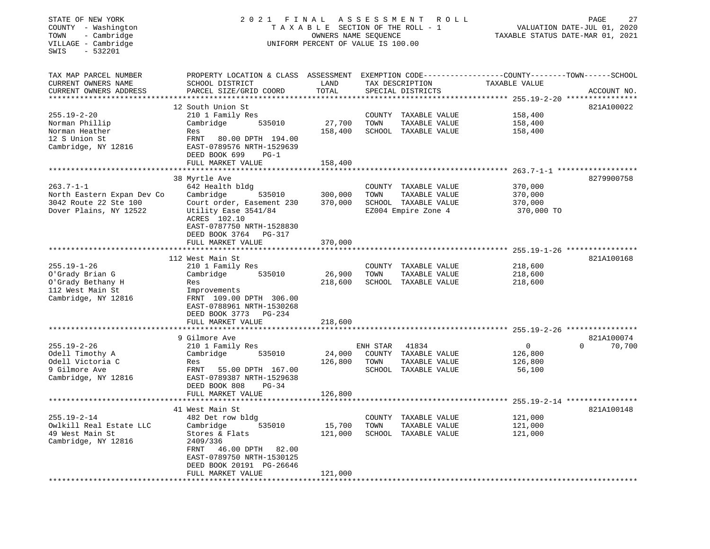| STATE OF NEW YORK<br>COUNTY - Washington<br>TOWN<br>- Cambridge<br>VILLAGE - Cambridge<br>$-532201$<br>SWIS | 2021                                                                                                                                         | FINAL<br>ASSESSMENT<br>R O L L<br>TAXABLE SECTION OF THE ROLL - 1<br>OWNERS NAME SEQUENCE<br>UNIFORM PERCENT OF VALUE IS 100.00 |          |                                      |                                                  |                                  |  |
|-------------------------------------------------------------------------------------------------------------|----------------------------------------------------------------------------------------------------------------------------------------------|---------------------------------------------------------------------------------------------------------------------------------|----------|--------------------------------------|--------------------------------------------------|----------------------------------|--|
| TAX MAP PARCEL NUMBER<br>CURRENT OWNERS NAME<br>CURRENT OWNERS ADDRESS                                      | PROPERTY LOCATION & CLASS ASSESSMENT EXEMPTION CODE----------------COUNTY-------TOWN-----SCHOOL<br>SCHOOL DISTRICT<br>PARCEL SIZE/GRID COORD | LAND<br>TOTAL                                                                                                                   |          | TAX DESCRIPTION<br>SPECIAL DISTRICTS | TAXABLE VALUE                                    | ACCOUNT NO.                      |  |
| **********************                                                                                      |                                                                                                                                              |                                                                                                                                 |          |                                      |                                                  |                                  |  |
|                                                                                                             | 12 South Union St                                                                                                                            |                                                                                                                                 |          |                                      |                                                  | 821A100022                       |  |
| $255.19 - 2 - 20$                                                                                           | 210 1 Family Res                                                                                                                             |                                                                                                                                 | COUNTY   | TAXABLE VALUE                        | 158,400                                          |                                  |  |
| Norman Phillip                                                                                              | 535010<br>Cambridge                                                                                                                          | 27,700                                                                                                                          | TOWN     | TAXABLE VALUE                        | 158,400                                          |                                  |  |
| Norman Heather                                                                                              | Res                                                                                                                                          | 158,400                                                                                                                         |          | SCHOOL TAXABLE VALUE                 | 158,400                                          |                                  |  |
| 12 S Union St<br>Cambridge, NY 12816                                                                        | FRNT<br>80.00 DPTH 194.00<br>EAST-0789576 NRTH-1529639<br>DEED BOOK 699<br>$PG-1$                                                            |                                                                                                                                 |          |                                      |                                                  |                                  |  |
|                                                                                                             | FULL MARKET VALUE                                                                                                                            | 158,400                                                                                                                         |          |                                      |                                                  |                                  |  |
|                                                                                                             | ****************                                                                                                                             |                                                                                                                                 |          |                                      | *********** 263.7-1-1 *******************        |                                  |  |
|                                                                                                             | 38 Myrtle Ave                                                                                                                                |                                                                                                                                 |          |                                      |                                                  | 8279900758                       |  |
| $263.7 - 1 - 1$                                                                                             | 642 Health bldg                                                                                                                              |                                                                                                                                 |          | COUNTY TAXABLE VALUE                 | 370,000                                          |                                  |  |
| North Eastern Expan Dev Co                                                                                  | Cambridge<br>535010                                                                                                                          | 300,000                                                                                                                         | TOWN     | TAXABLE VALUE                        | 370,000                                          |                                  |  |
| 3042 Route 22 Ste 100                                                                                       | Court order, Easement 230                                                                                                                    | 370,000                                                                                                                         |          | SCHOOL TAXABLE VALUE                 | 370,000                                          |                                  |  |
| Dover Plains, NY 12522                                                                                      | Utility Ease 3541/84<br>ACRES 102.10<br>EAST-0787750 NRTH-1528830<br>DEED BOOK 3764<br>PG-317                                                |                                                                                                                                 |          | EZ004 Empire Zone 4                  | 370,000 TO                                       |                                  |  |
|                                                                                                             | FULL MARKET VALUE                                                                                                                            | 370,000                                                                                                                         |          |                                      |                                                  |                                  |  |
|                                                                                                             | ********************                                                                                                                         |                                                                                                                                 |          |                                      |                                                  |                                  |  |
|                                                                                                             | 112 West Main St                                                                                                                             |                                                                                                                                 |          |                                      |                                                  | 821A100168                       |  |
| $255.19 - 1 - 26$                                                                                           | 210 1 Family Res                                                                                                                             |                                                                                                                                 | COUNTY   | TAXABLE VALUE                        | 218,600                                          |                                  |  |
| O'Grady Brian G                                                                                             | 535010<br>Cambridge                                                                                                                          | 26,900                                                                                                                          | TOWN     | TAXABLE VALUE                        | 218,600                                          |                                  |  |
| O'Grady Bethany H                                                                                           | Res                                                                                                                                          | 218,600                                                                                                                         |          | SCHOOL TAXABLE VALUE                 | 218,600                                          |                                  |  |
| 112 West Main St<br>Cambridge, NY 12816                                                                     | Improvements<br>FRNT 109.00 DPTH 306.00<br>EAST-0788961 NRTH-1530268<br>DEED BOOK 3773 PG-234                                                |                                                                                                                                 |          |                                      |                                                  |                                  |  |
|                                                                                                             | FULL MARKET VALUE                                                                                                                            | 218,600                                                                                                                         |          |                                      |                                                  |                                  |  |
|                                                                                                             | ********************                                                                                                                         |                                                                                                                                 |          |                                      |                                                  |                                  |  |
| $255.19 - 2 - 26$                                                                                           | 9 Gilmore Ave<br>210 1 Family Res                                                                                                            |                                                                                                                                 | ENH STAR | 41834                                | $\mathbf 0$                                      | 821A100074<br>$\Omega$<br>70,700 |  |
| Odell Timothy A                                                                                             | 535010<br>Cambridge                                                                                                                          | 24,000                                                                                                                          |          | COUNTY TAXABLE VALUE                 | 126,800                                          |                                  |  |
| Odell Victoria C                                                                                            | Res                                                                                                                                          | 126,800                                                                                                                         | TOWN     | TAXABLE VALUE                        | 126,800                                          |                                  |  |
| 9 Gilmore Ave                                                                                               | FRNT<br>55.00 DPTH 167.00                                                                                                                    |                                                                                                                                 |          | SCHOOL TAXABLE VALUE                 | 56,100                                           |                                  |  |
| Cambridge, NY 12816                                                                                         | EAST-0789387 NRTH-1529638<br>DEED BOOK 808<br>$PG-34$                                                                                        |                                                                                                                                 |          |                                      |                                                  |                                  |  |
|                                                                                                             | FULL MARKET VALUE<br>*******************                                                                                                     | 126,800                                                                                                                         |          |                                      | ****************** 255.19-2-14 ***************** |                                  |  |
|                                                                                                             | 41 West Main St                                                                                                                              |                                                                                                                                 |          |                                      |                                                  | 821A100148                       |  |
| $255.19 - 2 - 14$                                                                                           | 482 Det row bldg                                                                                                                             |                                                                                                                                 |          | COUNTY TAXABLE VALUE                 | 121,000                                          |                                  |  |
| Owlkill Real Estate LLC                                                                                     | 535010<br>Cambridge                                                                                                                          | 15,700                                                                                                                          | TOWN     | TAXABLE VALUE                        | 121,000                                          |                                  |  |
| 49 West Main St                                                                                             | Stores & Flats                                                                                                                               | 121,000                                                                                                                         |          | SCHOOL TAXABLE VALUE                 | 121,000                                          |                                  |  |
| Cambridge, NY 12816                                                                                         | 2409/336                                                                                                                                     |                                                                                                                                 |          |                                      |                                                  |                                  |  |
|                                                                                                             | 46.00 DPTH<br>82.00<br>FRNT<br>EAST-0789750 NRTH-1530125                                                                                     |                                                                                                                                 |          |                                      |                                                  |                                  |  |
|                                                                                                             | DEED BOOK 20191 PG-26646                                                                                                                     |                                                                                                                                 |          |                                      |                                                  |                                  |  |
| *************************                                                                                   | FULL MARKET VALUE<br>*******************                                                                                                     | 121,000<br>***********                                                                                                          |          |                                      |                                                  |                                  |  |
|                                                                                                             |                                                                                                                                              |                                                                                                                                 |          |                                      |                                                  |                                  |  |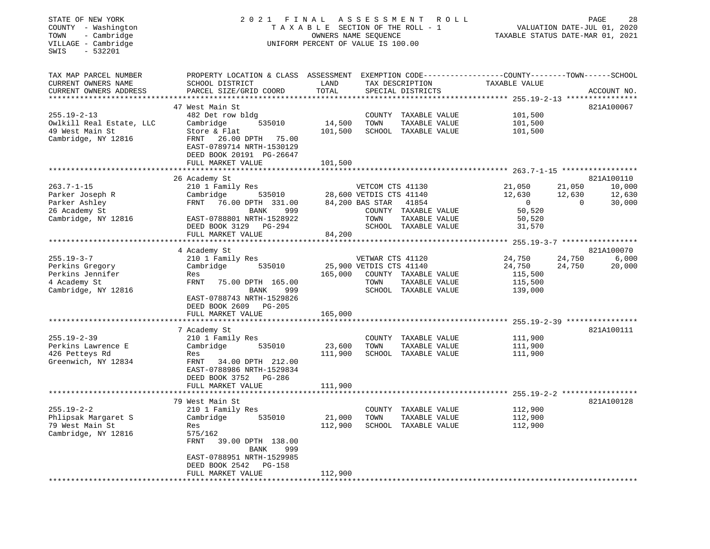## STATE OF NEW YORK 2 0 2 1 F I N A L A S S E S S M E N T R O L L PAGE 28 COUNTY - Washington T A X A B L E SECTION OF THE ROLL - 1 VALUATION DATE-JUL 01, 2020 TOWN - Cambridge OWNERS NAME SEQUENCE TAXABLE STATUS DATE-MAR 01, 2021 COUNTY - Washington<br>
TAXABLE SECTION OF THE ROLL<br>
TOWN - Cambridge UNIFORM PERCENT OF VALUE IS 100.00<br>
UNIFORM PERCENT OF VALUE IS 100.00

| TAX MAP PARCEL NUMBER    | PROPERTY LOCATION & CLASS ASSESSMENT |                               | EXEMPTION CODE-----------------COUNTY-------TOWN------SCHOOL |                                                    |                    |
|--------------------------|--------------------------------------|-------------------------------|--------------------------------------------------------------|----------------------------------------------------|--------------------|
| CURRENT OWNERS NAME      | SCHOOL DISTRICT                      | LAND                          | TAX DESCRIPTION                                              | TAXABLE VALUE                                      |                    |
| CURRENT OWNERS ADDRESS   | PARCEL SIZE/GRID COORD               | TOTAL                         | SPECIAL DISTRICTS                                            |                                                    | ACCOUNT NO.        |
| *****************        | ******************************       |                               | *******************************                              | ****************** 255.19-2-13 *****************   |                    |
|                          | 47 West Main St                      |                               |                                                              |                                                    | 821A100067         |
| $255.19 - 2 - 13$        | 482 Det row bldg                     |                               | COUNTY<br>TAXABLE VALUE                                      | 101,500                                            |                    |
| Owlkill Real Estate, LLC | Cambridge<br>535010                  | 14,500                        | TOWN<br>TAXABLE VALUE                                        | 101,500                                            |                    |
| 49 West Main St          | Store & Flat                         | 101,500                       | SCHOOL TAXABLE VALUE                                         | 101,500                                            |                    |
| Cambridge, NY 12816      | FRNT<br>26.00 DPTH 75.00             |                               |                                                              |                                                    |                    |
|                          | EAST-0789714 NRTH-1530129            |                               |                                                              |                                                    |                    |
|                          | DEED BOOK 20191 PG-26647             |                               |                                                              |                                                    |                    |
|                          | FULL MARKET VALUE                    | 101,500                       |                                                              |                                                    |                    |
|                          |                                      | *************                 | ******************************* 263.7-1-15 ***************** |                                                    |                    |
|                          | 26 Academy St                        |                               |                                                              |                                                    | 821A100110         |
| $263.7 - 1 - 15$         | 210 1 Family Res                     |                               | VETCOM CTS 41130                                             | 21,050                                             | 21,050<br>10,000   |
| Parker Joseph R          | Cambridge<br>535010                  |                               | 28,600 VETDIS CTS 41140                                      | 12,630                                             | 12,630<br>12,630   |
| Parker Ashley            | FRNT<br>76.00 DPTH 331.00            |                               | 84,200 BAS STAR<br>41854                                     | $\Omega$                                           | 30,000<br>$\Omega$ |
| 26 Academy St            | BANK<br>999                          |                               | COUNTY TAXABLE VALUE                                         | 50,520                                             |                    |
| Cambridge, NY 12816      | EAST-0788801 NRTH-1528922            |                               | TOWN<br>TAXABLE VALUE                                        | 50,520                                             |                    |
|                          | DEED BOOK 3129<br>PG-294             |                               | SCHOOL TAXABLE VALUE                                         | 31,570                                             |                    |
|                          | FULL MARKET VALUE                    | 84,200                        |                                                              |                                                    |                    |
|                          |                                      |                               |                                                              | ******************** 255.19-3-7 ****************** |                    |
|                          | 4 Academy St                         |                               |                                                              |                                                    | 821A100070         |
| $255.19 - 3 - 7$         | 210 1 Family Res                     |                               | VETWAR CTS 41120                                             | 24,750                                             | 24,750<br>6,000    |
| Perkins Gregory          | Cambridge<br>535010                  |                               | 25,900 VETDIS CTS 41140                                      | 24,750                                             | 24,750<br>20,000   |
| Perkins Jennifer         | Res                                  | 165,000                       | COUNTY TAXABLE VALUE                                         | 115,500                                            |                    |
| 4 Academy St             | <b>FRNT</b><br>75.00 DPTH 165.00     |                               | TOWN<br>TAXABLE VALUE                                        | 115,500                                            |                    |
| Cambridge, NY 12816      | <b>BANK</b><br>999                   |                               | SCHOOL TAXABLE VALUE                                         | 139,000                                            |                    |
|                          | EAST-0788743 NRTH-1529826            |                               |                                                              |                                                    |                    |
|                          | DEED BOOK 2609<br>$PG-205$           |                               |                                                              |                                                    |                    |
|                          | FULL MARKET VALUE                    | 165,000<br>****************** | ******************************* 255.19-2-39 **************** |                                                    |                    |
|                          | 7 Academy St                         |                               |                                                              |                                                    | 821A100111         |
| $255.19 - 2 - 39$        | 210 1 Family Res                     |                               | COUNTY<br>TAXABLE VALUE                                      | 111,900                                            |                    |
| Perkins Lawrence E       | Cambridge<br>535010                  | 23,600                        | TOWN<br>TAXABLE VALUE                                        | 111,900                                            |                    |
| 426 Petteys Rd           | Res                                  | 111,900                       | SCHOOL TAXABLE VALUE                                         | 111,900                                            |                    |
| Greenwich, NY 12834      | 34.00 DPTH 212.00<br>FRNT            |                               |                                                              |                                                    |                    |
|                          | EAST-0788986 NRTH-1529834            |                               |                                                              |                                                    |                    |
|                          | DEED BOOK 3752<br>PG-286             |                               |                                                              |                                                    |                    |
|                          | FULL MARKET VALUE                    | 111,900                       |                                                              |                                                    |                    |
|                          | *****************                    | * * * * * * * * *             |                                                              |                                                    |                    |
|                          | 79 West Main St                      |                               |                                                              |                                                    | 821A100128         |
| $255.19 - 2 - 2$         | 210 1 Family Res                     |                               | COUNTY TAXABLE VALUE                                         | 112,900                                            |                    |
| Phlipsak Margaret S      | 535010<br>Cambridge                  | 21,000                        | TOWN<br>TAXABLE VALUE                                        | 112,900                                            |                    |
| 79 West Main St          | Res                                  | 112,900                       | SCHOOL TAXABLE VALUE                                         | 112,900                                            |                    |
| Cambridge, NY 12816      | 575/162                              |                               |                                                              |                                                    |                    |
|                          | FRNT<br>39.00 DPTH 138.00            |                               |                                                              |                                                    |                    |
|                          | 999<br>BANK                          |                               |                                                              |                                                    |                    |
|                          | EAST-0788951 NRTH-1529985            |                               |                                                              |                                                    |                    |
|                          | DEED BOOK 2542<br><b>PG-158</b>      |                               |                                                              |                                                    |                    |
|                          | FULL MARKET VALUE                    | 112,900                       |                                                              |                                                    |                    |
| ********************     |                                      |                               |                                                              |                                                    |                    |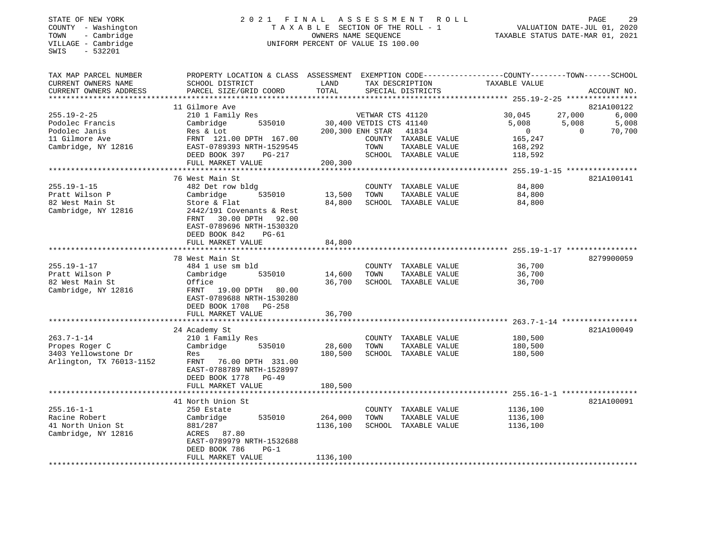## STATE OF NEW YORK 2 0 2 1 F I N A L A S S E S S M E N T R O L L PAGE 29 COUNTY - Washington T A X A B L E SECTION OF THE ROLL - 1 VALUATION DATE-JUL 01, 2020 TOWN - Cambridge OWNERS NAME SEQUENCE TAXABLE STATUS DATE-MAR 01, 2021 COUNTY - Washington<br>
TAXABLE SECTION OF THE ROLL<br>
TOWN - Cambridge UNIFORM PERCENT OF VALUE IS 100.00<br>
UNIFORM PERCENT OF VALUE IS 100.00

| TAX MAP PARCEL NUMBER    | PROPERTY LOCATION & CLASS       |                       |                         |                      | ASSESSMENT EXEMPTION CODE-----------------COUNTY-------TOWN------SCHOOL |          |             |
|--------------------------|---------------------------------|-----------------------|-------------------------|----------------------|-------------------------------------------------------------------------|----------|-------------|
| CURRENT OWNERS NAME      | SCHOOL DISTRICT                 | LAND                  |                         | TAX DESCRIPTION      | TAXABLE VALUE                                                           |          |             |
| CURRENT OWNERS ADDRESS   | PARCEL SIZE/GRID COORD          | TOTAL                 |                         | SPECIAL DISTRICTS    |                                                                         |          | ACCOUNT NO. |
|                          |                                 |                       |                         |                      |                                                                         |          |             |
|                          | 11 Gilmore Ave                  |                       |                         |                      |                                                                         |          | 821A100122  |
| $255.19 - 2 - 25$        | 210 1 Family Res                |                       | VETWAR CTS 41120        |                      | 30,045                                                                  | 27,000   | 6,000       |
| Podolec Francis          | Cambridge<br>535010             |                       | 30,400 VETDIS CTS 41140 |                      | 5,008                                                                   | 5,008    | 5,008       |
| Podolec Janis            | Res & Lot                       |                       | 200,300 ENH STAR        | 41834                | $\mathbf{0}$                                                            | $\Omega$ | 70,700      |
| 11 Gilmore Ave           | FRNT 121.00 DPTH 167.00         |                       |                         | COUNTY TAXABLE VALUE | 165,247                                                                 |          |             |
| Cambridge, NY 12816      | EAST-0789393 NRTH-1529545       |                       | TOWN                    | TAXABLE VALUE        | 168,292                                                                 |          |             |
|                          | DEED BOOK 397<br>$PG-217$       |                       |                         | SCHOOL TAXABLE VALUE | 118,592                                                                 |          |             |
|                          | FULL MARKET VALUE               | 200,300               |                         |                      |                                                                         |          |             |
|                          |                                 |                       |                         |                      |                                                                         |          |             |
|                          | 76 West Main St                 |                       |                         |                      |                                                                         |          | 821A100141  |
| $255.19 - 1 - 15$        | 482 Det row bldg                |                       |                         | COUNTY TAXABLE VALUE | 84,800                                                                  |          |             |
| Pratt Wilson P           | Cambridge<br>535010             | 13,500                | TOWN                    | TAXABLE VALUE        | 84,800                                                                  |          |             |
| 82 West Main St          | Store & Flat                    | 84,800                |                         | SCHOOL TAXABLE VALUE | 84,800                                                                  |          |             |
| Cambridge, NY 12816      | 2442/191 Covenants & Rest       |                       |                         |                      |                                                                         |          |             |
|                          | 30.00 DPTH 92.00<br>FRNT        |                       |                         |                      |                                                                         |          |             |
|                          | EAST-0789696 NRTH-1530320       |                       |                         |                      |                                                                         |          |             |
|                          | DEED BOOK 842<br>$PG-61$        |                       |                         |                      |                                                                         |          |             |
|                          | FULL MARKET VALUE               | 84,800                |                         |                      |                                                                         |          |             |
|                          | ******************************* |                       |                         |                      |                                                                         |          |             |
|                          | 78 West Main St                 |                       |                         |                      |                                                                         |          | 8279900059  |
| $255.19 - 1 - 17$        | 484 1 use sm bld                |                       |                         | COUNTY TAXABLE VALUE | 36,700                                                                  |          |             |
| Pratt Wilson P           | Cambridge<br>535010             | 14,600                | TOWN                    | TAXABLE VALUE        | 36,700                                                                  |          |             |
| 82 West Main St          | Office                          | 36,700                |                         | SCHOOL TAXABLE VALUE | 36,700                                                                  |          |             |
| Cambridge, NY 12816      | FRNT<br>19.00 DPTH<br>80.00     |                       |                         |                      |                                                                         |          |             |
|                          | EAST-0789688 NRTH-1530280       |                       |                         |                      |                                                                         |          |             |
|                          | DEED BOOK 1708 PG-258           |                       |                         |                      |                                                                         |          |             |
|                          | FULL MARKET VALUE               | 36,700                |                         |                      |                                                                         |          |             |
|                          | ************************        | * * * * * * * * * * * |                         |                      |                                                                         |          |             |
|                          | 24 Academy St                   |                       |                         |                      |                                                                         |          | 821A100049  |
| $263.7 - 1 - 14$         | 210 1 Family Res                |                       |                         | COUNTY TAXABLE VALUE | 180,500                                                                 |          |             |
| Propes Roger C           | Cambridge<br>535010             | 28,600                | TOWN                    | TAXABLE VALUE        | 180,500                                                                 |          |             |
| 3403 Yellowstone Dr      | Res                             | 180,500               |                         | SCHOOL TAXABLE VALUE | 180,500                                                                 |          |             |
| Arlington, TX 76013-1152 | FRNT 76.00 DPTH 331.00          |                       |                         |                      |                                                                         |          |             |
|                          | EAST-0788789 NRTH-1528997       |                       |                         |                      |                                                                         |          |             |
|                          | DEED BOOK 1778 PG-49            |                       |                         |                      |                                                                         |          |             |
|                          | FULL MARKET VALUE               | 180,500               |                         |                      |                                                                         |          |             |
|                          |                                 |                       |                         |                      |                                                                         |          |             |
|                          | 41 North Union St               |                       |                         |                      |                                                                         |          | 821A100091  |
| $255.16 - 1 - 1$         | 250 Estate                      |                       |                         | COUNTY TAXABLE VALUE | 1136,100                                                                |          |             |
| Racine Robert            | Cambridge<br>535010             | 264,000               | TOWN                    | TAXABLE VALUE        | 1136,100                                                                |          |             |
| 41 North Union St        | 881/287                         | 1136,100              |                         | SCHOOL TAXABLE VALUE | 1136,100                                                                |          |             |
| Cambridge, NY 12816      | ACRES 87.80                     |                       |                         |                      |                                                                         |          |             |
|                          | EAST-0789979 NRTH-1532688       |                       |                         |                      |                                                                         |          |             |
|                          | DEED BOOK 786<br>$PG-1$         |                       |                         |                      |                                                                         |          |             |
|                          | FULL MARKET VALUE               | 1136,100              |                         |                      |                                                                         |          |             |
|                          |                                 |                       |                         |                      |                                                                         |          |             |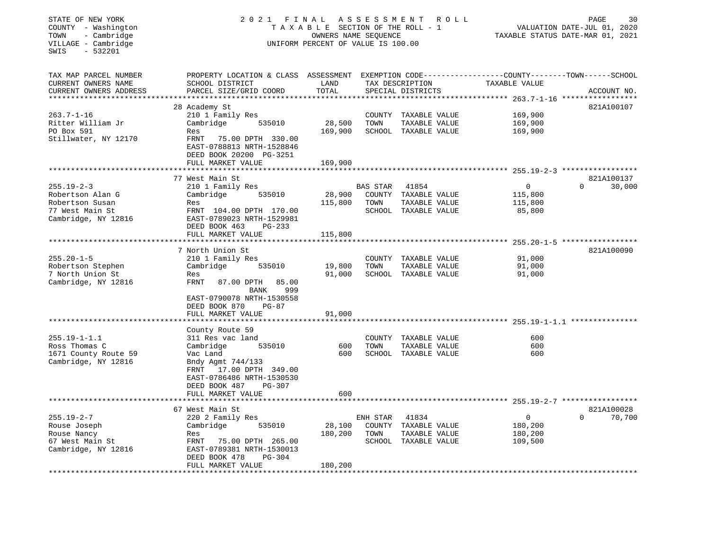## STATE OF NEW YORK 2 0 2 1 F I N A L A S S E S S M E N T R O L L PAGE 30 COUNTY - Washington T A X A B L E SECTION OF THE ROLL - 1 VALUATION DATE-JUL 01, 2020 TOWN - Cambridge OWNERS NAME SEQUENCE TAXABLE STATUS DATE-MAR 01, 2021 COUNTY - Washington<br>
TAXABLE SECTION OF THE ROLL<br>
TOWN - Cambridge UNIFORM PERCENT OF VALUE IS 100.00<br>
UNIFORM PERCENT OF VALUE IS 100.00

| TAX MAP PARCEL NUMBER  | PROPERTY LOCATION & CLASS ASSESSMENT  |            |          |                      | EXEMPTION CODE-----------------COUNTY-------TOWN------SCHOOL |                    |
|------------------------|---------------------------------------|------------|----------|----------------------|--------------------------------------------------------------|--------------------|
| CURRENT OWNERS NAME    | SCHOOL DISTRICT                       | LAND       |          | TAX DESCRIPTION      | TAXABLE VALUE                                                |                    |
| CURRENT OWNERS ADDRESS | PARCEL SIZE/GRID COORD                | TOTAL      |          | SPECIAL DISTRICTS    |                                                              | ACCOUNT NO.        |
|                        |                                       |            |          |                      |                                                              |                    |
|                        | 28 Academy St                         |            |          |                      |                                                              | 821A100107         |
| $263.7 - 1 - 16$       | 210 1 Family Res                      |            |          | COUNTY TAXABLE VALUE | 169,900                                                      |                    |
| Ritter William Jr      | Cambridge<br>535010                   | 28,500     | TOWN     | TAXABLE VALUE        | 169,900                                                      |                    |
| PO Box 591             | Res                                   | 169,900    |          | SCHOOL TAXABLE VALUE | 169,900                                                      |                    |
| Stillwater, NY 12170   | FRNT<br>75.00 DPTH 330.00             |            |          |                      |                                                              |                    |
|                        | EAST-0788813 NRTH-1528846             |            |          |                      |                                                              |                    |
|                        | DEED BOOK 20200 PG-3251               |            |          |                      |                                                              |                    |
|                        | FULL MARKET VALUE                     | 169,900    |          |                      |                                                              |                    |
|                        | ************************************* |            |          |                      |                                                              |                    |
|                        | 77 West Main St                       |            |          |                      |                                                              | 821A100137         |
| $255.19 - 2 - 3$       | 210 1 Family Res                      |            | BAS STAR | 41854                | $\mathbf 0$                                                  | $\Omega$<br>30,000 |
| Robertson Alan G       | Cambridge<br>535010                   | 28,900     |          | COUNTY TAXABLE VALUE | 115,800                                                      |                    |
| Robertson Susan        | Res                                   | 115,800    | TOWN     | TAXABLE VALUE        | 115,800                                                      |                    |
| 77 West Main St        | FRNT 104.00 DPTH 170.00               |            |          | SCHOOL TAXABLE VALUE | 85,800                                                       |                    |
| Cambridge, NY 12816    | EAST-0789023 NRTH-1529981             |            |          |                      |                                                              |                    |
|                        | DEED BOOK 463<br>$PG-233$             |            |          |                      |                                                              |                    |
|                        | FULL MARKET VALUE                     | 115,800    |          |                      |                                                              |                    |
|                        |                                       |            |          |                      |                                                              |                    |
|                        | 7 North Union St                      |            |          |                      |                                                              | 821A100090         |
| $255.20 - 1 - 5$       | 210 1 Family Res                      |            |          | COUNTY TAXABLE VALUE | 91,000                                                       |                    |
| Robertson Stephen      | Cambridge<br>535010                   | 19,800     | TOWN     | TAXABLE VALUE        | 91,000                                                       |                    |
| 7 North Union St       | Res                                   | 91,000     |          | SCHOOL TAXABLE VALUE | 91,000                                                       |                    |
| Cambridge, NY 12816    | <b>FRNT</b><br>87.00 DPTH<br>85.00    |            |          |                      |                                                              |                    |
|                        | 999<br><b>BANK</b>                    |            |          |                      |                                                              |                    |
|                        | EAST-0790078 NRTH-1530558             |            |          |                      |                                                              |                    |
|                        | DEED BOOK 870<br>$PG-87$              |            |          |                      |                                                              |                    |
|                        | FULL MARKET VALUE                     | 91,000     |          |                      |                                                              |                    |
|                        |                                       |            |          |                      |                                                              |                    |
|                        | County Route 59                       |            |          |                      |                                                              |                    |
| $255.19 - 1 - 1.1$     | 311 Res vac land                      |            | COUNTY   | TAXABLE VALUE        | 600                                                          |                    |
| Ross Thomas C          | 535010<br>Cambridge                   | 600        | TOWN     | TAXABLE VALUE        | 600                                                          |                    |
| 1671 County Route 59   | Vac Land                              | 600        |          | SCHOOL TAXABLE VALUE | 600                                                          |                    |
| Cambridge, NY 12816    | Bndy Agmt 744/133                     |            |          |                      |                                                              |                    |
|                        | FRNT 17.00 DPTH 349.00                |            |          |                      |                                                              |                    |
|                        | EAST-0786486 NRTH-1530530             |            |          |                      |                                                              |                    |
|                        | DEED BOOK 487<br>$PG-307$             |            |          |                      |                                                              |                    |
|                        | FULL MARKET VALUE                     | 600        |          |                      |                                                              |                    |
|                        | ******************                    | ********** |          |                      |                                                              |                    |
|                        | 67 West Main St                       |            |          |                      |                                                              | 821A100028         |
| $255.19 - 2 - 7$       | 220 2 Family Res                      |            | ENH STAR | 41834                | $\mathbf{0}$                                                 | $\Omega$<br>70,700 |
| Rouse Joseph           | Cambridge<br>535010                   | 28,100     |          | COUNTY TAXABLE VALUE | 180,200                                                      |                    |
| Rouse Nancy            | Res                                   | 180,200    | TOWN     | TAXABLE VALUE        | 180,200                                                      |                    |
| 67 West Main St        | FRNT<br>75.00 DPTH 265.00             |            | SCHOOL   | TAXABLE VALUE        | 109,500                                                      |                    |
| Cambridge, NY 12816    | EAST-0789381 NRTH-1530013             |            |          |                      |                                                              |                    |
|                        | DEED BOOK 478<br>PG-304               |            |          |                      |                                                              |                    |
|                        | FULL MARKET VALUE                     | 180,200    |          |                      |                                                              |                    |
|                        |                                       |            |          |                      |                                                              |                    |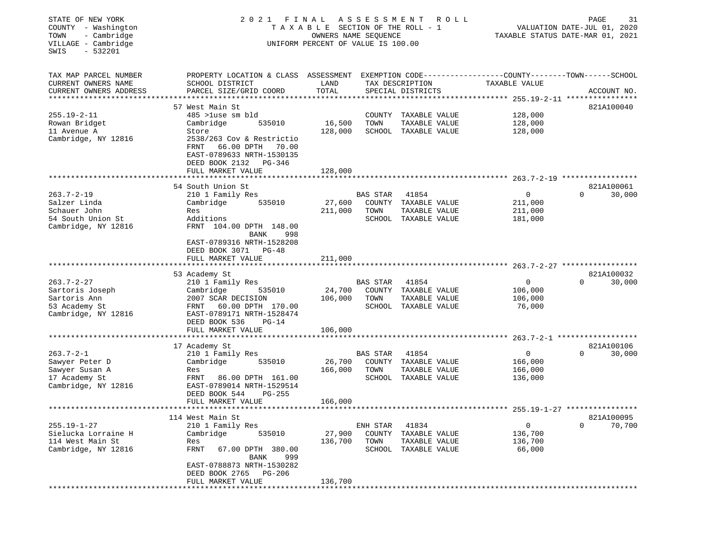| STATE OF NEW YORK<br>COUNTY - Washington<br>- Cambridge<br>TOWN<br>VILLAGE - Cambridge<br>SWIS<br>$-532201$ | 2021 FINAL ASSESSMENT                                                                                                                                                                                      | TAXABLE SECTION OF THE ROLL - 1<br>OWNERS NAME SEQUENCE<br>UNIFORM PERCENT OF VALUE IS 100.00 |                                      | R O L L                                                                | TAXABLE STATUS DATE-MAR 01, 2021   | PAGE<br>VALUATION DATE-JUL 01, 2020 | 31                   |
|-------------------------------------------------------------------------------------------------------------|------------------------------------------------------------------------------------------------------------------------------------------------------------------------------------------------------------|-----------------------------------------------------------------------------------------------|--------------------------------------|------------------------------------------------------------------------|------------------------------------|-------------------------------------|----------------------|
| TAX MAP PARCEL NUMBER<br>CURRENT OWNERS NAME<br>CURRENT OWNERS ADDRESS                                      | PROPERTY LOCATION & CLASS ASSESSMENT EXEMPTION CODE----------------COUNTY-------TOWN------SCHOOL<br>SCHOOL DISTRICT<br>PARCEL SIZE/GRID COORD                                                              | LAND<br>TOTAL                                                                                 |                                      | TAX DESCRIPTION<br>SPECIAL DISTRICTS                                   | TAXABLE VALUE                      |                                     | ACCOUNT NO.          |
| $255.19 - 2 - 11$<br>Rowan Bridget<br>11 Avenue A<br>Cambridge, NY 12816                                    | 57 West Main St<br>485 >luse sm bld<br>Cambridge<br>535010<br>Store<br>2538/263 Cov & Restrictio<br>66.00 DPTH 70.00<br>FRNT<br>EAST-0789633 NRTH-1530135<br>DEED BOOK 2132 PG-346<br>FULL MARKET VALUE    | 16,500<br>128,000<br>128,000                                                                  | TOWN                                 | COUNTY TAXABLE VALUE<br>TAXABLE VALUE<br>SCHOOL TAXABLE VALUE          | 128,000<br>128,000<br>128,000      |                                     | 821A100040           |
|                                                                                                             |                                                                                                                                                                                                            |                                                                                               |                                      |                                                                        |                                    |                                     |                      |
| $263.7 - 2 - 19$<br>Salzer Linda<br>Schauer John<br>54 South Union St<br>Cambridge, NY 12816                | 54 South Union St<br>210 1 Family Res<br>535010<br>Cambridge<br>Res<br>Additions<br>FRNT 104.00 DPTH 148.00<br>BANK<br>998                                                                                 | 27,600<br>211,000                                                                             | BAS STAR<br>TOWN                     | 41854<br>COUNTY TAXABLE VALUE<br>TAXABLE VALUE<br>SCHOOL TAXABLE VALUE | 0<br>211,000<br>211,000<br>181,000 | $\Omega$                            | 821A100061<br>30,000 |
|                                                                                                             | EAST-0789316 NRTH-1528208<br>DEED BOOK 3071 PG-48<br>FULL MARKET VALUE                                                                                                                                     | 211,000                                                                                       |                                      |                                                                        |                                    |                                     |                      |
|                                                                                                             | 53 Academy St                                                                                                                                                                                              |                                                                                               |                                      |                                                                        |                                    |                                     | 821A100032           |
| $263.7 - 2 - 27$<br>Sartoris Joseph<br>Sartoris Ann<br>53 Academy St<br>Cambridge, NY 12816                 | 210 1 Family Res<br>Cambridge<br>535010<br>2007 SCAR DECISION<br>60.00 DPTH 170.00<br>FRNT<br>EAST-0789171 NRTH-1528474<br>DEED BOOK 536<br>$PG-14$                                                        | 24,700<br>106,000                                                                             | BAS STAR<br>TOWN                     | 41854<br>COUNTY TAXABLE VALUE<br>TAXABLE VALUE<br>SCHOOL TAXABLE VALUE | 0<br>106,000<br>106,000<br>76,000  | $\Omega$                            | 30,000               |
|                                                                                                             | FULL MARKET VALUE                                                                                                                                                                                          | 106,000                                                                                       |                                      |                                                                        |                                    |                                     |                      |
| $263.7 - 2 - 1$<br>Sawyer Peter D<br>Sawyer Susan A<br>17 Academy St<br>Cambridge, NY 12816                 | 17 Academy St<br>210 1 Family Res<br>Cambridge<br>535010<br>Res<br>FRNT 86.00 DPTH 161.00<br>EAST-0789014 NRTH-1529514<br>DEED BOOK 544<br>$PG-255$<br>FULL MARKET VALUE                                   | 26,700<br>166,000<br>166,000                                                                  | <b>BAS STAR</b><br>TOWN              | 41854<br>COUNTY TAXABLE VALUE<br>TAXABLE VALUE<br>SCHOOL TAXABLE VALUE | 0<br>166,000<br>166,000<br>136,000 | $\Omega$                            | 821A100106<br>30,000 |
|                                                                                                             |                                                                                                                                                                                                            |                                                                                               |                                      |                                                                        |                                    |                                     |                      |
| $255.19 - 1 - 27$<br>Sielucka Lorraine H<br>114 West Main St<br>Cambridge, NY 12816                         | 114 West Main St<br>210 1 Family Res<br>Cambridge<br>535010<br>Res<br><b>FRNT</b><br>67.00 DPTH 380.00<br><b>BANK</b><br>999<br>EAST-0788873 NRTH-1530282<br>DEED BOOK 2765<br>PG-206<br>FULL MARKET VALUE | 27,900<br>136,700<br>136,700                                                                  | ENH STAR<br>COUNTY<br>TOWN<br>SCHOOL | 41834<br>TAXABLE VALUE<br>TAXABLE VALUE<br>TAXABLE VALUE               | 0<br>136,700<br>136,700<br>66,000  | 0                                   | 821A100095<br>70,700 |
|                                                                                                             |                                                                                                                                                                                                            |                                                                                               |                                      |                                                                        |                                    |                                     |                      |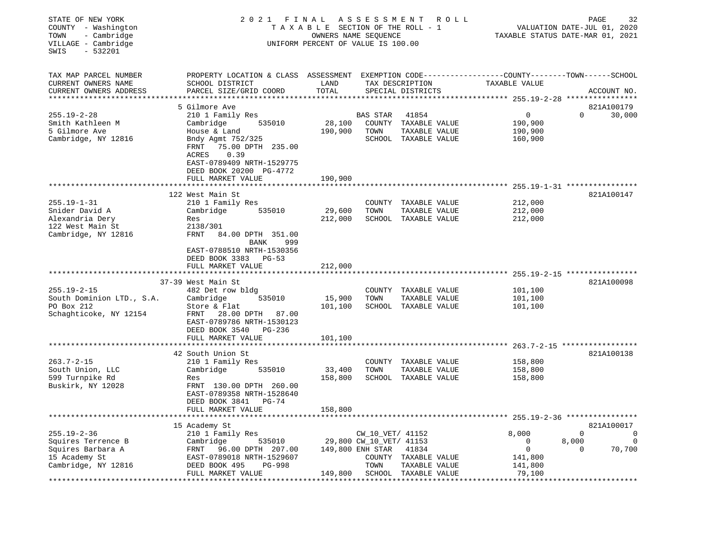| STATE OF NEW YORK<br>COUNTY - Washington<br>- Cambridge<br>TOWN<br>VILLAGE - Cambridge<br>SWIS<br>$-532201$ | 2021 FINAL<br>T A X A B L E SECTION OF THE ROLL - 1<br>UNIFORM PERCENT OF VALUE IS 100.00                                                                                                           | R O L L<br>TAXABLE STATUS DATE-MAR 01, 2021 | PAGE<br>VALUATION DATE-JUL 01, 2020                                     | 32                                                                     |                                                                  |                        |                               |
|-------------------------------------------------------------------------------------------------------------|-----------------------------------------------------------------------------------------------------------------------------------------------------------------------------------------------------|---------------------------------------------|-------------------------------------------------------------------------|------------------------------------------------------------------------|------------------------------------------------------------------|------------------------|-------------------------------|
| TAX MAP PARCEL NUMBER<br>CURRENT OWNERS NAME<br>CURRENT OWNERS ADDRESS<br>***********************           | PROPERTY LOCATION & CLASS ASSESSMENT EXEMPTION CODE---------------COUNTY-------TOWN-----SCHOOL<br>SCHOOL DISTRICT<br>PARCEL SIZE/GRID COORD                                                         | LAND<br>TOTAL                               |                                                                         | TAX DESCRIPTION<br>SPECIAL DISTRICTS                                   | TAXABLE VALUE                                                    | ACCOUNT NO.            |                               |
| $255.19 - 2 - 28$<br>Smith Kathleen M<br>5 Gilmore Ave<br>Cambridge, NY 12816                               | 5 Gilmore Ave<br>210 1 Family Res<br>Cambridge<br>535010<br>House & Land<br>Bndy Agmt 752/325<br>75.00 DPTH 235.00<br>FRNT<br>0.39<br>ACRES<br>EAST-0789409 NRTH-1529775<br>DEED BOOK 20200 PG-4772 | 28,100<br>190,900                           | BAS STAR<br>TOWN                                                        | 41854<br>COUNTY TAXABLE VALUE<br>TAXABLE VALUE<br>SCHOOL TAXABLE VALUE | 0<br>190,900<br>190,900<br>160,900                               | 821A100179<br>$\Omega$ | 30,000                        |
|                                                                                                             | FULL MARKET VALUE                                                                                                                                                                                   | 190,900                                     |                                                                         |                                                                        |                                                                  |                        |                               |
| $255.19 - 1 - 31$<br>Snider David A<br>Alexandria Dery<br>122 West Main St<br>Cambridge, NY 12816           | 122 West Main St<br>210 1 Family Res<br>Cambridge<br>535010<br>Res<br>2138/301<br>FRNT<br>84.00 DPTH 351.00<br>999<br><b>BANK</b><br>EAST-0788510 NRTH-1530356<br>DEED BOOK 3383 PG-53              | 29,600<br>212,000                           | TOWN                                                                    | COUNTY TAXABLE VALUE<br>TAXABLE VALUE<br>SCHOOL TAXABLE VALUE          | 212,000<br>212,000<br>212,000                                    | 821A100147             |                               |
|                                                                                                             | FULL MARKET VALUE                                                                                                                                                                                   | 212,000                                     |                                                                         |                                                                        |                                                                  |                        |                               |
| $255.19 - 2 - 15$<br>South Dominion LTD., S.A.<br>PO Box 212<br>Schaghticoke, NY 12154                      | *****************************<br>37-39 West Main St<br>482 Det row bldg<br>Cambridge<br>535010<br>Store & Flat<br>FRNT 28.00 DPTH 87.00<br>EAST-0789786 NRTH-1530123<br>DEED BOOK 3540<br>PG-236    | 15,900<br>101,100                           | TOWN                                                                    | COUNTY TAXABLE VALUE<br>TAXABLE VALUE<br>SCHOOL TAXABLE VALUE          | 101,100<br>101,100<br>101,100                                    | 821A100098             |                               |
|                                                                                                             | FULL MARKET VALUE                                                                                                                                                                                   | 101,100                                     |                                                                         |                                                                        |                                                                  |                        |                               |
| $263.7 - 2 - 15$<br>South Union, LLC<br>599 Turnpike Rd<br>Buskirk, NY 12028                                | 42 South Union St<br>210 1 Family Res<br>Cambridge<br>535010<br>Res<br>FRNT 130.00 DPTH 260.00<br>EAST-0789358 NRTH-1528640<br>DEED BOOK 3841 PG-74                                                 | 33,400<br>158,800                           | TOWN                                                                    | COUNTY TAXABLE VALUE<br>TAXABLE VALUE<br>SCHOOL TAXABLE VALUE          | 158,800<br>158,800<br>158,800                                    | 821A100138             |                               |
|                                                                                                             | FULL MARKET VALUE<br>15 Academy St                                                                                                                                                                  | 158,800                                     |                                                                         |                                                                        |                                                                  | 821A100017             |                               |
| $255.19 - 2 - 36$<br>Squires Terrence B<br>Squires Barbara A<br>15 Academy St<br>Cambridge, NY 12816        | 210 1 Family Res<br>535010<br>Cambridge<br>FRNT 96.00 DPTH 207.00<br>EAST-0789018 NRTH-1529607<br>DEED BOOK 495<br><b>PG-998</b><br>FULL MARKET VALUE                                               | 149,800                                     | CW_10_VET/ 41152<br>29,800 CW_10_VET/ 41153<br>149,800 ENH STAR<br>TOWN | 41834<br>COUNTY TAXABLE VALUE<br>TAXABLE VALUE<br>SCHOOL TAXABLE VALUE | 8,000<br>$\Omega$<br>$\mathbf 0$<br>141,800<br>141,800<br>79,100 | $\Omega$<br>8,000<br>0 | $\circ$<br>$\Omega$<br>70,700 |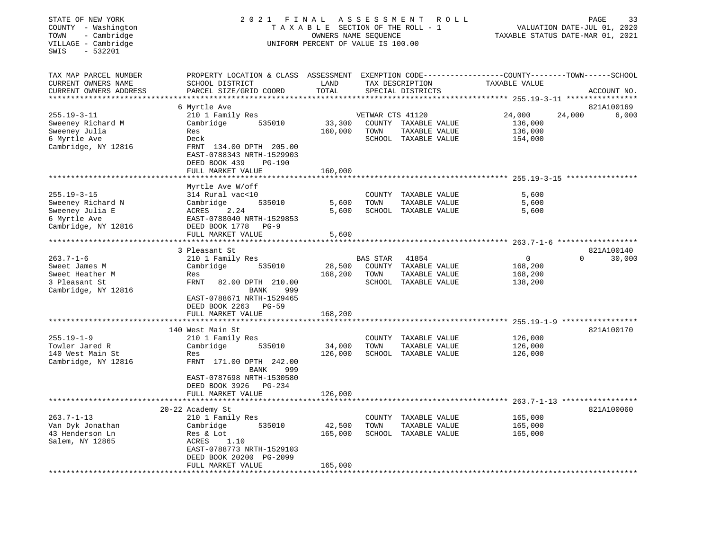## STATE OF NEW YORK 2 0 2 1 F I N A L A S S E S S M E N T R O L L PAGE 33 COUNTY - Washington T A X A B L E SECTION OF THE ROLL - 1 VALUATION DATE-JUL 01, 2020 TOWN - Cambridge OWNERS NAME SEQUENCE TAXABLE STATUS DATE-MAR 01, 2021 COUNTY - Washington<br>
TAXABLE SECTION OF THE ROLL<br>
TOWN - Cambridge UNIFORM PERCENT OF VALUE IS 100.00<br>
UNIFORM PERCENT OF VALUE IS 100.00

| TAX MAP PARCEL NUMBER<br>CURRENT OWNERS NAME<br>CURRENT OWNERS ADDRESS      | PROPERTY LOCATION & CLASS<br>SCHOOL DISTRICT<br>PARCEL SIZE/GRID COORD                                                        | ASSESSMENT<br>LAND<br>TOTAL |                                   | TAX DESCRIPTION<br>SPECIAL DISTRICTS                   | TAXABLE VALUE                                               | EXEMPTION CODE-----------------COUNTY-------TOWN------SCHOOL<br>ACCOUNT NO. |
|-----------------------------------------------------------------------------|-------------------------------------------------------------------------------------------------------------------------------|-----------------------------|-----------------------------------|--------------------------------------------------------|-------------------------------------------------------------|-----------------------------------------------------------------------------|
|                                                                             |                                                                                                                               |                             |                                   |                                                        | ********* 255.19-3-11 ********                              |                                                                             |
| $255.19 - 3 - 11$<br>Sweeney Richard M                                      | 6 Myrtle Ave<br>210 1 Family Res<br>535010<br>Cambridge                                                                       | 33,300                      | VETWAR CTS 41120                  | COUNTY TAXABLE VALUE                                   | 24,000<br>136,000                                           | 821A100169<br>24,000<br>6,000                                               |
| Sweeney Julia<br>6 Myrtle Ave<br>Cambridge, NY 12816                        | Res<br>Deck<br>FRNT 134.00 DPTH 205.00<br>EAST-0788343 NRTH-1529903<br>DEED BOOK 439<br><b>PG-190</b><br>FULL MARKET VALUE    | 160,000<br>160,000          | TOWN                              | TAXABLE VALUE<br>SCHOOL TAXABLE VALUE                  | 136,000<br>154,000                                          |                                                                             |
|                                                                             | *****************                                                                                                             |                             |                                   |                                                        | ******************************* 255.19-3-15 *************** |                                                                             |
| $255.19 - 3 - 15$                                                           | Myrtle Ave W/off<br>314 Rural vac<10                                                                                          |                             | COUNTY                            | TAXABLE VALUE                                          | 5,600                                                       |                                                                             |
| Sweeney Richard N<br>Sweeney Julia E<br>6 Myrtle Ave<br>Cambridge, NY 12816 | Cambridge<br>535010<br>ACRES<br>2.24<br>EAST-0788040 NRTH-1529853<br>DEED BOOK 1778<br>$PG-9$<br>FULL MARKET VALUE            | 5,600<br>5,600<br>5,600     | TOWN<br>SCHOOL                    | TAXABLE VALUE<br>TAXABLE VALUE                         | 5,600<br>5,600                                              |                                                                             |
|                                                                             | *******************                                                                                                           |                             |                                   |                                                        | ************************ 263.7-1-6 *******************      |                                                                             |
|                                                                             | 3 Pleasant St                                                                                                                 |                             |                                   |                                                        |                                                             | 821A100140                                                                  |
| $263.7 - 1 - 6$<br>Sweet James M<br>Sweet Heather M                         | 210 1 Family Res<br>Cambridge<br>535010<br>Res                                                                                | 28,500<br>168,200           | <b>BAS STAR</b><br>COUNTY<br>TOWN | 41854<br>TAXABLE VALUE<br>TAXABLE VALUE                | 0<br>168,200<br>168,200                                     | $\Omega$<br>30,000                                                          |
| 3 Pleasant St<br>Cambridge, NY 12816                                        | FRNT<br>82.00 DPTH 210.00<br>999<br>BANK<br>EAST-0788671 NRTH-1529465<br>DEED BOOK 2263<br>$PG-59$                            |                             |                                   | SCHOOL TAXABLE VALUE                                   | 138,200                                                     |                                                                             |
|                                                                             | FULL MARKET VALUE                                                                                                             | 168,200                     |                                   |                                                        |                                                             |                                                                             |
|                                                                             | 140 West Main St                                                                                                              |                             |                                   |                                                        | ****************************** 255.19-1-9 ***************** | 821A100170                                                                  |
| $255.19 - 1 - 9$                                                            | 210 1 Family Res<br>Cambridge<br>535010                                                                                       | 34,000                      | COUNTY<br>TOWN                    | TAXABLE VALUE<br>TAXABLE VALUE                         | 126,000<br>126,000                                          |                                                                             |
| Towler Jared R<br>140 West Main St<br>Cambridge, NY 12816                   | Res<br>FRNT 171.00 DPTH 242.00<br>BANK<br>999<br>EAST-0787698 NRTH-1530580                                                    | 126,000                     | SCHOOL                            | TAXABLE VALUE                                          | 126,000                                                     |                                                                             |
|                                                                             | DEED BOOK 3926<br>$PG-234$<br>FULL MARKET VALUE                                                                               | 126,000                     |                                   |                                                        |                                                             |                                                                             |
|                                                                             |                                                                                                                               |                             |                                   |                                                        |                                                             | $263.7 - 1 - 13$ ******************                                         |
|                                                                             | 20-22 Academy St                                                                                                              |                             |                                   |                                                        |                                                             | 821A100060                                                                  |
| $263.7 - 1 - 13$<br>Van Dyk Jonathan<br>43 Henderson Ln<br>Salem, NY 12865  | 210 1 Family Res<br>535010<br>Cambridge<br>Res & Lot<br>1.10<br>ACRES<br>EAST-0788773 NRTH-1529103<br>DEED BOOK 20200 PG-2099 | 42,500<br>165,000           | COUNTY<br>TOWN                    | TAXABLE VALUE<br>TAXABLE VALUE<br>SCHOOL TAXABLE VALUE | 165,000<br>165,000<br>165,000                               |                                                                             |
|                                                                             | FULL MARKET VALUE                                                                                                             | 165,000                     |                                   |                                                        |                                                             |                                                                             |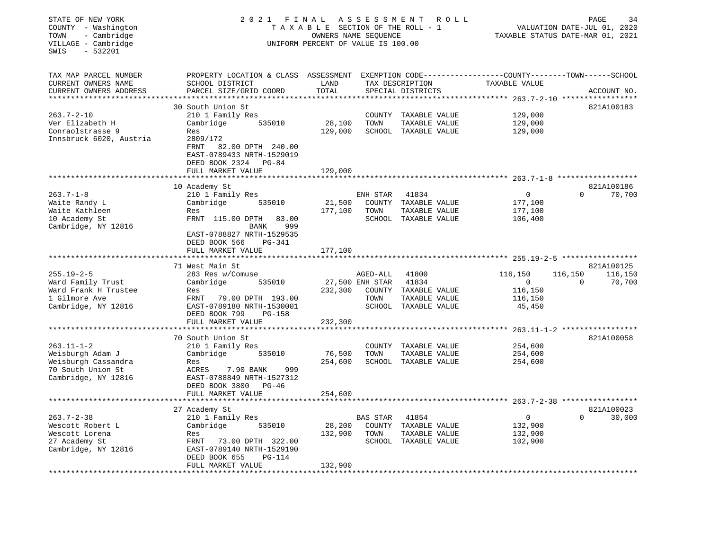| STATE OF NEW YORK<br>COUNTY - Washington<br>- Cambridge<br>TOWN<br>VILLAGE - Cambridge<br>$-532201$<br>SWIS | 2021 FINAL<br>T A X A B L E SECTION OF THE ROLL - 1<br>UNIFORM PERCENT OF VALUE IS 100.00                                                   | R O L L           | PAGE<br>34<br>VALUATION DATE-JUL 01, 2020<br>TAXABLE STATUS DATE-MAR 01, 2021 |                                       |                         |                                    |
|-------------------------------------------------------------------------------------------------------------|---------------------------------------------------------------------------------------------------------------------------------------------|-------------------|-------------------------------------------------------------------------------|---------------------------------------|-------------------------|------------------------------------|
| TAX MAP PARCEL NUMBER<br>CURRENT OWNERS NAME<br>CURRENT OWNERS ADDRESS                                      | PROPERTY LOCATION & CLASS ASSESSMENT EXEMPTION CODE---------------COUNTY-------TOWN-----SCHOOL<br>SCHOOL DISTRICT<br>PARCEL SIZE/GRID COORD | LAND<br>TOTAL     |                                                                               | TAX DESCRIPTION<br>SPECIAL DISTRICTS  | TAXABLE VALUE           | ACCOUNT NO.                        |
|                                                                                                             | 30 South Union St                                                                                                                           |                   |                                                                               |                                       | ******* 263.7-2-10 **** | 821A100183                         |
| $263.7 - 2 - 10$                                                                                            | 210 1 Family Res                                                                                                                            |                   |                                                                               | COUNTY TAXABLE VALUE                  | 129,000                 |                                    |
| Ver Elizabeth H                                                                                             | Cambridge<br>535010                                                                                                                         | 28,100            | TOWN                                                                          | TAXABLE VALUE                         | 129,000                 |                                    |
| Conraolstrasse 9                                                                                            | Res                                                                                                                                         | 129,000           |                                                                               | SCHOOL TAXABLE VALUE                  | 129,000                 |                                    |
| Innsbruck 6020, Austria                                                                                     | 2809/172<br>FRNT<br>82.00 DPTH 240.00<br>EAST-0789433 NRTH-1529019<br>DEED BOOK 2324 PG-84<br>FULL MARKET VALUE                             | 129,000           |                                                                               |                                       |                         |                                    |
|                                                                                                             |                                                                                                                                             | **************    |                                                                               |                                       |                         |                                    |
|                                                                                                             | 10 Academy St                                                                                                                               |                   |                                                                               |                                       |                         | 821A100186                         |
| $263.7 - 1 - 8$                                                                                             | 210 1 Family Res                                                                                                                            |                   | ENH STAR                                                                      | 41834                                 | 0                       | $\Omega$<br>70,700                 |
| Waite Randy L<br>Waite Kathleen                                                                             | 535010<br>Cambridge<br>Res                                                                                                                  | 21,500<br>177,100 | TOWN                                                                          | COUNTY TAXABLE VALUE<br>TAXABLE VALUE | 177,100<br>177,100      |                                    |
| 10 Academy St                                                                                               | FRNT 115.00 DPTH<br>83.00                                                                                                                   |                   |                                                                               | SCHOOL TAXABLE VALUE                  | 106,400                 |                                    |
| Cambridge, NY 12816                                                                                         | BANK<br>999<br>EAST-0788827 NRTH-1529535<br>DEED BOOK 566<br><b>PG-341</b><br>FULL MARKET VALUE                                             | 177,100           |                                                                               |                                       |                         |                                    |
|                                                                                                             |                                                                                                                                             |                   |                                                                               |                                       |                         |                                    |
| $255.19 - 2 - 5$                                                                                            | 71 West Main St<br>283 Res w/Comuse                                                                                                         |                   | AGED-ALL                                                                      | 41800                                 | 116,150                 | 821A100125<br>116,150<br>116,150   |
| Ward Family Trust                                                                                           | Cambridge<br>535010                                                                                                                         |                   | 27,500 ENH STAR                                                               | 41834                                 | $\mathsf{O}$            | $\Omega$<br>70,700                 |
| Ward Frank H Trustee                                                                                        | Res                                                                                                                                         | 232,300           |                                                                               | COUNTY TAXABLE VALUE                  | 116,150                 |                                    |
| 1 Gilmore Ave                                                                                               | FRNT<br>79.00 DPTH 193.00                                                                                                                   |                   | TOWN                                                                          | TAXABLE VALUE                         | 116,150                 |                                    |
| Cambridge, NY 12816                                                                                         | EAST-0789180 NRTH-1530001<br>DEED BOOK 799<br><b>PG-158</b>                                                                                 |                   |                                                                               | SCHOOL TAXABLE VALUE                  | 45,450                  |                                    |
|                                                                                                             | FULL MARKET VALUE                                                                                                                           | 232,300           |                                                                               |                                       |                         | $263.11 - 1 - 2$ ***************** |
|                                                                                                             | 70 South Union St                                                                                                                           |                   |                                                                               |                                       |                         | 821A100058                         |
| $263.11 - 1 - 2$                                                                                            | 210 1 Family Res                                                                                                                            |                   | COUNTY                                                                        | TAXABLE VALUE                         | 254,600                 |                                    |
| Weisburgh Adam J                                                                                            | Cambridge<br>535010                                                                                                                         | 76,500            | TOWN                                                                          | TAXABLE VALUE                         | 254,600                 |                                    |
| Weisburgh Cassandra                                                                                         | Res                                                                                                                                         | 254,600           |                                                                               | SCHOOL TAXABLE VALUE                  | 254,600                 |                                    |
| 70 South Union St                                                                                           | ACRES<br>7.90 BANK<br>999                                                                                                                   |                   |                                                                               |                                       |                         |                                    |
| Cambridge, NY 12816                                                                                         | EAST-0788849 NRTH-1527312                                                                                                                   |                   |                                                                               |                                       |                         |                                    |
|                                                                                                             | DEED BOOK 3800 PG-46<br>FULL MARKET VALUE                                                                                                   | 254,600           |                                                                               |                                       |                         |                                    |
| ********************                                                                                        | ***********************                                                                                                                     |                   |                                                                               |                                       |                         |                                    |
|                                                                                                             | 27 Academy St                                                                                                                               |                   |                                                                               |                                       |                         | 821A100023                         |
| $263.7 - 2 - 38$                                                                                            | 210 1 Family Res                                                                                                                            |                   | BAS STAR                                                                      | 41854                                 | 0                       | $\Omega$<br>30,000                 |
| Wescott Robert L                                                                                            | 535010<br>Cambridge                                                                                                                         | 28,200            |                                                                               | COUNTY TAXABLE VALUE                  | 132,900                 |                                    |
| Wescott Lorena                                                                                              | Res                                                                                                                                         | 132,900           | TOWN                                                                          | TAXABLE VALUE                         | 132,900                 |                                    |
| 27 Academy St                                                                                               | FRNT<br>73.00 DPTH 322.00                                                                                                                   |                   |                                                                               | SCHOOL TAXABLE VALUE                  | 102,900                 |                                    |
| Cambridge, NY 12816                                                                                         | EAST-0789140 NRTH-1529190<br>DEED BOOK 655<br>PG-114                                                                                        |                   |                                                                               |                                       |                         |                                    |
|                                                                                                             | FULL MARKET VALUE                                                                                                                           | 132,900           |                                                                               |                                       |                         |                                    |
|                                                                                                             |                                                                                                                                             |                   |                                                                               |                                       |                         |                                    |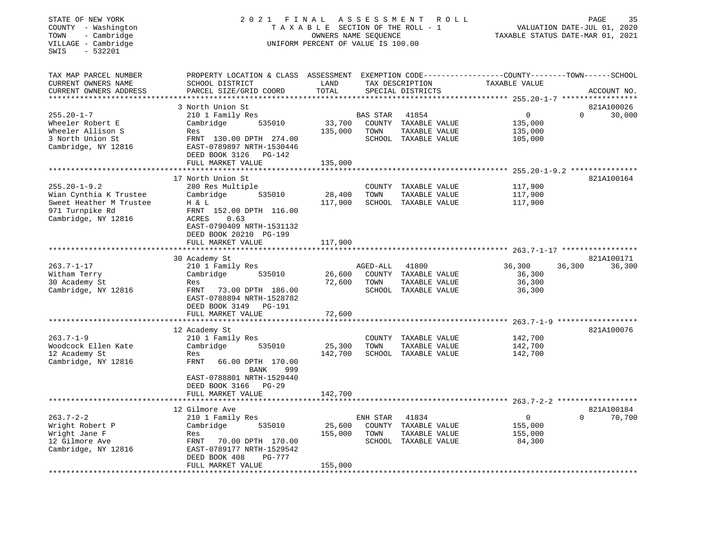## STATE OF NEW YORK 2 0 2 1 F I N A L A S S E S S M E N T R O L L PAGE 35 COUNTY - Washington T A X A B L E SECTION OF THE ROLL - 1 VALUATION DATE-JUL 01, 2020 TOWN - Cambridge OWNERS NAME SEQUENCE TAXABLE STATUS DATE-MAR 01, 2021 COUNTY - Washington<br>
TAXABLE SECTION OF THE ROLL<br>
TOWN - Cambridge UNIFORM PERCENT OF VALUE IS 100.00<br>
UNIFORM PERCENT OF VALUE IS 100.00

| TAX MAP PARCEL NUMBER   | PROPERTY LOCATION & CLASS ASSESSMENT |         |                 |                      |                       | EXEMPTION CODE------------------COUNTY-------TOWN------SCHOOL |
|-------------------------|--------------------------------------|---------|-----------------|----------------------|-----------------------|---------------------------------------------------------------|
| CURRENT OWNERS NAME     | SCHOOL DISTRICT                      | LAND    |                 | TAX DESCRIPTION      | TAXABLE VALUE         |                                                               |
| CURRENT OWNERS ADDRESS  | PARCEL SIZE/GRID COORD               | TOTAL   |                 | SPECIAL DISTRICTS    |                       | ACCOUNT NO.                                                   |
|                         |                                      |         |                 |                      |                       |                                                               |
|                         | 3 North Union St                     |         |                 |                      |                       | 821A100026                                                    |
| $255.20 - 1 - 7$        | 210 1 Family Res                     |         | <b>BAS STAR</b> | 41854                | $\Omega$              | 30,000<br>$\Omega$                                            |
| Wheeler Robert E        | Cambridge<br>535010                  | 33,700  |                 | COUNTY TAXABLE VALUE | 135,000               |                                                               |
| Wheeler Allison S       | Res                                  | 135,000 | TOWN            | TAXABLE VALUE        | 135,000               |                                                               |
| 3 North Union St        | FRNT 130.00 DPTH 274.00              |         |                 | SCHOOL TAXABLE VALUE | 105,000               |                                                               |
| Cambridge, NY 12816     | EAST-0789897 NRTH-1530446            |         |                 |                      |                       |                                                               |
|                         | DEED BOOK 3126<br><b>PG-142</b>      |         |                 |                      |                       |                                                               |
|                         |                                      |         |                 |                      |                       |                                                               |
|                         | FULL MARKET VALUE                    | 135,000 |                 |                      |                       |                                                               |
|                         |                                      |         |                 |                      |                       |                                                               |
|                         | 17 North Union St                    |         |                 |                      |                       | 821A100164                                                    |
| $255.20 - 1 - 9.2$      | 280 Res Multiple                     |         |                 | COUNTY TAXABLE VALUE | 117,900               |                                                               |
| Wian Cynthia K Trustee  | Cambridge<br>535010                  | 28,400  | TOWN            | TAXABLE VALUE        | 117,900               |                                                               |
| Sweet Heather M Trustee | H & L                                | 117,900 |                 | SCHOOL TAXABLE VALUE | 117,900               |                                                               |
| 971 Turnpike Rd         | FRNT 152.00 DPTH 116.00              |         |                 |                      |                       |                                                               |
| Cambridge, NY 12816     | <b>ACRES</b><br>0.63                 |         |                 |                      |                       |                                                               |
|                         | EAST-0790409 NRTH-1531132            |         |                 |                      |                       |                                                               |
|                         | DEED BOOK 20210 PG-199               |         |                 |                      |                       |                                                               |
|                         | FULL MARKET VALUE                    | 117,900 |                 |                      |                       |                                                               |
|                         |                                      |         |                 |                      |                       |                                                               |
|                         | 30 Academy St                        |         |                 |                      |                       | 821A100171                                                    |
| $263.7 - 1 - 17$        | 210 1 Family Res                     |         | AGED-ALL        | 41800                | 36,300                | 36,300<br>36,300                                              |
| Witham Terry            | 535010<br>Cambridge                  | 26,600  |                 | COUNTY TAXABLE VALUE | 36,300                |                                                               |
| 30 Academy St           | Res                                  | 72,600  | TOWN            | TAXABLE VALUE        | 36,300                |                                                               |
| Cambridge, NY 12816     | 73.00 DPTH 186.00<br>FRNT            |         |                 | SCHOOL TAXABLE VALUE | 36,300                |                                                               |
|                         | EAST-0788894 NRTH-1528782            |         |                 |                      |                       |                                                               |
|                         | DEED BOOK 3149<br><b>PG-191</b>      |         |                 |                      |                       |                                                               |
|                         |                                      |         |                 |                      |                       |                                                               |
|                         | FULL MARKET VALUE                    | 72,600  |                 |                      | *********** 263.7-1-9 |                                                               |
|                         |                                      |         |                 |                      |                       | 821A100076                                                    |
|                         | 12 Academy St                        |         |                 |                      |                       |                                                               |
| $263.7 - 1 - 9$         | 210 1 Family Res                     |         |                 | COUNTY TAXABLE VALUE | 142,700               |                                                               |
| Woodcock Ellen Kate     | Cambridge<br>535010                  | 25,300  | TOWN            | TAXABLE VALUE        | 142,700               |                                                               |
| 12 Academy St           | Res                                  | 142,700 |                 | SCHOOL TAXABLE VALUE | 142,700               |                                                               |
| Cambridge, NY 12816     | <b>FRNT</b><br>66.00 DPTH 170.00     |         |                 |                      |                       |                                                               |
|                         | <b>BANK</b><br>999                   |         |                 |                      |                       |                                                               |
|                         | EAST-0788801 NRTH-1529440            |         |                 |                      |                       |                                                               |
|                         | DEED BOOK 3166<br>$PG-29$            |         |                 |                      |                       |                                                               |
|                         | FULL MARKET VALUE                    | 142,700 |                 |                      |                       |                                                               |
|                         | **********************               |         |                 |                      |                       | ******************                                            |
|                         | 12 Gilmore Ave                       |         |                 |                      |                       | 821A100184                                                    |
| $263.7 - 2 - 2$         | 210 1 Family Res                     |         | ENH STAR        | 41834                | 0                     | 70,700<br>$\Omega$                                            |
| Wright Robert P         | 535010<br>Cambridge                  | 25,600  |                 | COUNTY TAXABLE VALUE | 155,000               |                                                               |
| Wright Jane F           | Res                                  | 155,000 | TOWN            | TAXABLE VALUE        | 155,000               |                                                               |
| 12 Gilmore Ave          | FRNT<br>70.00 DPTH 170.00            |         |                 | SCHOOL TAXABLE VALUE | 84,300                |                                                               |
| Cambridge, NY 12816     | EAST-0789177 NRTH-1529542            |         |                 |                      |                       |                                                               |
|                         | DEED BOOK 408<br><b>PG-777</b>       |         |                 |                      |                       |                                                               |
|                         | FULL MARKET VALUE                    | 155,000 |                 |                      |                       |                                                               |
|                         |                                      |         |                 |                      |                       |                                                               |
|                         |                                      |         |                 |                      |                       |                                                               |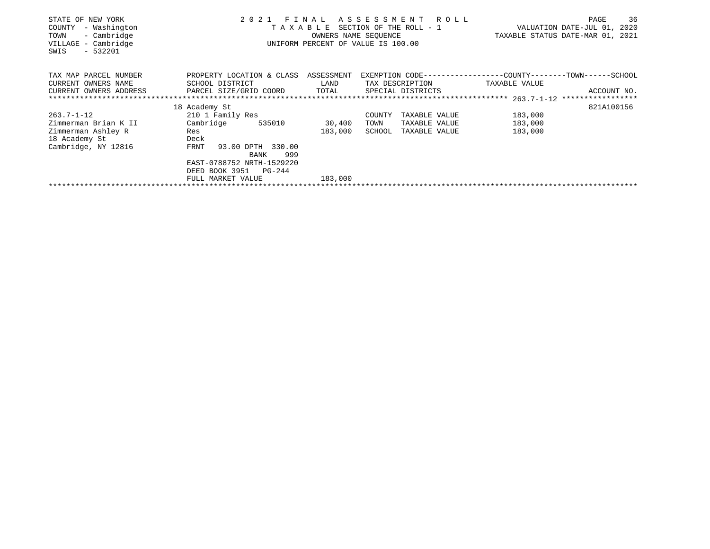| STATE OF NEW YORK<br>- Washington<br>COUNTY<br>- Cambridge<br>TOWN<br>- Cambridge<br>VILLAGE<br>$-532201$<br>SWIS | 2021<br>FINAL<br>T A X A B L E SECTION OF THE ROLL - 1<br>UNIFORM PERCENT OF VALUE IS 100.00 | TAXABLE STATUS DATE-MAR 01, 2021 | 36<br>PAGE<br>VALUATION DATE-JUL 01, 2020                    |               |             |
|-------------------------------------------------------------------------------------------------------------------|----------------------------------------------------------------------------------------------|----------------------------------|--------------------------------------------------------------|---------------|-------------|
| TAX MAP PARCEL NUMBER                                                                                             | PROPERTY LOCATION & CLASS                                                                    | ASSESSMENT                       | EXEMPTION CODE-----------------COUNTY-------TOWN------SCHOOL |               |             |
| CURRENT OWNERS NAME                                                                                               | SCHOOL DISTRICT                                                                              | LAND                             | TAX DESCRIPTION                                              | TAXABLE VALUE |             |
| CURRENT OWNERS ADDRESS                                                                                            | PARCEL SIZE/GRID COORD                                                                       | TOTAL                            | SPECIAL DISTRICTS                                            |               | ACCOUNT NO. |
|                                                                                                                   |                                                                                              |                                  |                                                              |               |             |
|                                                                                                                   | 18 Academy St                                                                                |                                  |                                                              |               | 821A100156  |
| 263.7-1-12                                                                                                        | 210 1 Family Res                                                                             |                                  | COUNTY<br>TAXABLE VALUE                                      | 183,000       |             |
| Zimmerman Brian K II                                                                                              | Cambridge<br>535010                                                                          | 30,400                           | TAXABLE VALUE<br>TOWN                                        | 183,000       |             |
| Zimmerman Ashley R                                                                                                | Res                                                                                          | 183,000                          | SCHOOL<br>TAXABLE VALUE                                      | 183,000       |             |
| 18 Academy St                                                                                                     | Deck                                                                                         |                                  |                                                              |               |             |
| Cambridge, NY 12816                                                                                               | 93.00 DPTH 330.00<br>FRNT                                                                    |                                  |                                                              |               |             |
|                                                                                                                   | 999<br>BANK                                                                                  |                                  |                                                              |               |             |
|                                                                                                                   | EAST-0788752 NRTH-1529220                                                                    |                                  |                                                              |               |             |
|                                                                                                                   | DEED BOOK 3951<br>$PG-244$                                                                   |                                  |                                                              |               |             |
|                                                                                                                   | FULL MARKET VALUE                                                                            | 183,000                          |                                                              |               |             |
|                                                                                                                   |                                                                                              |                                  |                                                              |               |             |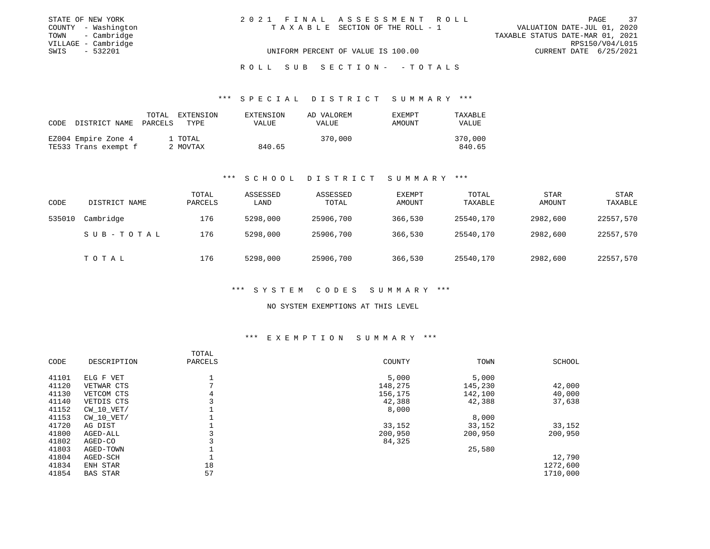| STATE OF NEW YORK   | 2021 FINAL ASSESSMENT ROLL         | 37<br>PAGE                       |
|---------------------|------------------------------------|----------------------------------|
| COUNTY - Washington | TAXABLE SECTION OF THE ROLL - 1    | VALUATION DATE-JUL 01, 2020      |
| TOWN - Cambridge    |                                    | TAXABLE STATUS DATE-MAR 01, 2021 |
| VILLAGE - Cambridge |                                    | RPS150/V04/L015                  |
| SWIS - 532201       | UNIFORM PERCENT OF VALUE IS 100.00 | CURRENT DATE 6/25/2021           |
|                     |                                    |                                  |

R O L L S U B S E C T I O N - - T O T A L S

\*\*\* S P E C I A L D I S T R I C T S U M M A R Y \*\*\*

| CODE | DISTRICT NAME PARCELS | TOTAL | EXTENSION<br>TYPE. | EXTENSION<br><b>VALUE</b> | AD VALOREM<br><b>VALUE</b> | <b>EXEMPT</b><br>AMOUNT | TAXABLE<br><b>VALUE</b> |
|------|-----------------------|-------|--------------------|---------------------------|----------------------------|-------------------------|-------------------------|
|      | EZ004 Empire Zone 4   |       | 1 TOTAL            |                           | 370,000                    |                         | 370,000                 |
|      | TE533 Trans exempt f  |       | 2 MOVTAX           | 840.65                    |                            |                         | 840.65                  |

#### \*\*\* S C H O O L D I S T R I C T S U M M A R Y \*\*\*

| CODE   | DISTRICT NAME | TOTAL<br>PARCELS | ASSESSED<br>LAND | ASSESSED<br>TOTAL | <b>EXEMPT</b><br>AMOUNT | TOTAL<br>TAXABLE | <b>STAR</b><br><b>AMOUNT</b> | STAR<br>TAXABLE |
|--------|---------------|------------------|------------------|-------------------|-------------------------|------------------|------------------------------|-----------------|
| 535010 | Cambridge     | 176              | 5298,000         | 25906,700         | 366,530                 | 25540,170        | 2982,600                     | 22557,570       |
|        | SUB-TOTAL     | 176              | 5298,000         | 25906,700         | 366,530                 | 25540,170        | 2982,600                     | 22557,570       |
|        | TOTAL         | 176              | 5298,000         | 25906,700         | 366,530                 | 25540,170        | 2982,600                     | 22557,570       |

## \*\*\* S Y S T E M C O D E S S U M M A R Y \*\*\*

#### NO SYSTEM EXEMPTIONS AT THIS LEVEL

## \*\*\* E X E M P T I O N S U M M A R Y \*\*\*

| CODE  | DESCRIPTION     | TOTAL<br>PARCELS | COUNTY  | TOWN    | SCHOOL   |
|-------|-----------------|------------------|---------|---------|----------|
| 41101 | ELG F VET       |                  | 5,000   | 5,000   |          |
| 41120 | VETWAR CTS      |                  | 148,275 | 145,230 | 42,000   |
| 41130 | VETCOM CTS      | 4                | 156,175 | 142,100 | 40,000   |
| 41140 | VETDIS CTS      |                  | 42,388  | 42,388  | 37,638   |
| 41152 | $CW$ 10 $VET/$  |                  | 8,000   |         |          |
| 41153 | $CW$ 10 $VET/$  |                  |         | 8,000   |          |
| 41720 | AG DIST         |                  | 33,152  | 33,152  | 33,152   |
| 41800 | AGED-ALL        |                  | 200,950 | 200,950 | 200,950  |
| 41802 | AGED-CO         |                  | 84,325  |         |          |
| 41803 | AGED-TOWN       |                  |         | 25,580  |          |
| 41804 | AGED-SCH        |                  |         |         | 12,790   |
| 41834 | ENH STAR        | 18               |         |         | 1272,600 |
| 41854 | <b>BAS STAR</b> | 57               |         |         | 1710,000 |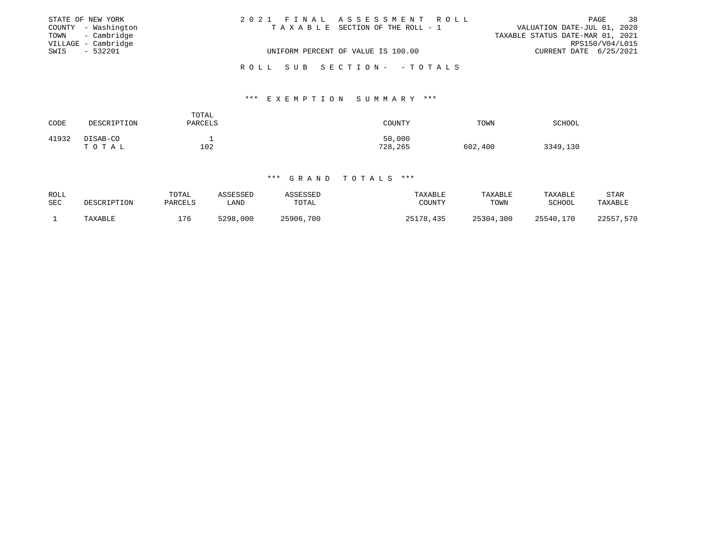|      | STATE OF NEW YORK   | 2021 FINAL ASSESSMENT ROLL         | PAGE                             | 38 |
|------|---------------------|------------------------------------|----------------------------------|----|
|      | COUNTY - Washington | TAXABLE SECTION OF THE ROLL - 1    | VALUATION DATE-JUL 01, 2020      |    |
|      | TOWN - Cambridge    |                                    | TAXABLE STATUS DATE-MAR 01, 2021 |    |
|      | VILLAGE - Cambridge |                                    | RPS150/V04/L015                  |    |
| SWIS | $-532201$           | UNIFORM PERCENT OF VALUE IS 100.00 | CURRENT DATE 6/25/2021           |    |
|      |                     |                                    |                                  |    |
|      |                     | ROLL SUB SECTION- - TOTALS         |                                  |    |

#### \*\*\* E X E M P T I O N S U M M A R Y \*\*\*

| CODE  | DESCRIPTION       | TOTAL<br>PARCELS | COUNTY            | TOWN    | SCHOOL   |
|-------|-------------------|------------------|-------------------|---------|----------|
| 41932 | DISAB-CO<br>TOTAL | 102              | 50,000<br>728,265 | 602,400 | 3349,130 |

| ROLL | DESCRIPTION | TOTAL   | ASSESSED | ASSESSED  | TAXABLE   | TAXABLE   | TAXABLE   | STAR      |
|------|-------------|---------|----------|-----------|-----------|-----------|-----------|-----------|
| SEC  |             | PARCELS | LAND     | TOTAL     | COUNTY    | TOWN      | SCHOOL    | TAXABLE   |
|      | TAXABLE     | ⊥76     | 5298,000 | 25906,700 | 25178,435 | 25304,300 | 25540,170 | 22557,570 |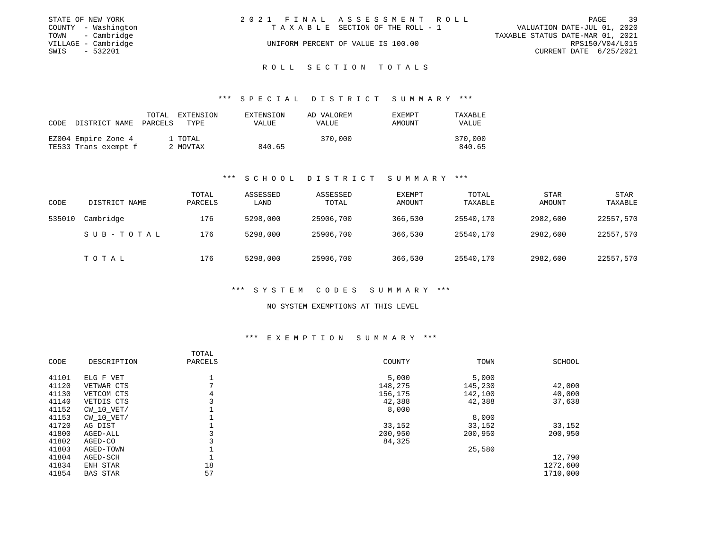|      | STATE OF NEW YORK   | 2021 FINAL ASSESSMENT ROLL |                                    |                                  |                        | PAGE | 39 |
|------|---------------------|----------------------------|------------------------------------|----------------------------------|------------------------|------|----|
|      | COUNTY - Washington |                            | TAXABLE SECTION OF THE ROLL - 1    | VALUATION DATE-JUL 01, 2020      |                        |      |    |
|      | TOWN - Cambridge    |                            |                                    | TAXABLE STATUS DATE-MAR 01, 2021 |                        |      |    |
|      | VILLAGE - Cambridge |                            | UNIFORM PERCENT OF VALUE IS 100.00 |                                  | RPS150/V04/L015        |      |    |
| SWIS | - 532201            |                            |                                    |                                  | CURRENT DATE 6/25/2021 |      |    |
|      |                     |                            |                                    |                                  |                        |      |    |

#### R O L L S E C T I O N T O T A L S

#### \*\*\* S P E C I A L D I S T R I C T S U M M A R Y \*\*\*

| CODE | DISTRICT NAME                               | TOTAL<br>PARCELS | EXTENSION<br>TYPE   | EXTENSION<br>VALUE | AD VALOREM<br>VALUE | EXEMPT<br>AMOUNT | TAXABLE<br><b>VALUE</b> |
|------|---------------------------------------------|------------------|---------------------|--------------------|---------------------|------------------|-------------------------|
|      | EZ004 Empire Zone 4<br>TE533 Trans exempt f |                  | 1 TOTAL<br>2 MOVTAX | 840.65             | 370,000             |                  | 370,000<br>840.65       |

#### \*\*\* S C H O O L D I S T R I C T S U M M A R Y \*\*\*

| CODE   | DISTRICT NAME | TOTAL<br>PARCELS | ASSESSED<br>LAND | ASSESSED<br>TOTAL | <b>EXEMPT</b><br>AMOUNT | TOTAL<br>TAXABLE | STAR<br>AMOUNT | STAR<br>TAXABLE |
|--------|---------------|------------------|------------------|-------------------|-------------------------|------------------|----------------|-----------------|
| 535010 | Cambridge     | 176              | 5298,000         | 25906,700         | 366,530                 | 25540,170        | 2982,600       | 22557,570       |
|        | SUB-TOTAL     | 176              | 5298,000         | 25906,700         | 366,530                 | 25540,170        | 2982,600       | 22557,570       |
|        | TOTAL         | 176              | 5298,000         | 25906,700         | 366,530                 | 25540,170        | 2982,600       | 22557,570       |

## \*\*\* S Y S T E M C O D E S S U M M A R Y \*\*\*

#### NO SYSTEM EXEMPTIONS AT THIS LEVEL

## \*\*\* E X E M P T I O N S U M M A R Y \*\*\*

| CODE  | DESCRIPTION     | TOTAL<br>PARCELS | COUNTY  | TOWN    | SCHOOL   |
|-------|-----------------|------------------|---------|---------|----------|
| 41101 | ELG F VET       |                  | 5,000   | 5,000   |          |
| 41120 | VETWAR CTS      | $\overline{ }$   | 148,275 | 145,230 | 42,000   |
| 41130 | VETCOM CTS      | 4                | 156,175 | 142,100 | 40,000   |
| 41140 | VETDIS CTS      |                  | 42,388  | 42,388  | 37,638   |
| 41152 | $CW$ 10 $VET/$  |                  | 8,000   |         |          |
| 41153 | $CW$ 10 $VET/$  |                  |         | 8,000   |          |
| 41720 | AG DIST         |                  | 33,152  | 33,152  | 33,152   |
| 41800 | AGED-ALL        |                  | 200,950 | 200,950 | 200,950  |
| 41802 | AGED-CO         |                  | 84,325  |         |          |
| 41803 | AGED-TOWN       |                  |         | 25,580  |          |
| 41804 | AGED-SCH        |                  |         |         | 12,790   |
| 41834 | ENH STAR        | 18               |         |         | 1272,600 |
| 41854 | <b>BAS STAR</b> | 57               |         |         | 1710,000 |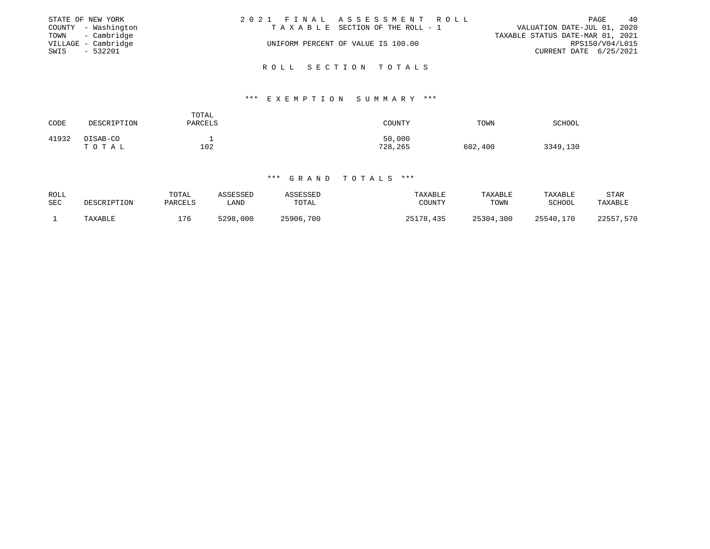|      | STATE OF NEW YORK   | 2021 FINAL ASSESSMENT ROLL |                                    |                                  |                        | PAGE | 40 |
|------|---------------------|----------------------------|------------------------------------|----------------------------------|------------------------|------|----|
|      | COUNTY - Washington |                            | TAXABLE SECTION OF THE ROLL - 1    | VALUATION DATE-JUL 01, 2020      |                        |      |    |
|      | TOWN - Cambridge    |                            |                                    | TAXABLE STATUS DATE-MAR 01, 2021 |                        |      |    |
|      | VILLAGE - Cambridge |                            | UNIFORM PERCENT OF VALUE IS 100.00 |                                  | RPS150/V04/L015        |      |    |
| SWIS | $-532201$           |                            |                                    |                                  | CURRENT DATE 6/25/2021 |      |    |
|      |                     |                            |                                    |                                  |                        |      |    |

R O L L S E C T I O N T O T A L S

### \*\*\* E X E M P T I O N S U M M A R Y \*\*\*

| CODE  | DESCRIPTION       | TOTAL<br>PARCELS | COUNTY            | TOWN    | SCHOOL   |
|-------|-------------------|------------------|-------------------|---------|----------|
| 41932 | DISAB-CO<br>TOTAL | -<br>102         | 50,000<br>728,265 | 602,400 | 3349,130 |

| ROLL | DESCRIPTION | TOTAL   | ASSESSED | ASSESSED  | TAXABLE   | TAXABLE   | TAXABLE   | STAR      |
|------|-------------|---------|----------|-----------|-----------|-----------|-----------|-----------|
| SEC  |             | PARCELS | LAND     | TOTAL     | COUNTY    | TOWN      | SCHOOL    | TAXABLE   |
|      | TAXABLE     | 176     | 5298,000 | 25906,700 | 25178,435 | 25304,300 | 25540,170 | 22557.570 |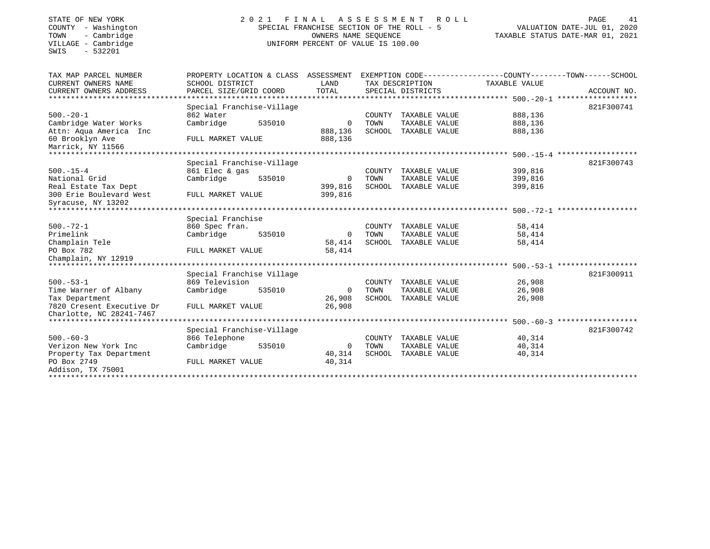SWIS - 532201

## STATE OF NEW YORK 2 0 2 1 F I N A L A S S E S S M E N T R O L L PAGE 41 COUNTY - Washington SPECIAL FRANCHISE SECTION OF THE ROLL - 5 VALUATION DATE-JUL 01, 2020 TOWN - Cambridge OWNERS NAME SEQUENCE TAXABLE STATUS DATE-MAR 01, 2021 COUNTY - Washington<br>
TOWN - Cambridge COUNTY - Cambridge COUNTY - Cambridge COUNTY - Cambridge COUNTY - Cambridge COUNTY - CAMBRE<br>
VILLAGE - Cambridge CAMBRE COUNTY OF VALUE IS 100.00

| TAX MAP PARCEL NUMBER         | PROPERTY LOCATION & CLASS |        | ASSESSMENT   |        |                   | EXEMPTION CODE-----------------COUNTY-------TOWN------SCHOOL |             |
|-------------------------------|---------------------------|--------|--------------|--------|-------------------|--------------------------------------------------------------|-------------|
| CURRENT OWNERS NAME           | SCHOOL DISTRICT           |        | LAND         |        | TAX DESCRIPTION   | TAXABLE VALUE                                                |             |
| CURRENT OWNERS ADDRESS        | PARCEL SIZE/GRID COORD    |        | TOTAL        |        | SPECIAL DISTRICTS |                                                              | ACCOUNT NO. |
| *************************     | **************            |        |              |        |                   |                                                              |             |
|                               | Special Franchise-Village |        |              |        |                   |                                                              | 821F300741  |
| $500. - 20 - 1$               | 862 Water                 |        |              | COUNTY | TAXABLE VALUE     | 888,136                                                      |             |
| Cambridge Water Works         | Cambridge                 | 535010 | 0            | TOWN   | TAXABLE VALUE     | 888,136                                                      |             |
| Attn: Aqua America Inc        |                           |        | 888,136      | SCHOOL | TAXABLE VALUE     | 888,136                                                      |             |
| 60 Brooklyn Ave               | FULL MARKET VALUE         |        | 888,136      |        |                   |                                                              |             |
| Marrick, NY 11566             |                           |        |              |        |                   |                                                              |             |
| ***************               |                           |        |              |        |                   |                                                              |             |
|                               | Special Franchise-Village |        |              |        |                   |                                                              | 821F300743  |
| $500. -15 - 4$                | 861 Elec & gas            |        |              | COUNTY | TAXABLE VALUE     | 399,816                                                      |             |
| National Grid                 | Cambridge                 | 535010 | $\Omega$     | TOWN   | TAXABLE VALUE     | 399,816                                                      |             |
| Real Estate Tax Dept          |                           |        | 399,816      | SCHOOL | TAXABLE VALUE     | 399,816                                                      |             |
| 300 Erie Boulevard West       | FULL MARKET VALUE         |        | 399,816      |        |                   |                                                              |             |
| Syracuse, NY 13202            |                           |        |              |        |                   |                                                              |             |
|                               |                           |        |              |        |                   |                                                              |             |
|                               | Special Franchise         |        |              |        |                   |                                                              |             |
| $500. - 72 - 1$               | 860 Spec fran.            |        |              | COUNTY | TAXABLE VALUE     | 58,414                                                       |             |
| Primelink                     | Cambridge                 | 535010 | 0            | TOWN   | TAXABLE VALUE     | 58,414                                                       |             |
| Champlain Tele                |                           |        | 58,414       | SCHOOL | TAXABLE VALUE     | 58,414                                                       |             |
| PO Box 782                    | FULL MARKET VALUE         |        | 58,414       |        |                   |                                                              |             |
| Champlain, NY 12919           |                           |        |              |        |                   |                                                              |             |
| ***************************** |                           |        |              |        |                   |                                                              |             |
|                               | Special Franchise Village |        |              |        |                   |                                                              | 821F300911  |
| $500. - 53 - 1$               | 869 Television            |        |              | COUNTY | TAXABLE VALUE     | 26,908                                                       |             |
| Time Warner of Albany         | Cambridge                 | 535010 | 0            | TOWN   | TAXABLE VALUE     | 26,908                                                       |             |
| Tax Department                |                           |        | 26,908       | SCHOOL | TAXABLE VALUE     | 26,908                                                       |             |
| 7820 Cresent Executive Dr     | FULL MARKET VALUE         |        | 26,908       |        |                   |                                                              |             |
| Charlotte, NC 28241-7467      |                           |        |              |        |                   |                                                              |             |
|                               |                           |        |              |        |                   |                                                              |             |
|                               | Special Franchise-Village |        |              |        |                   |                                                              | 821F300742  |
| $500 - 60 - 3$                | 866 Telephone             |        |              | COUNTY | TAXABLE VALUE     | 40,314                                                       |             |
| Verizon New York Inc          | Cambridge                 | 535010 | $\mathbf{0}$ | TOWN   | TAXABLE VALUE     | 40,314                                                       |             |
| Property Tax Department       |                           |        | 40,314       | SCHOOL | TAXABLE VALUE     | 40,314                                                       |             |
| PO Box 2749                   | FULL MARKET VALUE         |        | 40,314       |        |                   |                                                              |             |
| Addison, TX 75001             |                           |        |              |        |                   |                                                              |             |
|                               |                           |        |              |        |                   |                                                              |             |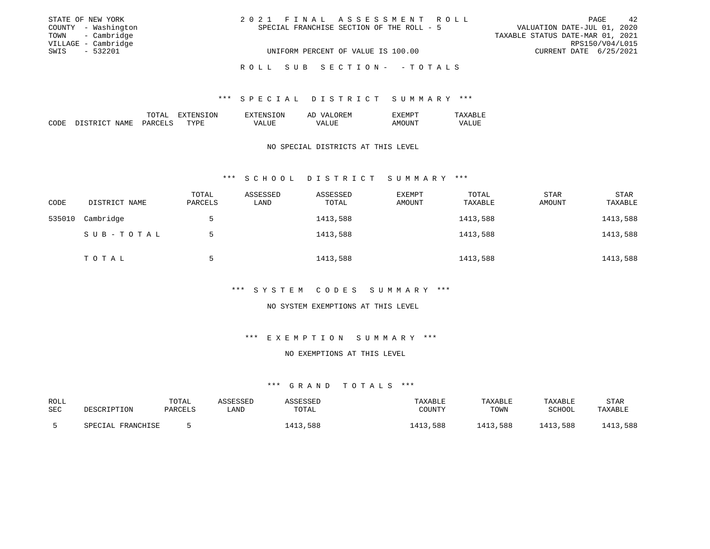| STATE OF NEW YORK   | 2021 FINAL ASSESSMENT ROLL                | 42<br>PAGE                       |
|---------------------|-------------------------------------------|----------------------------------|
| COUNTY - Washington | SPECIAL FRANCHISE SECTION OF THE ROLL - 5 | VALUATION DATE-JUL 01, 2020      |
| TOWN - Cambridge    |                                           | TAXABLE STATUS DATE-MAR 01, 2021 |
| VILLAGE - Cambridge |                                           | RPS150/V04/L015                  |
| - 532201<br>SWIS    | UNIFORM PERCENT OF VALUE IS 100.00        | CURRENT DATE 6/25/2021           |
|                     | ROLL SUB SECTION- -TOTALS                 |                                  |

### \*\*\* S P E C I A L D I S T R I C T S U M M A R Y \*\*\*

|             |                              | <b>TOTA</b><br>----               | .UN         | . ON<br>،'N۱                           | $\wedge$ $\vdots$<br>'∖ H.<br>$\frac{1}{2}$<br>. In<br>Ar | F:MP        | .                    |
|-------------|------------------------------|-----------------------------------|-------------|----------------------------------------|-----------------------------------------------------------|-------------|----------------------|
| CODE<br>___ | NAME<br><b>CTD</b><br>$\cap$ | <b>DAP</b><br>--<br>$\sim$ $\sim$ | mzzne<br>PH | T.TTR:<br>$\sqrt{A}$<br>- 11<br>______ | $4\Delta$ .                                               | ΔM<br>$  -$ | "מ<br>∆⊔∪r<br>______ |

### NO SPECIAL DISTRICTS AT THIS LEVEL

#### \*\*\* S C H O O L D I S T R I C T S U M M A R Y \*\*\*

| CODE   | DISTRICT NAME | TOTAL<br>PARCELS | ASSESSED<br>LAND | ASSESSED<br>TOTAL | <b>EXEMPT</b><br>AMOUNT | TOTAL<br>TAXABLE | <b>STAR</b><br>AMOUNT | <b>STAR</b><br>TAXABLE |
|--------|---------------|------------------|------------------|-------------------|-------------------------|------------------|-----------------------|------------------------|
| 535010 | Cambridge     | 5                |                  | 1413,588          |                         | 1413,588         |                       | 1413,588               |
|        | SUB-TOTAL     | ל                |                  | 1413,588          |                         | 1413,588         |                       | 1413,588               |
|        | TOTAL         |                  |                  | 1413,588          |                         | 1413,588         |                       | 1413,588               |

## \*\*\* S Y S T E M C O D E S S U M M A R Y \*\*\*

#### NO SYSTEM EXEMPTIONS AT THIS LEVEL

## \*\*\* E X E M P T I O N S U M M A R Y \*\*\*

## NO EXEMPTIONS AT THIS LEVEL

| ROLL<br>SEC | DESCRIPTION       | TOTAL<br>PARCELS | ASSESSED<br>LAND | <i><b>ISSESSED</b></i><br>TOTAL | TAXABLE<br>COUNTY | TAXABLE<br>TOWN | TAXABLE<br>SCHOOL | <b>STAR</b><br>TAXABLE |
|-------------|-------------------|------------------|------------------|---------------------------------|-------------------|-----------------|-------------------|------------------------|
|             | SPECIAL FRANCHISE |                  |                  | 3,588<br>413                    | 1413,588          | 1413,588        | 1413,588          | 413,588                |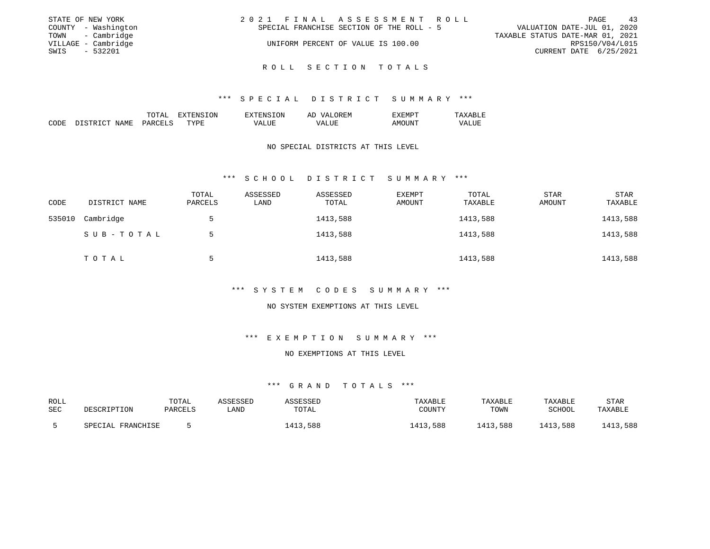|      | STATE OF NEW YORK   | 2021 FINAL ASSESSMENT ROLL                |                                  |                        | PAGE | 43 |
|------|---------------------|-------------------------------------------|----------------------------------|------------------------|------|----|
|      | COUNTY - Washington | SPECIAL FRANCHISE SECTION OF THE ROLL - 5 | VALUATION DATE-JUL 01, 2020      |                        |      |    |
|      | TOWN - Cambridge    |                                           | TAXABLE STATUS DATE-MAR 01, 2021 |                        |      |    |
|      | VILLAGE - Cambridge | UNIFORM PERCENT OF VALUE IS 100.00        |                                  | RPS150/V04/L015        |      |    |
| SWIS | $-532201$           |                                           |                                  | CURRENT DATE 6/25/2021 |      |    |
|      |                     |                                           |                                  |                        |      |    |

R O L L S E C T I O N T O T A L S

#### \*\*\* S P E C I A L D I S T R I C T S U M M A R Y \*\*\*

|             |                                           | 'I'AL                | LON.<br>∴NE | .ON<br>ᆔᅏ<br>. הדר<br>≞∆ | OREM<br>ΑΓ<br>(7∆.           | … IVI 1 — 1                     | ᇭ<br>---                       |
|-------------|-------------------------------------------|----------------------|-------------|--------------------------|------------------------------|---------------------------------|--------------------------------|
| CODE<br>___ | $T \cap T$<br>NAME<br>$\Gamma$ CTD $\tau$ | <b>PARCFT</b><br>$-$ | TVDI        | ∟UF<br>$\cdots$          | TTT.<br>WΔ<br>uui<br>_______ | $\sim$ IVII<br>וגווויו<br>$  -$ | <b>T TTK</b><br>\/ ∆<br>______ |

### NO SPECIAL DISTRICTS AT THIS LEVEL

#### \*\*\* S C H O O L D I S T R I C T S U M M A R Y \*\*\*

| CODE   | DISTRICT NAME | TOTAL<br>PARCELS | ASSESSED<br>LAND | ASSESSED<br>TOTAL | <b>EXEMPT</b><br>AMOUNT | TOTAL<br>TAXABLE | <b>STAR</b><br>AMOUNT | <b>STAR</b><br>TAXABLE |
|--------|---------------|------------------|------------------|-------------------|-------------------------|------------------|-----------------------|------------------------|
| 535010 | Cambridge     | 5                |                  | 1413,588          |                         | 1413,588         |                       | 1413,588               |
|        | SUB-TOTAL     | 5                |                  | 1413,588          |                         | 1413,588         |                       | 1413,588               |
|        | TOTAL         | 5                |                  | 1413,588          |                         | 1413,588         |                       | 1413,588               |

## \*\*\* S Y S T E M C O D E S S U M M A R Y \*\*\*

#### NO SYSTEM EXEMPTIONS AT THIS LEVEL

## \*\*\* E X E M P T I O N S U M M A R Y \*\*\*

## NO EXEMPTIONS AT THIS LEVEL

| ROLL<br>SEC | DESCRIPTION             | TOTAL<br>PARCELS | ASSESSED<br>∟AND | <b>\SSESSED</b><br>TOTAL | <b>TAXABLE</b><br>COUNTY | <b>TAXABLE</b><br>TOWN | TAXABLE<br>SCHOOL | <b>STAR</b><br>TAXABLE |
|-------------|-------------------------|------------------|------------------|--------------------------|--------------------------|------------------------|-------------------|------------------------|
|             | L FRANCHISE<br>SPECTAL. |                  |                  | 1413,588                 | ,588<br>⊥413             | 1413,588               | 1413,588          | 1413,588               |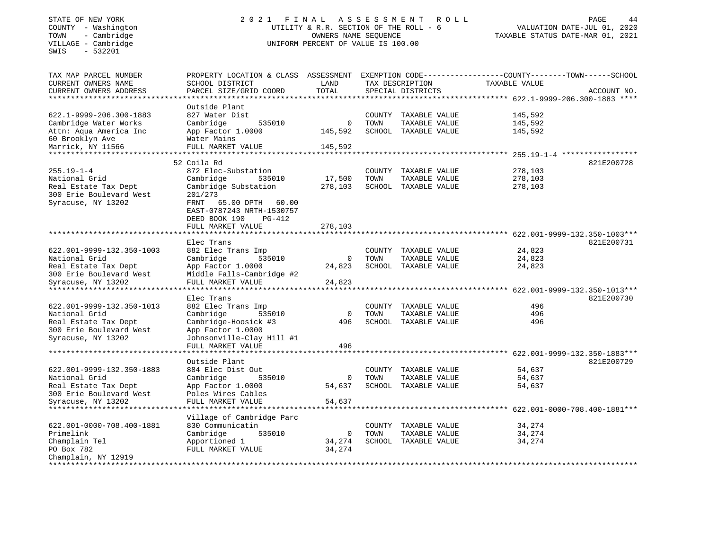SWIS - 532201

## STATE OF NEW YORK 2 0 2 1 F I N A L A S S E S S M E N T R O L L PAGE 44 COUNTY - Washington UTILITY & R.R. SECTION OF THE ROLL - 6 VALUATION DATE-JUL 01, 2020 TOWN - Cambridge OWNERS NAME SEQUENCE TAXABLE STATUS DATE-MAR 01, 2021 COUNTY - Washington<br>
TOWN - Cambridge Cambridge UNIFORM PERCENT OF VALUE IS 100.00

| TAX MAP PARCEL NUMBER                            | PROPERTY LOCATION & CLASS ASSESSMENT |              |        |                      | EXEMPTION CODE-----------------COUNTY-------TOWN------SCHOOL |                              |
|--------------------------------------------------|--------------------------------------|--------------|--------|----------------------|--------------------------------------------------------------|------------------------------|
| CURRENT OWNERS NAME                              | SCHOOL DISTRICT                      | LAND         |        | TAX DESCRIPTION      | TAXABLE VALUE                                                |                              |
| CURRENT OWNERS ADDRESS                           | PARCEL SIZE/GRID COORD               | TOTAL        |        | SPECIAL DISTRICTS    |                                                              | ACCOUNT NO.                  |
| ********************                             |                                      |              |        |                      | **************** 622.1-9999-206.300-1883 ****                |                              |
|                                                  | Outside Plant                        |              |        |                      |                                                              |                              |
| 622.1-9999-206.300-1883                          | 827 Water Dist                       |              |        | COUNTY TAXABLE VALUE | 145,592                                                      |                              |
| Cambridge Water Works                            | Cambridge<br>535010                  | $\mathbf 0$  | TOWN   | TAXABLE VALUE        | 145,592                                                      |                              |
| Attn: Aqua America Inc                           | App Factor 1.0000                    | 145,592      |        | SCHOOL TAXABLE VALUE | 145,592                                                      |                              |
| 60 Brooklyn Ave                                  | Water Mains                          |              |        |                      |                                                              |                              |
| Marrick, NY 11566                                | FULL MARKET VALUE                    | 145,592      |        |                      |                                                              |                              |
| ******************                               | *********************                |              |        |                      | ********** 255.19-1-4 *****************                      |                              |
|                                                  | 52 Coila Rd                          |              |        |                      |                                                              | 821E200728                   |
| $255.19 - 1 - 4$                                 | 872 Elec-Substation                  |              |        | COUNTY TAXABLE VALUE | 278,103                                                      |                              |
| National Grid                                    | Cambridge<br>535010                  | 17,500       | TOWN   | TAXABLE VALUE        | 278,103                                                      |                              |
| Real Estate Tax Dept                             | Cambridge Substation                 | 278,103      |        | SCHOOL TAXABLE VALUE | 278,103                                                      |                              |
| 300 Erie Boulevard West                          | 201/273                              |              |        |                      |                                                              |                              |
| Syracuse, NY 13202                               | FRNT<br>65.00 DPTH<br>60.00          |              |        |                      |                                                              |                              |
|                                                  | EAST-0787243 NRTH-1530757            |              |        |                      |                                                              |                              |
|                                                  | DEED BOOK 190<br>PG-412              |              |        |                      |                                                              |                              |
|                                                  | FULL MARKET VALUE                    | 278,103      |        |                      |                                                              |                              |
|                                                  |                                      |              |        |                      |                                                              |                              |
|                                                  | Elec Trans                           |              |        |                      |                                                              | 821E200731                   |
| 622.001-9999-132.350-1003                        | 882 Elec Trans Imp                   |              |        | COUNTY TAXABLE VALUE | 24,823                                                       |                              |
| National Grid                                    | Cambridge<br>535010                  | 0            | TOWN   | TAXABLE VALUE        | 24,823                                                       |                              |
| Real Estate Tax Dept                             | App Factor 1.0000                    | 24,823       |        | SCHOOL TAXABLE VALUE | 24,823                                                       |                              |
| 300 Erie Boulevard West                          | Middle Falls-Cambridge #2            |              |        |                      |                                                              |                              |
| Syracuse, NY 13202                               | FULL MARKET VALUE                    | 24,823       |        |                      |                                                              |                              |
|                                                  | *****************                    |              |        |                      |                                                              | 622.001-9999-132.350-1013*** |
|                                                  | Elec Trans                           |              |        |                      |                                                              | 821E200730                   |
| 622.001-9999-132.350-1013                        | 882 Elec Trans Imp                   |              | COUNTY | TAXABLE VALUE        | 496                                                          |                              |
| National Grid                                    | Cambridge<br>535010                  | $\mathbf 0$  | TOWN   | TAXABLE VALUE        | 496                                                          |                              |
| Real Estate Tax Dept                             | Cambridge-Hoosick #3                 | 496          |        | SCHOOL TAXABLE VALUE | 496                                                          |                              |
| 300 Erie Boulevard West                          | App Factor 1.0000                    |              |        |                      |                                                              |                              |
| Syracuse, NY 13202                               | Johnsonville-Clay Hill #1            |              |        |                      |                                                              |                              |
|                                                  | FULL MARKET VALUE                    | 496          |        |                      |                                                              |                              |
|                                                  | *********************                |              |        |                      | *************** 622.001-9999-132.350-1883***                 |                              |
|                                                  | Outside Plant                        |              |        |                      |                                                              | 821E200729                   |
| 622.001-9999-132.350-1883                        | 884 Elec Dist Out                    |              |        | COUNTY TAXABLE VALUE | 54,637                                                       |                              |
| National Grid                                    | Cambridge<br>535010                  | 0            | TOWN   | TAXABLE VALUE        | 54,637                                                       |                              |
| Real Estate Tax Dept                             | App Factor 1.0000                    | 54,637       |        | SCHOOL TAXABLE VALUE | 54,637                                                       |                              |
| 300 Erie Boulevard West                          | Poles Wires Cables                   |              |        |                      |                                                              |                              |
| Syracuse, NY 13202                               | FULL MARKET VALUE                    | 54,637       |        |                      |                                                              |                              |
|                                                  | ***********************************  |              |        |                      | *************** 622.001-0000-708.400-1881***                 |                              |
|                                                  | Village of Cambridge Parc            |              |        |                      |                                                              |                              |
| 622.001-0000-708.400-1881                        | 830 Communicatin                     |              | COUNTY | TAXABLE VALUE        | 34,274                                                       |                              |
| Primelink                                        | Cambridge<br>535010                  | $\mathbf{0}$ | TOWN   | TAXABLE VALUE        | 34,274                                                       |                              |
| Champlain Tel                                    | Apportioned 1                        | 34,274       |        | SCHOOL TAXABLE VALUE | 34,274                                                       |                              |
| PO Box 782                                       | FULL MARKET VALUE                    | 34,274       |        |                      |                                                              |                              |
| Champlain, NY 12919<br>************************* |                                      |              |        |                      |                                                              |                              |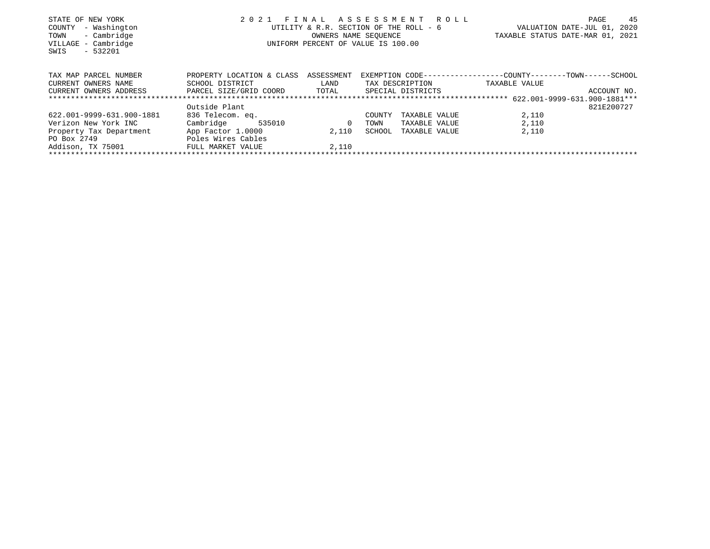| STATE OF NEW YORK                        | 2 0 2 1                      | FINAL      | ASSESSMENT ROLL                                              |                                  | PAGE        | 45   |
|------------------------------------------|------------------------------|------------|--------------------------------------------------------------|----------------------------------|-------------|------|
| - Washington<br>COUNTY                   |                              |            | UTILITY & R.R. SECTION OF THE ROLL - 6                       | VALUATION DATE-JUL 01,           |             | 2020 |
| - Cambridge<br>TOWN                      |                              |            | OWNERS NAME SEOUENCE                                         | TAXABLE STATUS DATE-MAR 01, 2021 |             |      |
| VILLAGE - Cambridge<br>$-532201$<br>SWIS |                              |            | UNIFORM PERCENT OF VALUE IS 100.00                           |                                  |             |      |
| TAX MAP PARCEL NUMBER                    | PROPERTY LOCATION & CLASS    | ASSESSMENT | EXEMPTION CODE-----------------COUNTY-------TOWN------SCHOOL |                                  |             |      |
| CURRENT OWNERS NAME                      | SCHOOL DISTRICT              | LAND       | TAX DESCRIPTION                                              | TAXABLE VALUE                    |             |      |
| CURRENT OWNERS ADDRESS                   | PARCEL SIZE/GRID COORD TOTAL |            | SPECIAL DISTRICTS                                            |                                  | ACCOUNT NO. |      |
|                                          |                              |            |                                                              |                                  |             |      |
|                                          | Outside Plant                |            |                                                              |                                  | 821E200727  |      |
| 622.001-9999-631.900-1881                | 836 Telecom. eq.             |            | TAXABLE VALUE<br>COUNTY                                      | 2,110                            |             |      |
| Verizon New York INC                     | Cambridge<br>535010          | 0          | TOWN<br>TAXABLE VALUE                                        | 2,110                            |             |      |
| Property Tax Department                  | App Factor 1.0000            | 2,110      | SCHOOL<br>TAXABLE VALUE                                      | 2,110                            |             |      |
| PO Box 2749                              | Poles Wires Cables           |            |                                                              |                                  |             |      |
| Addison, TX 75001                        | FULL MARKET VALUE            | 2,110      |                                                              |                                  |             |      |
|                                          |                              |            |                                                              |                                  |             |      |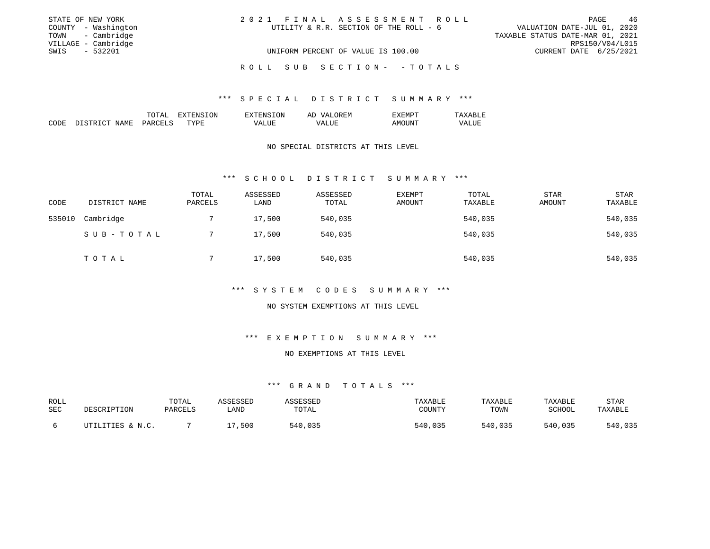| STATE OF NEW YORK   |                     | 2021 FINAL ASSESSMENT ROLL                                            | PAGE                   | - 46            |
|---------------------|---------------------|-----------------------------------------------------------------------|------------------------|-----------------|
|                     | COUNTY - Washington | VALUATION DATE-JUL 01, 2020<br>UTILITY & R.R. SECTION OF THE ROLL - 6 |                        |                 |
|                     | TOWN - Cambridge    | TAXABLE STATUS DATE-MAR 01, 2021                                      |                        |                 |
| VILLAGE - Cambridge |                     |                                                                       |                        | RPS150/V04/L015 |
| SWIS                | - 532201            | UNIFORM PERCENT OF VALUE IS 100.00                                    | CURRENT DATE 6/25/2021 |                 |
|                     |                     |                                                                       |                        |                 |
|                     |                     | ROLL SUB SECTION- - TOTALS                                            |                        |                 |

### \*\*\* S P E C I A L D I S T R I C T S U M M A R Y \*\*\*

|      |                                   | 'Al<br>----          | . A  | ON<br>'NE           | $\sqrt{ }$<br>' H:IV<br>AI         | €NL                               |              |
|------|-----------------------------------|----------------------|------|---------------------|------------------------------------|-----------------------------------|--------------|
| CODE | GMT<br>$\sqrt{2}$<br>NAMF'<br>ت - | ⊬∆ت<br>$\sim$ $\sim$ | TVDF | - ---<br>LH.<br>. . | <b>TTT</b><br>VΔ<br>┙┙┵<br>_______ | $\mathbf{N}$<br>$\cdots$<br>$  -$ | - ---<br>V A |

### NO SPECIAL DISTRICTS AT THIS LEVEL

#### \*\*\* S C H O O L D I S T R I C T S U M M A R Y \*\*\*

| CODE   | DISTRICT NAME | TOTAL<br>PARCELS | ASSESSED<br>LAND | ASSESSED<br>TOTAL | <b>EXEMPT</b><br>AMOUNT | TOTAL<br>TAXABLE | STAR<br>AMOUNT | STAR<br>TAXABLE |
|--------|---------------|------------------|------------------|-------------------|-------------------------|------------------|----------------|-----------------|
| 535010 | Cambridge     |                  | 17,500           | 540,035           |                         | 540,035          |                | 540,035         |
|        | SUB-TOTAL     |                  | 17,500           | 540,035           |                         | 540,035          |                | 540,035         |
|        | TOTAL         |                  | 17,500           | 540,035           |                         | 540,035          |                | 540,035         |

## \*\*\* S Y S T E M C O D E S S U M M A R Y \*\*\*

#### NO SYSTEM EXEMPTIONS AT THIS LEVEL

## \*\*\* E X E M P T I O N S U M M A R Y \*\*\*

## NO EXEMPTIONS AT THIS LEVEL

| ROLL<br>SEC | DESCRIPTION      | TOTAL<br>PARCELS | ASSESSED<br>LAND | ASSESSED<br>TOTAL | TAXABLE<br>COUNTY | TAXABLE<br>TOWN | <b>TAXABLE</b><br>SCHOOL | STAR<br>TAXABLE |
|-------------|------------------|------------------|------------------|-------------------|-------------------|-----------------|--------------------------|-----------------|
|             | UTILITIES & N.C. |                  | ,500             | 540,035           | 540,035           | 540,035         | 540,035                  | 540,035         |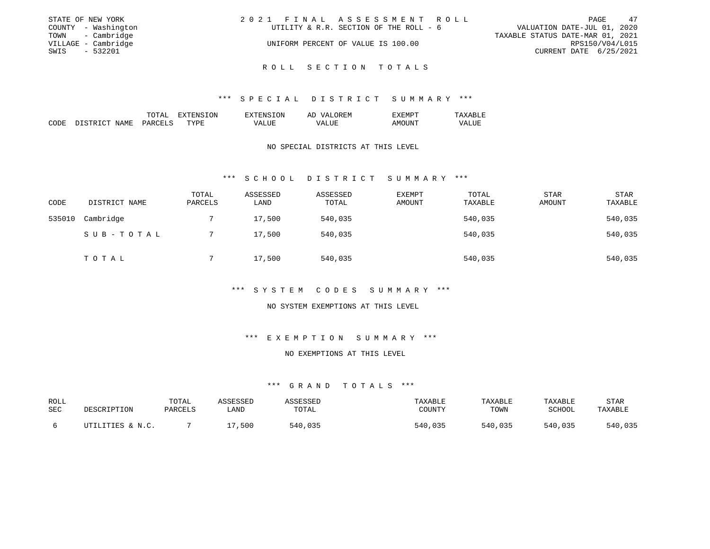|      | STATE OF NEW YORK   | 2021 FINAL ASSESSMENT ROLL |                                        |                                  |                        | PAGE | -47 |
|------|---------------------|----------------------------|----------------------------------------|----------------------------------|------------------------|------|-----|
|      | COUNTY - Washington |                            | UTILITY & R.R. SECTION OF THE ROLL - 6 | VALUATION DATE-JUL 01, 2020      |                        |      |     |
|      | TOWN - Cambridge    |                            |                                        | TAXABLE STATUS DATE-MAR 01, 2021 |                        |      |     |
|      | VILLAGE - Cambridge |                            | UNIFORM PERCENT OF VALUE IS 100.00     |                                  | RPS150/V04/L015        |      |     |
| SWIS | $-532201$           |                            |                                        |                                  | CURRENT DATE 6/25/2021 |      |     |
|      |                     |                            |                                        |                                  |                        |      |     |

R O L L S E C T I O N T O T A L S

#### \*\*\* S P E C I A L D I S T R I C T S U M M A R Y \*\*\*

|      |                           | TOTAL                            | <b>TREE</b><br>.UN<br>. А | . ON<br>$T^{\text{H}}$ | <b>OREM</b><br>5777<br>ΑL | H: IVI LA<br>.          | ᅲᅐ<br>---                       |
|------|---------------------------|----------------------------------|---------------------------|------------------------|---------------------------|-------------------------|---------------------------------|
| CODE | NAME.<br>חי תחים כ<br>דרי | <b>PARCET C</b><br>$\sim$ $\sim$ | TYPE                      | VALUE                  | VALUL<br>______           | 'UN.<br>– A M⊏<br>$  -$ | <b>T TTE</b><br>VALU.<br>______ |

### NO SPECIAL DISTRICTS AT THIS LEVEL

#### \*\*\* S C H O O L D I S T R I C T S U M M A R Y \*\*\*

| CODE   | DISTRICT NAME | TOTAL<br>PARCELS | ASSESSED<br>LAND | ASSESSED<br>TOTAL | <b>EXEMPT</b><br>AMOUNT | TOTAL<br>TAXABLE | <b>STAR</b><br>AMOUNT | <b>STAR</b><br>TAXABLE |
|--------|---------------|------------------|------------------|-------------------|-------------------------|------------------|-----------------------|------------------------|
| 535010 | Cambridge     |                  | 17,500           | 540,035           |                         | 540,035          |                       | 540,035                |
|        | SUB-TOTAL     |                  | 17,500           | 540,035           |                         | 540,035          |                       | 540,035                |
|        | TOTAL         |                  | 17,500           | 540,035           |                         | 540,035          |                       | 540,035                |

## \*\*\* S Y S T E M C O D E S S U M M A R Y \*\*\*

#### NO SYSTEM EXEMPTIONS AT THIS LEVEL

## \*\*\* E X E M P T I O N S U M M A R Y \*\*\*

## NO EXEMPTIONS AT THIS LEVEL

| ROLL<br>SEC | DESCRIPTION      | TOTAI<br>PARCELS | ASSESSED<br>_AND | ASSESSED<br>TOTAL | TAXABLE<br>COUNTY | TAXABLE<br>TOWN | TAXABLE<br>SCHOOL | STAR<br>TAXABLE |
|-------------|------------------|------------------|------------------|-------------------|-------------------|-----------------|-------------------|-----------------|
|             | UTILITIES & N.C. |                  | 17,500           | 540,035           | 540,035           | 540,035         | 540,035           | 540,035         |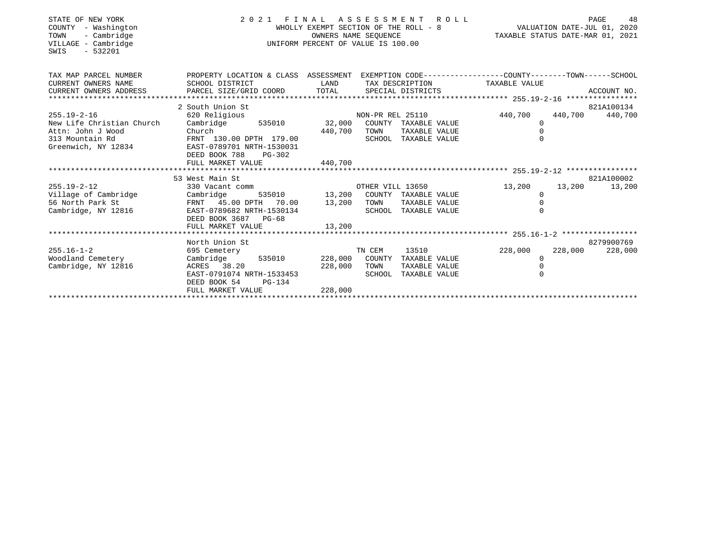| STATE OF NEW YORK<br>COUNTY - Washington<br>- Cambridge<br>TOWN<br>VILLAGE - Cambridge<br>$-532201$<br>SWIS | 2021 FINAL ASSESSMENT ROLL<br>WHOLLY EXEMPT SECTION OF THE ROLL - 8<br>OWNERS NAME SEOUENCE<br>UNIFORM PERCENT OF VALUE IS 100.00 |              |                  |                                       | 48<br>PAGE<br>48 PAGE<br>701, 701 VALUATION DATE-JUL<br>712XABLE STATUS DATE-MAR 01, 2021 |         |                 |  |
|-------------------------------------------------------------------------------------------------------------|-----------------------------------------------------------------------------------------------------------------------------------|--------------|------------------|---------------------------------------|-------------------------------------------------------------------------------------------|---------|-----------------|--|
| TAX MAP PARCEL NUMBER                                                                                       | PROPERTY LOCATION & CLASS ASSESSMENT EXEMPTION CODE---------------COUNTY-------TOWN-----SCHOOL                                    |              |                  |                                       |                                                                                           |         |                 |  |
| CURRENT OWNERS NAME<br>CURRENT OWNERS ADDRESS                                                               | SCHOOL DISTRICT                                                                                                                   |              |                  | LAND TAX DESCRIPTION TAXABLE VALUE    |                                                                                           |         |                 |  |
|                                                                                                             |                                                                                                                                   |              |                  |                                       |                                                                                           |         |                 |  |
|                                                                                                             | 2 South Union St                                                                                                                  |              |                  |                                       |                                                                                           |         | 821A100134      |  |
| $255.19 - 2 - 16$                                                                                           | 620 Religious                                                                                                                     |              |                  | NON-PR REL 25110 440,700              |                                                                                           |         | 440,700 440,700 |  |
| New Life Christian Church                                                                                   | Cambridge 535010 32,000 COUNTY TAXABLE VALUE                                                                                      |              |                  |                                       | $\Omega$                                                                                  |         |                 |  |
| Attn: John J Wood                                                                                           | Church 440,700<br>FRNT 130.00 DPTH 179.00 440,700                                                                                 |              | TOWN             | TAXABLE VALUE                         | $\Omega$                                                                                  |         |                 |  |
| 313 Mountain Rd<br>Greenwich, NY 12834                                                                      | EAST-0789701 NRTH-1530031                                                                                                         |              |                  | SCHOOL TAXABLE VALUE                  | $\Omega$                                                                                  |         |                 |  |
|                                                                                                             | DEED BOOK 788<br>$PG-302$                                                                                                         |              |                  |                                       |                                                                                           |         |                 |  |
|                                                                                                             | FULL MARKET VALUE                                                                                                                 | 440,700      |                  |                                       |                                                                                           |         |                 |  |
|                                                                                                             |                                                                                                                                   |              |                  |                                       |                                                                                           |         |                 |  |
|                                                                                                             | 53 West Main St                                                                                                                   |              |                  |                                       |                                                                                           |         | 821A100002      |  |
| $255.19 - 2 - 12$                                                                                           | 330 Vacant comm                                                                                                                   |              | OTHER VILL 13650 |                                       | 13,200                                                                                    | 13,200  | 13,200          |  |
| Village of Cambridge<br>56 North Park St                                                                    | Cambridge                                                                                                                         |              |                  | 535010 13,200 COUNTY TAXABLE VALUE    | $\Omega$                                                                                  |         |                 |  |
| Cambridge, NY 12816                                                                                         | FRNT 45.00 DPTH 70.00 13,200 TOWN<br>EAST-0789682 NRTH-1530134                                                                    |              |                  | TAXABLE VALUE<br>SCHOOL TAXABLE VALUE | $\Omega$<br>$\Omega$                                                                      |         |                 |  |
|                                                                                                             | DEED BOOK 3687 PG-68                                                                                                              |              |                  |                                       |                                                                                           |         |                 |  |
|                                                                                                             | FULL MARKET VALUE                                                                                                                 | 13,200       |                  |                                       |                                                                                           |         |                 |  |
|                                                                                                             |                                                                                                                                   |              |                  |                                       |                                                                                           |         |                 |  |
|                                                                                                             | North Union St                                                                                                                    |              |                  |                                       |                                                                                           |         | 8279900769      |  |
| $255.16 - 1 - 2$                                                                                            | 695 Cemetery and the control of the control of the control of the control of the control of the control of the                    |              | TN CEM           | 13510 35                              | 228,000                                                                                   | 228,000 | 228,000         |  |
| Woodland Cemetery                                                                                           | Cambridge 535010 228,000 COUNTY TAXABLE VALUE                                                                                     |              |                  |                                       | $\Omega$                                                                                  |         |                 |  |
| Cambridge, NY 12816                                                                                         | ACRES 38.20<br>EAST-0791074 NRTH-1533453                                                                                          | 228,000 TOWN |                  | TAXABLE VALUE                         |                                                                                           |         |                 |  |
|                                                                                                             | DEED BOOK 54<br>$PG-134$                                                                                                          |              |                  | SCHOOL TAXABLE VALUE                  |                                                                                           |         |                 |  |
|                                                                                                             | FULL MARKET VALUE                                                                                                                 | 228,000      |                  |                                       |                                                                                           |         |                 |  |
|                                                                                                             |                                                                                                                                   |              |                  |                                       |                                                                                           |         |                 |  |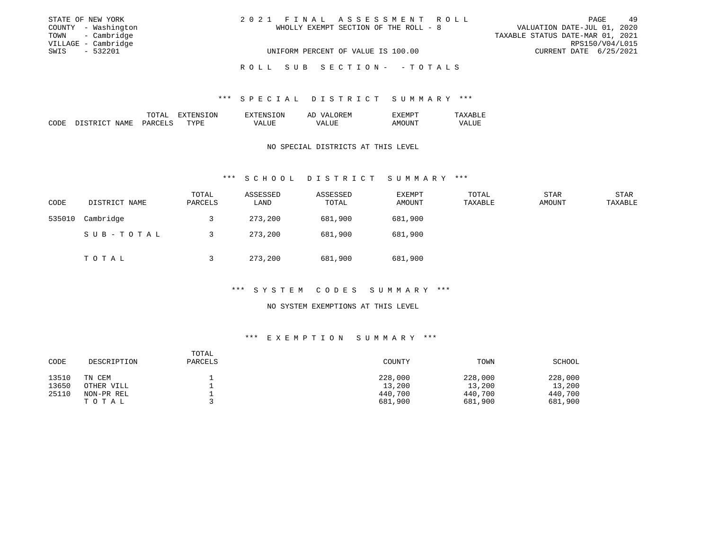|      | STATE OF NEW YORK   | 2021 FINAL ASSESSMENT ROLL            | PAGE                             | 49              |
|------|---------------------|---------------------------------------|----------------------------------|-----------------|
|      | COUNTY - Washington | WHOLLY EXEMPT SECTION OF THE ROLL - 8 | VALUATION DATE-JUL 01, 2020      |                 |
|      | TOWN - Cambridge    |                                       | TAXABLE STATUS DATE-MAR 01, 2021 |                 |
|      | VILLAGE - Cambridge |                                       |                                  | RPS150/V04/L015 |
| SWIS | - 532201            | UNIFORM PERCENT OF VALUE IS 100.00    | CURRENT DATE 6/25/2021           |                 |
|      |                     | ROLL SUB SECTION- - TOTALS            |                                  |                 |

#### \*\*\* S P E C I A L D I S T R I C T S U M M A R Y \*\*\*

|             |            | 1.71                                                                                                                                                                                                                                                                                                                                                                                                 | .ON<br>$H/N \sim$ | '∩N                | AĽ<br>$\sqrt{2}$<br>. r:M              |              |                                   |
|-------------|------------|------------------------------------------------------------------------------------------------------------------------------------------------------------------------------------------------------------------------------------------------------------------------------------------------------------------------------------------------------------------------------------------------------|-------------------|--------------------|----------------------------------------|--------------|-----------------------------------|
| CODE<br>___ | NAMF<br>J. | $\Omega$ $\Omega$ $\overline{E}$ $\overline{E}$ $\overline{E}$ $\overline{E}$ $\overline{E}$ $\overline{E}$ $\overline{E}$ $\overline{E}$ $\overline{E}$ $\overline{E}$ $\overline{E}$ $\overline{E}$ $\overline{E}$ $\overline{E}$ $\overline{E}$ $\overline{E}$ $\overline{E}$ $\overline{E}$ $\overline{E}$ $\overline{E}$ $\overline{E}$ $\overline{E}$ $\overline{E}$ $\overline$<br>ہر.<br>$-$ | <b>TVDL</b>       | $\cdots$<br>______ | <b>TTI</b><br><b>ΛΔ</b><br>.<br>______ | 111<br>$  -$ | <b>TT1</b><br>'7Δ.<br>.<br>______ |

### NO SPECIAL DISTRICTS AT THIS LEVEL

#### \*\*\* S C H O O L D I S T R I C T S U M M A R Y \*\*\*

| CODE   | DISTRICT NAME | TOTAL<br>PARCELS | ASSESSED<br>LAND | ASSESSED<br>TOTAL | <b>EXEMPT</b><br>AMOUNT | TOTAL<br>TAXABLE | <b>STAR</b><br>AMOUNT | STAR<br>TAXABLE |
|--------|---------------|------------------|------------------|-------------------|-------------------------|------------------|-----------------------|-----------------|
| 535010 | Cambridge     |                  | 273,200          | 681,900           | 681,900                 |                  |                       |                 |
|        | SUB-TOTAL     |                  | 273,200          | 681,900           | 681,900                 |                  |                       |                 |
|        | T O T A L     |                  | 273,200          | 681,900           | 681,900                 |                  |                       |                 |

## \*\*\* S Y S T E M C O D E S S U M M A R Y \*\*\*

#### NO SYSTEM EXEMPTIONS AT THIS LEVEL

## \*\*\* E X E M P T I O N S U M M A R Y \*\*\*

| CODE  | DESCRIPTION | TOTAL<br>PARCELS | COUNTY  | TOWN    | SCHOOL  |
|-------|-------------|------------------|---------|---------|---------|
| 13510 | TN CEM      |                  | 228,000 | 228,000 | 228,000 |
| 13650 | OTHER VILL  |                  | 13,200  | 13,200  | 13,200  |
| 25110 | NON-PR REL  |                  | 440,700 | 440,700 | 440,700 |
|       | TOTAL       |                  | 681,900 | 681,900 | 681,900 |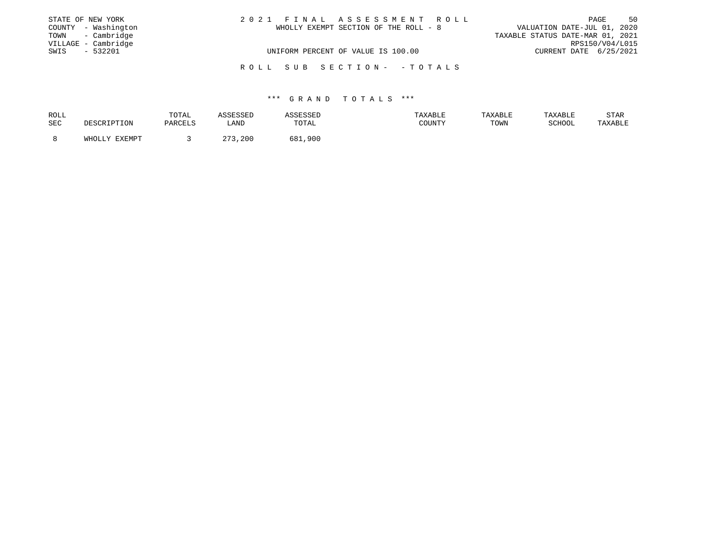| STATE OF NEW YORK |                     | 2021 FINAL ASSESSMENT ROLL            | 50<br>PAGE                       |
|-------------------|---------------------|---------------------------------------|----------------------------------|
|                   | COUNTY - Washington | WHOLLY EXEMPT SECTION OF THE ROLL - 8 | VALUATION DATE-JUL 01, 2020      |
|                   | TOWN - Cambridge    |                                       | TAXABLE STATUS DATE-MAR 01, 2021 |
|                   | VILLAGE - Cambridge |                                       | RPS150/V04/L015                  |
| SWIS              | - 532201            | UNIFORM PERCENT OF VALUE IS 100.00    | CURRENT DATE 6/25/2021           |
|                   |                     |                                       |                                  |
|                   |                     | ROLL SUB SECTION- -TOTALS             |                                  |

| ROLL       |                    | TOTAL   | ASSESSED    | <i><b>ISSESSED</b></i> | TAXABLE | TAXABLE | TAXABLE | STAR    |
|------------|--------------------|---------|-------------|------------------------|---------|---------|---------|---------|
| <b>SEC</b> | DESCRIPTION        | PARCELS | LAND        | TOTAL                  | COUNTY  | TOWN    | SCHOOL  | TAXABLE |
|            |                    |         |             |                        |         |         |         |         |
|            | FYFMDT<br>Y T.TOHW |         | つワつ<br>,200 | 681,<br>,900           |         |         |         |         |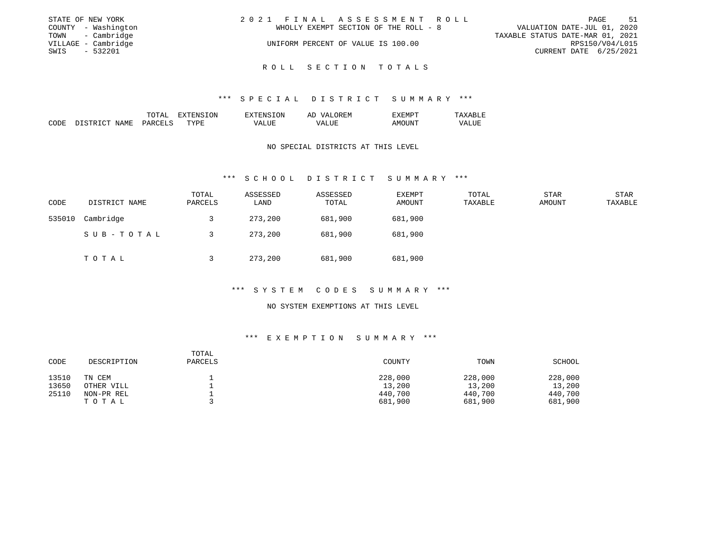|      | STATE OF NEW YORK   | 2021 FINAL ASSESSMENT ROLL |                                       |                                  | PAGE            | -51 |
|------|---------------------|----------------------------|---------------------------------------|----------------------------------|-----------------|-----|
|      | COUNTY - Washington |                            | WHOLLY EXEMPT SECTION OF THE ROLL - 8 | VALUATION DATE-JUL 01, 2020      |                 |     |
|      | TOWN - Cambridge    |                            |                                       | TAXABLE STATUS DATE-MAR 01, 2021 |                 |     |
|      | VILLAGE - Cambridge |                            | UNIFORM PERCENT OF VALUE IS 100.00    |                                  | RPS150/V04/L015 |     |
| SWIS | $-532201$           |                            |                                       | CURRENT DATE 6/25/2021           |                 |     |
|      |                     |                            |                                       |                                  |                 |     |

R O L L S E C T I O N T O T A L S

#### \*\*\* S P E C I A L D I S T R I C T S U M M A R Y \*\*\*

|             |                                  | TOTAL                  | .ON. | TON.<br>$T^{\vee}$ TENS.  | <b>OREM</b><br>АC<br>$\sqrt{ }$  | د جری بی<br><b>L'M</b><br>.<br>P+∧ I<br>I'IE J |                                            |
|-------------|----------------------------------|------------------------|------|---------------------------|----------------------------------|------------------------------------------------|--------------------------------------------|
| CODE<br>___ | <b>NAMF</b><br>. STR TOT<br>سد د | ، جم ص<br>--<br>$\sim$ | TYPE | $- - - -$<br>vд<br>______ | - ---<br>. L H<br>د ،<br>_______ | ואב<br>$  -$                                   | . <del>. .</del> .<br>`7∆.<br>பப<br>______ |

### NO SPECIAL DISTRICTS AT THIS LEVEL

#### \*\*\* S C H O O L D I S T R I C T S U M M A R Y \*\*\*

| CODE   | DISTRICT NAME | TOTAL<br>PARCELS | ASSESSED<br>LAND | ASSESSED<br>TOTAL | <b>EXEMPT</b><br>AMOUNT | TOTAL<br>TAXABLE | <b>STAR</b><br>AMOUNT | STAR<br>TAXABLE |
|--------|---------------|------------------|------------------|-------------------|-------------------------|------------------|-----------------------|-----------------|
| 535010 | Cambridge     |                  | 273,200          | 681,900           | 681,900                 |                  |                       |                 |
|        | SUB-TOTAL     |                  | 273,200          | 681,900           | 681,900                 |                  |                       |                 |
|        | T O T A L     |                  | 273,200          | 681,900           | 681,900                 |                  |                       |                 |

## \*\*\* S Y S T E M C O D E S S U M M A R Y \*\*\*

#### NO SYSTEM EXEMPTIONS AT THIS LEVEL

## \*\*\* E X E M P T I O N S U M M A R Y \*\*\*

| CODE  | DESCRIPTION | TOTAL<br>PARCELS | COUNTY  | TOWN    | SCHOOL  |
|-------|-------------|------------------|---------|---------|---------|
| 13510 | TN CEM      |                  | 228,000 | 228,000 | 228,000 |
| 13650 | OTHER VILL  |                  | 13,200  | 13,200  | 13,200  |
| 25110 | NON-PR REL  |                  | 440,700 | 440,700 | 440,700 |
|       | TOTAL       |                  | 681,900 | 681,900 | 681,900 |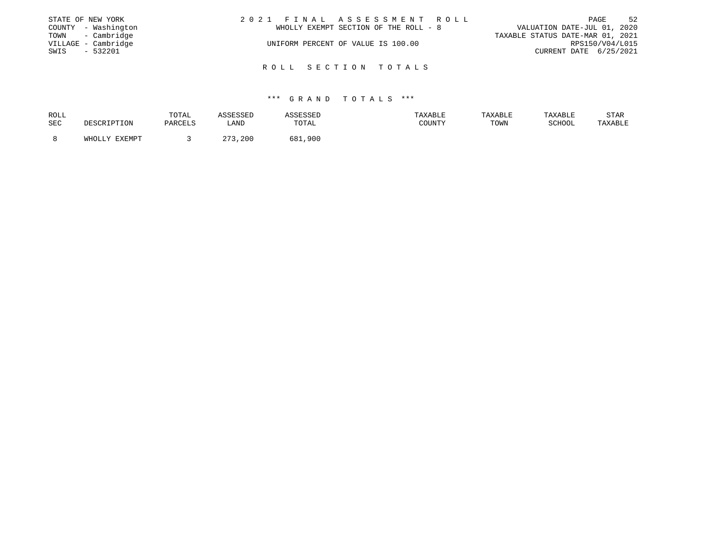|      | STATE OF NEW YORK   | 2021 FINAL ASSESSMENT ROLL            | 52<br>PAGE                       |
|------|---------------------|---------------------------------------|----------------------------------|
|      | COUNTY - Washington | WHOLLY EXEMPT SECTION OF THE ROLL - 8 | VALUATION DATE-JUL 01, 2020      |
|      | TOWN - Cambridge    |                                       | TAXABLE STATUS DATE-MAR 01, 2021 |
|      | VILLAGE - Cambridge | UNIFORM PERCENT OF VALUE IS 100.00    | RPS150/V04/L015                  |
| SWIS | $-532201$           |                                       | CURRENT DATE 6/25/2021           |
|      |                     |                                       |                                  |
|      |                     | ROLL SECTION TOTALS                   |                                  |

| ROLL |               | TOTAL   | ASSESSED | ASSESSED     | TAXABLE | TAXABLE | TAXABLE | STAR    |
|------|---------------|---------|----------|--------------|---------|---------|---------|---------|
| SEC  | DESCRIPTION   | PARCELS | LAND     | TOTAL        | COUNTY  | TOWN    | SCHOOL  | TAXABLE |
|      |               |         |          |              |         |         |         |         |
|      | WHOLLY EXEMPT |         | 273,200  | 681.<br>,900 |         |         |         |         |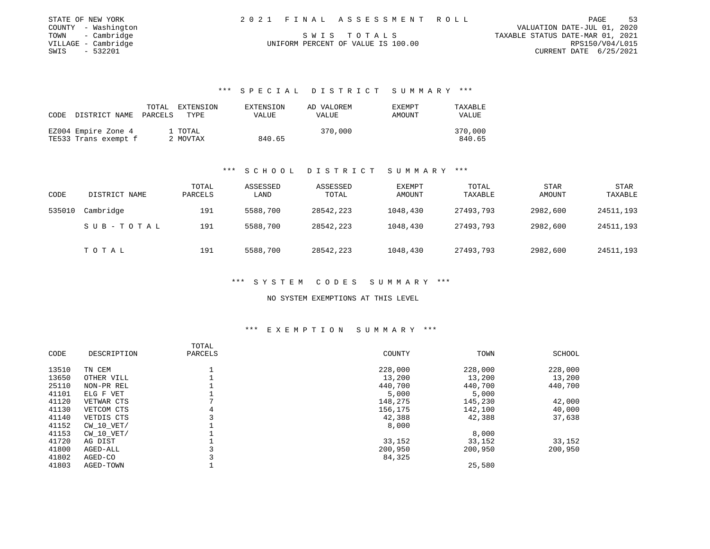| STATE OF NEW YORK   | 2021 FINAL ASSESSMENT ROLL         | 53<br>PAGE                       |
|---------------------|------------------------------------|----------------------------------|
| COUNTY - Washington |                                    | VALUATION DATE-JUL 01, 2020      |
| TOWN - Cambridge    | SWIS TOTALS                        | TAXABLE STATUS DATE-MAR 01, 2021 |
| VILLAGE - Cambridge | UNIFORM PERCENT OF VALUE IS 100.00 | RPS150/V04/L015                  |
| SWIS<br>$-532201$   |                                    | CURRENT DATE 6/25/2021           |

## \*\*\* S P E C I A L D I S T R I C T S U M M A R Y \*\*\*

|      |                       | TOTAL | EXTENSION | EXTENSION | AD VALOREM | EXEMPT | TAXABLE      |
|------|-----------------------|-------|-----------|-----------|------------|--------|--------------|
| CODE | DISTRICT NAME PARCELS |       | TYPE      | VALUE     | VALUE      | AMOUNT | <b>VALUE</b> |
|      |                       |       |           |           |            |        |              |
|      | EZ004 Empire Zone 4   |       | 1 TOTAL   |           | 370,000    |        | 370,000      |
|      | TE533 Trans exempt f  |       | 2 MOVTAX  | 840.65    |            |        | 840.65       |

#### \*\*\* S C H O O L D I S T R I C T S U M M A R Y \*\*\*

| CODE   | DISTRICT NAME | TOTAL<br>PARCELS | ASSESSED<br>LAND | ASSESSED<br>TOTAL | <b>EXEMPT</b><br>AMOUNT | TOTAL<br>TAXABLE | <b>STAR</b><br><b>AMOUNT</b> | <b>STAR</b><br>TAXABLE |
|--------|---------------|------------------|------------------|-------------------|-------------------------|------------------|------------------------------|------------------------|
| 535010 | Cambridge     | 191              | 5588,700         | 28542,223         | 1048,430                | 27493,793        | 2982,600                     | 24511,193              |
|        | SUB-TOTAL     | 191              | 5588,700         | 28542,223         | 1048,430                | 27493,793        | 2982,600                     | 24511,193              |
|        | TOTAL         | 191              | 5588,700         | 28542,223         | 1048,430                | 27493,793        | 2982,600                     | 24511,193              |

#### \*\*\* S Y S T E M C O D E S S U M M A R Y \*\*\*

NO SYSTEM EXEMPTIONS AT THIS LEVEL

#### \*\*\* E X E M P T I O N S U M M A R Y \*\*\*

| CODE  | DESCRIPTION    | TOTAL<br>PARCELS | COUNTY  | TOWN    | SCHOOL  |
|-------|----------------|------------------|---------|---------|---------|
| 13510 | TN CEM         |                  | 228,000 | 228,000 | 228,000 |
| 13650 | OTHER VILL     |                  | 13,200  | 13,200  | 13,200  |
| 25110 | NON-PR REL     |                  | 440,700 | 440,700 | 440,700 |
| 41101 | ELG F VET      |                  | 5,000   | 5,000   |         |
| 41120 | VETWAR CTS     |                  | 148,275 | 145,230 | 42,000  |
| 41130 | VETCOM CTS     | 4                | 156,175 | 142,100 | 40,000  |
| 41140 | VETDIS CTS     |                  | 42,388  | 42,388  | 37,638  |
| 41152 | $CW$ 10 $VET/$ |                  | 8,000   |         |         |
| 41153 | $CW$ 10 $VET/$ |                  |         | 8,000   |         |
| 41720 | AG DIST        |                  | 33,152  | 33,152  | 33,152  |
| 41800 | AGED-ALL       |                  | 200,950 | 200,950 | 200,950 |
| 41802 | AGED-CO        |                  | 84,325  |         |         |
| 41803 | AGED-TOWN      |                  |         | 25,580  |         |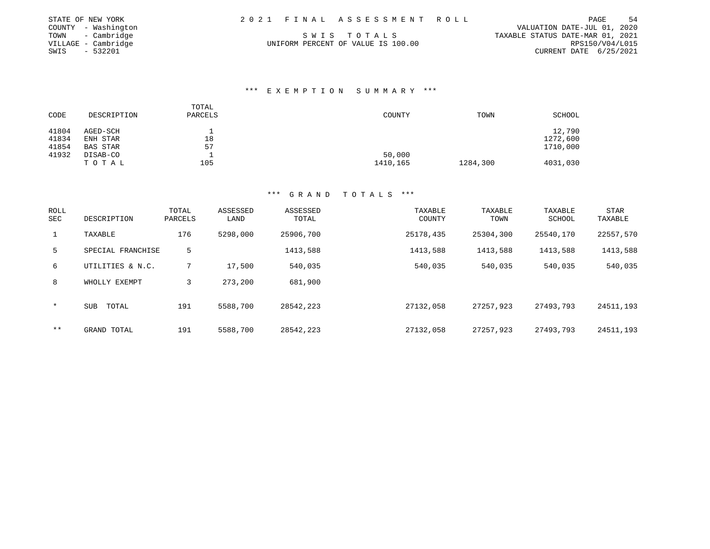| STATE OF NEW YORK   | 2021 FINAL ASSESSMENT ROLL         |                                  | PAGE                   | 54 |
|---------------------|------------------------------------|----------------------------------|------------------------|----|
| COUNTY - Washington |                                    | VALUATION DATE-JUL 01, 2020      |                        |    |
| TOWN - Cambridge    | SWIS TOTALS                        | TAXABLE STATUS DATE-MAR 01, 2021 |                        |    |
| VILLAGE – Cambridge | UNIFORM PERCENT OF VALUE IS 100.00 |                                  | RPS150/V04/L015        |    |
| SWIS<br>- 532201    |                                    |                                  | CURRENT DATE 6/25/2021 |    |

## \*\*\* E X E M P T I O N S U M M A R Y \*\*\*

| CODE  | DESCRIPTION     | TOTAL<br>PARCELS | COUNTY   | TOWN     | SCHOOL   |
|-------|-----------------|------------------|----------|----------|----------|
| 41804 | AGED-SCH        |                  |          |          | 12,790   |
| 41834 | ENH STAR        | 18               |          |          | 1272,600 |
| 41854 | <b>BAS STAR</b> | 57               |          |          | 1710,000 |
| 41932 | DISAB-CO        |                  | 50,000   |          |          |
|       | TOTAL           | 105              | 1410,165 | 1284,300 | 4031,030 |

| <b>ROLL</b><br>SEC | DESCRIPTION       | TOTAL<br>PARCELS | ASSESSED<br>LAND | ASSESSED<br>TOTAL | TAXABLE<br>COUNTY | TAXABLE<br>TOWN | TAXABLE<br>SCHOOL | STAR<br>TAXABLE |
|--------------------|-------------------|------------------|------------------|-------------------|-------------------|-----------------|-------------------|-----------------|
| $\mathbf{1}$       | TAXABLE           | 176              | 5298,000         | 25906,700         | 25178,435         | 25304,300       | 25540,170         | 22557,570       |
| 5                  | SPECIAL FRANCHISE | 5                |                  | 1413,588          | 1413,588          | 1413,588        | 1413,588          | 1413,588        |
| 6                  | UTILITIES & N.C.  |                  | 17,500           | 540,035           | 540,035           | 540,035         | 540,035           | 540,035         |
| 8                  | WHOLLY EXEMPT     | 3                | 273,200          | 681,900           |                   |                 |                   |                 |
| $\star$            | TOTAL<br>SUB      | 191              | 5588,700         | 28542,223         | 27132,058         | 27257,923       | 27493,793         | 24511,193       |
| $* *$              | GRAND TOTAL       | 191              | 5588,700         | 28542,223         | 27132,058         | 27257,923       | 27493,793         | 24511,193       |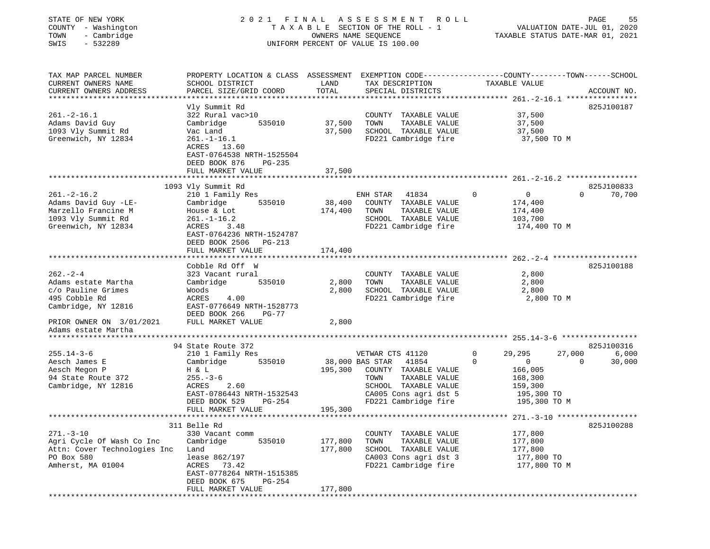| STATE OF NEW YORK<br>COUNTY - Washington<br>- Cambridge<br>TOWN<br>SWIS<br>$-532289$ | 2021 FINAL                                |                                        | A S S E S S M E N T<br>ROLL<br>TAXABLE SECTION OF THE ROLL - 1<br>OWNERS NAME SEQUENCE<br>UNIFORM PERCENT OF VALUE IS 100.00 | PAGE<br>55<br>VALUATION DATE-JUL 01, 2020<br>TAXABLE STATUS DATE-MAR 01, 2021                   |
|--------------------------------------------------------------------------------------|-------------------------------------------|----------------------------------------|------------------------------------------------------------------------------------------------------------------------------|-------------------------------------------------------------------------------------------------|
| TAX MAP PARCEL NUMBER                                                                |                                           |                                        |                                                                                                                              | PROPERTY LOCATION & CLASS ASSESSMENT EXEMPTION CODE---------------COUNTY-------TOWN------SCHOOL |
| CURRENT OWNERS NAME<br>CURRENT OWNERS ADDRESS                                        | SCHOOL DISTRICT<br>PARCEL SIZE/GRID COORD | LAND<br>TOTAL                          | TAX DESCRIPTION<br>SPECIAL DISTRICTS                                                                                         | TAXABLE VALUE<br>ACCOUNT NO.                                                                    |
|                                                                                      |                                           |                                        |                                                                                                                              |                                                                                                 |
|                                                                                      | Vly Summit Rd                             |                                        |                                                                                                                              | 825J100187                                                                                      |
| $261. - 2 - 16.1$                                                                    | 322 Rural vac>10                          |                                        | COUNTY TAXABLE VALUE                                                                                                         | 37,500                                                                                          |
| Adams David Guy                                                                      | Cambridge<br>535010                       | 37,500                                 | TOWN<br>TAXABLE VALUE                                                                                                        | 37,500                                                                                          |
| 1093 Vly Summit Rd                                                                   | Vac Land                                  | 37,500                                 | SCHOOL TAXABLE VALUE                                                                                                         | 37,500                                                                                          |
| Greenwich, NY 12834                                                                  | $261. - 1 - 16.1$                         |                                        | FD221 Cambridge fire                                                                                                         | 37,500 TO M                                                                                     |
|                                                                                      | ACRES 13.60                               |                                        |                                                                                                                              |                                                                                                 |
|                                                                                      | EAST-0764538 NRTH-1525504                 |                                        |                                                                                                                              |                                                                                                 |
|                                                                                      | DEED BOOK 876<br>PG-235                   |                                        |                                                                                                                              |                                                                                                 |
|                                                                                      | FULL MARKET VALUE                         | 37,500                                 |                                                                                                                              |                                                                                                 |
|                                                                                      | 1093 Vly Summit Rd                        |                                        |                                                                                                                              | 825J100833                                                                                      |
| $261. - 2 - 16.2$                                                                    | 210 1 Family Res                          |                                        | ENH STAR<br>41834                                                                                                            | $\Omega$<br>$\mathbf{0}$<br>$\Omega$<br>70,700                                                  |
| Adams David Guy -LE-                                                                 | Cambridge<br>535010                       | 38,400                                 | COUNTY TAXABLE VALUE                                                                                                         | 174,400                                                                                         |
| Marzello Francine M                                                                  | House & Lot                               | 174,400                                | TOWN<br>TAXABLE VALUE                                                                                                        | 174,400                                                                                         |
| 1093 Vly Summit Rd                                                                   | $261. - 1 - 16.2$                         |                                        | SCHOOL TAXABLE VALUE                                                                                                         | 103,700                                                                                         |
| Greenwich, NY 12834                                                                  | ACRES<br>3.48                             |                                        | FD221 Cambridge fire                                                                                                         | 174,400 TO M                                                                                    |
|                                                                                      | EAST-0764236 NRTH-1524787                 |                                        |                                                                                                                              |                                                                                                 |
|                                                                                      | DEED BOOK 2506<br>PG-213                  |                                        |                                                                                                                              |                                                                                                 |
|                                                                                      | FULL MARKET VALUE                         | 174,400<br>* * * * * * * * * * * * * * |                                                                                                                              |                                                                                                 |
|                                                                                      | Cobble Rd Off W                           |                                        |                                                                                                                              | 825J100188                                                                                      |
| $262 - 2 - 4$                                                                        | 323 Vacant rural                          |                                        | COUNTY TAXABLE VALUE                                                                                                         | 2,800                                                                                           |
| Adams estate Martha                                                                  | Cambridge<br>535010                       | 2,800                                  | TOWN<br>TAXABLE VALUE                                                                                                        | 2,800                                                                                           |
| c/o Pauline Grimes                                                                   | Woods                                     | 2,800                                  | SCHOOL TAXABLE VALUE                                                                                                         | 2,800                                                                                           |
| 495 Cobble Rd                                                                        | ACRES<br>4.00                             |                                        | FD221 Cambridge fire                                                                                                         | 2,800 TO M                                                                                      |
| Cambridge, NY 12816                                                                  | EAST-0776649 NRTH-1528773                 |                                        |                                                                                                                              |                                                                                                 |
|                                                                                      | DEED BOOK 266<br><b>PG-77</b>             |                                        |                                                                                                                              |                                                                                                 |
| PRIOR OWNER ON 3/01/2021                                                             | FULL MARKET VALUE                         | 2,800                                  |                                                                                                                              |                                                                                                 |
| Adams estate Martha                                                                  |                                           |                                        |                                                                                                                              |                                                                                                 |
| ********************                                                                 |                                           |                                        |                                                                                                                              |                                                                                                 |
| $255.14 - 3 - 6$                                                                     | 94 State Route 372<br>210 1 Family Res    |                                        | VETWAR CTS 41120                                                                                                             | 825J100316<br>$\mathbf 0$<br>6,000<br>29,295<br>27,000                                          |
| Aesch James E                                                                        | Cambridge<br>535010                       |                                        | 38,000 BAS STAR<br>41854                                                                                                     | $\Omega$<br>30,000<br>$\mathbf{0}$<br>$\Omega$                                                  |
| Aesch Megon P                                                                        | H & L                                     | 195,300                                | COUNTY TAXABLE VALUE                                                                                                         | 166,005                                                                                         |
| 94 State Route 372                                                                   | $255. - 3 - 6$                            |                                        | TOWN<br>TAXABLE VALUE                                                                                                        | 168,300                                                                                         |
| Cambridge, NY 12816                                                                  | ACRES<br>2.60                             |                                        | SCHOOL TAXABLE VALUE                                                                                                         | 159,300                                                                                         |
|                                                                                      | EAST-0786443 NRTH-1532543                 |                                        | CA005 Cons agri dst 5                                                                                                        | 195,300 TO                                                                                      |
|                                                                                      | DEED BOOK 529<br>PG-254                   |                                        | FD221 Cambridge fire                                                                                                         | 195,300 TO M                                                                                    |
|                                                                                      | FULL MARKET VALUE                         | 195,300                                |                                                                                                                              |                                                                                                 |
| ************************                                                             |                                           |                                        |                                                                                                                              | ***** $271 - 3 - 10$ *****************                                                          |
|                                                                                      | 311 Belle Rd                              |                                        |                                                                                                                              | 825J100288                                                                                      |
| $271. - 3 - 10$                                                                      | 330 Vacant comm                           |                                        | COUNTY TAXABLE VALUE                                                                                                         | 177,800                                                                                         |
| Agri Cycle Of Wash Co Inc<br>Attn: Cover Technologies Inc                            | Cambridge<br>535010                       | 177,800<br>177,800                     | TOWN<br>TAXABLE VALUE<br>SCHOOL TAXABLE VALUE                                                                                | 177,800                                                                                         |
| PO Box 580                                                                           | Land<br>lease 862/197                     |                                        | CA003 Cons agri dst 3                                                                                                        | 177,800<br>177,800 TO                                                                           |
| Amherst, MA 01004                                                                    | ACRES<br>73.42                            |                                        | FD221 Cambridge fire                                                                                                         | 177,800 TO M                                                                                    |
|                                                                                      | EAST-0778264 NRTH-1515385                 |                                        |                                                                                                                              |                                                                                                 |
|                                                                                      | DEED BOOK 675<br>PG-254                   |                                        |                                                                                                                              |                                                                                                 |
|                                                                                      | FULL MARKET VALUE                         | 177,800                                |                                                                                                                              |                                                                                                 |
|                                                                                      |                                           |                                        |                                                                                                                              |                                                                                                 |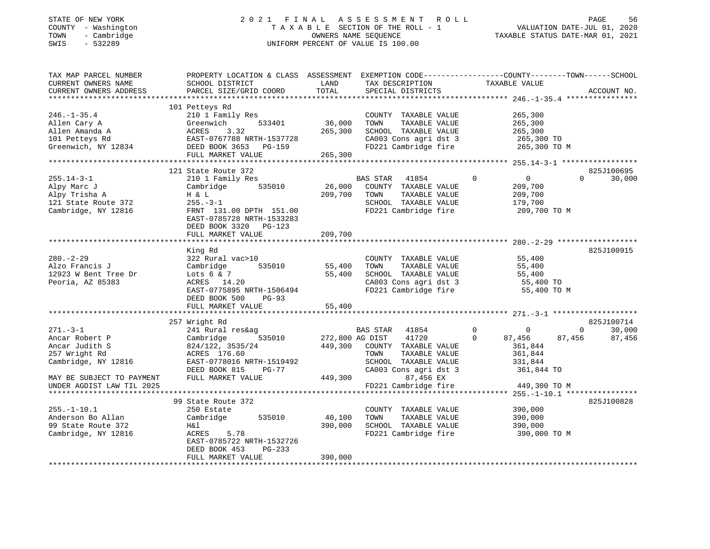# STATE OF NEW YORK 2 0 2 1 F I N A L A S S E S S M E N T R O L L PAGE 56COUNTY - Washington T A X A B L E SECTION OF THE ROLL - 1<br>
T A X A B L E SECTION OF THE ROLL - 1<br>
TOWN - Cambridge DWNERS NAME SEQUENCE<br>
SWIS - 532289 UNIFORM PERCENT OF VALUE IS 100.00 SWIS - 532289 UNIFORM PERCENT OF VALUE IS 100.00

VALUATION DATE-JUL 01, 2020

| TAX MAP PARCEL NUMBER<br>CURRENT OWNERS NAME<br>CURRENT OWNERS ADDRESS                                                 | PROPERTY LOCATION & CLASS ASSESSMENT<br>SCHOOL DISTRICT<br>PARCEL SIZE/GRID COORD                                                                               | LAND<br>TOTAL                         | TAX DESCRIPTION<br>SPECIAL DISTRICTS                                                                                                      | EXEMPTION CODE-----------------COUNTY-------TOWN------SCHOOL<br>TAXABLE VALUE                                   | ACCOUNT NO.      |
|------------------------------------------------------------------------------------------------------------------------|-----------------------------------------------------------------------------------------------------------------------------------------------------------------|---------------------------------------|-------------------------------------------------------------------------------------------------------------------------------------------|-----------------------------------------------------------------------------------------------------------------|------------------|
| $246. - 1 - 35.4$<br>Allen Cary A<br>Allen Amanda A<br>101 Petteys Rd<br>Greenwich, NY 12834                           | 101 Petteys Rd<br>210 1 Family Res<br>533401<br>Greenwich<br>3.32<br>ACRES<br>EAST-0767788 NRTH-1537728<br>DEED BOOK 3653<br>PG-159<br>FULL MARKET VALUE        | 36,000<br>265,300<br>265,300          | COUNTY TAXABLE VALUE<br>TOWN<br>TAXABLE VALUE<br>SCHOOL TAXABLE VALUE<br>CA003 Cons agri dst 3<br>FD221 Cambridge fire                    | 265,300<br>265,300<br>265,300<br>265,300 TO<br>265,300 TO M                                                     |                  |
|                                                                                                                        | 121 State Route 372                                                                                                                                             |                                       |                                                                                                                                           |                                                                                                                 | 825J100695       |
| $255.14 - 3 - 1$<br>Alpy Marc J<br>Alpy Trisha A<br>121 State Route 372<br>Cambridge, NY 12816                         | 210 1 Family Res<br>535010<br>Cambridge<br>H & L<br>$255. - 3 - 1$<br>FRNT 131.00 DPTH 151.00<br>EAST-0785728 NRTH-1533283<br>DEED BOOK 3320<br>$PG-123$        | 26,000<br>209,700                     | <b>BAS STAR</b><br>41854<br>COUNTY TAXABLE VALUE<br>TOWN<br>TAXABLE VALUE<br>SCHOOL TAXABLE VALUE<br>FD221 Cambridge fire                 | $\mathbf 0$<br>$\overline{0}$<br>$\Omega$<br>209,700<br>209,700<br>179,700<br>209,700 TO M                      | 30,000           |
|                                                                                                                        | FULL MARKET VALUE                                                                                                                                               | 209,700                               |                                                                                                                                           |                                                                                                                 |                  |
| $280. - 2 - 29$<br>Alzo Francis J<br>12923 W Bent Tree Dr<br>Peoria, AZ 85383                                          | King Rd<br>322 Rural vac>10<br>535010<br>Cambridge<br>Lots $6 & 7$<br>ACRES 14.20<br>EAST-0775895 NRTH-1506494<br>DEED BOOK 500<br>$PG-93$<br>FULL MARKET VALUE | 55,400<br>55,400<br>55,400            | COUNTY TAXABLE VALUE<br>TAXABLE VALUE<br>TOWN<br>SCHOOL TAXABLE VALUE<br>CA003 Cons agri dst 3<br>FD221 Cambridge fire                    | 55,400<br>55,400<br>55,400<br>55,400 TO<br>55,400 TO M                                                          | 825J100915       |
|                                                                                                                        | 257 Wright Rd                                                                                                                                                   |                                       |                                                                                                                                           |                                                                                                                 | 825J100714       |
| $271 - 3 - 1$<br>Ancar Robert P<br>Ancar Judith S<br>257 Wright Rd<br>Cambridge, NY 12816<br>MAY BE SUBJECT TO PAYMENT | 241 Rural res&ag<br>Cambridge<br>535010<br>824/122, 3535/24<br>ACRES 176.60<br>EAST-0778016 NRTH-1519492<br>DEED BOOK 815<br>$PG-77$<br>FULL MARKET VALUE       | 272,800 AG DIST<br>449,300<br>449,300 | BAS STAR<br>41854<br>41720<br>COUNTY TAXABLE VALUE<br>TOWN<br>TAXABLE VALUE<br>SCHOOL TAXABLE VALUE<br>CA003 Cons agri dst 3<br>87,456 EX | 0<br>$\mathbf 0$<br>$\mathbf{0}$<br>$\Omega$<br>87,456<br>87,456<br>361,844<br>361,844<br>331,844<br>361,844 TO | 30,000<br>87,456 |
| UNDER AGDIST LAW TIL 2025                                                                                              |                                                                                                                                                                 |                                       | FD221 Cambridge fire                                                                                                                      | 449,300 TO M                                                                                                    |                  |
|                                                                                                                        |                                                                                                                                                                 |                                       |                                                                                                                                           |                                                                                                                 |                  |
| $255. - 1 - 10.1$<br>Anderson Bo Allan<br>99 State Route 372<br>Cambridge, NY 12816                                    | 99 State Route 372<br>250 Estate<br>Cambridge<br>535010<br>Η&l<br>5.78<br>ACRES<br>EAST-0785722 NRTH-1532726<br>DEED BOOK 453<br>$PG-233$<br>FULL MARKET VALUE  | 40,100<br>390,000<br>390,000          | COUNTY TAXABLE VALUE<br>TAXABLE VALUE<br>TOWN<br>SCHOOL TAXABLE VALUE<br>FD221 Cambridge fire                                             | 390,000<br>390,000<br>390,000<br>390,000 TO M                                                                   | 825J100828       |
|                                                                                                                        |                                                                                                                                                                 |                                       |                                                                                                                                           |                                                                                                                 |                  |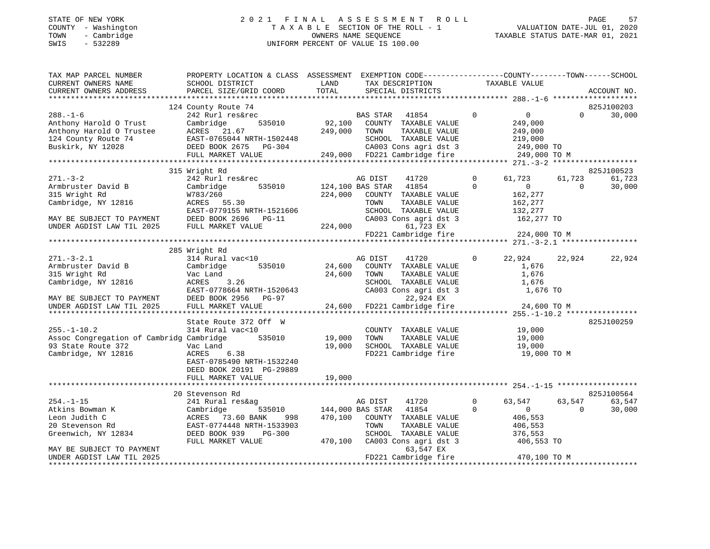# STATE OF NEW YORK 2 0 2 1 F I N A L A S S E S S M E N T R O L L PAGE 57COUNTY - Washington  $\begin{array}{ccc} 1 & 0 & 0 & 0 \\ -1 & 0 & 0 & 0 \\ 0 & 0 & 0 & 0 \\ 0 & 0 & 0 & 0 \\ 0 & 0 & 0 & 0 \\ 0 & 0 & 0 & 0 \\ 0 & 0 & 0 & 0 \\ 0 & 0 & 0 & 0 \\ 0 & 0 & 0 & 0 \\ 0 & 0 & 0 & 0 \\ 0 & 0 & 0 & 0 \\ 0 & 0 & 0 & 0 \\ 0 & 0 & 0 & 0 \\ 0 & 0 & 0 & 0 \\ 0 & 0 & 0 & 0 \\ 0 & 0 & 0 & 0 \\ 0$ SWIS - 532289 UNIFORM PERCENT OF VALUE IS 100.00

1.01, 1992<br>VALUATION DATE-JUL 01, 2020

| TAX MAP PARCEL NUMBER<br>CURRENT OWNERS NAME<br>CURRENT OWNERS ADDRESS                                                                  | PROPERTY LOCATION & CLASS ASSESSMENT EXEMPTION CODE----------------COUNTY-------TOWN------SCHOOL<br>SCHOOL DISTRICT<br>PARCEL SIZE/GRID COORD                             | LAND<br>TOTAL              | TAX DESCRIPTION<br>SPECIAL DISTRICTS                                                                                                                                                 |                            | TAXABLE VALUE                                                                         |                    | ACCOUNT NO.                    |
|-----------------------------------------------------------------------------------------------------------------------------------------|---------------------------------------------------------------------------------------------------------------------------------------------------------------------------|----------------------------|--------------------------------------------------------------------------------------------------------------------------------------------------------------------------------------|----------------------------|---------------------------------------------------------------------------------------|--------------------|--------------------------------|
|                                                                                                                                         |                                                                                                                                                                           |                            |                                                                                                                                                                                      |                            |                                                                                       |                    |                                |
| $288. - 1 - 6$<br>Anthony Harold O Trust<br>Anthony Harold O Trustee<br>124 County Route 74<br>Buskirk, NY 12028                        | 124 County Route 74<br>242 Rurl res&rec<br>535010<br>Cambridge<br>ACRES 21.67<br>EAST-0765044 NRTH-1502448<br>DEED BOOK 2675 PG-304<br>FULL MARKET VALUE                  | 249,000                    | BAS STAR<br>41854<br>92,100 COUNTY TAXABLE VALUE<br>TOWN<br>TAXABLE VALUE<br>SCHOOL TAXABLE VALUE<br>CA003 Cons agri dst 3<br>249,000 FD221 Cambridge fire                           | $\Omega$                   | $\overline{0}$<br>249,000<br>249,000<br>219,000<br>249,000 TO<br>249,000 TO M         | $\Omega$           | 825J100203<br>30,000           |
|                                                                                                                                         |                                                                                                                                                                           |                            |                                                                                                                                                                                      |                            |                                                                                       |                    |                                |
| $271 - 3 - 2$<br>Armbruster David B<br>315 Wright Rd<br>Cambridge, NY 12816<br>MAY BE SUBJECT TO PAYMENT<br>UNDER AGDIST LAW TIL 2025   | 315 Wright Rd<br>242 Rurl res&rec<br>535010<br>Cambridge<br>W783/260<br>ACRES 55.30<br>EAST-0779155 NRTH-1521606<br>DEED BOOK 2696 PG-11<br>FULL MARKET VALUE             | 224,000<br>224,000         | 41720<br>AG DIST<br>124,100 BAS STAR<br>41854<br>COUNTY TAXABLE VALUE<br>TAXABLE VALUE<br>TOWN<br>SCHOOL TAXABLE VALUE<br>CA003 Cons agri dst 3<br>61,723 EX<br>FD221 Cambridge fire | $\overline{0}$<br>$\Omega$ | 61,723<br>$\mathbf{0}$<br>162,277<br>162,277<br>132,277<br>162,277 TO<br>224,000 TO M | 61,723<br>$\Omega$ | 825J100523<br>61,723<br>30,000 |
|                                                                                                                                         | 285 Wright Rd                                                                                                                                                             |                            |                                                                                                                                                                                      |                            |                                                                                       |                    |                                |
| $271 - 3 - 2.1$<br>Armbruster David B<br>315 Wright Rd<br>Cambridge, NY 12816<br>MAY BE SUBJECT TO PAYMENT<br>UNDER AGDIST LAW TIL 2025 | 314 Rural vac<10<br>535010<br>Cambridge<br>Vac Land<br>3.26<br>ACRES<br>EAST-0778664 NRTH-1520643<br>DEED BOOK 2956 PG-97<br>FULL MARKET VALUE                            | 24,600<br>24,600           | AG DIST<br>41720<br>COUNTY TAXABLE VALUE<br>TOWN<br>TAXABLE VALUE<br>SCHOOL TAXABLE VALUE<br>CA003 Cons agri dst 3<br>22,924 EX<br>24,600 FD221 Cambridge fire                       | $\mathbf{0}$               | 22,924<br>1,676<br>1,676<br>1,676<br>1,676 TO<br>24,600 TO M                          | 22,924             | 22,924                         |
|                                                                                                                                         |                                                                                                                                                                           |                            |                                                                                                                                                                                      |                            |                                                                                       |                    |                                |
| $255. - 1 - 10.2$<br>Assoc Congregation of Cambridg Cambridge<br>93 State Route 372<br>Cambridge, NY 12816                              | State Route 372 Off W<br>314 Rural vac<10<br>535010<br>Vac Land<br>ACRES<br>6.38<br>EAST-0785490 NRTH-1532240<br>DEED BOOK 20191 PG-29889<br>FULL MARKET VALUE            | 19,000<br>19,000<br>19,000 | COUNTY TAXABLE VALUE<br>TOWN<br>TAXABLE VALUE<br>SCHOOL TAXABLE VALUE<br>FD221 Cambridge fire                                                                                        |                            | 19,000<br>19,000<br>19,000<br>19,000 TO M                                             |                    | 825J100259                     |
|                                                                                                                                         |                                                                                                                                                                           |                            |                                                                                                                                                                                      |                            |                                                                                       |                    |                                |
| $254. - 1 - 15$<br>Atkins Bowman K<br>Leon Judith C<br>20 Stevenson Rd<br>Greenwich, NY 12834                                           | 20 Stevenson Rd<br>241 Rural res&ag<br>Cambridge<br>535010<br>ACRES 73.60 BANK<br>998<br>EAST-0774448 NRTH-1533903<br>DEED BOOK 939<br><b>PG-300</b><br>FULL MARKET VALUE | 470,100<br>470,100         | AG DIST<br>41720<br>144,000 BAS STAR<br>41854<br>COUNTY TAXABLE VALUE<br>TOWN<br>TAXABLE VALUE<br>SCHOOL TAXABLE VALUE<br>CA003 Cons agri dst 3                                      | $\mathbf 0$<br>$\Omega$    | 63,547<br>$\overline{0}$<br>406,553<br>406,553<br>376,553<br>406,553 TO               | 63,547<br>$\Omega$ | 825J100564<br>63,547<br>30,000 |
| MAY BE SUBJECT TO PAYMENT<br>UNDER AGDIST LAW TIL 2025                                                                                  |                                                                                                                                                                           |                            | 63,547 EX<br>FD221 Cambridge fire                                                                                                                                                    |                            | 470,100 TO M                                                                          |                    |                                |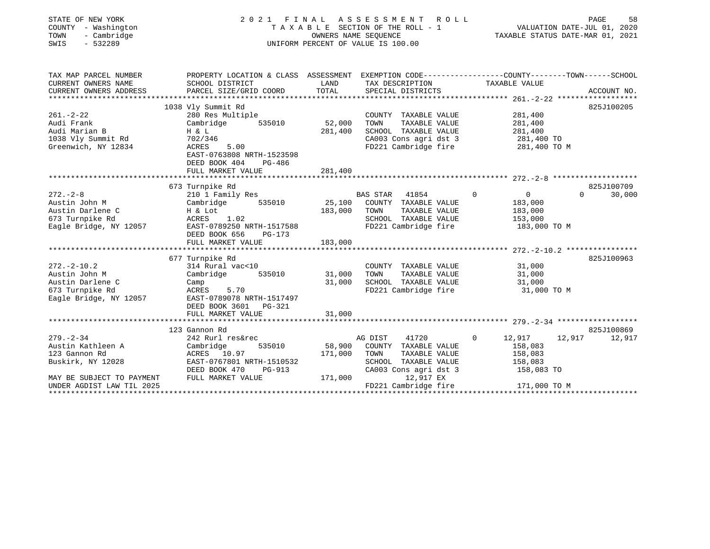| STATE OF NEW YORK<br>COUNTY - Washington<br>- Cambridge<br>TOWN<br>$-532289$<br>SWIS                                                 |                                                                                                                                                                                    |                              | 2021 FINAL ASSESSMENT<br>ROLL<br>TAXABLE SECTION OF THE ROLL - 1<br>OWNERS NAME SEOUENCE<br>UNIFORM PERCENT OF VALUE IS 100.00                          | VALUATION DATE-JUL 01, 2020<br>TAXABLE STATUS DATE-MAR 01, 2021                       | PAGE<br>58                       |
|--------------------------------------------------------------------------------------------------------------------------------------|------------------------------------------------------------------------------------------------------------------------------------------------------------------------------------|------------------------------|---------------------------------------------------------------------------------------------------------------------------------------------------------|---------------------------------------------------------------------------------------|----------------------------------|
| TAX MAP PARCEL NUMBER<br>CURRENT OWNERS NAME<br>CURRENT OWNERS ADDRESS                                                               | PROPERTY LOCATION & CLASS ASSESSMENT EXEMPTION CODE---------------COUNTY-------TOWN------SCHOOL<br>SCHOOL DISTRICT<br>PARCEL SIZE/GRID COORD                                       | LAND<br>TOTAL                | TAX DESCRIPTION<br>SPECIAL DISTRICTS                                                                                                                    | TAXABLE VALUE                                                                         | ACCOUNT NO.                      |
| $261 - 2 - 22$<br>Audi Frank<br>Audi Marian B<br>1038 Vly Summit Rd<br>Greenwich, NY 12834                                           | 1038 Vly Summit Rd<br>280 Res Multiple<br>Cambridge<br>535010<br>$H \& L$<br>702/346<br>5.00<br>ACRES<br>EAST-0763808 NRTH-1523598<br>DEED BOOK 404<br>PG-486<br>FULL MARKET VALUE | 52,000<br>281,400<br>281,400 | COUNTY TAXABLE VALUE<br>TOWN<br>TAXABLE VALUE<br>SCHOOL TAXABLE VALUE<br>CA003 Cons agri dst 3 281,400 TO<br>FD221 Cambridge fire                       | 281,400<br>281,400<br>281,400<br>281,400 TO M                                         | 825J100205                       |
| $272. - 2 - 8$<br>Austin John M<br>Austin Darlene C<br>673 Turnpike Rd<br>Eagle Bridge, NY 12057                                     | 673 Turnpike Rd<br>210 1 Family Res<br>535010<br>Cambridge<br>H & Lot<br>ACRES 1.02<br>EAST-0789250 NRTH-1517588<br>DEED BOOK 656<br>PG-173<br>FULL MARKET VALUE                   | 25,100<br>183,000<br>183,000 | 41854<br>BAS STAR<br>COUNTY TAXABLE VALUE<br>TOWN<br>TAXABLE VALUE<br>SCHOOL TAXABLE VALUE<br>FD221 Cambridge fire                                      | $\Omega$<br>$\overline{0}$<br>183,000<br>183,000<br>153,000<br>183,000 TO M           | 825J100709<br>$\Omega$<br>30,000 |
| $272 - 2 - 10.2$<br>Austin John M<br>Austin Darlene C<br>673 Turnpike Rd<br>Eagle Bridge, NY 12057                                   | 677 Turnpike Rd<br>314 Rural vac<10<br>535010<br>Cambridge<br>Camp<br>ACRES 5.70<br>EAST-0789078 NRTH-1517497<br>DEED BOOK 3601 PG-321<br>FULL MARKET VALUE                        | 31,000<br>31,000<br>31,000   | COUNTY TAXABLE VALUE<br>TAXABLE VALUE<br>TOWN<br>SCHOOL TAXABLE VALUE                                                                                   | 31,000<br>31,000<br>31,000<br>FD221 Cambridge fire 31,000 TO M                        | 825J100963                       |
| $279. - 2 - 34$<br>Austin Kathleen A<br>123 Gannon Rd<br>Buskirk, NY 12028<br>MAY BE SUBJECT TO PAYMENT<br>UNDER AGDIST LAW TIL 2025 | 123 Gannon Rd<br>242 Rurl res&rec<br>Cambridge<br>535010<br>ACRES 10.97<br>EAST-0767801 NRTH-1510532<br>DEED BOOK 470<br>PG-913<br>FULL MARKET VALUE                               | 58,900<br>171,000<br>171,000 | 41720<br>AG DIST<br>COUNTY TAXABLE VALUE<br>TOWN<br>TAXABLE VALUE<br>SCHOOL TAXABLE VALUE<br>CA003 Cons agri dst 3<br>12,917 EX<br>FD221 Cambridge fire | $\mathbf{0}$<br>12,917<br>158,083<br>158,083<br>158,083<br>158,083 TO<br>171,000 TO M | 825J100869<br>12,917<br>12,917   |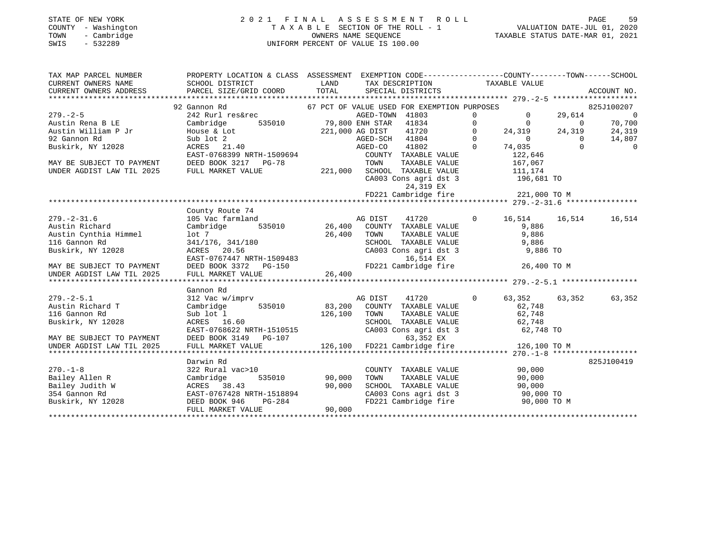# STATE OF NEW YORK 2 0 2 1 F I N A L A S S E S S M E N T R O L L PAGE 59COUNTY - Washington T A X A B L E SECTION OF THE ROLL - 1 VALUATION DATE-JUL 01, 2020 SWIS - 532289 UNIFORM PERCENT OF VALUE IS 100.00

VALUATION DATE-JUL 01, 2020

| TAX MAP PARCEL NUMBER     | PROPERTY LOCATION & CLASS ASSESSMENT EXEMPTION CODE---------------COUNTY-------TOWN-----SCHOOL |                                                   |                 |                                                                                                  |                |                              |                          |                |
|---------------------------|------------------------------------------------------------------------------------------------|---------------------------------------------------|-----------------|--------------------------------------------------------------------------------------------------|----------------|------------------------------|--------------------------|----------------|
| CURRENT OWNERS NAME       | SCHOOL DISTRICT                                                                                | LAND                                              |                 | TAX DESCRIPTION                                                                                  |                | TAXABLE VALUE                |                          |                |
| CURRENT OWNERS ADDRESS    |                                                                                                |                                                   |                 |                                                                                                  |                |                              |                          |                |
|                           |                                                                                                |                                                   |                 |                                                                                                  |                |                              |                          |                |
|                           | 92 Gannon Rd                                                                                   |                                                   |                 | 67 PCT OF VALUE USED FOR EXEMPTION PURPOSES                                                      |                |                              |                          | 825J100207     |
| $279. - 2 - 5$            | 242 Rurl res&rec                                                                               |                                                   | AGED-TOWN 41803 |                                                                                                  | $\overline{0}$ | $\overline{0}$               | 29,614                   | $\overline{0}$ |
| Austin Rena B LE          | Cambridge                                                                                      | 2 AGED-TOWN 41803<br>535010 79,800 ENH STAR 41834 |                 |                                                                                                  | $\overline{0}$ | $\overline{0}$               | $\overline{\phantom{0}}$ | 70,700         |
| Austin William P Jr       | House & Lot                                                                                    | 221,000 AG DIST                                   |                 | 41720                                                                                            | $\circ$        | 24,319                       | 24,319                   | 24,319         |
| 92 Gannon Rd              | Sub lot 2<br>ACRES 21.40                                                                       |                                                   | AGED-SCH 41804  |                                                                                                  | $\Omega$       | $\overline{0}$               | $\Omega$                 | 14,807         |
| Buskirk, NY 12028         |                                                                                                |                                                   | AGED-CO 41802   |                                                                                                  | $\Omega$       | 74,035                       | $\Omega$                 | $\overline{0}$ |
|                           | EAST-0768399 NRTH-1509694                                                                      |                                                   |                 | COUNTY TAXABLE VALUE                                                                             |                | 122,646                      |                          |                |
| MAY BE SUBJECT TO PAYMENT | DEED BOOK 3217 PG-78                                                                           |                                                   | TOWN            | TAXABLE VALUE                                                                                    |                | 167,067                      |                          |                |
| UNDER AGDIST LAW TIL 2025 | FULL MARKET VALUE                                                                              |                                                   |                 | 221,000 SCHOOL TAXABLE VALUE                                                                     |                | 111,174                      |                          |                |
|                           |                                                                                                |                                                   |                 | SCHOOL TAXABLE VALUE<br>CA003 Cons agri dst 3                                                    |                | 196,681 TO                   |                          |                |
|                           |                                                                                                |                                                   |                 | 24,319 EX                                                                                        |                |                              |                          |                |
|                           |                                                                                                |                                                   |                 | FD221 Cambridge fire 221,000 TO M                                                                |                |                              |                          |                |
|                           |                                                                                                |                                                   |                 |                                                                                                  |                |                              |                          |                |
|                           | County Route 74                                                                                |                                                   |                 |                                                                                                  |                |                              |                          |                |
| $279. - 2 - 31.6$         | 105 Vac farmland                                                                               |                                                   | AG DIST         | 41720                                                                                            | $\Omega$       | 16,514 16,514                |                          | 16,514         |
| Austin Richard            | 535010<br>Cambridge                                                                            |                                                   |                 | 26,400 COUNTY TAXABLE VALUE                                                                      |                | 9,886                        |                          |                |
| Austin Cynthia Himmel     | lot 7                                                                                          | 26,400                                            | TOWN            | TAXABLE VALUE<br>TAXABLE VALUE                                                                   |                | 9,886                        |                          |                |
| 116 Gannon Rd             | 341/176, 341/180                                                                               |                                                   |                 | SCHOOL TAXABLE VALUE                                                                             |                |                              |                          |                |
| Buskirk, NY 12028         | ACRES 20.56                                                                                    |                                                   |                 | CA003 Cons agri dst 3                                                                            |                | 9,886<br>9,886 9<br>9,886 TO |                          |                |
|                           | EAST-0767447 NRTH-1509483                                                                      |                                                   |                 | 16,514 EX                                                                                        |                |                              |                          |                |
| MAY BE SUBJECT TO PAYMENT | DEED BOOK 3372 PG-150                                                                          |                                                   |                 | FD221 Cambridge fire                                                                             |                | 26,400 TO M                  |                          |                |
| UNDER AGDIST LAW TIL 2025 | FULL MARKET VALUE                                                                              | 26,400                                            |                 |                                                                                                  |                |                              |                          |                |
|                           |                                                                                                |                                                   |                 |                                                                                                  |                |                              |                          |                |
|                           | Gannon Rd                                                                                      |                                                   |                 |                                                                                                  |                |                              |                          |                |
| $279. - 2 - 5.1$          | 312 Vac w/imprv                                                                                |                                                   | AG DIST         | 41720                                                                                            | $\mathbf{0}$   | 63,352 63,352                |                          | 63,352         |
| Austin Richard T          | 535010<br>Cambridge                                                                            | 83,200                                            |                 | COUNTY TAXABLE VALUE                                                                             |                | 62,748                       |                          |                |
| 116 Gannon Rd             | Sub lot 1                                                                                      | 126,100                                           | TOWN            | TAXABLE VALUE                                                                                    |                | 62,748                       |                          |                |
| Buskirk, NY 12028         | ACRES 16.60                                                                                    |                                                   |                 | SCHOOL TAXABLE VALUE                                                                             |                | 62,748                       |                          |                |
|                           | EAST-0768622 NRTH-1510515                                                                      |                                                   |                 | CA003 Cons agri dst 3                                                                            |                | 62,748 TO                    |                          |                |
| MAY BE SUBJECT TO PAYMENT | DEED BOOK 3149 PG-107                                                                          |                                                   |                 | 63,352 EX                                                                                        |                |                              |                          |                |
| UNDER AGDIST LAW TIL 2025 | FULL MARKET VALUE                                                                              | 126,100                                           |                 | FD221 Cambridge fire                                                                             |                | 126,100 TO M                 |                          |                |
|                           |                                                                                                |                                                   |                 |                                                                                                  |                |                              |                          |                |
|                           | Darwin Rd                                                                                      |                                                   |                 |                                                                                                  |                |                              |                          | 825J100419     |
| $270. - 1 - 8$            | 322 Rural vac>10                                                                               |                                                   |                 | COUNTY TAXABLE VALUE                                                                             |                | 90,000                       |                          |                |
| Bailey Allen R            | 535010<br>Cambridge                                                                            | 90,000                                            | TOWN            | TAXABLE VALUE                                                                                    |                | 90,000                       |                          |                |
| Bailey Judith W           | ACRES 38.43                                                                                    | 90,000                                            |                 | SCHOOL TAXABLE VALUE                                                                             |                | 90,000                       |                          |                |
| 354 Gannon Rd             | EAST-0767428 NRTH-1518894                                                                      |                                                   |                 |                                                                                                  |                |                              |                          |                |
| Buskirk, NY 12028         | DEED BOOK 946                                                                                  | H-1518894<br>PG-284                               |                 | SCHOOL TAXABLE VALUE 90,000<br>CA003 Cons agri dst 3 90,000 TO<br>FD221 Cambridge fire 90,000 TO |                | 90,000 TO M                  |                          |                |
|                           | FULL MARKET VALUE                                                                              | 90,000                                            |                 |                                                                                                  |                |                              |                          |                |
|                           |                                                                                                |                                                   |                 |                                                                                                  |                |                              |                          |                |
|                           |                                                                                                |                                                   |                 |                                                                                                  |                |                              |                          |                |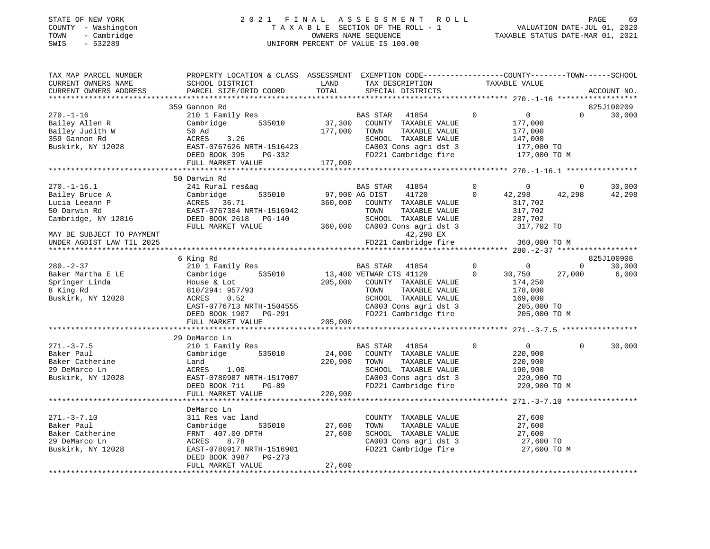# STATE OF NEW YORK 2 0 2 1 F I N A L A S S E S S M E N T R O L L PAGE 60COUNTY - Washington T A X A B L E SECTION OF THE ROLL - 1<br>
TOWN - Cambridge COUNTERS NAME SEQUENCE<br>
SWIS - 532289 UNIFORM PERCENT OF VALUE IS 100.00 SWIS - 532289 UNIFORM PERCENT OF VALUE IS 100.00

- سعجة<br>2020 VALUATION DATE-JUL 01, 2020

| TAX MAP PARCEL NUMBER<br>CURRENT OWNERS NAME<br>CURRENT OWNERS ADDRESS                                                                                 | PROPERTY LOCATION & CLASS ASSESSMENT EXEMPTION CODE----------------COUNTY-------TOWN------SCHOOL<br>SCHOOL DISTRICT<br>PARCEL SIZE/GRID COORD                                      | LAND<br>TOTAL                | TAX DESCRIPTION<br>SPECIAL DISTRICTS                                                                                                                                          |                               | TAXABLE VALUE                                                                           |                          | ACCOUNT NO.                   |
|--------------------------------------------------------------------------------------------------------------------------------------------------------|------------------------------------------------------------------------------------------------------------------------------------------------------------------------------------|------------------------------|-------------------------------------------------------------------------------------------------------------------------------------------------------------------------------|-------------------------------|-----------------------------------------------------------------------------------------|--------------------------|-------------------------------|
|                                                                                                                                                        |                                                                                                                                                                                    |                              |                                                                                                                                                                               |                               |                                                                                         |                          |                               |
| $270. - 1 - 16$<br>Bailey Allen R<br>Bailey Judith W<br>359 Gannon Rd<br>Buskirk, NY 12028                                                             | 359 Gannon Rd<br>210 1 Family Res<br>535010<br>Cambridge<br>50 Ad<br>ACRES<br>3.26<br>EAST-0767626 NRTH-1516423<br>DEED BOOK 395<br>PG-332<br>FULL MARKET VALUE                    | 37,300<br>177,000<br>177,000 | <b>BAS STAR</b><br>41854<br>COUNTY TAXABLE VALUE<br>TAXABLE VALUE<br>TOWN<br>SCHOOL TAXABLE VALUE<br>CA003 Cons agri dst 3<br>FD221 Cambridge fire                            | $\Omega$                      | $\overline{0}$<br>177,000<br>177,000<br>147,000<br>177,000 TO<br>177,000 TO M           | $\Omega$                 | 825J100209<br>30,000          |
|                                                                                                                                                        |                                                                                                                                                                                    |                              |                                                                                                                                                                               |                               |                                                                                         |                          |                               |
| $270. - 1 - 16.1$<br>Bailey Bruce A<br>Lucia Leeann P<br>50 Darwin Rd<br>Cambridge, NY 12816<br>MAY BE SUBJECT TO PAYMENT<br>UNDER AGDIST LAW TIL 2025 | 50 Darwin Rd<br>241 Rural res&ag<br>Cambridge<br>535010<br>ACRES 36.71<br>EAST-0767304 NRTH-1516942<br>DEED BOOK 2618 PG-140<br>FULL MARKET VALUE                                  | 97,900 AG DIST<br>360,000    | BAS STAR<br>41854<br>41720<br>COUNTY TAXABLE VALUE<br>TOWN<br>TAXABLE VALUE<br>SCHOOL TAXABLE VALUE<br>360,000 CA003 Cons agri dst 3<br>42,298 EX<br>FD221 Cambridge fire     | $\Omega$<br>$\mathbf 0$       | $\overline{0}$<br>42,298<br>317,702<br>317,702<br>287,702<br>317,702 TO<br>360,000 TO M | $\overline{0}$<br>42,298 | 30,000<br>42,298              |
|                                                                                                                                                        |                                                                                                                                                                                    |                              |                                                                                                                                                                               |                               |                                                                                         |                          |                               |
| $280 - 2 - 37$<br>Baker Martha E LE<br>Springer Linda<br>8 King Rd<br>Buskirk, NY 12028                                                                | 6 King Rd<br>210 1 Family Res<br>Cambridge<br>535010<br>House & Lot<br>810/294: 957/93<br>ACRES<br>0.52<br>EAST-0776713 NRTH-1504555<br>DEED BOOK 1907 PG-291<br>FULL MARKET VALUE | 205,000<br>205,000           | <b>BAS STAR</b><br>41854<br>13,400 VETWAR CTS 41120<br>COUNTY TAXABLE VALUE<br>TOWN<br>TAXABLE VALUE<br>SCHOOL TAXABLE VALUE<br>CA003 Cons agri dst 3<br>FD221 Cambridge fire | $\overline{0}$<br>$\mathbf 0$ | $\Omega$<br>30,750<br>174,250<br>178,000<br>169,000<br>205,000 TO<br>205,000 TO M       | $\Omega$<br>27,000       | 825J100908<br>30,000<br>6,000 |
|                                                                                                                                                        | 29 DeMarco Ln                                                                                                                                                                      |                              |                                                                                                                                                                               |                               |                                                                                         |                          |                               |
| $271. - 3 - 7.5$<br>Baker Paul<br>Baker Catherine<br>29 DeMarco Ln<br>Buskirk, NY 12028                                                                | 210 1 Family Res<br>535010<br>Cambridge<br>Land<br>ACRES<br>1.00<br>EAST-0780987 NRTH-1517007<br>DEED BOOK 711<br>PG-89<br>FULL MARKET VALUE                                       | 24,000<br>220,900<br>220,900 | BAS STAR<br>41854<br>COUNTY TAXABLE VALUE<br>TOWN<br>TAXABLE VALUE<br>SCHOOL TAXABLE VALUE<br>CA003 Cons agri dst 3<br>FD221 Cambridge fire                                   | $\Omega$                      | $\overline{0}$<br>220,900<br>220,900<br>190,900<br>220,900 TO<br>220,900 TO M           | $\Omega$                 | 30,000                        |
|                                                                                                                                                        |                                                                                                                                                                                    |                              |                                                                                                                                                                               |                               |                                                                                         |                          |                               |
| $271. - 3 - 7.10$<br>Baker Paul<br>Baker Catherine<br>29 DeMarco Ln<br>Buskirk, NY 12028                                                               | DeMarco Ln<br>311 Res vac land<br>535010<br>Cambridge<br>FRNT 407.00 DPTH<br>8.78<br>ACRES<br>EAST-0780917 NRTH-1516901<br>DEED BOOK 3987 PG-273<br>FULL MARKET VALUE              | 27,600<br>27,600<br>27,600   | COUNTY TAXABLE VALUE<br>TOWN<br>TAXABLE VALUE<br>SCHOOL TAXABLE VALUE<br>CA003 Cons agri dst 3<br>FD221 Cambridge fire                                                        |                               | 27,600<br>27,600<br>27,600<br>27,600 TO<br>27,600 TO M                                  |                          |                               |
|                                                                                                                                                        |                                                                                                                                                                                    |                              |                                                                                                                                                                               |                               |                                                                                         |                          |                               |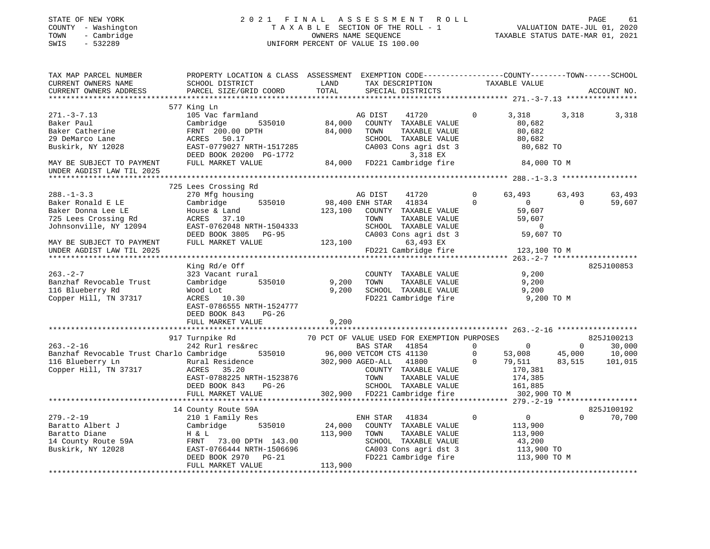# STATE OF NEW YORK 2 0 2 1 F I N A L A S S E S S M E N T R O L L PAGE 61COUNTY - Washington T A X A B L E SECTION OF THE ROLL - 1<br>
TOWN - Cambridge COUNTERS NAME SEQUENCE<br>
SWIS - 532289 SWIS - 2020 SWIS - 532289 UNIFORM PERCENT OF VALUE IS 100.00

| TAX MAP PARCEL NUMBER<br>CURRENT OWNERS NAME<br>CURRENT OWNERS ADDRESS                                        | PROPERTY LOCATION & CLASS ASSESSMENT<br>SCHOOL DISTRICT<br>PARCEL SIZE/GRID COORD                                                                                 | LAND<br>TOTAL                | EXEMPTION CODE-----------------COUNTY-------TOWN------SCHOOL<br>TAX DESCRIPTION<br>SPECIAL DISTRICTS                                                                                 | TAXABLE VALUE                                                                                                    |                                    | ACCOUNT NO.                               |
|---------------------------------------------------------------------------------------------------------------|-------------------------------------------------------------------------------------------------------------------------------------------------------------------|------------------------------|--------------------------------------------------------------------------------------------------------------------------------------------------------------------------------------|------------------------------------------------------------------------------------------------------------------|------------------------------------|-------------------------------------------|
|                                                                                                               |                                                                                                                                                                   |                              |                                                                                                                                                                                      |                                                                                                                  |                                    |                                           |
| $271. - 3 - 7.13$<br>Baker Paul<br>Baker Catherine<br>29 DeMarco Lane<br>Buskirk, NY 12028                    | 577 King Ln<br>105 Vac farmland<br>Cambridge<br>535010<br>FRNT 200.00 DPTH<br>50.17<br>ACRES<br>EAST-0779027 NRTH-1517285<br>DEED BOOK 20200 PG-1772              | 84,000<br>84,000             | AG DIST<br>41720<br>COUNTY TAXABLE VALUE<br>TOWN<br>TAXABLE VALUE<br>SCHOOL TAXABLE VALUE<br>CA003 Cons agri dst 3<br>3,318 EX                                                       | $\Omega$<br>3,318<br>80,682<br>80,682<br>80,682<br>80,682 TO                                                     | 3,318                              | 3,318                                     |
| MAY BE SUBJECT TO PAYMENT<br>UNDER AGDIST LAW TIL 2025                                                        | FULL MARKET VALUE                                                                                                                                                 |                              | 84,000 FD221 Cambridge fire 84,000 TO M                                                                                                                                              |                                                                                                                  |                                    |                                           |
|                                                                                                               |                                                                                                                                                                   |                              |                                                                                                                                                                                      |                                                                                                                  |                                    |                                           |
| $288. - 1 - 3.3$<br>Baker Ronald E LE<br>Baker Donna Lee LE<br>725 Lees Crossing Rd<br>Johnsonville, NY 12094 | 725 Lees Crossing Rd<br>270 Mfg housing<br>535010<br>Cambridge<br>House & Land<br>ACRES 37.10<br>EAST-0762048 NRTH-1504333                                        | 123,100                      | AG DIST<br>41720<br>98,400 ENH STAR<br>41834<br>COUNTY TAXABLE VALUE<br>TOWN<br>TAXABLE VALUE<br>SCHOOL TAXABLE VALUE                                                                | $\Omega$<br>63,493<br>$\mathbf 0$<br>$\overline{0}$<br>59,607<br>59,607<br>$\Omega$                              | 63,493<br>$\Omega$                 | 63,493<br>59,607                          |
| MAY BE SUBJECT TO PAYMENT<br>UNDER AGDIST LAW TIL 2025                                                        | DEED BOOK 3805 PG-95<br>FULL MARKET VALUE                                                                                                                         | 123,100                      | CA003 Cons agri dst 3<br>63,493 EX<br>FD221 Cambridge fire                                                                                                                           | 59,607 TO<br>123,100 TO M                                                                                        |                                    |                                           |
|                                                                                                               |                                                                                                                                                                   |                              |                                                                                                                                                                                      |                                                                                                                  |                                    | 825J100853                                |
| $263 - 2 - 7$<br>Banzhaf Revocable Trust<br>116 Blueberry Rd<br>Copper Hill, TN 37317                         | King Rd/e Off<br>323 Vacant rural<br>Cambridge<br>535010<br>Wood Lot<br>ACRES 10.30<br>EAST-0786555 NRTH-1524777<br>DEED BOOK 843<br>$PG-26$<br>FULL MARKET VALUE | 9,200<br>9,200<br>9,200      | COUNTY TAXABLE VALUE<br>TAXABLE VALUE<br>TOWN<br>SCHOOL TAXABLE VALUE<br>FD221 Cambridge fire                                                                                        | 9,200<br>9,200<br>9,200<br>9,200 TO M                                                                            |                                    |                                           |
|                                                                                                               |                                                                                                                                                                   |                              |                                                                                                                                                                                      |                                                                                                                  |                                    |                                           |
| $263. - 2 - 16$<br>Banzhaf Revocable Trust Charlo Cambridge<br>116 Blueberry Ln<br>Copper Hill, TN 37317      | 917 Turnpike Rd<br>242 Rurl res&rec<br>535010<br>Rural Residence<br>ACRES<br>35.20<br>EAST-0788225 NRTH-1523876<br>DEED BOOK 843<br>$PG-26$                       | 302,900 AGED-ALL             | 70 PCT OF VALUE USED FOR EXEMPTION PURPOSES<br><b>BAS STAR</b><br>41854<br>96,000 VETCOM CTS 41130<br>41800<br>COUNTY TAXABLE VALUE<br>TAXABLE VALUE<br>TOWN<br>SCHOOL TAXABLE VALUE | $\mathbf 0$<br>$\sim$ 0<br>$\overline{0}$<br>53,008<br>79,511<br>$\overline{0}$<br>170,381<br>174,385<br>161,885 | $\overline{0}$<br>45,000<br>83,515 | 825J100213<br>30,000<br>10,000<br>101,015 |
|                                                                                                               | FULL MARKET VALUE                                                                                                                                                 |                              | 302,900 FD221 Cambridge fire                                                                                                                                                         | 302,900 TO M                                                                                                     |                                    |                                           |
|                                                                                                               | 14 County Route 59A                                                                                                                                               |                              |                                                                                                                                                                                      |                                                                                                                  |                                    | 825J100192                                |
| $279. - 2 - 19$<br>Baratto Albert J<br>Baratto Diane<br>14 County Route 59A<br>Buskirk, NY 12028              | 210 1 Family Res<br>Cambridge 535010<br>H & L<br>FRNT 73.00 DPTH 143.00<br>EAST-0766444 NRTH-1506696<br>DEED BOOK 2970 PG-21<br>FULL MARKET VALUE                 | 24,000<br>113,900<br>113,900 | ENH STAR<br>41834<br>COUNTY TAXABLE VALUE<br>TAXABLE VALUE<br>TOWN<br>SCHOOL TAXABLE VALUE<br>CA003 Cons agri dst 3<br>FD221 Cambridge fire                                          | $\overline{0}$<br>$\mathbf 0$<br>113,900<br>113,900<br>43,200<br>113,900 TO<br>113,900 TO M                      | $\Omega$                           | 70,700                                    |
|                                                                                                               |                                                                                                                                                                   |                              |                                                                                                                                                                                      |                                                                                                                  |                                    |                                           |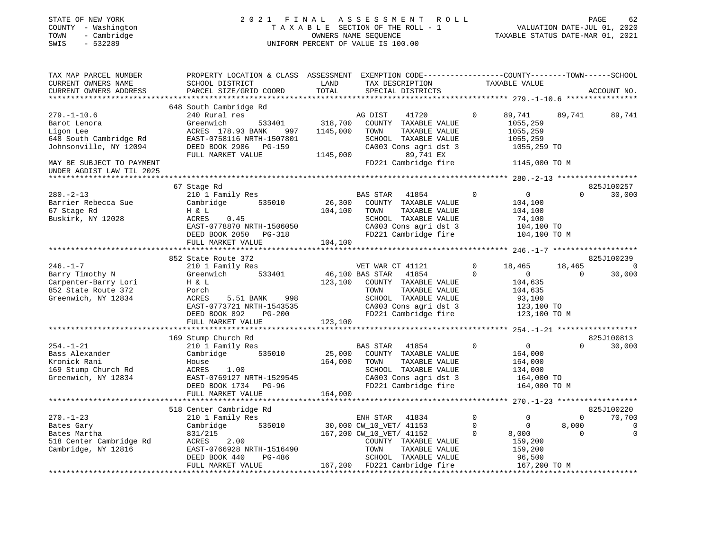| STATE OF NEW YORK<br>COUNTY - Washington<br>- Cambridge<br>TOWN<br>$-532289$<br>SWIS | 2021 FINAL                                                                                                                                   |               | A S S E S S M E N T<br>ROLL<br>TAXABLE SECTION OF THE ROLL - 1<br>OWNERS NAME SEQUENCE<br>UNIFORM PERCENT OF VALUE IS 100.00 |             | TAXABLE STATUS DATE-MAR 01, 2021             |                | PAGE<br>62<br>VALUATION DATE-JUL 01, 2020 |
|--------------------------------------------------------------------------------------|----------------------------------------------------------------------------------------------------------------------------------------------|---------------|------------------------------------------------------------------------------------------------------------------------------|-------------|----------------------------------------------|----------------|-------------------------------------------|
| TAX MAP PARCEL NUMBER<br>CURRENT OWNERS NAME<br>CURRENT OWNERS ADDRESS               | PROPERTY LOCATION & CLASS ASSESSMENT EXEMPTION CODE---------------COUNTY-------TOWN------SCHOOL<br>SCHOOL DISTRICT<br>PARCEL SIZE/GRID COORD | LAND<br>TOTAL | TAX DESCRIPTION<br>SPECIAL DISTRICTS                                                                                         |             | TAXABLE VALUE                                |                | ACCOUNT NO.                               |
|                                                                                      | 648 South Cambridge Rd                                                                                                                       |               |                                                                                                                              |             |                                              |                |                                           |
| $279. - 1 - 10.6$                                                                    | 240 Rural res                                                                                                                                |               | AG DIST<br>41720                                                                                                             | 0           | 89,741                                       | 89,741         | 89,741                                    |
| Barot Lenora                                                                         | 533401<br>Greenwich                                                                                                                          | 318,700       | COUNTY TAXABLE VALUE                                                                                                         |             | 1055,259                                     |                |                                           |
| Ligon Lee                                                                            | ACRES 178.93 BANK<br>997                                                                                                                     | 1145,000      | TOWN<br>TAXABLE VALUE                                                                                                        |             | 1055,259                                     |                |                                           |
| 648 South Cambridge Rd                                                               | EAST-0758116 NRTH-1507801                                                                                                                    |               | SCHOOL TAXABLE VALUE                                                                                                         |             | 1055,259                                     |                |                                           |
| Johnsonville, NY 12094                                                               | DEED BOOK 2986 PG-159                                                                                                                        |               | CA003 Cons agri dst 3                                                                                                        |             | 1055,259 TO                                  |                |                                           |
|                                                                                      | FULL MARKET VALUE                                                                                                                            | 1145,000      | 89,741 EX                                                                                                                    |             |                                              |                |                                           |
| MAY BE SUBJECT TO PAYMENT                                                            |                                                                                                                                              |               | FD221 Cambridge fire                                                                                                         |             | 1145,000 TO M                                |                |                                           |
| UNDER AGDIST LAW TIL 2025                                                            |                                                                                                                                              |               |                                                                                                                              |             |                                              |                |                                           |
|                                                                                      |                                                                                                                                              |               |                                                                                                                              |             |                                              |                |                                           |
|                                                                                      | 67 Stage Rd                                                                                                                                  |               |                                                                                                                              |             |                                              |                | 825J100257                                |
| $280. - 2 - 13$                                                                      | 210 1 Family Res                                                                                                                             |               | BAS STAR<br>41854                                                                                                            | $\mathbf 0$ | $\overline{0}$                               | $\Omega$       | 30,000                                    |
| Barrier Rebecca Sue                                                                  | 535010<br>Cambridge                                                                                                                          | 26,300        | COUNTY TAXABLE VALUE                                                                                                         |             | 104,100                                      |                |                                           |
| 67 Stage Rd                                                                          | H & L                                                                                                                                        | 104,100       | TAXABLE VALUE<br>TOWN                                                                                                        |             | 104,100                                      |                |                                           |
| Buskirk, NY 12028                                                                    | ACRES<br>0.45                                                                                                                                |               | SCHOOL TAXABLE VALUE                                                                                                         |             | 74,100                                       |                |                                           |
|                                                                                      | EAST-0778870 NRTH-1506050<br>DEED BOOK 2050 PG-318                                                                                           |               | CA003 Cons agri dst 3<br>FD221 Cambridge fire                                                                                |             | 104,100 TO                                   |                |                                           |
|                                                                                      | FULL MARKET VALUE                                                                                                                            | 104,100       |                                                                                                                              |             | 104,100 TO M                                 |                |                                           |
|                                                                                      | ******************                                                                                                                           |               |                                                                                                                              |             | ************** 246.-1-7 ******************** |                |                                           |
|                                                                                      | 852 State Route 372                                                                                                                          |               |                                                                                                                              |             |                                              |                | 825J100239                                |
| $246. - 1 - 7$                                                                       | 210 1 Family Res                                                                                                                             |               | VET WAR CT 41121                                                                                                             | $\Omega$    | 18,465                                       | 18,465         | $\overline{0}$                            |
| Barry Timothy N                                                                      | Greenwich<br>533401                                                                                                                          |               | 46,100 BAS STAR<br>41854                                                                                                     | $\Omega$    | $\overline{0}$                               | $\Omega$       | 30,000                                    |
| Carpenter-Barry Lori                                                                 | H & L                                                                                                                                        | 123,100       | COUNTY TAXABLE VALUE                                                                                                         |             | 104,635                                      |                |                                           |
| 852 State Route 372                                                                  | Porch                                                                                                                                        |               | TOWN<br>TAXABLE VALUE                                                                                                        |             | 104,635                                      |                |                                           |
| Greenwich, NY 12834                                                                  | ACRES<br>5.51 BANK<br>998                                                                                                                    |               | SCHOOL TAXABLE VALUE                                                                                                         |             | 93,100                                       |                |                                           |
|                                                                                      | EAST-0773721 NRTH-1543535                                                                                                                    |               | CA003 Cons agri dst 3                                                                                                        |             | 123,100 TO                                   |                |                                           |
|                                                                                      | DEED BOOK 892<br>$PG-200$                                                                                                                    |               | FD221 Cambridge fire                                                                                                         |             | 123,100 TO M                                 |                |                                           |
|                                                                                      | FULL MARKET VALUE                                                                                                                            | 123,100       |                                                                                                                              |             |                                              |                |                                           |
| **********************                                                               | *******************************                                                                                                              |               |                                                                                                                              |             |                                              |                |                                           |
|                                                                                      | 169 Stump Church Rd                                                                                                                          |               |                                                                                                                              |             |                                              |                | 825J100813                                |
| $254. - 1 - 21$                                                                      | 210 1 Family Res                                                                                                                             |               | BAS STAR<br>41854                                                                                                            | $\Omega$    | $\overline{0}$                               | $\Omega$       | 30,000                                    |
| Bass Alexander                                                                       | 535010<br>Cambridge                                                                                                                          | 25,000        | COUNTY TAXABLE VALUE                                                                                                         |             | 164,000                                      |                |                                           |
| Kronick Rani                                                                         | House                                                                                                                                        | 164,000       | TOWN<br>TAXABLE VALUE                                                                                                        |             | 164,000                                      |                |                                           |
| 169 Stump Church Rd                                                                  | ACRES<br>1.00                                                                                                                                |               | SCHOOL TAXABLE VALUE                                                                                                         |             | 134,000                                      |                |                                           |
| Greenwich, NY 12834                                                                  | EAST-0769127 NRTH-1529545                                                                                                                    |               | CA003 Cons agri dst 3                                                                                                        |             | 164,000 TO                                   |                |                                           |
|                                                                                      | DEED BOOK 1734 PG-96                                                                                                                         |               | FD221 Cambridge fire                                                                                                         |             | 164,000 TO M                                 |                |                                           |
|                                                                                      | FULL MARKET VALUE                                                                                                                            | 164,000       |                                                                                                                              |             |                                              |                |                                           |
|                                                                                      |                                                                                                                                              |               |                                                                                                                              |             |                                              |                |                                           |
|                                                                                      | 518 Center Cambridge Rd                                                                                                                      |               |                                                                                                                              |             |                                              |                | 825J100220                                |
| $270. - 1 - 23$                                                                      | 210 1 Family Res                                                                                                                             |               | ENH STAR<br>41834                                                                                                            | $\mathbf 0$ | $\mathbf 0$                                  | $\overline{0}$ | 70,700                                    |
| Bates Gary                                                                           | 535010<br>Cambridge                                                                                                                          |               | 30,000 CW_10_VET/ 41153                                                                                                      | $\mathbf 0$ | $\overline{0}$                               | 8,000          | 0                                         |
| Bates Martha                                                                         | 831/215                                                                                                                                      |               | 167,200 CW_10_VET/ 41152                                                                                                     | $\mathbf 0$ | 8,000                                        | $\mathbf 0$    | $\mathbf 0$                               |
| 518 Center Cambridge Rd                                                              | ACRES<br>2.00                                                                                                                                |               | COUNTY TAXABLE VALUE                                                                                                         |             | 159,200                                      |                |                                           |
| Cambridge, NY 12816                                                                  | EAST-0766928 NRTH-1516490                                                                                                                    |               | TOWN<br>TAXABLE VALUE                                                                                                        |             | 159,200                                      |                |                                           |
|                                                                                      | DEED BOOK 440<br>PG-486                                                                                                                      |               | SCHOOL TAXABLE VALUE                                                                                                         |             | 96,500                                       |                |                                           |
| **********************                                                               | FULL MARKET VALUE                                                                                                                            |               | 167,200 FD221 Cambridge fire                                                                                                 |             | 167,200 TO M                                 |                |                                           |
|                                                                                      |                                                                                                                                              |               |                                                                                                                              |             |                                              |                |                                           |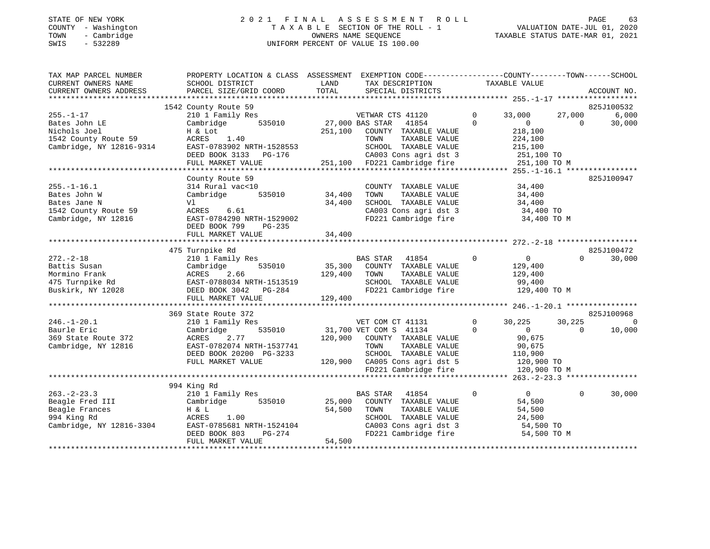# STATE OF NEW YORK 2 0 2 1 F I N A L A S S E S S M E N T R O L L PAGE 63COUNTY - Washington T A X A B L E SECTION OF THE ROLL - 1<br>
TOWN - Cambridge COUNTERS NAME SEQUENCE<br>
SWIS - 532289 SWIS - 2020 SWIS - 532289 UNIFORM PERCENT OF VALUE IS 100.00

| TAX MAP PARCEL NUMBER<br>CURRENT OWNERS NAME<br>CURRENT OWNERS ADDRESS | PROPERTY LOCATION & CLASS ASSESSMENT<br>SCHOOL DISTRICT<br>PARCEL SIZE/GRID COORD | LAND<br>TOTAL   | EXEMPTION CODE-----------------COUNTY-------TOWN------SCHOOL<br>TAX DESCRIPTION<br>SPECIAL DISTRICTS |             | TAXABLE VALUE  |             | ACCOUNT NO. |
|------------------------------------------------------------------------|-----------------------------------------------------------------------------------|-----------------|------------------------------------------------------------------------------------------------------|-------------|----------------|-------------|-------------|
|                                                                        |                                                                                   |                 |                                                                                                      |             |                |             |             |
|                                                                        | 1542 County Route 59                                                              |                 |                                                                                                      |             |                |             | 825J100532  |
| $255. - 1 - 17$                                                        | 210 1 Family Res                                                                  |                 | VETWAR CTS 41120                                                                                     | $\circ$     | 33,000         | 27,000      | 6,000       |
| Bates John LE                                                          | 535010<br>Cambridge                                                               | 27,000 BAS STAR | 41854                                                                                                | $\Omega$    | $\overline{0}$ | $\Omega$    | 30,000      |
| Nichols Joel                                                           | H & Lot                                                                           | 251,100         | COUNTY TAXABLE VALUE                                                                                 |             | 218,100        |             |             |
| 1542 County Route 59                                                   | ACRES<br>1.40                                                                     |                 | TOWN<br>TAXABLE VALUE                                                                                |             | 224,100        |             |             |
| Cambridge, NY 12816-9314                                               | EAST-0783902 NRTH-1528553                                                         |                 | SCHOOL TAXABLE VALUE                                                                                 |             | 215,100        |             |             |
|                                                                        | DEED BOOK 3133<br>PG-176                                                          |                 | CA003 Cons agri dst 3                                                                                |             | 251,100 TO     |             |             |
|                                                                        | FULL MARKET VALUE                                                                 |                 | 251,100 FD221 Cambridge fire                                                                         |             | 251,100 TO M   |             |             |
|                                                                        | County Route 59                                                                   |                 |                                                                                                      |             |                |             | 825J100947  |
| $255. - 1 - 16.1$                                                      | 314 Rural vac<10                                                                  |                 | COUNTY TAXABLE VALUE                                                                                 |             | 34,400         |             |             |
| Bates John W                                                           | Cambridge<br>535010                                                               | 34,400          | TOWN<br>TAXABLE VALUE                                                                                |             | 34,400         |             |             |
| Bates Jane N                                                           | Vl                                                                                | 34,400          | SCHOOL TAXABLE VALUE                                                                                 |             | 34,400         |             |             |
| 1542 County Route 59                                                   | ACRES<br>6.61                                                                     |                 | CA003 Cons agri dst 3                                                                                |             | 34,400 TO      |             |             |
| Cambridge, NY 12816                                                    | EAST-0784290 NRTH-1529002                                                         |                 | FD221 Cambridge fire                                                                                 |             | 34,400 TO M    |             |             |
|                                                                        | DEED BOOK 799<br>PG-235                                                           |                 |                                                                                                      |             |                |             |             |
|                                                                        | FULL MARKET VALUE                                                                 | 34,400          |                                                                                                      |             |                |             |             |
|                                                                        |                                                                                   |                 |                                                                                                      |             |                |             |             |
|                                                                        | 475 Turnpike Rd                                                                   |                 |                                                                                                      |             |                |             | 825J100472  |
| $272. - 2 - 18$                                                        | 210 1 Family Res                                                                  |                 | BAS STAR<br>41854                                                                                    | $\mathbf 0$ | $\overline{0}$ | $\Omega$    | 30,000      |
| Battis Susan                                                           | Cambridge<br>535010                                                               | 35,300          | COUNTY TAXABLE VALUE                                                                                 |             | 129,400        |             |             |
| Mormino Frank                                                          | 2.66<br>ACRES                                                                     | 129,400         | TAXABLE VALUE<br>TOWN                                                                                |             | 129,400        |             |             |
| 475 Turnpike Rd<br>Buskirk, NY 12028                                   | EAST-0788034 NRTH-1513519                                                         |                 | SCHOOL TAXABLE VALUE                                                                                 |             | 99,400         |             |             |
|                                                                        | DEED BOOK 3042 PG-284                                                             |                 | FD221 Cambridge fire                                                                                 |             | 129,400 TO M   |             |             |
|                                                                        | FULL MARKET VALUE                                                                 | 129,400         |                                                                                                      |             |                |             |             |
|                                                                        | 369 State Route 372                                                               |                 |                                                                                                      |             |                |             | 825J100968  |
| $246. - 1 - 20.1$                                                      | 210 1 Family Res                                                                  |                 | VET COM CT 41131                                                                                     | $\mathbf 0$ | 30,225         | 30,225      | 0           |
| Baurle Eric                                                            | 535010<br>Cambridge                                                               |                 | 31,700 VET COM S 41134                                                                               | $\Omega$    | $\overline{0}$ | $\Omega$    | 10,000      |
| 369 State Route 372                                                    | ACRES<br>2.77                                                                     | 120,900         | COUNTY TAXABLE VALUE                                                                                 |             | 90,675         |             |             |
| Cambridge, NY 12816                                                    | EAST-0782074 NRTH-1537741                                                         |                 | TAXABLE VALUE<br>TOWN                                                                                |             | 90,675         |             |             |
|                                                                        | DEED BOOK 20200 PG-3233                                                           |                 | SCHOOL TAXABLE VALUE                                                                                 |             | 110,900        |             |             |
|                                                                        | FULL MARKET VALUE                                                                 |                 | 120,900 CA005 Cons agri dst 5                                                                        |             | 120,900 TO     |             |             |
|                                                                        |                                                                                   |                 | FD221 Cambridge fire                                                                                 |             |                |             |             |
|                                                                        |                                                                                   |                 |                                                                                                      |             | 120,900 TO M   |             |             |
|                                                                        | 994 King Rd                                                                       |                 |                                                                                                      |             |                |             |             |
| $263. -2 - 23.3$                                                       | 210 1 Family Res                                                                  |                 | BAS STAR<br>41854                                                                                    | $\mathbf 0$ | $\overline{0}$ | $\mathbf 0$ | 30,000      |
| Beagle Fred III                                                        | 535010<br>Cambridge                                                               | 25,000          | COUNTY TAXABLE VALUE                                                                                 |             | 54,500         |             |             |
| Beagle Frances                                                         | H & L                                                                             | 54,500          | TAXABLE VALUE<br>TOWN                                                                                |             | 54,500         |             |             |
| 994 King Rd                                                            | ACRES<br>1.00                                                                     |                 | SCHOOL TAXABLE VALUE                                                                                 |             | 24,500         |             |             |
| Cambridge, NY 12816-3304                                               | EAST-0785681 NRTH-1524104                                                         |                 | CA003 Cons agri dst 3                                                                                |             | 54,500 TO      |             |             |
|                                                                        | PG-274<br>DEED BOOK 803                                                           |                 | FD221 Cambridge fire                                                                                 |             | 54,500 TO M    |             |             |
|                                                                        | FULL MARKET VALUE                                                                 | 54,500          |                                                                                                      |             |                |             |             |
|                                                                        |                                                                                   |                 |                                                                                                      |             |                |             |             |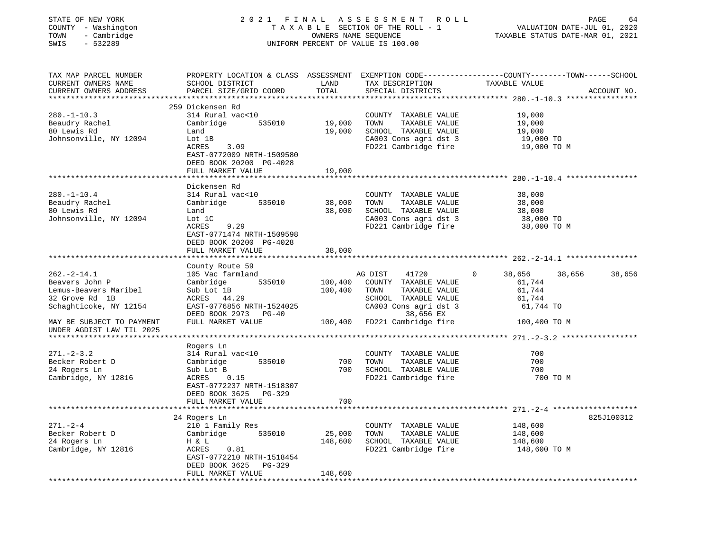| STATE OF NEW YORK<br>COUNTY - Washington<br>- Cambridge<br>TOWN<br>SWIS<br>$-532289$                                                 | 2021 FINAL                                                                                                                                                                  |                              | ASSESSMENT<br>R O L L<br>TAXABLE SECTION OF THE ROLL - 1<br>OWNERS NAME SEQUENCE<br>UNIFORM PERCENT OF VALUE IS 100.00                                          | PAGE<br>VALUATION DATE-JUL 01, 2020<br>TAXABLE STATUS DATE-MAR 01, 2021                                           | 64          |
|--------------------------------------------------------------------------------------------------------------------------------------|-----------------------------------------------------------------------------------------------------------------------------------------------------------------------------|------------------------------|-----------------------------------------------------------------------------------------------------------------------------------------------------------------|-------------------------------------------------------------------------------------------------------------------|-------------|
| TAX MAP PARCEL NUMBER<br>CURRENT OWNERS NAME<br>CURRENT OWNERS ADDRESS<br>**********************                                     | SCHOOL DISTRICT<br>PARCEL SIZE/GRID COORD                                                                                                                                   | LAND<br>TOTAL                | TAX DESCRIPTION<br>SPECIAL DISTRICTS                                                                                                                            | PROPERTY LOCATION & CLASS ASSESSMENT EXEMPTION CODE----------------COUNTY-------TOWN------SCHOOL<br>TAXABLE VALUE | ACCOUNT NO. |
| $280. - 1 - 10.3$<br>Beaudry Rachel<br>80 Lewis Rd<br>Johnsonville, NY 12094                                                         | 259 Dickensen Rd<br>314 Rural vac<10<br>Cambridge<br>535010<br>Land<br>Lot 1B<br>ACRES<br>3.09<br>EAST-0772009 NRTH-1509580<br>DEED BOOK 20200 PG-4028<br>FULL MARKET VALUE | 19,000<br>19,000<br>19,000   | COUNTY TAXABLE VALUE<br>TOWN<br>TAXABLE VALUE<br>SCHOOL TAXABLE VALUE<br>CA003 Cons agri dst 3<br>FD221 Cambridge fire                                          | 19,000<br>19,000<br>19,000<br>19,000 TO<br>19,000 TO M                                                            |             |
|                                                                                                                                      |                                                                                                                                                                             |                              |                                                                                                                                                                 | ************ 280.-1-10.4 ****                                                                                     |             |
| $280. - 1 - 10.4$<br>Beaudry Rachel<br>80 Lewis Rd<br>Johnsonville, NY 12094                                                         | Dickensen Rd<br>314 Rural vac<10<br>535010<br>Cambridge<br>Land<br>Lot 1C<br>9.29<br>ACRES<br>EAST-0771474 NRTH-1509598<br>DEED BOOK 20200 PG-4028<br>FULL MARKET VALUE     | 38,000<br>38,000<br>38,000   | COUNTY TAXABLE VALUE<br>TOWN<br>TAXABLE VALUE<br>SCHOOL TAXABLE VALUE<br>CA003 Cons agri dst 3<br>FD221 Cambridge fire                                          | 38,000<br>38,000<br>38,000<br>38,000 TO<br>38,000 TO M                                                            |             |
|                                                                                                                                      | ******************                                                                                                                                                          | * * * * * * * * * * * *      |                                                                                                                                                                 |                                                                                                                   |             |
| $262 - 2 - 14.1$<br>Beavers John P<br>Lemus-Beavers Maribel<br>32 Grove Rd 1B<br>Schaghticoke, NY 12154<br>MAY BE SUBJECT TO PAYMENT | County Route 59<br>105 Vac farmland<br>535010<br>Cambridge<br>Sub Lot 1B<br>ACRES 44.29<br>EAST-0776856 NRTH-1524025<br>DEED BOOK 2973 PG-40<br>FULL MARKET VALUE           | 100,400<br>100,400           | AG DIST<br>41720<br>COUNTY TAXABLE VALUE<br>TOWN<br>TAXABLE VALUE<br>SCHOOL TAXABLE VALUE<br>CA003 Cons agri dst 3<br>38,656 EX<br>100,400 FD221 Cambridge fire | 38,656<br>38,656<br>$\Omega$<br>61,744<br>61,744<br>61,744<br>61,744 TO<br>100,400 TO M                           | 38,656      |
| UNDER AGDIST LAW TIL 2025                                                                                                            |                                                                                                                                                                             |                              |                                                                                                                                                                 |                                                                                                                   |             |
| $271 - 2 - 3.2$<br>Becker Robert D<br>24 Rogers Ln<br>Cambridge, NY 12816                                                            | Rogers Ln<br>314 Rural vac<10<br>Cambridge<br>535010<br>Sub Lot B<br>ACRES<br>0.15<br>EAST-0772237 NRTH-1518307<br>DEED BOOK 3625 PG-329                                    | 700<br>700                   | COUNTY TAXABLE VALUE<br>TOWN<br>TAXABLE VALUE<br>SCHOOL TAXABLE VALUE<br>FD221 Cambridge fire                                                                   | 700<br>700<br>700<br>700 TO M                                                                                     |             |
|                                                                                                                                      | FULL MARKET VALUE                                                                                                                                                           | 700                          |                                                                                                                                                                 |                                                                                                                   |             |
| $271. - 2 - 4$<br>Becker Robert D<br>24 Rogers Ln                                                                                    | 24 Rogers Ln<br>210 1 Family Res<br>535010<br>Cambridge<br>H & L                                                                                                            | 25,000<br>148,600            | COUNTY TAXABLE VALUE<br>TOWN<br>TAXABLE VALUE<br>SCHOOL TAXABLE VALUE                                                                                           | ********** 271.-2-4 ******************<br>148,600<br>148,600<br>148,600                                           | 825J100312  |
| Cambridge, NY 12816                                                                                                                  | ACRES<br>0.81<br>EAST-0772210 NRTH-1518454<br>DEED BOOK 3625<br>PG-329<br>FULL MARKET VALUE                                                                                 | 148,600<br>***************** | FD221 Cambridge fire                                                                                                                                            | 148,600 TO M                                                                                                      |             |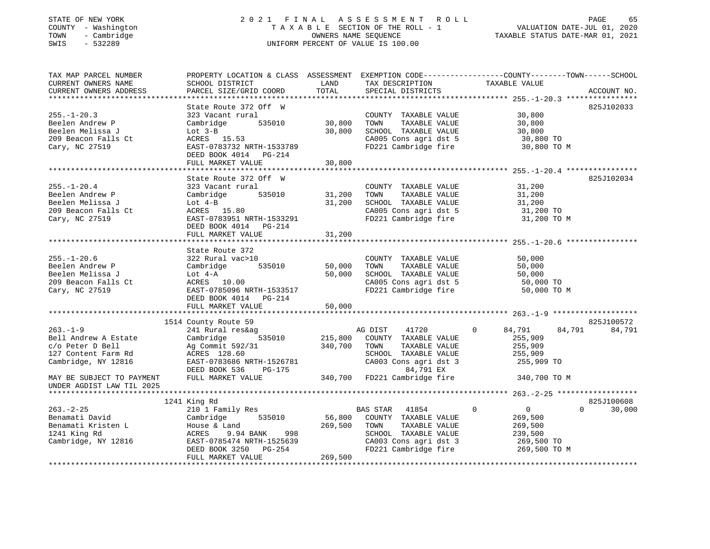# STATE OF NEW YORK 2 0 2 1 F I N A L A S S E S S M E N T R O L L PAGE 65COUNTY - Washington T A X A B L E SECTION OF THE ROLL - 1<br>
TOWN - Cambridge COUNTERS NAME SEQUENCE<br>
SWIS - 532289 SWIS - 2020 SWIS - 532289 UNIFORM PERCENT OF VALUE IS 100.00

--<br>VALUATION DATE-JUL 01, 2020<br>VALUATION DATE-MAD 01 2021

| TAX MAP PARCEL NUMBER<br>CURRENT OWNERS NAME<br>CURRENT OWNERS ADDRESS                                   | PROPERTY LOCATION & CLASS ASSESSMENT<br>SCHOOL DISTRICT<br>PARCEL SIZE/GRID COORD                                                                                 | LAND<br>TOTAL              | EXEMPTION CODE-----------------COUNTY-------TOWN------SCHOOL<br>TAX DESCRIPTION<br>SPECIAL DISTRICTS                                        | TAXABLE VALUE                                                                                | ACCOUNT NO.                    |
|----------------------------------------------------------------------------------------------------------|-------------------------------------------------------------------------------------------------------------------------------------------------------------------|----------------------------|---------------------------------------------------------------------------------------------------------------------------------------------|----------------------------------------------------------------------------------------------|--------------------------------|
| $255. - 1 - 20.3$<br>Beelen Andrew P<br>Beelen Melissa J                                                 | State Route 372 Off W<br>323 Vacant rural<br>535010<br>Cambridge<br>Lot $3-B$                                                                                     | 30,800<br>30,800           | COUNTY TAXABLE VALUE<br>TOWN<br>TAXABLE VALUE<br>SCHOOL TAXABLE VALUE                                                                       | 30,800<br>30,800<br>30,800                                                                   | 825J102033                     |
| 209 Beacon Falls Ct<br>Cary, NC 27519                                                                    | ACRES 15.53<br>EAST-0783732 NRTH-1533789<br>DEED BOOK 4014 PG-214<br>FULL MARKET VALUE                                                                            | 30,800                     | CA005 Cons agri dst 5<br>FD221 Cambridge fire                                                                                               | 30,800 TO<br>30,800 TO M                                                                     |                                |
|                                                                                                          |                                                                                                                                                                   | *************              |                                                                                                                                             |                                                                                              |                                |
| $255. - 1 - 20.4$<br>Beelen Andrew P<br>Beelen Melissa J<br>209 Beacon Falls Ct<br>Cary, NC 27519        | State Route 372 Off W<br>323 Vacant rural<br>Cambridge<br>535010<br>Lot $4-B$<br>ACRES 15.80<br>EAST-0783951 NRTH-1533291<br>DEED BOOK 4014 PG-214                | 31,200<br>31,200           | COUNTY TAXABLE VALUE<br>TOWN<br>TAXABLE VALUE<br>SCHOOL TAXABLE VALUE<br>CA005 Cons agri dst 5<br>FD221 Cambridge fire                      | 31,200<br>31,200<br>31,200<br>31,200 TO<br>31,200 TO M                                       | 825J102034                     |
|                                                                                                          | FULL MARKET VALUE                                                                                                                                                 | 31,200                     |                                                                                                                                             |                                                                                              |                                |
|                                                                                                          |                                                                                                                                                                   |                            |                                                                                                                                             |                                                                                              |                                |
| $255. - 1 - 20.6$<br>Beelen Andrew P<br>Beelen Melissa J<br>209 Beacon Falls Ct<br>Cary, NC 27519        | State Route 372<br>322 Rural vac>10<br>Cambridge<br>535010<br>Lot $4-A$<br>ACRES 10.00<br>EAST-0785096 NRTH-1533517<br>DEED BOOK 4014 PG-214<br>FULL MARKET VALUE | 50,000<br>50,000<br>50,000 | COUNTY TAXABLE VALUE<br>TOWN<br>TAXABLE VALUE<br>SCHOOL TAXABLE VALUE<br>CA005 Cons agri dst 5<br>FD221 Cambridge fire                      | 50,000<br>50,000<br>50,000<br>50,000 TO<br>50,000 TO M                                       |                                |
|                                                                                                          |                                                                                                                                                                   |                            |                                                                                                                                             |                                                                                              |                                |
| $263. - 1 - 9$<br>Bell Andrew A Estate<br>c/o Peter D Bell<br>127 Content Farm Rd<br>Cambridge, NY 12816 | 1514 County Route 59<br>241 Rural res&ag<br>Cambridge<br>535010<br>Ag Commit 592/31<br>ACRES 128.60<br>EAST-0783686 NRTH-1526781<br>DEED BOOK 536<br>PG-175       | 215,800<br>340,700         | AG DIST<br>41720<br>COUNTY TAXABLE VALUE<br>TOWN<br>TAXABLE VALUE<br>SCHOOL TAXABLE VALUE<br>CA003 Cons agri dst 3<br>84,791 EX             | $\Omega$<br>84,791<br>255,909<br>255,909<br>255,909<br>255,909 TO                            | 825J100572<br>84,791<br>84,791 |
| MAY BE SUBJECT TO PAYMENT<br>UNDER AGDIST LAW TIL 2025                                                   | FULL MARKET VALUE                                                                                                                                                 | 340,700                    | FD221 Cambridge fire                                                                                                                        | 340,700 TO M                                                                                 |                                |
| *************************                                                                                |                                                                                                                                                                   |                            |                                                                                                                                             |                                                                                              |                                |
|                                                                                                          | 1241 King Rd                                                                                                                                                      |                            |                                                                                                                                             |                                                                                              | 825J100608                     |
| $263. - 2 - 25$<br>Benamati David<br>Benamati Kristen L<br>1241 King Rd<br>Cambridge, NY 12816           | 210 1 Family Res<br>Cambridge<br>535010<br>House & Land<br>9.94 BANK<br>998<br>ACRES<br>EAST-0785474 NRTH-1525639<br>DEED BOOK 3250 PG-254                        | 56,800<br>269,500          | BAS STAR<br>41854<br>COUNTY TAXABLE VALUE<br>TOWN<br>TAXABLE VALUE<br>SCHOOL TAXABLE VALUE<br>CA003 Cons agri dst 3<br>FD221 Cambridge fire | $\mathbf 0$<br>$\overline{0}$<br>269,500<br>269,500<br>239,500<br>269,500 TO<br>269,500 TO M | $\Omega$<br>30,000             |
|                                                                                                          | FULL MARKET VALUE                                                                                                                                                 | 269,500                    |                                                                                                                                             |                                                                                              |                                |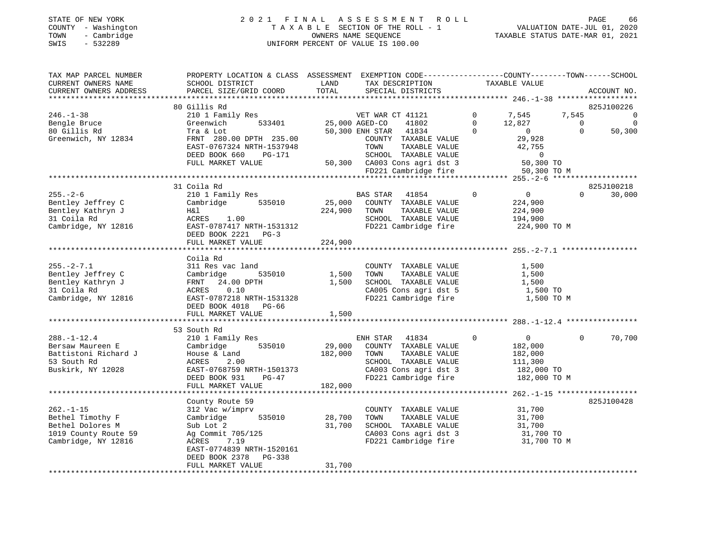# STATE OF NEW YORK 2 0 2 1 F I N A L A S S E S S M E N T R O L L PAGE 66COUNTY - Washington T A X A B L E SECTION OF THE ROLL - 1<br>
TOWN - Cambridge MOWNERS NAME SEQUENCE<br>
SWIS - 532289 MUSICON DATE-JUL 2020 MONTERS NAME SEQUENCE SWIS - 532289 UNIFORM PERCENT OF VALUE IS 100.00

VALUATION DATE-JUL 01, 2020

| TAX MAP PARCEL NUMBER<br>CURRENT OWNERS NAME<br>CURRENT OWNERS ADDRESS | PROPERTY LOCATION & CLASS ASSESSMENT EXEMPTION CODE----------------COUNTY-------TOWN------SCHOOL<br>SCHOOL DISTRICT<br>PARCEL SIZE/GRID COORD | LAND<br>TOTAL  | TAX DESCRIPTION<br>SPECIAL DISTRICTS                             |                | TAXABLE VALUE       |                | ACCOUNT NO.               |
|------------------------------------------------------------------------|-----------------------------------------------------------------------------------------------------------------------------------------------|----------------|------------------------------------------------------------------|----------------|---------------------|----------------|---------------------------|
|                                                                        | 80 Gillis Rd                                                                                                                                  |                |                                                                  |                |                     |                |                           |
| $246. - 1 - 38$                                                        | 210 1 Family Res                                                                                                                              |                | VET WAR CT 41121                                                 |                | 0 7,545             | 7,545          | 825J100226<br>$\mathbf 0$ |
| Bengle Bruce                                                           | 533401<br>Greenwich                                                                                                                           | 25,000 AGED-CO | 41802                                                            | $\overline{0}$ | 12,827              | $\overline{0}$ | $\Omega$                  |
| 80 Gillis Rd                                                           | Tra & Lot                                                                                                                                     |                | 50,300 ENH STAR 41834                                            | $\Omega$       | $\overline{0}$      | $\Omega$       | 50,300                    |
| Greenwich, NY 12834                                                    | FRNT 280.00 DPTH 235.00                                                                                                                       |                | COUNTY TAXABLE VALUE                                             |                | 29,928              |                |                           |
|                                                                        | EAST-0767324 NRTH-1537948                                                                                                                     |                | TOWN<br>TAXABLE VALUE                                            |                | 42,755              |                |                           |
|                                                                        | DEED BOOK 660<br>PG-171                                                                                                                       |                | SCHOOL TAXABLE VALUE                                             |                | $\overline{0}$      |                |                           |
|                                                                        | FULL MARKET VALUE                                                                                                                             |                | SCHOOL TAXABLE VALUE 0<br>50,300 CA003 Cons agri dst 3 50,300 TO |                |                     |                |                           |
|                                                                        |                                                                                                                                               |                | FD221 Cambridge fire                                             |                | 50,300 TO M         |                |                           |
|                                                                        |                                                                                                                                               |                |                                                                  |                |                     |                |                           |
|                                                                        | 31 Coila Rd                                                                                                                                   |                |                                                                  |                |                     |                | 825J100218                |
| $255. - 2 - 6$                                                         | 210 1 Family Res                                                                                                                              |                | <b>BAS STAR</b><br>41854                                         | $\Omega$       | $\overline{0}$      | $\Omega$       | 30,000                    |
| Bentley Jeffrey C                                                      | Cambridge 535010                                                                                                                              | 25,000         | COUNTY TAXABLE VALUE                                             |                | 224,900             |                |                           |
| Bentley Kathryn J                                                      | H&l                                                                                                                                           | 224,900        | TOWN<br>TAXABLE VALUE                                            |                | 224,900             |                |                           |
| 31 Coila Rd                                                            | ACRES 1.00                                                                                                                                    |                | SCHOOL TAXABLE VALUE                                             |                | 194,900             |                |                           |
| Cambridge, NY 12816                                                    | EAST-0787417 NRTH-1531312                                                                                                                     |                | FD221 Cambridge fire                                             |                | 224,900 TO M        |                |                           |
|                                                                        | DEED BOOK 2221<br>$PG-3$                                                                                                                      |                |                                                                  |                |                     |                |                           |
|                                                                        | FULL MARKET VALUE                                                                                                                             | 224,900        |                                                                  |                |                     |                |                           |
|                                                                        |                                                                                                                                               |                |                                                                  |                |                     |                |                           |
|                                                                        | Coila Rd                                                                                                                                      |                |                                                                  |                |                     |                |                           |
| $255. - 2 - 7.1$<br>Bentley Jeffrey C                                  | 311 Res vac land<br>535010                                                                                                                    | 1,500          | COUNTY TAXABLE VALUE<br>TAXABLE VALUE<br>TOWN                    |                | 1,500<br>1,500      |                |                           |
| Bentley Kathryn J                                                      | Cambridge<br>FRNT 24.00 DPTH                                                                                                                  | 1,500          | SCHOOL TAXABLE VALUE                                             |                | 1,500               |                |                           |
| 31 Coila Rd                                                            | 0.10<br>ACRES                                                                                                                                 |                |                                                                  |                | 1,500 TO            |                |                           |
| Cambridge, NY 12816                                                    | EAST-0787218 NRTH-1531328                                                                                                                     |                | CA005 Cons agri dst 5<br>FD221 Cambridge fire                    |                | 1,500 TO M          |                |                           |
|                                                                        | DEED BOOK 4018 PG-66                                                                                                                          |                |                                                                  |                |                     |                |                           |
|                                                                        | FULL MARKET VALUE                                                                                                                             | 1,500          |                                                                  |                |                     |                |                           |
|                                                                        |                                                                                                                                               |                |                                                                  |                |                     |                |                           |
|                                                                        | 53 South Rd                                                                                                                                   |                |                                                                  |                |                     |                |                           |
| $288. - 1 - 12.4$                                                      | 210 1 Family Res                                                                                                                              |                | ENH STAR 41834                                                   | $\circ$        | $\overline{0}$      | $\Omega$       | 70,700                    |
| Bersaw Maureen E                                                       | 535010<br>Cambridge                                                                                                                           | 29,000         | COUNTY TAXABLE VALUE                                             |                | 182,000             |                |                           |
| Battistoni Richard J                                                   | House & Land                                                                                                                                  | 182,000        | TOWN<br>TAXABLE VALUE                                            |                | 182,000             |                |                           |
| 53 South Rd                                                            | 2.00<br>ACRES                                                                                                                                 |                | SCHOOL TAXABLE VALUE                                             |                | 111,300             |                |                           |
| Buskirk, NY 12028                                                      | EAST-0768759 NRTH-1501373                                                                                                                     |                | CA003 Cons agri dst 3                                            |                | 182,000 TO          |                |                           |
|                                                                        | DEED BOOK 931<br>$PG-47$                                                                                                                      |                | FD221 Cambridge fire                                             |                | 182,000 TO M        |                |                           |
|                                                                        | FULL MARKET VALUE                                                                                                                             | 182,000        |                                                                  |                |                     |                |                           |
|                                                                        |                                                                                                                                               |                |                                                                  |                |                     |                |                           |
|                                                                        | County Route 59                                                                                                                               |                |                                                                  |                |                     |                | 825J100428                |
| $262. - 1 - 15$                                                        | 312 Vac w/imprv                                                                                                                               |                | COUNTY TAXABLE VALUE                                             |                | 31,700              |                |                           |
| Bethel Timothy F                                                       | Cambridge                                                                                                                                     | 535010 28,700  | TOWN<br>TAXABLE VALUE                                            |                | 31,700              |                |                           |
| Bethel Dolores M<br>1019 County Route 59                               | Sub Lot 2<br>Ag Commit 705/125                                                                                                                | 31,700         | SCHOOL TAXABLE VALUE<br>CA003 Cons agri dst 3                    |                | 31,700<br>31,700 TO |                |                           |
| Cambridge, NY 12816                                                    | ACRES<br>7.19                                                                                                                                 |                | FD221 Cambridge fire                                             |                | 31,700 TO M         |                |                           |
|                                                                        | EAST-0774839 NRTH-1520161                                                                                                                     |                |                                                                  |                |                     |                |                           |
|                                                                        | DEED BOOK 2378 PG-338                                                                                                                         |                |                                                                  |                |                     |                |                           |
|                                                                        | FULL MARKET VALUE                                                                                                                             | 31,700         |                                                                  |                |                     |                |                           |
|                                                                        |                                                                                                                                               |                |                                                                  |                |                     |                |                           |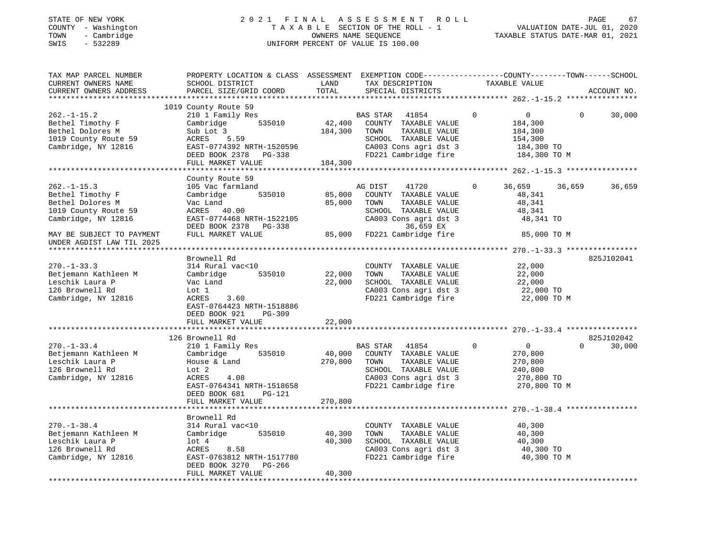# STATE OF NEW YORK 2 0 2 1 F I N A L A S S E S S M E N T R O L L PAGE 67COUNTY - Washington T A X A B L E SECTION OF THE ROLL - 1<br>
TOWN - Cambridge TOWN - Cambridge COUNTERS NAME SEQUENCE<br>
SWIS - 532289 SWIS - 532289 UNIFORM PERCENT OF VALUE IS 100.00

| TAX MAP PARCEL NUMBER<br>CURRENT OWNERS NAME<br>CURRENT OWNERS ADDRESS                                   | PROPERTY LOCATION & CLASS ASSESSMENT EXEMPTION CODE---------------COUNTY-------TOWN------SCHOOL<br>SCHOOL DISTRICT<br>PARCEL SIZE/GRID COORD                                             | LAND<br>TOTAL                | TAX DESCRIPTION<br>SPECIAL DISTRICTS                                                                                                               | TAXABLE VALUE                                                                |                          | ACCOUNT NO.          |
|----------------------------------------------------------------------------------------------------------|------------------------------------------------------------------------------------------------------------------------------------------------------------------------------------------|------------------------------|----------------------------------------------------------------------------------------------------------------------------------------------------|------------------------------------------------------------------------------|--------------------------|----------------------|
| ***********************                                                                                  |                                                                                                                                                                                          |                              |                                                                                                                                                    |                                                                              |                          |                      |
| $262. - 1 - 15.2$<br>Bethel Timothy F<br>Bethel Dolores M<br>1019 County Route 59<br>Cambridge, NY 12816 | 1019 County Route 59<br>210 1 Family Res<br>535010<br>Cambridge<br>Sub Lot 3<br>ACRES<br>5.59<br>EAST-0774392 NRTH-1520596<br>DEED BOOK 2378 PG-338<br>FULL MARKET VALUE                 | 42,400<br>184,300<br>184,300 | <b>BAS STAR</b><br>41854<br>COUNTY TAXABLE VALUE<br>TAXABLE VALUE<br>TOWN<br>SCHOOL TAXABLE VALUE<br>CA003 Cons agri dst 3<br>FD221 Cambridge fire | $\Omega$<br>$\overline{0}$<br>184,300<br>184,300<br>154,300<br>184,300 TO    | $\Omega$<br>184,300 TO M | 30,000               |
|                                                                                                          |                                                                                                                                                                                          |                              |                                                                                                                                                    |                                                                              |                          |                      |
| $262. -1 - 15.3$<br>Bethel Timothy F<br>Bethel Dolores M<br>1019 County Route 59<br>Cambridge, NY 12816  | County Route 59<br>105 Vac farmland<br>Cambridge<br>535010<br>Vac Land<br>ACRES 40.00<br>EAST-0774468 NRTH-1522105<br>DEED BOOK 2378 PG-338                                              | 85,000<br>85,000             | AG DIST<br>41720<br>COUNTY TAXABLE VALUE<br>TOWN<br>TAXABLE VALUE<br>SCHOOL TAXABLE VALUE<br>CA003 Cons agri dst 3<br>36,659 EX                    | $\Omega$<br>36,659<br>48,341<br>48,341<br>48,341                             | 36,659<br>48,341 TO      | 36,659               |
| MAY BE SUBJECT TO PAYMENT                                                                                | FULL MARKET VALUE                                                                                                                                                                        | 85,000                       | FD221 Cambridge fire                                                                                                                               |                                                                              | 85,000 TO M              |                      |
| UNDER AGDIST LAW TIL 2025                                                                                |                                                                                                                                                                                          |                              |                                                                                                                                                    |                                                                              |                          |                      |
|                                                                                                          |                                                                                                                                                                                          |                              |                                                                                                                                                    |                                                                              |                          |                      |
| $270. - 1 - 33.3$<br>Betjemann Kathleen M<br>Leschik Laura P<br>126 Brownell Rd<br>Cambridge, NY 12816   | Brownell Rd<br>314 Rural vac<10<br>535010<br>Cambridge<br>Vac Land<br>Lot 1<br>ACRES<br>3.60<br>EAST-0764423 NRTH-1518886<br>DEED BOOK 921<br>$PG-309$                                   | 22,000<br>22,000             | COUNTY TAXABLE VALUE<br>TAXABLE VALUE<br>TOWN<br>SCHOOL TAXABLE VALUE<br>CA003 Cons agri dst 3<br>FD221 Cambridge fire                             | 22,000<br>22,000<br>22,000                                                   | 22,000 TO<br>22,000 TO M | 825J102041           |
|                                                                                                          | FULL MARKET VALUE                                                                                                                                                                        | 22,000                       |                                                                                                                                                    |                                                                              |                          |                      |
|                                                                                                          |                                                                                                                                                                                          | **********                   |                                                                                                                                                    | ********************* 270.-1-33.4 ***********                                |                          |                      |
| $270. - 1 - 33.4$<br>Betjemann Kathleen M<br>Leschik Laura P<br>126 Brownell Rd<br>Cambridge, NY 12816   | 126 Brownell Rd<br>210 1 Family Res<br>Cambridge<br>535010<br>House & Land<br>Lot 2<br>4.08<br>ACRES<br>EAST-0764341 NRTH-1518658<br>DEED BOOK 681<br><b>PG-121</b><br>FULL MARKET VALUE | 40,000<br>270,800<br>270,800 | BAS STAR<br>41854<br>COUNTY TAXABLE VALUE<br>TAXABLE VALUE<br>TOWN<br>SCHOOL TAXABLE VALUE<br>CA003 Cons agri dst 3<br>FD221 Cambridge fire        | $\mathbf 0$<br>$\overline{0}$<br>270,800<br>270,800<br>240,800<br>270,800 TO | $\Omega$<br>270,800 TO M | 825J102042<br>30,000 |
|                                                                                                          |                                                                                                                                                                                          |                              |                                                                                                                                                    |                                                                              |                          |                      |
| $270. - 1 - 38.4$<br>Betjemann Kathleen M<br>Leschik Laura P<br>126 Brownell Rd<br>Cambridge, NY 12816   | Brownell Rd<br>314 Rural vac<10<br>535010<br>Cambridge<br>$1$ ot $4$<br>8.58<br>ACRES<br>EAST-0763812 NRTH-1517780<br>DEED BOOK 3270<br>PG-266<br>FULL MARKET VALUE                      | 40,300<br>40,300<br>40,300   | COUNTY TAXABLE VALUE<br>TAXABLE VALUE<br>TOWN<br>SCHOOL TAXABLE VALUE<br>CA003 Cons agri dst 3<br>FD221 Cambridge fire                             | 40,300<br>40,300<br>40,300                                                   | 40,300 TO<br>40,300 TO M |                      |
|                                                                                                          |                                                                                                                                                                                          |                              |                                                                                                                                                    |                                                                              |                          |                      |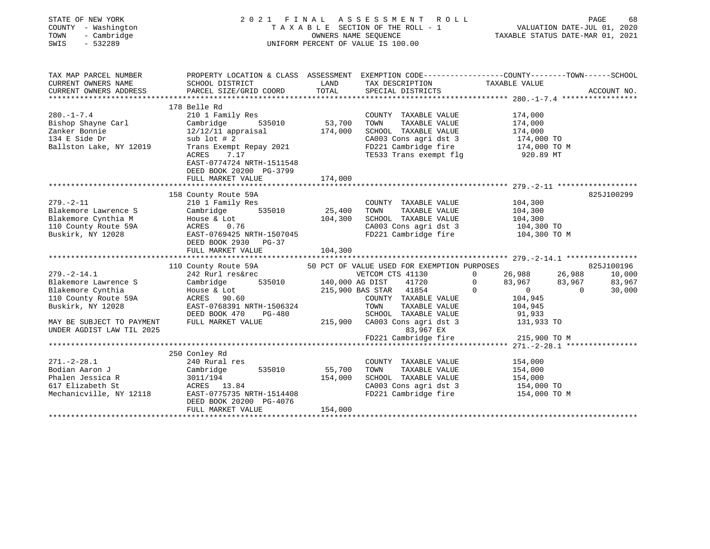| STATE OF NEW YORK<br>COUNTY - Washington<br>- Cambridge<br>TOWN<br>SWIS<br>$-532289$                                                                                                                                                                                              | 2021 FINAL ASSESSMENT ROLL                                                                                                                                                                                                                                | TAXABLE SECTION OF THE ROLL - 1<br>TAXABLE SECTION OF THE ROLL - 1<br>OWNERS NAME SEQUENCE<br>UNIFORM PERCENT OF VALUE IS 100.00<br>ONIFORM PERCENT OF VALUE IS 100.00 |                                                                                                                   |                                                                                                                                       |
|-----------------------------------------------------------------------------------------------------------------------------------------------------------------------------------------------------------------------------------------------------------------------------------|-----------------------------------------------------------------------------------------------------------------------------------------------------------------------------------------------------------------------------------------------------------|------------------------------------------------------------------------------------------------------------------------------------------------------------------------|-------------------------------------------------------------------------------------------------------------------|---------------------------------------------------------------------------------------------------------------------------------------|
| TAX MAP PARCEL NUMBER<br>CURRENT OWNERS NAME                                                                                                                                                                                                                                      | SCHOOL DISTRICT                                                                                                                                                                                                                                           | LAND                                                                                                                                                                   |                                                                                                                   | PROPERTY LOCATION & CLASS ASSESSMENT EXEMPTION CODE-----------------COUNTY--------TOWN------SCHOOL                                    |
| CURRENT OWNERS ADDRESS                                                                                                                                                                                                                                                            | PARCEL SIZE/GRID COORD                                                                                                                                                                                                                                    | TOTAL                                                                                                                                                                  | TAX DESCRIPTION TAXABLE VALUE SPECIAL DISTRICTS                                                                   | ACCOUNT NO.                                                                                                                           |
| $280. - 1 - 7.4$<br>Zou.-1<br>Bishop Shayne Carl<br>Zanker Bonnie<br><sup>124</sup> F Side Dr                                                                                                                                                                                     | 178 Belle Rd<br>2000 1 Family Res<br>Cambridge 535010 53,700<br>12/12/11 appraisal 174,000                                                                                                                                                                |                                                                                                                                                                        | COUNTY TAXABLE VALUE 174,000                                                                                      | TOWN TAXABLE VALUE 174,000<br>SCHOOL TAXABLE VALUE 174,000<br>CA003 Cons agri dst 3 174,000 TO<br>FD221 Cambridge fire 174,000 TO M   |
| Ballston Lake, NY 12019                                                                                                                                                                                                                                                           | $T = 1$<br>Trans Exempt Repay 2021<br>ACRES 7.17<br>EAST-0774724 WERE<br>EAST-0774724 NRTH-1511548<br>DEED BOOK 20200 PG-3799<br>FULL MARKET VALUE                                                                                                        | 174,000                                                                                                                                                                | TE533 Trans exempt flg                                                                                            | 920.89 MT                                                                                                                             |
|                                                                                                                                                                                                                                                                                   |                                                                                                                                                                                                                                                           |                                                                                                                                                                        |                                                                                                                   |                                                                                                                                       |
| $279. - 2 - 11$<br>Blakemore Lawrence S<br>Blakemore Cynthia M<br>110 County Route 59A<br>Buskirk, NY 12028                                                                                                                                                                       | 158 County Route 59A<br>County Route 59A<br>210 1 Family Res<br>Cambridge 535010 25,400<br>House & Lot 104,300<br>ACRES 0.76 104,300<br>Cambridge 535010 25,400<br>House & Lot 104,300<br>ACRES 0.76<br>EAST-0769425 NRTH-1507045<br>DEED BOOK 2930 PG-37 |                                                                                                                                                                        | COUNTY TAXABLE VALUE 104,300<br>TOWN TAXABLE VALUE 104,300<br>SCHOOL TAXABLE VALUE 104,300                        | 825J100299<br>CA003 Cons agri dst 3 104,300 TO<br>FD221 Cambridge fire 104,300 TO M                                                   |
|                                                                                                                                                                                                                                                                                   | FULL MARKET VALUE                                                                                                                                                                                                                                         | 104,300                                                                                                                                                                |                                                                                                                   |                                                                                                                                       |
|                                                                                                                                                                                                                                                                                   |                                                                                                                                                                                                                                                           |                                                                                                                                                                        |                                                                                                                   |                                                                                                                                       |
|                                                                                                                                                                                                                                                                                   | 110 County Route 59A 50 PCT OF VALUE USED FOR EXEMPTION PURPOSES                                                                                                                                                                                          |                                                                                                                                                                        |                                                                                                                   | 825J100196<br>0 26,988 26,988 10,000                                                                                                  |
| 279.-2-14.1<br>242 Rurl res&rec<br>Blakemore Lawrence S<br>242 Rurl res&rec<br>242 Rurl res&rec<br>535010<br>215,900 BAS STAR 41854<br>215,900 BAS STAR 41854<br>215,900 BAS STAR 41854<br>215,900 BAS STAR 41854<br>215,900 BAS STAR 41854<br>215,9<br>MAY BE SUBJECT TO PAYMENT | 104,945<br>DEED BOOK 470 PG-480<br>FULL MARKET VALUE 215,900 CA003 Cons agri dst 3<br>FULL MARKET VALUE 215,900 CA003 Cons agri dst 3<br>FULL MARKET VALUE 215,900 CA003 Cons agri dst 3<br>FD221 Cambridge fine                                          |                                                                                                                                                                        |                                                                                                                   | $83,967$ $83,967$ $83,967$ $83,967$ $83,967$<br>AS STAR 41854 0 0 0 0 0<br>COUNTY TAXABLE VALUE 104,945<br>TOWN TAXABLE VALUE 104,945 |
| UNDER AGDIST LAW TIL 2025                                                                                                                                                                                                                                                         |                                                                                                                                                                                                                                                           |                                                                                                                                                                        |                                                                                                                   | $FD221$ Cambridge fire 215,900 TO M                                                                                                   |
|                                                                                                                                                                                                                                                                                   |                                                                                                                                                                                                                                                           |                                                                                                                                                                        |                                                                                                                   |                                                                                                                                       |
|                                                                                                                                                                                                                                                                                   | 250 Conley Rd                                                                                                                                                                                                                                             |                                                                                                                                                                        |                                                                                                                   |                                                                                                                                       |
| $271. - 2 - 28.1$                                                                                                                                                                                                                                                                 | 240 Rural res<br>DEED BOOK 20200 PG-4076                                                                                                                                                                                                                  |                                                                                                                                                                        | COUNTY TAXABLE VALUE<br>TAXABLE VALUE<br>TOWN<br>SCHOOL TAXABLE VALUE 154,000<br>CA003 Cons agri dst 3 154,000 TO | 154,000<br>154,000<br>FD221 Cambridge fire 154,000 TO M                                                                               |
|                                                                                                                                                                                                                                                                                   | FULL MARKET VALUE                                                                                                                                                                                                                                         | 154,000                                                                                                                                                                |                                                                                                                   |                                                                                                                                       |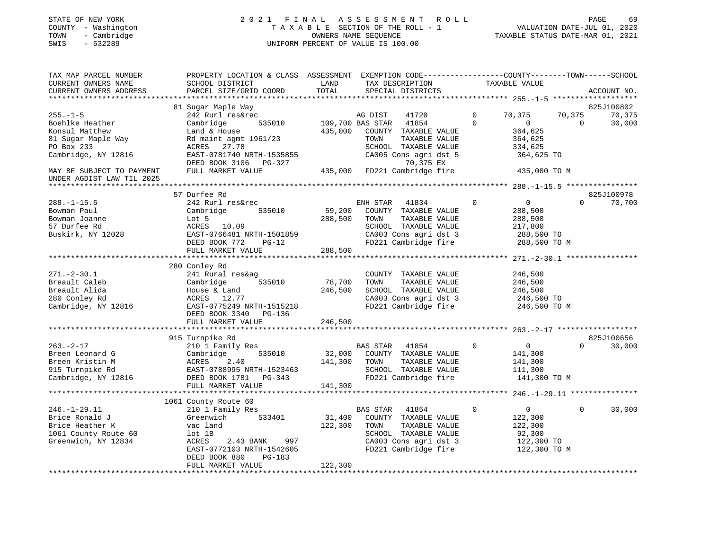# STATE OF NEW YORK 2 0 2 1 F I N A L A S S E S S M E N T R O L L PAGE 69COUNTY - Washington T A X A B L E SECTION OF THE ROLL - 1<br>
TOWN - Cambridge COUNTERS NAME SEQUENCE<br>
SWIS - 532289 UNIFORM PERCENT OF VALUE IS 100.00 SWIS - 532289 UNIFORM PERCENT OF VALUE IS 100.00

VALUATION DATE-JUL 01, 2020

| TAX MAP PARCEL NUMBER<br>CURRENT OWNERS NAME | PROPERTY LOCATION & CLASS ASSESSMENT EXEMPTION CODE----------------COUNTY-------TOWN-----SCHOOL<br>SCHOOL DISTRICT | LAND             | TAX DESCRIPTION TAXABLE VALUE             |                               |                    |
|----------------------------------------------|--------------------------------------------------------------------------------------------------------------------|------------------|-------------------------------------------|-------------------------------|--------------------|
| CURRENT OWNERS ADDRESS                       | PARCEL SIZE/GRID COORD                                                                                             | TOTAL            | SPECIAL DISTRICTS                         |                               | ACCOUNT NO.        |
|                                              |                                                                                                                    |                  |                                           |                               |                    |
|                                              | 81 Sugar Maple Way                                                                                                 |                  |                                           |                               | 825J100802         |
| $255. - 1 - 5$                               | 242 Rurl res&rec                                                                                                   |                  | AG DIST<br>41720                          | $\mathbf{0}$<br>70,375        | 70,375<br>70,375   |
| Boehlke Heather                              | 535010<br>Cambridge                                                                                                | 109,700 BAS STAR | 41854                                     | $\Omega$<br>$\overline{0}$    | 30,000<br>$\Omega$ |
| Konsul Matthew                               | Land & House                                                                                                       | 435,000          | COUNTY TAXABLE VALUE                      | 364,625                       |                    |
| 81 Sugar Maple Way                           | Rd maint agmt 1961/23                                                                                              |                  | TOWN<br>TAXABLE VALUE                     | 364,625                       |                    |
| PO Box 233                                   | ACRES 27.78                                                                                                        |                  | SCHOOL TAXABLE VALUE                      | 334,625                       |                    |
| Cambridge, NY 12816                          | EAST-0781740 NRTH-1535855<br>DEED BOOK 3106 PG-327                                                                 |                  | CA005 Cons agri dst 5<br>70,375 EX        | 364,625 TO                    |                    |
| MAY BE SUBJECT TO PAYMENT                    | FULL MARKET VALUE                                                                                                  |                  | 435,000 FD221 Cambridge fire 315,000 TO M |                               |                    |
| UNDER AGDIST LAW TIL 2025                    |                                                                                                                    |                  |                                           |                               |                    |
|                                              |                                                                                                                    |                  |                                           |                               |                    |
|                                              | 57 Durfee Rd                                                                                                       |                  |                                           |                               | 825J100978         |
| $288. - 1 - 15.5$                            | 242 Rurl res&rec                                                                                                   |                  | ENH STAR<br>41834                         | $\Omega$<br>$\overline{0}$    | $\Omega$<br>70,700 |
| Bowman Paul                                  | 535010<br>Cambridge                                                                                                | 59,200           | COUNTY TAXABLE VALUE                      | 288,500                       |                    |
| Bowman Joanne                                | Lot 5                                                                                                              | 288,500          | TOWN<br>TAXABLE VALUE                     | 288,500                       |                    |
| 57 Durfee Rd                                 | ACRES 10.09                                                                                                        |                  | SCHOOL TAXABLE VALUE                      | 217,800                       |                    |
| Buskirk, NY 12028                            | EAST-0766481 NRTH-1501859                                                                                          |                  | CA003 Cons agri dst 3                     | 288,500 TO                    |                    |
|                                              | DEED BOOK 772<br>PG-12                                                                                             |                  | FD221 Cambridge fire                      | 288,500 TO M                  |                    |
|                                              | FULL MARKET VALUE                                                                                                  | 288,500          |                                           |                               |                    |
|                                              |                                                                                                                    |                  |                                           |                               |                    |
|                                              | 280 Conley Rd                                                                                                      |                  |                                           |                               |                    |
| $271. - 2 - 30.1$                            | 241 Rural res&ag                                                                                                   |                  | COUNTY TAXABLE VALUE                      | 246,500                       |                    |
| Breault Caleb                                | Cambridge<br>535010                                                                                                | 78,700           | TOWN<br>TAXABLE VALUE                     | 246,500                       |                    |
| Breault Alida                                | House & Land                                                                                                       | 246,500          | SCHOOL TAXABLE VALUE                      | 246,500                       |                    |
| 280 Conley Rd                                | ACRES 12.77                                                                                                        |                  | CA003 Cons agri dst 3                     | 246,500 TO                    |                    |
| Cambridge, NY 12816                          | EAST-0775249 NRTH-1515218                                                                                          |                  | FD221 Cambridge fire                      | 246,500 TO M                  |                    |
|                                              | DEED BOOK 3340 PG-136                                                                                              |                  |                                           |                               |                    |
|                                              | FULL MARKET VALUE                                                                                                  | 246,500          |                                           |                               |                    |
|                                              |                                                                                                                    |                  |                                           |                               |                    |
|                                              | 915 Turnpike Rd                                                                                                    |                  |                                           |                               | 825J100656         |
| $263. -2 - 17$                               | 210 1 Family Res                                                                                                   |                  | <b>BAS STAR</b><br>41854                  | $\mathbf 0$<br>$\overline{0}$ | 30,000<br>$\Omega$ |
| Breen Leonard G                              | Cambridge<br>535010                                                                                                | 32,000           | COUNTY TAXABLE VALUE                      | 141,300                       |                    |
| Breen Kristin M                              | ACRES<br>2.40                                                                                                      | 141,300          | TAXABLE VALUE<br>TOWN                     | 141,300                       |                    |
| 915 Turnpike Rd                              | EAST-0788995 NRTH-1523463                                                                                          |                  | SCHOOL TAXABLE VALUE                      | 111,300                       |                    |
| Cambridge, NY 12816                          | DEED BOOK 1781 PG-343                                                                                              |                  | FD221 Cambridge fire                      | 141,300 TO M                  |                    |
|                                              | FULL MARKET VALUE                                                                                                  | 141,300          |                                           |                               |                    |
|                                              |                                                                                                                    |                  |                                           |                               |                    |
|                                              | 1061 County Route 60                                                                                               |                  |                                           |                               |                    |
| $246. - 1 - 29.11$                           | 210 1 Family Res                                                                                                   |                  | BAS STAR 41854                            | $\mathbf 0$<br>$\overline{0}$ | $\Omega$<br>30,000 |
| Brice Ronald J                               | Greenwich<br>533401                                                                                                | 31,400           | COUNTY TAXABLE VALUE                      | 122,300                       |                    |
| Brice Heather K                              | vac land                                                                                                           | 122,300          | TOWN<br>TAXABLE VALUE                     | 122,300                       |                    |
| 1061 County Route 60                         | lot 1B                                                                                                             |                  | SCHOOL TAXABLE VALUE                      | 92,300                        |                    |
| Greenwich, NY 12834                          | 2.43 BANK 997<br>ACRES                                                                                             |                  | CA003 Cons agri dst 3                     | 122,300 TO                    |                    |
|                                              | EAST-0772103 NRTH-1542605                                                                                          |                  | FD221 Cambridge fire                      | 122,300 TO M                  |                    |
|                                              | DEED BOOK 880<br>$PG-183$                                                                                          |                  |                                           |                               |                    |
|                                              | FULL MARKET VALUE                                                                                                  | 122,300          |                                           |                               |                    |
|                                              |                                                                                                                    |                  |                                           |                               |                    |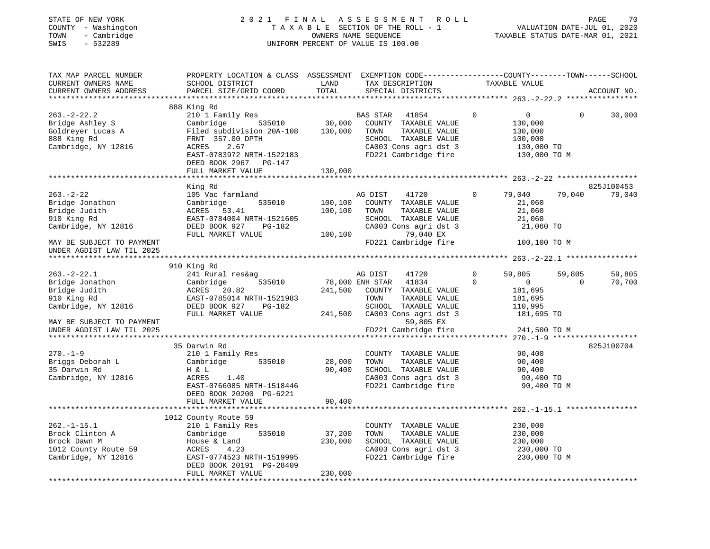| STATE OF NEW YORK    |  |              |  |
|----------------------|--|--------------|--|
| COUNTY               |  | - Washington |  |
| TOWN                 |  | - Cambridge  |  |
| $\sim$ $\sim$ $\sim$ |  | 50000        |  |

## STATE OF NEW YORK 2 0 2 1 F I N A L A S S E S S M E N T R O L L PAGE 70 COUNTY - Washington T A X A B L E SECTION OF THE ROLL - 1 VALUATION DATE-JUL 01, 2020 TOWN - Cambridge OWNERS NAME SEQUENCE TAXABLE STATUS DATE-MAR 01, 2021 SWIS - 532289 UNIFORM PERCENT OF VALUE IS 100.00

| TAX MAP PARCEL NUMBER<br>CURRENT OWNERS NAME<br>CURRENT OWNERS ADDRESS                                                 | PROPERTY LOCATION & CLASS ASSESSMENT EXEMPTION CODE---------------COUNTY-------TOWN------SCHOOL<br>SCHOOL DISTRICT<br>PARCEL SIZE/GRID COORD                                                        | LAND<br>TOTAL                 | TAX DESCRIPTION<br>SPECIAL DISTRICTS                                                                                                                    | TAXABLE VALUE                                                                                | ACCOUNT NO.                            |
|------------------------------------------------------------------------------------------------------------------------|-----------------------------------------------------------------------------------------------------------------------------------------------------------------------------------------------------|-------------------------------|---------------------------------------------------------------------------------------------------------------------------------------------------------|----------------------------------------------------------------------------------------------|----------------------------------------|
| $263. -2 - 22.2$<br>Bridge Ashley S<br>Goldreyer Lucas A<br>888 King Rd<br>Cambridge, NY 12816                         | 888 King Rd<br>210 1 Family Res<br>535010<br>Cambridge<br>Filed subdivision 20A-108<br>FRNT 357.00 DPTH<br>ACRES<br>2.67<br>EAST-0783972 NRTH-1522183<br>DEED BOOK 2967 PG-147<br>FULL MARKET VALUE | 30,000<br>130,000<br>130,000  | BAS STAR<br>41854<br>COUNTY TAXABLE VALUE<br>TOWN<br>TAXABLE VALUE<br>SCHOOL TAXABLE VALUE<br>CA003 Cons agri dst 3<br>FD221 Cambridge fire             | $\mathbf 0$<br>$\overline{0}$<br>130,000<br>130,000<br>100,000<br>130,000 TO<br>130,000 TO M | $\Omega$<br>30,000                     |
|                                                                                                                        |                                                                                                                                                                                                     |                               |                                                                                                                                                         |                                                                                              |                                        |
| $263. - 2 - 22$<br>Bridge Jonathon<br>Bridge Judith<br>910 King Rd<br>Cambridge, NY 12816<br>MAY BE SUBJECT TO PAYMENT | King Rd<br>105 Vac farmland<br>535010<br>Cambridge<br>ACRES 53.41<br>EAST-0784004 NRTH-1521605<br>DEED BOOK 927<br>PG-182<br>FULL MARKET VALUE                                                      | 100,100<br>100,100<br>100,100 | AG DIST<br>41720<br>COUNTY TAXABLE VALUE<br>TOWN<br>TAXABLE VALUE<br>SCHOOL TAXABLE VALUE<br>CA003 Cons agri dst 3<br>79,040 EX<br>FD221 Cambridge fire | $\circ$<br>79,040<br>21,060<br>21,060<br>21,060<br>21,060 TO<br>100,100 TO M                 | 825J100453<br>79,040<br>79,040         |
| UNDER AGDIST LAW TIL 2025                                                                                              |                                                                                                                                                                                                     |                               |                                                                                                                                                         |                                                                                              |                                        |
| $263. - 2 - 22.1$<br>Bridge Jonathon<br>Bridge Judith<br>910 King Rd                                                   | 910 King Rd<br>241 Rural res&ag<br>535010<br>Cambridge<br>ACRES 20.82<br>EAST-0785014 NRTH-1521983                                                                                                  | 241,500                       | 41720<br>AG DIST<br>78,000 ENH STAR 41834<br>COUNTY TAXABLE VALUE<br>TOWN<br>TAXABLE VALUE                                                              | 59,805<br>0<br>$\overline{0}$<br>$\Omega$<br>181,695<br>181,695                              | 59,805<br>59,805<br>70,700<br>$\Omega$ |
| Cambridge, NY 12816<br>MAY BE SUBJECT TO PAYMENT<br>UNDER AGDIST LAW TIL 2025                                          | DEED BOOK 927<br>PG-182<br>FULL MARKET VALUE                                                                                                                                                        |                               | SCHOOL TAXABLE VALUE<br>241,500 CA003 Cons agri dst 3<br>59,805 EX<br>FD221 Cambridge fire                                                              | 110,995<br>181,695 TO<br>241,500 TO M                                                        |                                        |
| $270. - 1 - 9$<br>Briggs Deborah L<br>35 Darwin Rd<br>Cambridge, NY 12816                                              | 35 Darwin Rd<br>210 1 Family Res<br>535010<br>Cambridge<br>H & L<br>ACRES<br>1.40<br>EAST-0766085 NRTH-1518446<br>DEED BOOK 20200 PG-6221<br>FULL MARKET VALUE                                      | 28,000<br>90,400<br>90,400    | COUNTY TAXABLE VALUE<br>TAXABLE VALUE<br>TOWN<br>SCHOOL TAXABLE VALUE<br>CA003 Cons agri dst 3<br>FD221 Cambridge fire                                  | 90,400<br>90,400<br>90,400<br>90,400 TO<br>90,400 TO M                                       | 825J100704                             |
|                                                                                                                        | 1012 County Route 59                                                                                                                                                                                |                               |                                                                                                                                                         |                                                                                              |                                        |
| $262. - 1 - 15.1$<br>Brock Clinton A<br>Brock Dawn M<br>1012 County Route 59<br>Cambridge, NY 12816                    | 210 1 Family Res<br>535010<br>Cambridge<br>House & Land<br>ACRES<br>4.23<br>EAST-0774523 NRTH-1519995<br>DEED BOOK 20191 PG-28409<br>FULL MARKET VALUE                                              | 37,200<br>230,000<br>230,000  | COUNTY TAXABLE VALUE<br>TOWN<br>TAXABLE VALUE<br>SCHOOL TAXABLE VALUE<br>CA003 Cons agri dst 3<br>FD221 Cambridge fire                                  | 230,000<br>230,000<br>230,000<br>230,000 TO<br>230,000 TO M                                  |                                        |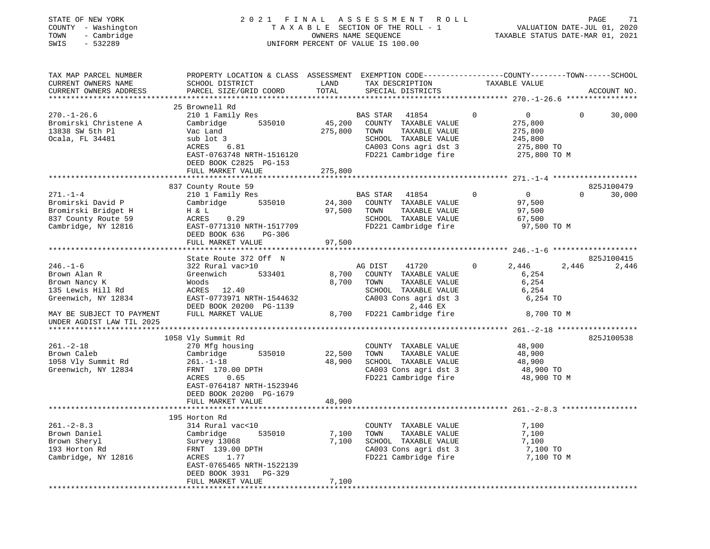# STATE OF NEW YORK 2 0 2 1 F I N A L A S S E S S M E N T R O L L PAGE 71COUNTY - Washington T A X A B L E SECTION OF THE ROLL - 1<br>
TOWN - Cambridge COUNERS NAME SEQUENCE<br>
SWIS - 532289 SWIS - 2020 SWIS - 532289 UNIFORM PERCENT OF VALUE IS 100.00

 $\begin{tabular}{ccccc} \textbf{Value} & \textbf{Value} & \textbf{Value} \\ \textbf{VALUATION} & \textbf{DATE-JUL} & \textbf{01,} & \textbf{2020} \\ \hline \textbf{Value} & \textbf{Value} & \textbf{MAP} & \textbf{01,} & \textbf{2021} \\ \end{tabular}$ 

| TAX MAP PARCEL NUMBER<br>CURRENT OWNERS NAME<br>CURRENT OWNERS ADDRESS                                                   | PROPERTY LOCATION & CLASS ASSESSMENT EXEMPTION CODE---------------COUNTY-------TOWN------SCHOOL<br>SCHOOL DISTRICT<br>PARCEL SIZE/GRID COORD                                 | LAND<br>TOTAL           | TAX DESCRIPTION<br>SPECIAL DISTRICTS                                                                                                                   | TAXABLE VALUE                                                                | ACCOUNT NO.           |
|--------------------------------------------------------------------------------------------------------------------------|------------------------------------------------------------------------------------------------------------------------------------------------------------------------------|-------------------------|--------------------------------------------------------------------------------------------------------------------------------------------------------|------------------------------------------------------------------------------|-----------------------|
| ***********************<br>$270. - 1 - 26.6$<br>Bromirski Christene A<br>13838 SW 5th Pl<br>Ocala, FL 34481              | 25 Brownell Rd<br>210 1 Family Res<br>535010<br>Cambridge<br>Vac Land<br>sub lot 3                                                                                           | 45,200<br>275,800       | BAS STAR<br>41854<br>COUNTY TAXABLE VALUE<br>TAXABLE VALUE<br>TOWN<br>SCHOOL TAXABLE VALUE                                                             | $\mathbf 0$<br>$\overline{0}$<br>275,800<br>275,800<br>245,800               | $\mathbf 0$<br>30,000 |
|                                                                                                                          | ACRES<br>6.81<br>EAST-0763748 NRTH-1516120<br>DEED BOOK C2825 PG-153<br>FULL MARKET VALUE                                                                                    | 275,800                 | CA003 Cons agri dst 3<br>FD221 Cambridge fire                                                                                                          | 275,800 TO<br>275,800 TO M                                                   |                       |
|                                                                                                                          | 837 County Route 59                                                                                                                                                          |                         |                                                                                                                                                        |                                                                              | 825J100479            |
| $271. - 1 - 4$<br>Bromirski David P<br>Bromirski Bridget H<br>837 County Route 59<br>Cambridge, NY 12816                 | 210 1 Family Res<br>535010<br>Cambridge<br>H & L<br>0.29<br>ACRES<br>EAST-0771310 NRTH-1517709<br>DEED BOOK 636<br>PG-306                                                    | 24,300<br>97,500        | BAS STAR<br>41854<br>COUNTY TAXABLE VALUE<br>TOWN<br>TAXABLE VALUE<br>SCHOOL TAXABLE VALUE<br>FD221 Cambridge fire                                     | $\Omega$<br>$\overline{0}$<br>97,500<br>97,500<br>67,500<br>97,500 TO M      | $\Omega$<br>30,000    |
|                                                                                                                          | FULL MARKET VALUE                                                                                                                                                            | 97,500                  |                                                                                                                                                        |                                                                              |                       |
|                                                                                                                          | State Route 372 Off N                                                                                                                                                        |                         |                                                                                                                                                        |                                                                              | 825J100415            |
| $246. - 1 - 6$<br>Brown Alan R<br>Brown Nancy K<br>135 Lewis Hill Rd<br>Greenwich, NY 12834<br>MAY BE SUBJECT TO PAYMENT | 322 Rural vac>10<br>533401<br>Greenwich<br>Woods<br>ACRES 12.40<br>EAST-0773971 NRTH-1544632<br>DEED BOOK 20200 PG-1139<br>FULL MARKET VALUE                                 | 8,700<br>8,700<br>8,700 | AG DIST<br>41720<br>COUNTY TAXABLE VALUE<br>TOWN<br>TAXABLE VALUE<br>SCHOOL TAXABLE VALUE<br>CA003 Cons agri dst 3<br>2,446 EX<br>FD221 Cambridge fire | 2,446<br>$\overline{0}$<br>6,254<br>6,254<br>6,254<br>6,254 TO<br>8,700 TO M | 2,446<br>2,446        |
| UNDER AGDIST LAW TIL 2025                                                                                                |                                                                                                                                                                              |                         |                                                                                                                                                        |                                                                              |                       |
|                                                                                                                          |                                                                                                                                                                              |                         |                                                                                                                                                        |                                                                              |                       |
| $261. - 2 - 18$<br>Brown Caleb<br>1058 Vly Summit Rd<br>Greenwich, NY 12834                                              | 1058 Vly Summit Rd<br>270 Mfg housing<br>Cambridge<br>535010<br>$261. - 1 - 18$<br>FRNT 170.00 DPTH<br>ACRES<br>0.65<br>EAST-0764187 NRTH-1523946<br>DEED BOOK 20200 PG-1679 | 22,500<br>48,900        | COUNTY TAXABLE VALUE<br>TOWN<br>TAXABLE VALUE<br>SCHOOL TAXABLE VALUE<br>CA003 Cons agri dst 3<br>FD221 Cambridge fire                                 | 48,900<br>48,900<br>48,900<br>48,900 TO<br>48,900 TO M                       | 825J100538            |
|                                                                                                                          | FULL MARKET VALUE                                                                                                                                                            | 48,900                  |                                                                                                                                                        |                                                                              |                       |
|                                                                                                                          | 195 Horton Rd                                                                                                                                                                |                         |                                                                                                                                                        |                                                                              |                       |
| $261 - 2 - 8.3$<br>Brown Daniel<br>Brown Sheryl<br>193 Horton Rd<br>Cambridge, NY 12816                                  | 314 Rural vac<10<br>535010<br>Cambridge<br>Survey 13068<br>FRNT 139.00 DPTH<br>1.77<br>ACRES<br>EAST-0765465 NRTH-1522139<br>DEED BOOK 3931<br>$PG-329$                      | 7,100<br>7,100          | COUNTY TAXABLE VALUE<br>TAXABLE VALUE<br>TOWN<br>SCHOOL TAXABLE VALUE<br>CA003 Cons agri dst 3<br>FD221 Cambridge fire                                 | 7,100<br>7,100<br>7,100<br>7,100 TO<br>7,100 TO M                            |                       |
|                                                                                                                          | FULL MARKET VALUE                                                                                                                                                            | 7,100                   |                                                                                                                                                        |                                                                              |                       |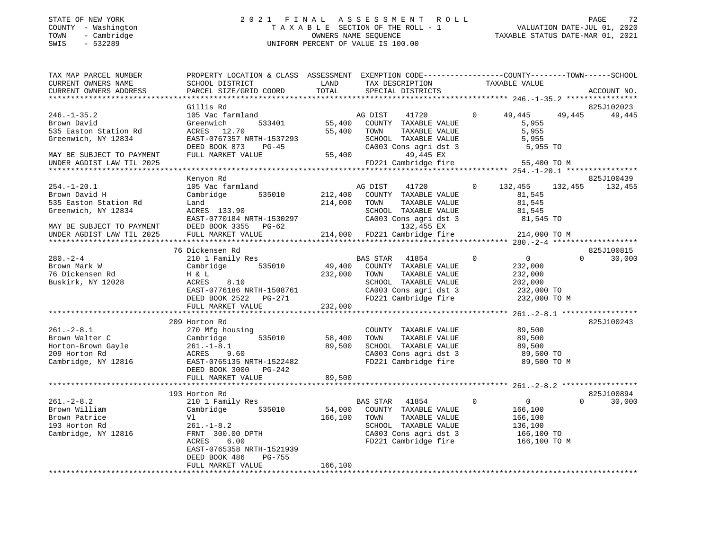# STATE OF NEW YORK 2 0 2 1 F I N A L A S S E S S M E N T R O L L PAGE 72COUNTY - Washington T A X A B L E SECTION OF THE ROLL - 1<br>
TOWN - Cambridge COUNTY - Washington<br>
SWIS - 532289 UNIFORM PERCENT OF VALUE IS 100.00 SWIS - 532289 UNIFORM PERCENT OF VALUE IS 100.00

| TAX MAP PARCEL NUMBER<br>CURRENT OWNERS NAME<br>CURRENT OWNERS ADDRESS                           | PROPERTY LOCATION & CLASS ASSESSMENT<br>SCHOOL DISTRICT<br>PARCEL SIZE/GRID COORD                                                                                       | LAND<br>TOTAL                                | EXEMPTION CODE-----------------COUNTY-------TOWN------SCHOOL<br>TAX DESCRIPTION<br>SPECIAL DISTRICTS                                               | TAXABLE VALUE                                                                                | ACCOUNT NO.                      |
|--------------------------------------------------------------------------------------------------|-------------------------------------------------------------------------------------------------------------------------------------------------------------------------|----------------------------------------------|----------------------------------------------------------------------------------------------------------------------------------------------------|----------------------------------------------------------------------------------------------|----------------------------------|
| *************************                                                                        |                                                                                                                                                                         |                                              |                                                                                                                                                    |                                                                                              |                                  |
| $246. - 1 - 35.2$<br>Brown David<br>535 Easton Station Rd                                        | Gillis Rd<br>105 Vac farmland<br>533401<br>Greenwich<br>12.70<br>ACRES                                                                                                  | 55,400<br>55,400                             | 41720<br>AG DIST<br>COUNTY TAXABLE VALUE<br>TOWN<br>TAXABLE VALUE                                                                                  | $\Omega$<br>49,445<br>5,955<br>5,955                                                         | 825J102023<br>49,445<br>49,445   |
| Greenwich, NY 12834                                                                              | EAST-0767357 NRTH-1537293<br>DEED BOOK 873<br>$PG-45$                                                                                                                   |                                              | SCHOOL TAXABLE VALUE<br>CA003 Cons agri dst 3                                                                                                      | 5,955<br>5,955 TO                                                                            |                                  |
| MAY BE SUBJECT TO PAYMENT<br>UNDER AGDIST LAW TIL 2025                                           | FULL MARKET VALUE                                                                                                                                                       | 55,400                                       | 49,445 EX<br>FD221 Cambridge fire                                                                                                                  | 55,400 TO M                                                                                  |                                  |
|                                                                                                  |                                                                                                                                                                         |                                              |                                                                                                                                                    |                                                                                              | 825J100439                       |
| $254. - 1 - 20.1$<br>Brown David H<br>535 Easton Station Rd<br>Greenwich, NY 12834               | Kenyon Rd<br>105 Vac farmland<br>535010<br>Cambridge<br>Land<br>ACRES 133.90<br>EAST-0770184 NRTH-1530297                                                               | 212,400<br>214,000                           | AG DIST<br>41720<br>COUNTY TAXABLE VALUE<br>TOWN<br>TAXABLE VALUE<br>SCHOOL TAXABLE VALUE<br>CA003 Cons agri dst 3                                 | $\mathbf{0}$<br>132,455<br>81,545<br>81,545<br>81,545<br>81,545 TO                           | 132,455<br>132,455               |
| MAY BE SUBJECT TO PAYMENT<br>UNDER AGDIST LAW TIL 2025                                           | DEED BOOK 3355 PG-62<br>FULL MARKET VALUE                                                                                                                               |                                              | 132,455 EX<br>214,000 FD221 Cambridge fire                                                                                                         | 214,000 TO M                                                                                 |                                  |
|                                                                                                  |                                                                                                                                                                         |                                              |                                                                                                                                                    |                                                                                              |                                  |
|                                                                                                  | 76 Dickensen Rd                                                                                                                                                         |                                              |                                                                                                                                                    |                                                                                              | 825J100815                       |
| $280 - 2 - 4$<br>Brown Mark W<br>76 Dickensen Rd<br>Buskirk, NY 12028                            | 210 1 Family Res<br>Cambridge<br>535010<br>H & L<br>ACRES<br>8.10<br>EAST-0776186 NRTH-1508761<br>DEED BOOK 2522<br>PG-271<br>FULL MARKET VALUE                         | 49,400<br>232,000<br>232,000<br>************ | <b>BAS STAR</b><br>41854<br>COUNTY TAXABLE VALUE<br>TOWN<br>TAXABLE VALUE<br>SCHOOL TAXABLE VALUE<br>CA003 Cons agri dst 3<br>FD221 Cambridge fire | $\mathbf 0$<br>$\overline{0}$<br>232,000<br>232,000<br>202,000<br>232,000 TO<br>232,000 TO M | $\Omega$<br>30,000               |
|                                                                                                  |                                                                                                                                                                         |                                              |                                                                                                                                                    | ************** 261.-2-8.1 ******************                                                 | 825J100243                       |
| $261. - 2 - 8.1$<br>Brown Walter C<br>Horton-Brown Gayle<br>209 Horton Rd<br>Cambridge, NY 12816 | 209 Horton Rd<br>270 Mfg housing<br>535010<br>Cambridge<br>$261. - 1 - 8.1$<br>ACRES<br>9.60<br>EAST-0765135 NRTH-1522482<br>DEED BOOK 3000 PG-242<br>FULL MARKET VALUE | 58,400<br>89,500<br>89,500                   | COUNTY TAXABLE VALUE<br>TOWN<br>TAXABLE VALUE<br>SCHOOL TAXABLE VALUE<br>CA003 Cons agri dst 3<br>FD221 Cambridge fire                             | 89,500<br>89,500<br>89,500<br>89,500 TO<br>89,500 TO M                                       |                                  |
|                                                                                                  |                                                                                                                                                                         |                                              |                                                                                                                                                    |                                                                                              |                                  |
| $261 - 2 - 8.2$                                                                                  | 193 Horton Rd<br>210 1 Family Res                                                                                                                                       |                                              | <b>BAS STAR</b><br>41854                                                                                                                           | $\Omega$<br>$\mathbf 0$                                                                      | 825J100894<br>$\Omega$<br>30,000 |
| Brown William<br>Brown Patrice<br>193 Horton Rd<br>Cambridge, NY 12816                           | Cambridge<br>535010<br>Vl<br>$261. - 1 - 8.2$<br>FRNT 300.00 DPTH<br>6.00<br>ACRES<br>EAST-0765358 NRTH-1521939<br>DEED BOOK 486<br>PG-755                              | 54,000<br>166,100                            | COUNTY TAXABLE VALUE<br>TOWN<br>TAXABLE VALUE<br>SCHOOL TAXABLE VALUE<br>CA003 Cons agri dst 3<br>FD221 Cambridge fire                             | 166,100<br>166,100<br>136,100<br>166,100 TO<br>166,100 TO M                                  |                                  |
|                                                                                                  | FULL MARKET VALUE                                                                                                                                                       | 166,100                                      |                                                                                                                                                    |                                                                                              |                                  |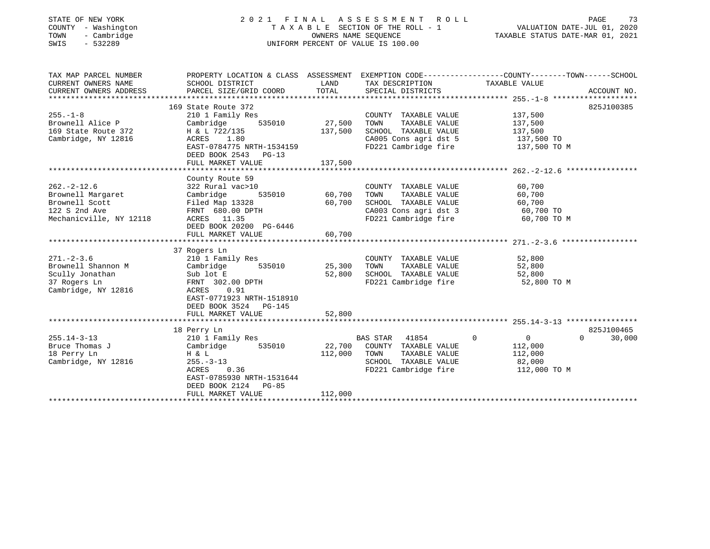| STATE OF NEW YORK<br>COUNTY - Washington<br>- Cambridge<br>TOWN<br>SWIS<br>$-532289$                |                                                                                                                                                                         |                              | 2021 FINAL ASSESSMENT ROLL<br>TAXABLE SECTION OF THE ROLL - 1<br>OWNERS NAME SEOUENCE<br>UNIFORM PERCENT OF VALUE IS 100.00         | PAGE<br>73<br>VALUATION DATE-JUL 01, 2020<br>TAXABLE STATUS DATE-MAR 01, 2021                                 |
|-----------------------------------------------------------------------------------------------------|-------------------------------------------------------------------------------------------------------------------------------------------------------------------------|------------------------------|-------------------------------------------------------------------------------------------------------------------------------------|---------------------------------------------------------------------------------------------------------------|
| TAX MAP PARCEL NUMBER<br>CURRENT OWNERS NAME<br>CURRENT OWNERS ADDRESS                              | SCHOOL DISTRICT<br>PARCEL SIZE/GRID COORD                                                                                                                               | LAND<br>TOTAL                | TAX DESCRIPTION TAXABLE VALUE<br>SPECIAL DISTRICTS                                                                                  | PROPERTY LOCATION & CLASS ASSESSMENT EXEMPTION CODE---------------COUNTY-------TOWN-----SCHOOL<br>ACCOUNT NO. |
| $255. - 1 - 8$<br>Brownell Alice P<br>169 State Route 372<br>Cambridge, NY 12816                    | 169 State Route 372<br>210 1 Family Res<br>535010<br>Cambridge<br>H & L 722/135<br>ACRES 1.80<br>EAST-0784775 NRTH-1534159<br>DEED BOOK 2543 PG-13<br>FULL MARKET VALUE | 27,500<br>137,500<br>137,500 | COUNTY TAXABLE VALUE<br>TAXABLE VALUE<br>TOWN<br>SCHOOL TAXABLE VALUE<br>CA005 Cons agri dst 5<br>FD221 Cambridge fire 137,500 TO M | 825J100385<br>137,500<br>137,500<br>137,500<br>137,500 TO                                                     |
|                                                                                                     |                                                                                                                                                                         |                              |                                                                                                                                     |                                                                                                               |
| $262. -2 - 12.6$<br>Brownell Margaret<br>Brownell Scott<br>122 S 2nd Ave<br>Mechanicville, NY 12118 | County Route 59<br>322 Rural vac>10<br>535010<br>Cambridge<br>Filed Map 13328<br>FRNT 680.00 DPTH<br>ACRES 11.35<br>DEED BOOK 20200 PG-6446<br>FULL MARKET VALUE        | 60,700<br>60,700<br>60,700   | COUNTY TAXABLE VALUE<br>TOWN<br>TAXABLE VALUE<br>SCHOOL TAXABLE VALUE<br>CA003 Cons agri dst 3<br>FD221 Cambridge fire              | 60,700<br>60,700<br>60,700<br>60,700 TO<br>60,700 TO M                                                        |
|                                                                                                     |                                                                                                                                                                         |                              |                                                                                                                                     |                                                                                                               |
| $271. - 2 - 3.6$<br>Brownell Shannon M<br>Scully Jonathan<br>37 Rogers Ln<br>Cambridge, NY 12816    | 37 Rogers Ln<br>210 1 Family Res<br>Cambridge<br>535010<br>Sub lot E<br>FRNT 302.00 DPTH<br>ACRES<br>0.91<br>EAST-0771923 NRTH-1518910<br>DEED BOOK 3524 PG-145         | 25,300<br>52,800             | COUNTY TAXABLE VALUE<br>TOWN<br>TAXABLE VALUE<br>SCHOOL TAXABLE VALUE<br>FD221 Cambridge fire                                       | 52,800<br>52,800<br>52,800<br>52,800 TO M                                                                     |
|                                                                                                     | FULL MARKET VALUE                                                                                                                                                       | 52,800                       |                                                                                                                                     |                                                                                                               |
|                                                                                                     |                                                                                                                                                                         |                              |                                                                                                                                     |                                                                                                               |
| $255.14 - 3 - 13$<br>Bruce Thomas J<br>18 Perry Ln<br>Cambridge, NY 12816                           | 18 Perry Ln<br>210 1 Family Res<br>535010<br>Cambridge<br>H & L<br>$255. - 3 - 13$<br>0.36<br>ACRES<br>EAST-0785930 NRTH-1531644<br>DEED BOOK 2124 PG-85                | 22,700<br>112,000            | BAS STAR 41854<br>COUNTY TAXABLE VALUE<br>TOWN<br>TAXABLE VALUE<br>SCHOOL TAXABLE VALUE<br>FD221 Cambridge fire                     | 825J100465<br>$\circ$<br>$\overline{0}$<br>$\Omega$<br>30,000<br>112,000<br>112,000<br>82,000<br>112,000 TO M |

\*\*\*\*\*\*\*\*\*\*\*\*\*\*\*\*\*\*\*\*\*\*\*\*\*\*\*\*\*\*\*\*\*\*\*\*\*\*\*\*\*\*\*\*\*\*\*\*\*\*\*\*\*\*\*\*\*\*\*\*\*\*\*\*\*\*\*\*\*\*\*\*\*\*\*\*\*\*\*\*\*\*\*\*\*\*\*\*\*\*\*\*\*\*\*\*\*\*\*\*\*\*\*\*\*\*\*\*\*\*\*\*\*\*\*\*\*\*\*\*\*\*\*\*\*\*\*\*\*\*\*\*

FULL MARKET VALUE 112,000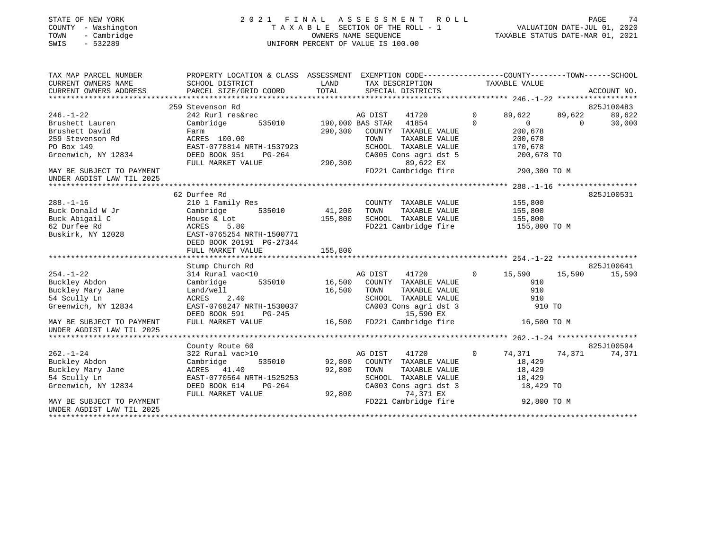## STATE OF NEW YORK 2 0 2 1 F I N A L A S S E S S M E N T R O L L PAGE 74COUNTY - Washington T A X A B L E SECTION OF THE ROLL - 1<br>
TOWN - Cambridge COUNTERS NAME SEQUENCE<br>
SWIS - 532289 SWIS - 2020 SWIS - 532289 UNIFORM PERCENT OF VALUE IS 100.00

- سعجة<br>2020 , VALUATION DATE-JUL 01<br>2021 - 10 01 2021

| TAX MAP PARCEL NUMBER     | PROPERTY LOCATION & CLASS ASSESSMENT EXEMPTION CODE---------------COUNTY-------TOWN------SCHOOL |         |                        |                |                |          |             |
|---------------------------|-------------------------------------------------------------------------------------------------|---------|------------------------|----------------|----------------|----------|-------------|
| CURRENT OWNERS NAME       | SCHOOL DISTRICT                                                                                 | LAND    | TAX DESCRIPTION        |                | TAXABLE VALUE  |          |             |
| CURRENT OWNERS ADDRESS    | PARCEL SIZE/GRID COORD                                                                          | TOTAL   | SPECIAL DISTRICTS      |                |                |          | ACCOUNT NO. |
|                           |                                                                                                 |         |                        |                |                |          |             |
|                           | 259 Stevenson Rd                                                                                |         |                        |                |                |          | 825J100483  |
| $246. - 1 - 22$           | 242 Rurl res&rec                                                                                |         | AG DIST<br>41720       | $\Omega$       | 89,622         | 89,622   | 89,622      |
| Brushett Lauren           | 535010<br>Cambridge                                                                             |         | 190,000 BAS STAR 41854 | $\Omega$       | $\overline{0}$ | $\Omega$ | 30,000      |
| Brushett David            | Farm                                                                                            | 290,300 | COUNTY TAXABLE VALUE   |                | 200,678        |          |             |
| 259 Stevenson Rd          | ACRES 100.00                                                                                    |         | TOWN<br>TAXABLE VALUE  |                | 200,678        |          |             |
| PO Box 149                | EAST-0778814 NRTH-1537923                                                                       |         | SCHOOL TAXABLE VALUE   |                | 170,678        |          |             |
| Greenwich, NY 12834       | DEED BOOK 951<br>$PG-264$                                                                       |         | CA005 Cons agri dst 5  |                | 200,678 TO     |          |             |
|                           | FULL MARKET VALUE                                                                               | 290,300 | 89,622 EX              |                |                |          |             |
| MAY BE SUBJECT TO PAYMENT |                                                                                                 |         | FD221 Cambridge fire   |                | 290,300 TO M   |          |             |
| UNDER AGDIST LAW TIL 2025 |                                                                                                 |         |                        |                |                |          |             |
|                           |                                                                                                 |         |                        |                |                |          |             |
|                           | 62 Durfee Rd                                                                                    |         |                        |                |                |          | 825J100531  |
| $288. - 1 - 16$           | 210 1 Family Res                                                                                |         | COUNTY TAXABLE VALUE   |                | 155,800        |          |             |
| Buck Donald W Jr          | Cambridge<br>535010                                                                             | 41,200  | TOWN<br>TAXABLE VALUE  |                | 155,800        |          |             |
| Buck Abigail C            | House & Lot                                                                                     | 155,800 | SCHOOL TAXABLE VALUE   |                | 155,800        |          |             |
| 62 Durfee Rd              | 5.80<br>ACRES                                                                                   |         | FD221 Cambridge fire   |                | 155,800 TO M   |          |             |
| Buskirk, NY 12028         | EAST-0765254 NRTH-1500771                                                                       |         |                        |                |                |          |             |
|                           | DEED BOOK 20191 PG-27344                                                                        |         |                        |                |                |          |             |
|                           | FULL MARKET VALUE                                                                               | 155,800 |                        |                |                |          |             |
|                           |                                                                                                 |         |                        |                |                |          |             |
|                           | Stump Church Rd                                                                                 |         |                        |                |                |          | 825J100641  |
| $254. - 1 - 22$           | 314 Rural vac<10                                                                                |         | 41720<br>AG DIST       | $\circ$        | 15,590         | 15,590   | 15,590      |
| Buckley Abdon             | 535010<br>Cambridge                                                                             | 16,500  | COUNTY TAXABLE VALUE   |                | 910            |          |             |
| Buckley Mary Jane         | Land/well                                                                                       | 16,500  | TOWN<br>TAXABLE VALUE  |                | 910            |          |             |
| 54 Scully Ln              | ACRES<br>2.40                                                                                   |         | SCHOOL TAXABLE VALUE   |                | 910            |          |             |
| Greenwich, NY 12834       | EAST-0768247 NRTH-1530037                                                                       |         | CA003 Cons agri dst 3  |                | 910 TO         |          |             |
|                           | DEED BOOK 591<br>$PG-245$                                                                       |         | 15,590 EX              |                |                |          |             |
| MAY BE SUBJECT TO PAYMENT | FULL MARKET VALUE                                                                               | 16,500  | FD221 Cambridge fire   |                | 16,500 TO M    |          |             |
| UNDER AGDIST LAW TIL 2025 |                                                                                                 |         |                        |                |                |          |             |
|                           |                                                                                                 |         |                        |                |                |          |             |
|                           | County Route 60                                                                                 |         |                        |                |                |          | 825J100594  |
| $262. - 1 - 24$           | 322 Rural vac>10                                                                                |         | AG DIST<br>41720       | $\overline{0}$ | 74,371         | 74,371   | 74,371      |
| Buckley Abdon             | 535010<br>Cambridge                                                                             | 92,800  | COUNTY TAXABLE VALUE   |                | 18,429         |          |             |
| Buckley Mary Jane         | ACRES 41.40                                                                                     | 92,800  | TOWN<br>TAXABLE VALUE  |                | 18,429         |          |             |
| 54 Scully Ln              | EAST-0770564 NRTH-1525253                                                                       |         | SCHOOL TAXABLE VALUE   |                | 18,429         |          |             |
| Greenwich, NY 12834       | DEED BOOK 614<br>$PG-264$                                                                       |         | CA003 Cons agri dst 3  |                | 18,429 TO      |          |             |
|                           | FULL MARKET VALUE                                                                               | 92,800  | 74,371 EX              |                |                |          |             |
| MAY BE SUBJECT TO PAYMENT |                                                                                                 |         | FD221 Cambridge fire   |                | 92,800 TO M    |          |             |
| UNDER AGDIST LAW TIL 2025 |                                                                                                 |         |                        |                |                |          |             |
|                           |                                                                                                 |         |                        |                |                |          |             |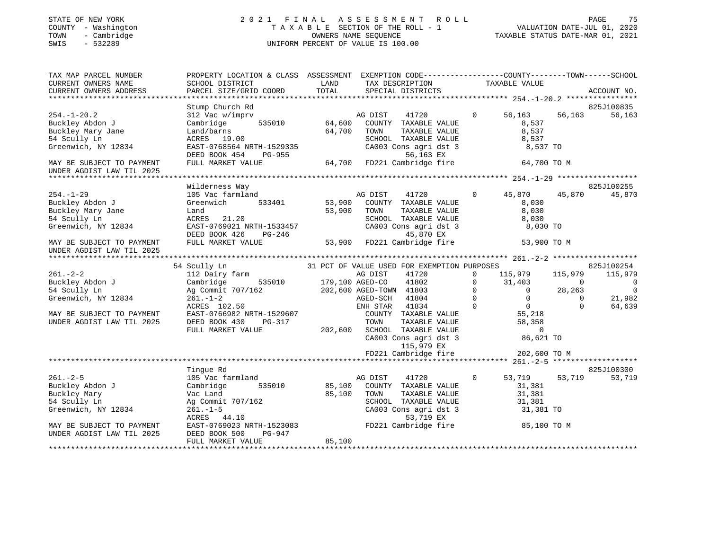#### STATE OF NEW YORK 2 0 2 1 F I N A L A S S E S S M E N T R O L L PAGE 75 COUNTY - Washington T A X A B L E SECTION OF THE ROLL - 1 VALUATION DATE-JUL 01, 2020 TATE OF NEW YORK COUNTY - Washington COUNTY - Washington COUNTY - Washington COUNTY - Washington COUNTY - Washington 2020<br>
TAXABLE SECTION OF THE ROLL - 1 VALUATION DATE-JUL 01, 2020<br>
TOWN - Cambridge COUNTY - Cambridge CO SWIS - 532289 UNIFORM PERCENT OF VALUE IS 100.00

| TAX MAP PARCEL NUMBER     | PROPERTY LOCATION & CLASS ASSESSMENT |                 | EXEMPTION CODE-----------------COUNTY-------TOWN------SCHOOL |             |                |             |                |
|---------------------------|--------------------------------------|-----------------|--------------------------------------------------------------|-------------|----------------|-------------|----------------|
| CURRENT OWNERS NAME       | SCHOOL DISTRICT                      | LAND            | TAX DESCRIPTION                                              |             | TAXABLE VALUE  |             |                |
| CURRENT OWNERS ADDRESS    | PARCEL SIZE/GRID COORD               | TOTAL           | SPECIAL DISTRICTS                                            |             |                |             | ACCOUNT NO.    |
|                           |                                      |                 |                                                              |             |                |             |                |
|                           | Stump Church Rd                      |                 |                                                              |             |                |             | 825J100835     |
| $254. - 1 - 20.2$         | 312 Vac w/imprv                      |                 | AG DIST<br>41720                                             | $\mathbf 0$ | 56,163         | 56,163      | 56,163         |
| Buckley Abdon J           | Cambridge<br>535010                  | 64,600          | COUNTY TAXABLE VALUE                                         |             | 8,537          |             |                |
| Buckley Mary Jane         | Land/barns                           | 64,700          | TOWN<br>TAXABLE VALUE                                        |             | 8,537          |             |                |
| 54 Scully Ln              | ACRES 19.00                          |                 | SCHOOL TAXABLE VALUE                                         |             | 8,537          |             |                |
| Greenwich, NY 12834       | EAST-0768564 NRTH-1529335            |                 | CA003 Cons agri dst 3                                        |             | 8,537 TO       |             |                |
|                           | PG-955<br>DEED BOOK 454              |                 | 56,163 EX                                                    |             |                |             |                |
| MAY BE SUBJECT TO PAYMENT | FULL MARKET VALUE                    |                 | 64,700 FD221 Cambridge fire                                  |             | 64,700 TO M    |             |                |
| UNDER AGDIST LAW TIL 2025 |                                      |                 |                                                              |             |                |             |                |
|                           |                                      |                 |                                                              |             |                |             |                |
|                           | Wilderness Way                       |                 |                                                              |             |                |             | 825J100255     |
| $254. - 1 - 29$           | 105 Vac farmland                     |                 | AG DIST<br>41720                                             | $\Omega$    | 45,870         | 45,870      | 45,870         |
| Buckley Abdon J           | Greenwich<br>533401                  | 53,900          | COUNTY TAXABLE VALUE                                         |             | 8,030          |             |                |
| Buckley Mary Jane         | Land                                 | 53,900          | TAXABLE VALUE<br>TOWN                                        |             | 8,030          |             |                |
| 54 Scully Ln              | ACRES<br>21.20                       |                 | SCHOOL TAXABLE VALUE                                         |             | 8,030          |             |                |
| Greenwich, NY 12834       | EAST-0769021 NRTH-1533457            |                 | CA003 Cons agri dst 3                                        |             | 8,030 TO       |             |                |
|                           | DEED BOOK 426<br>$PG-246$            |                 | 45,870 EX                                                    |             |                |             |                |
| MAY BE SUBJECT TO PAYMENT | FULL MARKET VALUE                    | 53,900          | FD221 Cambridge fire                                         |             | 53,900 TO M    |             |                |
| UNDER AGDIST LAW TIL 2025 |                                      |                 |                                                              |             |                |             |                |
|                           |                                      |                 |                                                              |             |                |             |                |
|                           | 54 Scully Ln                         |                 | 31 PCT OF VALUE USED FOR EXEMPTION PURPOSES                  |             |                |             | 825J100254     |
| $261. - 2 - 2$            | 112 Dairy farm                       |                 | 41720<br>AG DIST                                             | $\Omega$    | 115,979        | 115,979     | 115,979        |
| Buckley Abdon J           | Cambridge<br>535010                  | 179,100 AGED-CO | 41802                                                        | $\mathbf 0$ | 31,403         | $\Omega$    | $\overline{0}$ |
| 54 Scully Ln              | Ag Commit 707/162                    |                 | 202,600 AGED-TOWN 41803                                      | $\mathbf 0$ | $\Omega$       | 28,263      | $\overline{0}$ |
| Greenwich, NY 12834       | $261. - 1 - 2$                       |                 | AGED-SCH<br>41804                                            | $\mathbf 0$ | $\overline{0}$ | $\mathbf 0$ | 21,982         |
|                           | ACRES 102.50                         |                 | ENH STAR<br>41834                                            | $\Omega$    | $\overline{0}$ | $\Omega$    | 64,639         |
| MAY BE SUBJECT TO PAYMENT | EAST-0766982 NRTH-1529607            |                 | COUNTY TAXABLE VALUE                                         |             | 55,218         |             |                |
| UNDER AGDIST LAW TIL 2025 | DEED BOOK 430<br>PG-317              |                 | TOWN<br>TAXABLE VALUE                                        |             | 58,358         |             |                |
|                           | FULL MARKET VALUE                    | 202,600         | SCHOOL TAXABLE VALUE                                         |             | $\mathbf 0$    |             |                |
|                           |                                      |                 | CA003 Cons agri dst 3                                        |             | 86,621 TO      |             |                |
|                           |                                      |                 | 115,979 EX                                                   |             |                |             |                |
|                           |                                      |                 | FD221 Cambridge fire                                         |             | 202,600 TO M   |             |                |
|                           |                                      |                 |                                                              |             |                |             |                |
|                           | Tinque Rd                            |                 |                                                              |             |                |             | 825J100300     |
| $261. - 2 - 5$            | 105 Vac farmland                     |                 | AG DIST<br>41720                                             | $\circ$     | 53,719         | 53,719      | 53,719         |
| Buckley Abdon J           | Cambridge<br>535010                  | 85,100          | COUNTY TAXABLE VALUE                                         |             | 31,381         |             |                |
| Buckley Mary              | Vac Land                             | 85,100          | TOWN<br>TAXABLE VALUE                                        |             | 31,381         |             |                |
| 54 Scully Ln              | Ag Commit 707/162                    |                 | SCHOOL TAXABLE VALUE                                         |             | 31,381         |             |                |
| Greenwich, NY 12834       | $261. - 1 - 5$                       |                 | CA003 Cons agri dst 3                                        |             |                |             |                |
|                           | ACRES 44.10                          |                 | 53,719 EX                                                    |             | 31,381 TO      |             |                |
| MAY BE SUBJECT TO PAYMENT | EAST-0769023 NRTH-1523083            |                 | FD221 Cambridge fire                                         |             | 85,100 TO M    |             |                |
|                           | PG-947                               |                 |                                                              |             |                |             |                |
| UNDER AGDIST LAW TIL 2025 | DEED BOOK 500<br>FULL MARKET VALUE   |                 |                                                              |             |                |             |                |
|                           |                                      | 85,100          |                                                              |             |                |             |                |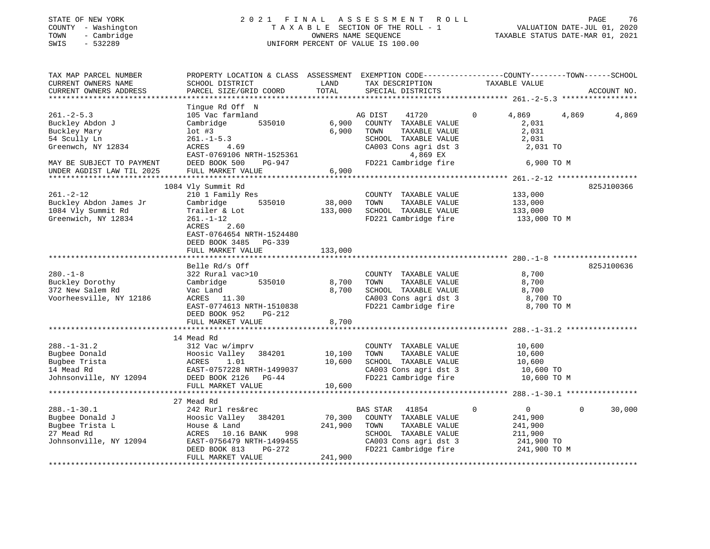## STATE OF NEW YORK 2 0 2 1 F I N A L A S S E S S M E N T R O L L PAGE 76COUNTY - Washington T A X A B L E SECTION OF THE ROLL - 1 VALUATION DATE-JUL 01, 2020 SWIS - 532289 UNIFORM PERCENT OF VALUE IS 100.00

| TAX MAP PARCEL NUMBER<br>CURRENT OWNERS NAME<br>CURRENT OWNERS ADDRESS                          | PROPERTY LOCATION & CLASS ASSESSMENT EXEMPTION CODE----------------COUNTY-------TOWN------SCHOOL<br>SCHOOL DISTRICT<br>PARCEL SIZE/GRID COORD                                        | LAND<br>TOTAL                | TAX DESCRIPTION<br>SPECIAL DISTRICTS                                                                                                        | TAXABLE VALUE                                                                      | ACCOUNT NO.    |
|-------------------------------------------------------------------------------------------------|--------------------------------------------------------------------------------------------------------------------------------------------------------------------------------------|------------------------------|---------------------------------------------------------------------------------------------------------------------------------------------|------------------------------------------------------------------------------------|----------------|
|                                                                                                 |                                                                                                                                                                                      |                              |                                                                                                                                             |                                                                                    |                |
| $261. -2 - 5.3$<br>Buckley Abdon J<br>Buckley Mary<br>54 Scully Ln<br>Greenwch, NY 12834        | Tingue Rd Off N<br>105 Vac farmland<br>535010<br>Cambridge<br>$1$ ot #3<br>$261. - 1 - 5.3$<br>ACRES<br>4.69                                                                         | 6,900<br>6,900               | AG DIST<br>41720<br>COUNTY TAXABLE VALUE<br>TOWN<br>TAXABLE VALUE<br>SCHOOL TAXABLE VALUE<br>CA003 Cons agri dst 3                          | $\Omega$<br>4,869<br>2,031<br>2,031<br>2,031<br>2,031 TO                           | 4,869<br>4,869 |
| MAY BE SUBJECT TO PAYMENT                                                                       | EAST-0769106 NRTH-1525361<br>DEED BOOK 500<br>PG-947                                                                                                                                 |                              | 4,869 EX<br>FD221 Cambridge fire                                                                                                            | 6,900 TO M                                                                         |                |
| UNDER AGDIST LAW TIL 2025                                                                       | FULL MARKET VALUE                                                                                                                                                                    | 6,900                        |                                                                                                                                             |                                                                                    |                |
|                                                                                                 |                                                                                                                                                                                      |                              |                                                                                                                                             |                                                                                    |                |
| $261. - 2 - 12$<br>Buckley Abdon James Jr<br>1084 Vly Summit Rd<br>Greenwich, NY 12834          | 1084 Vly Summit Rd<br>210 1 Family Res<br>535010<br>Cambridge<br>Trailer & Lot<br>$261. - 1 - 12$<br><b>ACRES</b><br>2.60<br>EAST-0764654 NRTH-1524480<br>DEED BOOK 3485<br>$PG-339$ | 38,000<br>133,000            | COUNTY TAXABLE VALUE<br>TOWN<br>TAXABLE VALUE<br>SCHOOL TAXABLE VALUE<br>FD221 Cambridge fire                                               | 133,000<br>133,000<br>133,000<br>133,000 TO M                                      | 825J100366     |
|                                                                                                 | FULL MARKET VALUE                                                                                                                                                                    | 133,000                      |                                                                                                                                             |                                                                                    |                |
|                                                                                                 | ********************                                                                                                                                                                 |                              |                                                                                                                                             |                                                                                    |                |
| $280. - 1 - 8$<br>Buckley Dorothy<br>372 New Salem Rd<br>Voorheesville, NY 12186                | Belle Rd/s Off<br>322 Rural vac>10<br>Cambridge<br>535010<br>Vac Land<br>ACRES 11.30<br>EAST-0774613 NRTH-1510838<br>DEED BOOK 952<br>PG-212<br>FULL MARKET VALUE                    | 8,700<br>8,700<br>8,700      | COUNTY TAXABLE VALUE<br>TOWN<br>TAXABLE VALUE<br>SCHOOL TAXABLE VALUE<br>CA003 Cons agri dst 3<br>FD221 Cambridge fire                      | 8,700<br>8,700<br>8,700<br>8,700 TO<br>8,700 TO M                                  | 825J100636     |
|                                                                                                 |                                                                                                                                                                                      |                              |                                                                                                                                             |                                                                                    |                |
| $288. - 1 - 31.2$<br>Bugbee Donald<br>Bugbee Trista<br>14 Mead Rd<br>Johnsonville, NY 12094     | 14 Mead Rd<br>312 Vac w/imprv<br>Hoosic Valley<br>384201<br>ACRES<br>1.01<br>EAST-0757228 NRTH-1499037<br>DEED BOOK 2126<br>PG-44<br>FULL MARKET VALUE                               | 10,100<br>10,600<br>10,600   | COUNTY TAXABLE VALUE<br>TOWN<br>TAXABLE VALUE<br>SCHOOL TAXABLE VALUE<br>CA003 Cons agri dst 3<br>FD221 Cambridge fire                      | 10,600<br>10,600<br>10,600<br>10,600 TO<br>10,600 TO M                             |                |
|                                                                                                 |                                                                                                                                                                                      |                              |                                                                                                                                             |                                                                                    |                |
| $288. - 1 - 30.1$<br>Bugbee Donald J<br>Bugbee Trista L<br>27 Mead Rd<br>Johnsonville, NY 12094 | 27 Mead Rd<br>242 Rurl res&rec<br>Hoosic Valley<br>384201<br>House & Land<br>998<br>ACRES 10.16 BANK<br>EAST-0756479 NRTH-1499455<br>$PG-272$<br>DEED BOOK 813<br>FULL MARKET VALUE  | 70,300<br>241,900<br>241,900 | BAS STAR<br>41854<br>COUNTY TAXABLE VALUE<br>TAXABLE VALUE<br>TOWN<br>SCHOOL TAXABLE VALUE<br>CA003 Cons agri dst 3<br>FD221 Cambridge fire | $\overline{0}$<br>0<br>241,900<br>241,900<br>211,900<br>241,900 TO<br>241,900 TO M | 30,000<br>0    |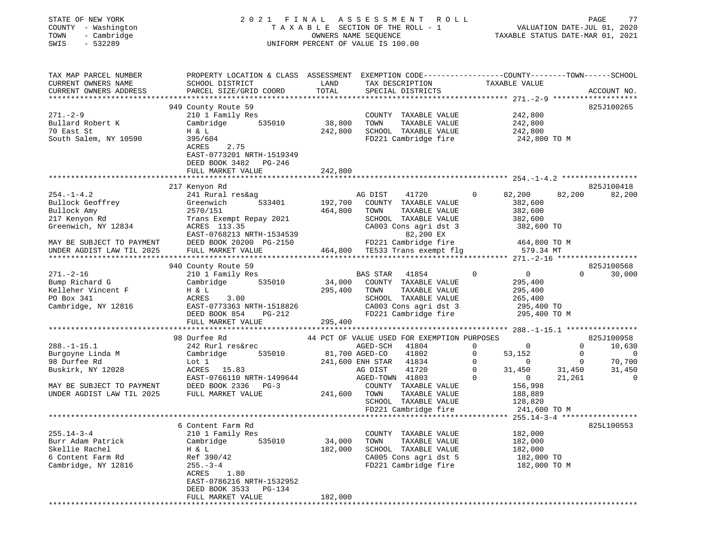| STATE OF NEW YORK                         |            |             |
|-------------------------------------------|------------|-------------|
| COUNTY                                    | $\sim$ $-$ | Washington  |
| TOWN                                      |            | - Cambridge |
| $C$ <sub><math>T</math></sub> $T$ $T$ $C$ |            | 5.2000      |

#### STATE OF NEW YORK 2 0 2 1 F I N A L A S S E S S M E N T R O L L PAGE 77COUNTY - Washington T A X A B L E SECTION OF THE ROLL - 1 VALUATION DATE-JUL 01, 2020 TOWN - Cambridge OWNERS NAME SEQUENCE TAXABLE STATUS DATE-MAR 01, 2021 SWIS - 532289 UNIFORM PERCENT OF VALUE IS 100.00

VALUATION DATE-JUL 01, 2020

| TAX MAP PARCEL NUMBER         | PROPERTY LOCATION & CLASS ASSESSMENT |                     | EXEMPTION CODE-----------------COUNTY-------TOWN------SCHOOL |                               |                       |
|-------------------------------|--------------------------------------|---------------------|--------------------------------------------------------------|-------------------------------|-----------------------|
| CURRENT OWNERS NAME           | SCHOOL DISTRICT                      | LAND                | TAX DESCRIPTION                                              | TAXABLE VALUE                 |                       |
| CURRENT OWNERS ADDRESS        | PARCEL SIZE/GRID COORD               | TOTAL               | SPECIAL DISTRICTS                                            |                               | ACCOUNT NO.           |
|                               |                                      | **********          |                                                              |                               |                       |
|                               | 949 County Route 59                  |                     |                                                              |                               | 825J100265            |
| $271. - 2 - 9$                | 210 1 Family Res                     |                     | COUNTY TAXABLE VALUE                                         | 242,800                       |                       |
| Bullard Robert K              | Cambridge<br>535010                  | 38,800              | TAXABLE VALUE<br>TOWN                                        | 242,800                       |                       |
| 70 East St                    | H & L                                | 242,800             | SCHOOL TAXABLE VALUE                                         | 242,800                       |                       |
| South Salem, NY 10590         | 395/604                              |                     | FD221 Cambridge fire                                         | 242,800 TO M                  |                       |
|                               | ACRES<br>2.75                        |                     |                                                              |                               |                       |
|                               | EAST-0773201 NRTH-1519349            |                     |                                                              |                               |                       |
|                               | DEED BOOK 3482 PG-246                |                     |                                                              |                               |                       |
|                               | FULL MARKET VALUE                    | 242,800             |                                                              |                               |                       |
|                               | ***************************          |                     |                                                              |                               |                       |
|                               | 217 Kenyon Rd                        |                     |                                                              |                               | 825J100418            |
| $254. - 1 - 4.2$              | 241 Rural res&ag                     |                     | AG DIST<br>41720                                             | 82,200<br>$\Omega$            | 82,200<br>82,200      |
| Bullock Geoffrey              | 533401<br>Greenwich                  | 192,700             | COUNTY TAXABLE VALUE                                         | 382,600                       |                       |
| Bullock Amy                   | 2570/151                             | 464,800             | TOWN<br>TAXABLE VALUE                                        | 382,600                       |                       |
| 217 Kenyon Rd                 | Trans Exempt Repay 2021              |                     | SCHOOL TAXABLE VALUE                                         | 382,600                       |                       |
| Greenwich, NY 12834           | ACRES 113.35                         |                     | CA003 Cons agri dst 3                                        | 382,600 TO                    |                       |
|                               | EAST-0768213 NRTH-1534539            |                     | 82,200 EX                                                    |                               |                       |
| MAY BE SUBJECT TO PAYMENT     | DEED BOOK 20200 PG-2150              |                     | FD221 Cambridge fire                                         | 464,800 TO M                  |                       |
| UNDER AGDIST LAW TIL 2025     | FULL MARKET VALUE                    |                     | 464,800 TE533 Trans exempt flg                               | 579.34 MT                     |                       |
|                               |                                      |                     |                                                              |                               |                       |
|                               | 940 County Route 59                  |                     |                                                              |                               | 825J100568            |
| $271. - 2 - 16$               | 210 1 Family Res                     |                     | <b>BAS STAR</b><br>41854                                     | $\mathbf 0$<br>$\overline{0}$ | $\Omega$<br>30,000    |
| Bump Richard G                | Cambridge<br>535010                  | 34,000              | COUNTY TAXABLE VALUE                                         | 295,400                       |                       |
| Kelleher Vincent F            | H & L                                | 295,400             | TOWN<br>TAXABLE VALUE                                        | 295,400                       |                       |
| PO Box 341                    | ACRES<br>3.00                        |                     | SCHOOL TAXABLE VALUE                                         | 265,400                       |                       |
| Cambridge, NY 12816           | EAST-0773363 NRTH-1518826            |                     | CA003 Cons agri dst 3                                        | 295,400 TO                    |                       |
|                               | DEED BOOK 854<br>PG-212              |                     | FD221 Cambridge fire                                         | 295,400 TO M                  |                       |
|                               | FULL MARKET VALUE                    | 295,400             |                                                              |                               |                       |
|                               |                                      |                     |                                                              |                               |                       |
|                               | 98 Durfee Rd                         |                     | 44 PCT OF VALUE USED FOR EXEMPTION PURPOSES                  |                               | 825J100958            |
| $288. - 1 - 15.1$             | 242 Rurl res&rec                     |                     | AGED-SCH 41804                                               | $\mathbf 0$<br>$\overline{0}$ | $\mathbf 0$<br>10,630 |
| Burgoyne Linda M              | 535010                               |                     | 81,700 AGED-CO<br>41802                                      | $\mathbf 0$<br>53,152         | $\Omega$<br>0         |
|                               | Cambridge                            |                     |                                                              | $\mathbf 0$<br>$\overline{0}$ | 70,700<br>$\Omega$    |
| 98 Durfee Rd                  | Lot 1                                |                     | 241,600 ENH STAR<br>41834                                    | $\Omega$                      |                       |
| Buskirk, NY 12028             | ACRES 15.83                          |                     | AG DIST<br>41720                                             | 31,450<br>$\Omega$            | 31,450<br>31,450      |
|                               | EAST-0766110 NRTH-1499644            |                     | AGED-TOWN 41803                                              | $\overline{0}$                | 21,261<br>0           |
| MAY BE SUBJECT TO PAYMENT     | DEED BOOK 2336<br>$PG-3$             |                     | COUNTY TAXABLE VALUE                                         | 156,998                       |                       |
| UNDER AGDIST LAW TIL 2025     | FULL MARKET VALUE                    | 241,600             | TAXABLE VALUE<br>TOWN                                        | 188,889                       |                       |
|                               |                                      |                     | SCHOOL TAXABLE VALUE                                         | 128,820                       |                       |
|                               |                                      |                     | FD221 Cambridge fire                                         | 241,600 TO M                  |                       |
|                               |                                      |                     |                                                              |                               |                       |
|                               | 6 Content Farm Rd                    |                     |                                                              |                               | 825L100553            |
| $255.14 - 3 - 4$              | 210 1 Family Res                     |                     | COUNTY TAXABLE VALUE                                         | 182,000                       |                       |
| Burr Adam Patrick             | 535010<br>Cambridge                  | 34,000              | TOWN<br>TAXABLE VALUE                                        | 182,000                       |                       |
| Skellie Rachel                | H & L                                | 182,000             | SCHOOL TAXABLE VALUE                                         | 182,000                       |                       |
| 6 Content Farm Rd             | Ref 390/42                           |                     | CA005 Cons agri dst 5                                        | 182,000 TO                    |                       |
| Cambridge, NY 12816           | $255. - 3 - 4$                       |                     | FD221 Cambridge fire                                         | 182,000 TO M                  |                       |
|                               | 1.80<br>ACRES                        |                     |                                                              |                               |                       |
|                               | EAST-0786216 NRTH-1532952            |                     |                                                              |                               |                       |
|                               | DEED BOOK 3533<br>PG-134             |                     |                                                              |                               |                       |
|                               | FULL MARKET VALUE                    | 182,000             |                                                              |                               |                       |
| ***************************** | ***************************          | ******************* |                                                              |                               |                       |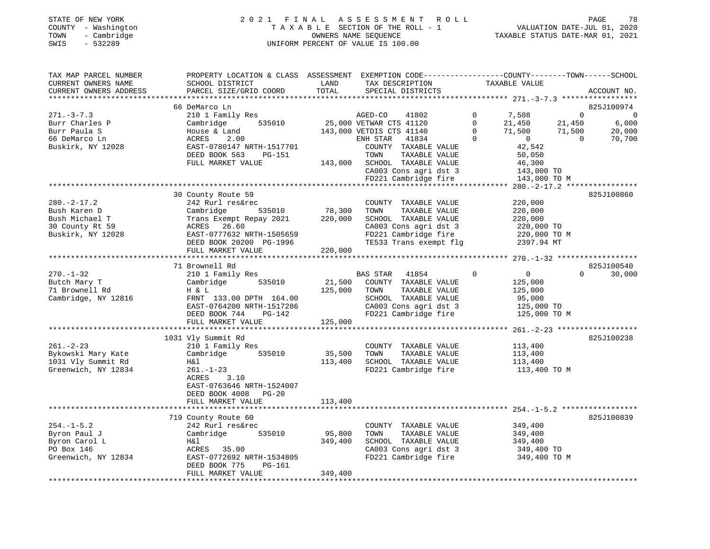## STATE OF NEW YORK 2 0 2 1 F I N A L A S S E S S M E N T R O L L PAGE 78COUNTY - Washington T A X A B L E SECTION OF THE ROLL - 1 VALUATION DATE-JUL 01, 2020 SWIS - 532289 UNIFORM PERCENT OF VALUE IS 100.00

 $\begin{tabular}{ccccc} \textbf{Value} & \textbf{Value} \\ \textbf{VALUATION} & \textbf{DATE-JUL} & 01, & 2020 \\ \hline \end{tabular}$ 

| TAX MAP PARCEL NUMBER<br>CURRENT OWNERS NAME<br>CURRENT OWNERS ADDRESS                     | PROPERTY LOCATION & CLASS ASSESSMENT EXEMPTION CODE---------------COUNTY-------TOWN------SCHOOL<br>SCHOOL DISTRICT<br>PARCEL SIZE/GRID COORD                                         | LAND<br>TOTAL                | TAX DESCRIPTION<br>SPECIAL DISTRICTS                                                                                                             | TAXABLE VALUE                                                                                     | ACCOUNT NO.                                                                                   |
|--------------------------------------------------------------------------------------------|--------------------------------------------------------------------------------------------------------------------------------------------------------------------------------------|------------------------------|--------------------------------------------------------------------------------------------------------------------------------------------------|---------------------------------------------------------------------------------------------------|-----------------------------------------------------------------------------------------------|
| **************************                                                                 |                                                                                                                                                                                      |                              |                                                                                                                                                  |                                                                                                   |                                                                                               |
|                                                                                            | 66 DeMarco Ln                                                                                                                                                                        |                              |                                                                                                                                                  |                                                                                                   | 825J100974                                                                                    |
| $271 - 3 - 7.3$<br>Burr Charles P<br>Burr Paula S<br>66 DeMarco Ln                         | 210 1 Family Res<br>535010<br>Cambridge<br>House & Land<br>ACRES<br>2.00                                                                                                             |                              | AGED-CO<br>41802<br>25,000 VETWAR CTS 41120<br>143,000 VETDIS CTS 41140<br>ENH STAR<br>41834                                                     | $\mathbf 0$<br>7,508<br>$\mathbf 0$<br>21,450<br>71,500<br>$\Omega$<br>$\Omega$<br>$\overline{0}$ | $\Omega$<br>$\overline{0}$<br>21,450<br>6,000<br>20,000<br>71,500<br>$\overline{0}$<br>70,700 |
| Buskirk, NY 12028                                                                          | EAST-0780147 NRTH-1517701<br>DEED BOOK 563<br>PG-151<br>FULL MARKET VALUE                                                                                                            |                              | COUNTY TAXABLE VALUE<br>TAXABLE VALUE<br>TOWN<br>143,000 SCHOOL TAXABLE VALUE<br>CA003 Cons agri dst 3<br>FD221 Cambridge fire                   | 42,542<br>50,050<br>46,300<br>143,000 TO<br>143,000 TO M                                          |                                                                                               |
|                                                                                            |                                                                                                                                                                                      |                              |                                                                                                                                                  |                                                                                                   |                                                                                               |
| $280. -2 - 17.2$<br>Bush Karen D<br>Bush Michael T<br>30 County Rt 59<br>Buskirk, NY 12028 | 30 County Route 59<br>242 Rurl res&rec<br>535010<br>Cambridge<br>Trans Exempt Repay 2021<br>ACRES 26.60<br>EAST-0777632 NRTH-1505659<br>DEED BOOK 20200 PG-1996<br>FULL MARKET VALUE | 78,300<br>220,000<br>220,000 | COUNTY TAXABLE VALUE<br>TOWN<br>TAXABLE VALUE<br>SCHOOL TAXABLE VALUE<br>CA003 Cons agri dst 3<br>FD221 Cambridge fire<br>TE533 Trans exempt flg | 220,000<br>220,000<br>220,000<br>220,000 TO<br>220,000 TO M<br>2397.94 MT                         | 825J100860                                                                                    |
|                                                                                            |                                                                                                                                                                                      |                              |                                                                                                                                                  |                                                                                                   |                                                                                               |
|                                                                                            | 71 Brownell Rd                                                                                                                                                                       |                              |                                                                                                                                                  |                                                                                                   | 825J100540                                                                                    |
| $270. - 1 - 32$<br>Butch Mary T<br>71 Brownell Rd<br>Cambridge, NY 12816                   | 210 1 Family Res<br>Cambridge<br>535010<br>H & L<br>FRNT 133.00 DPTH 164.00<br>EAST-0764200 NRTH-1517286<br>DEED BOOK 744<br>PG-142                                                  | 21,500<br>125,000            | BAS STAR 41854<br>COUNTY TAXABLE VALUE<br>TAXABLE VALUE<br>TOWN<br>SCHOOL TAXABLE VALUE<br>CA003 Cons agri dst 3<br>FD221 Cambridge fire         | $\mathbf 0$<br>$\overline{0}$<br>125,000<br>125,000<br>95,000<br>125,000 TO<br>125,000 TO M       | 30,000<br>$\Omega$                                                                            |
|                                                                                            | FULL MARKET VALUE                                                                                                                                                                    | 125,000                      |                                                                                                                                                  |                                                                                                   |                                                                                               |
|                                                                                            |                                                                                                                                                                                      |                              |                                                                                                                                                  |                                                                                                   |                                                                                               |
| $261. - 2 - 23$<br>Bykowski Mary Kate<br>1031 Vly Summit Rd<br>Greenwich, NY 12834         | 1031 Vly Summit Rd<br>210 1 Family Res<br>Cambridge 535010<br>Η&l<br>$261. - 1 - 23$<br>ACRES<br>3.10                                                                                | 35,500<br>113,400            | COUNTY TAXABLE VALUE<br>TAXABLE VALUE<br>TOWN<br>SCHOOL TAXABLE VALUE<br>FD221 Cambridge fire                                                    | 113,400<br>113,400<br>113,400<br>113,400 TO M                                                     | 825J100238                                                                                    |
|                                                                                            | EAST-0763646 NRTH-1524007<br>DEED BOOK 4008<br>$PG-20$<br>FULL MARKET VALUE                                                                                                          | 113,400                      |                                                                                                                                                  |                                                                                                   |                                                                                               |
|                                                                                            | 719 County Route 60                                                                                                                                                                  |                              |                                                                                                                                                  |                                                                                                   | 825J100839                                                                                    |
| $254. - 1 - 5.2$<br>Byron Paul J<br>Byron Carol L<br>PO Box 146<br>Greenwich, NY 12834     | 242 Rurl res&rec<br>Cambridge 535010<br>H&l<br>ACRES 35.00<br>EAST-0772692 NRTH-1534805<br>DEED BOOK 775<br>PG-161                                                                   | 95,800<br>349,400            | COUNTY TAXABLE VALUE<br>TOWN<br>TAXABLE VALUE<br>SCHOOL TAXABLE VALUE<br>CA003 Cons agri dst 3<br>FD221 Cambridge fire                           | 349,400<br>349,400<br>349,400<br>349,400 TO<br>349,400 TO M                                       |                                                                                               |
|                                                                                            | FULL MARKET VALUE                                                                                                                                                                    | 349,400                      |                                                                                                                                                  |                                                                                                   |                                                                                               |
|                                                                                            |                                                                                                                                                                                      |                              |                                                                                                                                                  |                                                                                                   |                                                                                               |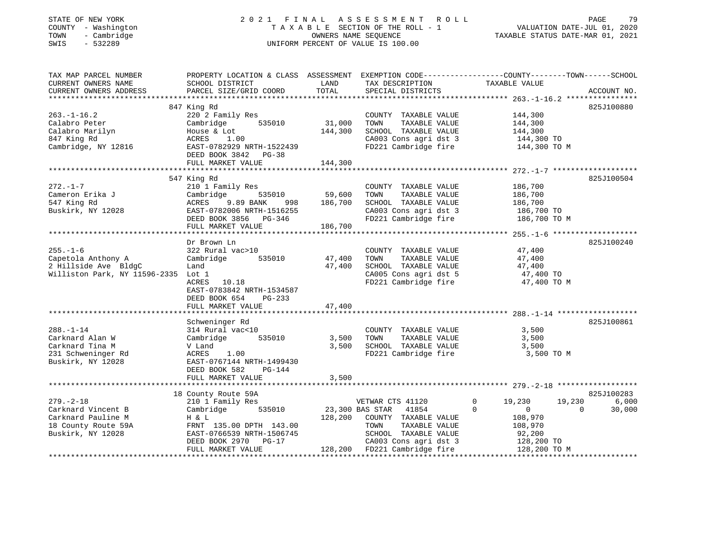#### STATE OF NEW YORK 2 0 2 1 F I N A L A S S E S S M E N T R O L L PAGE 79 COUNTY - Washington T A X A B L E SECTION OF THE ROLL - 1 VALUATION DATE-JUL 01, 2020 TOWN - Cambridge OWNERS NAME SEQUENCE TAXABLE STATUS DATE-MAR 01, 2021 SWIS - 532289 UNIFORM PERCENT OF VALUE IS 100.00

| TAX MAP PARCEL NUMBER<br>CURRENT OWNERS NAME<br>CURRENT OWNERS ADDRESS                                  | PROPERTY LOCATION & CLASS ASSESSMENT<br>SCHOOL DISTRICT<br>PARCEL SIZE/GRID COORD                                                                                            | LAND<br>TOTAL                                    | TAX DESCRIPTION<br>SPECIAL DISTRICTS                                                                                                                                                | EXEMPTION CODE-----------------COUNTY-------TOWN------SCHOOL<br>TAXABLE VALUE                                                       | ACCOUNT NO.                   |
|---------------------------------------------------------------------------------------------------------|------------------------------------------------------------------------------------------------------------------------------------------------------------------------------|--------------------------------------------------|-------------------------------------------------------------------------------------------------------------------------------------------------------------------------------------|-------------------------------------------------------------------------------------------------------------------------------------|-------------------------------|
| $263. - 1 - 16.2$<br>Calabro Peter<br>Calabro Marilyn<br>847 King Rd<br>Cambridge, NY 12816             | 847 King Rd<br>220 2 Family Res<br>535010<br>Cambridge<br>House & Lot<br>ACRES<br>1.00<br>EAST-0782929 NRTH-1522439<br>DEED BOOK 3842 PG-38<br>FULL MARKET VALUE             | 31,000<br>144,300<br>144,300                     | COUNTY TAXABLE VALUE<br>TAXABLE VALUE<br>TOWN<br>SCHOOL TAXABLE VALUE<br>CA003 Cons agri dst 3                                                                                      | 144,300<br>144,300<br>144,300<br>$144,300$ TO<br>FD221 Cambridge fire 144,300 TO M                                                  | 825J100880                    |
| $272. - 1 - 7$<br>Cameron Erika J<br>547 King Rd<br>Buskirk, NY 12028                                   | 547 King Rd<br>210 1 Family Res<br>Cambridge<br>ACRES 9.89 BANK 998<br>EAST-0782006 NRTH-1516255<br>DEED BOOK 3856 PG-346<br>FULL MARKET VALUE                               | )<br>535010 59,600<br>מאת 998 186,700<br>186,700 | COUNTY TAXABLE VALUE<br>TAXABLE VALUE<br>TOWN<br>SCHOOL TAXABLE VALUE<br>CA003 Cons agri dst 3 186,700 TO<br>FD221 Cambridge fire                                                   | 186,700<br>186,700<br>186,700<br>186,700 TO M                                                                                       | 825J100504                    |
| $255. - 1 - 6$<br>Capetola Anthony A<br>2 Hillside Ave BldgC<br>Williston Park, NY 11596-2335 Lot 1     | Dr Brown Ln<br>322 Rural vac>10<br>535010<br>Cambridge<br>Land<br>ACRES 10.18<br>EAST-0783842 NRTH-1534587<br>DEED BOOK 654<br>PG-233<br>FULL MARKET VALUE                   | 47,400<br>47,400<br>47,400                       | COUNTY TAXABLE VALUE<br>TAXABLE VALUE<br>TOWN<br>SCHOOL TAXABLE VALUE<br>SCHOOL TAXABLE VALUE<br>CA005 Cons agri dst 5                                                              | 47,400<br>47,400<br>47,400<br>47,400<br>47,400 TO<br>FD221 Cambridge fire 47,400 TO M                                               | 825J100240                    |
| $288. - 1 - 14$<br>Carknard Alan W<br>Carknard Tina M<br>231 Schweninger Rd<br>Buskirk, NY 12028        | Schweninger Rd<br>314 Rural vac<10<br>Cambridge 535010<br>V Land<br>1.00<br>ACRES<br>EAST-0767144 NRTH-1499430<br>DEED BOOK 582<br>PG-144<br>FULL MARKET VALUE               | 3,500<br>3,500<br>3,500                          | COUNTY TAXABLE VALUE<br>TAXABLE VALUE<br>TOWN<br>SCHOOL TAXABLE VALUE<br>FD221 Cambridge fire                                                                                       | 3,500<br>3,500<br>3,500<br>3,500 TO M                                                                                               | 825J100861                    |
| $279. - 2 - 18$<br>Carknard Vincent B<br>Carknard Pauline M<br>18 County Route 59A<br>Buskirk, NY 12028 | 18 County Route 59A<br>210 1 Family Res<br>535010<br>Cambridge<br>H & L<br>FRNT 135.00 DPTH 143.00<br>EAST-0766539 NRTH-1506745<br>DEED BOOK 2970 PG-17<br>FULL MARKET VALUE |                                                  | VETWAR CTS 41120<br>23,300 BAS STAR 41854<br>128,200 COUNTY TAXABLE VALUE<br>TOWN<br>TAXABLE VALUE<br>SCHOOL TAXABLE VALUE<br>CA003 Cons agri dst 3<br>128,200 FD221 Cambridge fire | 19,230<br>19,230<br>$\circ$<br>$\Omega$<br>$\overline{0}$<br>$\Omega$<br>108,970<br>108,970<br>92,200<br>128,200 TO<br>128,200 TO M | 825J100283<br>6,000<br>30,000 |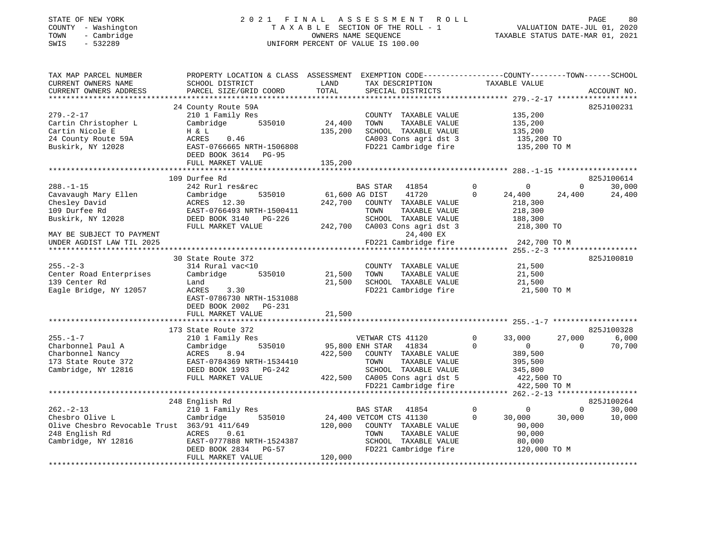# STATE OF NEW YORK 2 0 2 1 F I N A L A S S E S S M E N T R O L L PAGE 80 COUNTY - Washington T A X A B L E SECTION OF THE ROLL - 1 VALUATION DATE-JUL 01, 2020 TOWN - Cambridge OWNERS NAME SEQUENCE TAXABLE STATUS DATE-MAR 01, 2021 SWINGTON THE ROLL OF MANY COUNTY - Washington<br>
SWIS - 532289 UNIFORM PERCENT OF VALUE IS 100.00

| TAX MAP PARCEL NUMBER<br>CURRENT OWNERS NAME<br>CURRENT OWNERS ADDRESS<br>*************************                         | PROPERTY LOCATION & CLASS ASSESSMENT<br>SCHOOL DISTRICT<br>PARCEL SIZE/GRID COORD                                                                                  | LAND<br>TOTAL                | EXEMPTION CODE-----------------COUNTY-------TOWN------SCHOOL<br>TAX DESCRIPTION<br>SPECIAL DISTRICTS                                                                      | TAXABLE VALUE                                                                                                         |                        | ACCOUNT NO.                   |
|-----------------------------------------------------------------------------------------------------------------------------|--------------------------------------------------------------------------------------------------------------------------------------------------------------------|------------------------------|---------------------------------------------------------------------------------------------------------------------------------------------------------------------------|-----------------------------------------------------------------------------------------------------------------------|------------------------|-------------------------------|
| $279. - 2 - 17$<br>Cartin Christopher L<br>Cartin Nicole E<br>24 County Route 59A<br>Buskirk, NY 12028                      | 24 County Route 59A<br>210 1 Family Res<br>535010<br>Cambridge<br>H & L<br>ACRES<br>0.46<br>EAST-0766665 NRTH-1506808<br>DEED BOOK 3614 PG-95<br>FULL MARKET VALUE | 24,400<br>135,200<br>135,200 | COUNTY TAXABLE VALUE<br>TOWN<br>TAXABLE VALUE<br>SCHOOL TAXABLE VALUE<br>CA003 Cons agri dst 3<br>FD221 Cambridge fire                                                    | 135,200<br>135,200<br>135,200<br>135,200 TO<br>135,200 TO M                                                           |                        | 825J100231                    |
|                                                                                                                             | 109 Durfee Rd                                                                                                                                                      |                              |                                                                                                                                                                           |                                                                                                                       |                        | 825J100614                    |
| $288. - 1 - 15$<br>Cavavaugh Mary Ellen<br>Chesley David<br>109 Durfee Rd<br>Buskirk, NY 12028<br>MAY BE SUBJECT TO PAYMENT | 242 Rurl res&rec<br>Cambridge<br>535010<br>ACRES 12.30<br>EAST-0766493 NRTH-1500411<br>DEED BOOK 3140 PG-226<br>FULL MARKET VALUE                                  | 61,600 AG DIST<br>242,700    | BAS STAR<br>41854<br>41720<br>COUNTY TAXABLE VALUE<br>TOWN<br>TAXABLE VALUE<br>SCHOOL TAXABLE VALUE<br>242,700 CA003 Cons agri dst 3<br>24,400 EX<br>FD221 Cambridge fire | $\overline{0}$<br>$\mathbf 0$<br>$\mathbf 0$<br>24,400<br>218,300<br>218,300<br>188,300<br>218,300 TO<br>242,700 TO M | $\mathbf{0}$<br>24,400 | 30,000<br>24,400              |
| UNDER AGDIST LAW TIL 2025                                                                                                   |                                                                                                                                                                    |                              |                                                                                                                                                                           |                                                                                                                       |                        |                               |
| $255. - 2 - 3$<br>Center Road Enterprises<br>139 Center Rd<br>Eagle Bridge, NY 12057                                        | 30 State Route 372<br>314 Rural vac<10<br>535010<br>Cambridge<br>Land<br>ACRES<br>3.30<br>EAST-0786730 NRTH-1531088<br>DEED BOOK 2002<br>PG-231                    | 21,500<br>21,500<br>21,500   | COUNTY TAXABLE VALUE<br>TAXABLE VALUE<br>TOWN<br>SCHOOL TAXABLE VALUE<br>FD221 Cambridge fire                                                                             | 21,500<br>21,500<br>21,500<br>21,500 TO M                                                                             |                        | 825J100810                    |
|                                                                                                                             | FULL MARKET VALUE                                                                                                                                                  |                              |                                                                                                                                                                           |                                                                                                                       |                        |                               |
| $255. - 1 - 7$<br>Charbonnel Paul A<br>Charbonnel Nancy<br>173 State Route 372<br>Cambridge, NY 12816                       | 173 State Route 372<br>210 1 Family Res<br>Cambridge<br>535010<br>ACRES 8.94<br>EAST-0784369 NRTH-1534410<br>DEED BOOK 1993 PG-242<br>FULL MARKET VALUE            | 95,800 ENH STAR              | VETWAR CTS 41120<br>41834<br>422,500 COUNTY TAXABLE VALUE<br>TOWN<br>TAXABLE VALUE<br>SCHOOL TAXABLE VALUE<br>422,500 CA005 Cons agri dst 5<br>FD221 Cambridge fire       | $\mathbf 0$<br>33,000<br>$\Omega$<br>$\Omega$<br>389,500<br>395,500<br>345,800<br>422,500 TO<br>422,500 TO M          | 27,000<br>$\Omega$     | 825J100328<br>6,000<br>70,700 |
|                                                                                                                             |                                                                                                                                                                    |                              |                                                                                                                                                                           |                                                                                                                       |                        | 825J100264                    |
| $262 - 2 - 13$<br>Chesbro Olive L<br>Olive Chesbro Revocable Trust 363/91 411/649<br>248 English Rd<br>Cambridge, NY 12816  | 248 English Rd<br>210 1 Family Res<br>535010<br>Cambridge<br>ACRES<br>0.61<br>EAST-0777888 NRTH-1524387<br>DEED BOOK 2834<br>PG-57<br>FULL MARKET VALUE            | 120,000<br>120,000           | BAS STAR<br>41854<br>24,400 VETCOM CTS 41130<br>COUNTY TAXABLE VALUE<br>TOWN<br>TAXABLE VALUE<br>SCHOOL TAXABLE VALUE<br>FD221 Cambridge fire                             | $\circ$<br>$\mathbf 0$<br>$\mathbf{0}$<br>30,000<br>90,000<br>90,000<br>80,000<br>120,000 TO M                        | $\mathbf{0}$<br>30,000 | 30,000<br>10,000              |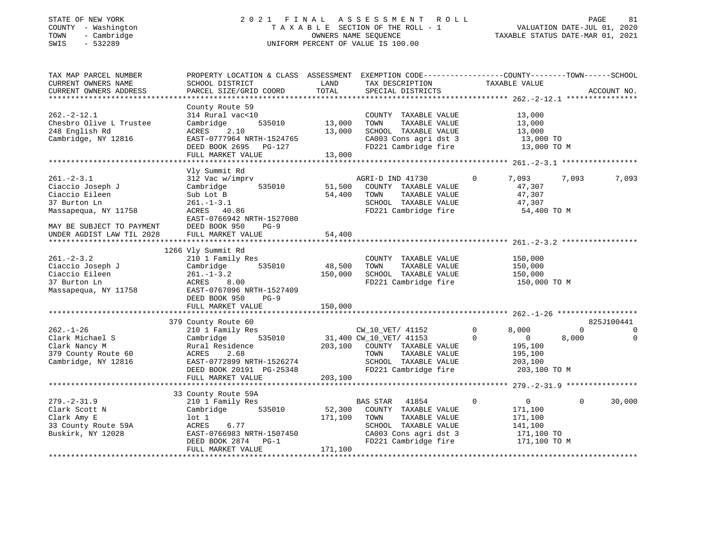## STATE OF NEW YORK 2 0 2 1 F I N A L A S S E S S M E N T R O L L PAGE 81COUNTY - Washington T A X A B L E SECTION OF THE ROLL - 1<br>
TOWN - Cambridge COUNTERS NAME SEQUENCE<br>
SWIS - 532289 UNIFORM PERCENT OF VALUE IS 100.00 SWIS - 532289 UNIFORM PERCENT OF VALUE IS 100.00

VALUATION DATE-JUL 01, 2020 TAXABLE STATUS DATE-MAR 01, 2021

| TAX MAP PARCEL NUMBER     | PROPERTY LOCATION & CLASS ASSESSMENT EXEMPTION CODE---------------COUNTY-------TOWN-----SCHOOL |         |                              |                               |                    |
|---------------------------|------------------------------------------------------------------------------------------------|---------|------------------------------|-------------------------------|--------------------|
| CURRENT OWNERS NAME       | SCHOOL DISTRICT                                                                                | LAND    | TAX DESCRIPTION              | TAXABLE VALUE                 |                    |
| CURRENT OWNERS ADDRESS    | PARCEL SIZE/GRID COORD                                                                         | TOTAL   | SPECIAL DISTRICTS            |                               | ACCOUNT NO.        |
| ********************      |                                                                                                |         |                              |                               |                    |
|                           | County Route 59                                                                                |         |                              |                               |                    |
| $262 - 2 - 12.1$          | 314 Rural vac<10                                                                               |         | COUNTY TAXABLE VALUE         | 13,000                        |                    |
| Chesbro Olive L Trustee   | 535010<br>Cambridge                                                                            | 13,000  | TOWN<br>TAXABLE VALUE        | 13,000                        |                    |
| 248 English Rd            | ACRES<br>2.10                                                                                  | 13,000  | SCHOOL TAXABLE VALUE         | 13,000                        |                    |
| Cambridge, NY 12816       | EAST-0777964 NRTH-1524765                                                                      |         | CA003 Cons agri dst 3        | 13,000 TO                     |                    |
|                           | DEED BOOK 2695<br>PG-127                                                                       |         | FD221 Cambridge fire         | 13,000 TO M                   |                    |
|                           | FULL MARKET VALUE                                                                              | 13,000  |                              |                               |                    |
|                           |                                                                                                |         |                              |                               |                    |
|                           | Vly Summit Rd                                                                                  |         |                              |                               |                    |
| $261 - 2 - 3.1$           | 312 Vac w/imprv                                                                                |         | AGRI-D IND 41730             | $\mathbf 0$<br>7,093          | 7,093<br>7,093     |
| Ciaccio Joseph J          | 535010<br>Cambridge                                                                            | 51,500  | COUNTY TAXABLE VALUE         | 47,307                        |                    |
| Ciaccio Eileen            | Sub Lot B                                                                                      | 54,400  | TOWN<br>TAXABLE VALUE        | 47,307                        |                    |
| 37 Burton Ln              | $261. - 1 - 3.1$                                                                               |         | SCHOOL TAXABLE VALUE         | 47,307                        |                    |
| Massapequa, NY 11758      | ACRES 40.86                                                                                    |         | FD221 Cambridge fire         | 54,400 TO M                   |                    |
|                           | EAST-0766942 NRTH-1527080                                                                      |         |                              |                               |                    |
| MAY BE SUBJECT TO PAYMENT | DEED BOOK 950<br>$PG-9$                                                                        |         |                              |                               |                    |
| UNDER AGDIST LAW TIL 2028 | FULL MARKET VALUE                                                                              | 54,400  |                              |                               |                    |
|                           |                                                                                                |         |                              |                               |                    |
|                           | 1266 Vly Summit Rd                                                                             |         |                              |                               |                    |
| $261 - 2 - 3.2$           | 210 1 Family Res                                                                               |         | COUNTY TAXABLE VALUE         | 150,000                       |                    |
| Ciaccio Joseph J          | 535010<br>Cambridge                                                                            | 48,500  | TOWN<br>TAXABLE VALUE        | 150,000                       |                    |
| Ciaccio Eileen            | $261. - 1 - 3.2$                                                                               | 150,000 | SCHOOL TAXABLE VALUE         | 150,000                       |                    |
| 37 Burton Ln              | ACRES<br>8.00                                                                                  |         | FD221 Cambridge fire         | 150,000 TO M                  |                    |
| Massapequa, NY 11758      | EAST-0767096 NRTH-1527409                                                                      |         |                              |                               |                    |
|                           | DEED BOOK 950<br>$PG-9$                                                                        |         |                              |                               |                    |
|                           | FULL MARKET VALUE                                                                              | 150,000 |                              |                               |                    |
|                           |                                                                                                |         |                              |                               |                    |
|                           | 379 County Route 60                                                                            |         |                              |                               | 825J100441         |
| $262. - 1 - 26$           | 210 1 Family Res                                                                               |         | CW_10_VET/ 41152             | $\circ$<br>8,000              | $\Omega$<br>0      |
| Clark Michael S           | 535010<br>Cambridge                                                                            |         | 31,400 CW_10_VET/ 41153      | $\Omega$<br>$\overline{0}$    | 8,000<br>$\Omega$  |
| Clark Nancy M             | Rural Residence                                                                                |         | 203,100 COUNTY TAXABLE VALUE | 195,100                       |                    |
| 379 County Route 60       | ACRES<br>2.68                                                                                  |         | TAXABLE VALUE<br>TOWN        | 195,100                       |                    |
| Cambridge, NY 12816       | EAST-0772899 NRTH-1526274                                                                      |         | SCHOOL TAXABLE VALUE         | 203,100                       |                    |
|                           | DEED BOOK 20191 PG-25348                                                                       |         | FD221 Cambridge fire         | 203,100 TO M                  |                    |
|                           | FULL MARKET VALUE                                                                              | 203,100 |                              |                               |                    |
|                           |                                                                                                |         |                              |                               |                    |
|                           | 33 County Route 59A                                                                            |         |                              |                               |                    |
| $279. - 2 - 31.9$         | 210 1 Family Res                                                                               |         | 41854<br><b>BAS STAR</b>     | $\mathbf 0$<br>$\overline{0}$ | 30,000<br>$\Omega$ |
| Clark Scott N             | 535010<br>Cambridge                                                                            | 52,300  | COUNTY TAXABLE VALUE         | 171,100                       |                    |
| Clark Amy E               | $1$ ot $1$                                                                                     | 171,100 | TOWN<br>TAXABLE VALUE        | 171,100                       |                    |
| 33 County Route 59A       | ACRES 6.77                                                                                     |         | SCHOOL TAXABLE VALUE         | 141,100                       |                    |
| Buskirk, NY 12028         | EAST-0766983 NRTH-1507450                                                                      |         | CA003 Cons agri dst 3        | 171,100 TO                    |                    |
|                           | DEED BOOK 2874<br>$PG-1$                                                                       |         | FD221 Cambridge fire         | 171,100 TO M                  |                    |
|                           | FULL MARKET VALUE                                                                              | 171,100 |                              |                               |                    |
|                           |                                                                                                |         |                              |                               |                    |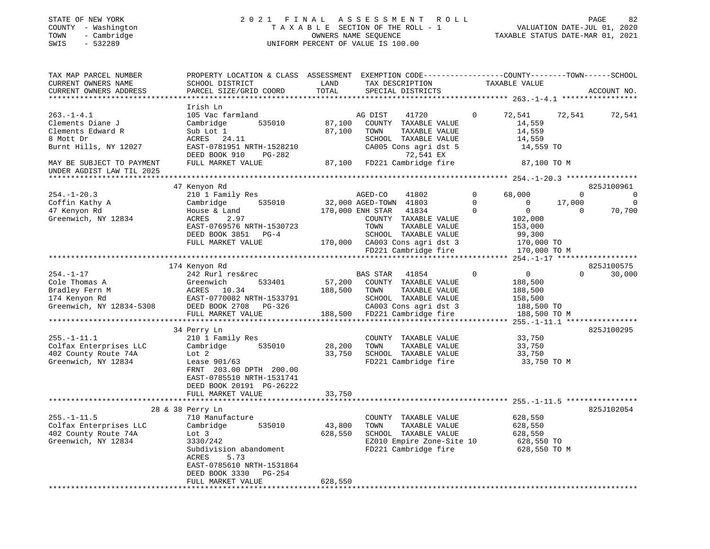#### STATE OF NEW YORK 2 0 2 1 F I N A L A S S E S S M E N T R O L L PAGE 82 COUNTY - Washington T A X A B L E SECTION OF THE ROLL - 1 VALUATION DATE-JUL 01, 2020 TOWN - Cambridge OWNERS NAME SEQUENCE TAXABLE STATUS DATE-MAR 01, 2021 SWIS - 532289 UNIFORM PERCENT OF VALUE IS 100.00

| TAX MAP PARCEL NUMBER<br>CURRENT OWNERS NAME<br>CURRENT OWNERS ADDRESS                                                                                    | PROPERTY LOCATION & CLASS ASSESSMENT<br>SCHOOL DISTRICT<br>PARCEL SIZE/GRID COORD                                                                                                                                                            | LAND<br>TOTAL                             | TAX DESCRIPTION<br>SPECIAL DISTRICTS                                                                                                                                                              | EXEMPTION CODE-----------------COUNTY-------TOWN------SCHOOL<br>TAXABLE VALUE                                                          | ACCOUNT NO.                                                      |
|-----------------------------------------------------------------------------------------------------------------------------------------------------------|----------------------------------------------------------------------------------------------------------------------------------------------------------------------------------------------------------------------------------------------|-------------------------------------------|---------------------------------------------------------------------------------------------------------------------------------------------------------------------------------------------------|----------------------------------------------------------------------------------------------------------------------------------------|------------------------------------------------------------------|
| $263. - 1 - 4.1$<br>Clements Diane J<br>Clements Edward R<br>8 Mott Dr<br>Burnt Hills, NY 12027<br>MAY BE SUBJECT TO PAYMENT<br>UNDER AGDIST LAW TIL 2025 | Irish Ln<br>105 Vac farmland<br>Cambridge<br>535010<br>Sub Lot 1<br>ACRES<br>24.11<br>EAST-0781951 NRTH-1528210<br>DEED BOOK 910<br>PG-282<br>FULL MARKET VALUE                                                                              | 87,100<br>87,100<br>87,100                | AG DIST<br>41720<br>COUNTY TAXABLE VALUE<br>TOWN<br>TAXABLE VALUE<br>SCHOOL TAXABLE VALUE<br>CA005 Cons agri dst 5<br>72,541 EX<br>FD221 Cambridge fire                                           | $\Omega$<br>72,541<br>14,559<br>14,559<br>14,559<br>14,559 TO<br>87,100 TO M                                                           | 72,541<br>72,541                                                 |
| $254. - 1 - 20.3$<br>Coffin Kathy A<br>47 Kenyon Rd<br>Greenwich, NY 12834                                                                                | 47 Kenyon Rd<br>210 1 Family Res<br>535010<br>Cambridge<br>House & Land<br>ACRES<br>2.97<br>EAST-0769576 NRTH-1530723<br>DEED BOOK 3851<br>$PG-4$<br>FULL MARKET VALUE                                                                       | 170,000                                   | AGED-CO<br>41802<br>32,000 AGED-TOWN 41803<br>170,000 ENH STAR<br>41834<br>COUNTY TAXABLE VALUE<br>TOWN<br>TAXABLE VALUE<br>SCHOOL TAXABLE VALUE<br>CA003 Cons agri dst 3<br>FD221 Cambridge fire | $\Omega$<br>68,000<br>$\Omega$<br>$\mathbf 0$<br>$\Omega$<br>$\mathbf 0$<br>102,000<br>153,000<br>99,300<br>170,000 TO<br>170,000 TO M | 825J100961<br>$\Omega$<br>0<br>17,000<br>0<br>70,700<br>$\Omega$ |
| $254. - 1 - 17$<br>Cole Thomas A<br>Bradley Fern M<br>174 Kenyon Rd<br>Greenwich, NY 12834-5308                                                           | ********************************<br>174 Kenyon Rd<br>242 Rurl res&rec<br>533401<br>Greenwich<br>10.34<br>ACRES<br>EAST-0770082 NRTH-1533791<br>DEED BOOK 2708<br>PG-326<br>FULL MARKET VALUE                                                 | 57,200<br>188,500<br>188,500              | ***********************<br>BAS STAR<br>41854<br>COUNTY TAXABLE VALUE<br>TAXABLE VALUE<br>TOWN<br>SCHOOL TAXABLE VALUE<br>CA003 Cons agri dst 3<br>FD221 Cambridge fire                            | ******* 254.-1-17 ******************<br>$\mathbf 0$<br>$\overline{0}$<br>188,500<br>188,500<br>158,500<br>188,500 TO<br>188,500 TO M   | 825J100575<br>$\mathbf 0$<br>30,000                              |
| $255. - 1 - 11.1$<br>Colfax Enterprises LLC<br>402 County Route 74A<br>Greenwich, NY 12834                                                                | 34 Perry Ln<br>210 1 Family Res<br>Cambridge<br>535010<br>Lot 2<br>Lease 901/63<br>FRNT 203.00 DPTH 200.00<br>EAST-0785510 NRTH-1531741<br>DEED BOOK 20191 PG-26222<br>FULL MARKET VALUE                                                     | ***********<br>28,200<br>33,750<br>33,750 | COUNTY TAXABLE VALUE<br>TOWN<br>TAXABLE VALUE<br>SCHOOL TAXABLE VALUE<br>FD221 Cambridge fire                                                                                                     | 33,750<br>33,750<br>33,750<br>33,750 TO M                                                                                              | 825J100295                                                       |
| $255. - 1 - 11.5$<br>Colfax Enterprises LLC<br>402 County Route 74A<br>Greenwich, NY 12834                                                                | *************************<br>28 & 38 Perry Ln<br>710 Manufacture<br>Cambridge<br>535010<br>Lot 3<br>3330/242<br>Subdivision abandoment<br>ACRES<br>5.73<br>EAST-0785610 NRTH-1531864<br>DEED BOOK 3330<br><b>PG-254</b><br>FULL MARKET VALUE | 43,800<br>628,550<br>628,550              | COUNTY TAXABLE VALUE<br>TOWN<br>TAXABLE VALUE<br>SCHOOL TAXABLE VALUE<br>EZ010 Empire Zone-Site 10<br>FD221 Cambridge fire                                                                        | 628,550<br>628,550<br>628,550<br>628,550 TO<br>628,550 TO M                                                                            | 825J102054                                                       |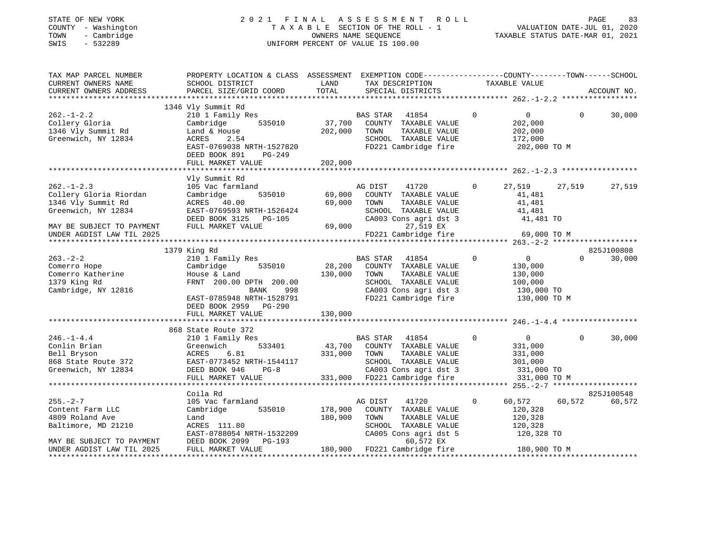| STATE OF NEW YORK                             |              |
|-----------------------------------------------|--------------|
| <b>COUNTY</b>                                 | - Washington |
| TOWN<br>$\sim$                                | Cambridge    |
| CLIT <sub>C</sub><br>$\overline{\phantom{a}}$ | E33300       |

#### STATE OF NEW YORK 2 0 2 1 F I N A L A S S E S S M E N T R O L L PAGE 83 COUNTY - Washington T A X A B L E SECTION OF THE ROLL - 1 VALUATION DATE-JUL 01, 2020 TOWNERS NAME SEQUENCE TAXABLE STATUS DATE-MAR 01, 2021 SWIS - 532289 UNIFORM PERCENT OF VALUE IS 100.00

| TAX MAP PARCEL NUMBER<br>CURRENT OWNERS NAME<br>CURRENT OWNERS ADDRESS                                                                            | PROPERTY LOCATION & CLASS ASSESSMENT EXEMPTION CODE----------------COUNTY-------TOWN-----SCHOOL<br>SCHOOL DISTRICT<br>PARCEL SIZE/GRID COORD                                  | LAND<br>TOTAL                | TAX DESCRIPTION<br>SPECIAL DISTRICTS                                                                                                                       | TAXABLE VALUE                                                                                |                       | ACCOUNT NO.          |
|---------------------------------------------------------------------------------------------------------------------------------------------------|-------------------------------------------------------------------------------------------------------------------------------------------------------------------------------|------------------------------|------------------------------------------------------------------------------------------------------------------------------------------------------------|----------------------------------------------------------------------------------------------|-----------------------|----------------------|
|                                                                                                                                                   |                                                                                                                                                                               |                              |                                                                                                                                                            |                                                                                              |                       |                      |
| $262. - 1 - 2.2$<br>Collery Gloria<br>1346 Vly Summit Rd<br>Greenwich, NY 12834                                                                   | 1346 Vly Summit Rd<br>210 1 Family Res<br>535010<br>Cambridge<br>Land & House<br>ACRES<br>2.54<br>EAST-0769038 NRTH-1527820<br>DEED BOOK 891<br>$PG-249$<br>FULL MARKET VALUE | 37,700<br>202,000<br>202,000 | BAS STAR<br>41854<br>COUNTY TAXABLE VALUE<br>TOWN<br>TAXABLE VALUE<br>SCHOOL TAXABLE VALUE<br>FD221 Cambridge fire                                         | 0<br>$\overline{0}$<br>202,000<br>202,000<br>172,000<br>202,000 TO M                         | $\Omega$              | 30,000               |
|                                                                                                                                                   |                                                                                                                                                                               |                              |                                                                                                                                                            |                                                                                              |                       |                      |
| $262. - 1 - 2.3$<br>Collery Gloria Riordan<br>1346 Vly Summit Rd<br>Greenwich, NY 12834<br>MAY BE SUBJECT TO PAYMENT<br>UNDER AGDIST LAW TIL 2025 | Vly Summit Rd<br>105 Vac farmland<br>535010<br>Cambridge<br>ACRES 40.00<br>EAST-0769593 NRTH-1526424<br>DEED BOOK 3125 PG-105<br>FULL MARKET VALUE                            | 69,000<br>69,000<br>69,000   | AG DIST<br>41720<br>COUNTY TAXABLE VALUE<br>TOWN<br>TAXABLE VALUE<br>SCHOOL TAXABLE VALUE<br>CA003 Cons agri dst 3<br>27,519 EX<br>FD221 Cambridge fire    | $\circ$<br>27,519<br>41,481<br>41,481<br>41,481<br>41,481 TO                                 | 27,519<br>69,000 TO M | 27,519               |
|                                                                                                                                                   |                                                                                                                                                                               |                              |                                                                                                                                                            |                                                                                              |                       |                      |
|                                                                                                                                                   | 1379 King Rd                                                                                                                                                                  |                              |                                                                                                                                                            |                                                                                              |                       | 825J100808           |
| $263. - 2 - 2$<br>Comerro Hope<br>Comerro Katherine<br>1379 King Rd<br>Cambridge, NY 12816                                                        | 210 1 Family Res<br>Cambridge<br>535010<br>House & Land<br>FRNT 200.00 DPTH 200.00<br><b>BANK</b><br>998<br>EAST-0785948 NRTH-1528791<br>DEED BOOK 2959 PG-290                | 28,200<br>130,000            | <b>BAS STAR</b><br>41854<br>COUNTY TAXABLE VALUE<br>TAXABLE VALUE<br>TOWN<br>SCHOOL TAXABLE VALUE<br>CA003 Cons agri dst 3<br>FD221 Cambridge fire         | $\mathbf 0$<br>$\overline{0}$<br>130,000<br>130,000<br>100,000<br>130,000 TO<br>130,000 TO M | $\Omega$              | 30,000               |
|                                                                                                                                                   | FULL MARKET VALUE                                                                                                                                                             | 130,000                      |                                                                                                                                                            |                                                                                              |                       |                      |
|                                                                                                                                                   |                                                                                                                                                                               |                              |                                                                                                                                                            |                                                                                              |                       |                      |
| $246. - 1 - 4.4$<br>Conlin Brian<br>Bell Bryson<br>868 State Route 372<br>Greenwich, NY 12834                                                     | 868 State Route 372<br>210 1 Family Res<br>533401<br>Greenwich<br>6.81<br>ACRES<br>EAST-0773452 NRTH-1544117<br>$PG-8$<br>DEED BOOK 946<br>FULL MARKET VALUE                  | 43,700<br>331,000            | <b>BAS STAR</b><br>41854<br>COUNTY TAXABLE VALUE<br>TOWN<br>TAXABLE VALUE<br>SCHOOL TAXABLE VALUE<br>CA003 Cons agri dst 3<br>331,000 FD221 Cambridge fire | $\Omega$<br>$\mathbf{0}$<br>331,000<br>331,000<br>301,000<br>331,000 TO<br>331,000 TO M      | $\Omega$              | 30,000               |
|                                                                                                                                                   |                                                                                                                                                                               |                              |                                                                                                                                                            |                                                                                              |                       |                      |
| $255. - 2 - 7$<br>Content Farm LLC<br>4809 Roland Ave<br>Baltimore, MD 21210<br>MAY BE SUBJECT TO PAYMENT                                         | Coila Rd<br>105 Vac farmland<br>Cambridge<br>535010<br>Land<br>ACRES 111.80<br>EAST-0788054 NRTH-1532209<br>DEED BOOK 2099<br>PG-193                                          | 178,900<br>180,900           | AG DIST<br>41720<br>COUNTY TAXABLE VALUE<br>TOWN<br>TAXABLE VALUE<br>SCHOOL TAXABLE VALUE<br>CA005 Cons agri dst 5<br>60,572 EX                            | $\mathbf 0$<br>60,572<br>120,328<br>120,328<br>120,328<br>120,328 TO                         | 60,572                | 825J100548<br>60,572 |
| UNDER AGDIST LAW TIL 2025<br>*********************                                                                                                | FULL MARKET VALUE                                                                                                                                                             |                              | 180,900 FD221 Cambridge fire                                                                                                                               | 180,900 TO M                                                                                 |                       |                      |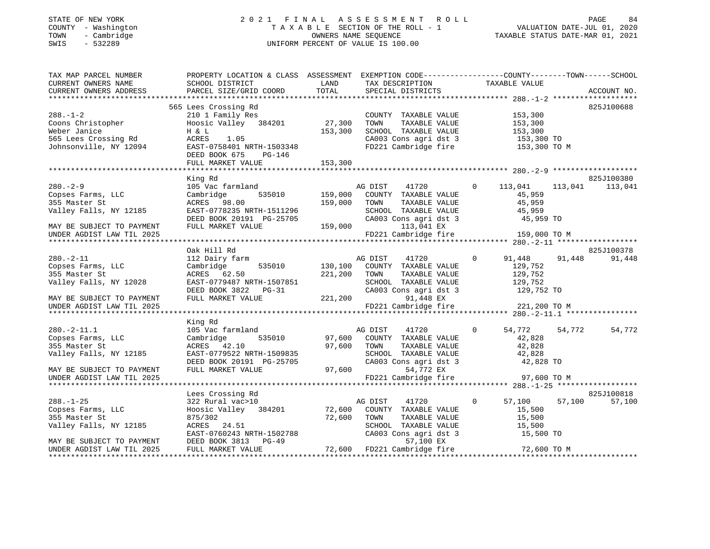#### STATE OF NEW YORK 2 0 2 1 F I N A L A S S E S S M E N T R O L L PAGE 84 COUNTY - Washington T A X A B L E SECTION OF THE ROLL - 1 VALUATION DATE-JUL 01, 2020 TOWN - Cambridge OWNERS NAME SEQUENCE TAXABLE STATUS DATE-MAR 01, 2021 SWIS - 532289 UNIFORM PERCENT OF VALUE IS 100.00

| TAX MAP PARCEL NUMBER<br>CURRENT OWNERS NAME   | PROPERTY LOCATION & CLASS ASSESSMENT EXEMPTION CODE---------------COUNTY-------TOWN-----SCHOOL<br>SCHOOL DISTRICT | LAND         | TAX DESCRIPTION                                                                  | TAXABLE VALUE             |        |             |
|------------------------------------------------|-------------------------------------------------------------------------------------------------------------------|--------------|----------------------------------------------------------------------------------|---------------------------|--------|-------------|
| CURRENT OWNERS ADDRESS                         | PARCEL SIZE/GRID COORD                                                                                            | TOTAL        | SPECIAL DISTRICTS                                                                |                           |        | ACCOUNT NO. |
|                                                | 565 Lees Crossing Rd                                                                                              |              |                                                                                  |                           |        | 825J100688  |
| $288. - 1 - 2$                                 | Lees Crossing Rd<br>210 1 Family Res<br>Hoosic Valley 384201 27,300                                               |              | COUNTY TAXABLE VALUE 153,300                                                     |                           |        |             |
| Coons Christopher                              |                                                                                                                   |              | TOWN                                                                             | TAXABLE VALUE 153,300     |        |             |
| Weber Janice                                   | H & L                                                                                                             | 153,300      | SCHOOL TAXABLE VALUE                                                             | 153,300                   |        |             |
| 565 Lees Crossing Rd<br>Johnsonville, NY 12094 | ACRES<br>1.05                                                                                                     |              | CA003 Cons agri dst 3 153,300 TO                                                 |                           |        |             |
|                                                | EAST-0758401 NRTH-1503348                                                                                         |              | FD221 Cambridge fire                                                             | 153,300 TO M              |        |             |
|                                                | DEED BOOK 675<br>PG-146                                                                                           |              |                                                                                  |                           |        |             |
|                                                | FULL MARKET VALUE                                                                                                 | 153,300      |                                                                                  |                           |        |             |
|                                                | King Rd                                                                                                           |              |                                                                                  |                           |        | 825J100380  |
| $280. - 2 - 9$                                 | 105 Vac farmland                                                                                                  |              | AG DIST 41720 0 113,041 113,041                                                  |                           |        | 113,041     |
| Copses Farms, LLC                              | Cambridge                                                                                                         |              |                                                                                  | 45,959                    |        |             |
| 355 Master St                                  | ACRES 98.00                                                                                                       |              | -------<br>535010 159,000 COUNTY TAXABLE VALUE<br>.00 159,000 TOWN TAXABLE VALUE | 45,959                    |        |             |
| Valley Falls, NY 12185                         | EAST-0778235 NRTH-1511296                                                                                         |              |                                                                                  | 45,959                    |        |             |
|                                                | NADI V770233 NKIH-1511296<br>DEED BOOK 20191 PG-25705<br>NWI WANGER NEWS                                          |              | SCHOOL TAXABLE VALUE<br>CA003 Cons agri dst 3                                    | 45,959 TO                 |        |             |
| MAY BE SUBJECT TO PAYMENT                      | FULL MARKET VALUE                                                                                                 |              | $159,000$ $113,041$ EX                                                           |                           |        |             |
| UNDER AGDIST LAW TIL 2025                      |                                                                                                                   |              | FD221 Cambridge fire                                                             | 159,000 TO M              |        |             |
|                                                |                                                                                                                   |              |                                                                                  |                           |        |             |
|                                                | Oak Hill Rd                                                                                                       |              |                                                                                  |                           |        | 825J100378  |
| $280. - 2 - 11$                                | 112 Dairy farm                                                                                                    |              | $\overline{0}$<br>AG DIST<br>41720                                               | 91,448 91,448             |        | 91,448      |
| Copses Farms, LLC                              | Cambridge                                                                                                         |              | 535010 130,100 COUNTY TAXABLE VALUE                                              | 129,752                   |        |             |
| 355 Master St                                  | ACRES 62.50                                                                                                       | 221,200 TOWN | TAXABLE VALUE                                                                    | 129,752                   |        |             |
| Valley Falls, NY 12028                         |                                                                                                                   |              | SCHOOL TAXABLE VALUE                                                             | 129,752                   |        |             |
|                                                | EAST-0779487 NRTH-1507851<br>DEED BOOK 3822 PG-31<br>PHEL HOOK 3822 PG-31                                         |              | $\frac{12}{129}$ , 752 TO<br>CA003 Cons agri dst 3 129, 752 TO                   |                           |        |             |
| MAY BE SUBJECT TO PAYMENT                      | FULL MARKET VALUE                                                                                                 | 221,200      | 91,448 EX                                                                        |                           |        |             |
| UNDER AGDIST LAW TIL 2025                      |                                                                                                                   |              | FD221 Cambridge fire 221,200 TO M                                                |                           |        |             |
|                                                |                                                                                                                   |              |                                                                                  |                           |        |             |
|                                                | King Rd                                                                                                           |              |                                                                                  |                           |        |             |
| $280. -2 - 11.1$                               | 105 Vac farmland                                                                                                  |              | 1 MAG DIST 41720<br>535010 97,600 COUNTY TAXABLE VALUE                           | $\Omega$<br>54,772 54,772 |        | 54,772      |
| Copses Farms, LLC                              | Cambridge                                                                                                         |              |                                                                                  | 42,828                    |        |             |
| 355 Master St                                  | ACRES 42.10                                                                                                       |              | 97,600 TOWN<br>TAXABLE VALUE                                                     | 42,828                    |        |             |
| Valley Falls, NY 12185                         | EAST-0779522 NRTH-1509835                                                                                         |              | SCHOOL TAXABLE VALUE 42,828<br>CA003 Cons agri dst 3 42,828 TO                   |                           |        |             |
|                                                | DEED BOOK 20191 PG-25705<br>FULL MARKET VALUE 97,600                                                              |              |                                                                                  |                           |        |             |
| MAY BE SUBJECT TO PAYMENT                      |                                                                                                                   |              | 97,600<br>54,772 EX<br>FD221 Cambridge fire 97,600 TO M                          |                           |        |             |
| UNDER AGDIST LAW TIL 2025                      |                                                                                                                   |              |                                                                                  |                           |        |             |
|                                                | Lees Crossing Rd                                                                                                  |              |                                                                                  |                           |        | 825J100818  |
| $288. - 1 - 25$                                | 322 Rural vac>10                                                                                                  |              | AG DIST<br>41720                                                                 | $\overline{0}$<br>57,100  | 57,100 | 57,100      |
| Copses Farms, LLC                              | Hoosic Valley 384201 72,600 COUNTY TAXABLE VALUE                                                                  |              |                                                                                  | 15,500                    |        |             |
| 355 Master St                                  | 875/302                                                                                                           | 72,600       |                                                                                  | 15,500                    |        |             |
| Valley Falls, NY 12185                         | ACRES 24.51                                                                                                       |              | TOWN      TAXABLE VALUE<br>SCHOOL   TAXABLE VALUE                                | 15,500                    |        |             |
|                                                | EAST-0760243 NRTH-1502788                                                                                         |              | CA003 Cons agri dst 3                                                            | 15,500 TO                 |        |             |
| MAY BE SUBJECT TO PAYMENT                      | DEED BOOK 3813 PG-49                                                                                              |              | 57,100 EX                                                                        |                           |        |             |
| UNDER AGDIST LAW TIL 2025                      | FULL MARKET VALUE                                                                                                 |              | 72,600 FD221 Cambridge fire 72,600 TO M                                          |                           |        |             |
|                                                |                                                                                                                   |              |                                                                                  |                           |        |             |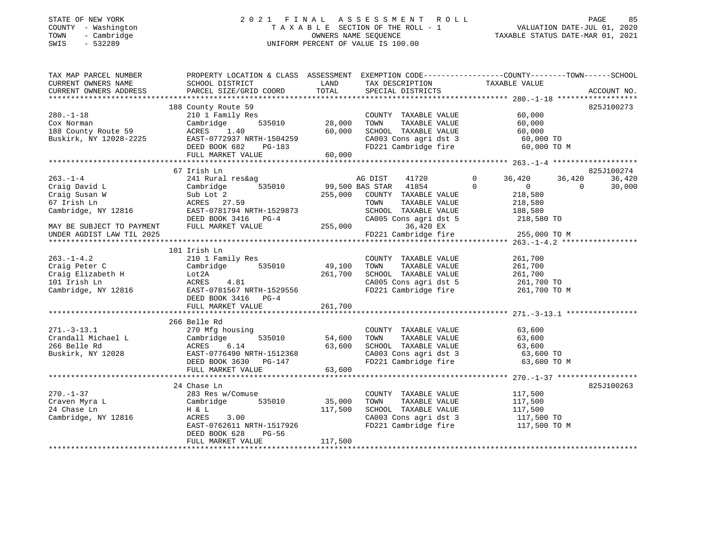## STATE OF NEW YORK 2 0 2 1 F I N A L A S S E S S M E N T R O L L PAGE 85COUNTY - Washington T A X A B L E SECTION OF THE ROLL - 1<br>
TOWN - Cambridge COUNTERS NAME SEQUENCE<br>
SWIS - 532289 UNIFORM PERCENT OF VALUE IS 100.00 SWIS - 532289 UNIFORM PERCENT OF VALUE IS 100.00

VALUATION DATE-JUL 01, 2020

| TAX MAP PARCEL NUMBER     | PROPERTY LOCATION & CLASS ASSESSMENT EXEMPTION CODE---------------COUNTY-------TOWN------SCHOOL                                                                                                                                |         |                                                                                                |                                                                                        |                      |
|---------------------------|--------------------------------------------------------------------------------------------------------------------------------------------------------------------------------------------------------------------------------|---------|------------------------------------------------------------------------------------------------|----------------------------------------------------------------------------------------|----------------------|
|                           |                                                                                                                                                                                                                                |         |                                                                                                |                                                                                        |                      |
|                           |                                                                                                                                                                                                                                |         |                                                                                                |                                                                                        |                      |
|                           | 188 County Route 59                                                                                                                                                                                                            |         |                                                                                                |                                                                                        | 825J100273           |
| $280. -1 - 18$            | 210 1 Family Res                                                                                                                                                                                                               |         | COUNTY TAXABLE VALUE<br>TAXABLE VALUE                                                          | 60,000                                                                                 |                      |
|                           |                                                                                                                                                                                                                                |         |                                                                                                |                                                                                        |                      |
|                           |                                                                                                                                                                                                                                |         |                                                                                                |                                                                                        |                      |
|                           |                                                                                                                                                                                                                                |         |                                                                                                |                                                                                        |                      |
|                           |                                                                                                                                                                                                                                |         |                                                                                                |                                                                                        |                      |
|                           | 11.0 18.0000 10000 10000 10000 10000 10000 10000 10000 10000 10000 10000 10000 10000 10000 10000 10000 10000 10000 10000 10000 10000 10000 10000 10000 10000 10000 10000 10000 10000 10000 10000 10000 10000 10000 10000 10000 |         |                                                                                                |                                                                                        |                      |
|                           |                                                                                                                                                                                                                                |         |                                                                                                |                                                                                        |                      |
| $263. - 1 - 4$            | 67 Irish Ln                                                                                                                                                                                                                    |         | 41720                                                                                          | $\circ$<br>36,420                                                                      | 825J100274<br>36,420 |
|                           | 241 Rural res&ag                                                                                                                                                                                                               |         | AG DIST                                                                                        | 36,420<br>$\overline{0}$                                                               | $\overline{0}$       |
|                           | Craig David L Cambridge 535010 99,50<br>Craig Susan W Sub Lot 2 255,00<br>67 Irish Ln ACRES 27.59<br>Cambridge, NY 12816 EAST-0781794 NRTH-1529873                                                                             |         | $535010$ 99,500 BAS STAR 41854 0<br>255,000 COUNTY TAXABLE VALUE                               | 218,580                                                                                | 30,000               |
|                           |                                                                                                                                                                                                                                |         | COUNTY TAXABLE VALUE                                                                           |                                                                                        |                      |
|                           |                                                                                                                                                                                                                                |         |                                                                                                |                                                                                        |                      |
|                           |                                                                                                                                                                                                                                |         | TOWN TAXABLE VALUE 218,580<br>SCHOOL TAXABLE VALUE 188,580<br>CA005 Cons agri dst 5 218,580 TO |                                                                                        |                      |
|                           | DEED BOOK 3416 PG-4 CA005 C<br>FULL MARKET VALUE 255,000                                                                                                                                                                       |         |                                                                                                |                                                                                        |                      |
| MAY BE SUBJECT TO PAYMENT |                                                                                                                                                                                                                                |         | 36,420 EX                                                                                      | FD221 Cambridge fire 255,000 TO M                                                      |                      |
| UNDER AGDIST LAW TIL 2025 |                                                                                                                                                                                                                                |         |                                                                                                |                                                                                        |                      |
|                           |                                                                                                                                                                                                                                |         |                                                                                                |                                                                                        |                      |
|                           | 101 Irish Ln                                                                                                                                                                                                                   |         |                                                                                                |                                                                                        |                      |
| $263. - 1 - 4.2$          | 210 1 Family Res                                                                                                                                                                                                               |         | COUNTY TAXABLE VALUE                                                                           | 261,700                                                                                |                      |
| Craig Peter C             | Cambridge 535010                                                                                                                                                                                                               | 49,100  | TAXABLE VALUE<br>TOWN                                                                          | 261,700                                                                                |                      |
|                           |                                                                                                                                                                                                                                |         | SCHOOL TAXABLE VALUE                                                                           | 261,700                                                                                |                      |
|                           |                                                                                                                                                                                                                                |         |                                                                                                | CA005 Cons agri dst 5 261,700 TO<br>FD221 Cambridge fire 261,700 TO M                  |                      |
|                           | Craig Feter C<br>Craig Elizabeth H Lot 2A<br>101 Irish Ln ACRES 4.81 261,700<br>Cambridge, NY 12816 EAST-0781567 NRTH-1529556                                                                                                  |         |                                                                                                |                                                                                        |                      |
|                           | DEED BOOK 3416 PG-4                                                                                                                                                                                                            |         |                                                                                                |                                                                                        |                      |
|                           | FULL MARKET VALUE                                                                                                                                                                                                              | 261,700 |                                                                                                |                                                                                        |                      |
|                           |                                                                                                                                                                                                                                |         |                                                                                                |                                                                                        |                      |
|                           | 266 Belle Rd                                                                                                                                                                                                                   |         |                                                                                                | $63,600$<br>$63$                                                                       |                      |
|                           |                                                                                                                                                                                                                                |         | COUNTY TAXABLE VALUE<br>TAXABLE VALUE<br>TAXABLE VALUE                                         |                                                                                        |                      |
|                           |                                                                                                                                                                                                                                |         | TOWN                                                                                           |                                                                                        |                      |
|                           |                                                                                                                                                                                                                                |         |                                                                                                | SCHOOL TAXABLE VALUE<br>SCHOOL TAXABLE VALUE 63,600<br>CAOOR Cons agri dst 3 63,600 TO |                      |
|                           |                                                                                                                                                                                                                                |         |                                                                                                | CA003 Cons agri dst 3 63,600 TO<br>FD221 Cambridge fire 63,600 TO M                    |                      |
|                           |                                                                                                                                                                                                                                |         |                                                                                                |                                                                                        |                      |
|                           | 271.-3-13.1<br>Crandall Michael L Cambridge 535010 54,000<br>266 Belle Rd ACRES 6.14 63,600<br>Buskirk, NY 12028 DEED BOOK 3630 PG-147<br>TITLE CRES 535010 54,000<br>DEED BOOK 3630 PG-147<br>TITLE CRES TO BOOK 3630 PG-147  |         |                                                                                                |                                                                                        |                      |
|                           |                                                                                                                                                                                                                                |         |                                                                                                |                                                                                        |                      |
|                           | 24 Chase Ln                                                                                                                                                                                                                    |         |                                                                                                |                                                                                        | 825J100263           |
| $270. - 1 - 37$           | 283 Res w/Comuse                                                                                                                                                                                                               |         | COUNTY TAXABLE VALUE                                                                           | 117,500                                                                                |                      |
|                           |                                                                                                                                                                                                                                | 35,000  | TOWN                                                                                           | TAXABLE VALUE 117,500                                                                  |                      |
|                           |                                                                                                                                                                                                                                |         | SCHOOL TAXABLE VALUE                                                                           | 117,500                                                                                |                      |
| Cambridge, NY 12816       | 117,500                                                                                                                                                                                                                        |         |                                                                                                | ca003 Cons agri dst 3 117,500 TO                                                       |                      |
|                           | EAST-0762611 NRTH-1517926<br>DEED BOOK 628 POLES                                                                                                                                                                               |         | FD221 Cambridge fire                                                                           | 117,500 TO M                                                                           |                      |
|                           | DEED BOOK 628<br>PG-56                                                                                                                                                                                                         |         |                                                                                                |                                                                                        |                      |
|                           | FULL MARKET VALUE                                                                                                                                                                                                              | 117,500 |                                                                                                |                                                                                        |                      |
|                           |                                                                                                                                                                                                                                |         |                                                                                                |                                                                                        |                      |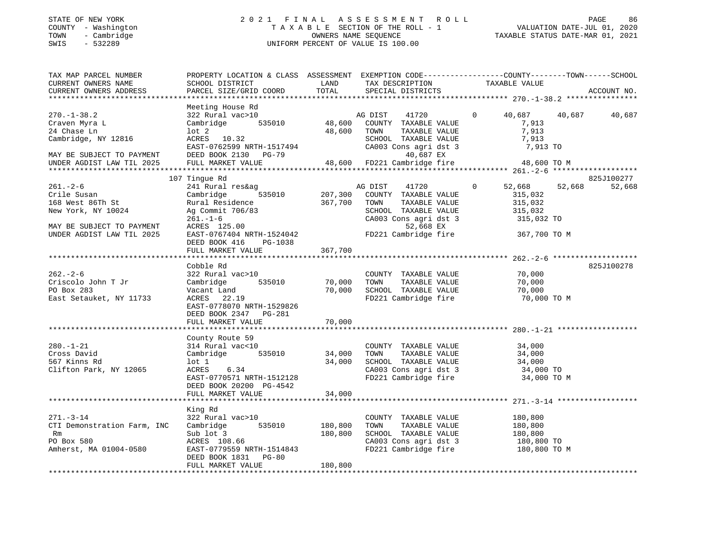#### STATE OF NEW YORK 2 0 2 1 F I N A L A S S E S S M E N T R O L L PAGE 86 COUNTY - Washington T A X A B L E SECTION OF THE ROLL - 1 VALUATION DATE-JUL 01, 2020 TOWN - Cambridge OWNERS NAME SEQUENCE TAXABLE STATUS DATE-MAR 01, 2021 SWIS - 532289 UNIFORM PERCENT OF VALUE IS 100.00

TAX MAP PARCEL NUMBER PROPERTY LOCATION & CLASS ASSESSMENT EXEMPTION CODE---------------COUNTY-------TOWN-----SCHOOL CURRENT OWNERS NAME SCHOOL DISTRICT LAND TAX DESCRIPTION TAXABLE VALUECURRENT OWNERS ADDRESS PARCEL SIZE/GRID COORD TOTAL SPECIAL DISTRICTS ACCOUNT NO. \*\*\*\*\*\*\*\*\*\*\*\*\*\*\*\*\*\*\*\*\*\*\*\*\*\*\*\*\*\*\*\*\*\*\*\*\*\*\*\*\*\*\*\*\*\*\*\*\*\*\*\*\*\*\*\*\*\*\*\*\*\*\*\*\*\*\*\*\*\*\*\*\*\*\*\*\*\*\*\*\*\*\*\*\*\*\*\*\*\*\*\*\*\*\*\*\*\*\*\*\*\*\* 270.-1-38.2 \*\*\*\*\*\*\*\*\*\*\*\*\*\*\*\* Meeting House Rd 270.-1-38.2 322 Rural vac>10 AG DIST 41720 0 40,687 40,687 40,687 Craven Myra L Cambridge 535010 48,600 COUNTY TAXABLE VALUE 7,913 24 Chase Ln lot 2 48,600 TOWN TAXABLE VALUE 7,913 Cambridge, NY 12816 ACRES 10.32 SCHOOL TAXABLE VALUE 7,913 EAST-0762599 NRTH-1517494 CA003 Cons agri dst 3 7,913 TO MAY BE SUBJECT TO PAYMENT DEED BOOK 2130 PG-79 40,687 EX UNDER AGDIST LAW TIL 2025 FULL MARKET VALUE 48,600 FD221 Cambridge fire 48,600 TO M \*\*\*\*\*\*\*\*\*\*\*\*\*\*\*\*\*\*\*\*\*\*\*\*\*\*\*\*\*\*\*\*\*\*\*\*\*\*\*\*\*\*\*\*\*\*\*\*\*\*\*\*\*\*\*\*\*\*\*\*\*\*\*\*\*\*\*\*\*\*\*\*\*\*\*\*\*\*\*\*\*\*\*\*\*\*\*\*\*\*\*\*\*\*\*\*\*\*\*\*\*\*\* 261.-2-6 \*\*\*\*\*\*\*\*\*\*\*\*\*\*\*\*\*\*\* 107 Tingue Rd 825J100277 261.-2-6 241 Rural res&ag AG DIST 41720 0 52,668 52,668 52,668 Crile Susan Cambridge 535010 207,300 COUNTY TAXABLE VALUE 315,032 168 West 86Th St Rural Residence 367,700 TOWN TAXABLE VALUE 315,032 New York, NY 10024 Ag Commit 706/83 SCHOOL TAXABLE VALUE 315,032 261.-1-6 CA003 Cons agri dst 3 315,032 TO MAY BE SUBJECT TO PAYMENT ACRES 125.00 52,668 EX UNDER AGDIST LAW TIL 2025 EAST-0767404 NRTH-1524042 FD221 Cambridge fire 367,700 TO M DEED BOOK 416 PG-1038FULL MARKET VALUE 367,700 \*\*\*\*\*\*\*\*\*\*\*\*\*\*\*\*\*\*\*\*\*\*\*\*\*\*\*\*\*\*\*\*\*\*\*\*\*\*\*\*\*\*\*\*\*\*\*\*\*\*\*\*\*\*\*\*\*\*\*\*\*\*\*\*\*\*\*\*\*\*\*\*\*\*\*\*\*\*\*\*\*\*\*\*\*\*\*\*\*\*\*\*\*\*\*\*\*\*\*\*\*\*\* 262.-2-6 \*\*\*\*\*\*\*\*\*\*\*\*\*\*\*\*\*\*\* Cobble Rd 825J100278262.-2-6 322 Rural vac>10 COUNTY TAXABLE VALUE 70,000 Criscolo John T Jr Cambridge 535010 70,000 TOWN TAXABLE VALUE 70,000 PO Box 283 Vacant Land 70,000 SCHOOL TAXABLE VALUE 70,000 East Setauket, NY 11733 ACRES 22.19 FD221 Cambridge fire 70,000 TO M EAST-0778070 NRTH-1529826 DEED BOOK 2347 PG-281FULL MARKET VALUE 70,000 \*\*\*\*\*\*\*\*\*\*\*\*\*\*\*\*\*\*\*\*\*\*\*\*\*\*\*\*\*\*\*\*\*\*\*\*\*\*\*\*\*\*\*\*\*\*\*\*\*\*\*\*\*\*\*\*\*\*\*\*\*\*\*\*\*\*\*\*\*\*\*\*\*\*\*\*\*\*\*\*\*\*\*\*\*\*\*\*\*\*\*\*\*\*\*\*\*\*\*\*\*\*\* 280.-1-21 \*\*\*\*\*\*\*\*\*\*\*\*\*\*\*\*\*\* County Route 59 280.-1-21 314 Rural vac<10 COUNTY TAXABLE VALUE 34,000 Cross David Cambridge 535010 34,000 TOWN TAXABLE VALUE 34,000 567 Kinns Rd lot 1 34,000 SCHOOL TAXABLE VALUE 34,000 CRES 1999 ACRES 100 CHOOL TAXABLE VALUE<br>Clifton Park, NY 12065 ACRES 6.34 CA003 Cons agri dst 3 EAST-0770571 NRTH-1512128 FD221 Cambridge fire 34,000 TO M DEED BOOK 20200 PG-4542 FULL MARKET VALUE 34,000 \*\*\*\*\*\*\*\*\*\*\*\*\*\*\*\*\*\*\*\*\*\*\*\*\*\*\*\*\*\*\*\*\*\*\*\*\*\*\*\*\*\*\*\*\*\*\*\*\*\*\*\*\*\*\*\*\*\*\*\*\*\*\*\*\*\*\*\*\*\*\*\*\*\*\*\*\*\*\*\*\*\*\*\*\*\*\*\*\*\*\*\*\*\*\*\*\*\*\*\*\*\*\* 271.-3-14 \*\*\*\*\*\*\*\*\*\*\*\*\*\*\*\*\*\* King Rd 271.-3-14 322 Rural vac>10 COUNTY TAXABLE VALUE 180,800 CTI Demonstration Farm, INC Cambridge 535010 180,800 TOWN TAXABLE VALUE 180,800 Rm Sub lot 3 180,800 SCHOOL TAXABLE VALUE 180,800 PO Box 580 ACRES 108.66 CA003 Cons agri dst 3 180,800 TO Amherst, MA 01004-0580 EAST-0779559 NRTH-1514843 FD221 Cambridge fire 180,800 TO M DEED BOOK 1831 PG-80FULL MARKET VALUE 180,800

\*\*\*\*\*\*\*\*\*\*\*\*\*\*\*\*\*\*\*\*\*\*\*\*\*\*\*\*\*\*\*\*\*\*\*\*\*\*\*\*\*\*\*\*\*\*\*\*\*\*\*\*\*\*\*\*\*\*\*\*\*\*\*\*\*\*\*\*\*\*\*\*\*\*\*\*\*\*\*\*\*\*\*\*\*\*\*\*\*\*\*\*\*\*\*\*\*\*\*\*\*\*\*\*\*\*\*\*\*\*\*\*\*\*\*\*\*\*\*\*\*\*\*\*\*\*\*\*\*\*\*\*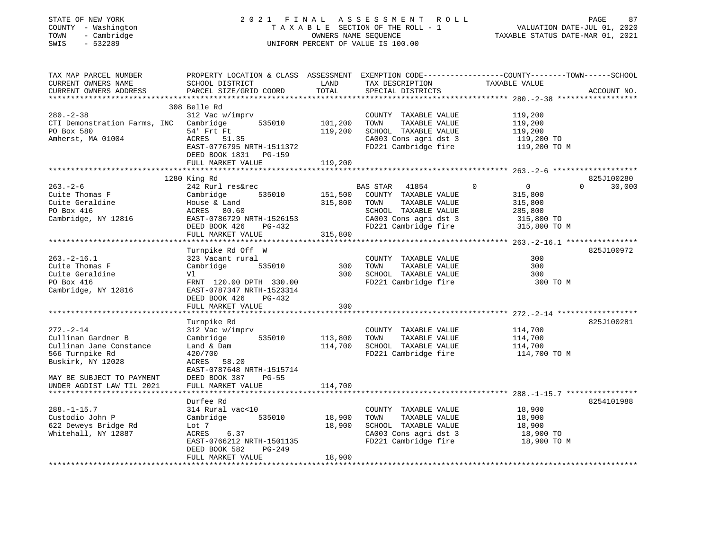## STATE OF NEW YORK 2 0 2 1 F I N A L A S S E S S M E N T R O L L PAGE 87COUNTY - Washington T A X A B L E SECTION OF THE ROLL - 1 VALUATION DATE-JUL 01, 2020 SWIS - 532289 UNIFORM PERCENT OF VALUE IS 100.00

VALUATION DATE-JUL 01, 2020

| TAX MAP PARCEL NUMBER<br>CURRENT OWNERS NAME<br>CURRENT OWNERS ADDRESS | PROPERTY LOCATION & CLASS ASSESSMENT EXEMPTION CODE---------------COUNTY-------TOWN-----SCHOOL<br>SCHOOL DISTRICT | LAND<br>TOTAL | TAX DESCRIPTION<br>SPECIAL DISTRICTS          | TAXABLE VALUE              | ACCOUNT NO.        |
|------------------------------------------------------------------------|-------------------------------------------------------------------------------------------------------------------|---------------|-----------------------------------------------|----------------------------|--------------------|
|                                                                        | PARCEL SIZE/GRID COORD                                                                                            |               |                                               |                            |                    |
|                                                                        | 308 Belle Rd                                                                                                      |               |                                               |                            |                    |
| $280 - 2 - 38$                                                         | 312 Vac w/imprv                                                                                                   |               | COUNTY TAXABLE VALUE                          | 119,200                    |                    |
| CTI Demonstration Farms, INC Cambridge                                 | 535010                                                                                                            | 101,200       | TOWN<br>TAXABLE VALUE                         | 119,200                    |                    |
| PO Box 580                                                             | 54' Frt Ft                                                                                                        | 119,200       | SCHOOL TAXABLE VALUE                          | 119,200                    |                    |
| Amherst, MA 01004                                                      | ACRES 51.35<br>EAST-0776795 NRTH-1511372                                                                          |               | CA003 Cons agri dst 3<br>FD221 Cambridge fire | 119,200 TO<br>119,200 TO M |                    |
|                                                                        | DEED BOOK 1831 PG-159                                                                                             |               |                                               |                            |                    |
|                                                                        | FULL MARKET VALUE                                                                                                 | 119,200       |                                               |                            |                    |
|                                                                        |                                                                                                                   |               |                                               |                            |                    |
|                                                                        | 1280 King Rd                                                                                                      |               |                                               |                            | 825J100280         |
| $263. - 2 - 6$                                                         | 242 Rurl res&rec                                                                                                  |               | BAS STAR<br>41854                             | 0<br>$\overline{0}$        | $\Omega$<br>30,000 |
| Cuite Thomas F                                                         | Cambridge<br>535010                                                                                               | 151,500       | COUNTY TAXABLE VALUE                          | 315,800                    |                    |
| Cuite Geraldine                                                        | House & Land                                                                                                      | 315,800       | TAXABLE VALUE<br>TOWN                         | 315,800                    |                    |
| PO Box 416                                                             | ACRES 80.60                                                                                                       |               | SCHOOL TAXABLE VALUE                          | 285,800                    |                    |
| Cambridge, NY 12816                                                    | EAST-0786729 NRTH-1526153                                                                                         |               | CA003 Cons agri dst 3                         | 315,800 TO                 |                    |
|                                                                        | $PG-432$<br>DEED BOOK 426                                                                                         |               | FD221 Cambridge fire                          | 315,800 TO M               |                    |
|                                                                        | FULL MARKET VALUE                                                                                                 | 315,800       |                                               |                            |                    |
|                                                                        |                                                                                                                   |               |                                               |                            |                    |
|                                                                        | Turnpike Rd Off W                                                                                                 |               |                                               |                            | 825J100972         |
| $263. -2 - 16.1$                                                       | 323 Vacant rural                                                                                                  |               | COUNTY TAXABLE VALUE                          | 300                        |                    |
| Cuite Thomas F                                                         | Cambridge<br>535010                                                                                               | 300           | TOWN<br>TAXABLE VALUE                         | 300                        |                    |
| Cuite Geraldine                                                        | Vl                                                                                                                | 300           | SCHOOL TAXABLE VALUE                          | 300                        |                    |
| PO Box 416                                                             | FRNT 120.00 DPTH 330.00                                                                                           |               | FD221 Cambridge fire                          | 300 TO M                   |                    |
| Cambridge, NY 12816                                                    | EAST-0787347 NRTH-1523314                                                                                         |               |                                               |                            |                    |
|                                                                        | DEED BOOK 426<br>PG-432                                                                                           |               |                                               |                            |                    |
|                                                                        | FULL MARKET VALUE                                                                                                 | 300           |                                               |                            |                    |
|                                                                        |                                                                                                                   |               |                                               |                            |                    |
| $272 - 2 - 14$                                                         | Turnpike Rd<br>312 Vac w/imprv                                                                                    |               |                                               | 114,700                    | 825J100281         |
| Cullinan Gardner B                                                     | 535010<br>Cambridge                                                                                               | 113,800       | COUNTY TAXABLE VALUE<br>TAXABLE VALUE<br>TOWN | 114,700                    |                    |
| Cullinan Jane Constance                                                | Land & Dam                                                                                                        | 114,700       | SCHOOL TAXABLE VALUE                          | 114,700                    |                    |
| 566 Turnpike Rd                                                        | 420/700                                                                                                           |               | FD221 Cambridge fire                          | 114,700 TO M               |                    |
| Buskirk, NY 12028                                                      | ACRES<br>58.20                                                                                                    |               |                                               |                            |                    |
|                                                                        | EAST-0787648 NRTH-1515714                                                                                         |               |                                               |                            |                    |
| MAY BE SUBJECT TO PAYMENT                                              | DEED BOOK 387<br>$PG-55$                                                                                          |               |                                               |                            |                    |
| UNDER AGDIST LAW TIL 2021                                              | FULL MARKET VALUE                                                                                                 | 114,700       |                                               |                            |                    |
|                                                                        |                                                                                                                   |               |                                               |                            |                    |
|                                                                        | Durfee Rd                                                                                                         |               |                                               |                            | 8254101988         |
| $288. - 1 - 15.7$                                                      | 314 Rural vac<10                                                                                                  |               | COUNTY TAXABLE VALUE                          | 18,900                     |                    |
| Custodio John P                                                        | Cambridge<br>535010                                                                                               | 18,900        | TOWN<br>TAXABLE VALUE                         | 18,900                     |                    |
| 622 Deweys Bridge Rd                                                   | Lot 7                                                                                                             | 18,900        | SCHOOL TAXABLE VALUE                          | 18,900                     |                    |
| Whitehall, NY 12887                                                    | ACRES<br>6.37                                                                                                     |               | CA003 Cons agri dst 3                         | 18,900 TO                  |                    |
|                                                                        | EAST-0766212 NRTH-1501135                                                                                         |               | FD221 Cambridge fire                          | 18,900 TO M                |                    |
|                                                                        | DEED BOOK 582<br>PG-249                                                                                           |               |                                               |                            |                    |
|                                                                        | FULL MARKET VALUE                                                                                                 | 18,900        |                                               |                            |                    |
|                                                                        |                                                                                                                   |               |                                               |                            |                    |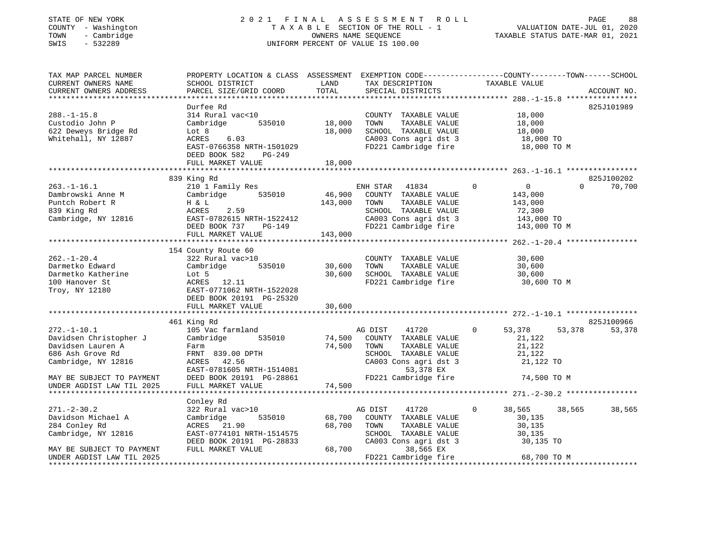# STATE OF NEW YORK 2 0 2 1 F I N A L A S S E S S M E N T R O L L PAGE 88 COUNTY - Washington T A X A B L E SECTION OF THE ROLL - 1 VALUATION DATE-JUL 01, 2020 TOWN - Cambridge OWNERS NAME SEQUENCE TAXABLE STATUS DATE-MAR 01, 2021 SWINGTON THE ROLL OF MANY COUNTY - Washington<br>
SWIS - 532289 UNIFORM PERCENT OF VALUE IS 100.00

| PARCEL SIZE/GRID COORD                                                                                                                                           | LAND<br>TOTAL                                                                                               | TAX DESCRIPTION<br>SPECIAL DISTRICTS                                                                                                         | TAXABLE VALUE                                                                               | ACCOUNT NO.                      |
|------------------------------------------------------------------------------------------------------------------------------------------------------------------|-------------------------------------------------------------------------------------------------------------|----------------------------------------------------------------------------------------------------------------------------------------------|---------------------------------------------------------------------------------------------|----------------------------------|
|                                                                                                                                                                  |                                                                                                             |                                                                                                                                              |                                                                                             |                                  |
| Durfee Rd<br>314 Rural vac<10<br>535010<br>Cambridge<br>Lot 8<br>ACRES<br>6.03<br>EAST-0766358 NRTH-1501029<br>DEED BOOK 582<br><b>PG-249</b>                    | 18,000<br>18,000                                                                                            | COUNTY TAXABLE VALUE<br>TOWN<br>TAXABLE VALUE<br>SCHOOL TAXABLE VALUE<br>CA003 Cons agri dst 3<br>FD221 Cambridge fire                       | 18,000<br>18,000<br>18,000<br>18,000 TO<br>18,000 TO M                                      | 825J101989                       |
|                                                                                                                                                                  |                                                                                                             |                                                                                                                                              |                                                                                             |                                  |
| 210 1 Family Res<br>Cambridge<br>535010<br>H & L<br>2.59<br>ACRES<br>EAST-0782615 NRTH-1522412<br>DEED BOOK 737<br>PG-149<br>FULL MARKET VALUE                   | 46,900<br>143,000<br>143,000                                                                                | 41834<br>COUNTY TAXABLE VALUE<br>TOWN<br>TAXABLE VALUE<br>SCHOOL TAXABLE VALUE<br>CA003 Cons agri dst 3<br>FD221 Cambridge fire              | $\mathbf 0$<br>$\overline{0}$<br>143,000<br>143,000<br>72,300<br>143,000 TO<br>143,000 TO M | 825J100202<br>$\Omega$<br>70,700 |
|                                                                                                                                                                  |                                                                                                             |                                                                                                                                              |                                                                                             |                                  |
| 322 Rural vac>10<br>535010<br>Cambridge<br>Lot 5<br>ACRES 12.11<br>EAST-0771062 NRTH-1522028<br>DEED BOOK 20191 PG-25320<br>FULL MARKET VALUE                    | 30,600<br>30,600<br>30,600                                                                                  | COUNTY TAXABLE VALUE<br>TAXABLE VALUE<br>TOWN<br>SCHOOL TAXABLE VALUE<br>FD221 Cambridge fire                                                | 30,600<br>30,600<br>30,600<br>30,600 TO M                                                   |                                  |
|                                                                                                                                                                  |                                                                                                             |                                                                                                                                              |                                                                                             |                                  |
| 105 Vac farmland<br>Cambridge<br>535010<br>Farm<br>FRNT 839.00 DPTH<br>ACRES 42.56<br>EAST-0781605 NRTH-1514081<br>DEED BOOK 20191 PG-28861<br>FULL MARKET VALUE | 74,500<br>74,500<br>74,500                                                                                  | 41720<br>COUNTY TAXABLE VALUE<br>TOWN<br>TAXABLE VALUE<br>SCHOOL TAXABLE VALUE<br>CA003 Cons agri dst 3<br>53,378 EX<br>FD221 Cambridge fire | $\mathbf 0$<br>53,378<br>21,122<br>21,122<br>21,122<br>21,122 TO<br>74,500 TO M             | 825J100966<br>53,378<br>53,378   |
|                                                                                                                                                                  |                                                                                                             |                                                                                                                                              |                                                                                             |                                  |
| 322 Rural vac>10<br>Cambridge<br>535010<br>ACRES 21.90<br>EAST-0774101 NRTH-1514575<br>DEED BOOK 20191 PG-28833<br>FULL MARKET VALUE                             | 68,700<br>68,700<br>68,700                                                                                  | 41720<br>COUNTY TAXABLE VALUE<br>TOWN<br>TAXABLE VALUE<br>SCHOOL TAXABLE VALUE<br>CA003 Cons agri dst 3<br>38,565 EX                         | 38,565<br>$\Omega$<br>30,135<br>30,135<br>30,135<br>30,135 TO                               | 38,565<br>38,565                 |
|                                                                                                                                                                  | FULL MARKET VALUE<br>839 King Rd<br>154 County Route 60<br>461 King Rd<br>********************<br>Conley Rd | 18,000                                                                                                                                       | ENH STAR<br>AG DIST<br>AG DIST<br>FD221 Cambridge fire                                      | 68,700 TO M                      |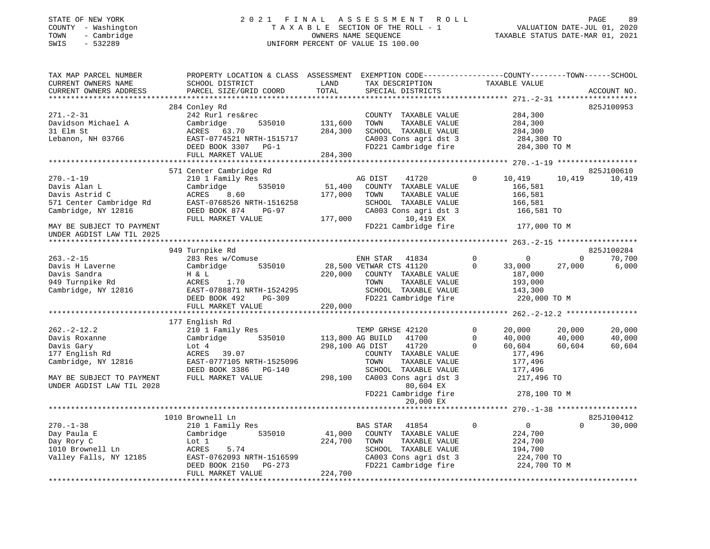## STATE OF NEW YORK 2 0 2 1 F I N A L A S S E S S M E N T R O L L PAGE 89COUNTY - Washington T A X A B L E SECTION OF THE ROLL - 1<br>
TOWN - Cambridge MOWNERS NAME SEQUENCE<br>
SWIS - 532289 MUSICON DATE-JUL 2020 SWIS - 532289 UNIFORM PERCENT OF VALUE IS 100.00

VALUATION DATE-JUL 01, 2020

| TAX MAP PARCEL NUMBER<br>CURRENT OWNERS NAME<br>CURRENT OWNERS ADDRESS                   | PROPERTY LOCATION & CLASS ASSESSMENT<br>SCHOOL DISTRICT<br>PARCEL SIZE/GRID COORD               | LAND<br>TOTAL      | EXEMPTION CODE-----------------COUNTY-------TOWN------SCHOOL<br>TAX DESCRIPTION<br>SPECIAL DISTRICTS                       | TAXABLE VALUE                                                                           | ACCOUNT NO.                                              |
|------------------------------------------------------------------------------------------|-------------------------------------------------------------------------------------------------|--------------------|----------------------------------------------------------------------------------------------------------------------------|-----------------------------------------------------------------------------------------|----------------------------------------------------------|
|                                                                                          |                                                                                                 |                    |                                                                                                                            |                                                                                         |                                                          |
| $271. - 2 - 31$<br>Davidson Michael A<br>31 Elm St                                       | 284 Conley Rd<br>242 Rurl res&rec<br>535010<br>Cambridge<br>ACRES 63.70                         | 131,600<br>284,300 | COUNTY TAXABLE VALUE<br>TOWN<br>TAXABLE VALUE<br>SCHOOL TAXABLE VALUE                                                      | 284,300<br>284,300<br>284,300                                                           | 825J100953                                               |
| Lebanon, NH 03766                                                                        | EAST-0774521 NRTH-1515717<br>DEED BOOK 3307 PG-1<br>FULL MARKET VALUE                           | 284,300            | CA003 Cons agri dst 3<br>FD221 Cambridge fire                                                                              | 284,300 TO<br>284,300 TO M                                                              |                                                          |
|                                                                                          |                                                                                                 |                    |                                                                                                                            |                                                                                         |                                                          |
| $270. - 1 - 19$                                                                          | 571 Center Cambridge Rd<br>210 1 Family Res                                                     |                    | AG DIST<br>41720                                                                                                           | $\mathbf 0$<br>10,419                                                                   | 825J100610<br>10,419<br>10,419                           |
| Davis Alan L<br>Davis Astrid C<br>571 Center Cambridge Rd<br>Cambridge, NY 12816         | Cambridge<br>535010<br>ACRES<br>8.60<br>EAST-0768526 NRTH-1516258<br>DEED BOOK 874<br>PG-97     | 51,400<br>177,000  | COUNTY TAXABLE VALUE<br>TOWN<br>TAXABLE VALUE<br>SCHOOL TAXABLE VALUE<br>CA003 Cons agri dst 3                             | 166,581<br>166,581<br>166,581<br>166,581 TO                                             |                                                          |
| MAY BE SUBJECT TO PAYMENT<br>UNDER AGDIST LAW TIL 2025                                   | FULL MARKET VALUE                                                                               | 177,000            | 10,419 EX<br>FD221 Cambridge fire                                                                                          | 177,000 TO M                                                                            |                                                          |
|                                                                                          |                                                                                                 |                    |                                                                                                                            |                                                                                         |                                                          |
|                                                                                          | 949 Turnpike Rd                                                                                 |                    |                                                                                                                            |                                                                                         | 825J100284                                               |
| $263 - 2 - 15$                                                                           | 283 Res w/Comuse                                                                                |                    | ENH STAR<br>41834                                                                                                          | $\mathbf 0$<br>$\mathbf 0$                                                              | 70,700<br>$\Omega$                                       |
| Davis H Laverne<br>Davis Sandra<br>949 Turnpike Rd<br>Cambridge, NY 12816                | Cambridge<br>535010<br>H & L<br>1.70<br>ACRES<br>EAST-0788871 NRTH-1524295                      | 220,000            | 28,500 VETWAR CTS 41120<br>COUNTY TAXABLE VALUE<br>TAXABLE VALUE<br>TOWN<br>SCHOOL TAXABLE VALUE                           | $\mathbf 0$<br>33,000<br>187,000<br>193,000<br>143,300                                  | 27,000<br>6,000                                          |
|                                                                                          | DEED BOOK 492<br>PG-309<br>FULL MARKET VALUE                                                    | 220,000            | FD221 Cambridge fire                                                                                                       | 220,000 TO M                                                                            |                                                          |
|                                                                                          | 177 English Rd                                                                                  |                    |                                                                                                                            |                                                                                         |                                                          |
| $262 - 2 - 12.2$<br>Davis Roxanne<br>Davis Gary<br>177 English Rd<br>Cambridge, NY 12816 | 210 1 Family Res<br>535010<br>Cambridge<br>Lot 4<br>39.07<br>ACRES<br>EAST-0777105 NRTH-1525096 |                    | TEMP GRHSE 42120<br>41700<br>113,800 AG BUILD<br>298,100 AG DIST<br>41720<br>COUNTY TAXABLE VALUE<br>TOWN<br>TAXABLE VALUE | 20,000<br>$\Omega$<br>$\mathbf 0$<br>40,000<br>$\Omega$<br>60,604<br>177,496<br>177,496 | 20,000<br>20,000<br>40,000<br>40,000<br>60,604<br>60,604 |
| MAY BE SUBJECT TO PAYMENT<br>UNDER AGDIST LAW TIL 2028                                   | DEED BOOK 3386<br>$PG-140$<br>FULL MARKET VALUE                                                 | 298,100            | SCHOOL TAXABLE VALUE<br>CA003 Cons agri dst 3<br>80,604 EX<br>FD221 Cambridge fire                                         | 177,496<br>217,496 TO<br>278,100 TO M                                                   |                                                          |
|                                                                                          |                                                                                                 |                    | 20,000 EX                                                                                                                  |                                                                                         |                                                          |
|                                                                                          | 1010 Brownell Ln                                                                                |                    |                                                                                                                            |                                                                                         | 825J100412                                               |
| $270. - 1 - 38$                                                                          | 210 1 Family Res                                                                                |                    | 41854<br>BAS STAR                                                                                                          | $\mathbf 0$<br>$\overline{0}$                                                           | $\Omega$<br>30,000                                       |
| Day Paula E<br>Day Rory C<br>1010 Brownell Ln<br>Valley Falls, NY 12185                  | Cambridge<br>535010<br>Lot 1<br>5.74<br>ACRES<br>EAST-0762093 NRTH-1516599                      | 41,000<br>224,700  | COUNTY TAXABLE VALUE<br>TOWN<br>TAXABLE VALUE<br>SCHOOL<br>TAXABLE VALUE<br>CA003 Cons agri dst 3                          | 224,700<br>224,700<br>194,700<br>224,700 TO                                             |                                                          |
|                                                                                          | DEED BOOK 2150<br>PG-273<br>FULL MARKET VALUE                                                   | 224,700            | FD221 Cambridge fire                                                                                                       | 224,700 TO M                                                                            |                                                          |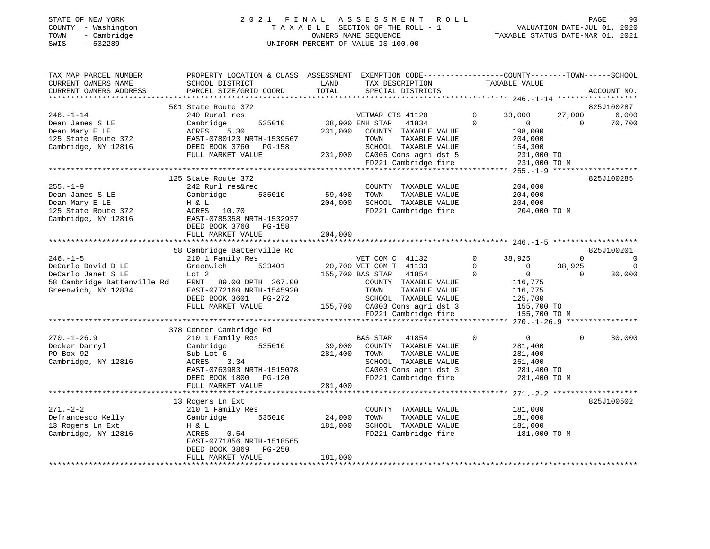## STATE OF NEW YORK 2 0 2 1 F I N A L A S S E S S M E N T R O L L PAGE 90COUNTY - Washington T A X A B L E SECTION OF THE ROLL - 1<br>
TOWN - Cambridge COUNTY - CAMBRIDGE<br>
SWIS - 532289 COUNTY - 2020 SWIS - 532289 UNIFORM PERCENT OF VALUE IS 100.00

| 501 State Route 372<br>825J100287<br>$246. - 1 - 14$<br>240 Rural res<br>VETWAR CTS 41120<br>$\mathbf 0$<br>33,000<br>27,000<br>6,000<br>38,900 ENH STAR<br>$\Omega$<br>70,700<br>Dean James S LE<br>Cambridge<br>535010<br>41834<br>$\overline{0}$<br>$\Omega$<br>198,000<br>Dean Mary E LE<br>ACRES<br>5.30<br>231,000<br>COUNTY TAXABLE VALUE<br>125 State Route 372<br>EAST-0780123 NRTH-1539567<br>TAXABLE VALUE<br>204,000<br>TOWN<br>Cambridge, NY 12816<br>DEED BOOK 3760<br>PG-158<br>SCHOOL TAXABLE VALUE<br>154,300<br>FULL MARKET VALUE<br>231,000 CA005 Cons agri dst 5<br>231,000 TO<br>FD221 Cambridge fire<br>231,000 TO M<br>*****************<br>**************************<br>****** 255.-1-9 ******<br>125 State Route 372<br>825J100285<br>$255. - 1 - 9$<br>242 Rurl res&rec<br>COUNTY TAXABLE VALUE<br>204,000<br>Dean James S LE<br>Cambridge<br>535010<br>59,400<br>TOWN<br>TAXABLE VALUE<br>204,000<br>SCHOOL TAXABLE VALUE<br>Dean Mary E LE<br>H & L<br>204,000<br>204,000<br>FD221 Cambridge fire<br>125 State Route 372<br>ACRES<br>10.70<br>204,000 TO M<br>Cambridge, NY 12816<br>EAST-0785358 NRTH-1532937<br>DEED BOOK 3760 PG-158<br>204,000<br>FULL MARKET VALUE<br>58 Cambridge Battenville Rd<br>825J100201<br>$246. - 1 - 5$<br>210 1 Family Res<br>VET COM C 41132<br>38,925<br>$\mathbf 0$<br>0<br>$\Omega$<br>DeCarlo David D LE<br>Greenwich<br>20,700 VET COM T 41133<br>$\Omega$<br>$\Omega$<br>533401<br>$\mathbf 0$<br>38,925<br>$\Omega$<br>DeCarlo Janet S LE<br>Lot <sub>2</sub><br>155,700 BAS STAR<br>41854<br>$\Omega$<br>30,000<br>$\Omega$<br>58 Cambridge Battenville Rd<br>FRNT<br>89.00 DPTH 267.00<br>COUNTY TAXABLE VALUE<br>116,775<br>Greenwich, NY 12834<br>EAST-0772160 NRTH-1545920<br>TOWN<br>TAXABLE VALUE<br>116,775<br>DEED BOOK 3601<br>PG-272<br>SCHOOL TAXABLE VALUE<br>125,700<br>FULL MARKET VALUE<br>155,700 CA003 Cons agri dst 3<br>155,700 TO<br>FD221 Cambridge fire<br>155,700 TO M<br>378 Center Cambridge Rd<br>$270. - 1 - 26.9$<br>210 1 Family Res<br>BAS STAR<br>41854<br>$\mathbf 0$<br>$\overline{0}$<br>$\Omega$<br>30,000<br>Decker Darryl<br>535010<br>39,000<br>Cambridge<br>COUNTY TAXABLE VALUE<br>281,400<br>PO Box 92<br>Sub Lot 6<br>281,400<br>TOWN<br>TAXABLE VALUE<br>281,400<br>Cambridge, NY 12816<br>3.34<br>SCHOOL TAXABLE VALUE<br>ACRES<br>251,400<br>CA003 Cons agri dst 3<br>EAST-0763983 NRTH-1515078<br>281,400 TO<br>FD221 Cambridge fire<br>DEED BOOK 1800 PG-120<br>281,400 TO M<br>281,400<br>FULL MARKET VALUE<br>825J100502<br>13 Rogers Ln Ext<br>$271. - 2 - 2$<br>210 1 Family Res<br>COUNTY TAXABLE VALUE<br>181,000<br>Defrancesco Kelly<br>Cambridge<br>535010<br>24,000<br>TAXABLE VALUE<br>181,000<br>TOWN<br>13 Rogers Ln Ext<br>181,000<br>SCHOOL TAXABLE VALUE<br>181,000<br>H & L<br>Cambridge, NY 12816<br>FD221 Cambridge fire<br>ACRES<br>0.54<br>181,000 TO M<br>EAST-0771856 NRTH-1518565<br>PG-250<br>DEED BOOK 3869<br>181,000<br>FULL MARKET VALUE | TAX MAP PARCEL NUMBER<br>CURRENT OWNERS NAME<br>CURRENT OWNERS ADDRESS | PROPERTY LOCATION & CLASS ASSESSMENT<br>SCHOOL DISTRICT<br>PARCEL SIZE/GRID COORD | LAND<br>TOTAL | EXEMPTION CODE-----------------COUNTY-------TOWN------SCHOOL<br>TAX DESCRIPTION<br>SPECIAL DISTRICTS | TAXABLE VALUE | ACCOUNT NO. |
|--------------------------------------------------------------------------------------------------------------------------------------------------------------------------------------------------------------------------------------------------------------------------------------------------------------------------------------------------------------------------------------------------------------------------------------------------------------------------------------------------------------------------------------------------------------------------------------------------------------------------------------------------------------------------------------------------------------------------------------------------------------------------------------------------------------------------------------------------------------------------------------------------------------------------------------------------------------------------------------------------------------------------------------------------------------------------------------------------------------------------------------------------------------------------------------------------------------------------------------------------------------------------------------------------------------------------------------------------------------------------------------------------------------------------------------------------------------------------------------------------------------------------------------------------------------------------------------------------------------------------------------------------------------------------------------------------------------------------------------------------------------------------------------------------------------------------------------------------------------------------------------------------------------------------------------------------------------------------------------------------------------------------------------------------------------------------------------------------------------------------------------------------------------------------------------------------------------------------------------------------------------------------------------------------------------------------------------------------------------------------------------------------------------------------------------------------------------------------------------------------------------------------------------------------------------------------------------------------------------------------------------------------------------------------------------------------------------------------------------------------------------------------------------------------------------------------------------------------------------------------------------------------------------------------------------------------------------------------------------------|------------------------------------------------------------------------|-----------------------------------------------------------------------------------|---------------|------------------------------------------------------------------------------------------------------|---------------|-------------|
|                                                                                                                                                                                                                                                                                                                                                                                                                                                                                                                                                                                                                                                                                                                                                                                                                                                                                                                                                                                                                                                                                                                                                                                                                                                                                                                                                                                                                                                                                                                                                                                                                                                                                                                                                                                                                                                                                                                                                                                                                                                                                                                                                                                                                                                                                                                                                                                                                                                                                                                                                                                                                                                                                                                                                                                                                                                                                                                                                                                            |                                                                        |                                                                                   |               |                                                                                                      |               |             |
|                                                                                                                                                                                                                                                                                                                                                                                                                                                                                                                                                                                                                                                                                                                                                                                                                                                                                                                                                                                                                                                                                                                                                                                                                                                                                                                                                                                                                                                                                                                                                                                                                                                                                                                                                                                                                                                                                                                                                                                                                                                                                                                                                                                                                                                                                                                                                                                                                                                                                                                                                                                                                                                                                                                                                                                                                                                                                                                                                                                            |                                                                        |                                                                                   |               |                                                                                                      |               |             |
|                                                                                                                                                                                                                                                                                                                                                                                                                                                                                                                                                                                                                                                                                                                                                                                                                                                                                                                                                                                                                                                                                                                                                                                                                                                                                                                                                                                                                                                                                                                                                                                                                                                                                                                                                                                                                                                                                                                                                                                                                                                                                                                                                                                                                                                                                                                                                                                                                                                                                                                                                                                                                                                                                                                                                                                                                                                                                                                                                                                            |                                                                        |                                                                                   |               |                                                                                                      |               |             |
|                                                                                                                                                                                                                                                                                                                                                                                                                                                                                                                                                                                                                                                                                                                                                                                                                                                                                                                                                                                                                                                                                                                                                                                                                                                                                                                                                                                                                                                                                                                                                                                                                                                                                                                                                                                                                                                                                                                                                                                                                                                                                                                                                                                                                                                                                                                                                                                                                                                                                                                                                                                                                                                                                                                                                                                                                                                                                                                                                                                            |                                                                        |                                                                                   |               |                                                                                                      |               |             |
|                                                                                                                                                                                                                                                                                                                                                                                                                                                                                                                                                                                                                                                                                                                                                                                                                                                                                                                                                                                                                                                                                                                                                                                                                                                                                                                                                                                                                                                                                                                                                                                                                                                                                                                                                                                                                                                                                                                                                                                                                                                                                                                                                                                                                                                                                                                                                                                                                                                                                                                                                                                                                                                                                                                                                                                                                                                                                                                                                                                            |                                                                        |                                                                                   |               |                                                                                                      |               |             |
|                                                                                                                                                                                                                                                                                                                                                                                                                                                                                                                                                                                                                                                                                                                                                                                                                                                                                                                                                                                                                                                                                                                                                                                                                                                                                                                                                                                                                                                                                                                                                                                                                                                                                                                                                                                                                                                                                                                                                                                                                                                                                                                                                                                                                                                                                                                                                                                                                                                                                                                                                                                                                                                                                                                                                                                                                                                                                                                                                                                            |                                                                        |                                                                                   |               |                                                                                                      |               |             |
|                                                                                                                                                                                                                                                                                                                                                                                                                                                                                                                                                                                                                                                                                                                                                                                                                                                                                                                                                                                                                                                                                                                                                                                                                                                                                                                                                                                                                                                                                                                                                                                                                                                                                                                                                                                                                                                                                                                                                                                                                                                                                                                                                                                                                                                                                                                                                                                                                                                                                                                                                                                                                                                                                                                                                                                                                                                                                                                                                                                            |                                                                        |                                                                                   |               |                                                                                                      |               |             |
|                                                                                                                                                                                                                                                                                                                                                                                                                                                                                                                                                                                                                                                                                                                                                                                                                                                                                                                                                                                                                                                                                                                                                                                                                                                                                                                                                                                                                                                                                                                                                                                                                                                                                                                                                                                                                                                                                                                                                                                                                                                                                                                                                                                                                                                                                                                                                                                                                                                                                                                                                                                                                                                                                                                                                                                                                                                                                                                                                                                            |                                                                        |                                                                                   |               |                                                                                                      |               |             |
|                                                                                                                                                                                                                                                                                                                                                                                                                                                                                                                                                                                                                                                                                                                                                                                                                                                                                                                                                                                                                                                                                                                                                                                                                                                                                                                                                                                                                                                                                                                                                                                                                                                                                                                                                                                                                                                                                                                                                                                                                                                                                                                                                                                                                                                                                                                                                                                                                                                                                                                                                                                                                                                                                                                                                                                                                                                                                                                                                                                            |                                                                        |                                                                                   |               |                                                                                                      |               |             |
|                                                                                                                                                                                                                                                                                                                                                                                                                                                                                                                                                                                                                                                                                                                                                                                                                                                                                                                                                                                                                                                                                                                                                                                                                                                                                                                                                                                                                                                                                                                                                                                                                                                                                                                                                                                                                                                                                                                                                                                                                                                                                                                                                                                                                                                                                                                                                                                                                                                                                                                                                                                                                                                                                                                                                                                                                                                                                                                                                                                            |                                                                        |                                                                                   |               |                                                                                                      |               |             |
|                                                                                                                                                                                                                                                                                                                                                                                                                                                                                                                                                                                                                                                                                                                                                                                                                                                                                                                                                                                                                                                                                                                                                                                                                                                                                                                                                                                                                                                                                                                                                                                                                                                                                                                                                                                                                                                                                                                                                                                                                                                                                                                                                                                                                                                                                                                                                                                                                                                                                                                                                                                                                                                                                                                                                                                                                                                                                                                                                                                            |                                                                        |                                                                                   |               |                                                                                                      |               |             |
|                                                                                                                                                                                                                                                                                                                                                                                                                                                                                                                                                                                                                                                                                                                                                                                                                                                                                                                                                                                                                                                                                                                                                                                                                                                                                                                                                                                                                                                                                                                                                                                                                                                                                                                                                                                                                                                                                                                                                                                                                                                                                                                                                                                                                                                                                                                                                                                                                                                                                                                                                                                                                                                                                                                                                                                                                                                                                                                                                                                            |                                                                        |                                                                                   |               |                                                                                                      |               |             |
|                                                                                                                                                                                                                                                                                                                                                                                                                                                                                                                                                                                                                                                                                                                                                                                                                                                                                                                                                                                                                                                                                                                                                                                                                                                                                                                                                                                                                                                                                                                                                                                                                                                                                                                                                                                                                                                                                                                                                                                                                                                                                                                                                                                                                                                                                                                                                                                                                                                                                                                                                                                                                                                                                                                                                                                                                                                                                                                                                                                            |                                                                        |                                                                                   |               |                                                                                                      |               |             |
|                                                                                                                                                                                                                                                                                                                                                                                                                                                                                                                                                                                                                                                                                                                                                                                                                                                                                                                                                                                                                                                                                                                                                                                                                                                                                                                                                                                                                                                                                                                                                                                                                                                                                                                                                                                                                                                                                                                                                                                                                                                                                                                                                                                                                                                                                                                                                                                                                                                                                                                                                                                                                                                                                                                                                                                                                                                                                                                                                                                            |                                                                        |                                                                                   |               |                                                                                                      |               |             |
|                                                                                                                                                                                                                                                                                                                                                                                                                                                                                                                                                                                                                                                                                                                                                                                                                                                                                                                                                                                                                                                                                                                                                                                                                                                                                                                                                                                                                                                                                                                                                                                                                                                                                                                                                                                                                                                                                                                                                                                                                                                                                                                                                                                                                                                                                                                                                                                                                                                                                                                                                                                                                                                                                                                                                                                                                                                                                                                                                                                            |                                                                        |                                                                                   |               |                                                                                                      |               |             |
|                                                                                                                                                                                                                                                                                                                                                                                                                                                                                                                                                                                                                                                                                                                                                                                                                                                                                                                                                                                                                                                                                                                                                                                                                                                                                                                                                                                                                                                                                                                                                                                                                                                                                                                                                                                                                                                                                                                                                                                                                                                                                                                                                                                                                                                                                                                                                                                                                                                                                                                                                                                                                                                                                                                                                                                                                                                                                                                                                                                            |                                                                        |                                                                                   |               |                                                                                                      |               |             |
|                                                                                                                                                                                                                                                                                                                                                                                                                                                                                                                                                                                                                                                                                                                                                                                                                                                                                                                                                                                                                                                                                                                                                                                                                                                                                                                                                                                                                                                                                                                                                                                                                                                                                                                                                                                                                                                                                                                                                                                                                                                                                                                                                                                                                                                                                                                                                                                                                                                                                                                                                                                                                                                                                                                                                                                                                                                                                                                                                                                            |                                                                        |                                                                                   |               |                                                                                                      |               |             |
|                                                                                                                                                                                                                                                                                                                                                                                                                                                                                                                                                                                                                                                                                                                                                                                                                                                                                                                                                                                                                                                                                                                                                                                                                                                                                                                                                                                                                                                                                                                                                                                                                                                                                                                                                                                                                                                                                                                                                                                                                                                                                                                                                                                                                                                                                                                                                                                                                                                                                                                                                                                                                                                                                                                                                                                                                                                                                                                                                                                            |                                                                        |                                                                                   |               |                                                                                                      |               |             |
|                                                                                                                                                                                                                                                                                                                                                                                                                                                                                                                                                                                                                                                                                                                                                                                                                                                                                                                                                                                                                                                                                                                                                                                                                                                                                                                                                                                                                                                                                                                                                                                                                                                                                                                                                                                                                                                                                                                                                                                                                                                                                                                                                                                                                                                                                                                                                                                                                                                                                                                                                                                                                                                                                                                                                                                                                                                                                                                                                                                            |                                                                        |                                                                                   |               |                                                                                                      |               |             |
|                                                                                                                                                                                                                                                                                                                                                                                                                                                                                                                                                                                                                                                                                                                                                                                                                                                                                                                                                                                                                                                                                                                                                                                                                                                                                                                                                                                                                                                                                                                                                                                                                                                                                                                                                                                                                                                                                                                                                                                                                                                                                                                                                                                                                                                                                                                                                                                                                                                                                                                                                                                                                                                                                                                                                                                                                                                                                                                                                                                            |                                                                        |                                                                                   |               |                                                                                                      |               |             |
|                                                                                                                                                                                                                                                                                                                                                                                                                                                                                                                                                                                                                                                                                                                                                                                                                                                                                                                                                                                                                                                                                                                                                                                                                                                                                                                                                                                                                                                                                                                                                                                                                                                                                                                                                                                                                                                                                                                                                                                                                                                                                                                                                                                                                                                                                                                                                                                                                                                                                                                                                                                                                                                                                                                                                                                                                                                                                                                                                                                            |                                                                        |                                                                                   |               |                                                                                                      |               |             |
|                                                                                                                                                                                                                                                                                                                                                                                                                                                                                                                                                                                                                                                                                                                                                                                                                                                                                                                                                                                                                                                                                                                                                                                                                                                                                                                                                                                                                                                                                                                                                                                                                                                                                                                                                                                                                                                                                                                                                                                                                                                                                                                                                                                                                                                                                                                                                                                                                                                                                                                                                                                                                                                                                                                                                                                                                                                                                                                                                                                            |                                                                        |                                                                                   |               |                                                                                                      |               |             |
|                                                                                                                                                                                                                                                                                                                                                                                                                                                                                                                                                                                                                                                                                                                                                                                                                                                                                                                                                                                                                                                                                                                                                                                                                                                                                                                                                                                                                                                                                                                                                                                                                                                                                                                                                                                                                                                                                                                                                                                                                                                                                                                                                                                                                                                                                                                                                                                                                                                                                                                                                                                                                                                                                                                                                                                                                                                                                                                                                                                            |                                                                        |                                                                                   |               |                                                                                                      |               |             |
|                                                                                                                                                                                                                                                                                                                                                                                                                                                                                                                                                                                                                                                                                                                                                                                                                                                                                                                                                                                                                                                                                                                                                                                                                                                                                                                                                                                                                                                                                                                                                                                                                                                                                                                                                                                                                                                                                                                                                                                                                                                                                                                                                                                                                                                                                                                                                                                                                                                                                                                                                                                                                                                                                                                                                                                                                                                                                                                                                                                            |                                                                        |                                                                                   |               |                                                                                                      |               |             |
|                                                                                                                                                                                                                                                                                                                                                                                                                                                                                                                                                                                                                                                                                                                                                                                                                                                                                                                                                                                                                                                                                                                                                                                                                                                                                                                                                                                                                                                                                                                                                                                                                                                                                                                                                                                                                                                                                                                                                                                                                                                                                                                                                                                                                                                                                                                                                                                                                                                                                                                                                                                                                                                                                                                                                                                                                                                                                                                                                                                            |                                                                        |                                                                                   |               |                                                                                                      |               |             |
|                                                                                                                                                                                                                                                                                                                                                                                                                                                                                                                                                                                                                                                                                                                                                                                                                                                                                                                                                                                                                                                                                                                                                                                                                                                                                                                                                                                                                                                                                                                                                                                                                                                                                                                                                                                                                                                                                                                                                                                                                                                                                                                                                                                                                                                                                                                                                                                                                                                                                                                                                                                                                                                                                                                                                                                                                                                                                                                                                                                            |                                                                        |                                                                                   |               |                                                                                                      |               |             |
|                                                                                                                                                                                                                                                                                                                                                                                                                                                                                                                                                                                                                                                                                                                                                                                                                                                                                                                                                                                                                                                                                                                                                                                                                                                                                                                                                                                                                                                                                                                                                                                                                                                                                                                                                                                                                                                                                                                                                                                                                                                                                                                                                                                                                                                                                                                                                                                                                                                                                                                                                                                                                                                                                                                                                                                                                                                                                                                                                                                            |                                                                        |                                                                                   |               |                                                                                                      |               |             |
|                                                                                                                                                                                                                                                                                                                                                                                                                                                                                                                                                                                                                                                                                                                                                                                                                                                                                                                                                                                                                                                                                                                                                                                                                                                                                                                                                                                                                                                                                                                                                                                                                                                                                                                                                                                                                                                                                                                                                                                                                                                                                                                                                                                                                                                                                                                                                                                                                                                                                                                                                                                                                                                                                                                                                                                                                                                                                                                                                                                            |                                                                        |                                                                                   |               |                                                                                                      |               |             |
|                                                                                                                                                                                                                                                                                                                                                                                                                                                                                                                                                                                                                                                                                                                                                                                                                                                                                                                                                                                                                                                                                                                                                                                                                                                                                                                                                                                                                                                                                                                                                                                                                                                                                                                                                                                                                                                                                                                                                                                                                                                                                                                                                                                                                                                                                                                                                                                                                                                                                                                                                                                                                                                                                                                                                                                                                                                                                                                                                                                            |                                                                        |                                                                                   |               |                                                                                                      |               |             |
|                                                                                                                                                                                                                                                                                                                                                                                                                                                                                                                                                                                                                                                                                                                                                                                                                                                                                                                                                                                                                                                                                                                                                                                                                                                                                                                                                                                                                                                                                                                                                                                                                                                                                                                                                                                                                                                                                                                                                                                                                                                                                                                                                                                                                                                                                                                                                                                                                                                                                                                                                                                                                                                                                                                                                                                                                                                                                                                                                                                            |                                                                        |                                                                                   |               |                                                                                                      |               |             |
|                                                                                                                                                                                                                                                                                                                                                                                                                                                                                                                                                                                                                                                                                                                                                                                                                                                                                                                                                                                                                                                                                                                                                                                                                                                                                                                                                                                                                                                                                                                                                                                                                                                                                                                                                                                                                                                                                                                                                                                                                                                                                                                                                                                                                                                                                                                                                                                                                                                                                                                                                                                                                                                                                                                                                                                                                                                                                                                                                                                            |                                                                        |                                                                                   |               |                                                                                                      |               |             |
|                                                                                                                                                                                                                                                                                                                                                                                                                                                                                                                                                                                                                                                                                                                                                                                                                                                                                                                                                                                                                                                                                                                                                                                                                                                                                                                                                                                                                                                                                                                                                                                                                                                                                                                                                                                                                                                                                                                                                                                                                                                                                                                                                                                                                                                                                                                                                                                                                                                                                                                                                                                                                                                                                                                                                                                                                                                                                                                                                                                            |                                                                        |                                                                                   |               |                                                                                                      |               |             |
|                                                                                                                                                                                                                                                                                                                                                                                                                                                                                                                                                                                                                                                                                                                                                                                                                                                                                                                                                                                                                                                                                                                                                                                                                                                                                                                                                                                                                                                                                                                                                                                                                                                                                                                                                                                                                                                                                                                                                                                                                                                                                                                                                                                                                                                                                                                                                                                                                                                                                                                                                                                                                                                                                                                                                                                                                                                                                                                                                                                            |                                                                        |                                                                                   |               |                                                                                                      |               |             |
|                                                                                                                                                                                                                                                                                                                                                                                                                                                                                                                                                                                                                                                                                                                                                                                                                                                                                                                                                                                                                                                                                                                                                                                                                                                                                                                                                                                                                                                                                                                                                                                                                                                                                                                                                                                                                                                                                                                                                                                                                                                                                                                                                                                                                                                                                                                                                                                                                                                                                                                                                                                                                                                                                                                                                                                                                                                                                                                                                                                            |                                                                        |                                                                                   |               |                                                                                                      |               |             |
|                                                                                                                                                                                                                                                                                                                                                                                                                                                                                                                                                                                                                                                                                                                                                                                                                                                                                                                                                                                                                                                                                                                                                                                                                                                                                                                                                                                                                                                                                                                                                                                                                                                                                                                                                                                                                                                                                                                                                                                                                                                                                                                                                                                                                                                                                                                                                                                                                                                                                                                                                                                                                                                                                                                                                                                                                                                                                                                                                                                            |                                                                        |                                                                                   |               |                                                                                                      |               |             |
|                                                                                                                                                                                                                                                                                                                                                                                                                                                                                                                                                                                                                                                                                                                                                                                                                                                                                                                                                                                                                                                                                                                                                                                                                                                                                                                                                                                                                                                                                                                                                                                                                                                                                                                                                                                                                                                                                                                                                                                                                                                                                                                                                                                                                                                                                                                                                                                                                                                                                                                                                                                                                                                                                                                                                                                                                                                                                                                                                                                            |                                                                        |                                                                                   |               |                                                                                                      |               |             |
|                                                                                                                                                                                                                                                                                                                                                                                                                                                                                                                                                                                                                                                                                                                                                                                                                                                                                                                                                                                                                                                                                                                                                                                                                                                                                                                                                                                                                                                                                                                                                                                                                                                                                                                                                                                                                                                                                                                                                                                                                                                                                                                                                                                                                                                                                                                                                                                                                                                                                                                                                                                                                                                                                                                                                                                                                                                                                                                                                                                            |                                                                        |                                                                                   |               |                                                                                                      |               |             |
|                                                                                                                                                                                                                                                                                                                                                                                                                                                                                                                                                                                                                                                                                                                                                                                                                                                                                                                                                                                                                                                                                                                                                                                                                                                                                                                                                                                                                                                                                                                                                                                                                                                                                                                                                                                                                                                                                                                                                                                                                                                                                                                                                                                                                                                                                                                                                                                                                                                                                                                                                                                                                                                                                                                                                                                                                                                                                                                                                                                            |                                                                        |                                                                                   |               |                                                                                                      |               |             |
|                                                                                                                                                                                                                                                                                                                                                                                                                                                                                                                                                                                                                                                                                                                                                                                                                                                                                                                                                                                                                                                                                                                                                                                                                                                                                                                                                                                                                                                                                                                                                                                                                                                                                                                                                                                                                                                                                                                                                                                                                                                                                                                                                                                                                                                                                                                                                                                                                                                                                                                                                                                                                                                                                                                                                                                                                                                                                                                                                                                            |                                                                        |                                                                                   |               |                                                                                                      |               |             |
|                                                                                                                                                                                                                                                                                                                                                                                                                                                                                                                                                                                                                                                                                                                                                                                                                                                                                                                                                                                                                                                                                                                                                                                                                                                                                                                                                                                                                                                                                                                                                                                                                                                                                                                                                                                                                                                                                                                                                                                                                                                                                                                                                                                                                                                                                                                                                                                                                                                                                                                                                                                                                                                                                                                                                                                                                                                                                                                                                                                            |                                                                        |                                                                                   |               |                                                                                                      |               |             |
|                                                                                                                                                                                                                                                                                                                                                                                                                                                                                                                                                                                                                                                                                                                                                                                                                                                                                                                                                                                                                                                                                                                                                                                                                                                                                                                                                                                                                                                                                                                                                                                                                                                                                                                                                                                                                                                                                                                                                                                                                                                                                                                                                                                                                                                                                                                                                                                                                                                                                                                                                                                                                                                                                                                                                                                                                                                                                                                                                                                            |                                                                        |                                                                                   |               |                                                                                                      |               |             |
|                                                                                                                                                                                                                                                                                                                                                                                                                                                                                                                                                                                                                                                                                                                                                                                                                                                                                                                                                                                                                                                                                                                                                                                                                                                                                                                                                                                                                                                                                                                                                                                                                                                                                                                                                                                                                                                                                                                                                                                                                                                                                                                                                                                                                                                                                                                                                                                                                                                                                                                                                                                                                                                                                                                                                                                                                                                                                                                                                                                            |                                                                        |                                                                                   |               |                                                                                                      |               |             |
|                                                                                                                                                                                                                                                                                                                                                                                                                                                                                                                                                                                                                                                                                                                                                                                                                                                                                                                                                                                                                                                                                                                                                                                                                                                                                                                                                                                                                                                                                                                                                                                                                                                                                                                                                                                                                                                                                                                                                                                                                                                                                                                                                                                                                                                                                                                                                                                                                                                                                                                                                                                                                                                                                                                                                                                                                                                                                                                                                                                            |                                                                        |                                                                                   |               |                                                                                                      |               |             |
|                                                                                                                                                                                                                                                                                                                                                                                                                                                                                                                                                                                                                                                                                                                                                                                                                                                                                                                                                                                                                                                                                                                                                                                                                                                                                                                                                                                                                                                                                                                                                                                                                                                                                                                                                                                                                                                                                                                                                                                                                                                                                                                                                                                                                                                                                                                                                                                                                                                                                                                                                                                                                                                                                                                                                                                                                                                                                                                                                                                            |                                                                        |                                                                                   |               |                                                                                                      |               |             |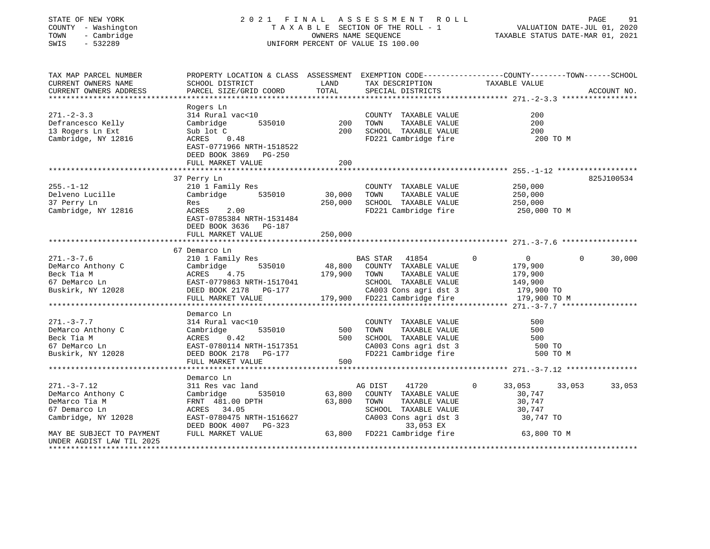## STATE OF NEW YORK 2 0 2 1 F I N A L A S S E S S M E N T R O L L PAGE 91COUNTY - Washington T A X A B L E SECTION OF THE ROLL - 1<br>
TOWN - Cambridge COUNTY - CAMBRIDGE<br>
SWIS - 532289 COUNTE-JUL 2020 COUNTER OF VALUE IS 100.00 UNIFORM PERCENT OF VALUE IS 100.00

VALUATION DATE-JUL 01, 2020

| TAX MAP PARCEL NUMBER<br>CURRENT OWNERS NAME<br>CURRENT OWNERS ADDRESS                                                                                    | PROPERTY LOCATION & CLASS ASSESSMENT EXEMPTION CODE---------------COUNTY-------TOWN------SCHOOL<br>SCHOOL DISTRICT<br>PARCEL SIZE/GRID COORD TOTAL                                                                                                      | <b>LAND</b> | TAX DESCRIPTION<br>SPECIAL DISTRICTS                                                                                                                       | TAXABLE VALUE                               | ACCOUNT NO.        |  |
|-----------------------------------------------------------------------------------------------------------------------------------------------------------|---------------------------------------------------------------------------------------------------------------------------------------------------------------------------------------------------------------------------------------------------------|-------------|------------------------------------------------------------------------------------------------------------------------------------------------------------|---------------------------------------------|--------------------|--|
| $271 - 2 - 3.3$<br>Defrancesco Kelly<br>13 Rogers Ln Ext<br>Cambridge, NY 12816                                                                           | Rogers Ln<br>314 Rural vac<10<br>Cambridge 535010 200<br>Sub lot C<br>t C<br>0.48<br>ACRES<br>EAST-0771966 NRTH-1518522<br>DEED BOOK 3869 PG-250<br>FULL MARKET VALUE                                                                                   | 200         | COUNTY TAXABLE VALUE<br>TAXABLE VALUE<br>TOWN<br>200 SCHOOL TAXABLE VALUE 200 200 FD221 Cambridge fire 200 200 TO M                                        | 200<br>200                                  |                    |  |
| $255. - 1 - 12$<br>Delveno Lucille<br>37 Perry Ln<br>37 Perry Ln<br>Cambridge, NY 12816                                                                   | 37 Perry Ln<br>210 1 Family Res<br>Cambridge 535010 30,000<br>Res<br>2.00<br>ACRES<br>EAST-0785384 NRTH-1531484<br>DEED BOOK 3636 PG-187<br>FULL MARKET VALUE                                                                                           | 250,000     | COUNTY TAXABLE VALUE 250,000<br>TAXABLE VALUE<br>TOWN<br>250,000 SCHOOL TAXABLE VALUE 250,000<br>FD221 Cambridge fire 250,000 TO M                         | 250,000                                     | 825J100534         |  |
| $271. - 3 - 7.6$                                                                                                                                          | 67 Demarco Ln<br>211.-3-7.0<br>DeMarco Anthony C Cambridge 535010 48,800 COUNTY TAXABLE VALUE 179,900<br>Beck Tia M ACRES 4.75 179,900 TOWN TAXABLE VALUE 179,900<br>EAST-0779863 NRTH-1517041 SCHOOL TAXABLE VALUE 149,900<br>Buskirk, NY 12028 DEED B |             |                                                                                                                                                            | $\sim$ 0                                    | $\Omega$<br>30,000 |  |
| $271. - 3 - 7.7$<br>DeMarco Anthony C<br>Beck Tia M<br>67 DeMarco Ln<br>Buskirk, NY 12028                                                                 | Demarco Ln<br>314 Rural vac<10<br>Cambridge<br>ACRES 0.42<br>EAST-0780114 NRTH-1517351<br>DEED BOOK 2178 PG-177<br>FULL MARKET VALUE                                                                                                                    | 500         | CA003 Cons agri dst 3<br>FD221 Cambridge fire                                                                                                              | 500<br>500<br>500<br>500 TO<br>500 TO M     |                    |  |
| $271. - 3 - 7.12$<br>DeMarco Anthony C<br>DeMarco Tia M<br>67 Demarco Ln<br>Cambridge, NY 12028<br>MAY BE SUBJECT TO PAYMENT<br>UNDER AGDIST LAW TIL 2025 | Demarco Ln<br>311 Res vac land<br>Cambridge<br>FRNT 481.00 DPTH 63,800<br>ACRES 34.05<br>EAST-0780475 NRTH-1516627 CA003 Cons agri dst 3 30,747 TO<br>DEED BOOK 4007 PG-323 63,800 FD221 Cambridge fire 63,800 TO M                                     |             | ic land the S35010 MG DIST 41720 0<br>535010 63,800 COUNTY TAXABLE VALUE<br>AG DIST 41720 0<br>TOWN<br>TOWN      TAXABLE  VALUE<br>SCHOOL   TAXABLE  VALUE | 33,053 33,053<br>30,747<br>30,747<br>30,747 | 33,053             |  |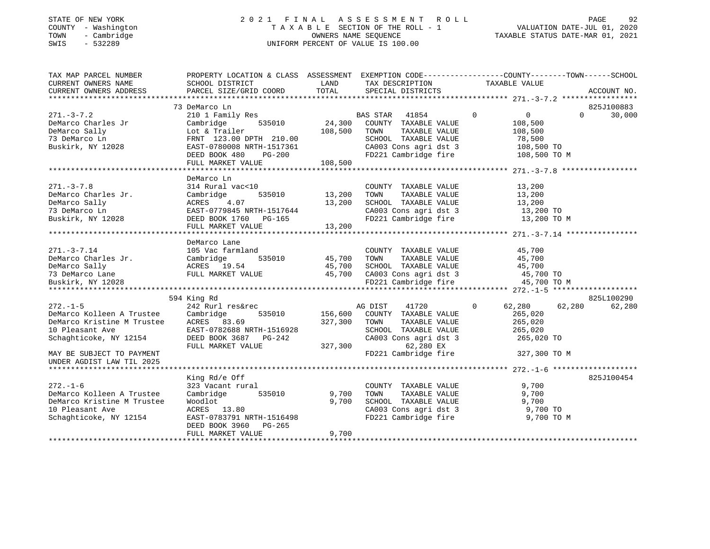#### STATE OF NEW YORK 2 0 2 1 F I N A L A S S E S S M E N T R O L L PAGE 92 COUNTY - Washington T A X A B L E SECTION OF THE ROLL - 1 VALUATION DATE-JUL 01, 2020 TOWN - Cambridge OWNERS NAME SEQUENCE TAXABLE STATUS DATE-MAR 01, 2021 SWIS - 532289 UNIFORM PERCENT OF VALUE IS 100.00

| TAX MAP PARCEL NUMBER                    | PROPERTY LOCATION & CLASS ASSESSMENT EXEMPTION CODE---------------COUNTY-------TOWN------SCHOOL |         |                                                   |             |               |          |             |
|------------------------------------------|-------------------------------------------------------------------------------------------------|---------|---------------------------------------------------|-------------|---------------|----------|-------------|
| CURRENT OWNERS NAME                      | SCHOOL DISTRICT                                                                                 | LAND    | TAX DESCRIPTION                                   |             | TAXABLE VALUE |          |             |
| CURRENT OWNERS ADDRESS                   | PARCEL SIZE/GRID COORD                                                                          | TOTAL   | SPECIAL DISTRICTS                                 |             |               |          | ACCOUNT NO. |
|                                          |                                                                                                 |         |                                                   |             |               |          |             |
|                                          | 73 DeMarco Ln                                                                                   |         |                                                   |             |               |          | 825J100883  |
| $271. - 3 - 7.2$                         | 210 1 Family Res                                                                                | 24,300  | BAS STAR<br>41854                                 | $\mathbf 0$ | 0             | $\Omega$ | 30,000      |
| DeMarco Charles Jr                       | 535010<br>Cambridge                                                                             |         | COUNTY TAXABLE VALUE                              |             | 108,500       |          |             |
| DeMarco Sally                            | Lot & Trailer                                                                                   | 108,500 | TOWN<br>TAXABLE VALUE                             |             | 108,500       |          |             |
| 73 DeMarco Ln                            | FRNT 123.00 DPTH 210.00                                                                         |         | SCHOOL TAXABLE VALUE                              |             | 78,500        |          |             |
| Buskirk, NY 12028                        | EAST-0780008 NRTH-1517361                                                                       |         | CA003 Cons agri dst 3                             |             | 108,500 TO    |          |             |
|                                          | <b>PG-200</b><br>DEED BOOK 480                                                                  |         | FD221 Cambridge fire                              |             | 108,500 TO M  |          |             |
|                                          | FULL MARKET VALUE                                                                               | 108,500 |                                                   |             |               |          |             |
|                                          |                                                                                                 |         |                                                   |             |               |          |             |
|                                          | DeMarco Ln                                                                                      |         |                                                   |             |               |          |             |
| $271. - 3 - 7.8$                         | 314 Rural vac<10                                                                                |         | COUNTY TAXABLE VALUE                              |             | 13,200        |          |             |
| DeMarco Charles Jr.                      | Cambridge<br>535010                                                                             | 13,200  | TOWN<br>TAXABLE VALUE                             |             | 13,200        |          |             |
| DeMarco Sally                            | ACRES<br>4.07                                                                                   | 13,200  | SCHOOL TAXABLE VALUE                              |             | 13,200        |          |             |
| 73 DeMarco Ln                            | EAST-0779845 NRTH-1517644                                                                       |         | CA003 Cons agri dst 3 13,200 TO                   |             |               |          |             |
| Buskirk, NY 12028 CDEED BOOK 1760 PG-165 |                                                                                                 |         | FD221 Cambridge fire                              |             | 13,200 TO M   |          |             |
|                                          | FULL MARKET VALUE                                                                               | 13,200  |                                                   |             |               |          |             |
|                                          |                                                                                                 |         |                                                   |             |               |          |             |
|                                          | DeMarco Lane                                                                                    |         |                                                   |             |               |          |             |
| $271. - 3 - 7.14$                        | 105 Vac farmland                                                                                |         | COUNTY TAXABLE VALUE                              |             | 45,700        |          |             |
|                                          |                                                                                                 |         | TOWN                                              |             | 45,700        |          |             |
|                                          |                                                                                                 |         | TOWN      TAXABLE VALUE<br>SCHOOL   TAXABLE VALUE |             | 45,700        |          |             |
|                                          |                                                                                                 |         | CA003 Cons agri dst 3 45,700 TO                   |             |               |          |             |
| Buskirk, NY 12028                        |                                                                                                 |         | FD221 Cambridge fire                              |             | 45,700 TO M   |          |             |
|                                          |                                                                                                 |         |                                                   |             |               |          |             |
|                                          | 594 King Rd                                                                                     |         |                                                   |             |               |          | 825L100290  |
| $272. - 1 - 5$                           | 242 Rurl res&rec                                                                                |         | 41720<br>AG DIST                                  | $\circ$     | 62,280        | 62,280   | 62,280      |
| DeMarco Kolleen A Trustee Cambridge      | 535010                                                                                          | 156,600 | COUNTY TAXABLE VALUE                              |             | 265,020       |          |             |
| DeMarco Kristine M Trustee ACRES 83.69   |                                                                                                 | 327,300 | TOWN<br>TAXABLE VALUE                             |             | 265,020       |          |             |
| 10 Pleasant Ave                          | EAST-0782688 NRTH-1516928                                                                       |         | SCHOOL TAXABLE VALUE                              |             | 265,020       |          |             |
| Schaghticoke, NY 12154                   | DEED BOOK 3687 PG-242                                                                           |         | CA003 Cons agri dst 3                             |             | 265,020 TO    |          |             |
|                                          | FULL MARKET VALUE                                                                               | 327,300 | 62,280 EX                                         |             |               |          |             |
| MAY BE SUBJECT TO PAYMENT                |                                                                                                 |         | FD221 Cambridge fire                              |             | 327,300 TO M  |          |             |
| UNDER AGDIST LAW TIL 2025                |                                                                                                 |         |                                                   |             |               |          |             |
|                                          |                                                                                                 |         |                                                   |             |               |          |             |
|                                          | King Rd/e Off                                                                                   |         |                                                   |             |               |          | 825J100454  |
| $272. - 1 - 6$                           | 323 Vacant rural                                                                                |         | COUNTY TAXABLE VALUE                              |             | 9,700         |          |             |
| DeMarco Kolleen A Trustee                | 535010<br>Cambridge                                                                             | 9,700   | TOWN<br>TAXABLE VALUE                             |             | 9,700         |          |             |
| DeMarco Kristine M Trustee               | Woodlot                                                                                         | 9,700   | SCHOOL TAXABLE VALUE                              |             | 9,700         |          |             |
|                                          | ACRES 13.80                                                                                     |         | CA003 Cons agri dst 3 9,700 TO                    |             |               |          |             |
| 10 Pleasant Ave                          | EAST-0783791 NRTH-1516498                                                                       |         | FD221 Cambridge fire                              |             |               |          |             |
| Schaghticoke, NY 12154                   |                                                                                                 |         |                                                   |             | 9,700 TO M    |          |             |
|                                          | DEED BOOK 3960<br>PG-265                                                                        | 9,700   |                                                   |             |               |          |             |
|                                          | FULL MARKET VALUE                                                                               |         |                                                   |             |               |          |             |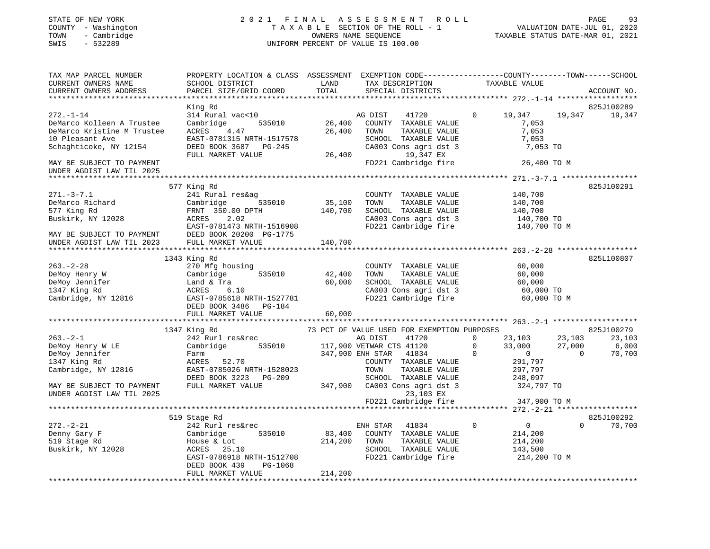## STATE OF NEW YORK 2 0 2 1 F I N A L A S S E S S M E N T R O L L PAGE 93COUNTY - Washington T A X A B L E SECTION OF THE ROLL - 1<br>
T A X A B L E SECTION OF THE ROLL - 1<br>
TOWN - Cambridge DWIFORM PERCENT OF VALUE IS 100.00<br>
SWIS - 532289 SWIS - 532289 UNIFORM PERCENT OF VALUE IS 100.00

| TAX MAP PARCEL NUMBER<br>CURRENT OWNERS NAME<br>CURRENT OWNERS ADDRESS                                                  | PROPERTY LOCATION & CLASS ASSESSMENT<br>SCHOOL DISTRICT<br>PARCEL SIZE/GRID COORD                                                                                   | LAND<br>TOTAL                | EXEMPTION CODE-----------------COUNTY-------TOWN------SCHOOL<br>TAX DESCRIPTION<br>SPECIAL DISTRICTS                                               |                                  | TAXABLE VALUE                                                                                       | ACCOUNT NO.               |
|-------------------------------------------------------------------------------------------------------------------------|---------------------------------------------------------------------------------------------------------------------------------------------------------------------|------------------------------|----------------------------------------------------------------------------------------------------------------------------------------------------|----------------------------------|-----------------------------------------------------------------------------------------------------|---------------------------|
|                                                                                                                         |                                                                                                                                                                     |                              |                                                                                                                                                    |                                  |                                                                                                     | 825J100289                |
| $272. - 1 - 14$<br>DeMarco Kolleen A Trustee<br>DeMarco Kristine M Trustee<br>10 Pleasant Ave<br>Schaghticoke, NY 12154 | King Rd<br>314 Rural vac<10<br>Cambridge<br>535010<br>ACRES<br>4.47<br>EAST-0781315 NRTH-1517578<br>DEED BOOK 3687 PG-245                                           | 26,400<br>26,400             | 41720<br>AG DIST<br>COUNTY TAXABLE VALUE<br>TOWN<br>TAXABLE VALUE<br>SCHOOL TAXABLE VALUE<br>CA003 Cons agri dst 3                                 | $\Omega$                         | 19,347<br>19,347<br>7,053<br>7,053<br>7,053<br>7,053 TO                                             | 19,347                    |
|                                                                                                                         | FULL MARKET VALUE                                                                                                                                                   | 26,400                       | 19,347 EX                                                                                                                                          |                                  |                                                                                                     |                           |
| MAY BE SUBJECT TO PAYMENT<br>UNDER AGDIST LAW TIL 2025                                                                  |                                                                                                                                                                     |                              | FD221 Cambridge fire                                                                                                                               |                                  | 26,400 TO M                                                                                         |                           |
|                                                                                                                         |                                                                                                                                                                     |                              |                                                                                                                                                    |                                  |                                                                                                     |                           |
| $271. - 3 - 7.1$<br>DeMarco Richard<br>577 King Rd<br>Buskirk, NY 12028<br>MAY BE SUBJECT TO PAYMENT                    | 577 King Rd<br>241 Rural res&ag<br>Cambridge<br>535010<br>FRNT 350.00 DPTH<br>ACRES<br>2.02<br>EAST-0781473 NRTH-1516908<br>DEED BOOK 20200 PG-1775                 | 35,100<br>140,700            | COUNTY TAXABLE VALUE<br>TOWN<br>TAXABLE VALUE<br>SCHOOL TAXABLE VALUE<br>CA003 Cons agri dst 3<br>FD221 Cambridge fire                             |                                  | 140,700<br>140,700<br>140,700<br>140,700 TO<br>140,700 TO M                                         | 825J100291                |
| UNDER AGDIST LAW TIL 2023                                                                                               | FULL MARKET VALUE                                                                                                                                                   | 140,700                      |                                                                                                                                                    |                                  |                                                                                                     |                           |
|                                                                                                                         |                                                                                                                                                                     |                              |                                                                                                                                                    |                                  |                                                                                                     |                           |
| $263. - 2 - 28$<br>DeMoy Henry W<br>DeMoy Jennifer<br>1347 King Rd<br>Cambridge, NY 12816                               | 1343 King Rd<br>270 Mfg housing<br>535010<br>Cambridge<br>Land & Tra<br>ACRES<br>6.10<br>EAST-0785618 NRTH-1527781<br>DEED BOOK 3486<br>PG-184<br>FULL MARKET VALUE | 42,400<br>60,000<br>60,000   | COUNTY TAXABLE VALUE<br>TOWN<br>TAXABLE VALUE<br>SCHOOL TAXABLE VALUE<br>CA003 Cons agri dst 3<br>CA003 Cons agri dst 3<br>FD221 Cambridge fire    |                                  | 60,000<br>60,000<br>60,000<br>60,000 TO<br>60,000 TO M                                              | 825L100807                |
|                                                                                                                         |                                                                                                                                                                     |                              |                                                                                                                                                    |                                  |                                                                                                     |                           |
|                                                                                                                         | 1347 King Rd                                                                                                                                                        |                              | 73 PCT OF VALUE USED FOR EXEMPTION PURPOSES                                                                                                        |                                  |                                                                                                     | 825J100279                |
| $263 - 2 - 1$<br>DeMoy Henry W LE<br>DeMoy Jennifer<br>1347 King Rd<br>Cambridge, NY 12816                              | 242 Rurl res&rec<br>535010<br>Cambridge<br>Farm<br>ACRES 52.70<br>EAST-0785026 NRTH-1528023<br>DEED BOOK 3223 PG-209                                                |                              | 41720<br>AG DIST<br>117,900 VETWAR CTS 41120<br>347,900 ENH STAR<br>41834<br>COUNTY TAXABLE VALUE<br>TOWN<br>TAXABLE VALUE<br>SCHOOL TAXABLE VALUE | $\Omega$<br>$\Omega$<br>$\Omega$ | 23,103<br>23,103<br>33,000<br>27,000<br>$\overline{0}$<br>$\Omega$<br>291,797<br>297,797<br>248,097 | 23,103<br>6,000<br>70,700 |
| MAY BE SUBJECT TO PAYMENT<br>UNDER AGDIST LAW TIL 2025                                                                  | FULL MARKET VALUE                                                                                                                                                   | 347,900                      | CA003 Cons agri dst 3<br>23,103 EX<br>FD221 Cambridge fire                                                                                         |                                  | 324,797 TO<br>347,900 TO M                                                                          |                           |
|                                                                                                                         |                                                                                                                                                                     |                              |                                                                                                                                                    |                                  |                                                                                                     |                           |
|                                                                                                                         | 519 Stage Rd                                                                                                                                                        |                              |                                                                                                                                                    |                                  |                                                                                                     | 825J100292                |
| $272. - 2 - 21$<br>Denny Gary F<br>519 Stage Rd<br>Buskirk, NY 12028                                                    | 242 Rurl res&rec<br>Cambridge<br>535010<br>House & Lot<br>ACRES<br>25.10<br>EAST-0786918 NRTH-1512708<br>DEED BOOK 439<br>PG-1068<br>FULL MARKET VALUE              | 83,400<br>214,200<br>214,200 | ENH STAR<br>41834<br>COUNTY TAXABLE VALUE<br>TOWN<br>TAXABLE VALUE<br>SCHOOL TAXABLE VALUE<br>FD221 Cambridge fire                                 | $\mathbf 0$                      | $\overline{0}$<br>$\Omega$<br>214,200<br>214,200<br>143,500<br>214,200 TO M                         | 70,700                    |
|                                                                                                                         |                                                                                                                                                                     |                              |                                                                                                                                                    |                                  |                                                                                                     |                           |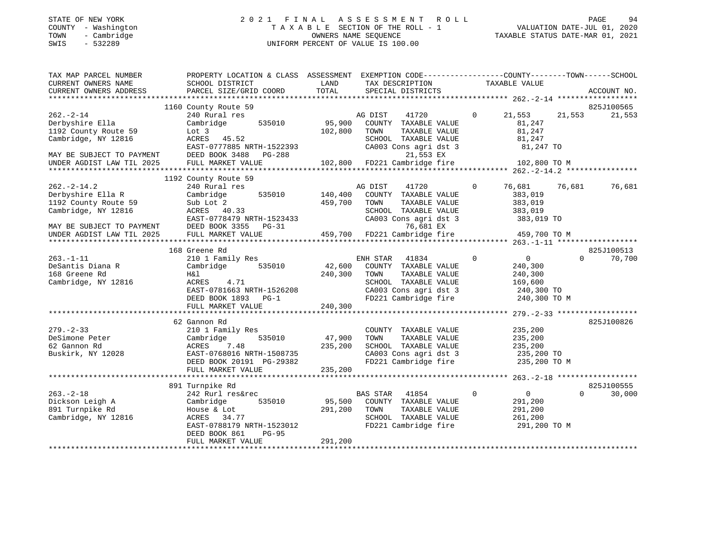#### STATE OF NEW YORK 2 0 2 1 F I N A L A S S E S S M E N T R O L L PAGE 94 COUNTY - Washington T A X A B L E SECTION OF THE ROLL - 1 VALUATION DATE-JUL 01, 2020 TOWN - Cambridge OWNERS NAME SEQUENCE TAXABLE STATUS DATE-MAR 01, 2021 SWIS - 532289 UNIFORM PERCENT OF VALUE IS 100.00

| TAX MAP PARCEL NUMBER                                  | PROPERTY LOCATION & CLASS ASSESSMENT EXEMPTION CODE---------------COUNTY-------TOWN-----SCHOOL |         |                                           |                               |                    |
|--------------------------------------------------------|------------------------------------------------------------------------------------------------|---------|-------------------------------------------|-------------------------------|--------------------|
| CURRENT OWNERS NAME                                    | SCHOOL DISTRICT                                                                                | LAND    | TAX DESCRIPTION TAXABLE VALUE             |                               |                    |
| CURRENT OWNERS ADDRESS                                 | PARCEL SIZE/GRID COORD                                                                         | TOTAL   | SPECIAL DISTRICTS                         |                               | ACCOUNT NO.        |
|                                                        |                                                                                                |         |                                           |                               |                    |
|                                                        | 1160 County Route 59                                                                           |         |                                           |                               | 825J100565         |
| $262. - 2 - 14$                                        | 240 Rural res                                                                                  |         | AG DIST<br>41720                          | $\circ$<br>21,553             | 21,553<br>21,553   |
| Derbyshire Ella                                        | 535010<br>Cambridge                                                                            | 95,900  | COUNTY TAXABLE VALUE                      | 81,247                        |                    |
| 1192 County Route 59                                   | Lot 3                                                                                          | 102,800 | TOWN<br>TAXABLE VALUE                     | 81,247                        |                    |
| Cambridge, NY 12816                                    | ACRES 45.52                                                                                    |         | SCHOOL TAXABLE VALUE                      | 81,247                        |                    |
|                                                        | EAST-0777885 NRTH-1522393                                                                      |         | CA003 Cons agri dst 3                     | 81,247 TO                     |                    |
| MAY BE SUBJECT TO PAYMENT                              | DEED BOOK 3488<br>PG-288                                                                       |         | 21,553 EX                                 |                               |                    |
| MAY BE SUBJECT TO PAYMENT<br>UNDER AGDIST LAW TIL 2025 | FULL MARKET VALUE                                                                              |         | 102,800 FD221 Cambridge fire 102,800 TO M |                               |                    |
|                                                        |                                                                                                |         |                                           |                               |                    |
|                                                        | 1192 County Route 59                                                                           |         |                                           |                               |                    |
|                                                        |                                                                                                |         |                                           |                               |                    |
| $262 - 2 - 14.2$                                       | 240 Rural res                                                                                  |         | AG DIST<br>41720                          | 76,681<br>$\Omega$            | 76,681<br>76,681   |
| Derbyshire Ella R                                      | Cambridge<br>535010                                                                            | 140,400 | COUNTY TAXABLE VALUE                      | 383,019                       |                    |
| 1192 County Route 59                                   | Sub Lot 2                                                                                      | 459,700 | TOWN<br>TAXABLE VALUE                     | 383,019                       |                    |
| Cambridge, NY 12816                                    | ACRES 40.33                                                                                    |         | SCHOOL TAXABLE VALUE                      | 383,019                       |                    |
|                                                        | EAST-0778479 NRTH-1523433                                                                      |         | CA003 Cons agri dst 3                     | 383,019 TO                    |                    |
|                                                        | DEED BOOK 3355 PG-31                                                                           |         | 76,681 EX                                 |                               |                    |
| MAY BE SUBJECT TO PAYMENT<br>UNDER AGDIST LAW TIL 2025 | FULL MARKET VALUE                                                                              |         | 459,700 FD221 Cambridge fire 459,700 TO M |                               |                    |
|                                                        |                                                                                                |         |                                           |                               |                    |
|                                                        | 168 Greene Rd                                                                                  |         |                                           |                               | 825J100513         |
|                                                        |                                                                                                |         |                                           | $\mathbf 0$                   | $\Omega$           |
| $263. -1 - 11$                                         | 210 1 Family Res                                                                               |         | 41834<br>ENH STAR                         | $\overline{0}$                | 70,700             |
| DeSantis Diana R                                       | Cambridge<br>535010                                                                            | 42,600  | COUNTY TAXABLE VALUE                      | 240,300                       |                    |
| 168 Greene Rd                                          | H&l                                                                                            | 240,300 | TAXABLE VALUE<br>TOWN                     | 240,300                       |                    |
| Cambridge, NY 12816                                    | ACRES 4.71                                                                                     |         | SCHOOL TAXABLE VALUE                      | 169,600                       |                    |
|                                                        | EAST-0781663 NRTH-1526208                                                                      |         | CA003 Cons agri dst $3$                   | 240,300 TO                    |                    |
|                                                        | DEED BOOK 1893 PG-1                                                                            |         | FD221 Cambridge fire                      |                               | 240,300 TO M       |
|                                                        | FULL MARKET VALUE                                                                              | 240,300 |                                           |                               |                    |
|                                                        |                                                                                                |         |                                           |                               |                    |
|                                                        | 62 Gannon Rd                                                                                   |         |                                           |                               | 825J100826         |
| $279. - 2 - 33$                                        | 210 1 Family Res                                                                               |         | COUNTY TAXABLE VALUE                      | 235,200                       |                    |
|                                                        |                                                                                                |         |                                           |                               |                    |
| DeSimone Peter                                         | 535010<br>Cambridge                                                                            | 47,900  | TAXABLE VALUE<br>TOWN                     | 235,200                       |                    |
| 62 Gannon Rd                                           | ACRES<br>7.48                                                                                  | 235,200 | SCHOOL TAXABLE VALUE                      | 235,200                       |                    |
| Buskirk, NY 12028                                      | י------<br>EAST-0768016 NRTH-1508735<br>תספר-19191 PG-29382                                    |         | CA003 Cons agri dst 3                     | 235,200 TO                    |                    |
|                                                        | DEED BOOK 20191 PG-29382                                                                       |         | FD221 Cambridge fire                      | 235,200 TO M                  |                    |
|                                                        | FULL MARKET VALUE                                                                              | 235,200 |                                           |                               |                    |
|                                                        |                                                                                                |         |                                           |                               |                    |
|                                                        | 891 Turnpike Rd                                                                                |         |                                           |                               | 825J100555         |
| $263. -2 - 18$                                         | 242 Rurl res&rec                                                                               |         | <b>BAS STAR</b><br>41854                  | $\mathbf 0$<br>$\overline{0}$ | $\Omega$<br>30,000 |
| Dickson Leigh A                                        | 535010<br>Cambridge                                                                            | 95,500  | COUNTY TAXABLE VALUE                      | 291,200                       |                    |
| 891 Turnpike Rd                                        |                                                                                                | 291,200 |                                           |                               |                    |
|                                                        | House & Lot                                                                                    |         | TOWN<br>TAXABLE VALUE                     | 291,200                       |                    |
| Cambridge, NY 12816                                    | ACRES 34.77                                                                                    |         | SCHOOL TAXABLE VALUE                      | 261,200                       |                    |
|                                                        | EAST-0788179 NRTH-1523012                                                                      |         | FD221 Cambridge fire                      |                               | 291,200 TO M       |
|                                                        | $PG-95$<br>DEED BOOK 861                                                                       |         |                                           |                               |                    |
|                                                        | FULL MARKET VALUE                                                                              | 291,200 |                                           |                               |                    |
|                                                        |                                                                                                |         |                                           |                               |                    |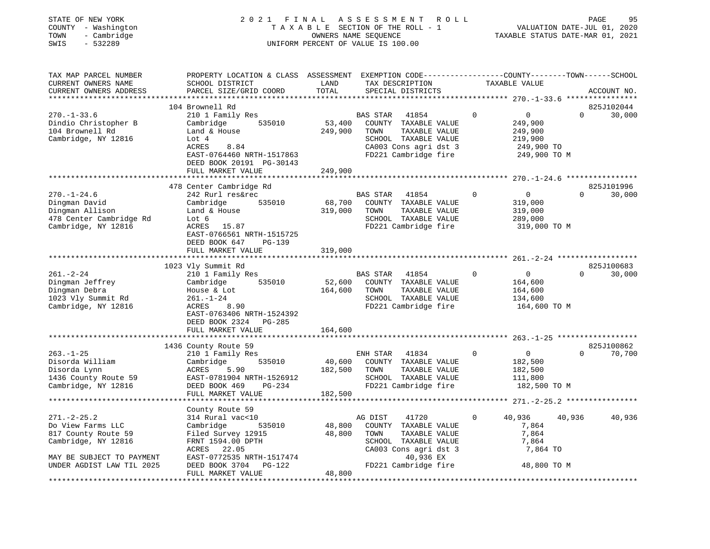## STATE OF NEW YORK 2 0 2 1 F I N A L A S S E S S M E N T R O L L PAGE 95COUNTY - Washington T A X A B L E SECTION OF THE ROLL - 1<br>
TOWN - Cambridge COUNTERS NAME SEQUENCE<br>
SWIS - 532289 SWIS - 2020 SWIS - 532289 UNIFORM PERCENT OF VALUE IS 100.00

VALUATION DATE-JUL 01, 2020

| TAX MAP PARCEL NUMBER<br>CURRENT OWNERS NAME<br>CURRENT OWNERS ADDRESS                                  | PROPERTY LOCATION & CLASS ASSESSMENT<br>SCHOOL DISTRICT<br>PARCEL SIZE/GRID COORD                                                          | LAND<br>TOTAL     | EXEMPTION CODE----------------COUNTY-------TOWN------SCHOOL<br>TAX DESCRIPTION<br>SPECIAL DISTRICTS      |               |             | TAXABLE VALUE                                                 |          | ACCOUNT NO.          |
|---------------------------------------------------------------------------------------------------------|--------------------------------------------------------------------------------------------------------------------------------------------|-------------------|----------------------------------------------------------------------------------------------------------|---------------|-------------|---------------------------------------------------------------|----------|----------------------|
| $270. - 1 - 33.6$                                                                                       | 104 Brownell Rd<br>210 1 Family Res                                                                                                        |                   | <b>BAS STAR</b><br>41854                                                                                 |               | 0           | $\overline{0}$                                                | $\Omega$ | 825J102044<br>30,000 |
| Dindio Christopher B<br>104 Brownell Rd<br>Cambridge, NY 12816                                          | 535010<br>Cambridge<br>Land & House<br>Lot 4<br>ACRES<br>8.84<br>EAST-0764460 NRTH-1517863                                                 | 53,400<br>249,900 | COUNTY TAXABLE VALUE<br>TOWN<br>SCHOOL TAXABLE VALUE<br>CA003 Cons agri dst 3<br>FD221 Cambridge fire    | TAXABLE VALUE |             | 249,900<br>249,900<br>219,900<br>249,900 TO<br>249,900 TO M   |          |                      |
|                                                                                                         | DEED BOOK 20191 PG-30143<br>FULL MARKET VALUE                                                                                              | 249,900           |                                                                                                          |               |             |                                                               |          |                      |
|                                                                                                         |                                                                                                                                            |                   |                                                                                                          |               |             |                                                               |          |                      |
| $270. - 1 - 24.6$<br>Dingman David<br>Dingman Allison<br>478 Center Cambridge Rd<br>Cambridge, NY 12816 | 478 Center Cambridge Rd<br>242 Rurl res&rec<br>Cambridge<br>535010<br>Land & House<br>Lot 6<br>15.87<br>ACRES<br>EAST-0766561 NRTH-1515725 | 68,700<br>319,000 | <b>BAS STAR</b><br>41854<br>COUNTY TAXABLE VALUE<br>TOWN<br>SCHOOL TAXABLE VALUE<br>FD221 Cambridge fire | TAXABLE VALUE | $\mathbf 0$ | $\mathbf{0}$<br>319,000<br>319,000<br>289,000<br>319,000 TO M | $\Omega$ | 825J101996<br>30,000 |
|                                                                                                         | DEED BOOK 647<br>$PG-139$<br>FULL MARKET VALUE                                                                                             | 319,000           |                                                                                                          |               |             |                                                               |          |                      |
|                                                                                                         |                                                                                                                                            |                   |                                                                                                          |               |             |                                                               |          |                      |
|                                                                                                         | 1023 Vly Summit Rd                                                                                                                         |                   |                                                                                                          |               |             |                                                               |          | 825J100683           |
| $261. - 2 - 24$                                                                                         | 210 1 Family Res                                                                                                                           |                   | <b>BAS STAR</b><br>41854                                                                                 |               | 0           | $\overline{0}$                                                | $\Omega$ | 30,000               |
| Dingman Jeffrey                                                                                         | Cambridge<br>535010                                                                                                                        | 52,600            | COUNTY TAXABLE VALUE                                                                                     |               |             | 164,600                                                       |          |                      |
| Dingman Debra                                                                                           | House & Lot                                                                                                                                | 164,600           | TOWN                                                                                                     | TAXABLE VALUE |             | 164,600                                                       |          |                      |
| 1023 Vly Summit Rd                                                                                      | $261. - 1 - 24$                                                                                                                            |                   | SCHOOL TAXABLE VALUE                                                                                     |               |             | 134,600                                                       |          |                      |
| Cambridge, NY 12816                                                                                     | ACRES<br>8.90<br>EAST-0763406 NRTH-1524392<br>DEED BOOK 2324 PG-285<br>FULL MARKET VALUE                                                   | 164,600           | FD221 Cambridge fire                                                                                     |               |             | 164,600 TO M                                                  |          |                      |
|                                                                                                         |                                                                                                                                            |                   |                                                                                                          |               |             |                                                               |          |                      |
|                                                                                                         | 1436 County Route 59                                                                                                                       |                   |                                                                                                          |               |             |                                                               |          | 825J100862           |
| $263. - 1 - 25$<br>Disorda William<br>Disorda Lynn<br>1436 County Route 59<br>Cambridge, NY 12816       | 210 1 Family Res<br>535010<br>Cambridge<br>ACRES<br>5.90<br>EAST-0781904 NRTH-1526912<br>DEED BOOK 469<br>PG-234                           | 40,600<br>182,500 | 41834<br>ENH STAR<br>COUNTY TAXABLE VALUE<br>TOWN<br>SCHOOL TAXABLE VALUE<br>FD221 Cambridge fire        | TAXABLE VALUE | $\Omega$    | $\mathbf{0}$<br>182,500<br>182,500<br>111,800<br>182,500 TO M | $\Omega$ | 70,700               |
|                                                                                                         | FULL MARKET VALUE                                                                                                                          | 182,500           |                                                                                                          |               |             |                                                               |          |                      |
|                                                                                                         |                                                                                                                                            |                   |                                                                                                          |               |             |                                                               |          |                      |
|                                                                                                         | County Route 59                                                                                                                            |                   |                                                                                                          |               |             |                                                               |          |                      |
| $271. - 2 - 25.2$                                                                                       | 314 Rural vac<10                                                                                                                           |                   | AG DIST<br>41720                                                                                         |               | $\mathbf 0$ | 40,936                                                        | 40,936   | 40,936               |
| Do View Farms LLC                                                                                       | Cambridge<br>535010                                                                                                                        | 48,800            | COUNTY TAXABLE VALUE                                                                                     |               |             | 7,864                                                         |          |                      |
| 817 County Route 59                                                                                     | Filed Survey 12915                                                                                                                         | 48,800            | TOWN                                                                                                     | TAXABLE VALUE |             | 7,864                                                         |          |                      |
| Cambridge, NY 12816                                                                                     | FRNT 1594.00 DPTH<br>ACRES<br>22.05                                                                                                        |                   | SCHOOL<br>CA003 Cons agri dst 3                                                                          | TAXABLE VALUE |             | 7,864<br>7,864 TO                                             |          |                      |
| MAY BE SUBJECT TO PAYMENT                                                                               | EAST-0772535 NRTH-1517474                                                                                                                  |                   |                                                                                                          | 40,936 EX     |             |                                                               |          |                      |
| UNDER AGDIST LAW TIL 2025                                                                               | DEED BOOK 3704<br>PG-122<br>FULL MARKET VALUE                                                                                              | 48,800            | FD221 Cambridge fire                                                                                     |               |             | 48,800 TO M                                                   |          |                      |
|                                                                                                         |                                                                                                                                            |                   |                                                                                                          |               |             |                                                               |          |                      |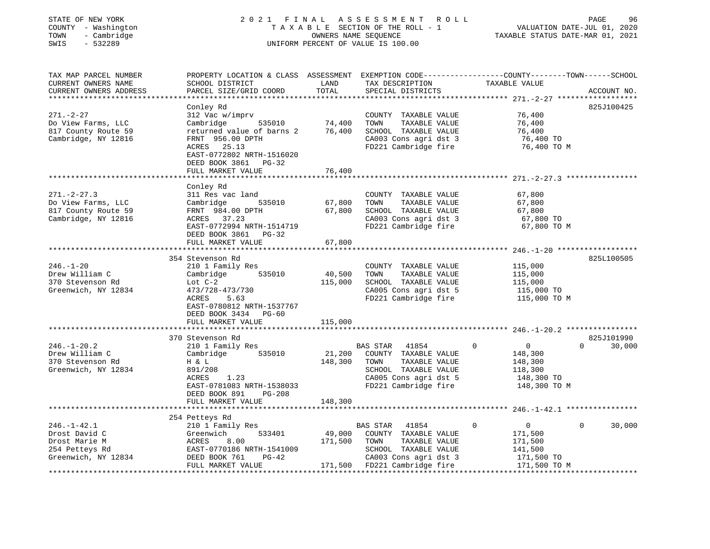| STATE OF NEW YORK<br>COUNTY - Washington<br>- Cambridge<br>TOWN<br>SWIS<br>$-532289$ | 2021 FINAL                                                                                                                                   |               | ASSESSMENT ROLL<br>TAXABLE SECTION OF THE ROLL - 1<br>OWNERS NAME SEQUENCE<br>UNIFORM PERCENT OF VALUE IS 100.00 | TAXABLE STATUS DATE-MAR 01, 2021                    | PAGE<br>96<br>VALUATION DATE-JUL 01, 2020 |
|--------------------------------------------------------------------------------------|----------------------------------------------------------------------------------------------------------------------------------------------|---------------|------------------------------------------------------------------------------------------------------------------|-----------------------------------------------------|-------------------------------------------|
| TAX MAP PARCEL NUMBER<br>CURRENT OWNERS NAME<br>CURRENT OWNERS ADDRESS               | PROPERTY LOCATION & CLASS ASSESSMENT EXEMPTION CODE---------------COUNTY-------TOWN------SCHOOL<br>SCHOOL DISTRICT<br>PARCEL SIZE/GRID COORD | LAND<br>TOTAL | TAX DESCRIPTION<br>SPECIAL DISTRICTS                                                                             | TAXABLE VALUE                                       | ACCOUNT NO.                               |
|                                                                                      | Conley Rd                                                                                                                                    |               |                                                                                                                  |                                                     | 825J100425                                |
| $271. - 2 - 27$                                                                      | 312 Vac w/imprv                                                                                                                              |               | COUNTY TAXABLE VALUE                                                                                             | 76,400                                              |                                           |
| Do View Farms, LLC                                                                   | Cambridge<br>535010                                                                                                                          | 74,400        | TOWN<br>TAXABLE VALUE                                                                                            | 76,400                                              |                                           |
| 817 County Route 59                                                                  | returned value of barns 2                                                                                                                    | 76,400        | SCHOOL TAXABLE VALUE                                                                                             | 76,400                                              |                                           |
| Cambridge, NY 12816                                                                  | FRNT 956.00 DPTH                                                                                                                             |               | CA003 Cons agri dst 3                                                                                            | 76,400 TO                                           |                                           |
|                                                                                      | ACRES 25.13<br>EAST-0772802 NRTH-1516020<br>DEED BOOK 3861 PG-32                                                                             |               | FD221 Cambridge fire                                                                                             | 76,400 TO M                                         |                                           |
|                                                                                      | FULL MARKET VALUE                                                                                                                            | 76,400        |                                                                                                                  | *********************************** 271.-2-27.3 *** |                                           |
|                                                                                      | Conley Rd                                                                                                                                    |               |                                                                                                                  |                                                     |                                           |
| $271. - 2 - 27.3$                                                                    | 311 Res vac land                                                                                                                             |               | COUNTY TAXABLE VALUE                                                                                             | 67,800                                              |                                           |
| Do View Farms, LLC                                                                   | Cambridge<br>535010                                                                                                                          | 67,800        | TAXABLE VALUE<br>TOWN                                                                                            | 67,800                                              |                                           |
| 817 County Route 59                                                                  | FRNT 984.00 DPTH                                                                                                                             | 67,800        | SCHOOL TAXABLE VALUE                                                                                             | 67,800                                              |                                           |
| Cambridge, NY 12816                                                                  | ACRES 37.23                                                                                                                                  |               | CA003 Cons agri dst 3                                                                                            | 67,800 TO                                           |                                           |
|                                                                                      | EAST-0772994 NRTH-1514719                                                                                                                    |               | FD221 Cambridge fire                                                                                             | 67,800 TO M                                         |                                           |
|                                                                                      | DEED BOOK 3861 PG-32                                                                                                                         |               |                                                                                                                  |                                                     |                                           |
|                                                                                      | FULL MARKET VALUE                                                                                                                            | 67,800        |                                                                                                                  |                                                     |                                           |
|                                                                                      | ************************                                                                                                                     |               |                                                                                                                  |                                                     |                                           |
|                                                                                      | 354 Stevenson Rd                                                                                                                             |               |                                                                                                                  |                                                     | 825L100505                                |
| $246. - 1 - 20$                                                                      | 210 1 Family Res                                                                                                                             |               | COUNTY TAXABLE VALUE                                                                                             | 115,000                                             |                                           |
| Drew William C                                                                       | Cambridge<br>535010                                                                                                                          | 40,500        | TOWN<br>TAXABLE VALUE                                                                                            | 115,000                                             |                                           |
| 370 Stevenson Rd                                                                     | Lot $C-2$                                                                                                                                    | 115,000       | SCHOOL TAXABLE VALUE                                                                                             | 115,000                                             |                                           |
| Greenwich, NY 12834                                                                  | 473/728-473/730                                                                                                                              |               | CA005 Cons agri dst 5                                                                                            | 115,000 TO                                          |                                           |
|                                                                                      | 5.63<br>ACRES                                                                                                                                |               | FD221 Cambridge fire                                                                                             | 115,000 TO M                                        |                                           |
|                                                                                      | EAST-0780812 NRTH-1537767                                                                                                                    |               |                                                                                                                  |                                                     |                                           |
|                                                                                      | DEED BOOK 3434 PG-60                                                                                                                         |               |                                                                                                                  |                                                     |                                           |
|                                                                                      | FULL MARKET VALUE                                                                                                                            | 115,000       |                                                                                                                  |                                                     |                                           |
|                                                                                      |                                                                                                                                              |               |                                                                                                                  |                                                     |                                           |
|                                                                                      | 370 Stevenson Rd                                                                                                                             |               |                                                                                                                  |                                                     | 825J101990                                |
| $246. - 1 - 20.2$                                                                    | 210 1 Family Res                                                                                                                             |               | BAS STAR<br>41854                                                                                                | $\Omega$<br>$\overline{0}$                          | 30,000<br>$\Omega$                        |
| Drew William C                                                                       | 535010<br>Cambridge                                                                                                                          | 21,200        | COUNTY TAXABLE VALUE                                                                                             | 148,300                                             |                                           |
| 370 Stevenson Rd                                                                     | H & L                                                                                                                                        | 148,300       | TAXABLE VALUE<br>TOWN                                                                                            | 148,300                                             |                                           |
| Greenwich, NY 12834                                                                  | 891/208                                                                                                                                      |               | SCHOOL TAXABLE VALUE                                                                                             | 118,300                                             |                                           |
|                                                                                      | ACRES<br>1.23                                                                                                                                |               | CA005 Cons agri dst 5                                                                                            | 148,300 TO                                          |                                           |
|                                                                                      | EAST-0781083 NRTH-1538033                                                                                                                    |               | FD221 Cambridge fire                                                                                             | 148,300 TO M                                        |                                           |
|                                                                                      | DEED BOOK 891<br>PG-208                                                                                                                      |               |                                                                                                                  |                                                     |                                           |
|                                                                                      | FULL MARKET VALUE                                                                                                                            | 148,300       |                                                                                                                  |                                                     |                                           |
|                                                                                      |                                                                                                                                              |               |                                                                                                                  |                                                     |                                           |
|                                                                                      | 254 Petteys Rd                                                                                                                               |               |                                                                                                                  | $\overline{0}$<br>$\Omega$                          | $\Omega$                                  |
| $246. - 1 - 42.1$                                                                    | 210 1 Family Res                                                                                                                             |               | BAS STAR<br>41854                                                                                                |                                                     | 30,000                                    |
| Drost David C                                                                        | 533401<br>Greenwich                                                                                                                          | 49,000        | COUNTY TAXABLE VALUE                                                                                             | 171,500                                             |                                           |
| Drost Marie M                                                                        | ACRES<br>8.00                                                                                                                                | 171,500       | TOWN<br>TAXABLE VALUE                                                                                            | 171,500                                             |                                           |
| 254 Petteys Rd                                                                       | EAST-0770186 NRTH-1541009                                                                                                                    |               | SCHOOL TAXABLE VALUE                                                                                             | 141,500                                             |                                           |
| Greenwich, NY 12834                                                                  | DEED BOOK 761<br>PG-42                                                                                                                       |               | CA003 Cons agri dst 3                                                                                            | 171,500 TO                                          |                                           |
|                                                                                      | FULL MARKET VALUE                                                                                                                            |               | 171,500 FD221 Cambridge fire                                                                                     | 171,500 TO M                                        |                                           |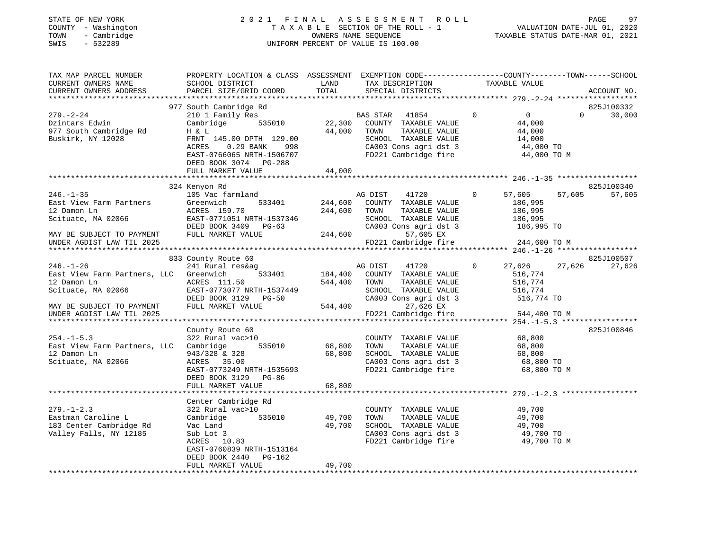## STATE OF NEW YORK 2 0 2 1 F I N A L A S S E S S M E N T R O L L PAGE 97COUNTY - Washington T A X A B L E SECTION OF THE ROLL - 1<br>
TOWN - Cambridge COUNTERS NAME SEQUENCE<br>
SWIS - 532289 SWIS - 2020 SWIS - 532289 UNIFORM PERCENT OF VALUE IS 100.00

:<br>VALUATION DATE-JUL 01, 2020<br>2021 - 10 01:00 11:00

| TAX MAP PARCEL NUMBER<br>CURRENT OWNERS NAME<br>CURRENT OWNERS ADDRESS          | PROPERTY LOCATION & CLASS ASSESSMENT EXEMPTION CODE----------------COUNTY-------TOWN------SCHOOL<br>SCHOOL DISTRICT<br>PARCEL SIZE/GRID COORD | LAND<br>TOTAL      | TAX DESCRIPTION<br>SPECIAL DISTRICTS                                                           | TAXABLE VALUE                                             | ACCOUNT NO.                               |
|---------------------------------------------------------------------------------|-----------------------------------------------------------------------------------------------------------------------------------------------|--------------------|------------------------------------------------------------------------------------------------|-----------------------------------------------------------|-------------------------------------------|
|                                                                                 |                                                                                                                                               |                    |                                                                                                |                                                           |                                           |
| $279. - 2 - 24$<br>Dzintars Edwin                                               | 977 South Cambridge Rd<br>210 1 Family Res<br>Cambridge 535010                                                                                |                    | BAS STAR 41854<br>22,300 COUNTY TAXABLE VALUE                                                  | $\Omega$<br>$\overline{0}$<br>44,000                      | 825J100332<br>$\Omega$<br>30,000          |
| 977 South Cambridge Rd<br>Buskirk, NY 12028                                     | H & L<br>FRNT 145.00 DPTH 129.00<br>ACRES<br>$0.29$ BANK<br>998<br>EAST-0766065 NRTH-1506707<br>DEED BOOK 3074 PG-288                         | 44,000             | TOWN<br>TAXABLE VALUE<br>SCHOOL TAXABLE VALUE<br>CA003 Cons agri dst 3<br>FD221 Cambridge fire | 44,000<br>14,000<br>44,000 TO<br>44,000 TO M              |                                           |
|                                                                                 | FULL MARKET VALUE                                                                                                                             | 44,000             |                                                                                                |                                                           |                                           |
|                                                                                 | 324 Kenyon Rd                                                                                                                                 |                    |                                                                                                |                                                           | 825J100340                                |
| $246. - 1 - 35$<br>East View Farm Partners<br>12 Damon Ln<br>Scituate, MA 02066 | 105 Vac farmland<br>533401<br>Greenwich<br>ACRES 159.70<br>EAST-0771051 NRTH-1537346                                                          | 244,600<br>244,600 | AG DIST<br>41720<br>COUNTY TAXABLE VALUE<br>TOWN<br>TAXABLE VALUE<br>SCHOOL TAXABLE VALUE      | 57,605<br>$\overline{0}$<br>186,995<br>186,995<br>186,995 | 57,605<br>57,605                          |
|                                                                                 | DEED BOOK 3409 PG-63                                                                                                                          |                    | CA003 Cons agri dst 3                                                                          | 186,995 TO                                                |                                           |
| MAY BE SUBJECT TO PAYMENT<br>UNDER AGDIST LAW TIL 2025                          | FULL MARKET VALUE                                                                                                                             |                    | 244,600<br>57,605 EX<br>FD221 Cambridge fire                                                   | 244,600 TO M                                              |                                           |
|                                                                                 |                                                                                                                                               |                    |                                                                                                |                                                           |                                           |
|                                                                                 | 833 County Route 60                                                                                                                           |                    |                                                                                                |                                                           | 825J100507                                |
| $246. - 1 - 26$                                                                 | 241 Rural res&ag                                                                                                                              |                    | 41720<br>AG DIST                                                                               | $\circ$<br>27,626                                         | 27,626<br>27,626                          |
| East View Farm Partners, LLC Greenwich                                          | 533401                                                                                                                                        |                    | 184,400 COUNTY TAXABLE VALUE                                                                   | 516,774                                                   |                                           |
| 12 Damon Ln                                                                     | ACRES 111.50                                                                                                                                  | 544,400            | TAXABLE VALUE<br>TOWN                                                                          | 516,774                                                   |                                           |
| Scituate, MA 02066                                                              | EAST-0773077 NRTH-1537449<br>DEED BOOK 3129 PG-50                                                                                             |                    | SCHOOL TAXABLE VALUE<br>CA003 Cons agri dst 3                                                  | 516,774<br>516,774 TO                                     |                                           |
| MAY BE SUBJECT TO PAYMENT                                                       | FULL MARKET VALUE                                                                                                                             | 544,400            | 27,626 EX                                                                                      |                                                           |                                           |
| UNDER AGDIST LAW TIL 2025                                                       |                                                                                                                                               |                    | FD221 Cambridge fire                                                                           | 544,400 TO M                                              |                                           |
|                                                                                 |                                                                                                                                               |                    |                                                                                                |                                                           | ************* 254.-1-5.3 **************** |
|                                                                                 | County Route 60                                                                                                                               |                    |                                                                                                |                                                           | 825J100846                                |
| $254. -1 - 5.3$                                                                 | 322 Rural vac>10                                                                                                                              |                    | COUNTY TAXABLE VALUE                                                                           | 68,800                                                    |                                           |
| East View Farm Partners, LLC Cambridge                                          | 535010                                                                                                                                        | 68,800             | TOWN<br>TAXABLE VALUE                                                                          | 68,800                                                    |                                           |
| 12 Damon Ln                                                                     | 943/328 & 328                                                                                                                                 | 68,800             | SCHOOL TAXABLE VALUE                                                                           | 68,800                                                    |                                           |
| Scituate, MA 02066                                                              | ACRES 35.00<br>EAST-0773249 NRTH-1535693                                                                                                      |                    | CA003 Cons agri dst 3<br>FD221 Cambridge fire                                                  | 68,800 TO                                                 | 68,800 TO M                               |
|                                                                                 | DEED BOOK 3129 PG-86                                                                                                                          |                    |                                                                                                |                                                           |                                           |
|                                                                                 | FULL MARKET VALUE<br>****************************                                                                                             | 68,800             |                                                                                                |                                                           |                                           |
|                                                                                 | Center Cambridge Rd                                                                                                                           |                    |                                                                                                |                                                           |                                           |
| $279. - 1 - 2.3$                                                                | 322 Rural vac>10                                                                                                                              |                    | COUNTY TAXABLE VALUE                                                                           | 49,700                                                    |                                           |
| Eastman Caroline L                                                              | 535010<br>Cambridge                                                                                                                           | 49,700             | TOWN<br>TAXABLE VALUE                                                                          | 49,700                                                    |                                           |
| 183 Center Cambridge Rd                                                         | Vac Land                                                                                                                                      | 49,700             | SCHOOL TAXABLE VALUE                                                                           | 49,700                                                    |                                           |
| Valley Falls, NY 12185                                                          | Sub Lot 3                                                                                                                                     |                    | CA003 Cons agri dst 3                                                                          | 49,700 TO                                                 |                                           |
|                                                                                 | ACRES 10.83<br>EAST-0760839 NRTH-1513164<br>DEED BOOK 2440 PG-162                                                                             |                    | FD221 Cambridge fire                                                                           | 49,700 TO M                                               |                                           |
|                                                                                 | FULL MARKET VALUE                                                                                                                             | 49,700             |                                                                                                |                                                           |                                           |
|                                                                                 |                                                                                                                                               |                    |                                                                                                |                                                           |                                           |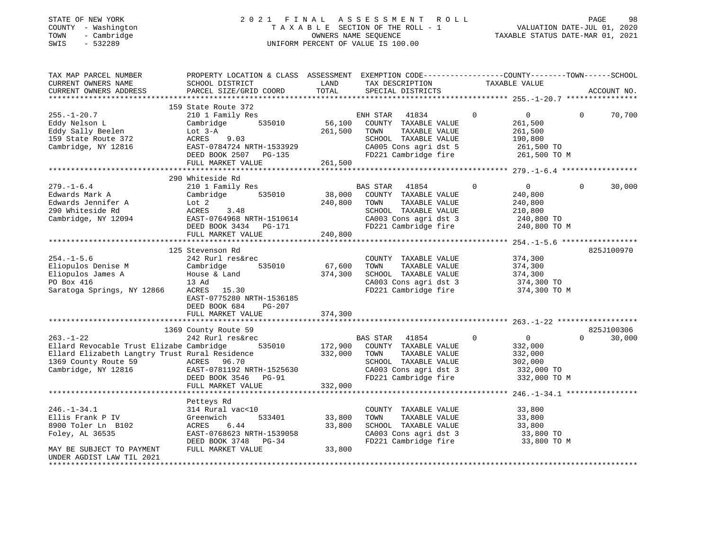## STATE OF NEW YORK 2 0 2 1 F I N A L A S S E S S M E N T R O L L PAGE 98COUNTY - Washington T A X A B L E SECTION OF THE ROLL - 1<br>
TOWN - Cambridge COUNTY - CAMBRIDGE<br>
SWIS - 532289 COUNTY - 2020 SWIS - 532289 UNIFORM PERCENT OF VALUE IS 100.00

| TAX MAP PARCEL NUMBER<br>CURRENT OWNERS NAME<br>CURRENT OWNERS ADDRESS                                                                                       | PROPERTY LOCATION & CLASS ASSESSMENT<br>SCHOOL DISTRICT<br>PARCEL SIZE/GRID COORD                                                                                       | LAND<br>TOTAL                 | EXEMPTION CODE-----------------COUNTY-------TOWN------SCHOOL<br>TAX DESCRIPTION<br>SPECIAL DISTRICTS                                               |             | TAXABLE VALUE                                                                 |          | ACCOUNT NO.          |
|--------------------------------------------------------------------------------------------------------------------------------------------------------------|-------------------------------------------------------------------------------------------------------------------------------------------------------------------------|-------------------------------|----------------------------------------------------------------------------------------------------------------------------------------------------|-------------|-------------------------------------------------------------------------------|----------|----------------------|
|                                                                                                                                                              |                                                                                                                                                                         |                               |                                                                                                                                                    |             |                                                                               |          |                      |
| $255. - 1 - 20.7$<br>Eddy Nelson L<br>Eddy Sally Beelen<br>159 State Route 372<br>Cambridge, NY 12816                                                        | 159 State Route 372<br>210 1 Family Res<br>535010<br>Cambridge<br>Lot $3-A$<br>ACRES<br>9.03<br>EAST-0784724 NRTH-1533929<br>DEED BOOK 2507 PG-135<br>FULL MARKET VALUE | 56,100<br>261,500<br>261,500  | 41834<br>ENH STAR<br>COUNTY TAXABLE VALUE<br>TAXABLE VALUE<br>TOWN<br>SCHOOL TAXABLE VALUE<br>CA005 Cons agri dst 5<br>FD221 Cambridge fire        | 0           | $\overline{0}$<br>261,500<br>261,500<br>190,800<br>261,500 TO<br>261,500 TO M | $\Omega$ | 70,700               |
|                                                                                                                                                              |                                                                                                                                                                         |                               |                                                                                                                                                    |             |                                                                               |          |                      |
| $279. - 1 - 6.4$<br>Edwards Mark A<br>Edwards Jennifer A<br>290 Whiteside Rd<br>Cambridge, NY 12094                                                          | 290 Whiteside Rd<br>210 1 Family Res<br>Cambridge<br>535010<br>Lot 2<br>ACRES<br>3.48<br>EAST-0764968 NRTH-1510614<br>DEED BOOK 3434 PG-171<br>FULL MARKET VALUE        | 38,000<br>240,800<br>240,800  | <b>BAS STAR</b><br>41854<br>COUNTY TAXABLE VALUE<br>TOWN<br>TAXABLE VALUE<br>SCHOOL TAXABLE VALUE<br>CA003 Cons agri dst 3<br>FD221 Cambridge fire | 0           | $\overline{0}$<br>240,800<br>240,800<br>210,800<br>240,800 TO<br>240,800 TO M | $\Omega$ | 30,000               |
|                                                                                                                                                              | 125 Stevenson Rd                                                                                                                                                        |                               |                                                                                                                                                    |             |                                                                               |          | 825J100970           |
| $254. - 1 - 5.6$<br>Eliopulos Denise M<br>Eliopulos James A<br>PO Box 416<br>Saratoga Springs, NY 12866                                                      | 242 Rurl res&rec<br>535010<br>Cambridge<br>House & Land<br>13 Ad<br>15.30<br>ACRES<br>EAST-0775280 NRTH-1536185<br>DEED BOOK 684<br>$PG-207$                            | 67,600<br>374,300             | COUNTY TAXABLE VALUE<br>TAXABLE VALUE<br>TOWN<br>SCHOOL TAXABLE VALUE<br>CA003 Cons agri dst 3<br>FD221 Cambridge fire                             |             | 374,300<br>374,300<br>374,300<br>374,300 TO<br>374,300 TO M                   |          |                      |
|                                                                                                                                                              | FULL MARKET VALUE                                                                                                                                                       | 374,300                       |                                                                                                                                                    |             |                                                                               |          |                      |
|                                                                                                                                                              |                                                                                                                                                                         |                               |                                                                                                                                                    |             |                                                                               |          |                      |
| $263. - 1 - 22$<br>Ellard Revocable Trust Elizabe Cambridge<br>Ellard Elizabeth Langtry Trust Rural Residence<br>1369 County Route 59<br>Cambridge, NY 12816 | 1369 County Route 59<br>242 Rurl res&rec<br>535010<br>ACRES<br>96.70<br>EAST-0781192 NRTH-1525630<br>DEED BOOK 3546<br>PG-91<br>FULL MARKET VALUE                       | 172,900<br>332,000<br>332,000 | BAS STAR 41854<br>COUNTY TAXABLE VALUE<br>TOWN<br>TAXABLE VALUE<br>SCHOOL TAXABLE VALUE<br>CA003 Cons agri dst 3<br>FD221 Cambridge fire           | $\mathbf 0$ | $\overline{0}$<br>332,000<br>332,000<br>302,000<br>332,000 TO<br>332,000 TO M | $\Omega$ | 825J100306<br>30,000 |
|                                                                                                                                                              |                                                                                                                                                                         |                               |                                                                                                                                                    |             |                                                                               |          |                      |
| $246. - 1 - 34.1$<br>Ellis Frank P IV<br>8900 Toler Ln B102<br>Foley, AL 36535<br>MAY BE SUBJECT TO PAYMENT                                                  | Petteys Rd<br>314 Rural vac<10<br>533401<br>Greenwich<br>6.44<br>ACRES<br>EAST-0768623 NRTH-1539058<br>DEED BOOK 3748<br>$PG-34$<br>FULL MARKET VALUE                   | 33,800<br>33,800<br>33,800    | COUNTY TAXABLE VALUE<br>TAXABLE VALUE<br>TOWN<br>SCHOOL TAXABLE VALUE<br>CA003 Cons agri dst 3<br>FD221 Cambridge fire                             |             | 33,800<br>33,800<br>33,800<br>33,800 TO<br>33,800 TO M                        |          |                      |
| UNDER AGDIST LAW TIL 2021<br>*********************                                                                                                           |                                                                                                                                                                         |                               |                                                                                                                                                    |             |                                                                               |          |                      |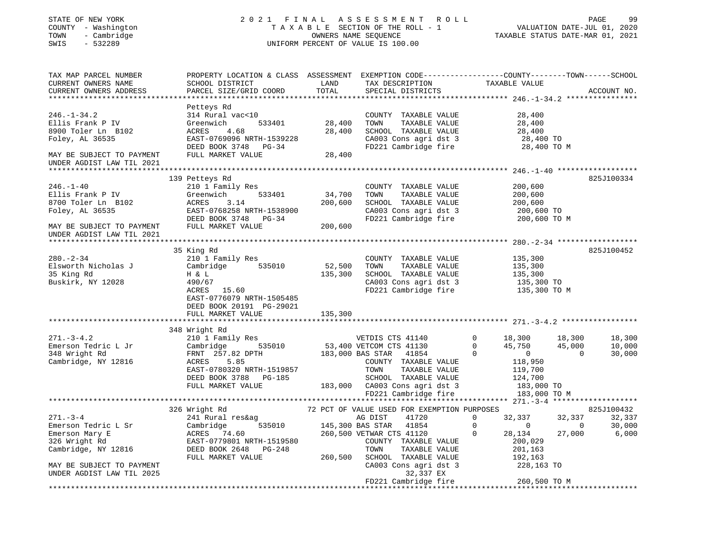| STATE OF NEW YORK<br>COUNTY - Washington<br>- Cambridge<br>TOWN<br>SWIS<br>$-532289$                                                                      | 2021 FINAL ASSESSMENT ROLL<br>TAXABLE SECTION OF THE ROLL - 1<br>OWNERS NAME SEQUENCE<br>UNIFORM PERCENT OF VALUE IS 100.00                                              |                              |                                                                                                                                                                                                                                                                                         |                                                                                                                           | 99 VALUATION DATE-JUL 01, 2020<br>TAXABLE STATIO DATE-JUL 01, 2020 |                            |  |  |
|-----------------------------------------------------------------------------------------------------------------------------------------------------------|--------------------------------------------------------------------------------------------------------------------------------------------------------------------------|------------------------------|-----------------------------------------------------------------------------------------------------------------------------------------------------------------------------------------------------------------------------------------------------------------------------------------|---------------------------------------------------------------------------------------------------------------------------|--------------------------------------------------------------------|----------------------------|--|--|
| TAX MAP PARCEL NUMBER<br>CURRENT OWNERS NAME<br>CURRENT OWNERS ADDRESS                                                                                    | PROPERTY LOCATION & CLASS ASSESSMENT EXEMPTION CODE---------------COUNTY-------TOWN------SCHOOL<br>SCHOOL DISTRICT<br>PARCEL SIZE/GRID COORD                             | LAND<br>TOTAL                | TAX DESCRIPTION<br>SPECIAL DISTRICTS                                                                                                                                                                                                                                                    | TAXABLE VALUE                                                                                                             | ACCOUNT NO.                                                        |                            |  |  |
| $246. - 1 - 34.2$<br>Ellis Frank P IV<br>8900 Toler Ln B102<br>Foley, AL 36535<br>MAY BE SUBJECT TO PAYMENT<br>UNDER AGDIST LAW TIL 2021                  | Petteys Rd<br>314 Rural vac<10<br>Greenwich<br>533401<br>ACRES<br>4.68<br>EAST-0769096 NRTH-1539228<br>DEED BOOK 3748 PG-34<br>FULL MARKET VALUE                         | 28,400<br>28,400<br>28,400   | COUNTY TAXABLE VALUE<br>TOWN<br>TAXABLE VALUE<br>SCHOOL TAXABLE VALUE<br>CA003 Cons agri dst 3<br>FD221 Cambridge fire                                                                                                                                                                  | 28,400<br>28,400<br>28,400<br>28,400 TO<br>28,400 TO M                                                                    |                                                                    |                            |  |  |
| $246. - 1 - 40$<br>Ellis Frank P IV<br>8700 Toler Ln B102<br>Foley, AL 36535<br>MAY BE SUBJECT TO PAYMENT<br>UNDER AGDIST LAW TIL 2021                    | 139 Petteys Rd<br>210 1 Family Res<br>Greenwich<br>533401<br>ACRES<br>3.14<br>EAST-0768258 NRTH-1538900<br>DEED BOOK 3748 PG-34<br>FULL MARKET VALUE                     | 34,700<br>200,600<br>200,600 | COUNTY TAXABLE VALUE<br>TOWN<br>TAXABLE VALUE<br>SCHOOL TAXABLE VALUE<br>CA003 Cons agri dst 3<br>FD221 Cambridge fire                                                                                                                                                                  | 200,600<br>200,600<br>200,600<br>200,600 TO<br>200,600 TO M                                                               | 825J100334                                                         |                            |  |  |
| $280. - 2 - 34$<br>Elsworth Nicholas J<br>35 King Rd<br>Buskirk, NY 12028                                                                                 | 35 King Rd<br>210 1 Family Res<br>535010<br>Cambridge<br>H & L<br>490/67<br>ACRES 15.60<br>EAST-0776079 NRTH-1505485<br>DEED BOOK 20191 PG-29021                         | 52,500<br>135,300            | COUNTY TAXABLE VALUE<br>TAXABLE VALUE<br>TOWN<br>SCHOOL TAXABLE VALUE<br>CA003 Cons agri dst 3<br>FD221 Cambridge fire                                                                                                                                                                  | 135,300<br>135,300<br>135,300<br>135,300 TO<br>135,300 TO M                                                               | 825J100452                                                         |                            |  |  |
|                                                                                                                                                           | FULL MARKET VALUE                                                                                                                                                        | 135,300                      |                                                                                                                                                                                                                                                                                         |                                                                                                                           |                                                                    |                            |  |  |
| $271. - 3 - 4.2$<br>Emerson Tedric L Jr<br>348 Wright Rd<br>Cambridge, NY 12816                                                                           | 348 Wright Rd<br>210 1 Family Res<br>Cambridge<br>535010<br>FRNT 257.82 DPTH<br>ACRES<br>5.85<br>EAST-0780320 NRTH-1519857<br>DEED BOOK 3788 PG-185<br>FULL MARKET VALUE |                              | VETDIS CTS 41140<br>53,400 VETCOM CTS 41130<br>183,000 BAS STAR 41854<br>COUNTY TAXABLE VALUE<br>TOWN<br>TAXABLE VALUE<br>SCHOOL TAXABLE VALUE<br>183,000 CA003 Cons agri dst 3                                                                                                         | $\mathbf{0}$<br>18,300<br>45,750<br>$\Omega$<br>$\Omega$<br>$\overline{0}$<br>118,950<br>119,700<br>124,700<br>183,000 TO | 18,300<br>45,000<br>$\Omega$                                       | 18,300<br>10,000<br>30,000 |  |  |
|                                                                                                                                                           |                                                                                                                                                                          |                              | FD221 Cambridge fire                                                                                                                                                                                                                                                                    | 183,000 TO M                                                                                                              |                                                                    |                            |  |  |
| $271. - 3 - 4$<br>Emerson Tedric L Sr<br>Emerson Mary E<br>326 Wright Rd<br>Cambridge, NY 12816<br>MAY BE SUBJECT TO PAYMENT<br>UNDER AGDIST LAW TIL 2025 | 326 Wright Rd<br>241 Rural res&ag<br>Cambridge<br>535010<br>ACRES 74.60<br>EAST-0779801 NRTH-1519580<br>DEED BOOK 2648 PG-248<br>FULL MARKET VALUE                       | 260,500                      | 72 PCT OF VALUE USED FOR EXEMPTION PURPOSES<br>AG DIST 41720 0 32,337<br>145,300 BAS STAR 41854<br>260,500 VETWAR CTS 41120<br>COUNTY TAXABLE VALUE<br>TOWN<br>TAXABLE VALUE<br>SCHOOL TAXABLE VALUE<br>CA003 Cons agri dst 3<br>32,337 EX<br>FD221 Cambridge fire<br>***************** | $\overline{0}$<br>0<br>28,134<br>$\mathbf{0}$<br>200,029<br>201,163<br>192,163<br>228,163 TO<br>260,500 TO M              | 825J100432<br>32,337<br>32,337<br>$\overline{0}$<br>27,000         | 30,000<br>6,000            |  |  |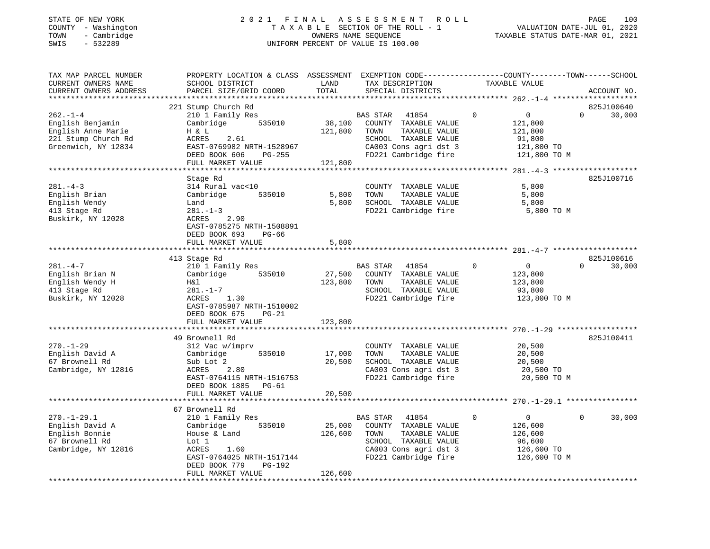#### STATE OF NEW YORK 2 0 2 1 F I N A L A S S E S S M E N T R O L L PAGE 100 COUNTY - Washington T A X A B L E SECTION OF THE ROLL - 1 VALUATION DATE-JUL 01, 2020 TOWN - Cambridge OWNERS NAME SEQUENCE TAXABLE STATUS DATE-MAR 01, 2021 SWIS - 532289 UNIFORM PERCENT OF VALUE IS 100.00UNIFORM PERCENT OF VALUE IS 100.00

| TAX MAP PARCEL NUMBER<br>CURRENT OWNERS NAME<br>CURRENT OWNERS ADDRESS                                 | PROPERTY LOCATION & CLASS ASSESSMENT<br>SCHOOL DISTRICT<br>PARCEL SIZE/GRID COORD                                                                                          | LAND<br>TOTAL                | TAX DESCRIPTION<br>SPECIAL DISTRICTS                                                                                                        | EXEMPTION CODE-----------------COUNTY-------TOWN------SCHOOL<br>TAXABLE VALUE            | ACCOUNT NO.                      |
|--------------------------------------------------------------------------------------------------------|----------------------------------------------------------------------------------------------------------------------------------------------------------------------------|------------------------------|---------------------------------------------------------------------------------------------------------------------------------------------|------------------------------------------------------------------------------------------|----------------------------------|
| ***********************                                                                                |                                                                                                                                                                            |                              |                                                                                                                                             |                                                                                          |                                  |
| $262. - 1 - 4$<br>English Benjamin<br>English Anne Marie<br>221 Stump Church Rd<br>Greenwich, NY 12834 | 221 Stump Church Rd<br>210 1 Family Res<br>Cambridge<br>535010<br>H & L<br>2.61<br>ACRES<br>EAST-0769982 NRTH-1528967<br>DEED BOOK 606<br>PG-255<br>FULL MARKET VALUE      | 38,100<br>121,800<br>121,800 | BAS STAR<br>41854<br>COUNTY TAXABLE VALUE<br>TAXABLE VALUE<br>TOWN<br>SCHOOL TAXABLE VALUE<br>CA003 Cons agri dst 3<br>FD221 Cambridge fire | $\overline{0}$<br>$\Omega$<br>121,800<br>121,800<br>91,800<br>121,800 TO<br>121,800 TO M | 825J100640<br>$\Omega$<br>30,000 |
|                                                                                                        |                                                                                                                                                                            |                              |                                                                                                                                             |                                                                                          |                                  |
| $281. - 4 - 3$<br>English Brian<br>English Wendy<br>413 Stage Rd<br>Buskirk, NY 12028                  | Stage Rd<br>314 Rural vac<10<br>Cambridge<br>535010<br>Land<br>$281. - 1 - 3$<br>ACRES<br>2.90<br>EAST-0785275 NRTH-1508891<br>DEED BOOK 693<br>PG-66<br>FULL MARKET VALUE | 5,800<br>5,800<br>5,800      | COUNTY TAXABLE VALUE<br>TOWN<br>TAXABLE VALUE<br>SCHOOL TAXABLE VALUE<br>FD221 Cambridge fire                                               | 5,800<br>5,800<br>5,800<br>5,800 TO M                                                    | 825J100716                       |
|                                                                                                        |                                                                                                                                                                            |                              |                                                                                                                                             |                                                                                          |                                  |
| $281. -4 -7$<br>English Brian N<br>English Wendy H<br>413 Stage Rd<br>Buskirk, NY 12028                | 413 Stage Rd<br>210 1 Family Res<br>535010<br>Cambridge<br>H&l<br>$281. - 1 - 7$<br>ACRES<br>1.30<br>EAST-0785987 NRTH-1510002<br>DEED BOOK 675<br>$PG-21$                 | 27,500<br>123,800            | BAS STAR 41854<br>COUNTY TAXABLE VALUE<br>TOWN<br>TAXABLE VALUE<br>SCHOOL TAXABLE VALUE<br>FD221 Cambridge fire                             | $\Omega$<br>$\overline{0}$<br>123,800<br>123,800<br>93,800<br>123,800 TO M               | 825J100616<br>30,000<br>$\Omega$ |
|                                                                                                        | FULL MARKET VALUE                                                                                                                                                          | 123,800                      |                                                                                                                                             |                                                                                          |                                  |
|                                                                                                        |                                                                                                                                                                            |                              |                                                                                                                                             |                                                                                          |                                  |
| $270. - 1 - 29$<br>English David A<br>67 Brownell Rd<br>Cambridge, NY 12816                            | 49 Brownell Rd<br>312 Vac w/imprv<br>535010<br>Cambridge<br>Sub Lot 2<br>ACRES<br>2.80<br>EAST-0764115 NRTH-1516753<br>DEED BOOK 1885 PG-61                                | 17,000<br>20,500             | COUNTY TAXABLE VALUE<br>TAXABLE VALUE<br>TOWN<br>SCHOOL TAXABLE VALUE<br>CA003 Cons agri dst 3<br>FD221 Cambridge fire                      | 20,500<br>20,500<br>20,500<br>20,500 TO<br>20,500 TO M                                   | 825J100411                       |
|                                                                                                        | FULL MARKET VALUE                                                                                                                                                          | 20,500                       |                                                                                                                                             |                                                                                          |                                  |
|                                                                                                        |                                                                                                                                                                            |                              |                                                                                                                                             |                                                                                          |                                  |
| $270. - 1 - 29.1$<br>English David A<br>English Bonnie<br>67 Brownell Rd<br>Cambridge, NY 12816        | 67 Brownell Rd<br>210 1 Family Res<br>Cambridge<br>535010<br>House & Land<br>Lot 1<br>1.60<br>ACRES<br>EAST-0764025 NRTH-1517144<br>DEED BOOK 779<br><b>PG-192</b>         | 25,000<br>126,600<br>126,600 | BAS STAR 41854<br>COUNTY TAXABLE VALUE<br>TOWN<br>TAXABLE VALUE<br>SCHOOL TAXABLE VALUE<br>CA003 Cons agri dst 3<br>FD221 Cambridge fire    | $\Omega$<br>$\overline{0}$<br>126,600<br>126,600<br>96,600<br>126,600 TO<br>126,600 TO M | $\Omega$<br>30,000               |
|                                                                                                        | FULL MARKET VALUE                                                                                                                                                          |                              |                                                                                                                                             |                                                                                          |                                  |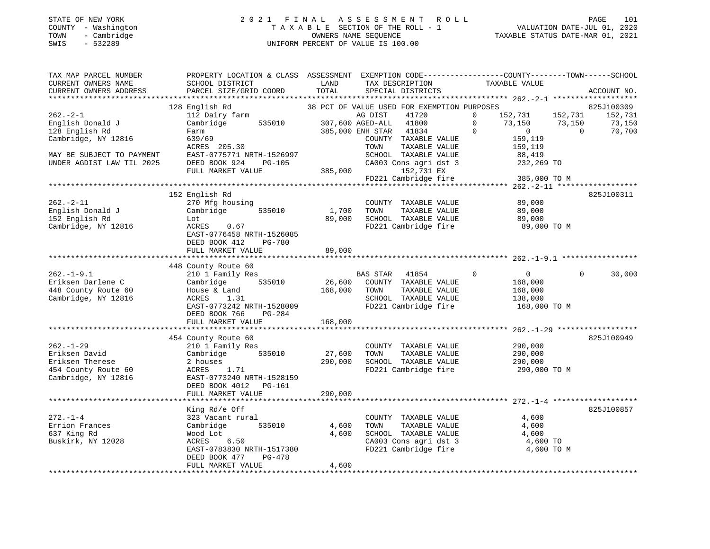#### STATE OF NEW YORK 2 0 2 1 F I N A L A S S E S S M E N T R O L L PAGE 101 COUNTY - Washington T A X A B L E SECTION OF THE ROLL - 1 VALUATION DATE-JUL 01, 2020 TOWN - Cambridge OWNERS NAME SEQUENCE TAXABLE STATUS DATE-MAR 01, 2021 SWIS - 532289 UNIFORM PERCENT OF VALUE IS 100.00UNIFORM PERCENT OF VALUE IS 100.00

| TAX MAP PARCEL NUMBER<br>CURRENT OWNERS NAME<br>CURRENT OWNERS ADDRESS | PROPERTY LOCATION & CLASS ASSESSMENT<br>SCHOOL DISTRICT<br>PARCEL SIZE/GRID COORD | LAND<br>TOTAL | EXEMPTION CODE-----------------COUNTY-------TOWN------SCHOOL<br>TAX DESCRIPTION<br>SPECIAL DISTRICTS | TAXABLE VALUE                                  | ACCOUNT NO.        |
|------------------------------------------------------------------------|-----------------------------------------------------------------------------------|---------------|------------------------------------------------------------------------------------------------------|------------------------------------------------|--------------------|
| *************************                                              |                                                                                   |               |                                                                                                      |                                                |                    |
|                                                                        | 128 English Rd                                                                    |               | 38 PCT OF VALUE USED FOR EXEMPTION PURPOSES                                                          |                                                | 825J100309         |
| $262 - 2 - 1$                                                          | 112 Dairy farm                                                                    |               | AG DIST<br>41720                                                                                     | $\mathbf 0$<br>152,731                         | 152,731<br>152,731 |
| English Donald J                                                       | Cambridge<br>535010                                                               |               | 307,600 AGED-ALL<br>41800                                                                            | $\mathbf 0$<br>73,150                          | 73,150<br>73,150   |
| 128 English Rd                                                         | Farm                                                                              |               | 385,000 ENH STAR<br>41834                                                                            | $\Omega$<br>$\mathbf{0}$                       | $\Omega$<br>70,700 |
| Cambridge, NY 12816                                                    | 639/69                                                                            |               | COUNTY TAXABLE VALUE                                                                                 | 159,119                                        |                    |
|                                                                        | ACRES 205.30                                                                      |               | TOWN<br>TAXABLE VALUE                                                                                | 159,119                                        |                    |
| MAY BE SUBJECT TO PAYMENT                                              | EAST-0775771 NRTH-1526997                                                         |               | SCHOOL TAXABLE VALUE                                                                                 | 88,419                                         |                    |
| UNDER AGDIST LAW TIL 2025                                              | DEED BOOK 924<br>$PG-105$                                                         |               | CA003 Cons agri dst 3                                                                                | 232,269 TO                                     |                    |
|                                                                        | FULL MARKET VALUE                                                                 | 385,000       | 152,731 EX                                                                                           |                                                |                    |
|                                                                        |                                                                                   |               | FD221 Cambridge fire                                                                                 | 385,000 TO M                                   |                    |
|                                                                        |                                                                                   |               |                                                                                                      |                                                |                    |
|                                                                        | 152 English Rd                                                                    |               |                                                                                                      |                                                | 825J100311         |
| $262. - 2 - 11$                                                        | 270 Mfg housing                                                                   |               | COUNTY TAXABLE VALUE                                                                                 | 89,000                                         |                    |
| English Donald J                                                       | 535010<br>Cambridge                                                               | 1,700         | TOWN<br>TAXABLE VALUE                                                                                | 89,000                                         |                    |
| 152 English Rd                                                         | Lot                                                                               | 89,000        | SCHOOL TAXABLE VALUE                                                                                 | 89,000                                         |                    |
| Cambridge, NY 12816                                                    | 0.67<br>ACRES                                                                     |               | FD221 Cambridge fire                                                                                 | 89,000 TO M                                    |                    |
|                                                                        | EAST-0776458 NRTH-1526085                                                         |               |                                                                                                      |                                                |                    |
|                                                                        | DEED BOOK 412<br><b>PG-780</b>                                                    |               |                                                                                                      |                                                |                    |
|                                                                        | FULL MARKET VALUE                                                                 | 89,000        |                                                                                                      |                                                |                    |
|                                                                        | 448 County Route 60                                                               |               |                                                                                                      |                                                |                    |
| $262. - 1 - 9.1$                                                       | 210 1 Family Res                                                                  |               | BAS STAR<br>41854                                                                                    | $\mathbf 0$<br>$\overline{0}$                  | $\Omega$<br>30,000 |
| Eriksen Darlene C                                                      | Cambridge<br>535010                                                               | 26,600        | COUNTY TAXABLE VALUE                                                                                 | 168,000                                        |                    |
| 448 County Route 60                                                    | House & Land                                                                      | 168,000       | TAXABLE VALUE<br>TOWN                                                                                | 168,000                                        |                    |
| Cambridge, NY 12816                                                    | ACRES<br>1.31                                                                     |               | SCHOOL TAXABLE VALUE                                                                                 | 138,000                                        |                    |
|                                                                        | EAST-0773242 NRTH-1528009                                                         |               | FD221 Cambridge fire                                                                                 | 168,000 TO M                                   |                    |
|                                                                        | DEED BOOK 766<br>$PG-284$                                                         |               |                                                                                                      |                                                |                    |
|                                                                        | FULL MARKET VALUE                                                                 | 168,000       |                                                                                                      |                                                |                    |
|                                                                        | *********************                                                             |               |                                                                                                      | *********************** 262.-1-29 ************ |                    |
|                                                                        | 454 County Route 60                                                               |               |                                                                                                      |                                                | 825J100949         |
| $262. - 1 - 29$                                                        | 210 1 Family Res                                                                  |               | COUNTY TAXABLE VALUE                                                                                 | 290,000                                        |                    |
| Eriksen David                                                          | Cambridge<br>535010                                                               | 27,600        | TAXABLE VALUE<br>TOWN                                                                                | 290,000                                        |                    |
| Eriksen Therese                                                        | 2 houses                                                                          | 290,000       | SCHOOL TAXABLE VALUE                                                                                 | 290,000                                        |                    |
| 454 County Route 60                                                    | ACRES<br>1.71                                                                     |               | FD221 Cambridge fire                                                                                 | 290,000 TO M                                   |                    |
| Cambridge, NY 12816                                                    | EAST-0773240 NRTH-1528159                                                         |               |                                                                                                      |                                                |                    |
|                                                                        | DEED BOOK 4012<br>PG-161                                                          |               |                                                                                                      |                                                |                    |
|                                                                        | FULL MARKET VALUE                                                                 | 290,000       |                                                                                                      |                                                |                    |
|                                                                        | ********************                                                              | ***********   |                                                                                                      |                                                |                    |
|                                                                        | King Rd/e Off                                                                     |               |                                                                                                      |                                                | 825J100857         |
| $272. - 1 - 4$                                                         | 323 Vacant rural                                                                  |               | COUNTY TAXABLE VALUE                                                                                 | 4,600                                          |                    |
| Errion Frances                                                         | Cambridge<br>535010                                                               | 4,600         | TOWN<br>TAXABLE VALUE                                                                                | 4,600                                          |                    |
| 637 King Rd                                                            | Wood Lot                                                                          | 4,600         | SCHOOL TAXABLE VALUE                                                                                 | 4,600                                          |                    |
| Buskirk, NY 12028                                                      | 6.50<br>ACRES                                                                     |               | CA003 Cons agri dst 3                                                                                | 4,600 TO                                       |                    |
|                                                                        | EAST-0783830 NRTH-1517380                                                         |               | FD221 Cambridge fire                                                                                 | 4,600 TO M                                     |                    |
|                                                                        | DEED BOOK 477<br>$PG-478$                                                         |               |                                                                                                      |                                                |                    |
|                                                                        | FULL MARKET VALUE                                                                 | 4,600         |                                                                                                      |                                                |                    |
|                                                                        |                                                                                   |               |                                                                                                      |                                                |                    |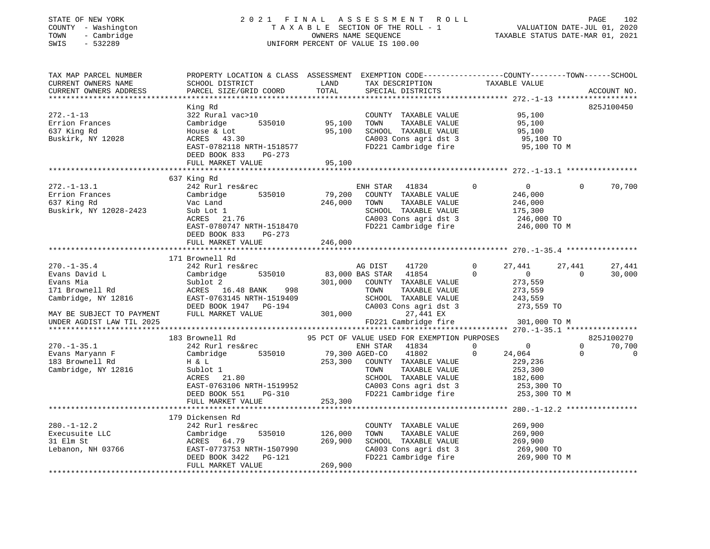| STATE OF NEW YORK<br>COUNTY - Washington<br>- Cambridge<br>TOWN<br>$-532289$<br>SWIS                                                                                                                                                                                         |                                                                                                                                                                                                                                          |                | 1 FINAL ASSESSMENT ROLL PAGE 102<br>TAXABLE SECTION OF THE ROLL - 1 VALUATION DATE-JUL 01, 2020<br>OWNERS NAME SEQUENCE TAXABLE STATUS DATE-MAR 01, 2021<br>UNIFORM PERCENT OF VALUE IS 100.00<br>2021 FINAL ASSESSMENT ROLL<br>UNIFORM PERCENT OF VALUE IS 100.00 |                                  |                |             |
|------------------------------------------------------------------------------------------------------------------------------------------------------------------------------------------------------------------------------------------------------------------------------|------------------------------------------------------------------------------------------------------------------------------------------------------------------------------------------------------------------------------------------|----------------|--------------------------------------------------------------------------------------------------------------------------------------------------------------------------------------------------------------------------------------------------------------------|----------------------------------|----------------|-------------|
| TAX MAP PARCEL NUMBER<br>CURRENT OWNERS NAME<br>CURRENT OWNERS ADDRESS                                                                                                                                                                                                       | PROPERTY LOCATION & CLASS ASSESSMENT EXEMPTION CODE---------------COUNTY-------TOWN-----SCHOOL<br>SCHOOL DISTRICT<br>PARCEL SIZE/GRID COORD                                                                                              | LAND<br>TOTAL  | TAX DESCRIPTION TAXABLE VALUE SPECIAL DISTRICTS<br>SPECIAL DISTRICTS                                                                                                                                                                                               |                                  |                | ACCOUNT NO. |
|                                                                                                                                                                                                                                                                              |                                                                                                                                                                                                                                          |                |                                                                                                                                                                                                                                                                    |                                  |                |             |
|                                                                                                                                                                                                                                                                              | King Rd                                                                                                                                                                                                                                  |                |                                                                                                                                                                                                                                                                    |                                  |                | 825J100450  |
| $272. - 1 - 13$                                                                                                                                                                                                                                                              | 322 Rural vac>10                                                                                                                                                                                                                         | 95,100         | COUNTY TAXABLE VALUE                                                                                                                                                                                                                                               | 95,100                           |                |             |
| Errion Frances                                                                                                                                                                                                                                                               | Cambridge 535010                                                                                                                                                                                                                         |                | TOWN<br>TAXABLE VALUE                                                                                                                                                                                                                                              | 95,100                           |                |             |
| 637 King Rd                                                                                                                                                                                                                                                                  | House & Lot<br>ACRES 43.30                                                                                                                                                                                                               | 95,100         | SCHOOL TAXABLE VALUE                                                                                                                                                                                                                                               | 95,100                           |                |             |
| Buskirk, NY 12028                                                                                                                                                                                                                                                            | EAST-0782118 NRTH-1518577                                                                                                                                                                                                                |                | CA003 Cons agri dst 3<br>FD221 Cambridge fire                                                                                                                                                                                                                      | 95,100 TO<br>95,100 TO M         |                |             |
|                                                                                                                                                                                                                                                                              | DEED BOOK 833 PG-273                                                                                                                                                                                                                     |                |                                                                                                                                                                                                                                                                    |                                  |                |             |
|                                                                                                                                                                                                                                                                              | FULL MARKET VALUE                                                                                                                                                                                                                        | 95,100         |                                                                                                                                                                                                                                                                    |                                  |                |             |
|                                                                                                                                                                                                                                                                              |                                                                                                                                                                                                                                          |                |                                                                                                                                                                                                                                                                    |                                  |                |             |
|                                                                                                                                                                                                                                                                              | 637 King Rd                                                                                                                                                                                                                              |                |                                                                                                                                                                                                                                                                    |                                  |                |             |
| $272. - 1 - 13.1$                                                                                                                                                                                                                                                            | 242 Rurl res&rec                                                                                                                                                                                                                         |                | ENH STAR 41834                                                                                                                                                                                                                                                     | $\mathbf{0}$<br>$\overline{0}$   | $\Omega$       | 70,700      |
|                                                                                                                                                                                                                                                                              | Cambridge 535010                                                                                                                                                                                                                         | 79,200         | COUNTY TAXABLE VALUE                                                                                                                                                                                                                                               | 246,000<br>246,000<br>175,300    |                |             |
| Errion Frances<br>637 King Rd                                                                                                                                                                                                                                                |                                                                                                                                                                                                                                          | 246,000        | TOWN<br>TAXABLE VALUE                                                                                                                                                                                                                                              |                                  |                |             |
| Buskirk, NY 12028-2423                                                                                                                                                                                                                                                       |                                                                                                                                                                                                                                          |                | SCHOOL TAXABLE VALUE                                                                                                                                                                                                                                               |                                  |                |             |
|                                                                                                                                                                                                                                                                              | Vac Land<br>Sub Lot 1<br>ACRES 21.76<br>DISC 11.77                                                                                                                                                                                       |                | CA003 Cons agri dst 3                                                                                                                                                                                                                                              |                                  |                |             |
|                                                                                                                                                                                                                                                                              | EAST-0780747 NRTH-1518470                                                                                                                                                                                                                |                | FD221 Cambridge fire                                                                                                                                                                                                                                               | 246,000 TO<br>246,000 TO M       |                |             |
|                                                                                                                                                                                                                                                                              | DEED BOOK 833 PG-273                                                                                                                                                                                                                     |                |                                                                                                                                                                                                                                                                    |                                  |                |             |
|                                                                                                                                                                                                                                                                              | FULL MARKET VALUE                                                                                                                                                                                                                        | 246,000        |                                                                                                                                                                                                                                                                    |                                  |                |             |
|                                                                                                                                                                                                                                                                              |                                                                                                                                                                                                                                          |                |                                                                                                                                                                                                                                                                    |                                  |                |             |
|                                                                                                                                                                                                                                                                              | 171 Brownell Rd                                                                                                                                                                                                                          |                |                                                                                                                                                                                                                                                                    |                                  |                |             |
| $270. - 1 - 35.4$                                                                                                                                                                                                                                                            | 242 Rurl res&rec                                                                                                                                                                                                                         |                | 41720<br>AG DIST                                                                                                                                                                                                                                                   | $\Omega$<br>27,441               | 27,441         | 27,441      |
|                                                                                                                                                                                                                                                                              |                                                                                                                                                                                                                                          |                |                                                                                                                                                                                                                                                                    | $\overline{0}$                   | $\overline{0}$ | 30,000      |
|                                                                                                                                                                                                                                                                              |                                                                                                                                                                                                                                          |                |                                                                                                                                                                                                                                                                    | 273,559                          |                |             |
|                                                                                                                                                                                                                                                                              |                                                                                                                                                                                                                                          |                |                                                                                                                                                                                                                                                                    | 273,559                          |                |             |
|                                                                                                                                                                                                                                                                              |                                                                                                                                                                                                                                          |                |                                                                                                                                                                                                                                                                    |                                  |                |             |
|                                                                                                                                                                                                                                                                              | 242 Ruri Tesarec<br>Cambridge 535010 83,000 BAS STAR 41854 0<br>Sublot 2 301,000 COUNTY TAXABLE VALUE<br>RCRES 16.48 BANK 998 TOWN TAXABLE VALUE<br>EAST-0763145 NRTH-1519409 SCHOOL TAXABLE VALUE<br>DEED BOOK 1947 PG-194 CA003 Cons a |                |                                                                                                                                                                                                                                                                    | 243,559<br>273,559 TO            |                |             |
| MAY BE SUBJECT TO PAYMENT                                                                                                                                                                                                                                                    | FULL MARKET VALUE                                                                                                                                                                                                                        |                | 301,000<br>27,441 EX                                                                                                                                                                                                                                               |                                  |                |             |
| UNDER AGDIST LAW TIL 2025                                                                                                                                                                                                                                                    |                                                                                                                                                                                                                                          |                | FD221 Cambridge fire 301,000 TO M                                                                                                                                                                                                                                  |                                  |                |             |
|                                                                                                                                                                                                                                                                              |                                                                                                                                                                                                                                          |                |                                                                                                                                                                                                                                                                    |                                  |                |             |
|                                                                                                                                                                                                                                                                              | 183 Brownell Rd                                                                                                                                                                                                                          |                | 95 PCT OF VALUE USED FOR EXEMPTION PURPOSES                                                                                                                                                                                                                        |                                  |                | 825J100270  |
| $270. - 1 - 35.1$                                                                                                                                                                                                                                                            | 242 Rurl res&rec                                                                                                                                                                                                                         |                | ENH STAR 41834                                                                                                                                                                                                                                                     | $\overline{0}$<br>$\overline{0}$ | $\Omega$       | 70,700      |
| Evans Maryann F                                                                                                                                                                                                                                                              | Cambridge 535010                                                                                                                                                                                                                         | 79,300 AGED-CO | 41802                                                                                                                                                                                                                                                              | $\mathbf 0$<br>24,064            | $\overline{0}$ | $\mathbf 0$ |
| 183 Brownell Rd                                                                                                                                                                                                                                                              | H & L                                                                                                                                                                                                                                    |                | 253,300 COUNTY TAXABLE VALUE                                                                                                                                                                                                                                       | 229,236                          |                |             |
| Cambridge, NY 12816                                                                                                                                                                                                                                                          | Sublot 1                                                                                                                                                                                                                                 |                | TAXABLE VALUE<br>TOWN                                                                                                                                                                                                                                              | 253,300                          |                |             |
|                                                                                                                                                                                                                                                                              | ACRES 21.80                                                                                                                                                                                                                              |                | SCHOOL TAXABLE VALUE                                                                                                                                                                                                                                               |                                  |                |             |
|                                                                                                                                                                                                                                                                              |                                                                                                                                                                                                                                          |                | CA003 Cons agri dst 3                                                                                                                                                                                                                                              | 182,600<br>253,300 TO            |                |             |
|                                                                                                                                                                                                                                                                              | DEED BOOK 551 PG-310                                                                                                                                                                                                                     |                | FD221 Cambridge fire                                                                                                                                                                                                                                               | 253,300 TO M                     |                |             |
|                                                                                                                                                                                                                                                                              | FULL MARKET VALUE                                                                                                                                                                                                                        | 253,300        |                                                                                                                                                                                                                                                                    |                                  |                |             |
|                                                                                                                                                                                                                                                                              |                                                                                                                                                                                                                                          |                |                                                                                                                                                                                                                                                                    |                                  |                |             |
|                                                                                                                                                                                                                                                                              | 179 Dickensen Rd                                                                                                                                                                                                                         |                |                                                                                                                                                                                                                                                                    |                                  |                |             |
| $280. - 1 - 12.2$                                                                                                                                                                                                                                                            | 242 Rurl res&rec                                                                                                                                                                                                                         |                | COUNTY TAXABLE VALUE                                                                                                                                                                                                                                               | 269,900                          |                |             |
|                                                                                                                                                                                                                                                                              |                                                                                                                                                                                                                                          | 535010 126,000 | TOWN<br>TAXABLE VALUE                                                                                                                                                                                                                                              | 269,900                          |                |             |
|                                                                                                                                                                                                                                                                              |                                                                                                                                                                                                                                          | 269,900        | SCHOOL TAXABLE VALUE                                                                                                                                                                                                                                               | 269,900                          |                |             |
| Execusuite LLC<br>31 Elm St<br>Lebanon, NH 03766<br>Lebanon, NH 03766<br>CARES<br>EAST-0773753 NRTH-150799<br>CARES<br>CARES<br>CARES<br>CARES<br>CARES<br>CARES<br>CARES<br>CARES<br>CARES<br>CARES<br>CARES<br>CARES<br>CARES<br>CARES<br>CARES<br>CARES<br>CARES<br>CARES | EAST-0773753 NRTH-1507990                                                                                                                                                                                                                |                | CA003 Cons agri dst 3                                                                                                                                                                                                                                              | 269,900 TO                       |                |             |
|                                                                                                                                                                                                                                                                              | DEED BOOK 3422 PG-121                                                                                                                                                                                                                    |                | FD221 Cambridge fire                                                                                                                                                                                                                                               | 269,900 TO M                     |                |             |
|                                                                                                                                                                                                                                                                              | FULL MARKET VALUE                                                                                                                                                                                                                        | 269,900        |                                                                                                                                                                                                                                                                    |                                  |                |             |
|                                                                                                                                                                                                                                                                              |                                                                                                                                                                                                                                          |                |                                                                                                                                                                                                                                                                    |                                  |                |             |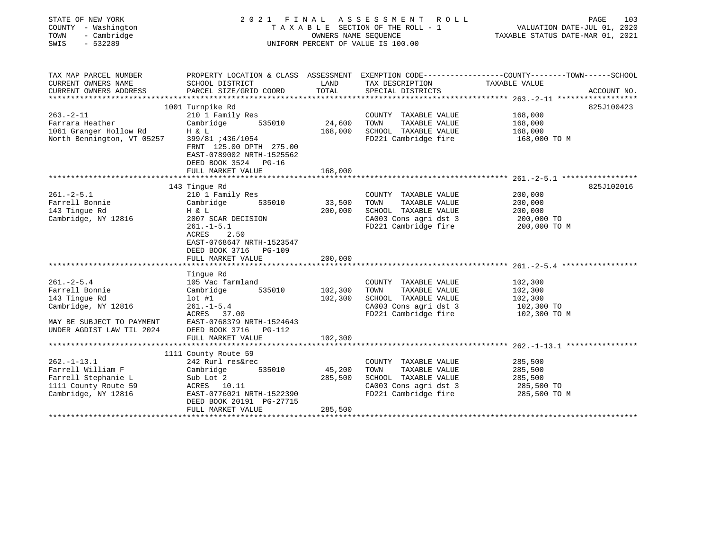| STATE OF NEW YORK<br>COUNTY - Washington<br>TOWN<br>- Cambridge<br>$-532289$<br>SWIS | 2021<br>FINAL<br>TAXABLE SECTION OF THE ROLL - 1<br>UNIFORM PERCENT OF VALUE IS 100.00                      | 103<br>PAGE<br>VALUATION DATE-JUL 01, 2020<br>TAXABLE STATUS DATE-MAR 01, 2021 |                       |                                                                                                                 |  |
|--------------------------------------------------------------------------------------|-------------------------------------------------------------------------------------------------------------|--------------------------------------------------------------------------------|-----------------------|-----------------------------------------------------------------------------------------------------------------|--|
| TAX MAP PARCEL NUMBER<br>CURRENT OWNERS NAME                                         | SCHOOL DISTRICT                                                                                             | LAND                                                                           | TAX DESCRIPTION       | PROPERTY LOCATION & CLASS ASSESSMENT EXEMPTION CODE---------------COUNTY-------TOWN-----SCHOOL<br>TAXABLE VALUE |  |
| CURRENT OWNERS ADDRESS                                                               | PARCEL SIZE/GRID COORD                                                                                      | TOTAL                                                                          | SPECIAL DISTRICTS     | ACCOUNT NO.                                                                                                     |  |
|                                                                                      |                                                                                                             |                                                                                |                       |                                                                                                                 |  |
|                                                                                      | 1001 Turnpike Rd                                                                                            |                                                                                |                       | 825J100423                                                                                                      |  |
| $263. -2 - 11$                                                                       | 210 1 Family Res                                                                                            |                                                                                | COUNTY TAXABLE VALUE  | 168,000                                                                                                         |  |
| Farrara Heather                                                                      | Cambridge 535010                                                                                            | 24,600                                                                         | TOWN<br>TAXABLE VALUE | 168,000                                                                                                         |  |
| 1061 Granger Hollow Rd                                                               | H & L                                                                                                       | 168,000                                                                        | SCHOOL TAXABLE VALUE  | 168,000                                                                                                         |  |
| North Bennington, VT 05257                                                           | FRNT 125.00 DPTH 275.00<br>EAST-0789002 NRTH-1525562<br>DEED BOOK 3524 PG-16<br>FULL MARKET VALUE           | 168,000                                                                        | FD221 Cambridge fire  | 168,000 TO M                                                                                                    |  |
|                                                                                      |                                                                                                             |                                                                                |                       |                                                                                                                 |  |
|                                                                                      | 143 Tingue Rd                                                                                               |                                                                                |                       | 825J102016                                                                                                      |  |
| $261 - 2 - 5.1$                                                                      | 210 1 Family Res                                                                                            |                                                                                | COUNTY TAXABLE VALUE  | 200,000                                                                                                         |  |
| Farrell Bonnie                                                                       | Cambridge<br>535010                                                                                         | 33,500                                                                         | TOWN<br>TAXABLE VALUE | 200,000                                                                                                         |  |
| 143 Tingue Rd                                                                        | H & L                                                                                                       | 200,000                                                                        | SCHOOL TAXABLE VALUE  | 200,000                                                                                                         |  |
| Cambridge, NY 12816                                                                  | 2007 SCAR DECISION                                                                                          |                                                                                | CA003 Cons agri dst 3 | 200,000 TO                                                                                                      |  |
|                                                                                      | $261. -1 - 5.1$<br>2.50<br>ACRES<br>EAST-0768647 NRTH-1523547<br>DEED BOOK 3716 PG-109<br>FULL MARKET VALUE | 200,000                                                                        | FD221 Cambridge fire  | 200,000 TO M                                                                                                    |  |
|                                                                                      | Tingue Rd                                                                                                   |                                                                                |                       |                                                                                                                 |  |
| $261. - 2 - 5.4$                                                                     | 105 Vac farmland                                                                                            |                                                                                | COUNTY TAXABLE VALUE  | 102,300                                                                                                         |  |
| Farrell Bonnie                                                                       | Cambridge<br>535010                                                                                         | 102,300                                                                        | TAXABLE VALUE<br>TOWN | 102,300                                                                                                         |  |
| 143 Tingue Rd                                                                        | $lot$ #1                                                                                                    | 102,300                                                                        | SCHOOL TAXABLE VALUE  | 102,300                                                                                                         |  |
| Cambridge, NY 12816                                                                  | $261. -1 - 5.4$                                                                                             |                                                                                | CA003 Cons agri dst 3 | 102,300 TO                                                                                                      |  |
|                                                                                      | ACRES 37.00                                                                                                 |                                                                                | FD221 Cambridge fire  | 102,300 TO M                                                                                                    |  |
| MAY BE SUBJECT TO PAYMENT                                                            | EAST-0768379 NRTH-1524643                                                                                   |                                                                                |                       |                                                                                                                 |  |
| UNDER AGDIST LAW TIL 2024                                                            | DEED BOOK 3716 PG-112                                                                                       |                                                                                |                       |                                                                                                                 |  |
|                                                                                      | FULL MARKET VALUE                                                                                           | 102,300                                                                        |                       |                                                                                                                 |  |
|                                                                                      |                                                                                                             |                                                                                |                       |                                                                                                                 |  |
|                                                                                      | 1111 County Route 59                                                                                        |                                                                                |                       |                                                                                                                 |  |
| $262. -1 - 13.1$                                                                     | 242 Rurl res&rec                                                                                            |                                                                                | COUNTY TAXABLE VALUE  | 285,500                                                                                                         |  |
| Farrell William F                                                                    | 535010<br>Cambridge                                                                                         | 45,200                                                                         | TAXABLE VALUE<br>TOWN | 285,500                                                                                                         |  |
| Farrell Stephanie L                                                                  | Sub Lot 2                                                                                                   | 285,500                                                                        | SCHOOL TAXABLE VALUE  | 285,500                                                                                                         |  |
| 1111 County Route 59                                                                 | ACRES 10.11                                                                                                 |                                                                                | CA003 Cons agri dst 3 | 285,500 TO                                                                                                      |  |
| Cambridge, NY 12816                                                                  | EAST-0776021 NRTH-1522390                                                                                   |                                                                                | FD221 Cambridge fire  | 285,500 TO M                                                                                                    |  |
|                                                                                      | DEED BOOK 20191 PG-27715                                                                                    |                                                                                |                       |                                                                                                                 |  |
|                                                                                      | FULL MARKET VALUE                                                                                           | 285,500                                                                        |                       |                                                                                                                 |  |
|                                                                                      |                                                                                                             |                                                                                |                       |                                                                                                                 |  |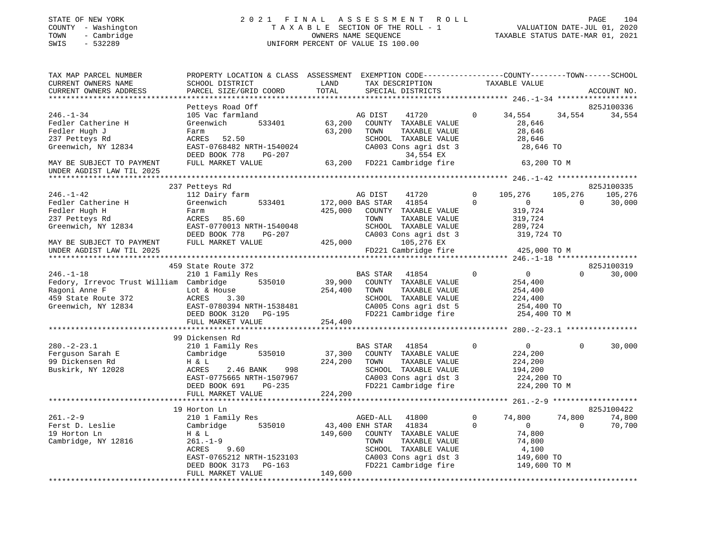#### STATE OF NEW YORK 2 0 2 1 F I N A L A S S E S S M E N T R O L L PAGE 104COUNTY - Washington T A X A B L E SECTION OF THE ROLL - 1 VALUATION DATE-JUL 01, 2020 UNIFORM PERCENT OF VALUE IS 100.00

VALUATION DATE-JUL 01, 2020 TAXABLE STATUS DATE-MAR 01, 2021

| TAX MAP PARCEL NUMBER                                  | PROPERTY LOCATION & CLASS ASSESSMENT EXEMPTION CODE----------------COUNTY-------TOWN-----SCHOOL |         |                           |              |                            |             |
|--------------------------------------------------------|-------------------------------------------------------------------------------------------------|---------|---------------------------|--------------|----------------------------|-------------|
| CURRENT OWNERS NAME                                    | SCHOOL DISTRICT                                                                                 | LAND    | TAX DESCRIPTION           |              | TAXABLE VALUE              |             |
| CURRENT OWNERS ADDRESS                                 | PARCEL SIZE/GRID COORD                                                                          | TOTAL   | SPECIAL DISTRICTS         |              |                            | ACCOUNT NO. |
|                                                        |                                                                                                 |         |                           |              |                            |             |
|                                                        | Petteys Road Off                                                                                |         |                           |              |                            | 825J100336  |
| $246. - 1 - 34$                                        | 105 Vac farmland                                                                                |         | AG DIST<br>41720          | $\Omega$     | 34,554<br>34,554           | 34,554      |
| Fedler Catherine H                                     | 533401<br>Greenwich                                                                             | 63,200  | COUNTY TAXABLE VALUE      |              | 28,646                     |             |
| Fedler Hugh J                                          | Farm                                                                                            | 63,200  | TOWN<br>TAXABLE VALUE     |              | 28,646                     |             |
| 237 Petteys Rd                                         | ACRES 52.50                                                                                     |         | SCHOOL TAXABLE VALUE      |              | 28,646                     |             |
| Greenwich, NY 12834                                    | EAST-0768482 NRTH-1540024                                                                       |         | CA003 Cons agri dst 3     |              | 28,646 TO                  |             |
|                                                        | DEED BOOK 778<br>PG-207                                                                         |         | 34,554 EX                 |              |                            |             |
| MAY BE SUBJECT TO PAYMENT<br>UNDER AGDIST LAW TIL 2025 | FULL MARKET VALUE                                                                               | 63,200  | FD221 Cambridge fire      |              | 63,200 TO M                |             |
|                                                        |                                                                                                 |         |                           |              |                            |             |
|                                                        | 237 Petteys Rd                                                                                  |         |                           |              |                            | 825J100335  |
| $246. - 1 - 42$                                        | 112 Dairy farm                                                                                  |         | AG DIST<br>41720          | $\mathbf 0$  | 105,276<br>105,276         | 105,276     |
| Fedler Catherine H                                     | Greenwich<br>533401                                                                             |         | 172,000 BAS STAR<br>41854 | $\Omega$     | $\overline{0}$<br>$\Omega$ | 30,000      |
| Fedler Hugh H                                          | Farm                                                                                            | 425,000 | COUNTY TAXABLE VALUE      |              | 319,724                    |             |
| 237 Petteys Rd                                         | ACRES 85.60                                                                                     |         | TOWN<br>TAXABLE VALUE     |              | 319,724                    |             |
| Greenwich, NY 12834                                    | EAST-0770013 NRTH-1540048                                                                       |         | SCHOOL TAXABLE VALUE      |              | 289,724                    |             |
|                                                        | DEED BOOK 778<br>PG-207                                                                         |         | CA003 Cons agri dst 3     |              | 319,724 TO                 |             |
| MAY BE SUBJECT TO PAYMENT                              | FULL MARKET VALUE                                                                               | 425,000 | 105,276 EX                |              |                            |             |
| UNDER AGDIST LAW TIL 2025                              |                                                                                                 |         | FD221 Cambridge fire      |              | 425,000 TO M               |             |
|                                                        |                                                                                                 |         |                           |              |                            |             |
|                                                        | 459 State Route 372                                                                             |         |                           |              |                            | 825J100319  |
| $246. - 1 - 18$                                        | 210 1 Family Res                                                                                |         | <b>BAS STAR</b><br>41854  | $\mathbf{0}$ | $\overline{0}$<br>$\Omega$ | 30,000      |
| Fedory, Irrevoc Trust William Cambridge 535010         |                                                                                                 | 39,900  | COUNTY TAXABLE VALUE      |              | 254,400                    |             |
| Ragoni Anne F                                          | Lot & House                                                                                     | 254,400 | TAXABLE VALUE<br>TOWN     |              | 254,400                    |             |
| 459 State Route 372                                    | ACRES<br>3.30                                                                                   |         | SCHOOL TAXABLE VALUE      |              | 224,400                    |             |
| Greenwich, NY 12834                                    | EAST-0780394 NRTH-1538481                                                                       |         | CA005 Cons agri dst 5     |              | 254,400 TO                 |             |
|                                                        | DEED BOOK 3120 PG-195                                                                           |         | FD221 Cambridge fire      |              | 254,400 TO M               |             |
|                                                        | FULL MARKET VALUE                                                                               | 254,400 |                           |              |                            |             |
|                                                        |                                                                                                 |         |                           |              |                            |             |
|                                                        | 99 Dickensen Rd                                                                                 |         |                           |              |                            |             |
| $280. - 2 - 23.1$                                      | 210 1 Family Res                                                                                |         | 41854<br><b>BAS STAR</b>  | $\Omega$     | $\overline{0}$<br>$\Omega$ | 30,000      |
| Ferguson Sarah E                                       | 535010<br>Cambridge                                                                             | 37,300  | COUNTY TAXABLE VALUE      |              | 224,200                    |             |
| 99 Dickensen Rd                                        | H & L                                                                                           | 224,200 | TOWN<br>TAXABLE VALUE     |              | 224,200                    |             |
| Buskirk, NY 12028                                      | ACRES<br>2.46 BANK<br>998                                                                       |         | SCHOOL TAXABLE VALUE      |              | 194,200                    |             |
|                                                        | EAST-0775665 NRTH-1507967                                                                       |         | CA003 Cons agri dst 3     |              | 224,200 TO                 |             |
|                                                        | $PG-235$<br>DEED BOOK 691                                                                       |         | FD221 Cambridge fire      |              | 224,200 TO M               |             |
|                                                        | FULL MARKET VALUE                                                                               | 224,200 |                           |              |                            |             |
|                                                        |                                                                                                 |         |                           |              |                            |             |
|                                                        | 19 Horton Ln                                                                                    |         |                           |              |                            | 825J100422  |
| $261. - 2 - 9$                                         | 210 1 Family Res                                                                                |         | AGED-ALL<br>41800         | $\Omega$     | 74,800<br>74,800           | 74,800      |
| Ferst D. Leslie                                        | 535010<br>Cambridge                                                                             |         | 43,400 ENH STAR<br>41834  | $\mathbf 0$  | $\overline{0}$<br>$\Omega$ | 70,700      |
| 19 Horton Ln                                           | H & L                                                                                           | 149,600 | COUNTY TAXABLE VALUE      |              | 74,800                     |             |
| Cambridge, NY 12816                                    | $261. - 1 - 9$                                                                                  |         | TOWN<br>TAXABLE VALUE     |              | 74,800                     |             |
|                                                        | ACRES<br>9.60                                                                                   |         | SCHOOL TAXABLE VALUE      |              | 4,100                      |             |
|                                                        | EAST-0765212 NRTH-1523103                                                                       |         | CA003 Cons agri dst 3     |              | 149,600 TO                 |             |
|                                                        | DEED BOOK 3173 PG-163                                                                           |         | FD221 Cambridge fire      |              | 149,600 TO M               |             |
|                                                        | FULL MARKET VALUE                                                                               | 149,600 |                           |              |                            |             |
|                                                        |                                                                                                 |         |                           |              |                            |             |
|                                                        |                                                                                                 |         |                           |              |                            |             |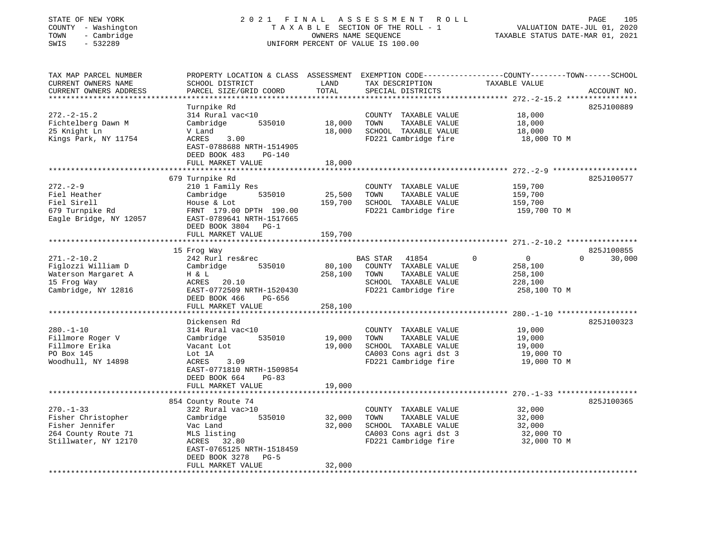| STATE OF NEW YORK<br>COUNTY - Washington<br>- Cambridge<br>TOWN<br>$-532289$<br>SWIS                    | 2021 FINAL                                                                                                                                                        |                            | A S S E S S M E N T<br>ROLL<br>TAXABLE SECTION OF THE ROLL - 1<br>OWNERS NAME SEQUENCE<br>UNIFORM PERCENT OF VALUE IS 100.00 | VALUATION DATE-JUL 01, 2020<br>TAXABLE STATUS DATE-MAR 01, 2021             | PAGE<br>105                      |
|---------------------------------------------------------------------------------------------------------|-------------------------------------------------------------------------------------------------------------------------------------------------------------------|----------------------------|------------------------------------------------------------------------------------------------------------------------------|-----------------------------------------------------------------------------|----------------------------------|
| TAX MAP PARCEL NUMBER<br>CURRENT OWNERS NAME<br>CURRENT OWNERS ADDRESS                                  | PROPERTY LOCATION & CLASS ASSESSMENT EXEMPTION CODE----------------COUNTY-------TOWN-----SCHOOL<br>SCHOOL DISTRICT<br>PARCEL SIZE/GRID COORD                      | LAND<br>TOTAL              | TAX DESCRIPTION<br>SPECIAL DISTRICTS                                                                                         | TAXABLE VALUE                                                               | ACCOUNT NO.                      |
| $272. - 2 - 15.2$<br>Fichtelberg Dawn M<br>25 Knight Ln<br>Kings Park, NY 11754                         | Turnpike Rd<br>314 Rural vac<10<br>535010<br>Cambridge<br>V Land<br>ACRES<br>3.00<br>EAST-0788688 NRTH-1514905<br>DEED BOOK 483<br>$PG-140$<br>FULL MARKET VALUE  | 18,000<br>18,000<br>18,000 | COUNTY TAXABLE VALUE<br>TOWN<br>TAXABLE VALUE<br>SCHOOL TAXABLE VALUE<br>FD221 Cambridge fire                                | 18,000<br>18,000<br>18,000<br>18,000 TO M                                   | 825J100889                       |
|                                                                                                         |                                                                                                                                                                   |                            |                                                                                                                              |                                                                             |                                  |
| $272 - 2 - 9$<br>Fiel Heather<br>Fiel Sirell<br>679 Turnpike Rd<br>Eagle Bridge, NY 12057               | 679 Turnpike Rd<br>210 1 Family Res<br>Cambridge<br>535010<br>House & Lot<br>FRNT 179.00 DPTH 190.00<br>EAST-0789641 NRTH-1517665<br>DEED BOOK 3804 PG-1          | 25,500<br>159,700          | COUNTY TAXABLE VALUE<br>TAXABLE VALUE<br>TOWN<br>SCHOOL TAXABLE VALUE<br>FD221 Cambridge fire                                | 159,700<br>159,700<br>159,700<br>159,700 TO M                               | 825J100577                       |
|                                                                                                         | FULL MARKET VALUE                                                                                                                                                 | 159,700                    |                                                                                                                              |                                                                             |                                  |
|                                                                                                         |                                                                                                                                                                   |                            |                                                                                                                              |                                                                             |                                  |
| $271. - 2 - 10.2$<br>Figlozzi William D<br>Waterson Margaret A<br>15 Frog Way<br>Cambridge, NY 12816    | 15 Frog Way<br>242 Rurl res&rec<br>Cambridge<br>535010<br>H & L<br>ACRES<br>20.10<br>EAST-0772509 NRTH-1520430<br>DEED BOOK 466<br>PG-656                         | 80,100<br>258,100          | BAS STAR 41854<br>COUNTY TAXABLE VALUE<br>TAXABLE VALUE<br>TOWN<br>SCHOOL TAXABLE VALUE<br>FD221 Cambridge fire              | $\Omega$<br>$\overline{0}$<br>258,100<br>258,100<br>228,100<br>258,100 TO M | 825J100855<br>$\Omega$<br>30,000 |
|                                                                                                         | FULL MARKET VALUE                                                                                                                                                 | 258,100                    |                                                                                                                              |                                                                             |                                  |
|                                                                                                         | *****************                                                                                                                                                 |                            |                                                                                                                              |                                                                             |                                  |
| $280. - 1 - 10$<br>Fillmore Roger V<br>Fillmore Erika<br>PO Box 145<br>Woodhull, NY 14898               | Dickensen Rd<br>314 Rural vac<10<br>Cambridge<br>535010<br>Vacant Lot<br>Lot 1A<br>ACRES<br>3.09<br>EAST-0771810 NRTH-1509854<br>DEED BOOK 664<br>$PG-83$         | 19,000<br>19,000           | COUNTY TAXABLE VALUE<br>TOWN<br>TAXABLE VALUE<br>SCHOOL TAXABLE VALUE<br>CA003 Cons agri dst 3<br>FD221 Cambridge fire       | 19,000<br>19,000<br>19,000<br>19,000 TO<br>19,000 TO M                      | 825J100323                       |
|                                                                                                         | FULL MARKET VALUE                                                                                                                                                 | 19,000                     |                                                                                                                              |                                                                             |                                  |
| $270. - 1 - 33$<br>Fisher Christopher<br>Fisher Jennifer<br>264 County Route 71<br>Stillwater, NY 12170 | 854 County Route 74<br>322 Rural vac>10<br>Cambridge<br>535010<br>Vac Land<br>MLS listing<br>ACRES 32.80<br>EAST-0765125 NRTH-1518459<br>DEED BOOK 3278<br>$PG-5$ | 32,000<br>32,000           | COUNTY TAXABLE VALUE<br>TOWN<br>TAXABLE VALUE<br>SCHOOL TAXABLE VALUE<br>CA003 Cons agri dst 3<br>FD221 Cambridge fire       | 32,000<br>32,000<br>32,000<br>32,000 TO<br>32,000 TO M                      | 825J100365                       |

FULL MARKET VALUE 32,000 \*\*\*\*\*\*\*\*\*\*\*\*\*\*\*\*\*\*\*\*\*\*\*\*\*\*\*\*\*\*\*\*\*\*\*\*\*\*\*\*\*\*\*\*\*\*\*\*\*\*\*\*\*\*\*\*\*\*\*\*\*\*\*\*\*\*\*\*\*\*\*\*\*\*\*\*\*\*\*\*\*\*\*\*\*\*\*\*\*\*\*\*\*\*\*\*\*\*\*\*\*\*\*\*\*\*\*\*\*\*\*\*\*\*\*\*\*\*\*\*\*\*\*\*\*\*\*\*\*\*\*\*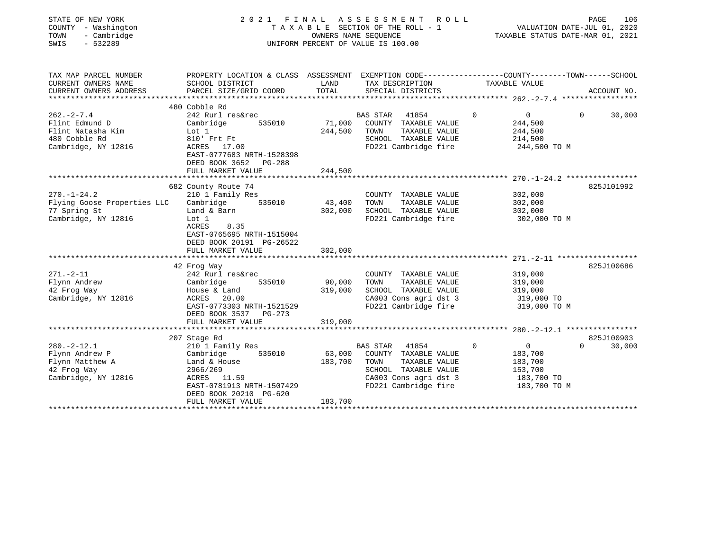| STATE OF NEW YORK<br>COUNTY - Washington<br>- Cambridge<br>TOWN<br>$-532289$<br>SWIS |                                                                                                  |         | 2021 FINAL ASSESSMENT<br>R O L L<br>TAXABLE SECTION OF THE ROLL - 1<br>OWNERS NAME SEOUENCE<br>UNIFORM PERCENT OF VALUE IS 100.00 |             | VALUATION DATE-JUL 01, 2020<br>TAXABLE STATUS DATE-MAR 01, 2021 | PAGE     | 106         |
|--------------------------------------------------------------------------------------|--------------------------------------------------------------------------------------------------|---------|-----------------------------------------------------------------------------------------------------------------------------------|-------------|-----------------------------------------------------------------|----------|-------------|
| TAX MAP PARCEL NUMBER                                                                | PROPERTY LOCATION & CLASS ASSESSMENT EXEMPTION CODE----------------COUNTY-------TOWN------SCHOOL |         |                                                                                                                                   |             |                                                                 |          |             |
| CURRENT OWNERS NAME                                                                  | SCHOOL DISTRICT                                                                                  | LAND    | TAX DESCRIPTION                                                                                                                   |             | TAXABLE VALUE                                                   |          |             |
| CURRENT OWNERS ADDRESS                                                               | PARCEL SIZE/GRID COORD                                                                           | TOTAL   | SPECIAL DISTRICTS                                                                                                                 |             |                                                                 |          | ACCOUNT NO. |
|                                                                                      | 480 Cobble Rd                                                                                    |         |                                                                                                                                   |             |                                                                 |          |             |
| $262. - 2 - 7.4$                                                                     | 242 Rurl res&rec                                                                                 |         | <b>BAS STAR</b><br>41854                                                                                                          | $\Omega$    | $\overline{0}$                                                  | $\Omega$ | 30,000      |
| Flint Edmund D                                                                       | Cambridge<br>535010                                                                              | 71,000  | COUNTY TAXABLE VALUE                                                                                                              |             | 244,500                                                         |          |             |
| Flint Natasha Kim                                                                    | Lot 1                                                                                            | 244,500 | TAXABLE VALUE<br>TOWN                                                                                                             |             | 244,500                                                         |          |             |
| 480 Cobble Rd                                                                        | 810' Frt Ft                                                                                      |         | SCHOOL TAXABLE VALUE                                                                                                              |             | 214,500                                                         |          |             |
| Cambridge, NY 12816                                                                  | ACRES 17.00                                                                                      |         | FD221 Cambridge fire                                                                                                              |             | 244,500 TO M                                                    |          |             |
|                                                                                      | EAST-0777683 NRTH-1528398                                                                        |         |                                                                                                                                   |             |                                                                 |          |             |
|                                                                                      | DEED BOOK 3652<br>PG-288                                                                         |         |                                                                                                                                   |             |                                                                 |          |             |
|                                                                                      | FULL MARKET VALUE                                                                                | 244,500 |                                                                                                                                   |             |                                                                 |          |             |
|                                                                                      | 682 County Route 74                                                                              |         |                                                                                                                                   |             |                                                                 |          | 825J101992  |
| $270. - 1 - 24.2$                                                                    | 210 1 Family Res                                                                                 |         | COUNTY TAXABLE VALUE                                                                                                              |             | 302,000                                                         |          |             |
| Flying Goose Properties LLC                                                          | Cambridge<br>535010                                                                              | 43,400  | TOWN<br>TAXABLE VALUE                                                                                                             |             | 302,000                                                         |          |             |
| 77 Spring St                                                                         | Land & Barn                                                                                      | 302,000 | SCHOOL TAXABLE VALUE                                                                                                              |             | 302,000                                                         |          |             |
| Cambridge, NY 12816                                                                  | Lot 1                                                                                            |         | FD221 Cambridge fire                                                                                                              |             | 302,000 TO M                                                    |          |             |
|                                                                                      | ACRES<br>8.35<br>EAST-0765695 NRTH-1515004<br>DEED BOOK 20191 PG-26522                           |         |                                                                                                                                   |             |                                                                 |          |             |
|                                                                                      | FULL MARKET VALUE                                                                                | 302,000 |                                                                                                                                   |             |                                                                 |          |             |
|                                                                                      |                                                                                                  |         |                                                                                                                                   |             |                                                                 |          |             |
|                                                                                      | 42 Frog Way                                                                                      |         |                                                                                                                                   |             |                                                                 |          | 825J100686  |
| $271. - 2 - 11$                                                                      | 242 Rurl res&rec                                                                                 |         | COUNTY TAXABLE VALUE                                                                                                              |             | 319,000                                                         |          |             |
| Flynn Andrew                                                                         | Cambridge<br>535010                                                                              | 90,000  | TOWN<br>TAXABLE VALUE                                                                                                             |             | 319,000                                                         |          |             |
| 42 Frog Way                                                                          | House & Land                                                                                     | 319,000 | SCHOOL TAXABLE VALUE                                                                                                              |             | 319,000                                                         |          |             |
| Cambridge, NY 12816                                                                  | ACRES<br>20.00                                                                                   |         | CA003 Cons agri dst 3                                                                                                             |             | 319,000 TO                                                      |          |             |
|                                                                                      | EAST-0773303 NRTH-1521529                                                                        |         | FD221 Cambridge fire                                                                                                              |             | 319,000 TO M                                                    |          |             |
|                                                                                      | DEED BOOK 3537 PG-273                                                                            |         |                                                                                                                                   |             |                                                                 |          |             |
|                                                                                      | FULL MARKET VALUE                                                                                | 319,000 |                                                                                                                                   |             |                                                                 |          |             |
|                                                                                      |                                                                                                  |         |                                                                                                                                   |             |                                                                 |          | 825J100903  |
| $280. -2 - 12.1$                                                                     | 207 Stage Rd<br>210 1 Family Res                                                                 |         | 41854<br>BAS STAR                                                                                                                 | $\mathbf 0$ | $\overline{0}$                                                  | $\Omega$ | 30,000      |
| Flynn Andrew P                                                                       | 535010<br>Cambridge                                                                              | 63,000  | COUNTY TAXABLE VALUE                                                                                                              |             | 183,700                                                         |          |             |
| Flynn Matthew A                                                                      | Land & House                                                                                     | 183,700 | TAXABLE VALUE<br>TOWN                                                                                                             |             | 183,700                                                         |          |             |
| 42 Frog Way                                                                          | 2966/269                                                                                         |         | SCHOOL TAXABLE VALUE                                                                                                              |             | 153,700                                                         |          |             |
| Cambridge, NY 12816                                                                  | ACRES 11.59                                                                                      |         | CA003 Cons agri dst 3                                                                                                             |             | 183,700 TO                                                      |          |             |
|                                                                                      | EAST-0781913 NRTH-1507429                                                                        |         | FD221 Cambridge fire                                                                                                              |             | 183,700 TO M                                                    |          |             |
|                                                                                      | DEED BOOK 20210 PG-620                                                                           |         |                                                                                                                                   |             |                                                                 |          |             |
|                                                                                      | FULL MARKET VALUE                                                                                | 183,700 |                                                                                                                                   |             |                                                                 |          |             |
|                                                                                      |                                                                                                  |         |                                                                                                                                   |             |                                                                 |          |             |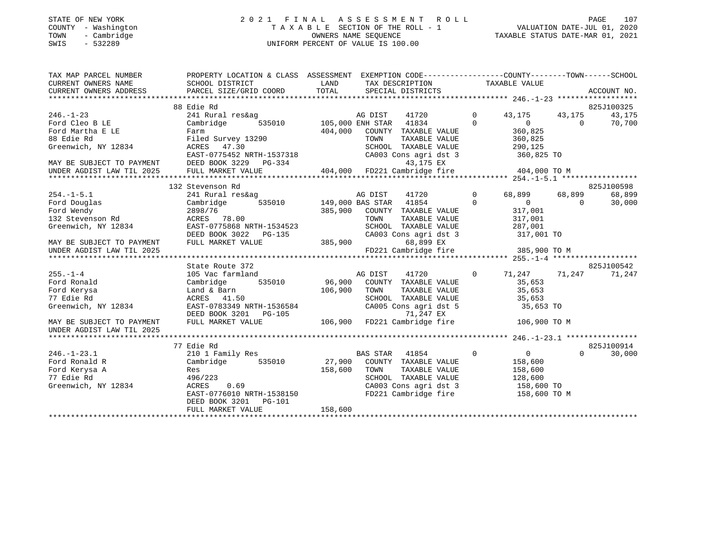#### STATE OF NEW YORK 2 0 2 1 F I N A L A S S E S S M E N T R O L L PAGE 107 COUNTY - Washington T A X A B L E SECTION OF THE ROLL - 1 VALUATION DATE-JUL 01, 2020 TOWN - Cambridge OWNERS NAME SEQUENCE TAXABLE STATUS DATE-MAR 01, 2021 SWIS - 532289 UNIFORM PERCENT OF VALUE IS 100.00

| TAX MAP PARCEL NUMBER<br>CURRENT OWNERS NAME<br>CURRENT OWNERS ADDRESS | PROPERTY LOCATION & CLASS ASSESSMENT EXEMPTION CODE---------------COUNTY-------TOWN------SCHOOL<br>SCHOOL DISTRICT<br>PARCEL SIZE/GRID COORD | LAND<br>TOTAL           | TAX DESCRIPTION<br>SPECIAL DISTRICTS      |                      | TAXABLE VALUE      |           | ACCOUNT NO. |
|------------------------------------------------------------------------|----------------------------------------------------------------------------------------------------------------------------------------------|-------------------------|-------------------------------------------|----------------------|--------------------|-----------|-------------|
|                                                                        |                                                                                                                                              |                         |                                           |                      |                    |           |             |
|                                                                        | 88 Edie Rd                                                                                                                                   |                         |                                           |                      |                    |           | 825J100325  |
| $246. - 1 - 23$                                                        | 241 Rural res&ag                                                                                                                             |                         | 41720<br>AG DIST                          | $\Omega$<br>$\Omega$ | 43, 175 43, 175    |           | 43,175      |
| Ford Cleo B LE                                                         | Cambridge                                                                                                                                    | 535010 105,000 ENH STAR | 41834                                     |                      | $\overline{0}$     | $\bigcap$ | 70,700      |
| Ford Martha E LE                                                       | Farm                                                                                                                                         | 404,000                 | COUNTY TAXABLE VALUE                      |                      | 360,825            |           |             |
| 88 Edie Rd                                                             | Filed Survey 13290                                                                                                                           |                         | TOWN<br>TAXABLE VALUE                     |                      | 360,825            |           |             |
| Greenwich, NY 12834                                                    | ACRES 47.30                                                                                                                                  |                         | SCHOOL TAXABLE VALUE                      |                      | 290, 125           |           |             |
|                                                                        | EAST-0775452 NRTH-1537318                                                                                                                    |                         | CA003 Cons agri dst 3                     |                      | 360,825 TO         |           |             |
| MAY BE SUBJECT TO PAYMENT                                              | DEED BOOK 3229 PG-334                                                                                                                        |                         | 43,175 EX                                 |                      |                    |           |             |
| UNDER AGDIST LAW TIL 2025                                              | FULL MARKET VALUE                                                                                                                            |                         | 404,000 FD221 Cambridge fire 404,000 TO M |                      |                    |           |             |
|                                                                        |                                                                                                                                              |                         |                                           |                      |                    |           |             |
|                                                                        | 132 Stevenson Rd                                                                                                                             |                         |                                           |                      |                    |           | 825J100598  |
| $254. -1 - 5.1$                                                        | 241 Rural res&ag                                                                                                                             |                         | 41720<br>AG DIST                          | $\overline{0}$       | 68,899             | 68,899    | 68,899      |
| Ford Douglas                                                           | Cambridge                                                                                                                                    |                         | 535010 149,000 BAS STAR 41854             | $\Omega$             | $\overline{0}$     | $\Omega$  | 30,000      |
| roru wendy<br>132 Stevenson Rd<br>Cre                                  | 2898/76                                                                                                                                      |                         | 385,900 COUNTY TAXABLE VALUE              |                      | 317,001<br>317,001 |           |             |
|                                                                        | ACRES 78.00                                                                                                                                  |                         | TOWN<br>TAXABLE VALUE                     |                      |                    |           |             |
| Greenwich, NY 12834                                                    | EAST-0775868 NRTH-1534523                                                                                                                    |                         | SCHOOL TAXABLE VALUE                      |                      | 287,001            |           |             |
|                                                                        | DEED BOOK 3022 PG-135                                                                                                                        |                         | CA003 Cons agri dst 3                     |                      | 317,001 TO         |           |             |
| MAY BE SUBJECT TO PAYMENT                                              | FULL MARKET VALUE                                                                                                                            | 385,900                 | 68,899 EX                                 |                      |                    |           |             |
| UNDER AGDIST LAW TIL 2025                                              |                                                                                                                                              |                         | FD221 Cambridge fire 385,900 TO M         |                      |                    |           |             |
|                                                                        |                                                                                                                                              |                         |                                           |                      |                    |           |             |
|                                                                        | State Route 372                                                                                                                              |                         |                                           |                      |                    |           | 825J100542  |
| $255. - 1 - 4$                                                         | 105 Vac farmland                                                                                                                             |                         | 41720<br>AG DIST                          | $\overline{0}$       | 71,247 71,247      |           | 71,247      |
| Ford Ronald                                                            | 535010 96,900<br>Cambridge                                                                                                                   |                         | COUNTY TAXABLE VALUE                      |                      | 35,653             |           |             |
| Ford Kerysa                                                            | Land & Barn                                                                                                                                  | 106,900                 | TAXABLE VALUE<br>TOWN                     |                      | 35,653             |           |             |
| 77 Edie Rd                                                             | ACRES 41.50                                                                                                                                  |                         | SCHOOL TAXABLE VALUE                      |                      | 35,653             |           |             |
| Greenwich, NY 12834                                                    | EAST-0783349 NRTH-1536584                                                                                                                    |                         | CA005 Cons agri dst 5                     |                      | 35,653 TO          |           |             |
|                                                                        |                                                                                                                                              |                         |                                           |                      |                    |           |             |
| MAY BE SUBJECT TO PAYMENT                                              | DEED BOOK 3201 PG-105 71,247 EX<br>FULL MARKET VALUE 106,900 FD221 Cambridge fire                                                            |                         |                                           |                      | 106,900 TO M       |           |             |
| UNDER AGDIST LAW TIL 2025                                              |                                                                                                                                              |                         |                                           |                      |                    |           |             |
|                                                                        |                                                                                                                                              |                         |                                           |                      |                    |           |             |
|                                                                        | 77 Edie Rd                                                                                                                                   |                         |                                           |                      |                    |           | 825J100914  |
| $246. - 1 - 23.1$                                                      | 210 1 Family Res                                                                                                                             |                         | BAS STAR 41854                            | $\overline{0}$       | $\overline{0}$     | $\Omega$  | 30,000      |
| Ford Ronald R                                                          | Cambridge                                                                                                                                    | 535010 27,900           | COUNTY TAXABLE VALUE                      |                      | 158,600            |           |             |
| Ford Kerysa A                                                          | Res                                                                                                                                          | 158,600                 | TOWN<br>TAXABLE VALUE                     |                      | 158,600            |           |             |
| 77 Edie Rd                                                             | 496/223                                                                                                                                      |                         | SCHOOL TAXABLE VALUE                      |                      | 128,600            |           |             |
| Greenwich, NY 12834                                                    | 0.69<br>ACRES                                                                                                                                |                         | CA003 Cons agri dst 3 158,600 TO          |                      |                    |           |             |
|                                                                        |                                                                                                                                              |                         | FD221 Cambridge fire                      |                      |                    |           |             |
|                                                                        | EAST-0776010 NRTH-1538150<br>DEED BOOK 3201 PG-101                                                                                           |                         |                                           |                      | 158,600 TO M       |           |             |
|                                                                        | FULL MARKET VALUE                                                                                                                            | 158,600                 |                                           |                      |                    |           |             |
|                                                                        |                                                                                                                                              |                         |                                           |                      |                    |           |             |
|                                                                        |                                                                                                                                              |                         |                                           |                      |                    |           |             |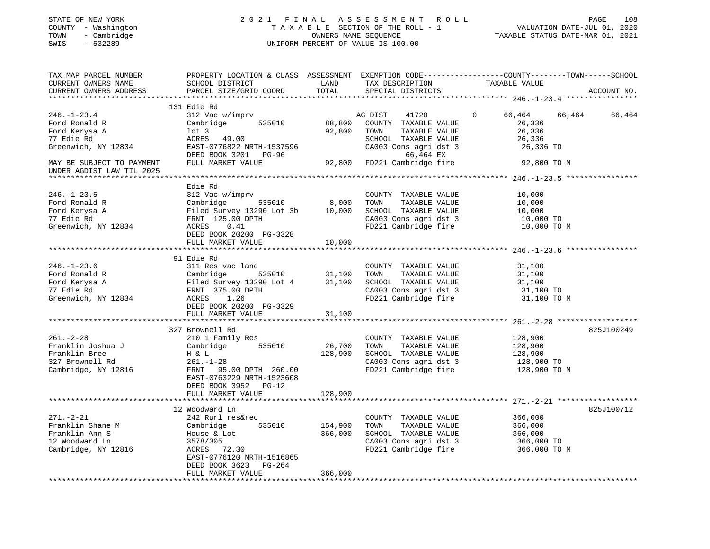#### STATE OF NEW YORK 2 0 2 1 F I N A L A S S E S S M E N T R O L L PAGE 108 COUNTY - Washington T A X A B L E SECTION OF THE ROLL - 1 VALUATION DATE-JUL 01, 2020 TOWN - Cambridge OWNERS NAME SEQUENCE TAXABLE STATUS DATE-MAR 01, 2021 SWIS - 532289 UNIFORM PERCENT OF VALUE IS 100.00UNIFORM PERCENT OF VALUE IS 100.00

| TAX MAP PARCEL NUMBER<br>CURRENT OWNERS NAME<br>CURRENT OWNERS ADDRESS                                                | SCHOOL DISTRICT<br>PARCEL SIZE/GRID COORD                                                                                                                              | LAND<br>TOTAL              | TAX DESCRIPTION<br>SPECIAL DISTRICTS                                                                                                                    | PROPERTY LOCATION & CLASS ASSESSMENT EXEMPTION CODE----------------COUNTY-------TOWN-----SCHOOL<br>TAXABLE VALUE | ACCOUNT NO. |
|-----------------------------------------------------------------------------------------------------------------------|------------------------------------------------------------------------------------------------------------------------------------------------------------------------|----------------------------|---------------------------------------------------------------------------------------------------------------------------------------------------------|------------------------------------------------------------------------------------------------------------------|-------------|
|                                                                                                                       | 131 Edie Rd                                                                                                                                                            |                            |                                                                                                                                                         |                                                                                                                  |             |
| $246. - 1 - 23.4$<br>Ford Ronald R<br>Ford Kerysa A<br>77 Edie Rd<br>Greenwich, NY 12834<br>MAY BE SUBJECT TO PAYMENT | 312 Vac w/imprv<br>Cambridge<br>535010<br>$1$ ot $3$<br>ACRES 49.00<br>EAST-0776822 NRTH-1537596<br>DEED BOOK 3201 PG-96<br>FULL MARKET VALUE                          | 88,800<br>92,800<br>92,800 | AG DIST<br>41720<br>COUNTY TAXABLE VALUE<br>TOWN<br>TAXABLE VALUE<br>SCHOOL TAXABLE VALUE<br>CA003 Cons agri dst 3<br>66,464 EX<br>FD221 Cambridge fire | $\Omega$<br>66,464<br>66,464<br>26,336<br>26,336<br>26,336<br>26,336 TO<br>92,800 TO M                           | 66,464      |
| UNDER AGDIST LAW TIL 2025                                                                                             |                                                                                                                                                                        |                            |                                                                                                                                                         |                                                                                                                  |             |
|                                                                                                                       |                                                                                                                                                                        |                            |                                                                                                                                                         |                                                                                                                  |             |
| $246. - 1 - 23.5$<br>Ford Ronald R<br>Ford Kerysa A<br>77 Edie Rd                                                     | Edie Rd<br>312 Vac w/imprv<br>Cambridge<br>535010<br>Filed Survey 13290 Lot 3b<br>FRNT 125.00 DPTH                                                                     | 8,000<br>10,000            | COUNTY TAXABLE VALUE<br>TOWN<br>TAXABLE VALUE<br>SCHOOL TAXABLE VALUE<br>CA003 Cons agri dst 3                                                          | 10,000<br>10,000<br>10,000<br>10,000 TO                                                                          |             |
| Greenwich, NY 12834                                                                                                   | 0.41<br>ACRES                                                                                                                                                          |                            | FD221 Cambridge fire                                                                                                                                    | 10,000 TO M                                                                                                      |             |
|                                                                                                                       | DEED BOOK 20200 PG-3328                                                                                                                                                |                            |                                                                                                                                                         |                                                                                                                  |             |
|                                                                                                                       | FULL MARKET VALUE<br>**************************                                                                                                                        | 10,000                     |                                                                                                                                                         |                                                                                                                  |             |
|                                                                                                                       |                                                                                                                                                                        |                            |                                                                                                                                                         |                                                                                                                  |             |
| $246. - 1 - 23.6$<br>Ford Ronald R<br>Ford Kerysa A<br>77 Edie Rd<br>Greenwich, NY 12834                              | 91 Edie Rd<br>311 Res vac land<br>Cambridge<br>535010<br>Filed Survey 13290 Lot 4<br>FRNT 375.00 DPTH<br>ACRES<br>1.26<br>DEED BOOK 20200 PG-3329<br>FULL MARKET VALUE | 31,100<br>31,100<br>31,100 | COUNTY TAXABLE VALUE<br>TAXABLE VALUE<br>TOWN<br>SCHOOL TAXABLE VALUE<br>CA003 Cons agri dst 3<br>FD221 Cambridge fire                                  | 31,100<br>31,100<br>31,100<br>31,100 TO<br>31,100 TO M                                                           |             |
|                                                                                                                       |                                                                                                                                                                        |                            |                                                                                                                                                         |                                                                                                                  |             |
| $261. - 2 - 28$<br>Franklin Joshua J<br>Franklin Bree<br>327 Brownell Rd<br>Cambridge, NY 12816                       | 327 Brownell Rd<br>210 1 Family Res<br>535010<br>Cambridge<br>H & L<br>$261. - 1 - 28$<br>FRNT 95.00 DPTH 260.00<br>EAST-0763229 NRTH-1523608<br>DEED BOOK 3952 PG-12  | 26,700<br>128,900          | COUNTY TAXABLE VALUE<br>TOWN<br>TAXABLE VALUE<br>SCHOOL TAXABLE VALUE<br>CA003 Cons agri dst 3<br>FD221 Cambridge fire                                  | 128,900<br>128,900<br>128,900<br>128,900 TO<br>128,900 TO M                                                      | 825J100249  |
|                                                                                                                       | FULL MARKET VALUE                                                                                                                                                      | 128,900                    |                                                                                                                                                         |                                                                                                                  |             |
|                                                                                                                       |                                                                                                                                                                        |                            |                                                                                                                                                         |                                                                                                                  |             |
| $271. - 2 - 21$<br>Franklin Shane M<br>Franklin Ann S<br>12 Woodward Ln<br>Cambridge, NY 12816                        | 12 Woodward Ln<br>242 Rurl res&rec<br>535010<br>Cambridge<br>House & Lot<br>3578/305<br>ACRES 72.30<br>EAST-0776120 NRTH-1516865<br>DEED BOOK 3623<br>PG-264           | 154,900<br>366,000         | COUNTY TAXABLE VALUE<br>TOWN<br>TAXABLE VALUE<br>SCHOOL TAXABLE VALUE<br>CA003 Cons agri dst 3<br>FD221 Cambridge fire                                  | 366,000<br>366,000<br>366,000<br>366,000 TO<br>366,000 TO M                                                      | 825J100712  |
|                                                                                                                       | FULL MARKET VALUE                                                                                                                                                      | 366,000                    |                                                                                                                                                         |                                                                                                                  |             |
|                                                                                                                       |                                                                                                                                                                        |                            |                                                                                                                                                         |                                                                                                                  |             |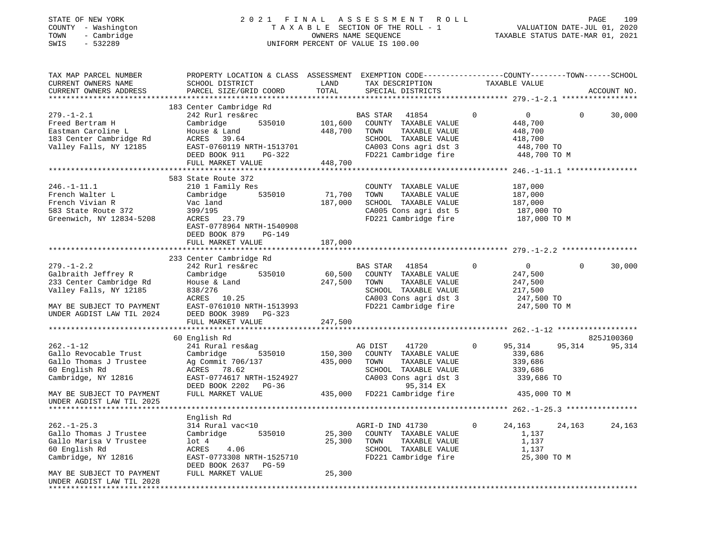#### STATE OF NEW YORK 2 0 2 1 F I N A L A S S E S S M E N T R O L L PAGE 109 COUNTY - Washington T A X A B L E SECTION OF THE ROLL - 1 VALUATION DATE-JUL 01, 2020 TOWN - Cambridge OWNERS NAME SEQUENCE TAXABLE STATUS DATE-MAR 01, 2021 SWIS - 532289 UNIFORM PERCENT OF VALUE IS 100.00UNIFORM PERCENT OF VALUE IS 100.00

| TAX MAP PARCEL NUMBER<br>CURRENT OWNERS NAME<br>CURRENT OWNERS ADDRESS<br>*************************                                                                     | PROPERTY LOCATION & CLASS ASSESSMENT EXEMPTION CODE---------------COUNTY-------TOWN------SCHOOL<br>SCHOOL DISTRICT<br>PARCEL SIZE/GRID COORD                                               | LAND<br>TOTAL                 | TAX DESCRIPTION<br>SPECIAL DISTRICTS                                                                                                                            | TAXABLE VALUE                                                                                                       | ACCOUNT NO.                    |
|-------------------------------------------------------------------------------------------------------------------------------------------------------------------------|--------------------------------------------------------------------------------------------------------------------------------------------------------------------------------------------|-------------------------------|-----------------------------------------------------------------------------------------------------------------------------------------------------------------|---------------------------------------------------------------------------------------------------------------------|--------------------------------|
| $279. - 1 - 2.1$<br>Freed Bertram H<br>Eastman Caroline L<br>183 Center Cambridge Rd<br>Valley Falls, NY 12185                                                          | 183 Center Cambridge Rd<br>242 Rurl res&rec<br>Cambridge<br>535010<br>House & Land<br>39.64<br>ACRES<br>EAST-0760119 NRTH-1513701<br>DEED BOOK 911<br>PG-322<br>FULL MARKET VALUE          | 101,600<br>448,700<br>448,700 | BAS STAR<br>41854<br>COUNTY TAXABLE VALUE<br>TAXABLE VALUE<br>TOWN<br>SCHOOL TAXABLE VALUE<br>CA003 Cons agri dst 3<br>FD221 Cambridge fire 448,700 TO M        | $\Omega$<br>$\overline{0}$<br>448,700<br>448,700<br>418,700<br>448,700 TO                                           | 30,000<br>$\Omega$             |
| $246. - 1 - 11.1$<br>French Walter L<br>French Vivian R<br>583 State Route 372<br>Greenwich, NY 12834-5208                                                              | 583 State Route 372<br>210 1 Family Res<br>535010<br>Cambridge<br>Vac land<br>399/195<br>ACRES 23.79<br>EAST-0778964 NRTH-1540908<br>DEED BOOK 879<br>PG-149<br>FULL MARKET VALUE          | 71,700<br>187,000<br>187,000  | COUNTY TAXABLE VALUE<br>TAXABLE VALUE<br>TOWN<br>SCHOOL TAXABLE VALUE<br>CA005 Cons agri dst 5<br>FD221 Cambridge fire                                          | 187,000<br>187,000<br>187,000<br>187,000 TO<br>187,000 TO M<br>*********************************** 279.-1-2.2 ***** |                                |
| $279. - 1 - 2.2$<br>Galbraith Jeffrey R<br>233 Center Cambridge Rd<br>Valley Falls, NY 12185<br>MAY BE SUBJECT TO PAYMENT<br>UNDER AGDIST LAW TIL 2024                  | 233 Center Cambridge Rd<br>242 Rurl res&rec<br>535010<br>Cambridge<br>House $\&$ Land<br>838/276<br>ACRES 10.25<br>EAST-0761010 NRTH-1513993<br>DEED BOOK 3989 PG-323<br>FULL MARKET VALUE | 60,500<br>247,500<br>247,500  | BAS STAR 41854<br>COUNTY TAXABLE VALUE<br>TAXABLE VALUE<br>TOWN<br>SCHOOL TAXABLE VALUE<br>CA003 Cons agri dst 3<br>FD221 Cambridge fire                        | $\overline{0}$<br>$\mathbf 0$<br>247,500<br>247,500<br>217,500<br>247,500 TO<br>247,500 TO M                        | $\Omega$<br>30,000             |
| $262. - 1 - 12$<br>Gallo Revocable Trust<br>Gallo Thomas J Trustee<br>60 English Rd<br>Cambridge, NY 12816<br>MAY BE SUBJECT TO PAYMENT<br>UNDER AGDIST LAW TIL 2025    | 60 English Rd<br>241 Rural res&ag<br>Cambridge<br>535010<br>Ag Commit 706/137<br>ACRES 78.62<br>EAST-0774617 NRTH-1524927<br>DEED BOOK 2202 PG-36<br>FULL MARKET VALUE                     | 150,300<br>435,000            | AG DIST<br>41720<br>COUNTY TAXABLE VALUE<br>TOWN<br>TAXABLE VALUE<br>SCHOOL TAXABLE VALUE<br>CA003 Cons agri dst 3<br>95,314 EX<br>435,000 FD221 Cambridge fire | $\mathbf 0$<br>95,314<br>339,686<br>339,686<br>339,686<br>339,686 TO<br>435,000 TO M                                | 825J100360<br>95,314<br>95,314 |
| $262. - 1 - 25.3$<br>Gallo Thomas J Trustee<br>Gallo Marisa V Trustee<br>60 English Rd<br>Cambridge, NY 12816<br>MAY BE SUBJECT TO PAYMENT<br>UNDER AGDIST LAW TIL 2028 | English Rd<br>314 Rural vac<10<br>Cambridge<br>535010<br>$1$ ot $4$<br>ACRES<br>4.06<br>EAST-0773308 NRTH-1525710<br>DEED BOOK 2637 PG-59<br>FULL MARKET VALUE                             | 25,300<br>25,300<br>25,300    | AGRI-D IND 41730<br>COUNTY TAXABLE VALUE<br>TOWN<br>TAXABLE VALUE<br>SCHOOL TAXABLE VALUE<br>FD221 Cambridge fire                                               | 24,163<br>$\mathbf{0}$<br>1,137<br>1,137<br>1,137<br>25,300 TO M                                                    | 24,163<br>24,163               |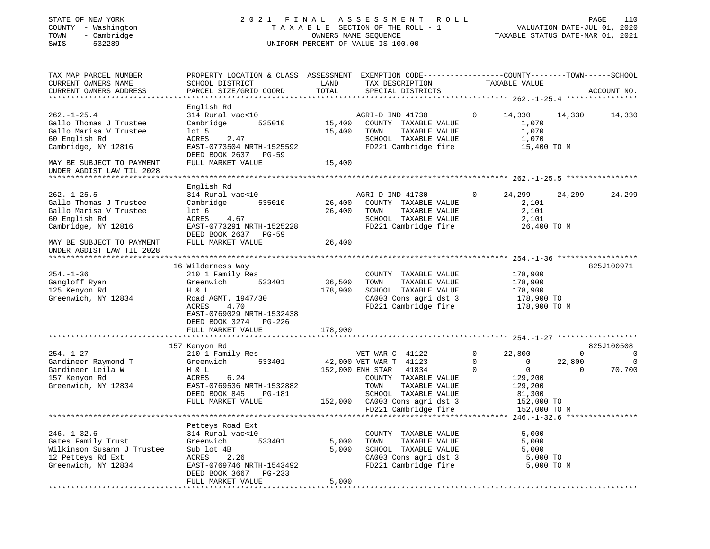| STATE OF NEW YORK<br>COUNTY - Washington<br>- Cambridge<br>TOWN<br>SWIS<br>$-532289$                                                                                    |                                                                                                                                                                          |                            | 2021 FINAL ASSESSMENT ROLL<br>TAXABLE SECTION OF THE ROLL - 1<br>OWNERS NAME SEQUENCE<br>UNIFORM PERCENT OF VALUE IS 100.00                                                                              |                       | VALUATION DATE-JUL 01, 2020<br>TAXABLE STATUS DATE-MAR 01, 2021                                          |                                      | PAGE<br>110                    |
|-------------------------------------------------------------------------------------------------------------------------------------------------------------------------|--------------------------------------------------------------------------------------------------------------------------------------------------------------------------|----------------------------|----------------------------------------------------------------------------------------------------------------------------------------------------------------------------------------------------------|-----------------------|----------------------------------------------------------------------------------------------------------|--------------------------------------|--------------------------------|
| TAX MAP PARCEL NUMBER<br>CURRENT OWNERS NAME<br>CURRENT OWNERS ADDRESS                                                                                                  | PROPERTY LOCATION & CLASS ASSESSMENT EXEMPTION CODE----------------COUNTY-------TOWN------SCHOOL<br>SCHOOL DISTRICT<br>PARCEL SIZE/GRID COORD                            | LAND<br>TOTAL              | TAX DESCRIPTION<br>SPECIAL DISTRICTS                                                                                                                                                                     |                       | TAXABLE VALUE                                                                                            |                                      | ACCOUNT NO.                    |
| $262. - 1 - 25.4$<br>Gallo Thomas J Trustee<br>Gallo Marisa V Trustee<br>60 English Rd<br>Cambridge, NY 12816<br>MAY BE SUBJECT TO PAYMENT<br>UNDER AGDIST LAW TIL 2028 | English Rd<br>314 Rural vac<10<br>Cambridge<br>535010<br>$1$ ot 5<br>ACRES<br>2.47<br>EAST-0773504 NRTH-1525592<br>DEED BOOK 2637 PG-59<br>FULL MARKET VALUE             | 15,400<br>15,400<br>15,400 | AGRI-D IND 41730<br>COUNTY TAXABLE VALUE<br>TAXABLE VALUE<br>TOWN<br>SCHOOL TAXABLE VALUE<br>FD221 Cambridge fire                                                                                        | $\mathbf{0}$          | 14,330<br>1,070<br>1,070<br>1,070<br>15,400 TO M                                                         | 14,330                               | 14,330                         |
|                                                                                                                                                                         |                                                                                                                                                                          |                            |                                                                                                                                                                                                          |                       |                                                                                                          |                                      |                                |
| $262. -1 - 25.5$<br>Gallo Thomas J Trustee<br>Gallo Marisa V Trustee<br>60 English Rd<br>Cambridge, NY 12816                                                            | English Rd<br>314 Rural vac<10<br>535010<br>Cambridge<br>lot <sub>6</sub><br>ACRES<br>4.67<br>EAST-0773291 NRTH-1525228<br>DEED BOOK 2637 PG-59                          | 26,400<br>26,400           | AGRI-D IND 41730<br>COUNTY TAXABLE VALUE<br>TOWN<br>TAXABLE VALUE<br>SCHOOL TAXABLE VALUE<br>FD221 Cambridge fire                                                                                        | $\mathbf{0}$          | 24,299<br>2,101<br>2,101<br>2,101<br>26,400 TO M                                                         | 24,299                               | 24,299                         |
| MAY BE SUBJECT TO PAYMENT<br>UNDER AGDIST LAW TIL 2028                                                                                                                  | FULL MARKET VALUE                                                                                                                                                        | 26,400                     |                                                                                                                                                                                                          |                       |                                                                                                          |                                      |                                |
|                                                                                                                                                                         |                                                                                                                                                                          |                            |                                                                                                                                                                                                          |                       |                                                                                                          |                                      |                                |
| $254. - 1 - 36$<br>Gangloff Ryan<br>125 Kenyon Rd<br>Greenwich, NY 12834                                                                                                | 16 Wilderness Way<br>210 1 Family Res<br>Greenwich<br>533401<br>H & L<br>Road AGMT. 1947/30<br>ACRES<br>4.70<br>EAST-0769029 NRTH-1532438<br>DEED BOOK 3274 PG-226       | 36,500<br>178,900          | COUNTY TAXABLE VALUE<br>TOWN<br>TAXABLE VALUE<br>SCHOOL TAXABLE VALUE<br>CA003 Cons agri dst 3<br>FD221 Cambridge fire                                                                                   |                       | 178,900<br>178,900<br>178,900<br>178,900 TO<br>178,900 TO M                                              |                                      | 825J100971                     |
|                                                                                                                                                                         | FULL MARKET VALUE<br>*************************                                                                                                                           | 178,900                    |                                                                                                                                                                                                          |                       |                                                                                                          |                                      |                                |
| $254. - 1 - 27$<br>Gardineer Raymond T<br>Gardineer Leila W<br>157 Kenyon Rd<br>Greenwich, NY 12834                                                                     | 157 Kenyon Rd<br>210 1 Family Res<br>Greenwich<br>533401<br>H & L<br>ACRES<br>6.24<br>EAST-0769536 NRTH-1532882<br>DEED BOOK 845<br>PG-181<br>FULL MARKET VALUE          |                            | VET WAR C 41122<br>42,000 VET WAR T 41123<br>152,000 ENH STAR<br>41834<br>COUNTY TAXABLE VALUE<br>TOWN<br>TAXABLE VALUE<br>SCHOOL TAXABLE VALUE<br>152,000 CA003 Cons agri dst 3<br>FD221 Cambridge fire | 0<br>$\mathbf 0$<br>0 | 22,800<br>$\overline{0}$<br>$\overline{0}$<br>129,200<br>129,200<br>81,300<br>152,000 TO<br>152,000 TO M | $\overline{0}$<br>22,800<br>$\Omega$ | 825J100508<br>0<br>0<br>70,700 |
|                                                                                                                                                                         |                                                                                                                                                                          |                            |                                                                                                                                                                                                          |                       |                                                                                                          |                                      |                                |
| $246. - 1 - 32.6$<br>Gates Family Trust<br>Wilkinson Susann J Trustee<br>12 Petteys Rd Ext<br>Greenwich, NY 12834                                                       | Petteys Road Ext<br>314 Rural vac<10<br>Greenwich<br>533401<br>Sub lot 4B<br>2.26<br>ACRES<br>EAST-0769746 NRTH-1543492<br>DEED BOOK 3667<br>PG-233<br>FULL MARKET VALUE | 5,000<br>5,000<br>5,000    | TAXABLE VALUE<br>COUNTY<br>TAXABLE VALUE<br>TOWN<br>SCHOOL TAXABLE VALUE<br>CA003 Cons agri dst 3<br>FD221 Cambridge fire                                                                                |                       | 5,000<br>5,000<br>5,000<br>5,000 TO<br>5,000 TO M                                                        |                                      |                                |
|                                                                                                                                                                         |                                                                                                                                                                          |                            |                                                                                                                                                                                                          |                       |                                                                                                          |                                      |                                |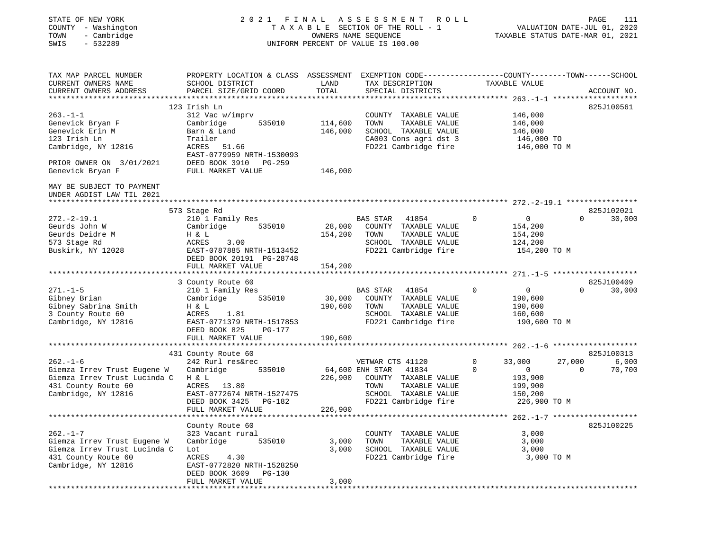| STATE OF NEW YORK<br>COUNTY - Washington<br>- Cambridge<br>TOWN<br>SWIS<br>$-532289$ | 2 0 2 1<br>FINAL<br>TAXABLE SECTION OF THE ROLL - 1<br>UNIFORM PERCENT OF VALUE IS 100.00      | ROLL          | 111<br>PAGE<br>VALUATION DATE-JUL 01, 2020<br>TAXABLE STATUS DATE-MAR 01, 2021 |                   |                                 |             |
|--------------------------------------------------------------------------------------|------------------------------------------------------------------------------------------------|---------------|--------------------------------------------------------------------------------|-------------------|---------------------------------|-------------|
| TAX MAP PARCEL NUMBER                                                                | PROPERTY LOCATION & CLASS ASSESSMENT EXEMPTION CODE---------------COUNTY-------TOWN-----SCHOOL |               |                                                                                |                   |                                 |             |
| CURRENT OWNERS NAME<br>CURRENT OWNERS ADDRESS                                        | SCHOOL DISTRICT<br>PARCEL SIZE/GRID COORD                                                      | LAND<br>TOTAL | TAX DESCRIPTION<br>SPECIAL DISTRICTS                                           | TAXABLE VALUE     |                                 | ACCOUNT NO. |
|                                                                                      |                                                                                                |               |                                                                                |                   |                                 |             |
|                                                                                      | 123 Irish Ln                                                                                   |               |                                                                                |                   |                                 | 825J100561  |
| $263. -1 -1$                                                                         | 312 Vac w/imprv                                                                                |               | COUNTY TAXABLE VALUE                                                           | 146,000           |                                 |             |
| Genevick Bryan F                                                                     | Cambridge<br>535010                                                                            | 114,600       | TOWN<br>TAXABLE VALUE                                                          | 146,000           |                                 |             |
| Genevick Erin M                                                                      | Barn & Land                                                                                    | 146,000       | SCHOOL TAXABLE VALUE                                                           | 146,000           |                                 |             |
| 123 Irish Ln<br>Cambridge, NY 12816                                                  | Trailer<br>ACRES 51.66                                                                         |               | CA003 Cons agri dst 3<br>FD221 Cambridge fire                                  | 146,000 TO        | 146,000 TO M                    |             |
|                                                                                      | EAST-0779959 NRTH-1530093                                                                      |               |                                                                                |                   |                                 |             |
| PRIOR OWNER ON 3/01/2021                                                             | DEED BOOK 3910 PG-259                                                                          |               |                                                                                |                   |                                 |             |
| Genevick Bryan F                                                                     | FULL MARKET VALUE                                                                              | 146,000       |                                                                                |                   |                                 |             |
| MAY BE SUBJECT TO PAYMENT<br>UNDER AGDIST LAW TIL 2021                               |                                                                                                |               |                                                                                |                   |                                 |             |
|                                                                                      | 573 Stage Rd                                                                                   |               |                                                                                |                   |                                 | 825J102021  |
| $272. - 2 - 19.1$                                                                    | 210 1 Family Res                                                                               |               | <b>BAS STAR</b><br>41854                                                       | $\Omega$<br>0     | $\Omega$                        | 30,000      |
| Geurds John W                                                                        | Cambridge<br>535010                                                                            | 28,000        | COUNTY TAXABLE VALUE                                                           | 154,200           |                                 |             |
| Geurds Deidre M                                                                      | H & L                                                                                          | 154,200       | TOWN<br>TAXABLE VALUE                                                          | 154,200           |                                 |             |
| 573 Stage Rd                                                                         | ACRES<br>3.00                                                                                  |               | SCHOOL TAXABLE VALUE                                                           | 124,200           |                                 |             |
| Buskirk, NY 12028                                                                    | EAST-0787885 NRTH-1513452                                                                      |               | FD221 Cambridge fire                                                           |                   | 154,200 TO M                    |             |
|                                                                                      | DEED BOOK 20191 PG-28748<br>FULL MARKET VALUE                                                  | 154,200       |                                                                                |                   |                                 |             |
|                                                                                      |                                                                                                |               |                                                                                |                   |                                 |             |
|                                                                                      | 3 County Route 60                                                                              |               |                                                                                |                   |                                 | 825J100409  |
| $271. - 1 - 5$                                                                       | 210 1 Family Res                                                                               |               | <b>BAS STAR</b><br>41854                                                       | 0<br>$\mathbf{0}$ | $\Omega$                        | 30,000      |
| Gibney Brian                                                                         | Cambridge<br>535010                                                                            | 30,000        | COUNTY TAXABLE VALUE                                                           | 190,600           |                                 |             |
| Gibney Sabrina Smith                                                                 | H & L                                                                                          | 190,600       | TOWN<br>TAXABLE VALUE                                                          | 190,600           |                                 |             |
| 3 County Route 60                                                                    | ACRES<br>1.81                                                                                  |               | SCHOOL TAXABLE VALUE                                                           | 160,600           |                                 |             |
| Cambridge, NY 12816                                                                  | EAST-0771379 NRTH-1517853<br>DEED BOOK 825<br>PG-177                                           |               | FD221 Cambridge fire                                                           |                   | 190,600 TO M                    |             |
|                                                                                      | FULL MARKET VALUE                                                                              | 190,600       |                                                                                |                   |                                 |             |
|                                                                                      |                                                                                                |               |                                                                                |                   |                                 |             |
|                                                                                      | 431 County Route 60                                                                            |               |                                                                                |                   |                                 | 825J100313  |
| $262. - 1 - 6$                                                                       | 242 Rurl res&rec                                                                               |               | VETWAR CTS 41120                                                               | 0<br>33,000       | 27,000                          | 6,000       |
| Giemza Irrev Trust Eugene W                                                          | Cambridge<br>535010                                                                            |               | 64,600 ENH STAR<br>41834                                                       | 0<br>0            | $\Omega$                        | 70,700      |
| Giemza Irrev Trust Lucinda C                                                         | H & L                                                                                          | 226,900       | COUNTY TAXABLE VALUE                                                           | 193,900           |                                 |             |
| 431 County Route 60                                                                  | ACRES<br>13.80                                                                                 |               | TAXABLE VALUE<br>TOWN<br>SCHOOL TAXABLE VALUE                                  | 199,900           |                                 |             |
| Cambridge, NY 12816                                                                  | EAST-0772674 NRTH-1527475<br>DEED BOOK 3425<br>PG-182                                          |               | FD221 Cambridge fire                                                           | 150,200           | 226,900 TO M                    |             |
|                                                                                      | FULL MARKET VALUE                                                                              | 226,900       |                                                                                |                   |                                 |             |
| ************************                                                             | ***********************                                                                        |               |                                                                                |                   | $262. - 1 - 7$ **************** |             |
|                                                                                      | County Route 60                                                                                |               |                                                                                |                   |                                 | 825J100225  |
| $262. - 1 - 7$                                                                       | 323 Vacant rural                                                                               |               | COUNTY TAXABLE VALUE                                                           | 3,000             |                                 |             |
| Giemza Irrev Trust Eugene W                                                          | Cambridge<br>535010                                                                            | 3,000         | TOWN<br>TAXABLE VALUE                                                          | 3,000             |                                 |             |
| Giemza Irrev Trust Lucinda C                                                         | Lot                                                                                            | 3,000         | SCHOOL TAXABLE VALUE<br>FD221 Cambridge fire                                   | 3,000             |                                 |             |
| 431 County Route 60<br>Cambridge, NY 12816                                           | ACRES<br>4.30<br>EAST-0772820 NRTH-1528250                                                     |               |                                                                                |                   | 3,000 TO M                      |             |
|                                                                                      | DEED BOOK 3609<br>PG-130                                                                       |               |                                                                                |                   |                                 |             |
|                                                                                      | FULL MARKET VALUE                                                                              | 3,000         |                                                                                |                   |                                 |             |
| ******************                                                                   |                                                                                                |               |                                                                                |                   |                                 |             |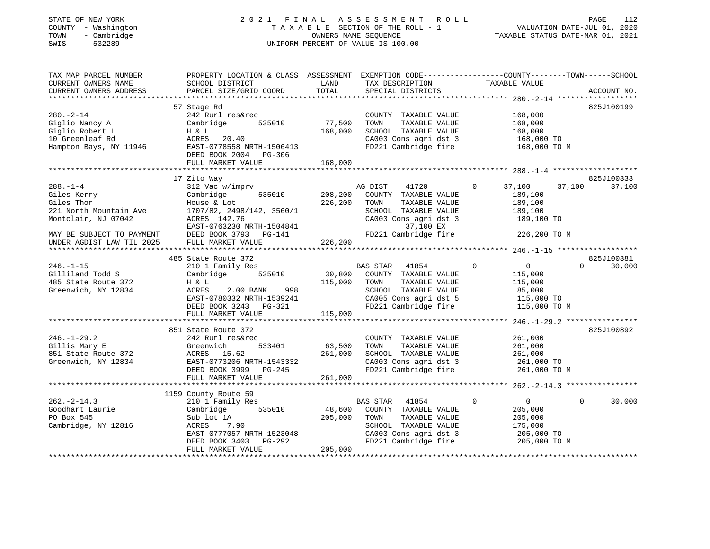#### STATE OF NEW YORK 2 0 2 1 F I N A L A S S E S S M E N T R O L L PAGE 112 COUNTY - Washington T A X A B L E SECTION OF THE ROLL - 1 VALUATION DATE-JUL 01, 2020 TOWN - Cambridge OWNERS NAME SEQUENCE TAXABLE STATUS DATE-MAR 01, 2021 SWIS - 532289 UNIFORM PERCENT OF VALUE IS 100.00

| TAX MAP PARCEL NUMBER<br>CURRENT OWNERS NAME<br>CURRENT OWNERS ADDRESS                                                                                 | PROPERTY LOCATION & CLASS ASSESSMENT<br>SCHOOL DISTRICT<br>PARCEL SIZE/GRID COORD                                                                                                            | LAND<br>TOTAL                  | TAX DESCRIPTION<br>SPECIAL DISTRICTS                                                                                                                    | EXEMPTION CODE-----------------COUNTY-------TOWN------SCHOOL<br>TAXABLE VALUE                | ACCOUNT NO.                      |
|--------------------------------------------------------------------------------------------------------------------------------------------------------|----------------------------------------------------------------------------------------------------------------------------------------------------------------------------------------------|--------------------------------|---------------------------------------------------------------------------------------------------------------------------------------------------------|----------------------------------------------------------------------------------------------|----------------------------------|
| $280. - 2 - 14$<br>Giglio Nancy A<br>Giglio Robert L<br>10 Greenleaf Rd<br>Hampton Bays, NY 11946                                                      | 57 Stage Rd<br>242 Rurl res&rec<br>535010<br>Cambridge<br>H & L<br>ACRES 20.40<br>EAST-0778558 NRTH-1506413<br>DEED BOOK 2004 PG-306<br>FULL MARKET VALUE                                    | 77,500<br>168,000<br>168,000   | COUNTY TAXABLE VALUE<br>TOWN<br>TAXABLE VALUE<br>SCHOOL TAXABLE VALUE<br>CA003 Cons agri dst 3<br>FD221 Cambridge fire                                  | 168,000<br>168,000<br>168,000<br>168,000 TO<br>168,000 TO M                                  | 825J100199                       |
| $288. - 1 - 4$<br>Giles Kerry<br>Giles Thor<br>221 North Mountain Ave<br>Montclair, NJ 07042<br>MAY BE SUBJECT TO PAYMENT<br>UNDER AGDIST LAW TIL 2025 | 17 Zito Way<br>312 Vac w/imprv<br>Cambridge<br>535010<br>House & Lot<br>1707/82, 2498/142, 3560/1<br>ACRES 142.76<br>EAST-0763230 NRTH-1504841<br>DEED BOOK 3793 PG-141<br>FULL MARKET VALUE | 208,200<br>226,200<br>226, 200 | AG DIST<br>41720<br>COUNTY TAXABLE VALUE<br>TOWN<br>TAXABLE VALUE<br>SCHOOL TAXABLE VALUE<br>CA003 Cons agri dst 3<br>37,100 EX<br>FD221 Cambridge fire | $\circ$<br>37,100<br>37,100<br>189,100<br>189,100<br>189,100<br>189,100 TO<br>226,200 TO M   | 825J100333<br>37,100             |
| $246. - 1 - 15$<br>Gilliland Todd S<br>485 State Route 372<br>Greenwich, NY 12834                                                                      | 485 State Route 372<br>210 1 Family Res<br>535010<br>Cambridge<br>H & L<br>ACRES<br>2.00 BANK<br>998<br>EAST-0780332 NRTH-1539241<br>DEED BOOK 3243 PG-321<br>FULL MARKET VALUE              | 30,800<br>115,000<br>115,000   | BAS STAR 41854<br>COUNTY TAXABLE VALUE<br>TOWN<br>TAXABLE VALUE<br>SCHOOL TAXABLE VALUE<br>CA005 Cons agri dst 5<br>FD221 Cambridge fire                | $\mathbf 0$<br>$\overline{0}$<br>115,000<br>115,000<br>85,000<br>115,000 TO<br>115,000 TO M  | 825J100381<br>$\Omega$<br>30,000 |
| $246. - 1 - 29.2$<br>Gillis Mary E<br>851 State Route 372<br>Greenwich, NY 12834                                                                       | 851 State Route 372<br>242 Rurl res&rec<br>533401<br>Greenwich<br>ACRES 15.62<br>EAST-0773206 NRTH-1543332<br>DEED BOOK 3999 PG-245<br>FULL MARKET VALUE                                     | 63,500<br>261,000<br>261,000   | COUNTY TAXABLE VALUE<br>TAXABLE VALUE<br>TOWN<br>SCHOOL TAXABLE VALUE<br>CA003 Cons agri dst 3<br>FD221 Cambridge fire                                  | 261,000<br>261,000<br>261,000<br>261,000 TO<br>261,000 TO M                                  | 825J100892                       |
| $262 - 2 - 14.3$<br>Goodhart Laurie<br>PO Box 545<br>Cambridge, NY 12816                                                                               | 1159 County Route 59<br>210 1 Family Res<br>535010<br>Cambridge<br>Sub lot 1A<br>ACRES<br>7.90<br>EAST-0777057 NRTH-1523048<br>PG-292<br>DEED BOOK 3403<br>FULL MARKET VALUE                 | 48,600<br>205,000<br>205,000   | BAS STAR 41854<br>COUNTY TAXABLE VALUE<br>TAXABLE VALUE<br>TOWN<br>SCHOOL TAXABLE VALUE<br>CA003 Cons agri dst 3<br>FD221 Cambridge fire                | $\mathbf 0$<br>$\overline{0}$<br>205,000<br>205,000<br>175,000<br>205,000 TO<br>205,000 TO M | $\Omega$<br>30,000               |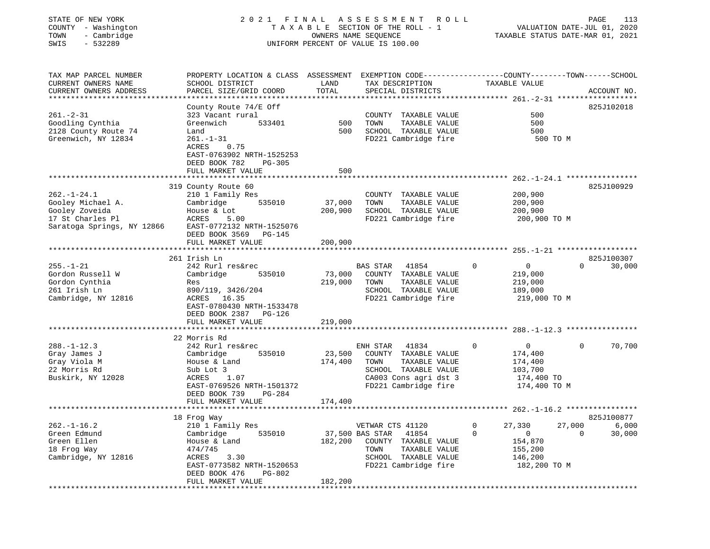#### STATE OF NEW YORK 2 0 2 1 F I N A L A S S E S S M E N T R O L L PAGE 113 COUNTY - Washington T A X A B L E SECTION OF THE ROLL - 1 VALUATION DATE-JUL 01, 2020 TOWN - Cambridge OWNERS NAME SEQUENCE TAXABLE STATUS DATE-MAR 01, 2021 SWIS - 532289 UNIFORM PERCENT OF VALUE IS 100.00UNIFORM PERCENT OF VALUE IS 100.00

| TAX MAP PARCEL NUMBER<br>CURRENT OWNERS NAME<br>CURRENT OWNERS ADDRESS<br>*********************            | PROPERTY LOCATION & CLASS ASSESSMENT<br>SCHOOL DISTRICT<br>PARCEL SIZE/GRID COORD<br>********************                                                                                          | LAND<br>TOTAL                | EXEMPTION CODE-----------------COUNTY-------TOWN------SCHOOL<br>TAX DESCRIPTION<br>SPECIAL DISTRICTS                                          | TAXABLE VALUE                                                                               | ACCOUNT NO.                                  |
|------------------------------------------------------------------------------------------------------------|----------------------------------------------------------------------------------------------------------------------------------------------------------------------------------------------------|------------------------------|-----------------------------------------------------------------------------------------------------------------------------------------------|---------------------------------------------------------------------------------------------|----------------------------------------------|
| $261. - 2 - 31$<br>Goodling Cynthia<br>2128 County Route 74<br>Greenwich, NY 12834                         | County Route $74/E$ Off<br>323 Vacant rural<br>Greenwich<br>533401<br>Land<br>$261. - 1 - 31$<br><b>ACRES</b><br>0.75<br>EAST-0763902 NRTH-1525253<br>DEED BOOK 782<br>PG-305<br>FULL MARKET VALUE | 500<br>500<br>500            | TAXABLE VALUE<br>COUNTY<br>TOWN<br>TAXABLE VALUE<br>SCHOOL TAXABLE VALUE<br>FD221 Cambridge fire                                              | 500<br>500<br>500<br>500 TO M                                                               | 825J102018                                   |
| $262. - 1 - 24.1$<br>Gooley Michael A.<br>Gooley Zoveida<br>17 St Charles Pl<br>Saratoga Springs, NY 12866 | 319 County Route 60<br>210 1 Family Res<br>Cambridge<br>535010<br>House & Lot<br>ACRES<br>5.00<br>EAST-0772132 NRTH-1525076<br>DEED BOOK 3569<br>PG-145<br>FULL MARKET VALUE                       | 37,000<br>200,900<br>200,900 | COUNTY TAXABLE VALUE<br>TOWN<br>TAXABLE VALUE<br>SCHOOL TAXABLE VALUE<br>FD221 Cambridge fire                                                 | 200,900<br>200,900<br>200,900<br>200,900 ТО М                                               | $262 - 1 - 24.1$ *************<br>825J100929 |
|                                                                                                            | 261 Irish Ln                                                                                                                                                                                       |                              |                                                                                                                                               |                                                                                             | 825J100307                                   |
| $255. - 1 - 21$<br>Gordon Russell W<br>Gordon Cynthia<br>261 Irish Ln<br>Cambridge, NY 12816               | 242 Rurl res&rec<br>Cambridge<br>535010<br>Res<br>890/119, 3426/204<br>16.35<br>ACRES<br>EAST-0780430 NRTH-1533478<br>DEED BOOK 2387<br>PG-126<br>FULL MARKET VALUE                                | 73,000<br>219,000<br>219,000 | <b>BAS STAR</b><br>41854<br>COUNTY TAXABLE VALUE<br>TAXABLE VALUE<br>TOWN<br>SCHOOL TAXABLE VALUE<br>FD221 Cambridge fire                     | $\mathbf 0$<br>$\overline{0}$<br>219,000<br>219,000<br>189,000<br>219,000 TO M              | $\Omega$<br>30,000                           |
|                                                                                                            | 22 Morris Rd                                                                                                                                                                                       |                              |                                                                                                                                               | **** 288.-1-12.3                                                                            |                                              |
| $288. - 1 - 12.3$<br>Gray James J<br>Gray Viola M<br>22 Morris Rd<br>Buskirk, NY 12028                     | 242 Rurl res&rec<br>535010<br>Cambridge<br>House & Land<br>Sub Lot 3<br>1.07<br>ACRES<br>EAST-0769526 NRTH-1501372<br>DEED BOOK 739<br>$PG-284$                                                    | 23,500<br>174,400            | ENH STAR<br>41834<br>COUNTY TAXABLE VALUE<br>TAXABLE VALUE<br>TOWN<br>SCHOOL TAXABLE VALUE<br>CA003 Cons agri dst 3<br>FD221 Cambridge fire   | $\Omega$<br>$\Omega$<br>174,400<br>174,400<br>103,700<br>174,400 TO<br>174,400 TO M         | 70,700<br>$\Omega$                           |
|                                                                                                            | FULL MARKET VALUE                                                                                                                                                                                  | 174,400                      |                                                                                                                                               |                                                                                             |                                              |
|                                                                                                            | 18 Frog Way                                                                                                                                                                                        |                              |                                                                                                                                               |                                                                                             | 825J100877                                   |
| $262. - 1 - 16.2$<br>Green Edmund<br>Green Ellen<br>18 Frog Way<br>Cambridge, NY 12816                     | 210 1 Family Res<br>Cambridge<br>535010<br>House & Land<br>474/745<br>ACRES<br>3.30<br>EAST-0773582 NRTH-1520653<br>DEED BOOK 476<br>PG-802<br>FULL MARKET VALUE                                   | 182,200<br>182,200           | VETWAR CTS 41120<br>37,500 BAS STAR<br>41854<br>COUNTY TAXABLE VALUE<br>TAXABLE VALUE<br>TOWN<br>SCHOOL TAXABLE VALUE<br>FD221 Cambridge fire | 0<br>27,330<br>$\mathbf 0$<br>$\mathbf{0}$<br>154,870<br>155,200<br>146,200<br>182,200 TO M | 27,000<br>6,000<br>30,000<br>$\Omega$        |
|                                                                                                            |                                                                                                                                                                                                    |                              |                                                                                                                                               |                                                                                             |                                              |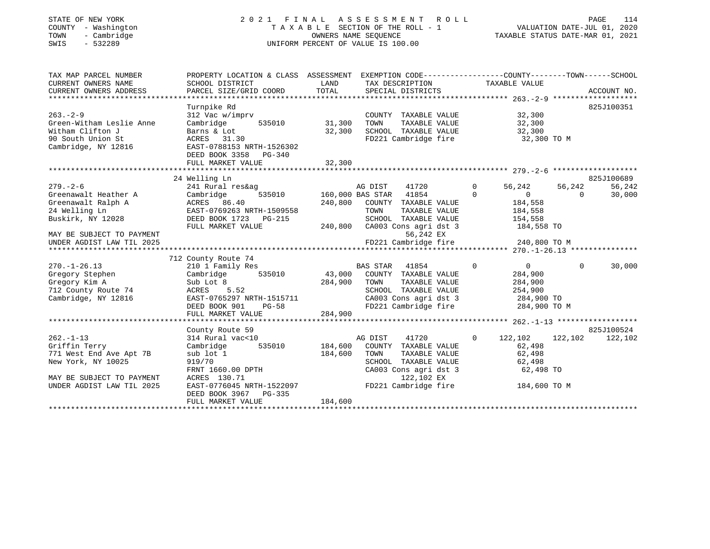#### STATE OF NEW YORK 2 0 2 1 F I N A L A S S E S S M E N T R O L L PAGE 114COUNTY - Washington T A X A B L E SECTION OF THE ROLL - 1 VALUATION DATE-JUL 01, 2020 TOWN - Cambridge OWNERS NAME SEQUENCE TAXABLE STATUS DATE-MAR 01, 2021 SWIS - 532289 UNIFORM PERCENT OF VALUE IS 100.00

| TAX MAP PARCEL NUMBER<br>CURRENT OWNERS NAME           | PROPERTY LOCATION & CLASS ASSESSMENT EXEMPTION CODE---------------COUNTY-------TOWN------SCHOOL<br>SCHOOL DISTRICT       | LAND    | TAX DESCRIPTION TAXABLE VALUE                         |                                                  |          |            |
|--------------------------------------------------------|--------------------------------------------------------------------------------------------------------------------------|---------|-------------------------------------------------------|--------------------------------------------------|----------|------------|
|                                                        |                                                                                                                          |         |                                                       |                                                  |          |            |
|                                                        | Turnpike Rd                                                                                                              |         |                                                       |                                                  |          | 825J100351 |
| $263 - 2 - 9$                                          |                                                                                                                          |         | COUNTY TAXABLE VALUE<br>TOWN TAXABLE VALUE            | 32,300                                           |          |            |
| Green-Witham Leslie Anne                               | 312 Vac w/imprv<br>Cambridge 535010 31,300                                                                               |         |                                                       | 32,300                                           |          |            |
| Witham Clifton J                                       | Barns & Lot                                                                                                              | 32,300  | SCHOOL TAXABLE VALUE 32,300                           |                                                  |          |            |
| 90 South Union St                                      | ACRES 31.30                                                                                                              |         | FD221 Cambridge fire 32,300 TO M                      |                                                  |          |            |
| Cambridge, NY 12816                                    | EAST-0788153 NRTH-1526302                                                                                                |         |                                                       |                                                  |          |            |
|                                                        | DEED BOOK 3358 PG-340                                                                                                    |         |                                                       |                                                  |          |            |
|                                                        |                                                                                                                          |         |                                                       |                                                  |          |            |
|                                                        | 24 Welling Ln                                                                                                            |         |                                                       |                                                  |          | 825J100689 |
| $279. - 2 - 6$                                         | 241 Rural res&ag                                                                                                         |         |                                                       | 56,242                                           | 56,242   | 56,242     |
| Greenawalt Heather A Cambridge                         |                                                                                                                          |         |                                                       | $\overline{0}$                                   | $\Omega$ | 30,000     |
|                                                        |                                                                                                                          |         | 240,800 COUNTY TAXABLE VALUE                          | 184,558                                          |          |            |
|                                                        |                                                                                                                          |         |                                                       |                                                  |          |            |
|                                                        | Greenawalt Ralph A (CRES 86.40)<br>24 Welling Ln (EAST-0769263 NRTH-1509558<br>Buskirk, NY 12028 (DEED BOOK 1723 DC-215) |         | TOWN       TAXABLE  VALUE<br>SCHOOL    TAXABLE  VALUE | 184,558<br>154,558                               |          |            |
|                                                        | FULL MARKET VALUE                                                                                                        |         | 240,800 CA003 Cons agri dst 3                         | 184,558 TO                                       |          |            |
| MAY BE SUBJECT TO PAYMENT                              |                                                                                                                          |         | 56,242 EX                                             |                                                  |          |            |
|                                                        |                                                                                                                          |         |                                                       |                                                  |          |            |
|                                                        |                                                                                                                          |         |                                                       |                                                  |          |            |
|                                                        | 712 County Route 74                                                                                                      |         |                                                       |                                                  |          |            |
| $270. - 1 - 26.13$                                     | 210 1 Family Res                                                                                                         |         | BAS STAR 41854<br>$\sim$ 0                            | $\overline{0}$                                   | $\Omega$ | 30,000     |
| Gregory Stephen                                        | Cambridge 535010 43,000 COUNTY TAXABLE VALUE                                                                             |         |                                                       | 284,900                                          |          |            |
| Gregory Kim A<br>712 County Route 74                   | Sub Lot 8<br>ACRES 5.52                                                                                                  | 284,900 | TOWN<br>TAXABLE VALUE<br>SCHOOL TAXABLE VALUE         | 284,900<br>254,900                               |          |            |
| Cambridge, NY 12816                                    | EAST-0765297 NRTH-1515711                                                                                                |         | CA003 Cons agri dst 3 284,900 TO                      |                                                  |          |            |
|                                                        | DEED BOOK 901<br><b>PG-58</b>                                                                                            |         | FD221 Cambridge fire 284,900 TO M                     |                                                  |          |            |
|                                                        | FULL MARKET VALUE                                                                                                        | 284,900 |                                                       |                                                  |          |            |
|                                                        |                                                                                                                          |         |                                                       |                                                  |          |            |
|                                                        | County Route 59                                                                                                          |         |                                                       |                                                  |          | 825J100524 |
| $262. -1 - 13$                                         | 314 Rural vac<10                                                                                                         |         | AG DIST<br>41720                                      | $0 \qquad 122,102 \qquad 122,102 \qquad 122,102$ |          |            |
| Griffin Terry                                          | 535010 184,600<br>Cambridge                                                                                              |         | COUNTY TAXABLE VALUE                                  | 62,498                                           |          |            |
| 771 West End Ave Apt 7B                                | sub lot 1                                                                                                                | 184,600 | TAXABLE VALUE<br>TOWN                                 | 62,498                                           |          |            |
| New York, NY 10025                                     | 919/70                                                                                                                   |         | SCHOOL TAXABLE VALUE                                  | 62,498                                           |          |            |
|                                                        | 919//0<br>FRNT 1660.00 DPTH<br>ACRES 130.71                                                                              |         | CA003 Cons agri dst 3 62,498 TO                       |                                                  |          |            |
| MAY BE SUBJECT TO PAYMENT<br>UNDER AGDIST LAW TIL 2025 | EAST-0776045 NRTH-1522097                                                                                                |         | 122,102 EX<br>FD221 Cambridge fire 184,600 TO M       |                                                  |          |            |
|                                                        | DEED BOOK 3967 PG-335                                                                                                    |         |                                                       |                                                  |          |            |
|                                                        | FULL MARKET VALUE                                                                                                        | 184,600 |                                                       |                                                  |          |            |
|                                                        |                                                                                                                          |         |                                                       |                                                  |          |            |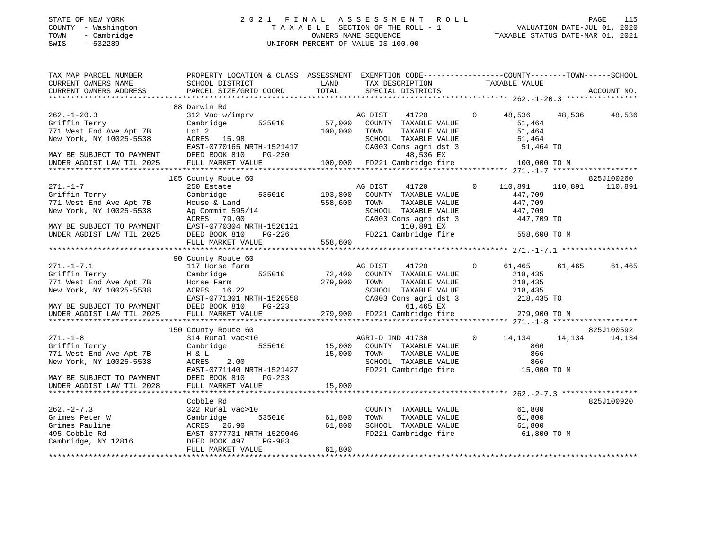SINIE OF NEW YORK<br>COUNTY - Washington<br>TOWN - Cambridge<br>SWIS - 532289

#### STATE OF NEW YORK 2 0 2 1 F I N A L A S S E S S M E N T R O L L PAGE 115 COUNTY - Washington T A X A B L E SECTION OF THE ROLL - 1 VALUATION DATE-JUL 01, 2020 TOWN - Cambridge OWNERS NAME SEQUENCE TAXABLE STATUS DATE-MAR 01, 2021 UNIFORM PERCENT OF VALUE IS 100.00

| TAX MAP PARCEL NUMBER<br>CURRENT OWNERS NAME<br>CURRENT OWNERS ADDRESS                                                                             | PROPERTY LOCATION & CLASS ASSESSMENT EXEMPTION CODE---------------COUNTY-------TOWN-----SCHOOL<br>SCHOOL DISTRICT<br>PARCEL SIZE/GRID COORD                                                                                                                                     | <b>LAND</b><br>TOTAL    | TAX DESCRIPTION<br>SPECIAL DISTRICTS                                                                                                                                                               | TAXABLE VALUE                                                                           | ACCOUNT NO.                      |
|----------------------------------------------------------------------------------------------------------------------------------------------------|---------------------------------------------------------------------------------------------------------------------------------------------------------------------------------------------------------------------------------------------------------------------------------|-------------------------|----------------------------------------------------------------------------------------------------------------------------------------------------------------------------------------------------|-----------------------------------------------------------------------------------------|----------------------------------|
|                                                                                                                                                    |                                                                                                                                                                                                                                                                                 |                         |                                                                                                                                                                                                    |                                                                                         |                                  |
| $262. - 1 - 20.3$<br>Griffin Terry<br>771 West End Ave Apt 7B<br>New York, NY 10025-5538<br>MAY BE SUBJECT TO PAYMENT<br>UNDER AGDIST LAW TIL 2025 | 88 Darwin Rd<br>312 Vac w/imprv<br>535010 57,000<br>Cambridge<br>Lot 2<br>ACRES 15.98<br>EAST-0770165 NRTH-1521417 CA00<br>DEED BOOK 810 PG-230<br>FULL MARKET VALUE                                                                                                            | 100,000                 | AG DIST<br>COUNTY TAXABLE VALUE<br>TOWN<br>TAXABLE VALUE<br>SCHOOL TAXABLE VALUE<br>CA003 Cons agri dst 3<br>48,536 EX<br>100,000 FD221 Cambridge fire                                             | 41720 0 48,536 48,536 48,536<br>51,464<br>51,464<br>51,464<br>51,464 TO<br>100,000 TO M |                                  |
|                                                                                                                                                    |                                                                                                                                                                                                                                                                                 |                         |                                                                                                                                                                                                    |                                                                                         |                                  |
| $271. - 1 - 7$<br>271.-1-7<br>Griffin Terry<br>Tread Ave Apt 7B                                                                                    | 105 County Route 60<br>250 Estate<br>535010 193,800<br>Cambridge<br>House & Land<br>New York, NY 10025-5538<br>MAY BE SUBJECT TO PAYMENT<br>MAY BE SUBJECT TO PAYMENT<br>EAST-0770304 NRTH-1520121<br>UNDER AGDIST LAW TIL 2025<br>DEED BOOK 810<br>PG-226<br>FULL MARKET VALUE | 558,600<br>558,600      | $\overline{0}$<br>AG DIST<br>41720<br>COUNTY TAXABLE VALUE<br>TOWN<br>TAXABLE VALUE<br>SCHOOL TAXABLE VALUE 447,709<br>CA003 Cons agri dst 3 447,709<br>110,891 EX 447,709<br>FD221 Cambridge fire | 110,891<br>447,709<br>447,709<br>447,709 TO<br>558,600 TO M                             | 825J100260<br>110,891<br>110,891 |
|                                                                                                                                                    | 90 County Route 60                                                                                                                                                                                                                                                              |                         |                                                                                                                                                                                                    |                                                                                         |                                  |
| $271. -1 - 7.1$<br>Griffin Terry<br>771 West End Ave Apt 7B<br>New York, NY 10025-5538<br>MAY BE SUBJECT TO PAYMENT<br>UNDER AGDIST LAW TIL 2025   | 117 Horse farm<br>535010<br>Cambridge<br>Horse Farm<br>ACRES 16.22<br>ACRES 16.22<br>EAST-0771301 NRTH-1520558 CA003 Cons agri dst 3 218,435 TO<br>DEED BOOK 810 PG-223 61,465 EX<br>FULL MARKET VALUE 279,900 FD221 Cambridge fire 279,900 TO M                                | 72,400<br>279,900       | AG DIST 41720<br>TOWN<br>COUNTY TAXABLE VALUE<br>TOWN TAXABLE VALUE<br>SCHOOL TAXABLE VALUE<br>218,435<br>The 218,435 TO<br>Constant dat 3                                                         | $\overline{0}$<br>61,465                                                                | 61,465<br>61,465                 |
|                                                                                                                                                    | 150 County Route 60                                                                                                                                                                                                                                                             |                         |                                                                                                                                                                                                    |                                                                                         | 825J100592                       |
| $271. - 1 - 8$<br>Griffin Terry<br>771 West End Ave Apt 7B<br>New York, NY 10025-5538<br>MAY BE SUBJECT TO PAYMENT                                 | 314 Rural vac<10<br>Cambridge<br>H & L<br>ACRES<br>2.00<br>EAST-0771140 NRTH-1521427<br>DEED BOOK 810<br>$PG-233$                                                                                                                                                               | 535010 15,000<br>15,000 | AGRI-D IND 41730<br>COUNTY TAXABLE VALUE<br>TOWN      TAXABLE VALUE<br>SCHOOL   TAXABLE VALUE<br>FD221 Cambridge fire 15,000 TO M                                                                  | $\overline{0}$<br>14,134<br>866<br>866<br>866                                           | 14,134<br>14,134                 |
| UNDER AGDIST LAW TIL 2028                                                                                                                          | FULL MARKET VALUE                                                                                                                                                                                                                                                               | 15,000                  |                                                                                                                                                                                                    |                                                                                         |                                  |
| $262 - 2 - 7.3$<br>Grimes Peter W<br>2816<br>Grimes Pauline<br>495 Cobble Rd<br>Cambridge, NY 12816                                                | Cobble Rd<br>322 Rural vac>10<br>Cambridge<br>ACRES 26.90<br>EAST-0777731 NRTH-1529046<br>DEED BOOK 497<br>PG-983                                                                                                                                                               | 535010 61,800<br>61,800 | COUNTY TAXABLE VALUE<br>TOWN<br>SCHOOL TAXABLE VALUE<br>FD221 Cambridge fire 61,800 TO M                                                                                                           | 61,800<br>61,800<br>61,800                                                              | 825J100920                       |
|                                                                                                                                                    | FULL MARKET VALUE                                                                                                                                                                                                                                                               | 61,800                  |                                                                                                                                                                                                    |                                                                                         |                                  |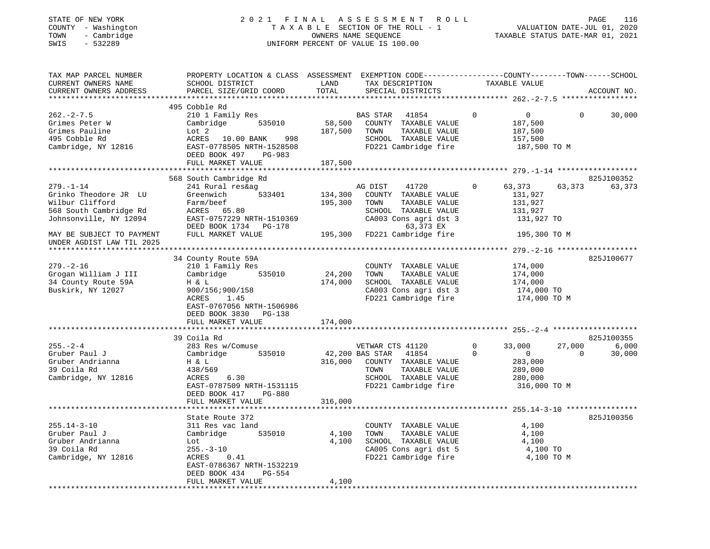## STATE OF NEW YORK 2 0 2 1 F I N A L A S S E S S M E N T R O L L PAGE 116 COUNTY - Washington T A X A B L E SECTION OF THE ROLL - 1 VALUATION DATE-JUL 01, 2020 TOWN - Cambridge OWNERS NAME SEQUENCE TAXABLE STATUS DATE-MAR 01, 2021 TOWN - Cambridge - TOWN - Cambridge - TOWN - Cambridge - TOWN - Cambridge - TOWN - Cambridge - TOWNERS NAME SEQUENCE

| TAX MAP PARCEL NUMBER     | PROPERTY LOCATION & CLASS ASSESSMENT EXEMPTION CODE----------------COUNTY-------TOWN------SCHOOL |         |                                                               |                |                       |              |             |
|---------------------------|--------------------------------------------------------------------------------------------------|---------|---------------------------------------------------------------|----------------|-----------------------|--------------|-------------|
| CURRENT OWNERS NAME       | SCHOOL DISTRICT                                                                                  | LAND    | TAX DESCRIPTION                                               |                | TAXABLE VALUE         |              |             |
| CURRENT OWNERS ADDRESS    | PARCEL SIZE/GRID COORD TOTAL                                                                     |         | SPECIAL DISTRICTS                                             |                |                       |              | ACCOUNT NO. |
|                           |                                                                                                  |         |                                                               |                |                       |              |             |
|                           | 495 Cobble Rd                                                                                    |         |                                                               |                |                       |              |             |
| $262 - 2 - 7.5$           | 210 1 Family Res                                                                                 |         |                                                               | $\Omega$       | $0 \qquad \qquad$     | $\Omega$     | 30,000      |
| Grimes Peter W            | Cambridge 535010                                                                                 |         | BAS STAR 41854<br>58,500 COUNTY TAXABLE VALUE                 |                | 187,500               |              |             |
| Grimes Pauline            | Lot 2                                                                                            |         | 187,500 TOWN TAXABLE VALUE                                    |                | 187,500               |              |             |
| 495 Cobble Rd             | ACRES 10.00 BANK<br>998                                                                          |         | SCHOOL TAXABLE VALUE                                          |                | 157,500               |              |             |
|                           |                                                                                                  |         |                                                               |                |                       |              |             |
| Cambridge, NY 12816       | EAST-0778505 NRTH-1528508                                                                        |         | FD221 Cambridge fire                                          |                | 187,500 TO M          |              |             |
|                           | DEED BOOK 497 PG-983                                                                             |         |                                                               |                |                       |              |             |
|                           | FULL MARKET VALUE                                                                                | 187,500 |                                                               |                |                       |              |             |
| ********************      | ***********************************                                                              |         |                                                               |                |                       |              |             |
|                           | 568 South Cambridge Rd                                                                           |         |                                                               |                |                       |              | 825J100352  |
| $279. - 1 - 14$           | 241 Rural res&ag                                                                                 |         | AG DIST<br>41720                                              | $\Omega$       | 63,373                | 63,373       | 63,373      |
| Grinko Theodore JR LU     | 533401<br>Greenwich                                                                              | 134,300 | COUNTY TAXABLE VALUE                                          |                | 131,927               |              |             |
| Wilbur Clifford           |                                                                                                  | 195,300 | TOWN<br>TAXABLE VALUE                                         |                | 131,927               |              |             |
| 568 South Cambridge Rd    | Farm/beef<br>ACRES     65.80                                                                     |         | SCHOOL TAXABLE VALUE                                          |                | 131,927               |              |             |
| Johnsonville, NY 12094    | EAST-0757229 NRTH-1510369                                                                        |         | CA003 Cons agri dst 3                                         |                | 131,927 TO            |              |             |
|                           | DEED BOOK 1734 PG-178                                                                            |         | 63,373 EX                                                     |                |                       |              |             |
|                           |                                                                                                  |         | 195,300 FD221 Cambridge fire                                  |                |                       |              |             |
| MAY BE SUBJECT TO PAYMENT | FULL MARKET VALUE                                                                                |         |                                                               |                | 195,300 TO M          |              |             |
| UNDER AGDIST LAW TIL 2025 |                                                                                                  |         |                                                               |                |                       |              |             |
|                           |                                                                                                  |         |                                                               |                |                       |              |             |
|                           | 34 County Route 59A                                                                              |         |                                                               |                |                       |              | 825J100677  |
| $279. - 2 - 16$           | 210 1 Family Res                                                                                 | 24,200  | COUNTY TAXABLE VALUE                                          |                | 174,000               |              |             |
| Grogan William J III      | Cambridge 535010                                                                                 |         | TOWN<br>TAXABLE VALUE                                         |                | 174,000               |              |             |
| 34 County Route 59A       | H & L                                                                                            | 174,000 | SCHOOL TAXABLE VALUE                                          |                | 174,000<br>174,000 TO |              |             |
| Buskirk, NY 12027         | 900/156;900/158                                                                                  |         | CA003 Cons agri dst 3                                         |                |                       |              |             |
|                           | ACRES<br>1.45                                                                                    |         | FD221 Cambridge fire                                          |                | 174,000 TO M          |              |             |
|                           | EAST-0767056 NRTH-1506986                                                                        |         |                                                               |                |                       |              |             |
|                           | DEED BOOK 3830 PG-138                                                                            |         |                                                               |                |                       |              |             |
|                           | FULL MARKET VALUE                                                                                | 174,000 |                                                               |                |                       |              |             |
|                           |                                                                                                  |         |                                                               |                |                       |              |             |
|                           | 39 Coila Rd                                                                                      |         |                                                               |                |                       |              | 825J100355  |
|                           |                                                                                                  |         |                                                               |                |                       |              |             |
| $255. - 2 - 4$            | 283 Res w/Comuse                                                                                 |         | VETWAR CTS 41120<br>42,200 BAS STAR 41854<br>VETWAR CTS 41120 | $\overline{0}$ | 33,000                | 27,000       | 6,000       |
| Gruber Paul J             | Cambridge 535010                                                                                 |         |                                                               | $\mathbf{0}$   | $\overline{0}$        | $\mathbf{0}$ | 30,000      |
| Gruber Andrianna          | H & L                                                                                            |         | 316,000 COUNTY TAXABLE VALUE                                  |                | 283,000<br>289,000    |              |             |
| 39 Coila Rd               | 438/569                                                                                          |         | TOWN<br>TAXABLE VALUE                                         |                |                       |              |             |
| Cambridge, NY 12816       | 6.30<br>ACRES                                                                                    |         | SCHOOL TAXABLE VALUE                                          |                | 280,000               |              |             |
|                           | EAST-0787509 NRTH-1531115                                                                        |         | FD221 Cambridge fire                                          |                | 316,000 TO M          |              |             |
|                           | DEED BOOK 417<br><b>PG-880</b>                                                                   |         |                                                               |                |                       |              |             |
|                           | FULL MARKET VALUE                                                                                | 316,000 |                                                               |                |                       |              |             |
|                           |                                                                                                  |         |                                                               |                |                       |              |             |
|                           | State Route 372                                                                                  |         |                                                               |                |                       |              | 825J100356  |
| $255.14 - 3 - 10$         | 311 Res vac land                                                                                 |         | COUNTY TAXABLE VALUE                                          |                | 4,100                 |              |             |
| Gruber Paul J             | Cambridge 535010                                                                                 | 4,100   | TOWN<br>TAXABLE VALUE                                         |                | 4,100                 |              |             |
| Gruber Andrianna          | Lot                                                                                              | 4,100   | SCHOOL TAXABLE VALUE                                          |                | 4,100                 |              |             |
|                           |                                                                                                  |         |                                                               |                |                       |              |             |
| 39 Coila Rd               | $255. - 3 - 10$                                                                                  |         | CA005 Cons agri dst 5<br>FD221 Cambridge fire 4,100 TO M      |                | 4,100 TO              |              |             |
| Cambridge, NY 12816       | ACRES<br>0.41                                                                                    |         |                                                               |                |                       |              |             |
|                           | EAST-0786367 NRTH-1532219                                                                        |         |                                                               |                |                       |              |             |
|                           | DEED BOOK 434<br>PG-554                                                                          |         |                                                               |                |                       |              |             |
|                           | FULL MARKET VALUE                                                                                | 4,100   |                                                               |                |                       |              |             |
|                           |                                                                                                  |         |                                                               |                |                       |              |             |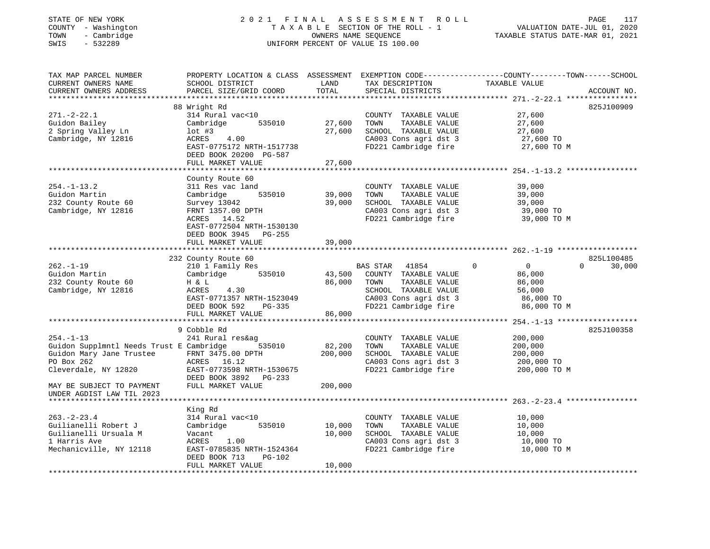| STATE OF NEW YORK<br>COUNTY - Washington<br>- Cambridge<br>TOWN<br>$-532289$<br>SWIS | 2021 FINAL                                                                                                                                   |                  | A S S E S S M E N T R O L L<br>TAXABLE SECTION OF THE ROLL - 1<br>OWNERS NAME SEQUENCE<br>UNIFORM PERCENT OF VALUE IS 100.00 | VALUATION DATE-JUL 01, 2020<br>TAXABLE STATUS DATE-MAR 01, 2021 | PAGE<br>117        |
|--------------------------------------------------------------------------------------|----------------------------------------------------------------------------------------------------------------------------------------------|------------------|------------------------------------------------------------------------------------------------------------------------------|-----------------------------------------------------------------|--------------------|
| TAX MAP PARCEL NUMBER<br>CURRENT OWNERS NAME<br>CURRENT OWNERS ADDRESS               | PROPERTY LOCATION & CLASS ASSESSMENT EXEMPTION CODE----------------COUNTY-------TOWN-----SCHOOL<br>SCHOOL DISTRICT<br>PARCEL SIZE/GRID COORD | LAND<br>TOTAL    | TAX DESCRIPTION<br>SPECIAL DISTRICTS                                                                                         | TAXABLE VALUE                                                   | ACCOUNT NO.        |
|                                                                                      | 88 Wright Rd                                                                                                                                 |                  |                                                                                                                              |                                                                 | 825J100909         |
| $271. - 2 - 22.1$                                                                    | 314 Rural vac<10                                                                                                                             |                  | COUNTY TAXABLE VALUE                                                                                                         | 27,600                                                          |                    |
| Guidon Bailey                                                                        | Cambridge<br>535010                                                                                                                          | 27,600           | TOWN<br>TAXABLE VALUE                                                                                                        | 27,600                                                          |                    |
| 2 Spring Valley Ln                                                                   | $1$ ot #3                                                                                                                                    | 27,600           | SCHOOL TAXABLE VALUE                                                                                                         | 27,600                                                          |                    |
| Cambridge, NY 12816                                                                  | ACRES<br>4.00                                                                                                                                |                  | CA003 Cons agri dst 3                                                                                                        | 27,600 TO                                                       |                    |
|                                                                                      | EAST-0775172 NRTH-1517738                                                                                                                    |                  | FD221 Cambridge fire                                                                                                         | 27,600 TO M                                                     |                    |
|                                                                                      | DEED BOOK 20200 PG-587                                                                                                                       |                  |                                                                                                                              |                                                                 |                    |
|                                                                                      | FULL MARKET VALUE                                                                                                                            | 27,600           |                                                                                                                              |                                                                 |                    |
|                                                                                      | ***************************                                                                                                                  |                  |                                                                                                                              |                                                                 |                    |
| $254. - 1 - 13.2$                                                                    | County Route 60<br>311 Res vac land                                                                                                          |                  | COUNTY TAXABLE VALUE                                                                                                         | 39,000                                                          |                    |
| Guidon Martin                                                                        | Cambridge<br>535010                                                                                                                          | 39,000           | TOWN<br>TAXABLE VALUE                                                                                                        | 39,000                                                          |                    |
| 232 County Route 60                                                                  | Survey 13042                                                                                                                                 | 39,000           | SCHOOL TAXABLE VALUE                                                                                                         | 39,000                                                          |                    |
| Cambridge, NY 12816                                                                  | FRNT 1357.00 DPTH                                                                                                                            |                  | CA003 Cons agri dst 3                                                                                                        | 39,000 TO                                                       |                    |
|                                                                                      | ACRES 14.52                                                                                                                                  |                  | FD221 Cambridge fire                                                                                                         | 39,000 TO M                                                     |                    |
|                                                                                      | EAST-0772504 NRTH-1530130                                                                                                                    |                  |                                                                                                                              |                                                                 |                    |
|                                                                                      | DEED BOOK 3945 PG-255                                                                                                                        |                  |                                                                                                                              |                                                                 |                    |
|                                                                                      | FULL MARKET VALUE                                                                                                                            | 39,000           |                                                                                                                              |                                                                 |                    |
|                                                                                      |                                                                                                                                              |                  |                                                                                                                              |                                                                 |                    |
|                                                                                      | 232 County Route 60                                                                                                                          |                  |                                                                                                                              |                                                                 | 825L100485         |
| 262.-1-19                                                                            | 210 1 Family Res                                                                                                                             |                  | BAS STAR<br>41854                                                                                                            | $\overline{0}$<br>$\Omega$                                      | $\Omega$<br>30,000 |
| Guidon Martin<br>232 County Route 60                                                 | Cambridge<br>535010<br>H & L                                                                                                                 | 43,500<br>86,000 | COUNTY TAXABLE VALUE<br>TAXABLE VALUE<br>TOWN                                                                                | 86,000<br>86,000                                                |                    |
| Cambridge, NY 12816                                                                  | ACRES<br>4.30                                                                                                                                |                  | SCHOOL TAXABLE VALUE                                                                                                         | 56,000                                                          |                    |
|                                                                                      | EAST-0771357 NRTH-1523049                                                                                                                    |                  | CA003 Cons agri dst 3                                                                                                        | 86,000 TO                                                       |                    |
|                                                                                      | DEED BOOK 592<br>PG-335                                                                                                                      |                  | FD221 Cambridge fire                                                                                                         | 86,000 TO M                                                     |                    |
|                                                                                      | FULL MARKET VALUE                                                                                                                            | 86,000           |                                                                                                                              |                                                                 |                    |
|                                                                                      |                                                                                                                                              |                  |                                                                                                                              |                                                                 |                    |
|                                                                                      | 9 Cobble Rd                                                                                                                                  |                  |                                                                                                                              |                                                                 | 825J100358         |
| $254. - 1 - 13$                                                                      | 241 Rural res&ag                                                                                                                             |                  | COUNTY TAXABLE VALUE                                                                                                         | 200,000                                                         |                    |
| Guidon Supplmntl Needs Trust E Cambridge 535010                                      |                                                                                                                                              | 82,200           | TOWN<br>TAXABLE VALUE                                                                                                        | 200,000                                                         |                    |
| Guidon Mary Jane Trustee                                                             | FRNT 3475.00 DPTH                                                                                                                            | 200,000          | SCHOOL TAXABLE VALUE                                                                                                         | 200,000                                                         |                    |
| PO Box 262                                                                           | ACRES 16.12                                                                                                                                  |                  | CA003 Cons agri dst 3                                                                                                        | 200,000 TO                                                      |                    |
| Cleverdale, NY 12820                                                                 | EAST-0773598 NRTH-1530675<br>DEED BOOK 3892 PG-233                                                                                           |                  | FD221 Cambridge fire                                                                                                         | 200,000 TO M                                                    |                    |
| MAY BE SUBJECT TO PAYMENT<br>UNDER AGDIST LAW TIL 2023                               | FULL MARKET VALUE                                                                                                                            | 200,000          |                                                                                                                              |                                                                 |                    |
|                                                                                      |                                                                                                                                              |                  |                                                                                                                              |                                                                 |                    |
|                                                                                      | King Rd                                                                                                                                      |                  |                                                                                                                              |                                                                 |                    |
| $263 - 2 - 23.4$                                                                     | 314 Rural vac<10                                                                                                                             |                  | COUNTY TAXABLE VALUE                                                                                                         | 10,000                                                          |                    |
| Guilianelli Robert J                                                                 | 535010<br>Cambridge                                                                                                                          | 10,000           | TOWN<br>TAXABLE VALUE                                                                                                        | 10,000                                                          |                    |
| Guilianelli Ursuala M                                                                | Vacant                                                                                                                                       | 10,000           | SCHOOL TAXABLE VALUE                                                                                                         | 10,000                                                          |                    |
| 1 Harris Ave                                                                         | ACRES<br>1.00                                                                                                                                |                  | CA003 Cons agri dst 3                                                                                                        | 10,000 TO                                                       |                    |
| Mechanicville, NY 12118                                                              | EAST-0785835 NRTH-1524364<br><b>PG-102</b>                                                                                                   |                  | FD221 Cambridge fire                                                                                                         | 10,000 TO M                                                     |                    |
|                                                                                      | DEED BOOK 713<br>FULL MARKET VALUE                                                                                                           | 10,000           |                                                                                                                              |                                                                 |                    |
| **********************                                                               |                                                                                                                                              |                  |                                                                                                                              |                                                                 |                    |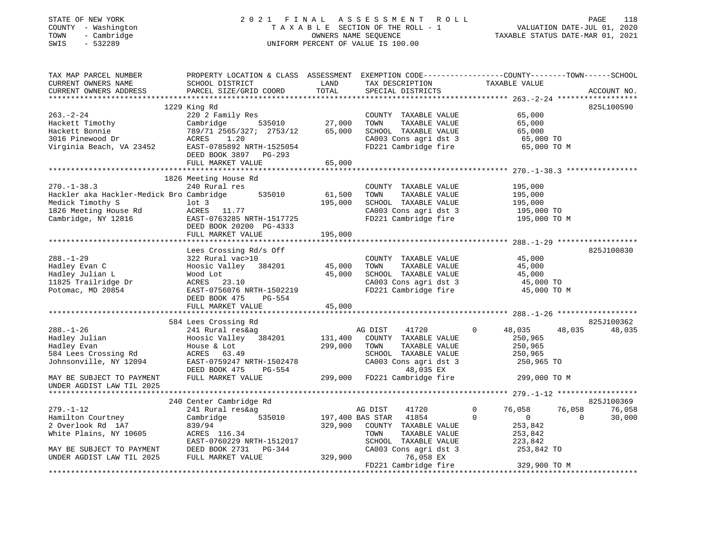STATE OF NEW YORK 2 0 2 1 F I N A L A S S E S S M E N T R O L L PAGE 118 COUNTY - Washington T A X A B L E SECTION OF THE ROLL - 1 VALUATION DATE-JUL 01, 2020 TOWN - Cambridge OWNERS NAME SEQUENCE TAXABLE STATUS DATE-MAR 01, 2021 SWIS - 532289 UNIFORM PERCENT OF VALUE IS 100.00

| TAX MAP PARCEL NUMBER                           | PROPERTY LOCATION & CLASS ASSESSMENT EXEMPTION CODE---------------COUNTY-------TOWN-----SCHOOL |         |                                               |                               |                    |
|-------------------------------------------------|------------------------------------------------------------------------------------------------|---------|-----------------------------------------------|-------------------------------|--------------------|
| CURRENT OWNERS NAME                             | SCHOOL DISTRICT                                                                                | LAND    | TAX DESCRIPTION                               | TAXABLE VALUE                 |                    |
| CURRENT OWNERS ADDRESS                          | PARCEL SIZE/GRID COORD                                                                         | TOTAL   | SPECIAL DISTRICTS                             |                               | ACCOUNT NO.        |
|                                                 |                                                                                                |         |                                               |                               |                    |
|                                                 | 1229 King Rd                                                                                   |         |                                               |                               | 825L100590         |
| $263. - 2 - 24$                                 | 220 2 Family Res                                                                               |         | COUNTY TAXABLE VALUE                          | 65,000                        |                    |
| Hackett Timothy                                 | 535010<br>Cambridge                                                                            | 27,000  | TOWN<br>TAXABLE VALUE                         | 65,000                        |                    |
| Hackett Bonnie                                  | 789/71 2565/327; 2753/12<br>ACRES 1.20                                                         | 65,000  | SCHOOL TAXABLE VALUE                          | 65,000                        |                    |
| 3016 Pinewood Dr                                |                                                                                                |         | CA003 Cons agri dst 3                         | $65,000$ TO<br>$65,000$ TO    |                    |
|                                                 | Virginia Beach, VA 23452 EAST-0785892 NRTH-1525054                                             |         | FD221 Cambridge fire                          | 65,000 TO M                   |                    |
|                                                 | DEED BOOK 3897 PG-293                                                                          |         |                                               |                               |                    |
|                                                 | FULL MARKET VALUE                                                                              | 65,000  |                                               |                               |                    |
|                                                 |                                                                                                |         |                                               |                               |                    |
|                                                 | 1826 Meeting House Rd                                                                          |         |                                               |                               |                    |
| $270. - 1 - 38.3$                               | 240 Rural res                                                                                  |         | COUNTY TAXABLE VALUE                          | 195,000                       |                    |
| Hackler aka Hackler-Medick Bro Cambridge        | 535010                                                                                         | 61,500  | TAXABLE VALUE<br>TOWN                         | 195,000                       |                    |
| Medick Timothy S                                | $1$ ot 3                                                                                       | 195,000 | SCHOOL TAXABLE VALUE                          | 195,000                       |                    |
| 1826 Meeting House Rd                           | ACRES 11.77                                                                                    |         | CA003 Cons agri dst 3<br>FD221 Cambridge fire | 195,000 TO                    |                    |
| Cambridge, NY 12816                             | EAST-0763285 NRTH-1517725                                                                      |         |                                               | 195,000 TO M                  |                    |
|                                                 | DEED BOOK 20200 PG-4333                                                                        |         |                                               |                               |                    |
|                                                 | FULL MARKET VALUE                                                                              | 195,000 |                                               |                               |                    |
|                                                 |                                                                                                |         |                                               |                               |                    |
|                                                 | Lees Crossing Rd/s Off                                                                         |         |                                               |                               | 825J100830         |
| $288. - 1 - 29$                                 | 322 Rural vac>10                                                                               |         | COUNTY TAXABLE VALUE                          | 45,000                        |                    |
| Hadley Evan C                                   | Hoosic Valley 384201 45,000                                                                    |         | TAXABLE VALUE<br>TOWN                         | 45,000                        |                    |
| Hadley Julian L                                 | Wood Lot                                                                                       | 45,000  | SCHOOL TAXABLE VALUE                          | 45,000                        |                    |
| 11825 Trailridge Dr<br>Potomac, MD 20854        | ACRES 23.10                                                                                    |         | CA003 Cons agri dst 3                         | 45,000 TO                     |                    |
|                                                 | EAST-0756076 NRTH-1502219                                                                      |         | FD221 Cambridge fire                          | 45,000 TO M                   |                    |
|                                                 | DEED BOOK 475<br>PG-554                                                                        |         |                                               |                               |                    |
|                                                 | FULL MARKET VALUE                                                                              | 45,000  |                                               |                               |                    |
|                                                 |                                                                                                |         |                                               |                               |                    |
|                                                 | 584 Lees Crossing Rd                                                                           |         |                                               |                               | 825J100362         |
| $288. - 1 - 26$                                 | 241 Rural res&ag                                                                               |         | AG DIST<br>41720                              | $\mathbf 0$<br>48,035         | 48,035<br>48,035   |
| Hadley Julian                                   | Hoosic Valley 384201                                                                           | 131,400 | COUNTY TAXABLE VALUE                          | 250,965                       |                    |
| Hadley Evan                                     | House & Lot                                                                                    | 299,000 | TOWN<br>TAXABLE VALUE                         | 250,965                       |                    |
| 584 Lees Crossing Rd                            | ACRES 63.49                                                                                    |         | SCHOOL TAXABLE VALUE                          | 250,965                       |                    |
| Johnsonville, NY 12094                          | EAST-0759247 NRTH-1502478                                                                      |         | CA003 Cons agri dst 3                         | 250,965 TO                    |                    |
|                                                 | DEED BOOK 475<br>PG-554                                                                        |         | 48,035 EX                                     |                               |                    |
| MAY BE SUBJECT TO PAYMENT                       | FULL MARKET VALUE                                                                              |         | 299,000 FD221 Cambridge fire                  | 299,000 TO M                  |                    |
| UNDER AGDIST LAW TIL 2025                       |                                                                                                |         |                                               |                               |                    |
|                                                 |                                                                                                |         |                                               |                               |                    |
|                                                 | 240 Center Cambridge Rd                                                                        |         |                                               |                               | 825J100369         |
| $279. - 1 - 12$                                 | 241 Rural res&ag                                                                               |         | AG DIST<br>41720                              | 0<br>76,058                   | 76,058<br>76,058   |
| Hamilton Courtney                               | 535010<br>Cambridge                                                                            |         | 197,400 BAS STAR<br>41854                     | $\mathbf 0$<br>$\overline{0}$ | $\Omega$<br>30,000 |
| 2 Overlook Rd 1A7                               | 839/94                                                                                         |         | 329,900 COUNTY TAXABLE VALUE                  | 253,842                       |                    |
|                                                 |                                                                                                |         | TOWN<br>TAXABLE VALUE                         | 253,842                       |                    |
| White Plains, NY 10605<br>EAST-0760229 N        | EAST-0760229 NRTH-1512017                                                                      |         | SCHOOL TAXABLE VALUE                          | 223,842                       |                    |
| MAY BE SUBJECT TO PAYMENT DEED BOOK 2731 PG-344 |                                                                                                |         | CA003 Cons agri dst 3                         | 253,842 TO                    |                    |
| UNDER AGDIST LAW TIL 2025                       | FULL MARKET VALUE                                                                              | 329,900 | 76,058 EX                                     |                               |                    |
|                                                 |                                                                                                |         | FD221 Cambridge fire                          | 329,900 TO M                  |                    |
|                                                 |                                                                                                |         |                                               |                               |                    |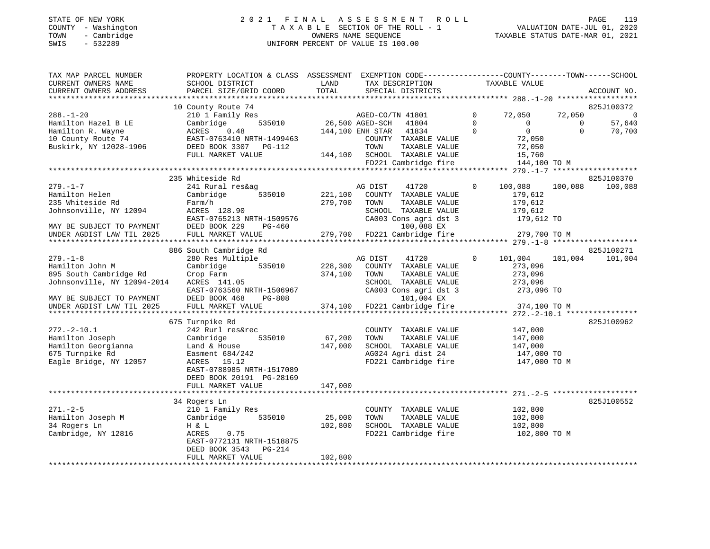#### STATE OF NEW YORK 2 0 2 1 F I N A L A S S E S S M E N T R O L L PAGE 119 COUNTY - Washington T A X A B L E SECTION OF THE ROLL - 1 VALUATION DATE-JUL 01, 2020 TOWN - Cambridge OWNERS NAME SEQUENCE TAXABLE STATUS DATE-MAR 01, 2021 SWIS - 532289 UNIFORM PERCENT OF VALUE IS 100.00UNIFORM PERCENT OF VALUE IS 100.00

| TAX MAP PARCEL NUMBER       | PROPERTY LOCATION & CLASS ASSESSMENT EXEMPTION CODE----------------COUNTY-------TOWN------SCHOOL |                 |                        |                                            |                |                    |          |             |
|-----------------------------|--------------------------------------------------------------------------------------------------|-----------------|------------------------|--------------------------------------------|----------------|--------------------|----------|-------------|
| CURRENT OWNERS NAME         | SCHOOL DISTRICT                                                                                  | LAND            |                        | TAX DESCRIPTION                            |                | TAXABLE VALUE      |          |             |
| CURRENT OWNERS ADDRESS      | PARCEL SIZE/GRID COORD                                                                           | TOTAL           |                        | SPECIAL DISTRICTS                          |                |                    |          | ACCOUNT NO. |
|                             |                                                                                                  |                 |                        |                                            |                |                    |          |             |
|                             | 10 County Route 74                                                                               |                 |                        |                                            |                |                    |          | 825J100372  |
| $288. - 1 - 20$             | 210 1 Family Res                                                                                 |                 |                        | AGED-CO/TN 41801                           | $\overline{0}$ | 72,050             | 72,050   | $\mathbf 0$ |
| Hamilton Hazel B LE         | 535010<br>Cambridge                                                                              | 26,500 AGED-SCH |                        | 41804                                      | $\Omega$       | $\mathbf 0$        | $\Omega$ | 57,640      |
| Hamilton R. Wayne           | ACRES 0.48                                                                                       |                 | 144,100 ENH STAR 41834 |                                            | $\overline{0}$ | $\overline{0}$     | $\Omega$ | 70,700      |
| 10 County Route 74          |                                                                                                  |                 |                        | COUNTY TAXABLE VALUE                       |                | 72,050             |          |             |
| Buskirk, NY 12028-1906      |                                                                                                  |                 | TOWN                   | TAXABLE VALUE                              |                | 72,050             |          |             |
|                             | FULL MARKET VALUE                                                                                |                 |                        | 144,100 SCHOOL TAXABLE VALUE               |                | 15,760             |          |             |
|                             |                                                                                                  |                 |                        | FD221 Cambridge fire 144,100 TO M          |                |                    |          |             |
|                             |                                                                                                  |                 |                        |                                            |                |                    |          |             |
|                             |                                                                                                  |                 |                        |                                            |                |                    |          |             |
|                             | 235 Whiteside Rd                                                                                 |                 |                        |                                            |                |                    |          | 825J100370  |
| $279. - 1 - 7$              | 241 Rural res&ag                                                                                 |                 | AG DIST                | 41720                                      | $\Omega$       | 100,088            | 100,088  | 100,088     |
| Hamilton Helen              | 535010<br>Cambridge                                                                              | 221,100         |                        | COUNTY TAXABLE VALUE                       |                | 179,612            |          |             |
| 235 Whiteside Rd            | Farm/h                                                                                           | 279,700         | TOWN                   | TAXABLE VALUE                              |                | 179,612            |          |             |
| Johnsonville, NY 12094      | ACRES 128.90                                                                                     |                 |                        | SCHOOL TAXABLE VALUE                       |                | 179,612            |          |             |
|                             | EAST-0765213 NRTH-1509576                                                                        |                 |                        | CA003 Cons agri dst 3                      |                | $179,612$ TO       |          |             |
| MAY BE SUBJECT TO PAYMENT   | DEED BOOK 229<br>PG-460                                                                          |                 |                        | 100,088 EX                                 |                |                    |          |             |
| UNDER AGDIST LAW TIL 2025   | FULL MARKET VALUE                                                                                |                 |                        | 279,700 FD221 Cambridge fire 279,700 TO M  |                |                    |          |             |
|                             |                                                                                                  |                 |                        |                                            |                |                    |          |             |
|                             | 886 South Cambridge Rd                                                                           |                 |                        |                                            |                |                    |          | 825J100271  |
| $279. - 1 - 8$              | 280 Res Multiple                                                                                 |                 | AG DIST                | 41720                                      | $\mathbf{0}$   | 101,004            | 101,004  | 101,004     |
| Hamilton John M             | 535010<br>Cambridge                                                                              | 228,300         |                        | COUNTY TAXABLE VALUE                       |                | 273,096            |          |             |
| 895 South Cambridge Rd      | Crop Farm                                                                                        | 374,100         | TOWN                   | TAXABLE VALUE                              |                | 273,096            |          |             |
| Johnsonville, NY 12094-2014 | ACRES 141.05                                                                                     |                 |                        | SCHOOL TAXABLE VALUE                       |                | 273,096            |          |             |
|                             | EAST-0763560 NRTH-1506967                                                                        |                 |                        | CA003 Cons agri dst 3                      |                | 273,096 TO         |          |             |
| MAY BE SUBJECT TO PAYMENT   | DEED BOOK 468<br>$PG-808$                                                                        |                 |                        | 101,004 EX                                 |                |                    |          |             |
| UNDER AGDIST LAW TIL 2025   | FULL MARKET VALUE                                                                                |                 |                        | 374,100 FD221 Cambridge fire               |                | 374,100 TO M       |          |             |
|                             |                                                                                                  |                 |                        |                                            |                |                    |          |             |
|                             | 675 Turnpike Rd                                                                                  |                 |                        |                                            |                |                    |          | 825J100962  |
| $272. - 2 - 10.1$           | 242 Rurl res&rec                                                                                 |                 |                        | COUNTY TAXABLE VALUE 147,000               |                |                    |          |             |
| Hamilton Joseph             | 535010<br>Cambridge                                                                              | 67,200          | TOWN                   | TAXABLE VALUE                              |                |                    |          |             |
| Hamilton Georgianna         | Land & House                                                                                     | 147,000         |                        | SCHOOL TAXABLE VALUE                       |                | 147,000<br>147,000 |          |             |
| 675 Turnpike Rd             | Easment 684/242                                                                                  |                 |                        |                                            |                | 147,000 TO         |          |             |
| Eagle Bridge, NY 12057      | ACRES 15.12                                                                                      |                 |                        | AG024 Agri dist 24<br>FD221 Cambridge fire |                | 147,000 TO M       |          |             |
|                             | EAST-0788985 NRTH-1517089                                                                        |                 |                        |                                            |                |                    |          |             |
|                             | DEED BOOK 20191 PG-28169                                                                         |                 |                        |                                            |                |                    |          |             |
|                             | FULL MARKET VALUE                                                                                | 147,000         |                        |                                            |                |                    |          |             |
|                             |                                                                                                  |                 |                        |                                            |                |                    |          |             |
|                             | 34 Rogers Ln                                                                                     |                 |                        |                                            |                |                    |          | 825J100552  |
| $271. - 2 - 5$              | 210 1 Family Res                                                                                 |                 |                        | COUNTY TAXABLE VALUE                       |                | 102,800            |          |             |
| Hamilton Joseph M           | 535010<br>Cambridge                                                                              | 25,000          | TOWN                   | TAXABLE VALUE                              |                | 102,800            |          |             |
| 34 Rogers Ln                | H & L                                                                                            | 102,800         |                        | SCHOOL TAXABLE VALUE                       |                | 102,800            |          |             |
|                             |                                                                                                  |                 |                        | FD221 Cambridge fire 102,800 TO M          |                |                    |          |             |
| Cambridge, NY 12816         | ACRES<br>0.75                                                                                    |                 |                        |                                            |                |                    |          |             |
|                             | EAST-0772131 NRTH-1518875                                                                        |                 |                        |                                            |                |                    |          |             |
|                             | DEED BOOK 3543<br>PG-214                                                                         |                 |                        |                                            |                |                    |          |             |
|                             | FULL MARKET VALUE                                                                                | 102,800         |                        |                                            |                |                    |          |             |
|                             |                                                                                                  |                 |                        |                                            |                |                    |          |             |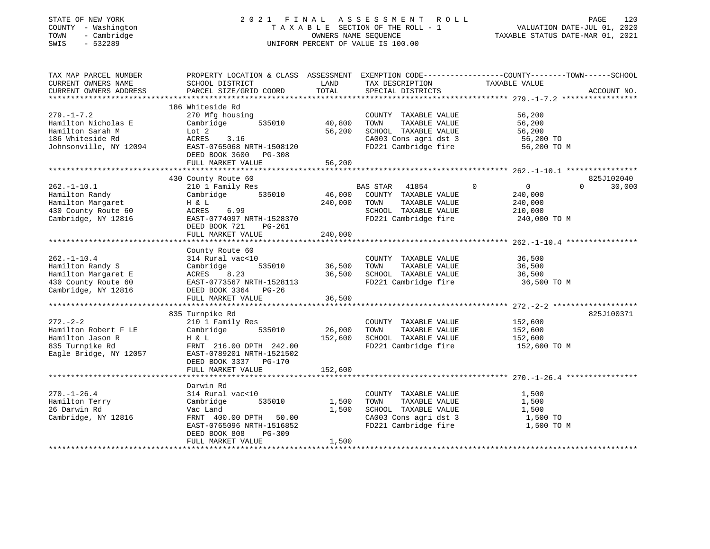#### STATE OF NEW YORK 2 0 2 1 F I N A L A S S E S S M E N T R O L L PAGE 120 COUNTY - Washington T A X A B L E SECTION OF THE ROLL - 1 VALUATION DATE-JUL 01, 2020 TOWN - Cambridge OWNERS NAME SEQUENCE TAXABLE STATUS DATE-MAR 01, 2021 SWIS - 532289 UNIFORM PERCENT OF VALUE IS 100.00UNIFORM PERCENT OF VALUE IS 100.00

| TAX MAP PARCEL NUMBER<br>CURRENT OWNERS NAME<br>CURRENT OWNERS ADDRESS                                     | SCHOOL DISTRICT<br>PARCEL SIZE/GRID COORD                                                                                                                                 | LAND<br>TOTAL                | TAX DESCRIPTION<br>SPECIAL DISTRICTS                                                                                   | PROPERTY LOCATION & CLASS ASSESSMENT EXEMPTION CODE----------------COUNTY-------TOWN------SCHOOL<br>TAXABLE VALUE<br>ACCOUNT NO. |        |
|------------------------------------------------------------------------------------------------------------|---------------------------------------------------------------------------------------------------------------------------------------------------------------------------|------------------------------|------------------------------------------------------------------------------------------------------------------------|----------------------------------------------------------------------------------------------------------------------------------|--------|
| $279. - 1 - 7.2$<br>Hamilton Nicholas E<br>Hamilton Sarah M<br>186 Whiteside Rd<br>Johnsonville, NY 12094  | 186 Whiteside Rd<br>270 Mfg housing<br>Cambridge<br>535010<br>Lot 2<br>ACRES<br>3.16<br>EAST-0765068 NRTH-1508120<br>DEED BOOK 3600 PG-308<br>FULL MARKET VALUE           | 40,800<br>56,200<br>56,200   | COUNTY TAXABLE VALUE<br>TAXABLE VALUE<br>TOWN<br>SCHOOL TAXABLE VALUE<br>CA003 Cons agri dst 3<br>FD221 Cambridge fire | 56,200<br>56,200<br>56,200<br>56,200 TO<br>56,200 TO M                                                                           |        |
| $262. - 1 - 10.1$<br>Hamilton Randy<br>Hamilton Margaret<br>430 County Route 60<br>Cambridge, NY 12816     | 430 County Route 60<br>210 1 Family Res<br>535010<br>Cambridge<br>H & L<br>ACRES<br>6.99<br>EAST-0774097 NRTH-1528370<br>DEED BOOK 721<br>PG-261<br>FULL MARKET VALUE     | 46,000<br>240,000<br>240,000 | BAS STAR 41854<br>COUNTY TAXABLE VALUE<br>TOWN<br>TAXABLE VALUE<br>SCHOOL TAXABLE VALUE<br>FD221 Cambridge fire        | 825J102040<br>$\overline{0}$<br>$\Omega$<br>$0 \qquad \qquad$<br>240,000<br>240,000<br>210,000<br>240,000 TO M                   | 30,000 |
| $262. - 1 - 10.4$<br>Hamilton Randy S<br>Hamilton Margaret E<br>430 County Route 60<br>Cambridge, NY 12816 | County Route 60<br>314 Rural vac<10<br>535010<br>Cambridge<br>8.23<br>ACRES<br>EAST-0773567 NRTH-1528113<br>DEED BOOK 3364 PG-26                                          | 36,500<br>36,500             | COUNTY TAXABLE VALUE<br>TOWN<br>TAXABLE VALUE<br>SCHOOL TAXABLE VALUE<br>FD221 Cambridge fire                          | 36,500<br>36,500<br>36,500<br>36,500 TO M                                                                                        |        |
| $272. - 2 - 2$<br>Hamilton Robert F LE<br>Hamilton Jason R<br>835 Turnpike Rd<br>Eagle Bridge, NY 12057    | 835 Turnpike Rd<br>210 1 Family Res<br>535010<br>Cambridge<br>H & L<br>FRNT 216.00 DPTH 242.00<br>EAST-0789201 NRTH-1521502<br>DEED BOOK 3337 PG-170<br>FULL MARKET VALUE | 26,000<br>152,600<br>152,600 | COUNTY TAXABLE VALUE<br>TAXABLE VALUE<br>TOWN<br>SCHOOL TAXABLE VALUE<br>FD221 Cambridge fire                          | 825J100371<br>152,600<br>152,600<br>152,600<br>152,600 TO M                                                                      |        |
| $270. - 1 - 26.4$<br>Hamilton Terry<br>26 Darwin Rd<br>Cambridge, NY 12816                                 | Darwin Rd<br>314 Rural vac<10<br>535010<br>Cambridge<br>Vac Land<br>FRNT 400.00 DPTH 50.00<br>EAST-0765096 NRTH-1516852<br>DEED BOOK 808<br>PG-309<br>FULL MARKET VALUE   | 1,500<br>1,500<br>1,500      | COUNTY TAXABLE VALUE<br>TAXABLE VALUE<br>TOWN<br>SCHOOL TAXABLE VALUE<br>CA003 Cons agri dst 3<br>FD221 Cambridge fire | 1,500<br>1,500<br>1,500<br>1,500 TO<br>1,500 TO M                                                                                |        |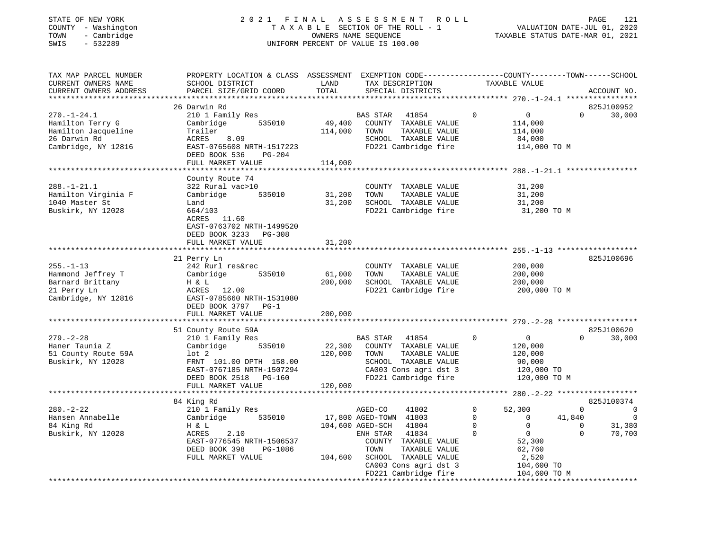#### STATE OF NEW YORK 2 0 2 1 F I N A L A S S E S S M E N T R O L L PAGE 121 COUNTY - Washington T A X A B L E SECTION OF THE ROLL - 1 VALUATION DATE-JUL 01, 2020 TOWN - Cambridge OWNERS NAME SEQUENCE TAXABLE STATUS DATE-MAR 01, 2021 SWIS - 532289 UNIFORM PERCENT OF VALUE IS 100.00UNIFORM PERCENT OF VALUE IS 100.00

| TAX MAP PARCEL NUMBER<br>CURRENT OWNERS NAME<br>CURRENT OWNERS ADDRESS                              | PROPERTY LOCATION & CLASS ASSESSMENT<br>SCHOOL DISTRICT<br>PARCEL SIZE/GRID COORD                                                                                                                 | LAND<br>TOTAL                          | EXEMPTION CODE-----------------COUNTY-------TOWN------SCHOOL<br>TAX DESCRIPTION<br>SPECIAL DISTRICTS                                                                                                                       | TAXABLE VALUE                                                                                                                                                                                  | ACCOUNT NO.                                                                                                |
|-----------------------------------------------------------------------------------------------------|---------------------------------------------------------------------------------------------------------------------------------------------------------------------------------------------------|----------------------------------------|----------------------------------------------------------------------------------------------------------------------------------------------------------------------------------------------------------------------------|------------------------------------------------------------------------------------------------------------------------------------------------------------------------------------------------|------------------------------------------------------------------------------------------------------------|
| $270. - 1 - 24.1$<br>Hamilton Terry G<br>Hamilton Jacqueline<br>26 Darwin Rd<br>Cambridge, NY 12816 | 26 Darwin Rd<br>210 1 Family Res<br>Cambridge<br>535010<br>Trailer<br>ACRES<br>8.09<br>EAST-0765608 NRTH-1517223<br>DEED BOOK 536<br>PG-204<br>FULL MARKET VALUE                                  | 49,400<br>114,000<br>114,000           | 41854<br>BAS STAR<br>COUNTY TAXABLE VALUE<br>TOWN<br>TAXABLE VALUE<br>SCHOOL TAXABLE VALUE<br>FD221 Cambridge fire                                                                                                         | $\Omega$<br>$\overline{0}$<br>114,000<br>114,000<br>84,000<br>114,000 TO M                                                                                                                     | 825J100952<br>30,000<br>$\Omega$                                                                           |
| $288. - 1 - 21.1$<br>Hamilton Virginia F<br>1040 Master St<br>Buskirk, NY 12028                     | County Route 74<br>322 Rural vac>10<br>Cambridge<br>535010<br>Land<br>664/103<br>ACRES 11.60<br>EAST-0763702 NRTH-1499520<br>DEED BOOK 3233<br><b>PG-308</b>                                      | 31,200<br>31,200                       | COUNTY TAXABLE VALUE<br>TOWN<br>TAXABLE VALUE<br>SCHOOL TAXABLE VALUE<br>FD221 Cambridge fire                                                                                                                              | 31,200<br>31,200<br>31,200<br>31,200 TO M                                                                                                                                                      |                                                                                                            |
| $255. - 1 - 13$<br>Hammond Jeffrey T<br>Barnard Brittany<br>21 Perry Ln<br>Cambridge, NY 12816      | FULL MARKET VALUE<br>21 Perry Ln<br>242 Rurl res&rec<br>Cambridge<br>535010<br>H & L<br>ACRES 12.00<br>EAST-0785660 NRTH-1531080<br>DEED BOOK 3797 PG-1<br>FULL MARKET VALUE<br>***************** | 31,200<br>61,000<br>200,000<br>200,000 | COUNTY TAXABLE VALUE<br>TOWN<br>TAXABLE VALUE<br>SCHOOL TAXABLE VALUE<br>FD221 Cambridge fire                                                                                                                              | 200,000<br>200,000<br>200,000<br>200,000 TO M                                                                                                                                                  | 825J100696                                                                                                 |
| $279. - 2 - 28$<br>Haner Taunia Z<br>51 County Route 59A<br>Buskirk, NY 12028                       | 51 County Route 59A<br>210 1 Family Res<br>Cambridge<br>535010<br>$1$ ot $2$<br>FRNT 101.00 DPTH 158.00<br>EAST-0767185 NRTH-1507294<br>DEED BOOK 2518 PG-160<br>FULL MARKET VALUE                | 22,300<br>120,000<br>120,000           | BAS STAR 41854<br>COUNTY TAXABLE VALUE<br>TOWN<br>TAXABLE VALUE<br>SCHOOL TAXABLE VALUE<br>CA003 Cons agri dst 3<br>FD221 Cambridge fire                                                                                   | $\mathbf 0$<br>$\overline{0}$<br>120,000<br>120,000<br>90,000<br>120,000 TO<br>120,000 TO M                                                                                                    | 825J100620<br>30,000<br>$\Omega$                                                                           |
| $280. - 2 - 22$<br>Hansen Annabelle<br>84 King Rd<br>Buskirk, NY 12028                              | **********************<br>84 King Rd<br>210 1 Family Res<br>535010<br>Cambridge<br>H & L<br>ACRES<br>2.10<br>EAST-0776545 NRTH-1506537<br>DEED BOOK 398<br>PG-1086<br>FULL MARKET VALUE           | 104,600                                | ************************<br>AGED-CO<br>41802<br>17,800 AGED-TOWN 41803<br>104,600 AGED-SCH<br>41804<br>ENH STAR<br>41834<br>COUNTY TAXABLE VALUE<br>TAXABLE VALUE<br>TOWN<br>SCHOOL TAXABLE VALUE<br>CA003 Cons agri dst 3 | ********* 280.-2-22 ******************<br>$\mathbf 0$<br>52,300<br>$\mathbf 0$<br>$\mathbf 0$<br>$\Omega$<br>$\Omega$<br>$\Omega$<br>$\overline{0}$<br>52,300<br>62,760<br>2,520<br>104,600 TO | 825J100374<br>$\mathbf 0$<br>$\mathbf 0$<br>$\Omega$<br>41,840<br>31,380<br>$\Omega$<br>$\Omega$<br>70,700 |
|                                                                                                     |                                                                                                                                                                                                   |                                        | FD221 Cambridge fire                                                                                                                                                                                                       | 104,600 TO M                                                                                                                                                                                   |                                                                                                            |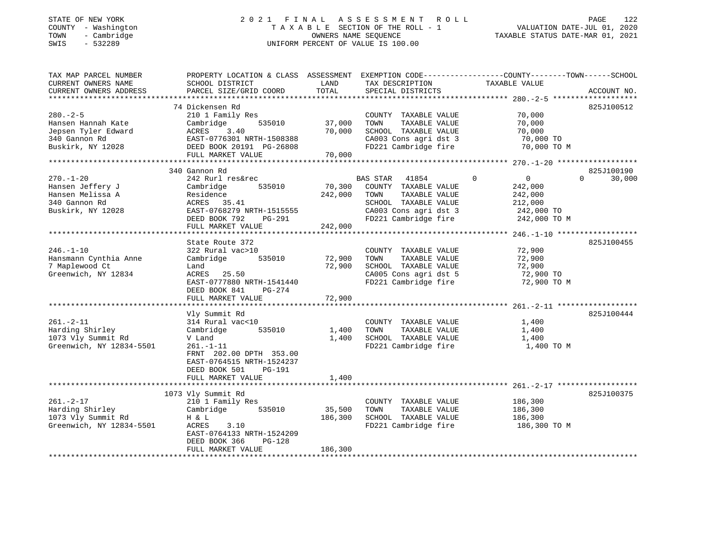#### STATE OF NEW YORK 2 0 2 1 F I N A L A S S E S S M E N T R O L L PAGE 122 COUNTY - Washington T A X A B L E SECTION OF THE ROLL - 1 VALUATION DATE-JUL 01, 2020 TOWN - Cambridge OWNERS NAME SEQUENCE TAXABLE STATUS DATE-MAR 01, 2021 SWIS - 532289 UNIFORM PERCENT OF VALUE IS 100.00

| TAX MAP PARCEL NUMBER<br>CURRENT OWNERS NAME<br>CURRENT OWNERS ADDRESS                            | PROPERTY LOCATION & CLASS ASSESSMENT<br>SCHOOL DISTRICT<br>PARCEL SIZE/GRID COORD                                                                                        | LAND<br>TOTAL                | TAX DESCRIPTION<br>SPECIAL DISTRICTS                                                                                                        | EXEMPTION CODE-----------------COUNTY-------TOWN------SCHOOL<br>TAXABLE VALUE                | ACCOUNT NO.                      |
|---------------------------------------------------------------------------------------------------|--------------------------------------------------------------------------------------------------------------------------------------------------------------------------|------------------------------|---------------------------------------------------------------------------------------------------------------------------------------------|----------------------------------------------------------------------------------------------|----------------------------------|
| $280. - 2 - 5$<br>Hansen Hannah Kate<br>Jepsen Tyler Edward<br>340 Gannon Rd<br>Buskirk, NY 12028 | 74 Dickensen Rd<br>210 1 Family Res<br>Cambridge<br>535010<br>ACRES<br>3.40<br>EAST-0776301 NRTH-1508388<br>DEED BOOK 20191 PG-26808<br>FULL MARKET VALUE                | 37,000<br>70,000<br>70,000   | COUNTY TAXABLE VALUE<br>TOWN<br>TAXABLE VALUE<br>SCHOOL TAXABLE VALUE<br>CA003 Cons agri dst 3<br>FD221 Cambridge fire                      | 70,000<br>70,000<br>70,000<br>70,000 TO<br>70,000 TO M                                       | 825J100512                       |
|                                                                                                   |                                                                                                                                                                          |                              |                                                                                                                                             |                                                                                              |                                  |
| $270. - 1 - 20$<br>Hansen Jeffery J<br>Hansen Melissa A<br>340 Gannon Rd<br>Buskirk, NY 12028     | 340 Gannon Rd<br>242 Rurl res&rec<br>Cambridge<br>535010<br>Residence<br>ACRES 35.41<br>EAST-0768279 NRTH-1515555<br>DEED BOOK 792<br>PG-291<br>FULL MARKET VALUE        | 70,300<br>242,000<br>242,000 | BAS STAR<br>41854<br>COUNTY TAXABLE VALUE<br>TAXABLE VALUE<br>TOWN<br>SCHOOL TAXABLE VALUE<br>CA003 Cons agri dst 3<br>FD221 Cambridge fire | $\mathbf 0$<br>$\overline{0}$<br>242,000<br>242,000<br>212,000<br>242,000 TO<br>242,000 TO M | 825J100190<br>$\Omega$<br>30,000 |
|                                                                                                   | State Route 372                                                                                                                                                          |                              |                                                                                                                                             |                                                                                              | 825J100455                       |
| $246. - 1 - 10$<br>Hansmann Cynthia Anne<br>7 Maplewood Ct<br>Greenwich, NY 12834                 | 322 Rural vac>10<br>535010<br>Cambridge<br>Land<br>ACRES<br>25.50<br>EAST-0777880 NRTH-1541440<br>DEED BOOK 841<br>$PG-274$<br>FULL MARKET VALUE                         | 72,900<br>72,900<br>72,900   | COUNTY TAXABLE VALUE<br>TAXABLE VALUE<br>TOWN<br>SCHOOL TAXABLE VALUE<br>CA005 Cons agri dst 5<br>FD221 Cambridge fire                      | 72,900<br>72,900<br>72,900<br>72,900 TO<br>72,900 TO M                                       |                                  |
|                                                                                                   |                                                                                                                                                                          |                              |                                                                                                                                             |                                                                                              | 825J100444                       |
| $261. - 2 - 11$<br>Harding Shirley<br>1073 Vly Summit Rd<br>Greenwich, NY 12834-5501              | Vly Summit Rd<br>314 Rural vac<10<br>535010<br>Cambridge<br>V Land<br>$261. - 1 - 11$<br>FRNT 202.00 DPTH 353.00<br>EAST-0764515 NRTH-1524237<br>DEED BOOK 501<br>PG-191 | 1,400<br>1,400               | COUNTY TAXABLE VALUE<br>TOWN<br>TAXABLE VALUE<br>SCHOOL TAXABLE VALUE<br>FD221 Cambridge fire                                               | 1,400<br>1,400<br>1,400<br>1,400 TO M                                                        |                                  |
|                                                                                                   | FULL MARKET VALUE                                                                                                                                                        | 1,400                        |                                                                                                                                             |                                                                                              |                                  |
| $261. - 2 - 17$<br>Harding Shirley<br>1073 Vly Summit Rd<br>Greenwich, NY 12834-5501              | 1073 Vly Summit Rd<br>210 1 Family Res<br>Cambridge<br>535010<br>H & L<br>ACRES<br>3.10<br>EAST-0764133 NRTH-1524209<br>DEED BOOK 366<br>$PG-128$<br>FULL MARKET VALUE   | 35,500<br>186,300<br>186,300 | COUNTY TAXABLE VALUE<br>TOWN<br>TAXABLE VALUE<br>SCHOOL TAXABLE VALUE<br>FD221 Cambridge fire                                               | 186,300<br>186,300<br>186,300<br>186,300 TO M                                                | 825J100375                       |
|                                                                                                   |                                                                                                                                                                          |                              |                                                                                                                                             |                                                                                              |                                  |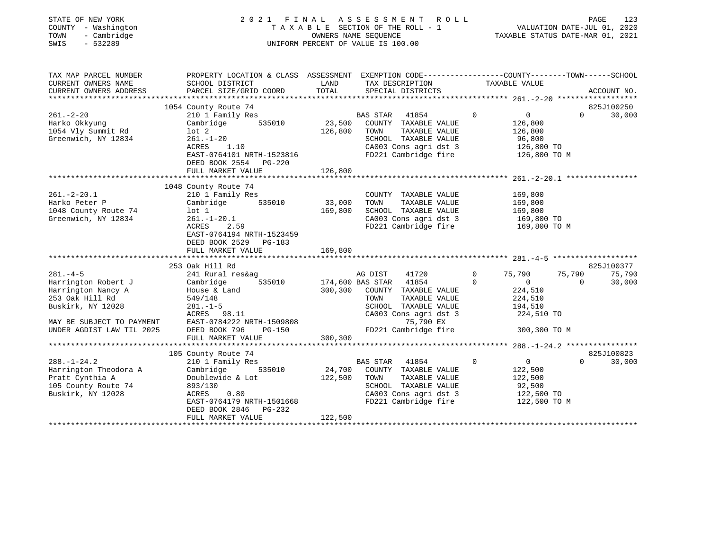| STATE OF NEW YORK<br>COUNTY - Washington<br>- Cambridge<br>TOWN<br>$-532289$<br>SWIS | 2021<br>FINAL<br>A S S E S S M E N T<br>R O L L<br>TAXABLE SECTION OF THE ROLL - 1<br>OWNERS NAME SEQUENCE<br>UNIFORM PERCENT OF VALUE IS 100.00 |                    |                                                       |                |                           |          | PAGE<br>123<br>VALUATION PALE SO  2021<br>TAXABLE STATUS DATE-MAR 01, 2021 |
|--------------------------------------------------------------------------------------|--------------------------------------------------------------------------------------------------------------------------------------------------|--------------------|-------------------------------------------------------|----------------|---------------------------|----------|----------------------------------------------------------------------------|
| TAX MAP PARCEL NUMBER<br>CURRENT OWNERS NAME                                         | PROPERTY LOCATION & CLASS ASSESSMENT EXEMPTION CODE---------------COUNTY-------TOWN-----SCHOOL<br>SCHOOL DISTRICT                                | LAND               | TAX DESCRIPTION                                       |                |                           |          |                                                                            |
| CURRENT OWNERS ADDRESS                                                               | PARCEL SIZE/GRID COORD                                                                                                                           | TOTAL              | SPECIAL DISTRICTS                                     |                | TAXABLE VALUE             |          | ACCOUNT NO.                                                                |
|                                                                                      |                                                                                                                                                  |                    |                                                       |                |                           |          |                                                                            |
|                                                                                      | 1054 County Route 74                                                                                                                             |                    |                                                       |                |                           |          | 825J100250                                                                 |
| $261. - 2 - 20$<br>Harko Okkyung                                                     | 210 1 Family Res<br>535010<br>Cambridge                                                                                                          |                    | BAS STAR<br>41854<br>23,500 COUNTY TAXABLE VALUE      | $\Omega$       | $\overline{0}$<br>126,800 | $\Omega$ | 30,000                                                                     |
| 1054 Vly Summit Rd                                                                   | $1$ ot $2$                                                                                                                                       | 126,800            | TOWN<br>TAXABLE VALUE                                 |                | 126,800                   |          |                                                                            |
| Greenwich, NY 12834                                                                  | $261. - 1 - 20$                                                                                                                                  |                    | SCHOOL TAXABLE VALUE                                  |                | 96,800                    |          |                                                                            |
|                                                                                      | ACRES<br>1.10                                                                                                                                    |                    | $CAO03$ Cons agri dst 3                               |                | 126,800 TO                |          |                                                                            |
|                                                                                      | EAST-0764101 NRTH-1523816                                                                                                                        |                    | FD221 Cambridge fire 126,800 TO M                     |                |                           |          |                                                                            |
|                                                                                      | DEED BOOK 2554 PG-220<br>FULL MARKET VALUE                                                                                                       | 126,800            |                                                       |                |                           |          |                                                                            |
|                                                                                      |                                                                                                                                                  |                    |                                                       |                |                           |          |                                                                            |
|                                                                                      | 1048 County Route 74                                                                                                                             |                    |                                                       |                |                           |          |                                                                            |
| $261. - 2 - 20.1$                                                                    | 210 1 Family Res                                                                                                                                 |                    | COUNTY TAXABLE VALUE                                  |                | 169,800                   |          |                                                                            |
| Harko Peter P                                                                        | Cambridge                                                                                                                                        | 535010 33,000 TOWN | TAXABLE VALUE                                         |                | 169,800                   |          |                                                                            |
| 1048 County Route 74<br>Greenwich, NY 12834                                          | lot 1<br>$261. - 1 - 20.1$                                                                                                                       |                    | 169,800 SCHOOL TAXABLE VALUE<br>CA003 Cons agri dst 3 |                | 169,800<br>169,800 TO     |          |                                                                            |
|                                                                                      | ACRES<br>2.59                                                                                                                                    |                    | FD221 Cambridge fire 169,800 TO M                     |                |                           |          |                                                                            |
|                                                                                      | EAST-0764194 NRTH-1523459                                                                                                                        |                    |                                                       |                |                           |          |                                                                            |
|                                                                                      | DEED BOOK 2529 PG-183                                                                                                                            |                    |                                                       |                |                           |          |                                                                            |
|                                                                                      | FULL MARKET VALUE                                                                                                                                | 169,800            |                                                       |                |                           |          |                                                                            |
|                                                                                      | 253 Oak Hill Rd                                                                                                                                  |                    |                                                       |                |                           |          | 825J100377                                                                 |
| $281. -4 - 5$                                                                        | 241 Rural res&ag                                                                                                                                 |                    | AG DIST<br>41720                                      | $\overline{0}$ | 75,790                    | 75,790   | 75,790                                                                     |
| Harrington Robert J                                                                  | Cambridge                                                                                                                                        |                    | 535010 174,600 BAS STAR 41854                         | $\Omega$       | $\overline{0}$            | $\Omega$ | 30,000                                                                     |
| Harrington Nancy A                                                                   | House & Land                                                                                                                                     |                    | 300,300 COUNTY TAXABLE VALUE                          |                | 224,510                   |          |                                                                            |
| 253 Oak Hill Rd                                                                      | 549/148                                                                                                                                          |                    | TOWN<br>TAXABLE VALUE                                 |                | 224,510                   |          |                                                                            |
| Buskirk, NY 12028                                                                    | $281. - 1 - 5$<br>ACRES 98.11                                                                                                                    |                    | SCHOOL TAXABLE VALUE<br>CA003 Cons agri dst 3         |                | 194,510<br>224,510 TO     |          |                                                                            |
| MAY BE SUBJECT TO PAYMENT                                                            | EAST-0784222 NRTH-1509808                                                                                                                        |                    | 75,790 EX                                             |                |                           |          |                                                                            |
| UNDER AGDIST LAW TIL 2025                                                            | DEED BOOK 796 PG-150                                                                                                                             |                    | FD221 Cambridge fire                                  |                | 300,300 TO M              |          |                                                                            |
|                                                                                      | FULL MARKET VALUE                                                                                                                                | 300,300            |                                                       |                |                           |          |                                                                            |
|                                                                                      |                                                                                                                                                  |                    |                                                       |                |                           |          |                                                                            |
|                                                                                      | 105 County Route 74                                                                                                                              |                    |                                                       |                |                           |          | 825J100823                                                                 |
| $288. - 1 - 24.2$<br>Harrington Theodora A                                           | 210 1 Family Res<br>Cambridge<br>535010                                                                                                          | 24,700             | <b>BAS STAR</b><br>41854<br>COUNTY TAXABLE VALUE      | $\overline{0}$ | $\overline{0}$<br>122,500 | $\Omega$ | 30,000                                                                     |
| Pratt Cynthia A                                                                      | Doublewide & Lot                                                                                                                                 | 122,500            | TOWN<br>TAXABLE VALUE                                 |                | 122,500                   |          |                                                                            |
| 105 County Route 74                                                                  | 893/130                                                                                                                                          |                    | SCHOOL TAXABLE VALUE                                  |                | 92,500                    |          |                                                                            |
| Buskirk, NY 12028                                                                    | ACRES<br>0.80                                                                                                                                    |                    | CA003 Cons agri dst 3                                 |                | 122,500 TO                |          |                                                                            |

\*\*\*\*\*\*\*\*\*\*\*\*\*\*\*\*\*\*\*\*\*\*\*\*\*\*\*\*\*\*\*\*\*\*\*\*\*\*\*\*\*\*\*\*\*\*\*\*\*\*\*\*\*\*\*\*\*\*\*\*\*\*\*\*\*\*\*\*\*\*\*\*\*\*\*\*\*\*\*\*\*\*\*\*\*\*\*\*\*\*\*\*\*\*\*\*\*\*\*\*\*\*\*\*\*\*\*\*\*\*\*\*\*\*\*\*\*\*\*\*\*\*\*\*\*\*\*\*\*\*\*\*

EAST-0764179 NRTH-1501668

FULL MARKET VALUE 122,500

DEED BOOK 2846 PG-232

CA003 Cons agri dst 3 122,500 TO<br>FD221 Cambridge fire 122,500 TO M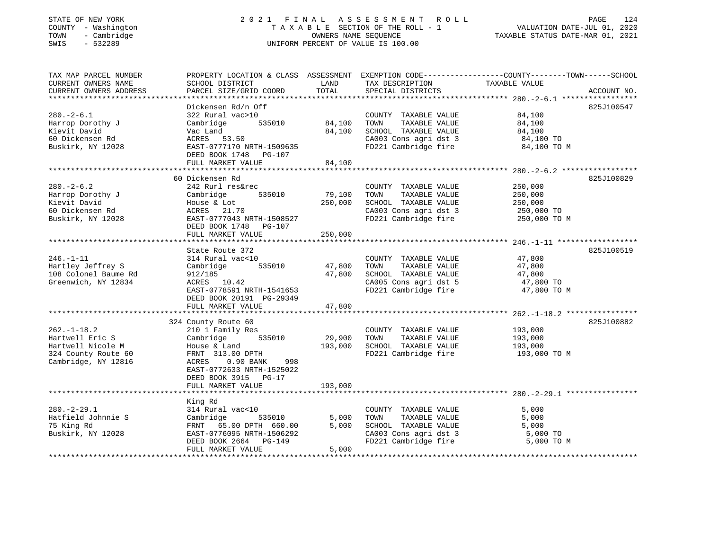#### STATE OF NEW YORK 2 0 2 1 F I N A L A S S E S S M E N T R O L L PAGE 124 COUNTY - Washington T A X A B L E SECTION OF THE ROLL - 1 VALUATION DATE-JUL 01, 2020 TOWN - Cambridge OWNERS NAME SEQUENCE TAXABLE STATUS DATE-MAR 01, 2021 SWIS - 532289 UNIFORM PERCENT OF VALUE IS 100.00

| TAX MAP PARCEL NUMBER<br>CURRENT OWNERS NAME<br>CURRENT OWNERS ADDRESS                                  | PROPERTY LOCATION & CLASS ASSESSMENT EXEMPTION CODE----------------COUNTY-------TOWN------SCHOOL<br>SCHOOL DISTRICT<br>PARCEL SIZE/GRID COORD                                                                                                | LAND<br>TOTAL                                | TAX DESCRIPTION<br>SPECIAL DISTRICTS                                                                                   | TAXABLE VALUE                                               | ACCOUNT NO. |
|---------------------------------------------------------------------------------------------------------|----------------------------------------------------------------------------------------------------------------------------------------------------------------------------------------------------------------------------------------------|----------------------------------------------|------------------------------------------------------------------------------------------------------------------------|-------------------------------------------------------------|-------------|
| $280. - 2 - 6.1$<br>Harrop Dorothy J<br>Kievit David<br>60 Dickensen Rd<br>Buskirk, NY 12028            | Dickensen Rd/n Off<br>322 Rural vac>10<br>535010<br>Cambridge<br>Vac Land<br>53.50<br>ACRES<br>EAST-0777170 NRTH-1509635<br>DEED BOOK 1748 PG-107<br>FULL MARKET VALUE                                                                       | 84,100<br>84,100<br>84,100                   | COUNTY TAXABLE VALUE<br>TOWN<br>TAXABLE VALUE<br>SCHOOL TAXABLE VALUE<br>CA003 Cons agri dst 3<br>FD221 Cambridge fire | 84,100<br>84,100<br>84,100<br>84,100 TO<br>84,100 TO M      | 825J100547  |
| $280. - 2 - 6.2$<br>Harrop Dorothy J<br>Kievit David<br>60 Dickensen Rd<br>Buskirk, NY 12028            | 60 Dickensen Rd<br>242 Rurl res&rec<br>535010<br>Cambridge<br>House & Lot<br>ACRES 21.70<br>EAST-0777043 NRTH-1508527<br>DEED BOOK 1748<br>PG-107<br>FULL MARKET VALUE                                                                       | 79,100<br>250,000<br>250,000                 | COUNTY TAXABLE VALUE<br>TAXABLE VALUE<br>TOWN<br>SCHOOL TAXABLE VALUE<br>CA003 Cons agri dst 3<br>FD221 Cambridge fire | 250,000<br>250,000<br>250,000<br>250,000 TO<br>250,000 TO M | 825J100829  |
| $246. - 1 - 11$<br>Hartley Jeffrey S<br>108 Colonel Baume Rd<br>Greenwich, NY 12834                     | State Route 372<br>314 Rural vac<10<br>535010<br>Cambridge<br>912/185<br>ACRES 10.42<br>EAST-0778591 NRTH-1541653<br>DEED BOOK 20191 PG-29349<br>FULL MARKET VALUE                                                                           | 47,800<br>47,800<br>47,800                   | COUNTY TAXABLE VALUE<br>TOWN<br>TAXABLE VALUE<br>SCHOOL TAXABLE VALUE<br>CA005 Cons agri dst 5<br>FD221 Cambridge fire | 47,800<br>47,800<br>47,800<br>47,800 TO<br>47,800 TO M      | 825J100519  |
| $262. - 1 - 18.2$<br>Hartwell Eric S<br>Hartwell Nicole M<br>324 County Route 60<br>Cambridge, NY 12816 | *****************************<br>324 County Route 60<br>210 1 Family Res<br>Cambridge<br>535010<br>House & Land<br>FRNT 313.00 DPTH<br>ACRES<br>$0.90$ BANK<br>998<br>EAST-0772633 NRTH-1525022<br>DEED BOOK 3915 PG-17<br>FULL MARKET VALUE | ************<br>29,900<br>193,000<br>193,000 | COUNTY TAXABLE VALUE<br>TOWN<br>TAXABLE VALUE<br>SCHOOL TAXABLE VALUE<br>FD221 Cambridge fire                          | 193,000<br>193,000<br>193,000<br>193,000 TO M               | 825J100882  |
|                                                                                                         |                                                                                                                                                                                                                                              |                                              |                                                                                                                        |                                                             |             |
| $280. - 2 - 29.1$<br>Hatfield Johnnie S<br>75 King Rd<br>Buskirk, NY 12028                              | King Rd<br>314 Rural vac<10<br>Cambridge<br>535010<br>65.00 DPTH 660.00<br>FRNT<br>EAST-0776095 NRTH-1506292<br>DEED BOOK 2664 PG-149<br>FULL MARKET VALUE                                                                                   | 5,000<br>5,000<br>5,000                      | COUNTY TAXABLE VALUE<br>TAXABLE VALUE<br>TOWN<br>SCHOOL TAXABLE VALUE<br>CA003 Cons agri dst 3<br>FD221 Cambridge fire | 5,000<br>5,000<br>5,000<br>5,000 TO<br>5,000 TO M           |             |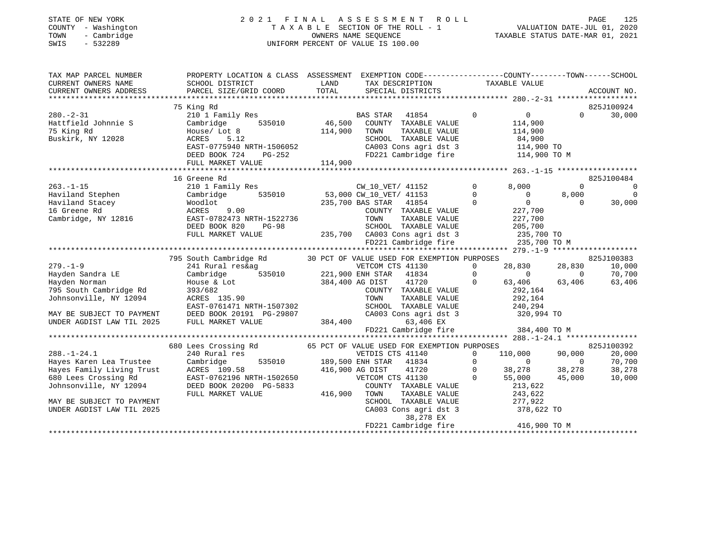## STATE OF NEW YORK 2 0 2 1 F I N A L A S S E S S M E N T R O L L PAGE 125 COUNTY - Washington T A X A B L E SECTION OF THE ROLL - 1 VALUATION DATE-JUL 01, 2020 TOWN - Cambridge OWNERS NAME SEQUENCE TAXABLE STATUS DATE-MAR 01, 2021 TOWN - Cambridge - The Company of Cambridge - Town - Cambridge - Town - Cambridge - Town - Town - Cambridge - Town - Town - Town - Town - Town - Town - Town - Town - Town - Town - Town - Town - Town - Town - Town - Town -

| TAX MAP PARCEL NUMBER              | PROPERTY LOCATION & CLASS ASSESSMENT EXEMPTION CODE---------------COUNTY-------TOWN-----SCHOOL                                                                                                                                             |         |                                                                                               |                                                                                                            |                   |                                  |
|------------------------------------|--------------------------------------------------------------------------------------------------------------------------------------------------------------------------------------------------------------------------------------------|---------|-----------------------------------------------------------------------------------------------|------------------------------------------------------------------------------------------------------------|-------------------|----------------------------------|
|                                    |                                                                                                                                                                                                                                            |         |                                                                                               |                                                                                                            |                   | 825J100924                       |
|                                    | 75 King Rd                                                                                                                                                                                                                                 |         |                                                                                               |                                                                                                            |                   |                                  |
| $280 - 2 - 31$                     | 210 1 Family Res                                                                                                                                                                                                                           |         | 1y Res 535010 BAS STAR 41854<br>535010 46,500 COUNTY TAXABLE VALUE                            | $\overline{0}$<br>$\Omega$                                                                                 | $\Omega$          | 30,000                           |
|                                    |                                                                                                                                                                                                                                            |         |                                                                                               | 114,900                                                                                                    |                   |                                  |
|                                    |                                                                                                                                                                                                                                            | 114,900 | TOWN<br>TAXABLE VALUE                                                                         | 114,900                                                                                                    |                   |                                  |
|                                    |                                                                                                                                                                                                                                            |         |                                                                                               |                                                                                                            |                   |                                  |
|                                    |                                                                                                                                                                                                                                            |         | CHOOL TAXABLE VALUE<br>CA003 Cons agri dst 3 (14,900 TO<br>FD221 Cambridge fire (114,900 TO M |                                                                                                            |                   |                                  |
|                                    |                                                                                                                                                                                                                                            |         |                                                                                               |                                                                                                            |                   |                                  |
|                                    | Buskirk, NY 12028 ACRES 5.12<br>EAST-0775940 NRTH-1506052 CA003 Cons agri dst 3 114,900 TO<br>DEED BOOK 724 PG-252 114,900<br>FULL MARKET VALUE 114,900<br>FULL MARKET VALUE 114,900<br>FULL MARKET VALUE 114,900<br>TULL MARKET VALUE 114 |         |                                                                                               |                                                                                                            |                   |                                  |
|                                    | And Stephen (210 1 Family Res (210 1 Family Res (210 1 Family Res (210 1 Family Res (210 1 Family Res (210 1 Family Res (210 1 Family Res (210 1 Family Res (210 1 Family Res (235,000 CM_10_VET / 41153 20 1 Greene Rd (235,7             |         |                                                                                               |                                                                                                            |                   | 825J100484                       |
|                                    |                                                                                                                                                                                                                                            |         |                                                                                               | 8,000                                                                                                      |                   | $\overline{0}$                   |
|                                    |                                                                                                                                                                                                                                            |         |                                                                                               |                                                                                                            |                   | $\overline{0}$<br>$\overline{0}$ |
|                                    |                                                                                                                                                                                                                                            |         |                                                                                               | $\begin{array}{c} 0 \\ 0 \end{array}$                                                                      | 8,000<br>$\Omega$ | 30,000                           |
|                                    |                                                                                                                                                                                                                                            |         |                                                                                               |                                                                                                            |                   |                                  |
|                                    | ACRES 9.00 COUNTY TAXABLE VALUE<br>EAST-0782473 NRTH-1522736 TOWN TAXABLE VALUE<br>DEED BOOK 820 PG-98 SCHOOL TAXABLE VALUE<br>FULL MARKET VALUE 235,700 CA003 Cons agri dst 3                                                             |         | COUNTY TAXABLE VALUE                                                                          | 227,700<br>227,700                                                                                         |                   |                                  |
|                                    |                                                                                                                                                                                                                                            |         |                                                                                               |                                                                                                            |                   |                                  |
|                                    |                                                                                                                                                                                                                                            |         |                                                                                               | 205,700                                                                                                    |                   |                                  |
|                                    |                                                                                                                                                                                                                                            |         | CA003 Cons agri dst 3 235,700 TO<br>FD221 Cambridge fire 235,700 TO M                         |                                                                                                            |                   |                                  |
|                                    |                                                                                                                                                                                                                                            |         |                                                                                               |                                                                                                            |                   |                                  |
|                                    |                                                                                                                                                                                                                                            |         |                                                                                               |                                                                                                            |                   |                                  |
|                                    | 795 South Cambridge Rd 30 PCT OF VALUE USED FOR EXEMPTION PURPOSES 241 Rural res&ag 221,900 ENH STAR 41834 221,900 ENH STAR 41834 221,900 ENH STAR 41834 221,900 ENH STAR 41834 221,900 ENH STAR 41834 221,900 ENH STAR 41834              |         |                                                                                               |                                                                                                            |                   | 825J100383                       |
| $279. - 1 - 9$                     |                                                                                                                                                                                                                                            |         |                                                                                               | 28,830 28,830                                                                                              |                   | 10,000                           |
| $\overline{E}$<br>Hayden Sandra LE |                                                                                                                                                                                                                                            |         |                                                                                               | $\overline{0}$ 0                                                                                           |                   | 70,700                           |
| Hayden Norman                      |                                                                                                                                                                                                                                            |         |                                                                                               | 63,406                                                                                                     | 63,406            | 63,406                           |
| 795 South Cambridge Rd             |                                                                                                                                                                                                                                            |         | COUNTY TAXABLE VALUE                                                                          | 292,164                                                                                                    |                   |                                  |
| Johnsonville, NY 12094             |                                                                                                                                                                                                                                            |         |                                                                                               |                                                                                                            |                   |                                  |
|                                    | EAST-0761471 NRTH-1507302                                                                                                                                                                                                                  |         |                                                                                               |                                                                                                            |                   |                                  |
|                                    |                                                                                                                                                                                                                                            |         | CA003 Cons agri dst 3 320,994 TO                                                              |                                                                                                            |                   |                                  |
|                                    |                                                                                                                                                                                                                                            |         |                                                                                               |                                                                                                            |                   |                                  |
|                                    |                                                                                                                                                                                                                                            |         | 63,406 EX<br>FD221 Cambridge fire 384,400 TO M                                                |                                                                                                            |                   |                                  |
|                                    |                                                                                                                                                                                                                                            |         |                                                                                               |                                                                                                            |                   |                                  |
|                                    | 680 Lees Crossing Rd 65 PCT OF VALUE USED FOR EXEMPTION PURPOSES 240 Rural res 65 PCT OF VETDIS CTS 41140 0 1                                                                                                                              |         |                                                                                               |                                                                                                            |                   | 825J100392                       |
| $288. - 1 - 24.1$                  |                                                                                                                                                                                                                                            |         |                                                                                               | 110,000 90,000                                                                                             |                   | 20,000                           |
|                                    |                                                                                                                                                                                                                                            |         |                                                                                               | $\begin{array}{cccc} & 0 & & 0 & & 0 \\ & 0 & & & 0 \\ 38,278 & & 38,278 \\ 55,000 & & 45,000 \end{array}$ |                   | 70,700                           |
|                                    |                                                                                                                                                                                                                                            |         |                                                                                               |                                                                                                            |                   | 38,278                           |
|                                    |                                                                                                                                                                                                                                            |         |                                                                                               |                                                                                                            |                   | 10,000                           |
|                                    | Hayes Karen Lea Trustee Cambridge 535010 189,500 ENH STAR 41834 0<br>Hayes Family Living Trust ACRES 109.58 416,900 AG DIST 41720 0<br>680 Lees Crossing Rd EAST-0762196 NRTH-1502650 VETCOM CTS 41130 0<br>Johnsonville, NY 12094 D       |         | COUNTY TAXABLE VALUE<br>TOWN      TAXABLE VALUE                                               |                                                                                                            |                   |                                  |
|                                    | FULL MARKET VALUE                                                                                                                                                                                                                          | 416,900 |                                                                                               | 213,622<br>243,622                                                                                         |                   |                                  |
| MAY BE SUBJECT TO PAYMENT          |                                                                                                                                                                                                                                            |         | SCHOOL TAXABLE VALUE                                                                          | 277,922                                                                                                    |                   |                                  |
| UNDER AGDIST LAW TIL 2025          |                                                                                                                                                                                                                                            |         | CA003 Cons agri dst 3                                                                         | 378,622 TO                                                                                                 |                   |                                  |
|                                    |                                                                                                                                                                                                                                            |         | 38,278 EX                                                                                     |                                                                                                            |                   |                                  |
|                                    |                                                                                                                                                                                                                                            |         | FD221 Cambridge fire 416,900 TO M                                                             |                                                                                                            |                   |                                  |
|                                    |                                                                                                                                                                                                                                            |         |                                                                                               |                                                                                                            |                   |                                  |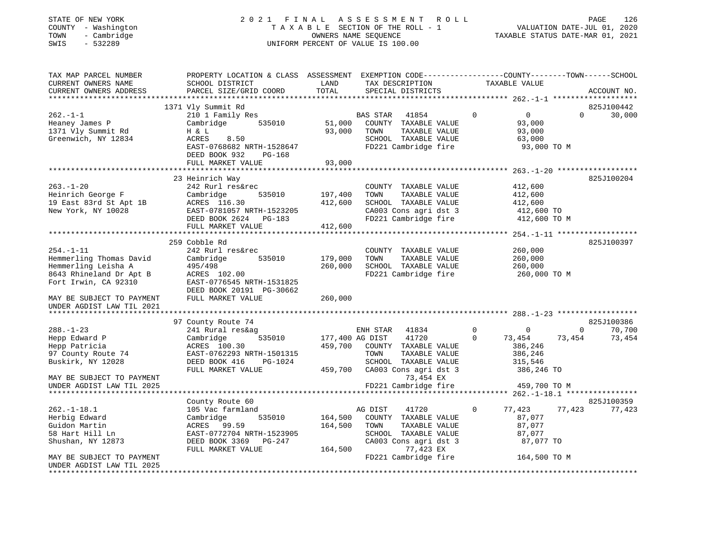#### STATE OF NEW YORK 2 0 2 1 F I N A L A S S E S S M E N T R O L L PAGE 126 COUNTY - Washington T A X A B L E SECTION OF THE ROLL - 1 VALUATION DATE-JUL 01, 2020 TOWN - Cambridge OWNERS NAME SEQUENCE TAXABLE STATUS DATE-MAR 01, 2021 SWIS - 532289 UNIFORM PERCENT OF VALUE IS 100.00

| TAX MAP PARCEL NUMBER     | PROPERTY LOCATION & CLASS ASSESSMENT EXEMPTION CODE----------------COUNTY-------TOWN-----SCHOOL |         |                                                |                            |                                        |
|---------------------------|-------------------------------------------------------------------------------------------------|---------|------------------------------------------------|----------------------------|----------------------------------------|
| CURRENT OWNERS NAME       | SCHOOL DISTRICT                                                                                 | LAND    | TAX DESCRIPTION                                | TAXABLE VALUE              |                                        |
| CURRENT OWNERS ADDRESS    | PARCEL SIZE/GRID COORD                                                                          | TOTAL   | SPECIAL DISTRICTS                              |                            | ACCOUNT NO.                            |
| ************************  |                                                                                                 |         |                                                |                            |                                        |
|                           | 1371 Vly Summit Rd                                                                              |         |                                                |                            | 825J100442                             |
| $262. - 1 - 1$            | 210 1 Family Res                                                                                |         | <b>BAS STAR</b><br>41854                       | $\Omega$<br>$\overline{0}$ | $\Omega$<br>30,000                     |
| Heaney James P            | Cambridge<br>535010                                                                             | 51,000  | COUNTY TAXABLE VALUE                           | 93,000                     |                                        |
| 1371 Vly Summit Rd        | H & L                                                                                           | 93,000  | TOWN<br>TAXABLE VALUE                          | 93,000                     |                                        |
| Greenwich, NY 12834       | <b>ACRES</b><br>8.50                                                                            |         | SCHOOL TAXABLE VALUE                           | 63,000                     |                                        |
|                           | EAST-0768682 NRTH-1528647                                                                       |         | FD221 Cambridge fire                           | 93,000 TO M                |                                        |
|                           | DEED BOOK 932<br><b>PG-168</b>                                                                  |         |                                                |                            |                                        |
|                           | FULL MARKET VALUE                                                                               | 93,000  |                                                |                            |                                        |
|                           |                                                                                                 |         |                                                |                            |                                        |
|                           | 23 Heinrich Way                                                                                 |         |                                                |                            | 825J100204                             |
| $263. - 1 - 20$           | 242 Rurl res&rec                                                                                |         |                                                | 412,600                    |                                        |
|                           |                                                                                                 |         | COUNTY TAXABLE VALUE                           |                            |                                        |
| Heinrich George F         | Cambridge<br>535010                                                                             | 197,400 | TOWN<br>TAXABLE VALUE                          | 412,600                    |                                        |
| 19 East 83rd St Apt 1B    | ACRES 116.30                                                                                    | 412,600 | SCHOOL TAXABLE VALUE                           | 412,600                    |                                        |
| New York, NY 10028        | EAST-0781057 NRTH-1523205                                                                       |         | CA003 Cons agri dst 3                          | 412,600 TO                 |                                        |
|                           | DEED BOOK 2624 PG-183                                                                           |         | FD221 Cambridge fire                           | 412,600 TO M               |                                        |
|                           | FULL MARKET VALUE                                                                               | 412,600 |                                                |                            |                                        |
|                           | ********************************                                                                |         |                                                |                            |                                        |
|                           | 259 Cobble Rd                                                                                   |         |                                                |                            | 825J100397                             |
| $254. - 1 - 11$           | 242 Rurl res&rec                                                                                |         | COUNTY TAXABLE VALUE                           | 260,000                    |                                        |
| Hemmerling Thomas David   | 535010<br>Cambridge                                                                             | 179,000 | TAXABLE VALUE<br>TOWN                          | 260,000                    |                                        |
| Hemmerling Leisha A       | 495/498                                                                                         | 260,000 | SCHOOL TAXABLE VALUE                           | 260,000                    |                                        |
| 8643 Rhineland Dr Apt B   | ACRES 102.00                                                                                    |         | FD221 Cambridge fire                           | 260,000 TO M               |                                        |
| Fort Irwin, CA 92310      | EAST-0776545 NRTH-1531825                                                                       |         |                                                |                            |                                        |
|                           | DEED BOOK 20191 PG-30662                                                                        |         |                                                |                            |                                        |
| MAY BE SUBJECT TO PAYMENT | FULL MARKET VALUE                                                                               | 260,000 |                                                |                            |                                        |
| UNDER AGDIST LAW TIL 2021 |                                                                                                 |         |                                                |                            |                                        |
| *******************       |                                                                                                 |         |                                                |                            |                                        |
|                           | 97 County Route 74                                                                              |         |                                                |                            | 825J100386                             |
| $288. - 1 - 23$           | 241 Rural res&ag                                                                                |         | ENH STAR<br>41834                              | $\overline{0}$<br>$\circ$  | $\overline{0}$<br>70,700               |
| Hepp Edward P             | 535010<br>Cambridge                                                                             |         | 177,400 AG DIST<br>41720                       | $\Omega$<br>73,454         | 73,454<br>73,454                       |
| Hepp Patricia             | ACRES 100.30                                                                                    | 459,700 | COUNTY TAXABLE VALUE                           | 386,246                    |                                        |
| 97 County Route 74        | EAST-0762293 NRTH-1501315                                                                       |         | TOWN<br>TAXABLE VALUE                          | 386,246                    |                                        |
| Buskirk, NY 12028         | DEED BOOK 416<br>PG-1024                                                                        |         | SCHOOL TAXABLE VALUE                           | 315,546                    |                                        |
|                           | FULL MARKET VALUE                                                                               | 459,700 | CA003 Cons agri dst 3                          |                            |                                        |
| MAY BE SUBJECT TO PAYMENT |                                                                                                 |         | 73,454 EX                                      | 386,246 TO                 |                                        |
|                           |                                                                                                 |         |                                                |                            |                                        |
| UNDER AGDIST LAW TIL 2025 |                                                                                                 |         | FD221 Cambridge fire<br>********************** | 459,700 TO M               | ******* 262. -1-18.1 ***************** |
|                           |                                                                                                 |         |                                                |                            |                                        |
|                           | County Route 60                                                                                 |         |                                                |                            | 825J100359                             |
| $262. - 1 - 18.1$         | 105 Vac farmland                                                                                |         | AG DIST<br>41720                               | 0<br>77,423                | 77,423<br>77,423                       |
| Herbig Edward             | 535010<br>Cambridge                                                                             | 164,500 | COUNTY TAXABLE VALUE                           | 87,077                     |                                        |
| Guidon Martin             | ACRES 99.59                                                                                     | 164,500 | TOWN<br>TAXABLE VALUE                          | 87,077                     |                                        |
| 58 Hart Hill Ln           | EAST-0772704 NRTH-1523905                                                                       |         | SCHOOL TAXABLE VALUE                           | 87,077                     |                                        |
| Shushan, NY 12873         | DEED BOOK 3369<br>PG-247                                                                        |         | CA003 Cons agri dst 3                          | 87,077 TO                  |                                        |
|                           | FULL MARKET VALUE                                                                               | 164,500 | 77,423 EX                                      |                            |                                        |
| MAY BE SUBJECT TO PAYMENT |                                                                                                 |         | FD221 Cambridge fire                           | 164,500 TO M               |                                        |
| UNDER AGDIST LAW TIL 2025 |                                                                                                 |         |                                                |                            |                                        |
|                           |                                                                                                 |         |                                                |                            |                                        |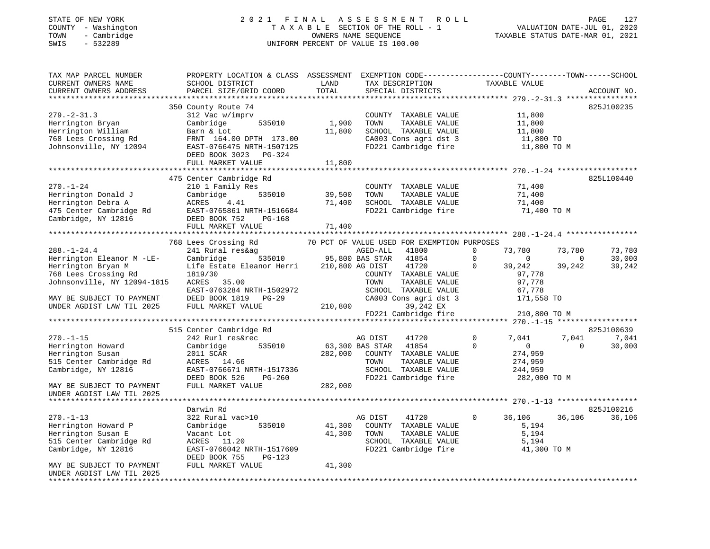#### STATE OF NEW YORK 2 0 2 1 F I N A L A S S E S S M E N T R O L L PAGE 127 COUNTY - Washington T A X A B L E SECTION OF THE ROLL - 1 VALUATION DATE-JUL 01, 2020 TOWN - Cambridge OWNERS NAME SEQUENCE TAXABLE STATUS DATE-MAR 01, 2021 SWIS - 532289 UNIFORM PERCENT OF VALUE IS 100.00

| TAX MAP PARCEL NUMBER<br>CURRENT OWNERS NAME<br>CURRENT OWNERS ADDRESS<br>*************************                                                                                                                                                                                                 | PROPERTY LOCATION & CLASS ASSESSMENT<br>SCHOOL DISTRICT<br>PARCEL SIZE/GRID COORD                                                                                                                                                                                                                                                                                   | LAND<br>TOTAL              | EXEMPTION CODE-----------------COUNTY-------TOWN------SCHOOL<br>TAX DESCRIPTION<br>SPECIAL DISTRICTS                                                                                                                                                                                                                                                                                                                | TAXABLE VALUE                                                                                                                                                                                                     | ACCOUNT NO.                                                                                                      |
|-----------------------------------------------------------------------------------------------------------------------------------------------------------------------------------------------------------------------------------------------------------------------------------------------------|---------------------------------------------------------------------------------------------------------------------------------------------------------------------------------------------------------------------------------------------------------------------------------------------------------------------------------------------------------------------|----------------------------|---------------------------------------------------------------------------------------------------------------------------------------------------------------------------------------------------------------------------------------------------------------------------------------------------------------------------------------------------------------------------------------------------------------------|-------------------------------------------------------------------------------------------------------------------------------------------------------------------------------------------------------------------|------------------------------------------------------------------------------------------------------------------|
| $279. - 2 - 31.3$<br>Herrington Bryan<br>Herrington William<br>768 Lees Crossing Rd<br>Johnsonville, NY 12094                                                                                                                                                                                       | 350 County Route 74<br>312 Vac w/imprv<br>Cambridge<br>535010<br>Barn & Lot<br>FRNT 164.00 DPTH 173.00<br>EAST-0766475 NRTH-1507125                                                                                                                                                                                                                                 | 1,900<br>11,800            | COUNTY TAXABLE VALUE<br>TOWN<br>TAXABLE VALUE<br>SCHOOL TAXABLE VALUE<br>CA003 Cons agri dst 3<br>FD221 Cambridge fire                                                                                                                                                                                                                                                                                              | 11,800<br>11,800<br>11,800<br>11,800 TO<br>11,800 TO M                                                                                                                                                            | 825J100235                                                                                                       |
|                                                                                                                                                                                                                                                                                                     | DEED BOOK 3023<br>PG-324<br>FULL MARKET VALUE                                                                                                                                                                                                                                                                                                                       | 11,800                     |                                                                                                                                                                                                                                                                                                                                                                                                                     |                                                                                                                                                                                                                   |                                                                                                                  |
| $270. - 1 - 24$<br>Herrington Donald J<br>Herrington Debra A<br>475 Center Cambridge Rd<br>Cambridge, NY 12816                                                                                                                                                                                      | 475 Center Cambridge Rd<br>210 1 Family Res<br>Cambridge<br>535010<br>ACRES<br>4.41<br>EAST-0765861 NRTH-1516684<br>DEED BOOK 752<br>PG-168<br>FULL MARKET VALUE                                                                                                                                                                                                    | 39,500<br>71,400<br>71,400 | COUNTY TAXABLE VALUE<br>TAXABLE VALUE<br>TOWN<br>SCHOOL TAXABLE VALUE<br>FD221 Cambridge fire                                                                                                                                                                                                                                                                                                                       | 71,400<br>71,400<br>71,400<br>71,400 TO M                                                                                                                                                                         | 825L100440                                                                                                       |
|                                                                                                                                                                                                                                                                                                     |                                                                                                                                                                                                                                                                                                                                                                     |                            |                                                                                                                                                                                                                                                                                                                                                                                                                     |                                                                                                                                                                                                                   |                                                                                                                  |
| $288. - 1 - 24.4$<br>Herrington Eleanor M -LE-<br>Herrington Bryan M<br>768 Lees Crossing Rd<br>Johnsonville, NY 12094-1815<br>MAY BE SUBJECT TO PAYMENT<br>UNDER AGDIST LAW TIL 2025<br>$270. - 1 - 15$<br>Herrington Howard<br>Herrington Susan<br>515 Center Cambridge Rd<br>Cambridge, NY 12816 | 768 Lees Crossing Rd<br>241 Rural res&ag<br>535010<br>Cambridge<br>Life Estate Eleanor Herri<br>1819/30<br>ACRES<br>35.00<br>EAST-0763284 NRTH-1502972<br>DEED BOOK 1819<br>PG-29<br>FULL MARKET VALUE<br>515 Center Cambridge Rd<br>242 Rurl res&rec<br>Cambridge<br>535010<br>2011 SCAR<br>ACRES<br>14.66<br>EAST-0766671 NRTH-1517336<br>DEED BOOK 526<br>PG-260 | 210,800<br>282,000         | 70 PCT OF VALUE USED FOR EXEMPTION PURPOSES<br>AGED-ALL<br>41800<br>95,800 BAS STAR<br>41854<br>210,800 AG DIST<br>41720<br>COUNTY TAXABLE VALUE<br>TOWN<br>TAXABLE VALUE<br>SCHOOL TAXABLE VALUE<br>CA003 Cons agri dst 3<br>39,242 EX<br>FD221 Cambridge fire<br>41720<br>AG DIST<br>63,300 BAS STAR<br>41854<br>COUNTY TAXABLE VALUE<br>TOWN<br>TAXABLE VALUE<br>TAXABLE VALUE<br>SCHOOL<br>FD221 Cambridge fire | 73,780<br>0<br>$\Omega$<br>$\Omega$<br>39,242<br>0<br>97,778<br>97,778<br>67,778<br>171,558 TO<br>210,800 TO M<br>$\mathbf 0$<br>7,041<br>$\mathbf 0$<br>$\circ$<br>274,959<br>274,959<br>244,959<br>282,000 TO M | 73,780<br>73,780<br>30,000<br>$\Omega$<br>39,242<br>39,242<br>825J100639<br>7,041<br>7,041<br>$\Omega$<br>30,000 |
| MAY BE SUBJECT TO PAYMENT<br>UNDER AGDIST LAW TIL 2025                                                                                                                                                                                                                                              | FULL MARKET VALUE                                                                                                                                                                                                                                                                                                                                                   | 282,000                    |                                                                                                                                                                                                                                                                                                                                                                                                                     |                                                                                                                                                                                                                   |                                                                                                                  |
|                                                                                                                                                                                                                                                                                                     | Darwin Rd                                                                                                                                                                                                                                                                                                                                                           |                            |                                                                                                                                                                                                                                                                                                                                                                                                                     |                                                                                                                                                                                                                   | 825J100216                                                                                                       |
| $270. - 1 - 13$<br>Herrington Howard P<br>Herrington Susan E<br>515 Center Cambridge Rd<br>Cambridge, NY 12816                                                                                                                                                                                      | 322 Rural vac>10<br>Cambridge<br>535010<br>Vacant Lot<br>ACRES<br>11.20<br>EAST-0766042 NRTH-1517609<br>DEED BOOK 755<br>$PG-123$                                                                                                                                                                                                                                   | 41,300<br>41,300           | AG DIST<br>41720<br>COUNTY TAXABLE VALUE<br>TOWN<br>TAXABLE VALUE<br>SCHOOL TAXABLE VALUE<br>FD221 Cambridge fire                                                                                                                                                                                                                                                                                                   | 36,106<br>0<br>5,194<br>5,194<br>5,194<br>41,300 TO M                                                                                                                                                             | 36,106<br>36,106                                                                                                 |
| MAY BE SUBJECT TO PAYMENT<br>UNDER AGDIST LAW TIL 2025                                                                                                                                                                                                                                              | FULL MARKET VALUE                                                                                                                                                                                                                                                                                                                                                   | 41,300                     |                                                                                                                                                                                                                                                                                                                                                                                                                     |                                                                                                                                                                                                                   |                                                                                                                  |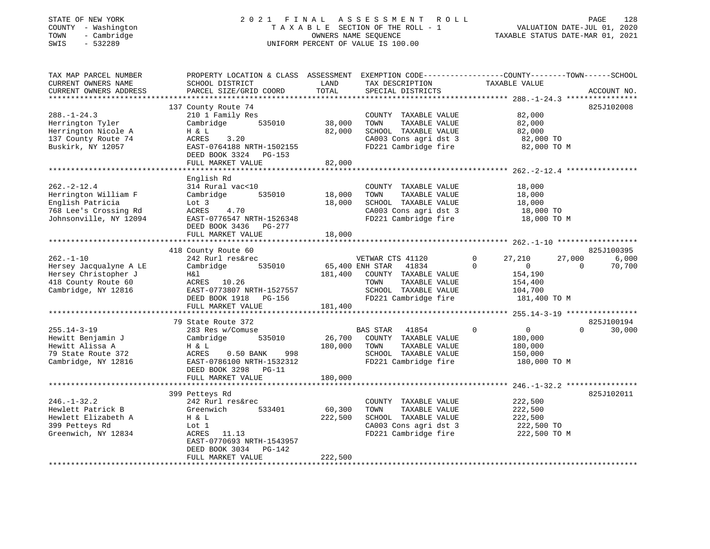#### STATE OF NEW YORK 2 0 2 1 F I N A L A S S E S S M E N T R O L L PAGE 128 COUNTY - Washington T A X A B L E SECTION OF THE ROLL - 1 VALUATION DATE-JUL 01, 2020 TOWN - Cambridge OWNERS NAME SEQUENCE TAXABLE STATUS DATE-MAR 01, 2021 SWIS - 532289 UNIFORM PERCENT OF VALUE IS 100.00UNIFORM PERCENT OF VALUE IS 100.00

| TAX MAP PARCEL NUMBER<br>CURRENT OWNERS NAME<br>CURRENT OWNERS ADDRESS                                          | PROPERTY LOCATION & CLASS ASSESSMENT EXEMPTION CODE---------------COUNTY-------TOWN-----SCHOOL<br>SCHOOL DISTRICT<br>PARCEL SIZE/GRID COORD                                                                         | LAND<br>TOTAL                             | TAX DESCRIPTION<br>SPECIAL DISTRICTS                                                                                       | TAXABLE VALUE                                                                                                 | ACCOUNT NO.                               |
|-----------------------------------------------------------------------------------------------------------------|---------------------------------------------------------------------------------------------------------------------------------------------------------------------------------------------------------------------|-------------------------------------------|----------------------------------------------------------------------------------------------------------------------------|---------------------------------------------------------------------------------------------------------------|-------------------------------------------|
| $288. - 1 - 24.3$<br>Herrington Tyler<br>Herrington Nicole A<br>137 County Route 74<br>Buskirk, NY 12057        | 137 County Route 74<br>210 1 Family Res<br>535010<br>Cambridge<br>H & L<br><b>ACRES</b><br>3.20<br>EAST-0764188 NRTH-1502155<br>DEED BOOK 3324 PG-153<br>FULL MARKET VALUE<br>************************************* | 38,000<br>82,000<br>82,000<br>*********** | COUNTY TAXABLE VALUE<br>TAXABLE VALUE<br>TOWN<br>SCHOOL TAXABLE VALUE<br>CA003 Cons agri dst 3<br>FD221 Cambridge fire     | 82,000<br>82,000<br>82,000<br>82,000 TO<br>82,000 TO M<br>********************************** 262.-2-12.4 **** | 825J102008                                |
| $262 - 2 - 12.4$<br>Herrington William F<br>English Patricia<br>768 Lee's Crossing Rd<br>Johnsonville, NY 12094 | English Rd<br>314 Rural vac<10<br>Cambridge<br>535010<br>Lot 3<br>ACRES<br>4.70<br>EAST-0776547 NRTH-1526348<br>DEED BOOK 3436 PG-277<br>FULL MARKET VALUE                                                          | 18,000<br>18,000<br>18,000                | COUNTY TAXABLE VALUE<br>TOWN<br>TAXABLE VALUE<br>SCHOOL TAXABLE VALUE<br>CA003 Cons agri dst 3<br>FD221 Cambridge fire     | 18,000<br>18,000<br>18,000<br>18,000 TO<br>18,000 TO M                                                        |                                           |
| $262. - 1 - 10$<br>Hersey Jacqualyne A LE<br>Hersey Christopher J<br>418 County Route 60<br>Cambridge, NY 12816 | 418 County Route 60<br>242 Rurl res&rec<br>535010<br>Cambridge<br>Η&l<br>ACRES 10.26<br>EAST-0773807 NRTH-1527557<br>DEED BOOK 1918 PG-156<br>FULL MARKET VALUE                                                     | 65,400 ENH STAR<br>181,400<br>181,400     | VETWAR CTS 41120<br>41834<br>COUNTY TAXABLE VALUE<br>TOWN<br>TAXABLE VALUE<br>SCHOOL TAXABLE VALUE<br>FD221 Cambridge fire | $\mathbf 0$<br>27,210<br>27,000<br>$\Omega$<br>$\mathbf{0}$<br>154,190<br>154,400<br>104,700<br>181,400 TO M  | 825J100395<br>6,000<br>70,700<br>$\Omega$ |
| $255.14 - 3 - 19$<br>Hewitt Benjamin J<br>Hewitt Alissa A<br>79 State Route 372<br>Cambridge, NY 12816          | 79 State Route 372<br>283 Res w/Comuse<br>Cambridge<br>535010<br>H & L<br>ACRES<br>$0.50$ BANK<br>998<br>EAST-0786100 NRTH-1532312<br>DEED BOOK 3298 PG-11<br>FULL MARKET VALUE                                     | 26,700<br>180,000<br>180,000              | <b>BAS STAR</b><br>41854<br>COUNTY TAXABLE VALUE<br>TAXABLE VALUE<br>TOWN<br>SCHOOL TAXABLE VALUE<br>FD221 Cambridge fire  | $\mathbf 0$<br>$\overline{0}$<br>180,000<br>180,000<br>150,000<br>180,000 TO M                                | 825J100194<br>$\Omega$<br>30,000          |
| $246. - 1 - 32.2$<br>Hewlett Patrick B<br>Hewlett Elizabeth A<br>399 Petteys Rd<br>Greenwich, NY 12834          | 399 Petteys Rd<br>242 Rurl res&rec<br>Greenwich<br>533401<br>H & L<br>Lot 1<br>11.13<br>ACRES<br>EAST-0770693 NRTH-1543957<br>DEED BOOK 3034 PG-142<br>FULL MARKET VALUE                                            | 60,300<br>222,500<br>222,500              | COUNTY TAXABLE VALUE<br>TAXABLE VALUE<br>TOWN<br>SCHOOL TAXABLE VALUE<br>CA003 Cons agri dst 3<br>FD221 Cambridge fire     | 222,500<br>222,500<br>222,500<br>222,500 TO<br>222,500 TO M                                                   | 825J102011                                |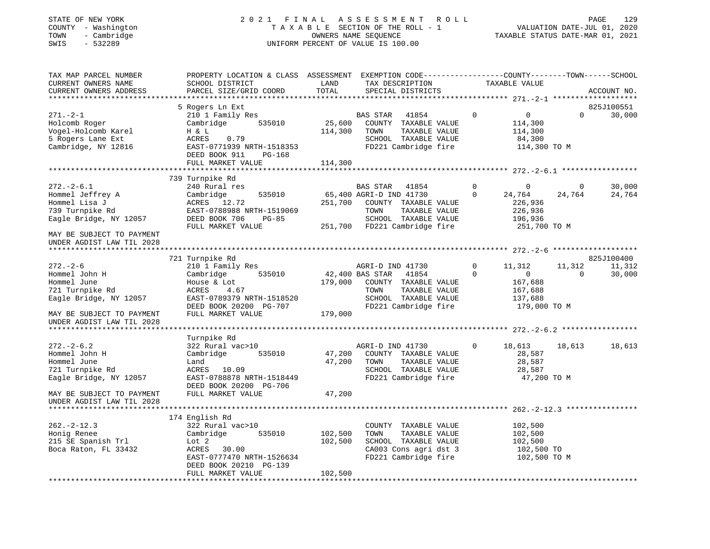#### STATE OF NEW YORK 2 0 2 1 F I N A L A S S E S S M E N T R O L L PAGE 129 COUNTY - Washington T A X A B L E SECTION OF THE ROLL - 1 VALUATION DATE-JUL 01, 2020 TOWN - Cambridge OWNERS NAME SEQUENCE TAXABLE STATUS DATE-MAR 01, 2021 SWIS - 532289 UNIFORM PERCENT OF VALUE IS 100.00UNIFORM PERCENT OF VALUE IS 100.00

| TAX MAP PARCEL NUMBER      | PROPERTY LOCATION & CLASS ASSESSMENT |         | EXEMPTION CODE-----------------COUNTY-------TOWN------SCHOOL |                               |                    |
|----------------------------|--------------------------------------|---------|--------------------------------------------------------------|-------------------------------|--------------------|
| CURRENT OWNERS NAME        | SCHOOL DISTRICT                      | LAND    | TAX DESCRIPTION                                              | TAXABLE VALUE                 |                    |
| CURRENT OWNERS ADDRESS     | PARCEL SIZE/GRID COORD               | TOTAL   | SPECIAL DISTRICTS                                            |                               | ACCOUNT NO.        |
| ************************** |                                      |         |                                                              |                               |                    |
|                            | 5 Rogers Ln Ext                      |         |                                                              |                               | 825J100551         |
| $271. - 2 - 1$             | 210 1 Family Res                     |         | <b>BAS STAR</b><br>41854                                     | $\mathbf 0$<br>$\overline{0}$ | $\Omega$<br>30,000 |
| Holcomb Roger              | 535010<br>Cambridge                  | 25,600  | COUNTY TAXABLE VALUE                                         | 114,300                       |                    |
| Vogel-Holcomb Karel        | H & L                                | 114,300 | TOWN<br>TAXABLE VALUE                                        | 114,300                       |                    |
| 5 Rogers Lane Ext          | ACRES<br>0.79                        |         | SCHOOL TAXABLE VALUE                                         | 84,300                        |                    |
| Cambridge, NY 12816        | EAST-0771939 NRTH-1518353            |         | FD221 Cambridge fire                                         | 114,300 TO M                  |                    |
|                            | DEED BOOK 911<br>PG-168              |         |                                                              |                               |                    |
|                            | FULL MARKET VALUE                    | 114,300 |                                                              |                               |                    |
|                            |                                      |         |                                                              |                               |                    |
|                            | 739 Turnpike Rd                      |         |                                                              |                               |                    |
| $272. - 2 - 6.1$           | 240 Rural res                        |         | BAS STAR<br>41854                                            | $\Omega$<br>$\Omega$          | 30,000<br>0        |
| Hommel Jeffrey A           | Cambridge<br>535010                  |         | 65,400 AGRI-D IND 41730                                      | $\Omega$<br>24,764            | 24,764<br>24,764   |
| Hommel Lisa J              | ACRES 12.72                          | 251,700 | COUNTY TAXABLE VALUE                                         | 226,936                       |                    |
| 739 Turnpike Rd            | EAST-0788988 NRTH-1519069            |         | TOWN<br>TAXABLE VALUE                                        | 226,936                       |                    |
| Eagle Bridge, NY 12057     | DEED BOOK 706<br>$PG-85$             |         | SCHOOL TAXABLE VALUE                                         | 196,936                       |                    |
|                            | FULL MARKET VALUE                    | 251,700 | FD221 Cambridge fire                                         | 251,700 TO M                  |                    |
| MAY BE SUBJECT TO PAYMENT  |                                      |         |                                                              |                               |                    |
| UNDER AGDIST LAW TIL 2028  |                                      |         |                                                              |                               |                    |
|                            |                                      |         |                                                              |                               |                    |
|                            | 721 Turnpike Rd                      |         |                                                              |                               | 825J100400         |
| $272. - 2 - 6$             | 210 1 Family Res                     |         | AGRI-D IND 41730                                             | 11,312<br>$\Omega$            | 11,312<br>11,312   |
| Hommel John H              | Cambridge<br>535010                  |         | 42,400 BAS STAR<br>41854                                     | $\Omega$<br>$\mathbf{0}$      | $\Omega$<br>30,000 |
| Hommel June                | House & Lot                          | 179,000 | COUNTY TAXABLE VALUE                                         | 167,688                       |                    |
| 721 Turnpike Rd            | ACRES<br>4.67                        |         | TOWN<br>TAXABLE VALUE                                        | 167,688                       |                    |
| Eagle Bridge, NY 12057     | EAST-0789379 NRTH-1518520            |         | SCHOOL TAXABLE VALUE                                         | 137,688                       |                    |
|                            | DEED BOOK 20200 PG-707               |         | FD221 Cambridge fire                                         | 179,000 TO M                  |                    |
| MAY BE SUBJECT TO PAYMENT  | FULL MARKET VALUE                    | 179,000 |                                                              |                               |                    |
| UNDER AGDIST LAW TIL 2028  |                                      |         |                                                              |                               |                    |
|                            |                                      |         |                                                              |                               |                    |
|                            | Turnpike Rd                          |         |                                                              |                               |                    |
| $272. - 2 - 6.2$           | 322 Rural vac>10                     |         | AGRI-D IND 41730                                             | 18,613<br>0                   | 18,613<br>18,613   |
| Hommel John H              | Cambridge<br>535010                  | 47,200  | COUNTY TAXABLE VALUE                                         | 28,587                        |                    |
| Hommel June                | Land                                 | 47,200  | TAXABLE VALUE<br>TOWN                                        | 28,587                        |                    |
| 721 Turnpike Rd            | ACRES<br>10.09                       |         | SCHOOL TAXABLE VALUE                                         | 28,587                        |                    |
| Eagle Bridge, NY 12057     | EAST-0788878 NRTH-1518449            |         | FD221 Cambridge fire                                         |                               | 47,200 TO M        |
|                            | DEED BOOK 20200 PG-706               |         |                                                              |                               |                    |
| MAY BE SUBJECT TO PAYMENT  | FULL MARKET VALUE                    | 47,200  |                                                              |                               |                    |
| UNDER AGDIST LAW TIL 2028  |                                      |         |                                                              |                               |                    |
|                            |                                      |         |                                                              |                               |                    |
|                            | 174 English Rd                       |         |                                                              |                               |                    |
| $262 - 2 - 12.3$           | 322 Rural vac>10<br>535010           |         | COUNTY TAXABLE VALUE<br>TOWN                                 | 102,500                       |                    |
| Honig Renee                | Cambridge                            | 102,500 | TAXABLE VALUE                                                | 102,500                       |                    |
| 215 SE Spanish Trl         | Lot 2<br>ACRES<br>30.00              | 102,500 | SCHOOL TAXABLE VALUE                                         | 102,500                       |                    |
| Boca Raton, FL 33432       | EAST-0777470 NRTH-1526634            |         | CA003 Cons agri dst 3<br>FD221 Cambridge fire                | 102,500 TO<br>102,500 TO M    |                    |
|                            | DEED BOOK 20210 PG-139               |         |                                                              |                               |                    |
|                            | FULL MARKET VALUE                    | 102,500 |                                                              |                               |                    |
|                            |                                      |         |                                                              |                               |                    |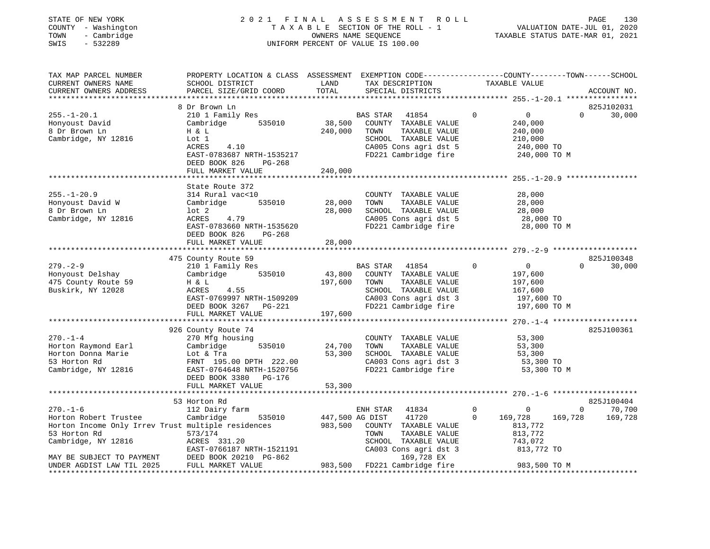#### STATE OF NEW YORK 2 0 2 1 F I N A L A S S E S S M E N T R O L L PAGE 130 COUNTY - Washington T A X A B L E SECTION OF THE ROLL - 1 VALUATION DATE-JUL 01, 2020 TOWN - Cambridge OWNERS NAME SEQUENCE TAXABLE STATUS DATE-MAR 01, 2021 SWIS - 532289 UNIFORM PERCENT OF VALUE IS 100.00

| TAX MAP PARCEL NUMBER<br>CURRENT OWNERS NAME<br>CURRENT OWNERS ADDRESS                                                                                            | PROPERTY LOCATION & CLASS ASSESSMENT<br>SCHOOL DISTRICT<br>PARCEL SIZE/GRID COORD                                                                              | LAND<br>TOTAL                | EXEMPTION CODE-----------------COUNTY-------TOWN------SCHOOL<br>TAX DESCRIPTION<br>SPECIAL DISTRICTS                                               | TAXABLE VALUE                                                                                    | ACCOUNT NO.                              |
|-------------------------------------------------------------------------------------------------------------------------------------------------------------------|----------------------------------------------------------------------------------------------------------------------------------------------------------------|------------------------------|----------------------------------------------------------------------------------------------------------------------------------------------------|--------------------------------------------------------------------------------------------------|------------------------------------------|
| ***********************                                                                                                                                           |                                                                                                                                                                |                              |                                                                                                                                                    |                                                                                                  |                                          |
|                                                                                                                                                                   | 8 Dr Brown Ln                                                                                                                                                  |                              |                                                                                                                                                    |                                                                                                  | 825J102031                               |
| $255. - 1 - 20.1$<br>Honyoust David<br>8 Dr Brown Ln<br>Cambridge, NY 12816                                                                                       | 210 1 Family Res<br>Cambridge<br>535010<br>H & L<br>Lot 1<br>ACRES<br>4.10                                                                                     | 38,500<br>240,000            | 41854<br>BAS STAR<br>COUNTY TAXABLE VALUE<br>TOWN<br>TAXABLE VALUE<br>SCHOOL TAXABLE VALUE<br>CA005 Cons agri dst 5                                | $\Omega$<br>$\overline{0}$<br>240,000<br>240,000<br>210,000<br>240,000 TO                        | $\Omega$<br>30,000                       |
|                                                                                                                                                                   | EAST-0783687 NRTH-1535217<br>DEED BOOK 826<br>$PG-268$<br>FULL MARKET VALUE                                                                                    | 240,000                      | FD221 Cambridge fire                                                                                                                               | 240,000 TO M                                                                                     |                                          |
|                                                                                                                                                                   |                                                                                                                                                                |                              | ********************************* 255.-1-20.9                                                                                                      |                                                                                                  |                                          |
| $255. - 1 - 20.9$<br>Honyoust David W<br>8 Dr Brown Ln<br>Cambridge, NY 12816                                                                                     | State Route 372<br>314 Rural vac<10<br>535010<br>Cambridge<br>$1$ ot $2$<br>ACRES<br>4.79<br>EAST-0783660 NRTH-1535620<br>DEED BOOK 826<br>$PG-268$            | 28,000<br>28,000             | COUNTY TAXABLE VALUE<br>TOWN<br>TAXABLE VALUE<br>SCHOOL TAXABLE VALUE<br>CA005 Cons agri dst 5<br>FD221 Cambridge fire                             | 28,000<br>28,000<br>28,000<br>28,000 TO<br>28,000 TO M                                           |                                          |
|                                                                                                                                                                   | FULL MARKET VALUE                                                                                                                                              | 28,000                       |                                                                                                                                                    |                                                                                                  |                                          |
|                                                                                                                                                                   |                                                                                                                                                                |                              |                                                                                                                                                    |                                                                                                  |                                          |
|                                                                                                                                                                   | 475 County Route 59                                                                                                                                            |                              |                                                                                                                                                    |                                                                                                  | 825J100348                               |
| $279. - 2 - 9$<br>Honyoust Delshay<br>475 County Route 59<br>Buskirk, NY 12028                                                                                    | 210 1 Family Res<br>535010<br>Cambridge<br>H & L<br>4.55<br>ACRES<br>EAST-0769997 NRTH-1509209<br>DEED BOOK 3267 PG-221<br>FULL MARKET VALUE                   | 43,800<br>197,600<br>197,600 | <b>BAS STAR</b><br>41854<br>COUNTY TAXABLE VALUE<br>TAXABLE VALUE<br>TOWN<br>SCHOOL TAXABLE VALUE<br>CA003 Cons agri dst 3<br>FD221 Cambridge fire | $\mathbf 0$<br>$\overline{0}$<br>197,600<br>197,600<br>167,600<br>197,600 TO<br>197,600 TO M     | $\Omega$<br>30,000                       |
|                                                                                                                                                                   |                                                                                                                                                                |                              |                                                                                                                                                    |                                                                                                  |                                          |
| $270. - 1 - 4$<br>Horton Raymond Earl<br>Horton Donna Marie<br>53 Horton Rd<br>Cambridge, NY 12816                                                                | 926 County Route 74<br>270 Mfg housing<br>535010<br>Cambridge<br>Lot & Tra<br>FRNT 195.00 DPTH 222.00<br>EAST-0764648 NRTH-1520756<br>DEED BOOK 3380<br>PG-176 | 24,700<br>53,300             | COUNTY TAXABLE VALUE<br>TAXABLE VALUE<br>TOWN<br>SCHOOL TAXABLE VALUE<br>CA003 Cons agri dst 3<br>FD221 Cambridge fire                             | 53,300<br>53,300<br>53,300<br>53,300 TO<br>53,300 TO M                                           | 825J100361                               |
|                                                                                                                                                                   | FULL MARKET VALUE                                                                                                                                              | 53,300                       |                                                                                                                                                    |                                                                                                  |                                          |
|                                                                                                                                                                   | ************************<br>53 Horton Rd                                                                                                                       |                              |                                                                                                                                                    |                                                                                                  | 825J100404                               |
| $270. - 1 - 6$<br>Horton Robert Trustee<br>Horton Income Only Irrev Trust multiple residences<br>53 Horton Rd<br>Cambridge, NY 12816<br>MAY BE SUBJECT TO PAYMENT | 112 Dairy farm<br>Cambridge<br>535010<br>573/174<br>ACRES 331.20<br>EAST-0766187 NRTH-1521191<br>DEED BOOK 20210 PG-862                                        | 447,500 AG DIST<br>983,500   | ENH STAR<br>41834<br>41720<br>COUNTY TAXABLE VALUE<br>TOWN<br>TAXABLE VALUE<br>SCHOOL TAXABLE VALUE<br>CA003 Cons agri dst 3<br>169,728 EX         | $\mathbf 0$<br>$\mathbf 0$<br>$\Omega$<br>169,728<br>813,772<br>813,772<br>743,072<br>813,772 TO | $\Omega$<br>70,700<br>169,728<br>169,728 |
| UNDER AGDIST LAW TIL 2025                                                                                                                                         | FULL MARKET VALUE                                                                                                                                              |                              | 983,500 FD221 Cambridge fire                                                                                                                       | 983,500 TO M                                                                                     |                                          |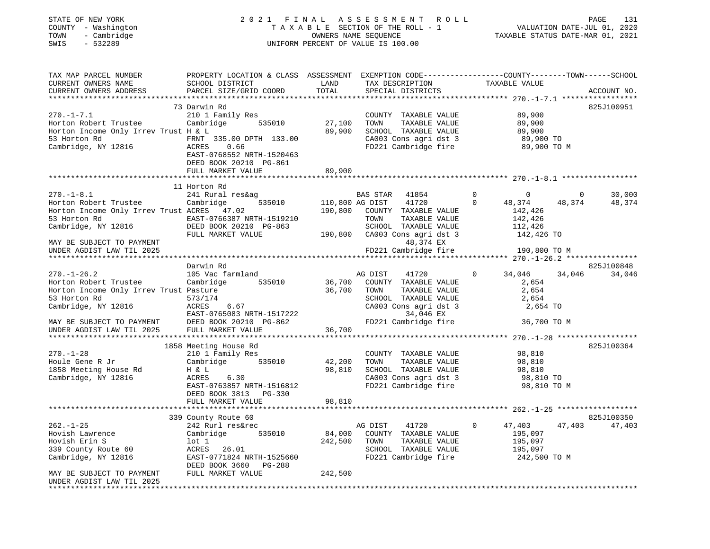| TATE OF NEW YORK |  |                    |
|------------------|--|--------------------|
|                  |  | OUNTY - Washington |
| 'OWN             |  | - Cambridge        |
|                  |  | ------             |

#### STATE OF NEW YORK 2 0 2 1 F I N A L A S S E S S M E N T R O L L PAGE 131 COUNTY - Washington T A X A B L E SECTION OF THE ROLL - 1 VALUATION DATE-JUL 01, 2020 TOWN - Cambridge OWNERS NAME SEQUENCE TAXABLE STATUS DATE-MAR 01, 2021 SWIS - 532289 UNIFORM PERCENT OF VALUE IS 100.00

| TAX MAP PARCEL NUMBER<br>CURRENT OWNERS NAME | PROPERTY LOCATION & CLASS ASSESSMENT<br>SCHOOL DISTRICT | LAND<br>TOTAL                 | EXEMPTION CODE-----------------COUNTY-------TOWN------SCHOOL<br>TAX DESCRIPTION | TAXABLE VALUE                                |                                |
|----------------------------------------------|---------------------------------------------------------|-------------------------------|---------------------------------------------------------------------------------|----------------------------------------------|--------------------------------|
| CURRENT OWNERS ADDRESS                       | PARCEL SIZE/GRID COORD                                  |                               | SPECIAL DISTRICTS                                                               |                                              | ACCOUNT NO.                    |
|                                              | 73 Darwin Rd                                            |                               |                                                                                 |                                              | 825J100951                     |
| $270. -1 - 7.1$                              | 210 1 Family Res                                        |                               | COUNTY TAXABLE VALUE                                                            | 89,900                                       |                                |
| Horton Robert Trustee                        | Cambridge 535010                                        | 27,100                        | TAXABLE VALUE<br>TOWN                                                           | 89,900                                       |                                |
| Horton Income Only Irrev Trust H & L         |                                                         | 89,900                        | SCHOOL TAXABLE VALUE                                                            | 89,900                                       |                                |
| 53 Horton Rd<br>FRNT<br>ACRES                | FRNT 335.00 DPTH 133.00                                 |                               | CA003 Cons agri dst 3                                                           | 89,900 TO                                    |                                |
| Cambridge, NY 12816                          | 0.66                                                    |                               | FD221 Cambridge fire                                                            | 89,900 TO M                                  |                                |
|                                              | EAST-0768552 NRTH-1520463                               |                               |                                                                                 |                                              |                                |
|                                              | DEED BOOK 20210 PG-861                                  |                               |                                                                                 |                                              |                                |
|                                              | FULL MARKET VALUE                                       | 89,900<br>* * * * * * * * * * |                                                                                 | ********************** 270.-1-8.1 ********** |                                |
|                                              | 11 Horton Rd                                            |                               |                                                                                 |                                              |                                |
| $270. - 1 - 8.1$                             | 241 Rural res&ag                                        |                               | BAS STAR<br>41854                                                               | $\overline{0}$<br>$\overline{0}$             | 30,000<br>$\circ$              |
| Horton Robert Trustee                        | 535010<br>Cambridge                                     |                               | 41720<br>110,800 AG DIST                                                        | $\mathbf 0$<br>48,374                        | 48,374<br>48,374               |
| Horton Income Only Irrev Trust ACRES 47.02   |                                                         | 190,800                       | COUNTY TAXABLE VALUE                                                            | 142,426                                      |                                |
| 53 Horton Rd                                 | EAST-0766387 NRTH-1519210<br>DEED BOOK 20210 PG-863     |                               | TOWN<br>TAXABLE VALUE                                                           | 142,426                                      |                                |
| Cambridge, NY 12816                          |                                                         |                               | SCHOOL TAXABLE VALUE                                                            | 112,426                                      |                                |
|                                              | FULL MARKET VALUE                                       |                               | 190,800 CA003 Cons agri dst 3                                                   | 142,426 TO                                   |                                |
| MAY BE SUBJECT TO PAYMENT                    |                                                         |                               | 48,374 EX                                                                       |                                              |                                |
| UNDER AGDIST LAW TIL 2025                    |                                                         |                               | FD221 Cambridge fire                                                            | 190,800 TO M                                 |                                |
|                                              |                                                         |                               |                                                                                 |                                              |                                |
| $270. - 1 - 26.2$                            | Darwin Rd<br>105 Vac farmland                           |                               | AG DIST<br>41720                                                                | $\circ$<br>34,046                            | 825J100848<br>34,046<br>34,046 |
| Horton Robert Trustee                        | Cambridge 535010                                        | 36,700                        | COUNTY TAXABLE VALUE                                                            | 2,654                                        |                                |
| Horton Income Only Irrev Trust Pasture       |                                                         | 36,700                        | TAXABLE VALUE<br>TOWN                                                           | 2,654                                        |                                |
| 53 Horton Rd                                 | 573/174                                                 |                               | SCHOOL TAXABLE VALUE                                                            | 2,654                                        |                                |
| Cambridge, NY 12816                          | ACRES<br>6.67                                           |                               | CA003 Cons agri dst 3                                                           | 2,654 TO                                     |                                |
|                                              | EAST-0765083 NRTH-1517222                               |                               | 34,046 EX                                                                       |                                              |                                |
| MAY BE SUBJECT TO PAYMENT                    | DEED BOOK 20210 PG-862                                  |                               | FD221 Cambridge fire                                                            | 36,700 TO M                                  |                                |
| UNDER AGDIST LAW TIL 2025                    | FULL MARKET VALUE                                       | 36,700                        |                                                                                 |                                              |                                |
|                                              |                                                         |                               |                                                                                 |                                              |                                |
| $270. - 1 - 28$                              | 1858 Meeting House Rd<br>210 1 Family Res               |                               | COUNTY TAXABLE VALUE                                                            | 98,810                                       | 825J100364                     |
| Houle Gene R Jr                              | Cambridge<br>535010                                     | 42,200                        | TAXABLE VALUE<br>TOWN                                                           | 98,810                                       |                                |
| 1858 Meeting House Rd                        | H & L                                                   | 98,810                        | SCHOOL TAXABLE VALUE                                                            | 98,810                                       |                                |
| Cambridge, NY 12816                          | ACRES<br>6.30                                           |                               | SUNUUL TAXABLE VALUE<br>CA003 Cons agri dst 3                                   | 98,810 TO                                    |                                |
|                                              | EAST-0763857 NRTH-1516812                               |                               | FD221 Cambridge fire                                                            | 98,810 TO M                                  |                                |
|                                              | DEED BOOK 3813 PG-330                                   |                               |                                                                                 |                                              |                                |
|                                              | FULL MARKET VALUE                                       | 98,810                        |                                                                                 |                                              |                                |
|                                              |                                                         |                               |                                                                                 |                                              |                                |
|                                              | 339 County Route 60                                     |                               |                                                                                 |                                              | 825J100350                     |
| $262. - 1 - 25$                              | 242 Rurl res&rec                                        |                               | AG DIST<br>41720                                                                | $\circ$<br>47,403                            | 47,403<br>47,403               |
| Hovish Lawrence                              | 535010<br>Cambridge                                     | 84,000                        | COUNTY TAXABLE VALUE                                                            | 195,097                                      |                                |
| Hovish Erin S<br>339 County Route 60         | lot 1<br>ACRES 26.01                                    | 242,500                       | TAXABLE VALUE<br>TOWN<br>SCHOOL TAXABLE VALUE                                   | 195,097<br>195,097                           |                                |
| Cambridge, NY 12816                          | EAST-0771824 NRTH-1525660                               |                               | FD221 Cambridge fire                                                            | 242,500 TO M                                 |                                |
|                                              | DEED BOOK 3660 PG-288                                   |                               |                                                                                 |                                              |                                |
| MAY BE SUBJECT TO PAYMENT                    | FULL MARKET VALUE                                       | 242,500                       |                                                                                 |                                              |                                |
| UNDER AGDIST LAW TIL 2025                    |                                                         |                               |                                                                                 |                                              |                                |
| *********************                        |                                                         |                               |                                                                                 |                                              |                                |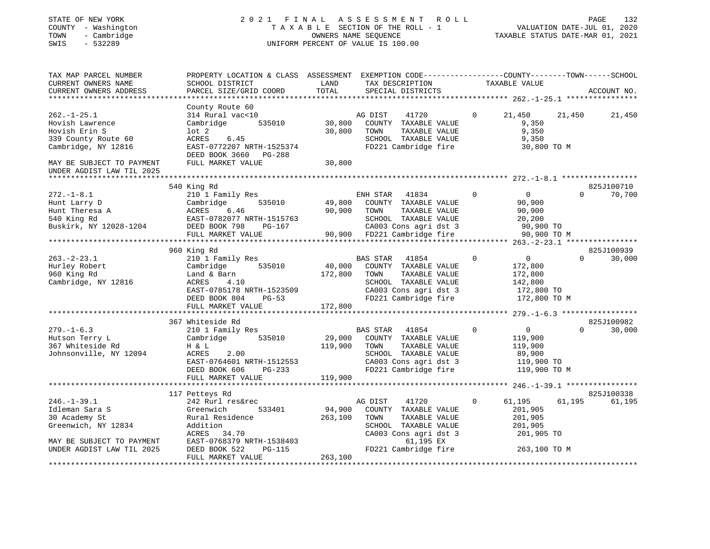STATE OF NEW YORK 2 0 2 1 F I N A L A S S E S S M E N T R O L L PAGE 132COUNTY - Washington T A X A B L E SECTION OF THE ROLL - 1 VALUATION DATE-JUL 01, 2020 TOWN - Cambridge OWNERS NAME SEQUENCE TAXABLE STATUS DATE-MAR 01, 2021 SWIS - 532289 UNIFORM PERCENT OF VALUE IS 100.00TAX MAP PARCEL NUMBER PROPERTY LOCATION & CLASS ASSESSMENT EXEMPTION CODE------------------COUNTY--------TOWN------SCHOOLCURRENT OWNERS NAME SCHOOL DISTRICT AND TAX DESCRIPTION TAXABLE VALUE CURRENT OWNERS ADDRESS PARCEL SIZE/GRID COORD TOTAL SPECIAL DISTRICTS ACCOUNT NO. \*\*\*\*\*\*\*\*\*\*\*\*\*\*\*\*\*\*\*\*\*\*\*\*\*\*\*\*\*\*\*\*\*\*\*\*\*\*\*\*\*\*\*\*\*\*\*\*\*\*\*\*\*\*\*\*\*\*\*\*\*\*\*\*\*\*\*\*\*\*\*\*\*\*\*\*\*\*\*\*\*\*\*\*\*\*\*\*\*\*\*\*\*\*\*\*\*\*\*\*\*\*\* 262.-1-25.1 \*\*\*\*\*\*\*\*\*\*\*\*\*\*\*\* County Route 60 262.-1-25.1 314 Rural vac<10 AG DIST 41720 0 21,450 21,450 21,450 Hovish Lawrence Cambridge 535010 30,800 COUNTY TAXABLE VALUE 9,350 Hovish Erin S lot 2 30,800 TOWN TAXABLE VALUE 9,350 339 County Route 60

| sss county noute or       | nunu<br><u>.</u>               | DCIIOOL IAMADIDI VADOD                                                                                                                                                                                 | - 7, 990                                         |
|---------------------------|--------------------------------|--------------------------------------------------------------------------------------------------------------------------------------------------------------------------------------------------------|--------------------------------------------------|
| Cambridge, NY 12816       | EAST-0772207 NRTH-1525374      | FD221 Cambridge fire                                                                                                                                                                                   | 30,800 TO M                                      |
|                           | DEED BOOK 3660 PG-288          |                                                                                                                                                                                                        |                                                  |
| MAY BE SUBJECT TO PAYMENT | FULL MARKET VALUE              | 30,800                                                                                                                                                                                                 |                                                  |
| UNDER AGDIST LAW TIL 2025 |                                |                                                                                                                                                                                                        |                                                  |
|                           |                                |                                                                                                                                                                                                        |                                                  |
|                           |                                |                                                                                                                                                                                                        |                                                  |
|                           | 540 King Rd                    |                                                                                                                                                                                                        | 825J100710                                       |
| $272. - 1 - 8.1$          | 210 1 Family Res               | ENH STAR<br>41834                                                                                                                                                                                      | $\Omega$<br>$\overline{0}$<br>$\Omega$<br>70,700 |
| Hunt Larry D              | 535010<br>Cambridge            | 49,800 COUNTY TAXABLE VALUE                                                                                                                                                                            | 90,900                                           |
| Hunt Theresa A            | 6.46<br>ACRES                  | 90,900 TOWN<br>TAXABLE VALUE                                                                                                                                                                           | 90,900                                           |
| 540 King Rd               | EAST-0782077 NRTH-1515763      | SCHOOL TAXABLE VALUE                                                                                                                                                                                   | 20,200                                           |
| Buskirk, NY 12028-1204    | DEED BOOK 798                  |                                                                                                                                                                                                        |                                                  |
|                           | FULL MARKET VALUE              |                                                                                                                                                                                                        |                                                  |
|                           |                                |                                                                                                                                                                                                        |                                                  |
|                           | 960 King Rd                    |                                                                                                                                                                                                        | 825J100939                                       |
|                           |                                |                                                                                                                                                                                                        | $\circ$<br>$\Omega$<br>30,000<br>$\overline{0}$  |
| $263. - 2 - 23.1$         | 210 1 Family Res               | BAS STAR<br>41854<br>$\begin{tabular}{lllllllllll} \texttt{535010} & \texttt{BAS STAR} & \texttt{41854} \\ \texttt{535010} & \texttt{40,000} & \texttt{COUNTY} & \texttt{TAXABLE VALUE} \end{tabular}$ |                                                  |
| Hurley Robert             | Cambridge                      |                                                                                                                                                                                                        | 172,800                                          |
| 960 King Rd               | Land & Barn                    | 172,800 TOWN<br>TAXABLE VALUE                                                                                                                                                                          | 172,800                                          |
| Cambridge, NY 12816       | 4.10<br>ACRES                  | SCHOOL TAXABLE VALUE                                                                                                                                                                                   | 142,800                                          |
|                           | EAST-0785178 NRTH-1523509      | CA003 Cons agri dst 3 172,800 TO                                                                                                                                                                       |                                                  |
|                           | DEED BOOK 804<br>$PG-53$       |                                                                                                                                                                                                        | FD221 Cambridge fire 172,800 TO M                |
|                           | FULL MARKET VALUE              | 172,800                                                                                                                                                                                                |                                                  |
|                           |                                |                                                                                                                                                                                                        |                                                  |
|                           | 367 Whiteside Rd               |                                                                                                                                                                                                        | 825J100982                                       |
| $279. - 1 - 6.3$          | 210 1 Family Res               | BAS STAR<br>41854                                                                                                                                                                                      | $\Omega$<br>$\overline{0}$<br>$\Omega$<br>30,000 |
| Hutson Terry L            | Cambridge                      | 29,000 COUNTY TAXABLE VALUE                                                                                                                                                                            |                                                  |
|                           | 535010                         |                                                                                                                                                                                                        | 119,900                                          |
| 367 Whiteside Rd          | H & L                          | 119,900 TOWN<br>TAXABLE VALUE                                                                                                                                                                          | 119,900                                          |
| Johnsonville, NY 12094    | ACRES<br>2.00                  | SCHOOL TAXABLE VALUE                                                                                                                                                                                   | 89,900                                           |
|                           | EAST-0764601 NRTH-1512553      |                                                                                                                                                                                                        | CA003 Cons agri dst 3 119,900 TO                 |
|                           | DEED BOOK 606<br>$PG-233$      | FD221 Cambridge fire                                                                                                                                                                                   | 119,900 TO M                                     |
|                           | FULL MARKET VALUE              | 119,900                                                                                                                                                                                                |                                                  |
|                           |                                |                                                                                                                                                                                                        |                                                  |
|                           | 117 Petteys Rd                 |                                                                                                                                                                                                        | 825J100338                                       |
| $246. - 1 - 39.1$         | 242 Rurl res&rec               | AG DIST<br>41720                                                                                                                                                                                       | $\overline{0}$<br>61,195<br>61,195<br>61,195     |
| Idleman Sara S            | Greenwich                      | 533401 94,900 COUNTY TAXABLE VALUE                                                                                                                                                                     | 201,905                                          |
|                           |                                |                                                                                                                                                                                                        |                                                  |
| 30 Academy St             | Rural Residence                | 263,100<br>TOWN<br>TAXABLE VALUE                                                                                                                                                                       | 201,905                                          |
| Greenwich, NY 12834       | Addition                       | SCHOOL TAXABLE VALUE                                                                                                                                                                                   | 201,905                                          |
|                           | ACRES 34.70                    | CA003 Cons agri dst 3                                                                                                                                                                                  | 201,905 TO                                       |
| MAY BE SUBJECT TO PAYMENT | EAST-0768379 NRTH-1538403      | 61,195 EX                                                                                                                                                                                              |                                                  |
| UNDER AGDIST LAW TIL 2025 | DEED BOOK 522<br><b>PG-115</b> | FD221 Cambridge fire                                                                                                                                                                                   | 263,100 TO M                                     |
|                           | EITT I MADIZEM JZATILE         | 252.300                                                                                                                                                                                                |                                                  |

 FULL MARKET VALUE 263,100 \*\*\*\*\*\*\*\*\*\*\*\*\*\*\*\*\*\*\*\*\*\*\*\*\*\*\*\*\*\*\*\*\*\*\*\*\*\*\*\*\*\*\*\*\*\*\*\*\*\*\*\*\*\*\*\*\*\*\*\*\*\*\*\*\*\*\*\*\*\*\*\*\*\*\*\*\*\*\*\*\*\*\*\*\*\*\*\*\*\*\*\*\*\*\*\*\*\*\*\*\*\*\*\*\*\*\*\*\*\*\*\*\*\*\*\*\*\*\*\*\*\*\*\*\*\*\*\*\*\*\*\*

132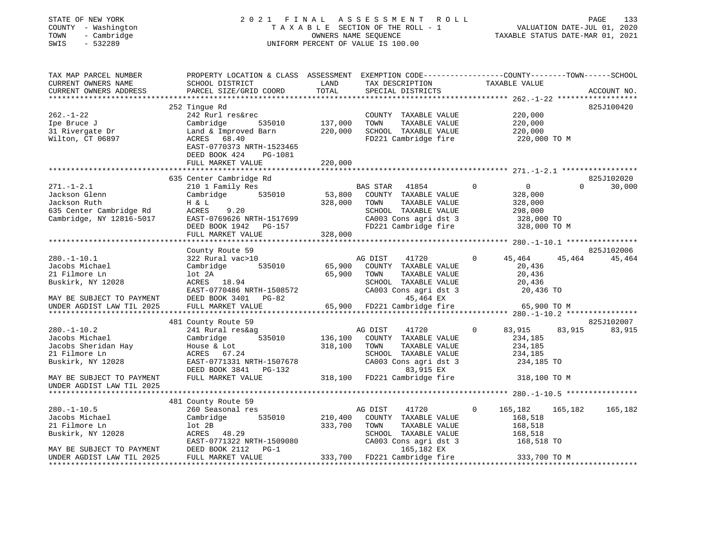## STATE OF NEW YORK 2 0 2 1 F I N A L A S S E S S M E N T R O L L PAGE 133 COUNTY - Washington T A X A B L E SECTION OF THE ROLL - 1 VALUATION DATE-JUL 01, 2020 TOWN - Cambridge OWNERS NAME SEQUENCE TAXABLE STATUS DATE-MAR 01, 2021 SWIS - 532289 UNIFORM PERCENT OF VALUE IS 100.00

| TAX MAP PARCEL NUMBER<br>CURRENT OWNERS NAME<br>CURRENT OWNERS ADDRESS                                                                             | PROPERTY LOCATION & CLASS ASSESSMENT EXEMPTION CODE---------------COUNTY-------TOWN------SCHOOL<br>SCHOOL DISTRICT<br>PARCEL SIZE/GRID COORD                                  | LAND<br>TOTAL                 | TAX DESCRIPTION<br>SERCIAL DISTRICTS<br>SPECIAL DISTRICTS                                                                                                        |                                                                                                 | ACCOUNT NO.                      |
|----------------------------------------------------------------------------------------------------------------------------------------------------|-------------------------------------------------------------------------------------------------------------------------------------------------------------------------------|-------------------------------|------------------------------------------------------------------------------------------------------------------------------------------------------------------|-------------------------------------------------------------------------------------------------|----------------------------------|
| $262. - 1 - 22$<br>Ipe Bruce J<br>31 Rivergate Dr<br>Wilton, CT 06897                                                                              | 252 Tingue Rd<br>242 Rurl res&rec<br>535010<br>Cambridge<br>Land & Improved Barn<br>ACRES 68.40<br>EAST-0770373 NRTH-1523465<br>DEED BOOK 424<br>PG-1081<br>FULL MARKET VALUE | 137,000<br>220,000<br>220,000 | COUNTY TAXABLE VALUE<br>TAXABLE VALUE<br>TOWN<br>SCHOOL TAXABLE VALUE<br>FD221 Cambridge fire                                                                    | 220,000<br>220,000<br>220,000<br>220,000 TO M                                                   | 825J100420                       |
| $271. - 1 - 2.1$<br>Jackson Glenn<br>Jackson Ruth<br>635 Center Cambridge Rd<br>Cambridge, NY 12816-5017                                           | 635 Center Cambridge Rd<br>210 1 Family Res<br>Cambridge 535010<br>H & L<br>ACRES<br>9.20<br>EAST-0769626 NRTH-1517699<br>DEED BOOK 1942 PG-157<br>FULL MARKET VALUE          | 53,800<br>328,000<br>328,000  | BAS STAR<br>41854<br>COUNTY TAXABLE VALUE<br>TOWN<br>TAXABLE VALUE<br>SCHOOL TAXABLE VALUE<br>CA003 Cons agri dst 3<br>FD221 Cambridge fire                      | $\overline{0}$<br>$\overline{0}$<br>328,000<br>328,000<br>298,000<br>328,000 TO<br>328,000 TO M | 825J102020<br>$\Omega$<br>30,000 |
| $280. - 1 - 10.1$<br>Jacobs Michael<br>21 Filmore Ln<br>Buskirk, NY 12028<br>MAY BE SUBJECT TO PAYMENT<br>UNDER AGDIST LAW TIL 2025                | County Route 59<br>322 Rural vac>10<br>535010<br>Cambridge<br>lot 2A<br>ACRES 18.94<br>EAST-0770486 NRTH-1508572<br>DEED BOOK 3401 PG-82<br>FULL MARKET VALUE                 | 65,900<br>65,900              | AG DIST<br>41720<br>COUNTY TAXABLE VALUE<br>TOWN<br>TAXABLE VALUE<br>SCHOOL TAXABLE VALUE<br>CA003 Cons agri dst 3<br>45,464 EX<br>65,900 FD221 Cambridge fire   | $\circ$<br>45,464<br>20,436<br>20,436<br>20,436<br>20,436 TO<br>65,900 TO M                     | 825J102006<br>45,464<br>45,464   |
|                                                                                                                                                    |                                                                                                                                                                               |                               |                                                                                                                                                                  |                                                                                                 |                                  |
| $280. - 1 - 10.2$<br>Jacobs Michael<br>Jacobs Sheridan Hay<br>21 Filmore Ln<br>Buskirk, NY 12028<br>MAY BE SUBJECT TO PAYMENT                      | 481 County Route 59<br>241 Rural res&ag<br>535010<br>Cambridge<br>House & Lot<br>ACRES 67.24<br>EAST-0771331 NRTH-1507678<br>DEED BOOK 3841 PG-132<br>FULL MARKET VALUE       | 136,100<br>318,100            | AG DIST<br>41720<br>COUNTY TAXABLE VALUE<br>TOWN<br>TAXABLE VALUE<br>SCHOOL TAXABLE VALUE<br>CA003 Cons agri dst 3<br>83,915 EX<br>318,100 FD221 Cambridge fire  | $\mathbf 0$<br>83,915<br>234,185<br>234,185<br>234,185<br>234,185 TO<br>318,100 TO M            | 825J102007<br>83,915<br>83,915   |
| UNDER AGDIST LAW TIL 2025                                                                                                                          |                                                                                                                                                                               |                               |                                                                                                                                                                  |                                                                                                 |                                  |
| $280. - 1 - 10.5$<br>Jacobs Michael<br>21 Filmore Ln<br>Buskirk, NY 12028<br>MAY BE SUBJECT TO PAYMENT DEED BOOK 2112<br>UNDER AGDIST LAW TIL 2025 | 481 County Route 59<br>260 Seasonal res<br>Cambridge<br>535010<br>lot 2B<br>ACRES 48.29<br>EAST-0771322 NRTH-1509080<br>$PG-1$<br>FULL MARKET VALUE                           | 210,400<br>333,700            | AG DIST<br>41720<br>COUNTY TAXABLE VALUE<br>TOWN<br>TAXABLE VALUE<br>SCHOOL TAXABLE VALUE<br>CA003 Cons agri dst 3<br>165,182 EX<br>333,700 FD221 Cambridge fire | $\mathbf 0$<br>165,182<br>168,518<br>168,518<br>168,518<br>168,518 TO<br>333,700 TO M           | 165,182<br>165,182               |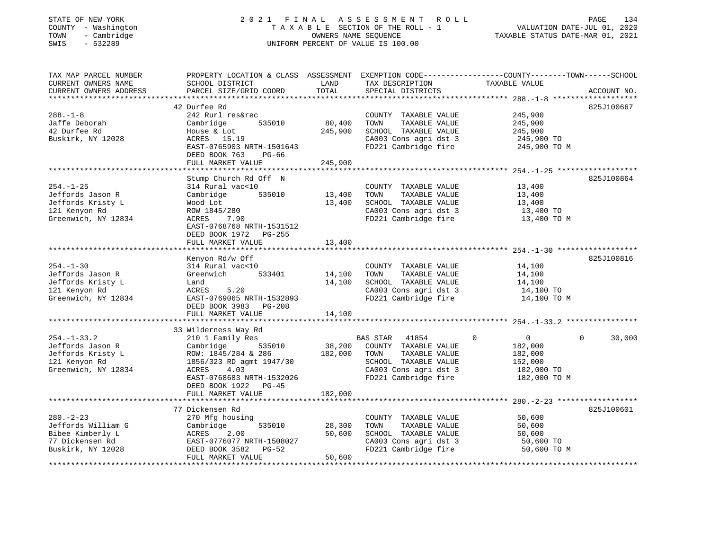| STATE OF NEW YORK                |              |
|----------------------------------|--------------|
| <b>COUNTY</b>                    | - Washington |
| TOWN<br>$\overline{\phantom{0}}$ | Cambridge    |
| CLIT <sub>C</sub>                | EDDDOO       |

#### STATE OF NEW YORK 2 0 2 1 F I N A L A S S E S S M E N T R O L L PAGE 134 COUNTY - Washington T A X A B L E SECTION OF THE ROLL - 1 VALUATION DATE-JUL 01, 2020 TOWN - Cambridge OWNERS NAME SEQUENCE TAXABLE STATUS DATE-MAR 01, 2021 SWIS - 532289 UNIFORM PERCENT OF VALUE IS 100.00UNIFORM PERCENT OF VALUE IS 100.00

| TAX MAP PARCEL NUMBER<br>CURRENT OWNERS NAME                                                       | PROPERTY LOCATION & CLASS ASSESSMENT<br>SCHOOL DISTRICT                                                                                                                                  | LAND                         | TAX DESCRIPTION                                                                                                                             | EXEMPTION CODE-----------------COUNTY-------TOWN------SCHOOL<br>TAXABLE VALUE                |                       |
|----------------------------------------------------------------------------------------------------|------------------------------------------------------------------------------------------------------------------------------------------------------------------------------------------|------------------------------|---------------------------------------------------------------------------------------------------------------------------------------------|----------------------------------------------------------------------------------------------|-----------------------|
| CURRENT OWNERS ADDRESS                                                                             | PARCEL SIZE/GRID COORD                                                                                                                                                                   | TOTAL                        | SPECIAL DISTRICTS                                                                                                                           |                                                                                              | ACCOUNT NO.           |
| $288. - 1 - 8$<br>Jaffe Deborah<br>42 Durfee Rd<br>Buskirk, NY 12028                               | 42 Durfee Rd<br>242 Rurl res&rec<br>Cambridge<br>535010<br>House & Lot<br>ACRES 15.19<br>EAST-0765903 NRTH-1501643<br>DEED BOOK 763<br>PG-66<br>FULL MARKET VALUE                        | 80,400<br>245,900<br>245,900 | COUNTY TAXABLE VALUE<br>TOWN<br>TAXABLE VALUE<br>SCHOOL TAXABLE VALUE<br>CA003 Cons agri dst 3<br>FD221 Cambridge fire                      | 245,900<br>245,900<br>245,900<br>245,900 TO<br>245,900 TO M                                  | 825J100667            |
|                                                                                                    |                                                                                                                                                                                          |                              |                                                                                                                                             |                                                                                              |                       |
| $254. - 1 - 25$<br>Jeffords Jason R<br>Jeffords Kristy L<br>121 Kenyon Rd<br>Greenwich, NY 12834   | Stump Church Rd Off N<br>314 Rural vac<10<br>Cambridge<br>535010<br>Wood Lot<br>ROW 1845/280<br>ACRES<br>7.90<br>EAST-0768768 NRTH-1531512<br>DEED BOOK 1972 PG-255<br>FULL MARKET VALUE | 13,400<br>13,400<br>13,400   | COUNTY TAXABLE VALUE<br>TOWN<br>TAXABLE VALUE<br>SCHOOL TAXABLE VALUE<br>CA003 Cons agri dst 3<br>FD221 Cambridge fire                      | 13,400<br>13,400<br>13,400<br>13,400 TO<br>13,400 TO M                                       | 825J100864            |
|                                                                                                    |                                                                                                                                                                                          |                              |                                                                                                                                             |                                                                                              |                       |
| $254. - 1 - 30$<br>Jeffords Jason R<br>Jeffords Kristy L<br>121 Kenyon Rd<br>Greenwich, NY 12834   | Kenyon Rd/w Off<br>314 Rural vac<10<br>Greenwich<br>533401<br>Land<br>ACRES<br>5.20<br>EAST-0769065 NRTH-1532893<br>DEED BOOK 3983<br><b>PG-208</b><br>FULL MARKET VALUE                 | 14,100<br>14,100<br>14,100   | COUNTY TAXABLE VALUE<br>TOWN<br>TAXABLE VALUE<br>SCHOOL TAXABLE VALUE<br>CA003 Cons agri dst 3<br>FD221 Cambridge fire                      | 14,100<br>14,100<br>14,100<br>14,100 TO<br>14,100 TO M                                       | 825J100816            |
|                                                                                                    | 33 Wilderness Way Rd                                                                                                                                                                     |                              |                                                                                                                                             |                                                                                              |                       |
| $254. - 1 - 33.2$<br>Jeffords Jason R<br>Jeffords Kristy L<br>121 Kenyon Rd<br>Greenwich, NY 12834 | 210 1 Family Res<br>535010<br>Cambridge<br>ROW: 1845/284 & 286<br>1856/323 RD agmt 1947/30<br>ACRES<br>4.03<br>EAST-0768683 NRTH-1532026<br>DEED BOOK 1922 PG-45                         | 38,200<br>182,000            | BAS STAR<br>41854<br>COUNTY TAXABLE VALUE<br>TOWN<br>TAXABLE VALUE<br>SCHOOL TAXABLE VALUE<br>CA003 Cons agri dst 3<br>FD221 Cambridge fire | $\mathbf 0$<br>$\overline{0}$<br>182,000<br>182,000<br>152,000<br>182,000 TO<br>182,000 TO M | $\mathbf 0$<br>30,000 |
|                                                                                                    | FULL MARKET VALUE                                                                                                                                                                        | 182,000                      |                                                                                                                                             |                                                                                              |                       |
|                                                                                                    |                                                                                                                                                                                          |                              |                                                                                                                                             |                                                                                              |                       |
| $280. - 2 - 23$<br>Jeffords William G<br>Bibee Kimberly L<br>77 Dickensen Rd<br>Buskirk, NY 12028  | 77 Dickensen Rd<br>270 Mfg housing<br>535010<br>Cambridge<br>ACRES<br>2.00<br>EAST-0776077 NRTH-1508027<br>DEED BOOK 3582<br>$PG-52$<br>FULL MARKET VALUE                                | 28,300<br>50,600<br>50,600   | COUNTY TAXABLE VALUE<br>TOWN<br>TAXABLE VALUE<br>SCHOOL TAXABLE VALUE<br>CA003 Cons agri dst 3<br>FD221 Cambridge fire                      | 50,600<br>50,600<br>50,600<br>50,600 TO<br>50,600 TO M                                       | 825J100601            |
|                                                                                                    |                                                                                                                                                                                          |                              |                                                                                                                                             |                                                                                              |                       |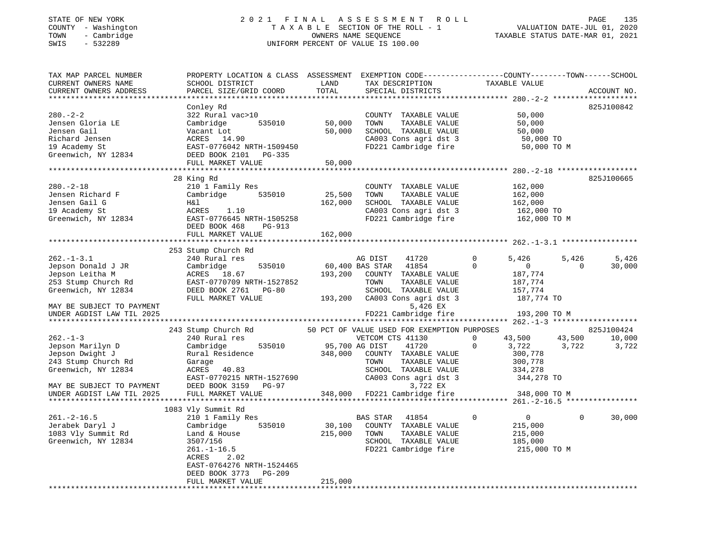#### STATE OF NEW YORK 2 0 2 1 F I N A L A S S E S S M E N T R O L L PAGE 135 COUNTY - Washington T A X A B L E SECTION OF THE ROLL - 1 VALUATION DATE-JUL 01, 2020 TOWN - Cambridge OWNERS NAME SEQUENCE TAXABLE STATUS DATE-MAR 01, 2021 SWIS - 532289 UNIFORM PERCENT OF VALUE IS 100.00

| TAX MAP PARCEL NUMBER<br>CURRENT OWNERS NAME<br>CURRENT OWNERS ADDRESS                                                          | PROPERTY LOCATION & CLASS ASSESSMENT<br>SCHOOL DISTRICT<br>PARCEL SIZE/GRID COORD                                                                            | LAND<br>TOTAL              | TAX DESCRIPTION<br>SPECIAL DISTRICTS                                                                                                                      | EXEMPTION CODE-----------------COUNTY-------TOWN------SCHOOL<br>TAXABLE VALUE                                     | ACCOUNT NO.     |
|---------------------------------------------------------------------------------------------------------------------------------|--------------------------------------------------------------------------------------------------------------------------------------------------------------|----------------------------|-----------------------------------------------------------------------------------------------------------------------------------------------------------|-------------------------------------------------------------------------------------------------------------------|-----------------|
| ***********************                                                                                                         |                                                                                                                                                              |                            |                                                                                                                                                           |                                                                                                                   |                 |
| $280. - 2 - 2$<br>Jensen Gloria LE<br>Jensen Gail<br>Richard Jensen<br>19 Academy St<br>Greenwich, NY 12834                     | Conley Rd<br>322 Rural vac>10<br>Cambridge<br>535010<br>Vacant Lot<br>ACRES 14.90<br>EAST-0776042 NRTH-1509450<br>DEED BOOK 2101 PG-335<br>FULL MARKET VALUE | 50,000<br>50,000<br>50,000 | COUNTY TAXABLE VALUE<br>TOWN<br>TAXABLE VALUE<br>SCHOOL TAXABLE VALUE<br>CA003 Cons agri dst 3<br>FD221 Cambridge fire                                    | 50,000<br>50,000<br>50,000<br>50,000 TO<br>50,000 TO M                                                            | 825J100842      |
|                                                                                                                                 |                                                                                                                                                              |                            |                                                                                                                                                           |                                                                                                                   |                 |
| $280. - 2 - 18$<br>Jensen Richard F<br>Jensen Gail G<br>19 Academy St<br>Greenwich, NY 12834                                    | 28 King Rd<br>210 1 Family Res<br>Cambridge<br>535010<br>Η&l<br>ACRES<br>1.10<br>EAST-0776645 NRTH-1505258<br>DEED BOOK 468<br>PG-913                        | 25,500<br>162,000          | COUNTY TAXABLE VALUE<br>TAXABLE VALUE<br>TOWN<br>SCHOOL TAXABLE VALUE<br>CA003 Cons agri dst 3<br>FD221 Cambridge fire                                    | 162,000<br>162,000<br>162,000<br>162,000 TO<br>162,000 TO M                                                       | 825J100665      |
|                                                                                                                                 | FULL MARKET VALUE                                                                                                                                            | 162,000                    |                                                                                                                                                           |                                                                                                                   |                 |
|                                                                                                                                 |                                                                                                                                                              |                            |                                                                                                                                                           |                                                                                                                   |                 |
| $262. -1 - 3.1$<br>Jepson Donald J JR<br>Jepson Leitha M<br>253 Stump Church Rd<br>Greenwich, NY 12834                          | 253 Stump Church Rd<br>240 Rural res<br>Cambridge<br>535010<br>ACRES<br>18.67<br>EAST-0770709 NRTH-1527852<br>DEED BOOK 2761<br>PG-80<br>FULL MARKET VALUE   | 193,200<br>193,200         | AG DIST<br>41720<br>41854<br>60,400 BAS STAR<br>COUNTY TAXABLE VALUE<br>TOWN<br>TAXABLE VALUE<br>SCHOOL TAXABLE VALUE<br>CA003 Cons agri dst 3            | $\Omega$<br>5,426<br>5,426<br>$\Omega$<br>$\mathbf{0}$<br>$\Omega$<br>187,774<br>187,774<br>157,774<br>187,774 TO | 5,426<br>30,000 |
| MAY BE SUBJECT TO PAYMENT<br>UNDER AGDIST LAW TIL 2025                                                                          |                                                                                                                                                              |                            | 5,426 EX<br>FD221 Cambridge fire                                                                                                                          | 193,200 TO M                                                                                                      |                 |
|                                                                                                                                 | 243 Stump Church Rd                                                                                                                                          |                            | 50 PCT OF VALUE USED FOR EXEMPTION PURPOSES                                                                                                               |                                                                                                                   | 825J100424      |
| $262. -1 - 3$<br>Jepson Marilyn D<br>Jepson Dwight J<br>243 Stump Church Rd<br>Greenwich, NY 12834<br>MAY BE SUBJECT TO PAYMENT | 240 Rural res<br>Cambridge<br>535010<br>Rural Residence<br>Garage<br>ACRES<br>40.83<br>EAST-0770215 NRTH-1527690<br>DEED BOOK 3159<br>PG-97                  | 348,000                    | VETCOM CTS 41130<br>95,700 AG DIST<br>41720<br>COUNTY TAXABLE VALUE<br>TOWN<br>TAXABLE VALUE<br>SCHOOL TAXABLE VALUE<br>CA003 Cons agri dst 3<br>3,722 EX | $\Omega$<br>43,500<br>43,500<br>$\Omega$<br>3,722<br>3,722<br>300,778<br>300,778<br>334,278<br>344,278 TO         | 10,000<br>3,722 |
| UNDER AGDIST LAW TIL 2025                                                                                                       | FULL MARKET VALUE                                                                                                                                            | 348,000                    | FD221 Cambridge fire                                                                                                                                      | 348,000 TO M                                                                                                      |                 |
|                                                                                                                                 | 1083 Vly Summit Rd                                                                                                                                           |                            |                                                                                                                                                           |                                                                                                                   |                 |
| $261 - 2 - 16.5$<br>Jerabek Daryl J<br>1083 Vly Summit Rd<br>Greenwich, NY 12834                                                | 210 1 Family Res<br>Cambridge<br>535010<br>Land & House<br>3507/156<br>$261. - 1 - 16.5$<br>ACRES<br>2.02<br>EAST-0764276 NRTH-1524465                       | 30,100<br>215,000          | BAS STAR<br>41854<br>COUNTY TAXABLE VALUE<br>TOWN<br>TAXABLE VALUE<br>SCHOOL TAXABLE VALUE<br>FD221 Cambridge fire                                        | $\Omega$<br>$\mathbf{0}$<br>$\Omega$<br>215,000<br>215,000<br>185,000<br>215,000 TO M                             | 30,000          |
|                                                                                                                                 | DEED BOOK 3773<br>PG-209<br>FULL MARKET VALUE                                                                                                                | 215,000                    | ************************************                                                                                                                      |                                                                                                                   |                 |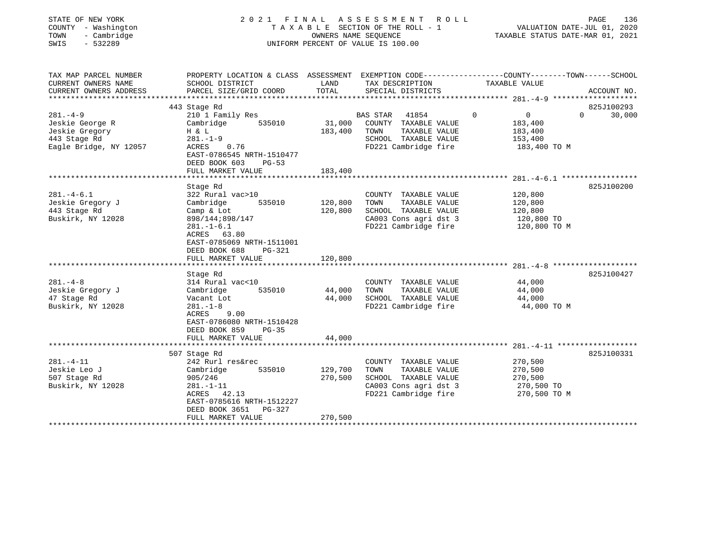| COUNTY<br>- Washington<br>- Cambridge<br>TOWN<br>$-532289$<br>SWIS                           | T A X A B L E SECTION OF THE ROLL - 1<br>OWNERS NAME SEQUENCE<br>UNIFORM PERCENT OF VALUE IS 100.00                                                                 |                    |                                                                                                                           | VALUATION DATE-JUL 01, 2020<br>TAXABLE STATUS DATE-MAR 01, 2021                |                                  |
|----------------------------------------------------------------------------------------------|---------------------------------------------------------------------------------------------------------------------------------------------------------------------|--------------------|---------------------------------------------------------------------------------------------------------------------------|--------------------------------------------------------------------------------|----------------------------------|
| TAX MAP PARCEL NUMBER<br>CURRENT OWNERS NAME<br>CURRENT OWNERS ADDRESS                       | PROPERTY LOCATION & CLASS ASSESSMENT EXEMPTION CODE---------------COUNTY-------TOWN-----SCHOOL<br>SCHOOL DISTRICT<br>PARCEL SIZE/GRID COORD                         | LAND<br>TOTAL      | TAX DESCRIPTION<br>SPECIAL DISTRICTS                                                                                      | TAXABLE VALUE                                                                  | ACCOUNT NO.                      |
|                                                                                              |                                                                                                                                                                     |                    |                                                                                                                           |                                                                                |                                  |
| $281 - 4 - 9$<br>Jeskie George R<br>Jeskie Gregory<br>443 Stage Rd<br>Eagle Bridge, NY 12057 | 443 Stage Rd<br>210 1 Family Res<br>Cambridge<br>535010<br>H & L<br>$281. - 1 - 9$<br>ACRES<br>0.76<br>EAST-0786545 NRTH-1510477                                    | 31,000<br>183,400  | <b>BAS STAR</b><br>41854<br>COUNTY TAXABLE VALUE<br>TAXABLE VALUE<br>TOWN<br>SCHOOL TAXABLE VALUE<br>FD221 Cambridge fire | $\mathbf 0$<br>$\overline{0}$<br>183,400<br>183,400<br>153,400<br>183,400 TO M | 825J100293<br>30,000<br>$\Omega$ |
|                                                                                              | DEED BOOK 603<br>PG-53<br>FULL MARKET VALUE                                                                                                                         | 183,400            |                                                                                                                           |                                                                                |                                  |
|                                                                                              | Stage Rd                                                                                                                                                            |                    |                                                                                                                           |                                                                                | 825J100200                       |
| $281. -4 - 6.1$<br>Jeskie Gregory J<br>443 Stage Rd<br>Buskirk, NY 12028                     | 322 Rural vac>10<br>Cambridge<br>535010<br>Camp & Lot<br>898/144;898/147<br>$281. - 1 - 6.1$<br>ACRES 63.80<br>EAST-0785069 NRTH-1511001<br>DEED BOOK 688<br>PG-321 | 120,800<br>120,800 | COUNTY TAXABLE VALUE<br>TAXABLE VALUE<br>TOWN<br>SCHOOL TAXABLE VALUE<br>CA003 Cons agri dst 3<br>FD221 Cambridge fire    | 120,800<br>120,800<br>120,800<br>120,800 TO<br>120,800 TO M                    |                                  |
|                                                                                              | FULL MARKET VALUE                                                                                                                                                   | 120,800            |                                                                                                                           |                                                                                |                                  |
| $281. - 4 - 8$<br>Jeskie Gregory J<br>47 Stage Rd<br>Buskirk, NY 12028                       | Stage Rd<br>314 Rural vac<10<br>535010<br>Cambridge<br>Vacant Lot<br>$281. - 1 - 8$<br>9.00<br>ACRES<br>EAST-0786080 NRTH-1510428<br>DEED BOOK 859<br>$PG-35$       | 44,000<br>44,000   | COUNTY TAXABLE VALUE<br>TOWN<br>TAXABLE VALUE<br>SCHOOL TAXABLE VALUE<br>FD221 Cambridge fire                             | 44,000<br>44,000<br>44,000<br>44,000 TO M                                      | 825J100427                       |
|                                                                                              | FULL MARKET VALUE                                                                                                                                                   | 44,000             |                                                                                                                           |                                                                                |                                  |
| $281. - 4 - 11$<br>Jeskie Leo J<br>507 Stage Rd<br>Buskirk, NY 12028                         | 507 Stage Rd<br>242 Rurl res&rec<br>Cambridge<br>535010<br>905/246<br>$281. - 1 - 11$<br>ACRES 42.13                                                                | 129,700<br>270,500 | COUNTY TAXABLE VALUE<br>TAXABLE VALUE<br>TOWN<br>SCHOOL TAXABLE VALUE<br>CA003 Cons agri dst 3<br>FD221 Cambridge fire    | 270,500<br>270,500<br>270,500<br>270,500 TO<br>270,500 TO M                    | 825J100331                       |
|                                                                                              | EAST-0785616 NRTH-1512227<br>DEED BOOK 3651<br>PG-327<br>FULL MARKET VALUE                                                                                          | 270,500            |                                                                                                                           |                                                                                |                                  |

PAGE 136

STATE OF NEW YORK 2021 FINAL ASSESSMENT ROLL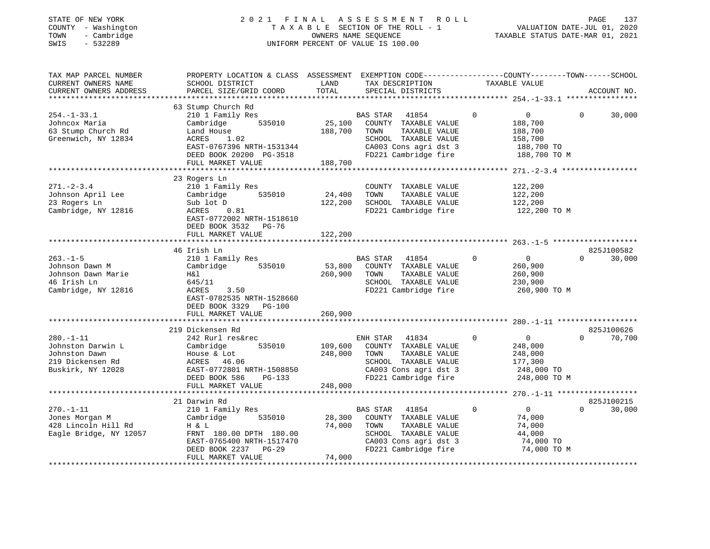| STATE OF NEW YORK<br>COUNTY - Washington<br>- Cambridge<br>TOWN<br>$-532289$<br>SWIS          | 2021                                                                                                                                  | FINAL                  | A S S E S S M E N T<br>TAXABLE SECTION OF THE ROLL - 1<br>OWNERS NAME SEQUENCE<br>UNIFORM PERCENT OF VALUE IS 100.00                               | R O L L     | VALUATION DATE-JUL 01, 2020<br>TAXABLE STATUS DATE-MAR 01, 2021                          |          | 137<br>PAGE          |
|-----------------------------------------------------------------------------------------------|---------------------------------------------------------------------------------------------------------------------------------------|------------------------|----------------------------------------------------------------------------------------------------------------------------------------------------|-------------|------------------------------------------------------------------------------------------|----------|----------------------|
| TAX MAP PARCEL NUMBER                                                                         | PROPERTY LOCATION & CLASS ASSESSMENT                                                                                                  |                        | EXEMPTION CODE-----------------COUNTY-------TOWN------SCHOOL                                                                                       |             |                                                                                          |          |                      |
| CURRENT OWNERS NAME                                                                           | SCHOOL DISTRICT                                                                                                                       | LAND<br>TOTAL          | TAX DESCRIPTION                                                                                                                                    |             | TAXABLE VALUE                                                                            |          | ACCOUNT NO.          |
| CURRENT OWNERS ADDRESS<br>**********************                                              | PARCEL SIZE/GRID COORD                                                                                                                |                        | SPECIAL DISTRICTS                                                                                                                                  |             |                                                                                          |          |                      |
|                                                                                               | 63 Stump Church Rd                                                                                                                    |                        |                                                                                                                                                    |             |                                                                                          |          |                      |
| $254. - 1 - 33.1$<br>Johncox Maria<br>63 Stump Church Rd<br>Greenwich, NY 12834               | 210 1 Family Res<br>535010<br>Cambridge<br>Land House<br><b>ACRES</b><br>1.02<br>EAST-0767396 NRTH-1531344<br>DEED BOOK 20200 PG-3518 | 25,100<br>188,700      | <b>BAS STAR</b><br>41854<br>COUNTY TAXABLE VALUE<br>TOWN<br>TAXABLE VALUE<br>SCHOOL TAXABLE VALUE<br>CA003 Cons agri dst 3<br>FD221 Cambridge fire | $\Omega$    | $\mathbf{0}$<br>188,700<br>188,700<br>158,700<br>188,700 TO<br>188,700 TO M              | $\Omega$ | 30,000               |
|                                                                                               | FULL MARKET VALUE<br>******************                                                                                               | 188,700<br>*********** |                                                                                                                                                    |             |                                                                                          |          |                      |
| $271. - 2 - 3.4$<br>Johnson April Lee<br>23 Rogers Ln<br>Cambridge, NY 12816                  | 23 Rogers Ln<br>210 1 Family Res<br>535010<br>Cambridge<br>Sub lot D<br>0.81<br>ACRES<br>EAST-0772002 NRTH-1518610                    | 24,400<br>122,200      | COUNTY TAXABLE VALUE<br>TOWN<br>TAXABLE VALUE<br>SCHOOL TAXABLE VALUE<br>FD221 Cambridge fire                                                      |             | *********** 271.-2-3.4 ****************<br>122,200<br>122,200<br>122,200<br>122,200 TO M |          |                      |
|                                                                                               | DEED BOOK 3532 PG-76<br>FULL MARKET VALUE                                                                                             | 122,200                |                                                                                                                                                    |             |                                                                                          |          |                      |
| $263. -1 - 5$                                                                                 | 46 Irish Ln                                                                                                                           |                        | BAS STAR<br>41854                                                                                                                                  | $\mathbf 0$ | $\overline{0}$                                                                           | $\Omega$ | 825J100582<br>30,000 |
| Johnson Dawn M<br>Johnson Dawn Marie<br>46 Irish Ln<br>Cambridge, NY 12816                    | 210 1 Family Res<br>Cambridge<br>535010<br>H&l<br>645/11<br>3.50<br>ACRES<br>EAST-0782535 NRTH-1528660<br>DEED BOOK 3329 PG-100       | 53,800<br>260,900      | COUNTY TAXABLE VALUE<br>TOWN<br>TAXABLE VALUE<br>SCHOOL TAXABLE VALUE<br>FD221 Cambridge fire                                                      |             | 260,900<br>260,900<br>230,900<br>260,900 TO M                                            |          |                      |
|                                                                                               | FULL MARKET VALUE                                                                                                                     | 260,900                |                                                                                                                                                    |             |                                                                                          |          |                      |
|                                                                                               | 219 Dickensen Rd                                                                                                                      |                        |                                                                                                                                                    |             |                                                                                          |          | 825J100626           |
| $280. -1 - 11$<br>Johnston Darwin L<br>Johnston Dawn<br>219 Dickensen Rd<br>Buskirk, NY 12028 | 242 Rurl res&rec<br>Cambridge<br>535010<br>House & Lot<br>ACRES 46.06<br>EAST-0772801 NRTH-1508850<br>DEED BOOK 586<br>PG-133         | 109,600<br>248,000     | 41834<br>ENH STAR<br>COUNTY TAXABLE VALUE<br>TAXABLE VALUE<br>TOWN<br>SCHOOL TAXABLE VALUE<br>CA003 Cons agri dst 3<br>FD221 Cambridge fire        | $\Omega$    | $\overline{0}$<br>248,000<br>248,000<br>177,300<br>248,000 TO<br>248,000 TO M            | $\Omega$ | 70,700               |
|                                                                                               | FULL MARKET VALUE                                                                                                                     | 248,000                |                                                                                                                                                    |             |                                                                                          |          |                      |
|                                                                                               |                                                                                                                                       |                        |                                                                                                                                                    |             |                                                                                          |          |                      |
| $270. - 1 - 11$<br>Jones Morgan M<br>428 Lincoln Hill Rd<br>Eagle Bridge, NY 12057            | 21 Darwin Rd<br>210 1 Family Res<br>Cambridge<br>535010<br>H & L<br>FRNT 180.00 DPTH 180.00                                           | 28,300<br>74,000       | BAS STAR<br>41854<br>COUNTY TAXABLE VALUE<br>TOWN<br>TAXABLE VALUE<br>SCHOOL TAXABLE VALUE                                                         | $\Omega$    | $\mathbf{0}$<br>74,000<br>74,000<br>44,000                                               | $\Omega$ | 825J100215<br>30,000 |

ert Bridge, NY 180.00 CHOOL TAXABLE VALUE 44,000<br>EAST-0765400 NRTH-1517470 CA003 Cons agri dst 3 74,000 TO EAST-0765400 NRTH-1517470 CA003 Cons agri dst 3 74,000 TO<br>DEED BOOK 2237 PG-29 FD221 Cambridge fire 74,000 TO M

\*\*\*\*\*\*\*\*\*\*\*\*\*\*\*\*\*\*\*\*\*\*\*\*\*\*\*\*\*\*\*\*\*\*\*\*\*\*\*\*\*\*\*\*\*\*\*\*\*\*\*\*\*\*\*\*\*\*\*\*\*\*\*\*\*\*\*\*\*\*\*\*\*\*\*\*\*\*\*\*\*\*\*\*\*\*\*\*\*\*\*\*\*\*\*\*\*\*\*\*\*\*\*\*\*\*\*\*\*\*\*\*\*\*\*\*\*\*\*\*\*\*\*\*\*\*\*\*\*\*\*\*

DEED BOOK 2237 PG-29

FULL MARKET VALUE 74,000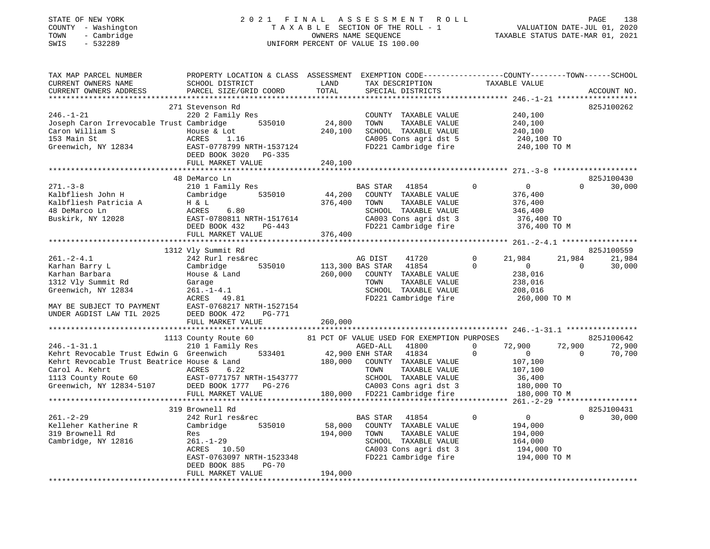# STATE OF NEW YORK 2 0 2 1 F I N A L A S S E S S M E N T R O L L PAGE 138COUNTY - Washington T A X A B L E SECTION OF THE ROLL - 1 VALUATION DATE-JUL 01, 2020 UNIFORM PERCENT OF VALUE IS 100.00

VALUATION DATE-JUL 01, 2020 TAXABLE STATUS DATE-MAR 01, 2021

| TAX MAP PARCEL NUMBER                                                                               | PROPERTY LOCATION & CLASS ASSESSMENT |                  | EXEMPTION CODE-----------------COUNTY-------TOWN------SCHOOL |                                  |                    |
|-----------------------------------------------------------------------------------------------------|--------------------------------------|------------------|--------------------------------------------------------------|----------------------------------|--------------------|
| CURRENT OWNERS NAME                                                                                 | SCHOOL DISTRICT                      | LAND             | TAX DESCRIPTION                                              | TAXABLE VALUE                    |                    |
| CURRENT OWNERS ADDRESS                                                                              | PARCEL SIZE/GRID COORD               | TOTAL            | SPECIAL DISTRICTS                                            |                                  | ACCOUNT NO.        |
|                                                                                                     |                                      |                  |                                                              |                                  |                    |
|                                                                                                     | 271 Stevenson Rd                     |                  |                                                              |                                  | 825J100262         |
| $246. - 1 - 21$                                                                                     | 220 2 Family Res                     |                  | COUNTY TAXABLE VALUE                                         | 240,100                          |                    |
| Joseph Caron Irrevocable Trust Cambridge                                                            | 535010                               | 24,800           | TAXABLE VALUE<br>TOWN                                        | 240,100                          |                    |
| Caron William S                                                                                     | House & Lot                          | 240,100          | SCHOOL TAXABLE VALUE                                         | 240,100                          |                    |
| 153 Main St                                                                                         | ACRES<br>1.16                        |                  | CA005 Cons agri dst 5                                        | 240,100 TO                       |                    |
| Greenwich, NY 12834                                                                                 | EAST-0778799 NRTH-1537124            |                  | FD221 Cambridge fire                                         | 240,100 TO M                     |                    |
|                                                                                                     | DEED BOOK 3020 PG-335                |                  |                                                              |                                  |                    |
|                                                                                                     | FULL MARKET VALUE                    | 240,100          |                                                              |                                  |                    |
|                                                                                                     |                                      |                  |                                                              |                                  |                    |
|                                                                                                     | 48 DeMarco Ln                        |                  |                                                              |                                  | 825J100430         |
| $271. - 3 - 8$                                                                                      | 210 1 Family Res                     |                  | BAS STAR<br>41854                                            | $\overline{0}$<br>$\overline{0}$ | $\Omega$<br>30,000 |
| Kalbfliesh John H                                                                                   | 535010                               | 44,200           | COUNTY TAXABLE VALUE                                         | 376,400                          |                    |
|                                                                                                     | Cambridge                            |                  |                                                              |                                  |                    |
| Kalbfliesh Patricia A                                                                               | H & L                                | 376,400          | TOWN<br>TAXABLE VALUE                                        | 376,400                          |                    |
| 48 DeMarco Ln                                                                                       | 6.80<br>ACRES                        |                  | SCHOOL TAXABLE VALUE                                         | 346,400                          |                    |
| Buskirk, NY 12028                                                                                   | EAST-0780811 NRTH-1517614            |                  | CA003 Cons agri dst 3                                        | 376,400 TO                       |                    |
|                                                                                                     | DEED BOOK 432<br>PG-443              |                  | FD221 Cambridge fire                                         | 376,400 TO M                     |                    |
|                                                                                                     | FULL MARKET VALUE                    | 376,400          |                                                              |                                  |                    |
|                                                                                                     |                                      |                  |                                                              |                                  |                    |
|                                                                                                     | 1312 Vly Summit Rd                   |                  |                                                              |                                  | 825J100559         |
| $261. - 2 - 4.1$                                                                                    | 242 Rurl res&rec                     |                  | AG DIST<br>41720                                             | $\Omega$<br>21,984               | 21,984<br>21,984   |
| Karhan Barry L                                                                                      | 535010<br>Cambridge                  | 113,300 BAS STAR | 41854                                                        | $\Omega$<br>$\overline{0}$       | 30,000<br>$\Omega$ |
| Karhan Barbara                                                                                      | House & Land                         | 260,000          | COUNTY TAXABLE VALUE                                         | 238,016                          |                    |
| 1312 Vly Summit Rd                                                                                  | Garage                               |                  | TOWN<br>TAXABLE VALUE                                        | 238,016                          |                    |
| Greenwich, NY 12834                                                                                 | $261. - 1 - 4.1$                     |                  | SCHOOL TAXABLE VALUE                                         | 208,016                          |                    |
|                                                                                                     | ACRES 49.81                          |                  | FD221 Cambridge fire                                         | 260,000 TO M                     |                    |
| MAY BE SUBJECT TO PAYMENT                                                                           | EAST-0768217 NRTH-1527154            |                  |                                                              |                                  |                    |
| UNDER AGDIST LAW TIL 2025                                                                           | DEED BOOK 472<br>PG-771              |                  |                                                              |                                  |                    |
|                                                                                                     | FULL MARKET VALUE                    | 260,000          |                                                              |                                  |                    |
|                                                                                                     |                                      |                  |                                                              |                                  |                    |
|                                                                                                     | 1113 County Route 60                 |                  | 81 PCT OF VALUE USED FOR EXEMPTION PURPOSES                  |                                  | 825J100642         |
| $246. - 1 - 31.1$                                                                                   | 210 1 Family Res                     |                  | 41800<br>AGED-ALL                                            | $\mathbf 0$<br>72,900            | 72,900<br>72,900   |
| Kehrt Revocable Trust Edwin G Greenwich                                                             | 533401                               | 42,900 ENH STAR  | 41834                                                        | $\Omega$<br>$\overline{0}$       | $\Omega$<br>70,700 |
| Kehrt Revocable Trust Beatrice House & Land                                                         |                                      |                  | 180,000 COUNTY TAXABLE VALUE                                 | 107,100                          |                    |
| Carol A. Kehrt                                                                                      | 6.22<br>ACRES                        |                  | TAXABLE VALUE<br>TOWN                                        | 107,100                          |                    |
|                                                                                                     |                                      |                  | SCHOOL TAXABLE VALUE                                         | 36,400                           |                    |
| 1113 County Route 60<br>EAST-0771757 NRTH-1543777<br>Greenwich, NY 12834-5107 DEED BOOK 1777 PG-276 |                                      |                  | CA003 Cons agri dst 3                                        | 180,000 TO                       |                    |
|                                                                                                     | FULL MARKET VALUE                    |                  | 180,000 FD221 Cambridge fire                                 | 180,000 TO M                     |                    |
|                                                                                                     |                                      |                  |                                                              |                                  |                    |
|                                                                                                     | 319 Brownell Rd                      |                  |                                                              |                                  | 825J100431         |
| $261. - 2 - 29$                                                                                     | 242 Rurl res&rec                     |                  | <b>BAS STAR</b><br>41854                                     | $\Omega$<br>$\overline{0}$       | $\Omega$<br>30,000 |
| Kelleher Katherine R                                                                                | Cambridge<br>535010                  | 58,000           | COUNTY TAXABLE VALUE                                         | 194,000                          |                    |
| 319 Brownell Rd                                                                                     | Res                                  | 194,000          | TAXABLE VALUE<br>TOWN                                        | 194,000                          |                    |
|                                                                                                     |                                      |                  |                                                              |                                  |                    |
| Cambridge, NY 12816                                                                                 | $261. - 1 - 29$                      |                  | SCHOOL TAXABLE VALUE                                         | 164,000                          |                    |
|                                                                                                     | ACRES 10.50                          |                  | CA003 Cons agri dst 3                                        | 194,000 TO                       |                    |
|                                                                                                     | EAST-0763097 NRTH-1523348            |                  | FD221 Cambridge fire                                         | 194,000 TO M                     |                    |
|                                                                                                     | DEED BOOK 885<br>$PG-70$             |                  |                                                              |                                  |                    |
|                                                                                                     | FULL MARKET VALUE                    | 194,000          |                                                              |                                  |                    |
|                                                                                                     |                                      |                  |                                                              |                                  |                    |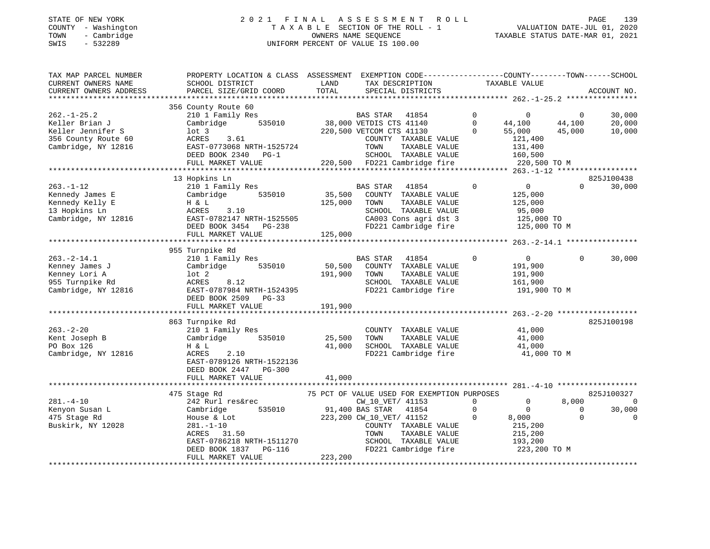#### STATE OF NEW YORK 2 0 2 1 F I N A L A S S E S S M E N T R O L L PAGE 139 COUNTY - Washington T A X A B L E SECTION OF THE ROLL - 1 VALUATION DATE-JUL 01, 2020 TOWN - Cambridge OWNERS NAME SEQUENCE TAXABLE STATUS DATE-MAR 01, 2021 SWIS - 532289 UNIFORM PERCENT OF VALUE IS 100.00

| TAX MAP PARCEL NUMBER<br>CURRENT OWNERS NAME<br>CURRENT OWNERS ADDRESS | PROPERTY LOCATION & CLASS ASSESSMENT<br>SCHOOL DISTRICT<br>PARCEL SIZE/GRID COORD | LAND<br>TOTAL | EXEMPTION CODE-----------------COUNTY-------TOWN------SCHOOL<br>TAX DESCRIPTION<br>SPECIAL DISTRICTS | TAXABLE VALUE                           |                | ACCOUNT NO.                  |
|------------------------------------------------------------------------|-----------------------------------------------------------------------------------|---------------|------------------------------------------------------------------------------------------------------|-----------------------------------------|----------------|------------------------------|
| *********************                                                  |                                                                                   |               |                                                                                                      |                                         |                |                              |
| $262. - 1 - 25.2$                                                      | 356 County Route 60<br>210 1 Family Res                                           |               | <b>BAS STAR</b><br>41854                                                                             | $\mathbf 0$<br>$\overline{0}$           | $\overline{0}$ | 30,000                       |
| Keller Brian J                                                         | 535010<br>Cambridge                                                               |               | 38,000 VETDIS CTS 41140                                                                              | $\mathbf 0$<br>44,100                   | 44,100         | 20,000                       |
| Keller Jennifer S                                                      | $1$ ot 3                                                                          |               | 220,500 VETCOM CTS 41130                                                                             | $\Omega$<br>55,000                      | 45,000         | 10,000                       |
| 356 County Route 60                                                    | ACRES<br>3.61                                                                     |               | COUNTY TAXABLE VALUE                                                                                 | 121,400                                 |                |                              |
| Cambridge, NY 12816                                                    | EAST-0773068 NRTH-1525724                                                         |               | TAXABLE VALUE<br>TOWN<br>SCHOOL TAXABLE VALUE                                                        | 131,400                                 |                |                              |
|                                                                        | DEED BOOK 2340 PG-1<br>FULL MARKET VALUE                                          |               | 220,500 FD221 Cambridge fire                                                                         | 160,500<br>220,500 TO M                 |                |                              |
|                                                                        | ***********************                                                           |               | ************************************                                                                 | ********* 263.-1-12 ******************* |                |                              |
|                                                                        | 13 Hopkins Ln                                                                     |               |                                                                                                      |                                         |                | 825J100438                   |
| $263. - 1 - 12$                                                        | 210 1 Family Res                                                                  |               | BAS STAR<br>41854                                                                                    | 0<br>$\overline{0}$                     | $\Omega$       | 30,000                       |
| Kennedy James E                                                        | Cambridge<br>535010                                                               | 35,500        | COUNTY TAXABLE VALUE                                                                                 | 125,000                                 |                |                              |
| Kennedy Kelly E                                                        | H & L                                                                             | 125,000       | TAXABLE VALUE<br>TOWN                                                                                | 125,000                                 |                |                              |
| 13 Hopkins Ln                                                          | ACRES<br>3.10                                                                     |               | SCHOOL TAXABLE VALUE                                                                                 | 95,000                                  |                |                              |
| Cambridge, NY 12816                                                    | EAST-0782147 NRTH-1525505                                                         |               | CA003 Cons agri dst 3                                                                                | 125,000 TO                              |                |                              |
|                                                                        | DEED BOOK 3454 PG-238                                                             |               | FD221 Cambridge fire                                                                                 | 125,000 TO M                            |                |                              |
|                                                                        | FULL MARKET VALUE                                                                 | 125,000       |                                                                                                      |                                         |                |                              |
|                                                                        |                                                                                   |               |                                                                                                      |                                         |                |                              |
|                                                                        | 955 Turnpike Rd                                                                   |               |                                                                                                      |                                         |                |                              |
| $263. -2 - 14.1$                                                       | 210 1 Family Res                                                                  |               | 41854<br><b>BAS STAR</b>                                                                             | $\overline{0}$<br>$\Omega$              | $\Omega$       | 30,000                       |
| Kenney James J                                                         | Cambridge<br>535010                                                               | 50,500        | COUNTY TAXABLE VALUE<br>TAXABLE VALUE                                                                | 191,900                                 |                |                              |
| Kenney Lori A<br>955 Turnpike Rd                                       | $1$ ot $2$<br>ACRES<br>8.12                                                       | 191,900       | TOWN<br>SCHOOL TAXABLE VALUE                                                                         | 191,900<br>161,900                      |                |                              |
| Cambridge, NY 12816                                                    | EAST-0787984 NRTH-1524395                                                         |               | FD221 Cambridge fire                                                                                 | 191,900 TO M                            |                |                              |
|                                                                        | DEED BOOK 2509 PG-33                                                              |               |                                                                                                      |                                         |                |                              |
|                                                                        | FULL MARKET VALUE                                                                 | 191,900       |                                                                                                      |                                         |                |                              |
|                                                                        |                                                                                   |               |                                                                                                      |                                         |                |                              |
|                                                                        | 863 Turnpike Rd                                                                   |               |                                                                                                      |                                         |                | 825J100198                   |
| $263. - 2 - 20$                                                        | 210 1 Family Res                                                                  |               | COUNTY TAXABLE VALUE                                                                                 | 41,000                                  |                |                              |
| Kent Joseph B                                                          | Cambridge<br>535010                                                               | 25,500        | TOWN<br>TAXABLE VALUE                                                                                | 41,000                                  |                |                              |
| PO Box 126                                                             | H & L                                                                             | 41,000        | SCHOOL TAXABLE VALUE                                                                                 | 41,000                                  |                |                              |
| Cambridge, NY 12816                                                    | ACRES<br>2.10                                                                     |               | FD221 Cambridge fire                                                                                 | 41,000 TO M                             |                |                              |
|                                                                        | EAST-0789126 NRTH-1522136                                                         |               |                                                                                                      |                                         |                |                              |
|                                                                        | DEED BOOK 2447<br><b>PG-300</b>                                                   |               |                                                                                                      |                                         |                |                              |
|                                                                        | FULL MARKET VALUE                                                                 | 41,000        |                                                                                                      |                                         |                |                              |
|                                                                        |                                                                                   |               |                                                                                                      |                                         |                |                              |
| $281. -4 - 10$                                                         | 475 Stage Rd<br>242 Rurl res&rec                                                  |               | 75 PCT OF VALUE USED FOR EXEMPTION PURPOSES<br>CW_10_VET/ 41153                                      | $\mathbf{0}$<br>0                       | 8,000          | 825J100327<br>$\overline{0}$ |
| Kenyon Susan L                                                         | 535010<br>Cambridge                                                               |               | 91,400 BAS STAR<br>41854                                                                             | $\Omega$<br>$\Omega$                    | $\Omega$       | 30,000                       |
| 475 Stage Rd                                                           | House & Lot                                                                       |               | 223,200 CW_10_VET/ 41152                                                                             | $\Omega$<br>8,000                       | $\Omega$       | $\Omega$                     |
| Buskirk, NY 12028                                                      | $281. - 1 - 10$                                                                   |               | COUNTY TAXABLE VALUE                                                                                 | 215,200                                 |                |                              |
|                                                                        | 31.50<br>ACRES                                                                    |               | TAXABLE VALUE<br>TOWN                                                                                | 215,200                                 |                |                              |
|                                                                        | EAST-0786218 NRTH-1511270                                                         |               | SCHOOL TAXABLE VALUE                                                                                 | 193,200                                 |                |                              |
|                                                                        | DEED BOOK 1837<br><b>PG-116</b>                                                   |               | FD221 Cambridge fire                                                                                 | 223,200 TO M                            |                |                              |
|                                                                        | FULL MARKET VALUE                                                                 | 223,200       |                                                                                                      |                                         |                |                              |
|                                                                        | *************************************                                             |               |                                                                                                      |                                         |                |                              |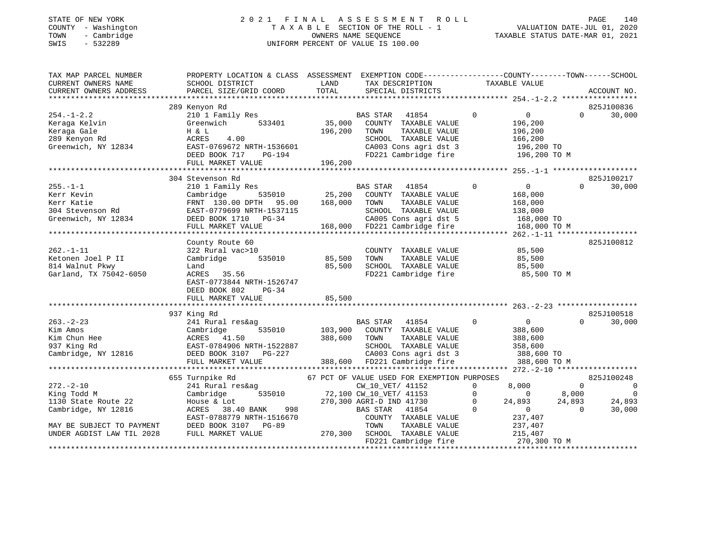#### STATE OF NEW YORK 2 0 2 1 F I N A L A S S E S S M E N T R O L L PAGE 140 COUNTY - Washington T A X A B L E SECTION OF THE ROLL - 1 VALUATION DATE-JUL 01, 2020 TOWN - Cambridge OWNERS NAME SEQUENCE TAXABLE STATUS DATE-MAR 01, 2021 SWIS - 532289 UNIFORM PERCENT OF VALUE IS 100.00

| TAX MAP PARCEL NUMBER<br>CURRENT OWNERS NAME | PROPERTY LOCATION & CLASS ASSESSMENT<br>SCHOOL DISTRICT | LAND    | TAX DESCRIPTION                                  | EXEMPTION CODE-----------------COUNTY-------TOWN------SCHOOL<br>TAXABLE VALUE |                            |
|----------------------------------------------|---------------------------------------------------------|---------|--------------------------------------------------|-------------------------------------------------------------------------------|----------------------------|
| CURRENT OWNERS ADDRESS                       | PARCEL SIZE/GRID COORD                                  | TOTAL   | SPECIAL DISTRICTS                                |                                                                               | ACCOUNT NO.                |
|                                              | 289 Kenyon Rd                                           |         |                                                  |                                                                               | 825J100836                 |
| $254. - 1 - 2.2$                             | 210 1 Family Res<br>Greenwich<br>533401                 | 35,000  | 41854<br><b>BAS STAR</b><br>COUNTY TAXABLE VALUE | $\overline{0}$<br>$\overline{0}$<br>196,200                                   | 30,000<br>$\Omega$         |
| Keraga Kelvin<br>Keraga Gale                 | H & L                                                   | 196,200 | TOWN<br>TAXABLE VALUE                            | 196,200                                                                       |                            |
| 289 Kenyon Rd                                | ACRES<br>4.00                                           |         | SCHOOL TAXABLE VALUE                             | 166,200                                                                       |                            |
| Greenwich, NY 12834                          | EAST-0769672 NRTH-1536601<br>DEED BOOK 717<br>PG-194    |         | CA003 Cons agri dst 3<br>FD221 Cambridge fire    | 196,200 TO<br>196,200 TO M                                                    |                            |
|                                              | FULL MARKET VALUE                                       | 196,200 |                                                  |                                                                               |                            |
|                                              |                                                         |         |                                                  |                                                                               |                            |
|                                              | 304 Stevenson Rd                                        |         |                                                  |                                                                               | 825J100217                 |
| $255. - 1 - 1$                               | 210 1 Family Res                                        |         | <b>BAS STAR</b><br>41854                         | $\circ$<br>$0 \qquad \qquad$                                                  | $\Omega$<br>30,000         |
| Kerr Kevin                                   | 535010<br>Cambridge                                     | 25,200  | COUNTY TAXABLE VALUE                             | 168,000                                                                       |                            |
| Kerr Katie                                   | FRNT 130.00 DPTH 95.00                                  | 168,000 | TOWN<br>TAXABLE VALUE                            | 168,000                                                                       |                            |
| 304 Stevenson Rd                             | EAST-0779699 NRTH-1537115                               |         | SCHOOL TAXABLE VALUE                             | 138,000                                                                       |                            |
| Greenwich, NY 12834                          | DEED BOOK 1710 PG-34                                    |         | CA005 Cons agri dst 5                            | 168,000 TO                                                                    |                            |
|                                              | FULL MARKET VALUE                                       |         | 168,000 FD221 Cambridge fire                     | 168,000 TO M                                                                  |                            |
|                                              |                                                         |         |                                                  |                                                                               |                            |
|                                              | County Route 60                                         |         |                                                  |                                                                               | 825J100812                 |
| $262. -1 - 11$                               | 322 Rural vac>10                                        |         | COUNTY TAXABLE VALUE                             | 85,500                                                                        |                            |
| Ketonen Joel P II                            | 535010<br>Cambridge                                     | 85,500  | TOWN<br>TAXABLE VALUE                            | 85,500                                                                        |                            |
| 814 Walnut Pkwy                              | Land                                                    | 85,500  | SCHOOL TAXABLE VALUE                             | 85,500                                                                        |                            |
| Garland, TX 75042-6050                       | ACRES 35.56                                             |         | FD221 Cambridge fire                             | 85,500 TO M                                                                   |                            |
|                                              | EAST-0773844 NRTH-1526747                               |         |                                                  |                                                                               |                            |
|                                              | DEED BOOK 802<br>$PG-34$                                |         |                                                  |                                                                               |                            |
|                                              | FULL MARKET VALUE                                       | 85,500  |                                                  |                                                                               |                            |
|                                              |                                                         |         |                                                  |                                                                               |                            |
|                                              | 937 King Rd                                             |         |                                                  |                                                                               | 825J100518                 |
| $263. -2 - 23$                               | 241 Rural res&ag                                        |         | <b>BAS STAR</b><br>41854                         | $\mathbf 0$<br>$\mathbf{0}$                                                   | 30,000<br>$\Omega$         |
| Kim Amos                                     | 535010<br>Cambridge                                     | 103,900 | COUNTY TAXABLE VALUE                             | 388,600                                                                       |                            |
| Kim Chun Hee                                 | ACRES 41.50                                             | 388,600 | TOWN<br>TAXABLE VALUE                            | 388,600                                                                       |                            |
| 937 King Rd                                  | EAST-0784906 NRTH-1522887<br>DEED BOOK 3107 PG-227      |         | SCHOOL TAXABLE VALUE                             | 358,600                                                                       |                            |
| Cambridge, NY 12816                          | DEED BOOK 3107 PG-227                                   |         | CA003 Cons agri dst 3                            | 388,600 TO                                                                    |                            |
|                                              | FULL MARKET VALUE                                       |         | 388,600 FD221 Cambridge fire                     | 388,600 TO M                                                                  |                            |
|                                              |                                                         |         |                                                  |                                                                               |                            |
|                                              | 655 Turnpike Rd                                         |         | 67 PCT OF VALUE USED FOR EXEMPTION PURPOSES      |                                                                               | 825J100248                 |
| $272. - 2 - 10$                              | 241 Rural res&ag                                        |         | CW_10_VET/ 41152                                 | 8,000<br>$\mathbf 0$                                                          | $\Omega$<br>$\overline{0}$ |
| King Todd M                                  | Cambridge<br>535010                                     |         | 72,100 CW_10_VET/ 41153                          | $\Omega$<br>$\Omega$                                                          | $\overline{0}$<br>8,000    |
| 1130 State Route 22                          | House & Lot                                             |         | 270,300 AGRI-D IND 41730                         | $\mathbf 0$<br>24,893                                                         | 24,893<br>24,893           |
| Cambridge, NY 12816                          | 38.40 BANK<br>998<br>ACRES                              |         | BAS STAR<br>41854                                | $\Omega$<br>$\circ$                                                           | 30,000<br>$\Omega$         |
|                                              | EAST-0788779 NRTH-1516670                               |         | COUNTY TAXABLE VALUE                             | 237,407                                                                       |                            |
| MAY BE SUBJECT TO PAYMENT                    | DEED BOOK 3107 PG-89                                    |         | TOWN<br>TAXABLE VALUE                            | 237,407                                                                       |                            |
| UNDER AGDIST LAW TIL 2028                    | FULL MARKET VALUE                                       | 270,300 | SCHOOL TAXABLE VALUE                             | 215,407                                                                       |                            |
|                                              |                                                         |         | FD221 Cambridge fire                             | 270,300 TO M                                                                  |                            |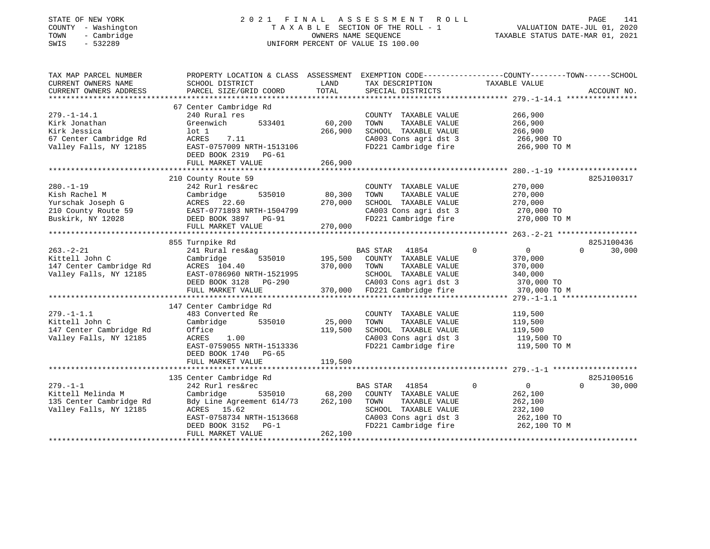#### STATE OF NEW YORK 2 0 2 1 F I N A L A S S E S S M E N T R O L L PAGE 141 COUNTY - Washington T A X A B L E SECTION OF THE ROLL - 1 VALUATION DATE-JUL 01, 2020 TOWN - Cambridge OWNERS NAME SEQUENCE TAXABLE STATUS DATE-MAR 01, 2021 SWIS - 532289 UNIFORM PERCENT OF VALUE IS 100.00

| TAX MAP PARCEL NUMBER<br>CURRENT OWNERS NAME | PROPERTY LOCATION & CLASS ASSESSMENT<br>SCHOOL DISTRICT | LAND    | EXEMPTION CODE-----------------COUNTY-------TOWN------SCHOOL<br>TAX DESCRIPTION | TAXABLE VALUE            |                    |
|----------------------------------------------|---------------------------------------------------------|---------|---------------------------------------------------------------------------------|--------------------------|--------------------|
| CURRENT OWNERS ADDRESS                       | PARCEL SIZE/GRID COORD                                  | TOTAL   | SPECIAL DISTRICTS                                                               |                          | ACCOUNT NO.        |
|                                              |                                                         |         |                                                                                 |                          |                    |
|                                              | 67 Center Cambridge Rd                                  |         |                                                                                 |                          |                    |
| $279. - 1 - 14.1$                            | 240 Rural res                                           |         | COUNTY TAXABLE VALUE                                                            | 266,900                  |                    |
| Kirk Jonathan                                | Greenwich<br>533401                                     | 60,200  | TAXABLE VALUE<br>TOWN                                                           | 266,900                  |                    |
| Kirk Jessica                                 | lot 1                                                   | 266,900 | SCHOOL TAXABLE VALUE                                                            | 266,900                  |                    |
| 67 Center Cambridge Rd                       | ACRES<br>7.11                                           |         | CA003 Cons agri dst 3                                                           | 266,900 TO               |                    |
| Valley Falls, NY 12185                       | EAST-0757009 NRTH-1513106<br>DEED BOOK 2319<br>PG-61    |         | FD221 Cambridge fire                                                            | 266,900 TO M             |                    |
|                                              | FULL MARKET VALUE                                       | 266,900 |                                                                                 |                          |                    |
|                                              |                                                         |         |                                                                                 |                          |                    |
|                                              | 210 County Route 59                                     |         |                                                                                 |                          | 825J100317         |
| $280. -1 - 19$                               | 242 Rurl res&rec                                        |         | COUNTY TAXABLE VALUE                                                            | 270,000                  |                    |
| Kish Rachel M                                | Cambridge<br>535010                                     | 80,300  | TOWN<br>TAXABLE VALUE                                                           | 270,000                  |                    |
| Yurschak Joseph G                            | ACRES 22.60                                             | 270,000 | SCHOOL TAXABLE VALUE                                                            | 270,000                  |                    |
| 210 County Route 59                          | EAST-0771893 NRTH-1504799                               |         | CA003 Cons agri dst 3                                                           | 270,000 TO               |                    |
| Buskirk, NY 12028                            | DEED BOOK 3897 PG-91                                    |         | FD221 Cambridge fire                                                            | 270,000 TO M             |                    |
|                                              | FULL MARKET VALUE                                       | 270,000 |                                                                                 |                          |                    |
|                                              | ***************************                             |         |                                                                                 |                          |                    |
|                                              | 855 Turnpike Rd                                         |         |                                                                                 |                          | 825J100436         |
| $263. - 2 - 21$                              | 241 Rural res&ag                                        |         | <b>BAS STAR</b><br>41854                                                        | $\overline{0}$<br>0      | $\Omega$<br>30,000 |
| Kittell John C                               | Cambridge<br>535010                                     | 195,500 | COUNTY TAXABLE VALUE                                                            | 370,000                  |                    |
| 147 Center Cambridge Rd                      | ACRES 104.40                                            | 370,000 | TOWN<br>TAXABLE VALUE                                                           | 370,000                  |                    |
| Valley Falls, NY 12185                       | EAST-0786960 NRTH-1521995                               |         | SCHOOL TAXABLE VALUE                                                            | 340,000                  |                    |
|                                              | DEED BOOK 3128<br>PG-290                                |         | CA003 Cons agri dst 3                                                           | 370,000 TO               |                    |
|                                              | FULL MARKET VALUE                                       | 370,000 | FD221 Cambridge fire                                                            | 370,000 TO M             |                    |
|                                              |                                                         |         |                                                                                 |                          |                    |
|                                              | 147 Center Cambridge Rd                                 |         |                                                                                 |                          |                    |
| $279. - 1 - 1.1$                             | 483 Converted Re                                        |         | COUNTY TAXABLE VALUE                                                            | 119,500                  |                    |
| Kittell John C                               | Cambridge<br>535010                                     | 25,000  | TOWN<br>TAXABLE VALUE                                                           | 119,500                  |                    |
| 147 Center Cambridge Rd                      | Office                                                  | 119,500 | SCHOOL TAXABLE VALUE                                                            | 119,500                  |                    |
| Valley Falls, NY 12185                       | ACRES<br>1.00                                           |         | CA003 Cons agri dst 3                                                           | 119,500 TO               |                    |
|                                              | EAST-0759055 NRTH-1513336                               |         | FD221 Cambridge fire                                                            | 119,500 TO M             |                    |
|                                              | DEED BOOK 1740 PG-65                                    |         |                                                                                 |                          |                    |
|                                              | FULL MARKET VALUE                                       | 119,500 |                                                                                 |                          |                    |
|                                              |                                                         |         |                                                                                 |                          |                    |
|                                              | 135 Center Cambridge Rd                                 |         |                                                                                 |                          | 825J100516         |
| $279. - 1 - 1$                               | 242 Rurl res&rec                                        |         | <b>BAS STAR</b><br>41854                                                        | $\Omega$<br>$\mathsf{O}$ | $\Omega$<br>30,000 |
| Kittell Melinda M                            | Cambridge<br>535010                                     | 68,200  | COUNTY TAXABLE VALUE                                                            | 262,100                  |                    |
| 135 Center Cambridge Rd                      | Bdy Line Agreement 614/73                               | 262,100 | TOWN<br>TAXABLE VALUE                                                           | 262,100                  |                    |
| Valley Falls, NY 12185                       | ACRES 15.62                                             |         | SCHOOL TAXABLE VALUE                                                            | 232,100                  |                    |
|                                              | EAST-0758734 NRTH-1513668                               |         | CA003 Cons agri dst 3                                                           | 262,100 TO               |                    |
|                                              | DEED BOOK 3152<br>$PG-1$                                |         | FD221 Cambridge fire                                                            | 262,100 TO M             |                    |
|                                              | FULL MARKET VALUE                                       | 262,100 |                                                                                 |                          |                    |
|                                              | ***********************************                     |         |                                                                                 |                          |                    |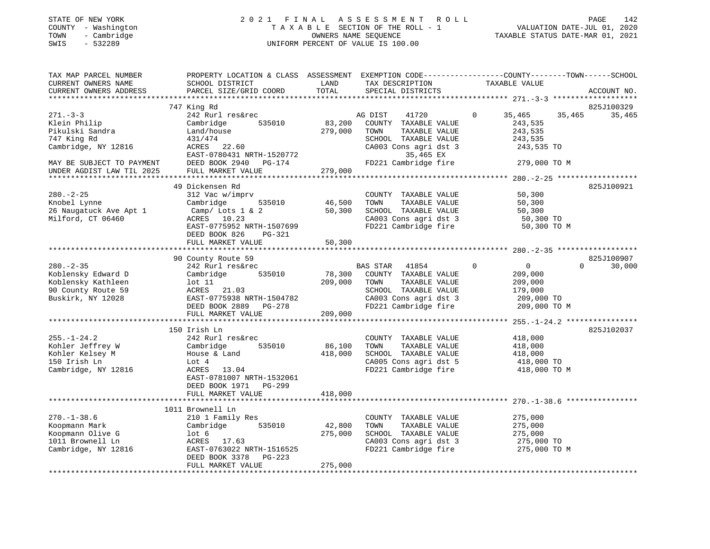#### STATE OF NEW YORK 2 0 2 1 F I N A L A S S E S S M E N T R O L L PAGE 142 COUNTY - Washington T A X A B L E SECTION OF THE ROLL - 1 VALUATION DATE-JUL 01, 2020 TOWN - Cambridge OWNERS NAME SEQUENCE TAXABLE STATUS DATE-MAR 01, 2021 SWIS - 532289 UNIFORM PERCENT OF VALUE IS 100.00

| TAX MAP PARCEL NUMBER                               | PROPERTY LOCATION & CLASS ASSESSMENT EXEMPTION CODE---------------COUNTY-------TOWN------SCHOOL    |         |                                               |                            |                    |
|-----------------------------------------------------|----------------------------------------------------------------------------------------------------|---------|-----------------------------------------------|----------------------------|--------------------|
| CURRENT OWNERS NAME                                 | SCHOOL DISTRICT                                                                                    | LAND    | TAX DESCRIPTION                               | TAXABLE VALUE              |                    |
| CURRENT OWNERS ADDRESS                              | PARCEL SIZE/GRID COORD                                                                             | TOTAL   | SPECIAL DISTRICTS                             |                            | ACCOUNT NO.        |
|                                                     |                                                                                                    |         |                                               |                            |                    |
|                                                     | 747 King Rd                                                                                        |         |                                               |                            | 825J100329         |
| $271 - 3 - 3$                                       | 242 Rurl res&rec                                                                                   |         | AG DIST<br>41720                              | $\mathbf{0}$<br>35,465     | 35,465<br>35,465   |
| Klein Philip                                        | 535010<br>Cambridge                                                                                | 83,200  | COUNTY TAXABLE VALUE                          | 243,535                    |                    |
| Pikulski Sandra                                     | Land/house                                                                                         | 279,000 | TOWN<br>TAXABLE VALUE                         | 243,535                    |                    |
| 747 King Rd                                         | 431/474                                                                                            |         | SCHOOL TAXABLE VALUE                          | 243,535                    |                    |
| Cambridge, NY 12816                                 | ACRES 22.60                                                                                        |         | CA003 Cons agri dst 3                         | 243,535 TO                 |                    |
|                                                     |                                                                                                    |         |                                               |                            |                    |
|                                                     | EAST-0780431 NRTH-1520772                                                                          |         | 35,465 EX                                     |                            |                    |
|                                                     | MAY BE SUBJECT TO PAYMENT THE DEED BOOK 2940 PG-174<br>UNDER AGDIST LAW TIL 2025 FULL MARKET VALUE |         | FD221 Cambridge fire                          | 279,000 TO M               |                    |
|                                                     |                                                                                                    | 279,000 |                                               |                            |                    |
|                                                     |                                                                                                    |         |                                               |                            |                    |
|                                                     | 49 Dickensen Rd                                                                                    |         |                                               |                            | 825J100921         |
| $280. - 2 - 25$                                     | 312 Vac w/imprv                                                                                    |         | COUNTY TAXABLE VALUE                          | 50,300                     |                    |
| Knobel Lynne                                        | Cambridge 535010                                                                                   | 46,500  | TOWN TAXABLE VALUE                            | 50,300                     |                    |
| 26 Naugatuck Ave Apt 1                              | $Camp /$ Lots 1 & 2                                                                                | 50,300  | SCHOOL TAXABLE VALUE                          | 50,300                     |                    |
| Milford, CT 06460                                   | ACRES 10.23                                                                                        |         |                                               | 50,300 TO                  |                    |
|                                                     | EAST-0775952 NRTH-1507699                                                                          |         | CA003 Cons agri dst 3<br>FD221 Cambridge fire | 50,300 TO M                |                    |
|                                                     | DEED BOOK 826<br>PG-321                                                                            |         |                                               |                            |                    |
|                                                     | FULL MARKET VALUE                                                                                  | 50,300  |                                               |                            |                    |
|                                                     |                                                                                                    |         |                                               |                            |                    |
|                                                     | 90 County Route 59                                                                                 |         |                                               |                            | 825J100907         |
| $280. - 2 - 35$                                     | 242 Rurl res&rec                                                                                   |         | BAS STAR 41854                                | $\Omega$<br>$\overline{0}$ | $\Omega$<br>30,000 |
| Koblensky Edward D                                  | Cambridge<br>535010                                                                                | 78,300  | COUNTY TAXABLE VALUE                          | 209,000                    |                    |
| Koblensky Kathleen                                  | Cambrid<br>lot 11                                                                                  |         | TOWN<br>TAXABLE VALUE                         |                            |                    |
|                                                     |                                                                                                    | 209,000 |                                               | 209,000                    |                    |
| 90 County Route 59                                  | ACRES 21.03                                                                                        |         | SCHOOL TAXABLE VALUE                          | 179,000                    |                    |
| Buskirk, NY 12028                                   | EAST-0775938 NRTH-1504782                                                                          |         | CA003 Cons agri dst 3                         | 209,000 TO                 |                    |
|                                                     | DEED BOOK 2889 PG-278                                                                              |         | FD221 Cambridge fire                          | 209,000 TO M               |                    |
|                                                     | FULL MARKET VALUE                                                                                  | 209,000 |                                               |                            |                    |
|                                                     |                                                                                                    |         |                                               |                            |                    |
|                                                     | 150 Irish Ln                                                                                       |         |                                               |                            | 825J102037         |
| 255.-1-24.2                                         | 242 Rurl res&rec                                                                                   |         | COUNTY TAXABLE VALUE                          | 418,000                    |                    |
| Kohler Jeffrey W<br>Kohler Kelsey M<br>150 Irish Ln | Cambridge<br>535010                                                                                | 86,100  | TAXABLE VALUE<br>TOWN                         | 418,000                    |                    |
|                                                     | House & Land                                                                                       | 418,000 | SCHOOL TAXABLE VALUE                          | 418,000                    |                    |
| 150 Irish Ln                                        | Lot 4                                                                                              |         | CA005 Cons agri dst 5                         | 418,000 TO                 |                    |
| Cambridge, NY 12816                                 | ACRES 13.04                                                                                        |         | FD221 Cambridge fire                          | 418,000 TO M               |                    |
|                                                     | EAST-0781007 NRTH-1532061                                                                          |         |                                               |                            |                    |
|                                                     | DEED BOOK 1971 PG-299                                                                              |         |                                               |                            |                    |
|                                                     | FULL MARKET VALUE                                                                                  | 418,000 |                                               |                            |                    |
|                                                     |                                                                                                    |         |                                               |                            |                    |
|                                                     | 1011 Brownell Ln                                                                                   |         |                                               |                            |                    |
| $270. - 1 - 38.6$                                   | 210 1 Family Res                                                                                   |         | COUNTY TAXABLE VALUE                          | 275,000                    |                    |
| Koopmann Mark                                       | 535010<br>Cambridge                                                                                | 42,800  | TAXABLE VALUE<br>TOWN                         | 275,000                    |                    |
|                                                     |                                                                                                    |         |                                               |                            |                    |
| Koopmann Olive G                                    | lot 6                                                                                              | 275,000 | SCHOOL TAXABLE VALUE                          | 275,000                    |                    |
| 1011 Brownell Ln                                    | ACRES 17.63<br>EAST-0763022 NRTH-1516525                                                           |         | CA003 Cons agri dst 3                         | 275,000 TO                 |                    |
| Cambridge, NY 12816                                 |                                                                                                    |         | FD221 Cambridge fire                          | 275,000 TO M               |                    |
|                                                     | DEED BOOK 3378 PG-223                                                                              |         |                                               |                            |                    |
|                                                     | FULL MARKET VALUE                                                                                  | 275,000 |                                               |                            |                    |
|                                                     |                                                                                                    |         |                                               |                            |                    |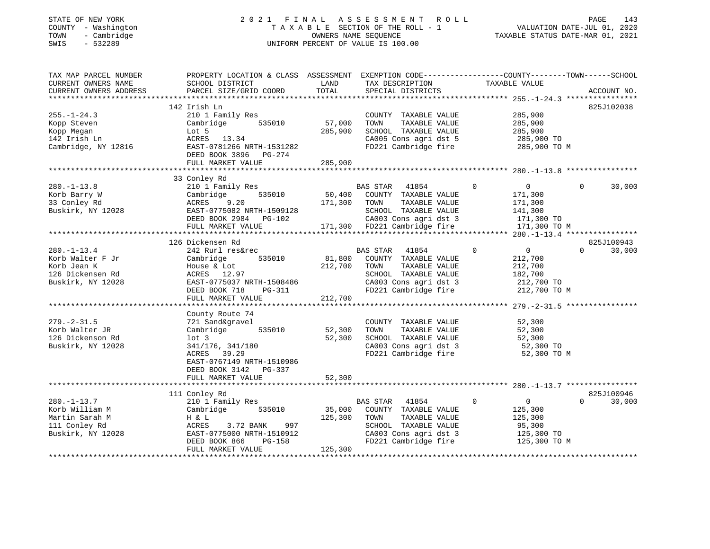# STATE OF NEW YORK 2 0 2 1 F I N A L A S S E S S M E N T R O L L PAGE 143COUNTY - Washington COUNTY - Washington COUNTY - Washington COUNTY - Washington Country - Cambridge COUNTY - Cambridge COUNTY - Cambridge COUNTY - Cambridge COUNTY - Cambridge COUNTY - Cambridge COUNTY - Cambridge COUNTY -SWIS - 532289 UNIFORM PERCENT OF VALUE IS 100.00

TAX MAP PARCEL NUMBER PROPERTY LOCATION & CLASS ASSESSMENT EXEMPTION CODE------------------COUNTY--------TOWN------SCHOOL

143

TAXABLE STATUS DATE-MAR 01, 2021

| CURRENT OWNERS NAME    | SCHOOL DISTRICT            | LAND    | TAX DESCRIPTION              |                                           | TAXABLE VALUE  |                    |
|------------------------|----------------------------|---------|------------------------------|-------------------------------------------|----------------|--------------------|
| CURRENT OWNERS ADDRESS | PARCEL SIZE/GRID COORD     | TOTAL   | SPECIAL DISTRICTS            |                                           |                | ACCOUNT NO.        |
|                        |                            |         |                              |                                           |                |                    |
|                        | 142 Irish Ln               |         |                              |                                           |                | 825J102038         |
| $255. - 1 - 24.3$      | 210 1 Family Res           |         | COUNTY TAXABLE VALUE         |                                           | 285,900        |                    |
| Kopp Steven            | 535010<br>Cambridge        | 57,000  | TOWN<br>TAXABLE VALUE        |                                           | 285,900        |                    |
| Kopp Megan             | Lot 5                      | 285,900 | SCHOOL TAXABLE VALUE         |                                           | 285,900        |                    |
| 142 Irish Ln           | ACRES 13.34                |         | CA005 Cons agri dst 5        |                                           | 285,900 TO     |                    |
| Cambridge, NY 12816    | EAST-0781266 NRTH-1531282  |         | FD221 Cambridge fire         |                                           | 285,900 TO M   |                    |
|                        | DEED BOOK 3896 PG-274      |         |                              |                                           |                |                    |
|                        | FULL MARKET VALUE          | 285,900 |                              |                                           |                |                    |
|                        |                            |         |                              |                                           |                |                    |
|                        |                            |         |                              |                                           |                |                    |
|                        | 33 Conley Rd               |         |                              |                                           |                | $\overline{0}$     |
| $280. - 1 - 13.8$      | 210 1 Family Res           |         | BAS STAR<br>41854            | 0                                         | $\overline{0}$ | 30,000             |
| Korb Barry W           | Cambridge<br>535010        | 50,400  | COUNTY TAXABLE VALUE         |                                           | 171,300        |                    |
| 33 Conley Rd           | ACRES<br>9.20              | 171,300 | TOWN<br>TAXABLE VALUE        |                                           | 171,300        |                    |
| Buskirk, NY 12028      | EAST-0775082 NRTH-1509128  |         | SCHOOL TAXABLE VALUE         |                                           | 141,300        |                    |
|                        | DEED BOOK 2984 PG-102      |         | CA003 Cons agri dst 3        |                                           | 171,300 TO     |                    |
|                        | FULL MARKET VALUE          |         | 171,300 FD221 Cambridge fire |                                           | 171,300 TO M   |                    |
|                        | ************************** |         |                              |                                           |                |                    |
|                        | 126 Dickensen Rd           |         |                              |                                           |                | 825J100943         |
| $280. - 1 - 13.4$      | 242 Rurl res&rec           |         | <b>BAS STAR</b><br>41854     | $\Omega$                                  | $\overline{0}$ | $\Omega$<br>30,000 |
| Korb Walter F Jr       | Cambridge<br>535010        | 81,800  | COUNTY TAXABLE VALUE         |                                           | 212,700        |                    |
| Korb Jean K            | House & Lot                | 212,700 | TOWN<br>TAXABLE VALUE        |                                           | 212,700        |                    |
| 126 Dickensen Rd       | ACRES 12.97                |         | SCHOOL TAXABLE VALUE         |                                           | 182,700        |                    |
| Buskirk, NY 12028      | EAST-0775037 NRTH-1508486  |         | CA003 Cons agri dst 3        |                                           | 212,700 TO     |                    |
|                        | DEED BOOK 718<br>PG-311    |         | FD221 Cambridge fire         |                                           | 212,700 TO M   |                    |
|                        | FULL MARKET VALUE          | 212,700 |                              |                                           |                |                    |
|                        |                            |         |                              | ************************ 279.-2-31.5 **** |                |                    |
|                        | County Route 74            |         |                              |                                           |                |                    |
| $279. - 2 - 31.5$      | 721 Sand&gravel            |         | COUNTY TAXABLE VALUE         |                                           | 52,300         |                    |
| Korb Walter JR         | 535010<br>Cambridge        | 52,300  | TAXABLE VALUE<br>TOWN        |                                           | 52,300         |                    |
| 126 Dickenson Rd       | $1$ ot 3                   | 52,300  | SCHOOL TAXABLE VALUE         |                                           | 52,300         |                    |
| Buskirk, NY 12028      | 341/176, 341/180           |         | CA003 Cons agri dst 3        |                                           | 52,300 TO      |                    |
|                        | ACRES 39.29                |         | FD221 Cambridge fire         |                                           | 52,300 TO M    |                    |
|                        | EAST-0767149 NRTH-1510986  |         |                              |                                           |                |                    |
|                        | DEED BOOK 3142 PG-337      |         |                              |                                           |                |                    |
|                        | FULL MARKET VALUE          | 52,300  |                              |                                           |                |                    |
|                        |                            |         |                              |                                           |                |                    |
|                        |                            |         |                              |                                           |                |                    |
|                        | 111 Conley Rd              |         |                              |                                           |                | 825J100946         |
| $280. - 1 - 13.7$      | 210 1 Family Res           |         | BAS STAR<br>41854            | 0                                         | $\overline{0}$ | 30,000<br>$\Omega$ |
| Korb William M         | 535010<br>Cambridge        | 35,000  | COUNTY TAXABLE VALUE         |                                           | 125,300        |                    |
| Martin Sarah M         | H & L                      | 125,300 | TOWN<br>TAXABLE VALUE        |                                           | 125,300        |                    |
| 111 Conley Rd          | ACRES<br>3.72 BANK<br>997  |         | SCHOOL TAXABLE VALUE         |                                           | 95,300         |                    |
| Buskirk, NY 12028      | EAST-0775000 NRTH-1510912  |         | CA003 Cons agri dst 3        |                                           | 125,300 TO     |                    |
|                        | DEED BOOK 866<br>$PG-158$  |         | FD221 Cambridge fire         |                                           | 125,300 TO M   |                    |
|                        | FULL MARKET VALUE          | 125,300 |                              |                                           |                |                    |
|                        |                            |         |                              |                                           |                |                    |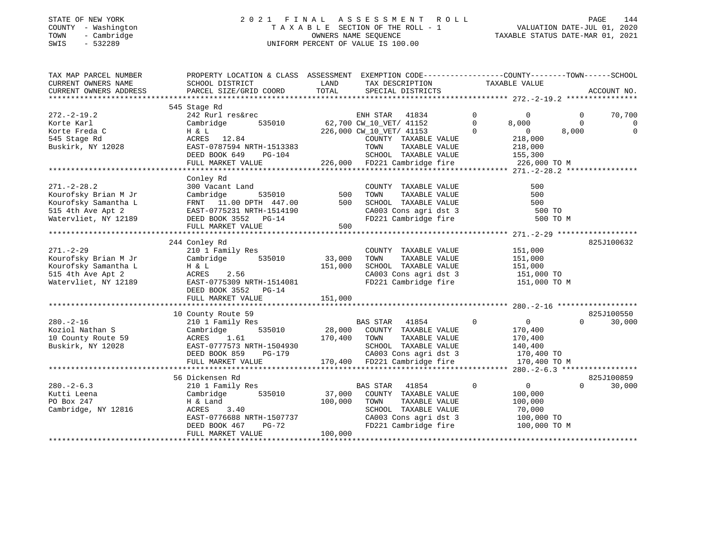#### STATE OF NEW YORK 2 0 2 1 F I N A L A S S E S S M E N T R O L L PAGE 144 COUNTY - Washington T A X A B L E SECTION OF THE ROLL - 1 VALUATION DATE-JUL 01, 2020 TOWN - Cambridge OWNERS NAME SEQUENCE TAXABLE STATUS DATE-MAR 01, 2021 SWIS - 532289 UNIFORM PERCENT OF VALUE IS 100.00

| TAX MAP PARCEL NUMBER<br>CURRENT OWNERS NAME<br>CURRENT OWNERS ADDRESS | PROPERTY LOCATION & CLASS ASSESSMENT<br>SCHOOL DISTRICT<br>PARCEL SIZE/GRID COORD | LAND<br>TOTAL | EXEMPTION CODE-----------------COUNTY-------TOWN------SCHOOL<br>TAX DESCRIPTION<br>SPECIAL DISTRICTS | TAXABLE VALUE                    | ACCOUNT NO.              |
|------------------------------------------------------------------------|-----------------------------------------------------------------------------------|---------------|------------------------------------------------------------------------------------------------------|----------------------------------|--------------------------|
|                                                                        |                                                                                   |               |                                                                                                      |                                  |                          |
| $272. - 2 - 19.2$                                                      | 545 Stage Rd<br>242 Rurl res&rec                                                  |               | ENH STAR<br>41834                                                                                    | $\mathbf 0$<br>$\Omega$          | $\overline{0}$<br>70,700 |
| Korte Karl                                                             | 535010<br>Cambridge                                                               |               | 62,700 CW_10_VET/ 41152                                                                              | $\circ$<br>8,000                 | $\mathbf 0$<br>0         |
| Korte Freda C                                                          | H & L                                                                             |               | 226,000 CW_10_VET/ 41153                                                                             | $\Omega$<br>$\overline{0}$       | 8,000<br>$\mathbf 0$     |
| 545 Stage Rd                                                           | ACRES 12.84                                                                       |               | COUNTY TAXABLE VALUE                                                                                 | 218,000                          |                          |
| Buskirk, NY 12028                                                      | EAST-0787594 NRTH-1513383                                                         |               | TOWN<br>TAXABLE VALUE                                                                                | 218,000                          |                          |
|                                                                        | DEED BOOK 649<br>PG-104                                                           |               | SCHOOL TAXABLE VALUE                                                                                 | 155,300                          |                          |
|                                                                        | FULL MARKET VALUE                                                                 |               | 226,000 FD221 Cambridge fire                                                                         | 226,000 TO M                     |                          |
|                                                                        |                                                                                   |               |                                                                                                      |                                  |                          |
|                                                                        | Conley Rd                                                                         |               |                                                                                                      |                                  |                          |
| $271. - 2 - 28.2$                                                      | 300 Vacant Land                                                                   |               | COUNTY TAXABLE VALUE                                                                                 | 500                              |                          |
| Kourofsky Brian M Jr                                                   | 535010<br>Cambridge                                                               | 500           | TOWN<br>TAXABLE VALUE                                                                                | 500                              |                          |
| Kourofsky Samantha L                                                   | FRNT 11.00 DPTH 447.00                                                            | 500           | SCHOOL TAXABLE VALUE                                                                                 | 500                              |                          |
| 515 4th Ave Apt 2                                                      | EAST-0775231 NRTH-1514190                                                         |               | CA003 Cons agri dst 3                                                                                | 500 TO                           |                          |
| Watervliet, NY 12189                                                   | DEED BOOK 3552 PG-14                                                              |               | FD221 Cambridge fire                                                                                 |                                  | 500 TO M                 |
|                                                                        | FULL MARKET VALUE                                                                 | 500           |                                                                                                      |                                  |                          |
|                                                                        |                                                                                   |               |                                                                                                      |                                  |                          |
|                                                                        | 244 Conley Rd                                                                     |               |                                                                                                      |                                  | 825J100632               |
| $271. - 2 - 29$                                                        | 210 1 Family Res                                                                  |               | COUNTY TAXABLE VALUE                                                                                 | 151,000                          |                          |
| Kourofsky Brian M Jr                                                   | Cambridge 535010                                                                  | 33,000        | TOWN<br>TAXABLE VALUE                                                                                | 151,000                          |                          |
| Kourofsky Samantha L                                                   | H & L                                                                             | 151,000       | SCHOOL TAXABLE VALUE                                                                                 | 151,000                          |                          |
| 515 4th Ave Apt 2                                                      | ACRES<br>2.56                                                                     |               |                                                                                                      | 151,000 TO                       |                          |
| Watervliet, NY 12189                                                   |                                                                                   |               | CA003 Cons agri dst 3<br>FD221 Cambridge fire                                                        | 151,000 TO M                     |                          |
|                                                                        | AUNED 2.2.<br>EAST-0775309 NRTH-1514081<br>DEED BOOK 3552<br>$PG-14$              |               |                                                                                                      |                                  |                          |
|                                                                        | FULL MARKET VALUE                                                                 | 151,000       |                                                                                                      |                                  |                          |
|                                                                        |                                                                                   |               |                                                                                                      |                                  |                          |
|                                                                        | 10 County Route 59                                                                |               |                                                                                                      |                                  | 825J100550               |
| $280. - 2 - 16$                                                        | 210 1 Family Res                                                                  |               | BAS STAR 41854                                                                                       | $\overline{0}$<br>$\overline{0}$ | $\Omega$<br>30,000       |
| Koziol Nathan S                                                        | 535010<br>Cambridge                                                               |               | 28,000 COUNTY TAXABLE VALUE                                                                          | 170,400                          |                          |
| 10 County Route 59                                                     | ACRES 1.61                                                                        | 170,400 TOWN  | TAXABLE VALUE                                                                                        | 170,400                          |                          |
| Buskirk, NY 12028                                                      | EAST-0777573 NRTH-1504930                                                         |               | SCHOOL TAXABLE VALUE                                                                                 | 140,400                          |                          |
|                                                                        | DEED BOOK 859<br>PG-179                                                           |               | CA003 Cons agri dst 3                                                                                | 170,400 TO                       |                          |
|                                                                        | FULL MARKET VALUE                                                                 |               | CAUUS CONS agri dst 3<br>170,400 FD221 Cambridge fire                                                | 170,400 TO M                     |                          |
|                                                                        |                                                                                   |               |                                                                                                      |                                  |                          |
|                                                                        | 56 Dickensen Rd                                                                   |               |                                                                                                      |                                  | 825J100859               |
| $280. - 2 - 6.3$                                                       | 210 1 Family Res                                                                  |               | <b>BAS STAR</b><br>41854                                                                             | $\overline{0}$<br>$\Omega$       | $\Omega$<br>30,000       |
| Kutti Leena                                                            | Cambridge<br>535010                                                               | 37,000        | COUNTY TAXABLE VALUE                                                                                 | 100,000                          |                          |
| PO Box 247                                                             | H & Land                                                                          | 100,000       | TOWN<br>TAXABLE VALUE                                                                                | 100,000                          |                          |
|                                                                        |                                                                                   |               |                                                                                                      |                                  |                          |
| Cambridge, NY 12816                                                    | 3.40<br>ACRES                                                                     |               | SCHOOL TAXABLE VALUE                                                                                 | 70,000                           |                          |
|                                                                        | EAST-0776688 NRTH-1507737                                                         |               | CA003 Cons agri dst 3<br>FD221 Cambridge fire                                                        | 100,000 TO                       |                          |
|                                                                        | DEED BOOK 467<br>PG-72<br>FULL MARKET VALUE                                       | 100,000       |                                                                                                      | 100,000 TO M                     |                          |
|                                                                        |                                                                                   |               |                                                                                                      |                                  |                          |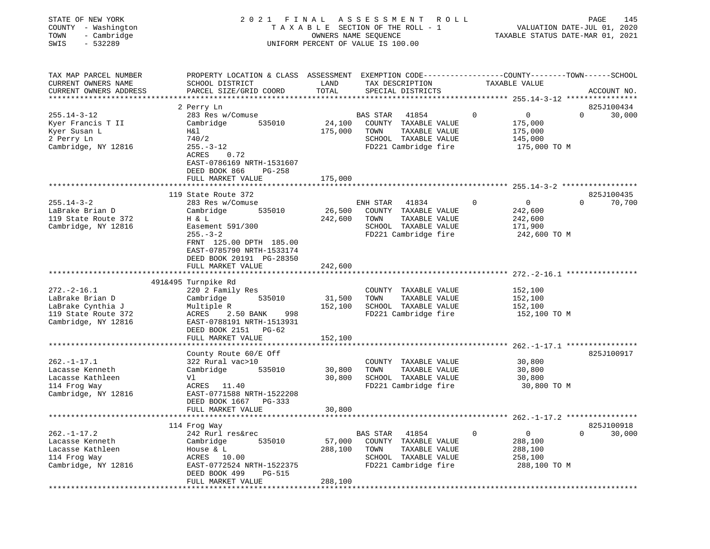| STATE OF NEW YORK<br>COUNTY - Washington<br>- Cambridge<br>TOWN<br>$-532289$<br>SWIS | 2021 FINAL                                                                                                        | TAXABLE SECTION OF THE ROLL - 1<br>OWNERS NAME SEQUENCE<br>UNIFORM PERCENT OF VALUE IS 100.00 | ASSESSMENT      |                                       | ROLL        | VALUATION DATE-JUL 01, 2020<br>TAXABLE STATUS DATE-MAR 01, 2021 | PAGE     | 145         |
|--------------------------------------------------------------------------------------|-------------------------------------------------------------------------------------------------------------------|-----------------------------------------------------------------------------------------------|-----------------|---------------------------------------|-------------|-----------------------------------------------------------------|----------|-------------|
| TAX MAP PARCEL NUMBER<br>CURRENT OWNERS NAME                                         | PROPERTY LOCATION & CLASS ASSESSMENT EXEMPTION CODE---------------COUNTY-------TOWN-----SCHOOL<br>SCHOOL DISTRICT | LAND                                                                                          |                 | TAX DESCRIPTION                       |             | TAXABLE VALUE                                                   |          |             |
| CURRENT OWNERS ADDRESS                                                               | PARCEL SIZE/GRID COORD                                                                                            | TOTAL                                                                                         |                 | SPECIAL DISTRICTS                     |             |                                                                 |          | ACCOUNT NO. |
|                                                                                      |                                                                                                                   |                                                                                               |                 |                                       |             |                                                                 |          |             |
| $255.14 - 3 - 12$                                                                    | 2 Perry Ln                                                                                                        |                                                                                               |                 |                                       | $\mathbf 0$ |                                                                 | $\Omega$ | 825J100434  |
|                                                                                      | 283 Res w/Comuse<br>535010                                                                                        | 24,100                                                                                        | <b>BAS STAR</b> | 41854                                 |             | $\overline{0}$                                                  |          | 30,000      |
| Kyer Francis T II<br>Kyer Susan L                                                    | Cambridge<br>Η&l                                                                                                  | 175,000                                                                                       | TOWN            | COUNTY TAXABLE VALUE<br>TAXABLE VALUE |             | 175,000<br>175,000                                              |          |             |
| 2 Perry Ln                                                                           | 740/2                                                                                                             |                                                                                               |                 | SCHOOL TAXABLE VALUE                  |             | 145,000                                                         |          |             |
| Cambridge, NY 12816                                                                  | $255. - 3 - 12$                                                                                                   |                                                                                               |                 | FD221 Cambridge fire                  |             | 175,000 TO M                                                    |          |             |
|                                                                                      | ACRES<br>0.72                                                                                                     |                                                                                               |                 |                                       |             |                                                                 |          |             |
|                                                                                      | EAST-0786169 NRTH-1531607                                                                                         |                                                                                               |                 |                                       |             |                                                                 |          |             |
|                                                                                      | DEED BOOK 866<br><b>PG-258</b>                                                                                    |                                                                                               |                 |                                       |             |                                                                 |          |             |
|                                                                                      | FULL MARKET VALUE                                                                                                 | 175,000                                                                                       |                 |                                       |             |                                                                 |          |             |
|                                                                                      |                                                                                                                   |                                                                                               |                 |                                       |             |                                                                 |          |             |
|                                                                                      | 119 State Route 372                                                                                               |                                                                                               |                 |                                       |             |                                                                 |          | 825J100435  |
| $255.14 - 3 - 2$                                                                     | 283 Res w/Comuse                                                                                                  |                                                                                               | ENH STAR        | 41834                                 | $\mathbf 0$ | $\overline{0}$                                                  | $\Omega$ | 70,700      |
| LaBrake Brian D                                                                      | Cambridge<br>535010                                                                                               | 26,500                                                                                        |                 | COUNTY TAXABLE VALUE                  |             | 242,600                                                         |          |             |
| 119 State Route 372                                                                  | H & L                                                                                                             | 242,600                                                                                       | TOWN            | TAXABLE VALUE                         |             | 242,600                                                         |          |             |
| Cambridge, NY 12816                                                                  | Easement 591/300                                                                                                  |                                                                                               |                 | SCHOOL TAXABLE VALUE                  |             | 171,900                                                         |          |             |
|                                                                                      | $255. - 3 - 2$                                                                                                    |                                                                                               |                 | FD221 Cambridge fire                  |             | 242,600 TO M                                                    |          |             |
|                                                                                      | FRNT 125.00 DPTH 185.00                                                                                           |                                                                                               |                 |                                       |             |                                                                 |          |             |
|                                                                                      | EAST-0785790 NRTH-1533174                                                                                         |                                                                                               |                 |                                       |             |                                                                 |          |             |
|                                                                                      | DEED BOOK 20191 PG-28350                                                                                          |                                                                                               |                 |                                       |             |                                                                 |          |             |
|                                                                                      | FULL MARKET VALUE                                                                                                 | 242,600                                                                                       |                 |                                       |             |                                                                 |          |             |
|                                                                                      |                                                                                                                   |                                                                                               |                 |                                       |             |                                                                 |          |             |
|                                                                                      | 491&495 Turnpike Rd                                                                                               |                                                                                               |                 |                                       |             |                                                                 |          |             |
| $272. - 2 - 16.1$                                                                    | 220 2 Family Res                                                                                                  |                                                                                               |                 | COUNTY TAXABLE VALUE                  |             | 152,100                                                         |          |             |
| LaBrake Brian D                                                                      | Cambridge<br>535010                                                                                               | 31,500                                                                                        | TOWN            | TAXABLE VALUE                         |             | 152,100                                                         |          |             |
| LaBrake Cynthia J                                                                    | Multiple R                                                                                                        | 152,100                                                                                       |                 | SCHOOL TAXABLE VALUE                  |             | 152,100                                                         |          |             |
| 119 State Route 372                                                                  | 2.50 BANK<br>ACRES<br>998                                                                                         |                                                                                               |                 | FD221 Cambridge fire                  |             | 152,100 TO M                                                    |          |             |
| Cambridge, NY 12816                                                                  | EAST-0788191 NRTH-1513931                                                                                         |                                                                                               |                 |                                       |             |                                                                 |          |             |
|                                                                                      | DEED BOOK 2151 PG-62                                                                                              |                                                                                               |                 |                                       |             |                                                                 |          |             |
|                                                                                      | FULL MARKET VALUE                                                                                                 | 152,100                                                                                       |                 |                                       |             | $262. - 1 - 17.1$ ****************                              |          |             |
|                                                                                      | County Route 60/E Off                                                                                             |                                                                                               |                 |                                       |             |                                                                 |          | 825J100917  |
| $262. - 1 - 17.1$                                                                    | 322 Rural vac>10                                                                                                  |                                                                                               |                 | COUNTY TAXABLE VALUE                  |             | 30,800                                                          |          |             |
| Lacasse Kenneth                                                                      | Cambridge<br>535010                                                                                               | 30,800                                                                                        | TOWN            | TAXABLE VALUE                         |             | 30,800                                                          |          |             |
| Lacasse Kathleen                                                                     | Vl                                                                                                                | 30,800                                                                                        |                 | SCHOOL TAXABLE VALUE                  |             | 30,800                                                          |          |             |
| 114 Frog Way                                                                         | ACRES 11.40                                                                                                       |                                                                                               |                 | FD221 Cambridge fire                  |             | 30,800 TO M                                                     |          |             |
| Cambridge, NY 12816                                                                  | EAST-0771588 NRTH-1522208                                                                                         |                                                                                               |                 |                                       |             |                                                                 |          |             |
|                                                                                      | DEED BOOK 1667<br>PG-333                                                                                          |                                                                                               |                 |                                       |             |                                                                 |          |             |
|                                                                                      | FULL MARKET VALUE                                                                                                 | 30,800                                                                                        |                 |                                       |             |                                                                 |          |             |
|                                                                                      |                                                                                                                   |                                                                                               |                 |                                       |             |                                                                 |          |             |
|                                                                                      | 114 Frog Way                                                                                                      |                                                                                               |                 |                                       |             |                                                                 |          | 825J100918  |
| $262. - 1 - 17.2$                                                                    | 242 Rurl res&rec                                                                                                  |                                                                                               | <b>BAS STAR</b> | 41854                                 | 0           | 0                                                               | 0        | 30,000      |
| Lacasse Kenneth                                                                      | Cambridge<br>535010                                                                                               | 57,000                                                                                        | COUNTY          | TAXABLE VALUE                         |             | 288,100                                                         |          |             |
| Lacasse Kathleen                                                                     | House & L                                                                                                         | 288,100                                                                                       | TOWN            | TAXABLE VALUE                         |             | 288,100                                                         |          |             |
| 114 Frog Way                                                                         | ACRES 10.00                                                                                                       |                                                                                               |                 | SCHOOL TAXABLE VALUE                  |             | 258,100                                                         |          |             |
| Cambridge, NY 12816                                                                  | EAST-0772524 NRTH-1522375                                                                                         |                                                                                               |                 | FD221 Cambridge fire                  |             | 288,100 TO M                                                    |          |             |
|                                                                                      | DEED BOOK 499<br>PG-515                                                                                           |                                                                                               |                 |                                       |             |                                                                 |          |             |
|                                                                                      | FULL MARKET VALUE<br>* * * * * * * * * * * * * *                                                                  | 288,100                                                                                       |                 |                                       |             |                                                                 |          |             |
|                                                                                      |                                                                                                                   |                                                                                               |                 |                                       |             |                                                                 |          |             |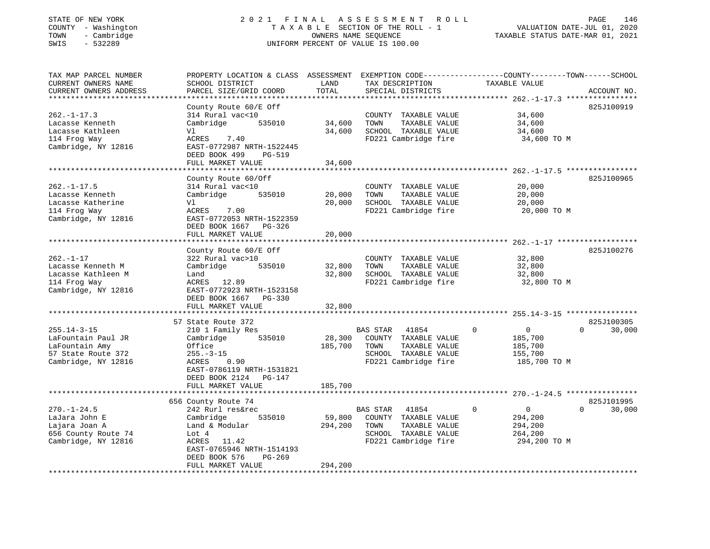### STATE OF NEW YORK 2 0 2 1 F I N A L A S S E S S M E N T R O L L PAGE 146 COUNTY - Washington T A X A B L E SECTION OF THE ROLL - 1 VALUATION DATE-JUL 01, 2020 TOWN - Cambridge OWNERS NAME SEQUENCE TAXABLE STATUS DATE-MAR 01, 2021 TOWN - Cambridge - The Computer of Computer of Computer Computer of Computer of Computer of Computer of Computer of Computer of Computer of Computer of Computer of Computer of Computer of Computer of Computer of Computer o

| TAX MAP PARCEL NUMBER<br>CURRENT OWNERS NAME<br>CURRENT OWNERS ADDRESS                                 | PROPERTY LOCATION & CLASS ASSESSMENT<br>SCHOOL DISTRICT<br>PARCEL SIZE/GRID COORD                                                                                                             | LAND<br>TOTAL              | TAX DESCRIPTION<br>SPECIAL DISTRICTS                                                                                      | EXEMPTION CODE-----------------COUNTY-------TOWN------SCHOOL<br>TAXABLE VALUE  | ACCOUNT NO.              |
|--------------------------------------------------------------------------------------------------------|-----------------------------------------------------------------------------------------------------------------------------------------------------------------------------------------------|----------------------------|---------------------------------------------------------------------------------------------------------------------------|--------------------------------------------------------------------------------|--------------------------|
| *************************                                                                              | County Route 60/E Off                                                                                                                                                                         |                            |                                                                                                                           |                                                                                | 825J100919               |
| $262. -1 - 17.3$<br>Lacasse Kenneth<br>Lacasse Kathleen<br>114 Frog Way<br>Cambridge, NY 12816         | 314 Rural vac<10<br>Cambridge<br>535010<br>Vl<br>7.40<br>ACRES<br>EAST-0772987 NRTH-1522445                                                                                                   | 34,600<br>34,600           | COUNTY TAXABLE VALUE<br>TOWN<br>TAXABLE VALUE<br>SCHOOL TAXABLE VALUE<br>FD221 Cambridge fire                             | 34,600<br>34,600<br>34,600<br>34,600 TO M                                      |                          |
|                                                                                                        | DEED BOOK 499<br>PG-519<br>FULL MARKET VALUE                                                                                                                                                  | 34,600                     |                                                                                                                           |                                                                                |                          |
|                                                                                                        |                                                                                                                                                                                               |                            |                                                                                                                           |                                                                                |                          |
| $262. - 1 - 17.5$<br>Lacasse Kenneth<br>Lacasse Katherine<br>114 Frog Way<br>Cambridge, NY 12816       | County Route 60/Off<br>314 Rural vac<10<br>535010<br>Cambridge<br>Vl<br>ACRES<br>7.00<br>EAST-0772053 NRTH-1522359<br>DEED BOOK 1667 PG-326                                                   | 20,000<br>20,000           | COUNTY TAXABLE VALUE<br>TAXABLE VALUE<br>TOWN<br>SCHOOL TAXABLE VALUE<br>FD221 Cambridge fire                             | 20,000<br>20,000<br>20,000<br>20,000 TO M                                      | 825J100965               |
|                                                                                                        | FULL MARKET VALUE                                                                                                                                                                             | 20,000                     |                                                                                                                           |                                                                                |                          |
|                                                                                                        |                                                                                                                                                                                               |                            |                                                                                                                           |                                                                                |                          |
| $262. - 1 - 17$<br>Lacasse Kenneth M<br>Lacasse Kathleen M<br>114 Frog Way<br>Cambridge, NY 12816      | County Route $60/E$ Off<br>322 Rural vac>10<br>Cambridge<br>535010<br>Land<br>ACRES 12.89<br>EAST-0772923 NRTH-1523158<br>DEED BOOK 1667<br>PG-330<br>FULL MARKET VALUE<br>57 State Route 372 | 32,800<br>32,800<br>32,800 | COUNTY TAXABLE VALUE<br>TOWN<br>TAXABLE VALUE<br>SCHOOL TAXABLE VALUE<br>FD221 Cambridge fire                             | 32,800<br>32,800<br>32,800<br>32,800 TO M                                      | 825J100276<br>825J100305 |
| $255.14 - 3 - 15$<br>LaFountain Paul JR<br>LaFountain Amy<br>57 State Route 372<br>Cambridge, NY 12816 | 210 1 Family Res<br>Cambridge<br>535010<br>Office<br>$255. - 3 - 15$<br>ACRES<br>0.90<br>EAST-0786119 NRTH-1531821<br>DEED BOOK 2124 PG-147                                                   | 28,300<br>185,700          | <b>BAS STAR</b><br>41854<br>COUNTY TAXABLE VALUE<br>TOWN<br>TAXABLE VALUE<br>SCHOOL TAXABLE VALUE<br>FD221 Cambridge fire | $\mathbf 0$<br>$\mathbf{0}$<br>185,700<br>185,700<br>155,700<br>185,700 TO M   | $\Omega$<br>30,000       |
|                                                                                                        | FULL MARKET VALUE                                                                                                                                                                             | 185,700                    |                                                                                                                           |                                                                                |                          |
|                                                                                                        | 656 County Route 74                                                                                                                                                                           |                            |                                                                                                                           |                                                                                | 825J101995               |
| $270. - 1 - 24.5$<br>LaJara John E<br>Lajara Joan A<br>656 County Route 74<br>Cambridge, NY 12816      | 242 Rurl res&rec<br>Cambridge<br>535010<br>Land & Modular<br>Lot 4<br>ACRES 11.42<br>EAST-0765946 NRTH-1514193<br>DEED BOOK 576<br>$PG-269$                                                   | 59,800<br>294,200          | 41854<br>BAS STAR<br>COUNTY TAXABLE VALUE<br>TAXABLE VALUE<br>TOWN<br>SCHOOL TAXABLE VALUE<br>FD221 Cambridge fire        | $\mathbf 0$<br>$\overline{0}$<br>294,200<br>294,200<br>264,200<br>294,200 TO M | 30,000<br>$\Omega$       |
|                                                                                                        | FULL MARKET VALUE                                                                                                                                                                             | 294,200                    |                                                                                                                           |                                                                                |                          |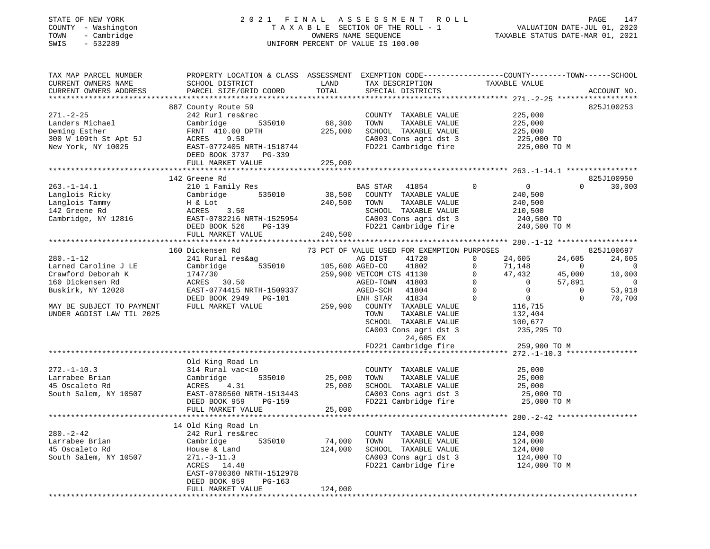### STATE OF NEW YORK 2 0 2 1 F I N A L A S S E S S M E N T R O L L PAGE 147 COUNTY - Washington T A X A B L E SECTION OF THE ROLL - 1 VALUATION DATE-JUL 01, 2020 TOWN - Cambridge OWNERS NAME SEQUENCE TAXABLE STATUS DATE-MAR 01, 2021 TOWN - Cambridge - TOWN - Cambridge - TOWN - Cambridge - TOWN - Cambridge - TOWN - Cambridge - TOWNERS NAME SEQUENCE

| TAX MAP PARCEL NUMBER                           |                                                                                                                                                                                                                                                    |                             |                                                          |                                                                                                                                                                                                                     |                    |
|-------------------------------------------------|----------------------------------------------------------------------------------------------------------------------------------------------------------------------------------------------------------------------------------------------------|-----------------------------|----------------------------------------------------------|---------------------------------------------------------------------------------------------------------------------------------------------------------------------------------------------------------------------|--------------------|
| CURRENT OWNERS NAME                             |                                                                                                                                                                                                                                                    |                             |                                                          | PROPERTY LOCATION & CLASS ASSESSMENT EXEMPTION CODE-------------------COUNTY--------TOWN------SCHOOL<br>SCHOOL DISTRICT TO TAXABLE VALUE<br>DARCEL SIZE (GRID COOPD TOTAL SEECIAL DISTRICTS ACCOUNT NO              |                    |
| CURRENT OWNERS ADDRESS                          | PARCEL SIZE/GRID COORD TOTAL                                                                                                                                                                                                                       |                             | SPECIAL DISTRICTS                                        |                                                                                                                                                                                                                     | ACCOUNT NO.        |
|                                                 |                                                                                                                                                                                                                                                    |                             |                                                          |                                                                                                                                                                                                                     |                    |
|                                                 | 887 County Route 59                                                                                                                                                                                                                                |                             |                                                          |                                                                                                                                                                                                                     | 825J100253         |
|                                                 |                                                                                                                                                                                                                                                    |                             |                                                          |                                                                                                                                                                                                                     |                    |
| $271. - 2 - 25$<br>271.-2-25<br>Landers Michael | 242 Rurl res&rec                                                                                                                                                                                                                                   | count<br>535010 68,300 TOWN | COUNTY TAXABLE VALUE                                     | 225,000<br>225,000<br>225,000                                                                                                                                                                                       |                    |
|                                                 | Cambridge                                                                                                                                                                                                                                          |                             | TAXABLE VALUE                                            |                                                                                                                                                                                                                     |                    |
|                                                 |                                                                                                                                                                                                                                                    | 225,000                     | SCHOOL TAXABLE VALUE                                     |                                                                                                                                                                                                                     |                    |
|                                                 | Deming Esther<br>300 W 109th St Apt 5J<br>200 W 109th St Apt 5J<br>200 W 10025<br>200 EAST-0772405 NRTH-1518744                                                                                                                                    |                             | CA003 Cons agri dst 3                                    | 225,000<br>225,000 TO<br>225,000 TO M                                                                                                                                                                               |                    |
|                                                 |                                                                                                                                                                                                                                                    |                             | FD221 Cambridge fire                                     |                                                                                                                                                                                                                     |                    |
|                                                 | DEED BOOK 3737 PG-339                                                                                                                                                                                                                              |                             |                                                          |                                                                                                                                                                                                                     |                    |
|                                                 | FULL MARKET VALUE                                                                                                                                                                                                                                  | 225,000                     |                                                          |                                                                                                                                                                                                                     |                    |
|                                                 |                                                                                                                                                                                                                                                    |                             |                                                          |                                                                                                                                                                                                                     |                    |
|                                                 |                                                                                                                                                                                                                                                    |                             |                                                          |                                                                                                                                                                                                                     |                    |
|                                                 | 142 Greene Rd                                                                                                                                                                                                                                      |                             |                                                          |                                                                                                                                                                                                                     | 825J100950         |
| $263. - 1 - 14.1$                               | 210 1 Family Res                                                                                                                                                                                                                                   |                             | BAS STAR 41854                                           | $\overline{0}$ 0                                                                                                                                                                                                    | $0 \t 30,000$      |
|                                                 |                                                                                                                                                                                                                                                    |                             |                                                          |                                                                                                                                                                                                                     |                    |
|                                                 |                                                                                                                                                                                                                                                    |                             |                                                          |                                                                                                                                                                                                                     |                    |
|                                                 |                                                                                                                                                                                                                                                    |                             |                                                          |                                                                                                                                                                                                                     |                    |
|                                                 |                                                                                                                                                                                                                                                    |                             |                                                          |                                                                                                                                                                                                                     |                    |
|                                                 |                                                                                                                                                                                                                                                    |                             |                                                          |                                                                                                                                                                                                                     |                    |
|                                                 |                                                                                                                                                                                                                                                    |                             |                                                          |                                                                                                                                                                                                                     |                    |
|                                                 | 163.-1-14.1<br>Langlois Ricky Cambridge 535010 38,500 COUNTI TAXABLE VALUE<br>142 Greene Rd ACRES 3.50 SCHOOL TAXABLE VALUE 240,500<br>Cambridge, NY 12816 EAST-0782216 NRTH-1525954 CA003 Cons agri dst 3 240,500 TO CA003 Cons agr               |                             |                                                          |                                                                                                                                                                                                                     |                    |
|                                                 |                                                                                                                                                                                                                                                    |                             |                                                          |                                                                                                                                                                                                                     |                    |
|                                                 | 160 Dickensen Rd                                                                                                                                                                                                                                   |                             | 73 PCT OF VALUE USED FOR EXEMPTION PURPOSES              | $\begin{array}{cccc} 24,605 & 24,605 \\ 24,605 & 24,605 \\ 71,148 & 0 & 0 \\ 47,432 & 45,000 & 10,000 \\ 0 & 57,891 & 0 \\ 0 & 0 & 53,918 \\ 0 & 0 & 53,918 \\ 0 & 0 & 53,918 \\ 0 & 0 & 0 & 53,918 \\ \end{array}$ |                    |
| $280. - 1 - 12$                                 | 241 Rural res&ag and Magnust 241 Rural res&ag and Magnust 2015<br>Cambridge 535010 105,600 AGED-CO                                                                                                                                                 |                             | 41720                                                    | $\circ$                                                                                                                                                                                                             |                    |
| Larned Caroline J LE                            |                                                                                                                                                                                                                                                    |                             | 41802                                                    | $\Omega$                                                                                                                                                                                                            |                    |
|                                                 |                                                                                                                                                                                                                                                    |                             |                                                          |                                                                                                                                                                                                                     |                    |
|                                                 |                                                                                                                                                                                                                                                    |                             |                                                          |                                                                                                                                                                                                                     |                    |
|                                                 |                                                                                                                                                                                                                                                    |                             |                                                          |                                                                                                                                                                                                                     |                    |
|                                                 | Crawford Deborah K<br>Crawford Deborah K<br>1747/30<br>160 Dickensen Rd<br>Buskirk, NY 12028<br>EAST-0774415 NRTH-1509337<br>MAY BE SUBJECT TO PAYMENT<br>MAY BE SUBJECT TO PAYMENT<br>TULL MARKET VALUE<br>TULL MARKET VALUE<br>259,900 COUNTY TA |                             |                                                          |                                                                                                                                                                                                                     |                    |
|                                                 |                                                                                                                                                                                                                                                    |                             |                                                          |                                                                                                                                                                                                                     | $\Omega$<br>70,700 |
|                                                 |                                                                                                                                                                                                                                                    |                             |                                                          | $\begin{array}{c} 0 \\ 0 \\ 116,715 \\ 132,404 \\ 100,677 \\ 235,295 \text{ TO} \end{array}$                                                                                                                        |                    |
| UNDER AGDIST LAW TIL 2025                       |                                                                                                                                                                                                                                                    |                             | TOWN<br>TAXABLE VALUE                                    |                                                                                                                                                                                                                     |                    |
|                                                 |                                                                                                                                                                                                                                                    |                             | SCHOOL TAXABLE VALUE                                     |                                                                                                                                                                                                                     |                    |
|                                                 |                                                                                                                                                                                                                                                    |                             |                                                          |                                                                                                                                                                                                                     |                    |
|                                                 |                                                                                                                                                                                                                                                    |                             | CA003 Cons agri dst 3                                    |                                                                                                                                                                                                                     |                    |
|                                                 |                                                                                                                                                                                                                                                    |                             | 24,605 EX                                                |                                                                                                                                                                                                                     |                    |
|                                                 |                                                                                                                                                                                                                                                    |                             |                                                          | FD221 Cambridge fire 259,900 TO M                                                                                                                                                                                   |                    |
|                                                 |                                                                                                                                                                                                                                                    |                             |                                                          |                                                                                                                                                                                                                     |                    |
|                                                 | Old King Road Ln                                                                                                                                                                                                                                   |                             |                                                          |                                                                                                                                                                                                                     |                    |
| $272. - 1 - 10.3$                               |                                                                                                                                                                                                                                                    |                             | COUNTY TAXABLE VALUE                                     | 25,000                                                                                                                                                                                                              |                    |
| 272.-1-10.5<br>Larrabee Brian<br>10to Rd        | 010 King Road Ln<br>314 Rural vac<10<br>CoUNT<br>Cambridge 535010<br>ACRES 4.31<br>EAST-0780560 NRTH-1513443<br>DEED BOOK 959 PG-159<br>FULL MARKET VALUE<br>FULL MARKET VALUE<br>FULL MARKET VALUE                                                |                             |                                                          |                                                                                                                                                                                                                     |                    |
|                                                 |                                                                                                                                                                                                                                                    |                             | 25,000 TOWN TAXABLE VALUE<br>25,000 SCHOOL TAXABLE VALUE | TOWN TAXABLE VALUE 25,000<br>SCHOOL TAXABLE VALUE 25,000<br>CA003 Cons agri dst 3 25,000<br>FD221 Cambridge fire 25,000 TO M                                                                                        |                    |
|                                                 |                                                                                                                                                                                                                                                    |                             |                                                          |                                                                                                                                                                                                                     |                    |
| South Salem, NY 10507                           |                                                                                                                                                                                                                                                    |                             |                                                          |                                                                                                                                                                                                                     |                    |
|                                                 |                                                                                                                                                                                                                                                    |                             |                                                          |                                                                                                                                                                                                                     |                    |
|                                                 |                                                                                                                                                                                                                                                    |                             |                                                          |                                                                                                                                                                                                                     |                    |
|                                                 |                                                                                                                                                                                                                                                    |                             |                                                          |                                                                                                                                                                                                                     |                    |
|                                                 | 14 Old King Road Ln                                                                                                                                                                                                                                |                             |                                                          |                                                                                                                                                                                                                     |                    |
|                                                 |                                                                                                                                                                                                                                                    |                             |                                                          |                                                                                                                                                                                                                     |                    |
| $280 - 2 - 42$                                  | 242 Rurl res&rec                                                                                                                                                                                                                                   |                             | COUNTY TAXABLE VALUE                                     | 124,000                                                                                                                                                                                                             |                    |
| Larrabee Brian                                  | Cambridge<br>535010                                                                                                                                                                                                                                | 74,000                      | TOWN<br>TAXABLE VALUE                                    | 124,000<br>124,000                                                                                                                                                                                                  |                    |
| 45 Oscaleto Rd                                  | House & Land                                                                                                                                                                                                                                       | 124,000                     | SCHOOL TAXABLE VALUE                                     |                                                                                                                                                                                                                     |                    |
| South Salem, NY 10507                           | $271. - 3 - 11.3$                                                                                                                                                                                                                                  |                             |                                                          | CA003 Cons agri dst 3 124,000 TO<br>FD221 Cambridge fire 124,000 TO M                                                                                                                                               |                    |
|                                                 | ACRES 14.48                                                                                                                                                                                                                                        |                             |                                                          |                                                                                                                                                                                                                     |                    |
|                                                 | EAST-0780360 NRTH-1512978                                                                                                                                                                                                                          |                             |                                                          |                                                                                                                                                                                                                     |                    |
|                                                 | DEED BOOK 959<br>PG-163                                                                                                                                                                                                                            |                             |                                                          |                                                                                                                                                                                                                     |                    |
|                                                 |                                                                                                                                                                                                                                                    |                             |                                                          |                                                                                                                                                                                                                     |                    |
|                                                 | FULL MARKET VALUE                                                                                                                                                                                                                                  | 124,000                     |                                                          |                                                                                                                                                                                                                     |                    |
|                                                 |                                                                                                                                                                                                                                                    |                             |                                                          |                                                                                                                                                                                                                     |                    |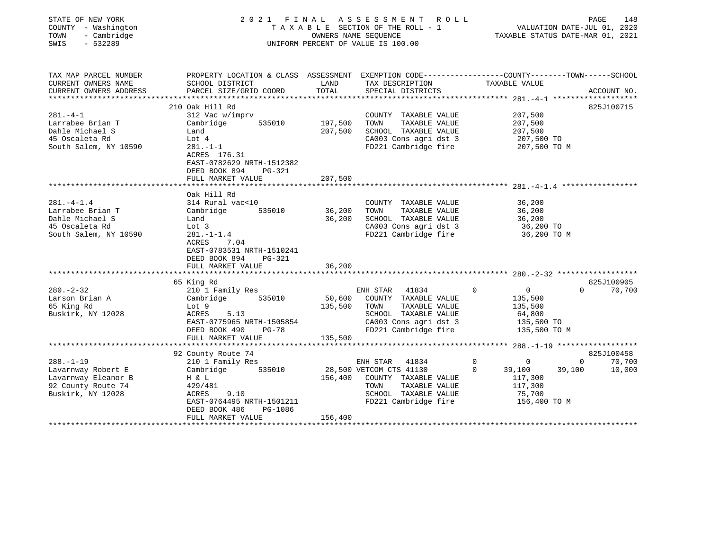| STATE OF NEW YORK<br>COUNTY - Washington<br>- Cambridge<br>TOWN<br>SWIS<br>$-532289$              | 2021 FINAL ASSESSMENT<br>TAXABLE SECTION OF THE ROLL - 1<br>UNIFORM PERCENT OF VALUE IS 100.00                                            | PAGE<br>148<br>VALUATION DATE-JUL 01, 2020<br>TAXABLE STATUS DATE-MAR 01, 2021 |                                                                                                                          |                                                                    |          |             |
|---------------------------------------------------------------------------------------------------|-------------------------------------------------------------------------------------------------------------------------------------------|--------------------------------------------------------------------------------|--------------------------------------------------------------------------------------------------------------------------|--------------------------------------------------------------------|----------|-------------|
| TAX MAP PARCEL NUMBER                                                                             | PROPERTY LOCATION & CLASS ASSESSMENT EXEMPTION CODE---------------COUNTY-------TOWN------SCHOOL                                           |                                                                                |                                                                                                                          |                                                                    |          |             |
| CURRENT OWNERS NAME<br>CURRENT OWNERS ADDRESS<br>**************************                       | SCHOOL DISTRICT<br>PARCEL SIZE/GRID COORD                                                                                                 | LAND<br>TOTAL                                                                  | TAX DESCRIPTION<br>SPECIAL DISTRICTS                                                                                     | TAXABLE VALUE                                                      |          | ACCOUNT NO. |
|                                                                                                   | 210 Oak Hill Rd                                                                                                                           |                                                                                |                                                                                                                          |                                                                    |          | 825J100715  |
| $281 - 4 - 1$                                                                                     | 312 Vac w/imprv                                                                                                                           |                                                                                | COUNTY TAXABLE VALUE                                                                                                     | 207,500                                                            |          |             |
| Larrabee Brian T                                                                                  | Cambridge<br>535010                                                                                                                       | 197,500                                                                        | TAXABLE VALUE<br>TOWN                                                                                                    | 207,500                                                            |          |             |
| Dahle Michael S                                                                                   | Land                                                                                                                                      | 207,500                                                                        | SCHOOL TAXABLE VALUE                                                                                                     | 207,500                                                            |          |             |
| 45 Oscaleta Rd                                                                                    | Lot 4                                                                                                                                     |                                                                                | CA003 Cons agri dst 3                                                                                                    | 207,500 TO                                                         |          |             |
| South Salem, NY 10590                                                                             | $281. - 1 - 1$<br>ACRES 176.31<br>EAST-0782629 NRTH-1512382<br>DEED BOOK 894<br>$PG-321$                                                  |                                                                                | FD221 Cambridge fire                                                                                                     | 207,500 TO M                                                       |          |             |
|                                                                                                   | FULL MARKET VALUE                                                                                                                         | 207,500                                                                        |                                                                                                                          | $281, -4 - 1, 4$ ******************                                |          |             |
| $281 - 4 - 1.4$<br>Larrabee Brian T<br>Dahle Michael S<br>45 Oscaleta Rd<br>South Salem, NY 10590 | Oak Hill Rd<br>314 Rural vac<10<br>535010<br>Cambridge<br>Land<br>Lot 3<br>$281. - 1 - 1.4$<br>ACRES<br>7.04<br>EAST-0783531 NRTH-1510241 | 36,200<br>36,200                                                               | COUNTY TAXABLE VALUE<br>TOWN<br>TAXABLE VALUE<br>SCHOOL TAXABLE VALUE<br>CA003 Cons agri dst 3<br>FD221 Cambridge fire   | 36,200<br>36,200<br>36,200<br>36,200 TO<br>36,200 TO M             |          |             |
|                                                                                                   | DEED BOOK 894<br>PG-321<br>FULL MARKET VALUE                                                                                              | 36,200                                                                         |                                                                                                                          |                                                                    |          |             |
|                                                                                                   | 65 King Rd                                                                                                                                |                                                                                |                                                                                                                          |                                                                    |          | 825J100905  |
| $280. - 2 - 32$                                                                                   | 210 1 Family Res                                                                                                                          |                                                                                | 41834<br>ENH STAR                                                                                                        | $\mathbf 0$<br>0                                                   | $\Omega$ | 70,700      |
| Larson Brian A<br>65 King Rd<br>Buskirk, NY 12028                                                 | 535010<br>Cambridge<br>Lot 9<br>ACRES<br>5.13<br>EAST-0775965 NRTH-1505854<br>DEED BOOK 490<br>PG-78<br>FULL MARKET VALUE                 | 50,600<br>135,500<br>135,500                                                   | COUNTY TAXABLE VALUE<br>TAXABLE VALUE<br>TOWN<br>SCHOOL TAXABLE VALUE<br>CA003 Cons agri dst 3<br>FD221 Cambridge fire   | 135,500<br>135,500<br>64,800<br>135,500 TO<br>135,500 TO M         |          |             |
|                                                                                                   |                                                                                                                                           |                                                                                |                                                                                                                          |                                                                    |          |             |
|                                                                                                   | 92 County Route 74                                                                                                                        |                                                                                |                                                                                                                          |                                                                    |          | 825J100458  |
| $288. - 1 - 19$                                                                                   | 210 1 Family Res                                                                                                                          |                                                                                | ENH STAR<br>41834                                                                                                        | $\mathbf 0$<br>0                                                   | $\Omega$ | 70,700      |
| Lavarnway Robert E<br>Lavarnway Eleanor B<br>92 County Route 74<br>Buskirk, NY 12028              | Cambridge<br>535010<br>H & L<br>429/481<br>ACRES<br>9.10<br>EAST-0764495 NRTH-1501211<br>DEED BOOK 486<br>PG-1086                         | 156,400                                                                        | 28,500 VETCOM CTS 41130<br>COUNTY TAXABLE VALUE<br>TAXABLE VALUE<br>TOWN<br>SCHOOL TAXABLE VALUE<br>FD221 Cambridge fire | $\Omega$<br>39,100<br>117,300<br>117,300<br>75,700<br>156,400 TO M | 39,100   | 10,000      |
|                                                                                                   | FULL MARKET VALUE                                                                                                                         | 156,400                                                                        |                                                                                                                          |                                                                    |          |             |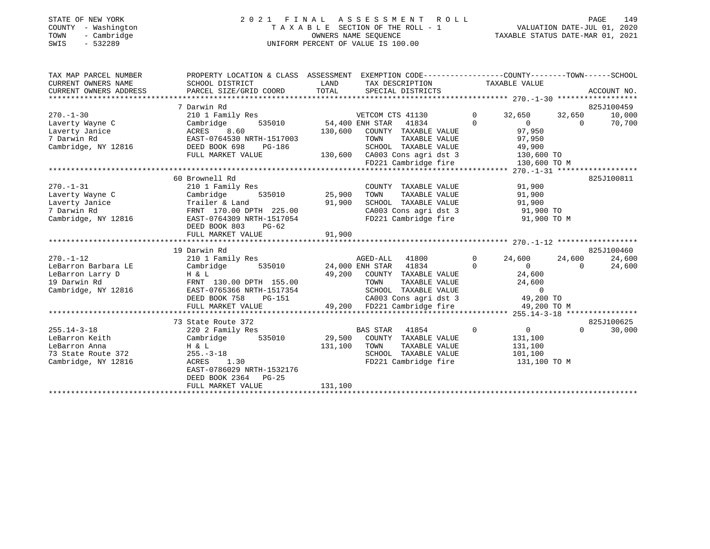#### STATE OF NEW YORK 2 0 2 1 F I N A L A S S E S S M E N T R O L L PAGE 149 COUNTY - Washington T A X A B L E SECTION OF THE ROLL - 1 VALUATION DATE-JUL 01, 2020 TOWN - Cambridge OWNERS NAME SEQUENCE TAXABLE STATUS DATE-MAR 01, 2021 SWIS - 532289 UNIFORM PERCENT OF VALUE IS 100.00

| TAX MAP PARCEL NUMBER<br>CURRENT OWNERS NAME<br>CURRENT OWNERS ADDRESS                            | PROPERTY LOCATION & CLASS ASSESSMENT EXEMPTION CODE----------------COUNTY-------TOWN-----SCHOOL<br>SCHOOL DISTRICT<br>PARCEL SIZE/GRID COORD                                                                         | LAND<br>TOTAL                | TAX DESCRIPTION<br>SPECIAL DISTRICTS                                                                                                                                     |                         | TAXABLE VALUE                                                                        |                    | ACCOUNT NO.                    |
|---------------------------------------------------------------------------------------------------|----------------------------------------------------------------------------------------------------------------------------------------------------------------------------------------------------------------------|------------------------------|--------------------------------------------------------------------------------------------------------------------------------------------------------------------------|-------------------------|--------------------------------------------------------------------------------------|--------------------|--------------------------------|
| $270. - 1 - 30$<br>Laverty Wayne C<br>Laverty Janice<br>7 Darwin Rd<br>Cambridge, NY 12816        | 7 Darwin Rd<br>210 1 Family Res<br>535010 54,400 ENH STAR<br>Cambridge<br>8.60<br>ACRES<br>EAST-0764530 NRTH-1517003<br>DEED BOOK 698<br>PG-186<br>FULL MARKET VALUE                                                 | 130,600                      | VETCOM CTS 41130<br>41834<br>COUNTY TAXABLE VALUE<br>TAXABLE VALUE<br>TOWN<br>SCHOOL TAXABLE VALUE<br>130,600 CA003 Cons agri dst 3<br>FD221 Cambridge fire              | $\Omega$<br>$\Omega$    | 32,650<br>$\Omega$<br>97,950<br>97,950<br>49,900<br>130,600 TO<br>130,600 TO M       | 32,650<br>$\Omega$ | 825J100459<br>10,000<br>70,700 |
| $270. - 1 - 31$<br>Laverty Wayne C<br>Laverty Janice<br>7 Darwin Rd<br>Cambridge, NY 12816        | 60 Brownell Rd<br>210 1 Family Res<br>Cambridge<br>535010<br>Trailer & Land<br>FRNT 170.00 DPTH 225.00<br>EAST-0764309 NRTH-1517054<br>DEED BOOK 803<br>PG-62<br>FULL MARKET VALUE                                   | 25,900<br>91,900<br>91,900   | COUNTY TAXABLE VALUE<br>TAXABLE VALUE<br>TOWN<br>SCHOOL TAXABLE VALUE<br>CA003 Cons agri dst 3<br>FD221 Cambridge fire                                                   |                         | 91,900<br>91,900<br>91,900<br>91,900 TO<br>91,900 TO M                               |                    | 825J100811                     |
| $270. - 1 - 12$<br>LeBarron Barbara LE<br>LeBarron Larry D<br>19 Darwin Rd<br>Cambridge, NY 12816 | 19 Darwin Rd<br>210 1 Family Res<br>Cambridge<br>535010<br>H & L<br>FRNT 130.00 DPTH 155.00<br>EAST-0765366 NRTH-1517354<br>DEED BOOK 758<br>PG-151<br>FULL MARKET VALUE                                             | 49,200                       | AGED-ALL 41800<br>24,000 ENH STAR 41834<br>COUNTY TAXABLE VALUE<br>TAXABLE VALUE<br>TOWN<br>SCHOOL TAXABLE VALUE<br>CA003 Cons agri dst 3<br>49,200 FD221 Cambridge fire | $\mathbf 0$<br>$\Omega$ | 24,600<br>$\overline{0}$<br>24,600<br>24,600<br>$\Omega$<br>49,200 TO<br>49,200 TO M | 24,600<br>$\Omega$ | 825J100460<br>24,600<br>24,600 |
| $255.14 - 3 - 18$<br>LeBarron Keith<br>LeBarron Anna<br>73 State Route 372<br>Cambridge, NY 12816 | 73 State Route 372<br>220 2 Family Res<br>Cambridge<br>535010<br>H & L<br>$255. - 3 - 18$<br>1.30<br>ACRES<br>EAST-0786029 NRTH-1532176<br>DEED BOOK 2364 PG-25<br>FULL MARKET VALUE<br>**************************** | 29,500<br>131,100<br>131,100 | <b>BAS STAR</b><br>41854<br>COUNTY TAXABLE VALUE<br>TAXABLE VALUE<br>TOWN<br>SCHOOL TAXABLE VALUE<br>FD221 Cambridge fire<br>*************************                   | $\Omega$                | $\overline{0}$<br>131,100<br>131,100<br>101,100<br>131,100 TO M                      | $\Omega$           | 825J100625<br>30,000           |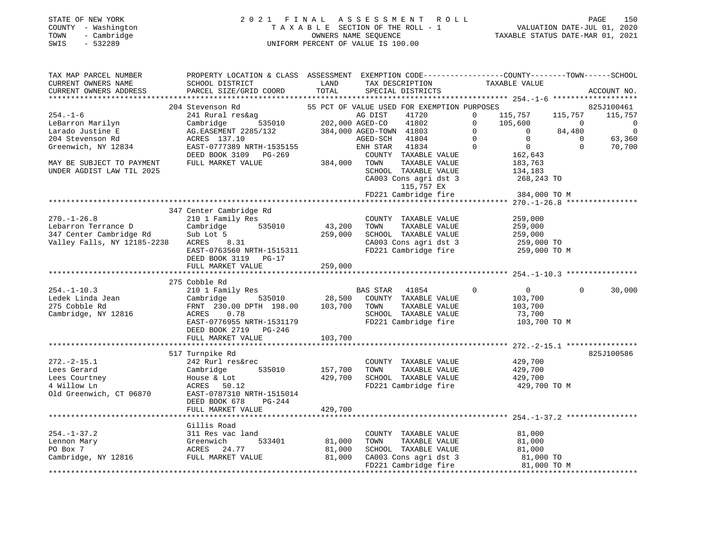#### STATE OF NEW YORK 2 0 2 1 F I N A L A S S E S S M E N T R O L L PAGE 150 COUNTY - Washington T A X A B L E SECTION OF THE ROLL - 1 VALUATION DATE-JUL 01, 2020 TOWN - Cambridge OWNERS NAME SEQUENCE TAXABLE STATUS DATE-MAR 01, 2021 SWIS - 532289 UNIFORM PERCENT OF VALUE IS 100.00

| TAX MAP PARCEL NUMBER<br>CURRENT OWNERS NAME<br>CURRENT OWNERS ADDRESS<br>*********************** | PROPERTY LOCATION & CLASS ASSESSMENT EXEMPTION CODE----------------COUNTY-------TOWN-----SCHOOL<br>SCHOOL DISTRICT<br>PARCEL SIZE/GRID COORD | LAND<br>TOTAL | TAX DESCRIPTION<br>SPECIAL DISTRICTS        | TAXABLE VALUE                                                 | ACCOUNT NO.              |
|---------------------------------------------------------------------------------------------------|----------------------------------------------------------------------------------------------------------------------------------------------|---------------|---------------------------------------------|---------------------------------------------------------------|--------------------------|
|                                                                                                   | 204 Stevenson Rd                                                                                                                             |               | 55 PCT OF VALUE USED FOR EXEMPTION PURPOSES |                                                               | 825J100461               |
| $254. - 1 - 6$                                                                                    | 241 Rural res&ag                                                                                                                             |               | AG DIST<br>41720                            | $\mathbf 0$<br>115,757                                        | 115,757<br>115,757       |
| LeBarron Marilyn                                                                                  | 535010<br>Cambridge                                                                                                                          |               | 202,000 AGED-CO<br>41802                    | $\mathbf 0$<br>105,600                                        | $\overline{0}$<br>0      |
| Larado Justine E                                                                                  | AG.EASEMENT 2285/132                                                                                                                         |               | 384,000 AGED-TOWN 41803                     | $\Omega$<br>$\Omega$                                          | 84,480<br>$\overline{0}$ |
| 204 Stevenson Rd                                                                                  | ACRES 137.10                                                                                                                                 |               | AGED-SCH<br>41804                           | $\Omega$<br>$\Omega$                                          | 63,360<br>$\Omega$       |
| Greenwich, NY 12834                                                                               | EAST-0777389 NRTH-1535155                                                                                                                    |               | ENH STAR<br>41834                           | $\mathbf 0$<br>$\overline{0}$                                 | $\mathbf 0$<br>70,700    |
|                                                                                                   | DEED BOOK 3109 PG-269                                                                                                                        |               | COUNTY TAXABLE VALUE                        | 162,643                                                       |                          |
| MAY BE SUBJECT TO PAYMENT                                                                         | FULL MARKET VALUE                                                                                                                            | 384,000       | TOWN<br>TAXABLE VALUE                       | 183,763                                                       |                          |
| UNDER AGDIST LAW TIL 2025                                                                         |                                                                                                                                              |               | SCHOOL TAXABLE VALUE                        | 134,183                                                       |                          |
|                                                                                                   |                                                                                                                                              |               | CA003 Cons agri dst 3                       | 268,243 TO                                                    |                          |
|                                                                                                   |                                                                                                                                              |               | 115,757 EX                                  |                                                               |                          |
|                                                                                                   |                                                                                                                                              |               | FD221 Cambridge fire                        | 384,000 TO M                                                  |                          |
|                                                                                                   |                                                                                                                                              |               |                                             |                                                               |                          |
|                                                                                                   | 347 Center Cambridge Rd                                                                                                                      |               |                                             |                                                               |                          |
| $270. - 1 - 26.8$                                                                                 | 210 1 Family Res                                                                                                                             |               | COUNTY TAXABLE VALUE                        | 259,000                                                       |                          |
| Lebarron Terrance D                                                                               | Cambridge<br>535010                                                                                                                          | 43,200        | TOWN<br>TAXABLE VALUE                       | 259,000                                                       |                          |
| 347 Center Cambridge Rd                                                                           | Sub Lot 5                                                                                                                                    | 259,000       | SCHOOL TAXABLE VALUE                        | 259,000                                                       |                          |
| Valley Falls, NY 12185-2238                                                                       | ACRES 8.31                                                                                                                                   |               | CA003 Cons agri dst 3                       | 259,000 TO                                                    |                          |
|                                                                                                   | EAST-0763560 NRTH-1515311                                                                                                                    |               | FD221 Cambridge fire                        | 259,000 TO M                                                  |                          |
|                                                                                                   | DEED BOOK 3119 PG-17                                                                                                                         |               |                                             |                                                               |                          |
|                                                                                                   | FULL MARKET VALUE                                                                                                                            | 259,000       |                                             |                                                               |                          |
|                                                                                                   | 275 Cobble Rd                                                                                                                                |               |                                             |                                                               |                          |
| $254. - 1 - 10.3$                                                                                 | 210 1 Family Res                                                                                                                             |               | BAS STAR 41854                              | $\mathbf 0$<br>$\overline{0}$                                 | $\Omega$<br>30,000       |
| Ledek Linda Jean                                                                                  | 535010<br>Cambridge                                                                                                                          | 28,500        | COUNTY TAXABLE VALUE                        | 103,700                                                       |                          |
| 275 Cobble Rd                                                                                     | FRNT 230.00 DPTH 198.00                                                                                                                      | 103,700       | TOWN<br>TAXABLE VALUE                       | 103,700                                                       |                          |
| Cambridge, NY 12816                                                                               | 0.78<br>ACRES                                                                                                                                |               | SCHOOL TAXABLE VALUE                        | 73,700                                                        |                          |
|                                                                                                   | EAST-0776955 NRTH-1531179                                                                                                                    |               | FD221 Cambridge fire                        | 103,700 TO M                                                  |                          |
|                                                                                                   | DEED BOOK 2719<br>PG-246                                                                                                                     |               |                                             |                                                               |                          |
|                                                                                                   | FULL MARKET VALUE                                                                                                                            | 103,700       |                                             |                                                               |                          |
|                                                                                                   | **********************                                                                                                                       | ***********   |                                             | ********************************* 272.-2-15.1 *************** |                          |
|                                                                                                   | 517 Turnpike Rd                                                                                                                              |               |                                             |                                                               | 825J100586               |
| $272. - 2 - 15.1$                                                                                 | 242 Rurl res&rec                                                                                                                             |               | COUNTY TAXABLE VALUE                        | 429,700                                                       |                          |
| Lees Gerard                                                                                       | Cambridge<br>535010                                                                                                                          | 157,700       | TOWN<br>TAXABLE VALUE                       | 429,700                                                       |                          |
| Lees Courtney                                                                                     | House & Lot                                                                                                                                  | 429,700       | SCHOOL TAXABLE VALUE                        | 429,700                                                       |                          |
| 4 Willow Ln                                                                                       | ACRES 50.12                                                                                                                                  |               | FD221 Cambridge fire                        | 429,700 TO M                                                  |                          |
| Old Greenwich, CT 06870                                                                           | EAST-0787310 NRTH-1515014                                                                                                                    |               |                                             |                                                               |                          |
|                                                                                                   | DEED BOOK 678<br>PG-244                                                                                                                      |               |                                             |                                                               |                          |
|                                                                                                   | FULL MARKET VALUE                                                                                                                            | 429,700       |                                             |                                                               |                          |
|                                                                                                   |                                                                                                                                              |               |                                             |                                                               |                          |
|                                                                                                   | Gillis Road                                                                                                                                  |               |                                             |                                                               |                          |
| $254. - 1 - 37.2$                                                                                 | 311 Res vac land                                                                                                                             |               | COUNTY TAXABLE VALUE                        | 81,000                                                        |                          |
| Lennon Mary                                                                                       | Greenwich<br>533401                                                                                                                          | 81,000        | TAXABLE VALUE<br>TOWN                       | 81,000                                                        |                          |
| PO Box 7                                                                                          | ACRES 24.77                                                                                                                                  | 81,000        | SCHOOL TAXABLE VALUE                        | 81,000                                                        |                          |
| Cambridge, NY 12816                                                                               | FULL MARKET VALUE                                                                                                                            | 81,000        | CA003 Cons agri dst 3                       | 81,000 TO                                                     |                          |
|                                                                                                   |                                                                                                                                              |               | FD221 Cambridge fire                        |                                                               | 81,000 TO M              |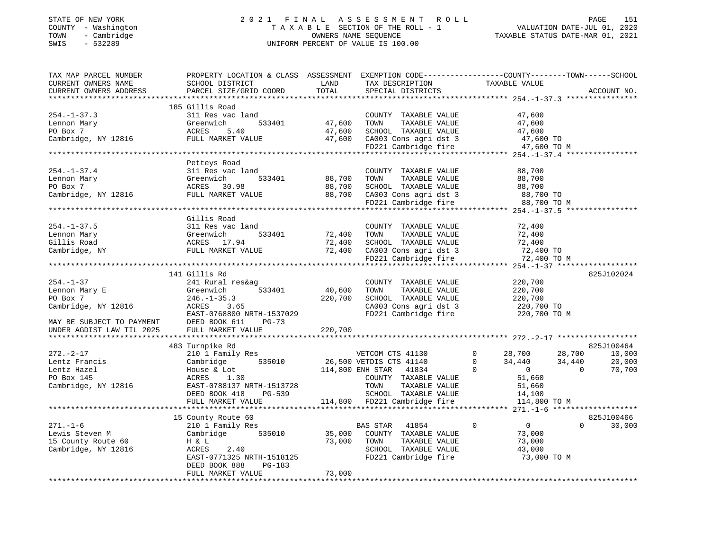#### STATE OF NEW YORK 2 0 2 1 F I N A L A S S E S S M E N T R O L L PAGE 151 COUNTY - Washington T A X A B L E SECTION OF THE ROLL - 1 VALUATION DATE-JUL 01, 2020 TOWN - Cambridge OWNERS NAME SEQUENCE TAXABLE STATUS DATE-MAR 01, 2021 SWIS - 532289 UNIFORM PERCENT OF VALUE IS 100.00

| TAX MAP PARCEL NUMBER<br>CURRENT OWNERS NAME<br>CURRENT OWNERS ADDRESS      | PROPERTY LOCATION & CLASS ASSESSMENT EXEMPTION CODE----------------COUNTY-------TOWN------SCHOOL<br>SCHOOL DISTRICT<br>PARCEL SIZE/GRID COORD | LAND<br>TOTAL    | TAX DESCRIPTION<br>SPECIAL DISTRICTS          | TAXABLE VALUE                   | ACCOUNT NO.        |
|-----------------------------------------------------------------------------|-----------------------------------------------------------------------------------------------------------------------------------------------|------------------|-----------------------------------------------|---------------------------------|--------------------|
|                                                                             |                                                                                                                                               |                  |                                               |                                 |                    |
| $254. - 1 - 37.3$                                                           | 185 Gillis Road<br>311 Res vac land                                                                                                           |                  | COUNTY TAXABLE VALUE                          | 47,600                          |                    |
| Lennon Mary                                                                 | Greenwich<br>533401                                                                                                                           | 47,600           | TOWN<br>TAXABLE VALUE                         | 47,600                          |                    |
| PO Box 7                                                                    | ACRES<br>5.40                                                                                                                                 | 47,600           | SCHOOL TAXABLE VALUE                          | 47,600                          |                    |
|                                                                             |                                                                                                                                               | 47,600           |                                               | 47,600 TO                       |                    |
|                                                                             |                                                                                                                                               |                  | CA003 Cons agri dst 3<br>FD221 Cambridge fire | 47,600 TO M                     |                    |
|                                                                             |                                                                                                                                               |                  |                                               |                                 |                    |
|                                                                             | Petteys Road                                                                                                                                  |                  |                                               |                                 |                    |
| $254. - 1 - 37.4$                                                           | 311 Res vac land                                                                                                                              |                  | COUNTY TAXABLE VALUE                          | 88,700                          |                    |
| Lennon Mary                                                                 | Greenwich<br>533401                                                                                                                           | 88,700           | TOWN<br>TAXABLE VALUE                         | 88,700                          |                    |
|                                                                             |                                                                                                                                               | 88,700           | SCHOOL TAXABLE VALUE                          | 88,700                          |                    |
| PO Box 7<br>Cambridge, NY 12816<br>Cambridge, NY 12816<br>PULL MARKET VALUE |                                                                                                                                               | 88,700           |                                               | 88,700 TO                       |                    |
|                                                                             |                                                                                                                                               |                  | CA003 Cons agri dst 3<br>FD221 Cambridge fire | 88,700 TO M                     |                    |
|                                                                             |                                                                                                                                               |                  |                                               |                                 |                    |
|                                                                             | Gillis Road                                                                                                                                   |                  |                                               |                                 |                    |
| $254. - 1 - 37.5$                                                           | 311 Res vac land                                                                                                                              |                  | COUNTY TAXABLE VALUE                          | 72,400                          |                    |
| Lennon Mary                                                                 | Greenwich<br>533401                                                                                                                           | 72,400           | TAXABLE VALUE<br>TOWN                         | 72,400                          |                    |
| Gillis Road                                                                 | ACRES 17.94                                                                                                                                   | 72,400           | SCHOOL TAXABLE VALUE                          | 72,400                          |                    |
| Cambridge, NY                                                               | FULL MARKET VALUE                                                                                                                             | 72,400           | CA003 Cons agri dst 3<br>FD221 Cambridge fire | 72,400 TO                       |                    |
|                                                                             |                                                                                                                                               |                  |                                               | 72,400 TO M                     |                    |
|                                                                             |                                                                                                                                               |                  |                                               |                                 |                    |
|                                                                             | 141 Gillis Rd                                                                                                                                 |                  |                                               |                                 | 825J102024         |
| $254. - 1 - 37$                                                             | 241 Rural res&ag                                                                                                                              |                  | COUNTY TAXABLE VALUE                          | 220,700                         |                    |
| Lennon Mary E                                                               | 533401<br>Greenwich                                                                                                                           | 40,600           | TAXABLE VALUE<br>TOWN                         | 220,700                         |                    |
| PO Box 7                                                                    | $246. - 1 - 35.3$                                                                                                                             | 220,700          | SCHOOL TAXABLE VALUE                          | 220,700                         |                    |
| Cambridge, NY 12816                                                         | ACRES<br>3.65                                                                                                                                 |                  | CA003 Cons agri dst 3                         | 220,700 TO                      |                    |
|                                                                             | EAST-0768800 NRTH-1537029                                                                                                                     |                  | FD221 Cambridge fire                          | 220,700 TO M                    |                    |
| MAY BE SUBJECT TO PAYMENT                                                   | DEED BOOK 611<br>$PG-73$                                                                                                                      |                  |                                               |                                 |                    |
| UNDER AGDIST LAW TIL 2025                                                   | FULL MARKET VALUE                                                                                                                             | 220,700          |                                               |                                 |                    |
|                                                                             |                                                                                                                                               |                  |                                               |                                 |                    |
|                                                                             | 483 Turnpike Rd                                                                                                                               |                  |                                               |                                 | 825J100464         |
| $272. - 2 - 17$                                                             | 210 1 Family Res                                                                                                                              |                  | VETCOM CTS 41130                              | $\Omega$<br>28,700<br>28,700    | 10,000             |
| Lentz Francis                                                               | 535010<br>Cambridge                                                                                                                           |                  | 26,500 VETDIS CTS 41140                       | $\mathbf 0$<br>34,440<br>34,440 | 20,000             |
| Lentz Hazel                                                                 | House & Lot                                                                                                                                   | 114,800 ENH STAR | 41834                                         | $\overline{0}$<br>$\Omega$      | 70,700<br>$\Omega$ |
| PO Box 145                                                                  | ACRES<br>1.30                                                                                                                                 |                  | COUNTY TAXABLE VALUE                          | 51,660                          |                    |
| Cambridge, NY 12816                                                         | EAST-0788137 NRTH-1513728                                                                                                                     |                  | TOWN<br>TAXABLE VALUE                         | 51,660                          |                    |
|                                                                             | DEED BOOK 418<br>PG-539                                                                                                                       |                  | SCHOOL TAXABLE VALUE                          | 14,100                          |                    |
|                                                                             | FULL MARKET VALUE                                                                                                                             |                  | 114,800 FD221 Cambridge fire                  | 114,800 TO M                    |                    |
|                                                                             |                                                                                                                                               |                  |                                               |                                 |                    |
|                                                                             | 15 County Route 60                                                                                                                            |                  |                                               |                                 | 825J100466         |
| $271. - 1 - 6$                                                              | 210 1 Family Res                                                                                                                              |                  | BAS STAR<br>41854                             | $\overline{0}$<br>$\Omega$      | $\Omega$<br>30,000 |
| Lewis Steven M                                                              | Cambridge 535010                                                                                                                              | 35,000           | COUNTY TAXABLE VALUE                          | 73,000                          |                    |
| 15 County Route 60                                                          | H & L                                                                                                                                         | 73,000           | TAXABLE VALUE<br>TOWN                         | 73,000                          |                    |
| Cambridge, NY 12816                                                         | ACRES<br>2.40                                                                                                                                 |                  | SCHOOL TAXABLE VALUE                          | 43,000                          |                    |
|                                                                             | EAST-0771325 NRTH-1518125                                                                                                                     |                  | FD221 Cambridge fire                          | 73,000 TO M                     |                    |
|                                                                             | DEED BOOK 888<br>PG-183                                                                                                                       | 73,000           |                                               |                                 |                    |
|                                                                             | FULL MARKET VALUE                                                                                                                             |                  |                                               |                                 |                    |
|                                                                             |                                                                                                                                               |                  |                                               |                                 |                    |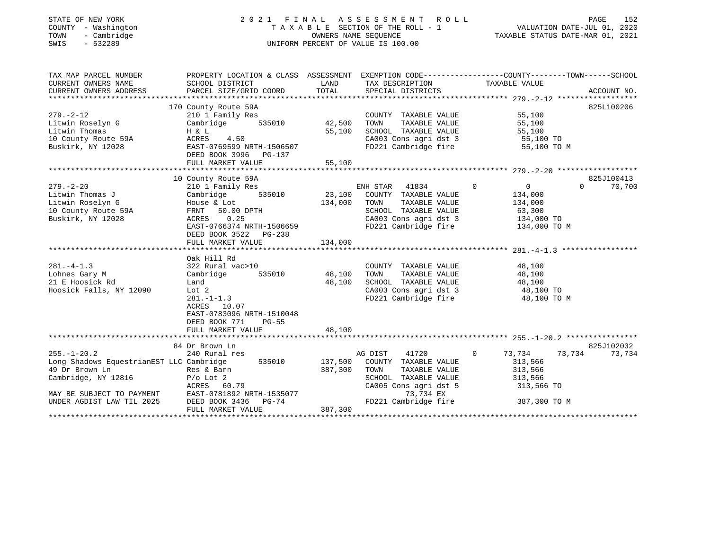#### STATE OF NEW YORK 2 0 2 1 F I N A L A S S E S S M E N T R O L L PAGE 152 COUNTY - Washington T A X A B L E SECTION OF THE ROLL - 1 VALUATION DATE-JUL 01, 2020 TOWN - Cambridge OWNERS NAME SEQUENCE TAXABLE STATUS DATE-MAR 01, 2021 SWIS - 532289 UNIFORM PERCENT OF VALUE IS 100.00

| TAX MAP PARCEL NUMBER<br>CURRENT OWNERS NAME<br>CURRENT OWNERS ADDRESS                                                                                                                                                                                    | SCHOOL DISTRICT                                                                                                                                                                        | LAND                                                            | TAX DESCRIPTION TAXABLE VALUE                                                                                                                       | PROPERTY LOCATION & CLASS ASSESSMENT EXEMPTION CODE---------------COUNTY-------TOWN------SCHOOL                                                                                                |
|-----------------------------------------------------------------------------------------------------------------------------------------------------------------------------------------------------------------------------------------------------------|----------------------------------------------------------------------------------------------------------------------------------------------------------------------------------------|-----------------------------------------------------------------|-----------------------------------------------------------------------------------------------------------------------------------------------------|------------------------------------------------------------------------------------------------------------------------------------------------------------------------------------------------|
| Extract Thomas<br>Litwin Thomas<br>10 County Route 59A<br>Buskirk, NY 12028<br>BAST-0769599 NRTH-1506507                                                                                                                                                  | 170 County Route 59A<br>DEED BOOK 3996 PG-137<br>FULL MARKET VALUE                                                                                                                     | 55,100                                                          | COUNTY TAXABLE VALUE<br>TAXABLE VALUE<br>TOWN                                                                                                       | 825L100206<br>55,100<br>55,100<br>SCHOOL TAXABLE VALUE 55,100<br>CA003 Cons agri dst 3 55,100 TO<br>FD221 Cambridge fire 55,100 TO M                                                           |
| $279. - 2 - 20$<br>Litwin Thomas J<br>Litwin Roselyn G<br>10 County Route 59A<br>Buskirk, NY 12028                                                                                                                                                        | 10 County Route 59A<br>210 1 Family Res<br>Cambridge 535010<br>House & Lot<br>FRNT 50.00 DPTH<br>ACRES 0.25<br>EAST-0766374 NRTH-1506659<br>DEED BOOK 3522 PG-238<br>FULL MARKET VALUE | 23,100<br>134,000 TOWN<br>134,000                               | ENH STAR 41834 0<br>COUNTY TAXABLE VALUE                                                                                                            | 825J100413<br>$\overline{0}$<br>$\Omega$<br>70,700<br>134,000<br>TAXABLE VALUE 134,000<br>SCHOOL TAXABLE VALUE 63,300<br>CA003 Cons agri dst 3 134,000 TO<br>FD221 Cambridge fire 134,000 TO M |
| $281 - 4 - 1.3$<br>Lohnes Gary M<br>21 E Hoosick Rd<br>Hoosick Falls, NY 12090                                                                                                                                                                            | Oak Hill Rd<br>322 Rural vac>10<br>Cambridge<br>Land<br>Lot 2<br>$281 - 1 - 1.3$<br>ACRES 10.07<br>EAST-0783096 NRTH-1510048<br>DEED BOOK 771<br>$PG-55$<br>FULL MARKET VALUE          | )<br>535010                          48,100<br>48,100<br>48,100 | COUNTY TAXABLE VALUE<br>TOWN      TAXABLE VALUE<br>SCHOOL TAXABLE VALUE 48,100<br>CA003 Cons agri dst 3 48,100 TO<br>FD221 Cambridge fire 48,100 TO | 48,100<br>48,100<br>48,100 TO M                                                                                                                                                                |
| $255. - 1 - 20.2$<br>Long Shadows EquestrianEST LLC Cambridge 535010 137,500<br>49 Dr Brown Ln<br>Res & Barn<br>P/o Lot 2<br>Cambridge, NY 12816<br>MAY BE SUBJECT TO PAYMENT EAST-0781892 NRTH-1535077<br>UNDER AGDIST LAW TIL 2025 DEED BOOK 3436 PG-74 | 84 Dr Brown Ln<br>Dr Brown Ln<br>240 Rural res<br>Res & Barn<br>ACRES 60.79<br>FULL MARKET VALUE                                                                                       | 387,300<br>387,300                                              | AG DIST 41720<br>COUNTY TAXABLE VALUE<br>TOWN<br>TAXABLE VALUE<br>SCHOOL TAXABLE VALUE<br>CA005 Cons agri dst 5 313,566 TO<br>73,734 EX             | 825J102032<br>0 $73,734$<br>73,734<br>73,734<br>313,566<br>313,566<br>313,566<br>FD221 Cambridge fire 387,300 TO M                                                                             |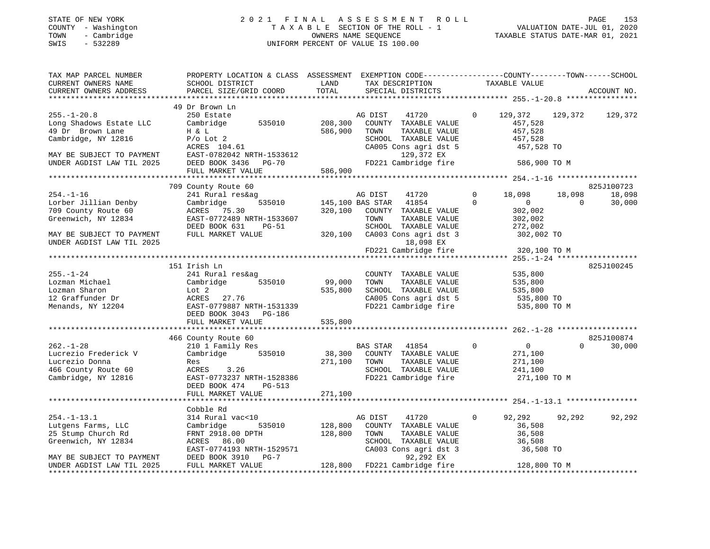#### STATE OF NEW YORK 2 0 2 1 F I N A L A S S E S S M E N T R O L L PAGE 153 COUNTY - Washington T A X A B L E SECTION OF THE ROLL - 1 VALUATION DATE-JUL 01, 2020 TOWN - Cambridge OWNERS NAME SEQUENCE TAXABLE STATUS DATE-MAR 01, 2021 SWIS - 532289 UNIFORM PERCENT OF VALUE IS 100.00

| TAX MAP PARCEL NUMBER                      | PROPERTY LOCATION & CLASS ASSESSMENT EXEMPTION CODE---------------COUNTY-------TOWN-----SCHOOL                                                               |                |                                                                                                   |                                               |               |                    |
|--------------------------------------------|--------------------------------------------------------------------------------------------------------------------------------------------------------------|----------------|---------------------------------------------------------------------------------------------------|-----------------------------------------------|---------------|--------------------|
| CURRENT OWNERS NAME                        | SCHOOL DISTRICT                                                                                                                                              | LAND           | TAX DESCRIPTION                                                                                   | TAXABLE VALUE                                 |               |                    |
| CURRENT OWNERS ADDRESS                     | PARCEL SIZE/GRID COORD TOTAL SPECIAL DISTRICTS                                                                                                               |                |                                                                                                   |                                               |               | ACCOUNT NO.        |
|                                            |                                                                                                                                                              |                |                                                                                                   |                                               |               |                    |
|                                            | 49 Dr Brown Ln                                                                                                                                               |                |                                                                                                   |                                               |               |                    |
| $255. - 1 - 20.8$                          | 250 Estate                                                                                                                                                   |                | AG DIST 41720                                                                                     | $\circ$<br>129,372 129,372                    |               | 129,372            |
| Long Shadows Estate LLC                    | Cambridge 535010 208,300                                                                                                                                     |                | COUNTY TAXABLE VALUE                                                                              | 457,528                                       |               |                    |
| 49 Dr Brown Lane                           | H & L<br>P/o Lot 2<br>ACRES 104.61                                                                                                                           | 586,900        | TAXABLE VALUE<br>TOWN                                                                             | 457,528                                       |               |                    |
| Cambridge, NY 12816                        |                                                                                                                                                              |                | SCHOOL TAXABLE VALUE                                                                              | 157,528                                       |               |                    |
|                                            |                                                                                                                                                              |                | CA005 Cons agri dst 5                                                                             | 457,528 TO                                    |               |                    |
|                                            |                                                                                                                                                              |                |                                                                                                   |                                               |               |                    |
|                                            |                                                                                                                                                              |                |                                                                                                   |                                               |               |                    |
|                                            | FULL MARKET VALUE                                                                                                                                            | 586,900        |                                                                                                   |                                               |               |                    |
|                                            | 709 County Route 60                                                                                                                                          |                |                                                                                                   |                                               |               | 825J100723         |
| $254. - 1 - 16$                            | 241 Rural res&ag                                                                                                                                             |                |                                                                                                   | $\bigcirc$<br>18,098 18,098                   |               | 18,098             |
|                                            |                                                                                                                                                              |                | 3<br>535010 145,100 BAS STAR 41854                                                                | $\Omega$<br>$\overline{0}$ and $\overline{0}$ |               | 30,000             |
|                                            |                                                                                                                                                              |                | 320,100 COUNTY TAXABLE VALUE                                                                      | 302,002                                       |               |                    |
| Greenwich, NY 12834                        | EAST-0772489 NRTH-1533607                                                                                                                                    |                | TOWN                                                                                              |                                               |               |                    |
|                                            |                                                                                                                                                              |                | TAXABLE VALUE                                                                                     | 302,002<br>272,002                            |               |                    |
| MAY BE SUBJECT TO PAYMENT                  | DEED BOOK 631 PG-51<br>FIILI MADYDE 1000<br>FULL MARKET VALUE                                                                                                |                |                                                                                                   |                                               |               |                    |
| UNDER AGDIST LAW TIL 2025                  |                                                                                                                                                              |                | 320,100 CA003 Cons agri dst 3 302,002 TO<br>320,100 CA003 Cons agri dst 3 302,002 TO<br>18,098 EX |                                               |               |                    |
|                                            |                                                                                                                                                              |                | FD221 Cambridge fire                                                                              | 320,100 TO M                                  |               |                    |
|                                            |                                                                                                                                                              |                |                                                                                                   |                                               |               |                    |
|                                            | 151 Irish Ln                                                                                                                                                 |                |                                                                                                   |                                               |               | 825J100245         |
|                                            | 241 Rural res&ag                                                                                                                                             |                | COUNTY TAXABLE VALUE                                                                              | 535,800                                       |               |                    |
|                                            |                                                                                                                                                              | 99,000         | TAXABLE VALUE<br>TOWN                                                                             | 535,800                                       |               |                    |
| 255.-1-24<br>Lozman Michael<br>Charon      | Lozman Michael Cambridge 535010 99,000<br>Lozman Sharon Lot 2 535,800<br>12 Graffunder Dr ACRES 27.76 535,800<br>Menands, NY 12204 EAST-0779887 NRTH-1531339 | 535,800        | SCHOOL TAXABLE VALUE 535,800                                                                      |                                               |               |                    |
|                                            |                                                                                                                                                              |                |                                                                                                   |                                               |               |                    |
|                                            |                                                                                                                                                              |                | CA005 Cons agri dst 5 535,800 TO<br>FD221 Cambridge fire 535,800 TO M                             |                                               |               |                    |
|                                            | DEED BOOK 3043 PG-186                                                                                                                                        |                |                                                                                                   |                                               |               |                    |
|                                            | FULL MARKET VALUE                                                                                                                                            | 535,800        |                                                                                                   |                                               |               |                    |
|                                            |                                                                                                                                                              |                |                                                                                                   |                                               |               |                    |
|                                            | 466 County Route 60                                                                                                                                          |                |                                                                                                   |                                               |               | 825J100874         |
| $262. - 1 - 28$                            | County Route bu<br>210 1 Family Res                                                                                                                          |                | BAS STAR 41854 0                                                                                  | $\overline{0}$                                |               | $\Omega$<br>30,000 |
| Lucrezio Frederick V                       | Cambridge 535010 38,300 COUNTY TAXABLE VALUE                                                                                                                 |                |                                                                                                   | 271,100                                       |               |                    |
|                                            | Res                                                                                                                                                          | 271,100 TOWN   | TAXABLE VALUE                                                                                     | 271,100                                       |               |                    |
|                                            | ACRES 3.26                                                                                                                                                   |                | SCHOOL TAXABLE VALUE $241,100$<br>FD221 Cambridge fire $271,100$ TO M                             |                                               |               |                    |
| 466 County Route 60<br>Cambridge, NY 12816 | EAST-0773237 NRTH-1528386                                                                                                                                    |                |                                                                                                   |                                               |               |                    |
|                                            | DEED BOOK 474 PG-513                                                                                                                                         |                |                                                                                                   |                                               |               |                    |
|                                            | FULL MARKET VALUE                                                                                                                                            | 271,100        |                                                                                                   |                                               |               |                    |
|                                            |                                                                                                                                                              |                |                                                                                                   |                                               |               |                    |
|                                            | Cobble Rd                                                                                                                                                    |                |                                                                                                   |                                               |               |                    |
| $254. - 1 - 13.1$                          | 314 Rural vac<10                                                                                                                                             |                | AG DIST 41720                                                                                     | $\mathbf{0}$                                  | 92,292 92,292 | 92,292             |
| Lutgens Farms, LLC                         | Cambridge                                                                                                                                                    | 535010 128,800 | COUNTY TAXABLE VALUE                                                                              | 36,508                                        |               |                    |
| 25 Stump Church Rd                         | FRNT 2918.00 DPTH 128,800                                                                                                                                    |                | TOWN                                                                                              | 36,508                                        |               |                    |
| Greenwich, NY 12834                        |                                                                                                                                                              |                |                                                                                                   | 36,508                                        |               |                    |
|                                            | EAST-0774193 NRTH-1529571<br>DEED BOOK 3910 PG-7                                                                                                             |                | TOWN<br>TORING TAXABLE VALUE<br>SCHOOL TAXABLE VALUE<br>CA003 Cons agri dst 3                     | 36,508 TO                                     |               |                    |
| MAY BE SUBJECT TO PAYMENT                  |                                                                                                                                                              |                | 92, 292 EA 128, 800 TO M<br>128, 800 FD221 Cambridge fire 128, 800 TO M                           |                                               |               |                    |
| UNDER AGDIST LAW TIL 2025                  | FULL MARKET VALUE                                                                                                                                            |                |                                                                                                   |                                               |               |                    |
|                                            |                                                                                                                                                              |                |                                                                                                   |                                               |               |                    |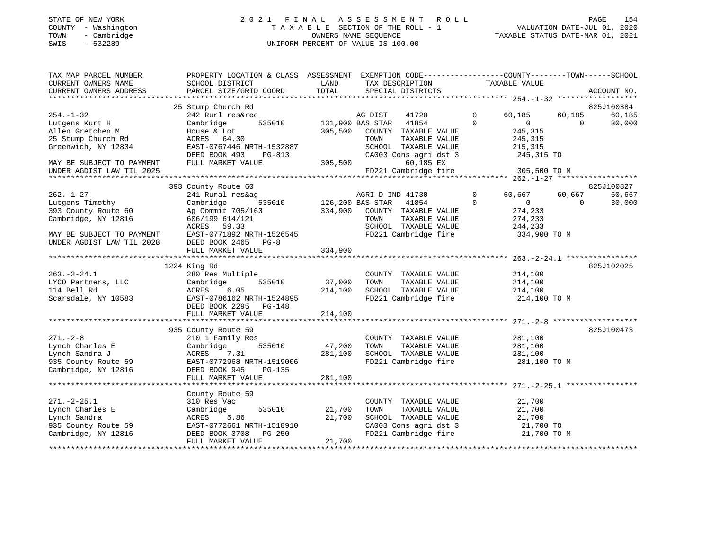#### STATE OF NEW YORK 2 0 2 1 F I N A L A S S E S S M E N T R O L L PAGE 154 COUNTY - Washington T A X A B L E SECTION OF THE ROLL - 1 VALUATION DATE-JUL 01, 2020 TOWN - Cambridge OWNERS NAME SEQUENCE TAXABLE STATUS DATE-MAR 01, 2021 SWIS - 532289 UNIFORM PERCENT OF VALUE IS 100.00

| TAX MAP PARCEL NUMBER     | PROPERTY LOCATION & CLASS ASSESSMENT EXEMPTION CODE---------------COUNTY-------TOWN-----SCHOOL |         |                               |                |                |          |             |
|---------------------------|------------------------------------------------------------------------------------------------|---------|-------------------------------|----------------|----------------|----------|-------------|
| CURRENT OWNERS NAME       | SCHOOL DISTRICT                                                                                | LAND    | TAX DESCRIPTION               |                | TAXABLE VALUE  |          |             |
| CURRENT OWNERS ADDRESS    | PARCEL SIZE/GRID COORD                                                                         | TOTAL   | SPECIAL DISTRICTS             |                |                |          | ACCOUNT NO. |
|                           | 25 Stump Church Rd                                                                             |         |                               |                |                |          | 825J100384  |
| $254. - 1 - 32$           | 242 Rurl res&rec                                                                               |         | AG DIST<br>41720              | $\circ$        | 60,185         | 60,185   | 60,185      |
| Lutgens Kurt H            | Cambridge                                                                                      |         | 535010 131,900 BAS STAR 41854 | $\Omega$       | $\Omega$       | $\Omega$ | 30,000      |
| Allen Gretchen M          | House & Lot                                                                                    | 305,500 | COUNTY TAXABLE VALUE          |                | 245,315        |          |             |
| 25 Stump Church Rd        | ACRES 64.30                                                                                    |         | TOWN<br>TAXABLE VALUE         |                | 245,315        |          |             |
| Greenwich, NY 12834       | EAST-0767446 NRTH-1532887                                                                      |         | SCHOOL TAXABLE VALUE          |                | 215,315        |          |             |
|                           | DEED BOOK 493<br>PG-813                                                                        |         | CA003 Cons agri dst 3         |                | 245,315 TO     |          |             |
| MAY BE SUBJECT TO PAYMENT | FULL MARKET VALUE                                                                              | 305,500 | 60,185 EX                     |                |                |          |             |
| UNDER AGDIST LAW TIL 2025 |                                                                                                |         | FD221 Cambridge fire          |                | 305,500 TO M   |          |             |
|                           |                                                                                                |         |                               |                |                |          |             |
|                           | 393 County Route 60                                                                            |         |                               |                |                |          | 825J100827  |
| $262. - 1 - 27$           | 241 Rural res&ag                                                                               |         | AGRI-D IND 41730              | $\overline{0}$ | 60,667         | 60,667   | 60,667      |
| Lutgens Timothy           | 535010 126,200 BAS STAR<br>Cambridge                                                           |         | 41854                         | $\Omega$       | $\overline{0}$ | $\Omega$ | 30,000      |
| 393 County Route 60       | Ag Commit 705/163                                                                              | 334,900 | COUNTY TAXABLE VALUE          |                | 274,233        |          |             |
| Cambridge, NY 12816       | 606/199 614/121                                                                                |         | TOWN<br>TAXABLE VALUE         |                | 274,233        |          |             |
|                           | ACRES 59.33                                                                                    |         | SCHOOL TAXABLE VALUE          |                | 244,233        |          |             |
| MAY BE SUBJECT TO PAYMENT | EAST-0771892 NRTH-1526545                                                                      |         | FD221 Cambridge fire          |                | 334,900 TO M   |          |             |
| UNDER AGDIST LAW TIL 2028 | DEED BOOK 2465 PG-8                                                                            |         |                               |                |                |          |             |
|                           | FULL MARKET VALUE                                                                              | 334,900 |                               |                |                |          |             |
|                           |                                                                                                |         |                               |                |                |          |             |
|                           | 1224 King Rd                                                                                   |         |                               |                |                |          | 825J102025  |
| $263. - 2 - 24.1$         | 280 Res Multiple                                                                               |         | COUNTY TAXABLE VALUE          |                | 214,100        |          |             |
| LYCO Partners, LLC        | Cambridge<br>535010                                                                            | 37,000  | TAXABLE VALUE<br>TOWN         |                | 214,100        |          |             |
| 114 Bell Rd               | 6.05<br>ACRES                                                                                  | 214,100 | SCHOOL TAXABLE VALUE          |                | 214,100        |          |             |
| Scarsdale, NY 10583       | EAST-0786162 NRTH-1524895                                                                      |         | FD221 Cambridge fire          |                | 214,100 TO M   |          |             |
|                           | DEED BOOK 2295<br>$PG-148$                                                                     |         |                               |                |                |          |             |
|                           | FULL MARKET VALUE                                                                              | 214,100 |                               |                |                |          |             |
|                           |                                                                                                |         |                               |                |                |          |             |
|                           | 935 County Route 59                                                                            |         |                               |                |                |          | 825J100473  |
| $271. - 2 - 8$            | 210 1 Family Res                                                                               |         | COUNTY TAXABLE VALUE          |                | 281,100        |          |             |
| Lynch Charles E           | 535010<br>Cambridge                                                                            | 47,200  | TOWN<br>TAXABLE VALUE         |                | 281,100        |          |             |
| Lynch Sandra J            | ACRES<br>7.31                                                                                  | 281,100 | SCHOOL TAXABLE VALUE          |                | 281,100        |          |             |
| 935 County Route 59       | EAST-0772968 NRTH-1519006                                                                      |         | FD221 Cambridge fire          |                | 281,100 TO M   |          |             |
| Cambridge, NY 12816       | DEED BOOK 945<br>PG-135                                                                        |         |                               |                |                |          |             |
|                           | FULL MARKET VALUE                                                                              | 281,100 |                               |                |                |          |             |
|                           |                                                                                                |         |                               |                |                |          |             |
|                           | County Route 59                                                                                |         |                               |                |                |          |             |
| $271. - 2 - 25.1$         | 310 Res Vac                                                                                    |         | COUNTY TAXABLE VALUE          |                | 21,700         |          |             |
| Lynch Charles E           | Cambridge<br>535010                                                                            | 21,700  | TOWN<br>TAXABLE VALUE         |                | 21,700         |          |             |
| Lynch Sandra              | ACRES<br>5.86                                                                                  | 21,700  | SCHOOL TAXABLE VALUE          |                | 21,700         |          |             |
| 935 County Route 59       | EAST-0772661 NRTH-1518910                                                                      |         | CA003 Cons agri dst 3         |                | 21,700 TO      |          |             |
| Cambridge, NY 12816       | DEED BOOK 3708 PG-250                                                                          |         | FD221 Cambridge fire          |                | 21,700 TO M    |          |             |
|                           | FULL MARKET VALUE                                                                              | 21,700  |                               |                |                |          |             |
|                           |                                                                                                |         |                               |                |                |          |             |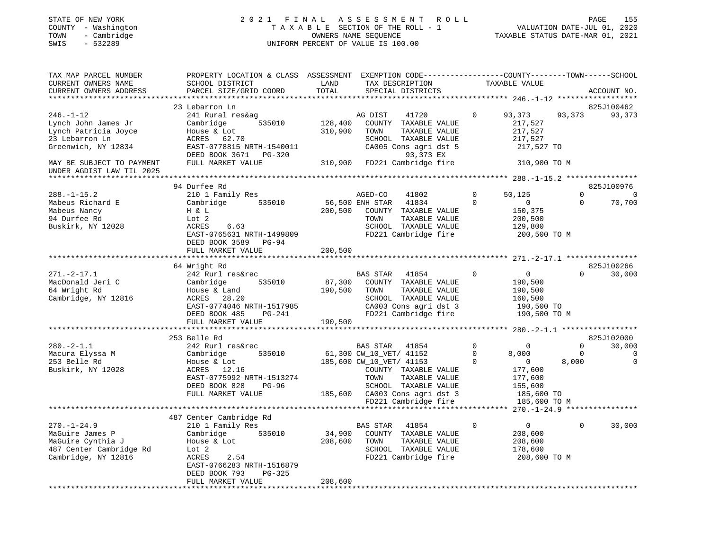#### STATE OF NEW YORK 2 0 2 1 F I N A L A S S E S S M E N T R O L L PAGE 155 COUNTY - Washington T A X A B L E SECTION OF THE ROLL - 1 VALUATION DATE-JUL 01, 2020 TOWN - Cambridge OWNERS NAME SEQUENCE TAXABLE STATUS DATE-MAR 01, 2021 SWIS - 532289 UNIFORM PERCENT OF VALUE IS 100.00

| TAX MAP PARCEL NUMBER<br>CURRENT OWNERS NAME                                                                | PROPERTY LOCATION & CLASS ASSESSMENT<br>SCHOOL DISTRICT                                                                                                                                         | LAND                         | EXEMPTION CODE-----------------COUNTY-------TOWN------SCHOOL<br>TAX DESCRIPTION                                                                                                                            |                                     | TAXABLE VALUE                                                                                      |                                  |                                                 |
|-------------------------------------------------------------------------------------------------------------|-------------------------------------------------------------------------------------------------------------------------------------------------------------------------------------------------|------------------------------|------------------------------------------------------------------------------------------------------------------------------------------------------------------------------------------------------------|-------------------------------------|----------------------------------------------------------------------------------------------------|----------------------------------|-------------------------------------------------|
| CURRENT OWNERS ADDRESS                                                                                      | PARCEL SIZE/GRID COORD                                                                                                                                                                          | TOTAL                        | SPECIAL DISTRICTS                                                                                                                                                                                          |                                     |                                                                                                    |                                  | ACCOUNT NO.                                     |
| **************************                                                                                  |                                                                                                                                                                                                 |                              |                                                                                                                                                                                                            |                                     |                                                                                                    |                                  |                                                 |
|                                                                                                             | 23 Lebarron Ln                                                                                                                                                                                  |                              |                                                                                                                                                                                                            |                                     |                                                                                                    |                                  | 825J100462                                      |
| $246. - 1 - 12$<br>Lynch John James Jr<br>Lynch Patricia Joyce<br>23 Lebarron Ln<br>Greenwich, NY 12834     | 241 Rural res&ag<br>535010<br>Cambridge<br>House & Lot<br>62.70<br>ACRES<br>EAST-0778815 NRTH-1540011<br>DEED BOOK 3671 PG-320                                                                  | 128,400<br>310,900           | 41720<br>AG DIST<br>COUNTY TAXABLE VALUE<br>TOWN<br>TAXABLE VALUE<br>SCHOOL TAXABLE VALUE<br>CA005 Cons agri dst 5<br>93,373 EX                                                                            | $\Omega$                            | 93,373<br>217,527<br>217,527<br>217,527<br>217,527 TO                                              | 93,373                           | 93,373                                          |
| MAY BE SUBJECT TO PAYMENT<br>UNDER AGDIST LAW TIL 2025                                                      | FULL MARKET VALUE                                                                                                                                                                               |                              | 310,900 FD221 Cambridge fire                                                                                                                                                                               |                                     | 310,900 TO M                                                                                       |                                  |                                                 |
|                                                                                                             |                                                                                                                                                                                                 |                              |                                                                                                                                                                                                            |                                     |                                                                                                    |                                  |                                                 |
| $288. - 1 - 15.2$<br>Mabeus Richard E<br>Mabeus Nancy<br>94 Durfee Rd<br>Buskirk, NY 12028                  | 94 Durfee Rd<br>210 1 Family Res<br>535010<br>Cambridge<br>H & L<br>Lot 2<br>ACRES<br>6.63<br>EAST-0765631 NRTH-1499809<br>DEED BOOK 3589 PG-94                                                 | 56,500 ENH STAR<br>200,500   | AGED-CO<br>41802<br>41834<br>COUNTY TAXABLE VALUE<br>TOWN<br>TAXABLE VALUE<br>SCHOOL TAXABLE VALUE<br>FD221 Cambridge fire                                                                                 | $\Omega$<br>$\Omega$                | 50,125<br>$\overline{0}$<br>150,375<br>200,500<br>129,800<br>200,500 TO M                          | $\Omega$<br>$\Omega$             | 825J100976<br>$\Omega$<br>70,700                |
|                                                                                                             | FULL MARKET VALUE                                                                                                                                                                               | 200,500                      |                                                                                                                                                                                                            |                                     |                                                                                                    |                                  |                                                 |
|                                                                                                             |                                                                                                                                                                                                 |                              |                                                                                                                                                                                                            |                                     |                                                                                                    |                                  |                                                 |
| $271. - 2 - 17.1$<br>MacDonald Jeri C<br>64 Wright Rd<br>Cambridge, NY 12816                                | 64 Wright Rd<br>242 Rurl res&rec<br>535010<br>Cambridge<br>House & Land<br>ACRES<br>28.20<br>EAST-0774046 NRTH-1517985<br>DEED BOOK 485<br>PG-241<br>FULL MARKET VALUE<br>********************* | 87,300<br>190,500<br>190,500 | BAS STAR<br>41854<br>COUNTY TAXABLE VALUE<br>TAXABLE VALUE<br>TOWN<br>SCHOOL TAXABLE VALUE<br>CA003 Cons agri dst 3<br>FD221 Cambridge fire                                                                | $\Omega$                            | $\overline{0}$<br>190,500<br>190,500<br>160,500<br>190,500 TO<br>190,500 TO M                      | $\Omega$                         | 825J100266<br>30,000                            |
|                                                                                                             |                                                                                                                                                                                                 |                              |                                                                                                                                                                                                            |                                     |                                                                                                    |                                  |                                                 |
| $280. - 2 - 1.1$<br>Macura Elyssa M<br>253 Belle Rd<br>Buskirk, NY 12028                                    | 253 Belle Rd<br>242 Rurl res&rec<br>535010<br>Cambridge<br>House & Lot<br>ACRES 12.16<br>EAST-0775992 NRTH-1513274<br>DEED BOOK 828<br>PG-96<br>FULL MARKET VALUE                               |                              | BAS STAR<br>41854<br>61,300 CW_10_VET/ 41152<br>185,600 CW_10_VET/ 41153<br>COUNTY TAXABLE VALUE<br>TAXABLE VALUE<br>TOWN<br>SCHOOL TAXABLE VALUE<br>185,600 CA003 Cons agri dst 3<br>FD221 Cambridge fire | $\mathbf 0$<br>$\Omega$<br>$\Omega$ | $\Omega$<br>8,000<br>$\overline{0}$<br>177,600<br>177,600<br>155,600<br>185,600 TO<br>185,600 TO M | $\Omega$<br>$\mathbf 0$<br>8,000 | 825J102000<br>30,000<br>$\mathbf 0$<br>$\Omega$ |
|                                                                                                             |                                                                                                                                                                                                 |                              |                                                                                                                                                                                                            |                                     |                                                                                                    |                                  |                                                 |
| $270. - 1 - 24.9$<br>MaGuire James P<br>MaGuire Cynthia J<br>487 Center Cambridge Rd<br>Cambridge, NY 12816 | 487 Center Cambridge Rd<br>210 1 Family Res<br>535010<br>Cambridge<br>House & Lot<br>Lot 2<br>2.54<br>ACRES<br>EAST-0766283 NRTH-1516879<br>DEED BOOK 793<br>$PG-325$                           | 34,900<br>208,600            | <b>BAS STAR</b><br>41854<br>COUNTY TAXABLE VALUE<br>TOWN<br>TAXABLE VALUE<br>SCHOOL TAXABLE VALUE<br>FD221 Cambridge fire                                                                                  | $\mathbf 0$                         | $\circ$<br>208,600<br>208,600<br>178,600<br>208,600 TO M                                           | $\Omega$                         | 30,000                                          |
|                                                                                                             | FULL MARKET VALUE                                                                                                                                                                               | 208,600                      |                                                                                                                                                                                                            |                                     |                                                                                                    |                                  |                                                 |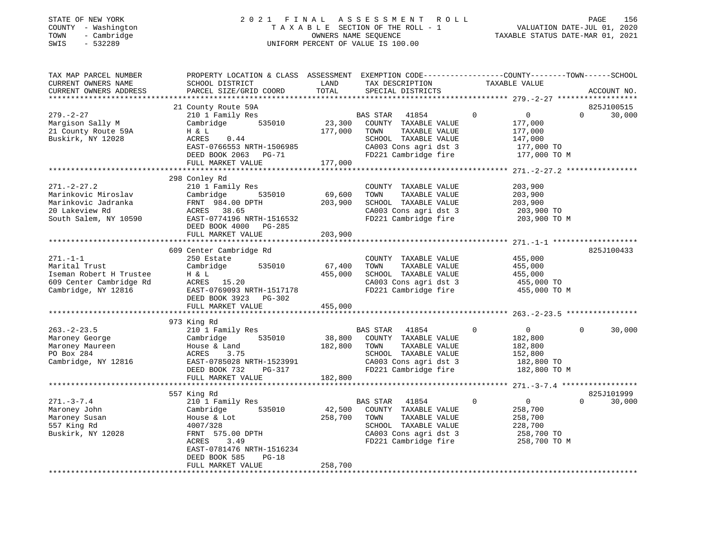#### STATE OF NEW YORK 2 0 2 1 F I N A L A S S E S S M E N T R O L L PAGE 156 COUNTY - Washington T A X A B L E SECTION OF THE ROLL - 1 VALUATION DATE-JUL 01, 2020 TOWN - Cambridge OWNERS NAME SEQUENCE TAXABLE STATUS DATE-MAR 01, 2021 SWIS - 532289 UNIFORM PERCENT OF VALUE IS 100.00

| TAX MAP PARCEL NUMBER<br>CURRENT OWNERS NAME<br>CURRENT OWNERS ADDRESS | PROPERTY LOCATION & CLASS ASSESSMENT EXEMPTION CODE---------------COUNTY-------TOWN------SCHOOL<br>SCHOOL DISTRICT<br>PARCEL SIZE/GRID COORD | LAND<br>TOTAL | TAX DESCRIPTION<br>SPECIAL DISTRICTS          | TAXABLE VALUE                    | ACCOUNT NO.           |
|------------------------------------------------------------------------|----------------------------------------------------------------------------------------------------------------------------------------------|---------------|-----------------------------------------------|----------------------------------|-----------------------|
|                                                                        |                                                                                                                                              |               |                                               |                                  |                       |
|                                                                        | 21 County Route 59A                                                                                                                          |               |                                               |                                  | 825J100515            |
| $279. - 2 - 27$                                                        | 210 1 Family Res                                                                                                                             |               | BAS STAR<br>41854                             | $\overline{0}$<br>$\overline{0}$ | 30,000<br>$\Omega$    |
| Margison Sally M                                                       | 535010<br>Cambridge                                                                                                                          | 23,300        | COUNTY TAXABLE VALUE                          | 177,000                          |                       |
| 21 County Route 59A                                                    | H & L                                                                                                                                        | 177,000       | TOWN<br>TAXABLE VALUE                         | 177,000                          |                       |
| Buskirk, NY 12028                                                      | ACRES<br>0.44                                                                                                                                |               | SCHOOL TAXABLE VALUE                          | 147,000                          |                       |
|                                                                        | EAST-0766553 NRTH-1506985                                                                                                                    |               | CA003 Cons agri dst 3                         | 177,000 TO                       |                       |
|                                                                        | DEED BOOK 2063 PG-71                                                                                                                         |               | FD221 Cambridge fire                          | 177,000 TO M                     |                       |
|                                                                        | FULL MARKET VALUE                                                                                                                            | 177,000       |                                               |                                  |                       |
|                                                                        | 298 Conley Rd                                                                                                                                |               |                                               |                                  |                       |
| $271. - 2 - 27.2$                                                      | 210 1 Family Res                                                                                                                             |               | COUNTY TAXABLE VALUE                          | 203,900                          |                       |
| Marinkovic Miroslav                                                    | 535010<br>Cambridge                                                                                                                          | 69,600        | TAXABLE VALUE<br>TOWN                         | 203,900                          |                       |
| Marinkovic Jadranka                                                    | FRNT 984.00 DPTH                                                                                                                             | 203,900       | SCHOOL TAXABLE VALUE                          | 203,900                          |                       |
| 20 Lakeview Rd                                                         | ACRES 38.65                                                                                                                                  |               | CA003 Cons agri dst 3                         | 203,900 TO                       |                       |
| South Salem, NY 10590                                                  | EAST-0774196 NRTH-1516532                                                                                                                    |               | FD221 Cambridge fire                          | 203,900 TO M                     |                       |
|                                                                        | DEED BOOK 4000 PG-285                                                                                                                        |               |                                               |                                  |                       |
|                                                                        | FULL MARKET VALUE                                                                                                                            | 203,900       |                                               |                                  |                       |
|                                                                        |                                                                                                                                              |               |                                               |                                  |                       |
|                                                                        | 609 Center Cambridge Rd                                                                                                                      |               |                                               |                                  | 825J100433            |
| $271. - 1 - 1$                                                         | 250 Estate                                                                                                                                   |               | COUNTY TAXABLE VALUE                          | 455,000                          |                       |
| Marital Trust                                                          | Cambridge<br>535010                                                                                                                          | 67,400        | TAXABLE VALUE<br>TOWN                         | 455,000                          |                       |
| Iseman Robert H Trustee                                                | H & L                                                                                                                                        | 455,000       | SCHOOL TAXABLE VALUE                          | 455,000                          |                       |
| 609 Center Cambridge Rd                                                | ACRES 15.20                                                                                                                                  |               | CA003 Cons agri dst 3                         | 455,000 TO                       |                       |
| Cambridge, NY 12816                                                    | EAST-0769093 NRTH-1517178                                                                                                                    |               | FD221 Cambridge fire                          | 455,000 TO M                     |                       |
|                                                                        | DEED BOOK 3923<br>PG-302                                                                                                                     |               |                                               |                                  |                       |
|                                                                        | FULL MARKET VALUE                                                                                                                            | 455,000       |                                               |                                  |                       |
|                                                                        | 973 King Rd                                                                                                                                  |               |                                               |                                  |                       |
| $263. - 2 - 23.5$                                                      | 210 1 Family Res                                                                                                                             |               | BAS STAR<br>41854                             | $\overline{0}$<br>$\circ$        | $\mathbf 0$<br>30,000 |
| Maroney George                                                         | Cambridge 535010                                                                                                                             | 38,800        | COUNTY TAXABLE VALUE                          | 182,800                          |                       |
| Maroney Maureen                                                        | House & Land                                                                                                                                 | 182,800       | TAXABLE VALUE<br>TOWN                         | 182,800                          |                       |
| PO Box 284                                                             | 3.75<br>ACRES                                                                                                                                |               | SCHOOL TAXABLE VALUE                          | 152,800                          |                       |
| Cambridge, NY 12816                                                    | EAST-0785028 NRTH-1523991                                                                                                                    |               |                                               | 182,800 TO                       |                       |
|                                                                        | DEED BOOK 732<br>PG-317                                                                                                                      |               | CA003 Cons agri dst 3<br>FD221 Cambridge fire | 182,800 TO M                     |                       |
|                                                                        | FULL MARKET VALUE                                                                                                                            | 182,800       |                                               |                                  |                       |
|                                                                        |                                                                                                                                              |               |                                               |                                  |                       |
|                                                                        | 557 King Rd                                                                                                                                  |               |                                               |                                  | 825J101999            |
| $271. - 3 - 7.4$                                                       | 210 1 Family Res                                                                                                                             |               | BAS STAR<br>41854                             | $\overline{0}$<br>$\mathbf 0$    | $\Omega$<br>30,000    |
| Maroney John                                                           | Cambridge<br>535010                                                                                                                          | 42,500        | COUNTY TAXABLE VALUE                          | 258,700                          |                       |
| Maroney Susan                                                          | House & Lot                                                                                                                                  | 258,700       | TAXABLE VALUE<br>TOWN                         | 258,700                          |                       |
| 557 King Rd                                                            | 4007/328                                                                                                                                     |               | SCHOOL TAXABLE VALUE                          | 228,700                          |                       |
| Buskirk, NY 12028                                                      | FRNT 575.00 DPTH                                                                                                                             |               | CA003 Cons agri dst 3                         | 258,700 TO                       |                       |
|                                                                        | 3.49<br>ACRES                                                                                                                                |               | FD221 Cambridge fire                          | 258,700 TO M                     |                       |
|                                                                        | EAST-0781476 NRTH-1516234                                                                                                                    |               |                                               |                                  |                       |
|                                                                        | DEED BOOK 585<br>$PG-18$                                                                                                                     | 258,700       |                                               |                                  |                       |
|                                                                        | FULL MARKET VALUE                                                                                                                            |               |                                               |                                  |                       |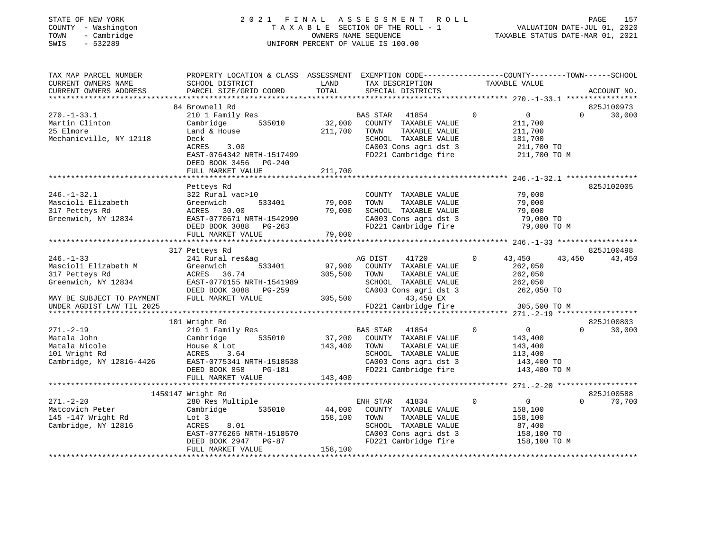#### STATE OF NEW YORK 2 0 2 1 F I N A L A S S E S S M E N T R O L L PAGE 157 COUNTY - Washington T A X A B L E SECTION OF THE ROLL - 1 VALUATION DATE-JUL 01, 2020 TOWN - Cambridge OWNERS NAME SEQUENCE TAXABLE STATUS DATE-MAR 01, 2021 SWIS - 532289 UNIFORM PERCENT OF VALUE IS 100.00

| TAX MAP PARCEL NUMBER<br>CURRENT OWNERS NAME | PROPERTY LOCATION & CLASS ASSESSMENT EXEMPTION CODE---------------COUNTY-------TOWN------SCHOOL<br>SCHOOL DISTRICT | LAND    | TAX DESCRIPTION       | TAXABLE VALUE                 |                                  |
|----------------------------------------------|--------------------------------------------------------------------------------------------------------------------|---------|-----------------------|-------------------------------|----------------------------------|
| CURRENT OWNERS ADDRESS                       | PARCEL SIZE/GRID COORD                                                                                             | TOTAL   | SPECIAL DISTRICTS     |                               | ACCOUNT NO.                      |
|                                              |                                                                                                                    |         |                       |                               |                                  |
|                                              | 84 Brownell Rd                                                                                                     |         |                       |                               | 825J100973                       |
| $270. - 1 - 33.1$                            | 210 1 Family Res                                                                                                   |         | BAS STAR<br>41854     | $\mathbf 0$<br>$\overline{0}$ | 30,000<br>$\Omega$               |
| Martin Clinton                               | 535010<br>Cambridge                                                                                                | 32,000  | COUNTY TAXABLE VALUE  | 211,700                       |                                  |
| 25 Elmore                                    | Land & House                                                                                                       | 211,700 | TOWN<br>TAXABLE VALUE | 211,700                       |                                  |
| Mechanicville, NY 12118                      | Deck                                                                                                               |         | SCHOOL TAXABLE VALUE  | 181,700                       |                                  |
|                                              | ACRES<br>3.00                                                                                                      |         | CA003 Cons agri dst 3 | 211,700 TO                    |                                  |
|                                              | EAST-0764342 NRTH-1517499<br>DEED BOOK 3456 PG-240                                                                 |         | FD221 Cambridge fire  | 211,700 TO M                  |                                  |
|                                              | FULL MARKET VALUE                                                                                                  | 211,700 |                       |                               |                                  |
|                                              |                                                                                                                    |         |                       |                               |                                  |
|                                              | Petteys Rd                                                                                                         |         |                       |                               | 825J102005                       |
| $246. - 1 - 32.1$                            | 322 Rural vac>10                                                                                                   |         | COUNTY TAXABLE VALUE  | 79,000                        |                                  |
| Mascioli Elizabeth                           | 533401<br>Greenwich                                                                                                | 79,000  | TOWN<br>TAXABLE VALUE | 79,000                        |                                  |
| 317 Petteys Rd                               | ACRES 30.00                                                                                                        | 79,000  | SCHOOL TAXABLE VALUE  | 79,000                        |                                  |
| Greenwich, NY 12834                          | EAST-0770671 NRTH-1542990                                                                                          |         | CA003 Cons agri dst 3 | 79,000 TO                     |                                  |
|                                              | DEED BOOK 3088 PG-263                                                                                              |         | FD221 Cambridge fire  | 79,000 TO M                   |                                  |
|                                              | FULL MARKET VALUE                                                                                                  | 79,000  |                       |                               |                                  |
|                                              |                                                                                                                    |         |                       |                               |                                  |
|                                              | 317 Petteys Rd                                                                                                     |         |                       |                               | 825J100498                       |
| $246. - 1 - 33$                              | 241 Rural res&ag                                                                                                   |         | AG DIST<br>41720      | $\mathbf 0$<br>43,450         | 43,450<br>43,450                 |
| Mascioli Elizabeth M                         | 533401<br>Greenwich                                                                                                | 97,900  | COUNTY TAXABLE VALUE  | 262,050                       |                                  |
| 317 Petteys Rd                               | ACRES 36.74                                                                                                        | 305,500 | TAXABLE VALUE<br>TOWN | 262,050                       |                                  |
| Greenwich, NY 12834                          | EAST-0770155 NRTH-1541989                                                                                          |         | SCHOOL TAXABLE VALUE  | 262,050                       |                                  |
|                                              | DEED BOOK 3088 PG-259                                                                                              |         | CA003 Cons agri dst 3 | 262,050 TO                    |                                  |
| MAY BE SUBJECT TO PAYMENT                    | FULL MARKET VALUE                                                                                                  | 305,500 | 43,450 EX             |                               |                                  |
| UNDER AGDIST LAW TIL 2025                    |                                                                                                                    |         | FD221 Cambridge fire  | 305,500 TO M                  |                                  |
|                                              |                                                                                                                    |         |                       |                               | 825J100803                       |
|                                              | 101 Wright Rd                                                                                                      |         |                       | $\mathbf 0$                   | $\Omega$                         |
| $271. - 2 - 19$                              | 210 1 Family Res                                                                                                   |         | BAS STAR<br>41854     | $\overline{0}$                | 30,000                           |
| Matala John                                  | Cambridge<br>535010                                                                                                | 37,200  | COUNTY TAXABLE VALUE  | 143,400                       |                                  |
| Matala Nicole                                | House & Lot                                                                                                        | 143,400 | TAXABLE VALUE<br>TOWN | 143,400                       |                                  |
| 101 Wright Rd                                | ACRES<br>3.64                                                                                                      |         | SCHOOL TAXABLE VALUE  | 113,400                       |                                  |
| Cambridge, NY 12816-4426                     | EAST-0775341 NRTH-1518538                                                                                          |         | CA003 Cons agri dst 3 | 143,400 TO                    |                                  |
|                                              | DEED BOOK 858<br>PG-181                                                                                            |         | FD221 Cambridge fire  | 143,400 TO M                  |                                  |
|                                              | FULL MARKET VALUE                                                                                                  | 143,400 |                       |                               |                                  |
|                                              |                                                                                                                    |         |                       |                               |                                  |
| $271. - 2 - 20$                              | 145&147 Wright Rd<br>280 Res Multiple                                                                              |         |                       | $\mathbf 0$<br>$\overline{0}$ | 825J100588<br>70,700<br>$\Omega$ |
|                                              |                                                                                                                    |         | ENH STAR<br>41834     |                               |                                  |
| Matcovich Peter                              | Cambridge<br>535010                                                                                                | 44,000  | COUNTY TAXABLE VALUE  | 158,100                       |                                  |
| 145 -147 Wright Rd                           | Lot 3<br>ACRES                                                                                                     | 158,100 | TOWN<br>TAXABLE VALUE | 158,100                       |                                  |
| Cambridge, NY 12816                          | 8.01                                                                                                               |         | SCHOOL TAXABLE VALUE  | 87,400                        |                                  |
|                                              | EAST-0776265 NRTH-1518570                                                                                          |         | CA003 Cons agri dst 3 | 158,100 TO                    |                                  |
|                                              | DEED BOOK 2947<br>PG-87<br>FULL MARKET VALUE                                                                       | 158,100 | FD221 Cambridge fire  | 158,100 TO M                  |                                  |
|                                              |                                                                                                                    |         |                       |                               |                                  |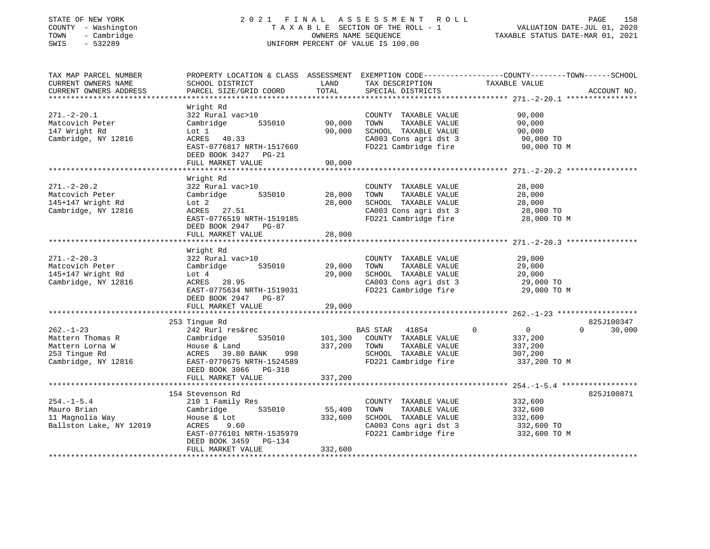| STATE OF NEW YORK<br>COUNTY - Washington<br>- Cambridge<br>TOWN<br>SWIS<br>$-532289$ |                                             |         | 2021 FINAL ASSESSMENT<br>ROLL<br>T A X A B L E SECTION OF THE ROLL - 1<br>OWNERS NAME SEQUENCE<br>UNIFORM PERCENT OF VALUE IS 100.00 | PAGE<br>VALUATION DATE-JUL 01, 2020<br>TAXABLE STATUS DATE-MAR 01, 2021                        | 158 |
|--------------------------------------------------------------------------------------|---------------------------------------------|---------|--------------------------------------------------------------------------------------------------------------------------------------|------------------------------------------------------------------------------------------------|-----|
| TAX MAP PARCEL NUMBER                                                                | SCHOOL DISTRICT                             | LAND    |                                                                                                                                      | PROPERTY LOCATION & CLASS ASSESSMENT EXEMPTION CODE---------------COUNTY-------TOWN-----SCHOOL |     |
| CURRENT OWNERS NAME<br>CURRENT OWNERS ADDRESS                                        | PARCEL SIZE/GRID COORD                      | TOTAL   | TAX DESCRIPTION<br>SPECIAL DISTRICTS                                                                                                 | TAXABLE VALUE<br>ACCOUNT NO.                                                                   |     |
|                                                                                      |                                             |         |                                                                                                                                      |                                                                                                |     |
|                                                                                      | Wright Rd                                   |         |                                                                                                                                      |                                                                                                |     |
| $271. - 2 - 20.1$                                                                    | 322 Rural vac>10                            |         | COUNTY TAXABLE VALUE                                                                                                                 | 90,000                                                                                         |     |
| Matcovich Peter                                                                      | Cambridge<br>535010                         | 90,000  | TOWN<br>TAXABLE VALUE                                                                                                                | 90,000                                                                                         |     |
| 147 Wright Rd                                                                        | Lot 1                                       | 90,000  | SCHOOL TAXABLE VALUE                                                                                                                 | 90,000                                                                                         |     |
| Cambridge, NY 12816                                                                  | ACRES<br>40.33                              |         | CA003 Cons agri dst 3                                                                                                                | 90,000 TO                                                                                      |     |
|                                                                                      | EAST-0776817 NRTH-1517669                   |         | FD221 Cambridge fire                                                                                                                 | 90,000 TO M                                                                                    |     |
|                                                                                      | DEED BOOK 3427 PG-21                        |         |                                                                                                                                      |                                                                                                |     |
|                                                                                      | FULL MARKET VALUE                           | 90,000  |                                                                                                                                      |                                                                                                |     |
|                                                                                      | Wright Rd                                   |         |                                                                                                                                      |                                                                                                |     |
| $271. - 2 - 20.2$                                                                    | 322 Rural vac>10                            |         | COUNTY TAXABLE VALUE                                                                                                                 | 28,000                                                                                         |     |
| Matcovich Peter                                                                      | Cambridge<br>535010                         | 28,000  | TAXABLE VALUE<br>TOWN                                                                                                                | 28,000                                                                                         |     |
| 145+147 Wright Rd                                                                    | Lot 2                                       | 28,000  | SCHOOL TAXABLE VALUE                                                                                                                 | 28,000                                                                                         |     |
| Cambridge, NY 12816                                                                  | ACRES<br>27.51                              |         | CA003 Cons agri dst 3                                                                                                                | 28,000 TO                                                                                      |     |
|                                                                                      | EAST-0776519 NRTH-1519185                   |         | FD221 Cambridge fire                                                                                                                 | 28,000 TO M                                                                                    |     |
|                                                                                      | DEED BOOK 2947 PG-87                        |         |                                                                                                                                      |                                                                                                |     |
|                                                                                      | FULL MARKET VALUE                           | 28,000  |                                                                                                                                      |                                                                                                |     |
|                                                                                      |                                             |         |                                                                                                                                      |                                                                                                |     |
|                                                                                      | Wright Rd                                   |         |                                                                                                                                      |                                                                                                |     |
| $271 - 2 - 20.3$                                                                     | 322 Rural vac>10                            |         | COUNTY TAXABLE VALUE                                                                                                                 | 29,000                                                                                         |     |
| Matcovich Peter                                                                      | Cambridge<br>535010                         | 29,000  | TOWN<br>TAXABLE VALUE                                                                                                                | 29,000                                                                                         |     |
| 145+147 Wright Rd                                                                    | Lot $4$                                     | 29,000  | SCHOOL TAXABLE VALUE                                                                                                                 | 29,000                                                                                         |     |
| Cambridge, NY 12816                                                                  | ACRES<br>28.95<br>EAST-0775634 NRTH-1519031 |         | CA003 Cons agri dst 3<br>FD221 Cambridge fire                                                                                        | 29,000 TO                                                                                      |     |
|                                                                                      | DEED BOOK 2947 PG-87                        |         |                                                                                                                                      | 29,000 TO M                                                                                    |     |
|                                                                                      | FULL MARKET VALUE                           | 29,000  |                                                                                                                                      |                                                                                                |     |
|                                                                                      |                                             |         |                                                                                                                                      |                                                                                                |     |
|                                                                                      | 253 Tingue Rd                               |         |                                                                                                                                      | 825J100347                                                                                     |     |
| $262. - 1 - 23$                                                                      | 242 Rurl res&rec                            |         | BAS STAR<br>41854                                                                                                                    | $\mathbf 0$<br>$\overline{0}$<br>$\Omega$<br>30,000                                            |     |
| Mattern Thomas R                                                                     | Cambridge<br>535010                         | 101,300 | COUNTY TAXABLE VALUE                                                                                                                 | 337,200                                                                                        |     |
| Mattern Lorna W                                                                      | House & Land                                | 337,200 | TAXABLE VALUE<br>TOWN                                                                                                                | 337,200                                                                                        |     |
| 253 Tingue Rd                                                                        | ACRES 39.80 BANK<br>998                     |         | SCHOOL TAXABLE VALUE                                                                                                                 | 307,200                                                                                        |     |
| Cambridge, NY 12816                                                                  | EAST-0770675 NRTH-1524589                   |         | FD221 Cambridge fire                                                                                                                 | 337,200 TO M                                                                                   |     |
|                                                                                      | DEED BOOK 3066 PG-318                       |         |                                                                                                                                      |                                                                                                |     |
|                                                                                      | FULL MARKET VALUE                           | 337,200 |                                                                                                                                      |                                                                                                |     |
|                                                                                      |                                             |         |                                                                                                                                      |                                                                                                |     |
|                                                                                      | 154 Stevenson Rd                            |         |                                                                                                                                      | 825J100871                                                                                     |     |
| $254. -1 - 5.4$                                                                      | 210 1 Family Res                            |         | COUNTY TAXABLE VALUE                                                                                                                 | 332,600                                                                                        |     |
| Mauro Brian                                                                          | Cambridge<br>535010                         | 55,400  | TAXABLE VALUE<br>TOWN                                                                                                                | 332,600                                                                                        |     |
| 11 Magnolia Way                                                                      | House & Lot<br>ACRES<br>9.60                | 332,600 | SCHOOL TAXABLE VALUE                                                                                                                 | 332,600                                                                                        |     |
| Ballston Lake, NY 12019                                                              | EAST-0776101 NRTH-1535979                   |         | CA003 Cons agri dst 3<br>FD221 Cambridge fire                                                                                        | 332,600 TO<br>332,600 TO M                                                                     |     |
|                                                                                      | DEED BOOK 3459 PG-134                       |         |                                                                                                                                      |                                                                                                |     |

\*\*\*\*\*\*\*\*\*\*\*\*\*\*\*\*\*\*\*\*\*\*\*\*\*\*\*\*\*\*\*\*\*\*\*\*\*\*\*\*\*\*\*\*\*\*\*\*\*\*\*\*\*\*\*\*\*\*\*\*\*\*\*\*\*\*\*\*\*\*\*\*\*\*\*\*\*\*\*\*\*\*\*\*\*\*\*\*\*\*\*\*\*\*\*\*\*\*\*\*\*\*\*\*\*\*\*\*\*\*\*\*\*\*\*\*\*\*\*\*\*\*\*\*\*\*\*\*\*\*\*\*

FULL MARKET VALUE 332,600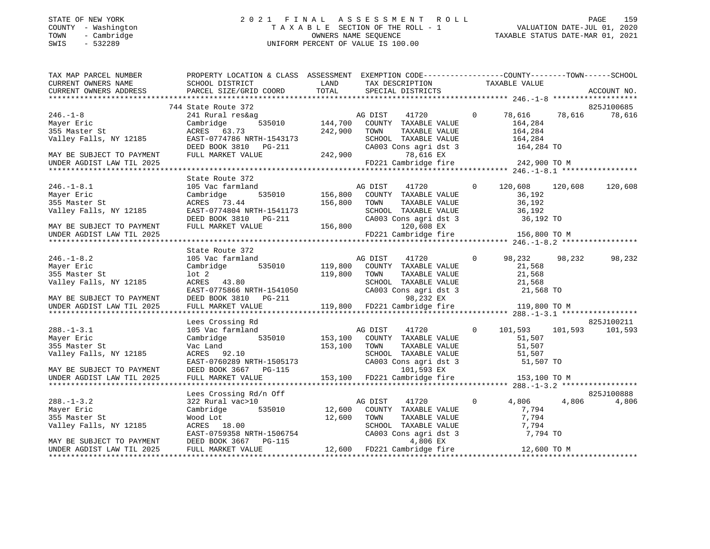## STATE OF NEW YORK 2 0 2 1 F I N A L A S S E S S M E N T R O L L PAGE 159COUNTY - Washington COUNTY - Washington COUNTY - Washington COUNTY - Washington COUNTY - Washington Cambridge<br>
TOWN - Cambridge Cambridge COUNTY - Cambridge COUNTY - Cambridge COUNTY - Cambridge COUNTY - Cambridge COUNTY<br> SWIS - 532289 UNIFORM PERCENT OF VALUE IS 100.00

TAXABLE STATUS DATE-MAR 01, 2021

| TAX MAP PARCEL NUMBER                                                                                              | PROPERTY LOCATION & CLASS ASSESSMENT EXEMPTION CODE----------------COUNTY-------TOWN------SCHOOL                                                                                                                                                                                                                                                                                   |              |         |                                                                                             |                  |         |            |
|--------------------------------------------------------------------------------------------------------------------|------------------------------------------------------------------------------------------------------------------------------------------------------------------------------------------------------------------------------------------------------------------------------------------------------------------------------------------------------------------------------------|--------------|---------|---------------------------------------------------------------------------------------------|------------------|---------|------------|
|                                                                                                                    |                                                                                                                                                                                                                                                                                                                                                                                    | LAND         |         | TAX DESCRIPTION TAXABLE VALUE                                                               |                  |         |            |
| CURRENT OWNERS NAME                 SCHOOL DISTRICT<br>CURRENT OWNERS ADDRESS               PARCEL SIZE/GRID COORD |                                                                                                                                                                                                                                                                                                                                                                                    |              |         |                                                                                             |                  |         |            |
|                                                                                                                    |                                                                                                                                                                                                                                                                                                                                                                                    |              |         |                                                                                             |                  |         |            |
|                                                                                                                    |                                                                                                                                                                                                                                                                                                                                                                                    |              |         |                                                                                             |                  |         | 825J100685 |
|                                                                                                                    |                                                                                                                                                                                                                                                                                                                                                                                    |              |         | 41720 0                                                                                     | 78,616 78,616    |         | 78,616     |
|                                                                                                                    |                                                                                                                                                                                                                                                                                                                                                                                    |              |         |                                                                                             | 164,284          |         |            |
|                                                                                                                    |                                                                                                                                                                                                                                                                                                                                                                                    |              |         | TAXABLE VALUE                                                                               | 164,284          |         |            |
|                                                                                                                    |                                                                                                                                                                                                                                                                                                                                                                                    |              |         | SCHOOL TAXABLE VALUE                                                                        | 164,284          |         |            |
|                                                                                                                    |                                                                                                                                                                                                                                                                                                                                                                                    |              |         | CA003 Cons agri dst 3 164,284 TO                                                            |                  |         |            |
|                                                                                                                    | 246.-1-8<br>Mayer Eric 241 Rural res&ag AG DIST<br>Mayer Eric Cambridge 535010 144,700 COUNTY<br>355 Master St ACRES 63.73 242,900 TOWN<br>Valley Falls, NY 12185 EAST-0774786 NRTH-1543173 SCHOOL<br>DEED BOOK 3810 PG-211 CA003 C<br>NAY                                                                                                                                         |              |         | 78,616 EX                                                                                   |                  |         |            |
|                                                                                                                    |                                                                                                                                                                                                                                                                                                                                                                                    |              |         | FD221 Cambridge fire 242,900 TO M                                                           |                  |         |            |
|                                                                                                                    |                                                                                                                                                                                                                                                                                                                                                                                    |              |         |                                                                                             |                  |         |            |
|                                                                                                                    |                                                                                                                                                                                                                                                                                                                                                                                    |              |         |                                                                                             |                  |         |            |
|                                                                                                                    | State Route 372<br>2372<br>cmland 535010 156,800 COUNTY TAXABLE VALUE<br>535010 156,800 COUNTY TAXABLE VALUE<br>156.800 TOWN TAXABLE VALUE<br>246.-1-8.1 105 Vac farmland and the DIST 41720<br>Mayer Eric Cambridge 535010 156,800 COUNTY TAXABLE VALUE<br>355 Master St ACRES 73.44 156,800 TOWN TAXABLE VALUE<br>Valley Falls, NY 12185 EAST-0774804 NRTH-1541173 SCHOOL TAXABL |              |         |                                                                                             |                  |         |            |
|                                                                                                                    |                                                                                                                                                                                                                                                                                                                                                                                    |              |         |                                                                                             | 120,608          | 120,608 | 120,608    |
|                                                                                                                    |                                                                                                                                                                                                                                                                                                                                                                                    |              |         |                                                                                             | 36,192           |         |            |
|                                                                                                                    |                                                                                                                                                                                                                                                                                                                                                                                    |              |         |                                                                                             | 36,192<br>36,192 |         |            |
|                                                                                                                    |                                                                                                                                                                                                                                                                                                                                                                                    |              |         | SCHOOL TAXABLE VALUE 36,192<br>CA003 Cons agri dst 3 36,192 TO                              |                  |         |            |
|                                                                                                                    |                                                                                                                                                                                                                                                                                                                                                                                    |              |         |                                                                                             |                  |         |            |
|                                                                                                                    |                                                                                                                                                                                                                                                                                                                                                                                    |              |         |                                                                                             |                  |         |            |
|                                                                                                                    |                                                                                                                                                                                                                                                                                                                                                                                    |              |         | FD221 Cambridge fire 156,800 TO M                                                           |                  |         |            |
|                                                                                                                    |                                                                                                                                                                                                                                                                                                                                                                                    |              |         |                                                                                             |                  |         |            |
|                                                                                                                    | State Route 372                                                                                                                                                                                                                                                                                                                                                                    |              |         |                                                                                             |                  |         |            |
| $246. - 1 - 8.2$                                                                                                   |                                                                                                                                                                                                                                                                                                                                                                                    |              |         | AG DIST 41720 0 98,232                                                                      |                  | 98,232  | 98,232     |
| Mayer Eric                                                                                                         |                                                                                                                                                                                                                                                                                                                                                                                    |              |         |                                                                                             | 21,568           |         |            |
| 355 Master St                                                                                                      |                                                                                                                                                                                                                                                                                                                                                                                    | 119,800 TOWN |         |                                                                                             |                  |         |            |
| Valley Falls, NY 12185                                                                                             | lot 2<br>ACRES 43.80                                                                                                                                                                                                                                                                                                                                                               |              |         | TOWN TAXABLE VALUE 21,568<br>SCHOOL TAXABLE VALUE 21,568<br>CA003 Cons agri dst 3 21,568 TO |                  |         |            |
|                                                                                                                    |                                                                                                                                                                                                                                                                                                                                                                                    |              |         |                                                                                             |                  |         |            |
|                                                                                                                    |                                                                                                                                                                                                                                                                                                                                                                                    |              |         |                                                                                             |                  |         |            |
|                                                                                                                    | VALLEY PAILS, NI 12105<br>MAY BE SUBJECT TO PAYMENT BERST-0775866 NRTH-1541050<br>MAY BE SUBJECT TO PAYMENT DEED BOOK 3810 PG-211 98,232 EX<br>UNDER AGDIST LAW TIL 2025 FULL MARKET VALUE 119,800 FD221 Cambridge fire 119,800 TO M                                                                                                                                               |              |         |                                                                                             |                  |         |            |
|                                                                                                                    |                                                                                                                                                                                                                                                                                                                                                                                    |              |         |                                                                                             |                  |         |            |
|                                                                                                                    | Lees Crossing Rd                                                                                                                                                                                                                                                                                                                                                                   |              |         |                                                                                             |                  |         | 825J100211 |
| $288. - 1 - 3.1$                                                                                                   |                                                                                                                                                                                                                                                                                                                                                                                    |              |         | AG DIST 41720 0 101,593 101,593 101,593                                                     |                  |         |            |
|                                                                                                                    |                                                                                                                                                                                                                                                                                                                                                                                    |              |         |                                                                                             |                  |         |            |
| Mayer Eric                                                                                                         |                                                                                                                                                                                                                                                                                                                                                                                    |              |         |                                                                                             |                  |         |            |
|                                                                                                                    |                                                                                                                                                                                                                                                                                                                                                                                    |              |         |                                                                                             |                  |         |            |
|                                                                                                                    |                                                                                                                                                                                                                                                                                                                                                                                    |              |         |                                                                                             |                  |         |            |
|                                                                                                                    |                                                                                                                                                                                                                                                                                                                                                                                    |              |         |                                                                                             |                  |         |            |
|                                                                                                                    |                                                                                                                                                                                                                                                                                                                                                                                    |              |         |                                                                                             |                  |         |            |
|                                                                                                                    |                                                                                                                                                                                                                                                                                                                                                                                    |              |         |                                                                                             |                  |         |            |
|                                                                                                                    | 335 Master St. 2025<br>Valley Falls, NY 12185 (Nateled Market Mac Land 153,100 TOWN TAXABLE VALUE 51,507<br>Valley Falls, NY 12185 (EAST-0760289 NRTH-1505173 (2003 Cons agri dst 3 51,507 TO<br>MAY BE SUBJECT TO PAYMENT DEED BOOK                                                                                                                                               |              |         |                                                                                             |                  |         |            |
|                                                                                                                    | Lees Crossing Rd/n Off                                                                                                                                                                                                                                                                                                                                                             |              |         |                                                                                             |                  |         | 825J100888 |
| $288. - 1 - 3.2$                                                                                                   | 322 Rural vac>10                                                                                                                                                                                                                                                                                                                                                                   |              | AG DIST | 41720 0                                                                                     | 4,806            | 4,806   | 4,806      |
| Mayer Eric                                                                                                         | Cambridge 535010 12,600                                                                                                                                                                                                                                                                                                                                                            |              |         | COUNTY TAXABLE VALUE                                                                        | 7,794            |         |            |
| 355 Master St                                                                                                      | Wood Lot                                                                                                                                                                                                                                                                                                                                                                           |              |         |                                                                                             |                  |         |            |
|                                                                                                                    | 12,600                                                                                                                                                                                                                                                                                                                                                                             |              |         | TOWN TAXABLE VALUE 7,794<br>SCHOOL TAXABLE VALUE 7,794                                      |                  |         |            |
|                                                                                                                    |                                                                                                                                                                                                                                                                                                                                                                                    |              |         |                                                                                             |                  |         |            |
|                                                                                                                    | Valley Falls, NY 12185 (NACRES 18.00 SCHOOL TAXABLE VALUE 7,794<br>EAST-0759358 NRTH-1506754 (CA003 Cons agri dst 3 7,794 TO<br>MAY BE SUBJECT TO PAYMENT DEED BOOK 3667 PG-115 4,806 EX<br>UNDER AGDIST LAW TIL 2025 FULL MARKET VA                                                                                                                                               |              |         |                                                                                             |                  |         |            |
|                                                                                                                    |                                                                                                                                                                                                                                                                                                                                                                                    |              |         |                                                                                             |                  |         |            |
|                                                                                                                    |                                                                                                                                                                                                                                                                                                                                                                                    |              |         |                                                                                             |                  |         |            |
|                                                                                                                    |                                                                                                                                                                                                                                                                                                                                                                                    |              |         |                                                                                             |                  |         |            |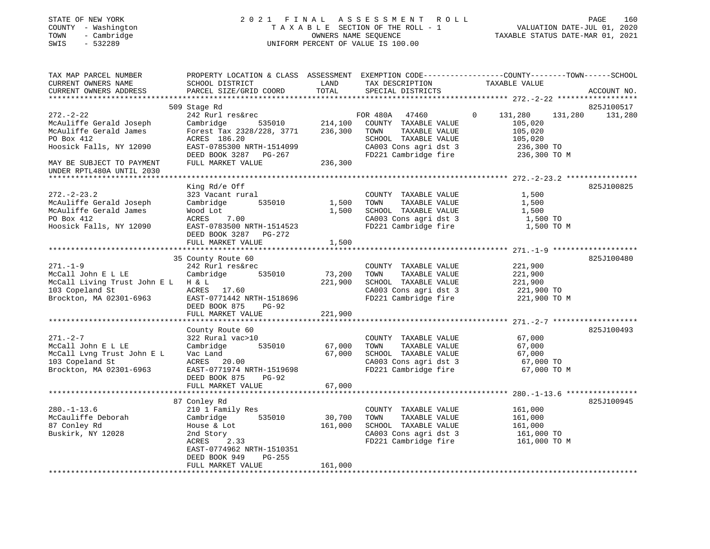#### STATE OF NEW YORK 2 0 2 1 F I N A L A S S E S S M E N T R O L L PAGE 160 COUNTY - Washington T A X A B L E SECTION OF THE ROLL - 1 VALUATION DATE-JUL 01, 2020 TOWN - Cambridge OWNERS NAME SEQUENCE TAXABLE STATUS DATE-MAR 01, 2021 SWIS - 532289 UNIFORM PERCENT OF VALUE IS 100.00UNIFORM PERCENT OF VALUE IS 100.00

| TAX MAP PARCEL NUMBER<br>CURRENT OWNERS NAME                                                                                                                            | PROPERTY LOCATION & CLASS ASSESSMENT EXEMPTION CODE---------------COUNTY-------TOWN------SCHOOL<br>SCHOOL DISTRICT                                                  | LAND                          | TAX DESCRIPTION                                                                                                                             | TAXABLE VALUE                                                                                     |             |
|-------------------------------------------------------------------------------------------------------------------------------------------------------------------------|---------------------------------------------------------------------------------------------------------------------------------------------------------------------|-------------------------------|---------------------------------------------------------------------------------------------------------------------------------------------|---------------------------------------------------------------------------------------------------|-------------|
| CURRENT OWNERS ADDRESS                                                                                                                                                  | PARCEL SIZE/GRID COORD                                                                                                                                              | TOTAL                         | SPECIAL DISTRICTS                                                                                                                           |                                                                                                   | ACCOUNT NO. |
|                                                                                                                                                                         | 509 Stage Rd                                                                                                                                                        |                               |                                                                                                                                             |                                                                                                   | 825J100517  |
| $272. - 2 - 22$<br>McAuliffe Gerald Joseph<br>McAuliffe Gerald James<br>PO Box 412<br>Hoosick Falls, NY 12090<br>MAY BE SUBJECT TO PAYMENT<br>UNDER RPTL480A UNTIL 2030 | 242 Rurl res&rec<br>535010<br>Cambridge<br>Forest Tax 2328/228, 3771<br>ACRES 186.20<br>EAST-0785300 NRTH-1514099<br>DEED BOOK 3287 PG-267<br>FULL MARKET VALUE     | 214,100<br>236,300<br>236,300 | FOR 480A<br>47460<br>COUNTY TAXABLE VALUE<br>TOWN<br>TAXABLE VALUE<br>SCHOOL TAXABLE VALUE<br>CA003 Cons agri dst 3<br>FD221 Cambridge fire | $\mathbf{0}$<br>131,280<br>131,280<br>105,020<br>105,020<br>105,020<br>236,300 TO<br>236,300 TO M | 131,280     |
|                                                                                                                                                                         |                                                                                                                                                                     |                               |                                                                                                                                             |                                                                                                   |             |
| $272. - 2 - 23.2$<br>McAuliffe Gerald Joseph<br>McAuliffe Gerald James<br>PO Box 412<br>Hoosick Falls, NY 12090                                                         | King Rd/e Off<br>323 Vacant rural<br>535010<br>Cambridge<br>Wood Lot<br>ACRES<br>7.00<br>EAST-0783500 NRTH-1514523<br>DEED BOOK 3287<br>PG-272<br>FULL MARKET VALUE | 1,500<br>1,500<br>1,500       | COUNTY TAXABLE VALUE<br>TOWN<br>TAXABLE VALUE<br>SCHOOL TAXABLE VALUE<br>CA003 Cons agri dst 3<br>FD221 Cambridge fire                      | 1,500<br>1,500<br>1,500<br>1,500 TO<br>1,500 TO M                                                 | 825J100825  |
|                                                                                                                                                                         |                                                                                                                                                                     |                               |                                                                                                                                             |                                                                                                   |             |
| $271. - 1 - 9$<br>McCall John E L LE<br>McCall Living Trust John E L H & L<br>103 Copeland St<br>Brockton, MA 02301-6963                                                | 35 County Route 60<br>242 Rurl res&rec<br>Cambridge<br>535010<br>ACRES 17.60<br>EAST-0771442 NRTH-1518696<br>DEED BOOK 875<br>PG-92<br>FULL MARKET VALUE            | 73,200<br>221,900<br>221,900  | COUNTY TAXABLE VALUE<br>TOWN<br>TAXABLE VALUE<br>SCHOOL TAXABLE VALUE<br>CA003 Cons agri dst 3<br>FD221 Cambridge fire                      | 221,900<br>221,900<br>221,900<br>221,900 TO<br>221,900 TO M                                       | 825J100480  |
|                                                                                                                                                                         |                                                                                                                                                                     |                               |                                                                                                                                             |                                                                                                   |             |
| $271. - 2 - 7$<br>McCall John E L LE<br>McCall Lvng Trust John E L<br>103 Copeland St<br>Brockton, MA 02301-6963                                                        | County Route 60<br>322 Rural vac>10<br>535010<br>Cambridge<br>Vac Land<br>ACRES 20.00<br>EAST-0771974 NRTH-1519698<br>DEED BOOK 875<br>$PG-92$                      | 67,000<br>67,000              | COUNTY TAXABLE VALUE<br>TAXABLE VALUE<br>TOWN<br>SCHOOL TAXABLE VALUE<br>CA003 Cons agri dst 3<br>FD221 Cambridge fire                      | 67,000<br>67,000<br>67,000<br>67,000 TO<br>67,000 TO M                                            | 825J100493  |
|                                                                                                                                                                         | FULL MARKET VALUE                                                                                                                                                   | 67,000                        |                                                                                                                                             |                                                                                                   |             |
| $280. - 1 - 13.6$<br>McCauliffe Deborah<br>87 Conley Rd<br>Buskirk, NY 12028                                                                                            | 87 Conley Rd<br>210 1 Family Res<br>535010<br>Cambridge<br>House & Lot<br>2nd Story<br>2.33<br>ACRES<br>EAST-0774962 NRTH-1510351<br>DEED BOOK 949<br>$PG-255$      | 30,700<br>161,000             | COUNTY TAXABLE VALUE<br>TOWN<br>TAXABLE VALUE<br>SCHOOL TAXABLE VALUE<br>CA003 Cons agri dst 3<br>FD221 Cambridge fire                      | 161,000<br>161,000<br>161,000<br>161,000 TO<br>161,000 TO M                                       | 825J100945  |
|                                                                                                                                                                         | FULL MARKET VALUE                                                                                                                                                   | 161,000                       |                                                                                                                                             |                                                                                                   |             |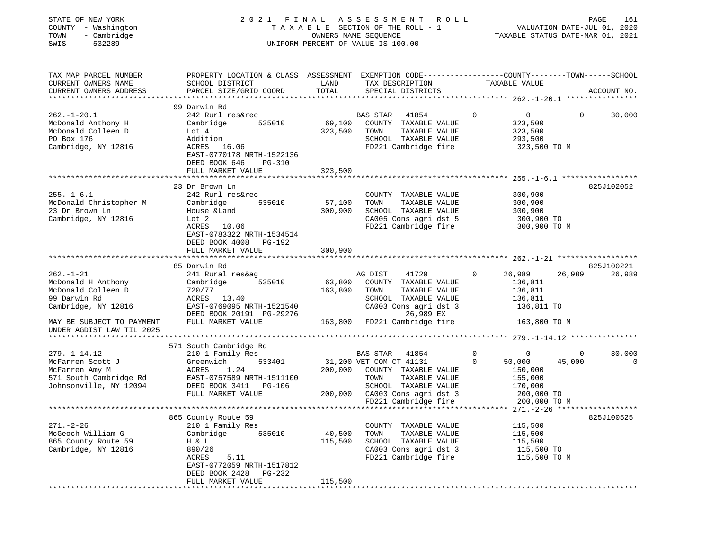| STATE OF NEW YORK<br>COUNTY - Washington<br>- Cambridge<br>TOWN<br>$-532289$<br>SWIS                                              |                                                                                                                                              |               | 2021 FINAL ASSESSMENT ROLL<br>T A X A B L E SECTION OF THE ROLL - 1<br>OWNERS NAME SEQUENCE<br>UNIFORM PERCENT OF VALUE IS 100.00 |             | VALUATION DATE-JUL 01, 2020<br>TAXABLE STATUS DATE-MAR 01, 2021 | PAGE<br>161            |
|-----------------------------------------------------------------------------------------------------------------------------------|----------------------------------------------------------------------------------------------------------------------------------------------|---------------|-----------------------------------------------------------------------------------------------------------------------------------|-------------|-----------------------------------------------------------------|------------------------|
| TAX MAP PARCEL NUMBER<br>CURRENT OWNERS NAME<br>CURRENT OWNERS ADDRESS                                                            | PROPERTY LOCATION & CLASS ASSESSMENT EXEMPTION CODE---------------COUNTY-------TOWN------SCHOOL<br>SCHOOL DISTRICT<br>PARCEL SIZE/GRID COORD | LAND<br>TOTAL | TAX DESCRIPTION TAXABLE VALUE<br>SPECIAL DISTRICTS                                                                                |             |                                                                 | ACCOUNT NO.            |
|                                                                                                                                   | 99 Darwin Rd                                                                                                                                 |               |                                                                                                                                   |             |                                                                 |                        |
| $262. - 1 - 20.1$                                                                                                                 | 242 Rurl res&rec                                                                                                                             |               | BAS STAR<br>41854                                                                                                                 | $\circ$     | $\overline{0}$                                                  | $\mathbf{0}$<br>30,000 |
| Aba.-1 Av.-<br>McDonald Anthony H<br>Included D                                                                                   | Cambridge 535010                                                                                                                             |               | 69,100 COUNTY TAXABLE VALUE                                                                                                       |             | 323,500                                                         |                        |
|                                                                                                                                   | Lot 4                                                                                                                                        | 323,500 TOWN  | TAXABLE VALUE                                                                                                                     |             | 323,500                                                         |                        |
| PO Box 176                                                                                                                        | Addition                                                                                                                                     |               | SCHOOL TAXABLE VALUE                                                                                                              |             | 293,500                                                         |                        |
| Cambridge, NY 12816                                                                                                               | ACRES 16.06                                                                                                                                  |               | FD221 Cambridge fire                                                                                                              |             | 323,500 TO M                                                    |                        |
|                                                                                                                                   | EAST-0770178 NRTH-1522136                                                                                                                    |               |                                                                                                                                   |             |                                                                 |                        |
|                                                                                                                                   | DEED BOOK 646 PG-310                                                                                                                         |               |                                                                                                                                   |             |                                                                 |                        |
|                                                                                                                                   | FULL MARKET VALUE                                                                                                                            | 323,500       |                                                                                                                                   |             |                                                                 |                        |
|                                                                                                                                   |                                                                                                                                              |               |                                                                                                                                   |             |                                                                 |                        |
|                                                                                                                                   | 23 Dr Brown Ln                                                                                                                               |               |                                                                                                                                   |             |                                                                 | 825J102052             |
| $255. - 1 - 6.1$                                                                                                                  | 242 Rurl res&rec                                                                                                                             |               | COUNTY TAXABLE VALUE                                                                                                              |             | 300,900                                                         |                        |
| McDonald Christopher M                                                                                                            | Cambridge 535010                                                                                                                             | 57,100        | TAXABLE VALUE<br>TOWN                                                                                                             |             | 300,900<br>300,900                                              |                        |
| 23 Dr Brown Ln                                                                                                                    | House &Land                                                                                                                                  | 300,900       | SCHOOL TAXABLE VALUE                                                                                                              |             | 300,900                                                         |                        |
| Cambridge, NY 12816                                                                                                               | Lot 2                                                                                                                                        |               | CA005 Cons agri dst 5<br>FD221 Cambridge fire                                                                                     |             | 300,900 TO<br>300,900 TO M                                      |                        |
|                                                                                                                                   | ACRES 10.06<br>EAST-0783322 NRTH-1534514<br>DEED BOOK 4008 PG-192                                                                            |               |                                                                                                                                   |             |                                                                 |                        |
|                                                                                                                                   | FULL MARKET VALUE                                                                                                                            | 300,900       |                                                                                                                                   |             |                                                                 |                        |
|                                                                                                                                   |                                                                                                                                              |               |                                                                                                                                   |             |                                                                 |                        |
|                                                                                                                                   | 85 Darwin Rd                                                                                                                                 |               |                                                                                                                                   |             |                                                                 | 825J100221             |
| $262. - 1 - 21$                                                                                                                   | 241 Rural res&ag                                                                                                                             |               | AG DIST<br>41720                                                                                                                  | $\circ$     | 26,989                                                          | 26,989<br>26,989       |
| McDonald H Anthony                                                                                                                | 535010<br>Cambridge                                                                                                                          | 63,800        | COUNTY TAXABLE VALUE                                                                                                              |             | 136,811                                                         |                        |
| McDonald Colleen D                                                                                                                | 720/77                                                                                                                                       | 163,800 TOWN  | TAXABLE VALUE                                                                                                                     |             | 136,811                                                         |                        |
| 99 Darwin Rd                                                                                                                      | ACRES 13.40                                                                                                                                  |               | SCHOOL TAXABLE VALUE                                                                                                              |             | 136,811                                                         |                        |
| Cambridge, NY 12816                                                                                                               | EAST-0769095 NRTH-1521540                                                                                                                    |               | CA003 Cons agri dst 3<br>CA003 C                                                                                                  |             | 136,811 TO                                                      |                        |
|                                                                                                                                   | DEED BOOK 20191 PG-29276<br>FULL MARKET VALUE 163,800 FD221 Cambridge fire                                                                   |               |                                                                                                                                   |             |                                                                 |                        |
| MAY BE SUBJECT TO PAYMENT                                                                                                         |                                                                                                                                              |               |                                                                                                                                   |             | 163,800 TO M                                                    |                        |
| UNDER AGDIST LAW TIL 2025                                                                                                         |                                                                                                                                              |               |                                                                                                                                   |             |                                                                 |                        |
|                                                                                                                                   |                                                                                                                                              |               |                                                                                                                                   |             |                                                                 |                        |
| $279. - 1 - 14.12$                                                                                                                | 571 South Cambridge Rd<br>210 1 Family Res                                                                                                   |               | BAS STAR 41854                                                                                                                    | $\Omega$    | $\bigcirc$                                                      | 30,000<br>$\Omega$     |
| McFarren Scott J                                                                                                                  | 533401<br>Greenwich                                                                                                                          |               | 31,200 VET COM CT 41131                                                                                                           | $\mathbf 0$ | 45,000<br>50,000                                                | $\circ$                |
| McFarren Amy M                                                                                                                    | 1.24<br>ACRES                                                                                                                                |               | 200,000 COUNTY TAXABLE VALUE                                                                                                      |             | 150,000                                                         |                        |
|                                                                                                                                   | EAST-0757589 NRTH-1511100                                                                                                                    |               | TAXABLE VALUE<br>TOWN                                                                                                             |             | 155,000                                                         |                        |
| 571 South Cambridge Rd<br>571 South Cambridge Rd<br>571 South Cambridge Rd<br>571 South Cambridge Rd<br>5855-0757589 NRTH-1511100 |                                                                                                                                              |               |                                                                                                                                   |             | 170,000                                                         |                        |
|                                                                                                                                   | FULL MARKET VALUE                                                                                                                            |               |                                                                                                                                   |             | 200,000 TO                                                      |                        |
|                                                                                                                                   |                                                                                                                                              |               | CHOOL TAAABLE VADOD<br>200,000 CA003 Cons agri dst 3<br>200,000 CA003 Cambridge fire<br>FD221 Cambridge fire                      |             | 200,000 TO M                                                    |                        |
|                                                                                                                                   |                                                                                                                                              |               |                                                                                                                                   |             |                                                                 |                        |
|                                                                                                                                   | 865 County Route 59                                                                                                                          |               |                                                                                                                                   |             |                                                                 | 825J100525             |
| $271. - 2 - 26$                                                                                                                   | 210 1 Family Res                                                                                                                             |               | COUNTY TAXABLE VALUE                                                                                                              |             | 115,500                                                         |                        |
| McGeoch William G                                                                                                                 | Cambridge<br>535010                                                                                                                          | 40,500        | TOWN<br>TAXABLE VALUE                                                                                                             |             | 115,500                                                         |                        |
| 865 County Route 59                                                                                                               | H & L                                                                                                                                        | 115,500       | SCHOOL TAXABLE VALUE                                                                                                              |             | 115,500                                                         |                        |
| Cambridge, NY 12816                                                                                                               | 890/26                                                                                                                                       |               | CA003 Cons agri dst 3                                                                                                             |             | 115,500 TO                                                      |                        |
|                                                                                                                                   | ACRES<br>5.11                                                                                                                                |               | FD221 Cambridge fire                                                                                                              |             | 115,500 TO M                                                    |                        |

FULL MARKET VALUE 115,500 \*\*\*\*\*\*\*\*\*\*\*\*\*\*\*\*\*\*\*\*\*\*\*\*\*\*\*\*\*\*\*\*\*\*\*\*\*\*\*\*\*\*\*\*\*\*\*\*\*\*\*\*\*\*\*\*\*\*\*\*\*\*\*\*\*\*\*\*\*\*\*\*\*\*\*\*\*\*\*\*\*\*\*\*\*\*\*\*\*\*\*\*\*\*\*\*\*\*\*\*\*\*\*\*\*\*\*\*\*\*\*\*\*\*\*\*\*\*\*\*\*\*\*\*\*\*\*\*\*\*\*\*

 EAST-0772059 NRTH-1517812 DEED BOOK 2428 PG-232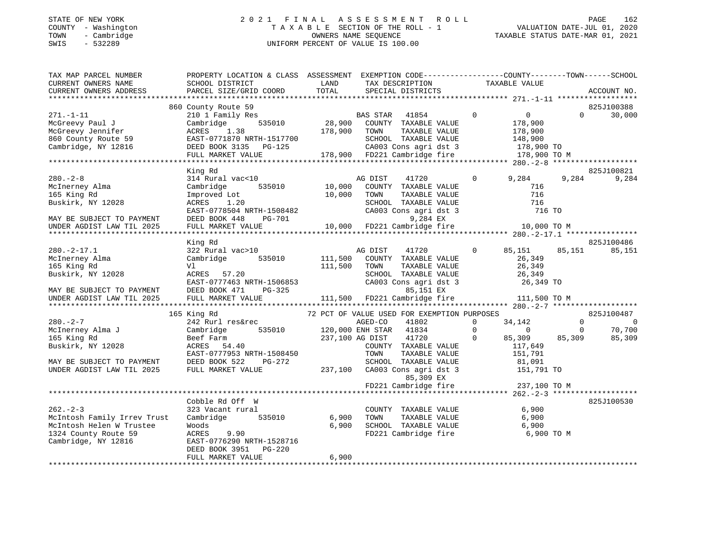#### STATE OF NEW YORK 2 0 2 1 F I N A L A S S E S S M E N T R O L L PAGE 162 COUNTY - Washington T A X A B L E SECTION OF THE ROLL - 1 VALUATION DATE-JUL 01, 2020 TOWN - Cambridge OWNERS NAME SEQUENCE TAXABLE STATUS DATE-MAR 01, 2021 SWIS - 532289 UNIFORM PERCENT OF VALUE IS 100.00

| TAX MAP PARCEL NUMBER<br>CURRENT OWNERS NAME<br>CURRENT OWNERS ADDRESS                                                                                                                                                                                                   | PROPERTY LOCATION & CLASS ASSESSMENT EXEMPTION CODE---------------COUNTY-------TOWN-----SCHOOL<br>SCHOOL DISTRICT<br>PARCEL SIZE/GRID COORD                            | LAND<br>TOTAL           | TAX DESCRIPTION TAXABLE VALUE<br>SPECIAL DISTRICTS<br>SPECIAL DISTRICTS                                                                                                                                                                                                  |                                                                                                                                                      | ACCOUNT NO.                                                                        |
|--------------------------------------------------------------------------------------------------------------------------------------------------------------------------------------------------------------------------------------------------------------------------|------------------------------------------------------------------------------------------------------------------------------------------------------------------------|-------------------------|--------------------------------------------------------------------------------------------------------------------------------------------------------------------------------------------------------------------------------------------------------------------------|------------------------------------------------------------------------------------------------------------------------------------------------------|------------------------------------------------------------------------------------|
| $271. - 1 - 11$<br>McGreevy Paul J<br>McGreevy Faul - McGreevy Jennifer MCRES 1.38<br>860 County Route 59 EAST-0771870 NRTH-1517700 SCHOOL TAXABLE VALUE<br>2003 Cons agri dst 3 178,900 TO M CA003 Cons agri dst 3 178,900 TO M FULL MARKET VALUE 178,900 FD221 Cambrid | 860 County Route 59<br>210 1 Family Res<br>Cambridge                                                                                                                   |                         | Example of the STAR 41854<br>18,900 COUNTY TAXABLE VALUE<br>1990 COUNTY TAXABLE VALUE<br>$\overline{0}$                                                                                                                                                                  | $\overline{0}$<br>178,900                                                                                                                            | 825J100388<br>30,000<br>$\Omega$                                                   |
|                                                                                                                                                                                                                                                                          | King Rd                                                                                                                                                                |                         |                                                                                                                                                                                                                                                                          |                                                                                                                                                      | 825J100821                                                                         |
| $280 - 2 - 8$<br>McInerney Alma<br>165 King Rd<br>Buskirk, NY 12028<br>MAY BE SUBJECT TO PAYMENT                                                                                                                                                                         | 314 Rural vac<10<br>535010 10,000<br>Cambridge<br>Improved Lot<br>ACRES<br>1.20<br>EAST-0778504 NRTH-1508482<br>DEED BOOK 448<br>PG-701                                | 10,000                  | AG DIST<br>COUNTY TAXABLE VALUE<br>TOWN<br>TAXABLE VALUE<br>SCHOOL TAXABLE VALUE<br>CA003 Cons agri dst 3<br>CA003 Cons agri dst 3<br>9,284 EX<br>10,000 FD221 Cambridge fire                                                                                            | 41720 0 9,284<br>716<br>716<br>716<br>716 TO                                                                                                         | 9,284<br>9,284                                                                     |
| UNDER AGDIST LAW TIL 2025                                                                                                                                                                                                                                                | FULL MARKET VALUE                                                                                                                                                      |                         |                                                                                                                                                                                                                                                                          | 10,000 TO M                                                                                                                                          |                                                                                    |
|                                                                                                                                                                                                                                                                          |                                                                                                                                                                        |                         |                                                                                                                                                                                                                                                                          |                                                                                                                                                      |                                                                                    |
| $280. -2 - 17.1$<br>McInerney Alma<br>165 King Rd<br>Buskirk, NY 12028<br>MAY BE SUBJECT TO PAYMENT<br>UNDER AGDIST LAW TIL 2025                                                                                                                                         | King Rd<br>322 Rural vac>10<br>Cambridge 535010<br>Vl<br>ACRES 57.20<br>EAST-0777463 NRTH-1506853<br>DEED BOOK 471<br>FULL MARKET VALUE                                | 111,500                 | AG DIST<br>41720<br>111,500 COUNTY TAXABLE VALUE<br>TAXABLE VALUE<br>TOWN<br>SCHOOL TAXABLE VALUE<br>CA003 Cons agri dst 3                                                                                                                                               | $\overline{0}$<br>85,151 85,151<br>26,349<br>26,349<br>26,349<br>26,349 TO                                                                           | 825J100486<br>85,151                                                               |
|                                                                                                                                                                                                                                                                          |                                                                                                                                                                        |                         |                                                                                                                                                                                                                                                                          |                                                                                                                                                      |                                                                                    |
| $280 - 2 - 7$<br>McInerney Alma J<br>165 King Rd<br>Buskirk, NY 12028<br>MAY BE SUBJECT TO PAYMENT<br>UNDER AGDIST LAW TIL 2025                                                                                                                                          | 165 King Rd<br>242 Rurl res&rec<br>Cambridge<br>Beef Farm<br>ACRES 54.40<br>EAST-0777953 NRTH-1508450<br>DEED BOOK 522<br>PG-272<br>FULL MARKET VALUE                  |                         | 72 PCT OF VALUE USED FOR EXEMPTION PURPOSES<br>AGED-CO<br>41802<br>535010 120,000 ENH STAR 41834<br>237,100 AG DIST 41720<br>COUNTY TAXABLE VALUE<br>TOWN<br>TAXABLE VALUE<br>SCHOOL TAXABLE VALUE<br>237,100 CA003 Cons agri dst 3<br>85,309 EX<br>FD221 Cambridge fire | $\Omega$<br>34,142<br>$\mathbf 0$<br>$\overline{0}$<br>$\overline{0}$<br>85,309 85,309<br>117,649<br>151,791<br>81,091<br>151,791 TO<br>237,100 TO M | 825J100487<br>$\Omega$<br>$\overline{\phantom{0}}$<br>70,700<br>$\Omega$<br>85,309 |
|                                                                                                                                                                                                                                                                          |                                                                                                                                                                        |                         |                                                                                                                                                                                                                                                                          |                                                                                                                                                      |                                                                                    |
| $262 - 2 - 3$<br>McIntosh Family Irrev Trust<br>McIntosh Helen W Trustee<br>1324 County Route 59<br>Cambridge, NY 12816                                                                                                                                                  | Cobble Rd Off W<br>323 Vacant rural<br>Cambridge 535010<br>Woods<br>ACRES<br>9.90<br>EAST-0776290 NRTH-1528716<br>DEED BOOK 3951<br><b>PG-220</b><br>FULL MARKET VALUE | 6,900<br>6,900<br>6,900 | COUNTY TAXABLE VALUE 6,900<br>TAXABLE VALUE<br>TOWN<br>SCHOOL TAXABLE VALUE 6,900<br>FD221 Cambridge fire                                                                                                                                                                | 6,900<br>6,900 TO M                                                                                                                                  | 825J100530                                                                         |
|                                                                                                                                                                                                                                                                          |                                                                                                                                                                        |                         |                                                                                                                                                                                                                                                                          |                                                                                                                                                      |                                                                                    |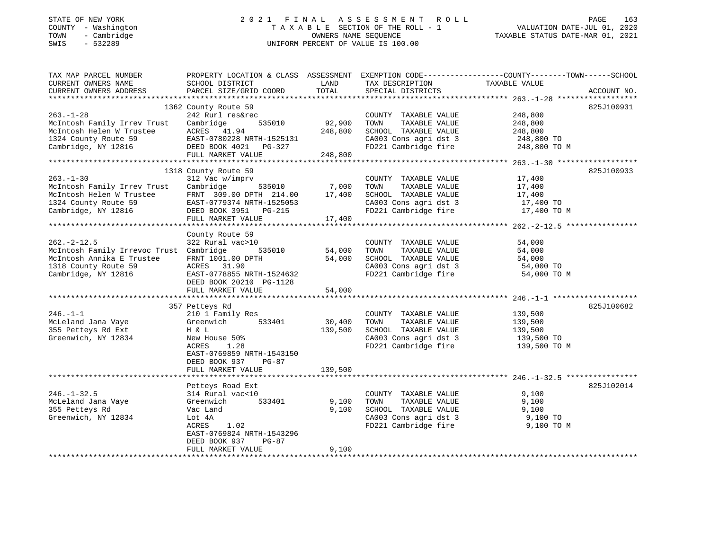### STATE OF NEW YORK 2 0 2 1 F I N A L A S S E S S M E N T R O L L PAGE 163 COUNTY - Washington T A X A B L E SECTION OF THE ROLL - 1 VALUATION DATE-JUL 01, 2020 TOWN - Cambridge OWNERS NAME SEQUENCE TAXABLE STATUS DATE-MAR 01, 2021 SWIS - 532289 UNIFORM PERCENT OF VALUE IS 100.00

| TAX MAP PARCEL NUMBER<br>CURRENT OWNERS NAME<br>CURRENT OWNERS ADDRESS                                                                  | PROPERTY LOCATION & CLASS ASSESSMENT<br>SCHOOL DISTRICT<br>PARCEL SIZE/GRID COORD                                                                                                       | LAND<br>TOTAL                           | TAX DESCRIPTION<br>SPECIAL DISTRICTS                                                                                                                   | EXEMPTION CODE-----------------COUNTY-------TOWN------SCHOOL<br>TAXABLE VALUE<br>ACCOUNT NO. |
|-----------------------------------------------------------------------------------------------------------------------------------------|-----------------------------------------------------------------------------------------------------------------------------------------------------------------------------------------|-----------------------------------------|--------------------------------------------------------------------------------------------------------------------------------------------------------|----------------------------------------------------------------------------------------------|
| $263. - 1 - 28$<br>McIntosh Family Irrev Trust<br>McIntosh Helen W Trustee<br>1324 County Route 59<br>Cambridge, NY 12816               | 1362 County Route 59<br>242 Rurl res&rec<br>535010<br>Cambridge<br>ACRES 41.94<br>EAST-0780228 NRTH-1525131<br>DEED BOOK 4021 PG-327<br>FULL MARKET VALUE                               | 92,900<br>248,800<br>248,800            | COUNTY TAXABLE VALUE<br>TAXABLE VALUE<br>TOWN<br>SCHOOL TAXABLE VALUE<br>CA003 Cons agri dst 3<br>FD221 Cambridge fire                                 | 825J100931<br>248,800<br>248,800<br>248,800<br>248,800 TO<br>248,800 TO M                    |
| $263. - 1 - 30$<br>McIntosh Family Irrev Trust<br>McIntosh Helen W Trustee<br>1324 County Route 59<br>Cambridge, NY 12816               | 1318 County Route 59<br>312 Vac w/imprv<br>Cambridge<br>535010<br>FRNT 309.00 DPTH 214.00<br>EAST-0779374 NRTH-1525053<br>DEED BOOK 3951 PG-215<br>FULL MARKET VALUE                    | 7,000<br>17,400<br>17,400               | COUNTY TAXABLE VALUE<br>TOWN<br>TAXABLE VALUE<br>SCHOOL TAXABLE VALUE<br>CA003 Cons agri dst 3<br>FD221 Cambridge fire                                 | 825J100933<br>17,400<br>17,400<br>17,400<br>17,400 TO<br>17,400 TO M                         |
| $262. -2 - 12.5$<br>McIntosh Family Irrevoc Trust Cambridge<br>McIntosh Annika E Trustee<br>1318 County Route 59<br>Cambridge, NY 12816 | County Route 59<br>322 Rural vac>10<br>535010<br>FRNT 1001.00 DPTH<br>ACRES 31.90<br>EAST-0778855 NRTH-1524632<br>DEED BOOK 20210 PG-1128<br>FULL MARKET VALUE                          | 54,000<br>54,000<br>54,000              | COUNTY TAXABLE VALUE<br>TOWN<br>TAXABLE VALUE<br>SCHOOL TAXABLE VALUE<br>CA003 Cons agri dst 3<br>FD221 Cambridge fire                                 | 54,000<br>54,000<br>54,000<br>54,000 TO<br>54,000 TO M                                       |
| $246. -1 -1$<br>McLeland Jana Vaye<br>355 Petteys Rd Ext<br>Greenwich, NY 12834                                                         | 357 Petteys Rd<br>210 1 Family Res<br>Greenwich<br>533401<br>H & L<br>New House 50%<br>ACRES<br>1.28<br>EAST-0769859 NRTH-1543150<br>DEED BOOK 937<br><b>PG-87</b><br>FULL MARKET VALUE | 30,400<br>139,500<br>139,500            | COUNTY TAXABLE VALUE<br>TOWN<br>TAXABLE VALUE<br>SCHOOL TAXABLE VALUE<br>CA003 Cons agri dst 3<br>FD221 Cambridge fire                                 | 825J100682<br>139,500<br>139,500<br>139,500<br>139,500 TO<br>139,500 TO M                    |
| $246. - 1 - 32.5$<br>McLeland Jana Vaye<br>355 Petteys Rd<br>Greenwich, NY 12834                                                        | Petteys Road Ext<br>314 Rural vac<10<br>533401<br>Greenwich<br>Vac Land<br>Lot 4A<br>ACRES<br>1.02<br>EAST-0769824 NRTH-1543296<br>DEED BOOK 937<br>$PG-87$<br>FULL MARKET VALUE        | ************<br>9,100<br>9,100<br>9,100 | COUNTY TAXABLE VALUE<br>TOWN<br>TAXABLE VALUE<br>SCHOOL TAXABLE VALUE<br>CA003 Cons agri dst 3<br>FD221 Cambridge fire<br>**************************** | 825J102014<br>9,100<br>9,100<br>9,100<br>9,100 TO<br>9,100 TO M                              |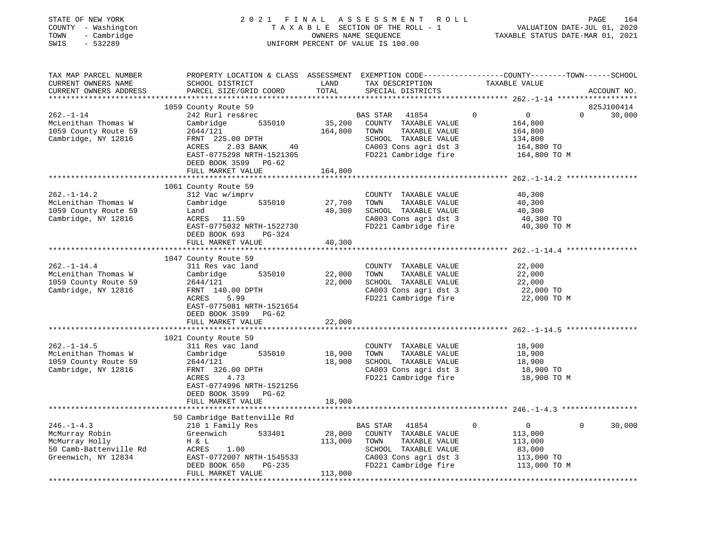| STATE OF NEW YORK<br>- Washington<br>COUNTY<br>- Cambridge<br>TOWN<br>$-532289$<br>SWIS | 2 0 2 1                                                                | FINAL<br>TAXABLE SECTION OF THE ROLL - 1<br>OWNERS NAME SEOUENCE<br>UNIFORM PERCENT OF VALUE IS 100.00 | ASSESSMENT ROLL                                          |                                                                 | 164<br>PAGE<br>VALUATION DATE-JUL 01, 2020<br>TAXABLE STATUS DATE-MAR 01, 2021 |
|-----------------------------------------------------------------------------------------|------------------------------------------------------------------------|--------------------------------------------------------------------------------------------------------|----------------------------------------------------------|-----------------------------------------------------------------|--------------------------------------------------------------------------------|
| TAX MAP PARCEL NUMBER<br>CURRENT OWNERS NAME<br>CURRENT OWNERS ADDRESS                  | PROPERTY LOCATION & CLASS<br>SCHOOL DISTRICT<br>PARCEL SIZE/GRID COORD | ASSESSMENT<br>LAND<br>TOTAL                                                                            | EXEMPTION CODE--<br>TAX DESCRIPTION<br>SPECIAL DISTRICTS | ---------------COUNTY--------TOWN-------SCHOOL<br>TAXABLE VALUE | ACCOUNT NO.<br>*****************                                               |
| $262. - 1 - 14$<br>McLenithan Thomas W                                                  | 1059 County Route 59<br>242 Rurl res&rec<br>Cambridge<br>535010        | <b>BAS STAR</b><br>35,200<br>COUNTY                                                                    | 41854<br>TAXABLE VALUE                                   | 0<br>164,800                                                    | 825J100414<br>30,000<br>0                                                      |

1059 County Route 59 2644/121 164,800 TOWN TAXABLE VALUE 164,800 Cambridge, NY 12816 FRNT 225.00 DPTH SCHOOL TAXABLE VALUE 134,800

FULL MARKET VALUE 113,000

|                                                                                                      | ACRES<br>2.03 BANK<br>40<br>EAST-0775298 NRTH-1521305<br>DEED BOOK 3599 PG-62                                                                                                |                       | CA003 Cons agri dst 3<br>FD221 Cambridge fire                                                                                                                  | 164,800 TO<br>164,800 TO M                                                               |        |
|------------------------------------------------------------------------------------------------------|------------------------------------------------------------------------------------------------------------------------------------------------------------------------------|-----------------------|----------------------------------------------------------------------------------------------------------------------------------------------------------------|------------------------------------------------------------------------------------------|--------|
|                                                                                                      | FULL MARKET VALUE                                                                                                                                                            | 164,800               |                                                                                                                                                                |                                                                                          |        |
|                                                                                                      |                                                                                                                                                                              |                       |                                                                                                                                                                |                                                                                          |        |
| $262. - 1 - 14.2$<br>McLenithan Thomas W<br>1059 County Route 59<br>Cambridge, NY 12816              | 1061 County Route 59<br>312 Vac w/imprv<br>Cambridge<br>535010<br>Land<br>ACRES 11.59<br>EAST-0775032 NRTH-1522730<br>DEED BOOK 693<br>$PG-324$                              | 27,700<br>40,300      | COUNTY TAXABLE VALUE<br>TOWN<br>TAXABLE VALUE<br>SCHOOL TAXABLE VALUE<br>CA003 Cons agri dst 3<br>FD221 Cambridge fire                                         | 40,300<br>40,300<br>40,300<br>40,300 TO<br>40,300 TO M                                   |        |
|                                                                                                      | FULL MARKET VALUE                                                                                                                                                            | 40,300                |                                                                                                                                                                |                                                                                          |        |
|                                                                                                      |                                                                                                                                                                              |                       |                                                                                                                                                                |                                                                                          |        |
| $262. - 1 - 14.4$<br>McLenithan Thomas W<br>1059 County Route 59<br>Cambridge, NY 12816              | 1047 County Route 59<br>311 Res vac land<br>535010<br>Cambridge<br>2644/121<br>FRNT 140.00 DPTH<br><b>ACRES</b><br>5.99<br>EAST-0775081 NRTH-1521654<br>DEED BOOK 3599 PG-62 | 22,000 TOWN<br>22,000 | COUNTY TAXABLE VALUE<br>TAXABLE VALUE<br>SCHOOL TAXABLE VALUE<br>CA003 Cons agri dst 3<br>FD221 Cambridge fire                                                 | 22,000<br>22,000<br>22,000<br>22,000 TO<br>22,000 TO M                                   |        |
|                                                                                                      | FULL MARKET VALUE                                                                                                                                                            | 22,000                |                                                                                                                                                                |                                                                                          |        |
|                                                                                                      |                                                                                                                                                                              |                       |                                                                                                                                                                |                                                                                          |        |
| $262. - 1 - 14.5$<br>McLenithan Thomas W<br>1059 County Route 59<br>Cambridge, NY 12816              | 1021 County Route 59<br>311 Res vac land<br>535010<br>Cambridge<br>2644/121<br>FRNT 326.00 DPTH<br>ACRES<br>4.73<br>EAST-0774996 NRTH-1521256<br>DEED BOOK 3599 PG-62        | 18,900 TOWN<br>18,900 | COUNTY TAXABLE VALUE<br>TAXABLE VALUE<br>SCHOOL TAXABLE VALUE<br>CA003 Cons agri dst 3<br>FD221 Cambridge fire                                                 | 18,900<br>18,900<br>18,900<br>18,900 TO<br>18,900 TO M                                   |        |
|                                                                                                      | FULL MARKET VALUE                                                                                                                                                            | 18,900                |                                                                                                                                                                |                                                                                          |        |
|                                                                                                      |                                                                                                                                                                              |                       |                                                                                                                                                                |                                                                                          |        |
| $246. -1 - 4.3$<br>McMurray Robin<br>McMurray Holly<br>50 Camb-Battenville Rd<br>Greenwich, NY 12834 | 50 Cambridge Battenville Rd<br>210 1 Family Res<br>Greenwich<br>533401<br>H & L<br>ACRES<br>1.00<br>EAST-0772007 NRTH-1545533<br>DEED BOOK 650<br>$PG-235$                   | 113,000               | BAS STAR 41854<br>$\mathbf 0$<br>28,000 COUNTY TAXABLE VALUE<br>TOWN<br>TAXABLE VALUE<br>SCHOOL TAXABLE VALUE<br>CA003 Cons agri dst 3<br>FD221 Cambridge fire | $\overline{0}$<br>$\Omega$<br>113,000<br>113,000<br>83,000<br>113,000 TO<br>113,000 TO M | 30,000 |

\*\*\*\*\*\*\*\*\*\*\*\*\*\*\*\*\*\*\*\*\*\*\*\*\*\*\*\*\*\*\*\*\*\*\*\*\*\*\*\*\*\*\*\*\*\*\*\*\*\*\*\*\*\*\*\*\*\*\*\*\*\*\*\*\*\*\*\*\*\*\*\*\*\*\*\*\*\*\*\*\*\*\*\*\*\*\*\*\*\*\*\*\*\*\*\*\*\*\*\*\*\*\*\*\*\*\*\*\*\*\*\*\*\*\*\*\*\*\*\*\*\*\*\*\*\*\*\*\*\*\*\*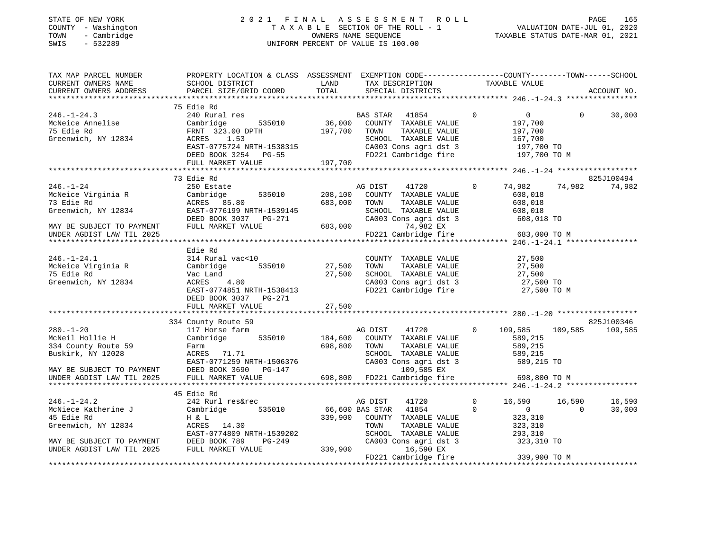# STATE OF NEW YORK 2 0 2 1 F I N A L A S S E S S M E N T R O L L PAGE 165 COUNTY - Washington T A X A B L E SECTION OF THE ROLL - 1 VALUATION DATE-JUL 01, 2020 TOWN - Cambridge OWNERS NAME SEQUENCE TAXABLE STATUS DATE-MAR 01, 2021 SWINGTON THE ROLL OF MANY COUNTY - Washington<br>
SWIS - 532289 UNIFORM PERCENT OF VALUE IS 100.00

| TAX MAP PARCEL NUMBER<br>CURRENT OWNERS NAME<br>CURRENT OWNERS ADDRESS                                                                                               | PROPERTY LOCATION & CLASS ASSESSMENT EXEMPTION CODE----------------COUNTY-------TOWN------SCHOOL<br>SCHOOL DISTRICT<br>PARCEL SIZE/GRID COORD                                            | LAND<br>TOTAL                 | TAX DESCRIPTION TAXABLE VALUE SPECIAL DISTRICTS                                                                                                                                 |                            |                                                                                         |                    | ACCOUNT NO.           |
|----------------------------------------------------------------------------------------------------------------------------------------------------------------------|------------------------------------------------------------------------------------------------------------------------------------------------------------------------------------------|-------------------------------|---------------------------------------------------------------------------------------------------------------------------------------------------------------------------------|----------------------------|-----------------------------------------------------------------------------------------|--------------------|-----------------------|
| $246. - 1 - 24.3$<br>---. - --.<br>McNeice Annelise<br>-- --- --<br>75 Edie Rd<br>Greenwich, NY 12834                                                                | 75 Edie Rd<br>240 Rural res<br>535010 36,000<br>Cambridge<br>FRNT 323.00 DPTH<br>1.53<br>ACRES<br>EAST-0775724 NRTH-1538315<br>DEED BOOK 3254 PG-55<br>FULL MARKET VALUE                 | 197,700<br>197,700            | BAS STAR 41854<br>COUNTY TAXABLE VALUE<br>TOWN<br>TAXABLE VALUE<br>SCHOOL TAXABLE VALUE<br>CA003 Cons agri dst 3<br>FD221 Cambridge fire 197,700 TO M                           | $\overline{0}$             | $\overline{0}$<br>197,700<br>197,700<br>167,700<br>197,700 TO                           | $\Omega$           | 30,000                |
| $246. - 1 - 24$<br>Ziv. -<br>McNeice Virginia R<br>72 Fdie Rd<br>Greenwich, NY 12834<br>MAY BE SUBJECT TO PAYMENT<br>UNDER AGDIST LAM TIL COSS                       | 73 Edie Rd<br>250 Estate<br>535010<br>Cambridge<br>ACRES 85.80<br>EAST-0776199 M<br>EAST-0776199 NRTH-1539145<br>DEED BOOK 3037 PG-271<br>FULL MARKET VALUE                              | 208,100<br>683,000<br>683,000 | AG DIST<br>41720<br>COUNTY TAXABLE VALUE<br>TOWN<br>TAXABLE VALUE<br>SCHOOL TAXABLE VALUE<br>CA003 Cons agri dst 3 608,018 TO<br>74,982 EX<br>FD221 Cambridge fire 683,000 TO M | $\circ$                    | 74,982<br>608,018<br>608,018<br>608,018                                                 | 74,982             | 825J100494<br>74,982  |
| $246. - 1 - 24.1$<br>McNeice Virginia R Cambridge<br>75 Edie Rd<br>Greenwich, NY 12834                                                                               | Edie Rd<br>314 Rural vac<10<br>Vac Land<br>DEED BOOK 3037 PG-271                                                                                                                         | 535010 27,500<br>27,500       | COUNTY TAXABLE VALUE<br>TOWN<br>TAXABLE VALUE<br>SCHOOL TAXABLE VALUE<br>CA003 Cons agri dst 3<br>FD221 Cambridge fire                                                          |                            | 27,500<br>27,500<br>27,500<br>27,500 TO<br>27,500 TO M                                  |                    |                       |
| $280. - 1 - 20$<br>McNeil Hollie H<br>334 County Route 59<br>Buskirk, NY 12028<br>UNDER AGDIST LAW TIL 2025                                                          | 334 County Route 59<br>117 Horse farm<br>Cambridge<br>535010<br>Farm<br>ACRES 71.71<br>EAST-0771259 NRTH-1506376<br>MAY BE SUBJECT TO PAYMENT DEED BOOK 3690 PG-147<br>FULL MARKET VALUE | 184,600<br>698,800            | AG DIST<br>41720<br>COUNTY TAXABLE VALUE<br>TOWN<br>TAXABLE VALUE<br>SCHOOL TAXABLE VALUE<br>CA003 Cons agri dst 3<br>109,585 EX<br>598,800 FD221 Cambridge fire                | $\circ$                    | 109,585<br>589,215<br>589,215<br>589,215<br>589,215 TO<br>698,800 TO M                  | 109,585            | 825J100346<br>109,585 |
| $246. - 1 - 24.2$<br>McNiece Katherine J<br>45 Edie Rd<br>Greenwich, NY 12834<br>MAY BE SUBJECT TO PAYMENT THE BOOK 789 THE SUBJECT TO PAYMENT THE BOOK 789 THE TUDE | 45 Edie Rd<br>242 Rurl res&rec<br>535010<br>Cambridge<br>H & L<br>-<br>ACRES 14.30<br>EAST-0774809 NRTH-1539202<br>PG-249                                                                | 66,600 BAS STAR<br>339,900    | AG DIST<br>41720<br>41854<br>339,900 COUNTY TAXABLE VALUE<br>TOWN<br>TAXABLE VALUE<br>SCHOOL TAXABLE VALUE<br>CA003 Cons agri dst 3<br>16,590 EX<br>FD221 Cambridge fire        | $\overline{0}$<br>$\Omega$ | 16,590<br>$\overline{0}$<br>323,310<br>323,310<br>293,310<br>323,310 TO<br>339,900 TO M | 16,590<br>$\Omega$ | 16,590<br>30,000      |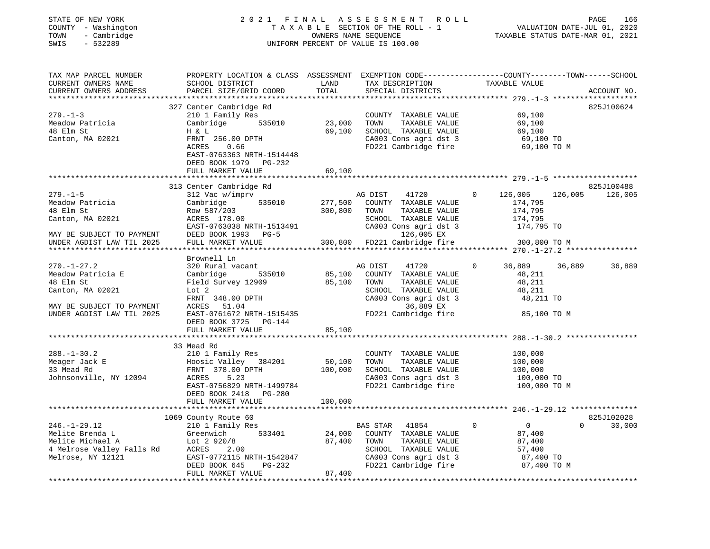| STATE OF NEW YORK |              |
|-------------------|--------------|
| COUNTY            | - Washington |
| TOWN              | - Cambridge  |
| CM T C            | ERROGO       |

#### STATE OF NEW YORK 2 0 2 1 F I N A L A S S E S S M E N T R O L L PAGE 166 COUNTY - Washington T A X A B L E SECTION OF THE ROLL - 1 VALUATION DATE-JUL 01, 2020 TOWN - Cambridge OWNERS NAME SEQUENCE TAXABLE STATUS DATE-MAR 01, 2021 SWIS - 532289 UNIFORM PERCENT OF VALUE IS 100.00UNIFORM PERCENT OF VALUE IS 100.00

| TAX MAP PARCEL NUMBER<br>CURRENT OWNERS NAME<br>CURRENT OWNERS ADDRESS                                                            | PROPERTY LOCATION & CLASS ASSESSMENT EXEMPTION CODE---------------COUNTY-------TOWN-----SCHOOL<br>SCHOOL DISTRICT<br>PARCEL SIZE/GRID COORD                                                 | LAND<br>TOTAL                | TAX DESCRIPTION                                                                                                                                                               | TAXABLE VALUE                                                                        | ACCOUNT NO.                      |
|-----------------------------------------------------------------------------------------------------------------------------------|---------------------------------------------------------------------------------------------------------------------------------------------------------------------------------------------|------------------------------|-------------------------------------------------------------------------------------------------------------------------------------------------------------------------------|--------------------------------------------------------------------------------------|----------------------------------|
|                                                                                                                                   |                                                                                                                                                                                             |                              | SPECIAL DISTRICTS                                                                                                                                                             |                                                                                      |                                  |
| $279. - 1 - 3$<br>Meadow Patricia<br>48 Elm St<br>Canton, MA 02021                                                                | 327 Center Cambridge Rd<br>210 1 Family Res<br>Cambridge<br>535010<br>H & L<br>FRNT 256.00 DPTH<br>ACRES<br>0.66<br>EAST-0763363 NRTH-1514448<br>DEED BOOK 1979 PG-232<br>FULL MARKET VALUE | 23,000<br>69,100<br>69,100   | COUNTY TAXABLE VALUE<br>TOWN<br>TAXABLE VALUE<br>SCHOOL TAXABLE VALUE<br>CA003 Cons agri dst 3<br>FD221 Cambridge fire                                                        | 69,100<br>69,100<br>69,100<br>69,100 TO<br>69,100 TO M                               | 825J100624                       |
|                                                                                                                                   |                                                                                                                                                                                             |                              |                                                                                                                                                                               |                                                                                      |                                  |
| $279. - 1 - 5$<br>Meadow Patricia<br>48 Elm St<br>Canton, MA 02021<br>MAY BE SUBJECT TO PAYMENT<br>UNDER AGDIST LAW TIL 2025      | 313 Center Cambridge Rd<br>312 Vac w/imprv<br>Cambridge 535010<br>Row 587/203<br>ACRES 178.00<br>EAST-0763038 NRTH-1513491<br>DEED BOOK 1993 PG-5<br>FULL MARKET VALUE                      | 277,500<br>300,800           | 41720<br>AG DIST<br>COUNTY TAXABLE VALUE<br>TAXABLE VALUE<br>TOWN<br>SCHOOL TAXABLE VALUE<br>CA003 Cons agri dst 3<br>126,005 EX<br>300,800 FD221 Cambridge fire 300,800 TO M | 126,005<br>$\mathbf{0}$<br>174,795<br>174,795<br>174,795<br>174,795 TO               | 825J100488<br>126,005<br>126,005 |
|                                                                                                                                   | Brownell Ln                                                                                                                                                                                 |                              |                                                                                                                                                                               |                                                                                      |                                  |
| $270. - 1 - 27.2$<br>Meadow Patricia E<br>48 Elm St<br>Canton, MA 02021<br>MAY BE SUBJECT TO PAYMENT<br>UNDER AGDIST LAW TIL 2025 | 320 Rural vacant<br>Cambridge<br>535010<br>Field Survey 12909<br>Lot <sub>2</sub><br>FRNT 348.00 DPTH<br>ACRES 51.04<br>EAST-0761672 NRTH-1515435                                           | 85,100<br>85,100             | 41720<br>AG DIST<br>COUNTY TAXABLE VALUE<br>TOWN<br>TAXABLE VALUE<br>SCHOOL TAXABLE VALUE<br>CA003 Cons agri dst 3<br>36,889 EX<br>FD221 Cambridge fire                       | 36,889<br>$\Omega$<br>48,211<br>48,211<br>48,211<br>48,211 TO<br>85,100 TO M         | 36,889<br>36,889                 |
|                                                                                                                                   | DEED BOOK 3725 PG-144                                                                                                                                                                       |                              |                                                                                                                                                                               |                                                                                      |                                  |
|                                                                                                                                   | FULL MARKET VALUE                                                                                                                                                                           | 85,100                       |                                                                                                                                                                               |                                                                                      |                                  |
| $288. - 1 - 30.2$<br>Meager Jack E<br>33 Mead Rd<br>Johnsonville, NY 12094                                                        | 33 Mead Rd<br>210 1 Family Res<br>Hoosic Valley 384201<br>FRNT 378.00 DPTH<br>ACRES<br>5.23<br>EAST-0756829 NRTH-1499784<br>DEED BOOK 2418 PG-280<br>FULL MARKET VALUE                      | 50,100<br>100,000<br>100,000 | COUNTY TAXABLE VALUE<br>TAXABLE VALUE<br>TOWN<br>SCHOOL TAXABLE VALUE<br>CA003 Cons agri dst 3<br>FD221 Cambridge fire                                                        | 100,000<br>100,000<br>100,000<br>100,000 TO<br>100,000 TO M                          |                                  |
|                                                                                                                                   |                                                                                                                                                                                             |                              |                                                                                                                                                                               |                                                                                      |                                  |
|                                                                                                                                   | 1069 County Route 60                                                                                                                                                                        |                              |                                                                                                                                                                               |                                                                                      | 825J102028                       |
| $246. - 1 - 29.12$<br>Melite Brenda L<br>Melite Michael A<br>4 Melrose Valley Falls Rd<br>Melrose, NY 12121                       | 210 1 Family Res<br>533401<br>Greenwich<br>Lot 2 920/8<br>Rd ACRES 2.00<br>EAST-0772115 NRTH-1542847<br>DEED BOOK 645<br>PG-232<br>FULL MARKET VALUE                                        | 24,000<br>87,400<br>87,400   | <b>BAS STAR</b><br>41854<br>COUNTY TAXABLE VALUE<br>TOWN<br>TAXABLE VALUE<br>SCHOOL TAXABLE VALUE<br>CA003 Cons agri dst 3<br>FD221 Cambridge fire                            | $\overline{0}$<br>$\Omega$<br>87,400<br>87,400<br>57,400<br>87,400 TO<br>87,400 TO M | $\Omega$<br>30,000               |
|                                                                                                                                   |                                                                                                                                                                                             |                              |                                                                                                                                                                               |                                                                                      |                                  |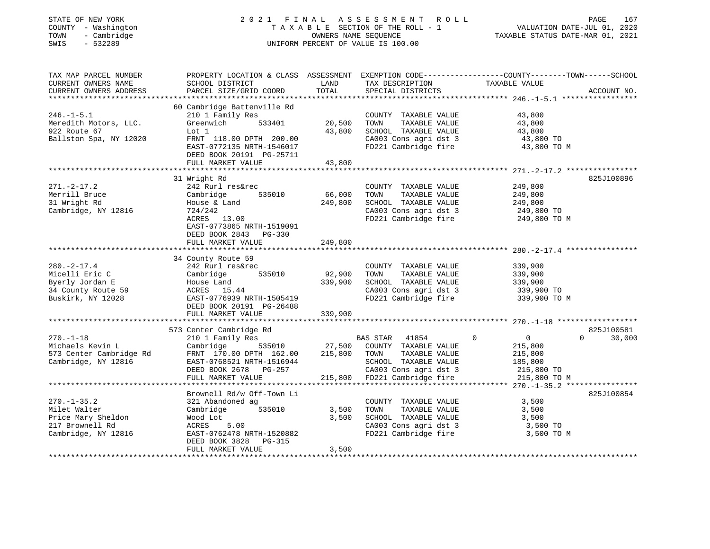| STATE OF NEW YORK<br>COUNTY - Washington<br>- Cambridge<br>TOWN<br>$-532289$<br>SWIS              |                                                                                                                                                                                          |                              | 2021 FINAL ASSESSMENT ROLL<br>TAXABLE SECTION OF THE ROLL - 1<br>OWNERS NAME SEQUENCE<br>UNIFORM PERCENT OF VALUE IS 100.00              | PAGE<br>167<br>VALUATION DATE-JUL 01, 2020<br>TAXABLE STATUS DATE-MAR 01, 2021                                                       |
|---------------------------------------------------------------------------------------------------|------------------------------------------------------------------------------------------------------------------------------------------------------------------------------------------|------------------------------|------------------------------------------------------------------------------------------------------------------------------------------|--------------------------------------------------------------------------------------------------------------------------------------|
| TAX MAP PARCEL NUMBER<br>CURRENT OWNERS NAME<br>CURRENT OWNERS ADDRESS                            | SCHOOL DISTRICT<br>PARCEL SIZE/GRID COORD                                                                                                                                                | LAND<br>TOTAL                | TAX DESCRIPTION TAXABLE VALUE<br>SPECIAL DISTRICTS                                                                                       | PROPERTY LOCATION & CLASS ASSESSMENT EXEMPTION CODE----------------COUNTY-------TOWN-----SCHOOL<br>ACCOUNT NO.                       |
| $246. -1 - 5.1$<br>Meredith Motors, LLC.<br>922 Route 67<br>Ballston Spa, NY 12020                | 60 Cambridge Battenville Rd<br>210 1 Family Res<br>Greenwich<br>533401<br>Lot 1<br>FRNT 118.00 DPTH 200.00<br>EAST-0772135 NRTH-1546017<br>DEED BOOK 20191 PG-25711<br>FULL MARKET VALUE | 20,500<br>43,800<br>43,800   | COUNTY TAXABLE VALUE<br>TOWN<br>TAXABLE VALUE<br>SCHOOL TAXABLE VALUE<br>CA003 Cons agri dst 3<br>FD221 Cambridge fire                   | 43,800<br>43,800<br>43,800<br>43,800 TO<br>43,800 TO M                                                                               |
|                                                                                                   |                                                                                                                                                                                          |                              |                                                                                                                                          |                                                                                                                                      |
| $271. - 2 - 17.2$<br>Merrill Bruce<br>31 Wright Rd<br>Cambridge, NY 12816                         | 31 Wright Rd<br>242 Rurl res&rec<br>535010<br>Cambridge<br>House & Land<br>724/242<br>ACRES 13.00<br>EAST-0773865 NRTH-1519091<br>DEED BOOK 2843 PG-330                                  | 66,000<br>249,800            | COUNTY TAXABLE VALUE<br>TOWN<br>TAXABLE VALUE<br>SCHOOL TAXABLE VALUE<br>CA003 Cons agri dst 3                                           | 825J100896<br>249,800<br>249,800<br>249,800<br>249,800 TO<br>FD221 Cambridge fire 249,800 TO M                                       |
|                                                                                                   | FULL MARKET VALUE                                                                                                                                                                        | 249,800                      |                                                                                                                                          |                                                                                                                                      |
| $280. - 2 - 17.4$<br>Micelli Eric C<br>Byerly Jordan E<br>34 County Route 59<br>Buskirk, NY 12028 | 34 County Route 59<br>242 Rurl res&rec<br>Cambridge<br>535010<br>House Land<br>ACRES 15.44<br>EAST-0776939 NRTH-1505419<br>DEED BOOK 20191 PG-26488<br>FULL MARKET VALUE                 | 92,900<br>339,900<br>339,900 | COUNTY TAXABLE VALUE<br>TOWN<br>TAXABLE VALUE<br>SCHOOL TAXABLE VALUE<br>CA003 Cons agri dst 3<br>FD221 Cambridge fire                   | 339,900<br>339,900<br>339,900<br>339,900 TO<br>339,900 TO M                                                                          |
|                                                                                                   |                                                                                                                                                                                          |                              |                                                                                                                                          |                                                                                                                                      |
| $270. - 1 - 18$<br>Michaels Kevin L<br>573 Center Cambridge Rd<br>Cambridge, NY 12816             | 573 Center Cambridge Rd<br>210 1 Family Res<br>535010<br>Cambridge<br>FRNT 170.00 DPTH 162.00<br>EAST-0768521 NRTH-1516944<br>DEED BOOK 2678 PG-257<br>FULL MARKET VALUE                 | 27,500<br>215,800<br>215,800 | BAS STAR 41854<br>COUNTY TAXABLE VALUE<br>TAXABLE VALUE<br>TOWN<br>SCHOOL TAXABLE VALUE<br>CA003 Cons agri dst 3<br>FD221 Cambridge fire | 825J100581<br>$\mathbf 0$<br>$\overline{0}$<br>$\mathbf{0}$<br>30,000<br>215,800<br>215,800<br>185,800<br>215,800 TO<br>215,800 TO M |
|                                                                                                   |                                                                                                                                                                                          |                              |                                                                                                                                          |                                                                                                                                      |
| $270. - 1 - 35.2$<br>Milet Walter<br>Price Mary Sheldon<br>217 Brownell Rd<br>Cambridge, NY 12816 | Brownell Rd/w Off-Town Li<br>321 Abandoned ag<br>Cambridge<br>535010<br>Wood Lot<br>5.00<br>ACRES<br>EAST-0762478 NRTH-1520882<br>DEED BOOK 3828<br>PG-315<br>FULL MARKET VALUE          | 3,500<br>3,500<br>3,500      | COUNTY TAXABLE VALUE<br>TAXABLE VALUE<br>TOWN<br>SCHOOL TAXABLE VALUE<br>CA003 Cons agri dst 3<br>FD221 Cambridge fire                   | 825J100854<br>3,500<br>3,500<br>3,500<br>3,500 TO<br>3,500 TO M                                                                      |
|                                                                                                   |                                                                                                                                                                                          |                              |                                                                                                                                          |                                                                                                                                      |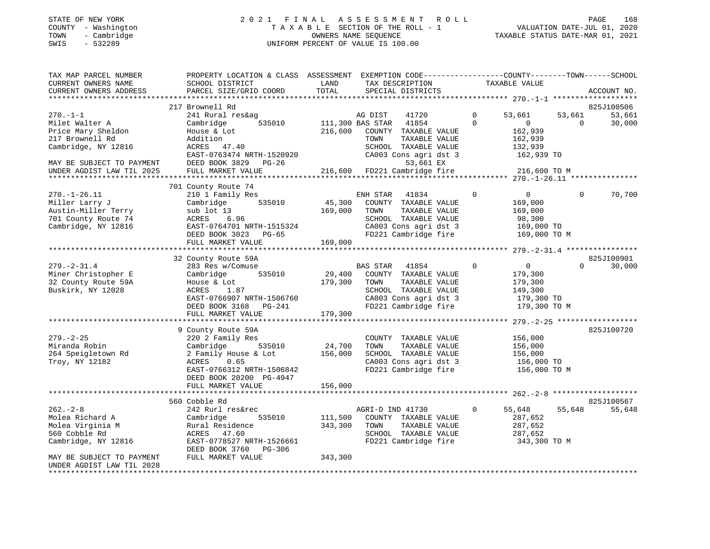#### STATE OF NEW YORK 2 0 2 1 F I N A L A S S E S S M E N T R O L L PAGE 168 COUNTY - Washington T A X A B L E SECTION OF THE ROLL - 1 VALUATION DATE-JUL 01, 2020 TOWN - Cambridge OWNERS NAME SEQUENCE TAXABLE STATUS DATE-MAR 01, 2021 SWIS - 532289 UNIFORM PERCENT OF VALUE IS 100.00UNIFORM PERCENT OF VALUE IS 100.00

| TAX MAP PARCEL NUMBER<br>CURRENT OWNERS NAME<br>CURRENT OWNERS ADDRESS         | PROPERTY LOCATION & CLASS ASSESSMENT<br>SCHOOL DISTRICT<br>PARCEL SIZE/GRID COORD  | LAND<br>TOTAL      | EXEMPTION CODE-----------------COUNTY-------TOWN------SCHOOL<br>TAX DESCRIPTION<br>SPECIAL DISTRICTS |                         | TAXABLE VALUE                                 |                    | ACCOUNT NO.                    |
|--------------------------------------------------------------------------------|------------------------------------------------------------------------------------|--------------------|------------------------------------------------------------------------------------------------------|-------------------------|-----------------------------------------------|--------------------|--------------------------------|
|                                                                                |                                                                                    |                    |                                                                                                      |                         |                                               |                    |                                |
| $270. -1 - 1$<br>Milet Walter A                                                | 217 Brownell Rd<br>241 Rural res&ag<br>535010<br>Cambridge                         |                    | AG DIST<br>41720<br>111,300 BAS STAR<br>41854                                                        | $\mathbf 0$<br>$\Omega$ | 53,661<br>$\mathbf{0}$                        | 53,661<br>$\Omega$ | 825J100506<br>53,661<br>30,000 |
| Price Mary Sheldon<br>217 Brownell Rd<br>Cambridge, NY 12816                   | House & Lot<br>Addition<br>ACRES 47.40<br>EAST-0763474 NRTH-1520920                | 216,600            | COUNTY TAXABLE VALUE<br>TAXABLE VALUE<br>TOWN<br>SCHOOL TAXABLE VALUE<br>CA003 Cons agri dst 3       |                         | 162,939<br>162,939<br>132,939<br>162,939 TO   |                    |                                |
| MAY BE SUBJECT TO PAYMENT<br>UNDER AGDIST LAW TIL 2025                         | DEED BOOK 3829<br>PG-26<br>FULL MARKET VALUE                                       | 216,600            | 53,661 EX<br>FD221 Cambridge fire                                                                    |                         | 216,600 TO M                                  |                    |                                |
|                                                                                | 701 County Route 74                                                                |                    |                                                                                                      |                         | ******* 270.-1-26.11 ****************         |                    |                                |
| $270. - 1 - 26.11$<br>Miller Larry J<br>Austin-Miller Terry                    | 210 1 Family Res<br>535010<br>Cambridge<br>sub lot 13                              | 45,300<br>169,000  | ENH STAR<br>41834<br>COUNTY TAXABLE VALUE<br>TOWN<br>TAXABLE VALUE                                   | 0                       | $\overline{0}$<br>169,000<br>169,000          | $\Omega$           | 70,700                         |
| 701 County Route 74<br>Cambridge, NY 12816                                     | ACRES<br>6.96<br>EAST-0764701 NRTH-1515324<br>DEED BOOK 3023<br>$PG-65$            |                    | SCHOOL TAXABLE VALUE<br>CA003 Cons agri dst 3<br>FD221 Cambridge fire                                |                         | 98,300<br>169,000 TO<br>169,000 TO M          |                    |                                |
|                                                                                | FULL MARKET VALUE                                                                  | 169,000            |                                                                                                      |                         |                                               |                    |                                |
|                                                                                |                                                                                    |                    |                                                                                                      |                         |                                               |                    |                                |
|                                                                                | 32 County Route 59A                                                                |                    |                                                                                                      |                         |                                               |                    | 825J100901                     |
| $279. - 2 - 31.4$<br>Miner Christopher E                                       | 283 Res w/Comuse<br>Cambridge<br>535010                                            | 29,400             | <b>BAS STAR</b><br>41854<br>COUNTY TAXABLE VALUE                                                     | 0                       | $\overline{0}$<br>179,300                     | $\Omega$           | 30,000                         |
| 32 County Route 59A<br>Buskirk, NY 12028                                       | House & Lot<br>ACRES<br>1.87<br>EAST-0766907 NRTH-1506760                          | 179,300            | TAXABLE VALUE<br>TOWN<br>SCHOOL TAXABLE VALUE<br>CA003 Cons agri dst 3                               |                         | 179,300<br>149,300<br>179,300 TO              |                    |                                |
|                                                                                | <b>PG-241</b><br>DEED BOOK 3168<br>FULL MARKET VALUE                               | 179,300            | FD221 Cambridge fire                                                                                 |                         | 179,300 TO M                                  |                    |                                |
|                                                                                |                                                                                    |                    |                                                                                                      |                         | ********** 279. -2-25 *******************     |                    |                                |
| $279. - 2 - 25$                                                                | 9 County Route 59A<br>220 2 Family Res                                             |                    | COUNTY TAXABLE VALUE                                                                                 |                         | 156,000                                       |                    | 825J100720                     |
| Miranda Robin                                                                  | 535010<br>Cambridge                                                                | 24,700             | TAXABLE VALUE<br>TOWN                                                                                |                         | 156,000                                       |                    |                                |
| 264 Speigletown Rd                                                             | 2 Family House & Lot                                                               | 156,000            | SCHOOL TAXABLE VALUE                                                                                 |                         | 156,000                                       |                    |                                |
| Troy, NY 12182                                                                 | ACRES<br>0.65<br>EAST-0766312 NRTH-1506842<br>DEED BOOK 20200 PG-4947              |                    | CA003 Cons agri dst 3<br>FD221 Cambridge fire                                                        |                         | 156,000 TO<br>156,000 TO M                    |                    |                                |
|                                                                                | FULL MARKET VALUE                                                                  | 156,000            |                                                                                                      |                         |                                               |                    |                                |
|                                                                                |                                                                                    |                    |                                                                                                      |                         |                                               |                    |                                |
| $262 - 2 - 8$                                                                  | 560 Cobble Rd<br>242 Rurl res&rec                                                  |                    | AGRI-D IND 41730                                                                                     | 0                       | 55,648                                        | 55,648             | 825J100567<br>55,648           |
| Molea Richard A<br>Molea Virginia M<br>560 Cobble Rd<br>Cambridge, NY 12816    | 535010<br>Cambridge<br>Rural Residence<br>ACRES 47.60<br>EAST-0778527 NRTH-1526661 | 111,500<br>343,300 | COUNTY TAXABLE VALUE<br>TOWN<br>TAXABLE VALUE<br>SCHOOL TAXABLE VALUE<br>FD221 Cambridge fire        |                         | 287,652<br>287,652<br>287,652<br>343,300 TO M |                    |                                |
| MAY BE SUBJECT TO PAYMENT<br>UNDER AGDIST LAW TIL 2028<br>******************** | DEED BOOK 3760<br>PG-306<br>FULL MARKET VALUE                                      | 343,300            |                                                                                                      |                         |                                               |                    |                                |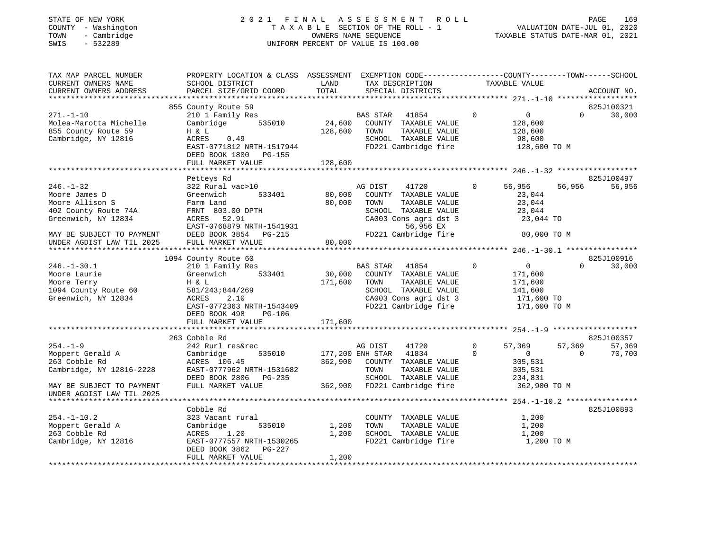#### STATE OF NEW YORK 2 0 2 1 F I N A L A S S E S S M E N T R O L L PAGE 169 COUNTY - Washington T A X A B L E SECTION OF THE ROLL - 1 VALUATION DATE-JUL 01, 2020 TOWN - Cambridge OWNERS NAME SEQUENCE TAXABLE STATUS DATE-MAR 01, 2021 SWIS - 532289 UNIFORM PERCENT OF VALUE IS 100.00

| TAX MAP PARCEL NUMBER<br>CURRENT OWNERS NAME                                                                                                                 | SCHOOL DISTRICT                                                                                                                                                                  | LAND                         | PROPERTY LOCATION & CLASS ASSESSMENT EXEMPTION CODE---------------COUNTY-------TOWN------SCHOOL<br>TAX DESCRIPTION<br>TAXABLE VALUE                     |                      |                                                                           |                    |                      |
|--------------------------------------------------------------------------------------------------------------------------------------------------------------|----------------------------------------------------------------------------------------------------------------------------------------------------------------------------------|------------------------------|---------------------------------------------------------------------------------------------------------------------------------------------------------|----------------------|---------------------------------------------------------------------------|--------------------|----------------------|
| CURRENT OWNERS ADDRESS                                                                                                                                       | PARCEL SIZE/GRID COORD                                                                                                                                                           | TOTAL                        | SPECIAL DISTRICTS                                                                                                                                       |                      |                                                                           |                    | ACCOUNT NO.          |
|                                                                                                                                                              | 855 County Route 59                                                                                                                                                              |                              |                                                                                                                                                         |                      |                                                                           |                    | 825J100321           |
| $271. - 1 - 10$<br>Molea-Marotta Michelle<br>855 County Route 59<br>Cambridge, NY 12816                                                                      | 210 1 Family Res<br>535010<br>Cambridge<br>H & L<br>ACRES<br>0.49<br>EAST-0771812 NRTH-1517944<br>DEED BOOK 1800 PG-155<br>FULL MARKET VALUE                                     | 24,600<br>128,600<br>128,600 | BAS STAR 41854<br>COUNTY TAXABLE VALUE<br>TOWN<br>TAXABLE VALUE<br>SCHOOL TAXABLE VALUE<br>FD221 Cambridge fire                                         | $\mathbf{0}$         | $\overline{0}$<br>128,600<br>128,600<br>98,600<br>128,600 TO M            | $\Omega$           | 30,000               |
|                                                                                                                                                              |                                                                                                                                                                                  |                              |                                                                                                                                                         |                      |                                                                           |                    |                      |
| $246. - 1 - 32$<br>Moore James D<br>Moore Allison S<br>402 County Route 74A<br>Greenwich, NY 12834<br>MAY BE SUBJECT TO PAYMENT<br>UNDER AGDIST LAW TIL 2025 | Petteys Rd<br>322 Rural vac>10<br>Greenwich<br>533401<br>Farm Land<br>FRNT 803.00 DPTH<br>ACRES 52.91<br>EAST-0768879 NRTH-1541931<br>DEED BOOK 3854 PG-215<br>FULL MARKET VALUE | 80,000<br>80,000<br>80,000   | AG DIST<br>41720<br>COUNTY TAXABLE VALUE<br>TAXABLE VALUE<br>TOWN<br>SCHOOL TAXABLE VALUE<br>CA003 Cons agri dst 3<br>56,956 EX<br>FD221 Cambridge fire | $\mathbf 0$          | 56,956<br>23,044<br>23,044<br>23,044<br>23,044 TO<br>80,000 TO M          | 56,956             | 825J100497<br>56,956 |
|                                                                                                                                                              |                                                                                                                                                                                  |                              |                                                                                                                                                         |                      |                                                                           |                    |                      |
|                                                                                                                                                              | 1094 County Route 60                                                                                                                                                             |                              |                                                                                                                                                         |                      |                                                                           |                    | 825J100916           |
| $246. - 1 - 30.1$<br>Moore Laurie<br>Moore Terry<br>1094 County Route 60<br>Greenwich, NY 12834                                                              | 210 1 Family Res<br>Greenwich<br>533401<br>H & L<br>581/243;844/269<br>ACRES<br>2.10<br>EAST-0772363 NRTH-1543409<br>DEED BOOK 498<br>PG-106<br>FULL MARKET VALUE                | 30,000<br>171,600<br>171,600 | BAS STAR 41854<br>COUNTY TAXABLE VALUE<br>TAXABLE VALUE<br>TOWN<br>SCHOOL TAXABLE VALUE<br>CA003 Cons agri dst 3<br>FD221 Cambridge fire                | $\Omega$             | 0<br>171,600<br>171,600<br>141,600<br>171,600 TO<br>171,600 TO M          | $\Omega$           | 30,000               |
|                                                                                                                                                              |                                                                                                                                                                                  |                              |                                                                                                                                                         |                      |                                                                           |                    |                      |
|                                                                                                                                                              | 263 Cobble Rd                                                                                                                                                                    |                              |                                                                                                                                                         |                      |                                                                           |                    | 825J100357           |
| $254. - 1 - 9$<br>Moppert Gerald A<br>263 Cobble Rd<br>Cambridge, NY 12816-2228<br>MAY BE SUBJECT TO PAYMENT<br>UNDER AGDIST LAW TIL 2025                    | 242 Rurl res&rec<br>Cambridge<br>535010<br>ACRES 106.45<br>EAST-0777962 NRTH-1531682<br>DEED BOOK 2806 PG-235<br>FULL MARKET VALUE                                               | 362,900                      | AG DIST<br>41720<br>177,200 ENH STAR 41834<br>COUNTY TAXABLE VALUE<br>TOWN<br>TAXABLE VALUE<br>SCHOOL TAXABLE VALUE<br>362,900 FD221 Cambridge fire     | $\Omega$<br>$\Omega$ | 57,369<br>$\overline{0}$<br>305,531<br>305,531<br>234,831<br>362,900 TO M | 57,369<br>$\Omega$ | 57,369<br>70,700     |
|                                                                                                                                                              |                                                                                                                                                                                  |                              |                                                                                                                                                         |                      |                                                                           |                    |                      |
| $254. - 1 - 10.2$<br>Moppert Gerald A<br>263 Cobble Rd<br>Cambridge, NY 12816                                                                                | Cobble Rd<br>323 Vacant rural<br>535010<br>Cambridge<br>ACRES<br>1.20<br>EAST-0777557 NRTH-1530265<br>DEED BOOK 3862<br>PG-227<br>FULL MARKET VALUE                              | 1,200<br>1,200<br>1,200      | COUNTY TAXABLE VALUE<br>TOWN<br>TAXABLE VALUE<br>SCHOOL TAXABLE VALUE<br>FD221 Cambridge fire                                                           |                      | 1,200<br>1,200<br>1,200<br>1,200 TO M                                     |                    | 825J100893           |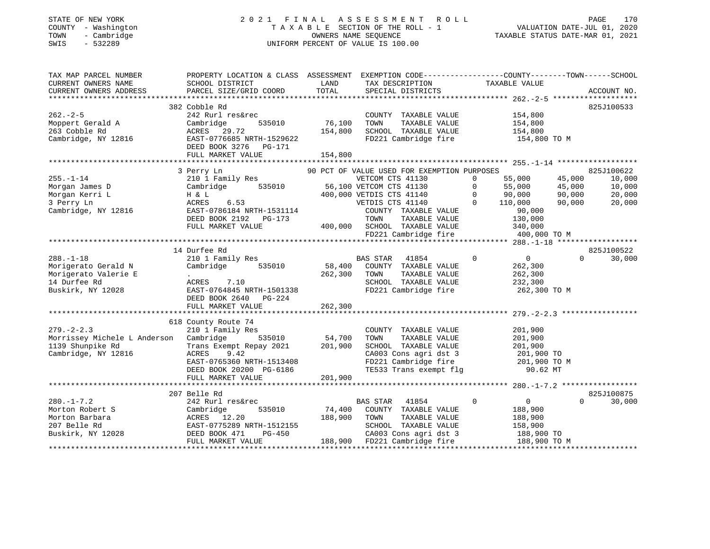#### STATE OF NEW YORK 2 0 2 1 F I N A L A S S E S S M E N T R O L L PAGE 170 COUNTY - Washington T A X A B L E SECTION OF THE ROLL - 1 VALUATION DATE-JUL 01, 2020 TOWN - Cambridge OWNERS NAME SEQUENCE TAXABLE STATUS DATE-MAR 01, 2021 SWIS - 532289 UNIFORM PERCENT OF VALUE IS 100.00

| TAX MAP PARCEL NUMBER<br>CURRENT OWNERS NAME<br>CURRENT OWNERS ADDRESS                                | PROPERTY LOCATION & CLASS ASSESSMENT EXEMPTION CODE---------------COUNTY-------TOWN-----SCHOOL<br>SCHOOL DISTRICT<br>PARCEL SIZE/GRID COORD                                                                              | LAND<br>TOTAL                       | TAX DESCRIPTION<br>SPECIAL DISTRICTS                                                                                                                                                     | TAXABLE VALUE                                                                                                      | ACCOUNT NO.                                                                                |
|-------------------------------------------------------------------------------------------------------|--------------------------------------------------------------------------------------------------------------------------------------------------------------------------------------------------------------------------|-------------------------------------|------------------------------------------------------------------------------------------------------------------------------------------------------------------------------------------|--------------------------------------------------------------------------------------------------------------------|--------------------------------------------------------------------------------------------|
| $262 - 2 - 5$<br>Moppert Gerald A<br>263 Cobble Rd<br>Cambridge, NY 12816 EAST-0776685 NRTH-1529622   | 382 Cobble Rd<br>242 Rurl res&rec<br>Cambridge<br>ACRES 29.72<br>DEED BOOK 3276 PG-171<br>FULL MARKET VALUE                                                                                                              | 535010 76,100<br>154,800<br>154,800 | COUNTY TAXABLE VALUE 154,800<br>TOWN<br>SCHOOL TAXABLE VALUE<br>FD221 Cambridge fire                                                                                                     | TAXABLE VALUE 154,800<br>154,800<br>154,800 TO M                                                                   | 825J100533                                                                                 |
| $255. - 1 - 14$<br>Morgan James D<br>Morgan Kerri L<br>3 Perry Ln<br>Cambridge, NY 12816              | 3 Perry Ln<br>210 1 Family Res<br>Cambridge 535010 56,100 VETCOM CTS 41130<br>H & T. 400,000 VETDIS CTS 41140<br>H & L 400<br>ACRES 6.53 6.54<br>EAST-0786184 NRTH-1531114<br>DEED BOOK 2192 PG-173<br>FULL MARKET VALUE |                                     | 90 PCT OF VALUE USED FOR EXEMPTION PURPOSES<br>VETDIS CTS 41140<br>COUNTY TAXABLE VALUE<br>3-173 TOWN TAXABLE VALUE<br>400,000 SCHOOL TAXABLE VALUE<br>FD221 Cambridge fire 400,000 TO M | 55,000<br>0<br>55,000<br>$\circ$<br>55,000<br>90,000<br>$\Omega$<br>$0 \t 110,000$<br>90,000<br>130,000<br>340,000 | 825J100622<br>45,000<br>10,000<br>45,000<br>10,000<br>90,000<br>20,000<br>90,000<br>20,000 |
| $288. - 1 - 18$<br>Morigerato Gerald N<br>Morigerato Valerie E<br>14 Durfee Rd<br>Buskirk, NY 12028   | 14 Durfee Rd<br>210 1 Family Res BAS STAR 41854<br>Cambridge 535010<br><b>Contract Contract</b><br>7.10<br>ACRES<br>EAST-0764845 NRTH-1501338<br>DEED BOOK 2640 PG-224<br>FULL MARKET VALUE                              | 262,300 TOWN<br>262,300             | $\overline{0}$<br>58,400 COUNTY TAXABLE VALUE<br>TAXABLE VALUE<br>TOWN      TAXABLE VALUE<br>SCHOOL   TAXABLE VALUE<br>FD221 Cambridge fire 262,300 TO M                                 | $\overline{0}$<br>262,300<br>262,300<br>232,300                                                                    | 825J100522<br>$\Omega$<br>30,000                                                           |
| $279. - 2 - 2.3$<br>Morrissey Michele L Anderson Cambridge<br>1139 Shunpike Rd<br>Cambridge, NY 12816 | 618 County Route 74<br>210 1 Family Res<br>Trans Exempt Repay 2021 201,900<br>ACRES<br>9.42<br>EAST-0765360 NRTH-1513408<br>DEED BOOK 20200 PG-6186<br>FULL MARKET VALUE                                                 | 535010 54,700<br>201,900            | COUNTY TAXABLE VALUE<br>TOWN<br>TAXABLE VALUE<br>SCHOOL TAXABLE VALUE<br>CA003 Cons agri dst 3<br>FD221 Cambridge fire 201,900 TO M<br>TE533 Trans exempt flg                            | 201,900<br>201,900<br>201,900<br>201,900 TO<br>90.62 MT                                                            |                                                                                            |
| $280. -1 - 7.2$<br>Morton Robert S<br>Morton Barbara<br>207 Belle Rd<br>Buskirk, NY 12028             | 207 Belle Rd<br>242 Rurl res&rec<br>535010<br>Cambridge<br>ACRES 12.20<br>EAST-0775289 NRTH-1512155<br>$PG-450$<br>DEED BOOK 471<br>FULL MARKET VALUE                                                                    | 188,900 TOWN                        | BAS STAR 41854<br>74,400 COUNTY TAXABLE VALUE<br>TAXABLE VALUE<br>SCHOOL TAXABLE VALUE<br>ca003 Cons agri dst 3 188,900 TO<br>188,900 FD221 Cambridge fire 188,900 TO M                  | $\overline{0}$<br>$\mathbf 0$<br>188,900<br>188,900<br>158,900                                                     | 825J100875<br>$\Omega$<br>30,000                                                           |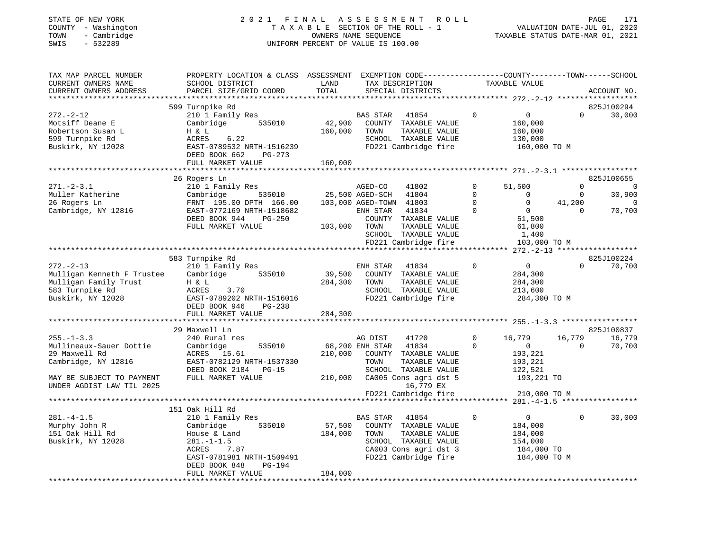#### STATE OF NEW YORK 2 0 2 1 F I N A L A S S E S S M E N T R O L L PAGE 171 COUNTY - Washington T A X A B L E SECTION OF THE ROLL - 1 VALUATION DATE-JUL 01, 2020 TOWN - Cambridge OWNERS NAME SEQUENCE TAXABLE STATUS DATE-MAR 01, 2021 SWIS - 532289 UNIFORM PERCENT OF VALUE IS 100.00

| TAX MAP PARCEL NUMBER      | PROPERTY LOCATION & CLASS ASSESSMENT EXEMPTION CODE---------------COUNTY-------TOWN-----SCHOOL |              |                          |              |                                                  |                |             |
|----------------------------|------------------------------------------------------------------------------------------------|--------------|--------------------------|--------------|--------------------------------------------------|----------------|-------------|
| CURRENT OWNERS NAME        | SCHOOL DISTRICT                                                                                | LAND         | TAX DESCRIPTION          |              | TAXABLE VALUE                                    |                |             |
| CURRENT OWNERS ADDRESS     | PARCEL SIZE/GRID COORD                                                                         | TOTAL        | SPECIAL DISTRICTS        |              |                                                  |                | ACCOUNT NO. |
| *************              |                                                                                                |              |                          |              | ****************** 272.-2-12 ******************* |                |             |
|                            | 599 Turnpike Rd                                                                                |              |                          |              |                                                  |                | 825J100294  |
| $272. - 2 - 12$            | 210 1 Family Res                                                                               |              | BAS STAR<br>41854        | $\Omega$     | $\circ$                                          | $\Omega$       | 30,000      |
| Motsiff Deane E            | 535010<br>Cambridge                                                                            | 42,900       | COUNTY TAXABLE VALUE     |              | 160,000                                          |                |             |
|                            |                                                                                                |              |                          |              |                                                  |                |             |
| Robertson Susan L          | H & L                                                                                          | 160,000      | TOWN<br>TAXABLE VALUE    |              | 160,000                                          |                |             |
| 599 Turnpike Rd            | ACRES<br>6.22                                                                                  |              | SCHOOL TAXABLE VALUE     |              | 130,000                                          |                |             |
| Buskirk, NY 12028          | EAST-0789532 NRTH-1516239                                                                      |              | FD221 Cambridge fire     |              | 160,000 TO M                                     |                |             |
|                            | DEED BOOK 662<br>PG-273                                                                        |              |                          |              |                                                  |                |             |
|                            | FULL MARKET VALUE                                                                              | 160,000      |                          |              |                                                  |                |             |
|                            |                                                                                                |              |                          |              |                                                  |                |             |
|                            | 26 Rogers Ln                                                                                   |              |                          |              |                                                  |                | 825J100655  |
| $271 - 2 - 3.1$            | 210 1 Family Res                                                                               |              | 41802<br>AGED-CO         | $\mathbf 0$  | 51,500                                           | $\Omega$       | - 0         |
| Muller Katherine           | 535010<br>Cambridge                                                                            |              | 25,500 AGED-SCH<br>41804 | $\mathbf 0$  | $\mathbf 0$                                      | $\overline{0}$ | 30,900      |
| 26 Rogers Ln               | FRNT 195.00 DPTH 166.00                                                                        |              | 103,000 AGED-TOWN 41803  | $\Omega$     | $\mathbf 0$                                      | 41,200         | 0           |
|                            |                                                                                                |              |                          | $\mathbf 0$  | $\overline{0}$                                   | $\Omega$       |             |
| Cambridge, NY 12816        | EAST-0772169 NRTH-1518682                                                                      |              | ENH STAR<br>41834        |              |                                                  |                | 70,700      |
|                            | DEED BOOK 944<br>$PG-250$                                                                      |              | COUNTY TAXABLE VALUE     |              | 51,500                                           |                |             |
|                            | FULL MARKET VALUE                                                                              | 103,000 TOWN | TAXABLE VALUE            |              | 61,800                                           |                |             |
|                            |                                                                                                |              | SCHOOL TAXABLE VALUE     |              | 1,400                                            |                |             |
|                            |                                                                                                |              | FD221 Cambridge fire     |              | 103,000 TO M                                     |                |             |
|                            |                                                                                                |              |                          |              |                                                  |                |             |
|                            | 583 Turnpike Rd                                                                                |              |                          |              |                                                  |                | 825J100224  |
| $272 - 2 - 13$             | 210 1 Family Res                                                                               |              | 41834<br>ENH STAR        | $\mathbf 0$  | $\overline{0}$                                   | $\Omega$       | 70,700      |
| Mulligan Kenneth F Trustee | 535010<br>Cambridge                                                                            | 39,500       | COUNTY TAXABLE VALUE     |              | 284,300                                          |                |             |
| Mulligan Family Trust      | H & L                                                                                          | 284,300      | TAXABLE VALUE<br>TOWN    |              | 284,300                                          |                |             |
|                            |                                                                                                |              |                          |              |                                                  |                |             |
| 583 Turnpike Rd            | ACRES<br>3.70                                                                                  |              | SCHOOL TAXABLE VALUE     |              | 213,600                                          |                |             |
| Buskirk, NY 12028          | EAST-0789202 NRTH-1516016                                                                      |              | FD221 Cambridge fire     |              | 284,300 TO M                                     |                |             |
|                            | DEED BOOK 946<br>PG-238                                                                        |              |                          |              |                                                  |                |             |
|                            | FULL MARKET VALUE                                                                              | 284,300      |                          |              |                                                  |                |             |
|                            |                                                                                                |              |                          |              |                                                  |                |             |
|                            | 29 Maxwell Ln                                                                                  |              |                          |              |                                                  |                | 825J100837  |
| $255. - 1 - 3.3$           | 240 Rural res                                                                                  |              | AG DIST<br>41720         | $\mathbf{0}$ | 16,779                                           | 16,779         | 16,779      |
| Mullineaux-Sauer Dottie    | 535010<br>Cambridge                                                                            |              | 68,200 ENH STAR<br>41834 | $\Omega$     | $\overline{0}$                                   | $\Omega$       | 70,700      |
| 29 Maxwell Rd              | ACRES 15.61                                                                                    | 210,000      | COUNTY TAXABLE VALUE     |              | 193,221                                          |                |             |
| Cambridge, NY 12816        | EAST-0782129 NRTH-1537330                                                                      |              | TOWN<br>TAXABLE VALUE    |              | 193,221                                          |                |             |
|                            | DEED BOOK 2184<br>$PG-15$                                                                      |              | SCHOOL TAXABLE VALUE     |              | 122,521                                          |                |             |
|                            |                                                                                                |              |                          |              |                                                  |                |             |
| MAY BE SUBJECT TO PAYMENT  | FULL MARKET VALUE                                                                              | 210,000      | CA005 Cons agri dst 5    |              | 193,221 TO                                       |                |             |
| UNDER AGDIST LAW TIL 2025  |                                                                                                |              | 16,779 EX                |              |                                                  |                |             |
|                            |                                                                                                |              | FD221 Cambridge fire     |              | 210,000 TO M                                     |                |             |
|                            |                                                                                                |              |                          |              |                                                  |                |             |
|                            | 151 Oak Hill Rd                                                                                |              |                          |              |                                                  |                |             |
| $281 - 4 - 1.5$            | 210 1 Family Res                                                                               |              | BAS STAR<br>41854        | $\mathbf 0$  | $\overline{0}$                                   | $\Omega$       | 30,000      |
| Murphy John R              | Cambridge<br>535010                                                                            | 57,500       | COUNTY TAXABLE VALUE     |              | 184,000                                          |                |             |
| 151 Oak Hill Rd            | House & Land                                                                                   | 184,000      | TOWN<br>TAXABLE VALUE    |              | 184,000                                          |                |             |
| Buskirk, NY 12028          | $281. - 1 - 1.5$                                                                               |              | SCHOOL TAXABLE VALUE     |              | 154,000                                          |                |             |
|                            | ACRES<br>7.87                                                                                  |              | CA003 Cons agri dst 3    |              | 184,000 TO                                       |                |             |
|                            | EAST-0781981 NRTH-1509491                                                                      |              | FD221 Cambridge fire     |              | 184,000 TO M                                     |                |             |
|                            |                                                                                                |              |                          |              |                                                  |                |             |
|                            | DEED BOOK 848<br>PG-194                                                                        |              |                          |              |                                                  |                |             |
|                            | FULL MARKET VALUE                                                                              | 184,000      |                          |              |                                                  |                |             |
|                            |                                                                                                |              |                          |              |                                                  |                |             |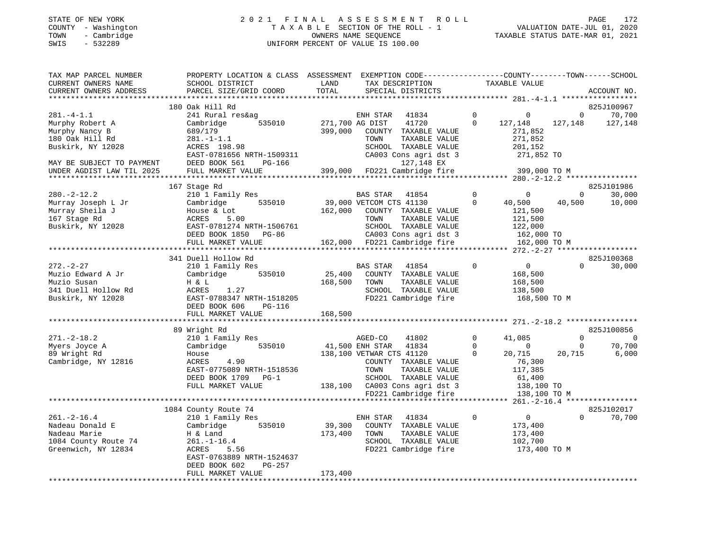#### STATE OF NEW YORK 2 0 2 1 F I N A L A S S E S S M E N T R O L L PAGE 172 COUNTY - Washington T A X A B L E SECTION OF THE ROLL - 1 VALUATION DATE-JUL 01, 2020 TOWN - Cambridge OWNERS NAME SEQUENCE TAXABLE STATUS DATE-MAR 01, 2021 SWIS - 532289 UNIFORM PERCENT OF VALUE IS 100.00

| TAX MAP PARCEL NUMBER<br>CURRENT OWNERS NAME                                                                              | PROPERTY LOCATION & CLASS ASSESSMENT<br>SCHOOL DISTRICT                                                                                                                                        | LAND                         | EXEMPTION CODE-----------------COUNTY-------TOWN------SCHOOL<br>TAX DESCRIPTION                                                                                                                            |                                     | TAXABLE VALUE                                                                             |                         |                                |
|---------------------------------------------------------------------------------------------------------------------------|------------------------------------------------------------------------------------------------------------------------------------------------------------------------------------------------|------------------------------|------------------------------------------------------------------------------------------------------------------------------------------------------------------------------------------------------------|-------------------------------------|-------------------------------------------------------------------------------------------|-------------------------|--------------------------------|
| CURRENT OWNERS ADDRESS                                                                                                    | PARCEL SIZE/GRID COORD                                                                                                                                                                         | TOTAL<br>* * * * * * * *     | SPECIAL DISTRICTS                                                                                                                                                                                          |                                     |                                                                                           |                         | ACCOUNT NO.                    |
|                                                                                                                           | 180 Oak Hill Rd                                                                                                                                                                                |                              |                                                                                                                                                                                                            |                                     |                                                                                           |                         | 825J100967                     |
| $281 - 4 - 1.1$<br>Murphy Robert A<br>Murphy Nancy B<br>180 Oak Hill Rd<br>Buskirk, NY 12028<br>MAY BE SUBJECT TO PAYMENT | 241 Rural res&ag<br>535010<br>Cambridge<br>689/179<br>$281. - 1 - 1.1$<br>ACRES 198.98<br>EAST-0781656 NRTH-1509311<br>DEED BOOK 561<br>$PG-166$                                               | 399,000                      | ENH STAR<br>41834<br>271,700 AG DIST<br>41720<br>COUNTY TAXABLE VALUE<br>TOWN<br>TAXABLE VALUE<br>SCHOOL TAXABLE VALUE<br>CA003 Cons agri dst 3<br>127,148 EX                                              | 0<br>$\Omega$                       | $\mathbf 0$<br>127,148<br>271,852<br>271,852<br>201,152<br>271,852 TO                     | $\mathbf 0$<br>127,148  | 70,700<br>127,148              |
| UNDER AGDIST LAW TIL 2025                                                                                                 | FULL MARKET VALUE                                                                                                                                                                              | 399,000                      | FD221 Cambridge fire                                                                                                                                                                                       |                                     | 399,000 TO M                                                                              |                         |                                |
| **********************                                                                                                    | ******************************                                                                                                                                                                 |                              |                                                                                                                                                                                                            |                                     |                                                                                           |                         |                                |
| $280. -2 - 12.2$<br>Murray Joseph L Jr<br>Murray Sheila J<br>167 Stage Rd<br>Buskirk, NY 12028                            | 167 Stage Rd<br>210 1 Family Res<br>535010<br>Cambridge<br>House & Lot<br>ACRES<br>5.00<br>EAST-0781274 NRTH-1506761<br>DEED BOOK 1850 PG-86<br>FULL MARKET VALUE                              | 162,000                      | 41854<br>BAS STAR<br>39,000 VETCOM CTS 41130<br>COUNTY TAXABLE VALUE<br>TAXABLE VALUE<br>TOWN<br>SCHOOL TAXABLE VALUE<br>CA003 Cons agri dst 3<br>162,000 FD221 Cambridge fire                             | $\mathbf 0$<br>$\mathbf 0$          | $\mathbf 0$<br>40,500<br>121,500<br>121,500<br>122,000<br>162,000 TO<br>162,000 TO M      | $\mathbf 0$<br>40,500   | 825J101986<br>30,000<br>10,000 |
|                                                                                                                           |                                                                                                                                                                                                |                              |                                                                                                                                                                                                            |                                     |                                                                                           |                         |                                |
|                                                                                                                           | 341 Duell Hollow Rd                                                                                                                                                                            |                              |                                                                                                                                                                                                            |                                     |                                                                                           |                         | 825J100368                     |
| $272. - 2 - 27$<br>Muzio Edward A Jr<br>Muzio Susan<br>341 Duell Hollow Rd<br>Buskirk, NY 12028                           | 210 1 Family Res<br>535010<br>Cambridge<br>H & L<br>ACRES<br>1.27<br>EAST-0788347 NRTH-1518205<br>DEED BOOK 606<br><b>PG-116</b><br>FULL MARKET VALUE<br>**********************                | 25,400<br>168,500<br>168,500 | BAS STAR<br>41854<br>COUNTY TAXABLE VALUE<br>TOWN<br>TAXABLE VALUE<br>SCHOOL TAXABLE VALUE<br>FD221 Cambridge fire                                                                                         | $\Omega$                            | $\overline{0}$<br>168,500<br>168,500<br>138,500<br>168,500 TO M                           | $\Omega$                | 30,000                         |
|                                                                                                                           | 89 Wright Rd                                                                                                                                                                                   |                              |                                                                                                                                                                                                            |                                     |                                                                                           |                         | 825J100856                     |
| $271. - 2 - 18.2$<br>Myers Joyce A<br>89 Wright Rd<br>Cambridge, NY 12816                                                 | 210 1 Family Res<br>Cambridge<br>535010<br>House<br>ACRES<br>4.90<br>EAST-0775089 NRTH-1518536<br>DEED BOOK 1709<br>$PG-1$<br>FULL MARKET VALUE                                                |                              | AGED-CO<br>41802<br>41,500 ENH STAR<br>41834<br>138,100 VETWAR CTS 41120<br>COUNTY TAXABLE VALUE<br>TOWN<br>TAXABLE VALUE<br>SCHOOL TAXABLE VALUE<br>138,100 CA003 Cons agri dst 3<br>FD221 Cambridge fire | $\mathbf 0$<br>$\Omega$<br>$\Omega$ | 41,085<br>$\Omega$<br>20,715<br>76,300<br>117,385<br>61,400<br>138,100 TO<br>138,100 TO M | $\Omega$<br>0<br>20,715 | 0<br>70,700<br>6,000           |
|                                                                                                                           |                                                                                                                                                                                                |                              |                                                                                                                                                                                                            |                                     | ****** 261.-2-16.4 *****************                                                      |                         |                                |
| $261. - 2 - 16.4$<br>Nadeau Donald E<br>Nadeau Marie<br>1084 County Route 74<br>Greenwich, NY 12834                       | 1084 County Route 74<br>210 1 Family Res<br>535010<br>Cambridge<br>H & Land<br>$261. - 1 - 16.4$<br>ACRES<br>5.56<br>EAST-0763889 NRTH-1524637<br>DEED BOOK 602<br>PG-257<br>FULL MARKET VALUE | 39,300<br>173,400<br>173,400 | ENH STAR<br>41834<br>COUNTY TAXABLE VALUE<br>TOWN<br>TAXABLE VALUE<br>SCHOOL TAXABLE VALUE<br>FD221 Cambridge fire                                                                                         | $\mathbf 0$                         | $\overline{0}$<br>173,400<br>173,400<br>102,700<br>173,400 TO M                           | $\Omega$                | 825J102017<br>70,700           |
|                                                                                                                           |                                                                                                                                                                                                |                              |                                                                                                                                                                                                            |                                     |                                                                                           |                         |                                |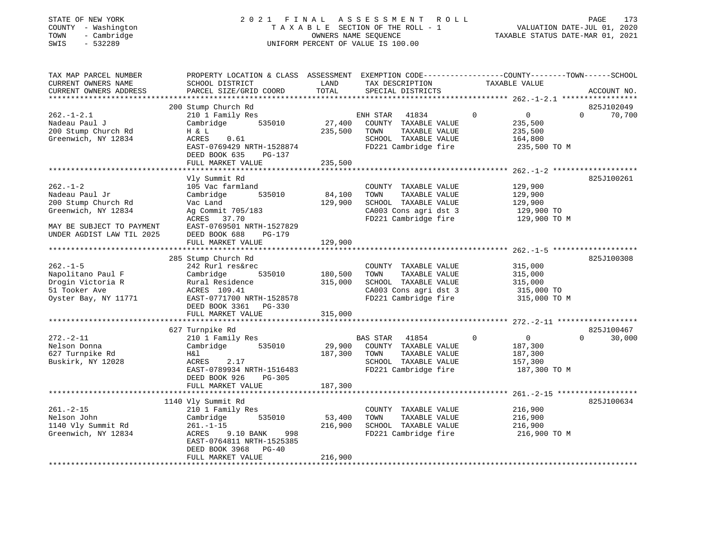#### STATE OF NEW YORK 2 0 2 1 F I N A L A S S E S S M E N T R O L L PAGE 173 COUNTY - Washington T A X A B L E SECTION OF THE ROLL - 1 VALUATION DATE-JUL 01, 2020 TOWN - Cambridge OWNERS NAME SEQUENCE TAXABLE STATUS DATE-MAR 01, 2021 SWIS - 532289 UNIFORM PERCENT OF VALUE IS 100.00

| TAX MAP PARCEL NUMBER<br>CURRENT OWNERS NAME<br>CURRENT OWNERS ADDRESS                                                                   | PROPERTY LOCATION & CLASS ASSESSMENT EXEMPTION CODE---------------COUNTY-------TOWN------SCHOOL<br>SCHOOL DISTRICT<br>PARCEL SIZE/GRID COORD                                            | LAND<br>TOTAL                 | TAX DESCRIPTION<br>SPECIAL DISTRICTS                                                                                               | TAXABLE VALUE                                                                  | ACCOUNT NO.                      |
|------------------------------------------------------------------------------------------------------------------------------------------|-----------------------------------------------------------------------------------------------------------------------------------------------------------------------------------------|-------------------------------|------------------------------------------------------------------------------------------------------------------------------------|--------------------------------------------------------------------------------|----------------------------------|
| $262. - 1 - 2.1$<br>Nadeau Paul J<br>200 Stump Church Rd<br>Greenwich, NY 12834                                                          | 200 Stump Church Rd<br>210 1 Family Res<br>535010<br>Cambridge<br>H & L<br>ACRES<br>0.61<br>EAST-0769429 NRTH-1528874<br>DEED BOOK 635<br>PG-137<br>FULL MARKET VALUE                   | 27,400<br>235,500<br>235,500  | ENH STAR 41834<br>COUNTY TAXABLE VALUE<br>TOWN<br>TAXABLE VALUE<br>SCHOOL TAXABLE VALUE<br>FD221 Cambridge fire                    | $\mathbf 0$<br>$\overline{0}$<br>235,500<br>235,500<br>164,800<br>235,500 TO M | 825J102049<br>70,700<br>$\Omega$ |
| $262. - 1 - 2$<br>Nadeau Paul Jr<br>200 Stump Church Rd<br>Greenwich, NY 12834<br>MAY BE SUBJECT TO PAYMENT<br>UNDER AGDIST LAW TIL 2025 | Vly Summit Rd<br>105 Vac farmland<br>Cambridge<br>535010<br>Vac Land<br>Ag Commit 705/183<br>ACRES 37.70<br>EAST-0769501 NRTH-1527829<br>DEED BOOK 688<br>PG-179<br>FULL MARKET VALUE   | 84,100<br>129,900<br>129,900  | COUNTY TAXABLE VALUE<br>TOWN<br>TAXABLE VALUE<br>SCHOOL TAXABLE VALUE<br>CA003 Cons agri dst 3<br>FD221 Cambridge fire             | 129,900<br>129,900<br>129,900<br>129,900 TO<br>129,900 TO M                    | 825J100261                       |
| $262. -1 - 5$<br>Napolitano Paul F<br>Drogin Victoria R<br>51 Tooker Ave<br>Oyster Bay, NY 11771                                         | 285 Stump Church Rd<br>242 Rurl res&rec<br>535010<br>Cambridge<br>Rural Residence<br>ACRES 109.41<br>EAST-0771700 NRTH-1528578<br>DEED BOOK 3361 PG-330<br>FULL MARKET VALUE            | 180,500<br>315,000<br>315,000 | COUNTY TAXABLE VALUE<br>TAXABLE VALUE<br>TOWN<br>SCHOOL TAXABLE VALUE<br>CA003 Cons agri dst 3<br>FD221 Cambridge fire             | 315,000<br>315,000<br>315,000<br>315,000 TO<br>315,000 TO M                    | 825J100308                       |
| $272. - 2 - 11$<br>Nelson Donna<br>627 Turnpike Rd<br>Buskirk, NY 12028                                                                  | 627 Turnpike Rd<br>210 1 Family Res<br>535010<br>Cambridge<br>H&l<br>ACRES<br>2.17<br>EAST-0789934 NRTH-1516483<br>DEED BOOK 926<br>PG-305<br>FULL MARKET VALUE                         | 187,300<br>187,300            | BAS STAR 41854<br>$\sim$ 0<br>29,900 COUNTY TAXABLE VALUE<br>TOWN<br>TAXABLE VALUE<br>SCHOOL TAXABLE VALUE<br>FD221 Cambridge fire | $\overline{0}$<br>187,300<br>187,300<br>157,300<br>187,300 TO M                | 825J100467<br>30,000<br>$\Omega$ |
| $261. -2 - 15$<br>Nelson John<br>1140 Vly Summit Rd<br>Greenwich, NY 12834                                                               | 1140 Vly Summit Rd<br>210 1 Family Res<br>Cambridge<br>535010<br>$261. - 1 - 15$<br>998<br>ACRES<br>9.10 BANK<br>EAST-0764811 NRTH-1525385<br>DEED BOOK 3968 PG-40<br>FULL MARKET VALUE | 53,400<br>216,900<br>216,900  | COUNTY TAXABLE VALUE<br>TOWN<br>TAXABLE VALUE<br>SCHOOL TAXABLE VALUE<br>FD221 Cambridge fire                                      | 216,900<br>216,900<br>216,900<br>216,900 TO M                                  | 825J100634                       |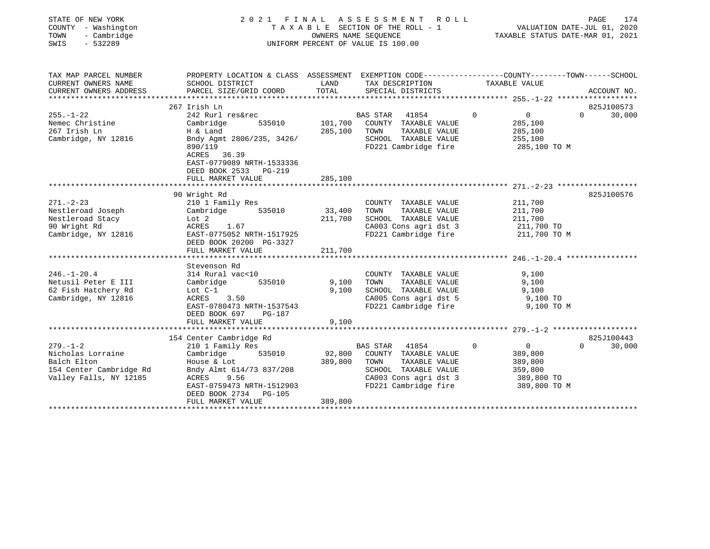| STATE OF NEW YORK<br>COUNTY - Washington<br>- Cambridge<br>TOWN<br>$-532289$<br>SWIS |                                                                                                 | 2021 FINAL ASSESSMENT<br>ROLL<br>T A X A B L E SECTION OF THE ROLL - 1<br>OWNERS NAME SEOUENCE<br>UNIFORM PERCENT OF VALUE IS 100.00 |                                               |              |                    | PAGE<br>174<br>VALUATION DATE-JUL 01, 2020<br>TAXABLE STATUS DATE-MAR 01, 2021 |  |  |  |
|--------------------------------------------------------------------------------------|-------------------------------------------------------------------------------------------------|--------------------------------------------------------------------------------------------------------------------------------------|-----------------------------------------------|--------------|--------------------|--------------------------------------------------------------------------------|--|--|--|
| TAX MAP PARCEL NUMBER                                                                | PROPERTY LOCATION & CLASS ASSESSMENT EXEMPTION CODE---------------COUNTY-------TOWN------SCHOOL |                                                                                                                                      |                                               |              |                    |                                                                                |  |  |  |
| CURRENT OWNERS NAME<br>CURRENT OWNERS ADDRESS                                        | SCHOOL DISTRICT<br>PARCEL SIZE/GRID COORD                                                       | LAND<br>TOTAL                                                                                                                        | TAX DESCRIPTION<br>SPECIAL DISTRICTS          |              | TAXABLE VALUE      | ACCOUNT NO.                                                                    |  |  |  |
|                                                                                      |                                                                                                 |                                                                                                                                      |                                               |              |                    |                                                                                |  |  |  |
|                                                                                      | 267 Irish Ln                                                                                    |                                                                                                                                      |                                               |              |                    | 825J100573                                                                     |  |  |  |
| $255. - 1 - 22$                                                                      | 242 Rurl res&rec                                                                                |                                                                                                                                      | BAS STAR<br>41854                             | $\mathbf{0}$ | 0                  | $\Omega$<br>30,000                                                             |  |  |  |
| Nemec Christine<br>267 Irish Ln                                                      | Cambridge<br>535010                                                                             | 101,700                                                                                                                              | COUNTY TAXABLE VALUE                          |              | 285,100            |                                                                                |  |  |  |
| Cambridge, NY 12816                                                                  | H & Land<br>Bndy Agmt 2806/235, 3426/                                                           | 285,100                                                                                                                              | TOWN<br>TAXABLE VALUE<br>SCHOOL TAXABLE VALUE |              | 285,100<br>255,100 |                                                                                |  |  |  |
|                                                                                      | 890/119                                                                                         |                                                                                                                                      | FD221 Cambridge fire                          |              | 285,100 TO M       |                                                                                |  |  |  |
|                                                                                      | ACRES 36.39                                                                                     |                                                                                                                                      |                                               |              |                    |                                                                                |  |  |  |
|                                                                                      | EAST-0779089 NRTH-1533336                                                                       |                                                                                                                                      |                                               |              |                    |                                                                                |  |  |  |
|                                                                                      | DEED BOOK 2533 PG-219                                                                           |                                                                                                                                      |                                               |              |                    |                                                                                |  |  |  |
|                                                                                      | FULL MARKET VALUE                                                                               | 285,100                                                                                                                              |                                               |              |                    |                                                                                |  |  |  |
|                                                                                      |                                                                                                 |                                                                                                                                      |                                               |              |                    |                                                                                |  |  |  |
|                                                                                      | 90 Wright Rd                                                                                    |                                                                                                                                      |                                               |              |                    | 825J100576                                                                     |  |  |  |
| $271. - 2 - 23$                                                                      | 210 1 Family Res                                                                                |                                                                                                                                      | COUNTY TAXABLE VALUE                          |              | 211,700            |                                                                                |  |  |  |
| Nestleroad Joseph                                                                    | Cambridge<br>535010                                                                             | 33,400                                                                                                                               | TAXABLE VALUE<br>TOWN                         |              | 211,700            |                                                                                |  |  |  |
| Nestleroad Stacy                                                                     | Lot 2                                                                                           | 211,700                                                                                                                              | SCHOOL TAXABLE VALUE                          |              | 211,700            |                                                                                |  |  |  |
| 90 Wright Rd                                                                         | ACRES<br>1.67                                                                                   |                                                                                                                                      | CA003 Cons agri dst 3                         |              | 211,700 TO         |                                                                                |  |  |  |
| Cambridge, NY 12816                                                                  | EAST-0775052 NRTH-1517925                                                                       |                                                                                                                                      | FD221 Cambridge fire                          |              | 211,700 TO M       |                                                                                |  |  |  |
|                                                                                      | DEED BOOK 20200 PG-3327                                                                         |                                                                                                                                      |                                               |              |                    |                                                                                |  |  |  |
|                                                                                      | FULL MARKET VALUE                                                                               | 211,700                                                                                                                              |                                               |              |                    |                                                                                |  |  |  |
|                                                                                      |                                                                                                 |                                                                                                                                      |                                               |              |                    |                                                                                |  |  |  |
| $246. - 1 - 20.4$                                                                    | Stevenson Rd<br>314 Rural vac<10                                                                |                                                                                                                                      | COUNTY TAXABLE VALUE                          |              | 9,100              |                                                                                |  |  |  |
| Netusil Peter E III                                                                  | 535010<br>Cambridge                                                                             | 9,100                                                                                                                                | TOWN<br>TAXABLE VALUE                         |              | 9,100              |                                                                                |  |  |  |
| 62 Fish Hatchery Rd                                                                  | Lot $C-1$                                                                                       | 9,100                                                                                                                                | SCHOOL TAXABLE VALUE                          |              | 9,100              |                                                                                |  |  |  |
| Cambridge, NY 12816                                                                  | ACRES<br>3.50                                                                                   |                                                                                                                                      | CA005 Cons agri dst 5                         |              | 9,100 TO           |                                                                                |  |  |  |
|                                                                                      | EAST-0780473 NRTH-1537543                                                                       |                                                                                                                                      | FD221 Cambridge fire                          |              | 9,100 TO M         |                                                                                |  |  |  |
|                                                                                      | DEED BOOK 697<br><b>PG-187</b>                                                                  |                                                                                                                                      |                                               |              |                    |                                                                                |  |  |  |
|                                                                                      | FULL MARKET VALUE                                                                               | 9,100                                                                                                                                |                                               |              |                    |                                                                                |  |  |  |
|                                                                                      |                                                                                                 |                                                                                                                                      |                                               |              |                    |                                                                                |  |  |  |
|                                                                                      | 154 Center Cambridge Rd                                                                         |                                                                                                                                      |                                               |              |                    | 825J100443                                                                     |  |  |  |
| $279. - 1 - 2$                                                                       | 210 1 Family Res                                                                                |                                                                                                                                      | BAS STAR<br>41854                             | $\Omega$     | $\overline{0}$     | 30,000<br>$\Omega$                                                             |  |  |  |
| Nicholas Lorraine                                                                    | 535010<br>Cambridge                                                                             | 92,800                                                                                                                               | COUNTY TAXABLE VALUE                          |              | 389,800            |                                                                                |  |  |  |
| Balch Elton                                                                          | House & Lot                                                                                     | 389,800                                                                                                                              | TOWN<br>TAXABLE VALUE                         |              | 389,800            |                                                                                |  |  |  |
| 154 Center Cambridge Rd                                                              | Bndy Almt 614/73 837/208                                                                        |                                                                                                                                      | SCHOOL TAXABLE VALUE                          |              | 359,800            |                                                                                |  |  |  |
| Valley Falls, NY 12185                                                               | 9.56<br>ACRES                                                                                   |                                                                                                                                      | CA003 Cons agri dst 3                         |              | 389,800 TO         |                                                                                |  |  |  |
|                                                                                      | EAST-0759473 NRTH-1512903<br><b>PG-105</b>                                                      |                                                                                                                                      | FD221 Cambridge fire                          |              | 389,800 TO M       |                                                                                |  |  |  |
|                                                                                      | DEED BOOK 2734<br>FULL MARKET VALUE                                                             | 389,800                                                                                                                              |                                               |              |                    |                                                                                |  |  |  |
|                                                                                      |                                                                                                 |                                                                                                                                      |                                               |              |                    |                                                                                |  |  |  |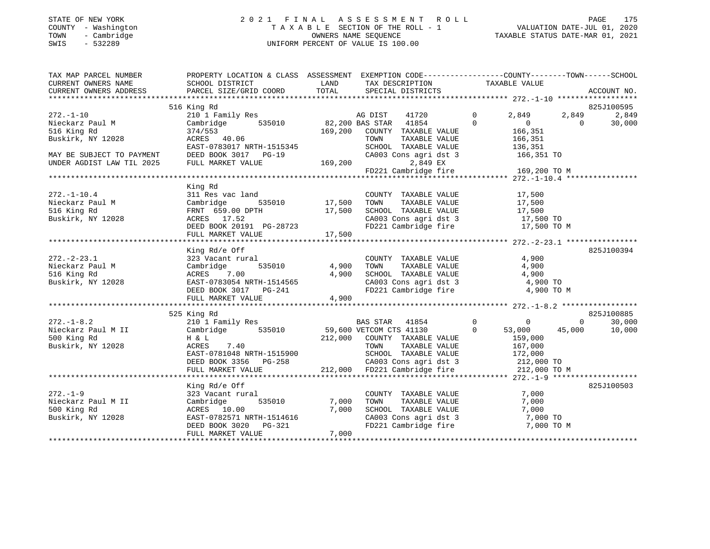#### STATE OF NEW YORK 2 0 2 1 F I N A L A S S E S S M E N T R O L L PAGE 175 COUNTY - Washington T A X A B L E SECTION OF THE ROLL - 1 VALUATION DATE-JUL 01, 2020 TOWN - Cambridge OWNERS NAME SEQUENCE TAXABLE STATUS DATE-MAR 01, 2021 SWIS - 532289 UNIFORM PERCENT OF VALUE IS 100.00

|                                                                                                                                                                                                                                     | TAX MAP PARCEL NUMBER           PROPERTY LOCATION & CLASS  ASSESSMENT  EXEMPTION CODE--------------COUNTY-------TOWN-----SCHOOL                                                                                                  |         |                                                                                                                                 |                       |                   |             |
|-------------------------------------------------------------------------------------------------------------------------------------------------------------------------------------------------------------------------------------|----------------------------------------------------------------------------------------------------------------------------------------------------------------------------------------------------------------------------------|---------|---------------------------------------------------------------------------------------------------------------------------------|-----------------------|-------------------|-------------|
|                                                                                                                                                                                                                                     |                                                                                                                                                                                                                                  |         |                                                                                                                                 |                       |                   |             |
|                                                                                                                                                                                                                                     |                                                                                                                                                                                                                                  |         |                                                                                                                                 |                       |                   |             |
|                                                                                                                                                                                                                                     |                                                                                                                                                                                                                                  |         |                                                                                                                                 |                       |                   |             |
|                                                                                                                                                                                                                                     | 516 King Rd                                                                                                                                                                                                                      |         |                                                                                                                                 |                       |                   | 825J100595  |
| 272.-1-10                                                                                                                                                                                                                           |                                                                                                                                                                                                                                  |         |                                                                                                                                 | 2,849                 |                   | 2,849 2,849 |
|                                                                                                                                                                                                                                     |                                                                                                                                                                                                                                  |         |                                                                                                                                 | $\overline{0}$        | $\overline{0}$    | 30,000      |
|                                                                                                                                                                                                                                     |                                                                                                                                                                                                                                  | 169,200 | COUNTY TAXABLE VALUE                                                                                                            | 166,351               |                   |             |
|                                                                                                                                                                                                                                     |                                                                                                                                                                                                                                  |         | TAXABLE VALUE<br>TOWN                                                                                                           | 166,351               |                   |             |
|                                                                                                                                                                                                                                     |                                                                                                                                                                                                                                  |         | SCHOOL TAXABLE VALUE                                                                                                            | 136,351               |                   |             |
| MAY BE SUBJECT TO PAYMENT DEED BOOK 3017 PG-19<br>UNDER AGDIST LAW TIL 2025 FULL MARKET VALUE                                                                                                                                       | EAST-0783017 NRTH-1515345 SCHOOL 1<br>DEED BOOK 3017 PG-19 CA003 Cor<br>FULL MARKET VALUE 169,200                                                                                                                                |         | CA003 Cons agri dst 3 166,351 TO                                                                                                |                       |                   |             |
|                                                                                                                                                                                                                                     |                                                                                                                                                                                                                                  |         | 2,849 EX                                                                                                                        |                       |                   |             |
|                                                                                                                                                                                                                                     |                                                                                                                                                                                                                                  |         |                                                                                                                                 |                       |                   |             |
|                                                                                                                                                                                                                                     |                                                                                                                                                                                                                                  |         |                                                                                                                                 |                       |                   |             |
|                                                                                                                                                                                                                                     | King Rd                                                                                                                                                                                                                          |         |                                                                                                                                 |                       |                   |             |
| $272. - 1 - 10.4$                                                                                                                                                                                                                   | 311 Res vac land                                                                                                                                                                                                                 |         | COUNTY TAXABLE VALUE                                                                                                            | 17,500                |                   |             |
|                                                                                                                                                                                                                                     |                                                                                                                                                                                                                                  |         | TOWN TAXABLE VALUE 17,500<br>SCHOOL TAXABLE VALUE 17,500<br>CA003 Cons agri dst 3 17,500 TO<br>FD221 Cambridge fire 17,500 TO M |                       |                   |             |
|                                                                                                                                                                                                                                     |                                                                                                                                                                                                                                  |         |                                                                                                                                 |                       |                   |             |
|                                                                                                                                                                                                                                     |                                                                                                                                                                                                                                  |         |                                                                                                                                 |                       |                   |             |
|                                                                                                                                                                                                                                     |                                                                                                                                                                                                                                  |         |                                                                                                                                 |                       |                   |             |
|                                                                                                                                                                                                                                     |                                                                                                                                                                                                                                  |         |                                                                                                                                 |                       |                   |             |
|                                                                                                                                                                                                                                     | Buskirk, NY 12028 6000 40000 40000 40000 40000 40000 40000 40000 50000 50000 50000 50000 50000 50000 50000 60<br>DEED BOOK 20191 9G-28723 7,500 50221 Cambridge fire 17,500 70 M 5001 9ULL MARKET VALUE 17,500 17,500 50 6000 41 |         |                                                                                                                                 |                       |                   |             |
|                                                                                                                                                                                                                                     | King Rd/e Off                                                                                                                                                                                                                    |         |                                                                                                                                 |                       |                   | 825J100394  |
| $272. - 2 - 23.1$                                                                                                                                                                                                                   | 323 Vacant rural                                                                                                                                                                                                                 |         | COUNTY TAXABLE VALUE                                                                                                            | 4,900                 |                   |             |
|                                                                                                                                                                                                                                     |                                                                                                                                                                                                                                  |         | TAXABLE VALUE<br>TOWN                                                                                                           | 4,900                 |                   |             |
|                                                                                                                                                                                                                                     |                                                                                                                                                                                                                                  |         | SCHOOL TAXABLE VALUE 4,900<br>CA003 Cons agri dst 3 4,900 TO                                                                    |                       |                   |             |
|                                                                                                                                                                                                                                     |                                                                                                                                                                                                                                  |         |                                                                                                                                 |                       |                   |             |
|                                                                                                                                                                                                                                     |                                                                                                                                                                                                                                  |         | FD221 Cambridge fire 4,900 TO M                                                                                                 |                       |                   |             |
|                                                                                                                                                                                                                                     | 272.-2-23.1<br>Nieckarz Paul M Cambridge 535010 4,900<br>516 King Rd 2028 2007 - 2013 2028 2021<br>Buskirk, NY 12028 2027 DEED BOOK 3017 PG-241<br>FULL MARKET VALUE 4,900                                                       |         |                                                                                                                                 |                       |                   |             |
|                                                                                                                                                                                                                                     |                                                                                                                                                                                                                                  |         |                                                                                                                                 |                       |                   |             |
|                                                                                                                                                                                                                                     | 525 King Rd                                                                                                                                                                                                                      |         |                                                                                                                                 |                       |                   | 825J100885  |
| $272. - 1 - 8.2$                                                                                                                                                                                                                    | 210 1 Family Res                                                                                                                                                                                                                 |         | BAS STAR 41854 0 0                                                                                                              |                       | $0 \qquad \qquad$ | 30,000      |
|                                                                                                                                                                                                                                     |                                                                                                                                                                                                                                  |         | 59,600 VETCOM CTS 41130<br>212,000 COUNTY TAXABLE VALUE                                                                         | 53,000 45,000         |                   | 10,000      |
|                                                                                                                                                                                                                                     |                                                                                                                                                                                                                                  |         |                                                                                                                                 | 159,000               |                   |             |
|                                                                                                                                                                                                                                     |                                                                                                                                                                                                                                  |         | TOWN                                                                                                                            | TAXABLE VALUE 167,000 |                   |             |
|                                                                                                                                                                                                                                     |                                                                                                                                                                                                                                  |         |                                                                                                                                 |                       |                   |             |
|                                                                                                                                                                                                                                     |                                                                                                                                                                                                                                  |         |                                                                                                                                 |                       |                   |             |
|                                                                                                                                                                                                                                     | EAST-0781048 NRTH-1515900 SCHOOL TAXABLE VALUE 172,000<br>DEED BOOK 3356 PG-258 CA003 Cons agri dst 3 212,000 TO<br>FULL MARKET VALUE 212,000 PD221 Cambridge fire 212,000 TO M                                                  |         |                                                                                                                                 |                       |                   |             |
|                                                                                                                                                                                                                                     |                                                                                                                                                                                                                                  |         |                                                                                                                                 |                       |                   |             |
|                                                                                                                                                                                                                                     | King Rd/e Off                                                                                                                                                                                                                    |         |                                                                                                                                 |                       |                   | 825J100503  |
| $272. - 1 - 9$                                                                                                                                                                                                                      | 323 Vacant rural                                                                                                                                                                                                                 |         | COUNTY TAXABLE VALUE<br>TOWN TAXABLE VALUE                                                                                      | 7,000                 |                   |             |
| and the set of the set of the set of the set of the set of the set of the set of the set of the set of the set<br>Million of the set of the set of the set of the set of the set of the set of the set of the set of the set of<br> | 535010 7,000                                                                                                                                                                                                                     |         |                                                                                                                                 | 7,000                 |                   |             |
| 500 King Rd                                                                                                                                                                                                                         |                                                                                                                                                                                                                                  | 7,000   |                                                                                                                                 |                       |                   |             |
| Buskirk, NY 12028                                                                                                                                                                                                                   |                                                                                                                                                                                                                                  |         |                                                                                                                                 |                       |                   |             |
|                                                                                                                                                                                                                                     | ACRES 10.00<br>2028 EAST-0782571 NRTH-1514616<br>DEED BOOK 3020 PG-321                                                                                                                                                           |         | SCHOOL TAXABLE VALUE 7,000<br>CA003 Cons agri dst 3 7,000 TO<br>FD221 Cambridge fire 7,000 TO M                                 |                       |                   |             |
|                                                                                                                                                                                                                                     | FULL MARKET VALUE                                                                                                                                                                                                                | 7,000   |                                                                                                                                 |                       |                   |             |
|                                                                                                                                                                                                                                     |                                                                                                                                                                                                                                  |         |                                                                                                                                 |                       |                   |             |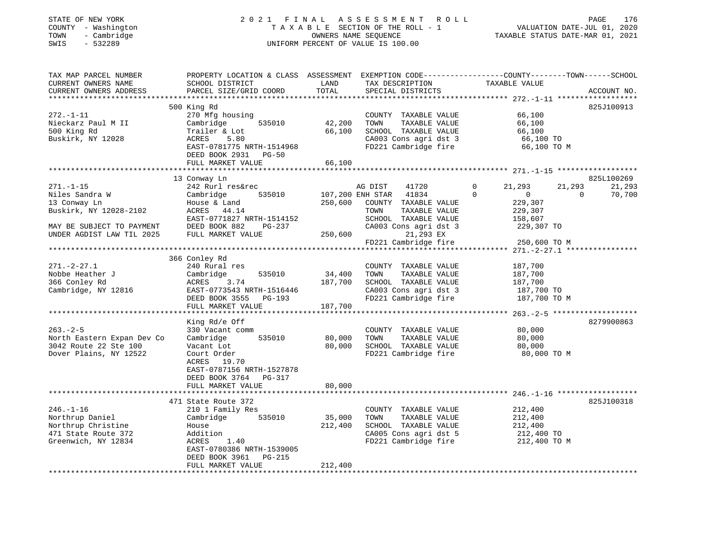#### STATE OF NEW YORK 2 0 2 1 F I N A L A S S E S S M E N T R O L L PAGE 176 COUNTY - Washington T A X A B L E SECTION OF THE ROLL - 1 VALUATION DATE-JUL 01, 2020 TOWN - Cambridge OWNERS NAME SEQUENCE TAXABLE STATUS DATE-MAR 01, 2021 SWIS - 532289 UNIFORM PERCENT OF VALUE IS 100.00

| TAX MAP PARCEL NUMBER<br>CURRENT OWNERS NAME<br>CURRENT OWNERS ADDRESS                                                                | SCHOOL DISTRICT<br>PARCEL SIZE/GRID COORD                                                                                                                                                                  | LAND<br>TOTAL                | TAX DESCRIPTION<br>SPECIAL DISTRICTS                                                                                                                         | PROPERTY LOCATION & CLASS ASSESSMENT EXEMPTION CODE---------------COUNTY-------TOWN------SCHOOL<br>TAXABLE VALUE | ACCOUNT NO.                                |
|---------------------------------------------------------------------------------------------------------------------------------------|------------------------------------------------------------------------------------------------------------------------------------------------------------------------------------------------------------|------------------------------|--------------------------------------------------------------------------------------------------------------------------------------------------------------|------------------------------------------------------------------------------------------------------------------|--------------------------------------------|
| $272. - 1 - 11$<br>Nieckarz Paul M II<br>500 King Rd<br>Buskirk, NY 12028                                                             | 500 King Rd<br>270 Mfg housing<br>535010<br>Cambridge<br>Trailer & Lot<br>ACRES<br>5.80<br>EAST-0781775 NRTH-1514968                                                                                       | 42,200<br>66,100             | COUNTY TAXABLE VALUE<br>TAXABLE VALUE<br>TOWN<br>SCHOOL TAXABLE VALUE<br>CA003 Cons agri dst 3<br>FD221 Cambridge fire                                       | 66,100<br>66,100<br>66,100<br>66,100 TO<br>66,100 TO M                                                           | 825J100913                                 |
|                                                                                                                                       | DEED BOOK 2931 PG-50<br>FULL MARKET VALUE                                                                                                                                                                  | 66,100                       |                                                                                                                                                              |                                                                                                                  |                                            |
| $271. - 1 - 15$<br>Niles Sandra W<br>13 Conway Ln<br>Buskirk, NY 12028-2102<br>MAY BE SUBJECT TO PAYMENT<br>UNDER AGDIST LAW TIL 2025 | 13 Conway Ln<br>242 Rurl res&rec<br>Cambridge<br>535010<br>House & Land<br>ACRES 44.14<br>EAST-0771827 NRTH-1514152<br>DEED BOOK 882<br>PG-237<br>FULL MARKET VALUE                                        | 250,600<br>250,600           | AG DIST<br>41720<br>107,200 ENH STAR<br>41834<br>COUNTY TAXABLE VALUE<br>TOWN<br>TAXABLE VALUE<br>SCHOOL TAXABLE VALUE<br>CA003 Cons agri dst 3<br>21,293 EX | $\mathbf 0$<br>21,293<br>21,293<br>$\Omega$<br>$\mathbf{0}$<br>229,307<br>229,307<br>158,607<br>229,307 TO       | 825L100269<br>21,293<br>$\Omega$<br>70,700 |
|                                                                                                                                       |                                                                                                                                                                                                            |                              | FD221 Cambridge fire                                                                                                                                         | 250,600 TO M                                                                                                     |                                            |
| $271. - 2 - 27.1$<br>Nobbe Heather J<br>366 Conley Rd<br>Cambridge, NY 12816                                                          | 366 Conley Rd<br>240 Rural res<br>535010<br>Cambridge<br>ACRES<br>3.74<br>EAST-0773543 NRTH-1516446<br>DEED BOOK 3555<br>PG-193<br>FULL MARKET VALUE                                                       | 34,400<br>187,700<br>187,700 | COUNTY TAXABLE VALUE<br>TOWN<br>TAXABLE VALUE<br>SCHOOL TAXABLE VALUE<br>CA003 Cons agri dst 3<br>FD221 Cambridge fire                                       | 187,700<br>187,700<br>187,700<br>187,700 TO<br>187,700 TO M                                                      |                                            |
| $263. - 2 - 5$<br>North Eastern Expan Dev Co<br>3042 Route 22 Ste 100<br>Dover Plains, NY 12522                                       | King Rd/e Off<br>330 Vacant comm<br>535010<br>Cambridge<br>Vacant Lot<br>Court Order<br>ACRES 19.70<br>EAST-0787156 NRTH-1527878<br>DEED BOOK 3764 PG-317<br>FULL MARKET VALUE<br>************************ | 80,000<br>80,000<br>80,000   | COUNTY TAXABLE VALUE<br>TOWN<br>TAXABLE VALUE<br>SCHOOL TAXABLE VALUE<br>FD221 Cambridge fire                                                                | 80,000<br>80,000<br>80,000<br>80,000 TO M                                                                        | 8279900863                                 |
| $246. - 1 - 16$<br>Northrup Daniel<br>Northrup Christine<br>471 State Route 372<br>Greenwich, NY 12834                                | 471 State Route 372<br>210 1 Family Res<br>535010<br>Cambridge<br>House<br>Addition<br>1.40<br>ACRES<br>EAST-0780386 NRTH-1539005<br>DEED BOOK 3961<br>PG-215<br>FULL MARKET VALUE                         | 35,000<br>212,400<br>212,400 | COUNTY TAXABLE VALUE<br>TOWN<br>TAXABLE VALUE<br>SCHOOL TAXABLE VALUE<br>CA005 Cons agri dst 5<br>FD221 Cambridge fire                                       | 212,400<br>212,400<br>212,400<br>212,400 TO<br>212,400 TO M                                                      | 825J100318                                 |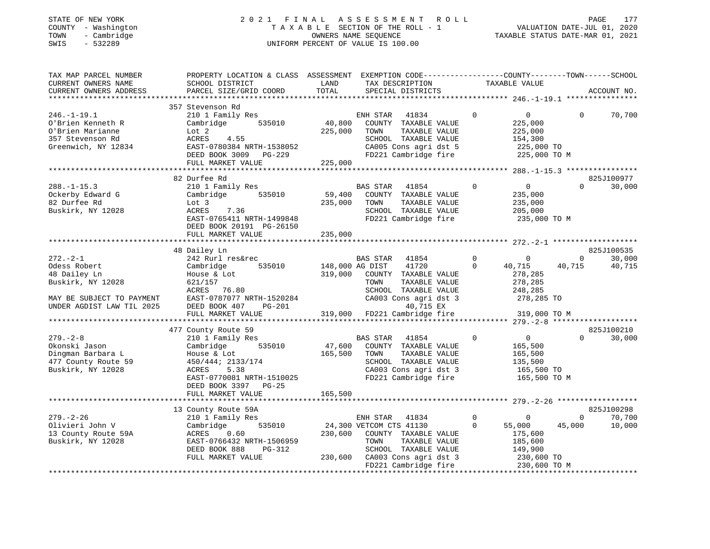#### STATE OF NEW YORK 2 0 2 1 F I N A L A S S E S S M E N T R O L L PAGE 177 COUNTY - Washington T A X A B L E SECTION OF THE ROLL - 1 VALUATION DATE-JUL 01, 2020 TOWN - Cambridge OWNERS NAME SEQUENCE TAXABLE STATUS DATE-MAR 01, 2021 SWIS - 532289 UNIFORM PERCENT OF VALUE IS 100.00UNIFORM PERCENT OF VALUE IS 100.00

| TAX MAP PARCEL NUMBER<br>CURRENT OWNERS NAME<br>CURRENT OWNERS ADDRESS<br>*************************                                                              | PROPERTY LOCATION & CLASS ASSESSMENT EXEMPTION CODE----------------COUNTY-------TOWN-----SCHOOL<br>SCHOOL DISTRICT<br>PARCEL SIZE/GRID COORD                                                                                    | LAND<br>TOTAL                                   | TAX DESCRIPTION<br>SPECIAL DISTRICTS                                                                                                                                                                           | TAXABLE VALUE                                                                                            |                                                                                      | ACCOUNT NO.                              |
|------------------------------------------------------------------------------------------------------------------------------------------------------------------|---------------------------------------------------------------------------------------------------------------------------------------------------------------------------------------------------------------------------------|-------------------------------------------------|----------------------------------------------------------------------------------------------------------------------------------------------------------------------------------------------------------------|----------------------------------------------------------------------------------------------------------|--------------------------------------------------------------------------------------|------------------------------------------|
| $246. - 1 - 19.1$<br>O'Brien Kenneth R<br>O'Brien Marianne<br>357 Stevenson Rd<br>Greenwich, NY 12834                                                            | 357 Stevenson Rd<br>210 1 Family Res<br>535010<br>Cambridge<br>Lot 2<br>ACRES<br>4.55<br>EAST-0780384 NRTH-1538052<br>DEED BOOK 3009 PG-229                                                                                     | 40,800<br>225,000                               | ENH STAR<br>41834<br>COUNTY TAXABLE VALUE<br>TOWN<br>TAXABLE VALUE<br>SCHOOL TAXABLE VALUE<br>CA005 Cons agri dst 5<br>FD221 Cambridge fire                                                                    | $\mathbf 0$<br>225,000<br>225,000<br>154,300                                                             | $\overline{0}$<br>$\Omega$<br>225,000 TO<br>225,000 TO M                             | 70,700                                   |
|                                                                                                                                                                  | FULL MARKET VALUE                                                                                                                                                                                                               | 225,000                                         |                                                                                                                                                                                                                |                                                                                                          |                                                                                      |                                          |
|                                                                                                                                                                  |                                                                                                                                                                                                                                 |                                                 |                                                                                                                                                                                                                |                                                                                                          |                                                                                      |                                          |
| $288. - 1 - 15.3$<br>Ockerby Edward G<br>82 Durfee Rd<br>Buskirk, NY 12028                                                                                       | 82 Durfee Rd<br>210 1 Family Res<br>535010<br>Cambridge<br>Lot 3<br>ACRES<br>7.36<br>EAST-0765411 NRTH-1499848<br>DEED BOOK 20191 PG-26150<br>FULL MARKET VALUE                                                                 | 59,400<br>235,000<br>235,000                    | BAS STAR<br>41854<br>COUNTY TAXABLE VALUE<br>TAXABLE VALUE<br>TOWN<br>SCHOOL TAXABLE VALUE<br>FD221 Cambridge fire                                                                                             | $\mathbf 0$<br>235,000<br>235,000<br>205,000                                                             | $\overline{0}$<br>$\Omega$<br>235,000 TO M                                           | 825J100977<br>30,000                     |
|                                                                                                                                                                  |                                                                                                                                                                                                                                 |                                                 |                                                                                                                                                                                                                |                                                                                                          |                                                                                      |                                          |
|                                                                                                                                                                  | 48 Dailey Ln                                                                                                                                                                                                                    |                                                 |                                                                                                                                                                                                                |                                                                                                          |                                                                                      | 825J100535                               |
| $272. - 2 - 1$<br>Odess Robert<br>48 Dailey Ln<br>Buskirk, NY 12028<br>MAY BE SUBJECT TO PAYMENT<br>UNDER AGDIST LAW TIL 2025<br>$279. - 2 - 8$<br>Okonski Jason | 242 Rurl res&rec<br>Cambridge<br>535010<br>House & Lot<br>621/157<br>ACRES 76.80<br>EAST-0787077 NRTH-1520284<br>DEED BOOK 407<br>PG-201<br>FULL MARKET VALUE<br>477 County Route 59<br>210 1 Family Res<br>Cambridge<br>535010 | 148,000 AG DIST<br>319,000<br>319,000<br>47,600 | BAS STAR<br>41854<br>41720<br>COUNTY TAXABLE VALUE<br>TOWN<br>TAXABLE VALUE<br>SCHOOL TAXABLE VALUE<br>CA003 Cons agri dst 3<br>40,715 EX<br>FD221 Cambridge fire<br>BAS STAR<br>41854<br>COUNTY TAXABLE VALUE | $\mathbf 0$<br>$\mathbf 0$<br>$\Omega$<br>40,715<br>278,285<br>278,285<br>248,285<br>$\Omega$<br>165,500 | $\overline{0}$<br>40,715<br>278,285 TO<br>319,000 TO M<br>$\overline{0}$<br>$\Omega$ | 30,000<br>40,715<br>825J100210<br>30,000 |
| Dingman Barbara L<br>477 County Route 59<br>Buskirk, NY 12028                                                                                                    | House & Lot<br>450/444; 2133/174<br>ACRES<br>5.38<br>EAST-0770081 NRTH-1510025<br>DEED BOOK 3397<br>$PG-25$<br>FULL MARKET VALUE                                                                                                | 165,500<br>165,500                              | TOWN<br>TAXABLE VALUE<br>SCHOOL TAXABLE VALUE<br>CA003 Cons agri dst 3<br>FD221 Cambridge fire                                                                                                                 | 165,500<br>135,500                                                                                       | 165,500 TO<br>165,500 TO M                                                           |                                          |
|                                                                                                                                                                  | 13 County Route 59A                                                                                                                                                                                                             |                                                 |                                                                                                                                                                                                                |                                                                                                          |                                                                                      | 825J100298                               |
| $279. - 2 - 26$<br>Olivieri John V<br>13 County Route 59A<br>Buskirk, NY 12028                                                                                   | 210 1 Family Res<br>535010<br>Cambridge<br>ACRES<br>0.60<br>EAST-0766432 NRTH-1506959<br>DEED BOOK 888<br>PG-312<br>FULL MARKET VALUE                                                                                           | 230,600<br>230,600                              | ENH STAR<br>41834<br>24,300 VETCOM CTS 41130<br>COUNTY TAXABLE VALUE<br>TOWN<br>TAXABLE VALUE<br>SCHOOL TAXABLE VALUE<br>CA003 Cons agri dst 3<br>FD221 Cambridge fire                                         | $\circ$<br>$\mathbf 0$<br>55,000<br>0<br>175,600<br>185,600<br>149,900                                   | $\mathbf{0}$<br>45,000<br>230,600 TO<br>230,600 TO M                                 | 70,700<br>10,000                         |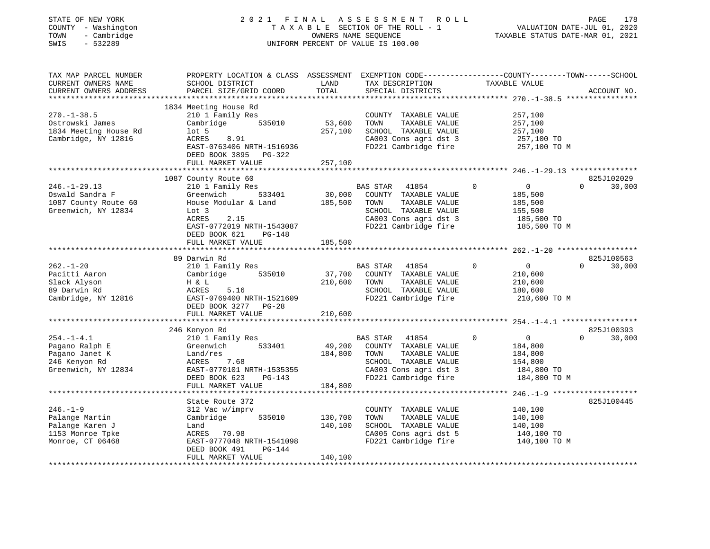| STATE OF NEW YORK<br>COUNTY - Washington<br>- Cambridge<br>TOWN<br>$-532289$<br>SWIS        | 2021 FINAL                                                                                                                                                                                     | OWNERS NAME SEQUENCE         | UNIFORM PERCENT OF VALUE IS 100.00 | ASSESSMENT ROLL<br>TAXABLE SECTION OF THE ROLL - 1                                                                      |          | VALUATION DATE-JUL 01, 2020<br>TAXABLE STATUS DATE-MAR 01, 2021               | PAGE     | 178                  |
|---------------------------------------------------------------------------------------------|------------------------------------------------------------------------------------------------------------------------------------------------------------------------------------------------|------------------------------|------------------------------------|-------------------------------------------------------------------------------------------------------------------------|----------|-------------------------------------------------------------------------------|----------|----------------------|
| TAX MAP PARCEL NUMBER<br>CURRENT OWNERS NAME<br>CURRENT OWNERS ADDRESS                      | PROPERTY LOCATION & CLASS ASSESSMENT EXEMPTION CODE---------------COUNTY-------TOWN------SCHOOL<br>SCHOOL DISTRICT<br>PARCEL SIZE/GRID COORD                                                   | LAND<br>TOTAL                | SPECIAL DISTRICTS                  | TAX DESCRIPTION TAXABLE VALUE                                                                                           |          |                                                                               |          | ACCOUNT NO.          |
| $270. - 1 - 38.5$<br>Ostrowski James<br>1834 Meeting House Rd<br>Cambridge, NY 12816        | 1834 Meeting House Rd<br>210 1 Family Res<br>Cambridge 535010<br>$1$ ot 5<br>8.91<br>ACRES<br>EAST-0763406 NRTH-1516936<br>DEED BOOK 3895 PG-322<br>FULL MARKET VALUE                          | 53,600<br>257,100<br>257,100 | TOWN                               | COUNTY TAXABLE VALUE<br>TAXABLE VALUE<br>SCHOOL TAXABLE VALUE<br>CA003 Cons agri dst 3<br>FD221 Cambridge fire          |          | 257,100<br>257,100<br>257,100<br>257,100 TO<br>257,100 TO M                   |          |                      |
|                                                                                             |                                                                                                                                                                                                |                              |                                    |                                                                                                                         |          |                                                                               |          |                      |
| $246. - 1 - 29.13$<br>Oswald Sandra F<br>1087 County Route 60<br>Greenwich, NY 12834        | 1087 County Route 60<br>210 1 Family Res<br>Greenwich<br>533401<br>House Modular & Land<br>Lot 3<br>ACRES<br>2.15<br>EAST-0772019 NRTH-1543087<br>DEED BOOK 621<br>PG-148<br>FULL MARKET VALUE | 30,000<br>185,500            | BAS STAR<br>TOWN                   | 41854<br>COUNTY TAXABLE VALUE<br>TAXABLE VALUE<br>SCHOOL TAXABLE VALUE<br>CA003 Cons agri dst 3<br>FD221 Cambridge fire | $\Omega$ | $\overline{0}$<br>185,500<br>185,500<br>155,500<br>185,500 TO<br>185,500 TO M | $\Omega$ | 825J102029<br>30,000 |
|                                                                                             |                                                                                                                                                                                                | 185,500                      |                                    |                                                                                                                         |          |                                                                               |          |                      |
| $262. - 1 - 20$<br>Pacitti Aaron<br>Slack Alyson<br>89 Darwin Rd<br>Cambridge, NY 12816     | 89 Darwin Rd<br>210 1 Family Res<br>535010<br>Cambridge<br>H & L<br>ACRES<br>5.16<br>EAST-0769400 NRTH-1521609<br>DEED BOOK 3277 PG-28                                                         | 37,700<br>210,600            | BAS STAR<br>TOWN                   | 41854<br>COUNTY TAXABLE VALUE<br>TAXABLE VALUE<br>SCHOOL TAXABLE VALUE<br>FD221 Cambridge fire                          | $\Omega$ | $\overline{0}$<br>210,600<br>210,600<br>180,600<br>210,600 TO M               | $\Omega$ | 825J100563<br>30,000 |
|                                                                                             | FULL MARKET VALUE                                                                                                                                                                              | 210,600                      |                                    |                                                                                                                         |          |                                                                               |          |                      |
| **********************<br>$254. - 1 - 4.1$<br>Pagano Ralph E<br>Pagano Janet K              | 246 Kenyon Rd<br>210 1 Family Res<br>Greenwich<br>533401<br>Land/res                                                                                                                           | 49,200<br>184,800            | BAS STAR<br>TOWN                   | 41854<br>COUNTY TAXABLE VALUE<br>TAXABLE VALUE                                                                          | $\Omega$ | $\overline{0}$<br>184,800<br>184,800                                          | $\Omega$ | 825J100393<br>30,000 |
| 246 Kenyon Rd<br>Greenwich, NY 12834                                                        | 7.68<br>ACRES<br>EAST-0770101 NRTH-1535355<br>DEED BOOK 623<br>PG-143<br>FULL MARKET VALUE                                                                                                     | 184,800                      |                                    | SCHOOL TAXABLE VALUE<br>CA003 Cons agri dst 3<br>FD221 Cambridge fire                                                   |          | 154,800<br>184,800 TO<br>184,800 TO M                                         |          |                      |
|                                                                                             |                                                                                                                                                                                                |                              |                                    |                                                                                                                         |          |                                                                               |          |                      |
| $246. - 1 - 9$<br>Palange Martin<br>Palange Karen J<br>1153 Monroe Tpke<br>Monroe, CT 06468 | State Route 372<br>312 Vac w/imprv<br>Cambridge<br>535010<br>Land<br>ACRES 70.98<br>EAST-0777048 NRTH-1541098                                                                                  | 130,700<br>140,100           | TOWN                               | COUNTY TAXABLE VALUE<br>TAXABLE VALUE<br>SCHOOL TAXABLE VALUE<br>CA005 Cons agri dst 5<br>FD221 Cambridge fire          |          | 140,100<br>140,100<br>140,100<br>140,100 TO<br>140,100 TO M                   |          | 825J100445           |
| **************************                                                                  | DEED BOOK 491<br>PG-144<br>FULL MARKET VALUE                                                                                                                                                   | 140,100                      |                                    |                                                                                                                         |          |                                                                               |          |                      |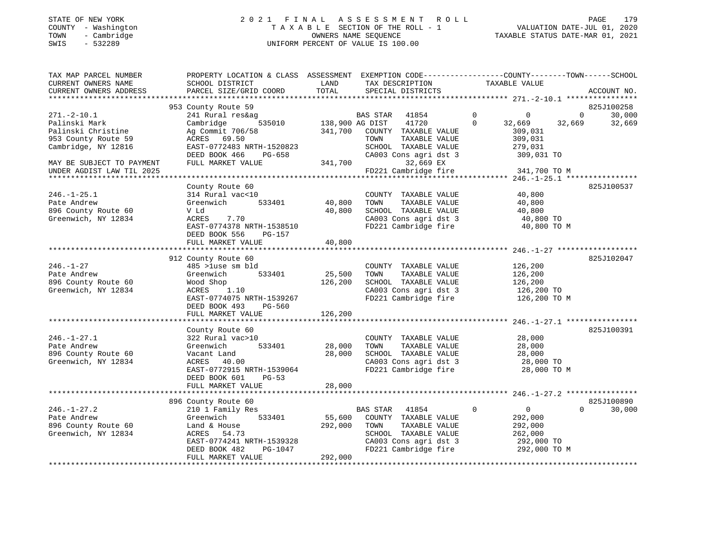#### STATE OF NEW YORK 2 0 2 1 F I N A L A S S E S S M E N T R O L L PAGE 179 COUNTY - Washington T A X A B L E SECTION OF THE ROLL - 1 VALUATION DATE-JUL 01, 2020 TOWN - Cambridge OWNERS NAME SEQUENCE TAXABLE STATUS DATE-MAR 01, 2021 SWIS - 532289 UNIFORM PERCENT OF VALUE IS 100.00

| TAX MAP PARCEL NUMBER<br>CURRENT OWNERS NAME        | PROPERTY LOCATION & CLASS ASSESSMENT EXEMPTION CODE---------------COUNTY-------TOWN------SCHOOL<br>SCHOOL DISTRICT | LAND         | TAX DESCRIPTION          | TAXABLE VALUE                                          |          |             |
|-----------------------------------------------------|--------------------------------------------------------------------------------------------------------------------|--------------|--------------------------|--------------------------------------------------------|----------|-------------|
| CURRENT OWNERS ADDRESS<br>************************* | PARCEL SIZE/GRID COORD                                                                                             | TOTAL        | SPECIAL DISTRICTS        |                                                        |          | ACCOUNT NO. |
|                                                     | 953 County Route 59                                                                                                |              |                          |                                                        |          | 825J100258  |
| $271. - 2 - 10.1$                                   | 241 Rural res&ag                                                                                                   |              | <b>BAS STAR</b><br>41854 | $\mathbf 0$<br>$\Omega$                                | $\Omega$ | 30,000      |
| Palinski Mark                                       | 535010<br>Cambridge                                                                                                |              | 138,900 AG DIST<br>41720 | $\Omega$<br>32,669                                     | 32,669   | 32,669      |
| Palinski Christine                                  | Ag Commit 706/58                                                                                                   | 341,700      | COUNTY TAXABLE VALUE     | 309,031                                                |          |             |
| 953 County Route 59                                 | ACRES 69.50                                                                                                        |              | TAXABLE VALUE<br>TOWN    | 309,031                                                |          |             |
| Cambridge, NY 12816                                 | EAST-0772483 NRTH-1520823                                                                                          |              | SCHOOL TAXABLE VALUE     | 279,031                                                |          |             |
|                                                     | DEED BOOK 466<br>PG-658                                                                                            |              | CA003 Cons agri dst 3    | 309,031 TO                                             |          |             |
| MAY BE SUBJECT TO PAYMENT                           | FULL MARKET VALUE                                                                                                  | 341,700      | 32,669 EX                |                                                        |          |             |
| UNDER AGDIST LAW TIL 2025                           |                                                                                                                    |              | FD221 Cambridge fire     | 341,700 TO M                                           |          |             |
|                                                     |                                                                                                                    |              |                          |                                                        |          |             |
|                                                     | County Route 60                                                                                                    |              |                          |                                                        |          | 825J100537  |
| $246. - 1 - 25.1$                                   | 314 Rural vac<10                                                                                                   |              | COUNTY TAXABLE VALUE     | 40,800                                                 |          |             |
| Pate Andrew                                         | 533401<br>Greenwich                                                                                                | 40,800       | TAXABLE VALUE<br>TOWN    | 40,800                                                 |          |             |
| 896 County Route 60                                 | V Ld                                                                                                               | 40,800       | SCHOOL TAXABLE VALUE     | 40,800                                                 |          |             |
| Greenwich, NY 12834                                 | 7.70<br>ACRES                                                                                                      |              | CA003 Cons agri dst 3    | 40,800 TO                                              |          |             |
|                                                     | EAST-0774378 NRTH-1538510                                                                                          |              | FD221 Cambridge fire     | 40,800 TO M                                            |          |             |
|                                                     | DEED BOOK 556<br>$PG-157$                                                                                          |              |                          |                                                        |          |             |
|                                                     | FULL MARKET VALUE                                                                                                  | 40,800       |                          |                                                        |          |             |
|                                                     |                                                                                                                    |              |                          |                                                        |          | 825J102047  |
| $246. - 1 - 27$                                     | 912 County Route 60<br>485 >luse sm bld                                                                            |              | COUNTY TAXABLE VALUE     | 126,200                                                |          |             |
| Pate Andrew                                         | Greenwich<br>533401                                                                                                | 25,500       | TOWN<br>TAXABLE VALUE    | 126,200                                                |          |             |
| 896 County Route 60                                 | Wood Shop                                                                                                          | 126,200      | SCHOOL TAXABLE VALUE     | 126,200                                                |          |             |
| Greenwich, NY 12834                                 | 1.10<br>ACRES                                                                                                      |              | CA003 Cons agri dst 3    | 126,200 TO                                             |          |             |
|                                                     | EAST-0774075 NRTH-1539267                                                                                          |              | FD221 Cambridge fire     | 126,200 TO M                                           |          |             |
|                                                     | DEED BOOK 493<br><b>PG-560</b>                                                                                     |              |                          |                                                        |          |             |
|                                                     | FULL MARKET VALUE                                                                                                  | 126,200      |                          |                                                        |          |             |
|                                                     |                                                                                                                    |              |                          |                                                        |          |             |
|                                                     | County Route 60                                                                                                    |              |                          |                                                        |          | 825J100391  |
| $246. - 1 - 27.1$                                   | 322 Rural vac>10                                                                                                   |              | COUNTY TAXABLE VALUE     | 28,000                                                 |          |             |
| Pate Andrew                                         | Greenwich<br>533401                                                                                                | 28,000       | TOWN<br>TAXABLE VALUE    | 28,000                                                 |          |             |
| 896 County Route 60                                 | Vacant Land                                                                                                        | 28,000       | SCHOOL TAXABLE VALUE     | 28,000                                                 |          |             |
| Greenwich, NY 12834                                 | ACRES<br>40.00                                                                                                     |              | CA003 Cons agri dst 3    | 28,000 TO                                              |          |             |
|                                                     | EAST-0772915 NRTH-1539064                                                                                          |              | FD221 Cambridge fire     | 28,000 TO M                                            |          |             |
|                                                     | DEED BOOK 601<br>$PG-53$                                                                                           |              |                          |                                                        |          |             |
|                                                     | FULL MARKET VALUE                                                                                                  | 28,000       |                          |                                                        |          |             |
|                                                     | ***********************                                                                                            | ************ |                          | ************************ 246.-1-27.2 ***************** |          |             |
|                                                     | 896 County Route 60                                                                                                |              |                          |                                                        |          | 825J100890  |
| $246. - 1 - 27.2$                                   | 210 1 Family Res                                                                                                   |              | <b>BAS STAR</b><br>41854 | $\mathbf 0$<br>$\overline{0}$                          | $\Omega$ | 30,000      |
| Pate Andrew                                         | 533401<br>Greenwich                                                                                                | 55,600       | COUNTY TAXABLE VALUE     | 292,000                                                |          |             |
| 896 County Route 60                                 | Land & House                                                                                                       | 292,000      | TOWN<br>TAXABLE VALUE    | 292,000                                                |          |             |
| Greenwich, NY 12834                                 | 54.73<br>ACRES                                                                                                     |              | SCHOOL TAXABLE VALUE     | 262,000                                                |          |             |
|                                                     | EAST-0774241 NRTH-1539328                                                                                          |              | CA003 Cons agri dst 3    | 292,000 TO                                             |          |             |
|                                                     | DEED BOOK 482<br>PG-1047                                                                                           |              | FD221 Cambridge fire     | 292,000 TO M                                           |          |             |
|                                                     | FULL MARKET VALUE                                                                                                  | 292,000      |                          |                                                        |          |             |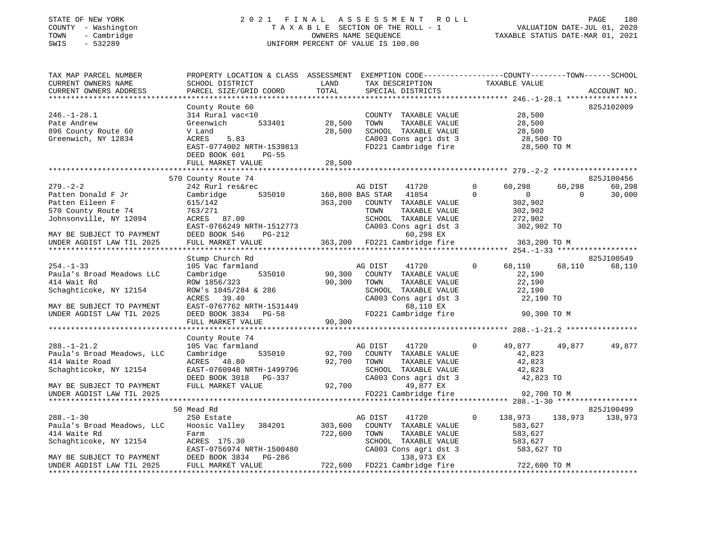#### STATE OF NEW YORK 2 0 2 1 F I N A L A S S E S S M E N T R O L L PAGE 180 COUNTY - Washington T A X A B L E SECTION OF THE ROLL - 1 VALUATION DATE-JUL 01, 2020 TOWN - Cambridge OWNERS NAME SEQUENCE TAXABLE STATUS DATE-MAR 01, 2021 SWIS - 532289 UNIFORM PERCENT OF VALUE IS 100.00UNIFORM PERCENT OF VALUE IS 100.00

| TAX MAP PARCEL NUMBER<br>CURRENT OWNERS NAME | PROPERTY LOCATION & CLASS ASSESSMENT EXEMPTION CODE----------------COUNTY-------TOWN-----SCHOOL<br>SCHOOL DISTRICT | LAND    | TAX DESCRIPTION                           | TAXABLE VALUE                    |                          |
|----------------------------------------------|--------------------------------------------------------------------------------------------------------------------|---------|-------------------------------------------|----------------------------------|--------------------------|
| CURRENT OWNERS ADDRESS                       | PARCEL SIZE/GRID COORD                                                                                             | TOTAL   | SPECIAL DISTRICTS                         |                                  | ACCOUNT NO.              |
|                                              |                                                                                                                    |         |                                           |                                  | 825J102009               |
| $246. - 1 - 28.1$                            | County Route 60<br>314 Rural vac<10                                                                                |         | COUNTY TAXABLE VALUE                      | 28,500                           |                          |
| Pate Andrew                                  | Greenwich<br>533401                                                                                                | 28,500  | TOWN<br>TAXABLE VALUE                     | 28,500                           |                          |
| 896 County Route 60                          | V Land                                                                                                             | 28,500  | SCHOOL TAXABLE VALUE                      |                                  |                          |
| Greenwich, NY 12834                          | ACRES<br>5.83                                                                                                      |         | CA003 Cons agri dst 3                     | 28,500<br>28,500 TO<br>בר בר בר  |                          |
|                                              | EAST-0774002 NRTH-1539813                                                                                          |         | FD221 Cambridge fire 28,500 TO M          |                                  |                          |
|                                              | <b>PG-55</b><br>DEED BOOK 601                                                                                      |         |                                           |                                  |                          |
|                                              | FULL MARKET VALUE                                                                                                  | 28,500  |                                           |                                  |                          |
|                                              |                                                                                                                    |         |                                           |                                  |                          |
|                                              | 570 County Route 74                                                                                                |         |                                           |                                  | 825J100456               |
| $279. - 2 - 2$                               | 242 Rurl res&rec                                                                                                   |         | 41720<br>AG DIST                          | $\circ$<br>60,298                | 60,298<br>60,298         |
| Patten Donald F Jr                           | Cambridge                                                                                                          |         | 535010 160,800 BAS STAR 41854             | $\Omega$<br>$\overline{0}$       | $\overline{0}$<br>30,000 |
| Patten Eileen F                              | 615/142                                                                                                            | 363,200 | COUNTY TAXABLE VALUE                      | 302,902                          |                          |
| 570 County Route 74                          | 763/271                                                                                                            |         | TOWN<br>TAXABLE VALUE                     | 302,902                          |                          |
| Johnsonville, NY 12094                       | ACRES 87.00                                                                                                        |         | SCHOOL TAXABLE VALUE                      | 272,902                          |                          |
|                                              | EAST-0766249 NRTH-1512773                                                                                          |         | CA003 Cons agri dst 3                     | 302,902 TO                       |                          |
| MAY BE SUBJECT TO PAYMENT                    | DEED BOOK 546<br>PG-212                                                                                            |         | 60,298 EX                                 |                                  |                          |
| UNDER AGDIST LAW TIL 2025                    | FULL MARKET VALUE                                                                                                  |         | 363,200 FD221 Cambridge fire              | 363,200 TO M                     |                          |
| *********************                        | *****************************                                                                                      |         |                                           |                                  |                          |
|                                              | Stump Church Rd                                                                                                    |         |                                           |                                  | 825J100549               |
| $254. - 1 - 33$                              | 105 Vac farmland                                                                                                   |         | AG DIST<br>41720                          | $\Omega$<br>68,110               | 68,110<br>68,110         |
| Paula's Broad Meadows LLC                    | Cambridge<br>535010                                                                                                | 90,300  | COUNTY TAXABLE VALUE                      | 22,190                           |                          |
| 414 Wait Rd                                  | ROW 1856/323                                                                                                       | 90,300  | TOWN<br>TAXABLE VALUE                     | 22,190                           |                          |
| Schaghticoke, NY 12154                       | ROW's 1845/284 & 286<br>ACRES 39.40                                                                                |         | SCHOOL TAXABLE VALUE                      | 22,190                           |                          |
| MAY BE SUBJECT TO PAYMENT                    | ACRES 39.40<br>EAST-0767762 NRTH-1531449                                                                           |         | CA003 Cons agri dst 3<br>68,110 EX        | 22,190 TO                        |                          |
| UNDER AGDIST LAW TIL 2025                    | DEED BOOK 3834 PG-58                                                                                               |         | FD221 Cambridge fire                      | 90,300 TO M                      |                          |
|                                              | FULL MARKET VALUE                                                                                                  | 90,300  |                                           |                                  |                          |
|                                              |                                                                                                                    |         |                                           |                                  |                          |
|                                              | County Route 74                                                                                                    |         |                                           |                                  |                          |
| $288. - 1 - 21.2$                            | 105 Vac farmland                                                                                                   |         | AG DIST 41720                             | $\circ$<br>49,877                | 49,877<br>49,877         |
| Paula's Broad Meadows, LLC                   | 535010<br>Cambridge                                                                                                | 92,700  | COUNTY TAXABLE VALUE                      | 42,823                           |                          |
| 414 Waite Road                               | ACRES 48.80                                                                                                        |         | 92,700 TOWN<br>TAXABLE VALUE              | 42,823                           |                          |
| Schaghticoke, NY 12154                       | EAST-0760948 NRTH-1499796                                                                                          |         | SCHOOL TAXABLE VALUE                      | 42,823                           |                          |
|                                              | DEED BOOK 3018 PG-337                                                                                              |         | CA003 Cons agri dst 3                     | 42,823 TO                        |                          |
| MAY BE SUBJECT TO PAYMENT                    | FULL MARKET VALUE                                                                                                  |         | 92,700<br>49,877 EX                       |                                  |                          |
| UNDER AGDIST LAW TIL 2025                    |                                                                                                                    |         | FD221 Cambridge fire                      | 92,700 TO M                      |                          |
|                                              |                                                                                                                    |         |                                           |                                  |                          |
|                                              | 50 Mead Rd                                                                                                         |         |                                           |                                  | 825J100499               |
| $288. - 1 - 30$                              | 250 Estate                                                                                                         |         | AG DIST<br>41720                          | $\circ$<br>138,973               | 138,973<br>138,973       |
| Paula's Broad Meadows, LLC                   | Hoosic Valley 384201                                                                                               | 303,600 | COUNTY TAXABLE VALUE                      | 583,627                          |                          |
| 414 Waite Rd                                 | Farm                                                                                                               | 722,600 | TOWN<br>TAXABLE VALUE                     | 583,627                          |                          |
| Schaghticoke, NY 12154                       | ACRES 175.30                                                                                                       |         | SCHOOL TAXABLE VALUE                      | 583,627                          |                          |
|                                              | EAST-0756974 NRTH-1500480                                                                                          |         | CA003 Cons agri dst 3                     | 583,627 TO                       |                          |
| MAY BE SUBJECT TO PAYMENT DEED BOOK 3834     | PG-286                                                                                                             |         | 138,973 EX                                |                                  |                          |
| UNDER AGDIST LAW TIL 2025                    | FULL MARKET VALUE                                                                                                  |         | 722,600 FD221 Cambridge fire 322,600 TO M | ******************************** |                          |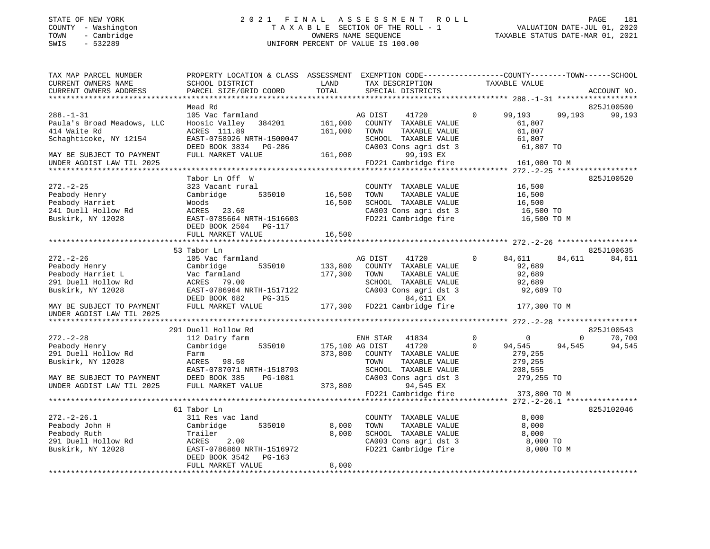#### STATE OF NEW YORK 2 0 2 1 F I N A L A S S E S S M E N T R O L L PAGE 181 COUNTY - Washington T A X A B L E SECTION OF THE ROLL - 1 VALUATION DATE-JUL 01, 2020 TOWN - Cambridge OWNERS NAME SEQUENCE TAXABLE STATUS DATE-MAR 01, 2021 SWIS - 532289 UNIFORM PERCENT OF VALUE IS 100.00UNIFORM PERCENT OF VALUE IS 100.00

| Mead Rd<br>825J100500<br>$288. - 1 - 31$<br>105 Vac farmland<br>41720<br>$\Omega$<br>99,193<br>99,193<br>AG DIST<br>161,000<br>Paula's Broad Meadows, LLC<br>Hoosic Valley 384201<br>COUNTY TAXABLE VALUE<br>61,807<br>ACRES 111.89<br>161,000<br>61,807<br>414 Waite Rd<br>TOWN<br>TAXABLE VALUE<br>Schaghticoke, NY 12154<br>EAST-0758926 NRTH-1500047<br>SCHOOL TAXABLE VALUE<br>61,807                                                                                                      | 99,193<br>825J100520 |
|-------------------------------------------------------------------------------------------------------------------------------------------------------------------------------------------------------------------------------------------------------------------------------------------------------------------------------------------------------------------------------------------------------------------------------------------------------------------------------------------------|----------------------|
|                                                                                                                                                                                                                                                                                                                                                                                                                                                                                                 |                      |
|                                                                                                                                                                                                                                                                                                                                                                                                                                                                                                 |                      |
| CA003 Cons agri dst 3<br>DEED BOOK 3834<br>PG-286<br>61,807 TO<br>FULL MARKET VALUE<br>161,000<br>99,193 EX<br>MAY BE SUBJECT TO PAYMENT<br>FD221 Cambridge fire                                                                                                                                                                                                                                                                                                                                |                      |
| 161,000 TO M<br>UNDER AGDIST LAW TIL 2025                                                                                                                                                                                                                                                                                                                                                                                                                                                       |                      |
| Tabor Ln Off W                                                                                                                                                                                                                                                                                                                                                                                                                                                                                  |                      |
| $272. - 2 - 25$<br>323 Vacant rural<br>16,500<br>COUNTY TAXABLE VALUE<br>16,500<br>TAXABLE VALUE<br>Peabody Henry<br>Cambridge<br>535010<br>TOWN<br>16,500<br>Peabody Harriet<br>Woods<br>16,500<br>SCHOOL TAXABLE VALUE<br>16,500<br>241 Duell Hollow Rd<br>CA003 Cons agri dst 3<br>ACRES<br>23.60<br>16,500 TO<br>Buskirk, NY 12028<br>EAST-0785664 NRTH-1516603<br>FD221 Cambridge fire<br>16,500 TO M<br>DEED BOOK 2504 PG-117                                                             |                      |
| 16,500<br>FULL MARKET VALUE                                                                                                                                                                                                                                                                                                                                                                                                                                                                     |                      |
|                                                                                                                                                                                                                                                                                                                                                                                                                                                                                                 |                      |
| 53 Tabor Ln<br>825J100635                                                                                                                                                                                                                                                                                                                                                                                                                                                                       |                      |
| $272. - 2 - 26$<br>105 Vac farmland<br>AG DIST<br>41720<br>84,611<br>$\mathbf{0}$<br>84,611<br>92,689<br>Peabody Henry<br>Cambridge<br>535010<br>133,800<br>COUNTY TAXABLE VALUE<br>177,300<br>Peabody Harriet L<br>Vac farmland<br>TOWN<br>TAXABLE VALUE<br>92,689<br>291 Duell Hollow Rd<br>SCHOOL TAXABLE VALUE<br>ACRES 79.00<br>92,689<br>Buskirk, NY 12028<br>EAST-0786964 NRTH-1517122<br>CA003 Cons agri dst 3<br>92,689 TO<br>DEED BOOK 682<br>$PG-315$<br>84,611 EX                   | 84,611               |
| FULL MARKET VALUE<br>177,300 FD221 Cambridge fire<br>177,300 TO M<br>MAY BE SUBJECT TO PAYMENT                                                                                                                                                                                                                                                                                                                                                                                                  |                      |
| UNDER AGDIST LAW TIL 2025                                                                                                                                                                                                                                                                                                                                                                                                                                                                       |                      |
| 291 Duell Hollow Rd<br>825J100543                                                                                                                                                                                                                                                                                                                                                                                                                                                               |                      |
| $272. - 2 - 28$<br>$\mathbf 0$<br>112 Dairy farm<br>ENH STAR 41834<br>$\mathbf 0$<br>$\mathbf 0$                                                                                                                                                                                                                                                                                                                                                                                                | 70,700               |
| 535010<br>175,100 AG DIST<br>41720<br>$\Omega$<br>94,545<br>94,545<br>Peabody Henry<br>Cambridge<br>291 Duell Hollow Rd<br>373,800<br>279,255<br>COUNTY TAXABLE VALUE<br>Farm<br>Buskirk, NY 12028<br>ACRES 98.50<br>TOWN<br>TAXABLE VALUE<br>279,255<br>EAST-0787071 NRTH-1518793<br>SCHOOL TAXABLE VALUE<br>208,555<br>DEED BOOK 385<br>CA003 Cons agri dst 3<br>MAY BE SUBJECT TO PAYMENT<br>PG-1081<br>279,255 TO<br>94,545 EX<br>UNDER AGDIST LAW TIL 2025<br>FULL MARKET VALUE<br>373,800 | 94,545               |
| FD221 Cambridge fire<br>373,800 TO M                                                                                                                                                                                                                                                                                                                                                                                                                                                            |                      |
|                                                                                                                                                                                                                                                                                                                                                                                                                                                                                                 |                      |
| 825J102046<br>61 Tabor Ln<br>$272. - 2 - 26.1$<br>311 Res vac land<br>COUNTY TAXABLE VALUE<br>8,000<br>Peabody John H<br>535010<br>8,000<br>TOWN<br>TAXABLE VALUE<br>8,000<br>Cambridge<br>Peabody Ruth<br>Trailer<br>8,000<br>SCHOOL TAXABLE VALUE<br>8,000<br>CA003 Cons agri dst 3<br>291 Duell Hollow Rd<br>ACRES<br>2.00<br>8,000 TO<br>EAST-0786860 NRTH-1516972<br>FD221 Cambridge fire<br>Buskirk, NY 12028<br>8,000 TO M<br>DEED BOOK 3542<br>PG-163                                   |                      |
| 8,000<br>FULL MARKET VALUE                                                                                                                                                                                                                                                                                                                                                                                                                                                                      |                      |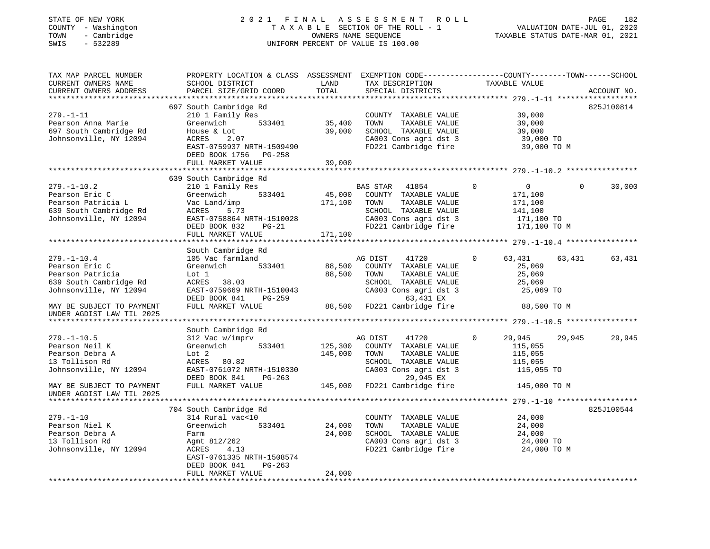| COUNTY - Washington<br>TOWN<br>- Cambridge<br>$-532289$<br>SWIS                                                                                              |                                                                                                                                                                             |                    | TAXABLE SECTION OF THE ROLL - 1<br>OWNERS NAME SEQUENCE<br>UNIFORM PERCENT OF VALUE IS 100.00                                                                   | TAXABLE STATUS DATE-MAR 01, 2021                                                          | VALUATION DATE-JUL 01, 2020 |             |
|--------------------------------------------------------------------------------------------------------------------------------------------------------------|-----------------------------------------------------------------------------------------------------------------------------------------------------------------------------|--------------------|-----------------------------------------------------------------------------------------------------------------------------------------------------------------|-------------------------------------------------------------------------------------------|-----------------------------|-------------|
| TAX MAP PARCEL NUMBER<br>CURRENT OWNERS NAME<br>CURRENT OWNERS ADDRESS                                                                                       | PROPERTY LOCATION & CLASS ASSESSMENT EXEMPTION CODE----------------COUNTY-------TOWN-----SCHOOL<br>SCHOOL DISTRICT<br>PARCEL SIZE/GRID COORD                                | LAND<br>TOTAL      | TAX DESCRIPTION<br>SPECIAL DISTRICTS                                                                                                                            | TAXABLE VALUE                                                                             |                             | ACCOUNT NO. |
|                                                                                                                                                              |                                                                                                                                                                             |                    |                                                                                                                                                                 |                                                                                           |                             |             |
| $279. - 1 - 11$<br>Pearson Anna Marie<br>697 South Cambridge Rd<br>Johnsonville, NY 12094                                                                    | 697 South Cambridge Rd<br>210 1 Family Res<br>Greenwich<br>533401<br>House & Lot<br>2.07<br>ACRES<br>EAST-0759937 NRTH-1509490<br>DEED BOOK 1756 PG-258                     | 35,400<br>39,000   | COUNTY TAXABLE VALUE<br>TOWN<br>TAXABLE VALUE<br>SCHOOL TAXABLE VALUE<br>CA003 Cons agri dst 3<br>FD221 Cambridge fire                                          | 39,000<br>39,000<br>39,000<br>39,000 TO<br>39,000 TO M                                    |                             | 825J100814  |
|                                                                                                                                                              | FULL MARKET VALUE                                                                                                                                                           | 39,000             |                                                                                                                                                                 |                                                                                           |                             |             |
|                                                                                                                                                              |                                                                                                                                                                             |                    |                                                                                                                                                                 |                                                                                           |                             |             |
| $279. - 1 - 10.2$<br>Pearson Eric C<br>Pearson Patricia L<br>639 South Cambridge Rd<br>Johnsonville, NY 12094                                                | 639 South Cambridge Rd<br>210 1 Family Res<br>533401<br>Greenwich<br>Vac Land/imp<br>ACRES<br>5.73<br>EAST-0758864 NRTH-1510028<br>DEED BOOK 832 PG-21<br>FULL MARKET VALUE | 171,100<br>171,100 | BAS STAR 41854<br>45,000 COUNTY TAXABLE VALUE<br>TOWN<br>TAXABLE VALUE<br>SCHOOL TAXABLE VALUE<br>CA003 Cons agri dst 3<br>FD221 Cambridge fire                 | $\Omega$<br>$\overline{0}$<br>171,100<br>171,100<br>141,100<br>171,100 TO<br>171,100 TO M | $\Omega$                    | 30,000      |
|                                                                                                                                                              |                                                                                                                                                                             |                    |                                                                                                                                                                 |                                                                                           |                             |             |
| $279. - 1 - 10.4$<br>Pearson Eric C<br>Pearson Patricia<br>639 South Cambridge Rd<br>Johnsonville, NY 12094<br>MAY BE SUBJECT TO PAYMENT                     | South Cambridge Rd<br>105 Vac farmland<br>Greenwich 533401<br>Lot 1<br>ACRES 38.03<br>EAST-0759669 NRTH-1510043<br>DEED BOOK 841 PG-259<br>FULL MARKET VALUE                | 88,500<br>88,500   | AG DIST<br>41720<br>COUNTY TAXABLE VALUE<br>TAXABLE VALUE<br>TOWN<br>SCHOOL TAXABLE VALUE<br>CA003 Cons agri dst 3<br>63,431 EX<br>88,500 FD221 Cambridge fire  | $\Omega$<br>63,431<br>25,069<br>25,069<br>25,069<br>25,069 TO<br>88,500 TO M              | 63,431                      | 63,431      |
| UNDER AGDIST LAW TIL 2025                                                                                                                                    |                                                                                                                                                                             |                    |                                                                                                                                                                 |                                                                                           |                             |             |
|                                                                                                                                                              | South Cambridge Rd                                                                                                                                                          |                    |                                                                                                                                                                 |                                                                                           |                             |             |
| $279. - 1 - 10.5$<br>Pearson Neil K<br>Pearson Debra A<br>13 Tollison Rd<br>Johnsonville, NY 12094<br>MAY BE SUBJECT TO PAYMENT<br>UNDER AGDIST LAW TIL 2025 | 312 Vac w/imprv<br>533401<br>Greenwich<br>Lot 2<br>ACRES 80.82<br>EAST-0761072 NRTH-1510330<br>DEED BOOK 841 PG-263<br>FULL MARKET VALUE                                    | 125,300<br>145,000 | AG DIST<br>41720<br>COUNTY TAXABLE VALUE<br>TOWN<br>TAXABLE VALUE<br>SCHOOL TAXABLE VALUE<br>CA003 Cons agri dst 3<br>29,945 EX<br>145,000 FD221 Cambridge fire | 0<br>29,945<br>115,055<br>115,055<br>115,055<br>115,055 TO<br>145,000 TO M                | 29,945                      | 29,945      |
|                                                                                                                                                              |                                                                                                                                                                             |                    |                                                                                                                                                                 |                                                                                           |                             |             |
| $279. - 1 - 10$<br>Pearson Niel K<br>Pearson Debra A<br>13 Tollison Rd<br>Johnsonville, NY 12094                                                             | 704 South Cambridge Rd<br>314 Rural vac<10<br>Greenwich 533401<br>Farm<br>Agmt 812/262<br>ACRES<br>4.13<br>EAST-0761335 NRTH-1508574<br>$PG-263$<br>DEED BOOK 841           | 24,000<br>24,000   | COUNTY TAXABLE VALUE<br>TOWN<br>TAXABLE VALUE<br>SCHOOL TAXABLE VALUE<br>CA003 Cons agri dst 3<br>FD221 Cambridge fire                                          | 24,000<br>24,000<br>24,000<br>24,000 TO<br>24,000 TO M                                    |                             | 825J100544  |
|                                                                                                                                                              | FULL MARKET VALUE                                                                                                                                                           | 24,000             |                                                                                                                                                                 |                                                                                           |                             |             |

STATE OF NEW YORK 2 0 2 1 F I N A L A S S E S S M E N T R O L L PAGE 182182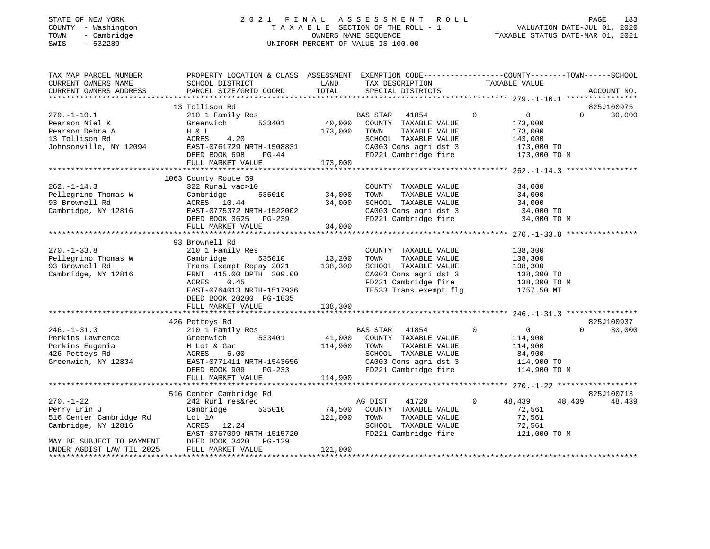## STATE OF NEW YORK 2 0 2 1 F I N A L A S S E S S M E N T R O L L PAGE 183 COUNTY - Washington T A X A B L E SECTION OF THE ROLL - 1 VALUATION DATE-JUL 01, 2020 TOWN - Cambridge OWNERS NAME SEQUENCE TAXABLE STATUS DATE-MAR 01, 2021 SWIS - 532289 UNIFORM PERCENT OF VALUE IS 100.00

| 13 Tollison Rd<br>825J100975<br>40,000<br>$\overline{0}$<br>$\overline{0}$<br>30,000<br>210 1 Family Res<br>BAS STAR<br>41854<br>$\Omega$<br>533401<br>Greenwich<br>COUNTY TAXABLE VALUE<br>173,000<br>173,000<br>H & L<br>TOWN<br>TAXABLE VALUE<br>173,000<br>ACRES<br>4.20<br>SCHOOL TAXABLE VALUE<br>143,000<br>Johnsonville, NY 12094 EAST-0761729 NRTH-1508831<br>CA003 Cons agri dst 3<br>173,000 TO<br>DEED BOOK 698<br>FD221 Cambridge fire<br>$PG-44$<br>173,000 TO M<br>173,000<br>FULL MARKET VALUE<br>1063 County Route 59<br>322 Rural vac>10<br>COUNTY TAXABLE VALUE<br>34,000<br>535010 34,000<br>TOWN<br>TAXABLE VALUE<br>34,000<br>Cambridge<br>34,000<br>ACRES 10.44<br>SCHOOL TAXABLE VALUE<br>34,000<br>CA003 Cons agri dst 3 $34,000$ TO<br>EAST-0775372 NRTH-1522002<br>DEED BOOK 3625 PG-239<br>FD221 Cambridge fire<br>34,000 TO M<br>34,000<br>FULL MARKET VALUE<br>93 Brownell Rd<br>210 1 Family Res<br>COUNTY TAXABLE VALUE<br>138,300<br>13,200<br>Cambridge<br>535010<br>TOWN<br>TAXABLE VALUE<br>138,300<br>Trans Exempt Repay 2021 138,300<br>SCHOOL TAXABLE VALUE<br>138,300<br>138,300 TO<br>FRNT 415.00 DPTH 209.00<br>CA003 Cons agri dst 3<br>0.45<br>FD221 Cambridge fire<br>TE533 Trans exempt flg<br>ACRES<br>138,300 ТО М<br>EAST-0764013 NRTH-1517936<br>1757.50 MT<br>DEED BOOK 20200 PG-1835<br>138,300<br>FULL MARKET VALUE<br>825J100937<br>426 Petteys Rd<br>$246. - 1 - 31.3$<br>210 1 Family Res<br>BAS STAR<br>41854<br>$\sim$ 0<br>$\overline{0}$<br>$\Omega$<br>30,000<br>Greenwich 533401<br>41,000 COUNTY TAXABLE VALUE<br>Perkins Lawrence<br>114,900<br>Perkins Eugenia<br>114,900<br>TOWN<br>TAXABLE VALUE<br>114,900<br>426 Petteys Rd<br>SCHOOL TAXABLE VALUE<br>84,900<br>CA003 Cons agri dst 3 114,900 TO<br>Greenwich, NY 12834 EAST-0771411 NRTH-1543656<br>FD221 Cambridge fire<br>DEED BOOK 909<br>PG-233<br>114,900 TO M<br>114,900<br>FULL MARKET VALUE<br>825J100713<br>516 Center Cambridge Rd<br>$270. - 1 - 22$<br>$\overline{0}$<br>48,439<br>48,439<br>242 Rurl res&rec<br>AG DIST 41720<br>48,439<br>74,500<br>Perry Erin J<br>Cambridge<br>535010<br>COUNTY TAXABLE VALUE<br>72,561<br>516 Center Cambridge Rd<br>121,000<br>TOWN      TAXABLE VALUE<br>SCHOOL   TAXABLE VALUE<br>72,561<br>Lot 1A<br>72,561<br>Cambridge, NY 12816<br>ACRES 12.24<br>EAST-0767099 NRTH-1515720<br>FD221 Cambridge fire<br>121,000 TO M<br>DEED BOOK 3420 PG-129<br>MAY BE SUBJECT TO PAYMENT<br>FULL MARKET VALUE<br>121,000<br>UNDER AGDIST LAW TIL 2025 | TAX MAP PARCEL NUMBER<br>CURRENT OWNERS NAME<br>CURRENT OWNERS ADDRESS | PROPERTY LOCATION & CLASS ASSESSMENT EXEMPTION CODE---------------COUNTY-------TOWN------SCHOOL<br>SCHOOL DISTRICT<br>PARCEL SIZE/GRID COORD TOTAL | LAND | TAX DESCRIPTION TAXABLE VALUE<br>SPECIAL DISTRICTS | ACCOUNT NO. |
|-----------------------------------------------------------------------------------------------------------------------------------------------------------------------------------------------------------------------------------------------------------------------------------------------------------------------------------------------------------------------------------------------------------------------------------------------------------------------------------------------------------------------------------------------------------------------------------------------------------------------------------------------------------------------------------------------------------------------------------------------------------------------------------------------------------------------------------------------------------------------------------------------------------------------------------------------------------------------------------------------------------------------------------------------------------------------------------------------------------------------------------------------------------------------------------------------------------------------------------------------------------------------------------------------------------------------------------------------------------------------------------------------------------------------------------------------------------------------------------------------------------------------------------------------------------------------------------------------------------------------------------------------------------------------------------------------------------------------------------------------------------------------------------------------------------------------------------------------------------------------------------------------------------------------------------------------------------------------------------------------------------------------------------------------------------------------------------------------------------------------------------------------------------------------------------------------------------------------------------------------------------------------------------------------------------------------------------------------------------------------------------------------------------------------------------------------------------------------------------------------------------------------|------------------------------------------------------------------------|----------------------------------------------------------------------------------------------------------------------------------------------------|------|----------------------------------------------------|-------------|
|                                                                                                                                                                                                                                                                                                                                                                                                                                                                                                                                                                                                                                                                                                                                                                                                                                                                                                                                                                                                                                                                                                                                                                                                                                                                                                                                                                                                                                                                                                                                                                                                                                                                                                                                                                                                                                                                                                                                                                                                                                                                                                                                                                                                                                                                                                                                                                                                                                                                                                                       |                                                                        |                                                                                                                                                    |      |                                                    |             |
|                                                                                                                                                                                                                                                                                                                                                                                                                                                                                                                                                                                                                                                                                                                                                                                                                                                                                                                                                                                                                                                                                                                                                                                                                                                                                                                                                                                                                                                                                                                                                                                                                                                                                                                                                                                                                                                                                                                                                                                                                                                                                                                                                                                                                                                                                                                                                                                                                                                                                                                       |                                                                        |                                                                                                                                                    |      |                                                    |             |
|                                                                                                                                                                                                                                                                                                                                                                                                                                                                                                                                                                                                                                                                                                                                                                                                                                                                                                                                                                                                                                                                                                                                                                                                                                                                                                                                                                                                                                                                                                                                                                                                                                                                                                                                                                                                                                                                                                                                                                                                                                                                                                                                                                                                                                                                                                                                                                                                                                                                                                                       | $279. - 1 - 10.1$                                                      |                                                                                                                                                    |      |                                                    |             |
|                                                                                                                                                                                                                                                                                                                                                                                                                                                                                                                                                                                                                                                                                                                                                                                                                                                                                                                                                                                                                                                                                                                                                                                                                                                                                                                                                                                                                                                                                                                                                                                                                                                                                                                                                                                                                                                                                                                                                                                                                                                                                                                                                                                                                                                                                                                                                                                                                                                                                                                       | Pearson Niel K                                                         |                                                                                                                                                    |      |                                                    |             |
|                                                                                                                                                                                                                                                                                                                                                                                                                                                                                                                                                                                                                                                                                                                                                                                                                                                                                                                                                                                                                                                                                                                                                                                                                                                                                                                                                                                                                                                                                                                                                                                                                                                                                                                                                                                                                                                                                                                                                                                                                                                                                                                                                                                                                                                                                                                                                                                                                                                                                                                       | Pearson Debra A                                                        |                                                                                                                                                    |      |                                                    |             |
|                                                                                                                                                                                                                                                                                                                                                                                                                                                                                                                                                                                                                                                                                                                                                                                                                                                                                                                                                                                                                                                                                                                                                                                                                                                                                                                                                                                                                                                                                                                                                                                                                                                                                                                                                                                                                                                                                                                                                                                                                                                                                                                                                                                                                                                                                                                                                                                                                                                                                                                       | 13 Tollison Rd                                                         |                                                                                                                                                    |      |                                                    |             |
|                                                                                                                                                                                                                                                                                                                                                                                                                                                                                                                                                                                                                                                                                                                                                                                                                                                                                                                                                                                                                                                                                                                                                                                                                                                                                                                                                                                                                                                                                                                                                                                                                                                                                                                                                                                                                                                                                                                                                                                                                                                                                                                                                                                                                                                                                                                                                                                                                                                                                                                       |                                                                        |                                                                                                                                                    |      |                                                    |             |
|                                                                                                                                                                                                                                                                                                                                                                                                                                                                                                                                                                                                                                                                                                                                                                                                                                                                                                                                                                                                                                                                                                                                                                                                                                                                                                                                                                                                                                                                                                                                                                                                                                                                                                                                                                                                                                                                                                                                                                                                                                                                                                                                                                                                                                                                                                                                                                                                                                                                                                                       |                                                                        |                                                                                                                                                    |      |                                                    |             |
|                                                                                                                                                                                                                                                                                                                                                                                                                                                                                                                                                                                                                                                                                                                                                                                                                                                                                                                                                                                                                                                                                                                                                                                                                                                                                                                                                                                                                                                                                                                                                                                                                                                                                                                                                                                                                                                                                                                                                                                                                                                                                                                                                                                                                                                                                                                                                                                                                                                                                                                       |                                                                        |                                                                                                                                                    |      |                                                    |             |
|                                                                                                                                                                                                                                                                                                                                                                                                                                                                                                                                                                                                                                                                                                                                                                                                                                                                                                                                                                                                                                                                                                                                                                                                                                                                                                                                                                                                                                                                                                                                                                                                                                                                                                                                                                                                                                                                                                                                                                                                                                                                                                                                                                                                                                                                                                                                                                                                                                                                                                                       |                                                                        |                                                                                                                                                    |      |                                                    |             |
|                                                                                                                                                                                                                                                                                                                                                                                                                                                                                                                                                                                                                                                                                                                                                                                                                                                                                                                                                                                                                                                                                                                                                                                                                                                                                                                                                                                                                                                                                                                                                                                                                                                                                                                                                                                                                                                                                                                                                                                                                                                                                                                                                                                                                                                                                                                                                                                                                                                                                                                       |                                                                        |                                                                                                                                                    |      |                                                    |             |
|                                                                                                                                                                                                                                                                                                                                                                                                                                                                                                                                                                                                                                                                                                                                                                                                                                                                                                                                                                                                                                                                                                                                                                                                                                                                                                                                                                                                                                                                                                                                                                                                                                                                                                                                                                                                                                                                                                                                                                                                                                                                                                                                                                                                                                                                                                                                                                                                                                                                                                                       | $262. - 1 - 14.3$                                                      |                                                                                                                                                    |      |                                                    |             |
|                                                                                                                                                                                                                                                                                                                                                                                                                                                                                                                                                                                                                                                                                                                                                                                                                                                                                                                                                                                                                                                                                                                                                                                                                                                                                                                                                                                                                                                                                                                                                                                                                                                                                                                                                                                                                                                                                                                                                                                                                                                                                                                                                                                                                                                                                                                                                                                                                                                                                                                       | Pellegrino Thomas W                                                    |                                                                                                                                                    |      |                                                    |             |
|                                                                                                                                                                                                                                                                                                                                                                                                                                                                                                                                                                                                                                                                                                                                                                                                                                                                                                                                                                                                                                                                                                                                                                                                                                                                                                                                                                                                                                                                                                                                                                                                                                                                                                                                                                                                                                                                                                                                                                                                                                                                                                                                                                                                                                                                                                                                                                                                                                                                                                                       | 93 Brownell Rd                                                         |                                                                                                                                                    |      |                                                    |             |
|                                                                                                                                                                                                                                                                                                                                                                                                                                                                                                                                                                                                                                                                                                                                                                                                                                                                                                                                                                                                                                                                                                                                                                                                                                                                                                                                                                                                                                                                                                                                                                                                                                                                                                                                                                                                                                                                                                                                                                                                                                                                                                                                                                                                                                                                                                                                                                                                                                                                                                                       | Cambridge, NY 12816                                                    |                                                                                                                                                    |      |                                                    |             |
|                                                                                                                                                                                                                                                                                                                                                                                                                                                                                                                                                                                                                                                                                                                                                                                                                                                                                                                                                                                                                                                                                                                                                                                                                                                                                                                                                                                                                                                                                                                                                                                                                                                                                                                                                                                                                                                                                                                                                                                                                                                                                                                                                                                                                                                                                                                                                                                                                                                                                                                       |                                                                        |                                                                                                                                                    |      |                                                    |             |
|                                                                                                                                                                                                                                                                                                                                                                                                                                                                                                                                                                                                                                                                                                                                                                                                                                                                                                                                                                                                                                                                                                                                                                                                                                                                                                                                                                                                                                                                                                                                                                                                                                                                                                                                                                                                                                                                                                                                                                                                                                                                                                                                                                                                                                                                                                                                                                                                                                                                                                                       |                                                                        |                                                                                                                                                    |      |                                                    |             |
|                                                                                                                                                                                                                                                                                                                                                                                                                                                                                                                                                                                                                                                                                                                                                                                                                                                                                                                                                                                                                                                                                                                                                                                                                                                                                                                                                                                                                                                                                                                                                                                                                                                                                                                                                                                                                                                                                                                                                                                                                                                                                                                                                                                                                                                                                                                                                                                                                                                                                                                       |                                                                        |                                                                                                                                                    |      |                                                    |             |
|                                                                                                                                                                                                                                                                                                                                                                                                                                                                                                                                                                                                                                                                                                                                                                                                                                                                                                                                                                                                                                                                                                                                                                                                                                                                                                                                                                                                                                                                                                                                                                                                                                                                                                                                                                                                                                                                                                                                                                                                                                                                                                                                                                                                                                                                                                                                                                                                                                                                                                                       |                                                                        |                                                                                                                                                    |      |                                                    |             |
|                                                                                                                                                                                                                                                                                                                                                                                                                                                                                                                                                                                                                                                                                                                                                                                                                                                                                                                                                                                                                                                                                                                                                                                                                                                                                                                                                                                                                                                                                                                                                                                                                                                                                                                                                                                                                                                                                                                                                                                                                                                                                                                                                                                                                                                                                                                                                                                                                                                                                                                       | $270. - 1 - 33.8$                                                      |                                                                                                                                                    |      |                                                    |             |
|                                                                                                                                                                                                                                                                                                                                                                                                                                                                                                                                                                                                                                                                                                                                                                                                                                                                                                                                                                                                                                                                                                                                                                                                                                                                                                                                                                                                                                                                                                                                                                                                                                                                                                                                                                                                                                                                                                                                                                                                                                                                                                                                                                                                                                                                                                                                                                                                                                                                                                                       | Pellegrino Thomas W                                                    |                                                                                                                                                    |      |                                                    |             |
|                                                                                                                                                                                                                                                                                                                                                                                                                                                                                                                                                                                                                                                                                                                                                                                                                                                                                                                                                                                                                                                                                                                                                                                                                                                                                                                                                                                                                                                                                                                                                                                                                                                                                                                                                                                                                                                                                                                                                                                                                                                                                                                                                                                                                                                                                                                                                                                                                                                                                                                       | 93 Brownell Rd                                                         |                                                                                                                                                    |      |                                                    |             |
|                                                                                                                                                                                                                                                                                                                                                                                                                                                                                                                                                                                                                                                                                                                                                                                                                                                                                                                                                                                                                                                                                                                                                                                                                                                                                                                                                                                                                                                                                                                                                                                                                                                                                                                                                                                                                                                                                                                                                                                                                                                                                                                                                                                                                                                                                                                                                                                                                                                                                                                       | Cambridge, NY 12816                                                    |                                                                                                                                                    |      |                                                    |             |
|                                                                                                                                                                                                                                                                                                                                                                                                                                                                                                                                                                                                                                                                                                                                                                                                                                                                                                                                                                                                                                                                                                                                                                                                                                                                                                                                                                                                                                                                                                                                                                                                                                                                                                                                                                                                                                                                                                                                                                                                                                                                                                                                                                                                                                                                                                                                                                                                                                                                                                                       |                                                                        |                                                                                                                                                    |      |                                                    |             |
|                                                                                                                                                                                                                                                                                                                                                                                                                                                                                                                                                                                                                                                                                                                                                                                                                                                                                                                                                                                                                                                                                                                                                                                                                                                                                                                                                                                                                                                                                                                                                                                                                                                                                                                                                                                                                                                                                                                                                                                                                                                                                                                                                                                                                                                                                                                                                                                                                                                                                                                       |                                                                        |                                                                                                                                                    |      |                                                    |             |
|                                                                                                                                                                                                                                                                                                                                                                                                                                                                                                                                                                                                                                                                                                                                                                                                                                                                                                                                                                                                                                                                                                                                                                                                                                                                                                                                                                                                                                                                                                                                                                                                                                                                                                                                                                                                                                                                                                                                                                                                                                                                                                                                                                                                                                                                                                                                                                                                                                                                                                                       |                                                                        |                                                                                                                                                    |      |                                                    |             |
|                                                                                                                                                                                                                                                                                                                                                                                                                                                                                                                                                                                                                                                                                                                                                                                                                                                                                                                                                                                                                                                                                                                                                                                                                                                                                                                                                                                                                                                                                                                                                                                                                                                                                                                                                                                                                                                                                                                                                                                                                                                                                                                                                                                                                                                                                                                                                                                                                                                                                                                       |                                                                        |                                                                                                                                                    |      |                                                    |             |
|                                                                                                                                                                                                                                                                                                                                                                                                                                                                                                                                                                                                                                                                                                                                                                                                                                                                                                                                                                                                                                                                                                                                                                                                                                                                                                                                                                                                                                                                                                                                                                                                                                                                                                                                                                                                                                                                                                                                                                                                                                                                                                                                                                                                                                                                                                                                                                                                                                                                                                                       |                                                                        |                                                                                                                                                    |      |                                                    |             |
|                                                                                                                                                                                                                                                                                                                                                                                                                                                                                                                                                                                                                                                                                                                                                                                                                                                                                                                                                                                                                                                                                                                                                                                                                                                                                                                                                                                                                                                                                                                                                                                                                                                                                                                                                                                                                                                                                                                                                                                                                                                                                                                                                                                                                                                                                                                                                                                                                                                                                                                       |                                                                        |                                                                                                                                                    |      |                                                    |             |
|                                                                                                                                                                                                                                                                                                                                                                                                                                                                                                                                                                                                                                                                                                                                                                                                                                                                                                                                                                                                                                                                                                                                                                                                                                                                                                                                                                                                                                                                                                                                                                                                                                                                                                                                                                                                                                                                                                                                                                                                                                                                                                                                                                                                                                                                                                                                                                                                                                                                                                                       |                                                                        |                                                                                                                                                    |      |                                                    |             |
|                                                                                                                                                                                                                                                                                                                                                                                                                                                                                                                                                                                                                                                                                                                                                                                                                                                                                                                                                                                                                                                                                                                                                                                                                                                                                                                                                                                                                                                                                                                                                                                                                                                                                                                                                                                                                                                                                                                                                                                                                                                                                                                                                                                                                                                                                                                                                                                                                                                                                                                       |                                                                        |                                                                                                                                                    |      |                                                    |             |
|                                                                                                                                                                                                                                                                                                                                                                                                                                                                                                                                                                                                                                                                                                                                                                                                                                                                                                                                                                                                                                                                                                                                                                                                                                                                                                                                                                                                                                                                                                                                                                                                                                                                                                                                                                                                                                                                                                                                                                                                                                                                                                                                                                                                                                                                                                                                                                                                                                                                                                                       |                                                                        |                                                                                                                                                    |      |                                                    |             |
|                                                                                                                                                                                                                                                                                                                                                                                                                                                                                                                                                                                                                                                                                                                                                                                                                                                                                                                                                                                                                                                                                                                                                                                                                                                                                                                                                                                                                                                                                                                                                                                                                                                                                                                                                                                                                                                                                                                                                                                                                                                                                                                                                                                                                                                                                                                                                                                                                                                                                                                       |                                                                        |                                                                                                                                                    |      |                                                    |             |
|                                                                                                                                                                                                                                                                                                                                                                                                                                                                                                                                                                                                                                                                                                                                                                                                                                                                                                                                                                                                                                                                                                                                                                                                                                                                                                                                                                                                                                                                                                                                                                                                                                                                                                                                                                                                                                                                                                                                                                                                                                                                                                                                                                                                                                                                                                                                                                                                                                                                                                                       |                                                                        |                                                                                                                                                    |      |                                                    |             |
|                                                                                                                                                                                                                                                                                                                                                                                                                                                                                                                                                                                                                                                                                                                                                                                                                                                                                                                                                                                                                                                                                                                                                                                                                                                                                                                                                                                                                                                                                                                                                                                                                                                                                                                                                                                                                                                                                                                                                                                                                                                                                                                                                                                                                                                                                                                                                                                                                                                                                                                       |                                                                        |                                                                                                                                                    |      |                                                    |             |
|                                                                                                                                                                                                                                                                                                                                                                                                                                                                                                                                                                                                                                                                                                                                                                                                                                                                                                                                                                                                                                                                                                                                                                                                                                                                                                                                                                                                                                                                                                                                                                                                                                                                                                                                                                                                                                                                                                                                                                                                                                                                                                                                                                                                                                                                                                                                                                                                                                                                                                                       |                                                                        |                                                                                                                                                    |      |                                                    |             |
|                                                                                                                                                                                                                                                                                                                                                                                                                                                                                                                                                                                                                                                                                                                                                                                                                                                                                                                                                                                                                                                                                                                                                                                                                                                                                                                                                                                                                                                                                                                                                                                                                                                                                                                                                                                                                                                                                                                                                                                                                                                                                                                                                                                                                                                                                                                                                                                                                                                                                                                       |                                                                        |                                                                                                                                                    |      |                                                    |             |
|                                                                                                                                                                                                                                                                                                                                                                                                                                                                                                                                                                                                                                                                                                                                                                                                                                                                                                                                                                                                                                                                                                                                                                                                                                                                                                                                                                                                                                                                                                                                                                                                                                                                                                                                                                                                                                                                                                                                                                                                                                                                                                                                                                                                                                                                                                                                                                                                                                                                                                                       |                                                                        |                                                                                                                                                    |      |                                                    |             |
|                                                                                                                                                                                                                                                                                                                                                                                                                                                                                                                                                                                                                                                                                                                                                                                                                                                                                                                                                                                                                                                                                                                                                                                                                                                                                                                                                                                                                                                                                                                                                                                                                                                                                                                                                                                                                                                                                                                                                                                                                                                                                                                                                                                                                                                                                                                                                                                                                                                                                                                       |                                                                        |                                                                                                                                                    |      |                                                    |             |
|                                                                                                                                                                                                                                                                                                                                                                                                                                                                                                                                                                                                                                                                                                                                                                                                                                                                                                                                                                                                                                                                                                                                                                                                                                                                                                                                                                                                                                                                                                                                                                                                                                                                                                                                                                                                                                                                                                                                                                                                                                                                                                                                                                                                                                                                                                                                                                                                                                                                                                                       |                                                                        |                                                                                                                                                    |      |                                                    |             |
|                                                                                                                                                                                                                                                                                                                                                                                                                                                                                                                                                                                                                                                                                                                                                                                                                                                                                                                                                                                                                                                                                                                                                                                                                                                                                                                                                                                                                                                                                                                                                                                                                                                                                                                                                                                                                                                                                                                                                                                                                                                                                                                                                                                                                                                                                                                                                                                                                                                                                                                       |                                                                        |                                                                                                                                                    |      |                                                    |             |
|                                                                                                                                                                                                                                                                                                                                                                                                                                                                                                                                                                                                                                                                                                                                                                                                                                                                                                                                                                                                                                                                                                                                                                                                                                                                                                                                                                                                                                                                                                                                                                                                                                                                                                                                                                                                                                                                                                                                                                                                                                                                                                                                                                                                                                                                                                                                                                                                                                                                                                                       |                                                                        |                                                                                                                                                    |      |                                                    |             |
|                                                                                                                                                                                                                                                                                                                                                                                                                                                                                                                                                                                                                                                                                                                                                                                                                                                                                                                                                                                                                                                                                                                                                                                                                                                                                                                                                                                                                                                                                                                                                                                                                                                                                                                                                                                                                                                                                                                                                                                                                                                                                                                                                                                                                                                                                                                                                                                                                                                                                                                       |                                                                        |                                                                                                                                                    |      |                                                    |             |
|                                                                                                                                                                                                                                                                                                                                                                                                                                                                                                                                                                                                                                                                                                                                                                                                                                                                                                                                                                                                                                                                                                                                                                                                                                                                                                                                                                                                                                                                                                                                                                                                                                                                                                                                                                                                                                                                                                                                                                                                                                                                                                                                                                                                                                                                                                                                                                                                                                                                                                                       |                                                                        |                                                                                                                                                    |      |                                                    |             |
|                                                                                                                                                                                                                                                                                                                                                                                                                                                                                                                                                                                                                                                                                                                                                                                                                                                                                                                                                                                                                                                                                                                                                                                                                                                                                                                                                                                                                                                                                                                                                                                                                                                                                                                                                                                                                                                                                                                                                                                                                                                                                                                                                                                                                                                                                                                                                                                                                                                                                                                       |                                                                        |                                                                                                                                                    |      |                                                    |             |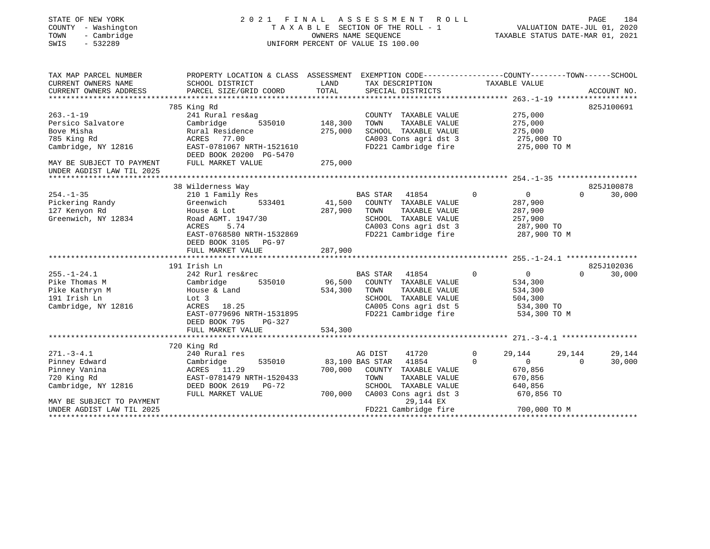| STATE OF NEW YORK<br>COUNTY - Washington<br>- Cambridge<br>TOWN<br>SWIS<br>$-532289$                                                                                      |                                                                                                                                                                                                                                                                                                                              |                                        | 2021 FINAL ASSESSMENT ROLL<br>TAXABLE SECTION OF THE ROLL - 1<br>OWNERS NAME SEOUENCE<br>UNIFORM PERCENT OF VALUE IS 100.00                                                                                                                                                                     | TAXABLE STATUS DATE-MAR 01, 2021                                                                                                                                                   | VALUATION DATE-JUL 01, 2020          | 184<br>PAGE                                  |
|---------------------------------------------------------------------------------------------------------------------------------------------------------------------------|------------------------------------------------------------------------------------------------------------------------------------------------------------------------------------------------------------------------------------------------------------------------------------------------------------------------------|----------------------------------------|-------------------------------------------------------------------------------------------------------------------------------------------------------------------------------------------------------------------------------------------------------------------------------------------------|------------------------------------------------------------------------------------------------------------------------------------------------------------------------------------|--------------------------------------|----------------------------------------------|
| TAX MAP PARCEL NUMBER<br>CURRENT OWNERS NAME                                                                                                                              | PROPERTY LOCATION & CLASS ASSESSMENT EXEMPTION CODE---------------COUNTY-------TOWN-----SCHOOL<br>SCHOOL DISTRICT                                                                                                                                                                                                            | LAND                                   | TAX DESCRIPTION                                                                                                                                                                                                                                                                                 | TAXABLE VALUE                                                                                                                                                                      |                                      |                                              |
| CURRENT OWNERS ADDRESS                                                                                                                                                    | PARCEL SIZE/GRID COORD                                                                                                                                                                                                                                                                                                       | TOTAL                                  | SPECIAL DISTRICTS                                                                                                                                                                                                                                                                               |                                                                                                                                                                                    |                                      | ACCOUNT NO.                                  |
|                                                                                                                                                                           | 785 King Rd                                                                                                                                                                                                                                                                                                                  |                                        |                                                                                                                                                                                                                                                                                                 |                                                                                                                                                                                    |                                      | 825J100691                                   |
| $263. - 1 - 19$<br>Persico Salvatore<br>Bove Misha<br>785 King Rd<br>Cambridge, NY 12816                                                                                  | 241 Rural res&ag<br>Cambridge 535010<br>Rural Residence<br>ACRES 77.00<br>EAST-0781067 NRTH-1521610                                                                                                                                                                                                                          | 148,300<br>275,000                     | COUNTY TAXABLE VALUE<br>TOWN<br>TAXABLE VALUE<br>SCHOOL TAXABLE VALUE<br>CA003 Cons agri dst 3<br>FD221 Cambridge fire 275,000 TO M                                                                                                                                                             | 275,000<br>275,000<br>275,000<br>275,000 TO                                                                                                                                        |                                      |                                              |
| MAY BE SUBJECT TO PAYMENT<br>UNDER AGDIST LAW TIL 2025                                                                                                                    | DEED BOOK 20200 PG-5470<br>FULL MARKET VALUE                                                                                                                                                                                                                                                                                 | 275,000                                |                                                                                                                                                                                                                                                                                                 |                                                                                                                                                                                    |                                      |                                              |
|                                                                                                                                                                           |                                                                                                                                                                                                                                                                                                                              |                                        |                                                                                                                                                                                                                                                                                                 |                                                                                                                                                                                    |                                      |                                              |
| $254. - 1 - 35$<br>Pickering Randy<br>127 Kenyon Rd<br>Greenwich, NY 12834<br>$255. - 1 - 24.1$<br>Pike Thomas M<br>Pike Kathryn M<br>191 Irish Ln<br>Cambridge, NY 12816 | 38 Wilderness Way<br>210 1 Family Res<br>533401<br>Greenwich<br>House & Lot<br>Road AGMT. 1947/30<br>ACRES<br>5.74<br>EAST-0768580 NRTH-1532869<br>DEED BOOK 3105 PG-97<br>FULL MARKET VALUE<br>191 Irish Ln<br>242 Rurl res&rec<br>Cambridge<br>535010<br>House & Land<br>Lot 3<br>ACRES 18.25<br>EAST-0779696 NRTH-1531895 | 41,500<br>287,900<br>96,500<br>534,300 | BAS STAR<br>41854<br>COUNTY TAXABLE VALUE<br>287,900 TOWN<br>TAXABLE VALUE<br>SCHOOL TAXABLE VALUE<br>CA003 Cons agri dst 3<br>FD221 Cambridge fire<br>BAS STAR 41854<br>COUNTY TAXABLE VALUE<br>TOWN<br>TAXABLE VALUE<br>SCHOOL TAXABLE VALUE<br>CA005 Cons agri dst 5<br>FD221 Cambridge fire | $\overline{0}$<br>$\overline{0}$<br>287,900<br>287,900<br>257,900<br>287,900 TO<br>287,900 TO M<br>$\overline{0}$<br>$\overline{0}$<br>534,300<br>534,300<br>504,300<br>534,300 TO | $\Omega$<br>$\Omega$<br>534,300 TO M | 825J100878<br>30,000<br>825J102036<br>30,000 |
|                                                                                                                                                                           | DEED BOOK 795 PG-327<br>FULL MARKET VALUE                                                                                                                                                                                                                                                                                    | 534,300                                |                                                                                                                                                                                                                                                                                                 |                                                                                                                                                                                    |                                      |                                              |
|                                                                                                                                                                           | 720 King Rd                                                                                                                                                                                                                                                                                                                  |                                        |                                                                                                                                                                                                                                                                                                 |                                                                                                                                                                                    |                                      |                                              |
| $271. - 3 - 4.1$<br>Pinney Edward<br>Pinney Vanina<br>720 King Rd<br>Cambridge, NY 12816                                                                                  | 240 Rural res<br>535010<br>Cambridge<br>ACRES 11.29<br>EAST-0781479 NRTH-1520433<br>DEED BOOK 2619 PG-72<br>FULL MARKET VALUE                                                                                                                                                                                                |                                        | AG DIST<br>41720<br>83,100 BAS STAR 41854<br>700,000 COUNTY TAXABLE VALUE<br>TOWN<br>TAXABLE VALUE<br>SCHOOL TAXABLE VALUE<br>700,000 CA003 Cons agri dst 3                                                                                                                                     | $\mathbf{0}$<br>29,144<br>$\Omega$<br>$\circ$<br>670,856<br>670,856<br>640,856<br>670,856 TO                                                                                       | 29,144<br>$\Omega$                   | 29,144<br>30,000                             |
| MAY BE SUBJECT TO PAYMENT<br>UNDER AGDIST LAW TIL 2025                                                                                                                    |                                                                                                                                                                                                                                                                                                                              |                                        | 29,144 EX<br>FD221 Cambridge fire                                                                                                                                                                                                                                                               | 700,000 TO M                                                                                                                                                                       |                                      |                                              |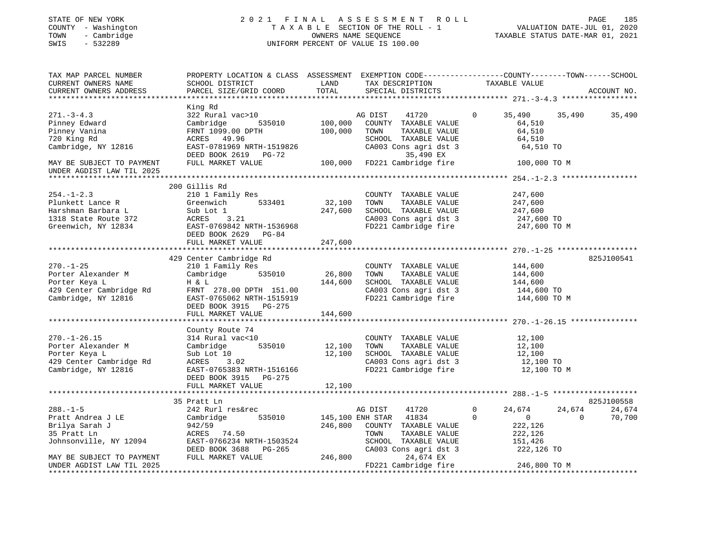## STATE OF NEW YORK 2 0 2 1 F I N A L A S S E S S M E N T R O L L PAGE 185 COUNTY - Washington T A X A B L E SECTION OF THE ROLL - 1 VALUATION DATE-JUL 01, 2020 TOWN - Cambridge OWNERS NAME SEQUENCE TAXABLE STATUS DATE-MAR 01, 2021 SWIS - 532289 UNIFORM PERCENT OF VALUE IS 100.00

| TAX MAP PARCEL NUMBER<br>CURRENT OWNERS NAME<br>CURRENT OWNERS ADDRESS                                                      | PROPERTY LOCATION & CLASS ASSESSMENT EXEMPTION CODE----------------COUNTY-------TOWN------SCHOOL<br>SCHOOL DISTRICT<br>PARCEL SIZE/GRID COORD                | LAND<br>TOTAL                          | TAX DESCRIPTION<br>SPECIAL DISTRICTS                                                                                                     |                         | TAXABLE VALUE                                                           |                    | ACCOUNT NO.      |
|-----------------------------------------------------------------------------------------------------------------------------|--------------------------------------------------------------------------------------------------------------------------------------------------------------|----------------------------------------|------------------------------------------------------------------------------------------------------------------------------------------|-------------------------|-------------------------------------------------------------------------|--------------------|------------------|
|                                                                                                                             |                                                                                                                                                              |                                        |                                                                                                                                          |                         |                                                                         |                    |                  |
| $271 - 3 - 4.3$<br>Pinney Edward<br>Pinney Vanina<br>720 King Rd<br>Cambridge, NY 12816                                     | King Rd<br>322 Rural vac>10<br>535010<br>Cambridge<br>FRNT 1099.00 DPTH<br>ACRES 49.96<br>EAST-0781969 NRTH-1519826<br>DEED BOOK 2619 PG-72                  | 100,000<br>100,000                     | AG DIST<br>41720<br>COUNTY TAXABLE VALUE<br>TOWN<br>TAXABLE VALUE<br>SCHOOL TAXABLE VALUE<br>CA003 Cons agri dst 3<br>35,490 EX          | $\Omega$                | 35,490<br>64,510<br>64,510<br>64,510<br>64,510 TO                       | 35,490             | 35,490           |
| MAY BE SUBJECT TO PAYMENT<br>UNDER AGDIST LAW TIL 2025                                                                      | FULL MARKET VALUE                                                                                                                                            | 100,000                                | FD221 Cambridge fire                                                                                                                     |                         | 100,000 TO M                                                            |                    |                  |
|                                                                                                                             |                                                                                                                                                              |                                        |                                                                                                                                          |                         |                                                                         |                    |                  |
| $254. - 1 - 2.3$<br>Plunkett Lance R<br>Harshman Barbara L<br>1318 State Route 372<br>Greenwich, NY 12834                   | 200 Gillis Rd<br>210 1 Family Res<br>533401<br>Greenwich<br>Sub Lot 1<br>3.21<br>ACRES<br>EAST-0769842 NRTH-1536968<br>DEED BOOK 2629 PG-84                  | 32,100<br>247,600                      | COUNTY TAXABLE VALUE<br>TOWN<br>TAXABLE VALUE<br>SCHOOL TAXABLE VALUE<br>CA003 Cons agri dst 3<br>FD221 Cambridge fire 247,600 TO M      |                         | 247,600<br>247,600<br>247,600<br>247,600 TO                             |                    |                  |
|                                                                                                                             | FULL MARKET VALUE                                                                                                                                            | 247,600                                |                                                                                                                                          |                         |                                                                         |                    |                  |
|                                                                                                                             |                                                                                                                                                              |                                        |                                                                                                                                          |                         |                                                                         |                    |                  |
| $270. - 1 - 25$<br>Porter Alexander M<br>Porter Keya L<br>429 Center Cambridge Rd<br>Cambridge, NY 12816                    | 429 Center Cambridge Rd<br>210 1 Family Res<br>535010<br>Cambridge<br>H & L<br>FRNT 278.00 DPTH 151.00<br>EAST-0765062 NRTH-1515919<br>DEED BOOK 3915 PG-275 | 26,800<br>144,600                      | COUNTY TAXABLE VALUE<br>TOWN<br>TAXABLE VALUE<br>SCHOOL TAXABLE VALUE<br>CA003 Cons agri dst 3<br>FD221 Cambridge fire                   |                         | 144,600<br>144,600<br>144,600<br>144,600 TO<br>144,600 TO M             |                    | 825J100541       |
|                                                                                                                             | FULL MARKET VALUE                                                                                                                                            | 144,600                                |                                                                                                                                          |                         |                                                                         |                    |                  |
|                                                                                                                             |                                                                                                                                                              |                                        |                                                                                                                                          |                         |                                                                         |                    |                  |
| $270. - 1 - 26.15$<br>Porter Alexander M<br>Porter Keya L<br>429 Center Cambridge Rd<br>Cambridge, NY 12816                 | County Route 74<br>314 Rural vac<10<br>Cambridge<br>535010<br>Sub Lot 10<br>ACRES<br>3.02<br>EAST-0765383 NRTH-1516166<br>DEED BOOK 3915 PG-275              | 12,100<br>12,100                       | COUNTY TAXABLE VALUE<br>TOWN<br>TAXABLE VALUE<br>SCHOOL TAXABLE VALUE<br>CA003 Cons agri dst 3<br>FD221 Cambridge fire                   |                         | 12,100<br>12,100<br>12,100<br>12,100 TO<br>12,100 TO M                  |                    |                  |
|                                                                                                                             | FULL MARKET VALUE                                                                                                                                            | 12,100                                 |                                                                                                                                          |                         |                                                                         |                    |                  |
|                                                                                                                             | 35 Pratt Ln                                                                                                                                                  |                                        |                                                                                                                                          |                         |                                                                         |                    | 825J100558       |
| $288. - 1 - 5$<br>Pratt Andrea J LE<br>Brilya Sarah J<br>35 Pratt Ln<br>Johnsonville, NY 12094<br>MAY BE SUBJECT TO PAYMENT | 242 Rurl res&rec<br>535010<br>Cambridge<br>942/59<br>ACRES 74.50<br>EAST-0766234 NRTH-1503524<br>DEED BOOK 3688<br>PG-265<br>FULL MARKET VALUE               | 145,100 ENH STAR<br>246,800<br>246,800 | AG DIST<br>41720<br>41834<br>COUNTY TAXABLE VALUE<br>TOWN<br>TAXABLE VALUE<br>SCHOOL TAXABLE VALUE<br>CA003 Cons agri dst 3<br>24,674 EX | $\mathbf 0$<br>$\Omega$ | 24,674<br>$\overline{0}$<br>222,126<br>222,126<br>151,426<br>222,126 TO | 24,674<br>$\Omega$ | 24,674<br>70,700 |
| UNDER AGDIST LAW TIL 2025                                                                                                   |                                                                                                                                                              |                                        | FD221 Cambridge fire                                                                                                                     |                         | 246,800 TO M                                                            |                    |                  |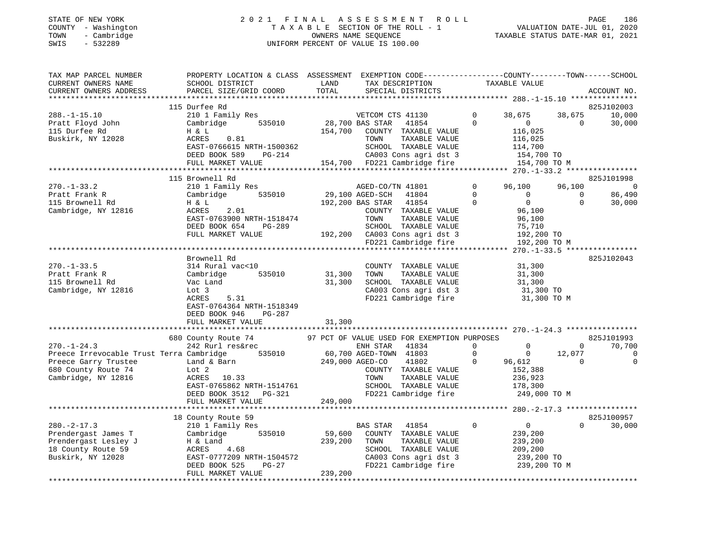#### STATE OF NEW YORK 2 0 2 1 F I N A L A S S E S S M E N T R O L L PAGE 186 COUNTY - Washington T A X A B L E SECTION OF THE ROLL - 1 VALUATION DATE-JUL 01, 2020 TOWN - Cambridge OWNERS NAME SEQUENCE TAXABLE STATUS DATE-MAR 01, 2021 SWIS - 532289 UNIFORM PERCENT OF VALUE IS 100.00UNIFORM PERCENT OF VALUE IS 100.00

| TAX MAP PARCEL NUMBER<br>CURRENT OWNERS NAME<br>CURRENT OWNERS ADDRESS                                         | PROPERTY LOCATION & CLASS ASSESSMENT<br>SCHOOL DISTRICT<br>PARCEL SIZE/GRID COORD                                                                                         | LAND<br>TOTAL                | EXEMPTION CODE----------------COUNTY-------TOWN------SCHOOL<br>TAX DESCRIPTION<br>SPECIAL DISTRICTS                                                 |                               | TAXABLE VALUE                                                                 |                       | ACCOUNT NO.                |
|----------------------------------------------------------------------------------------------------------------|---------------------------------------------------------------------------------------------------------------------------------------------------------------------------|------------------------------|-----------------------------------------------------------------------------------------------------------------------------------------------------|-------------------------------|-------------------------------------------------------------------------------|-----------------------|----------------------------|
|                                                                                                                |                                                                                                                                                                           |                              |                                                                                                                                                     |                               |                                                                               |                       |                            |
|                                                                                                                | 115 Durfee Rd                                                                                                                                                             |                              |                                                                                                                                                     |                               |                                                                               |                       | 825J102003                 |
| $288. - 1 - 15.10$<br>Pratt Floyd John<br>115 Durfee Rd<br>Buskirk, NY 12028                                   | 210 1 Family Res<br>535010<br>Cambridge<br>H & L<br>0.81<br>ACRES<br>EAST-0766615 NRTH-1500362                                                                            | 154,700                      | VETCOM CTS 41130<br>28,700 BAS STAR<br>41854<br>COUNTY TAXABLE VALUE<br>TAXABLE VALUE<br>TOWN<br>SCHOOL TAXABLE VALUE                               | $\mathbf 0$<br>$\Omega$       | 38,675<br>$\overline{0}$<br>116,025<br>116,025<br>114,700                     | 38,675<br>$\Omega$    | 10,000<br>30,000           |
|                                                                                                                | DEED BOOK 589<br>PG-214                                                                                                                                                   |                              | CA003 Cons agri dst 3                                                                                                                               |                               | 154,700 TO                                                                    |                       |                            |
|                                                                                                                | FULL MARKET VALUE                                                                                                                                                         |                              | 154,700 FD221 Cambridge fire                                                                                                                        |                               | 154,700 TO M                                                                  |                       |                            |
|                                                                                                                | 115 Brownell Rd                                                                                                                                                           |                              |                                                                                                                                                     |                               |                                                                               |                       | 825J101998                 |
| $270. - 1 - 33.2$                                                                                              | 210 1 Family Res                                                                                                                                                          |                              | AGED-CO/TN 41801                                                                                                                                    | 0                             | 96,100                                                                        | 96,100                | $\Omega$                   |
| Pratt Frank R                                                                                                  | Cambridge<br>535010                                                                                                                                                       |                              | 29,100 AGED-SCH<br>41804                                                                                                                            | $\Omega$                      | $\Omega$                                                                      | $\Omega$              | 86,490                     |
| 115 Brownell Rd                                                                                                | H & L                                                                                                                                                                     |                              | 192,200 BAS STAR<br>41854                                                                                                                           | $\Omega$                      | $\overline{0}$                                                                | $\Omega$              | 30,000                     |
| Cambridge, NY 12816                                                                                            | ACRES<br>2.01<br>EAST-0763900 NRTH-1518474<br>DEED BOOK 654<br><b>PG-289</b>                                                                                              |                              | COUNTY TAXABLE VALUE<br>TAXABLE VALUE<br>TOWN<br>SCHOOL TAXABLE VALUE                                                                               |                               | 96,100<br>96,100<br>75,710                                                    |                       |                            |
|                                                                                                                | FULL MARKET VALUE                                                                                                                                                         |                              | 192,200 CA003 Cons agri dst 3                                                                                                                       |                               | 192,200 TO                                                                    |                       |                            |
|                                                                                                                |                                                                                                                                                                           |                              | FD221 Cambridge fire                                                                                                                                |                               | 192,200 TO M                                                                  |                       |                            |
|                                                                                                                |                                                                                                                                                                           |                              |                                                                                                                                                     |                               |                                                                               |                       |                            |
| $270. - 1 - 33.5$<br>Pratt Frank R<br>115 Brownell Rd<br>Cambridge, NY 12816                                   | Brownell Rd<br>314 Rural vac<10<br>535010<br>Cambridge<br>Vac Land<br>Lot 3<br>ACRES<br>5.31<br>EAST-0764364 NRTH-1518349<br>DEED BOOK 946<br>PG-287<br>FULL MARKET VALUE | 31,300<br>31,300<br>31,300   | COUNTY TAXABLE VALUE<br>TAXABLE VALUE<br>TOWN<br>SCHOOL TAXABLE VALUE<br>CA003 Cons agri dst 3<br>FD221 Cambridge fire                              |                               | 31,300<br>31,300<br>31,300<br>31,300 TO<br>31,300 TO M                        |                       | 825J102043                 |
|                                                                                                                |                                                                                                                                                                           |                              |                                                                                                                                                     |                               |                                                                               |                       |                            |
|                                                                                                                | 680 County Route 74                                                                                                                                                       |                              | 97 PCT OF VALUE USED FOR EXEMPTION PURPOSES                                                                                                         |                               |                                                                               |                       | 825J101993                 |
| $270. - 1 - 24.3$                                                                                              | 242 Rurl res&rec                                                                                                                                                          |                              | ENH STAR<br>41834                                                                                                                                   | $\circ$                       | $\mathbf 0$                                                                   | $\Omega$              | 70,700                     |
| Preece Irrevocable Trust Terra Cambridge<br>Preece Garry Trustee<br>680 County Route 74<br>Cambridge, NY 12816 | 535010<br>Land & Barn<br>Lot 2<br>ACRES 10.33<br>EAST-0765862 NRTH-1514761<br>DEED BOOK 3512<br>PG-321<br>FULL MARKET VALUE                                               | 249,000                      | 60,700 AGED-TOWN 41803<br>249,000 AGED-CO<br>41802<br>COUNTY TAXABLE VALUE<br>TOWN<br>TAXABLE VALUE<br>SCHOOL TAXABLE VALUE<br>FD221 Cambridge fire | $\overline{0}$<br>$\mathbf 0$ | $\overline{0}$<br>96,612<br>152,388<br>236,923<br>178,300<br>249,000 TO M     | 12,077<br>$\mathbf 0$ | $\mathbf 0$<br>$\mathbf 0$ |
|                                                                                                                |                                                                                                                                                                           |                              |                                                                                                                                                     |                               |                                                                               |                       |                            |
|                                                                                                                | 18 County Route 59                                                                                                                                                        |                              |                                                                                                                                                     |                               |                                                                               |                       | 825J100957                 |
| $280. - 2 - 17.3$<br>Prendergast James T<br>Prendergast Lesley J<br>18 County Route 59<br>Buskirk, NY 12028    | 210 1 Family Res<br>535010<br>Cambridge<br>H & Land<br>4.68<br>ACRES<br>EAST-0777209 NRTH-1504572<br>DEED BOOK 525<br>$PG-27$<br>FULL MARKET VALUE                        | 59,600<br>239,200<br>239,200 | 41854<br>BAS STAR<br>COUNTY TAXABLE VALUE<br>TAXABLE VALUE<br>TOWN<br>SCHOOL TAXABLE VALUE<br>CA003 Cons agri dst 3<br>FD221 Cambridge fire         | $\mathbf 0$                   | $\overline{0}$<br>239,200<br>239,200<br>209,200<br>239,200 TO<br>239,200 TO M | $\Omega$              | 30,000                     |
|                                                                                                                |                                                                                                                                                                           |                              |                                                                                                                                                     |                               |                                                                               |                       |                            |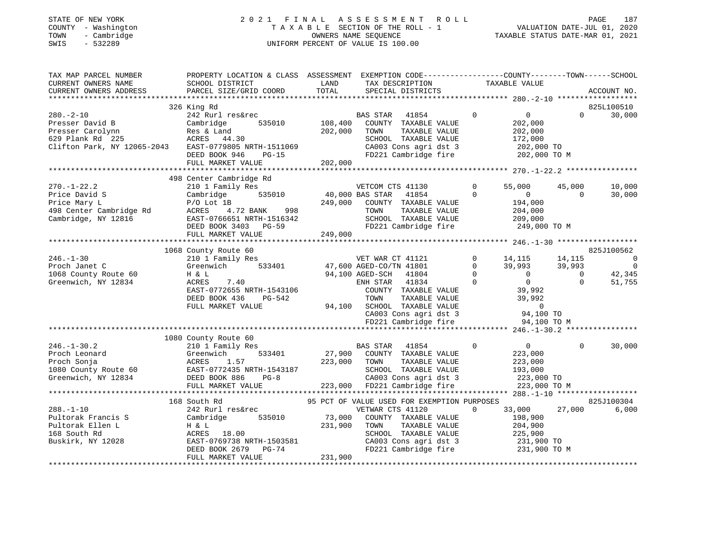## STATE OF NEW YORK 2 0 2 1 F I N A L A S S E S S M E N T R O L L PAGE 187 COUNTY - Washington T A X A B L E SECTION OF THE ROLL - 1 VALUATION DATE-JUL 01, 2020 TOWN - Cambridge OWNERS NAME SEQUENCE TAXABLE STATUS DATE-MAR 01, 2021 SWIS - 532289 UNIFORM PERCENT OF VALUE IS 100.00

| TAX MAP PARCEL NUMBER<br>CURRENT OWNERS NAME<br>CURRENT OWNERS ADDRESS | PROPERTY LOCATION & CLASS ASSESSMENT<br>SCHOOL DISTRICT<br>PARCEL SIZE/GRID COORD | LAND<br>TOTAL | EXEMPTION CODE-----------------COUNTY-------TOWN------SCHOOL<br>TAX DESCRIPTION<br>SPECIAL DISTRICTS | TAXABLE VALUE      |                                  | ACCOUNT NO.    |
|------------------------------------------------------------------------|-----------------------------------------------------------------------------------|---------------|------------------------------------------------------------------------------------------------------|--------------------|----------------------------------|----------------|
|                                                                        |                                                                                   |               |                                                                                                      |                    |                                  |                |
|                                                                        | 326 King Rd                                                                       |               |                                                                                                      |                    | $\Omega$                         | 825L100510     |
| $280 - 2 - 10$<br>Presser David B                                      | 242 Rurl res&rec<br>535010                                                        | 108,400       | BAS STAR<br>41854                                                                                    | $\mathbf 0$        | $\overline{0}$                   | 30,000         |
| Presser Carolynn                                                       | Cambridge<br>Res & Land                                                           | 202,000       | COUNTY TAXABLE VALUE<br>TOWN<br>TAXABLE VALUE                                                        |                    | 202,000<br>202,000               |                |
| 629 Plank Rd 225                                                       | ACRES<br>44.30                                                                    |               | SCHOOL TAXABLE VALUE                                                                                 |                    | 172,000                          |                |
| Clifton Park, NY 12065-2043                                            | EAST-0779805 NRTH-1511069                                                         |               | CA003 Cons agri dst 3                                                                                |                    | 202,000 TO                       |                |
|                                                                        | DEED BOOK 946<br>$PG-15$                                                          |               | FD221 Cambridge fire                                                                                 |                    | 202,000 TO M                     |                |
|                                                                        | FULL MARKET VALUE                                                                 | 202,000       |                                                                                                      |                    |                                  |                |
|                                                                        | ***************************                                                       |               |                                                                                                      |                    |                                  |                |
|                                                                        | 498 Center Cambridge Rd                                                           |               |                                                                                                      |                    |                                  |                |
| $270. - 1 - 22.2$                                                      | 210 1 Family Res                                                                  |               | VETCOM CTS 41130                                                                                     | 0                  | 55,000<br>45,000                 | 10,000         |
| Price David S                                                          | Cambridge<br>535010                                                               |               | 40,000 BAS STAR<br>41854                                                                             | $\Omega$           | $\overline{0}$<br>$\Omega$       | 30,000         |
| Price Mary L                                                           | $P/O$ Lot 1B                                                                      | 249,000       | COUNTY TAXABLE VALUE                                                                                 |                    | 194,000                          |                |
| 498 Center Cambridge Rd                                                | 4.72 BANK<br>998<br>ACRES                                                         |               | TAXABLE VALUE<br>TOWN                                                                                |                    | 204,000                          |                |
| Cambridge, NY 12816                                                    | EAST-0766651 NRTH-1516342                                                         |               | SCHOOL TAXABLE VALUE                                                                                 |                    | 209,000                          |                |
|                                                                        | DEED BOOK 3403 PG-59                                                              |               | FD221 Cambridge fire                                                                                 |                    | 249,000 TO M                     |                |
|                                                                        | FULL MARKET VALUE                                                                 | 249,000       |                                                                                                      |                    |                                  |                |
|                                                                        |                                                                                   |               |                                                                                                      |                    |                                  |                |
|                                                                        | 1068 County Route 60                                                              |               |                                                                                                      |                    |                                  | 825J100562     |
| $246. - 1 - 30$                                                        | 210 1 Family Res                                                                  |               | VET WAR CT 41121                                                                                     | $\Omega$<br>14,115 | 14,115                           | $\overline{0}$ |
| Proch Janet C                                                          | Greenwich<br>533401                                                               |               | 47,600 AGED-CO/TN 41801                                                                              | $\mathbf 0$        | 39,993<br>39,993                 | $\Omega$       |
| 1068 County Route 60                                                   | H & L                                                                             |               | 94,100 AGED-SCH<br>41804                                                                             | $\Omega$           | $\overline{0}$<br>$\overline{0}$ | 42,345         |
| Greenwich, NY 12834                                                    | ACRES<br>7.40                                                                     |               | 41834<br>ENH STAR                                                                                    | $\Omega$           | $\Omega$<br>$\Omega$             | 51,755         |
|                                                                        | EAST-0772655 NRTH-1543106                                                         |               | COUNTY TAXABLE VALUE                                                                                 |                    | 39,992                           |                |
|                                                                        | DEED BOOK 436<br>PG-542                                                           |               | TAXABLE VALUE<br>TOWN                                                                                |                    | 39,992                           |                |
|                                                                        | FULL MARKET VALUE                                                                 | 94,100        | SCHOOL TAXABLE VALUE                                                                                 |                    | $\circ$                          |                |
|                                                                        |                                                                                   |               | CA003 Cons agri dst 3                                                                                |                    | 94,100 TO                        |                |
|                                                                        |                                                                                   |               | FD221 Cambridge fire                                                                                 |                    | 94,100 TO M                      |                |
|                                                                        |                                                                                   |               |                                                                                                      |                    |                                  |                |
| $246. - 1 - 30.2$                                                      | 1080 County Route 60                                                              |               |                                                                                                      | $\Omega$           | $\overline{0}$<br>$\Omega$       |                |
| Proch Leonard                                                          | 210 1 Family Res<br>533401<br>Greenwich                                           | 27,900        | BAS STAR<br>41854<br>COUNTY TAXABLE VALUE                                                            |                    | 223,000                          | 30,000         |
| Proch Sonja                                                            | ACRES<br>1.57                                                                     | 223,000       | TAXABLE VALUE<br>TOWN                                                                                |                    | 223,000                          |                |
| 1080 County Route 60                                                   | EAST-0772435 NRTH-1543187                                                         |               | SCHOOL TAXABLE VALUE                                                                                 |                    | 193,000                          |                |
| Greenwich, NY 12834                                                    | DEED BOOK 886<br>$PG-8$                                                           |               | CA003 Cons agri dst 3                                                                                |                    | 223,000 TO                       |                |
|                                                                        | FULL MARKET VALUE                                                                 | 223,000       | FD221 Cambridge fire                                                                                 |                    | 223,000 TO M                     |                |
|                                                                        |                                                                                   |               |                                                                                                      |                    |                                  |                |
|                                                                        | 168 South Rd                                                                      |               | 95 PCT OF VALUE USED FOR EXEMPTION PURPOSES                                                          |                    |                                  | 825J100304     |
| $288. - 1 - 10$                                                        | 242 Rurl res&rec                                                                  |               | VETWAR CTS 41120                                                                                     | $\Omega$           | 27,000<br>33,000                 | 6,000          |
| Pultorak Francis S                                                     | Cambridge<br>535010                                                               | 73,000        | COUNTY TAXABLE VALUE                                                                                 |                    | 198,900                          |                |
| Pultorak Ellen L                                                       | H & L                                                                             | 231,900       | TAXABLE VALUE<br>TOWN                                                                                |                    | 204,900                          |                |
| 168 South Rd                                                           | ACRES<br>18.00                                                                    |               | SCHOOL TAXABLE VALUE                                                                                 |                    | 225,900                          |                |
| Buskirk, NY 12028                                                      | EAST-0769738 NRTH-1503581                                                         |               | CA003 Cons agri dst 3                                                                                |                    | 231,900 TO                       |                |
|                                                                        | DEED BOOK 2679<br>$PG-74$                                                         |               | FD221 Cambridge fire                                                                                 |                    | 231,900 TO M                     |                |
|                                                                        | FULL MARKET VALUE                                                                 | 231,900       |                                                                                                      |                    |                                  |                |
|                                                                        |                                                                                   |               |                                                                                                      |                    |                                  |                |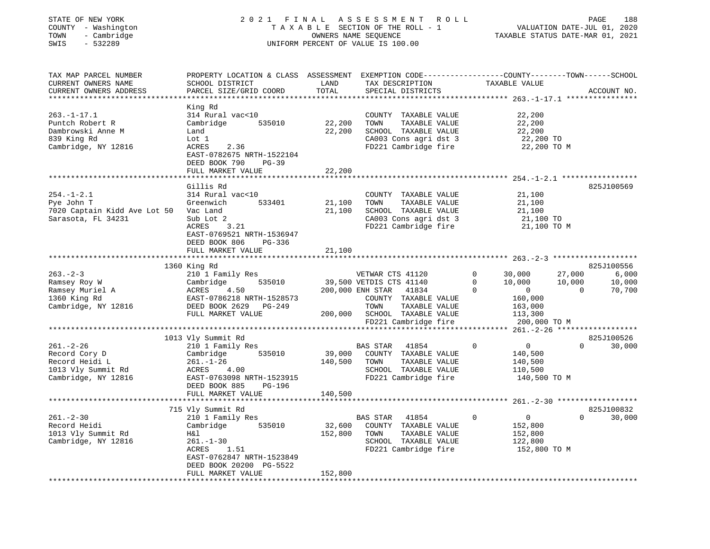| STATE OF NEW YORK<br>COUNTY - Washington<br>TOWN - Cambridge<br>SWIS - 532289                  | OWNERS NAME SEQUENCE<br>UNIFORM PERCENT OF VALUE IS 100.00                                                                                                                                                    |                         |                                                                                                                                              | OWNERS NAME SEQUENCE TAXABLE STATUS DATE-MAR 01, 2021                                                                     |
|------------------------------------------------------------------------------------------------|---------------------------------------------------------------------------------------------------------------------------------------------------------------------------------------------------------------|-------------------------|----------------------------------------------------------------------------------------------------------------------------------------------|---------------------------------------------------------------------------------------------------------------------------|
| CURRENT OWNERS NAME SCHOOL DISTRICT                                                            |                                                                                                                                                                                                               |                         | LAND TAX DESCRIPTION TAXABLE VALUE                                                                                                           | TAX MAP PARCEL NUMBER THE PROPERTY LOCATION & CLASS ASSESSMENT EXEMPTION CODE---------------COUNTY-------TOWN------SCHOOL |
|                                                                                                |                                                                                                                                                                                                               |                         |                                                                                                                                              |                                                                                                                           |
| $263 - 1 - 17.1$<br>Puntch Robert R<br>Dambrowski Anne M<br>839 King Rd<br>Cambridge, NY 12816 | King Rd<br>314 Rural vac<10<br>Cambridge 535010 22,200 TOWN<br>Land 22,200 SCHOOL TAXABLE VALUE 22,200<br>Lot 1 22,200 TO CA003 Cons agri dst 3 22,200 TO<br>EAST-0782675 NRTH-1522104<br>DEED BOOK 790 PG-39 |                         | COUNTY TAXABLE VALUE<br>TAXABLE VALUE<br>FD221 Cambridge fire                                                                                | 22,200<br>22,200<br>22,200 TO M                                                                                           |
|                                                                                                | FULL MARKET VALUE 22,200                                                                                                                                                                                      |                         |                                                                                                                                              |                                                                                                                           |
|                                                                                                | Gillis Rd                                                                                                                                                                                                     |                         |                                                                                                                                              | 825J100569                                                                                                                |
| $254. -1 - 2.1$<br>Pye John T<br>7020 Captain Kidd Ave Lot 50<br>Sarasota, FL 34231            | 314 Rural vac<10<br>Greenwich<br>Vac Land 21,100<br>Sub Lot 2<br>ACRES 3.21<br>RACH AREAEA1 MORI 1536047                                                                                                      | 533401 21,100<br>21,100 | COUNTY TAXABLE VALUE<br>TOWN<br>TAXABLE VALUE<br>SCHOOL TAXABLE VALUE<br>CA003 Cons agri dst 3 21,100 TO<br>FD221 Cambridge fire 21,100 TO M | 21,100<br>21,100<br>21,100                                                                                                |

1360 King Rd EAST-0786218 NRTH-1528573 COUNTY TAXABLE VALUE 160,000 Cambridge, NY 12816 DEED BOOK 2629 PG-249 TOWN TAXABLE VALUE 163,000

Record Cory D Cambridge 535010 39,000 COUNTY TAXABLE VALUE 140,500 Record Heidi L 261.-1-26 140,500 TOWN TAXABLE VALUE 140,500 1013 Vly Summit Rd ACRES 4.00 SCHOOL TAXABLE VALUE 110,500 Cambridge, NY 12816 EAST-0763098 NRTH-1523915 FD221 Cambridge fire 140,500 TO M

Record Heidi Cambridge 535010 32,600 COUNTY TAXABLE VALUE 152,800 1013 Vly Summit Rd H&l 152,800 TOWN TAXABLE VALUE 152,800 Cambridge, NY 12816 261.-1-30 SCHOOL TAXABLE VALUE 122,800

1360 King Rd 825J100556

1013 Vly Summit Rd 825J100526

715 Vly Summit Rd 825J100832

FD221 Cambridge fire 200,000 TO M

\*\*\*\*\*\*\*\*\*\*\*\*\*\*\*\*\*\*\*\*\*\*\*\*\*\*\*\*\*\*\*\*\*\*\*\*\*\*\*\*\*\*\*\*\*\*\*\*\*\*\*\*\*\*\*\*\*\*\*\*\*\*\*\*\*\*\*\*\*\*\*\*\*\*\*\*\*\*\*\*\*\*\*\*\*\*\*\*\*\*\*\*\*\*\*\*\*\*\*\*\*\*\* 263.-2-3 \*\*\*\*\*\*\*\*\*\*\*\*\*\*\*\*\*\*\*

263.-2-3 210 1 Family Res VETWAR CTS 41120 0 30,000 27,000 6,000 Ramsey Roy W Cambridge 535010 39,500 VETDIS CTS 41140 0 10,000 10,000 10,000 Ramsey Muriel A ACRES 4.50 200,000 ENH STAR 41834 0 0 70,700

FULL MARKET VALUE 200,000 SCHOOL TAXABLE VALUE 113,300

\*\*\*\*\*\*\*\*\*\*\*\*\*\*\*\*\*\*\*\*\*\*\*\*\*\*\*\*\*\*\*\*\*\*\*\*\*\*\*\*\*\*\*\*\*\*\*\*\*\*\*\*\*\*\*\*\*\*\*\*\*\*\*\*\*\*\*\*\*\*\*\*\*\*\*\*\*\*\*\*\*\*\*\*\*\*\*\*\*\*\*\*\*\*\*\*\*\*\*\*\*\*\* 261.-2-26 \*\*\*\*\*\*\*\*\*\*\*\*\*\*\*\*\*\*

261.-2-26 210 1 Family Res BAS STAR 41854 0 0 0 30,000

\*\*\*\*\*\*\*\*\*\*\*\*\*\*\*\*\*\*\*\*\*\*\*\*\*\*\*\*\*\*\*\*\*\*\*\*\*\*\*\*\*\*\*\*\*\*\*\*\*\*\*\*\*\*\*\*\*\*\*\*\*\*\*\*\*\*\*\*\*\*\*\*\*\*\*\*\*\*\*\*\*\*\*\*\*\*\*\*\*\*\*\*\*\*\*\*\*\*\*\*\*\*\* 261.-2-30 \*\*\*\*\*\*\*\*\*\*\*\*\*\*\*\*\*\*

261.-2-30 210 1 Family Res BAS STAR 41854 0 0 0 30,000

EAST-0769521 NRTH-1536947

 DEED BOOK 885 PG-196FULL MARKET VALUE 140,500

EAST-0762847 NRTH-1523849

FULL MARKET VALUE 152,800

DEED BOOK 20200 PG-5522

FULL MARKET VALUE 21,100

DEED BOOK 806 PG-336

\*\*\*\*\*\*\*\*\*\*\*\*\*\*\*\*\*\*\*\*\*\*\*\*\*\*\*\*\*\*\*\*\*\*\*\*\*\*\*\*\*\*\*\*\*\*\*\*\*\*\*\*\*\*\*\*\*\*\*\*\*\*\*\*\*\*\*\*\*\*\*\*\*\*\*\*\*\*\*\*\*\*\*\*\*\*\*\*\*\*\*\*\*\*\*\*\*\*\*\*\*\*\*\*\*\*\*\*\*\*\*\*\*\*\*\*\*\*\*\*\*\*\*\*\*\*\*\*\*\*\*\*

ACRES 1.51 FD221 Cambridge fire 152,800 TO M

825J100556

825J100832

 $825J100526$ <br>0  $30,000$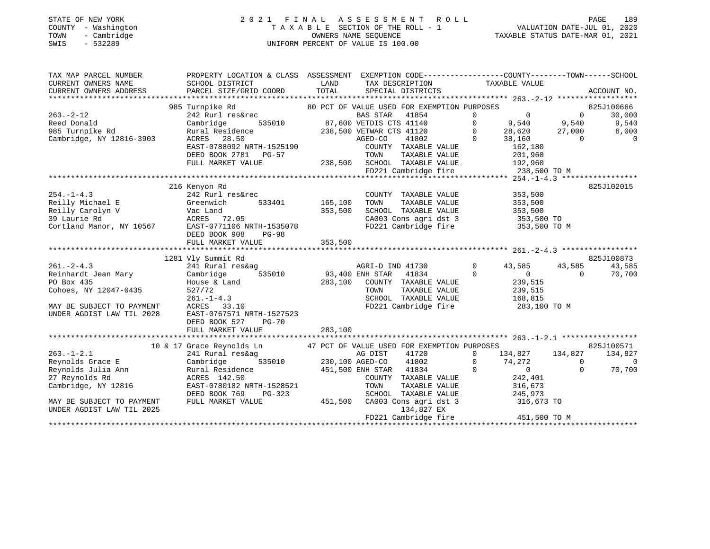## STATE OF NEW YORK 2 0 2 1 F I N A L A S S E S S M E N T R O L L PAGE 189 COUNTY - Washington T A X A B L E SECTION OF THE ROLL - 1 VALUATION DATE-JUL 01, 2020 TOWN - Cambridge OWNERS NAME SEQUENCE TAXABLE STATUS DATE-MAR 01, 2021 SWIS - 532289 UNIFORM PERCENT OF VALUE IS 100.00

| SCHOOL DISTRICT<br>PARCEL SIZE/GRID COORD                                                                                                                                               | LAND<br>TOTAL                                                                       | TAX DESCRIPTION<br>SPECIAL DISTRICTS                                                                                                                              |                                                                                                                                                                                              |                                                                                                                                                                     | ACCOUNT NO.                                                                                                                                              |
|-----------------------------------------------------------------------------------------------------------------------------------------------------------------------------------------|-------------------------------------------------------------------------------------|-------------------------------------------------------------------------------------------------------------------------------------------------------------------|----------------------------------------------------------------------------------------------------------------------------------------------------------------------------------------------|---------------------------------------------------------------------------------------------------------------------------------------------------------------------|----------------------------------------------------------------------------------------------------------------------------------------------------------|
| 242 Rurl res&rec<br>Cambridge<br>535010<br>Rural Residence<br>ACRES 28.50<br>DEED BOOK 2781 PG-57<br>FULL MARKET VALUE                                                                  |                                                                                     | <b>BAS STAR</b><br>41854<br>41802<br>COUNTY TAXABLE VALUE<br>TOWN<br>TAXABLE VALUE<br>FD221 Cambridge fire                                                        | $\overline{0}$<br>$\mathbf 0$<br>$\circ$<br>9,540<br>$\overline{0}$<br>28,620<br>$\Omega$<br>38,160<br>162,180<br>201,960<br>192,960                                                         | $\overline{0}$<br>9,540<br>27,000<br>$\Omega$                                                                                                                       | 825J100666<br>30,000<br>9,540<br>6,000<br>$\overline{0}$                                                                                                 |
| 242 Rurl res&rec<br>Greenwich<br>533401<br>Vac Land<br>ACRES 72.05<br>DEED BOOK 908<br>$PG-98$                                                                                          | 353,500                                                                             | COUNTY TAXABLE VALUE<br>TOWN<br>TAXABLE VALUE<br>SCHOOL TAXABLE VALUE<br>CA003 Cons agri dst 3<br>FD221 Cambridge fire                                            | 353,500<br>353,500<br>353,500                                                                                                                                                                |                                                                                                                                                                     | 825J102015                                                                                                                                               |
| FULL MARKET VALUE                                                                                                                                                                       | 353,500                                                                             |                                                                                                                                                                   |                                                                                                                                                                                              |                                                                                                                                                                     | 825J100873                                                                                                                                               |
| 241 Rural res&ag<br>Cambridge<br>535010<br>House & Land<br>527/72<br>$261. - 1 - 4.3$<br>ACRES 33.10<br>EAST-0767571 NRTH-1527523<br>DEED BOOK 527<br><b>PG-70</b><br>FULL MARKET VALUE | 283,100<br>283,100                                                                  | AGRI-D IND 41730<br>41834<br>COUNTY TAXABLE VALUE<br>TOWN<br>TAXABLE VALUE<br>SCHOOL TAXABLE VALUE                                                                | $\Omega$<br>43,585<br>$\Omega$<br>$\overline{0}$<br>239,515<br>239,515<br>168,815                                                                                                            | 43,585<br>$\Omega$                                                                                                                                                  | 43,585<br>70,700                                                                                                                                         |
|                                                                                                                                                                                         |                                                                                     |                                                                                                                                                                   |                                                                                                                                                                                              |                                                                                                                                                                     |                                                                                                                                                          |
| 241 Rural res&ag<br>535010<br>Cambridge<br>Rural Residence<br>ACRES 142.50<br>EAST-0780182 NRTH-1528521<br>PG-323<br>DEED BOOK 769<br>FULL MARKET VALUE                                 |                                                                                     | AG DIST<br>41720<br>41802<br>COUNTY TAXABLE VALUE<br>TOWN<br>TAXABLE VALUE<br>SCHOOL TAXABLE VALUE<br>CA003 Cons agri dst 3<br>134,827 EX<br>FD221 Cambridge fire | 134,827<br>0<br>0<br>74,272<br>$\Omega$<br>$\mathbf{0}$<br>242,401<br>316,673<br>245,973                                                                                                     | 134,827<br>$\overline{0}$<br>$\Omega$                                                                                                                               | 825J100571<br>134,827<br>$\Omega$<br>70,700                                                                                                              |
|                                                                                                                                                                                         | 985 Turnpike Rd<br>216 Kenyon Rd<br>1281 Vly Summit Rd<br>10 & 17 Grace Reynolds Ln | EAST-0788092 NRTH-1525190<br>EAST-0771106 NRTH-1535078                                                                                                            | PROPERTY LOCATION & CLASS ASSESSMENT<br>87,600 VETDIS CTS 41140<br>238,500 VETWAR CTS 41120<br>AGED-CO<br>165,100<br>93,400 ENH STAR<br>230,100 AGED-CO<br>451,500 ENH STAR 41834<br>451,500 | TAXABLE VALUE<br>80 PCT OF VALUE USED FOR EXEMPTION PURPOSES<br>238,500 SCHOOL TAXABLE VALUE<br>FD221 Cambridge fire<br>47 PCT OF VALUE USED FOR EXEMPTION PURPOSES | EXEMPTION CODE-----------------COUNTY-------TOWN------SCHOOL<br>238,500 TO M<br>353,500 TO<br>353,500 TO M<br>283,100 TO M<br>316,673 TO<br>451,500 TO M |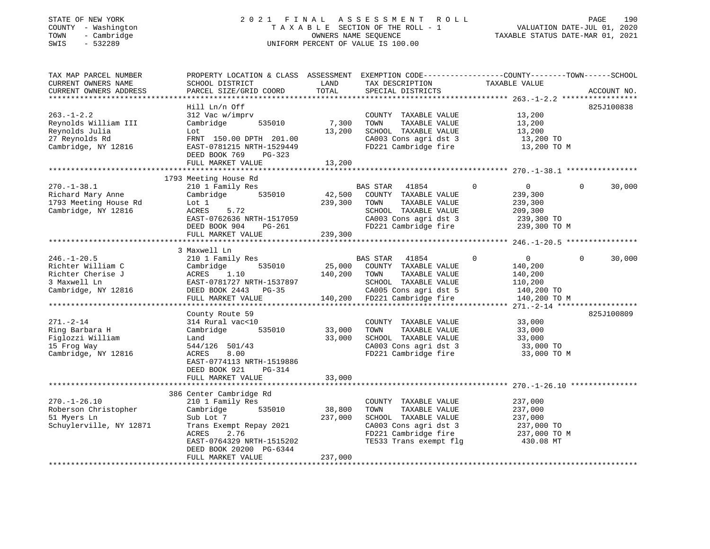## STATE OF NEW YORK 2 0 2 1 F I N A L A S S E S S M E N T R O L L PAGE 190 COUNTY - Washington T A X A B L E SECTION OF THE ROLL - 1 VALUATION DATE-JUL 01, 2020 TOWN - Cambridge OWNERS NAME SEQUENCE TAXABLE STATUS DATE-MAR 01, 2021 SWIS - 532289 UNIFORM PERCENT OF VALUE IS 100.00

| TAX MAP PARCEL NUMBER<br>CURRENT OWNERS NAME<br>CURRENT OWNERS ADDRESS                             | PROPERTY LOCATION & CLASS ASSESSMENT<br>SCHOOL DISTRICT<br>PARCEL SIZE/GRID COORD                                                                                                   | LAND<br>TOTAL                | EXEMPTION CODE-----------------COUNTY-------TOWN------SCHOOL<br>TAX DESCRIPTION<br>SPECIAL DISTRICTS                                             | TAXABLE VALUE                                                                            | ACCOUNT NO.           |
|----------------------------------------------------------------------------------------------------|-------------------------------------------------------------------------------------------------------------------------------------------------------------------------------------|------------------------------|--------------------------------------------------------------------------------------------------------------------------------------------------|------------------------------------------------------------------------------------------|-----------------------|
| $263. - 1 - 2.2$<br>Reynolds William III<br>Reynolds Julia<br>27 Reynolds Rd                       | Hill Ln/n Off<br>312 Vac w/imprv<br>535010<br>Cambridge<br>Lot                                                                                                                      | 7,300<br>13,200              | COUNTY TAXABLE VALUE<br>TOWN<br>TAXABLE VALUE<br>SCHOOL TAXABLE VALUE<br>CA003 Cons agri dst 3                                                   | 13,200<br>13,200<br>13,200                                                               | 825J100838            |
| Cambridge, NY 12816                                                                                | FRNT 150.00 DPTH 201.00<br>EAST-0781215 NRTH-1529449<br>DEED BOOK 769<br>PG-323<br>FULL MARKET VALUE                                                                                | 13,200                       | FD221 Cambridge fire                                                                                                                             | 13,200 TO<br>13,200 TO M                                                                 |                       |
|                                                                                                    |                                                                                                                                                                                     |                              |                                                                                                                                                  |                                                                                          |                       |
| $270. - 1 - 38.1$<br>Richard Mary Anne<br>1793 Meeting House Rd<br>Cambridge, NY 12816             | 1793 Meeting House Rd<br>210 1 Family Res<br>535010<br>Cambridge<br>Lot 1<br>ACRES<br>5.72<br>EAST-0762636 NRTH-1517059<br>DEED BOOK 904<br>PG-261                                  | 42,500<br>239,300            | BAS STAR<br>41854<br>COUNTY TAXABLE VALUE<br>TOWN<br>TAXABLE VALUE<br>SCHOOL TAXABLE VALUE<br>CA003 Cons agri dst 3<br>FD221 Cambridge fire      | $\overline{0}$<br>$\circ$<br>239,300<br>239,300<br>209,300<br>239,300 TO<br>239,300 TO M | $\mathbf 0$<br>30,000 |
|                                                                                                    | FULL MARKET VALUE                                                                                                                                                                   | 239,300                      |                                                                                                                                                  |                                                                                          |                       |
|                                                                                                    |                                                                                                                                                                                     |                              |                                                                                                                                                  |                                                                                          |                       |
| $246. - 1 - 20.5$<br>Richter William C<br>Richter Cherise J<br>3 Maxwell Ln<br>Cambridge, NY 12816 | 3 Maxwell Ln<br>210 1 Family Res<br>535010<br>Cambridge<br>ACRES<br>1.10<br>EAST-0781727 NRTH-1537897<br>DEED BOOK 2443 PG-35<br>FULL MARKET VALUE                                  | 25,000<br>140,200<br>140,200 | BAS STAR 41854<br>COUNTY TAXABLE VALUE<br>TOWN<br>TAXABLE VALUE<br>SCHOOL TAXABLE VALUE<br>CA005 Cons agri dst 5<br>FD221 Cambridge fire         | $\mathbf{0}$<br>0<br>140,200<br>140,200<br>110,200<br>140,200 TO<br>140,200 TO M         | $\Omega$<br>30,000    |
|                                                                                                    |                                                                                                                                                                                     |                              |                                                                                                                                                  |                                                                                          |                       |
| $271. - 2 - 14$<br>Ring Barbara H<br>Figlozzi William<br>15 Frog Way<br>Cambridge, NY 12816        | County Route 59<br>314 Rural vac<10<br>535010<br>Cambridge<br>Land<br>544/126 501/43<br>8.00<br>ACRES<br>EAST-0774113 NRTH-1519886<br>DEED BOOK 921<br>PG-314                       | 33,000<br>33,000             | COUNTY TAXABLE VALUE<br>TAXABLE VALUE<br>TOWN<br>SCHOOL TAXABLE VALUE<br>CA003 Cons agri dst 3<br>FD221 Cambridge fire                           | 33,000<br>33,000<br>33,000<br>33,000 TO<br>33,000 TO M                                   | 825J100809            |
|                                                                                                    | FULL MARKET VALUE                                                                                                                                                                   | 33,000                       |                                                                                                                                                  |                                                                                          |                       |
|                                                                                                    |                                                                                                                                                                                     |                              |                                                                                                                                                  |                                                                                          |                       |
| $270. - 1 - 26.10$<br>Roberson Christopher<br>51 Myers Ln<br>Schuylerville, NY 12871               | 386 Center Cambridge Rd<br>210 1 Family Res<br>Cambridge<br>535010<br>Sub Lot 7<br>Trans Exempt Repay 2021<br>ACRES<br>2.76<br>EAST-0764329 NRTH-1515202<br>DEED BOOK 20200 PG-6344 | 38,800<br>237,000            | COUNTY TAXABLE VALUE<br>TOWN<br>TAXABLE VALUE<br>SCHOOL TAXABLE VALUE<br>CA003 Cons agri dst 3<br>FD221 Cambridge fire<br>TE533 Trans exempt flg | 237,000<br>237,000<br>237,000<br>237,000 TO<br>237,000 TO M<br>430.08 MT                 |                       |
|                                                                                                    | FULL MARKET VALUE                                                                                                                                                                   | 237,000                      |                                                                                                                                                  |                                                                                          |                       |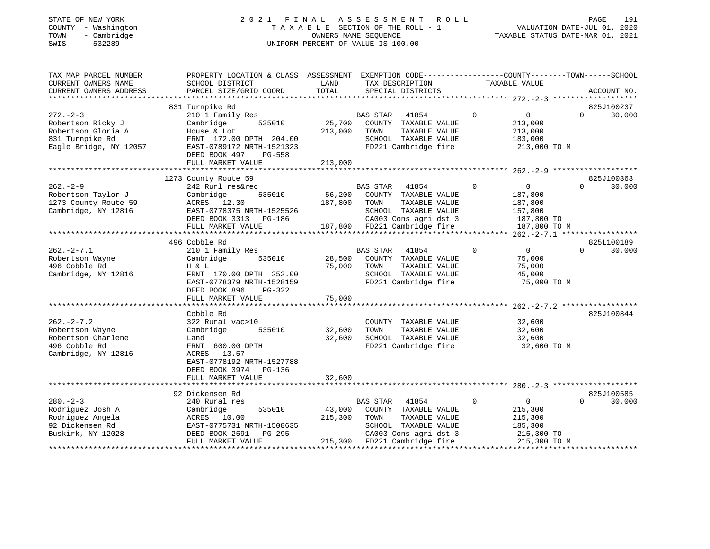# STATE OF NEW YORK 2 0 2 1 F I N A L A S S E S S M E N T R O L L PAGE 191 COUNTY - Washington T A X A B L E SECTION OF THE ROLL - 1 VALUATION DATE-JUL 01, 2020 TOWN - Cambridge OWNERS NAME SEQUENCE TAXABLE STATUS DATE-MAR 01, 2021 TOWN - Cambridge - TOWN - Cambridge - TOWN - Cambridge - TOWN - Cambridge - TOWN - Cambridge - TOWNERS NAME SEQUENCE

| TAX MAP PARCEL NUMBER<br>CURRENT OWNERS NAME | PROPERTY LOCATION & CLASS ASSESSMENT EXEMPTION CODE-----------------COUNTY-------TOWN-----SCHOOL<br>SCHOOL DISTRICT | LAND    |                                      |             | TAXABLE VALUE  |                                  |
|----------------------------------------------|---------------------------------------------------------------------------------------------------------------------|---------|--------------------------------------|-------------|----------------|----------------------------------|
| CURRENT OWNERS ADDRESS                       | PARCEL SIZE/GRID COORD                                                                                              | TOTAL   | TAX DESCRIPTION<br>SPECIAL DISTRICTS |             |                | ACCOUNT NO.                      |
|                                              |                                                                                                                     |         |                                      |             |                |                                  |
|                                              | 831 Turnpike Rd                                                                                                     |         |                                      |             |                | 825J100237                       |
| $272 - 2 - 3$                                | 210 1 Family Res                                                                                                    |         | BAS STAR<br>41854                    | 0           | $\overline{0}$ | $\Omega$<br>30,000               |
| Robertson Ricky J                            | Cambridge<br>535010                                                                                                 | 25,700  | COUNTY TAXABLE VALUE                 |             | 213,000        |                                  |
| Robertson Gloria A                           | House & Lot                                                                                                         | 213,000 | TAXABLE VALUE<br>TOWN                |             | 213,000        |                                  |
| 831 Turnpike Rd                              | FRNT 172.00 DPTH 204.00                                                                                             |         | SCHOOL TAXABLE VALUE                 |             | 183,000        |                                  |
| Eagle Bridge, NY 12057                       | EAST-0789172 NRTH-1521323                                                                                           |         | FD221 Cambridge fire                 |             | 213,000 TO M   |                                  |
|                                              | DEED BOOK 497<br>PG-558                                                                                             |         |                                      |             |                |                                  |
|                                              | FULL MARKET VALUE                                                                                                   | 213,000 |                                      |             |                |                                  |
|                                              |                                                                                                                     |         |                                      |             |                | *******************              |
| $262 - 2 - 9$                                | 1273 County Route 59<br>242 Rurl res&rec                                                                            |         | <b>BAS STAR</b><br>41854             | $\Omega$    | $\mathbf 0$    | 825J100363<br>$\Omega$<br>30,000 |
| Robertson Taylor J                           | 535010<br>Cambridge                                                                                                 | 56,200  | COUNTY TAXABLE VALUE                 |             | 187,800        |                                  |
| 1273 County Route 59                         | ACRES 12.30                                                                                                         | 187,800 | TAXABLE VALUE<br>TOWN                |             | 187,800        |                                  |
| Cambridge, NY 12816                          | EAST-0778375 NRTH-1525526                                                                                           |         | SCHOOL TAXABLE VALUE                 |             | 157,800        |                                  |
|                                              | DEED BOOK 3313 PG-186                                                                                               |         | CA003 Cons agri dst 3                |             | 187,800 TO     |                                  |
|                                              | FULL MARKET VALUE                                                                                                   |         | 187,800 FD221 Cambridge fire         |             | 187,800 TO M   |                                  |
|                                              |                                                                                                                     |         |                                      |             |                |                                  |
|                                              | 496 Cobble Rd                                                                                                       |         |                                      |             |                | 825L100189                       |
| $262 - 2 - 7.1$                              | 210 1 Family Res                                                                                                    |         | BAS STAR<br>41854                    | $\mathbf 0$ | $\overline{0}$ | $\Omega$<br>30,000               |
| Robertson Wayne                              | Cambridge<br>535010                                                                                                 | 28,500  | COUNTY TAXABLE VALUE                 |             | 75,000         |                                  |
| 496 Cobble Rd                                | H & L                                                                                                               | 75,000  | TOWN<br>TAXABLE VALUE                |             | 75,000         |                                  |
| Cambridge, NY 12816                          | FRNT 170.00 DPTH 252.00                                                                                             |         | SCHOOL TAXABLE VALUE                 |             | 45,000         |                                  |
|                                              | EAST-0778379 NRTH-1528159                                                                                           |         | FD221 Cambridge fire                 |             | 75,000 TO M    |                                  |
|                                              | DEED BOOK 896<br>$PG-322$                                                                                           |         |                                      |             |                |                                  |
|                                              | FULL MARKET VALUE                                                                                                   | 75,000  |                                      |             |                |                                  |
|                                              |                                                                                                                     |         |                                      |             |                |                                  |
| $262 - 2 - 7.2$                              | Cobble Rd<br>322 Rural vac>10                                                                                       |         | COUNTY TAXABLE VALUE                 |             | 32,600         | 825J100844                       |
| Robertson Wayne                              | Cambridge<br>535010                                                                                                 | 32,600  | TAXABLE VALUE<br>TOWN                |             | 32,600         |                                  |
| Robertson Charlene                           | Land                                                                                                                | 32,600  | SCHOOL TAXABLE VALUE                 |             | 32,600         |                                  |
| 496 Cobble Rd                                | FRNT 600.00 DPTH                                                                                                    |         | FD221 Cambridge fire                 |             | 32,600 TO M    |                                  |
| Cambridge, NY 12816                          | ACRES 13.57                                                                                                         |         |                                      |             |                |                                  |
|                                              | EAST-0778192 NRTH-1527788                                                                                           |         |                                      |             |                |                                  |
|                                              | DEED BOOK 3974 PG-136                                                                                               |         |                                      |             |                |                                  |
|                                              | FULL MARKET VALUE                                                                                                   | 32,600  |                                      |             |                |                                  |
|                                              |                                                                                                                     |         |                                      |             |                |                                  |
|                                              | 92 Dickensen Rd                                                                                                     |         |                                      |             |                | 825J100585                       |
| $280 - 2 - 3$                                | 240 Rural res                                                                                                       |         | BAS STAR 41854                       | $\mathbf 0$ | $\overline{0}$ | $\Omega$<br>30,000               |
| Rodriguez Josh A                             | 535010<br>Cambridge                                                                                                 | 43,000  | COUNTY TAXABLE VALUE                 |             | 215,300        |                                  |
| Rodriguez Angela                             | ACRES 10.00                                                                                                         | 215,300 | TOWN<br>TAXABLE VALUE                |             | 215,300        |                                  |
| 92 Dickensen Rd                              | EAST-0775731 NRTH-1508635                                                                                           |         | SCHOOL TAXABLE VALUE                 |             | 185,300        |                                  |
| Buskirk, NY 12028                            | DEED BOOK 2591<br>PG-295                                                                                            |         | CA003 Cons agri dst 3                |             | 215,300 TO     |                                  |
|                                              | FULL MARKET VALUE                                                                                                   |         | 215,300 FD221 Cambridge fire         |             | 215,300 TO M   |                                  |
|                                              |                                                                                                                     |         |                                      |             |                |                                  |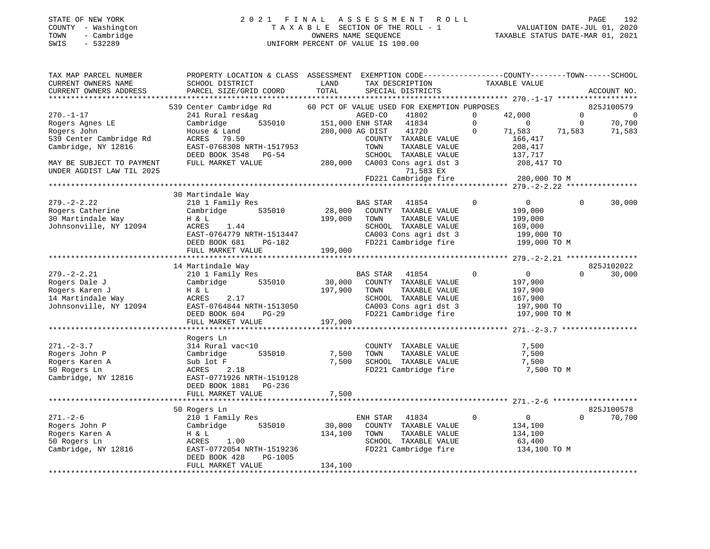## STATE OF NEW YORK 2 0 2 1 F I N A L A S S E S S M E N T R O L L PAGE 192 COUNTY - Washington T A X A B L E SECTION OF THE ROLL - 1 VALUATION DATE-JUL 01, 2020 TOWN - Cambridge OWNERS NAME SEQUENCE TAXABLE STATUS DATE-MAR 01, 2021 SWIS - 532289 UNIFORM PERCENT OF VALUE IS 100.00

| TAX MAP PARCEL NUMBER<br>CURRENT OWNERS NAME<br>CURRENT OWNERS ADDRESS | PROPERTY LOCATION & CLASS<br>SCHOOL DISTRICT<br>PARCEL SIZE/GRID COORD | ASSESSMENT<br>LAND<br>TOTAL | EXEMPTION CODE-----------------COUNTY-------TOWN------SCHOOL<br>TAX DESCRIPTION<br>SPECIAL DISTRICTS | TAXABLE VALUE                                | ACCOUNT NO.                |
|------------------------------------------------------------------------|------------------------------------------------------------------------|-----------------------------|------------------------------------------------------------------------------------------------------|----------------------------------------------|----------------------------|
| *************************                                              |                                                                        |                             |                                                                                                      |                                              |                            |
|                                                                        | 539 Center Cambridge Rd                                                |                             | 60 PCT OF VALUE USED FOR EXEMPTION PURPOSES                                                          |                                              | 825J100579                 |
| $270. - 1 - 17$                                                        | 241 Rural res&ag                                                       |                             | AGED-CO<br>41802                                                                                     | $\Omega$<br>42,000                           | $\Omega$<br>$\overline{0}$ |
| Rogers Agnes LE                                                        | Cambridge<br>535010                                                    |                             | 151,000 ENH STAR<br>41834                                                                            | $\mathbf 0$<br>$\overline{0}$                | 70,700<br>$\mathbf 0$      |
| Rogers John                                                            | House & Land                                                           |                             | 280,000 AG DIST<br>41720                                                                             | $\Omega$<br>71,583                           | 71,583<br>71,583           |
| 539 Center Cambridge Rd                                                | ACRES 79.50                                                            |                             | COUNTY TAXABLE VALUE                                                                                 | 166,417                                      |                            |
| Cambridge, NY 12816                                                    | EAST-0768308 NRTH-1517953                                              |                             | TOWN<br>TAXABLE VALUE                                                                                | 208,417                                      |                            |
|                                                                        | DEED BOOK 3548 PG-54                                                   |                             | SCHOOL TAXABLE VALUE                                                                                 | 137,717                                      |                            |
| MAY BE SUBJECT TO PAYMENT                                              | FULL MARKET VALUE                                                      | 280,000                     | CA003 Cons agri dst 3                                                                                | 208,417 TO                                   |                            |
| UNDER AGDIST LAW TIL 2025                                              |                                                                        |                             | 71,583 EX                                                                                            |                                              |                            |
| **********************                                                 |                                                                        |                             | FD221 Cambridge fire                                                                                 | 280,000 TO M                                 |                            |
|                                                                        |                                                                        |                             |                                                                                                      |                                              |                            |
|                                                                        | 30 Martindale Way                                                      |                             |                                                                                                      |                                              |                            |
| $279. - 2 - 2.22$                                                      | 210 1 Family Res                                                       |                             | BAS STAR<br>41854                                                                                    | $\mathbf 0$<br>$\overline{0}$                | $\Omega$<br>30,000         |
| Rogers Catherine                                                       | Cambridge<br>535010                                                    | 28,000                      | COUNTY TAXABLE VALUE                                                                                 | 199,000                                      |                            |
| 30 Martindale Way                                                      | H & L                                                                  | 199,000                     | TOWN<br>TAXABLE VALUE                                                                                | 199,000                                      |                            |
| Johnsonville, NY 12094                                                 | ACRES<br>1.44                                                          |                             | SCHOOL TAXABLE VALUE                                                                                 | 169,000                                      |                            |
|                                                                        | EAST-0764779 NRTH-1513447                                              |                             | CA003 Cons agri dst 3                                                                                | 199,000 TO                                   |                            |
|                                                                        | DEED BOOK 681<br>PG-182<br>FULL MARKET VALUE                           | 199,000                     | FD221 Cambridge fire                                                                                 | 199,000 TO M                                 |                            |
|                                                                        |                                                                        |                             | ***************************                                                                          | ************* 279. -2-2.21 ***************** |                            |
|                                                                        | 14 Martindale Way                                                      |                             |                                                                                                      |                                              | 825J102022                 |
| $279. - 2 - 2.21$                                                      | 210 1 Family Res                                                       |                             | BAS STAR<br>41854                                                                                    | $\mathbf 0$<br>$\circ$                       | 30,000<br>$\Omega$         |
| Rogers Dale J                                                          | Cambridge<br>535010                                                    | 30,000                      | COUNTY TAXABLE VALUE                                                                                 | 197,900                                      |                            |
| Rogers Karen J                                                         | H & L                                                                  | 197,900                     | TOWN<br>TAXABLE VALUE                                                                                | 197,900                                      |                            |
| 14 Martindale Way                                                      | ACRES<br>2.17                                                          |                             | SCHOOL TAXABLE VALUE                                                                                 | 167,900                                      |                            |
| Johnsonville, NY 12094                                                 | EAST-0764844 NRTH-1513050                                              |                             | CA003 Cons agri dst 3                                                                                | 197,900 TO                                   |                            |
|                                                                        | DEED BOOK 604<br>$PG-29$                                               |                             | FD221 Cambridge fire                                                                                 | 197,900 TO M                                 |                            |
|                                                                        | FULL MARKET VALUE                                                      | 197,900                     |                                                                                                      |                                              |                            |
|                                                                        |                                                                        |                             |                                                                                                      |                                              |                            |
|                                                                        | Rogers Ln                                                              |                             |                                                                                                      |                                              |                            |
| $271 - 2 - 3.7$                                                        | 314 Rural vac<10                                                       |                             | COUNTY TAXABLE VALUE                                                                                 | 7,500                                        |                            |
| Rogers John P                                                          | 535010<br>Cambridge                                                    | 7,500                       | TAXABLE VALUE<br>TOWN                                                                                | 7,500                                        |                            |
| Rogers Karen A                                                         | Sub lot F                                                              | 7,500                       | SCHOOL TAXABLE VALUE                                                                                 | 7,500                                        |                            |
| 50 Rogers Ln                                                           | ACRES<br>2.18                                                          |                             | FD221 Cambridge fire                                                                                 | 7,500 TO M                                   |                            |
| Cambridge, NY 12816                                                    | EAST-0771926 NRTH-1519128                                              |                             |                                                                                                      |                                              |                            |
|                                                                        | DEED BOOK 1881<br>PG-236                                               |                             |                                                                                                      |                                              |                            |
|                                                                        | FULL MARKET VALUE                                                      | 7,500                       |                                                                                                      |                                              |                            |
|                                                                        |                                                                        |                             |                                                                                                      |                                              |                            |
|                                                                        | 50 Rogers Ln                                                           |                             |                                                                                                      |                                              | 825J100578                 |
| $271. - 2 - 6$                                                         | 210 1 Family Res                                                       |                             | ENH STAR<br>41834                                                                                    | $\mathbf 0$<br>$\overline{0}$                | 70,700<br>$\Omega$         |
| Rogers John P                                                          | Cambridge<br>535010                                                    | 30,000                      | COUNTY TAXABLE VALUE                                                                                 | 134,100                                      |                            |
| Rogers Karen A                                                         | H & L                                                                  | 134,100                     | TOWN<br>TAXABLE VALUE                                                                                | 134,100                                      |                            |
| 50 Rogers Ln                                                           | 1.00<br>ACRES                                                          |                             | SCHOOL TAXABLE VALUE                                                                                 | 63,400                                       |                            |
| Cambridge, NY 12816                                                    | EAST-0772054 NRTH-1519236                                              |                             | FD221 Cambridge fire                                                                                 | 134,100 TO M                                 |                            |
|                                                                        | DEED BOOK 428<br>PG-1005                                               |                             |                                                                                                      |                                              |                            |
|                                                                        | FULL MARKET VALUE                                                      | 134,100                     |                                                                                                      |                                              |                            |
|                                                                        |                                                                        |                             |                                                                                                      |                                              |                            |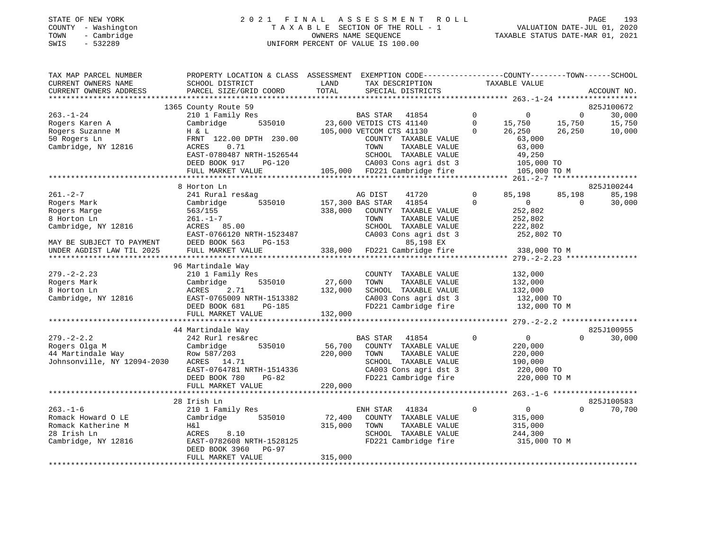# STATE OF NEW YORK 2 0 2 1 F I N A L A S S E S S M E N T R O L L PAGE 193 COUNTY - Washington T A X A B L E SECTION OF THE ROLL - 1 VALUATION DATE-JUL 01, 2020 TOWN - Cambridge OWNERS NAME SEQUENCE TAXABLE STATUS DATE-MAR 01, 2021 SWING UNIFORM SURFACE OF NEW YORK ON THE ROLL TO A SSE SSENE NT TOWN TO WELL TOWN TO COUNTY - WASHINGTON TO A SUBSECTION OF THE ROLL TOWN - CAMBRING PERCENT OF VALUE IS 100.00

| TAX MAP PARCEL NUMBER<br>CURRENT OWNERS NAME | PROPERTY LOCATION & CLASS ASSESSMENT<br>SCHOOL DISTRICT | LAND    | EXEMPTION CODE-----------------COUNTY-------TOWN------SCHOOL<br>TAX DESCRIPTION | TAXABLE VALUE                 |                        |
|----------------------------------------------|---------------------------------------------------------|---------|---------------------------------------------------------------------------------|-------------------------------|------------------------|
| CURRENT OWNERS ADDRESS                       | PARCEL SIZE/GRID COORD                                  | TOTAL   | SPECIAL DISTRICTS                                                               |                               | ACCOUNT NO.            |
|                                              | 1365 County Route 59                                    |         |                                                                                 |                               | 825J100672             |
| $263. - 1 - 24$                              | 210 1 Family Res                                        |         | <b>BAS STAR</b><br>41854                                                        | $\mathbf 0$<br>$\Omega$       | $\mathbf{0}$<br>30,000 |
| Rogers Karen A                               | 535010<br>Cambridge                                     |         | 23,600 VETDIS CTS 41140                                                         | $\mathbf 0$<br>15,750         | 15,750<br>15,750       |
| Rogers Suzanne M                             | H & L                                                   |         | 105,000 VETCOM CTS 41130                                                        | $\Omega$<br>26,250            | 26,250<br>10,000       |
| 50 Rogers Ln                                 | FRNT 122.00 DPTH 230.00                                 |         | COUNTY TAXABLE VALUE                                                            | 63,000                        |                        |
| Cambridge, NY 12816                          | ACRES<br>0.71                                           |         | TOWN<br>TAXABLE VALUE                                                           | 63,000                        |                        |
|                                              | EAST-0780487 NRTH-1526544                               |         | SCHOOL TAXABLE VALUE                                                            | 49,250                        |                        |
|                                              | DEED BOOK 917<br>PG-120                                 |         | CA003 Cons agri dst 3                                                           | 105,000 TO                    |                        |
|                                              | FULL MARKET VALUE                                       |         | 105,000 FD221 Cambridge fire                                                    | 105,000 TO M                  |                        |
|                                              |                                                         |         |                                                                                 |                               |                        |
|                                              | 8 Horton Ln                                             |         |                                                                                 |                               | 825J100244             |
| $261. - 2 - 7$                               | 241 Rural res&ag                                        |         | 41720<br>AG DIST                                                                | $\mathbf 0$<br>85,198         | 85,198<br>85,198       |
| Rogers Mark                                  | 535010<br>Cambridge                                     |         | 157,300 BAS STAR<br>41854                                                       | $\Omega$<br>$\mathbf{0}$      | 30,000<br>0            |
| Rogers Marge                                 | 563/155                                                 | 338,000 | COUNTY TAXABLE VALUE                                                            | 252,802                       |                        |
| 8 Horton Ln                                  | $261. - 1 - 7$                                          |         | TOWN<br>TAXABLE VALUE                                                           | 252,802                       |                        |
| Cambridge, NY 12816                          | ACRES 85.00                                             |         | SCHOOL TAXABLE VALUE                                                            | 222,802                       |                        |
|                                              | EAST-0766120 NRTH-1523487                               |         | CA003 Cons agri dst 3                                                           | 252,802 TO                    |                        |
| MAY BE SUBJECT TO PAYMENT                    | DEED BOOK 563<br>$PG-153$                               |         | 85,198 EX                                                                       |                               |                        |
| UNDER AGDIST LAW TIL 2025                    | FULL MARKET VALUE                                       | 338,000 | FD221 Cambridge fire                                                            | 338,000 TO M                  |                        |
|                                              | 96 Martindale Way                                       |         |                                                                                 |                               |                        |
| $279. - 2 - 2.23$                            | 210 1 Family Res                                        |         | COUNTY TAXABLE VALUE                                                            | 132,000                       |                        |
| Rogers Mark                                  | Cambridge<br>535010                                     | 27,600  | TOWN<br>TAXABLE VALUE                                                           | 132,000                       |                        |
| 8 Horton Ln                                  | 2.71<br>ACRES                                           | 132,000 | SCHOOL TAXABLE VALUE                                                            | 132,000                       |                        |
| Cambridge, NY 12816                          | EAST-0765009 NRTH-1513382                               |         | CA003 Cons agri dst 3                                                           | 132,000 TO                    |                        |
|                                              | DEED BOOK 681<br>PG-185                                 |         | FD221 Cambridge fire                                                            | 132,000 TO M                  |                        |
|                                              | FULL MARKET VALUE                                       | 132,000 |                                                                                 |                               |                        |
|                                              |                                                         |         |                                                                                 |                               |                        |
|                                              | 44 Martindale Way                                       |         |                                                                                 |                               | 825J100955             |
| $279. - 2 - 2.2$                             | 242 Rurl res&rec                                        |         | BAS STAR<br>41854                                                               | $\mathbf 0$<br>$\overline{0}$ | $\Omega$<br>30,000     |
| Rogers Olga M                                | 535010<br>Cambridge                                     | 56,700  | COUNTY TAXABLE VALUE                                                            | 220,000                       |                        |
| 44 Martindale Way                            | Row 587/203                                             | 220,000 | TOWN<br>TAXABLE VALUE                                                           | 220,000                       |                        |
| Johnsonville, NY 12094-2030                  | ACRES 14.71                                             |         | SCHOOL TAXABLE VALUE                                                            | 190,000                       |                        |
|                                              | EAST-0764781 NRTH-1514336                               |         | CA003 Cons agri dst 3                                                           | 220,000 TO                    |                        |
|                                              | DEED BOOK 780<br>$PG-82$                                |         | FD221 Cambridge fire                                                            | 220,000 TO M                  |                        |
|                                              | FULL MARKET VALUE                                       | 220,000 |                                                                                 |                               |                        |
|                                              | *******************                                     |         |                                                                                 | $263 - 1 - 6$                 |                        |
|                                              | 28 Irish Ln                                             |         |                                                                                 |                               | 825J100583             |
| $263. - 1 - 6$                               | 210 1 Family Res                                        |         | ENH STAR<br>41834                                                               | $\mathbf 0$<br>$\Omega$       | $\Omega$<br>70,700     |
| Romack Howard O LE<br>Romack Katherine M     | Cambridge<br>535010                                     | 72,400  | COUNTY TAXABLE VALUE                                                            | 315,000                       |                        |
|                                              | Η&l                                                     | 315,000 | TOWN<br>TAXABLE VALUE                                                           | 315,000                       |                        |
| 28 Irish Ln<br>Cambridge, NY 12816           | ACRES<br>8.10<br>EAST-0782608 NRTH-1528125              |         | SCHOOL TAXABLE VALUE<br>FD221 Cambridge fire                                    | 244,300<br>315,000 TO M       |                        |
|                                              | DEED BOOK 3960<br>$PG-97$                               |         |                                                                                 |                               |                        |
|                                              | FULL MARKET VALUE                                       | 315,000 |                                                                                 |                               |                        |
|                                              |                                                         |         |                                                                                 |                               |                        |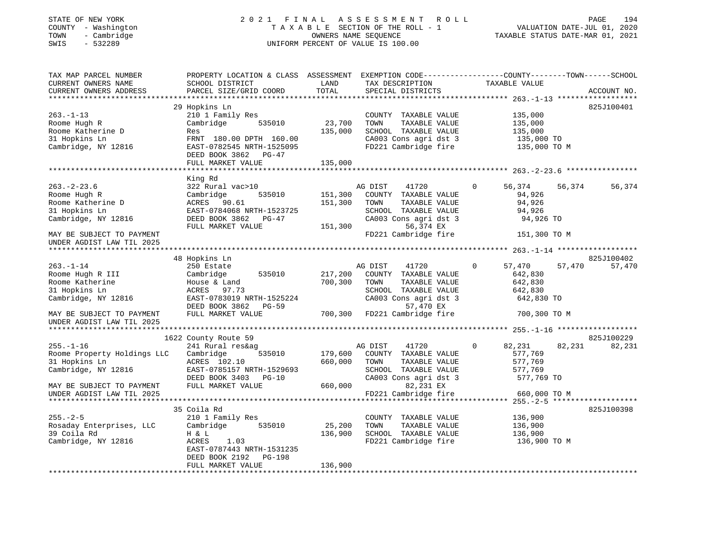## STATE OF NEW YORK 2 0 2 1 F I N A L A S S E S S M E N T R O L L PAGE 194 COUNTY - Washington T A X A B L E SECTION OF THE ROLL - 1 VALUATION DATE-JUL 01, 2020 TOWN - Cambridge OWNERS NAME SEQUENCE TAXABLE STATUS DATE-MAR 01, 2021 SWIS - 532289 UNIFORM PERCENT OF VALUE IS 100.00

| TAX MAP PARCEL NUMBER       | PROPERTY LOCATION & CLASS ASSESSMENT EXEMPTION CODE----------------COUNTY-------TOWN------SCHOOL |         |                       |                       |                  |
|-----------------------------|--------------------------------------------------------------------------------------------------|---------|-----------------------|-----------------------|------------------|
| CURRENT OWNERS NAME         | SCHOOL DISTRICT                                                                                  | LAND    | TAX DESCRIPTION       | TAXABLE VALUE         |                  |
| CURRENT OWNERS ADDRESS      | PARCEL SIZE/GRID COORD                                                                           | TOTAL   | SPECIAL DISTRICTS     |                       | ACCOUNT NO.      |
|                             |                                                                                                  |         |                       |                       |                  |
|                             | 29 Hopkins Ln                                                                                    |         |                       |                       | 825J100401       |
| $263. - 1 - 13$             | 210 1 Family Res                                                                                 |         | COUNTY TAXABLE VALUE  | 135,000               |                  |
| Roome Hugh R                | Cambridge<br>535010                                                                              | 23,700  | TOWN<br>TAXABLE VALUE | 135,000               |                  |
| Roome Katherine D           | Res                                                                                              | 135,000 | SCHOOL TAXABLE VALUE  | 135,000               |                  |
| 31 Hopkins Ln               | FRNT 180.00 DPTH 160.00                                                                          |         | CA003 Cons agri dst 3 | 135,000 TO            |                  |
| Cambridge, NY 12816         | EAST-0782545 NRTH-1525095                                                                        |         | FD221 Cambridge fire  | 135,000 TO M          |                  |
|                             | DEED BOOK 3862 PG-47                                                                             |         |                       |                       |                  |
|                             | FULL MARKET VALUE                                                                                | 135,000 |                       |                       |                  |
|                             |                                                                                                  |         |                       |                       |                  |
|                             | King Rd                                                                                          |         |                       |                       |                  |
| $263. - 2 - 23.6$           | 322 Rural vac>10                                                                                 |         | AG DIST<br>41720      | 56,374<br>0           | 56,374<br>56,374 |
| Roome Hugh R                | Cambridge<br>535010                                                                              | 151,300 | COUNTY TAXABLE VALUE  | 94,926                |                  |
| Roome Katherine D           | ACRES 90.61                                                                                      | 151,300 | TOWN<br>TAXABLE VALUE | 94,926                |                  |
| 31 Hopkins Ln               | EAST-0784068 NRTH-1523725                                                                        |         | SCHOOL TAXABLE VALUE  | 94,926                |                  |
| Cambridge, NY 12816         | DEED BOOK 3862<br>$PG-47$                                                                        |         | CA003 Cons agri dst 3 | 94,926 TO             |                  |
|                             | FULL MARKET VALUE                                                                                | 151,300 | 56,374 EX             |                       |                  |
| MAY BE SUBJECT TO PAYMENT   |                                                                                                  |         | FD221 Cambridge fire  | 151,300 TO M          |                  |
| UNDER AGDIST LAW TIL 2025   |                                                                                                  |         |                       |                       |                  |
|                             |                                                                                                  |         |                       |                       |                  |
|                             | 48 Hopkins Ln                                                                                    |         |                       |                       | 825J100402       |
| $263. - 1 - 14$             | 250 Estate                                                                                       |         | 41720<br>AG DIST      | $\mathbf 0$<br>57,470 | 57,470<br>57,470 |
| Roome Hugh R III            | 535010<br>Cambridge                                                                              | 217,200 | COUNTY TAXABLE VALUE  | 642,830               |                  |
| Roome Katherine             | House & Land                                                                                     | 700,300 | TOWN<br>TAXABLE VALUE | 642,830               |                  |
| 31 Hopkins Ln               | ACRES 97.73                                                                                      |         | SCHOOL TAXABLE VALUE  | 642,830               |                  |
| Cambridge, NY 12816         | EAST-0783019 NRTH-1525224                                                                        |         | CA003 Cons agri dst 3 | 642,830 TO            |                  |
|                             | DEED BOOK 3862<br>PG-59                                                                          |         | 57,470 EX             |                       |                  |
| MAY BE SUBJECT TO PAYMENT   | FULL MARKET VALUE                                                                                | 700,300 | FD221 Cambridge fire  | 700,300 TO M          |                  |
| UNDER AGDIST LAW TIL 2025   |                                                                                                  |         |                       |                       |                  |
|                             |                                                                                                  |         |                       |                       |                  |
|                             | 1622 County Route 59                                                                             |         |                       |                       | 825J100229       |
| $255. - 1 - 16$             | 241 Rural res&ag                                                                                 |         | AG DIST<br>41720      | $\mathbf 0$<br>82,231 | 82,231<br>82,231 |
| Roome Property Holdings LLC | Cambridge<br>535010                                                                              | 179,600 | COUNTY TAXABLE VALUE  | 577,769               |                  |
| 31 Hopkins Ln               | ACRES 102.10                                                                                     | 660,000 | TOWN<br>TAXABLE VALUE | 577,769               |                  |
| Cambridge, NY 12816         | EAST-0785157 NRTH-1529693                                                                        |         | SCHOOL TAXABLE VALUE  | 577,769               |                  |
|                             | DEED BOOK 3403<br>$PG-10$                                                                        |         | CA003 Cons agri dst 3 | 577,769 TO            |                  |
| MAY BE SUBJECT TO PAYMENT   | FULL MARKET VALUE                                                                                | 660,000 | 82,231 EX             |                       |                  |
| UNDER AGDIST LAW TIL 2025   |                                                                                                  |         | FD221 Cambridge fire  | 660,000 TO M          |                  |
|                             |                                                                                                  |         |                       |                       |                  |
|                             | 35 Coila Rd                                                                                      |         |                       |                       | 825J100398       |
| $255. - 2 - 5$              | 210 1 Family Res                                                                                 |         | COUNTY TAXABLE VALUE  | 136,900               |                  |
| Rosaday Enterprises, LLC    | Cambridge<br>535010                                                                              | 25,200  | TOWN<br>TAXABLE VALUE | 136,900               |                  |
| 39 Coila Rd                 | H & L                                                                                            | 136,900 | SCHOOL TAXABLE VALUE  | 136,900               |                  |
| Cambridge, NY 12816         | ACRES<br>1.03                                                                                    |         | FD221 Cambridge fire  | 136,900 TO M          |                  |
|                             | EAST-0787443 NRTH-1531235                                                                        |         |                       |                       |                  |
|                             | DEED BOOK 2192<br><b>PG-198</b>                                                                  |         |                       |                       |                  |
|                             | FULL MARKET VALUE                                                                                | 136,900 |                       |                       |                  |
|                             |                                                                                                  |         |                       |                       |                  |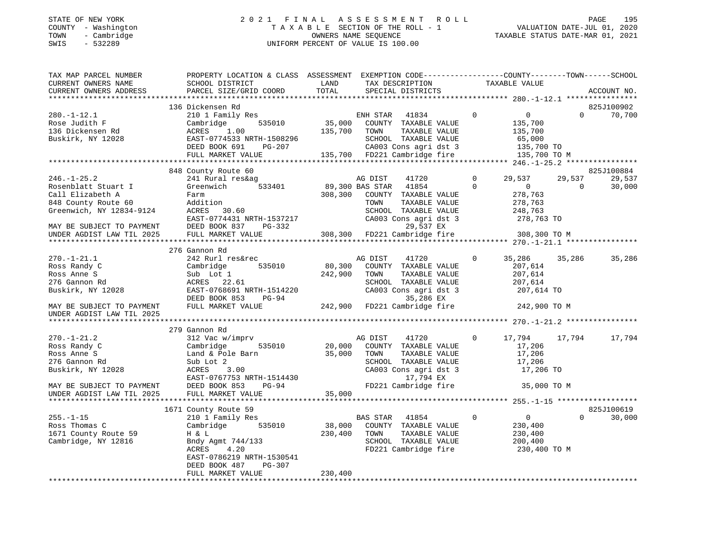## STATE OF NEW YORK 2 0 2 1 F I N A L A S S E S S M E N T R O L L PAGE 195 COUNTY - Washington T A X A B L E SECTION OF THE ROLL - 1 VALUATION DATE-JUL 01, 2020 TOWN - Cambridge OWNERS NAME SEQUENCE TAXABLE STATUS DATE-MAR 01, 2021 SWIS - 532289 UNIFORM PERCENT OF VALUE IS 100.00

| TAX MAP PARCEL NUMBER<br>CURRENT OWNERS NAME<br>CURRENT OWNERS ADDRESS                                                                       | PROPERTY LOCATION & CLASS ASSESSMENT EXEMPTION CODE----------------COUNTY-------TOWN-----SCHOOL<br>SCHOOL DISTRICT<br>PARCEL SIZE/GRID COORD                       | LAND<br>TOTAL     |                                    | TAX DESCRIPTION<br>SPECIAL DISTRICTS                                                                                                 |               | TAXABLE VALUE                                                           |                       | ACCOUNT NO.      |
|----------------------------------------------------------------------------------------------------------------------------------------------|--------------------------------------------------------------------------------------------------------------------------------------------------------------------|-------------------|------------------------------------|--------------------------------------------------------------------------------------------------------------------------------------|---------------|-------------------------------------------------------------------------|-----------------------|------------------|
|                                                                                                                                              |                                                                                                                                                                    |                   |                                    |                                                                                                                                      |               |                                                                         |                       |                  |
|                                                                                                                                              | 136 Dickensen Rd                                                                                                                                                   |                   |                                    |                                                                                                                                      |               |                                                                         |                       | 825J100902       |
| $280. - 1 - 12.1$<br>Rose Judith F<br>136 Dickensen Rd<br>Buskirk, NY 12028                                                                  | 210 1 Family Res<br>535010<br>Cambridge<br>ACRES<br>1.00<br>EAST-0774533 NRTH-1508296<br>PG-207<br>DEED BOOK 691                                                   | 35,000<br>135,700 | ENH STAR<br>TOWN                   | 41834<br>COUNTY TAXABLE VALUE<br>TAXABLE VALUE<br>SCHOOL TAXABLE VALUE<br>CA003 Cons agri dst 3                                      | $\mathbf 0$   | $\overline{0}$<br>135,700<br>135,700<br>65,000<br>135,700 TO            | $\Omega$              | 70,700           |
|                                                                                                                                              | FULL MARKET VALUE                                                                                                                                                  |                   |                                    | 135,700 FD221 Cambridge fire                                                                                                         |               | 135,700 TO M                                                            |                       |                  |
|                                                                                                                                              | 848 County Route 60                                                                                                                                                |                   |                                    |                                                                                                                                      |               |                                                                         |                       | 825J100884       |
| $246. - 1 - 25.2$<br>Rosenblatt Stuart I<br>Call Elizabeth A<br>848 County Route 60<br>Greenwich, NY 12834-9124<br>MAY BE SUBJECT TO PAYMENT | 241 Rural res&ag<br>Greenwich<br>533401<br>Farm<br>Addition<br>ACRES 30.60<br>EAST-0774431 NRTH-1537217<br>DEED BOOK 837<br>PG-332                                 | 308,300           | AG DIST<br>89,300 BAS STAR<br>TOWN | 41720<br>41854<br>COUNTY TAXABLE VALUE<br>TAXABLE VALUE<br>SCHOOL TAXABLE VALUE<br>CA003 Cons agri dst 3<br>29,537 EX                | 0<br>$\Omega$ | 29,537<br>$\overline{0}$<br>278,763<br>278,763<br>248,763<br>278,763 TO | 29,537<br>$\mathbf 0$ | 29,537<br>30,000 |
| UNDER AGDIST LAW TIL 2025                                                                                                                    | FULL MARKET VALUE                                                                                                                                                  |                   |                                    | 308,300 FD221 Cambridge fire                                                                                                         |               | 308,300 TO M                                                            |                       |                  |
|                                                                                                                                              |                                                                                                                                                                    |                   |                                    |                                                                                                                                      |               |                                                                         |                       |                  |
|                                                                                                                                              | 276 Gannon Rd                                                                                                                                                      |                   |                                    |                                                                                                                                      |               |                                                                         |                       |                  |
| $270. - 1 - 21.1$<br>Ross Randy C<br>Ross Anne S<br>276 Gannon Rd<br>Buskirk, NY 12028                                                       | 242 Rurl res&rec<br>535010<br>Cambridge<br>Sub Lot 1<br>ACRES 22.61<br>EAST-0768691 NRTH-1514220<br>DEED BOOK 853<br>PG-94                                         | 80,300<br>242,900 | AG DIST<br>TOWN                    | 41720<br>COUNTY TAXABLE VALUE<br>TAXABLE VALUE<br>SCHOOL TAXABLE VALUE<br>CA003 Cons agri dst 3<br>35,286 EX                         | 0             | 35,286<br>207,614<br>207,614<br>207,614<br>207,614 TO                   | 35,286                | 35,286           |
| MAY BE SUBJECT TO PAYMENT<br>UNDER AGDIST LAW TIL 2025                                                                                       | FULL MARKET VALUE                                                                                                                                                  |                   |                                    | 242,900 FD221 Cambridge fire                                                                                                         |               | 242,900 TO M                                                            |                       |                  |
|                                                                                                                                              |                                                                                                                                                                    |                   |                                    |                                                                                                                                      |               |                                                                         |                       |                  |
| $270. - 1 - 21.2$<br>Ross Randy C<br>Ross Anne S<br>276 Gannon Rd<br>Buskirk, NY 12028<br>MAY BE SUBJECT TO PAYMENT                          | 279 Gannon Rd<br>312 Vac w/imprv<br>535010<br>Cambridge<br>Land & Pole Barn<br>Sub Lot 2<br>ACRES<br>3.00<br>EAST-0767753 NRTH-1514430<br>DEED BOOK 853<br>$PG-94$ | 20,000<br>35,000  | AG DIST<br>TOWN                    | 41720<br>COUNTY TAXABLE VALUE<br>TAXABLE VALUE<br>SCHOOL TAXABLE VALUE<br>CA003 Cons agri dst 3<br>17,794 EX<br>FD221 Cambridge fire | $\Omega$      | 17,794<br>17,206<br>17,206<br>17,206<br>17,206 TO<br>35,000 TO M        | 17,794                | 17,794           |
| UNDER AGDIST LAW TIL 2025                                                                                                                    | FULL MARKET VALUE                                                                                                                                                  | 35,000            |                                    |                                                                                                                                      |               |                                                                         |                       |                  |
|                                                                                                                                              |                                                                                                                                                                    |                   |                                    |                                                                                                                                      |               |                                                                         |                       |                  |
|                                                                                                                                              | 1671 County Route 59                                                                                                                                               |                   |                                    |                                                                                                                                      |               |                                                                         |                       | 825J100619       |
| $255. - 1 - 15$<br>Ross Thomas C<br>1671 County Route 59<br>Cambridge, NY 12816                                                              | 210 1 Family Res<br>Cambridge<br>535010<br>H & L<br>Bndy Agmt 744/133<br>ACRES<br>4.20<br>EAST-0786219 NRTH-1530541<br>DEED BOOK 487<br>PG-307                     | 38,000<br>230,400 | BAS STAR<br>TOWN                   | 41854<br>COUNTY TAXABLE VALUE<br>TAXABLE VALUE<br>SCHOOL TAXABLE VALUE<br>FD221 Cambridge fire                                       | $\Omega$      | $\overline{0}$<br>230,400<br>230,400<br>200,400<br>230,400 TO M         | $\Omega$              | 30,000           |
|                                                                                                                                              | FULL MARKET VALUE                                                                                                                                                  | 230,400           |                                    |                                                                                                                                      |               |                                                                         |                       |                  |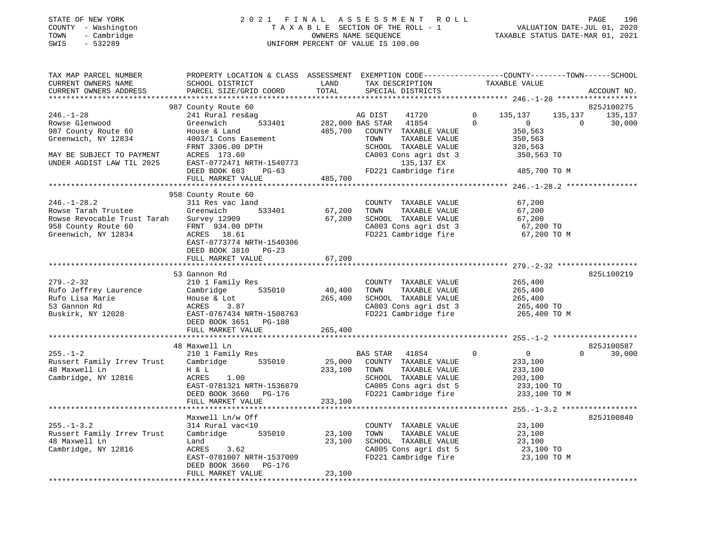#### STATE OF NEW YORK 2 0 2 1 F I N A L A S S E S S M E N T R O L L PAGE 196 COUNTY - Washington T A X A B L E SECTION OF THE ROLL - 1 VALUATION DATE-JUL 01, 2020 TOWN - Cambridge OWNERS NAME SEQUENCE TAXABLE STATUS DATE-MAR 01, 2021 SWIS - 532289 UNIFORM PERCENT OF VALUE IS 100.00UNIFORM PERCENT OF VALUE IS 100.00

| TAX MAP PARCEL NUMBER<br>CURRENT OWNERS NAME                                                                          | PROPERTY LOCATION & CLASS ASSESSMENT EXEMPTION CODE----------------COUNTY-------TOWN------SCHOOL<br>SCHOOL DISTRICT                             | LAND<br>TOTAL                | TAX DESCRIPTION                                                                                                                              | TAXABLE VALUE                                                                                                  |                                  |
|-----------------------------------------------------------------------------------------------------------------------|-------------------------------------------------------------------------------------------------------------------------------------------------|------------------------------|----------------------------------------------------------------------------------------------------------------------------------------------|----------------------------------------------------------------------------------------------------------------|----------------------------------|
| CURRENT OWNERS ADDRESS<br>***********************                                                                     | PARCEL SIZE/GRID COORD                                                                                                                          |                              | SPECIAL DISTRICTS                                                                                                                            |                                                                                                                | ACCOUNT NO.                      |
|                                                                                                                       | 987 County Route 60                                                                                                                             |                              |                                                                                                                                              |                                                                                                                | 825J100275                       |
| $246. - 1 - 28$<br>Rowse Glenwood<br>987 County Route 60<br>Greenwich, NY 12834<br>MAY BE SUBJECT TO PAYMENT          | 241 Rural res&ag<br>533401<br>Greenwich<br>House & Land<br>4003/1 Cons Easement<br>FRNT 3306.00 DPTH<br>ACRES 173.60                            | 485,700                      | 41720<br>AG DIST<br>282,000 BAS STAR 41854<br>COUNTY TAXABLE VALUE<br>TOWN<br>TAXABLE VALUE<br>SCHOOL TAXABLE VALUE<br>CA003 Cons agri dst 3 | $\mathbf 0$<br>135,137<br>135,137<br>$\Omega$<br>$\overline{0}$<br>350,563<br>350,563<br>320,563<br>350,563 TO | 135,137<br>$\Omega$<br>30,000    |
| UNDER AGDIST LAW TIL 2025                                                                                             | EAST-0772471 NRTH-1540773<br>DEED BOOK 603<br>$PG-63$<br>FULL MARKET VALUE                                                                      | 485,700                      | 135,137 EX<br>FD221 Cambridge fire                                                                                                           | 485,700 TO M                                                                                                   |                                  |
|                                                                                                                       |                                                                                                                                                 |                              |                                                                                                                                              |                                                                                                                |                                  |
|                                                                                                                       | 958 County Route 60                                                                                                                             |                              |                                                                                                                                              |                                                                                                                |                                  |
| $246. - 1 - 28.2$<br>Rowse Tarah Trustee<br>Rowse Revocable Trust Tarah<br>958 County Route 60<br>Greenwich, NY 12834 | 311 Res vac land<br>Greenwich<br>533401<br>Survey 12909<br>FRNT 934.00 DPTH<br>ACRES 18.61<br>EAST-0773774 NRTH-1540306<br>DEED BOOK 3810 PG-23 | 67,200<br>67,200             | COUNTY TAXABLE VALUE<br>TAXABLE VALUE<br>TOWN<br>SCHOOL TAXABLE VALUE<br>CA003 Cons agri dst 3<br>FD221 Cambridge fire                       | 67,200<br>67,200<br>67,200<br>67,200 TO<br>67,200 TO M                                                         |                                  |
|                                                                                                                       | FULL MARKET VALUE                                                                                                                               | 67,200                       |                                                                                                                                              |                                                                                                                |                                  |
|                                                                                                                       |                                                                                                                                                 |                              |                                                                                                                                              |                                                                                                                |                                  |
| $279. - 2 - 32$<br>Rufo Jeffrey Laurence<br>Rufo Lisa Marie<br>53 Gannon Rd<br>Buskirk, NY 12028                      | 53 Gannon Rd<br>210 1 Family Res<br>Cambridge 535010<br>House & Lot<br>ACRES<br>3.87<br>EAST-0767434 NRTH-1508763                               | 40,400<br>265,400            | COUNTY TAXABLE VALUE<br>TOWN<br>TAXABLE VALUE<br>SCHOOL TAXABLE VALUE<br>CA003 Cons agri dst 3                                               | 265,400<br>265,400<br>265,400<br>265,400 TO<br>FD221 Cambridge fire 265,400 TO M                               | 825L100219                       |
|                                                                                                                       | DEED BOOK 3651 PG-108<br>FULL MARKET VALUE                                                                                                      | 265,400                      |                                                                                                                                              |                                                                                                                |                                  |
|                                                                                                                       |                                                                                                                                                 |                              |                                                                                                                                              |                                                                                                                |                                  |
| $255. - 1 - 2$<br>Russert Family Irrev Trust Cambridge 535010<br>48 Maxwell Ln<br>Cambridge, NY 12816                 | 48 Maxwell Ln<br>210 1 Family Res<br>H & L<br>ACRES<br>1.00<br>EAST-0781321 NRTH-1536879<br>DEED BOOK 3660 PG-176<br>FULL MARKET VALUE          | 25,000<br>233,100<br>233,100 | BAS STAR<br>41854<br>COUNTY TAXABLE VALUE<br>TAXABLE VALUE<br>TOWN<br>SCHOOL TAXABLE VALUE<br>CA005 Cons agri dst 5<br>FD221 Cambridge fire  | $\overline{0}$<br>$\Omega$<br>233,100<br>233,100<br>203,100<br>233,100 TO<br>233,100 TO M                      | 825J100587<br>$\Omega$<br>30,000 |
|                                                                                                                       |                                                                                                                                                 |                              |                                                                                                                                              |                                                                                                                |                                  |
|                                                                                                                       | Maxwell Ln/w Off                                                                                                                                |                              |                                                                                                                                              |                                                                                                                | 825J100840                       |
| $255. - 1 - 3.2$<br>Russert Family Irrev Trust<br>48 Maxwell Ln<br>Cambridge, NY 12816                                | 314 Rural vac<10<br>Cambridge 535010<br>Land<br>ACRES<br>3.62<br>EAST-0781007 NRTH-1537009<br>PG-176<br>DEED BOOK 3660<br>FULL MARKET VALUE     | 23,100<br>23,100<br>23,100   | COUNTY TAXABLE VALUE<br>TAXABLE VALUE<br>TOWN<br>SCHOOL TAXABLE VALUE<br>CA005 Cons agri dst 5<br>FD221 Cambridge fire                       | 23,100<br>23,100<br>$23,100$ TO<br>$23,100$ TO<br>23,100 TO M                                                  |                                  |
| ***********************                                                                                               |                                                                                                                                                 |                              |                                                                                                                                              |                                                                                                                |                                  |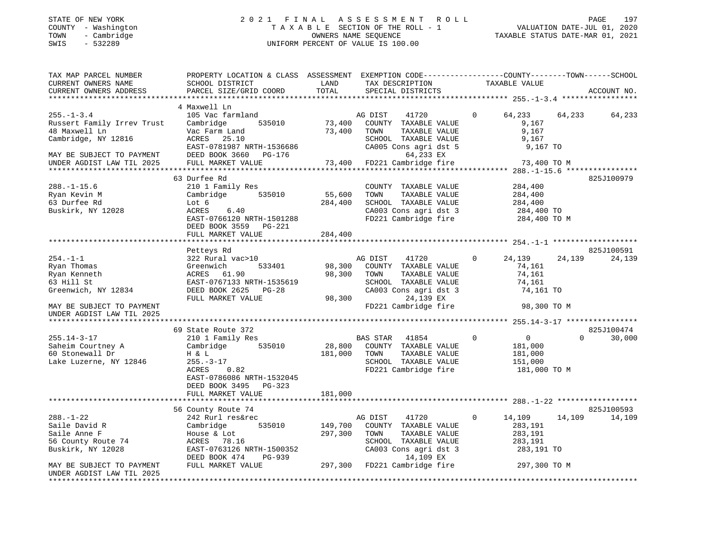# STATE OF NEW YORK 2 0 2 1 F I N A L A S S E S S M E N T R O L L PAGE 197 COUNTY - Washington T A X A B L E SECTION OF THE ROLL - 1 VALUATION DATE-JUL 01, 2020 TOWN - Cambridge OWNERS NAME SEQUENCE TAXABLE STATUS DATE-MAR 01, 2021 TOWN - Cambridge - TOWN - Cambridge - TOWN - Cambridge - TOWN - Cambridge - TOWN - Cambridge - TOWNERS NAME SEQUENCE

| TAX MAP PARCEL NUMBER                                    | PROPERTY LOCATION & CLASS ASSESSMENT |         | EXEMPTION CODE-----------------COUNTY-------TOWN------SCHOOL |                        |                                      |  |
|----------------------------------------------------------|--------------------------------------|---------|--------------------------------------------------------------|------------------------|--------------------------------------|--|
| CURRENT OWNERS NAME                                      | SCHOOL DISTRICT                      | LAND    | TAX DESCRIPTION                                              | TAXABLE VALUE          |                                      |  |
| CURRENT OWNERS ADDRESS                                   | PARCEL SIZE/GRID COORD               | TOTAL   | SPECIAL DISTRICTS                                            |                        | ACCOUNT NO.                          |  |
|                                                          |                                      |         |                                                              |                        |                                      |  |
|                                                          | 4 Maxwell Ln                         |         |                                                              |                        |                                      |  |
| $255. - 1 - 3.4$                                         | 105 Vac farmland                     |         | AG DIST<br>41720                                             | 64,233<br>$\mathbf{0}$ | 64,233<br>64,233                     |  |
| Russert Family Irrev Trust                               | Cambridge<br>535010                  | 73,400  | COUNTY TAXABLE VALUE                                         |                        | 9,167                                |  |
| 48 Maxwell Ln                                            | Vac Farm Land                        | 73,400  | TOWN<br>TAXABLE VALUE                                        |                        | 9,167                                |  |
| Cambridge, NY 12816                                      | ACRES<br>25.10                       |         | SCHOOL TAXABLE VALUE                                         |                        | 9,167                                |  |
|                                                          | EAST-0781987 NRTH-1536686            |         | CA005 Cons agri dst 5                                        |                        | 9,167 TO                             |  |
| MAY BE SUBJECT TO PAYMENT                                | DEED BOOK 3660 PG-176                |         | 64,233 EX                                                    |                        |                                      |  |
| UNDER AGDIST LAW TIL 2025                                | FULL MARKET VALUE                    |         | 73,400 FD221 Cambridge fire                                  |                        | 73,400 TO M                          |  |
|                                                          |                                      |         |                                                              |                        |                                      |  |
|                                                          | 63 Durfee Rd                         |         |                                                              |                        | 825J100979                           |  |
| $288. - 1 - 15.6$                                        | 210 1 Family Res                     |         | COUNTY TAXABLE VALUE                                         |                        | 284,400                              |  |
| Ryan Kevin M                                             | Cambridge<br>535010                  | 55,600  | TOWN<br>TAXABLE VALUE                                        |                        | 284,400                              |  |
| 63 Durfee Rd                                             | Lot 6                                | 284,400 | SCHOOL TAXABLE VALUE                                         |                        | 284,400                              |  |
| Buskirk, NY 12028                                        | ACRES<br>6.40                        |         | CA003 Cons agri dst 3                                        |                        | 284,400 TO                           |  |
|                                                          | EAST-0766120 NRTH-1501288            |         | FD221 Cambridge fire                                         |                        | 284,400 TO M                         |  |
|                                                          | DEED BOOK 3559 PG-221                |         |                                                              |                        |                                      |  |
|                                                          | FULL MARKET VALUE                    | 284,400 |                                                              |                        |                                      |  |
|                                                          |                                      |         |                                                              |                        |                                      |  |
|                                                          | Petteys Rd                           |         |                                                              |                        | 825J100591                           |  |
| $254. -1 -1$                                             | 322 Rural vac>10                     |         | AG DIST<br>41720                                             | 24,139<br>$\mathbf{0}$ | 24,139<br>24,139                     |  |
| Ryan Thomas                                              | Greenwich<br>533401                  | 98,300  | COUNTY TAXABLE VALUE                                         |                        | 74,161                               |  |
| Ryan Kenneth                                             | ACRES 61.90                          | 98,300  | TOWN<br>TAXABLE VALUE                                        |                        | 74,161                               |  |
| 63 Hill St                                               | EAST-0767133 NRTH-1535619            |         | SCHOOL TAXABLE VALUE                                         |                        | 74,161                               |  |
| Greenwich, NY 12834                                      | DEED BOOK 2625<br>$PG-28$            |         | CA003 Cons agri dst 3                                        |                        | 74,161 TO                            |  |
|                                                          | FULL MARKET VALUE                    | 98,300  | 24,139 EX<br>FD221 Cambridge fire                            |                        |                                      |  |
| MAY BE SUBJECT TO PAYMENT                                |                                      |         |                                                              |                        | 98,300 TO M                          |  |
| UNDER AGDIST LAW TIL 2025<br>*************************** |                                      |         |                                                              |                        |                                      |  |
|                                                          | 69 State Route 372                   |         |                                                              |                        | 825J100474                           |  |
| $255.14 - 3 - 17$                                        | 210 1 Family Res                     |         | BAS STAR<br>41854                                            | $\mathbf 0$            | $\overline{0}$<br>$\Omega$<br>30,000 |  |
| Saheim Courtney A                                        | Cambridge<br>535010                  | 28,800  | COUNTY TAXABLE VALUE                                         |                        | 181,000                              |  |
| 60 Stonewall Dr                                          | H & L                                | 181,000 | TOWN<br>TAXABLE VALUE                                        |                        | 181,000                              |  |
| Lake Luzerne, NY 12846                                   | $255. - 3 - 17$                      |         | SCHOOL TAXABLE VALUE                                         | 151,000                |                                      |  |
|                                                          | ACRES<br>0.82                        |         | FD221 Cambridge fire                                         |                        | 181,000 TO M                         |  |
|                                                          | EAST-0786086 NRTH-1532045            |         |                                                              |                        |                                      |  |
|                                                          | DEED BOOK 3495 PG-323                |         |                                                              |                        |                                      |  |
|                                                          | FULL MARKET VALUE                    | 181,000 |                                                              |                        |                                      |  |
|                                                          |                                      |         |                                                              |                        |                                      |  |
|                                                          | 56 County Route 74                   |         |                                                              |                        | 825J100593                           |  |
| $288. - 1 - 22$                                          | 242 Rurl res&rec                     |         | 41720<br>AG DIST                                             | $\mathbf 0$<br>14,109  | 14,109<br>14,109                     |  |
| Saile David R                                            | 535010<br>Cambridge                  | 149,700 | COUNTY TAXABLE VALUE                                         |                        | 283,191                              |  |
| Saile Anne F                                             | House & Lot                          | 297,300 | TAXABLE VALUE<br>TOWN                                        |                        | 283,191                              |  |
| 56 County Route 74                                       | ACRES 78.16                          |         | SCHOOL TAXABLE VALUE                                         |                        | 283,191                              |  |
| Buskirk, NY 12028                                        | EAST-0763126 NRTH-1500352            |         | CA003 Cons agri dst 3                                        |                        | 283,191 TO                           |  |
|                                                          | DEED BOOK 474<br>PG-939              |         | 14,109 EX                                                    |                        |                                      |  |
| MAY BE SUBJECT TO PAYMENT                                | FULL MARKET VALUE                    |         | 297,300 FD221 Cambridge fire                                 |                        | 297,300 TO M                         |  |
| UNDER AGDIST LAW TIL 2025                                |                                      |         |                                                              |                        |                                      |  |
|                                                          |                                      |         |                                                              |                        |                                      |  |
|                                                          |                                      |         |                                                              |                        |                                      |  |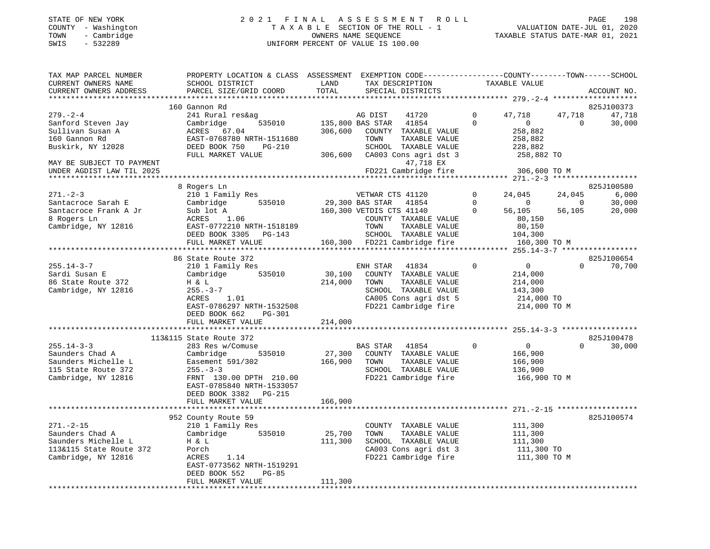#### STATE OF NEW YORK 2 0 2 1 F I N A L A S S E S S M E N T R O L L PAGE 198 COUNTY - Washington T A X A B L E SECTION OF THE ROLL - 1 VALUATION DATE-JUL 01, 2020 TOWN - Cambridge OWNERS NAME SEQUENCE TAXABLE STATUS DATE-MAR 01, 2021 SWIS - 532289 UNIFORM PERCENT OF VALUE IS 100.00UNIFORM PERCENT OF VALUE IS 100.00

| TAX MAP PARCEL NUMBER<br>CURRENT OWNERS NAME<br>CURRENT OWNERS ADDRESS                                      | PROPERTY LOCATION & CLASS ASSESSMENT EXEMPTION CODE---------------COUNTY-------TOWN------SCHOOL<br>SCHOOL DISTRICT<br>PARCEL SIZE/GRID COORD                                              | LAND<br>TOTAL                | TAX DESCRIPTION<br>SPECIAL DISTRICTS                                                                                                                                                               |                                    | TAXABLE VALUE                                                                                                                     | ACCOUNT NO.                             |
|-------------------------------------------------------------------------------------------------------------|-------------------------------------------------------------------------------------------------------------------------------------------------------------------------------------------|------------------------------|----------------------------------------------------------------------------------------------------------------------------------------------------------------------------------------------------|------------------------------------|-----------------------------------------------------------------------------------------------------------------------------------|-----------------------------------------|
|                                                                                                             |                                                                                                                                                                                           |                              |                                                                                                                                                                                                    |                                    |                                                                                                                                   |                                         |
| $279. - 2 - 4$<br>Sanford Steven Jay<br>Sullivan Susan A<br>160 Gannon Rd<br>Buskirk, NY 12028              | 160 Gannon Rd<br>241 Rural res&ag<br>535010<br>Cambridge<br>ACRES 67.04<br>EAST-0768780 NRTH-1511680<br>DEED BOOK 750<br>PG-210<br>FULL MARKET VALUE                                      | 306,600                      | AG DIST<br>41720<br>135,800 BAS STAR 41854<br>COUNTY TAXABLE VALUE<br>TOWN<br>TAXABLE VALUE<br>SCHOOL TAXABLE VALUE<br>306,600 CA003 Cons agri dst 3                                               | $\mathbf 0$<br>$\Omega$            | 47,718<br>47,718<br>$\overline{0}$<br>$\Omega$<br>258,882<br>258,882<br>228,882<br>258,882 TO                                     | 825J100373<br>47,718<br>30,000          |
| MAY BE SUBJECT TO PAYMENT<br>UNDER AGDIST LAW TIL 2025                                                      |                                                                                                                                                                                           |                              | 47,718 EX<br>FD221 Cambridge fire                                                                                                                                                                  |                                    | 306,600 TO M                                                                                                                      |                                         |
|                                                                                                             |                                                                                                                                                                                           |                              |                                                                                                                                                                                                    |                                    |                                                                                                                                   |                                         |
| $271. - 2 - 3$<br>Santacroce Sarah E<br>Santacroce Frank A Jr<br>8 Rogers Ln<br>Cambridge, NY 12816         | 8 Rogers Ln<br>210 1 Family Res<br>535010<br>Cambridge<br>Sub lot A<br>ACRES<br>1.06<br>EAST-0772210 NRTH-1518189<br>DEED BOOK 3305 PG-143<br>FULL MARKET VALUE                           |                              | VETWAR CTS 41120<br>VETWAR CTS 41120<br>29,300 BAS STAR 41854<br>160,300 VETDIS CTS 41140<br>COUNTY TAXABLE VALUE<br>TOWN<br>TAXABLE VALUE<br>SCHOOL TAXABLE VALUE<br>160,300 FD221 Cambridge fire | $\circ$<br>$\mathbf 0$<br>$\Omega$ | 24,045<br>24,045<br>$\overline{0}$<br>$\overline{\phantom{0}}$<br>56,105<br>56,105<br>80,150<br>80,150<br>104,300<br>160,300 TO M | 825J100580<br>6,000<br>30,000<br>20,000 |
|                                                                                                             |                                                                                                                                                                                           |                              |                                                                                                                                                                                                    |                                    |                                                                                                                                   |                                         |
| $255.14 - 3 - 7$<br>Sardi Susan E<br>86 State Route 372<br>Cambridge, NY 12816                              | 86 State Route 372<br>210 1 Family Res<br>535010<br>Cambridge<br>H & L<br>$255. - 3 - 7$<br>1.01<br>ACRES<br>EAST-0786297 NRTH-1532508<br>DEED BOOK 662<br>PG-301<br>FULL MARKET VALUE    | 30,100<br>214,000<br>214,000 | ENH STAR<br>41834<br>COUNTY TAXABLE VALUE<br>TOWN<br>TAXABLE VALUE<br>SCHOOL TAXABLE VALUE<br>CA005 Cons agri dst 5<br>FD221 Cambridge fire                                                        | $\Omega$                           | $\overline{0}$<br>$\Omega$<br>214,000<br>214,000<br>143,300<br>214,000 TO<br>214,000 TO M                                         | 825J100654<br>70,700                    |
|                                                                                                             |                                                                                                                                                                                           |                              |                                                                                                                                                                                                    |                                    |                                                                                                                                   |                                         |
| $255.14 - 3 - 3$<br>Saunders Chad A<br>Saunders Michelle L<br>115 State Route 372<br>Cambridge, NY 12816    | 113&115 State Route 372<br>283 Res w/Comuse<br>Cambridge<br>535010<br>Easement 591/302<br>$255. - 3 - 3$<br>FRNT 130.00 DPTH 210.00<br>EAST-0785840 NRTH-1533057<br>DEED BOOK 3382 PG-215 | 27,300<br>166,900            | BAS STAR<br>41854<br>COUNTY TAXABLE VALUE<br>TOWN<br>TAXABLE VALUE<br>SCHOOL TAXABLE VALUE<br>FD221 Cambridge fire                                                                                 | $\Omega$                           | $\overline{0}$<br>$\Omega$<br>166,900<br>166,900<br>136,900<br>166,900 TO M                                                       | 825J100478<br>30,000                    |
|                                                                                                             | FULL MARKET VALUE                                                                                                                                                                         | 166,900                      |                                                                                                                                                                                                    |                                    |                                                                                                                                   |                                         |
| $271. - 2 - 15$<br>Saunders Chad A<br>Saunders Michelle L<br>113&115 State Route 372<br>Cambridge, NY 12816 | 952 County Route 59<br>210 1 Family Res<br>535010<br>Cambridge<br>H & L<br>Porch<br>ACRES<br>1.14<br>EAST-0773562 NRTH-1519291<br>DEED BOOK 552<br>$PG-85$                                | 25,700<br>111,300            | COUNTY TAXABLE VALUE<br>TAXABLE VALUE<br>TOWN<br>SCHOOL TAXABLE VALUE<br>CA003 Cons agri dst 3<br>FD221 Cambridge fire                                                                             |                                    | 111,300<br>111,300<br>111,300<br>111,300 TO<br>111,300 TO M                                                                       | 825J100574                              |
|                                                                                                             | FULL MARKET VALUE                                                                                                                                                                         | 111,300                      |                                                                                                                                                                                                    |                                    |                                                                                                                                   |                                         |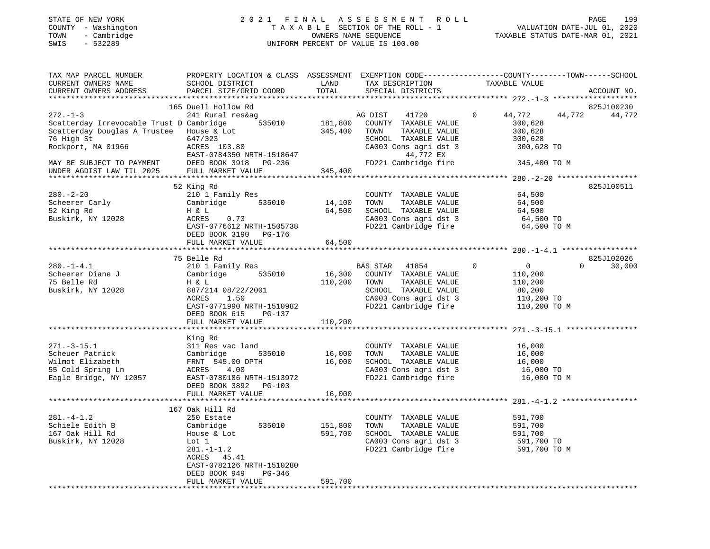## STATE OF NEW YORK 2 0 2 1 F I N A L A S S E S S M E N T R O L L PAGE 199 COUNTY - Washington T A X A B L E SECTION OF THE ROLL - 1 VALUATION DATE-JUL 01, 2020 TOWN - Cambridge OWNERS NAME SEQUENCE TAXABLE STATUS DATE-MAR 01, 2021 SWIS - 532289 UNIFORM PERCENT OF VALUE IS 100.00

| TAX MAP PARCEL NUMBER<br>CURRENT OWNERS NAME<br>CURRENT OWNERS ADDRESS                                                                                                                   | PROPERTY LOCATION & CLASS ASSESSMENT EXEMPTION CODE---------------COUNTY-------TOWN------SCHOOL<br>SCHOOL DISTRICT<br>PARCEL SIZE/GRID COORD                                                 | LAND<br>TOTAL                 | TAX DESCRIPTION<br>SPECIAL DISTRICTS                                                                                                                    | TAXABLE VALUE                                                                              | ACCOUNT NO.                      |
|------------------------------------------------------------------------------------------------------------------------------------------------------------------------------------------|----------------------------------------------------------------------------------------------------------------------------------------------------------------------------------------------|-------------------------------|---------------------------------------------------------------------------------------------------------------------------------------------------------|--------------------------------------------------------------------------------------------|----------------------------------|
| *************************                                                                                                                                                                |                                                                                                                                                                                              |                               |                                                                                                                                                         |                                                                                            |                                  |
| $272. - 1 - 3$<br>Scatterday Irrevocable Trust D Cambridge<br>Scatterday Douglas A Trustee<br>76 High St<br>Rockport, MA 01966<br>MAY BE SUBJECT TO PAYMENT<br>UNDER AGDIST LAW TIL 2025 | 165 Duell Hollow Rd<br>241 Rural res&ag<br>535010<br>House & Lot<br>647/323<br>ACRES 103.80<br>EAST-0784350 NRTH-1518647<br>DEED BOOK 3918 PG-236<br>FULL MARKET VALUE                       | 181,800<br>345,400<br>345,400 | AG DIST<br>41720<br>COUNTY TAXABLE VALUE<br>TOWN<br>TAXABLE VALUE<br>SCHOOL TAXABLE VALUE<br>CA003 Cons agri dst 3<br>44,772 EX<br>FD221 Cambridge fire | $\circ$<br>44,772<br>44,772<br>300,628<br>300,628<br>300,628<br>300,628 TO<br>345,400 TO M | 825J100230<br>44,772             |
|                                                                                                                                                                                          |                                                                                                                                                                                              |                               |                                                                                                                                                         |                                                                                            |                                  |
| $280. - 2 - 20$<br>Scheerer Carly<br>52 King Rd<br>Buskirk, NY 12028                                                                                                                     | 52 King Rd<br>210 1 Family Res<br>Cambridge 535010<br>H & L<br>ACRES<br>0.73<br>EAST-0776612 NRTH-1505738<br>DEED BOOK 3190 PG-176                                                           | 14,100<br>64,500              | COUNTY TAXABLE VALUE<br>TOWN<br>TAXABLE VALUE<br>SCHOOL TAXABLE VALUE<br>CA003 Cons agri dst 3<br>FD221 Cambridge fire                                  | 64,500<br>64,500<br>64,500<br>64,500 TO<br>64,500 TO M                                     | 825J100511                       |
|                                                                                                                                                                                          | FULL MARKET VALUE                                                                                                                                                                            | 64,500                        |                                                                                                                                                         |                                                                                            |                                  |
| $280. -1 - 4.1$                                                                                                                                                                          | 75 Belle Rd<br>210 1 Family Res                                                                                                                                                              |                               | BAS STAR<br>41854                                                                                                                                       | $\Omega$<br>$\overline{0}$                                                                 | 825J102026<br>$\Omega$<br>30,000 |
| Scheerer Diane J<br>75 Belle Rd<br>Buskirk, NY 12028                                                                                                                                     | 535010<br>Cambridge<br>H & L<br>887/214 08/22/2001<br>1.50<br>ACRES<br>EAST-0771990 NRTH-1510982<br>DEED BOOK 615<br>PG-137<br>FULL MARKET VALUE                                             | 16,300<br>110,200<br>110,200  | COUNTY TAXABLE VALUE<br>TAXABLE VALUE<br>TOWN<br>SCHOOL TAXABLE VALUE<br>CA003 Cons agri dst 3<br>FD221 Cambridge fire                                  | 110,200<br>110,200<br>80,200<br>110,200 TO<br>110,200 TO M                                 |                                  |
|                                                                                                                                                                                          |                                                                                                                                                                                              |                               |                                                                                                                                                         |                                                                                            |                                  |
| $271. - 3 - 15.1$<br>Scheuer Patrick<br>Wilmot Elizabeth<br>55 Cold Spring Ln<br>Eagle Bridge, NY 12057                                                                                  | King Rd<br>311 Res vac land<br>535010<br>Cambridge<br>FRNT 545.00 DPTH<br>ACRES 4.00<br>EAST-0780186 NRTH-1513972<br>DEED BOOK 3892<br>$PG-103$<br>FULL MARKET VALUE                         | 16,000<br>16,000<br>16,000    | COUNTY TAXABLE VALUE<br>TOWN<br>TAXABLE VALUE<br>SCHOOL TAXABLE VALUE<br>CA003 Cons agri dst 3<br>FD221 Cambridge fire                                  | 16,000<br>16,000<br>16,000<br>16,000 TO<br>16,000 TO M                                     |                                  |
|                                                                                                                                                                                          |                                                                                                                                                                                              |                               |                                                                                                                                                         |                                                                                            |                                  |
| $281. - 4 - 1.2$<br>Schiele Edith B<br>167 Oak Hill Rd<br>Buskirk, NY 12028                                                                                                              | 167 Oak Hill Rd<br>250 Estate<br>535010<br>Cambridge<br>House & Lot<br>Lot 1<br>$281. - 1 - 1.2$<br>ACRES 45.41<br>EAST-0782126 NRTH-1510280<br>DEED BOOK 949<br>PG-346<br>FULL MARKET VALUE | 151,800<br>591,700<br>591,700 | COUNTY TAXABLE VALUE<br>TOWN<br>TAXABLE VALUE<br>SCHOOL TAXABLE VALUE<br>CA003 Cons agri dst 3<br>FD221 Cambridge fire                                  | 591,700<br>591,700<br>591,700<br>591,700 TO<br>591,700 TO M                                |                                  |
|                                                                                                                                                                                          |                                                                                                                                                                                              |                               |                                                                                                                                                         |                                                                                            |                                  |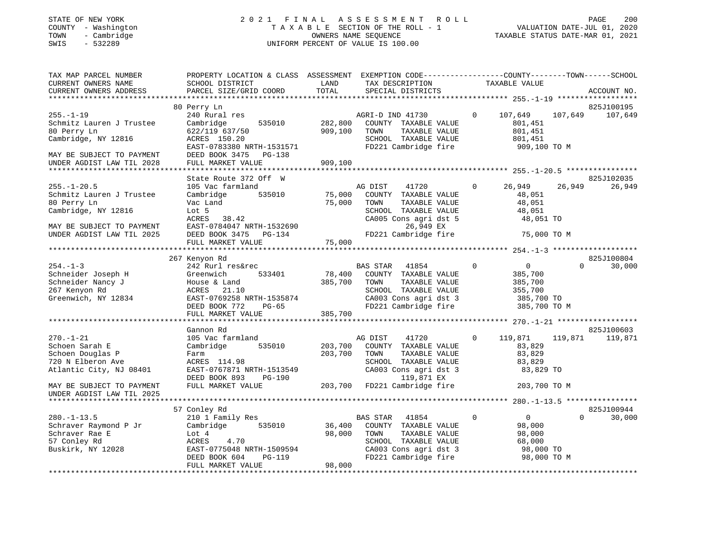#### STATE OF NEW YORK 2 0 2 1 F I N A L A S S E S S M E N T R O L L PAGE 200 COUNTY - Washington T A X A B L E SECTION OF THE ROLL - 1 VALUATION DATE-JUL 01, 2020 TOWN - Cambridge OWNERS NAME SEQUENCE TAXABLE STATUS DATE-MAR 01, 2021 SWIS - 532289 UNIFORM PERCENT OF VALUE IS 100.00UNIFORM PERCENT OF VALUE IS 100.00

| TAX MAP PARCEL NUMBER<br>CURRENT OWNERS NAME<br>CURRENT OWNERS ADDRESS                                                                        | PROPERTY LOCATION & CLASS ASSESSMENT<br>SCHOOL DISTRICT<br>PARCEL SIZE/GRID COORD                                                                            | LAND<br>TOTAL                 | EXEMPTION CODE-----------------COUNTY-------TOWN------SCHOOL<br>TAX DESCRIPTION<br>SPECIAL DISTRICTS                                                    |             | TAXABLE VALUE                                                                 |          | ACCOUNT NO. |
|-----------------------------------------------------------------------------------------------------------------------------------------------|--------------------------------------------------------------------------------------------------------------------------------------------------------------|-------------------------------|---------------------------------------------------------------------------------------------------------------------------------------------------------|-------------|-------------------------------------------------------------------------------|----------|-------------|
|                                                                                                                                               |                                                                                                                                                              |                               |                                                                                                                                                         |             |                                                                               |          |             |
|                                                                                                                                               | 80 Perry Ln                                                                                                                                                  |                               |                                                                                                                                                         |             |                                                                               |          | 825J100195  |
| $255. - 1 - 19$<br>Schmitz Lauren J Trustee<br>80 Perry Ln<br>Cambridge, NY 12816<br>MAY BE SUBJECT TO PAYMENT<br>UNDER AGDIST LAW TIL 2028   | 240 Rural res<br>535010<br>Cambridge<br>622/119 637/50<br>ACRES 150.20<br>EAST-0783380 NRTH-1531571<br>DEED BOOK 3475 PG-138<br>FULL MARKET VALUE            | 282,800<br>909,100<br>909,100 | AGRI-D IND 41730<br>COUNTY TAXABLE VALUE<br>TAXABLE VALUE<br>TOWN<br>SCHOOL TAXABLE VALUE<br>FD221 Cambridge fire                                       | $\Omega$    | 107,649<br>801,451<br>801,451<br>801,451<br>909,100 TO M                      | 107,649  | 107,649     |
|                                                                                                                                               |                                                                                                                                                              |                               |                                                                                                                                                         |             |                                                                               |          |             |
|                                                                                                                                               | State Route 372 Off W                                                                                                                                        |                               |                                                                                                                                                         |             |                                                                               |          | 825J102035  |
| $255. - 1 - 20.5$<br>Schmitz Lauren J Trustee<br>80 Perry Ln<br>Cambridge, NY 12816<br>MAY BE SUBJECT TO PAYMENT<br>UNDER AGDIST LAW TIL 2025 | 105 Vac farmland<br>535010<br>Cambridge<br>Vac Land<br>Lot 5<br>ACRES<br>38.42<br>EAST-0784047 NRTH-1532690<br>DEED BOOK 3475<br>PG-134<br>FULL MARKET VALUE | 75,000<br>75,000<br>75,000    | AG DIST<br>41720<br>COUNTY TAXABLE VALUE<br>TOWN<br>TAXABLE VALUE<br>SCHOOL TAXABLE VALUE<br>CA005 Cons agri dst 5<br>26,949 EX<br>FD221 Cambridge fire | $\mathbf 0$ | 26,949<br>48,051<br>48,051<br>48,051<br>48,051 TO<br>75,000 TO M              | 26,949   | 26,949      |
|                                                                                                                                               |                                                                                                                                                              |                               |                                                                                                                                                         |             |                                                                               |          |             |
|                                                                                                                                               | 267 Kenyon Rd                                                                                                                                                |                               |                                                                                                                                                         |             |                                                                               |          | 825J100804  |
| $254. -1 - 3$<br>Schneider Joseph H<br>Schneider Nancy J<br>267 Kenyon Rd<br>Greenwich, NY 12834                                              | 242 Rurl res&rec<br>533401<br>Greenwich<br>House & Land<br>ACRES<br>21.10<br>EAST-0769258 NRTH-1535874<br>DEED BOOK 772<br>PG-65                             | 78,400<br>385,700             | BAS STAR<br>41854<br>COUNTY TAXABLE VALUE<br>TOWN<br>TAXABLE VALUE<br>SCHOOL TAXABLE VALUE<br>CA003 Cons agri dst 3<br>FD221 Cambridge fire             | $\mathbf 0$ | $\overline{0}$<br>385,700<br>385,700<br>355,700<br>385,700 TO<br>385,700 TO M | $\Omega$ | 30,000      |
|                                                                                                                                               | FULL MARKET VALUE                                                                                                                                            | 385,700                       |                                                                                                                                                         |             |                                                                               |          |             |
|                                                                                                                                               | Gannon Rd                                                                                                                                                    |                               |                                                                                                                                                         |             |                                                                               |          | 825J100603  |
| $270. - 1 - 21$<br>Schoen Sarah E<br>Schoen Douglas P<br>720 N Elberon Ave<br>Atlantic City, NJ 08401                                         | 105 Vac farmland<br>Cambridge<br>535010<br>Farm<br>ACRES 114.98<br>EAST-0767871 NRTH-1513549<br>DEED BOOK 893<br>PG-190                                      | 203,700<br>203,700            | 41720<br>AG DIST<br>COUNTY TAXABLE VALUE<br>TOWN<br>TAXABLE VALUE<br>SCHOOL TAXABLE VALUE<br>CA003 Cons agri dst 3<br>119,871 EX                        | $\Omega$    | 119,871<br>83,829<br>83,829<br>83,829<br>83,829 TO                            | 119,871  | 119,871     |
| MAY BE SUBJECT TO PAYMENT<br>UNDER AGDIST LAW TIL 2025                                                                                        | FULL MARKET VALUE                                                                                                                                            | 203,700                       | FD221 Cambridge fire                                                                                                                                    |             | 203,700 TO M                                                                  |          |             |
|                                                                                                                                               |                                                                                                                                                              |                               |                                                                                                                                                         |             |                                                                               |          |             |
|                                                                                                                                               | 57 Conley Rd                                                                                                                                                 |                               |                                                                                                                                                         |             |                                                                               |          | 825J100944  |
| $280. -1 - 13.5$<br>Schraver Raymond P Jr<br>Schraver Rae E<br>57 Conley Rd<br>Buskirk, NY 12028                                              | 210 1 Family Res<br>535010<br>Cambridge<br>Lot 4<br>ACRES<br>4.70<br>EAST-0775048 NRTH-1509594<br><b>PG-119</b><br>DEED BOOK 604<br>FULL MARKET VALUE        | 36,400<br>98,000<br>98,000    | BAS STAR<br>41854<br>COUNTY TAXABLE VALUE<br>TOWN<br>TAXABLE VALUE<br>SCHOOL TAXABLE VALUE<br>CA003 Cons agri dst 3<br>FD221 Cambridge fire             | $\mathbf 0$ | $\overline{0}$<br>98,000<br>98,000<br>68,000<br>98,000 TO<br>98,000 TO M      | $\Omega$ | 30,000      |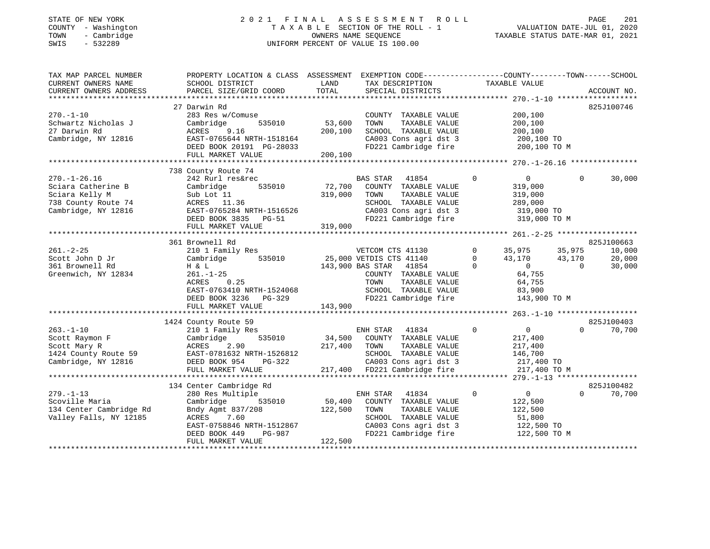#### STATE OF NEW YORK 2 0 2 1 F I N A L A S S E S S M E N T R O L L PAGE 201 COUNTY - Washington T A X A B L E SECTION OF THE ROLL - 1 VALUATION DATE-JUL 01, 2020 TOWN - Cambridge OWNERS NAME SEQUENCE TAXABLE STATUS DATE-MAR 01, 2021 SWIS - 532289 UNIFORM PERCENT OF VALUE IS 100.00UNIFORM PERCENT OF VALUE IS 100.00

| PROPERTY LOCATION & CLASS ASSESSMENT EXEMPTION CODE---------------COUNTY-------TOWN------SCHOOL<br>TAX MAP PARCEL NUMBER |                    |
|--------------------------------------------------------------------------------------------------------------------------|--------------------|
| CURRENT OWNERS NAME<br>SCHOOL DISTRICT<br>LAND<br>TAXABLE VALUE<br>TAX DESCRIPTION                                       |                    |
| TOTAL<br>SPECIAL DISTRICTS<br>CURRENT OWNERS ADDRESS<br>PARCEL SIZE/GRID COORD                                           | ACCOUNT NO.        |
|                                                                                                                          |                    |
| 27 Darwin Rd                                                                                                             | 825J100746         |
| $270. - 1 - 10$<br>283 Res w/Comuse<br>COUNTY TAXABLE VALUE<br>200,100                                                   |                    |
| 535010<br>53,600<br>Schwartz Nicholas J<br>Cambridge<br>TOWN<br>TAXABLE VALUE<br>200,100                                 |                    |
| 27 Darwin Rd<br>200,100<br>SCHOOL TAXABLE VALUE<br>ACRES<br>9.16<br>200,100                                              |                    |
| Cambridge, NY 12816<br>EAST-0765644 NRTH-1518164<br>CA003 Cons agri dst 3<br>200,100 TO                                  |                    |
| DEED BOOK 20191 PG-28033<br>FD221 Cambridge fire<br>200,100 TO M                                                         |                    |
| 200,100<br>FULL MARKET VALUE                                                                                             |                    |
|                                                                                                                          |                    |
| 738 County Route 74                                                                                                      |                    |
| $270. - 1 - 26.16$<br>$\mathbf 0$<br>242 Rurl res&rec<br>BAS STAR 41854<br>$\overline{0}$<br>$\mathbf 0$                 | 30,000             |
| 72,700<br>Sciara Catherine B<br>535010<br>COUNTY TAXABLE VALUE<br>319,000<br>Cambridge                                   |                    |
| Sciara Kelly M<br>319,000<br>TOWN<br>TAXABLE VALUE<br>Sub Lot 11<br>319,000                                              |                    |
| 738 County Route 74<br>ACRES 11.36<br>SCHOOL TAXABLE VALUE<br>289,000                                                    |                    |
| Cambridge, NY 12816<br>EAST-0765284 NRTH-1516526<br>CA003 Cons agri dst 3                                                |                    |
| 319,000 TO<br>FD221 Cambridge fire                                                                                       |                    |
| DEED BOOK 3835 PG-51<br>319,000 TO M                                                                                     |                    |
| 319,000<br>FULL MARKET VALUE                                                                                             |                    |
|                                                                                                                          |                    |
| 361 Brownell Rd                                                                                                          | 825J100663         |
| $\Omega$<br>35,975<br>$261. - 2 - 25$<br>210 1 Family Res<br>VETCOM CTS 41130<br>35,975                                  | 10,000             |
| Scott John D Jr<br>535010<br>25,000 VETDIS CTS 41140<br>$\Omega$<br>43,170<br>43,170<br>Cambridge                        | 20,000             |
| 361 Brownell Rd<br>143,900 BAS STAR 41854<br>$\mathbf 0$<br>$\overline{0}$<br>H & L<br>$\bigcirc$                        | 30,000             |
| Greenwich, NY 12834<br>COUNTY TAXABLE VALUE<br>64,755<br>261.-1-25                                                       |                    |
| ACRES<br>0.25<br>TOWN<br>TAXABLE VALUE<br>64,755                                                                         |                    |
| TOWN       TAXABLE  VALUE<br>SCHOOL    TAXABLE  VALUE<br>EAST-0763410 NRTH-1524068<br>83,900                             |                    |
| FD221 Cambridge fire<br>DEED BOOK 3236 PG-329<br>143,900 TO M                                                            |                    |
| 143,900<br>FULL MARKET VALUE                                                                                             |                    |
|                                                                                                                          |                    |
| 1424 County Route 59                                                                                                     | 825J100403         |
| $\overline{0}$<br>$263. - 1 - 10$<br>41834<br>$\Omega$<br>210 1 Family Res<br>ENH STAR                                   | $\Omega$<br>70,700 |
| Scott Raymon F<br>535010<br>Cambridge<br>34,500<br>COUNTY TAXABLE VALUE<br>217,400                                       |                    |
| Scott Mary R<br>ACRES<br>2.90<br>217,400<br>TOWN<br>TAXABLE VALUE<br>217,400                                             |                    |
| SCHOOL TAXABLE VALUE<br>1424 County Route 59<br>146,700                                                                  |                    |
| EAST-0781632 NRTH-1526812<br>DEED BOOK 954 PG-322<br>Cambridge, NY 12816<br>CA003 Cons agri dst 3<br>217,400 TO          |                    |
| 217,400 FD221 Cambridge fire<br>FULL MARKET VALUE<br>217,400 TO M                                                        |                    |
|                                                                                                                          |                    |
| 134 Center Cambridge Rd                                                                                                  | 825J100482         |
| $279. - 1 - 13$<br>$\mathbf 0$<br>$\overline{0}$<br>$\Omega$                                                             | 70,700             |
| 280 Res Multiple<br>ENH STAR<br>41834<br>50,400                                                                          |                    |
| Scoville Maria<br>535010<br>COUNTY TAXABLE VALUE<br>122,500<br>Cambridge                                                 |                    |
| 134 Center Cambridge Rd<br>Bndy Agmt 837/208<br>122,500<br>TOWN<br>TAXABLE VALUE<br>122,500                              |                    |
| Valley Falls, NY 12185<br>ACRES<br>7.60<br>SCHOOL TAXABLE VALUE<br>51,800                                                |                    |
| EAST-0758846 NRTH-1512867<br>CA003 Cons agri dst 3<br>122,500 TO                                                         |                    |
| PG-987<br>FD221 Cambridge fire<br>122,500 TO M<br>DEED BOOK 449                                                          |                    |
| FULL MARKET VALUE<br>122,500                                                                                             |                    |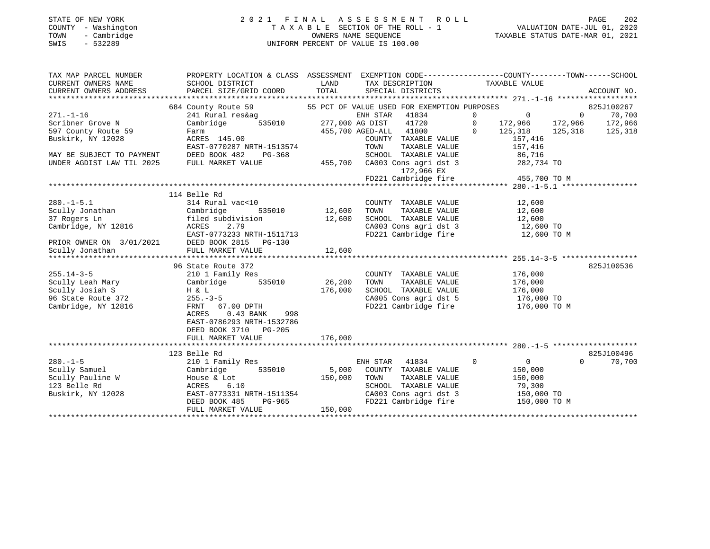## STATE OF NEW YORK 2 0 2 1 F I N A L A S S E S S M E N T R O L L PAGE 202 COUNTY - Washington T A X A B L E SECTION OF THE ROLL - 1 VALUATION DATE-JUL 01, 2020 TOWN - Cambridge OWNERS NAME SEQUENCE TAXABLE STATUS DATE-MAR 01, 2021 SWIS - 532289 UNIFORM PERCENT OF VALUE IS 100.00

| TAX MAP PARCEL NUMBER<br>CURRENT OWNERS NAME<br>CURRENT OWNERS ADDRESS   | PROPERTY LOCATION & CLASS ASSESSMENT EXEMPTION CODE----------------COUNTY-------TOWN-----SCHOOL<br>SCHOOL DISTRICT | <b>EXAMPLE THE STATE OF STATE OF STATE OF STATE OF STATE OF STATE OF STATE OF STATE</b> | TAX DESCRIPTION TAXABLE VALUE SPECIAL DISTRICTS                                                                                                                                                  |                       |          |            |
|--------------------------------------------------------------------------|--------------------------------------------------------------------------------------------------------------------|-----------------------------------------------------------------------------------------|--------------------------------------------------------------------------------------------------------------------------------------------------------------------------------------------------|-----------------------|----------|------------|
|                                                                          | 684 County Route 59                                                                                                |                                                                                         |                                                                                                                                                                                                  |                       |          |            |
| $271. - 1 - 16$                                                          | 241 Rural res&ag                                                                                                   |                                                                                         |                                                                                                                                                                                                  |                       |          |            |
| Scribner Grove N                                                         | Cambridge                                                                                                          |                                                                                         |                                                                                                                                                                                                  |                       |          |            |
| 597 County Route 59                                                      |                                                                                                                    |                                                                                         | 455,700 AGED-ALL 41800 0 125,318 125,318 125,318                                                                                                                                                 |                       |          |            |
| Buskirk, NY 12028                                                        | rarm<br>ACRES 145.00                                                                                               |                                                                                         |                                                                                                                                                                                                  |                       |          |            |
|                                                                          | EAST-0770287 NRTH-1513574                                                                                          |                                                                                         | $\begin{tabular}{llllllll} \multicolumn{2}{c}{\textbf{COUNTY}} & \textbf{TAXABLE VALUE} & & & 157,416 \\ \multicolumn{2}{c}{\textbf{TOWN}} & \textbf{TAXABLE VALUE} & & & 157,416 \end{tabular}$ |                       |          |            |
| MAY BE SUBJECT TO PAYMENT                                                | DEED BOOK 482                                                                                                      |                                                                                         | SCHOOL TAXABLE VALUE 86,716                                                                                                                                                                      |                       |          |            |
| UNDER AGDIST LAW TIL 2025                                                | FULL MARKET VALUE                                                                                                  |                                                                                         | PG-368 SCHOOL TAXABLE VALUE<br>LUE 455,700 CA003 Cons agri dst 3                                                                                                                                 | 282,734 TO            |          |            |
|                                                                          |                                                                                                                    |                                                                                         | 172,966 EX                                                                                                                                                                                       |                       |          |            |
|                                                                          |                                                                                                                    |                                                                                         | FD221 Cambridge fire 455,700 TO M                                                                                                                                                                |                       |          |            |
|                                                                          |                                                                                                                    |                                                                                         |                                                                                                                                                                                                  |                       |          |            |
|                                                                          | 114 Belle Rd                                                                                                       |                                                                                         |                                                                                                                                                                                                  |                       |          |            |
| $280. -1 - 5.1$                                                          | 314 Rural vac<10                                                                                                   |                                                                                         | COUNTY TAXABLE VALUE 12,600                                                                                                                                                                      |                       |          |            |
|                                                                          | 535010 12,600                                                                                                      |                                                                                         | TOWN                                                                                                                                                                                             |                       |          |            |
|                                                                          |                                                                                                                    | 12,600                                                                                  |                                                                                                                                                                                                  |                       |          |            |
|                                                                          |                                                                                                                    |                                                                                         | TOWN TAXABLE VALUE 12,600<br>SCHOOL TAXABLE VALUE 12,600<br>CA003 Cons agri dst 3 12,600 TO                                                                                                      |                       |          |            |
|                                                                          |                                                                                                                    |                                                                                         |                                                                                                                                                                                                  |                       |          |            |
|                                                                          |                                                                                                                    |                                                                                         |                                                                                                                                                                                                  |                       |          |            |
|                                                                          |                                                                                                                    |                                                                                         |                                                                                                                                                                                                  |                       |          |            |
|                                                                          |                                                                                                                    |                                                                                         |                                                                                                                                                                                                  |                       |          |            |
|                                                                          | 96 State Route 372                                                                                                 |                                                                                         |                                                                                                                                                                                                  |                       |          | 825J100536 |
| $255.14 - 3 - 5$                                                         | 210 1 Family Res                                                                                                   |                                                                                         | COUNTY TAXABLE VALUE                                                                                                                                                                             | 176,000               |          |            |
| Scully Leah Mary<br>Scully Josiah C                                      | Cambridge 535010 26,200                                                                                            |                                                                                         | TOWN                                                                                                                                                                                             | TAXABLE VALUE 176,000 |          |            |
| Scully Josiah S<br>96 State Route 372 255.-3<br>Cambridge, NY 12816 FRNT |                                                                                                                    | 176,000                                                                                 | SCHOOL TAXABLE VALUE                                                                                                                                                                             | 176,000<br>176,000 TO |          |            |
|                                                                          | $255. - 3 - 5$                                                                                                     |                                                                                         | CA005 Cons agri dst 5 176,000 TO<br>FD221 Cambridge fire 176,000 TO M                                                                                                                            |                       |          |            |
| Cambridge, NY 12816                                                      | FRNT 67.00 DPTH                                                                                                    |                                                                                         |                                                                                                                                                                                                  |                       |          |            |
|                                                                          | ACRES<br>$0.43$ BANK<br>998                                                                                        |                                                                                         |                                                                                                                                                                                                  |                       |          |            |
|                                                                          | EAST-0786293 NRTH-1532786                                                                                          |                                                                                         |                                                                                                                                                                                                  |                       |          |            |
|                                                                          | DEED BOOK 3710 PG-205                                                                                              |                                                                                         |                                                                                                                                                                                                  |                       |          |            |
|                                                                          | FULL MARKET VALUE                                                                                                  | 176,000                                                                                 |                                                                                                                                                                                                  |                       |          |            |
|                                                                          |                                                                                                                    |                                                                                         |                                                                                                                                                                                                  |                       |          | 825J100496 |
|                                                                          | 123 Belle Rd                                                                                                       |                                                                                         | ENH STAR 41834<br>$\sim$ 0                                                                                                                                                                       |                       | $\Omega$ |            |
| $280. -1 - 5$                                                            | 210 1 Family Res                                                                                                   |                                                                                         |                                                                                                                                                                                                  | $\overline{0}$        |          | 70,700     |
| Scully Samuel                                                            | 535010<br>Cambridge<br>House & Lot                                                                                 | 150,000                                                                                 | 5,000 COUNTY TAXABLE VALUE<br>TOWN                                                                                                                                                               | 150,000               |          |            |
| Scully Samuel<br>Scully Pauline W<br>123 Belle Rd                        | ACRES<br>6.10                                                                                                      |                                                                                         |                                                                                                                                                                                                  |                       |          |            |
| Buskirk, NY 12028                                                        |                                                                                                                    |                                                                                         | TOWN TAXABLE VALUE 150,000<br>SCHOOL TAXABLE VALUE 79,300<br>CA003 Cons agri dst 3 150,000 TO                                                                                                    |                       |          |            |
|                                                                          | EAST-0773331 NRTH-1511354<br>DEED BOOK 485 PG-965<br>PG-965                                                        |                                                                                         | FD221 Cambridge fire 150,000 TO M                                                                                                                                                                |                       |          |            |
|                                                                          | FULL MARKET VALUE                                                                                                  | 150,000                                                                                 |                                                                                                                                                                                                  |                       |          |            |
|                                                                          |                                                                                                                    |                                                                                         |                                                                                                                                                                                                  |                       |          |            |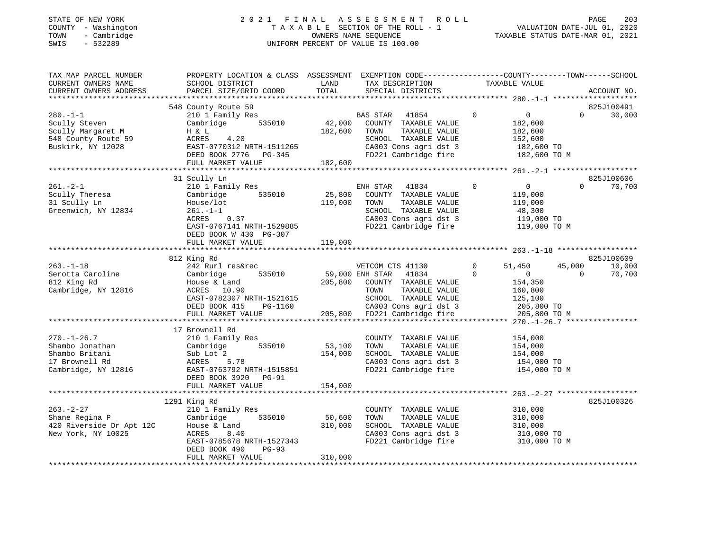#### STATE OF NEW YORK 2 0 2 1 F I N A L A S S E S S M E N T R O L L PAGE 203 COUNTY - Washington T A X A B L E SECTION OF THE ROLL - 1 VALUATION DATE-JUL 01, 2020 TOWN - Cambridge OWNERS NAME SEQUENCE TAXABLE STATUS DATE-MAR 01, 2021 SWIS - 532289 UNIFORM PERCENT OF VALUE IS 100.00UNIFORM PERCENT OF VALUE IS 100.00

| SCHOOL DISTRICT<br>PARCEL SIZE/GRID COORD                                                                                                                              | LAND<br>TOTAL                                                                                                           | TAX DESCRIPTION<br>SPECIAL DISTRICTS                                                                                            | TAXABLE VALUE                                                                                                                                               | ACCOUNT NO.                                                                                                                                           |
|------------------------------------------------------------------------------------------------------------------------------------------------------------------------|-------------------------------------------------------------------------------------------------------------------------|---------------------------------------------------------------------------------------------------------------------------------|-------------------------------------------------------------------------------------------------------------------------------------------------------------|-------------------------------------------------------------------------------------------------------------------------------------------------------|
|                                                                                                                                                                        |                                                                                                                         |                                                                                                                                 |                                                                                                                                                             | 825J100491                                                                                                                                            |
| 210 1 Family Res<br>535010<br>Cambridge<br>H & L<br>4.20<br>ACRES<br>EAST-0770312 NRTH-1511265<br>DEED BOOK 2776 PG-345<br>FULL MARKET VALUE                           | 182,600                                                                                                                 | 41854<br>COUNTY TAXABLE VALUE<br>TAXABLE VALUE<br>TOWN<br>SCHOOL TAXABLE VALUE<br>CA003 Cons agri dst 3                         | $\mathbf 0$<br>$\overline{0}$<br>182,600<br>182,600<br>152,600<br>182,600 TO<br>182,600 TO M                                                                | 30,000<br>$\Omega$                                                                                                                                    |
|                                                                                                                                                                        |                                                                                                                         |                                                                                                                                 |                                                                                                                                                             |                                                                                                                                                       |
| 210 1 Family Res<br>Cambridge<br>535010<br>House/lot<br>$261. -1 -1$<br>ACRES<br>0.37<br>EAST-0767141 NRTH-1529885<br>DEED BOOK W 430 PG-307                           | 25,800<br>119,000                                                                                                       | 41834<br>COUNTY TAXABLE VALUE<br>TOWN<br>TAXABLE VALUE<br>SCHOOL TAXABLE VALUE<br>CA003 Cons agri dst 3<br>FD221 Cambridge fire | $\mathbf 0$<br>0<br>119,000<br>119,000<br>48,300<br>119,000 TO<br>119,000 TO M                                                                              | 825J100606<br>70,700<br>$\Omega$                                                                                                                      |
|                                                                                                                                                                        |                                                                                                                         |                                                                                                                                 |                                                                                                                                                             |                                                                                                                                                       |
|                                                                                                                                                                        |                                                                                                                         |                                                                                                                                 |                                                                                                                                                             | 825J100609                                                                                                                                            |
| 242 Rurl res&rec<br>Cambridge<br>535010<br>House & Land<br>ACRES 10.90<br>EAST-0782307 NRTH-1521615<br>DEED BOOK 415<br>PG-1160                                        | 205,800                                                                                                                 | 41834<br>COUNTY TAXABLE VALUE<br>TOWN<br>TAXABLE VALUE<br>SCHOOL TAXABLE VALUE<br>CA003 Cons agri dst 3                         | $\Omega$<br>51,450<br>$\Omega$<br>$\overline{0}$<br>154,350<br>160,800<br>125,100<br>205,800 TO                                                             | 10,000<br>45,000<br>$\Omega$<br>70,700                                                                                                                |
|                                                                                                                                                                        |                                                                                                                         |                                                                                                                                 |                                                                                                                                                             |                                                                                                                                                       |
| 17 Brownell Rd<br>210 1 Family Res<br>535010<br>Cambridge<br>Sub Lot 2<br>5.78<br>ACRES<br>EAST-0763792 NRTH-1515851                                                   | 53,100<br>154,000                                                                                                       | COUNTY TAXABLE VALUE<br>TOWN<br>TAXABLE VALUE<br>SCHOOL TAXABLE VALUE                                                           | 154,000<br>154,000<br>154,000<br>154,000 TO<br>154,000 TO M                                                                                                 |                                                                                                                                                       |
| FULL MARKET VALUE                                                                                                                                                      | 154,000                                                                                                                 |                                                                                                                                 |                                                                                                                                                             |                                                                                                                                                       |
|                                                                                                                                                                        |                                                                                                                         |                                                                                                                                 |                                                                                                                                                             |                                                                                                                                                       |
| 1291 King Rd<br>210 1 Family Res<br>Cambridge<br>535010<br>House & Land<br>ACRES<br>8.40<br>EAST-0785678 NRTH-1527343<br>$PG-93$<br>DEED BOOK 490<br>FULL MARKET VALUE | 50,600<br>310,000<br>310,000                                                                                            | COUNTY TAXABLE VALUE<br>TOWN<br>TAXABLE VALUE<br>SCHOOL TAXABLE VALUE<br>CA003 Cons agri dst 3<br>FD221 Cambridge fire          | 310,000<br>310,000<br>310,000<br>310,000 TO<br>310,000 TO M                                                                                                 | 825J100326                                                                                                                                            |
|                                                                                                                                                                        | 548 County Route 59<br>31 Scully Ln<br>FULL MARKET VALUE<br>812 King Rd<br>FULL MARKET VALUE<br>DEED BOOK 3920<br>PG-91 | 119,000                                                                                                                         | PROPERTY LOCATION & CLASS ASSESSMENT<br>BAS STAR<br>42,000<br>182,600<br>ENH STAR<br>VETCOM CTS 41130<br>59,000 ENH STAR<br>205,800<br>FD221 Cambridge fire | EXEMPTION CODE-----------------COUNTY-------TOWN------SCHOOL<br>FD221 Cambridge fire<br>205,800 TO M<br>CA003 Cons agri dst 3<br>FD221 Cambridge fire |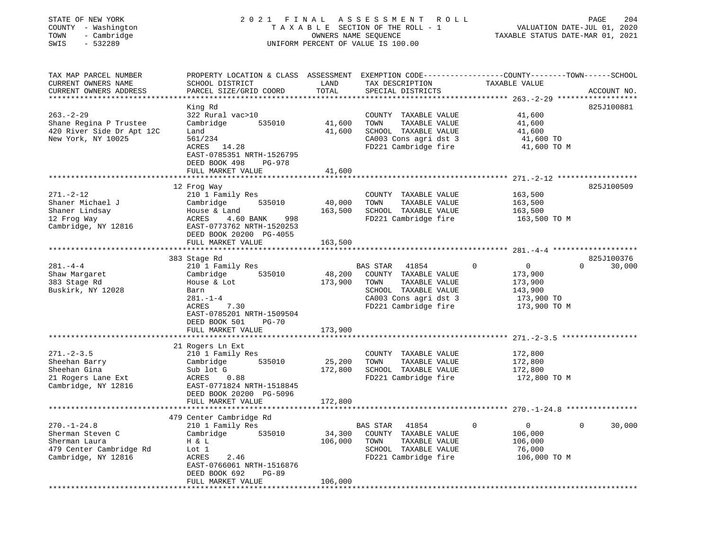## STATE OF NEW YORK 2 0 2 1 F I N A L A S S E S S M E N T R O L L PAGE 204 COUNTY - Washington T A X A B L E SECTION OF THE ROLL - 1 VALUATION DATE-JUL 01, 2020 TOWN - Cambridge OWNERS NAME SEQUENCE TAXABLE STATUS DATE-MAR 01, 2021 SWIS - 532289 UNIFORM PERCENT OF VALUE IS 100.00

| TAX MAP PARCEL NUMBER<br>CURRENT OWNERS NAME<br>CURRENT OWNERS ADDRESS                                   | PROPERTY LOCATION & CLASS ASSESSMENT<br>SCHOOL DISTRICT<br>PARCEL SIZE/GRID COORD                                                                                                                    | LAND<br>TOTAL                | TAX DESCRIPTION<br>SPECIAL DISTRICTS                                                                                                        | EXEMPTION CODE-----------------COUNTY-------TOWN------SCHOOL<br>TAXABLE VALUE      | ACCOUNT NO.                      |
|----------------------------------------------------------------------------------------------------------|------------------------------------------------------------------------------------------------------------------------------------------------------------------------------------------------------|------------------------------|---------------------------------------------------------------------------------------------------------------------------------------------|------------------------------------------------------------------------------------|----------------------------------|
| $263. -2 - 29$<br>Shane Regina P Trustee<br>420 River Side Dr Apt 12C<br>New York, NY 10025              | King Rd<br>322 Rural vac>10<br>Cambridge<br>535010<br>Land<br>561/234<br>ACRES<br>14.28<br>EAST-0785351 NRTH-1526795<br>DEED BOOK 498<br><b>PG-978</b><br>FULL MARKET VALUE                          | 41,600<br>41,600<br>41,600   | COUNTY TAXABLE VALUE<br>TAXABLE VALUE<br>TOWN<br>SCHOOL TAXABLE VALUE<br>CA003 Cons agri dst 3<br>FD221 Cambridge fire                      | 41,600<br>41,600<br>41,600<br>41,600 TO<br>41,600 TO M                             | 825J100881                       |
| $271. - 2 - 12$<br>Shaner Michael J<br>Shaner Lindsay<br>12 Frog Way<br>Cambridge, NY 12816              | 12 Frog Way<br>210 1 Family Res<br>Cambridge<br>535010<br>House & Land<br>ACRES<br>4.60 BANK<br>998<br>EAST-0773762 NRTH-1520253<br>DEED BOOK 20200 PG-4055                                          | 40,000<br>163,500            | COUNTY TAXABLE VALUE<br>TOWN<br>TAXABLE VALUE<br>SCHOOL TAXABLE VALUE<br>FD221 Cambridge fire                                               | 163,500<br>163,500<br>163,500<br>163,500 TO M                                      | 825J100509                       |
|                                                                                                          | FULL MARKET VALUE                                                                                                                                                                                    | 163,500                      |                                                                                                                                             |                                                                                    |                                  |
| $281. -4 -4$<br>Shaw Margaret<br>383 Stage Rd<br>Buskirk, NY 12028                                       | 383 Stage Rd<br>210 1 Family Res<br>535010<br>Cambridge<br>House & Lot<br>Barn<br>$281. - 1 - 4$<br>ACRES<br>7.30<br>EAST-0785201 NRTH-1509504<br>DEED BOOK 501<br><b>PG-70</b><br>FULL MARKET VALUE | 48,200<br>173,900<br>173,900 | BAS STAR<br>41854<br>COUNTY TAXABLE VALUE<br>TAXABLE VALUE<br>TOWN<br>SCHOOL TAXABLE VALUE<br>CA003 Cons agri dst 3<br>FD221 Cambridge fire | $\Omega$<br>$\circ$<br>173,900<br>173,900<br>143,900<br>173,900 TO<br>173,900 TO M | 825J100376<br>30,000<br>$\Omega$ |
|                                                                                                          | 21 Rogers Ln Ext                                                                                                                                                                                     |                              |                                                                                                                                             |                                                                                    |                                  |
| $271. - 2 - 3.5$<br>Sheehan Barry<br>Sheehan Gina<br>21 Rogers Lane Ext<br>Cambridge, NY 12816           | 210 1 Family Res<br>535010<br>Cambridge<br>Sub lot G<br>0.88<br>ACRES<br>EAST-0771824 NRTH-1518845<br>DEED BOOK 20200 PG-5096                                                                        | 25,200<br>172,800            | COUNTY TAXABLE VALUE<br>TOWN<br>TAXABLE VALUE<br>SCHOOL TAXABLE VALUE<br>FD221 Cambridge fire                                               | 172,800<br>172,800<br>172,800<br>172,800 TO M                                      |                                  |
|                                                                                                          | FULL MARKET VALUE                                                                                                                                                                                    | 172,800                      |                                                                                                                                             | ********************************** 270.-1-24.8                                     |                                  |
| $270. - 1 - 24.8$<br>Sherman Steven C<br>Sherman Laura<br>479 Center Cambridge Rd<br>Cambridge, NY 12816 | 479 Center Cambridge Rd<br>210 1 Family Res<br>Cambridge<br>535010<br>H & L<br>Lot 1<br>2.46<br>ACRES<br>EAST-0766061 NRTH-1516876<br>DEED BOOK 692<br>$PG-89$<br>FULL MARKET VALUE                  | 34,300<br>106,000<br>106,000 | 41854<br>BAS STAR<br>COUNTY TAXABLE VALUE<br>TAXABLE VALUE<br>TOWN<br>SCHOOL TAXABLE VALUE<br>FD221 Cambridge fire                          | $\overline{0}$<br>0<br>106,000<br>106,000<br>76,000<br>106,000 TO M                | 30,000<br>$\Omega$               |
|                                                                                                          |                                                                                                                                                                                                      |                              |                                                                                                                                             |                                                                                    |                                  |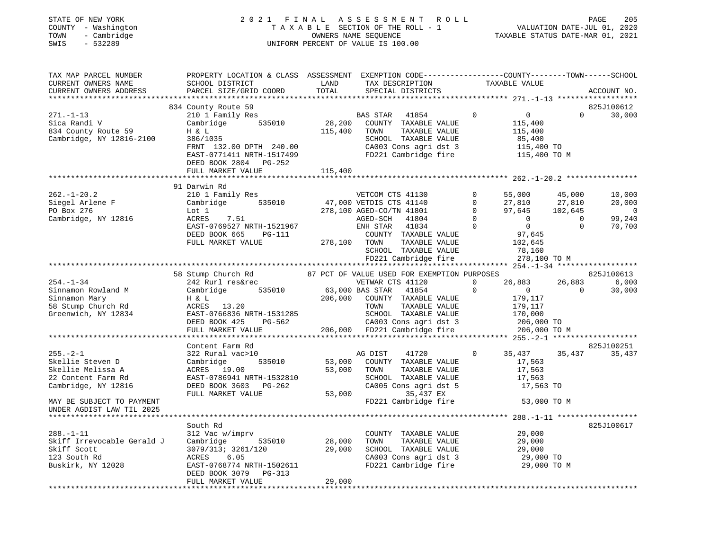| STATE OF NEW YORK<br>COUNTY - Washington<br>TOWN<br>- Cambridge<br>SWIS<br>$-532289$    | 2021 FINAL                                                                                                                                     |                  | FINAL ASSESSMENT ROLL PAGE 205<br>TAXABLE SECTION OF THE ROLL - 1 VALUATION DATE-JUL 01, 2020<br>OWNERS NAME SEQUENCE .<br>UNIFORM PERCENT OF VALUE IS 100.00 |                                                   |                                                                              |                                         |                                              |
|-----------------------------------------------------------------------------------------|------------------------------------------------------------------------------------------------------------------------------------------------|------------------|---------------------------------------------------------------------------------------------------------------------------------------------------------------|---------------------------------------------------|------------------------------------------------------------------------------|-----------------------------------------|----------------------------------------------|
| TAX MAP PARCEL NUMBER<br>CURRENT OWNERS NAME<br>CURRENT OWNERS ADDRESS                  | PROPERTY LOCATION & CLASS ASSESSMENT EXEMPTION CODE----------------COUNTY--------TOWN------SCHOOL<br>SCHOOL DISTRICT<br>PARCEL SIZE/GRID COORD | LAND<br>TOTAL    | TAX DESCRIPTION<br>SPECIAL DISTRICTS                                                                                                                          |                                                   | TAXABLE VALUE                                                                |                                         | ACCOUNT NO.                                  |
|                                                                                         |                                                                                                                                                |                  |                                                                                                                                                               |                                                   |                                                                              |                                         |                                              |
|                                                                                         | 834 County Route 59                                                                                                                            |                  |                                                                                                                                                               |                                                   |                                                                              |                                         | 825J100612                                   |
| $271. - 1 - 13$<br>Sica Randi V<br>834 County Route 59<br>Cambridge, NY 12816-2100      | 210 1 Family Res<br>Cambridge 535010<br>H & L<br>386/1035<br>FRNT 132.00 DPTH 240.00<br>EAST-0771411 NRTH-1517499<br>DEED BOOK 2804 PG-252     | 115,400          | BAS STAR 41854<br>28,200 COUNTY TAXABLE VALUE<br>TOWN<br>TAXABLE VALUE<br>SCHOOL TAXABLE VALUE<br>CA003 Cons agri dst 3<br>FD221 Cambridge fire               | $\overline{0}$                                    | $\overline{0}$<br>115,400<br>115,400<br>85,400<br>115,400 TO<br>115,400 TO M |                                         | $\Omega$<br>30,000                           |
|                                                                                         | FULL MARKET VALUE                                                                                                                              | 115,400          |                                                                                                                                                               |                                                   |                                                                              |                                         |                                              |
|                                                                                         |                                                                                                                                                |                  |                                                                                                                                                               |                                                   |                                                                              |                                         |                                              |
| $262. - 1 - 20.2$<br>Siegel Arlene F<br>PO Box 276<br>PO Box 276<br>Cambridge, NY 12816 | 91 Darwin Rd<br>210 1 Family Res<br>Cambridge 535010<br>Lot 1<br>ACRES<br>7.51                                                                 |                  | VETCOM CTS 41130<br>47,000 VETDIS CTS 41140<br>278,100 AGED-CO/TN 41801<br>AGED-SCH 41804                                                                     | $\Omega$<br>$\mathbf 0$<br>$\circ$<br>$\mathbf 0$ | 55,000<br>27,810<br>97,645<br>$\overline{0}$                                 | 45,000<br>27,810<br>102,645<br>$\sim$ 0 | 10,000<br>20,000<br>$\overline{0}$<br>99,240 |
|                                                                                         | EAST-0769527 NRTH-1521967<br>DEED BOOK 665<br>PG-111<br>FULL MARKET VALUE                                                                      |                  | ENH STAR 41834<br>COUNTY TAXABLE VALUE<br>278,100 TOWN<br>TAXABLE VALUE<br>SCHOOL TAXABLE VALUE<br>FD221 Cambridge fire                                       | $\overline{0}$                                    | $\overline{0}$<br>97,645<br>102,645<br>78,160<br>278,100 TO M                | $\Omega$                                | 70,700                                       |
|                                                                                         |                                                                                                                                                |                  |                                                                                                                                                               |                                                   |                                                                              |                                         |                                              |
|                                                                                         | 58 Stump Church Rd                                                                                                                             |                  | 87 PCT OF VALUE USED FOR EXEMPTION PURPOSES                                                                                                                   |                                                   |                                                                              |                                         | 825J100613                                   |
| $254. - 1 - 34$                                                                         | 242 Rurl res&rec                                                                                                                               |                  | VETWAR CTS 41120                                                                                                                                              | $\Omega$                                          | 26,883                                                                       | 26,883                                  | 6,000                                        |
| Sinnamon Rowland M                                                                      | 535010<br>Cambridge                                                                                                                            |                  | 63,000 BAS STAR 41854                                                                                                                                         | $\overline{0}$                                    | $\overline{0}$                                                               | $\overline{0}$                          | 30,000                                       |
| Sinnamon Mary                                                                           | H & L                                                                                                                                          | 206,000          | COUNTY TAXABLE VALUE                                                                                                                                          |                                                   | 179,117                                                                      |                                         |                                              |
| 58 Stump Church Rd                                                                      | ACRES 13.20                                                                                                                                    |                  | TAXABLE VALUE<br>TOWN                                                                                                                                         |                                                   |                                                                              |                                         |                                              |
| Greenwich, NY 12834                                                                     | EAST-0766836 NRTH-1531285                                                                                                                      |                  | SCHOOL TAXABLE VALUE                                                                                                                                          |                                                   | 179,117<br>170,000                                                           |                                         |                                              |
|                                                                                         | DEED BOOK 425<br>PG-562                                                                                                                        |                  |                                                                                                                                                               |                                                   | 206,000 TO                                                                   |                                         |                                              |
|                                                                                         | FULL MARKET VALUE                                                                                                                              |                  | CA003 Cons agri dst 3<br>206,000 FD221 Cambridge fire                                                                                                         |                                                   | 206,000 TO M                                                                 |                                         |                                              |
|                                                                                         |                                                                                                                                                |                  |                                                                                                                                                               |                                                   |                                                                              |                                         |                                              |
|                                                                                         | Content Farm Rd                                                                                                                                |                  |                                                                                                                                                               |                                                   |                                                                              |                                         | 825J100251                                   |
| $255. - 2 - 1$                                                                          | 322 Rural vac>10                                                                                                                               |                  | AG DIST<br>41720                                                                                                                                              | $\circ$                                           | 35,437 35,437                                                                |                                         | 35,437                                       |
| Skellie Steven D                                                                        | Cambridge<br>535010                                                                                                                            | 53,000           | COUNTY TAXABLE VALUE                                                                                                                                          |                                                   | 17,563                                                                       |                                         |                                              |
| Skellie Melissa A                                                                       | ACRES 19.00                                                                                                                                    | 53,000           | TOWN<br>TAXABLE VALUE                                                                                                                                         |                                                   | 17,563                                                                       |                                         |                                              |
| 22 Content Farm Rd                                                                      | EAST-0786941 NRTH-1532810                                                                                                                      |                  | SCHOOL TAXABLE VALUE                                                                                                                                          |                                                   | 17,563                                                                       |                                         |                                              |
| Cambridge, NY 12816                                                                     | DEED BOOK 3603 PG-262                                                                                                                          |                  | CA005 Cons agri dst 5                                                                                                                                         |                                                   | 17,563 TO                                                                    |                                         |                                              |
|                                                                                         | FULL MARKET VALUE                                                                                                                              |                  | 53,000<br>35,437 EX                                                                                                                                           |                                                   |                                                                              |                                         |                                              |
| MAY BE SUBJECT TO PAYMENT<br>UNDER AGDIST LAW TIL 2025                                  |                                                                                                                                                |                  | FD221 Cambridge fire                                                                                                                                          |                                                   | 53,000 TO M                                                                  |                                         |                                              |
|                                                                                         |                                                                                                                                                |                  |                                                                                                                                                               |                                                   | ******** 288.-1-11 *****************                                         |                                         |                                              |
|                                                                                         | South Rd                                                                                                                                       |                  |                                                                                                                                                               |                                                   |                                                                              |                                         | 825J100617                                   |
| $288. - 1 - 11$<br>Skiff Irrevocable Gerald J                                           | 312 Vac w/imprv<br>535010                                                                                                                      |                  | COUNTY TAXABLE VALUE                                                                                                                                          |                                                   | 29,000                                                                       |                                         |                                              |
| Skiff Scott                                                                             | Cambridge<br>3079/313; 3261/120                                                                                                                | 28,000<br>29,000 | TOWN<br>TAXABLE VALUE<br>SCHOOL TAXABLE VALUE                                                                                                                 |                                                   | 29,000<br>29,000                                                             |                                         |                                              |
| 123 South Rd                                                                            | ACRES<br>6.05                                                                                                                                  |                  | CA003 Cons agri dst 3                                                                                                                                         |                                                   | 29,000 TO                                                                    |                                         |                                              |
| Buskirk, NY 12028                                                                       | EAST-0768774 NRTH-1502611                                                                                                                      |                  | FD221 Cambridge fire                                                                                                                                          |                                                   | 29,000 TO M                                                                  |                                         |                                              |
|                                                                                         | DEED BOOK 3079<br>PG-313<br>FULL MARKET VALUE                                                                                                  | 29,000           |                                                                                                                                                               |                                                   |                                                                              |                                         |                                              |
| ***************                                                                         |                                                                                                                                                |                  |                                                                                                                                                               |                                                   |                                                                              |                                         |                                              |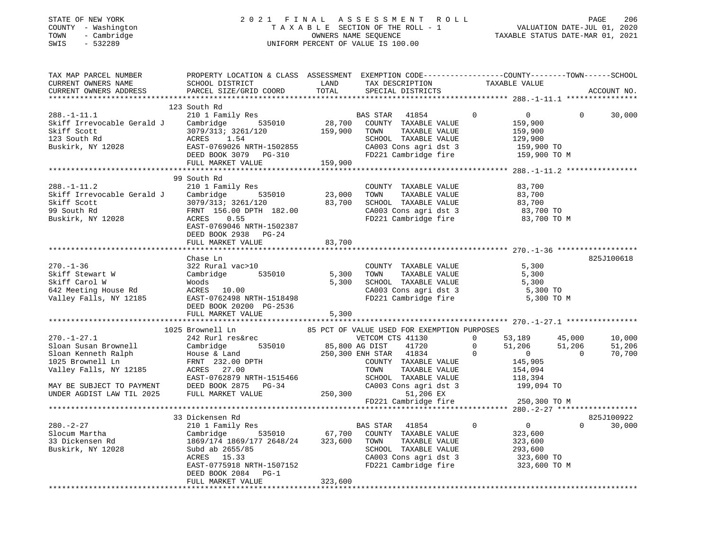## STATE OF NEW YORK 2 0 2 1 F I N A L A S S E S S M E N T R O L L PAGE 206 COUNTY - Washington T A X A B L E SECTION OF THE ROLL - 1 VALUATION DATE-JUL 01, 2020 TOWN - Cambridge OWNERS NAME SEQUENCE TAXABLE STATUS DATE-MAR 01, 2021 SWIS - 532289 UNIFORM PERCENT OF VALUE IS 100.00

| TAX MAP PARCEL NUMBER<br>CURRENT OWNERS NAME<br>CURRENT OWNERS ADDRESS                                                                                                                                                                                                                                                                                                                                                                                                                                                                                                                                                                     | PROPERTY LOCATION & CLASS ASSESSMENT EXEMPTION CODE----------------COUNTY-------TOWN------SCHOOL<br>SCHOOL DISTRICT<br><b>EXAMPLE TO A LAND</b><br>PARCEL SIZE/GRID COORD | TOTAL   | TAX DESCRIPTION TAXABLE VALUE<br>SPECIAL DISTRICTS                                                                                                                              |                                                                                                                               | ACCOUNT NO.                                  |
|--------------------------------------------------------------------------------------------------------------------------------------------------------------------------------------------------------------------------------------------------------------------------------------------------------------------------------------------------------------------------------------------------------------------------------------------------------------------------------------------------------------------------------------------------------------------------------------------------------------------------------------------|---------------------------------------------------------------------------------------------------------------------------------------------------------------------------|---------|---------------------------------------------------------------------------------------------------------------------------------------------------------------------------------|-------------------------------------------------------------------------------------------------------------------------------|----------------------------------------------|
|                                                                                                                                                                                                                                                                                                                                                                                                                                                                                                                                                                                                                                            |                                                                                                                                                                           |         |                                                                                                                                                                                 |                                                                                                                               |                                              |
| $\begin{tabular}{lllllllllllll} & & & 123& \text{South Rd} & & & 123& \text{South Rd} & & & 120& \text{Round} & \text{Red} & & 120& \text{Total} & \text{Standard} & & 121& \text{Number} & \text{Standard} & \text{Standard} & \text{Standard} & \text{Standard} & \text{Standard} & \text{Standard} & \text{Standard} & \text{Standard} & \text{Standard} & \text{Standard} & \text{Standard} & \text{Standard} & \text{Standard} & \text{Standard} & \text{Standard} & \text{Standard} & \text{Standard} & \text{Standard} & \text{Standard} & \text{Standard} & \text{Standard} & \text$                                               | 123 South Rd                                                                                                                                                              |         |                                                                                                                                                                                 |                                                                                                                               | 30,000                                       |
|                                                                                                                                                                                                                                                                                                                                                                                                                                                                                                                                                                                                                                            |                                                                                                                                                                           |         |                                                                                                                                                                                 |                                                                                                                               |                                              |
| $288. - 1 - 11.2$<br>200.-1-11.2<br>Skiff Irrevocable Gerald J Cambridge 535010 23,000 TOWN TAXABLE VALUE 83,700<br>Skiff Scott 3079/313; 3261/120 83,700 SCHOOL TAXABLE VALUE 83,700<br>99 South Rd FRNT 156.00 DPTH 182.00 CA003 Cons agri dst 3 83,700                                                                                                                                                                                                                                                                                                                                                                                  | 99 South Rd<br>210 1 Family Res<br>EAST-0769046 NRTH-1502387<br>DEED BOOK 2938 PG-24                                                                                      |         | COUNTY TAXABLE VALUE<br>TAXABLE VALUE<br>TAXABLE VALUE<br>TAXABLE VIIII                                                                                                         | 83,700<br>83,700<br>83,700<br>83,700<br>83,700 TO M                                                                           |                                              |
|                                                                                                                                                                                                                                                                                                                                                                                                                                                                                                                                                                                                                                            | FULL MARKET VALUE                                                                                                                                                         | 83,700  |                                                                                                                                                                                 |                                                                                                                               |                                              |
|                                                                                                                                                                                                                                                                                                                                                                                                                                                                                                                                                                                                                                            | Chase Ln<br>FULL MARKET VALUE                                                                                                                                             | 5,300   | COUNTY TAXABLE VALUE<br>5,300 SCHOOL TAXABLE VALUE 5,300 TO<br>CA003 Cons agri dst 3 5,300 TO<br>FD221 Cambridge fire                                                           | TAXABLE VALUE 5,300<br>TAXABLE VALUE 5,300<br>5,300 TO M                                                                      | 825J100618                                   |
|                                                                                                                                                                                                                                                                                                                                                                                                                                                                                                                                                                                                                                            |                                                                                                                                                                           |         |                                                                                                                                                                                 |                                                                                                                               |                                              |
| $\begin{tabular}{lllllllllllll} $\text{$\omega$}.\text{$\omega$} \text{~~&\omega$} \text{~~&\omega$} \text{~~&\omega$} \text{~~&\omega$} \text{~~&\omega$} \text{~~&\omega$} \text{~~&\omega$} \text{~~&\omega$} \text{~~&\omega$} \text{~~&\omega$} \text{~~&\omega$} \text{~~&\omega$} \text{~~&\omega$} \text{~~&\omega$} \text{~~&\omega$} \text{~~&\omega$} \text{~~&\omega$} \text{~~&\omega$} \text{~~&\omega$} \text{~~&\omega$} \text{~~&\omega$} \text{$<br>MAY BE SUBJECT TO PAYMENT<br>MAY BE SUBJECT TO PAYMENT<br>UNDER AGDIST LAW TIL 2025 FULL MARKET VALUE<br>FULL MARKET VALUE<br>TULL MARKET VALUE<br>250,300 51,206 EX |                                                                                                                                                                           |         | FD221 Cambridge fire                                                                                                                                                            | 53,189 45,000<br>$51,206$ $51,206$<br>$\begin{array}{r} 145,905 \\ 145,905 \\ 154,094 \\ 118,394 \end{array}$<br>250,300 ТО М | 10,000<br>51,206<br>$\overline{0}$<br>70,700 |
|                                                                                                                                                                                                                                                                                                                                                                                                                                                                                                                                                                                                                                            |                                                                                                                                                                           |         |                                                                                                                                                                                 |                                                                                                                               |                                              |
| 280.-2-27 230.-2-27 210 1 Family Res BAS STAR<br>Slocum Martha Cambridge 535010 67,700 COUNTY<br>33 Dickensen Rd 1869/174 1869/177 2648/24 323,600 TOWN<br>Buskirk, NY 12028 Subd ab 2655/85 SCHOOL                                                                                                                                                                                                                                                                                                                                                                                                                                        | 33 Dickensen Rd<br>ACRES 15.33<br>EAST-0775918 NRTH-1507152<br>DEED BOOK 2084 PG-1<br>FULL MARKET VALUE                                                                   | 323,600 | y Res 535010 67,700 COUNTY TAXABLE VALUE<br>TOWN TAXABLE VALUE 323,600<br>SCHOOL TAXABLE VALUE 293,600<br>CA003 Cons agri dst 3 323,600 TO<br>FD221 Cambridge fire 323,600 TO M | $0$<br>323.600<br>$\overline{0}$                                                                                              | 825J100922<br>$\Omega$<br>30,000             |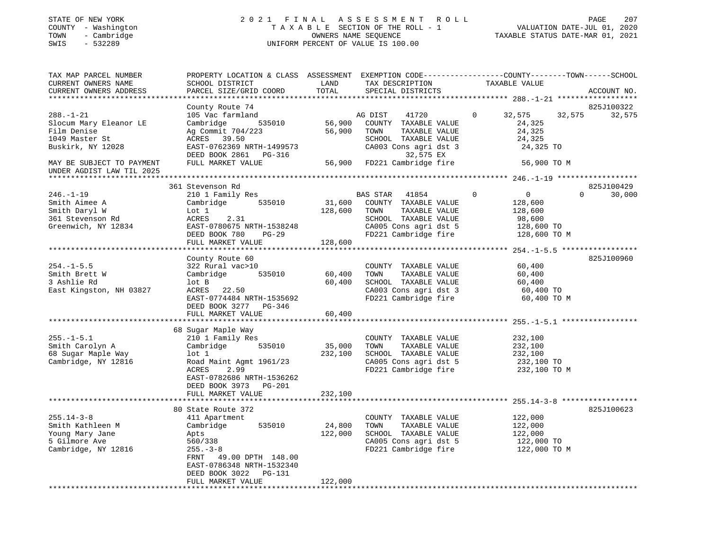## STATE OF NEW YORK 2 0 2 1 F I N A L A S S E S S M E N T R O L L PAGE 207 COUNTY - Washington T A X A B L E SECTION OF THE ROLL - 1 VALUATION DATE-JUL 01, 2020 TOWN - Cambridge OWNERS NAME SEQUENCE TAXABLE STATUS DATE-MAR 01, 2021 SWIS - 532289 UNIFORM PERCENT OF VALUE IS 100.00

| TAX MAP PARCEL NUMBER<br>CURRENT OWNERS NAME<br>CURRENT OWNERS ADDRESS<br>*************************                                                       | PROPERTY LOCATION & CLASS ASSESSMENT EXEMPTION CODE---------------COUNTY-------TOWN------SCHOOL<br>SCHOOL DISTRICT<br>PARCEL SIZE/GRID COORD                                                                      | LAND<br>TOTAL                | TAX DESCRIPTION<br>SPECIAL DISTRICTS                                                                                                                           | TAXABLE VALUE                                                                            | ACCOUNT NO.                      |
|-----------------------------------------------------------------------------------------------------------------------------------------------------------|-------------------------------------------------------------------------------------------------------------------------------------------------------------------------------------------------------------------|------------------------------|----------------------------------------------------------------------------------------------------------------------------------------------------------------|------------------------------------------------------------------------------------------|----------------------------------|
| $288. - 1 - 21$<br>Slocum Mary Eleanor LE<br>Film Denise<br>1049 Master St<br>Buskirk, NY 12028<br>MAY BE SUBJECT TO PAYMENT<br>UNDER AGDIST LAW TIL 2025 | County Route 74<br>105 Vac farmland<br>535010<br>Cambridge<br>Ag Commit 704/223<br>ACRES 39.50<br>EAST-0762369 NRTH-1499573<br>DEED BOOK 2861 PG-316<br>FULL MARKET VALUE                                         | 56,900<br>56,900             | AG DIST<br>41720<br>COUNTY TAXABLE VALUE<br>TOWN<br>TAXABLE VALUE<br>SCHOOL TAXABLE VALUE<br>CA003 Cons agri dst 3<br>32,575 EX<br>56,900 FD221 Cambridge fire | 0<br>32,575<br>32,575<br>24,325<br>24,325<br>24,325<br>24,325 TO<br>56,900 TO M          | 825J100322<br>32,575             |
| $246. - 1 - 19$<br>Smith Aimee A<br>Smith Daryl W<br>361 Stevenson Rd<br>Greenwich, NY 12834                                                              | 361 Stevenson Rd<br>210 1 Family Res<br>Cambridge<br>535010<br>Lot 1<br>ACRES<br>2.31<br>EAST-0780675 NRTH-1538248<br>DEED BOOK 780<br>$PG-29$<br>FULL MARKET VALUE<br>*************************                  | 31,600<br>128,600<br>128,600 | BAS STAR<br>41854<br>COUNTY TAXABLE VALUE<br>TAXABLE VALUE<br>TOWN<br>SCHOOL TAXABLE VALUE<br>CA005 Cons agri dst 5<br>FD221 Cambridge fire                    | $\Omega$<br>$\overline{0}$<br>128,600<br>128,600<br>98,600<br>128,600 TO<br>128,600 TO M | 825J100429<br>30,000<br>$\Omega$ |
| $254. -1 - 5.5$<br>Smith Brett W<br>3 Ashlie Rd<br>East Kingston, NH 03827                                                                                | County Route 60<br>322 Rural vac>10<br>535010<br>Cambridge<br>lot B<br>ACRES 22.50<br>EAST-0774484 NRTH-1535692<br>DEED BOOK 3277 PG-346<br>FULL MARKET VALUE                                                     | 60,400<br>60,400<br>60,400   | COUNTY TAXABLE VALUE<br>TAXABLE VALUE<br>TOWN<br>SCHOOL TAXABLE VALUE<br>CA003 Cons agri dst 3<br>FD221 Cambridge fire                                         | 60,400<br>60,400<br>60,400<br>60,400 TO<br>60,400 TO M                                   | 825J100960                       |
| $255. - 1 - 5.1$<br>Smith Carolyn A<br>68 Sugar Maple Way<br>Cambridge, NY 12816                                                                          | 68 Sugar Maple Way<br>210 1 Family Res<br>Cambridge<br>535010<br>lot 1<br>Road Maint Agmt 1961/23<br>2.99<br><b>ACRES</b><br>EAST-0782686 NRTH-1536262<br>DEED BOOK 3973<br>PG-201<br>FULL MARKET VALUE           | 35,000<br>232,100<br>232,100 | COUNTY TAXABLE VALUE<br>TOWN<br>TAXABLE VALUE<br>SCHOOL TAXABLE VALUE<br>CA005 Cons agri dst 5<br>FD221 Cambridge fire                                         | 232,100<br>232,100<br>232,100<br>232,100 TO<br>232,100 TO M                              |                                  |
| $255.14 - 3 - 8$<br>Smith Kathleen M<br>Young Mary Jane<br>5 Gilmore Ave<br>Cambridge, NY 12816                                                           | 80 State Route 372<br>411 Apartment<br>535010<br>Cambridge<br>Apts<br>560/338<br>$255. - 3 - 8$<br>49.00 DPTH 148.00<br>FRNT<br>EAST-0786348 NRTH-1532340<br>DEED BOOK 3022<br><b>PG-131</b><br>FULL MARKET VALUE | 24,800<br>122,000<br>122,000 | COUNTY TAXABLE VALUE<br>TAXABLE VALUE<br>TOWN<br>SCHOOL TAXABLE VALUE<br>CA005 Cons agri dst 5<br>FD221 Cambridge fire                                         | 122,000<br>122,000<br>122,000<br>122,000 TO<br>122,000 TO M                              | 825J100623                       |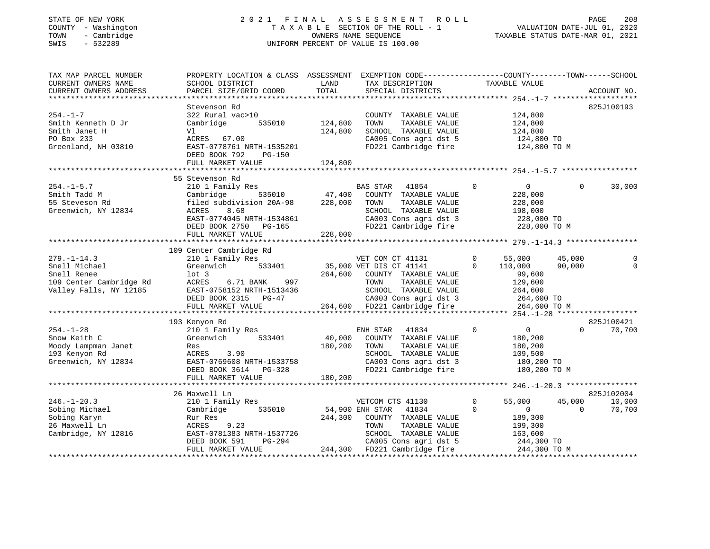#### STATE OF NEW YORK 2 0 2 1 F I N A L A S S E S S M E N T R O L L PAGE 208 COUNTY - Washington T A X A B L E SECTION OF THE ROLL - 1 VALUATION DATE-JUL 01, 2020 TOWN - Cambridge OWNERS NAME SEQUENCE TAXABLE STATUS DATE-MAR 01, 2021 SWIS - 532289 UNIFORM PERCENT OF VALUE IS 100.00UNIFORM PERCENT OF VALUE IS 100.00

| TAX MAP PARCEL NUMBER<br>CURRENT OWNERS NAME<br>CURRENT OWNERS ADDRESS                                 | PROPERTY LOCATION & CLASS ASSESSMENT EXEMPTION CODE----------------COUNTY-------TOWN-----SCHOOL<br>SCHOOL DISTRICT<br>PARCEL SIZE/GRID COORD                                          | LAND<br>TOTAL                 | TAX DESCRIPTION<br>SPECIAL DISTRICTS                                                                                                                                          | TAXABLE VALUE                                                                                          |                    | ACCOUNT NO.                    |
|--------------------------------------------------------------------------------------------------------|---------------------------------------------------------------------------------------------------------------------------------------------------------------------------------------|-------------------------------|-------------------------------------------------------------------------------------------------------------------------------------------------------------------------------|--------------------------------------------------------------------------------------------------------|--------------------|--------------------------------|
| $254. - 1 - 7$<br>Smith Kenneth D Jr<br>Smith Janet H<br>PO Box 233<br>Greenland, NH 03810             | Stevenson Rd<br>322 Rural vac>10<br>Cambridge<br>535010<br>Vl<br>ACRES 67.00<br>EAST-0778761 NRTH-1535201<br>DEED BOOK 792<br><b>PG-150</b><br>FULL MARKET VALUE                      | 124,800<br>124,800<br>124,800 | COUNTY TAXABLE VALUE<br>TOWN<br>TAXABLE VALUE<br>SCHOOL TAXABLE VALUE<br>CA005 Cons agri dst 5<br>FD221 Cambridge fire                                                        | 124,800<br>124,800<br>124,800<br>124,800 TO<br>124,800 TO M                                            | 825J100193         |                                |
| $254. - 1 - 5.7$<br>Smith Tadd M<br>55 Steveson Rd<br>Greenwich, NY 12834                              | 55 Stevenson Rd<br>210 1 Family Res<br>Cambridge<br>535010<br>filed subdivision 20A-98<br>8.68<br>ACRES<br>EAST-0774045 NRTH-1534861<br>DEED BOOK 2750<br>PG-165<br>FULL MARKET VALUE | 47,400<br>228,000<br>228,000  | BAS STAR<br>41854<br>COUNTY TAXABLE VALUE<br>TAXABLE VALUE<br>TOWN<br>SCHOOL TAXABLE VALUE<br>CA003 Cons agri dst 3<br>FD221 Cambridge fire                                   | $\mathbf 0$<br>$\overline{0}$<br>228,000<br>228,000<br>198,000<br>228,000 TO<br>228,000 TO M           | $\Omega$           | 30,000                         |
| $279. - 1 - 14.3$<br>Snell Michael<br>Snell Renee<br>109 Center Cambridge Rd<br>Valley Falls, NY 12185 | 109 Center Cambridge Rd<br>210 1 Family Res<br>533401<br>Greenwich<br>$1$ ot 3<br>ACRES<br>6.71 BANK<br>997<br>EAST-0758152 NRTH-1513436<br>DEED BOOK 2315 PG-47<br>FULL MARKET VALUE | 264,600                       | VET COM CT 41131<br>35,000 VET DIS CT 41141<br>COUNTY TAXABLE VALUE<br>TOWN<br>TAXABLE VALUE<br>SCHOOL TAXABLE VALUE<br>CA003 Cons agri dst 3<br>264,600 FD221 Cambridge fire | $\circ$<br>55,000<br>$\Omega$<br>110,000<br>99,600<br>129,600<br>264,600<br>264,600 TO<br>264,600 TO M | 45,000<br>90,000   | 0<br>$\mathbf 0$               |
| $254. - 1 - 28$<br>Snow Keith C<br>Moody Lampman Janet<br>193 Kenyon Rd<br>Greenwich, NY 12834         | 193 Kenyon Rd<br>210 1 Family Res<br>533401<br>Greenwich<br>Res<br>3.90<br>ACRES<br>EAST-0769608 NRTH-1533758<br>DEED BOOK 3614 PG-328<br>FULL MARKET VALUE                           | 40,000<br>180,200<br>180,200  | ENH STAR<br>41834<br>COUNTY TAXABLE VALUE<br>TOWN<br>TAXABLE VALUE<br>SCHOOL TAXABLE VALUE<br>CA003 Cons agri dst 3<br>FD221 Cambridge fire                                   | $\Omega$<br>$\overline{0}$<br>180,200<br>180,200<br>109,500<br>180,200 TO<br>180,200 TO M              | $\Omega$           | 825J100421<br>70,700           |
| $246. - 1 - 20.3$<br>Sobing Michael<br>Sobing Karyn<br>26 Maxwell Ln<br>Cambridge, NY 12816            | 26 Maxwell Ln<br>210 1 Family Res<br>535010<br>Cambridge<br>Rur Res<br>9.23<br>ACRES<br>EAST-0781383 NRTH-1537726<br>PG-294<br>DEED BOOK 591<br>FULL MARKET VALUE                     | 244,300<br>244,300            | VETCOM CTS 41130<br>54,900 ENH STAR<br>41834<br>COUNTY TAXABLE VALUE<br>TOWN<br>TAXABLE VALUE<br>SCHOOL TAXABLE VALUE<br>CA005 Cons agri dst 5<br>FD221 Cambridge fire        | 0<br>55,000<br>$\Omega$<br>$\circ$<br>189,300<br>199,300<br>163,600<br>244,300 TO<br>244,300 TO M      | 45,000<br>$\Omega$ | 825J102004<br>10,000<br>70,700 |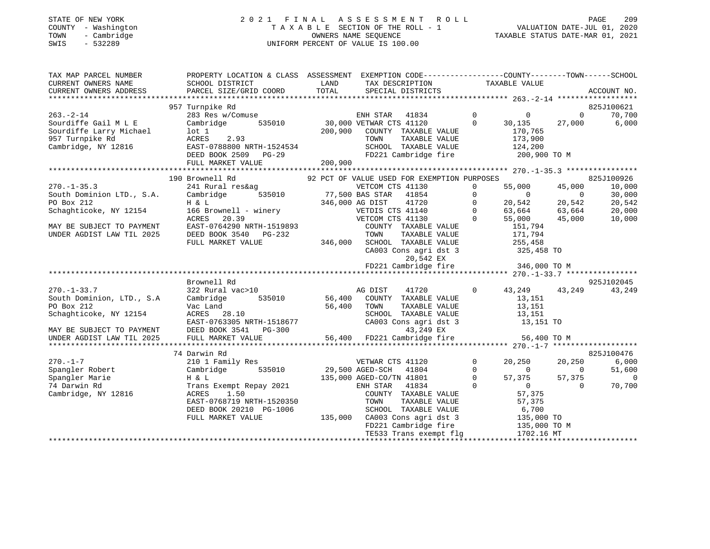#### STATE OF NEW YORK 2 0 2 1 F I N A L A S S E S S M E N T R O L L PAGE 209 COUNTY - Washington T A X A B L E SECTION OF THE ROLL - 1 VALUATION DATE-JUL 01, 2020 TOWN - Cambridge OWNERS NAME SEQUENCE TAXABLE STATUS DATE-MAR 01, 2021 SWIS - 532289 UNIFORM PERCENT OF VALUE IS 100.00UNIFORM PERCENT OF VALUE IS 100.00

| TAX MAP PARCEL NUMBER<br>CURRENT OWNERS NAME<br>CURRENT OWNERS ADDRESS | PROPERTY LOCATION & CLASS ASSESSMENT EXEMPTION CODE----------------COUNTY-------TOWN------SCHOOL<br>SCHOOL DISTRICT<br>PARCEL SIZE/GRID COORD | LAND<br>TOTAL | TAX DESCRIPTION<br>SPECIAL DISTRICTS                                                   | TAXABLE VALUE                                         |                          | ACCOUNT NO.              |
|------------------------------------------------------------------------|-----------------------------------------------------------------------------------------------------------------------------------------------|---------------|----------------------------------------------------------------------------------------|-------------------------------------------------------|--------------------------|--------------------------|
|                                                                        |                                                                                                                                               |               |                                                                                        |                                                       |                          |                          |
|                                                                        | 957 Turnpike Rd                                                                                                                               |               |                                                                                        |                                                       |                          | 825J100621               |
| $263. - 2 - 14$                                                        | 283 Res w/Comuse                                                                                                                              |               | ENH STAR 41834 0<br>35010 30,000 VETWAR CTS 41120 0 30,135                             |                                                       | $\Omega$                 | 70,700                   |
| Sourdiffe Gail M L E                                                   | Cambridge<br>535010                                                                                                                           |               |                                                                                        | 30,135                                                | 27,000                   | 6,000                    |
| Sourdiffe Larry Michael                                                | lot 1                                                                                                                                         |               | 200,900 COUNTY TAXABLE VALUE                                                           | 170,765                                               |                          |                          |
| 957 Turnpike Rd                                                        | ACRES 2.93                                                                                                                                    |               | TOWN TAXABLE VALUE 173,900<br>SCHOOL TAXABLE VALUE 124,200                             |                                                       |                          |                          |
| Cambridge, NY 12816                                                    |                                                                                                                                               |               |                                                                                        |                                                       |                          |                          |
|                                                                        |                                                                                                                                               |               | FD221 Cambridge fire 200,900 TO M                                                      |                                                       |                          |                          |
|                                                                        | EAST-0788800 NRTH-1524534<br>DEED BOOK 2509 PG-29<br>FULL MARKET VALUE 200,900                                                                |               |                                                                                        |                                                       |                          |                          |
|                                                                        |                                                                                                                                               |               |                                                                                        |                                                       |                          |                          |
|                                                                        | 190 Brownell Rd                                                                                                                               |               | 92 PCT OF VALUE USED FOR EXEMPTION PURPOSES                                            |                                                       |                          | 825J100926               |
| $270. - 1 - 35.3$                                                      | 241 Rural res&aq                                                                                                                              |               | VETCOM CTS 41130                                                                       | 55,000<br>$\mathbf{0}$                                | 45,000                   | 10,000                   |
| South Dominion LTD., S.A.                                              | Cambridge                                                                                                                                     |               | 535010 77,500 BAS STAR 41854                                                           | $\mathbf 0$<br>$\overline{0}$                         | $\overline{\phantom{0}}$ | 30,000                   |
| PO Box 212                                                             | H & L                                                                                                                                         |               | 346,000 AG DIST<br>41720                                                               | $\overline{0}$<br>20,542                              | 20,542                   | 20,542                   |
| Schaghticoke, NY 12154 166 Brownell - winery                           |                                                                                                                                               |               | VETDIS CTS 41140                                                                       | $\bigcirc$<br>63,664 63,664                           |                          | 20,000                   |
|                                                                        | ACRES<br>20.39                                                                                                                                |               | VETCOM CTS 41130                                                                       | $\bigcirc$<br>55,000                                  | 45,000                   | 10,000                   |
| MAY BE SUBJECT TO PAYMENT                                              |                                                                                                                                               |               | COUNTY TAXABLE VALUE                                                                   | $0$ 6.3,<br>0 55,000<br>151,794<br>171,794<br>4 4 4 5 |                          |                          |
| UNDER AGDIST LAW TIL 2025                                              | EAST-0764290 NRTH-1519893<br>DEED BOOK 3540 PG-232<br>DEED BOOK 3540 PG-232                                                                   |               | TAXABLE VALUE<br>TOWN                                                                  |                                                       |                          |                          |
|                                                                        | FULL MARKET VALUE                                                                                                                             |               | 346,000 SCHOOL TAXABLE VALUE                                                           | 255, 458                                              |                          |                          |
|                                                                        |                                                                                                                                               |               | CA003 Cons agri dst 3                                                                  |                                                       |                          |                          |
|                                                                        |                                                                                                                                               |               | 20,542 EX                                                                              | 325,458 TO                                            |                          |                          |
|                                                                        |                                                                                                                                               |               | FD221 Cambridge fire 346,000 TO M                                                      |                                                       |                          |                          |
|                                                                        |                                                                                                                                               |               |                                                                                        |                                                       |                          |                          |
|                                                                        | Brownell Rd                                                                                                                                   |               |                                                                                        |                                                       |                          | 925J102045               |
|                                                                        |                                                                                                                                               |               |                                                                                        |                                                       |                          |                          |
| $270. - 1 - 33.7$                                                      | 322 Rural vac>10<br>J22 Kurur<br>Cambridge                                                                                                    |               | Mag DIST 91720<br>1935010 56,400 COUNTY TAXABLE VALUE                                  | 43,249 43,249<br>$\circ$                              |                          | 43,249                   |
| South Dominion, LTD., S.A                                              |                                                                                                                                               |               |                                                                                        | 13,151                                                |                          |                          |
| PO Box 212                                                             | Vac Land                                                                                                                                      | 56,400        | TAXABLE VALUE<br>TOWN                                                                  | 13,151                                                |                          |                          |
| Schaghticoke, NY 12154                                                 | <b>ACRES</b> 28.10                                                                                                                            |               | SCHOOL TAXABLE VALUE<br>SCHOOL TAXABLE VALUE 13,151<br>CA003 Cons agri dst 3 13,151 TO | 13,151                                                |                          |                          |
|                                                                        | EAST-0763305 NRTH-1518677                                                                                                                     |               |                                                                                        |                                                       |                          |                          |
| MAY BE SUBJECT TO PAYMENT<br>UNDER AGDIST LAW TIL 2025                 | DEED BOOK 3541 PG-300                                                                                                                         |               | 43,249 EX                                                                              |                                                       |                          |                          |
| UNDER AGDIST LAW TIL 2025                                              | FULL MARKET VALUE                                                                                                                             |               |                                                                                        | 56,400 TO M                                           |                          |                          |
|                                                                        |                                                                                                                                               |               |                                                                                        |                                                       |                          |                          |
|                                                                        | 74 Darwin Rd                                                                                                                                  |               |                                                                                        |                                                       |                          | 825J100476               |
| $270. - 1 - 7$                                                         | 210 1 Family Res                                                                                                                              |               | VETWAR CTS 41120                                                                       | $\mathbf 0$<br>20,250                                 | 20,250                   | 6,000                    |
| Spangler Robert                                                        | 535010<br>Cambridge                                                                                                                           |               | 29,500 AGED-SCH 41804                                                                  | $\Omega$<br>$\Omega$                                  | $\overline{\phantom{0}}$ | 51,600                   |
| Spangler Marie                                                         | H & L                                                                                                                                         |               | 135,000 AGED-CO/TN 41801                                                               | $\Omega$<br>57,375                                    | 57,375                   | $\overline{\phantom{0}}$ |
| 74 Darwin Rd                                                           | Trans Exempt Repay 2021                                                                                                                       |               | 41834<br>ENH STAR                                                                      | $\Omega$<br>$\begin{array}{c}\n0 \\ 0\n\end{array}$   | $\Omega$                 | 70,700                   |
| Cambridge, NY 12816                                                    | ACRES<br>1.50                                                                                                                                 |               | COUNTY TAXABLE VALUE                                                                   | 57,375                                                |                          |                          |
|                                                                        | EAST-0768719 NRTH-1520350                                                                                                                     |               | TOWN<br>TAXABLE VALUE                                                                  | 57,375                                                |                          |                          |
|                                                                        | DEED BOOK 20210 PG-1006                                                                                                                       |               | SCHOOL TAXABLE VALUE                                                                   |                                                       |                          |                          |
|                                                                        | FULL MARKET VALUE                                                                                                                             |               | 135,000 CA003 Cons agri dst 3                                                          | $6,700$<br>$135,000$ TO                               |                          |                          |
|                                                                        |                                                                                                                                               |               | FD221 Cambridge fire                                                                   |                                                       |                          |                          |
|                                                                        |                                                                                                                                               |               | FD221 Cambridge fire 135,000 TO M<br>TE533 Trans exempt flg 1702.16 MT                 |                                                       |                          |                          |
|                                                                        | TE533 Trans exempt fig # 1/04.10 MT # 1104 MH # 1/104 MH # 1/104 MH # 1/104 MH # 1/104 MH # 1/104 MH # 1/104 M                                |               |                                                                                        |                                                       |                          |                          |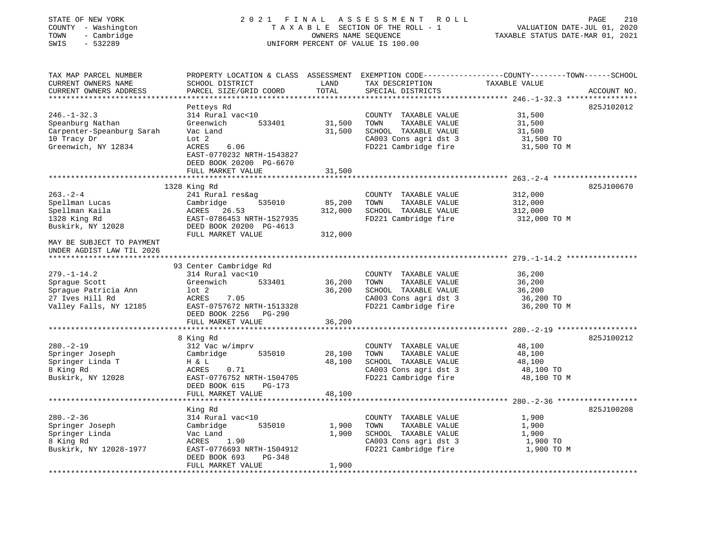| STATE OF NEW YORK<br>COUNTY - Washington<br>- Cambridge<br>TOWN<br>SWIS<br>$-532289$                                | 2021 FINAL                                                                                                                                                               |                              | ASSESSMENT ROLL<br>TAXABLE SECTION OF THE ROLL - 1<br>OWNERS NAME SEQUENCE<br>UNIFORM PERCENT OF VALUE IS 100.00       | PAGE<br>VALUATION DATE-JUL 01, 2020<br>TAXABLE STATUS DATE-MAR 01, 2021                                                          | 210 |
|---------------------------------------------------------------------------------------------------------------------|--------------------------------------------------------------------------------------------------------------------------------------------------------------------------|------------------------------|------------------------------------------------------------------------------------------------------------------------|----------------------------------------------------------------------------------------------------------------------------------|-----|
| TAX MAP PARCEL NUMBER<br>CURRENT OWNERS NAME<br>CURRENT OWNERS ADDRESS<br>************************                  | SCHOOL DISTRICT<br>PARCEL SIZE/GRID COORD                                                                                                                                | LAND<br>TOTAL                | TAX DESCRIPTION<br>SPECIAL DISTRICTS                                                                                   | PROPERTY LOCATION & CLASS ASSESSMENT EXEMPTION CODE----------------COUNTY-------TOWN------SCHOOL<br>TAXABLE VALUE<br>ACCOUNT NO. |     |
| $246. - 1 - 32.3$<br>Speanburg Nathan<br>Carpenter-Speanburg Sarah<br>10 Tracy Dr<br>Greenwich, NY 12834            | Petteys Rd<br>314 Rural vac<10<br>Greenwich<br>533401<br>Vac Land<br>Lot 2<br>ACRES<br>6.06<br>EAST-0770232 NRTH-1543827<br>DEED BOOK 20200 PG-6670<br>FULL MARKET VALUE | 31,500<br>31,500<br>31,500   | COUNTY TAXABLE VALUE<br>TOWN<br>TAXABLE VALUE<br>SCHOOL TAXABLE VALUE<br>CA003 Cons agri dst 3<br>FD221 Cambridge fire | 825J102012<br>31,500<br>31,500<br>31,500<br>31,500 TO<br>31,500 TO M                                                             |     |
|                                                                                                                     | ********************                                                                                                                                                     |                              |                                                                                                                        |                                                                                                                                  |     |
| $263. -2 - 4$<br>Spellman Lucas<br>Spellman Kaila<br>1328 King Rd<br>Buskirk, NY 12028<br>MAY BE SUBJECT TO PAYMENT | 1328 King Rd<br>241 Rural res&ag<br>Cambridge<br>535010<br>ACRES 26.53<br>EAST-0786453 NRTH-1527935<br>DEED BOOK 20200 PG-4613<br>FULL MARKET VALUE                      | 85,200<br>312,000<br>312,000 | COUNTY TAXABLE VALUE<br>TOWN<br>TAXABLE VALUE<br>SCHOOL TAXABLE VALUE<br>FD221 Cambridge fire                          | 825J100670<br>312,000<br>312,000<br>312,000<br>312,000 TO M                                                                      |     |
| UNDER AGDIST LAW TIL 2026                                                                                           |                                                                                                                                                                          |                              |                                                                                                                        |                                                                                                                                  |     |
|                                                                                                                     |                                                                                                                                                                          |                              |                                                                                                                        |                                                                                                                                  |     |
| $279. - 1 - 14.2$<br>Sprague Scott<br>Sprague Patricia Ann<br>27 Ives Hill Rd<br>Valley Falls, NY 12185             | 93 Center Cambridge Rd<br>314 Rural vac<10<br>Greenwich<br>533401<br>$1$ ot $2$<br>ACRES<br>7.05<br>EAST-0757672 NRTH-1513328<br>DEED BOOK 2256 PG-290                   | 36,200<br>36,200             | COUNTY TAXABLE VALUE<br>TOWN<br>TAXABLE VALUE<br>SCHOOL TAXABLE VALUE<br>CA003 Cons agri dst 3<br>FD221 Cambridge fire | 36,200<br>36,200<br>36,200<br>36,200 TO<br>36,200 TO M                                                                           |     |
|                                                                                                                     | FULL MARKET VALUE                                                                                                                                                        | 36,200                       |                                                                                                                        |                                                                                                                                  |     |
| $280. - 2 - 19$<br>Springer Joseph<br>Springer Linda T<br>8 King Rd<br>Buskirk, NY 12028                            | 8 King Rd<br>312 Vac w/imprv<br>535010<br>Cambridge<br>H & L<br>ACRES<br>0.71<br>EAST-0776752 NRTH-1504705<br>DEED BOOK 615<br>PG-173                                    | 28,100<br>48,100             | COUNTY TAXABLE VALUE<br>TOWN<br>TAXABLE VALUE<br>SCHOOL TAXABLE VALUE<br>CA003 Cons agri dst 3<br>FD221 Cambridge fire | 825J100212<br>48,100<br>48,100<br>48,100<br>48,100 TO<br>48,100 TO M                                                             |     |
|                                                                                                                     | FULL MARKET VALUE                                                                                                                                                        | 48,100                       |                                                                                                                        |                                                                                                                                  |     |
|                                                                                                                     |                                                                                                                                                                          |                              |                                                                                                                        |                                                                                                                                  |     |
| $280. - 2 - 36$<br>Springer Joseph<br>Springer Linda<br>8 King Rd<br>Buskirk, NY 12028-1977                         | King Rd<br>314 Rural vac<10<br>Cambridge<br>535010<br>Vac Land<br>ACRES<br>1.90<br>EAST-0776693 NRTH-1504912<br>DEED BOOK 693<br>PG-348<br>FULL MARKET VALUE             | 1,900<br>1,900<br>1,900      | COUNTY TAXABLE VALUE<br>TOWN<br>TAXABLE VALUE<br>SCHOOL TAXABLE VALUE<br>CA003 Cons agri dst 3<br>FD221 Cambridge fire | 825J100208<br>1,900<br>1,900<br>1,900<br>1,900 TO<br>1,900 TO M                                                                  |     |
| ******************                                                                                                  |                                                                                                                                                                          |                              |                                                                                                                        |                                                                                                                                  |     |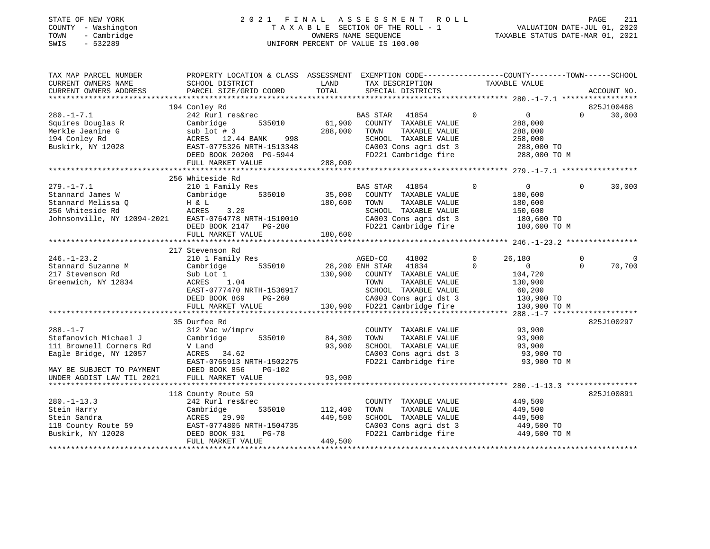## STATE OF NEW YORK 2 0 2 1 F I N A L A S S E S S M E N T R O L L PAGE 211 COUNTY - Washington T A X A B L E SECTION OF THE ROLL - 1 VALUATION DATE-JUL 01, 2020 TOWN - Cambridge OWNERS NAME SEQUENCE TAXABLE STATUS DATE-MAR 01, 2021 SWIS - 532289 UNIFORM PERCENT OF VALUE IS 100.00

| TAX MAP PARCEL NUMBER<br>CURRENT OWNERS NAME                                                                   | PROPERTY LOCATION & CLASS ASSESSMENT EXEMPTION CODE---------------COUNTY-------TOWN------SCHOOL<br>SCHOOL DISTRICT | LAND           | TAX DESCRIPTION TAXABLE VALUE                         |          |                            |          |             |
|----------------------------------------------------------------------------------------------------------------|--------------------------------------------------------------------------------------------------------------------|----------------|-------------------------------------------------------|----------|----------------------------|----------|-------------|
| CURRENT OWNERS ADDRESS                                                                                         | PARCEL SIZE/GRID COORD                                                                                             | TOTAL          | SPECIAL DISTRICTS                                     |          |                            |          | ACCOUNT NO. |
|                                                                                                                | 194 Conley Rd                                                                                                      |                |                                                       |          |                            |          | 825J100468  |
| $280. -1 - 7.1$                                                                                                | 242 Rurl res&rec                                                                                                   |                | BAS STAR<br>41854                                     | $\Omega$ | $\overline{0}$             | $\Omega$ | 30,000      |
| Squires Douglas R                                                                                              | 535010<br>Cambridge                                                                                                | 61,900         | COUNTY TAXABLE VALUE                                  |          | 288,000                    |          |             |
| Merkle Jeanine G                                                                                               | sub $1$ ot $#$ 3                                                                                                   | 288,000        | TAXABLE VALUE<br>TOWN                                 |          | 288,000                    |          |             |
| 194 Conley Rd                                                                                                  |                                                                                                                    |                |                                                       |          |                            |          |             |
| Buskirk, $NY$ 12028                                                                                            | ACRES 12.44 BANK 998                                                                                               |                | SCHOOL TAXABLE VALUE<br>CA003 Cons agri dst 3         |          | 258,000                    |          |             |
|                                                                                                                | ACRES 12.44 BANK 998<br>EAST-0775326 NRTH-1513348<br>DEED BOOK 20200 PG-5944                                       |                |                                                       |          | 288,000 TO                 |          |             |
|                                                                                                                |                                                                                                                    |                | FD221 Cambridge fire 288,000 TO M                     |          |                            |          |             |
|                                                                                                                | FULL MARKET VALUE                                                                                                  | 288,000        |                                                       |          |                            |          |             |
|                                                                                                                | 256 Whiteside Rd                                                                                                   |                |                                                       |          |                            |          |             |
|                                                                                                                |                                                                                                                    |                |                                                       |          |                            |          |             |
| $279. - 1 - 7.1$                                                                                               | 210 1 Family Res                                                                                                   |                | BAS STAR<br>41854                                     | 0        | $\overline{0}$             | $\Omega$ | 30,000      |
| Stannard James W                                                                                               | 535010<br>Cambridge                                                                                                | 35,000         | COUNTY TAXABLE VALUE                                  |          | 180,600                    |          |             |
| Stannard Melissa Q                                                                                             | H & L                                                                                                              | 180,600        | TOWN<br>TAXABLE VALUE                                 |          | 180,600                    |          |             |
| 256 Whiteside Rd                                                                                               | ACRES 3.20                                                                                                         |                | SCHOOL TAXABLE VALUE                                  |          | 150,600                    |          |             |
| Johnsonville, NY 12094-2021 EAST-0764778 NRTH-1510010<br>Johnsonville, NY 12094-2021 EAST-0764778 NRTH-1510010 |                                                                                                                    |                | CA003 Cons agri dst 3                                 |          | 180,600 TO                 |          |             |
|                                                                                                                | DEED BOOK 2147 PG-280                                                                                              |                | FD221 Cambridge fire                                  |          | 180,600 TO M               |          |             |
|                                                                                                                | FULL MARKET VALUE                                                                                                  | 180,600        |                                                       |          |                            |          |             |
|                                                                                                                |                                                                                                                    |                |                                                       |          |                            |          |             |
|                                                                                                                | 217 Stevenson Rd                                                                                                   |                |                                                       |          |                            |          |             |
| $246. - 1 - 23.2$                                                                                              | 210 1 Family Res                                                                                                   |                | AGED-CO<br>41802                                      | $\Omega$ | 26,180                     | $\Omega$ |             |
| Stannard Suzanne M                                                                                             | Cambridge<br>535010                                                                                                |                | 28,200 ENH STAR 41834                                 | $\Omega$ | $\overline{0}$             | $\Omega$ | 70,700      |
| 217 Stevenson Rd                                                                                               | Sub Lot 1                                                                                                          | 130,900        | COUNTY TAXABLE VALUE                                  |          | 104,720                    |          |             |
| Greenwich, NY 12834                                                                                            | ACRES 1.04                                                                                                         |                | TOWN<br>TAXABLE VALUE                                 |          | 130,900                    |          |             |
|                                                                                                                | EAST-0777470 NRTH-1536917                                                                                          |                | SCHOOL TAXABLE VALUE                                  |          | 60,200                     |          |             |
|                                                                                                                | DEED BOOK 869<br>PG-260                                                                                            |                | CA003 Cons agri dst 3                                 |          | 130,900 TO                 |          |             |
|                                                                                                                | FULL MARKET VALUE                                                                                                  |                | CA003 Cons agri dst 3<br>130,900 FD221 Cambridge fire |          | 130,900 TO M               |          |             |
|                                                                                                                |                                                                                                                    |                |                                                       |          |                            |          |             |
|                                                                                                                | 35 Durfee Rd                                                                                                       |                |                                                       |          |                            |          | 825J100297  |
| $288. - 1 - 7$                                                                                                 | 312 Vac w/imprv                                                                                                    |                | COUNTY TAXABLE VALUE                                  |          | 93,900                     |          |             |
| Stefanovich Michael J                                                                                          | Cambridge<br>535010                                                                                                | 84,300         | TAXABLE VALUE<br>TOWN                                 |          | 93,900                     |          |             |
| 111 Brownell Corners Rd                                                                                        | V Land                                                                                                             | 93,900         | SCHOOL TAXABLE VALUE                                  |          | 93,900                     |          |             |
| Eagle Bridge, NY 12057                                                                                         | ACRES 34.62                                                                                                        |                | CA003 Cons agri dst 3                                 |          | 93,900 TO                  |          |             |
|                                                                                                                | EAST-0765913 NRTH-1502275                                                                                          |                | FD221 Cambridge fire                                  |          | 93,900 TO M                |          |             |
| MAY BE SUBJECT TO PAYMENT                                                                                      | DEED BOOK 856<br><b>PG-102</b>                                                                                     |                |                                                       |          |                            |          |             |
| UNDER AGDIST LAW TIL 2021                                                                                      | FULL MARKET VALUE                                                                                                  | 93,900         |                                                       |          |                            |          |             |
|                                                                                                                |                                                                                                                    |                |                                                       |          |                            |          |             |
|                                                                                                                | 118 County Route 59                                                                                                |                |                                                       |          |                            |          | 825J100891  |
| $280. - 1 - 13.3$                                                                                              | 242 Rurl res&rec                                                                                                   |                | COUNTY TAXABLE VALUE                                  |          | 449,500                    |          |             |
| Stein Harry                                                                                                    | Cambridge                                                                                                          | 535010 112,400 | TAXABLE VALUE<br>TOWN                                 |          | 449,500                    |          |             |
| Stein Sandra                                                                                                   | ACRES 29.90                                                                                                        | 449,500        | SCHOOL TAXABLE VALUE                                  |          | 449,500                    |          |             |
|                                                                                                                |                                                                                                                    |                |                                                       |          |                            |          |             |
| 118 County Route 59<br>Buskirk, NY 12028                                                                       | EAST-0774805 NRTH-1504735                                                                                          |                |                                                       |          | 449,500 TO<br>449,500 TO M |          |             |
|                                                                                                                | DEED BOOK 931<br>PG-78                                                                                             |                | onus cons agri dst 3ب<br>FD221 Cambridge fire         |          |                            |          |             |
|                                                                                                                | FULL MARKET VALUE                                                                                                  | 449,500        |                                                       |          |                            |          |             |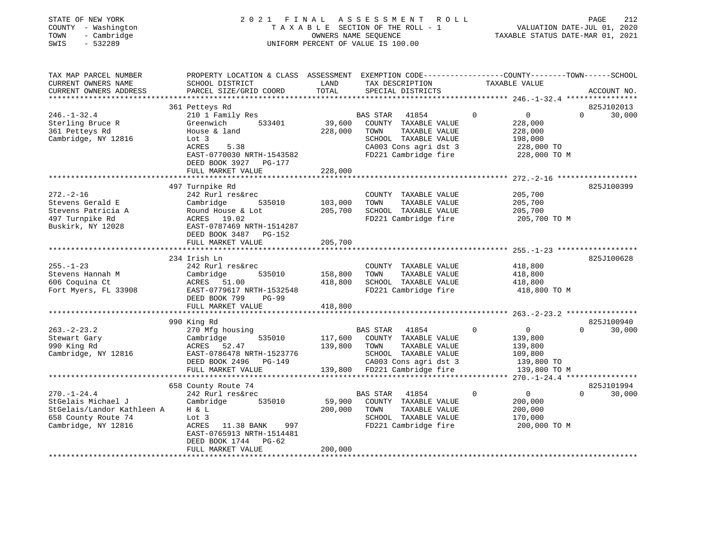## STATE OF NEW YORK 2 0 2 1 F I N A L A S S E S S M E N T R O L L PAGE 212 COUNTY - Washington T A X A B L E SECTION OF THE ROLL - 1 VALUATION DATE-JUL 01, 2020 TOWN - Cambridge OWNERS NAME SEQUENCE TAXABLE STATUS DATE-MAR 01, 2021 SWIS - 532289 UNIFORM PERCENT OF VALUE IS 100.00

| TAX MAP PARCEL NUMBER<br>CURRENT OWNERS NAME<br>CURRENT OWNERS ADDRESS                                              | PROPERTY LOCATION & CLASS ASSESSMENT<br>SCHOOL DISTRICT<br>PARCEL SIZE/GRID COORD                                                                                                                                       | LAND<br>TOTAL                                  | EXEMPTION CODE-----------------COUNTY-------TOWN------SCHOOL<br>TAX DESCRIPTION<br>SPECIAL DISTRICTS                                                                                       | TAXABLE VALUE                                                             | ACCOUNT NO.                                                                             |
|---------------------------------------------------------------------------------------------------------------------|-------------------------------------------------------------------------------------------------------------------------------------------------------------------------------------------------------------------------|------------------------------------------------|--------------------------------------------------------------------------------------------------------------------------------------------------------------------------------------------|---------------------------------------------------------------------------|-----------------------------------------------------------------------------------------|
| $246. - 1 - 32.4$<br>Sterling Bruce R<br>361 Petteys Rd<br>Cambridge, NY 12816                                      | 361 Petteys Rd<br>210 1 Family Res<br>Greenwich<br>533401<br>House & land<br>Lot 3<br><b>ACRES</b><br>5.38<br>EAST-0770030 NRTH-1543582<br>DEED BOOK 3927<br>PG-177<br>FULL MARKET VALUE<br>*************************** | 39,600<br>228,000<br>228,000<br>**********     | <b>BAS STAR</b><br>41854<br>COUNTY TAXABLE VALUE<br>TAXABLE VALUE<br>TOWN<br>SCHOOL TAXABLE VALUE<br>CA003 Cons agri dst 3<br>FD221 Cambridge fire                                         | $\mathbf 0$<br>$\mathbf 0$<br>228,000<br>228,000<br>198,000<br>228,000 TO | 825J102013<br>30,000<br>$\Omega$<br>228,000 TO M                                        |
| $272. - 2 - 16$<br>Stevens Gerald E<br>Stevens Patricia A<br>497 Turnpike Rd<br>Buskirk, NY 12028                   | 497 Turnpike Rd<br>242 Rurl res&rec<br>Cambridge<br>535010<br>Round House & Lot<br>ACRES 19.02<br>EAST-0787469 NRTH-1514287<br>DEED BOOK 3487<br><b>PG-152</b><br>FULL MARKET VALUE                                     | 103,000<br>205,700<br>205,700                  | COUNTY TAXABLE VALUE<br>TOWN<br>TAXABLE VALUE<br>SCHOOL TAXABLE VALUE<br>FD221 Cambridge fire                                                                                              | *********************** 272.-2-16<br>205,700<br>205,700<br>205,700        | 825J100399<br>205,700 TO M                                                              |
| $255. - 1 - 23$<br>Stevens Hannah M<br>606 Coquina Ct<br>Fort Myers, FL 33908                                       | 234 Irish Ln<br>242 Rurl res&rec<br>Cambridge<br>535010<br>ACRES<br>51.00<br>EAST-0779617 NRTH-1532548<br>DEED BOOK 799<br>$PG-99$<br>FULL MARKET VALUE<br>**************************                                   | 158,800<br>418,800<br>418,800<br>************* | COUNTY TAXABLE VALUE<br>TOWN<br>TAXABLE VALUE<br>SCHOOL TAXABLE VALUE<br>FD221 Cambridge fire<br>********************************** 263.-2-23.2                                            | 418,800<br>418,800<br>418,800                                             | 825J100628<br>418,800 TO M<br>****************                                          |
| $263 - 2 - 23.2$<br>Stewart Gary<br>990 King Rd<br>Cambridge, NY 12816                                              | 990 King Rd<br>270 Mfg housing<br>Cambridge<br>535010<br>ACRES<br>52.47<br>EAST-0786478 NRTH-1523776<br>DEED BOOK 2496<br>PG-149<br>FULL MARKET VALUE<br>******************************                                 | 117,600<br>139,800<br>139,800                  | <b>BAS STAR</b><br>41854<br>COUNTY TAXABLE VALUE<br>TAXABLE VALUE<br>TOWN<br>SCHOOL TAXABLE VALUE<br>CA003 Cons agri dst 3<br>FD221 Cambridge fire<br>************************************ | $\mathbf 0$<br>$\circ$<br>139,800<br>139,800<br>109,800<br>139,800 TO     | 825J100940<br>30,000<br>$\Omega$<br>139,800 TO M<br>$270. - 1 - 24.4$ ***************** |
| $270. - 1 - 24.4$<br>StGelais Michael J<br>StGelais/Landor Kathleen A<br>658 County Route 74<br>Cambridge, NY 12816 | 658 County Route 74<br>242 Rurl res&rec<br>535010<br>Cambridge<br>H & L<br>Lot 3<br>ACRES<br>11.38 BANK<br>997<br>EAST-0765913 NRTH-1514481<br>DEED BOOK 1744<br>$PG-62$<br>FULL MARKET VALUE                           | 59,900<br>200,000<br>200,000                   | <b>BAS STAR</b><br>41854<br>COUNTY TAXABLE VALUE<br>TOWN<br>TAXABLE VALUE<br>SCHOOL TAXABLE VALUE<br>FD221 Cambridge fire                                                                  | $\mathbf 0$<br>0<br>200,000<br>200,000<br>170,000                         | 825J101994<br>30,000<br>$\Omega$<br>200,000 TO M                                        |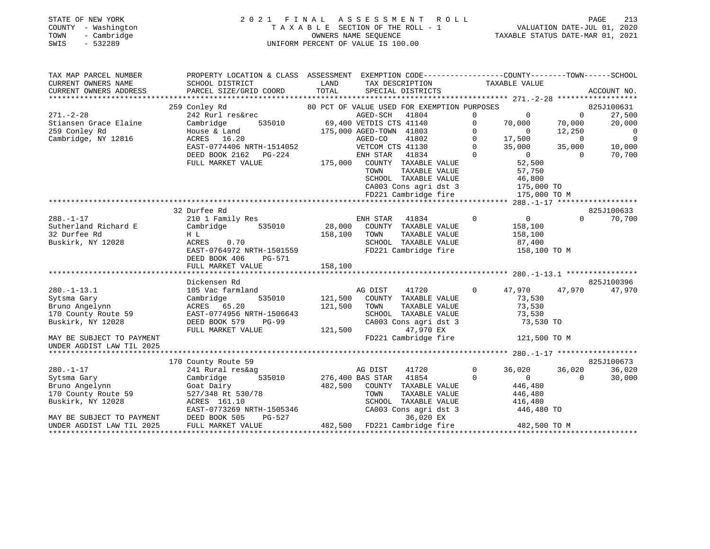# STATE OF NEW YORK 2 0 2 1 F I N A L A S S E S S M E N T R O L L PAGE 213 COUNTY - Washington T A X A B L E SECTION OF THE ROLL - 1 VALUATION DATE-JUL 01, 2020 TOWN - Cambridge OWNERS NAME SEQUENCE TAXABLE STATUS DATE-MAR 01, 2021 TOWN - Cambridge - The Company of Cambridge - Town - Cambridge - Town - Cambridge - Town - Town - Cambridge - Town - Town - Town - Town - Town - Town - Town - Town - Town - Town - Town - Town - Town - Town - Town - Town -

| TAX MAP PARCEL NUMBER<br>CURRENT OWNERS NAME<br>CURRENT OWNERS ADDRESS                                                                                  | PROPERTY LOCATION & CLASS ASSESSMENT EXEMPTION CODE---------------COUNTY-------TOWN------SCHOOL<br>SCHOOL DISTRICT<br>PARCEL SIZE/GRID COORD                          | LAND<br>TOTAL                       | TAX DESCRIPTION<br>SPECIAL DISTRICTS                                                                                                                                                                                                                                                                          | TAXABLE VALUE                                                                                                                                                                                                     |                                                                                  | ACCOUNT NO.                                                                                      |
|---------------------------------------------------------------------------------------------------------------------------------------------------------|-----------------------------------------------------------------------------------------------------------------------------------------------------------------------|-------------------------------------|---------------------------------------------------------------------------------------------------------------------------------------------------------------------------------------------------------------------------------------------------------------------------------------------------------------|-------------------------------------------------------------------------------------------------------------------------------------------------------------------------------------------------------------------|----------------------------------------------------------------------------------|--------------------------------------------------------------------------------------------------|
| $271. - 2 - 28$<br>Stiansen Grace Elaine<br>259 Conley Rd<br>Cambridge, NY 12816                                                                        | 259 Conley Rd<br>242 Rurl res&rec<br>Cambridge<br>535010<br>House & Land<br>ACRES 16.20<br>EAST-0774406 NRTH-1514052<br>DEED BOOK 2162    PG-224<br>FULL MARKET VALUE | 175,000                             | 80 PCT OF VALUE USED FOR EXEMPTION PURPOSES<br>AGED-SCH<br>41804<br>69,400 VETDIS CTS 41140<br>175,000 AGED-TOWN 41803<br>41802<br>AGED-CO<br>VETCOM CTS 41130<br>ENH STAR<br>41834<br>COUNTY TAXABLE VALUE<br>TAXABLE VALUE<br>TOWN<br>SCHOOL TAXABLE VALUE<br>CA003 Cons agri dst 3<br>FD221 Cambridge fire | $\overline{0}$<br>0<br>$\mathbf 0$<br>70,000<br>$\mathbf 0$<br>$\overline{0}$<br>$\Omega$<br>17,500<br>$\Omega$<br>35,000<br>$\Omega$<br>$\overline{0}$<br>52,500<br>57,750<br>46,800<br>175,000 TO<br>175 000 TO | $\Omega$<br>70,000<br>12,250<br>$\bigcirc$<br>35,000<br>$\Omega$<br>175,000 TO M | 825J100631<br>27,500<br>20,000<br>$\overline{\phantom{0}}$<br>$\overline{0}$<br>10,000<br>70,700 |
|                                                                                                                                                         | 32 Durfee Rd                                                                                                                                                          |                                     |                                                                                                                                                                                                                                                                                                               |                                                                                                                                                                                                                   |                                                                                  | 825J100633                                                                                       |
| $288. - 1 - 17$<br>Sutherland Richard E<br>32 Durfee Rd<br>Buskirk, NY 12028                                                                            | 210 1 Family Res<br>Cambridge<br>H L<br>ACRES<br>0.70<br>EAST-0764972 NRTH-1501559<br>DEED BOOK 406<br>PG-571<br>FULL MARKET VALUE                                    | 535010 28,000<br>158,100<br>158,100 | 41834<br>ENH STAR<br>COUNTY TAXABLE VALUE<br>TOWN<br>TAXABLE VALUE<br>SCHOOL TAXABLE VALUE<br>FD221 Cambridge fire                                                                                                                                                                                            | $\overline{0}$<br>$\overline{0}$<br>158,100<br>158,100<br>87,400                                                                                                                                                  | $\Omega$<br>158,100 TO M                                                         | 70,700                                                                                           |
|                                                                                                                                                         |                                                                                                                                                                       |                                     |                                                                                                                                                                                                                                                                                                               |                                                                                                                                                                                                                   |                                                                                  |                                                                                                  |
| $280. -1 - 13.1$<br>Sytsma Gary<br>Bruno Angelynn<br>170 County Route 59<br>Buskirk, NY 12028<br>MAY BE SUBJECT TO PAYMENT<br>UNDER AGDIST LAW TIL 2025 | Dickensen Rd<br>105 Vac farmland<br>535010<br>Cambridge<br>ACRES 65.20<br>EAST-0774956 NRTH-1506643<br>DEED BOOK 579<br>PG-99<br>FULL MARKET VALUE                    | 121,500<br>121,500<br>121,500       | 41720<br>AG DIST<br>COUNTY TAXABLE VALUE<br>TAXABLE VALUE<br>TOWN<br>SCHOOL TAXABLE VALUE<br>CA003 Cons agri dst 3<br>47,970 EX<br>FD221 Cambridge fire                                                                                                                                                       | 47,970<br>$\mathbf 0$<br>73,530<br>73,530<br>73,530                                                                                                                                                               | 47,970<br>73,530 TO<br>121,500 TO M                                              | 825J100396<br>47,970                                                                             |
|                                                                                                                                                         | 170 County Route 59                                                                                                                                                   |                                     |                                                                                                                                                                                                                                                                                                               |                                                                                                                                                                                                                   |                                                                                  | 825J100673                                                                                       |
| $280. - 1 - 17$<br>Sytsma Gary<br>Bruno Angelynn<br>170 County Route 59<br>Buskirk, NY 12028                                                            | 241 Rural res&ag<br>Cambridge<br>Goat Dairy<br>527/348 Rt 530/78<br>ACRES 161.10<br>EAST-0773269 NRTH-1505346                                                         | 535010 276,400 BAS STAR<br>482,500  | AG DIST<br>41720<br>41854<br>COUNTY TAXABLE VALUE<br>TOWN<br>TAXABLE VALUE<br>SCHOOL TAXABLE VALUE<br>CA003 Cons agri dst 3                                                                                                                                                                                   | $\mathbf 0$<br>36,020<br>$\Omega$<br>$\overline{0}$<br>446,480<br>446,480<br>416,480                                                                                                                              | 36,020<br>$\Omega$<br>446,480 TO                                                 | 36,020<br>30,000                                                                                 |
| MAY BE SUBJECT TO PAYMENT<br>UNDER AGDIST LAW TIL 2025                                                                                                  | DEED BOOK 505<br>PG-527<br>FULL MARKET VALUE                                                                                                                          |                                     | 36,020 EX<br>482,500 FD221 Cambridge fire                                                                                                                                                                                                                                                                     | 482,500 TO M                                                                                                                                                                                                      |                                                                                  |                                                                                                  |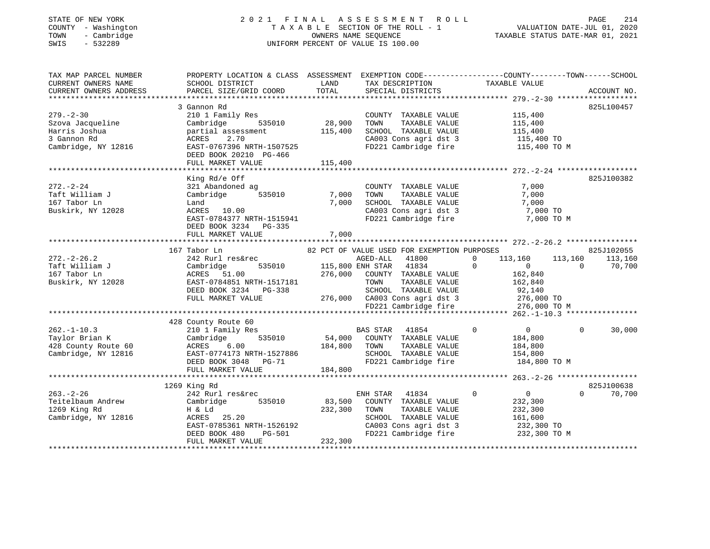## STATE OF NEW YORK 2 0 2 1 F I N A L A S S E S S M E N T R O L L PAGE 214 COUNTY - Washington T A X A B L E SECTION OF THE ROLL - 1 VALUATION DATE-JUL 01, 2020 TOWN - Cambridge OWNERS NAME SEQUENCE TAXABLE STATUS DATE-MAR 01, 2021 SWIS - 532289 UNIFORM PERCENT OF VALUE IS 100.00

| TAX MAP PARCEL NUMBER<br>CURRENT OWNERS NAME<br>CURRENT OWNERS ADDRESS | SCHOOL DISTRICT<br>PARCEL SIZE/GRID COORD           | LAND<br>TOTAL | TAX DESCRIPTION<br>SPECIAL DISTRICTS          | PROPERTY LOCATION & CLASS ASSESSMENT EXEMPTION CODE----------------COUNTY-------TOWN------SCHOOL<br>TAXABLE VALUE                        | ACCOUNT NO.        |
|------------------------------------------------------------------------|-----------------------------------------------------|---------------|-----------------------------------------------|------------------------------------------------------------------------------------------------------------------------------------------|--------------------|
|                                                                        |                                                     |               |                                               |                                                                                                                                          |                    |
| $279. - 2 - 30$                                                        | 3 Gannon Rd<br>210 1 Family Res                     |               | COUNTY TAXABLE VALUE                          | 115,400                                                                                                                                  | 825L100457         |
| Szova Jacqueline                                                       | 535010<br>Cambridge                                 | 28,900        | TAXABLE VALUE<br>TOWN                         | 115,400                                                                                                                                  |                    |
| Harris Joshua                                                          | partial assessment                                  | 115,400       | SCHOOL TAXABLE VALUE                          | 115,400                                                                                                                                  |                    |
| 3 Gannon Rd                                                            | ACRES<br>2.70                                       |               |                                               |                                                                                                                                          |                    |
| Cambridge, NY 12816                                                    | EAST-0767396 NRTH-1507525<br>DEED BOOK 20210 PG-466 |               |                                               | CA003 Cons agri dst 3 115,400 TO<br>FD221 Cambridge fire 115,400 TO M                                                                    |                    |
|                                                                        | FULL MARKET VALUE                                   | 115,400       |                                               |                                                                                                                                          |                    |
|                                                                        |                                                     |               |                                               |                                                                                                                                          |                    |
|                                                                        | King Rd/e Off                                       |               |                                               |                                                                                                                                          | 825J100382         |
| $272. - 2 - 24$                                                        | 321 Abandoned ag                                    |               | COUNTY TAXABLE VALUE                          | 7,000                                                                                                                                    |                    |
| Taft William J                                                         | Cambridge<br>535010                                 | 7,000         | TOWN<br>TAXABLE VALUE                         | 7,000                                                                                                                                    |                    |
| 167 Tabor Ln                                                           | Land                                                | 7,000         | SCHOOL TAXABLE VALUE                          | 7,000                                                                                                                                    |                    |
| Buskirk, NY 12028                                                      | ACRES 10.00                                         |               |                                               | 7,000 TO                                                                                                                                 |                    |
|                                                                        | EAST-0784377 NRTH-1515941<br>DEED BOOK 3234 PG-335  |               | SCHOOL Increased<br>CA003 Cons agri dst 3     | 7,000 TO M                                                                                                                               |                    |
|                                                                        | FULL MARKET VALUE                                   | 7,000         |                                               |                                                                                                                                          |                    |
|                                                                        |                                                     |               |                                               |                                                                                                                                          |                    |
|                                                                        | 167 Tabor Ln                                        |               | 82 PCT OF VALUE USED FOR EXEMPTION PURPOSES   |                                                                                                                                          | 825J102055         |
| $272. - 2 - 26.2$                                                      | 242 Rurl res&rec                                    |               | AGED-ALL<br>41800                             | $\overline{0}$<br>113,160<br>113,160                                                                                                     | 113,160            |
| Taft William J                                                         | Cambridge                                           |               | 535010 115,800 ENH STAR 41834                 | $\overline{0}$<br>$\overline{0}$                                                                                                         | $\Omega$<br>70,700 |
| 167 Tabor Ln                                                           | ACRES 51.00                                         |               | 276,000 COUNTY TAXABLE VALUE                  | 162,840                                                                                                                                  |                    |
| Buskirk, NY 12028                                                      | EAST-0784851 NRTH-1517181                           |               | TOWN<br>TAXABLE VALUE                         | 162,840                                                                                                                                  |                    |
|                                                                        | DEED BOOK 3234 PG-338                               |               |                                               |                                                                                                                                          |                    |
|                                                                        | FULL MARKET VALUE                                   |               |                                               |                                                                                                                                          |                    |
|                                                                        |                                                     |               |                                               | 3-338<br>3-338 276,000 CA003 Cons agri dst 3 276,000 TO<br>276,000 CA003 Cons agri dst 3 276,000 TO<br>FD221 Cambridge fire 276,000 TO M |                    |
|                                                                        |                                                     |               |                                               |                                                                                                                                          |                    |
|                                                                        | 428 County Route 60                                 |               |                                               |                                                                                                                                          |                    |
| $262. - 1 - 10.3$                                                      | 210 1 Family Res                                    |               | BAS STAR<br>41854                             | $\mathbf 0$<br>$\overline{0}$                                                                                                            | $\Omega$<br>30,000 |
| Taylor Brian K                                                         | 535010<br>Cambridge                                 |               | 54,000 COUNTY TAXABLE VALUE                   | 184,800                                                                                                                                  |                    |
| 428 County Route 60                                                    | ACRES<br>6.00                                       | 184,800 TOWN  | TAXABLE VALUE                                 | 184,800                                                                                                                                  |                    |
| Cambridge, NY 12816                                                    | EAST-0774173 NRTH-1527886                           |               | SCHOOL TAXABLE VALUE                          | 154,800                                                                                                                                  |                    |
|                                                                        | LASI-0774173 NRTH-1527886<br>DEED BOOK 3048 PG-71   |               | SCHOOL TAXABLE VALUE<br>FD221 Cambridge fire  | 184,800 TO M                                                                                                                             |                    |
|                                                                        | FULL MARKET VALUE                                   | 184,800       |                                               |                                                                                                                                          |                    |
|                                                                        |                                                     |               |                                               |                                                                                                                                          |                    |
|                                                                        | 1269 King Rd                                        |               |                                               |                                                                                                                                          | 825J100638         |
| $263. - 2 - 26$                                                        | 242 Rurl res&rec                                    |               | ENH STAR 41834                                | $\mathbf 0$<br>$\overline{0}$                                                                                                            | $\Omega$<br>70,700 |
| Teitelbaum Andrew                                                      | Cambridge<br>535010                                 | 83,500        | COUNTY TAXABLE VALUE                          | 232,300                                                                                                                                  |                    |
| 1269 King Rd                                                           | H & Ld                                              | 232,300       | TOWN<br>TAXABLE VALUE                         | 232,300                                                                                                                                  |                    |
| Cambridge, NY 12816                                                    | ACRES 25.20                                         |               | SCHOOL TAXABLE VALUE                          | 161,600                                                                                                                                  |                    |
|                                                                        | EAST-0785361 NRTH-1526192                           |               | CA003 Cons agri dst 3<br>FD221 Cambridge fire | 232,300 TO                                                                                                                               |                    |
|                                                                        | <b>PG-501</b><br>DEED BOOK 480                      |               |                                               | 232,300 TO M                                                                                                                             |                    |
|                                                                        | FULL MARKET VALUE                                   | 232,300       |                                               |                                                                                                                                          |                    |
|                                                                        |                                                     |               |                                               |                                                                                                                                          |                    |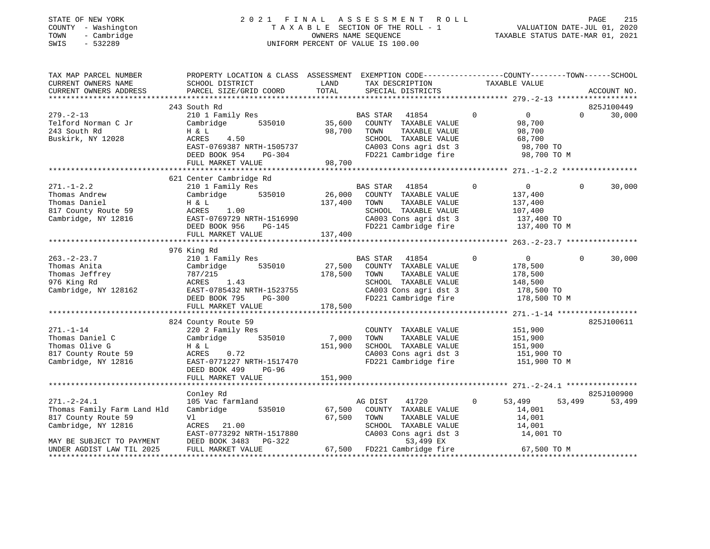#### STATE OF NEW YORK 2 0 2 1 F I N A L A S S E S S M E N T R O L L PAGE 215 COUNTY - Washington T A X A B L E SECTION OF THE ROLL - 1 VALUATION DATE-JUL 01, 2020 TOWN - Cambridge OWNERS NAME SEQUENCE TAXABLE STATUS DATE-MAR 01, 2021 SWIS - 532289 UNIFORM PERCENT OF VALUE IS 100.00UNIFORM PERCENT OF VALUE IS 100.00

| TAX MAP PARCEL NUMBER<br>CURRENT OWNERS NAME<br>CURRENT OWNERS ADDRESS                                                                                   | PROPERTY LOCATION & CLASS ASSESSMENT EXEMPTION CODE---------------COUNTY-------TOWN-----SCHOOL<br>SCHOOL DISTRICT<br><b>LAND</b><br>PARCEL SIZE/GRID COORD               | TOTAL                                         | TAX DESCRIPTION<br>SPECIAL DISTRICTS                                                                                                                                 | TAXABLE VALUE                                                                                                    | ACCOUNT NO.        |
|----------------------------------------------------------------------------------------------------------------------------------------------------------|--------------------------------------------------------------------------------------------------------------------------------------------------------------------------|-----------------------------------------------|----------------------------------------------------------------------------------------------------------------------------------------------------------------------|------------------------------------------------------------------------------------------------------------------|--------------------|
|                                                                                                                                                          |                                                                                                                                                                          |                                               |                                                                                                                                                                      |                                                                                                                  | 825J100449         |
| $279. - 2 - 13$<br>Telford Norman C Jr<br>243 South Rd<br>Buskirk, NY 12028                                                                              | 243 South Rd<br>210 1 Family Res<br>Cambridge<br>H & L<br>ACRES<br>4.50<br>EAST-0769387 NRTH-1505737<br>DEED BOOK 954<br>FULL MARKET VALUE                               | 535010 35,600<br>98,700<br>$PG-304$<br>98,700 | BAS STAR 41854<br>COUNTY TAXABLE VALUE<br>TAXABLE VALUE<br>TOWN<br>SCHOOL TAXABLE VALUE<br>CA003 Cons agri dst 3<br>FD221 Cambridge fire                             | $\overline{0}$<br>$\overline{0}$<br>98,700<br>98,700<br>68,700<br>98,700 TO<br>98,700 TO M                       | $\Omega$<br>30,000 |
|                                                                                                                                                          |                                                                                                                                                                          |                                               |                                                                                                                                                                      |                                                                                                                  |                    |
| $271. - 1 - 2.2$<br>Thomas Andrew<br>Thomas Daniel<br>Thomas Danier<br>817 County Route 59                                                               | 621 Center Cambridge Rd<br>210 1 Family Res<br>Cambridge 535010<br>H & L<br>1.00<br>ACRES<br>EAST-0769729 NRTH-1516990<br>$PG-145$<br>DEED BOOK 956<br>FULL MARKET VALUE | 137,400<br>137,400                            | BAS STAR 41854<br>26,000 COUNTY TAXABLE VALUE<br>TOWN<br>TAXABLE VALUE<br>SCHOOL TAXABLE VALUE<br>CA003 Cons agri dst 3<br>FD221 Cambridge fire                      | $\overline{0}$<br>$\overline{0}$<br>137,400<br>137,400<br>107,400<br>$107, 100$ TO $137, 400$ TO<br>137,400 TO M | 30,000<br>$\Omega$ |
|                                                                                                                                                          |                                                                                                                                                                          |                                               |                                                                                                                                                                      |                                                                                                                  |                    |
| $263. - 2 - 23.7$<br>Thomas Anita<br>Thomas Jeffrey<br>976 King Rd<br>Cambridge, NY 128162                                                               | 976 King Rd<br>210 1 Family Res<br>Cambridge 535010<br>$ACRES$ 1.43<br>EAST-0785432 NRTH-1523755<br>DEED BOOK 795<br>PG-300<br>FULL MARKET VALUE                         | 178,500<br>178,500                            | <b>BAS STAR</b><br>41854<br>27,500 COUNTY TAXABLE VALUE<br>TOWN<br>TAXABLE VALUE<br>SCHOOL TAXABLE VALUE<br>CA003 Cons agri dst 3 178,500 TO<br>FD221 Cambridge fire | $\Omega$<br>$\overline{0}$<br>178,500<br>178,500<br>148,500<br>178,500 TO M                                      | $\Omega$<br>30,000 |
|                                                                                                                                                          |                                                                                                                                                                          |                                               |                                                                                                                                                                      |                                                                                                                  | 825J100611         |
| $271. - 1 - 14$<br>Thomas Daniel C<br>Thomas Olive G<br>817 County Route 59<br>Cambridge, NY 12816                                                       | 824 County Route 59<br>220 2 Family Res<br>Cambridge 535010<br>H & L<br>0.72<br>ACRES<br>EAST-0771227 NRTH-1517470<br>DEED BOOK 499<br>PG-96                             | 7,000<br>151,900                              | COUNTY TAXABLE VALUE<br>TAXABLE VALUE<br>TOWN<br>SCHOOL TAXABLE VALUE 151,900<br>CA003 Cons agri dst 3 151,900 TO<br>FD221 Cambridge fire 151,900 TO M               | 151,900<br>151,900                                                                                               |                    |
|                                                                                                                                                          | FULL MARKET VALUE                                                                                                                                                        | 151,900                                       |                                                                                                                                                                      |                                                                                                                  |                    |
|                                                                                                                                                          | Conley Rd                                                                                                                                                                |                                               |                                                                                                                                                                      |                                                                                                                  | 825J100900         |
| $271. - 2 - 24.1$<br>Thomas Family Farm Land Hld<br>817 County Route 59<br>Cambridge, NY 12816<br>MAY BE SUBJECT TO PAYMENT<br>UNDER AGDIST LAW TIL 2025 | 105 Vac farmland<br>Cambridge<br>535010<br>Vl<br>ACRES 21.00<br>EAST-0773292 NRTH-1517880<br>DEED BOOK 3483 PG-322<br>FULL MARKET VALUE                                  | 67,500<br>67,500                              | 41720<br>AG DIST<br>COUNTY TAXABLE VALUE<br>TOWN      TAXABLE VALUE<br>SCHOOL   TAXABLE VALUE<br>CA003 Cons agri dst 3<br>53,499 EX<br>67,500 FD221 Cambridge fire   | $\circ$<br>53,499<br>14,001<br>14,001<br>14,001<br>14,001 TO<br>67,500 TO M                                      | 53,499<br>53,499   |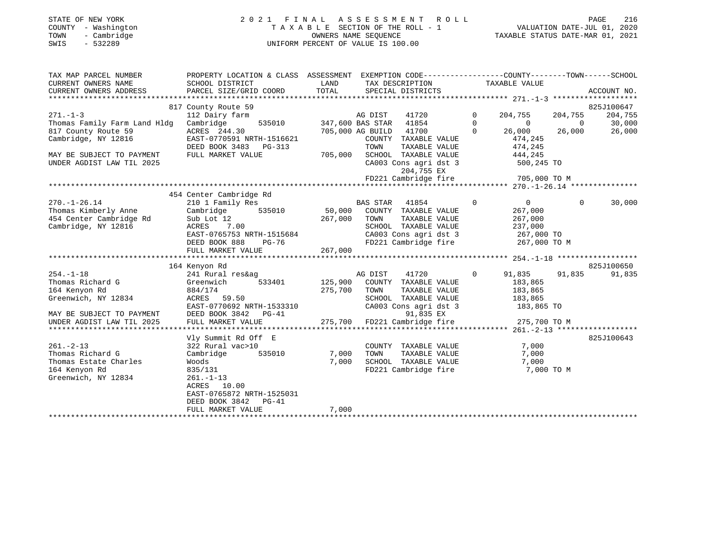## STATE OF NEW YORK 2 0 2 1 F I N A L A S S E S S M E N T R O L L PAGE 216 COUNTY - Washington T A X A B L E SECTION OF THE ROLL - 1 VALUATION DATE-JUL 01, 2020 TOWN - Cambridge OWNERS NAME SEQUENCE TAXABLE STATUS DATE-MAR 01, 2021 SWIS - 532289 UNIFORM PERCENT OF VALUE IS 100.00

| TAX MAP PARCEL NUMBER<br>CURRENT OWNERS NAME<br>CURRENT OWNERS ADDRESS | PROPERTY LOCATION & CLASS ASSESSMENT<br>SCHOOL DISTRICT<br>PARCEL SIZE/GRID COORD | LAND<br>TOTAL | EXEMPTION CODE-----------------COUNTY-------TOWN------SCHOOL<br>TAX DESCRIPTION<br>SPECIAL DISTRICTS |             | TAXABLE VALUE  |             | ACCOUNT NO. |
|------------------------------------------------------------------------|-----------------------------------------------------------------------------------|---------------|------------------------------------------------------------------------------------------------------|-------------|----------------|-------------|-------------|
|                                                                        | 817 County Route 59                                                               |               |                                                                                                      |             |                |             | 825J100647  |
| $271. - 1 - 3$                                                         | 112 Dairy farm                                                                    |               | 41720<br>AG DIST                                                                                     | $\mathbf 0$ | 204,755        | 204,755     | 204,755     |
| Thomas Family Farm Land Hldg                                           | 535010<br>Cambridge                                                               |               | 347,600 BAS STAR 41854                                                                               | $\Omega$    | $\overline{0}$ | $\Omega$    | 30,000      |
| 817 County Route 59                                                    | ACRES 244.30                                                                      |               | 41700<br>705,000 AG BUILD                                                                            | $\Omega$    | 26,000         | 26,000      | 26,000      |
| Cambridge, NY 12816                                                    | EAST-0770591 NRTH-1516621                                                         |               | COUNTY TAXABLE VALUE                                                                                 |             | 474,245        |             |             |
|                                                                        | DEED BOOK 3483 PG-313                                                             |               | TOWN<br>TAXABLE VALUE                                                                                |             | 474,245        |             |             |
| MAY BE SUBJECT TO PAYMENT                                              | FULL MARKET VALUE                                                                 | 705,000       | SCHOOL TAXABLE VALUE                                                                                 |             | 444,245        |             |             |
| UNDER AGDIST LAW TIL 2025                                              |                                                                                   |               | CA003 Cons agri dst 3                                                                                |             | 500,245 TO     |             |             |
|                                                                        |                                                                                   |               | 204,755 EX                                                                                           |             |                |             |             |
|                                                                        |                                                                                   |               | FD221 Cambridge fire                                                                                 |             | 705,000 TO M   |             |             |
|                                                                        |                                                                                   |               |                                                                                                      |             |                |             |             |
|                                                                        | 454 Center Cambridge Rd                                                           |               |                                                                                                      |             |                |             |             |
| $270. - 1 - 26.14$                                                     | 210 1 Family Res                                                                  |               | <b>BAS STAR</b><br>41854                                                                             | $\mathbf 0$ | $\overline{0}$ | $\mathbf 0$ | 30,000      |
| Thomas Kimberly Anne                                                   | 535010<br>Cambridge                                                               | 50,000        | COUNTY TAXABLE VALUE                                                                                 |             | 267,000        |             |             |
| 454 Center Cambridge Rd                                                | Sub Lot 12                                                                        | 267,000       | TOWN<br>TAXABLE VALUE                                                                                |             | 267,000        |             |             |
| Cambridge, NY 12816                                                    | ACRES<br>7.00                                                                     |               | SCHOOL TAXABLE VALUE                                                                                 |             | 237,000        |             |             |
|                                                                        | EAST-0765753 NRTH-1515684                                                         |               | CA003 Cons agri dst 3                                                                                |             | 267,000 TO     |             |             |
|                                                                        | DEED BOOK 888<br>$PG-76$                                                          |               | FD221 Cambridge fire                                                                                 |             | 267,000 TO M   |             |             |
|                                                                        | FULL MARKET VALUE                                                                 | 267,000       |                                                                                                      |             |                |             |             |
|                                                                        |                                                                                   |               |                                                                                                      |             |                |             |             |
|                                                                        | 164 Kenyon Rd                                                                     |               |                                                                                                      |             |                |             | 825J100650  |
| $254. - 1 - 18$                                                        | 241 Rural res&ag                                                                  |               | AG DIST<br>41720                                                                                     | $\mathbf 0$ | 91,835         | 91,835      | 91,835      |
| Thomas Richard G                                                       | 533401<br>Greenwich                                                               | 125,900       | COUNTY TAXABLE VALUE                                                                                 |             | 183,865        |             |             |
| 164 Kenyon Rd                                                          | 884/174                                                                           | 275,700       | TOWN<br>TAXABLE VALUE                                                                                |             | 183,865        |             |             |
| Greenwich, NY 12834                                                    | ACRES 59.50                                                                       |               | SCHOOL TAXABLE VALUE                                                                                 |             | 183,865        |             |             |
|                                                                        | EAST-0770692 NRTH-1533310                                                         |               | CA003 Cons agri dst 3                                                                                |             | 183,865 TO     |             |             |
| MAY BE SUBJECT TO PAYMENT                                              | DEED BOOK 3842 PG-41                                                              |               | 91,835 EX                                                                                            |             |                |             |             |
| UNDER AGDIST LAW TIL 2025                                              | FULL MARKET VALUE                                                                 |               | 275,700 FD221 Cambridge fire                                                                         |             | 275,700 TO M   |             |             |
|                                                                        |                                                                                   |               |                                                                                                      |             |                |             |             |
|                                                                        | Vly Summit Rd Off E                                                               |               |                                                                                                      |             |                |             | 825J100643  |
| $261. - 2 - 13$                                                        | 322 Rural vac>10                                                                  |               | COUNTY TAXABLE VALUE                                                                                 |             | 7,000          |             |             |
| Thomas Richard G                                                       | 535010<br>Cambridge                                                               | 7,000         | TOWN<br>TAXABLE VALUE                                                                                |             | 7,000          |             |             |
| Thomas Estate Charles                                                  | Woods                                                                             | 7,000         | SCHOOL TAXABLE VALUE                                                                                 |             | 7,000          |             |             |
| 164 Kenyon Rd                                                          | 835/131                                                                           |               | FD221 Cambridge fire                                                                                 |             | 7,000 TO M     |             |             |
| Greenwich, NY 12834                                                    | $261. -1 - 13$<br>ACRES 10.00                                                     |               |                                                                                                      |             |                |             |             |
|                                                                        | EAST-0765872 NRTH-1525031                                                         |               |                                                                                                      |             |                |             |             |
|                                                                        | DEED BOOK 3842<br>$PG-41$                                                         |               |                                                                                                      |             |                |             |             |
|                                                                        | FULL MARKET VALUE                                                                 | 7,000         |                                                                                                      |             |                |             |             |
|                                                                        |                                                                                   |               |                                                                                                      |             |                |             |             |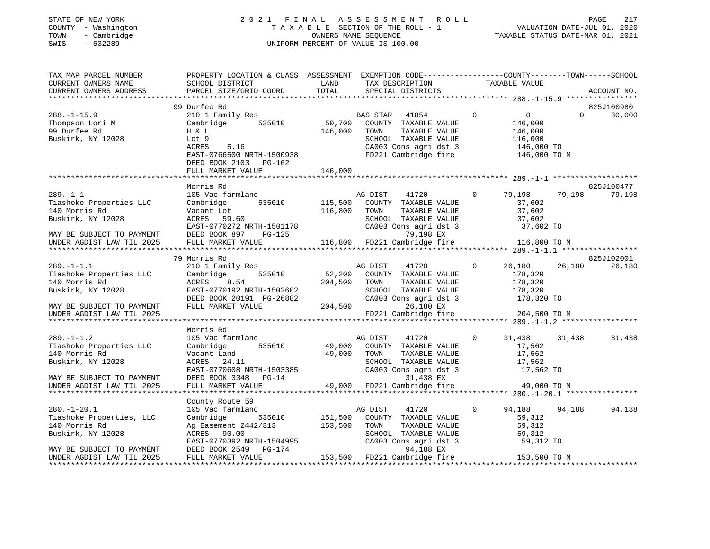## STATE OF NEW YORK 2 0 2 1 F I N A L A S S E S S M E N T R O L L PAGE 217 COUNTY - Washington T A X A B L E SECTION OF THE ROLL - 1 VALUATION DATE-JUL 01, 2020 TOWN - Cambridge OWNERS NAME SEQUENCE TAXABLE STATUS DATE-MAR 01, 2021 TOWN - Cambridge - TOWN - Cambridge - TOWN - Cambridge - TOWN - Cambridge - TOWN - Cambridge - TOWNERS NAME SEQUENCE

TAX MAP PARCEL NUMBER PROPERTY LOCATION & CLASS ASSESSMENT EXEMPTION CODE------------------COUNTY--------TOWN------SCHOOL

| CURRENT OWNERS NAME       | SCHOOL DISTRICT           | LAND    | TAX DESCRIPTION              |              | TAXABLE VALUE              |                    |
|---------------------------|---------------------------|---------|------------------------------|--------------|----------------------------|--------------------|
| CURRENT OWNERS ADDRESS    | PARCEL SIZE/GRID COORD    | TOTAL   | SPECIAL DISTRICTS            |              |                            | ACCOUNT NO         |
|                           |                           |         |                              |              |                            |                    |
|                           | 99 Durfee Rd              |         |                              |              |                            | 825J100980         |
| $288. - 1 - 15.9$         | 210 1 Family Res          |         | BAS STAR<br>41854            | $\mathbf{0}$ | $\overline{0}$             | $\Omega$<br>30,000 |
| Thompson Lori M           | 535010<br>Cambridge       | 50,700  | COUNTY TAXABLE VALUE         |              | 146,000                    |                    |
| 99 Durfee Rd              | H & L                     | 146,000 | TOWN<br>TAXABLE VALUE        |              | 146,000                    |                    |
| Buskirk, NY 12028         | Lot 9                     |         | SCHOOL TAXABLE VALUE         |              |                            |                    |
|                           | 5.16<br>ACRES             |         | CA003 Cons agri dst 3        |              | $110,000$ TO<br>146,000 TO |                    |
|                           | EAST-0766500 NRTH-1500938 |         | FD221 Cambridge fire         |              | 146,000 TO M               |                    |
|                           | DEED BOOK 2103 PG-162     |         |                              |              |                            |                    |
|                           | FULL MARKET VALUE         | 146,000 |                              |              |                            |                    |
|                           |                           |         |                              |              |                            |                    |
|                           | Morris Rd                 |         |                              |              |                            | 825J100477         |
| $289. - 1 - 1$            | 105 Vac farmland          |         | AG DIST<br>41720             | $\circ$      | 79,198<br>79,198           | 79,198             |
| Tiashoke Properties LLC   | 535010<br>Cambridge       | 115,500 | COUNTY TAXABLE VALUE         |              | 37,602                     |                    |
| 140 Morris Rd             | Vacant Lot                | 116,800 | TAXABLE VALUE<br>TOWN        |              | 37,602                     |                    |
| Buskirk, NY 12028         | ACRES 59.60               |         | SCHOOL TAXABLE VALUE         |              | 37,602                     |                    |
|                           | EAST-0770272 NRTH-1501178 |         | CA003 Cons agri dst 3        |              | 37,602 TO                  |                    |
| MAY BE SUBJECT TO PAYMENT | DEED BOOK 897<br>$PG-125$ |         | 79,198 EX                    |              |                            |                    |
|                           |                           |         |                              |              |                            |                    |
|                           |                           |         |                              |              |                            |                    |
|                           |                           |         |                              |              |                            |                    |
|                           | 79 Morris Rd              |         |                              |              |                            | 825J102001         |
| $289. - 1 - 1.1$          | 210 1 Family Res          |         | AG DIST<br>41720             | $\Omega$     | 26,180<br>26,180           | 26,180             |
| Tiashoke Properties LLC   | 535010<br>Cambridge       | 52,200  | COUNTY TAXABLE VALUE         |              | 178,320                    |                    |
| 140 Morris Rd             | ACRES<br>8.54             | 204,500 | TAXABLE VALUE<br>TOWN        |              | 178,320                    |                    |
| Buskirk, NY 12028         | EAST-0770192 NRTH-1502602 |         | SCHOOL TAXABLE VALUE         |              | 178,320                    |                    |
|                           | DEED BOOK 20191 PG-26882  |         | CA003 Cons agri dst 3        |              | 178,320 TO                 |                    |
| MAY BE SUBJECT TO PAYMENT | FULL MARKET VALUE         | 204,500 | 26,180 EX                    |              |                            |                    |
| UNDER AGDIST LAW TIL 2025 |                           |         | FD221 Cambridge fire         |              | 204,500 TO M               |                    |
|                           |                           |         |                              |              |                            |                    |
|                           | Morris Rd                 |         |                              |              |                            |                    |
| $289. - 1 - 1.2$          | 105 Vac farmland          |         | AG DIST<br>41720             | $\Omega$     | 31,438<br>31,438           | 31,438             |
| Tiashoke Properties LLC   | 535010<br>Cambridge       | 49,000  | COUNTY TAXABLE VALUE         |              | 17,562                     |                    |
| 140 Morris Rd             | Vacant Land               | 49,000  | TOWN<br>TAXABLE VALUE        |              | 17,562                     |                    |
| Buskirk, NY 12028         | ACRES 24.11               |         | SCHOOL TAXABLE VALUE         |              | 17,562                     |                    |
|                           | EAST-0770608 NRTH-1503385 |         | CA003 Cons agri dst 3        |              | 17,562 TO                  |                    |
| MAY BE SUBJECT TO PAYMENT | DEED BOOK 3348 PG-14      |         | 31,438 EX                    |              |                            |                    |
| UNDER AGDIST LAW TIL 2025 | FULL MARKET VALUE         |         | 49,000 FD221 Cambridge fire  |              | 49,000 TO M                |                    |
|                           |                           |         |                              |              |                            |                    |
|                           | County Route 59           |         |                              |              |                            |                    |
| $280. - 1 - 20.1$         | 105 Vac farmland          |         | AG DIST<br>41720             | $\circ$      | 94,188<br>94,188           | 94,188             |
| Tiashoke Properties, LLC  | Cambridge<br>535010       | 151,500 | COUNTY TAXABLE VALUE         |              | 59,312                     |                    |
| 140 Morris Rd             | Ag Easement 2442/313      | 153,500 | TOWN<br>TAXABLE VALUE        |              | 59,312                     |                    |
| Buskirk, NY 12028         | ACRES 90.00               |         | SCHOOL TAXABLE VALUE         |              | 59,312                     |                    |
|                           | EAST-0770392 NRTH-1504995 |         | CA003 Cons agri dst 3        |              | 59,312 TO                  |                    |
| MAY BE SUBJECT TO PAYMENT | DEED BOOK 2549 PG-174     |         | 94,188 EX                    |              |                            |                    |
| UNDER AGDIST LAW TIL 2025 | FULL MARKET VALUE         |         | 153,500 FD221 Cambridge fire |              | 153,500 TO M               |                    |
|                           |                           |         |                              |              |                            |                    |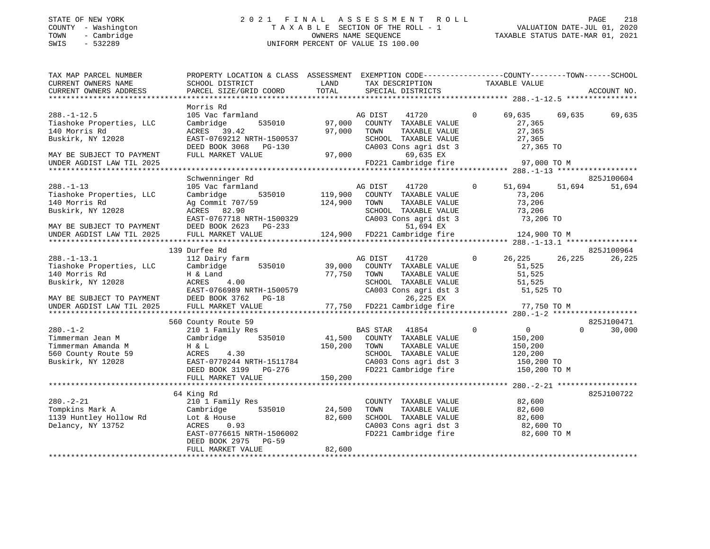## STATE OF NEW YORK 2 0 2 1 F I N A L A S S E S S M E N T R O L L PAGE 218 COUNTY - Washington T A X A B L E SECTION OF THE ROLL - 1 VALUATION DATE-JUL 01, 2020 TOWN - Cambridge OWNERS NAME SEQUENCE TAXABLE STATUS DATE-MAR 01, 2021 SWIS - 532289 UNIFORM PERCENT OF VALUE IS 100.00

| TAX MAP PARCEL NUMBER<br>CURRENT OWNERS NAME<br>CURRENT OWNERS ADDRESS                                                                        | PROPERTY LOCATION & CLASS ASSESSMENT EXEMPTION CODE---------------COUNTY-------TOWN-----SCHOOL<br>SCHOOL DISTRICT<br>PARCEL SIZE/GRID COORD                                 | LAND<br>TOTAL              | TAX DESCRIPTION<br>SPECIAL DISTRICTS<br>SPECIAL DISTRICTS                                                                                                       |                                                                                            | ACCOUNT NO.                      |
|-----------------------------------------------------------------------------------------------------------------------------------------------|-----------------------------------------------------------------------------------------------------------------------------------------------------------------------------|----------------------------|-----------------------------------------------------------------------------------------------------------------------------------------------------------------|--------------------------------------------------------------------------------------------|----------------------------------|
| $288. - 1 - 12.5$<br>Tiashoke Properties, LLC<br>140 Morris Rd<br>Buskirk, NY 12028<br>MAY BE SUBJECT TO PAYMENT<br>UNDER AGDIST LAW TIL 2025 | Morris Rd<br>105 Vac farmland<br>Cambridge<br>535010<br>ACRES 39.42<br>EAST-0769212 NRTH-1500537<br>DEED BOOK 3068 PG-130<br>FULL MARKET VALUE                              | 97,000<br>97,000<br>97,000 | AG DIST<br>41720<br>COUNTY TAXABLE VALUE<br>TOWN<br>TAXABLE VALUE<br>SCHOOL TAXABLE VALUE<br>CA003 Cons agri dst 3<br>69,635 EX<br>FD221 Cambridge fire         | $\overline{0}$<br>69,635<br>27,365<br>27,365<br>27,365<br>27,365 TO<br>97,000 TO M         | 69,635<br>69,635                 |
|                                                                                                                                               |                                                                                                                                                                             |                            |                                                                                                                                                                 |                                                                                            |                                  |
| $288. - 1 - 13$<br>Tiashoke Properties, LLC<br>140 Morris Rd<br>Buskirk, NY 12028<br>MAY BE SUBJECT TO PAYMENT<br>UNDER AGDIST LAW TIL 2025   | Schwenninger Rd<br>105 Vac farmland<br>Cambridge<br>535010<br>Ag Commit 707/59<br>ACRES 82.90<br>EAST-0767718 NRTH-1500329<br>DEED BOOK 2623<br>PG-233<br>FULL MARKET VALUE | 119,900<br>124,900         | 41720<br>AG DIST<br>COUNTY TAXABLE VALUE<br>TOWN<br>TAXABLE VALUE<br>SCHOOL TAXABLE VALUE<br>CA003 Cons agri dst 3<br>51,694 EX<br>124,900 FD221 Cambridge fire | $\overline{0}$<br>51,694 51,694<br>73,206<br>73,206<br>73,206<br>73,206 TO<br>124,900 TO M | 825J100604<br>51,694             |
|                                                                                                                                               |                                                                                                                                                                             |                            |                                                                                                                                                                 |                                                                                            |                                  |
|                                                                                                                                               | 139 Durfee Rd                                                                                                                                                               |                            |                                                                                                                                                                 |                                                                                            | 825J100964                       |
| $288. - 1 - 13.1$<br>Tiashoke Properties, LLC<br>140 Morris Rd<br>Buskirk, NY 12028                                                           | 112 Dairy farm<br>535010<br>Cambridge<br>H & Land<br>ACRES<br>4.00<br>EAST-0766989 NRTH-1500579<br>DEED BOOK 3762 PG-18                                                     | 39,000<br>77,750           | AG DIST<br>41720<br>COUNTY TAXABLE VALUE<br>TOWN<br>TAXABLE VALUE<br>SCHOOL TAXABLE VALUE<br>CA003 Cons agri dst 3<br>26,225 EX                                 | $\overline{0}$<br>26,225<br>51,525<br>51,525<br>51,525<br>51,525 TO                        | 26,225<br>26,225                 |
| MAY BE SUBJECT TO PAYMENT<br>UNDER AGDIST LAW TIL 2025                                                                                        | FULL MARKET VALUE                                                                                                                                                           |                            | 77,750 FD221 Cambridge fire                                                                                                                                     | 77,750 TO M                                                                                |                                  |
|                                                                                                                                               |                                                                                                                                                                             |                            |                                                                                                                                                                 |                                                                                            |                                  |
| $280. - 1 - 2$<br>Timmerman Jean M<br>Timmerman Amanda M<br>560 County Route 59<br>Buskirk, NY 12028                                          | 560 County Route 59<br>210 1 Family Res<br>535010<br>Cambridge<br>H & L<br>ACRES<br>4.30<br>EAST-0770244 NRTH-1511784<br>DEED BOOK 3199 PG-276                              | 41,500<br>150,200          | <b>BAS STAR</b><br>41854<br>COUNTY TAXABLE VALUE<br>TOWN<br>TAXABLE VALUE<br>SCHOOL TAXABLE VALUE<br>CA003 Cons agri dst 3<br>FD221 Cambridge fire              | $\overline{0}$<br>$\circ$<br>150,200<br>150,200<br>120,200<br>150,200 TO<br>150,200 TO M   | 825J100471<br>$\Omega$<br>30,000 |
|                                                                                                                                               | FULL MARKET VALUE                                                                                                                                                           | 150,200                    |                                                                                                                                                                 |                                                                                            |                                  |
| $280. - 2 - 21$<br>Tompkins Mark A<br>1139 Huntley Hollow Rd                                                                                  | 64 King Rd<br>210 1 Family Res<br>535010<br>Cambridge<br>Lot & House                                                                                                        | 24,500<br>82,600           | COUNTY TAXABLE VALUE<br>TOWN<br>TAXABLE VALUE<br>SCHOOL TAXABLE VALUE                                                                                           | 82,600<br>82,600<br>82,600                                                                 | 825J100722                       |
| Delancy, NY 13752                                                                                                                             | ACRES<br>0.93<br>EAST-0776615 NRTH-1506002<br>DEED BOOK 2975<br>$PG-59$<br>FULL MARKET VALUE                                                                                | 82,600                     | FD221 Cambridge fire                                                                                                                                            | 82,600 TO M                                                                                |                                  |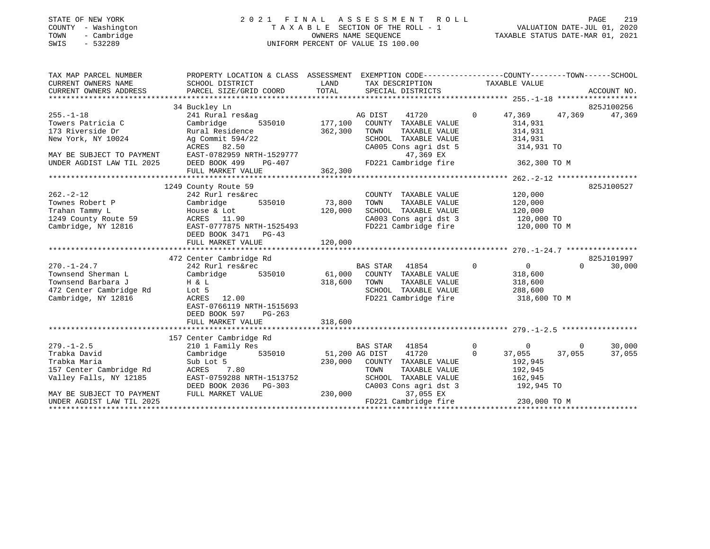## STATE OF NEW YORK 2 0 2 1 F I N A L A S S E S S M E N T R O L L PAGE 219 COUNTY - Washington T A X A B L E SECTION OF THE ROLL - 1 VALUATION DATE-JUL 01, 2020 TOWN - Cambridge OWNERS NAME SEQUENCE TAXABLE STATUS DATE-MAR 01, 2021 SWIS - 532289 UNIFORM PERCENT OF VALUE IS 100.00

| TAX MAP PARCEL NUMBER                                             | PROPERTY LOCATION & CLASS ASSESSMENT EXEMPTION CODE---------------COUNTY-------TOWN-----SCHOOL                                                                                                                                                                                                                                                                                            |              |                                                                                                  |                                       |                    |
|-------------------------------------------------------------------|-------------------------------------------------------------------------------------------------------------------------------------------------------------------------------------------------------------------------------------------------------------------------------------------------------------------------------------------------------------------------------------------|--------------|--------------------------------------------------------------------------------------------------|---------------------------------------|--------------------|
| CURRENT OWNERS NAME                                               | SCHOOL DISTRICT                                                                                                                                                                                                                                                                                                                                                                           | LAND         | TAX DESCRIPTION TAXABLE VALUE                                                                    |                                       |                    |
|                                                                   |                                                                                                                                                                                                                                                                                                                                                                                           |              |                                                                                                  |                                       |                    |
|                                                                   |                                                                                                                                                                                                                                                                                                                                                                                           |              |                                                                                                  |                                       |                    |
|                                                                   | 34 Buckley Ln                                                                                                                                                                                                                                                                                                                                                                             |              |                                                                                                  |                                       | 825J100256         |
| $255. - 1 - 18$                                                   |                                                                                                                                                                                                                                                                                                                                                                                           |              |                                                                                                  | 0 $47,369$ $47,369$ $47,369$ $47,369$ |                    |
| Towers Patricia C                                                 | $\begin{tabular}{lllllllllll} \bf 241\hspace{0.8cm}Rural\hspace{0.8cm}res\&ag & \tt AG\hspace{0.8cm}DIST & 41720 \\ \bf Cambridge & 535010 & 177,100 & \tt COUNTY & TAXABLE\hspace{0.8cm}VALUE \\ \end{tabular}$                                                                                                                                                                          |              |                                                                                                  | 314,931                               |                    |
|                                                                   | 173 Riverside Dr<br>New York, NY 10024 10024 Ag Commit 594/22 10024 5000 20100                                                                                                                                                                                                                                                                                                            |              | TAXABLE VALUE                                                                                    | 314,931<br>314,931                    |                    |
| New York, NY 10024                                                | Ag Commit 594/22                                                                                                                                                                                                                                                                                                                                                                          |              | SCHOOL TAXABLE VALUE 314,931<br>CA005 Cons agri dst 5 314,931 TO                                 |                                       |                    |
|                                                                   | ACRES 82.50                                                                                                                                                                                                                                                                                                                                                                               |              |                                                                                                  |                                       |                    |
|                                                                   | MAY BE SUBJECT TO PAYMENT EAST-0782959 NRTH-1529777                                                                                                                                                                                                                                                                                                                                       |              | 47,369 EX                                                                                        |                                       |                    |
|                                                                   |                                                                                                                                                                                                                                                                                                                                                                                           |              | FD221 Cambridge fire 362,300 TO M                                                                |                                       |                    |
|                                                                   |                                                                                                                                                                                                                                                                                                                                                                                           |              |                                                                                                  |                                       |                    |
|                                                                   |                                                                                                                                                                                                                                                                                                                                                                                           |              |                                                                                                  |                                       |                    |
|                                                                   | 1249 County Route 59                                                                                                                                                                                                                                                                                                                                                                      |              |                                                                                                  |                                       | 825J100527         |
|                                                                   |                                                                                                                                                                                                                                                                                                                                                                                           |              | COUNTY TAXABLE VALUE $120,000$<br>TOWN TAXABLE VALUE $120,000$<br>SCHOOL TAXABLE VALUE $120,000$ |                                       |                    |
|                                                                   |                                                                                                                                                                                                                                                                                                                                                                                           |              |                                                                                                  |                                       |                    |
|                                                                   | 1991 - 12<br>Townes Robert P<br>Trahan Tammy L<br>120,000<br>1249 County Route 59<br>1249 County Route 59<br>1249 County Route 59<br>126 ACRES<br>11.90<br>Trahan Tammy L<br>1249 County Route 59 (1.90 ACRES 11.90 (2016)<br>Cambridge, NY 12816 (2017 EAST-0777875 NRTH-1525493                                                                                                         |              |                                                                                                  |                                       |                    |
|                                                                   |                                                                                                                                                                                                                                                                                                                                                                                           |              | CA003 Cons agri dst 3 120,000 TO                                                                 |                                       |                    |
|                                                                   |                                                                                                                                                                                                                                                                                                                                                                                           |              | FD221 Cambridge fire 120,000 TO M                                                                |                                       |                    |
|                                                                   | DEED BOOK 3471 PG-43                                                                                                                                                                                                                                                                                                                                                                      |              |                                                                                                  |                                       |                    |
|                                                                   | FULL MARKET VALUE                                                                                                                                                                                                                                                                                                                                                                         | 120,000      |                                                                                                  |                                       |                    |
|                                                                   |                                                                                                                                                                                                                                                                                                                                                                                           |              |                                                                                                  |                                       |                    |
|                                                                   | 472 Center Cambridge Rd                                                                                                                                                                                                                                                                                                                                                                   |              |                                                                                                  |                                       | 825J101997         |
|                                                                   |                                                                                                                                                                                                                                                                                                                                                                                           |              |                                                                                                  |                                       | 30,000<br>$\Omega$ |
|                                                                   |                                                                                                                                                                                                                                                                                                                                                                                           |              |                                                                                                  |                                       |                    |
| Townsend Barbara J                                                | H & L<br>Lot 5<br>ACRES 12.00                                                                                                                                                                                                                                                                                                                                                             | 318,600 TOWN | TAXABLE VALUE 318,600                                                                            |                                       |                    |
| 472 Center Cambridge Rd Lot 5                                     |                                                                                                                                                                                                                                                                                                                                                                                           |              | SCHOOL TAXABLE VALUE 288,600                                                                     |                                       |                    |
| Cambridge, NY 12816                                               |                                                                                                                                                                                                                                                                                                                                                                                           |              | FD221 Cambridge fire                                                                             | 318,600 TO M                          |                    |
|                                                                   | EAST-0766119 NRTH-1515693                                                                                                                                                                                                                                                                                                                                                                 |              |                                                                                                  |                                       |                    |
|                                                                   | DEED BOOK 597 PG-263                                                                                                                                                                                                                                                                                                                                                                      |              |                                                                                                  |                                       |                    |
|                                                                   |                                                                                                                                                                                                                                                                                                                                                                                           |              |                                                                                                  |                                       |                    |
|                                                                   |                                                                                                                                                                                                                                                                                                                                                                                           |              |                                                                                                  |                                       |                    |
| $279. - 1 - 2.5$                                                  | 157 Center Cambridge Rd<br>210 1 Family Res                                                                                                                                                                                                                                                                                                                                               |              | BAS STAR 41854 0 0 0 0                                                                           |                                       | 30,000             |
| Trabka David                                                      | Cambridge 535010 51,200 AG DIST 41720 0                                                                                                                                                                                                                                                                                                                                                   |              |                                                                                                  | 37,055 37,055                         | 37,055             |
| Trabka Maria                                                      |                                                                                                                                                                                                                                                                                                                                                                                           |              |                                                                                                  |                                       |                    |
| ırapka Marıa<br>157 Center Cambridge Rd<br>Valley Falls, NY 12185 | $\begin{array}{lllllllllllllll} \text{Sub} & \text{Let} & \text{S} & \text{192,945} \\ \text{ACRES} & 7.80 & & 230,000 & \text{COUNTY} & \text{TAXABLE} & \text{VALUE} & & 192,945 \\ \text{ACRES} & 7.80 & & \text{TOWN} & \text{TAXABLE} & \text{VALUE} & & 192,945 \\ \text{EAST-0759288 NRTH-1513752} & & & \text{SCHOOL} & \text{TAXABLE} & \text{VALUE} & & 162,945 \\ \end{array}$ |              |                                                                                                  |                                       |                    |
|                                                                   |                                                                                                                                                                                                                                                                                                                                                                                           |              |                                                                                                  |                                       |                    |
|                                                                   |                                                                                                                                                                                                                                                                                                                                                                                           |              | CA003 Cons agri dst 3 192,945 TO                                                                 |                                       |                    |
| MAY BE SUBJECT TO PAYMENT                                         | DEED BOOK 2036 PG-303<br>FULL MARKET VALUE 230,000                                                                                                                                                                                                                                                                                                                                        |              | 37,055 EX                                                                                        |                                       |                    |
| UNDER AGDIST LAW TIL 2025                                         |                                                                                                                                                                                                                                                                                                                                                                                           |              | FD221 Cambridge fire 230,000 TO M                                                                |                                       |                    |
|                                                                   |                                                                                                                                                                                                                                                                                                                                                                                           |              |                                                                                                  |                                       |                    |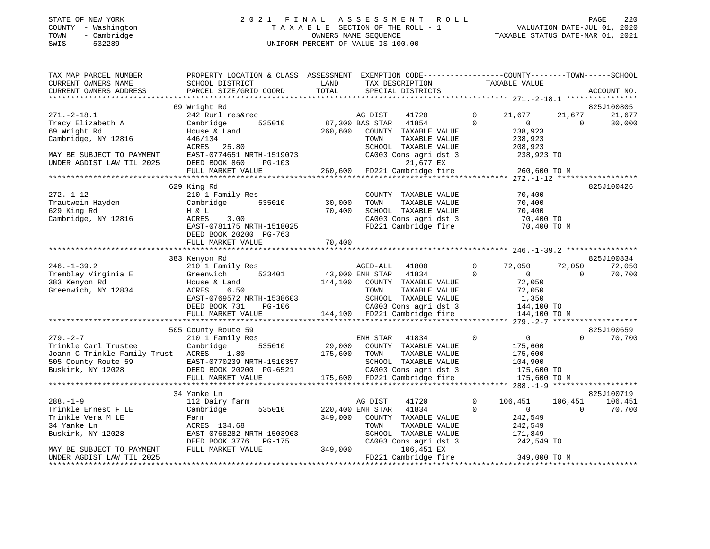#### STATE OF NEW YORK 2 0 2 1 F I N A L A S S E S S M E N T R O L L PAGE 220 COUNTY - Washington T A X A B L E SECTION OF THE ROLL - 1 VALUATION DATE-JUL 01, 2020 TOWN - Cambridge OWNERS NAME SEQUENCE TAXABLE STATUS DATE-MAR 01, 2021 SWIS - 532289 UNIFORM PERCENT OF VALUE IS 100.00UNIFORM PERCENT OF VALUE IS 100.00

| TAX MAP PARCEL NUMBER<br>CURRENT OWNERS NAME           | PROPERTY LOCATION & CLASS ASSESSMENT<br>SCHOOL DISTRICT | LAND    | EXEMPTION CODE-----------------COUNTY-------TOWN------SCHOOL<br>TAX DESCRIPTION | TAXABLE VALUE                 |             |             |
|--------------------------------------------------------|---------------------------------------------------------|---------|---------------------------------------------------------------------------------|-------------------------------|-------------|-------------|
| CURRENT OWNERS ADDRESS                                 | PARCEL SIZE/GRID COORD                                  | TOTAL   | SPECIAL DISTRICTS                                                               |                               |             | ACCOUNT NO. |
|                                                        | 69 Wright Rd                                            |         |                                                                                 |                               |             | 825J100805  |
| $271. - 2 - 18.1$                                      | 242 Rurl res&rec                                        |         | AG DIST<br>41720                                                                | 0<br>21,677                   | 21,677      | 21,677      |
| Tracy Elizabeth A                                      | 535010<br>Cambridge                                     |         | 87,300 BAS STAR<br>41854                                                        | $\Omega$<br>$\overline{0}$    | $\Omega$    | 30,000      |
| 69 Wright Rd                                           | House & Land                                            | 260,600 | COUNTY TAXABLE VALUE                                                            | 238,923                       |             |             |
| Cambridge, NY 12816                                    | 446/134                                                 |         | TOWN<br>TAXABLE VALUE                                                           | 238,923                       |             |             |
|                                                        | 25.80<br>ACRES                                          |         | SCHOOL TAXABLE VALUE                                                            | 208,923                       |             |             |
| MAY BE SUBJECT TO PAYMENT                              | EAST-0774651 NRTH-1519073                               |         | CA003 Cons agri dst 3                                                           | 238,923 TO                    |             |             |
| UNDER AGDIST LAW TIL 2025                              | DEED BOOK 860<br>$PG-103$                               |         | 21,677 EX                                                                       |                               |             |             |
|                                                        | FULL MARKET VALUE                                       | 260,600 | FD221 Cambridge fire                                                            | 260,600 TO M                  |             |             |
|                                                        |                                                         |         |                                                                                 |                               |             |             |
| $272. - 1 - 12$                                        | 629 King Rd                                             |         |                                                                                 | 70,400                        |             | 825J100426  |
| Trautwein Hayden                                       | 210 1 Family Res<br>535010<br>Cambridge                 | 30,000  | COUNTY TAXABLE VALUE<br>TAXABLE VALUE<br>TOWN                                   | 70,400                        |             |             |
| 629 King Rd                                            | H & L                                                   | 70,400  | SCHOOL TAXABLE VALUE                                                            | 70,400                        |             |             |
| Cambridge, NY 12816                                    | ACRES<br>3.00                                           |         | CA003 Cons agri dst 3                                                           | 70,400 TO                     |             |             |
|                                                        | EAST-0781175 NRTH-1518025                               |         | FD221 Cambridge fire                                                            |                               | 70,400 TO M |             |
|                                                        | DEED BOOK 20200 PG-763                                  |         |                                                                                 |                               |             |             |
|                                                        |                                                         |         |                                                                                 |                               |             |             |
|                                                        |                                                         |         |                                                                                 |                               |             |             |
|                                                        | 383 Kenyon Rd                                           |         |                                                                                 |                               |             | 825J100834  |
| $246. - 1 - 39.2$                                      | 210 1 Family Res                                        |         | AGED-ALL<br>41800                                                               | 0<br>72,050                   | 72,050      | 72,050      |
| Tremblay Virginia E                                    | Greenwich<br>533401                                     |         | 43,000 ENH STAR<br>41834                                                        | $\Omega$<br>$\overline{0}$    | $\Omega$    | 70,700      |
| 383 Kenyon Rd                                          | House & Land                                            | 144,100 | COUNTY TAXABLE VALUE                                                            | 72,050                        |             |             |
| Greenwich, NY 12834                                    | ACRES<br>6.50                                           |         | TOWN<br>TAXABLE VALUE                                                           | 72,050                        |             |             |
|                                                        | EAST-0769572 NRTH-1538603                               |         | SCHOOL TAXABLE VALUE                                                            | 1,350                         |             |             |
|                                                        | DEED BOOK 731<br><b>PG-106</b>                          |         | CA003 Cons agri dst 3                                                           | 144,100 TO                    |             |             |
|                                                        | FULL MARKET VALUE                                       |         | 144,100 FD221 Cambridge fire                                                    | 144,100 TO M                  |             |             |
|                                                        | 505 County Route 59                                     |         |                                                                                 |                               |             | 825J100659  |
| $279. - 2 - 7$                                         | 210 1 Family Res                                        |         | ENH STAR<br>41834                                                               | 0<br>$\overline{0}$           | $\Omega$    | 70,700      |
| Trinkle Carl Trustee                                   | Cambridge<br>535010                                     | 29,000  | COUNTY TAXABLE VALUE                                                            | 175,600                       |             |             |
| Joann C Trinkle Family Trust ACRES                     | 1.80                                                    | 175,600 | TAXABLE VALUE<br>TOWN                                                           | 175,600                       |             |             |
| 505 County Route 59                                    | EAST-0770239 NRTH-1510357                               |         | SCHOOL TAXABLE VALUE                                                            | 104,900                       |             |             |
| Buskirk, NY 12028                                      | DEED BOOK 20200 PG-6521                                 |         | CA003 Cons agri dst 3                                                           | 175,600 TO                    |             |             |
|                                                        | FULL MARKET VALUE                                       |         | 175,600 FD221 Cambridge fire                                                    | 175,600 TO M                  |             |             |
|                                                        |                                                         |         |                                                                                 |                               |             |             |
|                                                        | 34 Yanke Ln                                             |         |                                                                                 |                               |             | 825J100719  |
| $288. - 1 - 9$                                         | 112 Dairy farm                                          |         | 41720<br>AG DIST                                                                | $\mathbf 0$<br>106,451        | 106,451     | 106,451     |
| Trinkle Ernest F LE                                    | 535010<br>Cambridge                                     |         | 220,400 ENH STAR<br>41834                                                       | $\mathbf 0$<br>$\overline{0}$ | $\Omega$    | 70,700      |
| Trinkle Vera M LE                                      | Farm                                                    | 349,000 | COUNTY TAXABLE VALUE                                                            | 242,549                       |             |             |
| 34 Yanke Ln                                            | ACRES 134.68                                            |         | TOWN<br>TAXABLE VALUE                                                           | 242,549                       |             |             |
| Buskirk, NY 12028                                      | EAST-0768282 NRTH-1503963                               |         | SCHOOL TAXABLE VALUE                                                            | 171,849                       |             |             |
|                                                        | DEED BOOK 3776<br><b>PG-175</b>                         | 349,000 | CA003 Cons agri dst 3                                                           | 242,549 TO                    |             |             |
| MAY BE SUBJECT TO PAYMENT<br>UNDER AGDIST LAW TIL 2025 | FULL MARKET VALUE                                       |         | 106,451 EX<br>FD221 Cambridge fire                                              | 349,000 TO M                  |             |             |
|                                                        |                                                         |         |                                                                                 |                               |             |             |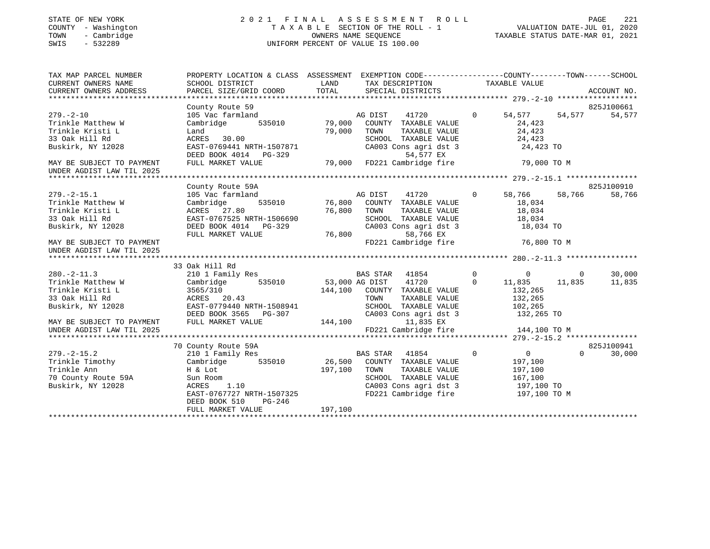#### STATE OF NEW YORK 2 0 2 1 F I N A L A S S E S S M E N T R O L L PAGE 221 COUNTY - Washington T A X A B L E SECTION OF THE ROLL - 1 VALUATION DATE-JUL 01, 2020 TOWN - Cambridge OWNERS NAME SEQUENCE TAXABLE STATUS DATE-MAR 01, 2021 SWIS - 532289 UNIFORM PERCENT OF VALUE IS 100.00UNIFORM PERCENT OF VALUE IS 100.00

| TAX MAP PARCEL NUMBER<br>CURRENT OWNERS NAME<br>CURRENT OWNERS ADDRESS       | PROPERTY LOCATION & CLASS ASSESSMENT EXEMPTION CODE---------------COUNTY-------TOWN------SCHOOL<br>SCHOOL DISTRICT<br>PARCEL SIZE/GRID COORD | LAND<br>TOTAL                    | TAX DESCRIPTION<br>SPECIAL DISTRICTS                                                                                                           |                | TAXABLE VALUE                                                   | ACCOUNT NO.          |
|------------------------------------------------------------------------------|----------------------------------------------------------------------------------------------------------------------------------------------|----------------------------------|------------------------------------------------------------------------------------------------------------------------------------------------|----------------|-----------------------------------------------------------------|----------------------|
|                                                                              | County Route 59                                                                                                                              |                                  |                                                                                                                                                |                |                                                                 | 825J100661           |
| $279. - 2 - 10$<br>Trinkle Matthew W<br>Trinkle Kristi L                     | 105 Vac farmland<br>535010<br>Cambridge<br>Land                                                                                              | 79,000<br>79,000                 | AG DIST<br>41720<br>COUNTY TAXABLE VALUE<br>TOWN<br>TAXABLE VALUE                                                                              | $\overline{0}$ | 54,577<br>54,577<br>24,423<br>24,423                            | 54,577               |
| 33 Oak Hill Rd<br>Buskirk, NY 12028                                          | ACRES 30.00<br>EAST-0769441 NRTH-1507871<br>DEED BOOK 4014 PG-329                                                                            |                                  | SCHOOL TAXABLE VALUE<br>CA003 Cons agri dst 3<br>54,577 EX                                                                                     |                | 24,423<br>24,423 TO                                             |                      |
| MAY BE SUBJECT TO PAYMENT<br>UNDER AGDIST LAW TIL 2025                       | FULL MARKET VALUE                                                                                                                            | 79,000                           | FD221 Cambridge fire                                                                                                                           |                | 79,000 TO M                                                     |                      |
|                                                                              | County Route 59A                                                                                                                             |                                  |                                                                                                                                                |                |                                                                 | 825J100910           |
| $279. - 2 - 15.1$<br>Trinkle Matthew W<br>Trinkle Kristi L<br>33 Oak Hill Rd | 105 Vac farmland<br>535010<br>Cambridge<br>ACRES 27.80<br>EAST-0767525 NRTH-1506690                                                          | 76,800<br>76,800                 | AG DIST 41720<br>COUNTY TAXABLE VALUE<br>TOWN<br>TAXABLE VALUE<br>SCHOOL TAXABLE VALUE                                                         | $\overline{0}$ | 58,766<br>58,766<br>18,034<br>18,034<br>18,034                  | 58,766               |
| Buskirk, NY 12028<br>MAY BE SUBJECT TO PAYMENT<br>UNDER AGDIST LAW TIL 2025  | DEED BOOK 4014 PG-329<br>FULL MARKET VALUE                                                                                                   | 76,800                           | CA003 Cons agri dst 3<br>58,766 EX<br>FD221 Cambridge fire                                                                                     |                | 18,034 TO<br>76,800 TO M                                        |                      |
|                                                                              |                                                                                                                                              |                                  |                                                                                                                                                |                |                                                                 |                      |
| $280. -2 - 11.3$                                                             | 33 Oak Hill Rd<br>210 1 Family Res                                                                                                           |                                  | BAS STAR 41854                                                                                                                                 | $\mathbf 0$    | $\overline{0}$<br>$\overline{0}$                                | 30,000               |
| Trinkle Matthew W<br>Trinkle Kristi L<br>33 Oak Hill Rd<br>Buskirk, NY 12028 | Cambridge<br>3565/310<br>ACRES 20.43<br>EAST-0779440 NRTH-1508941<br>DEED BOOK 3565 PG-307                                                   | 535010 53,000 AG DIST<br>144,100 | 41720<br>COUNTY TAXABLE VALUE<br>TOWN<br>TAXABLE VALUE<br>SCHOOL TAXABLE VALUE<br>CA003 Cons agri dst 3                                        | $\mathbf 0$    | 11,835<br>11,835<br>132,265<br>132,265<br>102,265<br>132,265 TO | 11,835               |
| MAY BE SUBJECT TO PAYMENT<br>UNDER AGDIST LAW TIL 2025                       | FULL MARKET VALUE                                                                                                                            | 144,100                          | 11,835 EX<br>FD221 Cambridge fire                                                                                                              |                | 144,100 TO M                                                    |                      |
|                                                                              |                                                                                                                                              |                                  |                                                                                                                                                |                |                                                                 |                      |
| $279. - 2 - 15.2$                                                            | 70 County Route 59A<br>210 1 Family Res                                                                                                      |                                  | BAS STAR 41854                                                                                                                                 | $\Omega$       | $\overline{0}$<br>$\Omega$                                      | 825J100941<br>30,000 |
| Trinkle Timothy<br>Trinkle Ann<br>70 County Route 59A<br>Buskirk, NY 12028   | Cambridge<br>H & Lot<br>Sun Room<br>1.10<br>ACRES<br>EAST-0767727 NRTH-1507325<br>DEED BOOK 510<br>PG-246                                    | 535010 26,500<br>197,100         | COUNTY TAXABLE VALUE<br>TOWN<br>TAXABLE VALUE<br>SCHOOL TAXABLE VALUE<br>SCHOOL TAXABLE VALUE<br>CA003 Cons agri dst 3<br>FD221 Cambridge fire |                | 197,100<br>197,100<br>167,100<br>197,100 TO<br>197,100 TO M     |                      |
|                                                                              | FULL MARKET VALUE                                                                                                                            | 197,100                          |                                                                                                                                                |                |                                                                 |                      |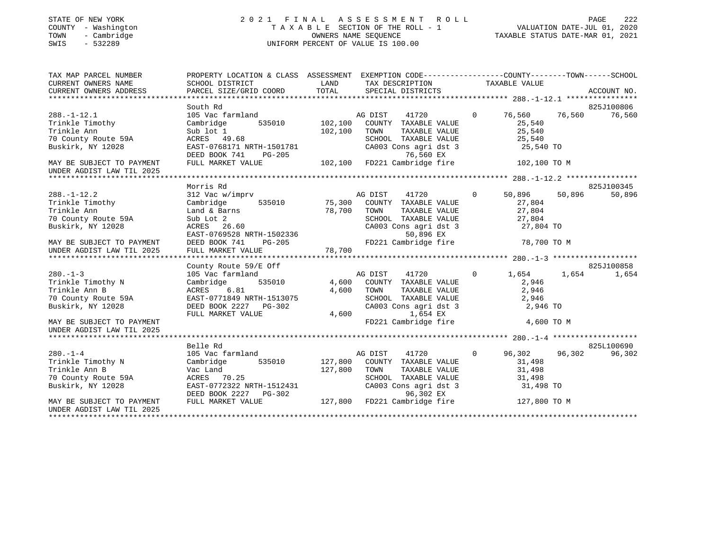## STATE OF NEW YORK 2 0 2 1 F I N A L A S S E S S M E N T R O L L PAGE 222 COUNTY - Washington T A X A B L E SECTION OF THE ROLL - 1 VALUATION DATE-JUL 01, 2020 TOWN - Cambridge OWNERS NAME SEQUENCE TAXABLE STATUS DATE-MAR 01, 2021 SWIS - 532289 UNIFORM PERCENT OF VALUE IS 100.00

| TAX MAP PARCEL NUMBER                                                                                                                                                                                                                                          | PROPERTY LOCATION & CLASS ASSESSMENT EXEMPTION CODE---------------COUNTY-------TOWN-----SCHOOL            |                                                                                         |                                                                                                   |                                 |            |
|----------------------------------------------------------------------------------------------------------------------------------------------------------------------------------------------------------------------------------------------------------------|-----------------------------------------------------------------------------------------------------------|-----------------------------------------------------------------------------------------|---------------------------------------------------------------------------------------------------|---------------------------------|------------|
| CURRENT OWNERS NAME                                                                                                                                                                                                                                            | SCHOOL DISTRICT                                                                                           | <b>EXAMPLE THE STATE OF STATE OF STATE OF STATE OF STATE OF STATE OF STATE OF STATE</b> | TAX DESCRIPTION TAXABLE VALUE                                                                     |                                 |            |
| CURRENT OWNERS ADDRESS                                                                                                                                                                                                                                         |                                                                                                           |                                                                                         |                                                                                                   |                                 |            |
|                                                                                                                                                                                                                                                                |                                                                                                           |                                                                                         |                                                                                                   |                                 |            |
|                                                                                                                                                                                                                                                                | South Rd                                                                                                  |                                                                                         |                                                                                                   |                                 | 825J100806 |
| $288. - 1 - 12.1$                                                                                                                                                                                                                                              | 105 Vac farmland                                                                                          |                                                                                         | mland ag DIST 41720<br>535010 102,100 COUNTY TAXABLE VALUE                                        | 76,560 76,560<br>$\overline{0}$ | 76,560     |
| Trinkle Timothy                                                                                                                                                                                                                                                | Cambridge                                                                                                 |                                                                                         |                                                                                                   | 25,540                          |            |
| Trinkle Ann                                                                                                                                                                                                                                                    | Sub lot 1<br>ACRES    49.68                                                                               | 102,100 TOWN                                                                            | TOWN TAXABLE VALUE 25,540<br>SCHOOL TAXABLE VALUE 25,540<br>CA003 Cons agri dst 3 25,540 TO       |                                 |            |
| 70 County Route 59A                                                                                                                                                                                                                                            |                                                                                                           |                                                                                         |                                                                                                   |                                 |            |
| Buskirk, NY 12028                                                                                                                                                                                                                                              | EAST-0768171 NRTH-1501781                                                                                 |                                                                                         |                                                                                                   |                                 |            |
|                                                                                                                                                                                                                                                                | DEED BOOK 741 PG-205 76,560 EX<br>FULL MARKET VALUE 102,100 FD221 Cambridge fire 102,100 TO M             |                                                                                         |                                                                                                   |                                 |            |
| MAY BE SUBJECT TO PAYMENT                                                                                                                                                                                                                                      |                                                                                                           |                                                                                         |                                                                                                   |                                 |            |
| UNDER AGDIST LAW TIL 2025                                                                                                                                                                                                                                      |                                                                                                           |                                                                                         |                                                                                                   |                                 |            |
|                                                                                                                                                                                                                                                                |                                                                                                           |                                                                                         |                                                                                                   |                                 |            |
|                                                                                                                                                                                                                                                                | Morris Rd                                                                                                 |                                                                                         |                                                                                                   |                                 | 825J100345 |
| $288. - 1 - 12.2$                                                                                                                                                                                                                                              | 312 Vac w/imprv                               AG DIST     41720                       50,896       50,896 |                                                                                         |                                                                                                   |                                 | 50,896     |
| Trinkle Timothy                                                                                                                                                                                                                                                | Cambridge 535010 75,300 COUNTY TAXABLE VALUE                                                              |                                                                                         |                                                                                                   | 27,804                          |            |
| Trinkle Ann<br>Trinkle Ann<br>70 County Route 59A                                                                                                                                                                                                              | Land & Barns                                                                                              | 78,700 TOWN                                                                             |                                                                                                   |                                 |            |
|                                                                                                                                                                                                                                                                | Sub Lot 2                                                                                                 |                                                                                         | TOWN TAXABLE VALUE $27,804$<br>SCHOOL TAXABLE VALUE $27,804$<br>CA003 Cons agri dst 3 $27,804$ TO |                                 |            |
| Buskirk, NY 12028                                                                                                                                                                                                                                              | ACRES 26.60                                                                                               |                                                                                         |                                                                                                   |                                 |            |
|                                                                                                                                                                                                                                                                |                                                                                                           |                                                                                         |                                                                                                   |                                 |            |
|                                                                                                                                                                                                                                                                |                                                                                                           |                                                                                         |                                                                                                   |                                 |            |
|                                                                                                                                                                                                                                                                |                                                                                                           |                                                                                         |                                                                                                   |                                 |            |
|                                                                                                                                                                                                                                                                |                                                                                                           |                                                                                         |                                                                                                   |                                 |            |
|                                                                                                                                                                                                                                                                | County Route 59/E Off                                                                                     |                                                                                         |                                                                                                   |                                 | 825J100858 |
| $280. -1 - 3$                                                                                                                                                                                                                                                  | 105 Vac farmland                                                                                          |                                                                                         |                                                                                                   | 0 $1,654$ $1,654$               | 1,654      |
| Trinkle Timothy N                                                                                                                                                                                                                                              | Cambridge                                                                                                 |                                                                                         |                                                                                                   | 2,946                           |            |
| Trinkle Ann B                                                                                                                                                                                                                                                  |                                                                                                           | 4,600                                                                                   | TAXABLE VALUE<br>TOWN                                                                             | 2,946                           |            |
| 70 County Route 59A<br>Buskirk, NY 12028                                                                                                                                                                                                                       | ACRES 6.81 4,600<br>EAST-0771849 NRTH-1513075<br>DEED BOOK 2227 PG-302<br>FULL MARKET VALUE 4,600         |                                                                                         | SCHOOL TAXABLE VALUE 2,946<br>CA003 Cons agri dst 3 2,946 TO                                      |                                 |            |
| Buskirk, NY 12028                                                                                                                                                                                                                                              |                                                                                                           |                                                                                         |                                                                                                   |                                 |            |
|                                                                                                                                                                                                                                                                |                                                                                                           |                                                                                         | 4,600<br>1,654 EX                                                                                 |                                 |            |
| MAY BE SUBJECT TO PAYMENT                                                                                                                                                                                                                                      |                                                                                                           |                                                                                         | FD221 Cambridge fire 4,600 TO M                                                                   |                                 |            |
| UNDER AGDIST LAW TIL 2025                                                                                                                                                                                                                                      |                                                                                                           |                                                                                         |                                                                                                   |                                 |            |
|                                                                                                                                                                                                                                                                | Belle Rd                                                                                                  |                                                                                         |                                                                                                   |                                 | 825L100690 |
| $280. - 1 - 4$                                                                                                                                                                                                                                                 | 105 Vac farmland                                                                                          |                                                                                         | AG DIST 41720 0 96,302 96,302                                                                     |                                 | 96,302     |
|                                                                                                                                                                                                                                                                | Cambridge 535010 127,800 COUNTY TAXABLE VALUE                                                             |                                                                                         |                                                                                                   | 31,498                          |            |
| 280.-1-4<br>Trinkle Timothy N<br>Trinkle Ann B                                                                                                                                                                                                                 |                                                                                                           |                                                                                         |                                                                                                   |                                 |            |
|                                                                                                                                                                                                                                                                |                                                                                                           |                                                                                         |                                                                                                   |                                 |            |
|                                                                                                                                                                                                                                                                |                                                                                                           |                                                                                         |                                                                                                   |                                 |            |
|                                                                                                                                                                                                                                                                |                                                                                                           |                                                                                         |                                                                                                   |                                 |            |
| Trinkle Throndy N<br>Trinkle Ann B<br>70 County Route 59A<br>81,498<br>70 County Route 59A<br>81,498<br>82HOOL TAXABLE VALUE<br>81,498<br>82HOOL TAXABLE VALUE<br>81,498<br>82HOOL TAXABLE VALUE<br>81,498<br>831,498<br>831,498<br>831,498<br>831,498<br>831, |                                                                                                           |                                                                                         |                                                                                                   |                                 |            |
| UNDER AGDIST LAW TIL 2025                                                                                                                                                                                                                                      |                                                                                                           |                                                                                         |                                                                                                   |                                 |            |
|                                                                                                                                                                                                                                                                |                                                                                                           |                                                                                         |                                                                                                   |                                 |            |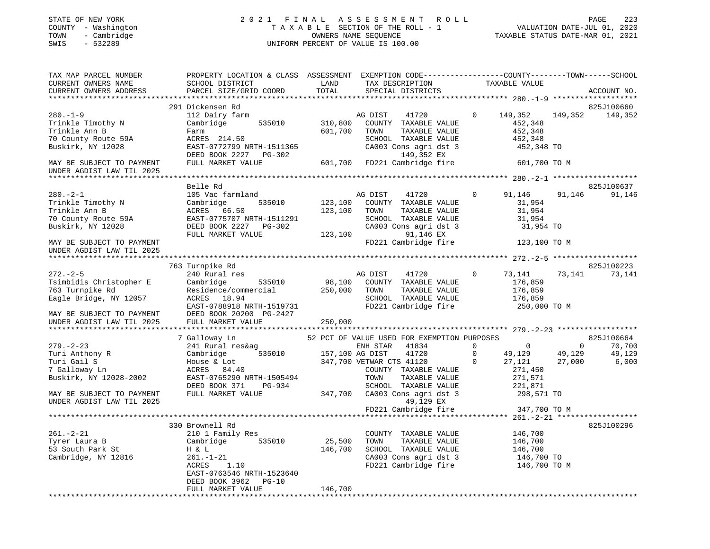#### STATE OF NEW YORK 2 0 2 1 F I N A L A S S E S S M E N T R O L L PAGE 223 COUNTY - Washington T A X A B L E SECTION OF THE ROLL - 1 VALUATION DATE-JUL 01, 2020 TOWN - Cambridge OWNERS NAME SEQUENCE TAXABLE STATUS DATE-MAR 01, 2021 SWIS - 532289 UNIFORM PERCENT OF VALUE IS 100.00UNIFORM PERCENT OF VALUE IS 100.00

| TAX MAP PARCEL NUMBER<br>CURRENT OWNERS NAME                                                                                                     | PROPERTY LOCATION & CLASS ASSESSMENT<br>SCHOOL DISTRICT                                                                                                  | LAND                          | EXEMPTION CODE-----------------COUNTY-------TOWN------SCHOOL<br>TAX DESCRIPTION                                                  |                                     | TAXABLE VALUE                                                       |                                  |                           |
|--------------------------------------------------------------------------------------------------------------------------------------------------|----------------------------------------------------------------------------------------------------------------------------------------------------------|-------------------------------|----------------------------------------------------------------------------------------------------------------------------------|-------------------------------------|---------------------------------------------------------------------|----------------------------------|---------------------------|
| CURRENT OWNERS ADDRESS<br>***********************                                                                                                | PARCEL SIZE/GRID COORD                                                                                                                                   | TOTAL                         | SPECIAL DISTRICTS                                                                                                                |                                     |                                                                     |                                  | ACCOUNT NO.               |
|                                                                                                                                                  | 291 Dickensen Rd                                                                                                                                         |                               |                                                                                                                                  |                                     |                                                                     |                                  | 825J100660                |
| $280. - 1 - 9$<br>Trinkle Timothy N<br>Trinkle Ann B<br>70 County Route 59A<br>Buskirk, NY 12028                                                 | 112 Dairy farm<br>Cambridge<br>535010<br>Farm<br>ACRES 214.50<br>EAST-0772799 NRTH-1511365<br>DEED BOOK 2227 PG-302                                      | 310,800<br>601,700            | AG DIST<br>41720<br>COUNTY TAXABLE VALUE<br>TAXABLE VALUE<br>TOWN<br>SCHOOL TAXABLE VALUE<br>CA003 Cons agri dst 3<br>149,352 EX | $\mathbf 0$                         | 149,352<br>452,348<br>452,348<br>452,348<br>452,348 TO              | 149,352                          | 149,352                   |
| MAY BE SUBJECT TO PAYMENT<br>UNDER AGDIST LAW TIL 2025                                                                                           | FULL MARKET VALUE                                                                                                                                        | 601,700                       | FD221 Cambridge fire                                                                                                             |                                     | 601,700 TO M                                                        |                                  |                           |
| *****************************                                                                                                                    |                                                                                                                                                          |                               |                                                                                                                                  |                                     |                                                                     |                                  |                           |
| $280. - 2 - 1$<br>Trinkle Timothy N<br>Trinkle Ann B<br>70 County Route 59A<br>Buskirk, NY 12028                                                 | Belle Rd<br>105 Vac farmland<br>Cambridge<br>535010<br>ACRES 66.50<br>EAST-0775707 NRTH-1511291<br>DEED BOOK 2227<br>PG-302<br>FULL MARKET VALUE         | 123,100<br>123,100<br>123,100 | AG DIST<br>41720<br>COUNTY TAXABLE VALUE<br>TAXABLE VALUE<br>TOWN<br>SCHOOL TAXABLE VALUE<br>CA003 Cons agri dst 3<br>91,146 EX  | $\mathbf 0$                         | 91,146<br>31,954<br>31,954<br>31,954<br>31,954 TO                   | 91,146                           | 825J100637<br>91,146      |
| MAY BE SUBJECT TO PAYMENT<br>UNDER AGDIST LAW TIL 2025                                                                                           |                                                                                                                                                          |                               | FD221 Cambridge fire                                                                                                             |                                     | 123,100 TO M                                                        |                                  |                           |
| *********************                                                                                                                            |                                                                                                                                                          |                               |                                                                                                                                  |                                     |                                                                     |                                  | *******************       |
|                                                                                                                                                  | 763 Turnpike Rd                                                                                                                                          |                               |                                                                                                                                  |                                     |                                                                     |                                  | 825J100223                |
| $272. - 2 - 5$<br>Tsimbidis Christopher E<br>763 Turnpike Rd<br>Eagle Bridge, NY 12057<br>MAY BE SUBJECT TO PAYMENT<br>UNDER AGDIST LAW TIL 2025 | 240 Rural res<br>Cambridge<br>535010<br>Residence/commercial<br>ACRES 18.94<br>EAST-0788918 NRTH-1519731<br>DEED BOOK 20200 PG-2427<br>FULL MARKET VALUE | 98,100<br>250,000<br>250,000  | AG DIST<br>41720<br>COUNTY TAXABLE VALUE<br>TOWN<br>TAXABLE VALUE<br>SCHOOL TAXABLE VALUE<br>FD221 Cambridge fire                | $\mathbf 0$                         | 73,141<br>176,859<br>176,859<br>176,859<br>250,000 TO M             | 73,141                           | 73,141                    |
|                                                                                                                                                  |                                                                                                                                                          |                               |                                                                                                                                  |                                     |                                                                     |                                  |                           |
|                                                                                                                                                  | 7 Galloway Ln                                                                                                                                            |                               | 52 PCT OF VALUE USED FOR EXEMPTION PURPOSES                                                                                      |                                     |                                                                     |                                  | 825J100664                |
| $279. - 2 - 23$<br>Turi Anthony R<br>Turi Gail S<br>7 Galloway Ln<br>Buskirk, NY 12028-2002                                                      | 241 Rural res&ag<br>535010<br>Cambridge<br>House & Lot<br>ACRES 84.40<br>EAST-0765290 NRTH-1505494<br>DEED BOOK 371<br>PG-934                            | 157,100 AG DIST               | 41834<br>ENH STAR<br>41720<br>347,700 VETWAR CTS 41120<br>COUNTY TAXABLE VALUE<br>TOWN<br>TAXABLE VALUE<br>SCHOOL TAXABLE VALUE  | $\Omega$<br>$\mathbf 0$<br>$\Omega$ | $\overline{0}$<br>49,129<br>27,121<br>271,450<br>271,571<br>221,871 | $\mathbf{0}$<br>49,129<br>27,000 | 70,700<br>49,129<br>6,000 |
| MAY BE SUBJECT TO PAYMENT<br>UNDER AGDIST LAW TIL 2025                                                                                           | FULL MARKET VALUE                                                                                                                                        | 347,700                       | CA003 Cons agri dst 3<br>49,129 EX<br>FD221 Cambridge fire                                                                       |                                     | 298,571 TO<br>347,700 TO M                                          |                                  |                           |
|                                                                                                                                                  |                                                                                                                                                          |                               |                                                                                                                                  |                                     |                                                                     |                                  |                           |
| $261. - 2 - 21$<br>Tyrer Laura B<br>53 South Park St<br>Cambridge, NY 12816                                                                      | 330 Brownell Rd<br>210 1 Family Res<br>535010<br>Cambridge<br>H & L<br>261.-1-21                                                                         | 25,500<br>146,700             | COUNTY TAXABLE VALUE<br>TOWN<br>TAXABLE VALUE<br>SCHOOL TAXABLE VALUE<br>CA003 Cons agri dst 3                                   |                                     | 146,700<br>146,700<br>146,700<br>146,700 TO                         |                                  | 825J100296                |
|                                                                                                                                                  | ACRES<br>1.10<br>EAST-0763546 NRTH-1523640<br>DEED BOOK 3962<br>$PG-10$<br>FULL MARKET VALUE                                                             | 146,700                       | FD221 Cambridge fire                                                                                                             |                                     | 146,700 TO M                                                        |                                  |                           |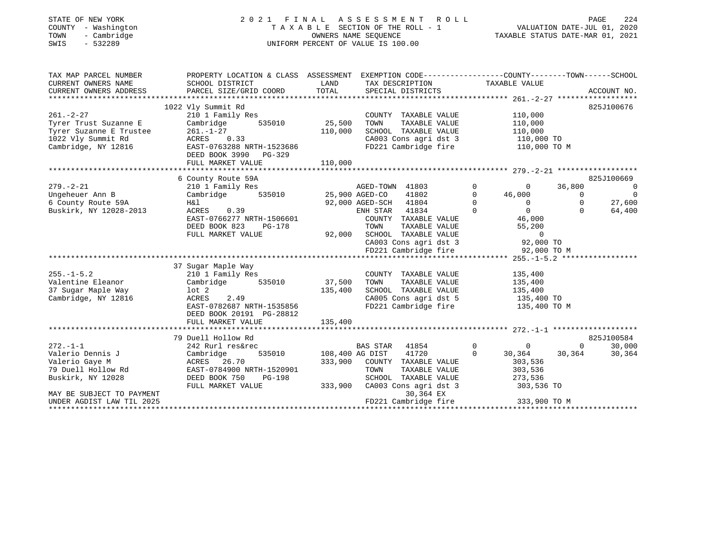## STATE OF NEW YORK 2 0 2 1 F I N A L A S S E S S M E N T R O L L PAGE 224 COUNTY - Washington T A X A B L E SECTION OF THE ROLL - 1 VALUATION DATE-JUL 01, 2020 TOWN - Cambridge OWNERS NAME SEQUENCE TAXABLE STATUS DATE-MAR 01, 2021 SWIS - 532289 UNIFORM PERCENT OF VALUE IS 100.00

| TAX MAP PARCEL NUMBER<br>CURRENT OWNERS NAME<br>CURRENT OWNERS ADDRESS                                                       | PROPERTY LOCATION & CLASS ASSESSMENT<br>SCHOOL DISTRICT<br>PARCEL SIZE/GRID COORD TOTAL                                                                                                                                                                                    | LAND                              | EXEMPTION CODE-----------------COUNTY-------TOWN------SCHOOL<br>TAX DESCRIPTION TAXABLE VALUE<br>SPECIAL DISTRICTS                                                                                                                                                                                     |                                                                                                                                                         | ACCOUNT NO.                                                                                                    |
|------------------------------------------------------------------------------------------------------------------------------|----------------------------------------------------------------------------------------------------------------------------------------------------------------------------------------------------------------------------------------------------------------------------|-----------------------------------|--------------------------------------------------------------------------------------------------------------------------------------------------------------------------------------------------------------------------------------------------------------------------------------------------------|---------------------------------------------------------------------------------------------------------------------------------------------------------|----------------------------------------------------------------------------------------------------------------|
| $261. - 2 - 27$                                                                                                              | 1022 Vly Summit Rd<br>210 1 Family Res<br>261.-2-27 210 1 Family Res<br>Tyrer Trust Suzanne E<br>Tyrer Suzanne E Trustee 261.-1-27<br>1022 Vly Summit Rd ACRES 0.33<br>Cambridge, NY 12816 EAST-0763288 NRTH-1523686<br>EAST-0763288 NRTH-1523686<br>DEED BOOK 3990 PG-329 | 110,000                           | COUNTY TAXABLE VALUE<br>TAXABLE VALUE<br>TOWN<br>SCHOOL TAXABLE VALUE 110,000<br>CA003 Cons agri dst 3 110,000 TO<br>FD221 Cambridge fire 110,000 TO M                                                                                                                                                 | 110,000<br>110,000                                                                                                                                      | 825J100676                                                                                                     |
|                                                                                                                              | 6 County Route 59A                                                                                                                                                                                                                                                         |                                   |                                                                                                                                                                                                                                                                                                        |                                                                                                                                                         | 825J100669                                                                                                     |
| 6 County Route 59A<br>Buskirk, NY 12028-2013<br>$255. - 1 - 5.2$<br>Valentine Eleanor<br>37 Sugar Maple Way                  | $\begin{array}{ll}\n\text{ACRES} & 0.39 \\ \text{RRES} & 0.39\n\end{array}$<br>EAST-0766277 NRTH-1506601<br>PG-178<br>DEED BOOK 823<br>FULL MARKET VALUE<br>37 Sugar Maple Way<br>210 1 Family Res<br>Cambridge 535010 37,500                                              | 135,400                           | 92,000 AGED-SCH 41804<br>ENH STAR 41834<br>COUNTY TAXABLE VALUE<br>TOWN<br>TAXABLE VALUE<br>92,000 SCHOOL TAXABLE VALUE<br>CHOOL TAXABLE VALUE<br>CA003 Cons agri dst 3 92,000 TO<br>FD221 Cambridge fire 92,000 TO M<br>COUNTY TAXABLE VALUE<br>TAXABLE VALUE<br>TOWN<br>SCHOOL TAXABLE VALUE 135,400 | $\Omega$<br>$\overline{0}$<br>$\overline{0}$<br>46,000<br>$\Omega$<br>$\overline{0}$<br>$\overline{0}$<br>$0$<br>46,000<br>55,200<br>135,400<br>135,400 | $\overline{0}$<br>36,800<br>$\overline{0}$<br>$\overline{0}$<br>$\overline{0}$<br>27,600<br>$\Omega$<br>64,400 |
| Cambridge, NY 12816                                                                                                          | 135,400<br>ACRES 2.49<br>EAST-0782687 NRTH-1535856<br>DEED BOOK 20191 PG-28812<br>FULL MARKET VALUE                                                                                                                                                                        | 135,400                           | CA005 Cons agri dst 5 135,400 TO<br>FD221 Cambridge fire                                                                                                                                                                                                                                               | 135,400 TO M                                                                                                                                            |                                                                                                                |
|                                                                                                                              | 79 Duell Hollow Rd                                                                                                                                                                                                                                                         |                                   |                                                                                                                                                                                                                                                                                                        |                                                                                                                                                         | 825J100584                                                                                                     |
| $272. - 1 - 1$<br>Valerio Dennis J<br>Valerio Gaye M<br>79 Duell Hollow Rd<br>Buskirk, NY 12028<br>MAY BE SUBJECT TO PAYMENT | 242 Rurl res&rec<br>Cambridge<br>DEED BOOK 750 PG-198<br>FULL MARKET VALUE                                                                                                                                                                                                 | 535010 108,400 AG DIST<br>333,900 | BAS STAR 41854 0 0<br>41720 0<br>333,900 COUNTY TAXABLE VALUE<br>CA003 Cons agri dst 3 303,536 TO<br>30,364 EX                                                                                                                                                                                         | 303,536                                                                                                                                                 | 30,000<br>$0 \qquad \qquad$<br>30,364 30,364<br>30,364                                                         |
|                                                                                                                              |                                                                                                                                                                                                                                                                            |                                   |                                                                                                                                                                                                                                                                                                        |                                                                                                                                                         |                                                                                                                |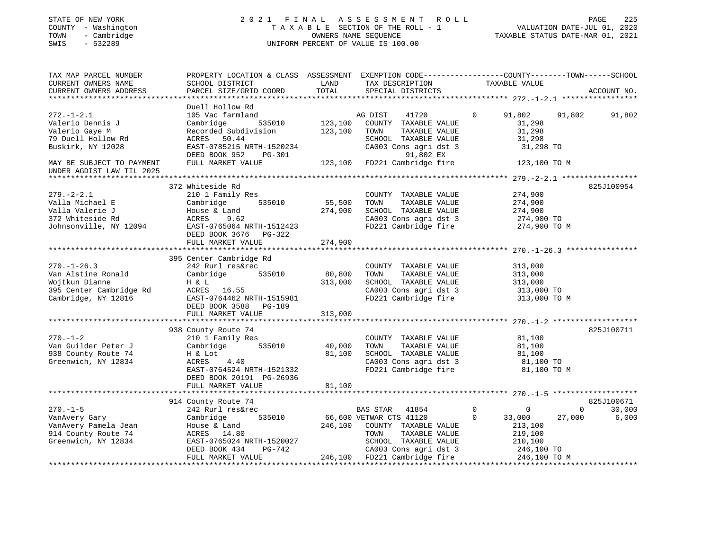## STATE OF NEW YORK 2 0 2 1 F I N A L A S S E S S M E N T R O L L PAGE 225 COUNTY - Washington T A X A B L E SECTION OF THE ROLL - 1 VALUATION DATE-JUL 01, 2020 TOWN - Cambridge OWNERS NAME SEQUENCE TAXABLE STATUS DATE-MAR 01, 2021 SWINGTON THE ROLL OF MANY COUNTY - Washington<br>
SWIS - 532289 UNIFORM PERCENT OF VALUE IS 100.00

| TAX MAP PARCEL NUMBER<br>CURRENT OWNERS NAME<br>CURRENT OWNERS ADDRESS                                                                                      | PROPERTY LOCATION & CLASS ASSESSMENT EXEMPTION CODE---------------COUNTY-------TOWN------SCHOOL<br>SCHOOL DISTRICT<br>PARCEL SIZE/GRID COORD                               | LAND<br>TOTAL                | TAX DESCRIPTION TAXABLE VALUE<br>SPECIAL DISTRICTS                                                                                                                                  |                                                                                                                       | ACCOUNT NO.                                         |
|-------------------------------------------------------------------------------------------------------------------------------------------------------------|----------------------------------------------------------------------------------------------------------------------------------------------------------------------------|------------------------------|-------------------------------------------------------------------------------------------------------------------------------------------------------------------------------------|-----------------------------------------------------------------------------------------------------------------------|-----------------------------------------------------|
| $272. - 1 - 2.1$<br>Valerio Dennis J<br>Valerio Gaye M<br>79 Duell Hollow Rd<br>Buskirk, NY 12028<br>MAY BE SUBJECT TO PAYMENT<br>UNDER AGDIST LAW TIL 2025 | Duell Hollow Rd<br>105 Vac farmland<br>Cambridge<br>Recorded Subdivision<br>ACRES 50.44<br>EAST-0785215 NRTH-1520234<br>DEED BOOK 952<br>PG-301<br>FULL MARKET VALUE       | 535010 123,100<br>123,100    | 41720<br>AG DIST<br>COUNTY TAXABLE VALUE<br>TOWN<br>TAXABLE VALUE<br>SCHOOL TAXABLE VALUE<br>CA003 Cons agri dst 3<br>91,802 EX<br>123,100 FD221 Cambridge fire                     | $\overline{0}$<br>91,802<br>31,298<br>31,298<br>31,298<br>31,298 TO<br>123,100 TO M                                   | 91,802<br>91,802                                    |
| $279. - 2 - 2.1$<br>Valla Michael E<br>Valla Valerie J<br>372 Whiteside Rd<br>Johnsonville, NY 12094                                                        | 372 Whiteside Rd<br>210 1 Family Res<br>535010<br>Cambridge<br>House & Land<br>9.62<br>ACRES<br>$\frac{1}{2}$ EAST-0765064 NRTH-1512423<br>DEED BOOK 3676 PG-322           | 55,500<br>274,900            | COUNTY TAXABLE VALUE<br>TOWN<br>TAXABLE VALUE<br>SCHOOL TAXABLE VALUE<br>CA003 Cons agri dst 3<br>FD221 Cambridge fire                                                              | 274,900<br>274,900<br>274,900<br>274,900 TO<br>274,900 TO M                                                           | 825J100954                                          |
| $270. - 1 - 26.3$<br>Van Alstine Ronald<br>Wojtkun Dianne<br>395 Center Cambridge Rd<br>Cambridge, NY 12816                                                 | 395 Center Cambridge Rd<br>242 Rurl res&rec<br>Cambridge<br>535010<br>H & L<br>ACRES 16.55<br>EAST-0764462 NRTH-1515981<br>DEED BOOK 3588 PG-189<br>FULL MARKET VALUE      | 80,800<br>313,000<br>313,000 | COUNTY TAXABLE VALUE<br>TAXABLE VALUE<br>TOWN<br>SCHOOL TAXABLE VALUE<br>CA003 Cons agri dst 3 313,000 TO<br>FD221 Cambridge fire 313,000 TO M                                      | 313,000<br>313,000<br>313,000                                                                                         |                                                     |
| $270. - 1 - 2$<br>Van Guilder Peter J<br>938 County Route 74<br>Greenwich, NY 12834                                                                         | 938 County Route 74<br>210 1 Family Res<br>535010<br>Cambridge<br>H & Lot<br>ACRES<br>4.40<br>EAST-0764524 NRTH-1521332<br>DEED BOOK 20191 PG-26936<br>FULL MARKET VALUE   | 40,000<br>81,100<br>81,100   | COUNTY TAXABLE VALUE<br>TAXABLE VALUE<br>TOWN<br>SCHOOL TAXABLE VALUE<br>CA003 Cons agri dst 3<br>FD221 Cambridge fire                                                              | 81,100<br>81,100<br>81,100<br>81,100 TO<br>81,100 TO M                                                                | 825J100711                                          |
| $270. - 1 - 5$<br>VanAvery Gary<br>VanAvery Pamela Jean<br>914 County Route 74<br>Greenwich, NY 12834                                                       | 914 County Route 74<br>242 Rurl res&rec<br>535010<br>Cambridge<br>House & Land<br>ACRES 14.80<br>EAST-0765024 NRTH-1520027<br>DEED BOOK 434<br>PG-742<br>FULL MARKET VALUE |                              | BAS STAR 41854<br>66,600 VETWAR CTS 41120<br>246,100 COUNTY TAXABLE VALUE<br>TAXABLE VALUE<br>TOWN<br>SCHOOL TAXABLE VALUE<br>CA003 Cons agri dst 3<br>246,100 FD221 Cambridge fire | $\overline{0}$<br>$\mathbf 0$<br>$\mathbf 0$<br>33,000<br>213,100<br>219,100<br>210,100<br>246,100 TO<br>246,100 TO M | 825J100671<br>30,000<br>$\Omega$<br>27,000<br>6,000 |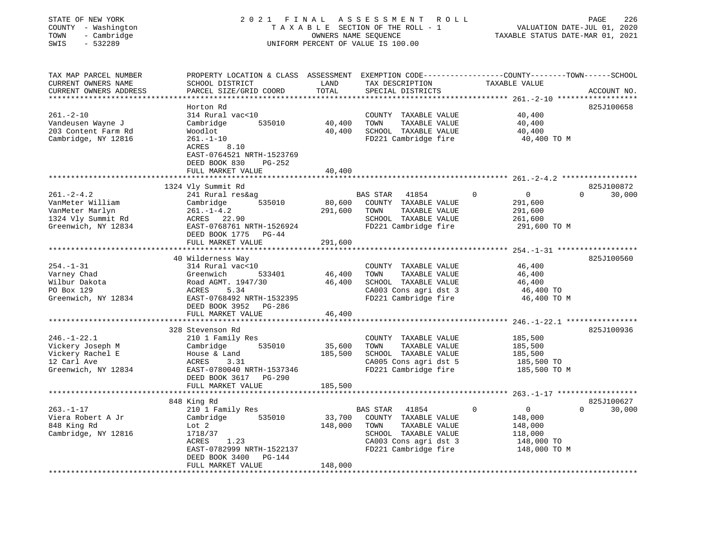| STATE OF NEW YORK<br>COUNTY - Washington<br>- Cambridge<br>TOWN<br>SWIS<br>$-532289$ | 2021 FINAL                                                                                                                                   |               | ASSESSMENT<br>ROLL<br>TAXABLE SECTION OF THE ROLL - 1<br>OWNERS NAME SEQUENCE<br>UNIFORM PERCENT OF VALUE IS 100.00 | TAXABLE STATUS DATE-MAR 01, 2021                       | PAGE<br>226<br>VALUATION DATE-JUL 01, 2020 |
|--------------------------------------------------------------------------------------|----------------------------------------------------------------------------------------------------------------------------------------------|---------------|---------------------------------------------------------------------------------------------------------------------|--------------------------------------------------------|--------------------------------------------|
| TAX MAP PARCEL NUMBER<br>CURRENT OWNERS NAME<br>CURRENT OWNERS ADDRESS               | PROPERTY LOCATION & CLASS ASSESSMENT EXEMPTION CODE---------------COUNTY-------TOWN------SCHOOL<br>SCHOOL DISTRICT<br>PARCEL SIZE/GRID COORD | LAND<br>TOTAL | TAX DESCRIPTION<br>SPECIAL DISTRICTS                                                                                | TAXABLE VALUE                                          | ACCOUNT NO.                                |
|                                                                                      | Horton Rd                                                                                                                                    |               |                                                                                                                     |                                                        | 825J100658                                 |
| $261. - 2 - 10$                                                                      | 314 Rural vac<10                                                                                                                             |               | COUNTY TAXABLE VALUE                                                                                                | 40,400                                                 |                                            |
| Vandeusen Wayne J                                                                    | 535010<br>Cambridge                                                                                                                          | 40,400        | TOWN<br>TAXABLE VALUE                                                                                               | 40,400                                                 |                                            |
| 203 Content Farm Rd                                                                  | Woodlot                                                                                                                                      | 40,400        | SCHOOL TAXABLE VALUE                                                                                                | 40,400                                                 |                                            |
| Cambridge, NY 12816                                                                  | $261. - 1 - 10$<br>ACRES<br>8.10<br>EAST-0764521 NRTH-1523769<br>DEED BOOK 830<br>PG-252<br>FULL MARKET VALUE                                | 40,400        | FD221 Cambridge fire                                                                                                | 40,400 TO M                                            |                                            |
|                                                                                      |                                                                                                                                              |               |                                                                                                                     |                                                        |                                            |
|                                                                                      | 1324 Vly Summit Rd                                                                                                                           |               |                                                                                                                     |                                                        | 825J100872                                 |
| $261. - 2 - 4.2$                                                                     | 241 Rural res&ag                                                                                                                             |               | <b>BAS STAR</b><br>41854                                                                                            | $\Omega$<br>$\overline{0}$                             | $\Omega$<br>30,000                         |
| VanMeter William                                                                     | 535010<br>Cambridge                                                                                                                          | 80,600        | COUNTY TAXABLE VALUE                                                                                                | 291,600                                                |                                            |
| VanMeter Marlyn                                                                      | $261. - 1 - 4.2$                                                                                                                             | 291,600       | TOWN<br>TAXABLE VALUE                                                                                               | 291,600                                                |                                            |
| 1324 Vly Summit Rd                                                                   | ACRES 22.90                                                                                                                                  |               | SCHOOL TAXABLE VALUE                                                                                                | 261,600                                                |                                            |
| Greenwich, NY 12834                                                                  | EAST-0768761 NRTH-1526924                                                                                                                    |               | FD221 Cambridge fire                                                                                                | 291,600 TO M                                           |                                            |
|                                                                                      | DEED BOOK 1775<br>$PG-44$                                                                                                                    |               |                                                                                                                     |                                                        |                                            |
|                                                                                      | FULL MARKET VALUE                                                                                                                            | 291,600       |                                                                                                                     |                                                        |                                            |
|                                                                                      | ******************                                                                                                                           |               |                                                                                                                     | ************************ 254.-1-31 ******************* |                                            |
|                                                                                      | 40 Wilderness Way                                                                                                                            |               |                                                                                                                     |                                                        | 825J100560                                 |
| $254. - 1 - 31$                                                                      | 314 Rural vac<10                                                                                                                             |               | COUNTY TAXABLE VALUE                                                                                                | 46,400                                                 |                                            |
| Varney Chad                                                                          | Greenwich<br>533401                                                                                                                          | 46,400        | TOWN<br>TAXABLE VALUE                                                                                               | 46,400                                                 |                                            |
| Wilbur Dakota                                                                        | Road AGMT. 1947/30                                                                                                                           | 46,400        | SCHOOL TAXABLE VALUE                                                                                                | 46,400                                                 |                                            |
| PO Box 129<br>Greenwich, NY 12834                                                    | ACRES<br>5.34<br>EAST-0768492 NRTH-1532395                                                                                                   |               | CA003 Cons agri dst 3<br>FD221 Cambridge fire                                                                       | 46,400 TO<br>46,400 TO M                               |                                            |
|                                                                                      | DEED BOOK 3952 PG-286                                                                                                                        |               |                                                                                                                     |                                                        |                                            |
|                                                                                      | FULL MARKET VALUE                                                                                                                            | 46,400        |                                                                                                                     |                                                        |                                            |
|                                                                                      | ********************                                                                                                                         |               |                                                                                                                     | $246. - 1 - 22.1$ *****************                    |                                            |
|                                                                                      | 328 Stevenson Rd                                                                                                                             |               |                                                                                                                     |                                                        | 825J100936                                 |
| $246. - 1 - 22.1$                                                                    | 210 1 Family Res                                                                                                                             |               | COUNTY TAXABLE VALUE                                                                                                | 185,500                                                |                                            |
| Vickery Joseph M                                                                     | 535010<br>Cambridge                                                                                                                          | 35,600        | TOWN<br>TAXABLE VALUE                                                                                               | 185,500                                                |                                            |
| Vickery Rachel E                                                                     | House & Land                                                                                                                                 | 185,500       | SCHOOL TAXABLE VALUE                                                                                                | 185,500                                                |                                            |
| 12 Carl Ave                                                                          | ACRES<br>3.31                                                                                                                                |               | CA005 Cons agri dst 5                                                                                               | 185,500 TO                                             |                                            |
| Greenwich, NY 12834                                                                  | EAST-0780040 NRTH-1537346                                                                                                                    |               | FD221 Cambridge fire                                                                                                | 185,500 TO M                                           |                                            |
|                                                                                      | DEED BOOK 3617 PG-290                                                                                                                        |               |                                                                                                                     |                                                        |                                            |
|                                                                                      | FULL MARKET VALUE                                                                                                                            | 185,500       |                                                                                                                     |                                                        |                                            |
|                                                                                      | *********************                                                                                                                        |               |                                                                                                                     | $263, -1 - 17$ *******************                     |                                            |
|                                                                                      | 848 King Rd                                                                                                                                  |               |                                                                                                                     |                                                        | 825J100627                                 |
| $263. - 1 - 17$                                                                      | 210 1 Family Res                                                                                                                             |               | BAS STAR<br>41854                                                                                                   | $\Omega$<br>$\mathbf 0$                                | $\Omega$<br>30,000                         |
| Viera Robert A Jr                                                                    | Cambridge<br>535010                                                                                                                          | 33,700        | COUNTY TAXABLE VALUE                                                                                                | 148,000                                                |                                            |
| 848 King Rd                                                                          | Lot 2                                                                                                                                        | 148,000       | TOWN<br>TAXABLE VALUE                                                                                               | 148,000                                                |                                            |
| Cambridge, NY 12816                                                                  | 1718/37                                                                                                                                      |               | SCHOOL TAXABLE VALUE                                                                                                | 118,000                                                |                                            |
|                                                                                      | ACRES<br>1.23                                                                                                                                |               | CA003 Cons agri dst 3                                                                                               | 148,000 TO                                             |                                            |
|                                                                                      | EAST-0782999 NRTH-1522137<br>DEED BOOK 3400<br>PG-144                                                                                        |               | FD221 Cambridge fire                                                                                                | 148,000 TO M                                           |                                            |
|                                                                                      | FULL MARKET VALUE                                                                                                                            | 148,000       |                                                                                                                     |                                                        |                                            |
|                                                                                      |                                                                                                                                              |               |                                                                                                                     |                                                        |                                            |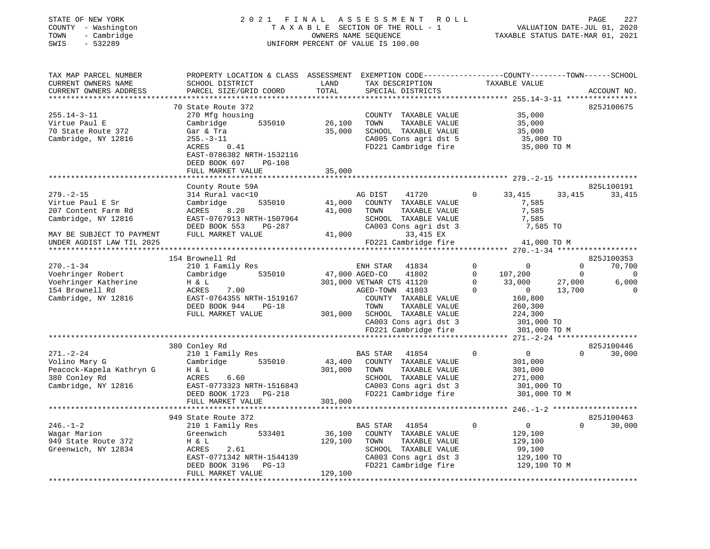| COUNTY<br>- Washington<br>TOWN<br>- Cambridge<br>SWIS<br>$-532289$ |                                                                                                                    |                | T A X A B L E SECTION OF THE ROLL - 1<br>OWNERS NAME SEQUENCE<br>UNIFORM PERCENT OF VALUE IS 100.00 | VALUATION DATE-JUL 01, 2020<br>TAXABLE STATUS DATE-MAR 01, 2021 |                |                          |
|--------------------------------------------------------------------|--------------------------------------------------------------------------------------------------------------------|----------------|-----------------------------------------------------------------------------------------------------|-----------------------------------------------------------------|----------------|--------------------------|
| TAX MAP PARCEL NUMBER<br>CURRENT OWNERS NAME                       | PROPERTY LOCATION & CLASS ASSESSMENT EXEMPTION CODE----------------COUNTY-------TOWN-----SCHOOL<br>SCHOOL DISTRICT | LAND           | TAX DESCRIPTION                                                                                     | TAXABLE VALUE                                                   |                |                          |
| CURRENT OWNERS ADDRESS                                             | PARCEL SIZE/GRID COORD                                                                                             | TOTAL          | SPECIAL DISTRICTS                                                                                   |                                                                 |                | ACCOUNT NO.              |
|                                                                    |                                                                                                                    |                |                                                                                                     |                                                                 |                |                          |
|                                                                    | 70 State Route 372                                                                                                 |                |                                                                                                     |                                                                 |                | 825J100675               |
| $255.14 - 3 - 11$                                                  | 270 Mfg housing                                                                                                    |                | COUNTY TAXABLE VALUE                                                                                | 35,000                                                          |                |                          |
| Virtue Paul E                                                      | 535010<br>Cambridge                                                                                                | 26,100         | TAXABLE VALUE<br>TOWN                                                                               | 35,000                                                          |                |                          |
| 70 State Route 372<br>Cambridge, NY 12816                          | Gar & Tra<br>$255. - 3 - 11$                                                                                       | 35,000         | SCHOOL TAXABLE VALUE<br>CA005 Cons agri dst 5                                                       | 35,000<br>35,000 TO                                             |                |                          |
|                                                                    | ACRES<br>0.41                                                                                                      |                | FD221 Cambridge fire 35,000 TO M                                                                    |                                                                 |                |                          |
|                                                                    | EAST-0786382 NRTH-1532116                                                                                          |                |                                                                                                     |                                                                 |                |                          |
|                                                                    | DEED BOOK 697 PG-108                                                                                               |                |                                                                                                     |                                                                 |                |                          |
|                                                                    | FULL MARKET VALUE                                                                                                  | 35,000         |                                                                                                     |                                                                 |                |                          |
|                                                                    |                                                                                                                    |                |                                                                                                     |                                                                 |                |                          |
|                                                                    | County Route 59A                                                                                                   |                |                                                                                                     | $\Omega$                                                        |                | 825L100191               |
| $279. - 2 - 15$<br>Virtue Paul E Sr                                | 314 Rural vac<10<br>535010<br>Cambridge                                                                            | 41,000         | AG DIST<br>41720<br>COUNTY TAXABLE VALUE                                                            | 33,415<br>7,585                                                 | 33,415         | 33,415                   |
| 207 Content Farm Rd                                                | ACRES 8.20                                                                                                         | 41,000         | TOWN<br>TAXABLE VALUE                                                                               | 7,585                                                           |                |                          |
| Cambridge, NY 12816                                                | EAST-0767913 NRTH-1507964                                                                                          |                | SCHOOL TAXABLE VALUE                                                                                | 7,585                                                           |                |                          |
|                                                                    | DEED BOOK 553<br>PG-287                                                                                            |                | CA003 Cons agri dst 3                                                                               | 7,585 TO                                                        |                |                          |
| MAY BE SUBJECT TO PAYMENT                                          | FULL MARKET VALUE                                                                                                  |                | 41,000<br>33,415 EX                                                                                 |                                                                 |                |                          |
| UNDER AGDIST LAW TIL 2025                                          |                                                                                                                    |                | FD221 Cambridge fire                                                                                | 41,000 TO M                                                     |                |                          |
|                                                                    |                                                                                                                    |                |                                                                                                     |                                                                 |                |                          |
| $270. - 1 - 34$                                                    | 154 Brownell Rd<br>210 1 Family Res                                                                                |                | ENH STAR<br>41834                                                                                   | $\overline{0}$<br>$\overline{0}$                                | $\mathbf{0}$   | 825J100353<br>70,700     |
| Voehringer Robert                                                  | 535010<br>Cambridge                                                                                                | 47,000 AGED-CO | 41802                                                                                               |                                                                 | $\overline{0}$ | $\overline{\phantom{0}}$ |
| Voehringer Katherine                                               | H & L                                                                                                              |                | 301,000 VETWAR CTS 41120                                                                            | $0$ $107,200$<br>0 $33,000$                                     | 27,000         | 6,000                    |
| 154 Brownell Rd                                                    | ACRES<br>7.00                                                                                                      |                | AGED-TOWN 41803                                                                                     | $\overline{0}$<br>$\Omega$                                      | 13,700         | $\overline{0}$           |
| Cambridge, NY 12816                                                | EAST-0764355 NRTH-1519167                                                                                          |                | COUNTY TAXABLE VALUE                                                                                | 160,800                                                         |                |                          |
|                                                                    | DEED BOOK 944<br>PG-18                                                                                             |                | TOWN<br>TAXABLE VALUE                                                                               | 260,300                                                         |                |                          |
|                                                                    | FULL MARKET VALUE                                                                                                  |                | 301,000 SCHOOL TAXABLE VALUE                                                                        | 224,300                                                         |                |                          |
|                                                                    |                                                                                                                    |                | CA003 Cons agri dst 3<br>FD221 Cambridge fire                                                       | 301,000 TO<br>301,000 TO M                                      |                |                          |
|                                                                    |                                                                                                                    |                |                                                                                                     |                                                                 |                |                          |
|                                                                    | 380 Conley Rd                                                                                                      |                |                                                                                                     |                                                                 |                | 825J100446               |
| $271. - 2 - 24$                                                    | 210 1 Family Res                                                                                                   |                | BAS STAR<br>41854                                                                                   | $\overline{0}$<br>$\Omega$                                      | $\Omega$       | 30,000                   |
| Volino Mary G                                                      | Cambridge 535010                                                                                                   | 43,400         | COUNTY TAXABLE VALUE                                                                                | 301,000                                                         |                |                          |
| Peacock-Kapela Kathryn G                                           | H & L                                                                                                              | 301,000        | TAXABLE VALUE<br>TOWN                                                                               | 301,000                                                         |                |                          |
| 380 Conley Rd                                                      | ACRES<br>6.60                                                                                                      |                | SCHOOL TAXABLE VALUE                                                                                | 271,000                                                         |                |                          |
| Cambridge, NY 12816                                                | EAST-0773323 NRTH-1516843<br>DEED BOOK 1723 PG-218                                                                 |                | CA003 Cons agri dst 3<br>FD221 Cambridge fire                                                       | 301,000 TO<br>301,000 TO M                                      |                |                          |
|                                                                    | FULL MARKET VALUE                                                                                                  | 301,000        |                                                                                                     |                                                                 |                |                          |
|                                                                    |                                                                                                                    |                |                                                                                                     |                                                                 |                |                          |
|                                                                    | 949 State Route 372                                                                                                |                |                                                                                                     |                                                                 |                | 825J100463               |
| $246. - 1 - 2$                                                     | 210 1 Family Res                                                                                                   |                | BAS STAR<br>41854                                                                                   | 0<br>$\overline{0}$                                             | $\mathbf 0$    | 30,000                   |
| Wagar Marion                                                       | 533401<br>Greenwich                                                                                                | 36,100         | COUNTY TAXABLE VALUE                                                                                | 129,100                                                         |                |                          |
| 949 State Route 372                                                | H & L                                                                                                              | 129,100        | TAXABLE VALUE<br>TOWN                                                                               | 129,100                                                         |                |                          |
| Greenwich, NY 12834                                                | ACRES<br>2.61<br>EAST-0771342 NRTH-1544139                                                                         |                | SCHOOL TAXABLE VALUE<br>CA003 Cons agri dst 3                                                       | 99,100<br>129,100 TO                                            |                |                          |
|                                                                    | DEED BOOK 3196 PG-13                                                                                               |                | FD221 Cambridge fire                                                                                | 129,100 TO M                                                    |                |                          |
|                                                                    | FULL MARKET VALUE                                                                                                  | 129,100        |                                                                                                     |                                                                 |                |                          |

\*\*\*\*\*\*\*\*\*\*\*\*\*\*\*\*\*\*\*\*\*\*\*\*\*\*\*\*\*\*\*\*\*\*\*\*\*\*\*\*\*\*\*\*\*\*\*\*\*\*\*\*\*\*\*\*\*\*\*\*\*\*\*\*\*\*\*\*\*\*\*\*\*\*\*\*\*\*\*\*\*\*\*\*\*\*\*\*\*\*\*\*\*\*\*\*\*\*\*\*\*\*\*\*\*\*\*\*\*\*\*\*\*\*\*\*\*\*\*\*\*\*\*\*\*\*\*\*\*\*\*\*

227

# STATE OF NEW YORK 2 0 2 1 F I N A L A S S E S S M E N T R O L L PAGE 227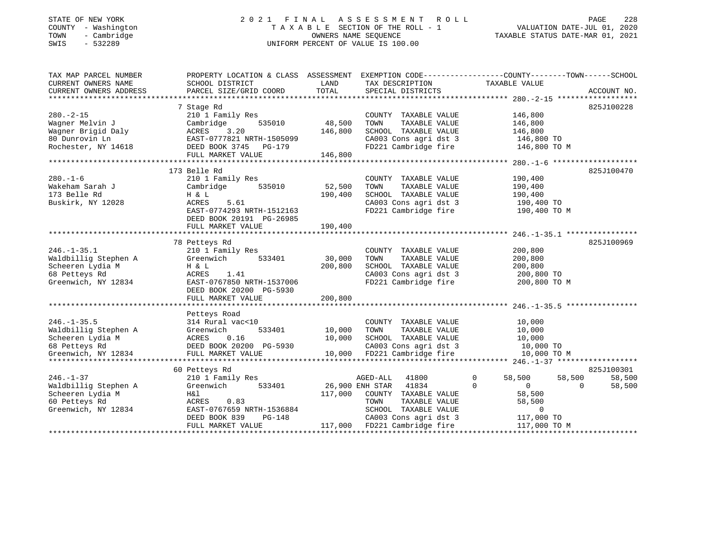#### STATE OF NEW YORK 2 0 2 1 F I N A L A S S E S S M E N T R O L L PAGE 228 COUNTY - Washington T A X A B L E SECTION OF THE ROLL - 1 VALUATION DATE-JUL 01, 2020 TOWN - Cambridge OWNERS NAME SEQUENCE TAXABLE STATUS DATE-MAR 01, 2021 SWIS - 532289 UNIFORM PERCENT OF VALUE IS 100.00UNIFORM PERCENT OF VALUE IS 100.00

| TAX MAP PARCEL NUMBER<br>CURRENT OWNERS NAME<br>CURRENT OWNERS ADDRESS                                                 | PROPERTY LOCATION & CLASS ASSESSMENT<br>SCHOOL DISTRICT<br>PARCEL SIZE/GRID COORD                                                                               | LAND<br>TOTAL                | EXEMPTION CODE-----------------COUNTY-------TOWN------SCHOOL<br>TAX DESCRIPTION TAXABLE VALUE<br>SPECIAL DISTRICTS                                                              |                                                                                                         | ACCOUNT NO.                                          |
|------------------------------------------------------------------------------------------------------------------------|-----------------------------------------------------------------------------------------------------------------------------------------------------------------|------------------------------|---------------------------------------------------------------------------------------------------------------------------------------------------------------------------------|---------------------------------------------------------------------------------------------------------|------------------------------------------------------|
| $280. - 2 - 15$<br>Wagner Melvin J<br>Wagner Brigid Daly<br>80 Dunrovin Ln<br>Rochester, NY 14618                      | 7 Stage Rd<br>210 1 Family Res<br>Cambridge<br>535010<br>3.20<br>ACRES<br>EAST-0777821 NRTH-1505099<br>DEED BOOK 3745 PG-179<br>FULL MARKET VALUE               | 48,500<br>146,800<br>146,800 | COUNTY TAXABLE VALUE<br>TOWN<br>TAXABLE VALUE<br>SCHOOL TAXABLE VALUE<br>CA003 Cons agri dst 3<br>FD221 Cambridge fire                                                          | 146,800<br>146,800<br>146,800<br>146,800 TO<br>146,800 TO M                                             | 825J100228                                           |
| $280. - 1 - 6$<br>Wakeham Sarah J<br>173 Belle Rd<br>Buskirk, NY 12028                                                 | 173 Belle Rd<br>210 1 Family Res<br>535010<br>Cambridge<br>H & L<br>ACRES<br>5.61<br>EAST-0774293 NRTH-1512163<br>DEED BOOK 20191 PG-26985<br>FULL MARKET VALUE | 52,500<br>190,400<br>190,400 | COUNTY TAXABLE VALUE<br>TOWN<br>TAXABLE VALUE<br>SCHOOL TAXABLE VALUE<br>CA003 Cons agri dst 3<br>FD221 Cambridge fire                                                          | 190,400<br>190,400<br>190,400<br>190,400 TO<br>190,400 TO M                                             | 825J100470                                           |
| $246. - 1 - 35.1$<br>Waldbillig Stephen A<br>Scheeren Lydia M<br>68 Petteys Rd<br>Greenwich, NY 12834                  | 78 Petteys Rd<br>210 1 Family Res<br>Greenwich<br>533401<br>H & L<br>ACRES<br>1.41<br>EAST-0767850 NRTH-1537006<br>DEED BOOK 20200 PG-5930<br>FULL MARKET VALUE | 30,000<br>200,800<br>200,800 | COUNTY TAXABLE VALUE<br>TAXABLE VALUE<br>TOWN<br>SCHOOL TAXABLE VALUE<br>CA003 Cons agri dst 3<br>FD221 Cambridge fire                                                          | 200,800<br>200,800<br>200,800<br>200,800 TO<br>200,800 TO M                                             | 825J100969                                           |
| $246. - 1 - 35.5$<br>Waldbillig Stephen A<br>Scheeren Lydia M<br>68 Pettevs Rd<br>68 Petteys Rd<br>Greenwich, NY 12834 | Petteys Road<br>314 Rural vac<10<br>Greenwich<br>533401<br>0.16<br>ACRES<br>DEED BOOK 20200 PG-5930<br>FULL MARKET VALUE                                        | 10,000<br>10,000             | COUNTY TAXABLE VALUE<br>TAXABLE VALUE<br>TOWN<br>SCHOOL TAXABLE VALUE<br>10,000 SCHOOL TAXABLE VALUE<br>CA003 Cons agri dst 3<br>10,000 FD221 Cambridge fire                    | 10,000<br>10,000<br>10,000<br>10,000 TO<br>10,000 TO M                                                  |                                                      |
| $246. - 1 - 37$<br>Waldbillig Stephen A<br>Scheeren Lydia M<br>60 Petteys Rd<br>Greenwich, NY 12834                    | 60 Petteys Rd<br>210 1 Family Res<br>Greenwich<br>533401<br>H&l<br>ACRES 0.83<br>EAST-0767659 NRTH-1536884<br>$PG-148$<br>DEED BOOK 839<br>FULL MARKET VALUE    | 117,000                      | AGED-ALL<br>41800<br>26,900 ENH STAR<br>41834<br>COUNTY TAXABLE VALUE<br>TOWN<br>TAXABLE VALUE<br>SCHOOL TAXABLE VALUE<br>CA003 Cons agri dst 3<br>117,000 FD221 Cambridge fire | 0<br>58,500<br>$\Omega$<br>$\Omega$<br>58,500<br>58,500<br>$\overline{0}$<br>117,000 TO<br>117,000 TO M | 825J100301<br>58,500<br>58,500<br>$\Omega$<br>58,500 |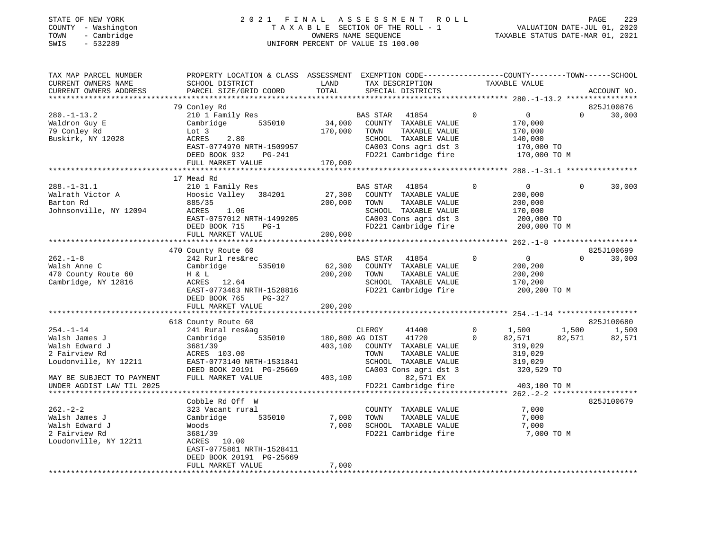#### STATE OF NEW YORK 2 0 2 1 F I N A L A S S E S S M E N T R O L L PAGE 229 COUNTY - Washington T A X A B L E SECTION OF THE ROLL - 1 VALUATION DATE-JUL 01, 2020 TOWN - Cambridge OWNERS NAME SEQUENCE TAXABLE STATUS DATE-MAR 01, 2021 SWIS - 532289 UNIFORM PERCENT OF VALUE IS 100.00UNIFORM PERCENT OF VALUE IS 100.00

| TAX MAP PARCEL NUMBER<br>CURRENT OWNERS NAME<br>CURRENT OWNERS ADDRESS                       | PROPERTY LOCATION & CLASS ASSESSMENT<br>SCHOOL DISTRICT<br>PARCEL SIZE/GRID COORD                                                                                 | LAND<br>TOTAL                | EXEMPTION CODE-----------------COUNTY-------TOWN------SCHOOL<br>TAX DESCRIPTION<br>SPECIAL DISTRICTS                                          | TAXABLE VALUE                                                                              | ACCOUNT NO.                        |
|----------------------------------------------------------------------------------------------|-------------------------------------------------------------------------------------------------------------------------------------------------------------------|------------------------------|-----------------------------------------------------------------------------------------------------------------------------------------------|--------------------------------------------------------------------------------------------|------------------------------------|
|                                                                                              | 79 Conley Rd                                                                                                                                                      |                              |                                                                                                                                               |                                                                                            | 825J100876                         |
| $280. - 1 - 13.2$<br>Waldron Guy E<br>79 Conley Rd<br>Buskirk, NY 12028                      | 210 1 Family Res<br>Cambridge<br>535010<br>Lot 3<br>ACRES<br>2.80<br>EAST-0774970 NRTH-1509957<br>DEED BOOK 932<br>PG-241<br>FULL MARKET VALUE                    | 34,000<br>170,000<br>170,000 | 41854<br>BAS STAR<br>COUNTY TAXABLE VALUE<br>TAXABLE VALUE<br>TOWN<br>SCHOOL TAXABLE VALUE<br>CA003 Cons agri dst 3<br>FD221 Cambridge fire   | $\Omega$<br>$\overline{0}$<br>170,000<br>170,000<br>140,000<br>170,000 TO<br>170,000 TO M  | $\Omega$<br>30,000                 |
|                                                                                              |                                                                                                                                                                   |                              |                                                                                                                                               |                                                                                            |                                    |
| $288. - 1 - 31.1$<br>Walrath Victor A<br>Barton Rd<br>Johnsonville, NY 12094                 | 17 Mead Rd<br>210 1 Family Res<br>Hoosic Valley<br>384201<br>885/35<br>ACRES<br>1.06<br>EAST-0757012 NRTH-1499205<br>DEED BOOK 715<br>$PG-1$<br>FULL MARKET VALUE | 27,300<br>200,000<br>200,000 | BAS STAR<br>41854<br>COUNTY TAXABLE VALUE<br>TOWN<br>TAXABLE VALUE<br>SCHOOL TAXABLE VALUE<br>CA003 Cons agri dst 3<br>FD221 Cambridge fire   | $\Omega$<br>$\overline{0}$<br>200,000<br>200,000<br>170,000<br>200,000 TO<br>200,000 TO M  | $\Omega$<br>30,000                 |
|                                                                                              | 470 County Route 60                                                                                                                                               |                              |                                                                                                                                               |                                                                                            | 825J100699                         |
| $262. -1 - 8$<br>Walsh Anne C<br>470 County Route 60<br>Cambridge, NY 12816                  | 242 Rurl res&rec<br>Cambridge<br>535010<br>H & L<br>ACRES 12.64<br>EAST-0773463 NRTH-1528816<br>DEED BOOK 765<br>PG-327                                           | 62,300<br>200,200            | BAS STAR<br>41854<br>COUNTY TAXABLE VALUE<br>TOWN<br>TAXABLE VALUE<br>SCHOOL TAXABLE VALUE<br>FD221 Cambridge fire                            | $\mathbf 0$<br>$\overline{0}$<br>200,200<br>200,200<br>170,200<br>200,200 TO M             | $\Omega$<br>30,000                 |
|                                                                                              | FULL MARKET VALUE<br>**************************                                                                                                                   | 200,200                      |                                                                                                                                               |                                                                                            |                                    |
|                                                                                              |                                                                                                                                                                   |                              |                                                                                                                                               |                                                                                            | 825J100680                         |
| $254. - 1 - 14$<br>Walsh James J<br>Walsh Edward J<br>2 Fairview Rd<br>Loudonville, NY 12211 | 618 County Route 60<br>241 Rural res&ag<br>535010<br>Cambridge<br>3681/39<br>ACRES 103.00<br>EAST-0773140 NRTH-1531841<br>DEED BOOK 20191 PG-25669                | 403,100                      | CLERGY<br>41400<br>180,800 AG DIST<br>41720<br>COUNTY TAXABLE VALUE<br>TOWN<br>TAXABLE VALUE<br>SCHOOL TAXABLE VALUE<br>CA003 Cons agri dst 3 | $\mathbf{0}$<br>1,500<br>$\Omega$<br>82,571<br>319,029<br>319,029<br>319,029<br>320,529 TO | 1,500<br>1,500<br>82,571<br>82,571 |
| MAY BE SUBJECT TO PAYMENT<br>UNDER AGDIST LAW TIL 2025                                       | FULL MARKET VALUE                                                                                                                                                 | 403,100                      | 82,571 EX<br>FD221 Cambridge fire                                                                                                             | 403,100 TO M                                                                               |                                    |
|                                                                                              |                                                                                                                                                                   |                              |                                                                                                                                               |                                                                                            |                                    |
| $262 - 2 - 2$<br>Walsh James J<br>Walsh Edward J<br>2 Fairview Rd<br>Loudonville, NY 12211   | Cobble Rd Off W<br>323 Vacant rural<br>Cambridge<br>535010<br>Woods<br>3681/39<br>ACRES 10.00<br>EAST-0775861 NRTH-1528411<br>DEED BOOK 20191 PG-25669            | 7,000<br>7,000               | COUNTY TAXABLE VALUE<br>TAXABLE VALUE<br>TOWN<br>SCHOOL TAXABLE VALUE<br>FD221 Cambridge fire                                                 | 7,000<br>7,000<br>7,000<br>7,000 TO M                                                      | 825J100679                         |
|                                                                                              | FULL MARKET VALUE                                                                                                                                                 | 7,000                        |                                                                                                                                               |                                                                                            |                                    |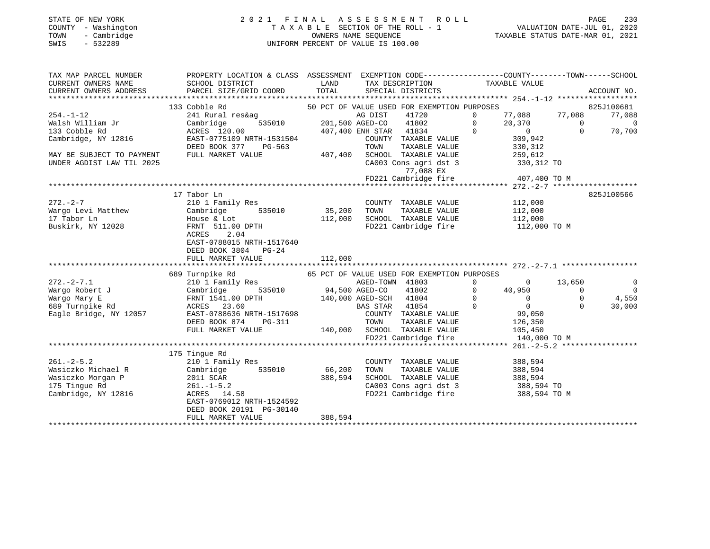## STATE OF NEW YORK 2 0 2 1 F I N A L A S S E S S M E N T R O L L PAGE 230 COUNTY - Washington T A X A B L E SECTION OF THE ROLL - 1 VALUATION DATE-JUL 01, 2020 TOWN - Cambridge OWNERS NAME SEQUENCE TAXABLE STATUS DATE-MAR 01, 2021 SWIS - 532289 UNIFORM PERCENT OF VALUE IS 100.00

| TAX MAP PARCEL NUMBER  | PROPERTY LOCATION & CLASS ASSESSMENT EXEMPTION CODE---------------COUNTY-------TOWN-----SCHOOL                                                                                                                                                                                                                                                                                                                                                                              |         |                                                                       |             |
|------------------------|-----------------------------------------------------------------------------------------------------------------------------------------------------------------------------------------------------------------------------------------------------------------------------------------------------------------------------------------------------------------------------------------------------------------------------------------------------------------------------|---------|-----------------------------------------------------------------------|-------------|
| CURRENT OWNERS NAME    | SCHOOL DISTRICT LAND                                                                                                                                                                                                                                                                                                                                                                                                                                                        |         | TAX DESCRIPTION TAXABLE VALUE<br>SPECIAL DISTRICTS                    |             |
| CURRENT OWNERS ADDRESS | PARCEL SIZE/GRID COORD TOTAL                                                                                                                                                                                                                                                                                                                                                                                                                                                |         |                                                                       | ACCOUNT NO. |
|                        |                                                                                                                                                                                                                                                                                                                                                                                                                                                                             |         |                                                                       |             |
|                        |                                                                                                                                                                                                                                                                                                                                                                                                                                                                             |         |                                                                       |             |
|                        |                                                                                                                                                                                                                                                                                                                                                                                                                                                                             |         |                                                                       |             |
|                        |                                                                                                                                                                                                                                                                                                                                                                                                                                                                             |         |                                                                       |             |
|                        |                                                                                                                                                                                                                                                                                                                                                                                                                                                                             |         |                                                                       |             |
|                        |                                                                                                                                                                                                                                                                                                                                                                                                                                                                             |         |                                                                       |             |
|                        |                                                                                                                                                                                                                                                                                                                                                                                                                                                                             |         |                                                                       |             |
|                        |                                                                                                                                                                                                                                                                                                                                                                                                                                                                             |         |                                                                       |             |
|                        | 33 Coble Rd and 241 Rural cander of DEED FOR EXEMPTION PURPOSES<br>33 Coble Rd and 201,500 AGED-CO 41802 0 20,370 0<br>33 Coble Rd acress 120.00<br>201,500 AGED-CO 41802 0 20,370 0 0<br>201,500 AGED-CO 41802 0 20,370 0 0<br>201,500                                                                                                                                                                                                                                     |         |                                                                       |             |
|                        |                                                                                                                                                                                                                                                                                                                                                                                                                                                                             |         | 77,088 EX<br>FD221 Cambridge fire 407,400 TO M                        |             |
|                        |                                                                                                                                                                                                                                                                                                                                                                                                                                                                             |         |                                                                       |             |
|                        |                                                                                                                                                                                                                                                                                                                                                                                                                                                                             |         |                                                                       |             |
|                        | 17 Tabor Ln                                                                                                                                                                                                                                                                                                                                                                                                                                                                 |         |                                                                       | 825J100566  |
|                        |                                                                                                                                                                                                                                                                                                                                                                                                                                                                             |         |                                                                       |             |
|                        |                                                                                                                                                                                                                                                                                                                                                                                                                                                                             |         |                                                                       |             |
|                        |                                                                                                                                                                                                                                                                                                                                                                                                                                                                             |         |                                                                       |             |
|                        | $\begin{array}{ccccccc}\n 272.-2-7 & & & 210 & 1 &\text{Family Res} & & & \text{COUNTY} & \text{TXABLE VALUE} & & & 112,000 \\  & & & & 210 & 1 &\text{Family Res} & & & \text{COUNTY} & \text{TAXABLE VALUE} & & & 112,000 \\  & & & & & & & & & & \\ \text{Nargo Levi Matthew} & & & & & & & & \\  17\text{Tabor Ln} & & & & & & & \\  18\text{House} & & & & & & & \\  19\text{House} & & & & & & & \\  10\text{Mose} & & & & & & & \\  11\text{Rone} & &$<br>ACRES 2.04 |         |                                                                       |             |
|                        | EAST-0788015 NRTH-1517640                                                                                                                                                                                                                                                                                                                                                                                                                                                   |         |                                                                       |             |
|                        | DEED BOOK 3804 PG-24                                                                                                                                                                                                                                                                                                                                                                                                                                                        |         |                                                                       |             |
|                        |                                                                                                                                                                                                                                                                                                                                                                                                                                                                             |         |                                                                       |             |
|                        |                                                                                                                                                                                                                                                                                                                                                                                                                                                                             |         |                                                                       |             |
|                        |                                                                                                                                                                                                                                                                                                                                                                                                                                                                             |         |                                                                       |             |
|                        |                                                                                                                                                                                                                                                                                                                                                                                                                                                                             |         |                                                                       |             |
|                        |                                                                                                                                                                                                                                                                                                                                                                                                                                                                             |         |                                                                       |             |
|                        |                                                                                                                                                                                                                                                                                                                                                                                                                                                                             |         |                                                                       |             |
|                        |                                                                                                                                                                                                                                                                                                                                                                                                                                                                             |         |                                                                       |             |
|                        |                                                                                                                                                                                                                                                                                                                                                                                                                                                                             |         |                                                                       |             |
|                        |                                                                                                                                                                                                                                                                                                                                                                                                                                                                             |         |                                                                       |             |
|                        |                                                                                                                                                                                                                                                                                                                                                                                                                                                                             |         |                                                                       |             |
|                        |                                                                                                                                                                                                                                                                                                                                                                                                                                                                             |         |                                                                       |             |
|                        |                                                                                                                                                                                                                                                                                                                                                                                                                                                                             |         |                                                                       |             |
|                        | 175 Tingue Rd                                                                                                                                                                                                                                                                                                                                                                                                                                                               |         |                                                                       |             |
|                        |                                                                                                                                                                                                                                                                                                                                                                                                                                                                             |         | COUNTY TAXABLE VALUE 388,594<br>TOWN TAXABLE VALUE 388,594            |             |
|                        |                                                                                                                                                                                                                                                                                                                                                                                                                                                                             |         |                                                                       |             |
|                        |                                                                                                                                                                                                                                                                                                                                                                                                                                                                             |         | SCHOOL TAXABLE VALUE 388,594                                          |             |
|                        |                                                                                                                                                                                                                                                                                                                                                                                                                                                                             |         | CA003 Cons agri dst 3 388,594 TO<br>FD221 Cambridge fire 388,594 TO M |             |
|                        | 261.-2-5.2<br>Wasiczko Michael R (2010 1 Family Res<br>Wasiczko Morgan P 2011 SCAR 388,594 SCHOO<br>175 Tingue Rd 261.-1-5.2<br>Cambridge, NY 12816 ACRES 14.58<br>Cambridge, NY 12816 261.-1-5.2<br>Cambridge, NY 12816 261.-1-5.2                                                                                                                                                                                                                                         |         |                                                                       |             |
|                        |                                                                                                                                                                                                                                                                                                                                                                                                                                                                             |         |                                                                       |             |
|                        | DEED BOOK 20191 PG-30140                                                                                                                                                                                                                                                                                                                                                                                                                                                    |         |                                                                       |             |
|                        | FULL MARKET VALUE                                                                                                                                                                                                                                                                                                                                                                                                                                                           | 388,594 |                                                                       |             |
|                        |                                                                                                                                                                                                                                                                                                                                                                                                                                                                             |         |                                                                       |             |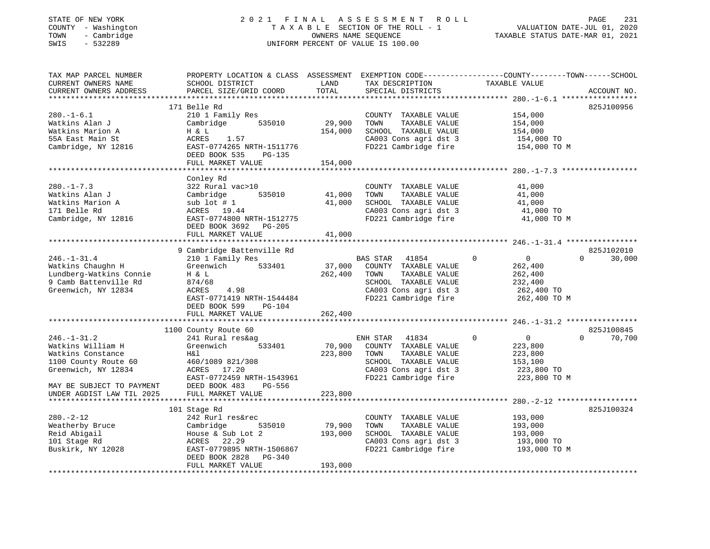## STATE OF NEW YORK 2 0 2 1 F I N A L A S S E S S M E N T R O L L PAGE 231 COUNTY - Washington T A X A B L E SECTION OF THE ROLL - 1 VALUATION DATE-JUL 01, 2020 TOWN - Cambridge OWNERS NAME SEQUENCE TAXABLE STATUS DATE-MAR 01, 2021 SWIS - 532289 UNIFORM PERCENT OF VALUE IS 100.00

| TAX MAP PARCEL NUMBER             | PROPERTY LOCATION & CLASS ASSESSMENT    |                | EXEMPTION CODE-----------------COUNTY-------TOWN------SCHOOL |                         |                    |
|-----------------------------------|-----------------------------------------|----------------|--------------------------------------------------------------|-------------------------|--------------------|
| CURRENT OWNERS NAME               | SCHOOL DISTRICT                         | LAND           | TAX DESCRIPTION                                              | TAXABLE VALUE           |                    |
| CURRENT OWNERS ADDRESS            | PARCEL SIZE/GRID COORD                  | TOTAL          | SPECIAL DISTRICTS                                            |                         | ACCOUNT NO.        |
|                                   | 171 Belle Rd                            |                |                                                              |                         | 825J100956         |
|                                   |                                         |                |                                                              |                         |                    |
| $280. -1 - 6.1$<br>Watkins Alan J | 210 1 Family Res<br>Cambridge<br>535010 | 29,900         | COUNTY TAXABLE VALUE<br>TOWN<br>TAXABLE VALUE                | 154,000<br>154,000      |                    |
| Watkins Marion A                  |                                         |                |                                                              |                         |                    |
|                                   | H & L                                   | 154,000        | SCHOOL TAXABLE VALUE                                         | 154,000                 |                    |
| 55A East Main St                  | 1.57<br>ACRES                           |                | CA003 Cons agri dst 3                                        | 154,000 TO              |                    |
| Cambridge, NY 12816               | EAST-0774265 NRTH-1511776               |                | FD221 Cambridge fire                                         | 154,000 TO M            |                    |
|                                   | DEED BOOK 535<br>PG-135                 |                |                                                              |                         |                    |
|                                   | FULL MARKET VALUE                       | 154,000        |                                                              |                         |                    |
|                                   |                                         |                |                                                              |                         |                    |
|                                   | Conley Rd                               |                |                                                              |                         |                    |
| $280. -1 - 7.3$                   | 322 Rural vac>10                        |                | COUNTY TAXABLE VALUE                                         | 41,000                  |                    |
| Watkins Alan J                    | Cambridge<br>535010                     | 41,000         | TAXABLE VALUE<br>TOWN                                        | 41,000                  |                    |
| Watkins Marion A                  | $sub$ lot $# 1$                         | 41,000         | SCHOOL TAXABLE VALUE                                         | 41,000                  |                    |
| 171 Belle Rd                      | ACRES 19.44                             |                | CA003 Cons agri dst 3                                        | 41,000 TO               |                    |
| Cambridge, NY 12816               | EAST-0774800 NRTH-1512775               |                | FD221 Cambridge fire                                         | 41,000 TO M             |                    |
|                                   | DEED BOOK 3692 PG-205                   |                |                                                              |                         |                    |
|                                   | FULL MARKET VALUE                       | 41,000         |                                                              |                         |                    |
|                                   |                                         | ************** |                                                              |                         |                    |
|                                   | 9 Cambridge Battenville Rd              |                |                                                              |                         | 825J102010         |
| $246. - 1 - 31.4$                 | 210 1 Family Res                        |                | <b>BAS STAR</b><br>41854                                     | $\mathbf 0$<br>$\Omega$ | 30,000<br>$\Omega$ |
| Watkins Chaughn H                 | Greenwich<br>533401                     | 37,000         | COUNTY TAXABLE VALUE                                         | 262,400                 |                    |
| Lundberg-Watkins Connie           | H & L                                   | 262,400        | TAXABLE VALUE<br>TOWN                                        | 262,400                 |                    |
| 9 Camb Battenville Rd             | 874/68                                  |                | SCHOOL TAXABLE VALUE                                         | 232,400                 |                    |
| Greenwich, NY 12834               | 4.98<br>ACRES                           |                | CA003 Cons agri dst 3                                        | 262,400 TO              |                    |
|                                   | EAST-0771419 NRTH-1544484               |                | FD221 Cambridge fire                                         | 262,400 TO M            |                    |
|                                   | DEED BOOK 599<br>$PG-104$               |                |                                                              |                         |                    |
|                                   | FULL MARKET VALUE                       | 262,400        |                                                              |                         |                    |
|                                   |                                         |                |                                                              |                         |                    |
|                                   | 1100 County Route 60                    |                |                                                              |                         | 825J100845         |
| $246. - 1 - 31.2$                 | 241 Rural res&ag                        |                | ENH STAR<br>41834                                            | $\mathbf 0$<br>$\circ$  | $\Omega$<br>70,700 |
| Watkins William H                 | Greenwich<br>533401                     | 70,900         | COUNTY TAXABLE VALUE                                         | 223,800                 |                    |
| Watkins Constance                 | Η&l                                     | 223,800        | TOWN<br>TAXABLE VALUE                                        | 223,800                 |                    |
| 1100 County Route 60              | 460/1089 821/308                        |                | SCHOOL TAXABLE VALUE                                         | 153,100                 |                    |
| Greenwich, NY 12834               | ACRES<br>17.20                          |                | CA003 Cons agri dst 3                                        | 223,800 TO              |                    |
|                                   | EAST-0772459 NRTH-1543961               |                | FD221 Cambridge fire                                         | 223,800 TO M            |                    |
| MAY BE SUBJECT TO PAYMENT         | DEED BOOK 483<br>PG-556                 |                |                                                              |                         |                    |
| UNDER AGDIST LAW TIL 2025         | FULL MARKET VALUE                       | 223,800        |                                                              |                         |                    |
|                                   | ***********************                 |                |                                                              |                         |                    |
|                                   | 101 Stage Rd                            |                |                                                              |                         | 825J100324         |
| $280. -2 - 12$                    | 242 Rurl res&rec                        |                | COUNTY TAXABLE VALUE                                         | 193,000                 |                    |
| Weatherby Bruce                   | 535010<br>Cambridge                     | 79,900         | TOWN<br>TAXABLE VALUE                                        | 193,000                 |                    |
| Reid Abigail                      | House & Sub Lot 2                       | 193,000        | SCHOOL TAXABLE VALUE                                         | 193,000                 |                    |
| 101 Stage Rd                      | ACRES<br>22.29                          |                | CA003 Cons agri dst 3                                        | 193,000 TO              |                    |
| Buskirk, NY 12028                 | EAST-0779895 NRTH-1506867               |                | FD221 Cambridge fire                                         | 193,000 TO M            |                    |
|                                   | DEED BOOK 2828<br>$PG-340$              |                |                                                              |                         |                    |
|                                   | FULL MARKET VALUE                       | 193,000        |                                                              |                         |                    |
|                                   |                                         |                |                                                              |                         |                    |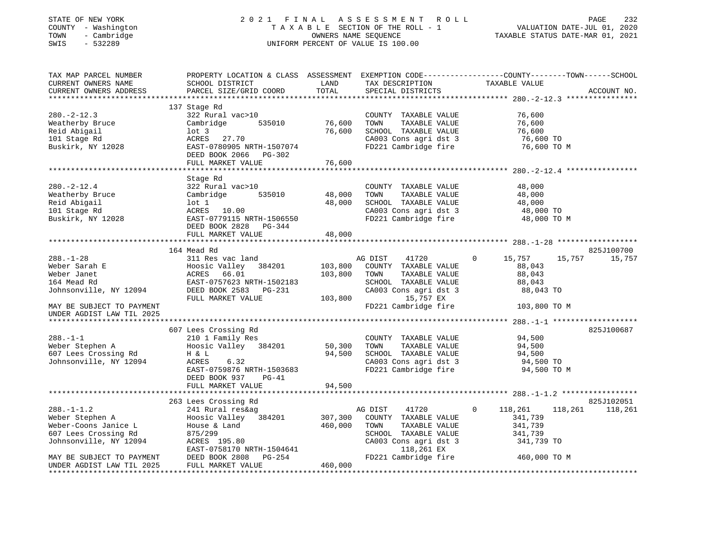#### STATE OF NEW YORK 2 0 2 1 F I N A L A S S E S S M E N T R O L L PAGE 232 COUNTY - Washington T A X A B L E SECTION OF THE ROLL - 1 VALUATION DATE-JUL 01, 2020 TOWN - Cambridge OWNERS NAME SEQUENCE TAXABLE STATUS DATE-MAR 01, 2021 SWIS - 532289 UNIFORM PERCENT OF VALUE IS 100.00UNIFORM PERCENT OF VALUE IS 100.00

| SCHOOL DISTRICT<br>PARCEL SIZE/GRID COORD                                                                                                                                      | LAND<br>TOTAL                                                                                                             | TAX DESCRIPTION<br>SPECIAL DISTRICTS                                                                                                                                  | TAXABLE VALUE                                                                                                     | ACCOUNT NO.                                                                                                                                                                                                                                                                                       |
|--------------------------------------------------------------------------------------------------------------------------------------------------------------------------------|---------------------------------------------------------------------------------------------------------------------------|-----------------------------------------------------------------------------------------------------------------------------------------------------------------------|-------------------------------------------------------------------------------------------------------------------|---------------------------------------------------------------------------------------------------------------------------------------------------------------------------------------------------------------------------------------------------------------------------------------------------|
| 322 Rural vac>10<br>535010<br>Cambridge<br>$1$ ot 3<br>ACRES 27.70<br>DEED BOOK 2066 PG-302                                                                                    | 76,600<br>76,600                                                                                                          | COUNTY TAXABLE VALUE<br>TAXABLE VALUE<br>TOWN<br>SCHOOL TAXABLE VALUE                                                                                                 | 76,600<br>76,600<br>76,600<br>76,600 TO<br>76,600 TO M                                                            |                                                                                                                                                                                                                                                                                                   |
|                                                                                                                                                                                |                                                                                                                           |                                                                                                                                                                       |                                                                                                                   |                                                                                                                                                                                                                                                                                                   |
| Stage Rd<br>322 Rural vac>10<br>Cambridge<br>535010<br>$1$ ot $1$<br>ACRES 10.00<br>EAST-0779115 NRTH-1506550                                                                  | 48,000<br>48,000                                                                                                          | COUNTY TAXABLE VALUE<br>TAXABLE VALUE<br>TOWN<br>SCHOOL TAXABLE VALUE                                                                                                 | 48,000<br>48,000<br>48,000<br>48,000 TO<br>48,000 TO M                                                            |                                                                                                                                                                                                                                                                                                   |
| FULL MARKET VALUE                                                                                                                                                              | 48,000                                                                                                                    |                                                                                                                                                                       |                                                                                                                   |                                                                                                                                                                                                                                                                                                   |
| 311 Res vac land<br>Hoosic Valley 384201<br>ACRES 66.01<br>EAST-0757623 NRTH-1502183<br>DEED BOOK 2583 PG-231<br>FULL MARKET VALUE<br>210 1 Family Res<br>Hoosic Valley 384201 | 103,800<br>103,800<br>103,800<br>50,300                                                                                   | 41720<br>COUNTY TAXABLE VALUE<br>TAXABLE VALUE<br>TOWN<br>SCHOOL TAXABLE VALUE<br>CA003 Cons agri dst 3<br>15,757 EX<br>COUNTY TAXABLE VALUE<br>TAXABLE VALUE<br>TOWN | 15,757<br>15,757<br>$\overline{0}$<br>88,043<br>88,043<br>88,043<br>88,043 TO<br>103,800 TO M<br>94,500<br>94,500 | 825J100700<br>15,757<br>825J100687                                                                                                                                                                                                                                                                |
| H & L<br>ACRES<br>6.32<br>EAST-0759876 NRTH-1503683<br>DEED BOOK 937<br>$PG-41$<br>FULL MARKET VALUE                                                                           | 94,500                                                                                                                    |                                                                                                                                                                       | 94,500<br>94,500 TO<br>94,500 TO M                                                                                |                                                                                                                                                                                                                                                                                                   |
| 241 Rural res&ag<br>Hoosic Valley 384201<br>House & Land<br>875/299<br>ACRES 195.80<br>EAST-0758170 NRTH-1504641<br>DEED BOOK 2808 PG-254<br>FULL MARKET VALUE                 | 307,300<br>460,000<br>460,000                                                                                             | 41720<br>COUNTY TAXABLE VALUE<br>TOWN<br>TAXABLE VALUE<br>SCHOOL TAXABLE VALUE<br>CA003 Cons agri dst 3<br>118,261 EX                                                 | $\Omega$<br>118,261<br>118,261<br>341,739<br>341,739<br>341,739<br>341,739 TO<br>460,000 TO M                     | 825J102051<br>118,261                                                                                                                                                                                                                                                                             |
|                                                                                                                                                                                | 137 Stage Rd<br>FULL MARKET VALUE<br>DEED BOOK 2828 PG-344<br>164 Mead Rd<br>607 Lees Crossing Rd<br>263 Lees Crossing Rd | EAST-0780905 NRTH-1507074<br>76,600<br>94,500                                                                                                                         | AG DIST<br>SCHOOL TAXABLE VALUE<br>AG DIST                                                                        | PROPERTY LOCATION & CLASS ASSESSMENT EXEMPTION CODE---------------COUNTY-------TOWN-----SCHOOL<br>CA003 Cons agri dst 3<br>FD221 Cambridge fire<br>CA003 Cons agri dst 3<br>FD221 Cambridge fire<br>FD221 Cambridge fire<br>CA003 Cons agri dst 3<br>FD221 Cambridge fire<br>FD221 Cambridge fire |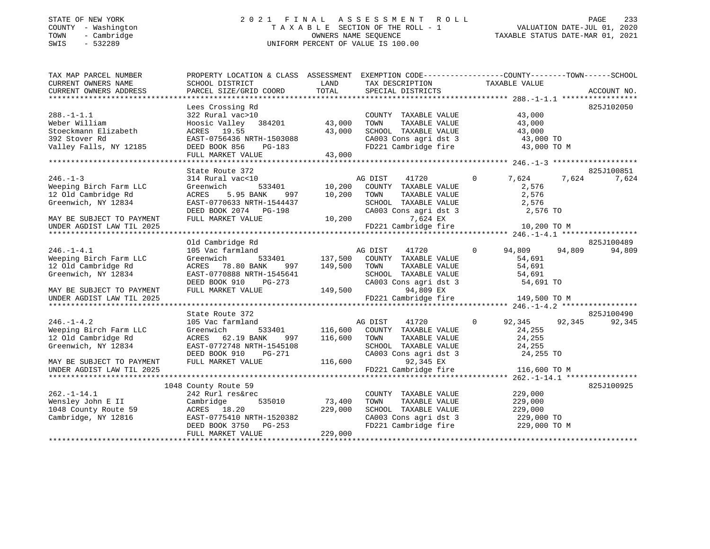## STATE OF NEW YORK 2 0 2 1 F I N A L A S S E S S M E N T R O L L PAGE 233 COUNTY - Washington T A X A B L E SECTION OF THE ROLL - 1 VALUATION DATE-JUL 01, 2020 TOWN - Cambridge OWNERS NAME SEQUENCE TAXABLE STATUS DATE-MAR 01, 2021 SWIS - 532289 UNIFORM PERCENT OF VALUE IS 100.00

| TAX MAP PARCEL NUMBER<br>CURRENT OWNERS NAME | PROPERTY LOCATION & CLASS ASSESSMENT<br>SCHOOL DISTRICT | LAND    | EXEMPTION CODE-----------------COUNTY-------TOWN------SCHOOL<br>TAX DESCRIPTION TAXABLE VALUE |          |                               |        |             |
|----------------------------------------------|---------------------------------------------------------|---------|-----------------------------------------------------------------------------------------------|----------|-------------------------------|--------|-------------|
| CURRENT OWNERS ADDRESS                       | PARCEL SIZE/GRID COORD                                  | TOTAL   | SPECIAL DISTRICTS                                                                             |          |                               |        | ACCOUNT NO. |
|                                              |                                                         |         |                                                                                               |          |                               |        | 825J102050  |
| $288. - 1 - 1.1$                             | Lees Crossing Rd<br>322 Rural vac>10                    |         | COUNTY TAXABLE VALUE                                                                          |          | 43,000                        |        |             |
| Weber William                                | Hoosic Valley 384201 43,000                             |         | TAXABLE VALUE<br>TOWN                                                                         |          | 43,000                        |        |             |
| Stoeckmann Elizabeth                         | ACRES 19.55                                             | 43,000  | SCHOOL TAXABLE VALUE                                                                          |          | 43,000                        |        |             |
| 392 Stover Rd                                | EAST-0756436 NRTH-1503088                               |         | CA003 Cons agri dst 3                                                                         |          | 43,000 TO                     |        |             |
| Valley Falls, NY 12185                       | DEED BOOK 856<br>PG-183                                 |         | FD221 Cambridge fire                                                                          |          | 43,000 TO M                   |        |             |
|                                              | FULL MARKET VALUE                                       | 43,000  |                                                                                               |          |                               |        |             |
|                                              |                                                         |         |                                                                                               |          |                               |        |             |
|                                              | State Route 372                                         |         |                                                                                               |          |                               |        | 825J100851  |
| $246. - 1 - 3$                               | 314 Rural vac<10                                        | 10,200  | 41720<br>AG DIST                                                                              | $\circ$  | 7,624                         | 7,624  | 7,624       |
| Weeping Birch Farm LLC                       | Greenwich<br>533401                                     |         | COUNTY TAXABLE VALUE                                                                          |          | 2,576                         |        |             |
| 12 Old Cambridge Rd                          | ACRES<br>5.95 BANK<br>997                               | 10,200  | TOWN<br>TAXABLE VALUE                                                                         |          | 2,576                         |        |             |
| Greenwich, NY 12834                          | EAST-0770633 NRTH-1544437                               |         | SCHOOL TAXABLE VALUE                                                                          |          | 2,576                         |        |             |
|                                              | DEED BOOK 2074 PG-198                                   |         | CA003 Cons agri dst 3                                                                         |          | 2,576 TO                      |        |             |
| MAY BE SUBJECT TO PAYMENT                    | FULL MARKET VALUE                                       | 10,200  | 7,624 EX                                                                                      |          |                               |        |             |
| UNDER AGDIST LAW TIL 2025                    |                                                         |         | FD221 Cambridge fire                                                                          |          | 10,200 TO M                   |        |             |
|                                              |                                                         |         |                                                                                               |          |                               |        |             |
|                                              | Old Cambridge Rd                                        |         |                                                                                               |          |                               |        | 825J100489  |
| $246. - 1 - 4.1$                             | 105 Vac farmland                                        |         | 41720<br>AG DIST                                                                              | $\Omega$ | 94,809                        | 94,809 | 94,809      |
| Weeping Birch Farm LLC                       | Greenwich<br>533401                                     |         | 137,500 COUNTY TAXABLE VALUE                                                                  |          | 54,691                        |        |             |
| 12 Old Cambridge Rd                          | 78.80 BANK<br>997<br>ACRES                              | 149,500 | TOWN<br>TAXABLE VALUE                                                                         |          | 54,691                        |        |             |
| Greenwich, NY 12834                          | EAST-0770888 NRTH-1545641                               |         | SCHOOL TAXABLE VALUE                                                                          |          | 54,691                        |        |             |
|                                              | DEED BOOK 910<br>$PG-273$                               |         | CA003 Cons agri dst 3                                                                         |          | 54,691 TO                     |        |             |
| MAY BE SUBJECT TO PAYMENT                    | FULL MARKET VALUE                                       | 149,500 | 94,809 EX                                                                                     |          |                               |        |             |
| UNDER AGDIST LAW TIL 2025                    |                                                         |         | FD221 Cambridge fire                                                                          |          | 149,500 TO M                  |        |             |
|                                              | State Route 372                                         |         |                                                                                               |          |                               |        | 825J100490  |
| $246. - 1 - 4.2$                             | 105 Vac farmland                                        |         | AG DIST<br>41720                                                                              | $\circ$  | 92,345                        | 92,345 | 92,345      |
| Weeping Birch Farm LLC                       | Greenwich<br>533401                                     | 116,600 | COUNTY TAXABLE VALUE                                                                          |          | 24,255                        |        |             |
| 12 Old Cambridge Rd                          | ACRES 62.19 BANK<br>997                                 | 116,600 | TOWN<br>TAXABLE VALUE                                                                         |          | 24,255                        |        |             |
| Greenwich, NY 12834                          | EAST-0772748 NRTH-1545108                               |         | SCHOOL TAXABLE VALUE                                                                          |          |                               |        |             |
|                                              | DEED BOOK 910<br>PG-271                                 |         | CA003 Cons agri dst 3                                                                         |          | 24,255<br>24,255<br>24,255 TO |        |             |
| MAY BE SUBJECT TO PAYMENT                    | FULL MARKET VALUE                                       | 116,600 | 92,345 EX                                                                                     |          |                               |        |             |
| UNDER AGDIST LAW TIL 2025                    |                                                         |         | FD221 Cambridge fire                                                                          |          | 116,600 TO M                  |        |             |
|                                              |                                                         |         |                                                                                               |          |                               |        |             |
|                                              | 1048 County Route 59                                    |         |                                                                                               |          |                               |        | 825J100925  |
| $262. -1 - 14.1$                             | 242 Rurl res&rec                                        |         | COUNTY TAXABLE VALUE                                                                          |          | 229,000                       |        |             |
| Wensley John E II                            | 535010<br>Cambridge                                     | 73,400  | TAXABLE VALUE<br>TOWN                                                                         |          | 229,000                       |        |             |
| 1048 County Route 59                         | ACRES 18.20                                             | 229,000 | SCHOOL TAXABLE VALUE                                                                          |          | 229,000                       |        |             |
| Cambridge, NY 12816                          | EAST-0775410 NRTH-1520382                               |         |                                                                                               |          |                               |        |             |
|                                              | DEED BOOK 3750 PG-253                                   |         | CA003 Cons agri dst 3 229,000 TO<br>FD221 Cambridge fire 229,000 TO M                         |          |                               |        |             |
|                                              | FULL MARKET VALUE                                       | 229,000 |                                                                                               |          |                               |        |             |
|                                              |                                                         |         |                                                                                               |          |                               |        |             |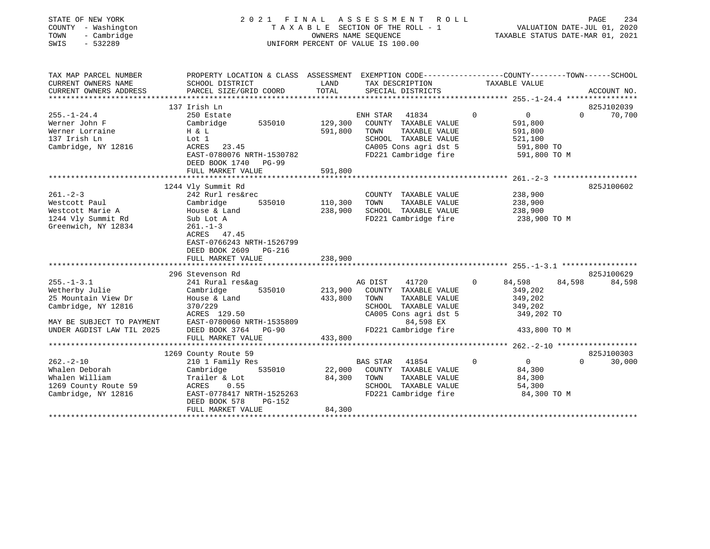| STATE OF NEW YORK |              |
|-------------------|--------------|
| <b>COUNTY</b>     | - Washington |
| TOWN              | - Cambridge  |
| $\alpha$          | F 20000      |

## STATE OF NEW YORK 2 0 2 1 F I N A L A S S E S S M E N T R O L L PAGE 234 COUNTY - Washington T A X A B L E SECTION OF THE ROLL - 1 VALUATION DATE-JUL 01, 2020 TOWN - Cambridge OWNERS NAME SEQUENCE TAXABLE STATUS DATE-MAR 01, 2021 SWIS - 532289 UNIFORM PERCENT OF VALUE IS 100.00UNIFORM PERCENT OF VALUE IS 100.00

| TAX MAP PARCEL NUMBER<br>CURRENT OWNERS NAME<br>CURRENT OWNERS ADDRESS                                                                     | PROPERTY LOCATION & CLASS ASSESSMENT<br>SCHOOL DISTRICT<br>PARCEL SIZE/GRID COORD                                                                                                            | LAND<br>TOTAL                        | EXEMPTION CODE-----------------COUNTY-------TOWN------SCHOOL<br>TAX DESCRIPTION<br>SPECIAL DISTRICTS                                                    | TAXABLE VALUE                                                                     | ACCOUNT NO.                      |
|--------------------------------------------------------------------------------------------------------------------------------------------|----------------------------------------------------------------------------------------------------------------------------------------------------------------------------------------------|--------------------------------------|---------------------------------------------------------------------------------------------------------------------------------------------------------|-----------------------------------------------------------------------------------|----------------------------------|
| $255. - 1 - 24.4$<br>Werner John F<br>Werner Lorraine<br>137 Irish Ln<br>Cambridge, NY 12816                                               | 137 Irish Ln<br>250 Estate<br>535010 129,300<br>Cambridge<br>H & L<br>Lot 1<br>ACRES 23.45<br>EAST-0780076 NRTH-1530782<br>DEED BOOK 1740 PG-99<br>FULL MARKET VALUE                         | 591,800<br>591,800                   | ENH STAR 41834<br>COUNTY TAXABLE VALUE<br>TOWN<br>TAXABLE VALUE<br>SCHOOL TAXABLE VALUE<br>CA005 Cons agri dst 5 591,800 TO<br>FD221 Cambridge fire     | $\Omega$<br>$\overline{0}$<br>591,800<br>591,800<br>521,100<br>591,800 TO M       | 825J102039<br>$\Omega$<br>70,700 |
| $261. - 2 - 3$<br>Westcott Paul<br>Westcott Marie A<br>1244 Vly Summit Rd<br>Greenwich, NY 12834                                           | 1244 Vly Summit Rd<br>242 Rurl res&rec<br>Cambridge<br>House & Land<br>Sub Lot A<br>$261. - 1 - 3$<br>ACRES 47.45<br>EAST-0766243 NRTH-1526799<br>DEED BOOK 2609 PG-216<br>FULL MARKET VALUE | 535010 110,300<br>238,900<br>238,900 | COUNTY TAXABLE VALUE<br>TOWN<br>TAXABLE VALUE<br>SCHOOL TAXABLE VALUE<br>FD221 Cambridge fire                                                           | 238,900<br>238,900<br>238,900<br>238,900 TO M                                     | 825J100602                       |
| $255. - 1 - 3.1$<br>Wetherby Julie<br>25 Mountain View Dr<br>Cambridge, NY 12816<br>MAY BE SUBJECT TO PAYMENT<br>UNDER AGDIST LAW TIL 2025 | 296 Stevenson Rd<br>241 Rural res&ag<br>Cambridge<br>535010<br>House & Land<br>370/229<br>ACRES 129.50<br>EAST-0780060 NRTH-1535809<br>DEED BOOK 3764 PG-90<br>FULL MARKET VALUE             | 213,900<br>433,800<br>433,800        | AG DIST<br>41720<br>COUNTY TAXABLE VALUE<br>TOWN<br>TAXABLE VALUE<br>SCHOOL TAXABLE VALUE<br>CA005 Cons agri dst 5<br>84,598 EX<br>FD221 Cambridge fire | $\Omega$<br>84,598<br>349,202<br>349,202<br>349,202<br>349,202 TO<br>433,800 TO M | 825J100629<br>84,598<br>84,598   |
| $262 - 2 - 10$<br>Whalen Deborah<br>Whalen William<br>1269 County Route 59<br>Cambridge, NY 12816                                          | 1269 County Route 59<br>210 1 Family Res<br>535010<br>Cambridge<br>Trailer & Lot<br>ACRES 0.55<br>EAST-0778417 NRTH-1525263<br>DEED BOOK 578<br><b>PG-152</b><br>FULL MARKET VALUE           | 22,000<br>84,300<br>84,300           | <b>BAS STAR</b><br>41854<br>COUNTY TAXABLE VALUE<br>TOWN<br>TAXABLE VALUE<br>SCHOOL TAXABLE VALUE<br>FD221 Cambridge fire                               | $\Omega$<br>$\overline{0}$<br>84,300<br>84,300<br>54,300<br>84,300 TO M           | 825J100303<br>$\Omega$<br>30,000 |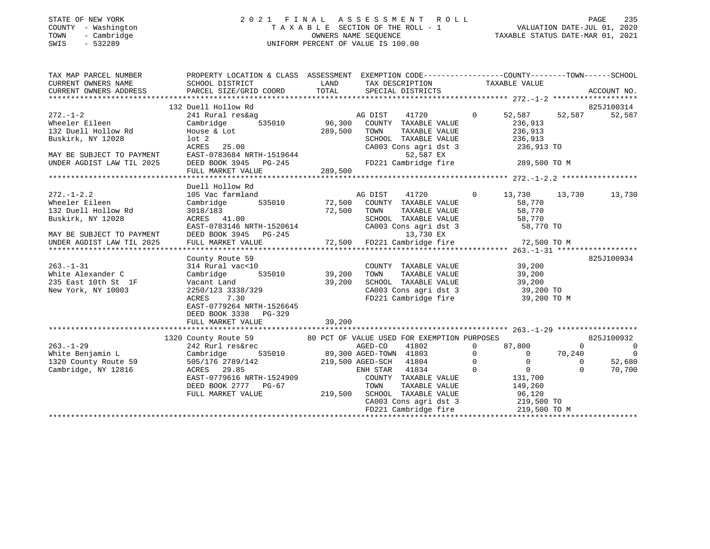## STATE OF NEW YORK 2 0 2 1 F I N A L A S S E S S M E N T R O L L PAGE 235 COUNTY - Washington T A X A B L E SECTION OF THE ROLL - 1 VALUATION DATE-JUL 01, 2020 TOWN - Cambridge OWNERS NAME SEQUENCE TAXABLE STATUS DATE-MAR 01, 2021 SWIS - 532289 UNIFORM PERCENT OF VALUE IS 100.00

|                                     | TAX MAP PARCEL NUMBER PROPERTY LOCATION & CLASS ASSESSMENT EXEMPTION CODE--------------COUNTY-------TOWN------SCHOOL                                                                                                                                                                                                                                                                                                 |              |                                                                                                    |                       |                      |
|-------------------------------------|----------------------------------------------------------------------------------------------------------------------------------------------------------------------------------------------------------------------------------------------------------------------------------------------------------------------------------------------------------------------------------------------------------------------|--------------|----------------------------------------------------------------------------------------------------|-----------------------|----------------------|
| CURRENT OWNERS NAME SCHOOL DISTRICT |                                                                                                                                                                                                                                                                                                                                                                                                                      |              | LAND TAX DESCRIPTION                                                                               | TAXABLE VALUE         |                      |
| CURRENT OWNERS ADDRESS              |                                                                                                                                                                                                                                                                                                                                                                                                                      |              |                                                                                                    |                       |                      |
|                                     |                                                                                                                                                                                                                                                                                                                                                                                                                      |              |                                                                                                    |                       |                      |
|                                     | 272.-1-2<br>Wheeler Eileen Cambridge 535010<br>132 Duell Hollow Rd House & Lot<br>132 Nurl NY 12028<br>10t 2<br>25.00<br>27RES 25.00                                                                                                                                                                                                                                                                                 |              | AG DIST                                                                                            | 41720 0 52,587 52,587 | 825J100314<br>52,587 |
|                                     |                                                                                                                                                                                                                                                                                                                                                                                                                      |              |                                                                                                    |                       |                      |
|                                     |                                                                                                                                                                                                                                                                                                                                                                                                                      | 289,500 TOWN | 535010 96,300 COUNTY TAXABLE VALUE 236,913                                                         |                       |                      |
|                                     |                                                                                                                                                                                                                                                                                                                                                                                                                      |              | TOWN TAXABLE VALUE 236,913<br>SCHOOL TAXABLE VALUE 236,913                                         |                       |                      |
|                                     |                                                                                                                                                                                                                                                                                                                                                                                                                      |              | CA003 Cons agri dst 3 236,913 TO                                                                   |                       |                      |
|                                     |                                                                                                                                                                                                                                                                                                                                                                                                                      |              | 52,587 EX                                                                                          |                       |                      |
|                                     |                                                                                                                                                                                                                                                                                                                                                                                                                      |              |                                                                                                    |                       |                      |
|                                     | BUSKIFK, NY 12028<br>MAY BE SUBJECT TO PAYMENT<br>UNDER AGDIST LAW TIL 2025 DEED BOOK 3945 PG-245<br>FULL MARKET VALUE 209,500                                                                                                                                                                                                                                                                                       |              |                                                                                                    |                       |                      |
|                                     |                                                                                                                                                                                                                                                                                                                                                                                                                      |              |                                                                                                    |                       |                      |
|                                     | Duell Hollow Rd                                                                                                                                                                                                                                                                                                                                                                                                      |              |                                                                                                    |                       |                      |
| $272. - 1 - 2.2$                    | 105 Vac farmland                                                                                                                                                                                                                                                                                                                                                                                                     |              | AG DIST 41720 0 13,730 13,730 13,730                                                               |                       |                      |
|                                     |                                                                                                                                                                                                                                                                                                                                                                                                                      |              |                                                                                                    | 58,770                |                      |
|                                     |                                                                                                                                                                                                                                                                                                                                                                                                                      |              |                                                                                                    |                       |                      |
| Buskirk, NY 12028                   | 3018/183<br>ACRES 41.00                                                                                                                                                                                                                                                                                                                                                                                              |              |                                                                                                    |                       |                      |
|                                     |                                                                                                                                                                                                                                                                                                                                                                                                                      |              | TOWN TAXABLE VALUE 58,770<br>SCHOOL TAXABLE VALUE 58,770<br>CA003 Cons agri dst 3 58,770 TO        |                       |                      |
|                                     |                                                                                                                                                                                                                                                                                                                                                                                                                      |              |                                                                                                    |                       |                      |
|                                     |                                                                                                                                                                                                                                                                                                                                                                                                                      |              |                                                                                                    |                       |                      |
|                                     |                                                                                                                                                                                                                                                                                                                                                                                                                      |              |                                                                                                    |                       |                      |
|                                     | County Route 59                                                                                                                                                                                                                                                                                                                                                                                                      |              |                                                                                                    |                       | 825J100934           |
|                                     |                                                                                                                                                                                                                                                                                                                                                                                                                      |              |                                                                                                    |                       |                      |
|                                     |                                                                                                                                                                                                                                                                                                                                                                                                                      |              |                                                                                                    |                       |                      |
| 235 East 10th St 1F                 | Vacant Land                                                                                                                                                                                                                                                                                                                                                                                                          | 39,200       |                                                                                                    |                       |                      |
| New York, NY 10003                  | 2250/123 3338/329<br>ACRES 7.30                                                                                                                                                                                                                                                                                                                                                                                      |              | SCHOOL TAXABLE VALUE 39,200<br>CA003 Cons agri dst 3 39,200 TO<br>FD221 Cambridge fire 39,200 TO M |                       |                      |
|                                     | 7.30<br>ACRES                                                                                                                                                                                                                                                                                                                                                                                                        |              |                                                                                                    |                       |                      |
|                                     | EAST-0779264 NRTH-1526645                                                                                                                                                                                                                                                                                                                                                                                            |              |                                                                                                    |                       |                      |
|                                     | DEED BOOK 3338 PG-329                                                                                                                                                                                                                                                                                                                                                                                                |              |                                                                                                    |                       |                      |
|                                     | FULL MARKET VALUE                                                                                                                                                                                                                                                                                                                                                                                                    | 39,200       |                                                                                                    |                       |                      |
|                                     |                                                                                                                                                                                                                                                                                                                                                                                                                      |              |                                                                                                    |                       |                      |
|                                     |                                                                                                                                                                                                                                                                                                                                                                                                                      |              |                                                                                                    |                       |                      |
|                                     |                                                                                                                                                                                                                                                                                                                                                                                                                      |              |                                                                                                    |                       |                      |
|                                     |                                                                                                                                                                                                                                                                                                                                                                                                                      |              |                                                                                                    |                       |                      |
|                                     |                                                                                                                                                                                                                                                                                                                                                                                                                      |              |                                                                                                    |                       | 52,680               |
|                                     |                                                                                                                                                                                                                                                                                                                                                                                                                      |              |                                                                                                    |                       |                      |
|                                     |                                                                                                                                                                                                                                                                                                                                                                                                                      |              |                                                                                                    |                       |                      |
|                                     |                                                                                                                                                                                                                                                                                                                                                                                                                      |              |                                                                                                    |                       |                      |
|                                     |                                                                                                                                                                                                                                                                                                                                                                                                                      |              |                                                                                                    |                       |                      |
|                                     |                                                                                                                                                                                                                                                                                                                                                                                                                      |              |                                                                                                    |                       |                      |
|                                     | $\begin{tabular}{c cccc} \texttt{1320 County Route 59} & \texttt{1320 County Route 59} & \texttt{1320 County Route 59} & \texttt{80 PCT OF VALUE ISBN 2081-129} & \texttt{1320 Convry Route 59} & \texttt{825J100932} \\ & \texttt{1320 Convry Route 59} & \texttt{242 Rurl reskrec} & \texttt{AGED-CO} & \texttt{41803} & 0 & 0 & 0 \\ & \texttt{1802} & 0 & 87,800 & 0 & 0 & 0 \\ \texttt{1320 Convry Route 59} &$ |              |                                                                                                    |                       |                      |
|                                     |                                                                                                                                                                                                                                                                                                                                                                                                                      |              |                                                                                                    |                       |                      |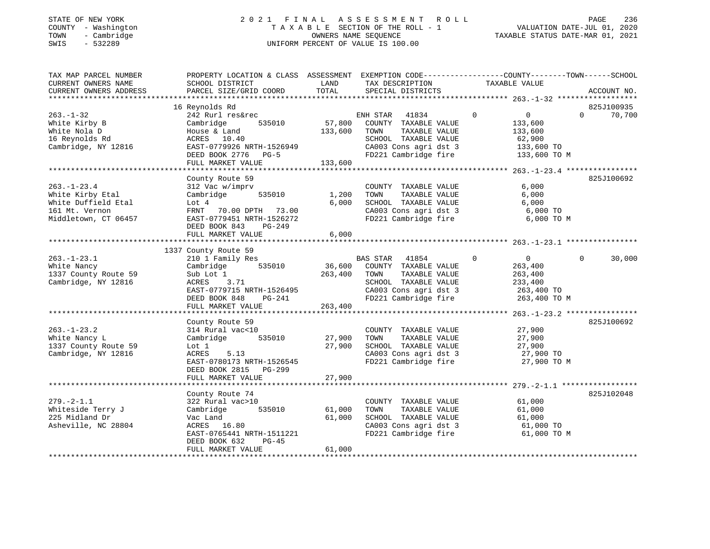#### STATE OF NEW YORK 2 0 2 1 F I N A L A S S E S S M E N T R O L L PAGE 236 COUNTY - Washington T A X A B L E SECTION OF THE ROLL - 1 VALUATION DATE-JUL 01, 2020 TOWN - Cambridge OWNERS NAME SEQUENCE TAXABLE STATUS DATE-MAR 01, 2021 SWIS - 532289 UNIFORM PERCENT OF VALUE IS 100.00UNIFORM PERCENT OF VALUE IS 100.00

| SCHOOL DISTRICT<br>PARCEL SIZE/GRID COORD                                                                                                                                | LAND<br>TOTAL                                                                                                       | TAX DESCRIPTION<br>SPECIAL DISTRICTS                                                       | TAXABLE VALUE                                                                                                                     | ACCOUNT NO.                                                                                                                                                                                                                                                                                                                                                                       |
|--------------------------------------------------------------------------------------------------------------------------------------------------------------------------|---------------------------------------------------------------------------------------------------------------------|--------------------------------------------------------------------------------------------|-----------------------------------------------------------------------------------------------------------------------------------|-----------------------------------------------------------------------------------------------------------------------------------------------------------------------------------------------------------------------------------------------------------------------------------------------------------------------------------------------------------------------------------|
| 16 Reynolds Rd<br>242 Rurl res&rec<br>535010<br>Cambridge<br>House & Land<br>ACRES 10.40                                                                                 |                                                                                                                     | ENH STAR<br>41834<br>COUNTY TAXABLE VALUE<br>TOWN<br>TAXABLE VALUE<br>SCHOOL TAXABLE VALUE | $\overline{0}$<br>$\overline{0}$<br>$\Omega$<br>133,600<br>133,600<br>62,900<br>133,600 TO                                        | 825J100935<br>70,700                                                                                                                                                                                                                                                                                                                                                              |
| FULL MARKET VALUE                                                                                                                                                        | 133,600                                                                                                             |                                                                                            |                                                                                                                                   |                                                                                                                                                                                                                                                                                                                                                                                   |
| County Route 59<br>312 Vac w/imprv<br>535010<br>Cambridge<br>Lot 4<br>FRNT 70.00 DPTH 73.00<br>EAST-0779451 NRTH-1526272<br>DEED BOOK 843<br>PG-249<br>FULL MARKET VALUE | 6,000<br>6,000                                                                                                      | TOWN<br>TAXABLE VALUE<br>SCHOOL TAXABLE VALUE                                              | 6,000<br>6,000<br>6,000<br>6,000 TO<br>6,000 TO M                                                                                 | 825J100692                                                                                                                                                                                                                                                                                                                                                                        |
|                                                                                                                                                                          |                                                                                                                     |                                                                                            |                                                                                                                                   |                                                                                                                                                                                                                                                                                                                                                                                   |
| 210 1 Family Res<br>Cambridge 535010<br>Sub Lot 1<br>ACRES 3.71<br>DEED BOOK 848<br>PG-241                                                                               |                                                                                                                     | BAS STAR<br>41854<br>TOWN<br>TAXABLE VALUE<br>SCHOOL TAXABLE VALUE                         | $\Omega$<br>$\overline{0}$<br>$\Omega$<br>263,400<br>263,400<br>233,400<br>263,400 TO<br>263,400 TO M                             | 30,000                                                                                                                                                                                                                                                                                                                                                                            |
|                                                                                                                                                                          |                                                                                                                     |                                                                                            |                                                                                                                                   |                                                                                                                                                                                                                                                                                                                                                                                   |
| County Route 59<br>314 Rural vac<10<br>Cambridge<br>535010<br>Lot 1<br>5.13<br>ACRES<br>EAST-0780173 NRTH-1526545                                                        | 27,900                                                                                                              | TOWN<br>TAXABLE VALUE<br>SCHOOL TAXABLE VALUE                                              | 27,900<br>27,900<br>$27,900$ TO $27,900$ TO<br>27,900 TO M                                                                        | 825J100692                                                                                                                                                                                                                                                                                                                                                                        |
| FULL MARKET VALUE                                                                                                                                                        | 27,900                                                                                                              |                                                                                            |                                                                                                                                   |                                                                                                                                                                                                                                                                                                                                                                                   |
| County Route 74<br>322 Rural vac>10<br>535010<br>Cambridge<br>Vac Land<br>ACRES 16.80<br>EAST-0765441 NRTH-1511221<br>DEED BOOK 632<br>$PG-45$                           | 61,000<br>61,000                                                                                                    | COUNTY TAXABLE VALUE<br>TAXABLE VALUE<br>TOWN<br>SCHOOL TAXABLE VALUE                      | 61,000<br>61,000<br>61,000<br>61,000 TO<br>61,000 TO M                                                                            | 825J102048                                                                                                                                                                                                                                                                                                                                                                        |
|                                                                                                                                                                          | DEED BOOK 2776<br>$PG-5$<br>1337 County Route 59<br>FULL MARKET VALUE<br>DEED BOOK 2815 PG-299<br>FULL MARKET VALUE | EAST-0779926 NRTH-1526949<br>EAST-0779715 NRTH-1526495<br>61,000                           | PROPERTY LOCATION & CLASS ASSESSMENT<br>57,800<br>133,600<br>1,200<br>36,600 COUNTY TAXABLE VALUE<br>263,400<br>263,400<br>27,900 | EXEMPTION CODE-----------------COUNTY-------TOWN------SCHOOL<br>CA003 Cons agri dst 3<br>FD221 Cambridge fire<br>133,600 TO M<br>COUNTY TAXABLE VALUE<br>CA003 Cons agri dst 3<br>FD221 Cambridge fire<br>CA003 Cons agri dst 3<br>FD221 Cambridge fire<br>COUNTY TAXABLE VALUE<br>CA003 Cons agri dst 3<br>FD221 Cambridge fire<br>CA003 Cons agri dst 3<br>FD221 Cambridge fire |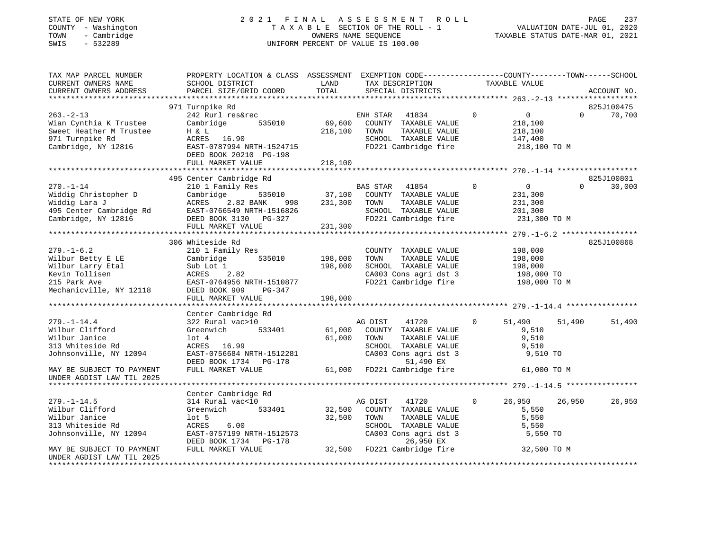## STATE OF NEW YORK 2 0 2 1 F I N A L A S S E S S M E N T R O L L PAGE 237 COUNTY - Washington T A X A B L E SECTION OF THE ROLL - 1 VALUATION DATE-JUL 01, 2020 TOWN - Cambridge OWNERS NAME SEQUENCE TAXABLE STATUS DATE-MAR 01, 2021 SWIS - 532289 UNIFORM PERCENT OF VALUE IS 100.00

| 971 Turnpike Rd<br>825J100475<br>$\overline{0}$<br>$\overline{0}$<br>$263 - 2 - 13$<br>242 Rurl res&rec<br>ENH STAR 41834<br>$\Omega$<br>70,700<br>535010<br>69,600<br>COUNTY TAXABLE VALUE<br>Wian Cynthia K Trustee<br>Cambridge<br>218,100<br>Sweet Heather M Trustee<br>H & L<br>218,100<br>TOWN<br>TAXABLE VALUE<br>218,100<br>971 Turnpike Rd<br>ACRES 16.90<br>SCHOOL TAXABLE VALUE<br>147,400<br>EAST-0787994 NRTH-1524715<br>FD221 Cambridge fire<br>Cambridge, NY 12816<br>218,100 TO M<br>DEED BOOK 20210 PG-198<br>FULL MARKET VALUE<br>218,100<br>825J100801<br>495 Center Cambridge Rd<br>$270. - 1 - 14$<br>$\overline{0}$<br>210 1 Family Res<br>BAS STAR 41854<br>37,100 COUNTY TAXABLE VALUE<br>$\sim$ 0<br>$\Omega$<br>30,000<br>Widdig Christopher D<br>Cambridge<br>535010<br>231,300<br>Widdig Lara J<br>ACRES<br>2.82 BANK<br>231,300<br>TOWN<br>TAXABLE VALUE<br>231,300<br>998<br>EAST-0766549 NRTH-1516826<br>495 Center Cambridge Rd<br>SCHOOL TAXABLE VALUE<br>201,300<br>FD221 Cambridge fire<br>Cambridge, NY 12816<br>DEED BOOK 3130 PG-327<br>231,300 TO M<br>231,300<br>FULL MARKET VALUE<br>825J100868<br>306 Whiteside Rd<br>$279. - 1 - 6.2$<br>210 1 Family Res<br>COUNTY TAXABLE VALUE<br>198,000<br>198,000<br>Wilbur Betty E LE<br>Cambridge<br>535010<br>TOWN<br>TAXABLE VALUE<br>198,000<br>Wilbur Larry Etal<br>Sub Lot 1<br>198,000<br>SCHOOL TAXABLE VALUE<br>198,000<br>198,000 TO<br>CA003 Cons agri dst 3<br>Kevin Tollisen<br>ACRES 2.82<br>FD221 Cambridge fire 198,000 TO M<br>EAST-0764956 NRTH-1510877<br>DEED BOOK 909     PG-347<br>215 Park Ave<br>Mechanicville, NY 12118<br>DEED BOOK 909<br>FULL MARKET VALUE<br>198,000<br>Center Cambridge Rd<br>$279. - 1 - 14.4$<br>322 Rural vac>10<br>AG DIST<br>41720<br>$\mathbf{0}$<br>51,490<br>51,490<br>51,490<br>533401<br>Greenwich<br>61,000<br>COUNTY TAXABLE VALUE<br>9,510<br>9,510<br>$1$ ot $4$<br>61,000<br>TOWN<br>TAXABLE VALUE<br>ACRES 16.99<br>SCHOOL TAXABLE VALUE<br>9,510<br>EAST-0756684 NRTH-1512281<br>CA003 Cons agri dst 3<br>9,510 TO<br>51,490 EX<br>DEED BOOK 1734 PG-178<br>61,000 FD221 Cambridge fire<br>FULL MARKET VALUE<br>61,000 TO M<br>MAY BE SUBJECT TO PAYMENT<br>Center Cambridge Rd<br>314 Rural vac<10<br>26,950<br>26,950<br>$279. - 1 - 14.5$<br>AG DIST 41720<br>$\circ$<br>26,950<br>Greenwich<br>533401<br>32,500<br>COUNTY TAXABLE VALUE<br>5,550<br>$1$ ot 5<br>32,500<br>TOWN<br>TAXABLE VALUE<br>5,550<br>SCHOOL TAXABLE VALUE<br>CA003 Cons agri dst 3<br>26 950 FX<br>313 Whiteside Rd<br>ACRES<br>6.00<br>5,550<br>EAST-0757199 NRTH-1512573<br>5,550 TO<br>26,950 EX<br>DEED BOOK 1734 PG-178<br>32,500 FD221 Cambridge fire<br>MAY BE SUBJECT TO PAYMENT<br>FULL MARKET VALUE<br>32,500 TO M<br>UNDER AGDIST LAW TIL 2025 | TAX MAP PARCEL NUMBER<br>CURRENT OWNERS NAME<br>CURRENT OWNERS ADDRESS | PROPERTY LOCATION & CLASS ASSESSMENT<br>SCHOOL DISTRICT<br>PARCEL SIZE/GRID COORD | LAND<br>TOTAL | EXEMPTION CODE-----------------COUNTY-------TOWN------SCHOOL<br>TAX DESCRIPTION<br>SPECIAL DISTRICTS | TAXABLE VALUE | ACCOUNT NO. |
|---------------------------------------------------------------------------------------------------------------------------------------------------------------------------------------------------------------------------------------------------------------------------------------------------------------------------------------------------------------------------------------------------------------------------------------------------------------------------------------------------------------------------------------------------------------------------------------------------------------------------------------------------------------------------------------------------------------------------------------------------------------------------------------------------------------------------------------------------------------------------------------------------------------------------------------------------------------------------------------------------------------------------------------------------------------------------------------------------------------------------------------------------------------------------------------------------------------------------------------------------------------------------------------------------------------------------------------------------------------------------------------------------------------------------------------------------------------------------------------------------------------------------------------------------------------------------------------------------------------------------------------------------------------------------------------------------------------------------------------------------------------------------------------------------------------------------------------------------------------------------------------------------------------------------------------------------------------------------------------------------------------------------------------------------------------------------------------------------------------------------------------------------------------------------------------------------------------------------------------------------------------------------------------------------------------------------------------------------------------------------------------------------------------------------------------------------------------------------------------------------------------------------------------------------------------------------------------------------------------------------------------------------------------------------------------------------------------------------------------------------------------------------------------|------------------------------------------------------------------------|-----------------------------------------------------------------------------------|---------------|------------------------------------------------------------------------------------------------------|---------------|-------------|
|                                                                                                                                                                                                                                                                                                                                                                                                                                                                                                                                                                                                                                                                                                                                                                                                                                                                                                                                                                                                                                                                                                                                                                                                                                                                                                                                                                                                                                                                                                                                                                                                                                                                                                                                                                                                                                                                                                                                                                                                                                                                                                                                                                                                                                                                                                                                                                                                                                                                                                                                                                                                                                                                                                                                                                                       |                                                                        |                                                                                   |               |                                                                                                      |               |             |
|                                                                                                                                                                                                                                                                                                                                                                                                                                                                                                                                                                                                                                                                                                                                                                                                                                                                                                                                                                                                                                                                                                                                                                                                                                                                                                                                                                                                                                                                                                                                                                                                                                                                                                                                                                                                                                                                                                                                                                                                                                                                                                                                                                                                                                                                                                                                                                                                                                                                                                                                                                                                                                                                                                                                                                                       |                                                                        |                                                                                   |               |                                                                                                      |               |             |
|                                                                                                                                                                                                                                                                                                                                                                                                                                                                                                                                                                                                                                                                                                                                                                                                                                                                                                                                                                                                                                                                                                                                                                                                                                                                                                                                                                                                                                                                                                                                                                                                                                                                                                                                                                                                                                                                                                                                                                                                                                                                                                                                                                                                                                                                                                                                                                                                                                                                                                                                                                                                                                                                                                                                                                                       |                                                                        |                                                                                   |               |                                                                                                      |               |             |
|                                                                                                                                                                                                                                                                                                                                                                                                                                                                                                                                                                                                                                                                                                                                                                                                                                                                                                                                                                                                                                                                                                                                                                                                                                                                                                                                                                                                                                                                                                                                                                                                                                                                                                                                                                                                                                                                                                                                                                                                                                                                                                                                                                                                                                                                                                                                                                                                                                                                                                                                                                                                                                                                                                                                                                                       |                                                                        |                                                                                   |               |                                                                                                      |               |             |
|                                                                                                                                                                                                                                                                                                                                                                                                                                                                                                                                                                                                                                                                                                                                                                                                                                                                                                                                                                                                                                                                                                                                                                                                                                                                                                                                                                                                                                                                                                                                                                                                                                                                                                                                                                                                                                                                                                                                                                                                                                                                                                                                                                                                                                                                                                                                                                                                                                                                                                                                                                                                                                                                                                                                                                                       |                                                                        |                                                                                   |               |                                                                                                      |               |             |
|                                                                                                                                                                                                                                                                                                                                                                                                                                                                                                                                                                                                                                                                                                                                                                                                                                                                                                                                                                                                                                                                                                                                                                                                                                                                                                                                                                                                                                                                                                                                                                                                                                                                                                                                                                                                                                                                                                                                                                                                                                                                                                                                                                                                                                                                                                                                                                                                                                                                                                                                                                                                                                                                                                                                                                                       |                                                                        |                                                                                   |               |                                                                                                      |               |             |
|                                                                                                                                                                                                                                                                                                                                                                                                                                                                                                                                                                                                                                                                                                                                                                                                                                                                                                                                                                                                                                                                                                                                                                                                                                                                                                                                                                                                                                                                                                                                                                                                                                                                                                                                                                                                                                                                                                                                                                                                                                                                                                                                                                                                                                                                                                                                                                                                                                                                                                                                                                                                                                                                                                                                                                                       |                                                                        |                                                                                   |               |                                                                                                      |               |             |
|                                                                                                                                                                                                                                                                                                                                                                                                                                                                                                                                                                                                                                                                                                                                                                                                                                                                                                                                                                                                                                                                                                                                                                                                                                                                                                                                                                                                                                                                                                                                                                                                                                                                                                                                                                                                                                                                                                                                                                                                                                                                                                                                                                                                                                                                                                                                                                                                                                                                                                                                                                                                                                                                                                                                                                                       |                                                                        |                                                                                   |               |                                                                                                      |               |             |
|                                                                                                                                                                                                                                                                                                                                                                                                                                                                                                                                                                                                                                                                                                                                                                                                                                                                                                                                                                                                                                                                                                                                                                                                                                                                                                                                                                                                                                                                                                                                                                                                                                                                                                                                                                                                                                                                                                                                                                                                                                                                                                                                                                                                                                                                                                                                                                                                                                                                                                                                                                                                                                                                                                                                                                                       |                                                                        |                                                                                   |               |                                                                                                      |               |             |
|                                                                                                                                                                                                                                                                                                                                                                                                                                                                                                                                                                                                                                                                                                                                                                                                                                                                                                                                                                                                                                                                                                                                                                                                                                                                                                                                                                                                                                                                                                                                                                                                                                                                                                                                                                                                                                                                                                                                                                                                                                                                                                                                                                                                                                                                                                                                                                                                                                                                                                                                                                                                                                                                                                                                                                                       |                                                                        |                                                                                   |               |                                                                                                      |               |             |
|                                                                                                                                                                                                                                                                                                                                                                                                                                                                                                                                                                                                                                                                                                                                                                                                                                                                                                                                                                                                                                                                                                                                                                                                                                                                                                                                                                                                                                                                                                                                                                                                                                                                                                                                                                                                                                                                                                                                                                                                                                                                                                                                                                                                                                                                                                                                                                                                                                                                                                                                                                                                                                                                                                                                                                                       |                                                                        |                                                                                   |               |                                                                                                      |               |             |
|                                                                                                                                                                                                                                                                                                                                                                                                                                                                                                                                                                                                                                                                                                                                                                                                                                                                                                                                                                                                                                                                                                                                                                                                                                                                                                                                                                                                                                                                                                                                                                                                                                                                                                                                                                                                                                                                                                                                                                                                                                                                                                                                                                                                                                                                                                                                                                                                                                                                                                                                                                                                                                                                                                                                                                                       |                                                                        |                                                                                   |               |                                                                                                      |               |             |
|                                                                                                                                                                                                                                                                                                                                                                                                                                                                                                                                                                                                                                                                                                                                                                                                                                                                                                                                                                                                                                                                                                                                                                                                                                                                                                                                                                                                                                                                                                                                                                                                                                                                                                                                                                                                                                                                                                                                                                                                                                                                                                                                                                                                                                                                                                                                                                                                                                                                                                                                                                                                                                                                                                                                                                                       |                                                                        |                                                                                   |               |                                                                                                      |               |             |
|                                                                                                                                                                                                                                                                                                                                                                                                                                                                                                                                                                                                                                                                                                                                                                                                                                                                                                                                                                                                                                                                                                                                                                                                                                                                                                                                                                                                                                                                                                                                                                                                                                                                                                                                                                                                                                                                                                                                                                                                                                                                                                                                                                                                                                                                                                                                                                                                                                                                                                                                                                                                                                                                                                                                                                                       |                                                                        |                                                                                   |               |                                                                                                      |               |             |
|                                                                                                                                                                                                                                                                                                                                                                                                                                                                                                                                                                                                                                                                                                                                                                                                                                                                                                                                                                                                                                                                                                                                                                                                                                                                                                                                                                                                                                                                                                                                                                                                                                                                                                                                                                                                                                                                                                                                                                                                                                                                                                                                                                                                                                                                                                                                                                                                                                                                                                                                                                                                                                                                                                                                                                                       |                                                                        |                                                                                   |               |                                                                                                      |               |             |
|                                                                                                                                                                                                                                                                                                                                                                                                                                                                                                                                                                                                                                                                                                                                                                                                                                                                                                                                                                                                                                                                                                                                                                                                                                                                                                                                                                                                                                                                                                                                                                                                                                                                                                                                                                                                                                                                                                                                                                                                                                                                                                                                                                                                                                                                                                                                                                                                                                                                                                                                                                                                                                                                                                                                                                                       |                                                                        |                                                                                   |               |                                                                                                      |               |             |
|                                                                                                                                                                                                                                                                                                                                                                                                                                                                                                                                                                                                                                                                                                                                                                                                                                                                                                                                                                                                                                                                                                                                                                                                                                                                                                                                                                                                                                                                                                                                                                                                                                                                                                                                                                                                                                                                                                                                                                                                                                                                                                                                                                                                                                                                                                                                                                                                                                                                                                                                                                                                                                                                                                                                                                                       |                                                                        |                                                                                   |               |                                                                                                      |               |             |
|                                                                                                                                                                                                                                                                                                                                                                                                                                                                                                                                                                                                                                                                                                                                                                                                                                                                                                                                                                                                                                                                                                                                                                                                                                                                                                                                                                                                                                                                                                                                                                                                                                                                                                                                                                                                                                                                                                                                                                                                                                                                                                                                                                                                                                                                                                                                                                                                                                                                                                                                                                                                                                                                                                                                                                                       |                                                                        |                                                                                   |               |                                                                                                      |               |             |
|                                                                                                                                                                                                                                                                                                                                                                                                                                                                                                                                                                                                                                                                                                                                                                                                                                                                                                                                                                                                                                                                                                                                                                                                                                                                                                                                                                                                                                                                                                                                                                                                                                                                                                                                                                                                                                                                                                                                                                                                                                                                                                                                                                                                                                                                                                                                                                                                                                                                                                                                                                                                                                                                                                                                                                                       |                                                                        |                                                                                   |               |                                                                                                      |               |             |
|                                                                                                                                                                                                                                                                                                                                                                                                                                                                                                                                                                                                                                                                                                                                                                                                                                                                                                                                                                                                                                                                                                                                                                                                                                                                                                                                                                                                                                                                                                                                                                                                                                                                                                                                                                                                                                                                                                                                                                                                                                                                                                                                                                                                                                                                                                                                                                                                                                                                                                                                                                                                                                                                                                                                                                                       |                                                                        |                                                                                   |               |                                                                                                      |               |             |
|                                                                                                                                                                                                                                                                                                                                                                                                                                                                                                                                                                                                                                                                                                                                                                                                                                                                                                                                                                                                                                                                                                                                                                                                                                                                                                                                                                                                                                                                                                                                                                                                                                                                                                                                                                                                                                                                                                                                                                                                                                                                                                                                                                                                                                                                                                                                                                                                                                                                                                                                                                                                                                                                                                                                                                                       |                                                                        |                                                                                   |               |                                                                                                      |               |             |
|                                                                                                                                                                                                                                                                                                                                                                                                                                                                                                                                                                                                                                                                                                                                                                                                                                                                                                                                                                                                                                                                                                                                                                                                                                                                                                                                                                                                                                                                                                                                                                                                                                                                                                                                                                                                                                                                                                                                                                                                                                                                                                                                                                                                                                                                                                                                                                                                                                                                                                                                                                                                                                                                                                                                                                                       |                                                                        |                                                                                   |               |                                                                                                      |               |             |
|                                                                                                                                                                                                                                                                                                                                                                                                                                                                                                                                                                                                                                                                                                                                                                                                                                                                                                                                                                                                                                                                                                                                                                                                                                                                                                                                                                                                                                                                                                                                                                                                                                                                                                                                                                                                                                                                                                                                                                                                                                                                                                                                                                                                                                                                                                                                                                                                                                                                                                                                                                                                                                                                                                                                                                                       |                                                                        |                                                                                   |               |                                                                                                      |               |             |
|                                                                                                                                                                                                                                                                                                                                                                                                                                                                                                                                                                                                                                                                                                                                                                                                                                                                                                                                                                                                                                                                                                                                                                                                                                                                                                                                                                                                                                                                                                                                                                                                                                                                                                                                                                                                                                                                                                                                                                                                                                                                                                                                                                                                                                                                                                                                                                                                                                                                                                                                                                                                                                                                                                                                                                                       |                                                                        |                                                                                   |               |                                                                                                      |               |             |
|                                                                                                                                                                                                                                                                                                                                                                                                                                                                                                                                                                                                                                                                                                                                                                                                                                                                                                                                                                                                                                                                                                                                                                                                                                                                                                                                                                                                                                                                                                                                                                                                                                                                                                                                                                                                                                                                                                                                                                                                                                                                                                                                                                                                                                                                                                                                                                                                                                                                                                                                                                                                                                                                                                                                                                                       |                                                                        |                                                                                   |               |                                                                                                      |               |             |
|                                                                                                                                                                                                                                                                                                                                                                                                                                                                                                                                                                                                                                                                                                                                                                                                                                                                                                                                                                                                                                                                                                                                                                                                                                                                                                                                                                                                                                                                                                                                                                                                                                                                                                                                                                                                                                                                                                                                                                                                                                                                                                                                                                                                                                                                                                                                                                                                                                                                                                                                                                                                                                                                                                                                                                                       |                                                                        |                                                                                   |               |                                                                                                      |               |             |
|                                                                                                                                                                                                                                                                                                                                                                                                                                                                                                                                                                                                                                                                                                                                                                                                                                                                                                                                                                                                                                                                                                                                                                                                                                                                                                                                                                                                                                                                                                                                                                                                                                                                                                                                                                                                                                                                                                                                                                                                                                                                                                                                                                                                                                                                                                                                                                                                                                                                                                                                                                                                                                                                                                                                                                                       |                                                                        |                                                                                   |               |                                                                                                      |               |             |
|                                                                                                                                                                                                                                                                                                                                                                                                                                                                                                                                                                                                                                                                                                                                                                                                                                                                                                                                                                                                                                                                                                                                                                                                                                                                                                                                                                                                                                                                                                                                                                                                                                                                                                                                                                                                                                                                                                                                                                                                                                                                                                                                                                                                                                                                                                                                                                                                                                                                                                                                                                                                                                                                                                                                                                                       |                                                                        |                                                                                   |               |                                                                                                      |               |             |
|                                                                                                                                                                                                                                                                                                                                                                                                                                                                                                                                                                                                                                                                                                                                                                                                                                                                                                                                                                                                                                                                                                                                                                                                                                                                                                                                                                                                                                                                                                                                                                                                                                                                                                                                                                                                                                                                                                                                                                                                                                                                                                                                                                                                                                                                                                                                                                                                                                                                                                                                                                                                                                                                                                                                                                                       | Wilbur Clifford                                                        |                                                                                   |               |                                                                                                      |               |             |
|                                                                                                                                                                                                                                                                                                                                                                                                                                                                                                                                                                                                                                                                                                                                                                                                                                                                                                                                                                                                                                                                                                                                                                                                                                                                                                                                                                                                                                                                                                                                                                                                                                                                                                                                                                                                                                                                                                                                                                                                                                                                                                                                                                                                                                                                                                                                                                                                                                                                                                                                                                                                                                                                                                                                                                                       | Wilbur Janice                                                          |                                                                                   |               |                                                                                                      |               |             |
|                                                                                                                                                                                                                                                                                                                                                                                                                                                                                                                                                                                                                                                                                                                                                                                                                                                                                                                                                                                                                                                                                                                                                                                                                                                                                                                                                                                                                                                                                                                                                                                                                                                                                                                                                                                                                                                                                                                                                                                                                                                                                                                                                                                                                                                                                                                                                                                                                                                                                                                                                                                                                                                                                                                                                                                       | 313 Whiteside Rd                                                       |                                                                                   |               |                                                                                                      |               |             |
|                                                                                                                                                                                                                                                                                                                                                                                                                                                                                                                                                                                                                                                                                                                                                                                                                                                                                                                                                                                                                                                                                                                                                                                                                                                                                                                                                                                                                                                                                                                                                                                                                                                                                                                                                                                                                                                                                                                                                                                                                                                                                                                                                                                                                                                                                                                                                                                                                                                                                                                                                                                                                                                                                                                                                                                       | Johnsonville, NY 12094                                                 |                                                                                   |               |                                                                                                      |               |             |
|                                                                                                                                                                                                                                                                                                                                                                                                                                                                                                                                                                                                                                                                                                                                                                                                                                                                                                                                                                                                                                                                                                                                                                                                                                                                                                                                                                                                                                                                                                                                                                                                                                                                                                                                                                                                                                                                                                                                                                                                                                                                                                                                                                                                                                                                                                                                                                                                                                                                                                                                                                                                                                                                                                                                                                                       |                                                                        |                                                                                   |               |                                                                                                      |               |             |
|                                                                                                                                                                                                                                                                                                                                                                                                                                                                                                                                                                                                                                                                                                                                                                                                                                                                                                                                                                                                                                                                                                                                                                                                                                                                                                                                                                                                                                                                                                                                                                                                                                                                                                                                                                                                                                                                                                                                                                                                                                                                                                                                                                                                                                                                                                                                                                                                                                                                                                                                                                                                                                                                                                                                                                                       |                                                                        |                                                                                   |               |                                                                                                      |               |             |
|                                                                                                                                                                                                                                                                                                                                                                                                                                                                                                                                                                                                                                                                                                                                                                                                                                                                                                                                                                                                                                                                                                                                                                                                                                                                                                                                                                                                                                                                                                                                                                                                                                                                                                                                                                                                                                                                                                                                                                                                                                                                                                                                                                                                                                                                                                                                                                                                                                                                                                                                                                                                                                                                                                                                                                                       | UNDER AGDIST LAW TIL 2025                                              |                                                                                   |               |                                                                                                      |               |             |
|                                                                                                                                                                                                                                                                                                                                                                                                                                                                                                                                                                                                                                                                                                                                                                                                                                                                                                                                                                                                                                                                                                                                                                                                                                                                                                                                                                                                                                                                                                                                                                                                                                                                                                                                                                                                                                                                                                                                                                                                                                                                                                                                                                                                                                                                                                                                                                                                                                                                                                                                                                                                                                                                                                                                                                                       |                                                                        |                                                                                   |               |                                                                                                      |               |             |
|                                                                                                                                                                                                                                                                                                                                                                                                                                                                                                                                                                                                                                                                                                                                                                                                                                                                                                                                                                                                                                                                                                                                                                                                                                                                                                                                                                                                                                                                                                                                                                                                                                                                                                                                                                                                                                                                                                                                                                                                                                                                                                                                                                                                                                                                                                                                                                                                                                                                                                                                                                                                                                                                                                                                                                                       |                                                                        |                                                                                   |               |                                                                                                      |               |             |
|                                                                                                                                                                                                                                                                                                                                                                                                                                                                                                                                                                                                                                                                                                                                                                                                                                                                                                                                                                                                                                                                                                                                                                                                                                                                                                                                                                                                                                                                                                                                                                                                                                                                                                                                                                                                                                                                                                                                                                                                                                                                                                                                                                                                                                                                                                                                                                                                                                                                                                                                                                                                                                                                                                                                                                                       |                                                                        |                                                                                   |               |                                                                                                      |               |             |
|                                                                                                                                                                                                                                                                                                                                                                                                                                                                                                                                                                                                                                                                                                                                                                                                                                                                                                                                                                                                                                                                                                                                                                                                                                                                                                                                                                                                                                                                                                                                                                                                                                                                                                                                                                                                                                                                                                                                                                                                                                                                                                                                                                                                                                                                                                                                                                                                                                                                                                                                                                                                                                                                                                                                                                                       | Wilbur Clifford                                                        |                                                                                   |               |                                                                                                      |               |             |
|                                                                                                                                                                                                                                                                                                                                                                                                                                                                                                                                                                                                                                                                                                                                                                                                                                                                                                                                                                                                                                                                                                                                                                                                                                                                                                                                                                                                                                                                                                                                                                                                                                                                                                                                                                                                                                                                                                                                                                                                                                                                                                                                                                                                                                                                                                                                                                                                                                                                                                                                                                                                                                                                                                                                                                                       | Wilbur Janice                                                          |                                                                                   |               |                                                                                                      |               |             |
|                                                                                                                                                                                                                                                                                                                                                                                                                                                                                                                                                                                                                                                                                                                                                                                                                                                                                                                                                                                                                                                                                                                                                                                                                                                                                                                                                                                                                                                                                                                                                                                                                                                                                                                                                                                                                                                                                                                                                                                                                                                                                                                                                                                                                                                                                                                                                                                                                                                                                                                                                                                                                                                                                                                                                                                       |                                                                        |                                                                                   |               |                                                                                                      |               |             |
|                                                                                                                                                                                                                                                                                                                                                                                                                                                                                                                                                                                                                                                                                                                                                                                                                                                                                                                                                                                                                                                                                                                                                                                                                                                                                                                                                                                                                                                                                                                                                                                                                                                                                                                                                                                                                                                                                                                                                                                                                                                                                                                                                                                                                                                                                                                                                                                                                                                                                                                                                                                                                                                                                                                                                                                       | Johnsonville, NY 12094                                                 |                                                                                   |               |                                                                                                      |               |             |
|                                                                                                                                                                                                                                                                                                                                                                                                                                                                                                                                                                                                                                                                                                                                                                                                                                                                                                                                                                                                                                                                                                                                                                                                                                                                                                                                                                                                                                                                                                                                                                                                                                                                                                                                                                                                                                                                                                                                                                                                                                                                                                                                                                                                                                                                                                                                                                                                                                                                                                                                                                                                                                                                                                                                                                                       |                                                                        |                                                                                   |               |                                                                                                      |               |             |
|                                                                                                                                                                                                                                                                                                                                                                                                                                                                                                                                                                                                                                                                                                                                                                                                                                                                                                                                                                                                                                                                                                                                                                                                                                                                                                                                                                                                                                                                                                                                                                                                                                                                                                                                                                                                                                                                                                                                                                                                                                                                                                                                                                                                                                                                                                                                                                                                                                                                                                                                                                                                                                                                                                                                                                                       |                                                                        |                                                                                   |               |                                                                                                      |               |             |
|                                                                                                                                                                                                                                                                                                                                                                                                                                                                                                                                                                                                                                                                                                                                                                                                                                                                                                                                                                                                                                                                                                                                                                                                                                                                                                                                                                                                                                                                                                                                                                                                                                                                                                                                                                                                                                                                                                                                                                                                                                                                                                                                                                                                                                                                                                                                                                                                                                                                                                                                                                                                                                                                                                                                                                                       |                                                                        |                                                                                   |               |                                                                                                      |               |             |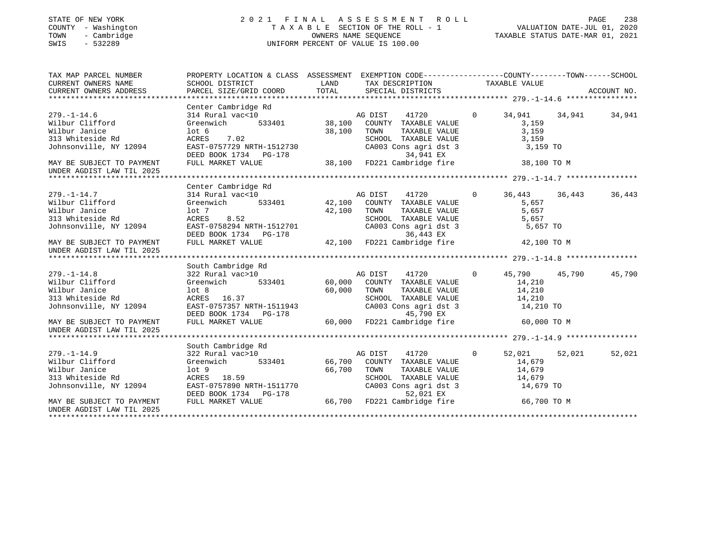## STATE OF NEW YORK 2 0 2 1 F I N A L A S S E S S M E N T R O L L PAGE 238 COUNTY - Washington T A X A B L E SECTION OF THE ROLL - 1 VALUATION DATE-JUL 01, 2020 TOWN - Cambridge OWNERS NAME SEQUENCE TAXABLE STATUS DATE-MAR 01, 2021 SWIS - 532289 UNIFORM PERCENT OF VALUE IS 100.00

| TAX MAP PARCEL NUMBER<br>CURRENT OWNERS NAME<br>CURRENT OWNERS ADDRESS FORCEL SIZE/GRID COORD TOTAL SECIAL DISTRICTS ACCOUNT NO.<br>TOTAL SECIAL DISTRICTS ACCOUNT NO. ACCOUNT NO. ACCOUNT NO.<br>CURRENT OWNERS ADDRESS | PROPERTY LOCATION & CLASS ASSESSMENT EXEMPTION CODE---------------COUNTY-------TOWN------SCHOOL<br>SCHOOL DISTRICT                                                                                                 | LAND   | TAX DESCRIPTION TAXABLE VALUE                                                                                                                                                     |                                                   |               |        |
|--------------------------------------------------------------------------------------------------------------------------------------------------------------------------------------------------------------------------|--------------------------------------------------------------------------------------------------------------------------------------------------------------------------------------------------------------------|--------|-----------------------------------------------------------------------------------------------------------------------------------------------------------------------------------|---------------------------------------------------|---------------|--------|
| $279. - 1 - 14.6$<br>Wilbur Clifford                                                                                                                                                                                     | Center Cambridge Rd<br>$\frac{10}{533401}$ 38,100<br>314 Rural vac<10<br>Greenwich                                                                                                                                 |        | AG DIST<br>41720<br>COUNTY TAXABLE VALUE                                                                                                                                          | $\Omega$<br>34,941<br>3,159                       | 34,941        | 34,941 |
| Wilbur Janice<br>313 Whiteside Rd<br>Johnsonville, NY 12094                                                                                                                                                              | $1$ ot 6<br>ACRES 7.02<br>EAST-0757729 NRTH-1512730                                                                                                                                                                | 38,100 | TOWN<br>TAXABLE VALUE<br>SCHOOL TAXABLE VALUE<br>CA003 Cons agri dst 3                                                                                                            | 3,159<br>3,159<br>3,159 TO                        |               |        |
| MAY BE SUBJECT TO PAYMENT<br>UNDER AGDIST LAW TIL 2025                                                                                                                                                                   | DEED BOOK 1734 PG-178 38,100 FD221 Cambridge fire<br>FULL MARKET VALUE 38,100 FD221 Cambridge fire                                                                                                                 |        |                                                                                                                                                                                   | 38,100 TO M                                       |               |        |
|                                                                                                                                                                                                                          | Center Cambridge Rd                                                                                                                                                                                                |        |                                                                                                                                                                                   |                                                   |               |        |
| $279. - 1 - 14.7$<br>Wilbur Clifford<br>Wilbur Janice<br>lot 7<br>ACRES<br>313 Whiteside Rd<br>Johnsonville, NY 12094 EAST-0758294 NRTH-1512701                                                                          | 314 Rural vac<10<br>Greenwich<br>ACRES 8.52                                                                                                                                                                        | 42,100 | TOWN TAXABLE VALUE 5,657<br>SCHOOL TAXABLE VALUE 5,657<br>CA003 Cons agri dst 3 5,657 TO<br>TOWN                                                                                  |                                                   |               | 36,443 |
| MAY BE SUBJECT TO PAYMENT<br>UNDER AGDIST LAW TIL 2025                                                                                                                                                                   | DEED BOOK 1734 PG-178 36,443 EX<br>FULL MARKET VALUE 42,100 FD221 Cambridge fire                                                                                                                                   |        |                                                                                                                                                                                   | 42,100 TO M                                       |               |        |
|                                                                                                                                                                                                                          | South Cambridge Rd                                                                                                                                                                                                 |        |                                                                                                                                                                                   |                                                   |               |        |
| $279. - 1 - 14.8$<br>Wilbur Clifford<br>Wilbur Janice<br>313 Whiteside Rd<br>Johnsonville, NY 12094 EAST-0757357 NRTH-1511943<br>MAY BE SUBJECT TO PAYMENT<br>UNDER AGDIST LAW TIL 2025                                  | 322 Rural vac>10 $\frac{1}{2}$<br>Greenwich 533401 60,000<br>lot 8<br>ACRES 16.37<br>DEED BOOK 1734 PG-178<br>FULL MARKET VALUE                                                                                    | 60,000 | AG DIST<br>41720<br>COUNTY TAXABLE VALUE<br>TOWN<br>TAXABLE VALUE<br>SCHOOL TAXABLE VALUE 14,210<br>CA003 Cons agri dst 3 14,210 TO<br>$45,790$ EX<br>60,000 FD221 Cambridge fire | $\overline{0}$<br>14,210<br>14,210<br>60,000 TO M | 45,790 45,790 | 45,790 |
|                                                                                                                                                                                                                          |                                                                                                                                                                                                                    |        |                                                                                                                                                                                   |                                                   |               |        |
| $279. - 1 - 14.9$<br>Wilbur Clifford<br>Wilbur Janice<br>313 Whiteside Rd<br>Johnsonville, NY 12094 EAST-0757890 NRTH-1511770<br>MAY BE SUBJECT TO PAYMENT                                                               | South Cambridge Rd<br>322 Rural vac>10<br>Greenwich 533401 66,700 COUNTY TAXABLE VALUE<br>18.59 66,700<br>lot 9<br>ACRES 18.59<br>DEED BOOK 1734 PG-178 52,021 EX<br>FULL MARKET VALUE 66,700 FD221 Cambridge fire |        | AG DIST 41720 0<br>TOWN<br>TAXABLE VALUE<br>SCHOOL TAXABLE VALUE 14,679<br>CA003 Cons agri dst 3 14,679 TO                                                                        | 52,021<br>14,679<br>14,679<br>66,700 TO M         | 52,021        | 52,021 |
| UNDER AGDIST LAW TIL 2025                                                                                                                                                                                                |                                                                                                                                                                                                                    |        |                                                                                                                                                                                   |                                                   |               |        |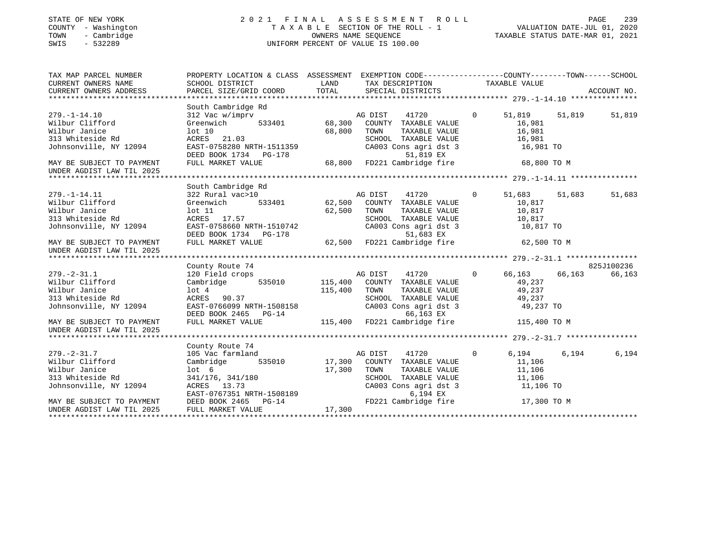## STATE OF NEW YORK 2 0 2 1 F I N A L A S S E S S M E N T R O L L PAGE 239 COUNTY - Washington T A X A B L E SECTION OF THE ROLL - 1 VALUATION DATE-JUL 01, 2020 TOWN - Cambridge OWNERS NAME SEQUENCE TAXABLE STATUS DATE-MAR 01, 2021 SWIS - 532289 UNIFORM PERCENT OF VALUE IS 100.00

| TAX MAP PARCEL NUMBER                                                                                                                                                                                                                                                                           | PROPERTY LOCATION & CLASS ASSESSMENT EXEMPTION CODE---------------COUNTY-------TOWN-----SCHOOL                                                                                                                                           |                                                                                                   |               |            |
|-------------------------------------------------------------------------------------------------------------------------------------------------------------------------------------------------------------------------------------------------------------------------------------------------|------------------------------------------------------------------------------------------------------------------------------------------------------------------------------------------------------------------------------------------|---------------------------------------------------------------------------------------------------|---------------|------------|
| $279. - 1 - 14.10$<br>Wilbur Clifford<br>Wilbur Janice<br>313 Whiteside Rd<br>313 Whiteside Rd<br>313 Whiteside Rd<br>313 Whiteside Rd<br>313 Whiteside Rd<br>313 Whiteside Rd<br>313 Whiteside Rd<br>313 Whiteside Rd<br>313 Whiteside Rd<br>313 Whiteside Rd<br>313 Whiteside Rd<br>313 White | South Cambridge Rd<br>$\begin{tabular}{lllllllllll} 312\text{ Vac } \text{w}/\text{imprv} & \text{AG DIST } & 41720 & 0 & 51,819 \\ \text{Greenwich} & 533401 & 68,300 & \text{COUNTY} & \text{TAXABLE VALUE} & 16,981 \\ \end{tabular}$ |                                                                                                   | 51,819 51,819 | 51,819     |
| UNDER AGDIST LAW TIL 2025                                                                                                                                                                                                                                                                       |                                                                                                                                                                                                                                          |                                                                                                   |               |            |
|                                                                                                                                                                                                                                                                                                 |                                                                                                                                                                                                                                          |                                                                                                   |               |            |
| $279. - 1 - 14.11$<br>Wilbur Clifford<br>VIDER AGRES 17.57<br>Wilbur Janice Marken Marken (100 11<br>Johnsonville, NY 12094<br>MAY BE SUBJECT TO PAYMENT FULL MARKET VALUE<br>MAY BE SUBJECT TO PAYMENT FULL MARKET VALUE<br>MAY BE SUBJECT TO PAYMENT FULL MARKET VALUE<br>MAY BE              | South Cambridge Rd                                                                                                                                                                                                                       | TOWN TAXABLE VALUE 10,817<br>SCHOOL TAXABLE VALUE 10,817<br>CA003 Cons agri dst 3 10,817 TO       |               | 51,683     |
| UNDER AGDIST LAW TIL 2025                                                                                                                                                                                                                                                                       |                                                                                                                                                                                                                                          |                                                                                                   |               |            |
|                                                                                                                                                                                                                                                                                                 | County Route 74                                                                                                                                                                                                                          |                                                                                                   |               | 825J100236 |
| Wilbur Janice<br>313 Whiteside Rd<br>315 WHITESTAR RESING NOTE 2009<br>Johnsonville, NY 12094 EAST-0766099 NRTH-1508158 CA003 Cons agri dst 3 49,237 TO<br>DEED BOOK 2465 PG-14 66,163 EX<br>NAY BE SUBJECT TO PAYMENT FULL MARKET VALUE 115,400 FD221 Cambridge fire 115                       | 115,400 TOWN ACRES 90.37                                                                                                                                                                                                                 | TOWN TAXABLE VALUE $49,237$<br>SCHOOL TAXABLE VALUE $49,237$<br>CA003 Cons agri dst 3 $49,237$ TO |               | 66,163     |
| UNDER AGDIST LAW TIL 2025                                                                                                                                                                                                                                                                       |                                                                                                                                                                                                                                          |                                                                                                   |               |            |
|                                                                                                                                                                                                                                                                                                 | County Route 74                                                                                                                                                                                                                          |                                                                                                   |               |            |
| $279. - 2 - 31.7$<br>Wilbur Clifford<br>Wilbur Janice 11,106<br>Mihips Janice 17,300 TOWN TAXABLE VALUE 11,106<br>313 Whiteside Rd<br>341/176, 341/180 17,300 TOWN TAXABLE VALUE 11,106<br>313 Whiteside Rd<br>341/176, 341/180 5CHOOL TAXABLE VALUE 11,106<br>313 Whiteside Rd<br>3            | 105 Vac farmland<br>Cambridge 535010 17,300 COUNTY TAXABLE VALUE 11,106                                                                                                                                                                  | AG DIST 41720 0 6,194 6,194                                                                       |               | 6,194      |
|                                                                                                                                                                                                                                                                                                 |                                                                                                                                                                                                                                          |                                                                                                   |               |            |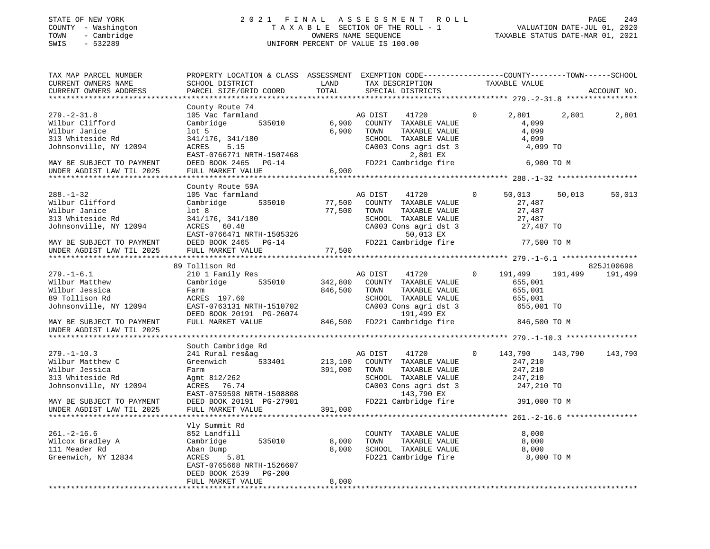## STATE OF NEW YORK 2 0 2 1 F I N A L A S S E S S M E N T R O L L PAGE 240 COUNTY - Washington T A X A B L E SECTION OF THE ROLL - 1 VALUATION DATE-JUL 01, 2020 TOWN - Cambridge OWNERS NAME SEQUENCE TAXABLE STATUS DATE-MAR 01, 2021 SWIS - 532289 UNIFORM PERCENT OF VALUE IS 100.00

| TAX MAP PARCEL NUMBER<br>CURRENT OWNERS NAME<br>CURRENT OWNERS ADDRESS                                                                                          | PROPERTY LOCATION & CLASS ASSESSMENT EXEMPTION CODE---------------COUNTY-------TOWN------SCHOOL<br>SCHOOL DISTRICT<br>PARCEL SIZE/GRID COORD                                                 | LAND<br>TOTAL                 | TAX DESCRIPTION<br>SPECIAL DISTRICTS                                                                                                                     | TAXABLE VALUE                                                                         | ACCOUNT NO.        |
|-----------------------------------------------------------------------------------------------------------------------------------------------------------------|----------------------------------------------------------------------------------------------------------------------------------------------------------------------------------------------|-------------------------------|----------------------------------------------------------------------------------------------------------------------------------------------------------|---------------------------------------------------------------------------------------|--------------------|
| *************************                                                                                                                                       |                                                                                                                                                                                              |                               |                                                                                                                                                          |                                                                                       |                    |
| $279. - 2 - 31.8$<br>Wilbur Clifford<br>Wilbur Janice<br>313 Whiteside Rd<br>Johnsonville, NY 12094<br>MAY BE SUBJECT TO PAYMENT<br>UNDER AGDIST LAW TIL 2025   | County Route 74<br>105 Vac farmland<br>Cambridge<br>535010<br>$1$ ot 5<br>341/176, 341/180<br>ACRES<br>5.15<br>EAST-0766771 NRTH-1507468<br>DEED BOOK 2465 PG-14<br>FULL MARKET VALUE        | 6,900<br>6,900<br>6,900       | AG DIST<br>41720<br>COUNTY TAXABLE VALUE<br>TOWN<br>TAXABLE VALUE<br>SCHOOL TAXABLE VALUE<br>CA003 Cons agri dst 3<br>2,801 EX<br>FD221 Cambridge fire   | $\Omega$<br>2,801<br>4,099<br>4,099<br>4,099<br>4,099 TO<br>6,900 TO M                | 2,801<br>2,801     |
|                                                                                                                                                                 |                                                                                                                                                                                              |                               |                                                                                                                                                          |                                                                                       |                    |
| $288. - 1 - 32$<br>Wilbur Clifford<br>Wilbur Janice<br>313 Whiteside Rd<br>Johnsonville, NY 12094<br>MAY BE SUBJECT TO PAYMENT<br>UNDER AGDIST LAW TIL 2025     | County Route 59A<br>105 Vac farmland<br>535010<br>Cambridge<br>lot <sub>8</sub><br>341/176, 341/180<br>ACRES 60.48<br>EAST-0766471 NRTH-1505326<br>DEED BOOK 2465 PG-14<br>FULL MARKET VALUE | 77,500<br>77,500<br>77,500    | AG DIST<br>41720<br>COUNTY TAXABLE VALUE<br>TAXABLE VALUE<br>TOWN<br>SCHOOL TAXABLE VALUE<br>CA003 Cons agri dst 3<br>50,013 EX<br>FD221 Cambridge fire  | $\mathbf{0}$<br>50,013<br>27,487<br>27,487<br>27,487<br>27,487 TO<br>77,500 TO M      | 50,013<br>50,013   |
|                                                                                                                                                                 | *******************************                                                                                                                                                              |                               |                                                                                                                                                          |                                                                                       |                    |
|                                                                                                                                                                 | 89 Tollison Rd                                                                                                                                                                               |                               |                                                                                                                                                          |                                                                                       | 825J100698         |
| $279. - 1 - 6.1$<br>Wilbur Matthew<br>Wilbur Jessica<br>89 Tollison Rd<br>Johnsonville, NY 12094                                                                | 210 1 Family Res<br>Cambridge<br>535010<br>Farm<br>ACRES 197.60<br>EAST-0763131 NRTH-1510702<br>DEED BOOK 20191 PG-26074                                                                     | 342,800<br>846,500            | 41720<br>AG DIST<br>COUNTY TAXABLE VALUE<br>TOWN<br>TAXABLE VALUE<br>SCHOOL TAXABLE VALUE<br>CA003 Cons agri dst 3<br>191,499 EX                         | $\circ$<br>191,499<br>655,001<br>655,001<br>655,001<br>655,001 TO                     | 191,499<br>191,499 |
| MAY BE SUBJECT TO PAYMENT<br>UNDER AGDIST LAW TIL 2025                                                                                                          | FULL MARKET VALUE                                                                                                                                                                            |                               | 846,500 FD221 Cambridge fire                                                                                                                             | 846,500 TO M                                                                          |                    |
|                                                                                                                                                                 |                                                                                                                                                                                              |                               |                                                                                                                                                          |                                                                                       |                    |
| $279. - 1 - 10.3$<br>Wilbur Matthew C<br>Wilbur Jessica<br>313 Whiteside Rd<br>Johnsonville, NY 12094<br>MAY BE SUBJECT TO PAYMENT<br>UNDER AGDIST LAW TIL 2025 | South Cambridge Rd<br>241 Rural res&ag<br>533401<br>Greenwich<br>Farm<br>Agmt 812/262<br>ACRES 76.74<br>EAST-0759598 NRTH-1508808<br>DEED BOOK 20191 PG-27901<br>FULL MARKET VALUE           | 213,100<br>391,000<br>391,000 | 41720<br>AG DIST<br>COUNTY TAXABLE VALUE<br>TOWN<br>TAXABLE VALUE<br>SCHOOL TAXABLE VALUE<br>CA003 Cons agri dst 3<br>143,790 EX<br>FD221 Cambridge fire | $\mathbf 0$<br>143,790<br>247,210<br>247,210<br>247,210<br>247,210 TO<br>391,000 TO M | 143,790<br>143,790 |
|                                                                                                                                                                 |                                                                                                                                                                                              |                               |                                                                                                                                                          |                                                                                       |                    |
| $261. -2 - 16.6$<br>Wilcox Bradley A<br>111 Meader Rd<br>Greenwich, NY 12834                                                                                    | Vly Summit Rd<br>852 Landfill<br>535010<br>Cambridge<br>Aban Dump<br>ACRES<br>5.81<br>EAST-0765668 NRTH-1526607<br>DEED BOOK 2539<br><b>PG-200</b>                                           | 8,000<br>8,000                | COUNTY TAXABLE VALUE<br>TAXABLE VALUE<br>TOWN<br>SCHOOL TAXABLE VALUE<br>FD221 Cambridge fire                                                            | 8,000<br>8,000<br>8,000<br>8,000 TO M                                                 |                    |
|                                                                                                                                                                 | FULL MARKET VALUE                                                                                                                                                                            | 8,000                         |                                                                                                                                                          |                                                                                       |                    |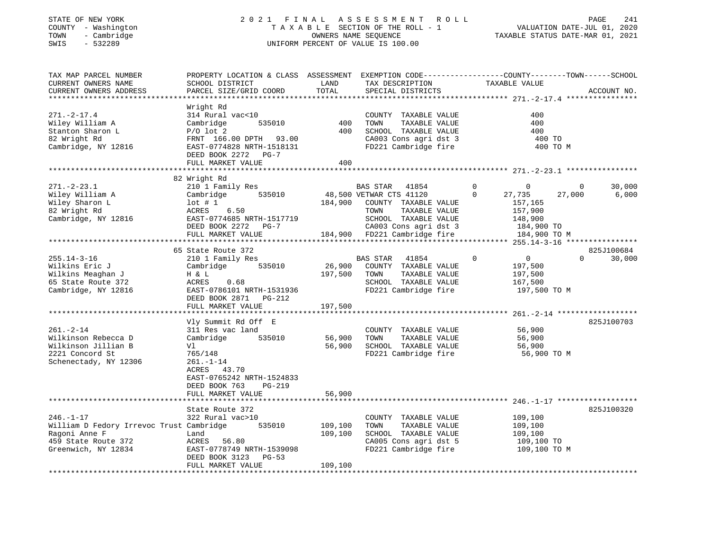## STATE OF NEW YORK 2 0 2 1 F I N A L A S S E S S M E N T R O L L PAGE 241 COUNTY - Washington T A X A B L E SECTION OF THE ROLL - 1 VALUATION DATE-JUL 01, 2020 TOWN - Cambridge OWNERS NAME SEQUENCE TAXABLE STATUS DATE-MAR 01, 2021 SWIS - 532289 UNIFORM PERCENT OF VALUE IS 100.00

| TAX MAP PARCEL NUMBER<br>CURRENT OWNERS NAME<br>CURRENT OWNERS ADDRESS<br>***********************                          | PROPERTY LOCATION & CLASS ASSESSMENT<br>SCHOOL DISTRICT<br>PARCEL SIZE/GRID COORD                                                                                                | LAND<br>TOTAL                 | EXEMPTION CODE-----------------COUNTY-------TOWN------SCHOOL<br>TAX DESCRIPTION<br>SPECIAL DISTRICTS                                        | TAXABLE VALUE                                                                                   | ACCOUNT NO.                           |
|----------------------------------------------------------------------------------------------------------------------------|----------------------------------------------------------------------------------------------------------------------------------------------------------------------------------|-------------------------------|---------------------------------------------------------------------------------------------------------------------------------------------|-------------------------------------------------------------------------------------------------|---------------------------------------|
| $271. - 2 - 17.4$<br>Wiley William A<br>Stanton Sharon L<br>82 Wright Rd<br>Cambridge, NY 12816                            | Wright Rd<br>314 Rural vac<10<br>535010<br>Cambridge<br>$P/O$ lot 2<br>FRNT 166.00 DPTH 93.00<br>EAST-0774828 NRTH-1518131<br>DEED BOOK 2272 PG-7<br>FULL MARKET VALUE           | 400<br>400<br>400             | COUNTY TAXABLE VALUE<br>TOWN<br>TAXABLE VALUE<br>SCHOOL TAXABLE VALUE<br>CA003 Cons agri dst 3<br>FD221 Cambridge fire                      | 400<br>400<br>400<br>400 TO<br>400 TO M                                                         |                                       |
|                                                                                                                            |                                                                                                                                                                                  |                               |                                                                                                                                             |                                                                                                 |                                       |
| $271. - 2 - 23.1$<br>Wiley William A<br>Wiley Sharon L<br>82 Wright Rd<br>Cambridge, NY 12816                              | 82 Wright Rd<br>210 1 Family Res<br>Cambridge<br>535010<br>$1$ ot # 1<br>6.50<br>ACRES<br>EAST-0774685 NRTH-1517719<br>DEED BOOK 2272 PG-7                                       | 184,900                       | BAS STAR 41854<br>48,500 VETWAR CTS 41120<br>COUNTY TAXABLE VALUE<br>TOWN<br>TAXABLE VALUE<br>SCHOOL TAXABLE VALUE<br>CA003 Cons agri dst 3 | $\Omega$<br>$\mathbf 0$<br>$\mathbf 0$<br>27,735<br>157,165<br>157,900<br>148,900<br>184,900 TO | 30,000<br>$\Omega$<br>6,000<br>27,000 |
|                                                                                                                            | FULL MARKET VALUE                                                                                                                                                                |                               | 184,900 FD221 Cambridge fire                                                                                                                | 184,900 TO M                                                                                    |                                       |
|                                                                                                                            | 65 State Route 372                                                                                                                                                               |                               |                                                                                                                                             |                                                                                                 | 825J100684                            |
| $255.14 - 3 - 16$<br>Wilkins Eric J<br>Wilkins Meaghan J<br>65 State Route 372<br>Cambridge, NY 12816                      | 210 1 Family Res<br>Cambridge<br>535010<br>H & L<br>ACRES<br>0.68<br>EAST-0786101 NRTH-1531936<br>DEED BOOK 2871 PG-212                                                          | 26,900<br>197,500             | BAS STAR<br>41854<br>COUNTY TAXABLE VALUE<br>TOWN<br>TAXABLE VALUE<br>SCHOOL TAXABLE VALUE<br>FD221 Cambridge fire                          | $\Omega$<br>$\overline{0}$<br>197,500<br>197,500<br>167,500<br>197,500 TO M                     | $\Omega$<br>30,000                    |
|                                                                                                                            | FULL MARKET VALUE                                                                                                                                                                | 197,500                       |                                                                                                                                             |                                                                                                 |                                       |
| $261. - 2 - 14$<br>Wilkinson Rebecca D<br>Wilkinson Jillian B<br>2221 Concord St<br>Schenectady, NY 12306                  | Vly Summit Rd Off E<br>311 Res vac land<br>Cambridge<br>535010<br>Vl<br>765/148<br>$261. - 1 - 14$<br>ACRES 43.70<br>EAST-0765242 NRTH-1524833<br>DEED BOOK 763<br><b>PG-219</b> | 56,900<br>56,900              | COUNTY TAXABLE VALUE<br>TAXABLE VALUE<br>TOWN<br>SCHOOL TAXABLE VALUE<br>FD221 Cambridge fire                                               | 56,900<br>56,900<br>56,900<br>56,900 TO M                                                       | 825J100703                            |
|                                                                                                                            | FULL MARKET VALUE                                                                                                                                                                | 56,900                        |                                                                                                                                             |                                                                                                 |                                       |
|                                                                                                                            |                                                                                                                                                                                  |                               |                                                                                                                                             |                                                                                                 |                                       |
| $246. - 1 - 17$<br>William D Fedory Irrevoc Trust Cambridge<br>Ragoni Anne F<br>459 State Route 372<br>Greenwich, NY 12834 | State Route 372<br>322 Rural vac>10<br>535010<br>Land<br>ACRES<br>56.80<br>EAST-0778749 NRTH-1539098<br>DEED BOOK 3123<br>$PG-53$<br>FULL MARKET VALUE                           | 109,100<br>109,100<br>109,100 | COUNTY TAXABLE VALUE<br>TAXABLE VALUE<br>TOWN<br>SCHOOL TAXABLE VALUE<br>CA005 Cons agri dst 5<br>FD221 Cambridge fire                      | 109,100<br>109,100<br>109,100<br>109,100 TO<br>109,100 TO M                                     | 825J100320                            |
|                                                                                                                            |                                                                                                                                                                                  |                               |                                                                                                                                             |                                                                                                 |                                       |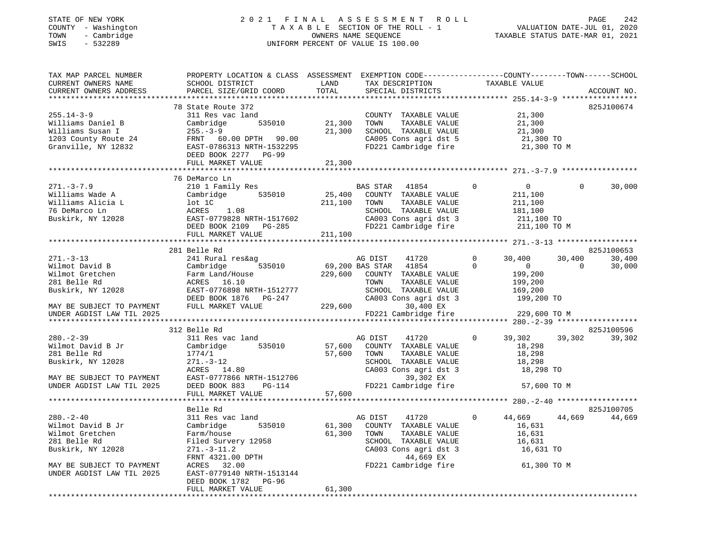## STATE OF NEW YORK 2 0 2 1 F I N A L A S S E S S M E N T R O L L PAGE 242 COUNTY - Washington T A X A B L E SECTION OF THE ROLL - 1 VALUATION DATE-JUL 01, 2020 TOWN - Cambridge OWNERS NAME SEQUENCE TAXABLE STATUS DATE-MAR 01, 2021 SWIS - 532289 UNIFORM PERCENT OF VALUE IS 100.00

| TAX MAP PARCEL NUMBER<br>CURRENT OWNERS NAME<br>CURRENT OWNERS ADDRESS                                                                                                                                                                                                                     | PROPERTY LOCATION & CLASS ASSESSMENT EXEMPTION CODE----------------COUNTY-------TOWN------SCHOOL<br>SCHOOL DISTRICT<br>PARCEL SIZE/GRID COORD                                                                                                                                                                                              | LAND<br>TOTAL                | TAX DESCRIPTION<br>SPECIAL DISTRICTS                                                                                                                                                                                                                                                                                                                   | TAXABLE VALUE                                                                                                                                                                                      | ACCOUNT NO.                                                                            |
|--------------------------------------------------------------------------------------------------------------------------------------------------------------------------------------------------------------------------------------------------------------------------------------------|--------------------------------------------------------------------------------------------------------------------------------------------------------------------------------------------------------------------------------------------------------------------------------------------------------------------------------------------|------------------------------|--------------------------------------------------------------------------------------------------------------------------------------------------------------------------------------------------------------------------------------------------------------------------------------------------------------------------------------------------------|----------------------------------------------------------------------------------------------------------------------------------------------------------------------------------------------------|----------------------------------------------------------------------------------------|
| $255.14 - 3 - 9$<br>Williams Daniel B<br>Williams Susan I<br>1203 County Route 24<br>Granville, NY 12832                                                                                                                                                                                   | 78 State Route 372<br>311 Res vac land<br>Cambridge<br>535010<br>$255. - 3 - 9$<br>FRNT 60.00 DPTH 90.00<br>EAST-0786313 NRTH-1532295<br>DEED BOOK 2277 PG-99<br>FULL MARKET VALUE                                                                                                                                                         | 21,300<br>21,300<br>21,300   | COUNTY TAXABLE VALUE<br>TOWN<br>TAXABLE VALUE<br>SCHOOL TAXABLE VALUE<br>CA005 Cons agri dst 5<br>FD221 Cambridge fire                                                                                                                                                                                                                                 | 21,300<br>21,300<br>21,300<br>21,300 TO<br>21,300 TO M                                                                                                                                             | 825J100674                                                                             |
|                                                                                                                                                                                                                                                                                            |                                                                                                                                                                                                                                                                                                                                            |                              |                                                                                                                                                                                                                                                                                                                                                        |                                                                                                                                                                                                    |                                                                                        |
| $271. - 3 - 7.9$<br>Williams Wade A<br>Williams Alicia L<br>76 DeMarco Ln<br>Buskirk, NY 12028                                                                                                                                                                                             | 76 DeMarco Ln<br>210 1 Family Res<br>Cambridge<br>535010<br>lot 1C<br>ACRES<br>1.08<br>EAST-0779828 NRTH-1517602<br>DEED BOOK 2109 PG-285<br>FULL MARKET VALUE                                                                                                                                                                             | 25,400<br>211,100<br>211,100 | BAS STAR 41854<br>COUNTY TAXABLE VALUE<br>TAXABLE VALUE<br>TOWN<br>SCHOOL TAXABLE VALUE<br>CA003 Cons agri dst 3<br>FD221 Cambridge fire                                                                                                                                                                                                               | $\overline{0}$<br>$\Omega$<br>211,100<br>211,100<br>181,100<br>211,100 TO<br>211,100 TO M                                                                                                          | $\Omega$<br>30,000                                                                     |
|                                                                                                                                                                                                                                                                                            | ***********************                                                                                                                                                                                                                                                                                                                    |                              |                                                                                                                                                                                                                                                                                                                                                        |                                                                                                                                                                                                    |                                                                                        |
| $271. - 3 - 13$<br>Wilmot David B<br>Wilmot Gretchen<br>281 Belle Rd<br>Buskirk, NY 12028<br>MAY BE SUBJECT TO PAYMENT<br>UNDER AGDIST LAW TIL 2025<br>$280. - 2 - 39$<br>Wilmot David B Jr<br>281 Belle Rd<br>Buskirk, NY 12028<br>MAY BE SUBJECT TO PAYMENT<br>UNDER AGDIST LAW TIL 2025 | 281 Belle Rd<br>241 Rural res&ag<br>535010<br>Cambridge<br>Farm Land/House<br>ACRES 16.10<br>EAST-0776898 NRTH-1512777<br>DEED BOOK 1876 PG-247<br>FULL MARKET VALUE<br>312 Belle Rd<br>311 Res vac land<br>535010<br>Cambridge<br>1774/1<br>$271. - 3 - 12$<br>ACRES 14.80<br>EAST-0777866 NRTH-1512706<br>DEED BOOK 883<br><b>PG-114</b> | 229,600<br>57,600<br>57,600  | AG DIST<br>41720<br>69,200 BAS STAR<br>41854<br>229,600 COUNTY TAXABLE VALUE<br>TOWN<br>TAXABLE VALUE<br>SCHOOL TAXABLE VALUE<br>CA003 Cons agri dst 3<br>30,400 EX<br>FD221 Cambridge fire<br>AG DIST<br>41720<br>COUNTY TAXABLE VALUE<br>TOWN<br>TAXABLE VALUE<br>SCHOOL TAXABLE VALUE<br>CA003 Cons agri dst 3<br>39,302 EX<br>FD221 Cambridge fire | $\mathbf 0$<br>30,400<br>$\Omega$<br>$\overline{0}$<br>199,200<br>199,200<br>169,200<br>199,200 TO<br>229,600 TO M<br>$\Omega$<br>39,302<br>18,298<br>18,298<br>18,298<br>18,298 TO<br>57,600 TO M | 825J100653<br>30,400<br>30,400<br>$\Omega$<br>30,000<br>825J100596<br>39,302<br>39,302 |
|                                                                                                                                                                                                                                                                                            | FULL MARKET VALUE                                                                                                                                                                                                                                                                                                                          | 57,600                       |                                                                                                                                                                                                                                                                                                                                                        |                                                                                                                                                                                                    |                                                                                        |
|                                                                                                                                                                                                                                                                                            |                                                                                                                                                                                                                                                                                                                                            |                              |                                                                                                                                                                                                                                                                                                                                                        |                                                                                                                                                                                                    |                                                                                        |
| $280 - 2 - 40$<br>Wilmot David B Jr<br>Wilmot Gretchen<br>281 Belle Rd<br>Buskirk, NY 12028<br>MAY BE SUBJECT TO PAYMENT<br>UNDER AGDIST LAW TIL 2025                                                                                                                                      | Belle Rd<br>311 Res vac land<br>535010<br>Cambridge<br>Farm/house<br>Filed Survery 12958<br>$271. - 3 - 11.2$<br>FRNT 4321.00 DPTH<br>ACRES 32.00<br>EAST-0779140 NRTH-1513144                                                                                                                                                             | 61,300<br>61,300             | 41720<br>AG DIST<br>COUNTY TAXABLE VALUE<br>TOWN<br>TAXABLE VALUE<br>SCHOOL TAXABLE VALUE<br>CA003 Cons agri dst 3<br>44,669 EX<br>FD221 Cambridge fire                                                                                                                                                                                                | 0<br>44,669<br>16,631<br>16,631<br>16,631<br>16,631 TO<br>61,300 TO M                                                                                                                              | 825J100705<br>44,669<br>44,669                                                         |
|                                                                                                                                                                                                                                                                                            | DEED BOOK 1782<br>PG-96<br>FULL MARKET VALUE                                                                                                                                                                                                                                                                                               | 61,300                       |                                                                                                                                                                                                                                                                                                                                                        |                                                                                                                                                                                                    |                                                                                        |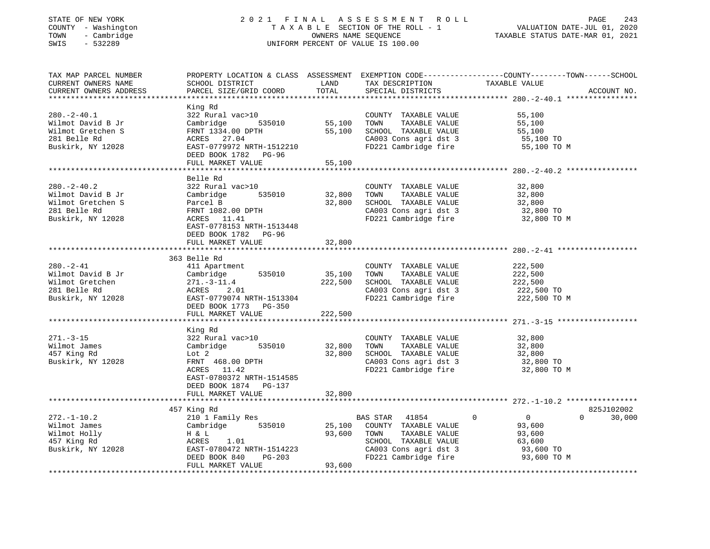## STATE OF NEW YORK 2 0 2 1 F I N A L A S S E S S M E N T R O L L PAGE 243 COUNTY - Washington T A X A B L E SECTION OF THE ROLL - 1 VALUATION DATE-JUL 01, 2020 TOWN - Cambridge OWNERS NAME SEQUENCE TAXABLE STATUS DATE-MAR 01, 2021 SWIS - 532289 UNIFORM PERCENT OF VALUE IS 100.00

| TAX MAP PARCEL NUMBER<br>CURRENT OWNERS NAME<br>CURRENT OWNERS ADDRESS                           | PROPERTY LOCATION & CLASS ASSESSMENT<br>SCHOOL DISTRICT<br>PARCEL SIZE/GRID COORD                                                                                     | LAND<br>TOTAL                | TAX DESCRIPTION<br>SPECIAL DISTRICTS                                                                                                     | EXEMPTION CODE-----------------COUNTY-------TOWN------SCHOOL<br>TAXABLE VALUE<br>ACCOUNT NO.              |
|--------------------------------------------------------------------------------------------------|-----------------------------------------------------------------------------------------------------------------------------------------------------------------------|------------------------------|------------------------------------------------------------------------------------------------------------------------------------------|-----------------------------------------------------------------------------------------------------------|
| $280. -2 - 40.1$<br>Wilmot David B Jr<br>Wilmot Gretchen S<br>281 Belle Rd<br>Buskirk, NY 12028  | King Rd<br>322 Rural vac>10<br>535010<br>Cambridge<br>FRNT 1334.00 DPTH<br>ACRES 27.04<br>EAST-0779972 NRTH-1512210<br>DEED BOOK 1782 PG-96<br>FULL MARKET VALUE      | 55,100<br>55,100<br>55,100   | COUNTY TAXABLE VALUE<br>TAXABLE VALUE<br>TOWN<br>SCHOOL TAXABLE VALUE<br>CA003 Cons agri dst 3<br>FD221 Cambridge fire                   | 55,100<br>55,100<br>55,100<br>55,100 TO<br>55,100 TO M                                                    |
|                                                                                                  |                                                                                                                                                                       |                              |                                                                                                                                          |                                                                                                           |
| $280. - 2 - 40.2$<br>Wilmot David B Jr<br>Wilmot Gretchen S<br>281 Belle Rd<br>Buskirk, NY 12028 | Belle Rd<br>322 Rural vac>10<br>Cambridge<br>535010<br>Parcel B<br>FRNT 1082.00 DPTH<br>ACRES 11.41<br>EAST-0778153 NRTH-1513448<br>DEED BOOK 1782 PG-96              | 32,800<br>32,800             | COUNTY TAXABLE VALUE<br>TOWN<br>TAXABLE VALUE<br>SCHOOL TAXABLE VALUE<br>CA003 Cons agri dst 3<br>FD221 Cambridge fire                   | 32,800<br>32,800<br>32,800<br>32,800 TO<br>32,800 TO M                                                    |
|                                                                                                  | FULL MARKET VALUE                                                                                                                                                     | 32,800                       |                                                                                                                                          |                                                                                                           |
|                                                                                                  |                                                                                                                                                                       |                              |                                                                                                                                          |                                                                                                           |
| $280. - 2 - 41$<br>Wilmot David B Jr<br>Wilmot Gretchen<br>281 Belle Rd<br>Buskirk, NY 12028     | 363 Belle Rd<br>411 Apartment<br>535010<br>Cambridge<br>$271. - 3 - 11.4$<br>ACRES<br>2.01<br>EAST-0779074 NRTH-1513304<br>DEED BOOK 1773 PG-350<br>FULL MARKET VALUE | 35,100<br>222,500<br>222,500 | COUNTY TAXABLE VALUE<br>TOWN<br>TAXABLE VALUE<br>SCHOOL TAXABLE VALUE<br>CA003 Cons agri dst 3<br>FD221 Cambridge fire                   | 222,500<br>222,500<br>222,500<br>222,500 TO<br>222,500 TO M                                               |
|                                                                                                  |                                                                                                                                                                       |                              |                                                                                                                                          |                                                                                                           |
| $271. - 3 - 15$<br>Wilmot James<br>457 King Rd<br>Buskirk, NY 12028                              | King Rd<br>322 Rural vac>10<br>535010<br>Cambridge<br>Lot 2<br>FRNT 468.00 DPTH<br>ACRES 11.42<br>EAST-0780372 NRTH-1514585                                           | 32,800<br>32,800             | COUNTY TAXABLE VALUE<br>TAXABLE VALUE<br>TOWN<br>SCHOOL TAXABLE VALUE<br>CA003 Cons agri dst 3<br>FD221 Cambridge fire                   | 32,800<br>32,800<br>32,800<br>32,800 TO<br>32,800 TO M                                                    |
|                                                                                                  | DEED BOOK 1874 PG-137<br>FULL MARKET VALUE                                                                                                                            | 32,800                       |                                                                                                                                          |                                                                                                           |
|                                                                                                  | 457 King Rd                                                                                                                                                           |                              |                                                                                                                                          | 825J102002                                                                                                |
| $272. - 1 - 10.2$<br>Wilmot James<br>Wilmot Holly<br>457 King Rd<br>Buskirk, NY 12028            | 210 1 Family Res<br>535010<br>Cambridge<br>H & L<br>ACRES<br>1.01<br>EAST-0780472 NRTH-1514223<br>PG-203<br>DEED BOOK 840<br>FULL MARKET VALUE                        | 25,100<br>93,600<br>93,600   | BAS STAR 41854<br>COUNTY TAXABLE VALUE<br>TAXABLE VALUE<br>TOWN<br>SCHOOL TAXABLE VALUE<br>CA003 Cons agri dst 3<br>FD221 Cambridge fire | $\circ$<br>$\overline{0}$<br>$\Omega$<br>30,000<br>93,600<br>93,600<br>63,600<br>93,600 TO<br>93,600 TO M |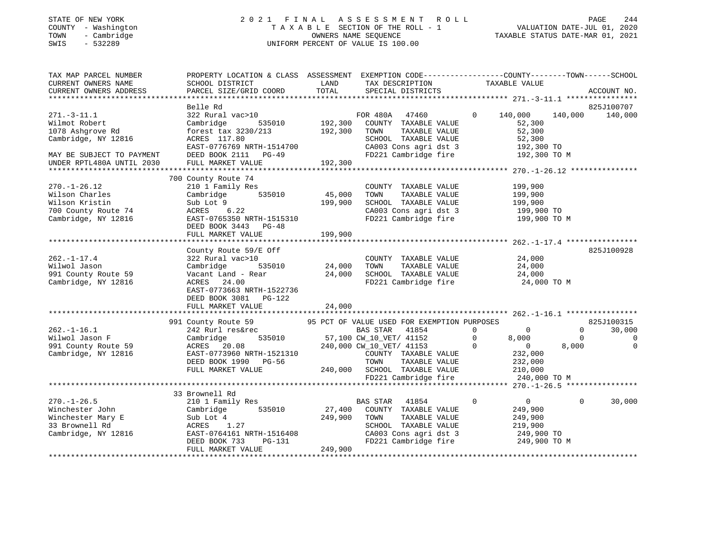SINIE OF NEW YORK<br>COUNTY - Washington<br>TOWN - Cambridge<br>SWIS - 532289

#### STATE OF NEW YORK 2 0 2 1 F I N A L A S S E S S M E N T R O L L PAGE 244 COUNTY - Washington T A X A B L E SECTION OF THE ROLL - 1 VALUATION DATE-JUL 01, 2020 TOWN - Cambridge OWNERS NAME SEQUENCE TAXABLE STATUS DATE-MAR 01, 2021 UNIFORM PERCENT OF VALUE IS 100.00

| TAX MAP PARCEL NUMBER<br>CURRENT OWNERS NAME<br>CURRENT OWNERS ADDRESS                                                                                            | PROPERTY LOCATION & CLASS ASSESSMENT EXEMPTION CODE---------------COUNTY-------TOWN------SCHOOL<br>SCHOOL DISTRICT<br>PARCEL SIZE/GRID COORD                                     | LAND<br>TOTAL                        | TAX DESCRIPTION TAXABLE VALUE<br>SPECIAL DISTRICTS                                                                                                                                                                               |                                                                                                                                | ACCOUNT NO.                                                                         |
|-------------------------------------------------------------------------------------------------------------------------------------------------------------------|----------------------------------------------------------------------------------------------------------------------------------------------------------------------------------|--------------------------------------|----------------------------------------------------------------------------------------------------------------------------------------------------------------------------------------------------------------------------------|--------------------------------------------------------------------------------------------------------------------------------|-------------------------------------------------------------------------------------|
| $271. - 3 - 11.1$<br>Wilmot Robert<br>1078 Ashgrove Rd<br>Cambridge, NY 12816<br>MAY BE SUBJECT TO PAYMENT<br>UNDER RPTL480A UNTIL 2030<br>********************** | Belle Rd<br>322 Rural vac>10<br>Cambridge<br>forest tax 3230/213<br>ACRES 117.80<br>EAST-0776769 NRTH-1514700<br>DEED BOOK 2111 PG-49<br>FULL MARKET VALUE                       | 535010 192,300<br>192,300<br>192,300 | FOR 480A<br>47460<br>COUNTY TAXABLE VALUE<br>TOWN<br>TAXABLE VALUE<br>SCHOOL TAXABLE VALUE<br>CA003 Cons agri dst 3<br>FD221 Cambridge fire                                                                                      | $\Omega$<br>140,000<br>52,300<br>52,300<br>52,300<br>192,300 TO<br>192,300 TO M                                                | 825J100707<br>140,000<br>140,000                                                    |
| $270. - 1 - 26.12$<br>Wilson Charles<br>Wilson Kristin<br>700 County Route 74<br>Cambridge, NY 12816                                                              | 700 County Route 74<br>210 1 Family Res<br>535010<br>Cambridge<br>Sub Lot 9<br>ACRES<br>6.22<br>EAST-0765350 NRTH-1515310<br>DEED BOOK 3443 PG-48<br>FULL MARKET VALUE           | 45,000<br>199,900<br>199,900         | COUNTY TAXABLE VALUE<br>TOWN<br>TAXABLE VALUE<br>SCHOOL TAXABLE VALUE<br>CA003 Cons agri dst 3<br>FD221 Cambridge fire                                                                                                           | 199,900<br>199,900<br>199,900<br>199,900 TO<br>199,900 TO M                                                                    |                                                                                     |
| $262. - 1 - 17.4$<br>Wilwol Jason<br>991 County Route 59<br>Cambridge, NY 12816                                                                                   | County Route 59/E Off<br>322 Rural vac>10<br>535010<br>Cambridge<br>Vacant Land - Rear<br>ACRES 24.00<br>EAST-0773663 NRTH-1522736<br>DEED BOOK 3081 PG-122<br>FULL MARKET VALUE | 24,000<br>24,000<br>24,000           | COUNTY TAXABLE VALUE 24,000<br>TOWN<br>TAXABLE VALUE<br>TOWN       TAXABLE  VALUE<br>SCHOOL    TAXABLE  VALUE<br>FD221 Cambridge fire 24,000 TO M                                                                                | 24,000<br>$\frac{24}{24}$ , 000                                                                                                | 825J100928                                                                          |
| $262. - 1 - 16.1$<br>Wilwol Jason F<br>991 County Route 59<br>Cambridge, NY 12816                                                                                 | 991 County Route 59<br>242 Rurl res&rec<br>535010<br>Cambridge<br>ACRES 20.08<br>EAST-0773960 NRTH-1521310<br>DEED BOOK 1990 PG-56<br>FULL MARKET VALUE                          |                                      | 95 PCT OF VALUE USED FOR EXEMPTION PURPOSES<br>BAS STAR<br>41854<br>57,100 CW 10 VET/ 41152<br>240,000 CW_10_VET/ 41153<br>COUNTY TAXABLE VALUE<br>TOWN<br>TAXABLE VALUE<br>240,000 SCHOOL TAXABLE VALUE<br>FD221 Cambridge fire | $\Omega$<br>$\Omega$<br>$\mathbf 0$<br>8,000<br>$\mathbf 0$<br>$\overline{0}$<br>232,000<br>232,000<br>210,000<br>240,000 TO M | 825J100315<br>$\Omega$<br>30,000<br>$\Omega$<br>$\mathbf 0$<br>$\mathbf 0$<br>8,000 |
| $270. - 1 - 26.5$<br>Winchester John<br>Winchester Mary E<br>33 Brownell Rd<br>Cambridge, NY 12816                                                                | 33 Brownell Rd<br>210 1 Family Res<br>535010<br>Cambridge<br>Sub Lot 4<br>1.27<br>ACRES<br>EAST-0764161 NRTH-1516408<br>DEED BOOK 733<br>PG-131<br>FULL MARKET VALUE             | 27,400<br>249,900<br>249,900         | BAS STAR<br>41854<br>COUNTY TAXABLE VALUE<br>TAXABLE VALUE<br>TOWN<br>SCHOOL TAXABLE VALUE<br>CA003 Cons agri dst 3<br>FD221 Cambridge fire                                                                                      | $\mathbf 0$<br>$\overline{0}$<br>249,900<br>249,900<br>219,900<br>249,900 TO<br>249,900 TO M                                   | $\mathbf 0$<br>30,000                                                               |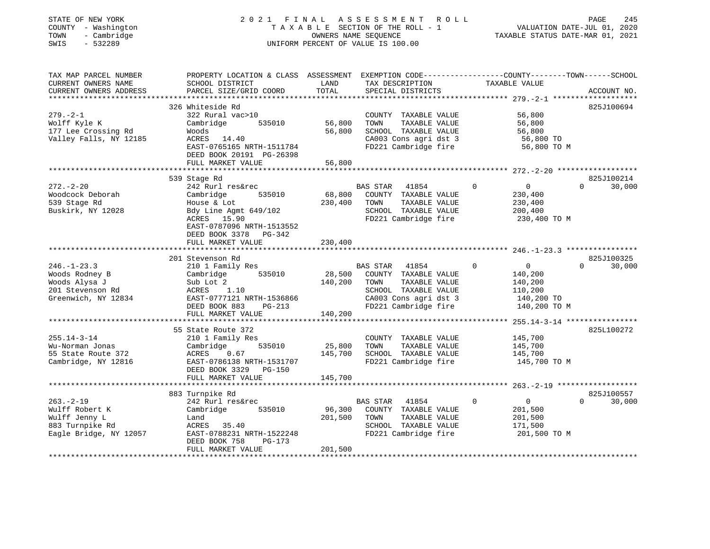| STATE OF NEW YORK<br>COUNTY - Washington<br>- Cambridge<br>TOWN<br>$-532289$<br>SWIS |                                                                                                |               | 2021 FINAL ASSESSMENT<br>ROLL<br>TAXABLE SECTION OF THE ROLL - 1<br>OWNERS NAME SEQUENCE<br>UNIFORM PERCENT OF VALUE IS 100.00 |                               | PAGE<br>245<br>VALUATION DATE-JUL 01, 2020<br>TAXABLE STATUS DATE-MAR 01, 2021 |
|--------------------------------------------------------------------------------------|------------------------------------------------------------------------------------------------|---------------|--------------------------------------------------------------------------------------------------------------------------------|-------------------------------|--------------------------------------------------------------------------------|
| TAX MAP PARCEL NUMBER                                                                | PROPERTY LOCATION & CLASS ASSESSMENT EXEMPTION CODE---------------COUNTY-------TOWN-----SCHOOL |               |                                                                                                                                |                               |                                                                                |
| CURRENT OWNERS NAME<br>CURRENT OWNERS ADDRESS                                        | SCHOOL DISTRICT<br>PARCEL SIZE/GRID COORD                                                      | LAND<br>TOTAL | TAX DESCRIPTION<br>SPECIAL DISTRICTS                                                                                           | TAXABLE VALUE                 | ACCOUNT NO.                                                                    |
| ***********************                                                              |                                                                                                |               |                                                                                                                                |                               |                                                                                |
|                                                                                      | 326 Whiteside Rd                                                                               |               |                                                                                                                                |                               | 825J100694                                                                     |
| $279. - 2 - 1$<br>Wolff Kyle K                                                       | 322 Rural vac>10<br>Cambridge<br>535010                                                        | 56,800        | COUNTY TAXABLE VALUE<br>TOWN<br>TAXABLE VALUE                                                                                  | 56,800<br>56,800              |                                                                                |
| 177 Lee Crossing Rd                                                                  | Woods                                                                                          | 56,800        | SCHOOL TAXABLE VALUE                                                                                                           | 56,800                        |                                                                                |
| Valley Falls, NY 12185                                                               | ACRES 14.40                                                                                    |               | CA003 Cons agri dst 3                                                                                                          | 56,800 TO                     |                                                                                |
|                                                                                      | EAST-0765165 NRTH-1511784                                                                      |               | FD221 Cambridge fire                                                                                                           | 56,800 TO M                   |                                                                                |
|                                                                                      | DEED BOOK 20191 PG-26398                                                                       |               |                                                                                                                                |                               |                                                                                |
|                                                                                      | FULL MARKET VALUE                                                                              | 56,800        |                                                                                                                                |                               |                                                                                |
|                                                                                      | **********************<br>539 Stage Rd                                                         |               |                                                                                                                                |                               | 825J100214                                                                     |
| $272. - 2 - 20$                                                                      | 242 Rurl res&rec                                                                               |               | BAS STAR<br>41854                                                                                                              | $\Omega$<br>$\overline{0}$    | 30,000<br>$\Omega$                                                             |
| Woodcock Deborah                                                                     | Cambridge<br>535010                                                                            | 68,800        | COUNTY TAXABLE VALUE                                                                                                           | 230,400                       |                                                                                |
| 539 Stage Rd                                                                         | House & Lot                                                                                    | 230,400       | TOWN<br>TAXABLE VALUE                                                                                                          | 230,400                       |                                                                                |
| Buskirk, NY 12028                                                                    | Bdy Line Agmt 649/102                                                                          |               | SCHOOL TAXABLE VALUE                                                                                                           | 200,400                       |                                                                                |
|                                                                                      | ACRES 15.90                                                                                    |               | FD221 Cambridge fire                                                                                                           | 230,400 TO M                  |                                                                                |
|                                                                                      | EAST-0787096 NRTH-1513552                                                                      |               |                                                                                                                                |                               |                                                                                |
|                                                                                      | DEED BOOK 3378 PG-342<br>FULL MARKET VALUE                                                     | 230,400       |                                                                                                                                |                               |                                                                                |
|                                                                                      |                                                                                                |               |                                                                                                                                |                               |                                                                                |
|                                                                                      | 201 Stevenson Rd                                                                               |               |                                                                                                                                |                               | 825J100325                                                                     |
| $246. - 1 - 23.3$                                                                    | 210 1 Family Res                                                                               |               | BAS STAR 41854                                                                                                                 | $\Omega$<br>$\overline{0}$    | 30,000<br>$\Omega$                                                             |
| Woods Rodney B                                                                       | Cambridge 535010                                                                               | 28,500        | COUNTY TAXABLE VALUE                                                                                                           | 140,200                       |                                                                                |
| Woods Alysa J                                                                        | Sub Lot 2                                                                                      | 140,200       | TAXABLE VALUE<br>TOWN                                                                                                          | 140,200                       |                                                                                |
| 201 Stevenson Rd                                                                     | ACRES<br>1.10                                                                                  |               | SCHOOL TAXABLE VALUE                                                                                                           | 110,200                       |                                                                                |
| Greenwich, NY 12834                                                                  | EAST-0777121 NRTH-1536866<br>DEED BOOK 883<br>PG-213                                           |               | CA003 Cons agri dst 3<br>FD221 Cambridge fire                                                                                  | 140,200 TO<br>140,200 TO M    |                                                                                |
|                                                                                      | FULL MARKET VALUE                                                                              | 140,200       |                                                                                                                                |                               |                                                                                |
|                                                                                      | *****************************                                                                  |               |                                                                                                                                |                               |                                                                                |
|                                                                                      | 55 State Route 372                                                                             |               |                                                                                                                                |                               | 825L100272                                                                     |
| $255.14 - 3 - 14$                                                                    | 210 1 Family Res                                                                               |               | COUNTY TAXABLE VALUE                                                                                                           | 145,700                       |                                                                                |
| Wu-Norman Jonas                                                                      | 535010<br>Cambridge                                                                            | 25,800        | TOWN<br>TAXABLE VALUE                                                                                                          | 145,700                       |                                                                                |
| 55 State Route 372                                                                   | ACRES<br>0.67                                                                                  | 145,700       | SCHOOL TAXABLE VALUE                                                                                                           | 145,700                       |                                                                                |
| Cambridge, NY 12816                                                                  | EAST-0786138 NRTH-1531707<br>DEED BOOK 3329 PG-150                                             |               | FD221 Cambridge fire                                                                                                           | 145,700 TO M                  |                                                                                |
|                                                                                      | FULL MARKET VALUE                                                                              | 145,700       |                                                                                                                                |                               |                                                                                |
|                                                                                      |                                                                                                |               |                                                                                                                                |                               |                                                                                |
|                                                                                      | 883 Turnpike Rd                                                                                |               |                                                                                                                                |                               | 825J100557                                                                     |
| $263. - 2 - 19$                                                                      | 242 Rurl res&rec                                                                               |               | BAS STAR<br>41854                                                                                                              | $\mathbf 0$<br>$\overline{0}$ | $\Omega$<br>30,000                                                             |
| Wulff Robert K                                                                       | Cambridge<br>535010                                                                            | 96,300        | COUNTY TAXABLE VALUE                                                                                                           | 201,500                       |                                                                                |
| Wulff Jenny L                                                                        | Land                                                                                           | 201,500       | TOWN<br>TAXABLE VALUE                                                                                                          | 201,500                       |                                                                                |
| 883 Turnpike Rd                                                                      | ACRES 35.40<br>EAST-0788231 NRTH-1522248                                                       |               | SCHOOL TAXABLE VALUE<br>FD221 Cambridge fire                                                                                   | 171,500                       |                                                                                |
| Eagle Bridge, NY 12057                                                               | DEED BOOK 758<br>PG-173                                                                        |               |                                                                                                                                | 201,500 TO M                  |                                                                                |
|                                                                                      | FULL MARKET VALUE                                                                              | 201,500       |                                                                                                                                |                               |                                                                                |
| ********************                                                                 |                                                                                                |               |                                                                                                                                |                               |                                                                                |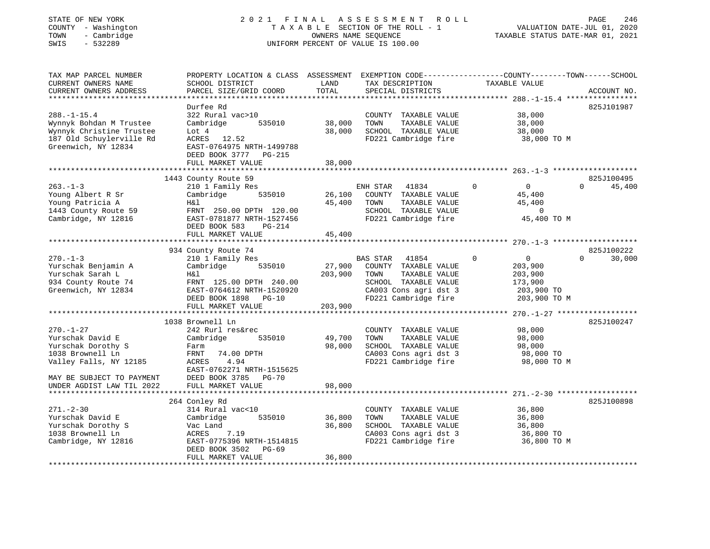## STATE OF NEW YORK 2 0 2 1 F I N A L A S S E S S M E N T R O L L PAGE 246 COUNTY - Washington T A X A B L E SECTION OF THE ROLL - 1 VALUATION DATE-JUL 01, 2020 TOWN - Cambridge OWNERS NAME SEQUENCE TAXABLE STATUS DATE-MAR 01, 2021 SWIS - 532289 UNIFORM PERCENT OF VALUE IS 100.00

| TAX MAP PARCEL NUMBER<br>CURRENT OWNERS NAME                                                                                | PROPERTY LOCATION & CLASS ASSESSMENT<br>SCHOOL DISTRICT                                                                                                          | LAND                         | TAX DESCRIPTION                                                                                                        | EXEMPTION CODE-----------------COUNTY-------TOWN------SCHOOL<br>TAXABLE VALUE |                                  |
|-----------------------------------------------------------------------------------------------------------------------------|------------------------------------------------------------------------------------------------------------------------------------------------------------------|------------------------------|------------------------------------------------------------------------------------------------------------------------|-------------------------------------------------------------------------------|----------------------------------|
| CURRENT OWNERS ADDRESS                                                                                                      | PARCEL SIZE/GRID COORD                                                                                                                                           | TOTAL                        | SPECIAL DISTRICTS                                                                                                      |                                                                               | ACCOUNT NO.                      |
| ***********************                                                                                                     |                                                                                                                                                                  |                              |                                                                                                                        |                                                                               |                                  |
| $288. - 1 - 15.4$<br>Wynnyk Bohdan M Trustee<br>Wynnyk Christine Trustee<br>187 Old Schuylerville Rd<br>Greenwich, NY 12834 | Durfee Rd<br>322 Rural vac>10<br>Cambridge<br>535010<br>Lot 4<br>ACRES 12.52<br>EAST-0764975 NRTH-1499788<br>DEED BOOK 3777 PG-215<br>FULL MARKET VALUE          | 38,000<br>38,000<br>38,000   | COUNTY TAXABLE VALUE<br>TAXABLE VALUE<br>TOWN<br>SCHOOL TAXABLE VALUE<br>FD221 Cambridge fire                          | 38,000<br>38,000<br>38,000<br>38,000 TO M                                     | 825J101987                       |
|                                                                                                                             |                                                                                                                                                                  |                              |                                                                                                                        |                                                                               |                                  |
| $263. - 1 - 3$<br>Young Albert R Sr<br>Young Patricia A<br>1443 County Route 59<br>Cambridge, NY 12816                      | 1443 County Route 59<br>210 1 Family Res<br>Cambridge<br>535010<br>H&l<br>FRNT 250.00 DPTH 120.00<br>EAST-0781877 NRTH-1527456<br>DEED BOOK 583<br><b>PG-214</b> | 26,100<br>45,400             | ENH STAR<br>41834<br>COUNTY TAXABLE VALUE<br>TOWN<br>TAXABLE VALUE<br>SCHOOL TAXABLE VALUE<br>FD221 Cambridge fire     | $\mathbf 0$<br>$\overline{0}$<br>45,400<br>45,400<br>$\circ$<br>45,400 TO M   | 825J100495<br>45,400<br>$\Omega$ |
|                                                                                                                             | FULL MARKET VALUE                                                                                                                                                | 45,400                       |                                                                                                                        |                                                                               |                                  |
| $270 - 1 - 3$                                                                                                               | 934 County Route 74<br>210 1 Family Res                                                                                                                          |                              | 41854<br><b>BAS STAR</b>                                                                                               | $\Omega$<br>$\Omega$                                                          | 825J100222<br>30,000<br>$\Omega$ |
| Yurschak Benjamin A<br>Yurschak Sarah L<br>934 County Route 74<br>Greenwich, NY 12834                                       | 535010<br>Cambridge<br>Η&l<br>FRNT 125.00 DPTH 240.00<br>EAST-0764612 NRTH-1520920<br>DEED BOOK 1898 PG-10<br>FULL MARKET VALUE                                  | 27,900<br>203,900<br>203,900 | COUNTY TAXABLE VALUE<br>TAXABLE VALUE<br>TOWN<br>SCHOOL TAXABLE VALUE<br>CA003 Cons agri dst 3<br>FD221 Cambridge fire | 203,900<br>203,900<br>173,900<br>203,900 TO<br>203,900 TO M                   |                                  |
|                                                                                                                             |                                                                                                                                                                  |                              |                                                                                                                        |                                                                               |                                  |
| $270. - 1 - 27$<br>Yurschak David E<br>Yurschak Dorothy S<br>1038 Brownell Ln<br>Valley Falls, NY 12185                     | 1038 Brownell Ln<br>242 Rurl res&rec<br>535010<br>Cambridge<br>Farm<br>74.00 DPTH<br>FRNT<br>ACRES<br>4.94<br>EAST-0762271 NRTH-1515625                          | 49,700<br>98,000             | COUNTY TAXABLE VALUE<br>TAXABLE VALUE<br>TOWN<br>SCHOOL TAXABLE VALUE<br>CA003 Cons agri dst 3<br>FD221 Cambridge fire | 98,000<br>98,000<br>98,000<br>98,000 TO<br>98,000 TO M                        | 825J100247                       |
| MAY BE SUBJECT TO PAYMENT<br>UNDER AGDIST LAW TIL 2022                                                                      | DEED BOOK 3785 PG-70<br>FULL MARKET VALUE                                                                                                                        | 98,000                       |                                                                                                                        |                                                                               |                                  |
|                                                                                                                             | 264 Conley Rd                                                                                                                                                    |                              |                                                                                                                        |                                                                               | 825J100898                       |
| $271. - 2 - 30$<br>Yurschak David E<br>Yurschak Dorothy S<br>1038 Brownell Ln<br>Cambridge, NY 12816                        | 314 Rural vac<10<br>535010<br>Cambridge<br>Vac Land<br>ACRES<br>7.19<br>EAST-0775396 NRTH-1514815<br>PG-69<br>DEED BOOK 3502<br>FULL MARKET VALUE                | 36,800<br>36,800<br>36,800   | COUNTY TAXABLE VALUE<br>TOWN<br>TAXABLE VALUE<br>SCHOOL TAXABLE VALUE<br>CA003 Cons agri dst 3<br>FD221 Cambridge fire | 36,800<br>36,800<br>36,800<br>36,800 TO<br>36,800 TO M                        |                                  |
|                                                                                                                             |                                                                                                                                                                  |                              |                                                                                                                        |                                                                               |                                  |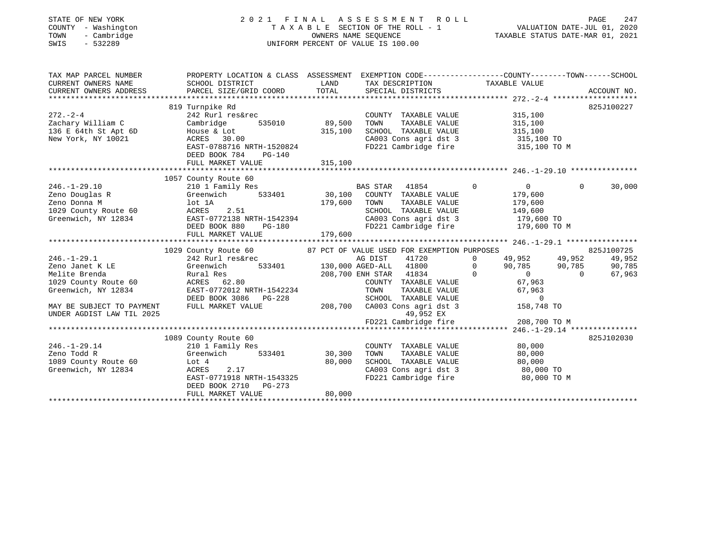| STATE OF NEW YORK<br>COUNTY - Washington<br>- Cambridge<br>TOWN<br>$-532289$<br>SWIS |                                                                                                |               | 2021 FINAL ASSESSMENT ROLL<br>UNIFORM PERCENT OF VALUE IS 100.00                              |                                               | PAGE<br>247<br>T A X A B L E SECTION OF THE ROLL - 1 VALUATION DATE-JUL 01, 2020<br>OWNERS NAME SEQUENCE TAXABLE STATUS DATE-MAR 01, 2021 |  |  |
|--------------------------------------------------------------------------------------|------------------------------------------------------------------------------------------------|---------------|-----------------------------------------------------------------------------------------------|-----------------------------------------------|-------------------------------------------------------------------------------------------------------------------------------------------|--|--|
| TAX MAP PARCEL NUMBER                                                                | PROPERTY LOCATION & CLASS ASSESSMENT EXEMPTION CODE---------------COUNTY-------TOWN-----SCHOOL |               |                                                                                               |                                               |                                                                                                                                           |  |  |
| CURRENT OWNERS NAME<br>CURRENT OWNERS ADDRESS                                        | SCHOOL DISTRICT<br>PARCEL SIZE/GRID COORD                                                      | LAND<br>TOTAL | TAX DESCRIPTION<br>SPECIAL DISTRICTS                                                          | TAXABLE VALUE                                 | ACCOUNT NO.                                                                                                                               |  |  |
|                                                                                      |                                                                                                |               |                                                                                               |                                               |                                                                                                                                           |  |  |
|                                                                                      | 819 Turnpike Rd                                                                                |               |                                                                                               |                                               | 825J100227                                                                                                                                |  |  |
| $272. - 2 - 4$                                                                       | 242 Rurl res&rec                                                                               |               | COUNTY TAXABLE VALUE                                                                          | 315,100                                       |                                                                                                                                           |  |  |
| Zachary William C                                                                    | Cambridge 535010 89,500                                                                        |               | TOWN                                                                                          | TAXABLE VALUE 315,100                         |                                                                                                                                           |  |  |
| 136 E 64th St Apt 6D                                                                 | House & Lot<br>ACRES 30.00                                                                     | 315,100       | SCHOOL TAXABLE VALUE 315,100<br>CA003 Cons agri dst 3 315,100 TO                              |                                               |                                                                                                                                           |  |  |
| New York, NY 10021                                                                   |                                                                                                |               |                                                                                               |                                               |                                                                                                                                           |  |  |
|                                                                                      | EAST-0788716 NRTH-1520824                                                                      |               | FD221 Cambridge fire 315,100 TO M                                                             |                                               |                                                                                                                                           |  |  |
|                                                                                      | DEED BOOK 784<br>PG-140                                                                        |               |                                                                                               |                                               |                                                                                                                                           |  |  |
|                                                                                      | FULL MARKET VALUE                                                                              | 315,100       |                                                                                               |                                               |                                                                                                                                           |  |  |
|                                                                                      | 1057 County Route 60                                                                           |               |                                                                                               |                                               |                                                                                                                                           |  |  |
| $246. - 1 - 29.10$                                                                   |                                                                                                |               |                                                                                               | $\sim$ 0                                      | $\Omega$<br>30,000                                                                                                                        |  |  |
| Zeno Douglas R                                                                       | Greenwich 533401 30,100 COUNTY TAXABLE VALUE                                                   |               |                                                                                               |                                               |                                                                                                                                           |  |  |
| Zeno Donna M                                                                         | lot 1A                                                                                         | 179,600 TOWN  | TAXABLE VALUE                                                                                 | 179,600<br>179,600                            |                                                                                                                                           |  |  |
|                                                                                      | ACRES<br>2.51                                                                                  |               |                                                                                               |                                               |                                                                                                                                           |  |  |
| 1029 County Route 60<br>Greenwich, NY 12834                                          | EAST-0772138 NRTH-1542394                                                                      |               | 5CHOOL TAXABLE VALUE<br>CA003 Cons agri dst 3 179,600 TO<br>FD221 Cambridge fire 179,600 TO M |                                               |                                                                                                                                           |  |  |
|                                                                                      | DEED BOOK 880                                                                                  | $PG-180$      |                                                                                               |                                               |                                                                                                                                           |  |  |
|                                                                                      | FULL MARKET VALUE                                                                              | 179,600       |                                                                                               |                                               |                                                                                                                                           |  |  |
|                                                                                      |                                                                                                |               |                                                                                               |                                               |                                                                                                                                           |  |  |
|                                                                                      |                                                                                                |               | 87 PCT OF VALUE USED FOR EXEMPTION PURPOSES                                                   |                                               | 825J100725                                                                                                                                |  |  |
| $246. - 1 - 29.1$                                                                    | 1029 County Route 60<br>242 Rurl res&rec                                                       |               | AG DIST<br>41720                                                                              | $0 \qquad \qquad 49,952 \qquad \qquad 49,952$ | 49,952                                                                                                                                    |  |  |
| Zeno Janet K LE                                                                      | Greenwich 533401 130,000 AGED-ALL 41800                                                        |               |                                                                                               | 90,785<br>$0 \qquad \qquad$                   | 90,785<br>90,785                                                                                                                          |  |  |
| Melite Brenda                                                                        | Rural Res                                                                                      |               | 208,700 ENH STAR 41834                                                                        | $\Omega$<br>$\overline{0}$                    | 67,963<br>$\overline{0}$                                                                                                                  |  |  |
| 1029 County Route 60                                                                 | ACRES 62.80                                                                                    |               | COUNTY TAXABLE VALUE                                                                          | 67,963                                        |                                                                                                                                           |  |  |
| Greenwich, NY 12834                                                                  | EAST-0772012 NRTH-1542234                                                                      |               |                                                                                               | 67,963                                        |                                                                                                                                           |  |  |
|                                                                                      | DEED BOOK 3086 PG-228                                                                          |               | TOWN TAXABLE VALUE<br>SCHOOL TAXABLE VALUE                                                    |                                               |                                                                                                                                           |  |  |
| MAY BE SUBJECT TO PAYMENT                                                            | FULL MARKET VALUE                                                                              |               | TAXABLE VALUE<br>208,700 CA003 Cons agri dst 3<br>49,952 EX 49,952 EX                         | 158,748 TO                                    |                                                                                                                                           |  |  |
| UNDER AGDIST LAW TIL 2025                                                            |                                                                                                |               |                                                                                               |                                               |                                                                                                                                           |  |  |
|                                                                                      |                                                                                                |               | FD221 Cambridge fire                                                                          | 208,700 TO M                                  |                                                                                                                                           |  |  |
|                                                                                      |                                                                                                |               |                                                                                               |                                               |                                                                                                                                           |  |  |
|                                                                                      | 1089 County Route 60                                                                           |               |                                                                                               |                                               | 825J102030                                                                                                                                |  |  |
| $246. - 1 - 29.14$                                                                   | 210 1 Family Res                                                                               |               | COUNTY TAXABLE VALUE                                                                          | 80,000                                        |                                                                                                                                           |  |  |
| Zeno Todd R                                                                          | 533401<br>Greenwich                                                                            | 30,300        | TAXABLE VALUE<br>TOWN                                                                         | 80,000                                        |                                                                                                                                           |  |  |
| 1089 County Route 60                                                                 | Lot 4                                                                                          | 80,000        | SCHOOL TAXABLE VALUE                                                                          | 80,000                                        |                                                                                                                                           |  |  |
| Greenwich, NY 12834                                                                  | ACRES<br>2.17                                                                                  |               | CA003 Cons agri dst 3                                                                         | 80,000 TO                                     |                                                                                                                                           |  |  |
|                                                                                      | EAST-0771918 NRTH-1543325                                                                      |               | FD221 Cambridge fire                                                                          | 80,000 TO M                                   |                                                                                                                                           |  |  |
|                                                                                      | DEED BOOK 2710 PG-273                                                                          |               |                                                                                               |                                               |                                                                                                                                           |  |  |
|                                                                                      | FULL MARKET VALUE                                                                              | 80,000        |                                                                                               |                                               |                                                                                                                                           |  |  |
|                                                                                      |                                                                                                |               |                                                                                               |                                               |                                                                                                                                           |  |  |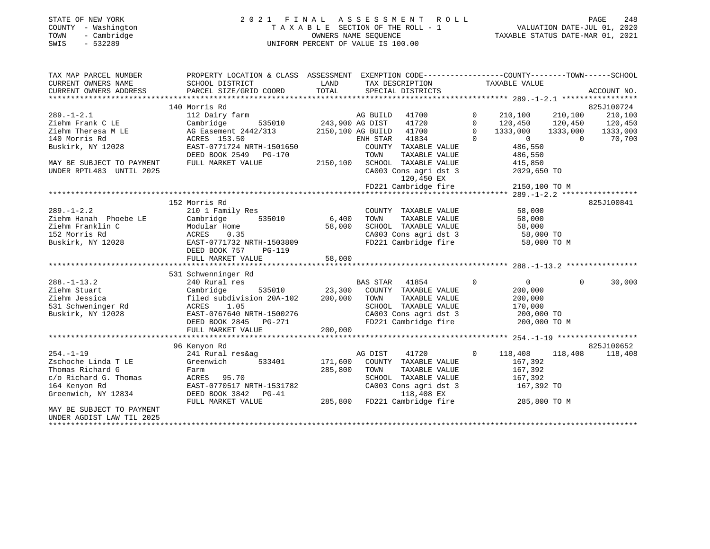## STATE OF NEW YORK 2 0 2 1 F I N A L A S S E S S M E N T R O L L PAGE 248 COUNTY - Washington T A X A B L E SECTION OF THE ROLL - 1 VALUATION DATE-JUL 01, 2020 TOWN - Cambridge OWNERS NAME SEQUENCE TAXABLE STATUS DATE-MAR 01, 2021 SWIS - 532289 UNIFORM PERCENT OF VALUE IS 100.00

| TAX MAP PARCEL NUMBER               | PROPERTY LOCATION & CLASS ASSESSMENT                    |                        | EXEMPTION CODE-----------------COUNTY-------TOWN------SCHOOL                                     |                |                            |                |             |
|-------------------------------------|---------------------------------------------------------|------------------------|--------------------------------------------------------------------------------------------------|----------------|----------------------------|----------------|-------------|
| CURRENT OWNERS NAME                 | SCHOOL DISTRICT                                         | LAND                   | TAX DESCRIPTION                                                                                  |                | TAXABLE VALUE              |                |             |
| CURRENT OWNERS ADDRESS              | PARCEL SIZE/GRID COORD                                  | TOTAL                  | SPECIAL DISTRICTS                                                                                |                |                            |                | ACCOUNT NO. |
|                                     |                                                         |                        |                                                                                                  |                |                            |                |             |
|                                     | 140 Morris Rd                                           |                        |                                                                                                  |                |                            |                | 825J100724  |
| $289. - 1 - 2.1$                    | 112 Dairy farm                                          |                        | AG BUILD 41700                                                                                   | $\mathbf 0$    | 210,100                    | 210,100        | 210,100     |
| Ziehm Frank C LE                    | Cambridge                                               | 535010 243,900 AG DIST | 41720                                                                                            | $\mathbf 0$    | 120,450 120,450            |                | 120,450     |
| Ziehm Theresa M LE                  | AG Easement 2442/313                                    |                        | 41700<br>2150,100 AG BUILD                                                                       | $\circ$        | 1333,000                   | 1333,000       | 1333,000    |
| 140 Morris Rd                       | ACRES 153.50                                            |                        | ENH STAR<br>41834                                                                                | $\Omega$       | $\overline{0}$             | $\overline{0}$ | 70,700      |
| Buskirk, NY 12028                   | EAST-0771724 NRTH-1501650                               |                        | COUNTY TAXABLE VALUE                                                                             |                | 486,550                    |                |             |
|                                     | DEED BOOK 2549 PG-170                                   |                        | TOWN<br>TAXABLE VALUE                                                                            |                | 486,550                    |                |             |
| MAY BE SUBJECT TO PAYMENT           | FULL MARKET VALUE                                       | 2150,100               | SCHOOL TAXABLE VALUE                                                                             |                | 415,850                    |                |             |
| UNDER RPTL483 UNTIL 2025            |                                                         |                        | CA003 Cons agri dst 3                                                                            |                | 2029,650 TO                |                |             |
|                                     |                                                         |                        | 120,450 EX                                                                                       |                |                            |                |             |
|                                     |                                                         |                        | FD221 Cambridge fire                                                                             |                | 2150,100 TO M              |                |             |
|                                     |                                                         |                        |                                                                                                  |                |                            |                |             |
|                                     | 152 Morris Rd                                           |                        |                                                                                                  |                |                            |                | 825J100841  |
| $289. - 1 - 2.2$                    | 210 1 Family Res                                        |                        | COUNTY TAXABLE VALUE                                                                             |                | 58,000                     |                |             |
| Ziehm Hanah Phoebe LE               | Cambridge                                               | 535010 6,400           | TOWN<br>TAXABLE VALUE                                                                            |                | 58,000                     |                |             |
| Ziehm Franklin C                    | Modular Home                                            | 58,000                 | SCHOOL TAXABLE VALUE                                                                             |                | 58,000                     |                |             |
| 152 Morris Rd                       | ACRES<br>0.35                                           |                        | SCHOOL TAXABLE VALUE 58,000<br>CA003 Cons agri dst 3 58,000 TO<br>FD221 Cambridge fire 58,000 TO |                |                            |                |             |
| Buskirk, NY 12028                   | EAST-0771732 NRTH-1503809                               |                        |                                                                                                  |                | 58,000 TO M                |                |             |
|                                     | DEED BOOK 757<br>PG-119                                 |                        |                                                                                                  |                |                            |                |             |
|                                     | FULL MARKET VALUE                                       | 58,000                 |                                                                                                  |                |                            |                |             |
|                                     |                                                         |                        |                                                                                                  |                |                            |                |             |
|                                     | 531 Schwenninger Rd                                     |                        |                                                                                                  |                |                            |                |             |
| $288. - 1 - 13.2$                   | 240 Rural res                                           |                        | 41854<br>BAS STAR                                                                                | $\overline{0}$ | $\overline{0}$             | $\Omega$       | 30,000      |
| Ziehm Stuart                        | 535010 23,300<br>Cambridge<br>filed subdivision 20A-102 | 200,000                | COUNTY TAXABLE VALUE                                                                             |                | 200,000                    |                |             |
| Ziehm Jessica<br>531 Schweninger Rd | ACRES<br>1.05                                           |                        | TOWN<br>TAXABLE VALUE<br>SCHOOL TAXABLE VALUE                                                    |                | 200,000<br>170,000         |                |             |
| Buskirk, NY 12028                   | EAST-0767640 NRTH-1500276                               |                        | CA003 Cons agri dst 3                                                                            |                |                            |                |             |
|                                     | DEED BOOK 2845 PG-271                                   |                        | FD221 Cambridge fire                                                                             |                | 200,000 TO<br>200,000 TO M |                |             |
|                                     | FULL MARKET VALUE                                       | 200,000                |                                                                                                  |                |                            |                |             |
|                                     |                                                         |                        |                                                                                                  |                |                            |                |             |
|                                     | 96 Kenyon Rd                                            |                        |                                                                                                  |                |                            |                | 825J100652  |
| $254. - 1 - 19$                     | 241 Rural res&ag                                        |                        | AG DIST<br>41720                                                                                 | $\circ$        | 118,408                    | 118,408        | 118,408     |
| Zschoche Linda T LE                 | Greenwich<br>533401                                     | 171,600                | COUNTY TAXABLE VALUE                                                                             |                | 167,392                    |                |             |
| Thomas Richard G                    | Farm                                                    | 285,800                | TOWN<br>TAXABLE VALUE                                                                            |                | 167,392                    |                |             |
| c/o Richard G. Thomas               | ACRES 95.70                                             |                        | SCHOOL TAXABLE VALUE                                                                             |                | 167,392                    |                |             |
| 164 Kenyon Rd                       | EAST-0770517 NRTH-1531782                               |                        | CA003 Cons agri dst 3                                                                            |                | 167,392 TO                 |                |             |
| Greenwich, NY 12834                 | DEED BOOK 3842 PG-41                                    |                        | 118,408 EX                                                                                       |                |                            |                |             |
|                                     | FULL MARKET VALUE                                       | 285,800                | FD221 Cambridge fire                                                                             |                | 285,800 TO M               |                |             |
| MAY BE SUBJECT TO PAYMENT           |                                                         |                        |                                                                                                  |                |                            |                |             |
| UNDER AGDIST LAW TIL 2025           |                                                         |                        |                                                                                                  |                |                            |                |             |
| *****************************       |                                                         |                        |                                                                                                  |                |                            |                |             |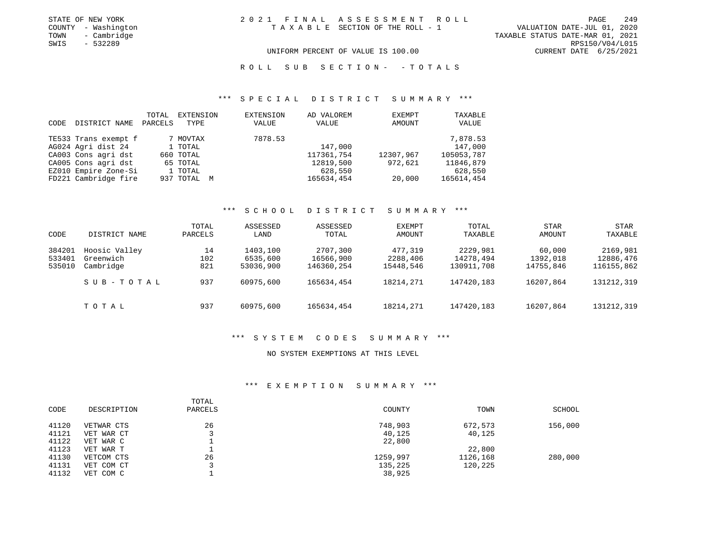| STATE OF NEW YORK   | 2021 FINAL ASSESSMENT ROLL         | 249<br>PAGE                      |
|---------------------|------------------------------------|----------------------------------|
| COUNTY - Washington | TAXABLE SECTION OF THE ROLL - 1    | VALUATION DATE-JUL 01, 2020      |
| TOWN<br>- Cambridge |                                    | TAXABLE STATUS DATE-MAR 01, 2021 |
| SWIS<br>- 532289    |                                    | RPS150/V04/L015                  |
|                     | UNIFORM PERCENT OF VALUE IS 100.00 | CURRENT DATE 6/25/2021           |

R O L L S U B S E C T I O N - - T O T A L S

#### \*\*\* S P E C I A L D I S T R I C T S U M M A R Y \*\*\*

| CODE | DISTRICT NAME        | TOTAL<br>PARCELS | EXTENSION<br>TYPE | EXTENSION<br>VALUE | AD VALOREM<br>VALUE | EXEMPT<br>AMOUNT | TAXABLE<br>VALUE |
|------|----------------------|------------------|-------------------|--------------------|---------------------|------------------|------------------|
|      | TE533 Trans exempt f |                  | 7 MOVTAX          | 7878.53            |                     |                  | 7,878.53         |
|      | AG024 Agri dist 24   |                  | 1 TOTAL           |                    | 147,000             |                  | 147,000          |
|      | CA003 Cons agri dst  |                  | 660 TOTAL         |                    | 117361,754          | 12307,967        | 105053,787       |
|      | CA005 Cons agri dst  |                  | 65 TOTAL          |                    | 12819,500           | 972,621          | 11846,879        |
|      | EZ010 Empire Zone-Si |                  | 1 TOTAL           |                    | 628,550             |                  | 628,550          |
|      | FD221 Cambridge fire |                  | 937 TOTAL M       |                    | 165634,454          | 20,000           | 165614,454       |

#### \*\*\* S C H O O L D I S T R I C T S U M M A R Y \*\*\*

| CODE   | DISTRICT NAME | TOTAL<br>PARCELS | ASSESSED<br>LAND | ASSESSED<br>TOTAL | EXEMPT<br>AMOUNT | TOTAL<br>TAXABLE | <b>STAR</b><br>AMOUNT | STAR<br>TAXABLE |
|--------|---------------|------------------|------------------|-------------------|------------------|------------------|-----------------------|-----------------|
| 384201 | Hoosic Valley | 14               | 1403,100         | 2707,300          | 477,319          | 2229,981         | 60,000                | 2169,981        |
| 533401 | Greenwich     | 102              | 6535,600         | 16566,900         | 2288,406         | 14278,494        | 1392,018              | 12886,476       |
| 535010 | Cambridge     | 821              | 53036,900        | 146360,254        | 15448,546        | 130911,708       | 14755.846             | 116155,862      |
|        | SUB-TOTAL     | 937              | 60975,600        | 165634,454        | 18214,271        | 147420,183       | 16207,864             | 131212,319      |
|        | TOTAL         | 937              | 60975,600        | 165634,454        | 18214,271        | 147420,183       | 16207,864             | 131212,319      |

#### \*\*\* S Y S T E M C O D E S S U M M A R Y \*\*\*

#### NO SYSTEM EXEMPTIONS AT THIS LEVEL

#### \*\*\* E X E M P T I O N S U M M A R Y \*\*\*

| CODE  | DESCRIPTION | TOTAL<br>PARCELS | COUNTY   | TOWN     | SCHOOL  |
|-------|-------------|------------------|----------|----------|---------|
| 41120 | VETWAR CTS  | 26               | 748,903  | 672,573  | 156,000 |
| 41121 | VET WAR CT  |                  | 40,125   | 40,125   |         |
| 41122 | VET WAR C   |                  | 22,800   |          |         |
| 41123 | VET WAR T   |                  |          | 22,800   |         |
| 41130 | VETCOM CTS  | 26               | 1259,997 | 1126,168 | 280,000 |
| 41131 | VET COM CT  |                  | 135,225  | 120,225  |         |
| 41132 | VET COM C   |                  | 38,925   |          |         |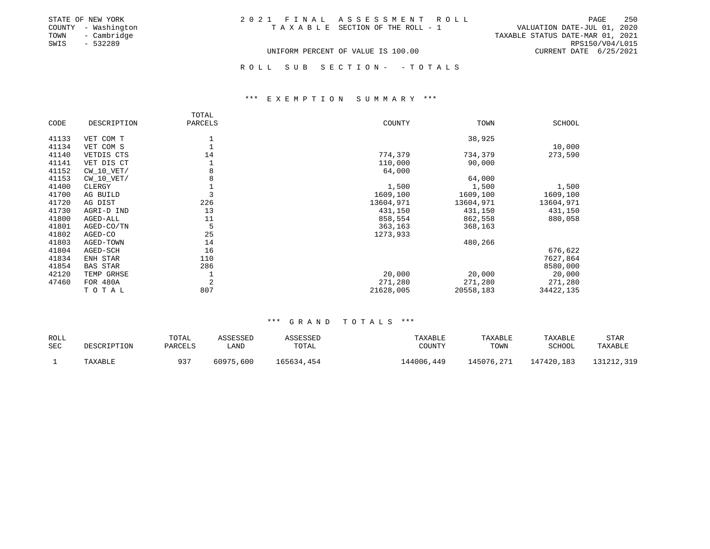| STATE OF NEW YORK   | 2021 FINAL ASSESSMENT ROLL         | 250<br>PAGE                      |
|---------------------|------------------------------------|----------------------------------|
| COUNTY - Washington | TAXABLE SECTION OF THE ROLL - 1    | VALUATION DATE-JUL 01, 2020      |
| TOWN - Cambridge    |                                    | TAXABLE STATUS DATE-MAR 01, 2021 |
| SWIS<br>- 532289    |                                    | RPS150/V04/L015                  |
|                     | UNIFORM PERCENT OF VALUE IS 100.00 | CURRENT DATE 6/25/2021           |
|                     |                                    |                                  |
|                     | ROLL SUB SECTION- - TOTALS         |                                  |

#### \*\*\* E X E M P T I O N S U M M A R Y \*\*\*

|       |                 | TOTAL   |           |           |           |
|-------|-----------------|---------|-----------|-----------|-----------|
| CODE  | DESCRIPTION     | PARCELS | COUNTY    | TOWN      | SCHOOL    |
| 41133 | VET COM T       |         |           | 38,925    |           |
| 41134 | VET COM S       |         |           |           | 10,000    |
| 41140 |                 | 14      | 774,379   |           |           |
|       | VETDIS CTS      |         |           | 734,379   | 273,590   |
| 41141 | VET DIS CT      |         | 110,000   | 90,000    |           |
| 41152 | $CW_10_VET/$    | 8       | 64,000    |           |           |
| 41153 | $CW_10_VET/$    | 8       |           | 64,000    |           |
| 41400 | CLERGY          |         | 1,500     | 1,500     | 1,500     |
| 41700 | AG BUILD        |         | 1609,100  | 1609,100  | 1609,100  |
| 41720 | AG DIST         | 226     | 13604,971 | 13604,971 | 13604,971 |
| 41730 | AGRI-D IND      | 13      | 431,150   | 431,150   | 431,150   |
| 41800 | AGED-ALL        | 11      | 858,554   | 862,558   | 880,058   |
| 41801 | AGED-CO/TN      | 5       | 363,163   | 368,163   |           |
| 41802 | AGED-CO         | 25      | 1273,933  |           |           |
| 41803 | AGED-TOWN       | 14      |           | 480,266   |           |
| 41804 | AGED-SCH        | 16      |           |           | 676,622   |
| 41834 | ENH STAR        | 110     |           |           | 7627,864  |
| 41854 | <b>BAS STAR</b> | 286     |           |           | 8580,000  |
| 42120 | TEMP GRHSE      |         | 20,000    | 20,000    | 20,000    |
| 47460 | FOR 480A        | 2       | 271,280   | 271,280   | 271,280   |
|       | TOTAL           | 807     | 21628,005 | 20558,183 | 34422,135 |

#### \*\*\* G R A N D T O T A L S \*\*\*

| ROLL | DESCRIPTION | TOTAL   | ASSESSED  | ASSESSED   | <b>TAXABLE</b> | TAXABLE    | TAXABLE    | <b>STAR</b> |
|------|-------------|---------|-----------|------------|----------------|------------|------------|-------------|
| SEC  |             | PARCELS | LAND      | TOTAL      | COUNTY         | TOWN       | SCHOOL     | TAXABLE     |
|      | TAXABLE     | 937     | 60975,600 | 165634,454 | L44006,449     | 145076,271 | 147420,183 | 131212,319  |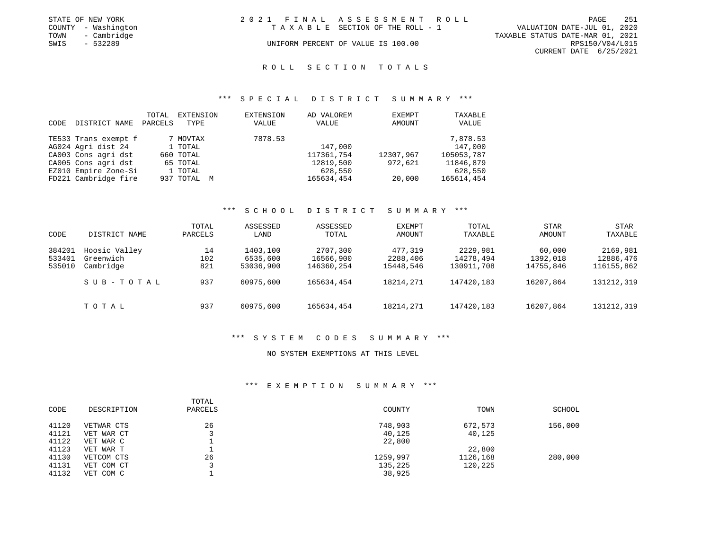|      | STATE OF NEW YORK   | 2021 FINAL ASSESSMENT ROLL |                                    |                                  | PAGE            | 251 |
|------|---------------------|----------------------------|------------------------------------|----------------------------------|-----------------|-----|
|      | COUNTY - Washington |                            | TAXABLE SECTION OF THE ROLL - 1    | VALUATION DATE-JUL 01, 2020      |                 |     |
| TOWN | - Cambridge         |                            |                                    | TAXABLE STATUS DATE-MAR 01, 2021 |                 |     |
| SWIS | - 532289            |                            | UNIFORM PERCENT OF VALUE IS 100.00 |                                  | RPS150/V04/L015 |     |
|      |                     |                            |                                    | CURRENT DATE 6/25/2021           |                 |     |

#### R O L L S E C T I O N T O T A L S

#### \*\*\* S P E C I A L D I S T R I C T S U M M A R Y \*\*\*

| CODE | DISTRICT NAME        | TOTAL<br>PARCELS | EXTENSION<br>TYPE | <b>EXTENSION</b><br>VALUE | AD VALOREM<br>VALUE | <b>EXEMPT</b><br>AMOUNT | TAXABLE<br>VALUE |
|------|----------------------|------------------|-------------------|---------------------------|---------------------|-------------------------|------------------|
|      | TE533 Trans exempt f |                  | 7 MOVTAX          | 7878.53                   |                     |                         | 7,878.53         |
|      | AG024 Agri dist 24   |                  | 1 TOTAL           |                           | 147,000             |                         | 147,000          |
|      | CA003 Cons agri dst  |                  | 660 TOTAL         |                           | 117361,754          | 12307,967               | 105053,787       |
|      | CA005 Cons agri dst  |                  | 65 TOTAL          |                           | 12819,500           | 972,621                 | 11846,879        |
|      | EZ010 Empire Zone-Si |                  | 1 TOTAL           |                           | 628,550             |                         | 628,550          |
|      | FD221 Cambridge fire |                  | 937 TOTAL M       |                           | 165634,454          | 20,000                  | 165614,454       |

#### \*\*\* S C H O O L D I S T R I C T S U M M A R Y \*\*\*

| CODE   | DISTRICT NAME | TOTAL<br>PARCELS | ASSESSED<br>LAND | ASSESSED<br>TOTAL | EXEMPT<br>AMOUNT | TOTAL<br>TAXABLE | <b>STAR</b><br>AMOUNT | STAR<br>TAXABLE |
|--------|---------------|------------------|------------------|-------------------|------------------|------------------|-----------------------|-----------------|
| 384201 | Hoosic Valley | 14               | 1403,100         | 2707,300          | 477,319          | 2229,981         | 60,000                | 2169,981        |
| 533401 | Greenwich     | 102              | 6535,600         | 16566,900         | 2288,406         | 14278,494        | 1392,018              | 12886,476       |
| 535010 | Cambridge     | 821              | 53036,900        | 146360,254        | 15448,546        | 130911,708       | 14755,846             | 116155,862      |
|        | SUB-TOTAL     | 937              | 60975,600        | 165634,454        | 18214,271        | 147420,183       | 16207,864             | 131212,319      |
|        | TOTAL         | 937              | 60975,600        | 165634,454        | 18214,271        | 147420,183       | 16207,864             | 131212,319      |

#### \*\*\* S Y S T E M C O D E S S U M M A R Y \*\*\*

#### NO SYSTEM EXEMPTIONS AT THIS LEVEL

#### \*\*\* E X E M P T I O N S U M M A R Y \*\*\*

| CODE  | DESCRIPTION | TOTAL<br>PARCELS | COUNTY   | TOWN     | SCHOOL  |
|-------|-------------|------------------|----------|----------|---------|
| 41120 | VETWAR CTS  | 26               | 748,903  | 672,573  | 156,000 |
| 41121 | VET WAR CT  |                  | 40,125   | 40,125   |         |
| 41122 | VET WAR C   |                  | 22,800   |          |         |
| 41123 | VET WAR T   |                  |          | 22,800   |         |
| 41130 | VETCOM CTS  | 26               | 1259,997 | 1126,168 | 280,000 |
| 41131 | VET COM CT  |                  | 135,225  | 120,225  |         |
| 41132 | VET COM C   |                  | 38,925   |          |         |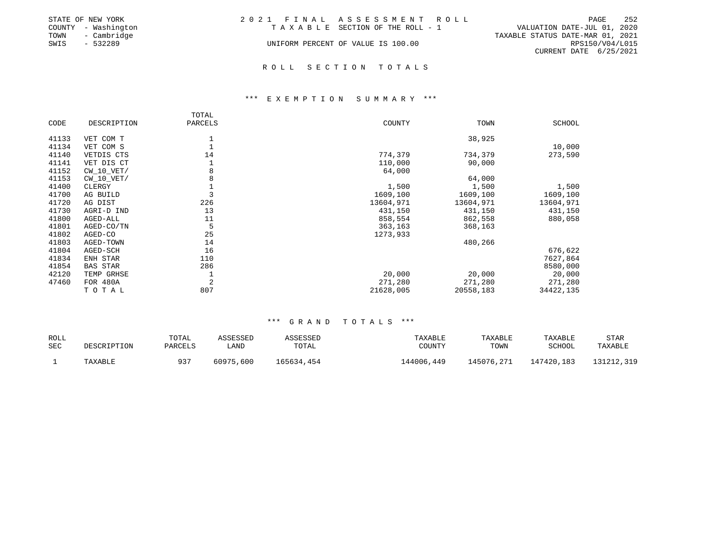|      | STATE OF NEW YORK   | 2021 FINAL ASSESSMENT ROLL         |                                  |                        | PAGE | 252 |
|------|---------------------|------------------------------------|----------------------------------|------------------------|------|-----|
|      | COUNTY - Washington | TAXABLE SECTION OF THE ROLL - 1    | VALUATION DATE-JUL 01, 2020      |                        |      |     |
| TOWN | - Cambridge         |                                    | TAXABLE STATUS DATE-MAR 01, 2021 |                        |      |     |
| SWIS | $-532289$           | UNIFORM PERCENT OF VALUE IS 100.00 |                                  | RPS150/V04/L015        |      |     |
|      |                     |                                    |                                  | CURRENT DATE 6/25/2021 |      |     |
|      |                     |                                    |                                  |                        |      |     |

#### R O L L S E C T I O N T O T A L S

#### \*\*\* E X E M P T I O N S U M M A R Y \*\*\*

|       |                 | TOTAL   |           |           |               |
|-------|-----------------|---------|-----------|-----------|---------------|
| CODE  | DESCRIPTION     | PARCELS | COUNTY    | TOWN      | <b>SCHOOL</b> |
| 41133 | VET COM T       |         |           | 38,925    |               |
| 41134 | VET COM S       |         |           |           | 10,000        |
| 41140 | VETDIS CTS      | 14      | 774,379   | 734,379   | 273,590       |
| 41141 | VET DIS CT      |         | 110,000   | 90,000    |               |
| 41152 | $CW_10_VET/$    | 8       | 64,000    |           |               |
| 41153 | $CW_10_VET/$    |         |           | 64,000    |               |
| 41400 | CLERGY          |         | 1,500     | 1,500     | 1,500         |
| 41700 | AG BUILD        |         | 1609,100  | 1609,100  | 1609,100      |
| 41720 | AG DIST         | 226     | 13604,971 | 13604,971 | 13604,971     |
| 41730 | AGRI-D IND      | 13      | 431,150   | 431,150   | 431,150       |
| 41800 | AGED-ALL        | 11      | 858,554   | 862,558   | 880,058       |
| 41801 | AGED-CO/TN      |         | 363,163   | 368,163   |               |
| 41802 | AGED-CO         | 25      | 1273,933  |           |               |
| 41803 | AGED-TOWN       | 14      |           | 480,266   |               |
| 41804 | AGED-SCH        | 16      |           |           | 676,622       |
| 41834 | ENH STAR        | 110     |           |           | 7627,864      |
| 41854 | <b>BAS STAR</b> | 286     |           |           | 8580,000      |
| 42120 | TEMP GRHSE      |         | 20,000    | 20,000    | 20,000        |
| 47460 | <b>FOR 480A</b> | 2       | 271,280   | 271,280   | 271,280       |
|       | TOTAL           | 807     | 21628,005 | 20558,183 | 34422,135     |

#### \*\*\* G R A N D T O T A L S \*\*\*

| ROLL |             | TOTAL   | ASSESSED  | ASSESSED   | TAXABLE    | TAXABLE    | TAXABLE    | <b>STAR</b> |
|------|-------------|---------|-----------|------------|------------|------------|------------|-------------|
| SEC  | DESCRIPTION | PARCELS | ∟AND      | TOTAL      | COUNTY     | TOWN       | SCHOOL     | TAXABLE     |
|      | TAXABLE     | 937     | 60975,600 | 165634,454 | 144006,449 | 145076,271 | 147420,183 | 131212,319  |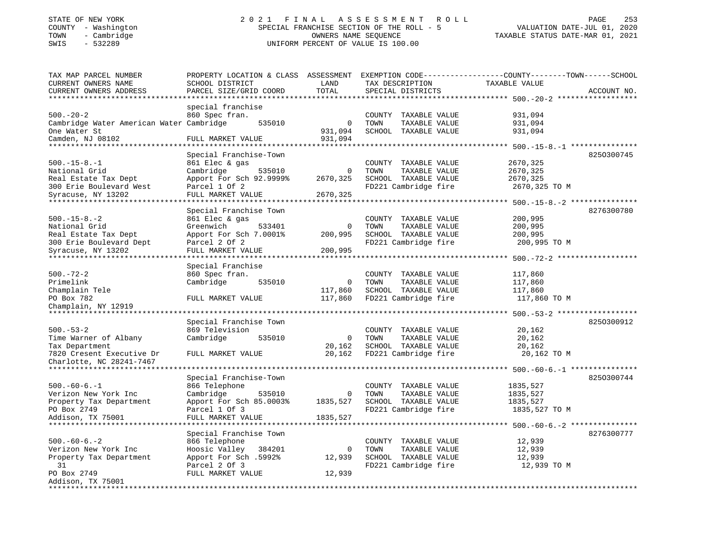## STATE OF NEW YORK 2 0 2 1 F I N A L A S S E S S M E N T R O L L PAGE 253COUNTY - Washington SPECIAL FRANCHISE SECTION OF THE ROLL - 5 TOWN - Cambridge COWNERS NAME SEQUENCE TAXABLE STATUS DATE-MAR 01, 2021 SWIS - 532289 UNIFORM PERCENT OF VALUE IS 100.00

TAX MAP PARCEL NUMBER PROPERTY LOCATION & CLASS ASSESSMENT EXEMPTION CODE---------------COUNTY-------TOWN------SCHOOL CURRENT OWNERS NAME SCHOOL DISTRICT LAND TAX DESCRIPTION TAXABLE VALUECURRENT OWNERS ADDRESS PARCEL SIZE/GRID COORD TOTAL SPECIAL DISTRICTS ACCOUNT NO. \*\*\*\*\*\*\*\*\*\*\*\*\*\*\*\*\*\*\*\*\*\*\*\*\*\*\*\*\*\*\*\*\*\*\*\*\*\*\*\*\*\*\*\*\*\*\*\*\*\*\*\*\*\*\*\*\*\*\*\*\*\*\*\*\*\*\*\*\*\*\*\*\*\*\*\*\*\*\*\*\*\*\*\*\*\*\*\*\*\*\*\*\*\*\*\*\*\*\*\*\*\*\* 500.-20-2 \*\*\*\*\*\*\*\*\*\*\*\*\*\*\*\*\*\* special franchise 500.-20-2 860 Spec fran. COUNTY TAXABLE VALUE 931,094 Cambridge Water American Water Cambridge 535010 0 TOWN TAXABLE VALUE 931,094 One Water St 631,094 SCHOOL TAXABLE VALUE 931,094 Camden, NJ 08102 FULL MARKET VALUE 931,094 \*\*\*\*\*\*\*\*\*\*\*\*\*\*\*\*\*\*\*\*\*\*\*\*\*\*\*\*\*\*\*\*\*\*\*\*\*\*\*\*\*\*\*\*\*\*\*\*\*\*\*\*\*\*\*\*\*\*\*\*\*\*\*\*\*\*\*\*\*\*\*\*\*\*\*\*\*\*\*\*\*\*\*\*\*\*\*\*\*\*\*\*\*\*\*\*\*\*\*\*\*\*\* 500.-15-8.-1 \*\*\*\*\*\*\*\*\*\*\*\*\*\*\*8250300745 Special Franchise-Town 500.-15-8.-1 861 Elec & gas COUNTY TAXABLE VALUE 2670,325 National Grid Cambridge 535010 0 TOWN TAXABLE VALUE 2670,325 Real Estate Tax Dept Apport For Sch 92.9999% 2670,325 SCHOOL TAXABLE VALUE 2670,325 300 Erie Boulevard West Parcel 1 Of 2 FD221 Cambridge fire 2670,325 TO M Syracuse, NY 13202 FULL MARKET VALUE 2670,325 \*\*\*\*\*\*\*\*\*\*\*\*\*\*\*\*\*\*\*\*\*\*\*\*\*\*\*\*\*\*\*\*\*\*\*\*\*\*\*\*\*\*\*\*\*\*\*\*\*\*\*\*\*\*\*\*\*\*\*\*\*\*\*\*\*\*\*\*\*\*\*\*\*\*\*\*\*\*\*\*\*\*\*\*\*\*\*\*\*\*\*\*\*\*\*\*\*\*\*\*\*\*\* 500.-15-8.-2 \*\*\*\*\*\*\*\*\*\*\*\*\*\*\* Special Franchise Town 8276300780 500.-15-8.-2 861 Elec & gas COUNTY TAXABLE VALUE 200,995 National Grid Greenwich 533401 0 TOWN TAXABLE VALUE 200,995 Real Estate Tax Dept Apport For Sch 7.0001% 200,995 SCHOOL TAXABLE VALUE 200,995 300 Erie Boulevard Dept Parcel 2 Of 2 FD221 Cambridge fire 200,995 TO M<br>Svracuse, NY 13202 FULL MARKET VALUE 200,995 FULL MARKET VALUE 200,995 \*\*\*\*\*\*\*\*\*\*\*\*\*\*\*\*\*\*\*\*\*\*\*\*\*\*\*\*\*\*\*\*\*\*\*\*\*\*\*\*\*\*\*\*\*\*\*\*\*\*\*\*\*\*\*\*\*\*\*\*\*\*\*\*\*\*\*\*\*\*\*\*\*\*\*\*\*\*\*\*\*\*\*\*\*\*\*\*\*\*\*\*\*\*\*\*\*\*\*\*\*\*\* 500.-72-2 \*\*\*\*\*\*\*\*\*\*\*\*\*\*\*\*\*\* Special Franchise 500.-72-2 860 Spec fran. COUNTY TAXABLE VALUE 117,860 Primelink Cambridge 535010 0 TOWN TAXABLE VALUE 117,860 Champlain Tele 117,860 SCHOOL TAXABLE VALUE 117,860 PO Box 782 FULL MARKET VALUE 117,860 FD221 Cambridge fire 117,860 TO M Champlain, NY 12919 \*\*\*\*\*\*\*\*\*\*\*\*\*\*\*\*\*\*\*\*\*\*\*\*\*\*\*\*\*\*\*\*\*\*\*\*\*\*\*\*\*\*\*\*\*\*\*\*\*\*\*\*\*\*\*\*\*\*\*\*\*\*\*\*\*\*\*\*\*\*\*\*\*\*\*\*\*\*\*\*\*\*\*\*\*\*\*\*\*\*\*\*\*\*\*\*\*\*\*\*\*\*\* 500.-53-2 \*\*\*\*\*\*\*\*\*\*\*\*\*\*\*\*\*\* Special Franchise Town 825O300912 500.-53-2 869 Television COUNTY TAXABLE VALUE 20,162 Time Warner of Albany and Cambridge 535010 0 TOWN TAXABLE VALUE 20,162 Tax Department 20,162 SCHOOL TAXABLE VALUE 20,162 7820 Cresent Executive Dr FULL MARKET VALUE 20,162 FD221 Cambridge fire 20,162 TO M Charlotte, NC 28241-7467 \*\*\*\*\*\*\*\*\*\*\*\*\*\*\*\*\*\*\*\*\*\*\*\*\*\*\*\*\*\*\*\*\*\*\*\*\*\*\*\*\*\*\*\*\*\*\*\*\*\*\*\*\*\*\*\*\*\*\*\*\*\*\*\*\*\*\*\*\*\*\*\*\*\*\*\*\*\*\*\*\*\*\*\*\*\*\*\*\*\*\*\*\*\*\*\*\*\*\*\*\*\*\* 500.-60-6.-1 \*\*\*\*\*\*\*\*\*\*\*\*\*\*\* Special Franchise-Town 825O300744 500.-60-6.-1 866 Telephone COUNTY TAXABLE VALUE 1835,527 Verizon New York Inc Cambridge 535010 0 TOWN TAXABLE VALUE 1835,527 Property Tax Department Apport For Sch 85.0003% 1835,527 SCHOOL TAXABLE VALUE 1835,527 PO Box 2749 **Parcel 1 Of 3** FD221 Cambridge fire 1835,527 TO M Addison, TX 75001 FULL MARKET VALUE 1835,527 \*\*\*\*\*\*\*\*\*\*\*\*\*\*\*\*\*\*\*\*\*\*\*\*\*\*\*\*\*\*\*\*\*\*\*\*\*\*\*\*\*\*\*\*\*\*\*\*\*\*\*\*\*\*\*\*\*\*\*\*\*\*\*\*\*\*\*\*\*\*\*\*\*\*\*\*\*\*\*\*\*\*\*\*\*\*\*\*\*\*\*\*\*\*\*\*\*\*\*\*\*\*\* 500.-60-6.-2 \*\*\*\*\*\*\*\*\*\*\*\*\*\*\*Special Franchise Town 8276300777 500.-60-6.-2 866 Telephone COUNTY TAXABLE VALUE 12,939<br>Verizon New York Inc Hoosic Valley 384201 0 TOWN TAXABLE VALUE 12,939 Verizon New York Inc Hoosic Valley 384201 0 TOWN TAXABLE VALUE Property Tax Department Apport For Sch .5992% 12,939 SCHOOL TAXABLE VALUE 12,939 31 Parcel 2 Of 3 FD221 Cambridge fire 12,939 TO M PO Box 2749 **FULL MARKET VALUE** 12,939 Addison, TX 75001 \*\*\*\*\*\*\*\*\*\*\*\*\*\*\*\*\*\*\*\*\*\*\*\*\*\*\*\*\*\*\*\*\*\*\*\*\*\*\*\*\*\*\*\*\*\*\*\*\*\*\*\*\*\*\*\*\*\*\*\*\*\*\*\*\*\*\*\*\*\*\*\*\*\*\*\*\*\*\*\*\*\*\*\*\*\*\*\*\*\*\*\*\*\*\*\*\*\*\*\*\*\*\*\*\*\*\*\*\*\*\*\*\*\*\*\*\*\*\*\*\*\*\*\*\*\*\*\*\*\*\*\*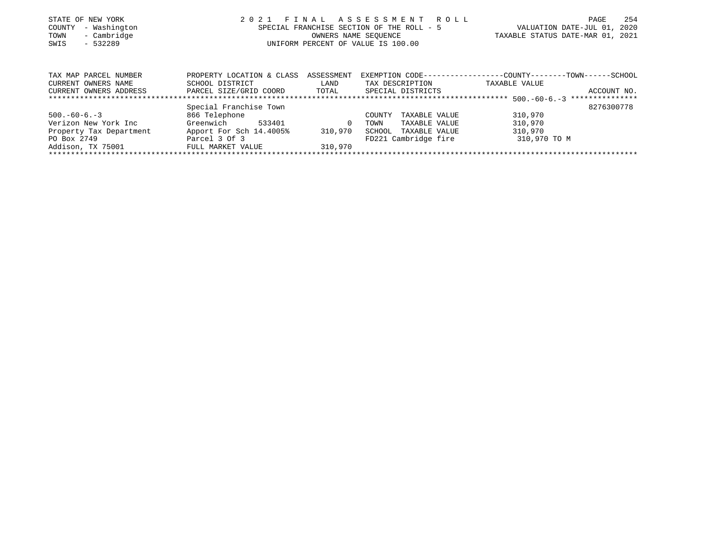| STATE OF NEW YORK       | 2 0 2 1                            | FINAL                | ASSESSMENT ROLL                           | PAGE                                                          | 254         |
|-------------------------|------------------------------------|----------------------|-------------------------------------------|---------------------------------------------------------------|-------------|
| - Washington<br>COUNTY  |                                    |                      | SPECIAL FRANCHISE SECTION OF THE ROLL - 5 | VALUATION DATE-JUL 01,                                        | 2020        |
| - Cambridge<br>TOWN     |                                    | OWNERS NAME SEOUENCE |                                           |                                                               |             |
| $-532289$<br>SWIS       | UNIFORM PERCENT OF VALUE IS 100.00 |                      |                                           |                                                               |             |
|                         |                                    |                      |                                           |                                                               |             |
| TAX MAP PARCEL NUMBER   | PROPERTY LOCATION & CLASS          | ASSESSMENT           |                                           | EXEMPTION CODE-----------------COUNTY--------TOWN------SCHOOL |             |
| CURRENT OWNERS NAME     | SCHOOL DISTRICT                    | LAND                 | TAX DESCRIPTION                           | TAXABLE VALUE                                                 |             |
| CURRENT OWNERS ADDRESS  | PARCEL SIZE/GRID COORD             | TOTAL                | SPECIAL DISTRICTS                         |                                                               | ACCOUNT NO. |
|                         |                                    |                      |                                           |                                                               |             |
|                         | Special Franchise Town             |                      |                                           |                                                               | 8276300778  |
| $500. -60 - 6. -3$      | 866 Telephone                      |                      | TAXABLE VALUE<br>COUNTY                   | 310,970                                                       |             |
| Verizon New York Inc    | 533401<br>Greenwich                | 0                    | TOWN<br>TAXABLE VALUE                     | 310,970                                                       |             |
| Property Tax Department | Apport For Sch 14.4005%            | 310,970              | SCHOOL<br>TAXABLE VALUE                   | 310,970                                                       |             |
| PO Box 2749             | Parcel 3 Of 3                      |                      | FD221 Cambridge fire                      | 310,970 TO M                                                  |             |
| Addison, TX 75001       | FULL MARKET VALUE                  | 310,970              |                                           |                                                               |             |
|                         |                                    |                      |                                           |                                                               |             |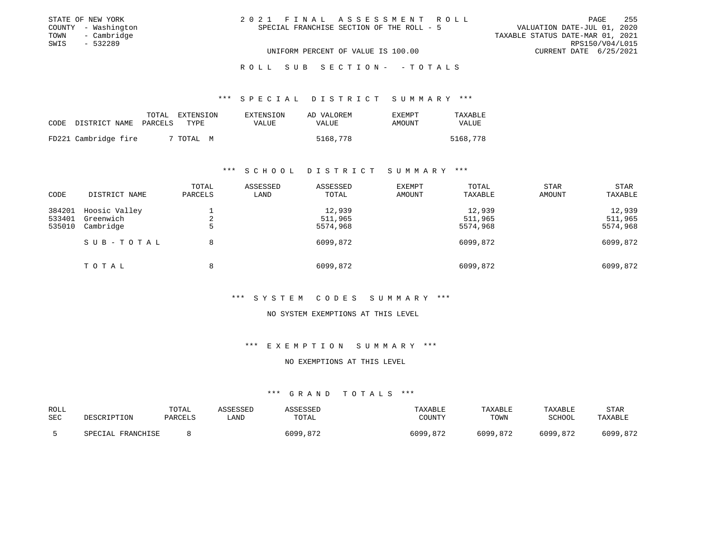| STATE OF NEW YORK   | 2021 FINAL ASSESSMENT ROLL                | 255<br>PAGE                      |
|---------------------|-------------------------------------------|----------------------------------|
| COUNTY - Washington | SPECIAL FRANCHISE SECTION OF THE ROLL - 5 | VALUATION DATE-JUL 01, 2020      |
| TOWN - Cambridge    |                                           | TAXABLE STATUS DATE-MAR 01, 2021 |
| SWIS<br>- 532289    |                                           | RPS150/V04/L015                  |
|                     | UNIFORM PERCENT OF VALUE IS 100.00        | CURRENT DATE 6/25/2021           |
|                     |                                           |                                  |

#### R O L L S U B S E C T I O N - - T O T A L S

## \*\*\* S P E C I A L D I S T R I C T S U M M A R Y \*\*\*

| CODE | DISTRICT NAME        | TOTAL<br>PARCELS | EXTENSION<br>TYPE. | EXTENSION<br>VALUE | AD VALOREM<br>VALUE | <b>EXEMPT</b><br>AMOUNT | TAXABLE<br>VALUE |
|------|----------------------|------------------|--------------------|--------------------|---------------------|-------------------------|------------------|
|      | FD221 Cambridge fire |                  | 7 TOTAL M          |                    | 5168,778            |                         | 5168,778         |

## \*\*\* S C H O O L D I S T R I C T S U M M A R Y \*\*\*

| CODE                       | DISTRICT NAME                           | TOTAL<br>PARCELS | ASSESSED<br>LAND | ASSESSED<br>TOTAL             | <b>EXEMPT</b><br>AMOUNT | TOTAL<br>TAXABLE              | <b>STAR</b><br>AMOUNT | <b>STAR</b><br>TAXABLE        |
|----------------------------|-----------------------------------------|------------------|------------------|-------------------------------|-------------------------|-------------------------------|-----------------------|-------------------------------|
| 384201<br>533401<br>535010 | Hoosic Valley<br>Greenwich<br>Cambridge | 2<br>5           |                  | 12,939<br>511,965<br>5574,968 |                         | 12,939<br>511,965<br>5574,968 |                       | 12,939<br>511,965<br>5574,968 |
|                            | SUB-TOTAL                               | 8                |                  | 6099,872                      |                         | 6099,872                      |                       | 6099,872                      |
|                            | TOTAL                                   | 8                |                  | 6099,872                      |                         | 6099,872                      |                       | 6099,872                      |

# \*\*\* S Y S T E M C O D E S S U M M A R Y \*\*\*

## NO SYSTEM EXEMPTIONS AT THIS LEVEL

# \*\*\* E X E M P T I O N S U M M A R Y \*\*\*

## NO EXEMPTIONS AT THIS LEVEL

# \*\*\* GRAND TOTALS \*\*\*

| ROLL | DESCRIPTION       | TOTAL   | ASSESSED | ASSESSED | TAXABLE  | <b>TAXABLE</b> | TAXABLE  | <b>STAR</b> |
|------|-------------------|---------|----------|----------|----------|----------------|----------|-------------|
| SEC  |                   | PARCELS | LAND     | TOTAL    | COUNTY   | TOWN           | SCHOOL   | TAXABLE     |
|      | SPECIAL FRANCHISE |         |          | 6099,872 | 6099,872 | 6099,872       | 6099,872 | 6099,872    |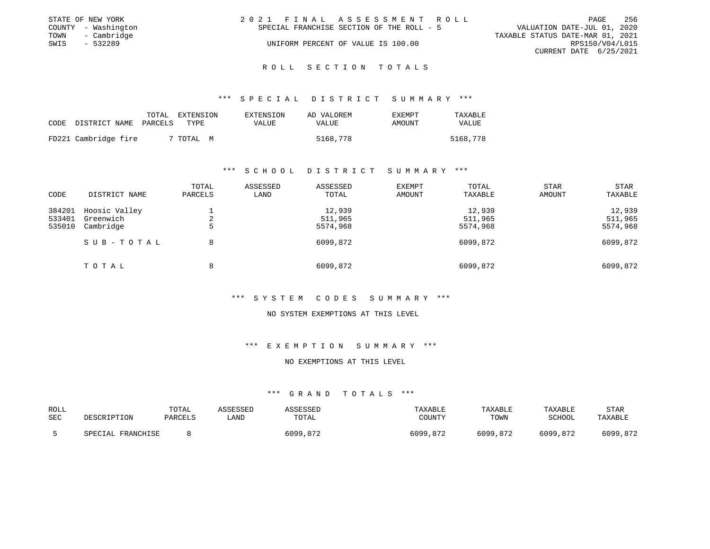|      | STATE OF NEW YORK   | 2021 FINAL ASSESSMENT ROLL                | 256<br>PAGE                      |
|------|---------------------|-------------------------------------------|----------------------------------|
|      | COUNTY - Washington | SPECIAL FRANCHISE SECTION OF THE ROLL - 5 | VALUATION DATE-JUL 01, 2020      |
|      | TOWN - Cambridge    |                                           | TAXABLE STATUS DATE-MAR 01, 2021 |
| SWIS | - 532289            | UNIFORM PERCENT OF VALUE IS 100.00        | RPS150/V04/L015                  |
|      |                     |                                           | CURRENT DATE 6/25/2021           |
|      |                     |                                           |                                  |

R O L L S E C T I O N T O T A L S

\*\*\* S P E C I A L D I S T R I C T S U M M A R Y \*\*\*

| CODE | DISTRICT NAME        | TOTAL<br>PARCELS | EXTENSION<br>TYPE. | EXTENSION<br>VALUE | AD VALOREM<br>VALUE | EXEMPT<br>AMOUNT | TAXABLE<br>VALUE |
|------|----------------------|------------------|--------------------|--------------------|---------------------|------------------|------------------|
|      | FD221 Cambridge fire |                  | 7 TOTAL M          |                    | 5168,778            |                  | 5168,778         |

## \*\*\* S C H O O L D I S T R I C T S U M M A R Y \*\*\*

| CODE                       | DISTRICT NAME                           | TOTAL<br>PARCELS | ASSESSED<br>LAND | ASSESSED<br>TOTAL             | <b>EXEMPT</b><br>AMOUNT | TOTAL<br>TAXABLE              | <b>STAR</b><br>AMOUNT | STAR<br>TAXABLE               |
|----------------------------|-----------------------------------------|------------------|------------------|-------------------------------|-------------------------|-------------------------------|-----------------------|-------------------------------|
| 384201<br>533401<br>535010 | Hoosic Valley<br>Greenwich<br>Cambridge | 2<br>ל           |                  | 12,939<br>511,965<br>5574,968 |                         | 12,939<br>511,965<br>5574,968 |                       | 12,939<br>511,965<br>5574,968 |
|                            | SUB-TOTAL                               | 8                |                  | 6099,872                      |                         | 6099,872                      |                       | 6099,872                      |
|                            | TOTAL                                   | 8                |                  | 6099,872                      |                         | 6099,872                      |                       | 6099,872                      |

# \*\*\* S Y S T E M C O D E S S U M M A R Y \*\*\*

## NO SYSTEM EXEMPTIONS AT THIS LEVEL

\*\*\* E X E M P T I O N S U M M A R Y \*\*\*

## NO EXEMPTIONS AT THIS LEVEL

| ROLL<br>SEC | DESCRIPTION       | TOTAL<br><b>PARCELS</b> | ASSESSED<br>_AND | ASSESSED<br>TOTAL | TAXABLE<br>COUNTY | TAXABLE<br>TOWN | TAXABLE<br>SCHOOL | <b>STAR</b><br>TAXABLE |
|-------------|-------------------|-------------------------|------------------|-------------------|-------------------|-----------------|-------------------|------------------------|
|             | SPECIAL FRANCHISE |                         |                  | 6099,872          | 6099,872          | 6099,872        | 6099,872          | 6099,872               |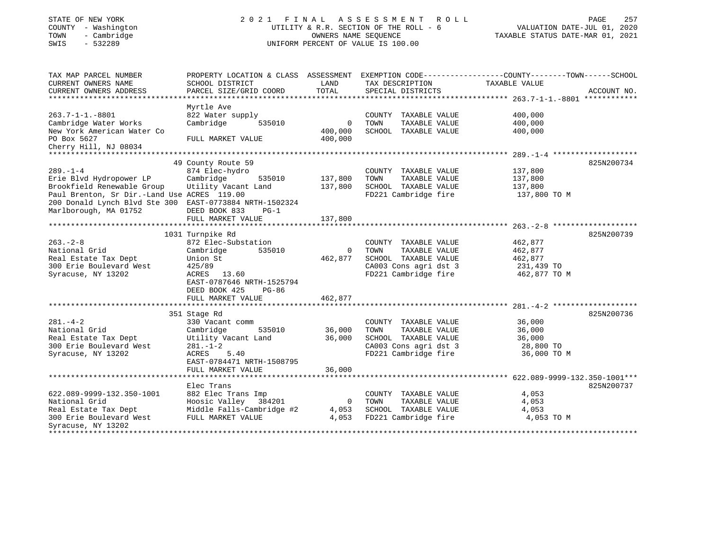# STATE OF NEW YORK 2 0 2 1 F I N A L A S S E S S M E N T R O L L PAGE 257 COUNTY - Washington UTILITY & R.R. SECTION OF THE ROLL - 6 VALUATION DATE-JUL 01, 2020 TOWN - Cambridge OWNERS NAME SEQUENCE TAXABLE STATUS DATE-MAR 01, 2021 SWIS - 532289 UNIFORM PERCENT OF VALUE IS 100.00

| TAX MAP PARCEL NUMBER<br>CURRENT OWNERS NAME            | PROPERTY LOCATION & CLASS ASSESSMENT<br>SCHOOL DISTRICT | LAND          | TAX DESCRIPTION         | EXEMPTION CODE-----------------COUNTY-------TOWN------SCHOOL<br>TAXABLE VALUE |  |
|---------------------------------------------------------|---------------------------------------------------------|---------------|-------------------------|-------------------------------------------------------------------------------|--|
| CURRENT OWNERS ADDRESS                                  | PARCEL SIZE/GRID COORD                                  | TOTAL         | SPECIAL DISTRICTS       | ACCOUNT NO.                                                                   |  |
|                                                         |                                                         |               |                         |                                                                               |  |
|                                                         | Myrtle Ave                                              |               |                         |                                                                               |  |
| $263.7 - 1 - 1. - 8801$                                 | 822 Water supply                                        |               | COUNTY<br>TAXABLE VALUE | 400,000                                                                       |  |
| Cambridge Water Works                                   | Cambridge<br>535010                                     | $\mathbf 0$   | TOWN<br>TAXABLE VALUE   | 400,000                                                                       |  |
| New York American Water Co                              |                                                         | 400,000       | SCHOOL TAXABLE VALUE    | 400,000                                                                       |  |
| PO Box 5627                                             | FULL MARKET VALUE                                       | 400,000       |                         |                                                                               |  |
| Cherry Hill, NJ 08034                                   |                                                         |               |                         |                                                                               |  |
|                                                         |                                                         |               |                         |                                                                               |  |
|                                                         | 49 County Route 59                                      |               |                         | 825N200734                                                                    |  |
| $289. - 1 - 4$                                          | 874 Elec-hydro                                          |               | COUNTY TAXABLE VALUE    | 137,800                                                                       |  |
| Erie Blvd Hydropower LP                                 | Cambridge<br>535010                                     | 137,800       | TOWN<br>TAXABLE VALUE   | 137,800                                                                       |  |
| Brookfield Renewable Group                              | Utility Vacant Land                                     | 137,800       | SCHOOL TAXABLE VALUE    | 137,800                                                                       |  |
| Paul Brenton, Sr Dir.-Land Use ACRES 119.00             |                                                         |               | FD221 Cambridge fire    | 137,800 TO M                                                                  |  |
| 200 Donald Lynch Blvd Ste 300 EAST-0773884 NRTH-1502324 |                                                         |               |                         |                                                                               |  |
| Marlborough, MA 01752                                   | DEED BOOK 833<br>$PG-1$                                 |               |                         |                                                                               |  |
|                                                         | FULL MARKET VALUE                                       | 137,800       |                         |                                                                               |  |
|                                                         |                                                         |               |                         |                                                                               |  |
|                                                         | 1031 Turnpike Rd                                        |               |                         | 825N200739                                                                    |  |
| $263. - 2 - 8$                                          | 872 Elec-Substation                                     |               | COUNTY TAXABLE VALUE    | 462,877                                                                       |  |
| National Grid                                           | 535010<br>Cambridge                                     | $\mathbf{0}$  | TOWN<br>TAXABLE VALUE   | 462,877                                                                       |  |
| Real Estate Tax Dept                                    | Union St                                                | 462,877       | SCHOOL TAXABLE VALUE    | 462,877                                                                       |  |
| 300 Erie Boulevard West                                 | 425/89                                                  |               | CA003 Cons agri dst 3   | 231,439 TO                                                                    |  |
| Syracuse, NY 13202                                      | ACRES<br>13.60                                          |               | FD221 Cambridge fire    | 462,877 TO M                                                                  |  |
|                                                         | EAST-0787646 NRTH-1525794                               |               |                         |                                                                               |  |
|                                                         | DEED BOOK 425<br>$PG-86$                                |               |                         |                                                                               |  |
|                                                         | FULL MARKET VALUE                                       | 462,877       |                         |                                                                               |  |
|                                                         |                                                         |               |                         |                                                                               |  |
|                                                         | 351 Stage Rd                                            |               |                         | 825N200736                                                                    |  |
| $281. - 4 - 2$                                          | 330 Vacant comm                                         |               | COUNTY TAXABLE VALUE    | 36,000                                                                        |  |
| National Grid                                           | 535010<br>Cambridge                                     | 36,000        | TOWN<br>TAXABLE VALUE   | 36,000                                                                        |  |
| Real Estate Tax Dept                                    | Utility Vacant Land                                     | 36,000        | SCHOOL TAXABLE VALUE    | 36,000                                                                        |  |
| 300 Erie Boulevard West                                 | $281. - 1 - 2$                                          |               | CA003 Cons agri dst 3   | 28,800 TO                                                                     |  |
| Syracuse, NY 13202                                      | ACRES<br>5.40                                           |               | FD221 Cambridge fire    | 36,000 TO M                                                                   |  |
|                                                         | EAST-0784471 NRTH-1508795                               |               |                         |                                                                               |  |
|                                                         | FULL MARKET VALUE                                       | 36,000        |                         |                                                                               |  |
|                                                         |                                                         | ************* |                         |                                                                               |  |
|                                                         | Elec Trans                                              |               |                         | 825N200737                                                                    |  |
| 622.089-9999-132.350-1001                               | 882 Elec Trans Imp                                      |               | COUNTY TAXABLE VALUE    | 4,053                                                                         |  |
| National Grid                                           | Hoosic Valley 384201                                    | 0             | TOWN<br>TAXABLE VALUE   | 4,053                                                                         |  |
| Real Estate Tax Dept                                    | Middle Falls-Cambridge #2                               | 4,053         | SCHOOL TAXABLE VALUE    | 4,053                                                                         |  |
| 300 Erie Boulevard West                                 | FULL MARKET VALUE                                       | 4,053         | FD221 Cambridge fire    | 4,053 TO M                                                                    |  |
| Syracuse, NY 13202                                      |                                                         |               |                         |                                                                               |  |
|                                                         |                                                         |               |                         |                                                                               |  |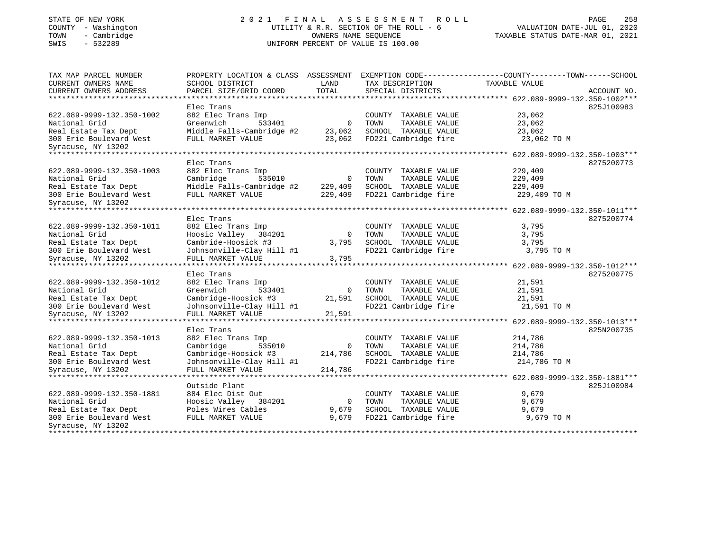# STATE OF NEW YORK 2 0 2 1 F I N A L A S S E S S M E N T R O L L PAGE 258 COUNTY - Washington UTILITY & R.R. SECTION OF THE ROLL - 6 VALUATION DATE-JUL 01, 2020 TOWN - Cambridge OWNERS NAME SEQUENCE TAXABLE STATUS DATE-MAR 01, 2021 SWIS - 532289 UNIFORM PERCENT OF VALUE IS 100.00

| TAX MAP PARCEL NUMBER     | PROPERTY LOCATION & CLASS | ASSESSMENT     | EXEMPTION CODE-----------------COUNTY--------TOWN------SCHOOL |                                         |             |
|---------------------------|---------------------------|----------------|---------------------------------------------------------------|-----------------------------------------|-------------|
| CURRENT OWNERS NAME       | SCHOOL DISTRICT           | LAND           | TAX DESCRIPTION                                               | TAXABLE VALUE                           |             |
| CURRENT OWNERS ADDRESS    | PARCEL SIZE/GRID COORD    | TOTAL          | SPECIAL DISTRICTS                                             |                                         | ACCOUNT NO. |
| ********************      |                           |                |                                                               |                                         |             |
|                           | Elec Trans                |                |                                                               |                                         | 825J100983  |
| 622.089-9999-132.350-1002 | 882 Elec Trans Imp        |                | COUNTY TAXABLE VALUE                                          | 23,062                                  |             |
| National Grid             | Greenwich<br>533401       | $\mathbf 0$    | TOWN<br>TAXABLE VALUE                                         | 23,062                                  |             |
| Real Estate Tax Dept      | Middle Falls-Cambridge #2 | 23,062         | SCHOOL TAXABLE VALUE                                          | 23,062                                  |             |
| 300 Erie Boulevard West   | FULL MARKET VALUE         | 23,062         | FD221 Cambridge fire                                          | 23,062 TO M                             |             |
| Syracuse, NY 13202        |                           |                |                                                               |                                         |             |
| ******************        |                           |                |                                                               | ********** 622.089-9999-132.350-1003*** |             |
|                           | Elec Trans                |                |                                                               |                                         | 8275200773  |
| 622.089-9999-132.350-1003 | 882 Elec Trans Imp        |                | COUNTY TAXABLE VALUE                                          | 229,409                                 |             |
| National Grid             | Cambridge<br>535010       | $\overline{0}$ | TOWN<br>TAXABLE VALUE                                         | 229,409                                 |             |
| Real Estate Tax Dept      | Middle Falls-Cambridge #2 | 229,409        | SCHOOL TAXABLE VALUE                                          | 229,409                                 |             |
| 300 Erie Boulevard West   | FULL MARKET VALUE         | 229,409        | FD221 Cambridge fire                                          | 229,409 TO M                            |             |
| Syracuse, NY 13202        |                           |                |                                                               |                                         |             |
|                           |                           |                |                                                               |                                         |             |
|                           | Elec Trans                |                |                                                               |                                         | 8275200774  |
| 622.089-9999-132.350-1011 | 882 Elec Trans Imp        |                | COUNTY TAXABLE VALUE                                          | 3,795                                   |             |
| National Grid             | Hoosic Valley<br>384201   | $\mathbf 0$    | TOWN<br>TAXABLE VALUE                                         | 3,795                                   |             |
| Real Estate Tax Dept      | Cambride-Hoosick #3       | 3,795          | SCHOOL TAXABLE VALUE                                          | 3,795                                   |             |
| 300 Erie Boulevard West   | Johnsonville-Clay Hill #1 |                | FD221 Cambridge fire                                          | 3,795 TO M                              |             |
|                           | FULL MARKET VALUE         | 3,795          |                                                               |                                         |             |
| Syracuse, NY 13202        |                           |                |                                                               |                                         |             |
|                           | Elec Trans                |                |                                                               |                                         | 8275200775  |
| 622.089-9999-132.350-1012 | 882 Elec Trans Imp        |                | COUNTY TAXABLE VALUE                                          | 21,591                                  |             |
| National Grid             |                           |                | TAXABLE VALUE                                                 |                                         |             |
|                           | Greenwich<br>533401       | $\mathbf 0$    | TOWN                                                          | 21,591                                  |             |
| Real Estate Tax Dept      | Cambridge-Hoosick #3      | 21,591         | SCHOOL TAXABLE VALUE                                          | 21,591                                  |             |
| 300 Erie Boulevard West   | Johnsonville-Clay Hill #1 |                | FD221 Cambridge fire                                          | 21,591 TO M                             |             |
| Syracuse, NY 13202        | FULL MARKET VALUE<br>.    | 21,591         |                                                               |                                         |             |
|                           |                           |                |                                                               | ********* 622.089-9999-132.350-1013***  |             |
|                           | Elec Trans                |                |                                                               |                                         | 825N200735  |
| 622.089-9999-132.350-1013 | 882 Elec Trans Imp        |                | COUNTY TAXABLE VALUE                                          | 214,786                                 |             |
| National Grid             | Cambridge<br>535010       | 0              | TOWN<br>TAXABLE VALUE                                         | 214,786                                 |             |
| Real Estate Tax Dept      | Cambridge-Hoosick #3      | 214,786        | SCHOOL TAXABLE VALUE                                          | 214,786                                 |             |
| 300 Erie Boulevard West   | Johnsonville-Clay Hill #1 |                | FD221 Cambridge fire                                          | 214,786 TO M                            |             |
| Syracuse, NY 13202        | FULL MARKET VALUE         | 214,786        |                                                               |                                         |             |
|                           | *******************       |                |                                                               | ********** 622.089-9999-132.350-1881*** |             |
|                           | Outside Plant             |                |                                                               |                                         | 825J100984  |
| 622.089-9999-132.350-1881 | 884 Elec Dist Out         |                | COUNTY TAXABLE VALUE                                          | 9,679                                   |             |
| National Grid             | Hoosic Valley<br>384201   | $\mathbf{0}$   | TAXABLE VALUE<br>TOWN                                         | 9,679                                   |             |
| Real Estate Tax Dept      | Poles Wires Cables        | 9,679          | SCHOOL TAXABLE VALUE                                          | 9,679                                   |             |
| 300 Erie Boulevard West   | FULL MARKET VALUE         | 9,679          | FD221 Cambridge fire                                          | 9,679 TO M                              |             |
| Syracuse, NY 13202        |                           |                |                                                               |                                         |             |
| ******************        |                           |                |                                                               |                                         |             |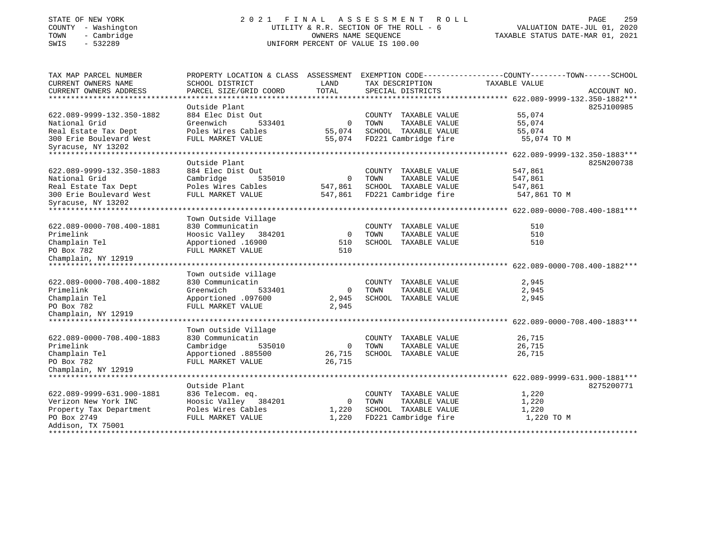# STATE OF NEW YORK 2 0 2 1 F I N A L A S S E S S M E N T R O L L PAGE 259 COUNTY - Washington UTILITY & R.R. SECTION OF THE ROLL - 6 VALUATION DATE-JUL 01, 2020 TOWN - Cambridge OWNERS NAME SEQUENCE TAXABLE STATUS DATE-MAR 01, 2021 TOWN - Cambridge - TOWN - Cambridge - TOWN - Cambridge - TOWN - Cambridge - TOWN - Cambridge - TOWNERS NAME SEQUENCE

| TAX MAP PARCEL NUMBER                                | PROPERTY LOCATION & CLASS ASSESSMENT        |             |                         | EXEMPTION CODE-----------------COUNTY-------TOWN------SCHOOL |             |
|------------------------------------------------------|---------------------------------------------|-------------|-------------------------|--------------------------------------------------------------|-------------|
| CURRENT OWNERS NAME                                  | SCHOOL DISTRICT                             | LAND        | TAX DESCRIPTION         | TAXABLE VALUE                                                |             |
| CURRENT OWNERS ADDRESS<br>************************** | PARCEL SIZE/GRID COORD                      | TOTAL       | SPECIAL DISTRICTS       |                                                              | ACCOUNT NO. |
|                                                      |                                             |             |                         |                                                              |             |
|                                                      | Outside Plant                               |             |                         |                                                              | 825J100985  |
| 622.089-9999-132.350-1882                            | 884 Elec Dist Out                           |             | COUNTY TAXABLE VALUE    | 55,074                                                       |             |
| National Grid                                        | Greenwich<br>533401                         | $\mathbf 0$ | TOWN<br>TAXABLE VALUE   | 55,074                                                       |             |
| Real Estate Tax Dept                                 | Poles Wires Cables                          | 55,074      | SCHOOL TAXABLE VALUE    | 55,074                                                       |             |
| 300 Erie Boulevard West<br>Syracuse, NY 13202        | FULL MARKET VALUE                           | 55,074      | FD221 Cambridge fire    | 55,074 TO M                                                  |             |
| *************************                            |                                             |             |                         |                                                              |             |
|                                                      | Outside Plant                               |             |                         |                                                              | 825N200738  |
| 622.089-9999-132.350-1883                            | 884 Elec Dist Out                           |             | COUNTY TAXABLE VALUE    | 547,861                                                      |             |
| National Grid                                        | Cambridge<br>535010                         | 0           | TOWN<br>TAXABLE VALUE   | 547,861                                                      |             |
| Real Estate Tax Dept                                 | Poles Wires Cables                          | 547,861     | SCHOOL TAXABLE VALUE    | 547,861                                                      |             |
| 300 Erie Boulevard West<br>Syracuse, NY 13202        | FULL MARKET VALUE                           | 547,861     | FD221 Cambridge fire    | 547,861 TO M                                                 |             |
| ******************                                   |                                             |             |                         |                                                              |             |
|                                                      | Town Outside Village                        |             |                         |                                                              |             |
| 622.089-0000-708.400-1881                            | 830 Communicatin                            |             | COUNTY<br>TAXABLE VALUE | 510                                                          |             |
| Primelink                                            | Hoosic Valley 384201                        | $\mathbf 0$ | TOWN<br>TAXABLE VALUE   | 510                                                          |             |
| Champlain Tel                                        | Apportioned .16900                          | 510         | SCHOOL TAXABLE VALUE    | 510                                                          |             |
| PO Box 782                                           | FULL MARKET VALUE                           | 510         |                         |                                                              |             |
| Champlain, NY 12919                                  |                                             |             |                         |                                                              |             |
|                                                      |                                             |             |                         |                                                              |             |
|                                                      | Town outside village                        |             |                         |                                                              |             |
| 622.089-0000-708.400-1882                            | 830 Communicatin                            |             | COUNTY TAXABLE VALUE    | 2,945                                                        |             |
| Primelink                                            | Greenwich<br>533401                         | $\mathbf 0$ | TOWN<br>TAXABLE VALUE   | 2,945                                                        |             |
| Champlain Tel                                        | Apportioned .097600                         | 2,945       | SCHOOL TAXABLE VALUE    | 2,945                                                        |             |
| PO Box 782                                           | FULL MARKET VALUE                           | 2,945       |                         |                                                              |             |
| Champlain, NY 12919                                  |                                             |             |                         |                                                              |             |
|                                                      |                                             |             |                         |                                                              |             |
|                                                      | Town outside Village                        |             |                         |                                                              |             |
| 622.089-0000-708.400-1883                            | 830 Communicatin                            |             | COUNTY<br>TAXABLE VALUE | 26,715                                                       |             |
| Primelink                                            | Cambridge<br>535010                         | $\mathbf 0$ | TAXABLE VALUE<br>TOWN   | 26,715                                                       |             |
| Champlain Tel                                        | Apportioned .885500                         | 26,715      | SCHOOL TAXABLE VALUE    | 26,715                                                       |             |
| PO Box 782                                           | FULL MARKET VALUE                           | 26,715      |                         |                                                              |             |
| Champlain, NY 12919                                  |                                             |             |                         |                                                              |             |
|                                                      |                                             |             |                         | ********* 622.089-9999-631.900-1881***                       |             |
|                                                      | Outside Plant                               |             |                         |                                                              | 8275200771  |
| 622.089-9999-631.900-1881                            |                                             |             | COUNTY TAXABLE VALUE    | 1,220                                                        |             |
| Verizon New York INC                                 | 836 Telecom. eq.<br>Hoosic Valley<br>384201 | $\circ$     | TOWN<br>TAXABLE VALUE   | 1,220                                                        |             |
|                                                      | Poles Wires Cables                          | 1,220       | SCHOOL TAXABLE VALUE    | 1,220                                                        |             |
| Property Tax Department<br>PO Box 2749               |                                             |             |                         |                                                              |             |
| Addison, TX 75001                                    | FULL MARKET VALUE                           | 1,220       | FD221 Cambridge fire    | 1,220 TO M                                                   |             |
|                                                      |                                             |             |                         |                                                              |             |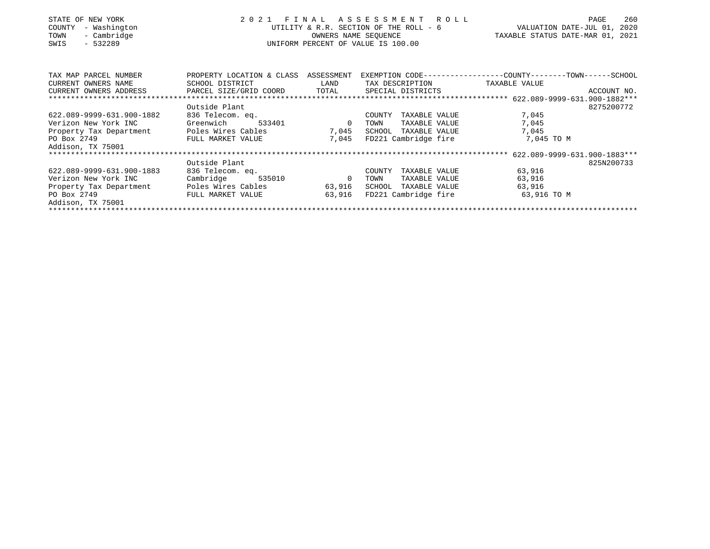| STATE OF NEW YORK<br>- Washington<br>COUNTY<br>TOWN<br>- Cambridge<br>$-532289$<br>SWIS | 2021 FINAL                           | ASSESSMENT ROLL<br>UTILITY & R.R. SECTION OF THE ROLL - 6<br>OWNERS NAME SEQUENCE<br>UNIFORM PERCENT OF VALUE IS 100.00 | 260<br><b>PAGE</b><br>VALUATION DATE-JUL 01, 2020<br>TAXABLE STATUS DATE-MAR 01, 2021 |                                                              |
|-----------------------------------------------------------------------------------------|--------------------------------------|-------------------------------------------------------------------------------------------------------------------------|---------------------------------------------------------------------------------------|--------------------------------------------------------------|
|                                                                                         |                                      |                                                                                                                         |                                                                                       |                                                              |
| TAX MAP PARCEL NUMBER                                                                   | PROPERTY LOCATION & CLASS ASSESSMENT |                                                                                                                         |                                                                                       | EXEMPTION CODE-----------------COUNTY-------TOWN------SCHOOL |
| CURRENT OWNERS NAME                                                                     | SCHOOL DISTRICT                      | LAND                                                                                                                    | TAX DESCRIPTION                                                                       | TAXABLE VALUE                                                |
| CURRENT OWNERS ADDRESS                                                                  | PARCEL SIZE/GRID COORD               | TOTAL                                                                                                                   | SPECIAL DISTRICTS                                                                     | ACCOUNT NO.                                                  |
|                                                                                         |                                      |                                                                                                                         |                                                                                       |                                                              |
|                                                                                         | Outside Plant                        |                                                                                                                         |                                                                                       | 8275200772                                                   |
| 622.089-9999-631.900-1882                                                               | 836 Telecom. eq.                     |                                                                                                                         | TAXABLE VALUE<br>COUNTY                                                               | 7,045                                                        |
| Verizon New York INC                                                                    | Greenwich<br>533401                  | $\overline{0}$                                                                                                          | TOWN<br>TAXABLE VALUE                                                                 | 7,045                                                        |
| Property Tax Department Poles Wires Cables                                              |                                      | 7,045                                                                                                                   | SCHOOL<br>TAXABLE VALUE                                                               | 7,045                                                        |
| PO Box 2749                                                                             | FULL MARKET VALUE                    | 7,045                                                                                                                   | FD221 Cambridge fire                                                                  | 7,045 TO M                                                   |
| Addison, TX 75001                                                                       |                                      |                                                                                                                         |                                                                                       |                                                              |
|                                                                                         |                                      |                                                                                                                         |                                                                                       |                                                              |
|                                                                                         | Outside Plant                        |                                                                                                                         |                                                                                       | 825N200733                                                   |
| 622.089-9999-631.900-1883                                                               | 836 Telecom. eq.                     |                                                                                                                         | TAXABLE VALUE<br>COUNTY                                                               | 63,916                                                       |
| Verizon New York INC                                                                    | Cambridge<br>535010                  | $\overline{0}$                                                                                                          | TAXABLE VALUE<br>TOWN                                                                 | 63,916                                                       |
| Property Tax Department                                                                 | Poles Wires Cables                   | 63,916                                                                                                                  | SCHOOL<br>TAXABLE VALUE                                                               | 63,916                                                       |
| PO Box 2749                                                                             | FULL MARKET VALUE                    | 63,916                                                                                                                  | FD221 Cambridge fire                                                                  | 63,916 TO M                                                  |
| Addison, TX 75001                                                                       |                                      |                                                                                                                         |                                                                                       |                                                              |
|                                                                                         |                                      |                                                                                                                         |                                                                                       |                                                              |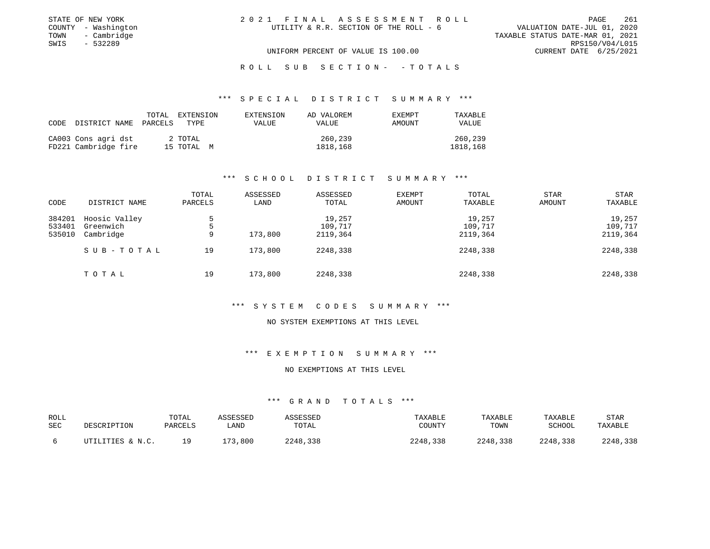| STATE OF NEW YORK   | 2021 FINAL ASSESSMENT ROLL             |                                  | PAGE            | 261 |
|---------------------|----------------------------------------|----------------------------------|-----------------|-----|
| COUNTY - Washington | UTILITY & R.R. SECTION OF THE ROLL - 6 | VALUATION DATE-JUL 01, 2020      |                 |     |
| TOWN<br>- Cambridge |                                        | TAXABLE STATUS DATE-MAR 01, 2021 |                 |     |
| - 532289<br>SWIS    |                                        |                                  | RPS150/V04/L015 |     |
|                     | UNIFORM PERCENT OF VALUE IS 100.00     | CURRENT DATE 6/25/2021           |                 |     |

## R O L L S U B S E C T I O N - - T O T A L S

## \*\*\* S P E C I A L D I S T R I C T S U M M A R Y \*\*\*

| CODE | DISTRICT NAME                               | TOTAL<br>PARCELS | EXTENSION<br>TYPE     | EXTENSION<br>VALUE | AD VALOREM<br>VALUE | EXEMPT<br>AMOUNT | TAXABLE<br>VALUE    |
|------|---------------------------------------------|------------------|-----------------------|--------------------|---------------------|------------------|---------------------|
|      | CA003 Cons agri dst<br>FD221 Cambridge fire |                  | 2 TOTAL<br>15 TOTAL M |                    | 260,239<br>1818,168 |                  | 260,239<br>1818,168 |

## \*\*\* S C H O O L D I S T R I C T S U M M A R Y \*\*\*

| CODE                       | DISTRICT NAME                           | TOTAL<br>PARCELS | ASSESSED<br>LAND | ASSESSED<br>TOTAL             | <b>EXEMPT</b><br>AMOUNT | TOTAL<br>TAXABLE              | STAR<br>AMOUNT | STAR<br>TAXABLE               |
|----------------------------|-----------------------------------------|------------------|------------------|-------------------------------|-------------------------|-------------------------------|----------------|-------------------------------|
| 384201<br>533401<br>535010 | Hoosic Valley<br>Greenwich<br>Cambridge | 5.<br>5<br>9     | 173,800          | 19,257<br>109,717<br>2119,364 |                         | 19,257<br>109,717<br>2119,364 |                | 19,257<br>109,717<br>2119,364 |
|                            | SUB-TOTAL                               | 19               | 173,800          | 2248,338                      |                         | 2248,338                      |                | 2248,338                      |
|                            | TOTAL                                   | 19               | 173,800          | 2248,338                      |                         | 2248,338                      |                | 2248,338                      |

#### \*\*\* S Y S T E M C O D E S S U M M A R Y \*\*\*

#### NO SYSTEM EXEMPTIONS AT THIS LEVEL

# \*\*\* E X E M P T I O N S U M M A R Y \*\*\*

#### NO EXEMPTIONS AT THIS LEVEL

| ROLL<br>SEC | DESCRIPTION      | TOTAL<br>PARCELS | ASSESSED<br>LAND | ASSESSED<br>TOTAL | TAXABLE<br>COUNTY | TAXABLE<br>TOWN | TAXABLE<br>SCHOOL | <b>STAR</b><br>TAXABLE |
|-------------|------------------|------------------|------------------|-------------------|-------------------|-----------------|-------------------|------------------------|
|             | UTILITIES & N.C. | 1 Q              | 173,800          | 2248,338          | 2248,338          | 2248,338        | 2248,338          | 2248,338               |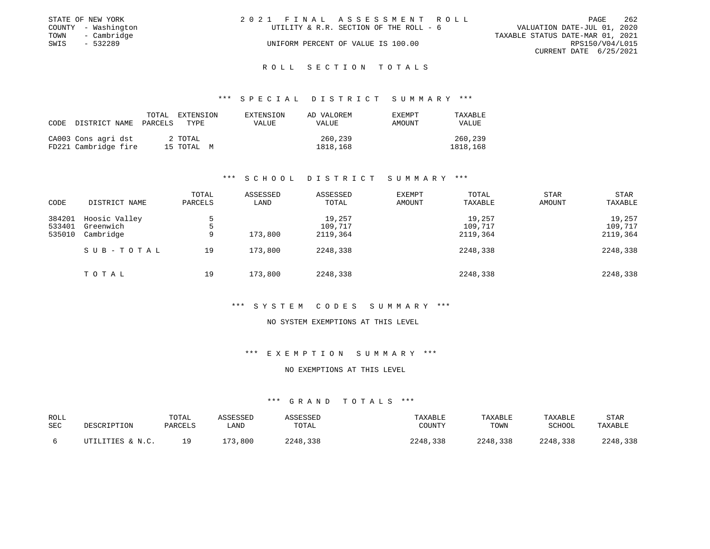|      | STATE OF NEW YORK   | 2021 FINAL ASSESSMENT ROLL |                                        |                                  |                        | PAGE | 262 |
|------|---------------------|----------------------------|----------------------------------------|----------------------------------|------------------------|------|-----|
|      | COUNTY - Washington |                            | UTILITY & R.R. SECTION OF THE ROLL - 6 | VALUATION DATE-JUL 01, 2020      |                        |      |     |
|      | TOWN - Cambridge    |                            |                                        | TAXABLE STATUS DATE-MAR 01, 2021 |                        |      |     |
| SWIS | - 532289            |                            | UNIFORM PERCENT OF VALUE IS 100.00     |                                  | RPS150/V04/L015        |      |     |
|      |                     |                            |                                        |                                  | CURRENT DATE 6/25/2021 |      |     |
|      |                     |                            |                                        |                                  |                        |      |     |

#### R O L L S E C T I O N T O T A L S

## \*\*\* S P E C I A L D I S T R I C T S U M M A R Y \*\*\*

| CODE | DISTRICT NAME PARCELS                       | TOTAL | EXTENSION<br>TYPE     | EXTENSION<br>VALUE | AD VALOREM<br>VALUE | <b>EXEMPT</b><br>AMOUNT | TAXABLE<br>VALUE    |
|------|---------------------------------------------|-------|-----------------------|--------------------|---------------------|-------------------------|---------------------|
|      | CA003 Cons agri dst<br>FD221 Cambridge fire |       | 2 TOTAL<br>15 TOTAL M |                    | 260,239<br>1818,168 |                         | 260,239<br>1818,168 |

## \*\*\* S C H O O L D I S T R I C T S U M M A R Y \*\*\*

| CODE                       | DISTRICT NAME                           | TOTAL<br>PARCELS | ASSESSED<br>LAND | ASSESSED<br>TOTAL             | <b>EXEMPT</b><br>AMOUNT | TOTAL<br>TAXABLE              | STAR<br>AMOUNT | STAR<br>TAXABLE               |
|----------------------------|-----------------------------------------|------------------|------------------|-------------------------------|-------------------------|-------------------------------|----------------|-------------------------------|
| 384201<br>533401<br>535010 | Hoosic Valley<br>Greenwich<br>Cambridge | 5.<br>5<br>9     | 173,800          | 19,257<br>109,717<br>2119,364 |                         | 19,257<br>109,717<br>2119,364 |                | 19,257<br>109,717<br>2119,364 |
|                            | SUB-TOTAL                               | 19               | 173,800          | 2248,338                      |                         | 2248,338                      |                | 2248,338                      |
|                            | TOTAL                                   | 19               | 173,800          | 2248,338                      |                         | 2248,338                      |                | 2248,338                      |

#### \*\*\* S Y S T E M C O D E S S U M M A R Y \*\*\*

#### NO SYSTEM EXEMPTIONS AT THIS LEVEL

# \*\*\* E X E M P T I O N S U M M A R Y \*\*\*

#### NO EXEMPTIONS AT THIS LEVEL

| ROLL |                  | TOTAL   | ASSESSED | ASSESSED | TAXABLE  | TAXABLE  | TAXABLE  | <b>STAR</b> |
|------|------------------|---------|----------|----------|----------|----------|----------|-------------|
| SEC  | DESCRIPTION      | PARCELS | LAND     | TOTAL    | COUNTY   | TOWN     | SCHOOL   | TAXABLE     |
|      | UTILITIES & N.C. | 1 Q     | 73,800   | 2248,338 | 2248,338 | 2248,338 | 2248,338 | 2248,338    |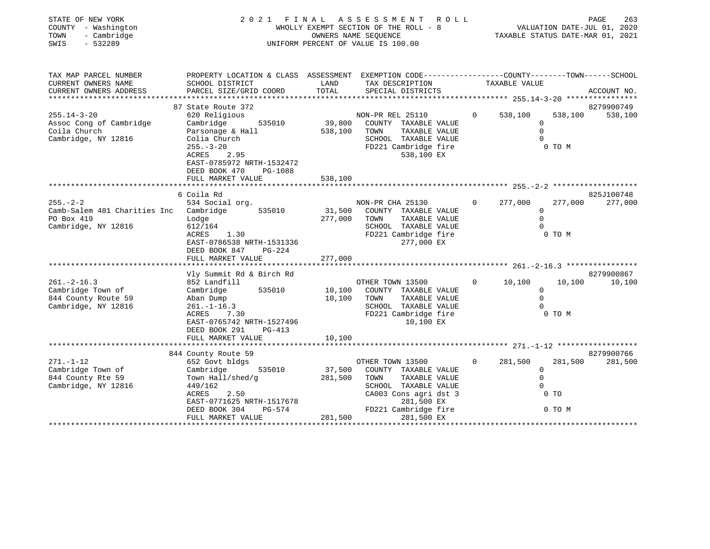| STATE OF NEW YORK<br>COUNTY - Washington<br>TOWN<br>- Cambridge<br>SWIS<br>$-532289$                 | 2021 FINAL                                                                                                                                                                                                       |                              | A S S E S S M E N T<br>ROLL<br>WHOLLY EXEMPT SECTION OF THE ROLL - 8<br>OWNERS NAME SEQUENCE<br>UNIFORM PERCENT OF VALUE IS 100.00                       |                | VALUATION DATE-JUL 01, 2020<br>TAXABLE STATUS DATE-MAR 01, 2021 |                   | PAGE<br>263           |
|------------------------------------------------------------------------------------------------------|------------------------------------------------------------------------------------------------------------------------------------------------------------------------------------------------------------------|------------------------------|----------------------------------------------------------------------------------------------------------------------------------------------------------|----------------|-----------------------------------------------------------------|-------------------|-----------------------|
| TAX MAP PARCEL NUMBER<br>CURRENT OWNERS NAME<br>CURRENT OWNERS ADDRESS<br>************************** | PROPERTY LOCATION & CLASS ASSESSMENT EXEMPTION CODE---------------COUNTY-------TOWN------SCHOOL<br>SCHOOL DISTRICT<br>PARCEL SIZE/GRID COORD                                                                     | LAND<br>TOTAL                | TAX DESCRIPTION<br>SPECIAL DISTRICTS                                                                                                                     |                | TAXABLE VALUE                                                   |                   | ACCOUNT NO.           |
| $255.14 - 3 - 20$<br>Assoc Cong of Cambridge<br>Coila Church<br>Cambridge, NY 12816                  | 87 State Route 372<br>620 Religious<br>Cambridge<br>535010<br>Parsonage & Hall<br>Colia Church<br>$255. - 3 - 20$<br>ACRES<br>2.95<br>EAST-0785972 NRTH-1532472<br>DEED BOOK 470<br>PG-1088<br>FULL MARKET VALUE | 39,800<br>538,100<br>538,100 | NON-PR REL 25110<br>COUNTY TAXABLE VALUE<br>TOWN<br>TAXABLE VALUE<br>SCHOOL TAXABLE VALUE<br>FD221 Cambridge fire<br>538,100 EX                          | $\Omega$       | 538,100<br>0<br>$\Omega$                                        | 538,100<br>0 TO M | 8279900749<br>538,100 |
|                                                                                                      |                                                                                                                                                                                                                  |                              |                                                                                                                                                          |                |                                                                 |                   |                       |
| $255. - 2 - 2$<br>Camb-Salem 481 Charities Inc Cambridge<br>PO Box 419<br>Cambridge, NY 12816        | 6 Coila Rd<br>534 Social org.<br>535010<br>Lodge<br>612/164<br>ACRES<br>1.30<br>EAST-0786538 NRTH-1531336<br>DEED BOOK 847<br>PG-224<br>FULL MARKET VALUE                                                        | 31,500<br>277,000<br>277,000 | NON-PR CHA 25130<br>COUNTY TAXABLE VALUE<br>TOWN<br>TAXABLE VALUE<br>SCHOOL TAXABLE VALUE<br>FD221 Cambridge fire<br>277,000 EX                          | $\overline{0}$ | 277,000<br>$\mathbf{0}$<br>$\mathbf 0$<br>$\Omega$              | 277,000<br>0 TO M | 825J100748<br>277,000 |
|                                                                                                      |                                                                                                                                                                                                                  |                              |                                                                                                                                                          |                |                                                                 |                   |                       |
| $261. - 2 - 16.3$<br>Cambridge Town of<br>844 County Route 59<br>Cambridge, NY 12816                 | Vly Summit Rd & Birch Rd<br>852 Landfill<br>Cambridge<br>535010<br>Aban Dump<br>$261. - 1 - 16.3$<br>ACRES<br>7.30<br>EAST-0765742 NRTH-1527496<br>DEED BOOK 291<br>PG-413                                       | 10,100<br>10,100             | OTHER TOWN 13500<br>COUNTY TAXABLE VALUE<br>TOWN<br>TAXABLE VALUE<br>SCHOOL TAXABLE VALUE<br>FD221 Cambridge fire<br>10,100 EX                           | $\overline{0}$ | 10,100<br>$\overline{0}$<br>$\Omega$<br>$\Omega$                | 10,100<br>0 TO M  | 8279900867<br>10,100  |
|                                                                                                      | FULL MARKET VALUE                                                                                                                                                                                                | 10,100                       |                                                                                                                                                          |                |                                                                 |                   |                       |
|                                                                                                      | 844 County Route 59                                                                                                                                                                                              |                              |                                                                                                                                                          |                |                                                                 |                   | 8279900766            |
| $271. - 1 - 12$<br>Cambridge Town of<br>844 County Rte 59<br>Cambridge, NY 12816                     | 652 Govt bldgs<br>Cambridge<br>535010<br>Town Hall/shed/g<br>449/162<br>ACRES<br>2.50<br>EAST-0771625 NRTH-1517678<br>DEED BOOK 304<br>PG-574                                                                    | 37,500<br>281,500            | OTHER TOWN 13500<br>COUNTY TAXABLE VALUE<br>TOWN<br>TAXABLE VALUE<br>SCHOOL TAXABLE VALUE<br>CA003 Cons agri dst 3<br>281,500 EX<br>FD221 Cambridge fire | $\mathbf{0}$   | 281,500<br>$\Omega$<br>$\mathbf 0$<br>$\Omega$<br>$0$ TO        | 281,500<br>0 TO M | 281,500               |
|                                                                                                      | FULL MARKET VALUE                                                                                                                                                                                                | 281,500                      | 281,500 EX                                                                                                                                               |                |                                                                 |                   |                       |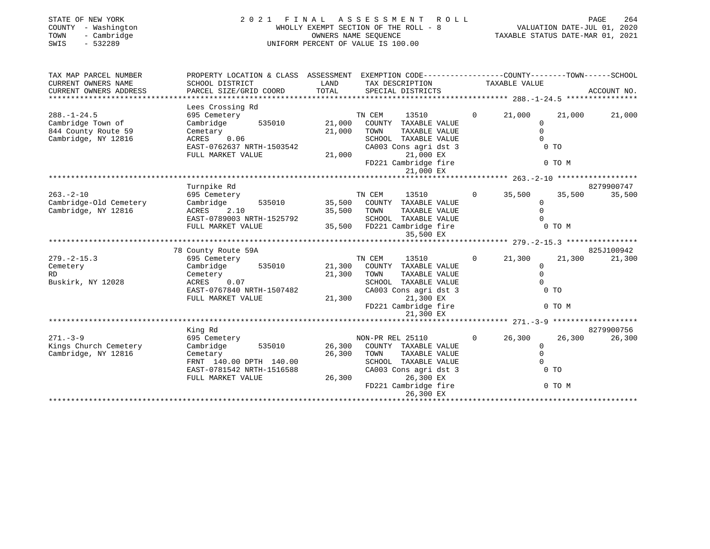| STATE OF NEW YORK<br>COUNTY - Washington<br>- Cambridge<br>TOWN<br>- 532289<br>SWIS |                                                                                                |               | 2021 FINAL ASSESSMENT ROLL<br>WHOLLY EXEMPT SECTION OF THE ROLL - 8<br>OWNERS NAME SEQUENCE<br>UNIFORM PERCENT OF VALUE IS 100.00 |                | PAGE 264<br>VALUATION DATE-JUL 01, 2020<br>TAXABLE STATIS DATE 11 |                      |
|-------------------------------------------------------------------------------------|------------------------------------------------------------------------------------------------|---------------|-----------------------------------------------------------------------------------------------------------------------------------|----------------|-------------------------------------------------------------------|----------------------|
| TAX MAP PARCEL NUMBER                                                               | PROPERTY LOCATION & CLASS ASSESSMENT EXEMPTION CODE---------------COUNTY-------TOWN-----SCHOOL |               |                                                                                                                                   |                |                                                                   |                      |
| CURRENT OWNERS NAME<br>CURRENT OWNERS ADDRESS                                       | SCHOOL DISTRICT<br>PARCEL SIZE/GRID COORD                                                      | LAND<br>TOTAL | TAX DESCRIPTION TAXABLE VALUE<br>SPECIAL DISTRICTS                                                                                |                |                                                                   | ACCOUNT NO.          |
|                                                                                     | Lees Crossing Rd                                                                               |               |                                                                                                                                   |                |                                                                   |                      |
| $288. - 1 - 24.5$<br>Cambridge Town of                                              | 695 Cemetery<br>Cambridge<br>535010                                                            | 21,000        | TN CEM<br>13510<br>COUNTY TAXABLE VALUE                                                                                           | $\Omega$       | 21,000<br>21,000<br>$\Omega$                                      | 21,000               |
| 844 County Route 59<br>Cambridge, NY 12816                                          | Cemetary<br>0.06<br>ACRES                                                                      | 21,000        | TAXABLE VALUE<br>TOWN<br>SCHOOL TAXABLE VALUE                                                                                     |                | $\Omega$<br>$\Omega$                                              |                      |
|                                                                                     | EAST-0762637 NRTH-1503542<br>FULL MARKET VALUE                                                 | 21,000        | CA003 Cons agri dst 3<br>21,000 EX                                                                                                |                | $0$ TO                                                            |                      |
|                                                                                     |                                                                                                |               | FD221 Cambridge fire<br>21,000 EX                                                                                                 |                | 0 TO M                                                            |                      |
|                                                                                     | Turnpike Rd                                                                                    |               |                                                                                                                                   |                |                                                                   | 8279900747           |
| $263. - 2 - 10$<br>Cambridge-Old Cemetery                                           | 695 Cemetery<br>Cambridge<br>535010                                                            | 35,500        | TN CEM<br>13510<br>COUNTY TAXABLE VALUE                                                                                           |                | $0 \t35,500$<br>$\Omega$                                          | 35,500<br>35,500     |
| Cambridge, NY 12816                                                                 | ACRES 2.10<br>EAST-0789003 NRTH-1525792                                                        | 35,500        | TOWN<br>TAXABLE VALUE<br>SCHOOL TAXABLE VALUE                                                                                     |                | $\Omega$                                                          |                      |
|                                                                                     | FULL MARKET VALUE                                                                              |               | 35,500 FD221 Cambridge fire<br>35,500 EX                                                                                          |                | 0 TO M                                                            |                      |
|                                                                                     |                                                                                                |               |                                                                                                                                   |                |                                                                   |                      |
|                                                                                     | 78 County Route 59A                                                                            |               |                                                                                                                                   | $\Omega$       |                                                                   | 825J100942<br>21,300 |
| $279. - 2 - 15.3$<br>Cemetery                                                       | 695 Cemetery<br>Cambridge<br>535010                                                            | 21,300        | TN CEM<br>13510<br>COUNTY TAXABLE VALUE                                                                                           |                | 21,300<br>$\Omega$                                                | 21,300               |
| RD.                                                                                 | Cemetery                                                                                       | 21,300        | TOWN<br>TAXABLE VALUE                                                                                                             |                | $\Omega$                                                          |                      |
| Buskirk, NY 12028                                                                   | 0.07<br>ACRES                                                                                  |               | SCHOOL TAXABLE VALUE                                                                                                              |                | $\cap$                                                            |                      |
|                                                                                     | EAST-0767840 NRTH-1507482<br>FULL MARKET VALUE                                                 | 21,300        | CA003 Cons agri dst 3<br>21,300 EX                                                                                                |                | $0$ TO                                                            |                      |
|                                                                                     |                                                                                                |               | FD221 Cambridge fire<br>21,300 EX                                                                                                 |                | 0 TO M                                                            |                      |
|                                                                                     |                                                                                                |               |                                                                                                                                   |                |                                                                   |                      |
|                                                                                     | King Rd                                                                                        |               |                                                                                                                                   |                |                                                                   | 8279900756           |
| $271. - 3 - 9$                                                                      | 695 Cemetery                                                                                   |               | NON-PR REL 25110                                                                                                                  | $\overline{0}$ | 26,300<br>26,300                                                  | 26,300               |
| Kings Church Cemetery<br>Cambridge, NY 12816                                        | Cambridge<br>535010                                                                            | 26,300        | COUNTY TAXABLE VALUE                                                                                                              |                | 0<br>$\Omega$                                                     |                      |
|                                                                                     | Cemetary<br>FRNT 140.00 DPTH 140.00                                                            | 26,300        | TAXABLE VALUE<br>TOWN<br>SCHOOL TAXABLE VALUE                                                                                     |                | $\Omega$                                                          |                      |
|                                                                                     | EAST-0781542 NRTH-1516588<br>FULL MARKET VALUE                                                 | 26,300        | CA003 Cons agri dst 3<br>26,300 EX                                                                                                |                | $0$ TO                                                            |                      |
|                                                                                     |                                                                                                |               | FD221 Cambridge fire<br>26,300 EX                                                                                                 |                | 0 TO M                                                            |                      |
|                                                                                     |                                                                                                |               |                                                                                                                                   |                |                                                                   |                      |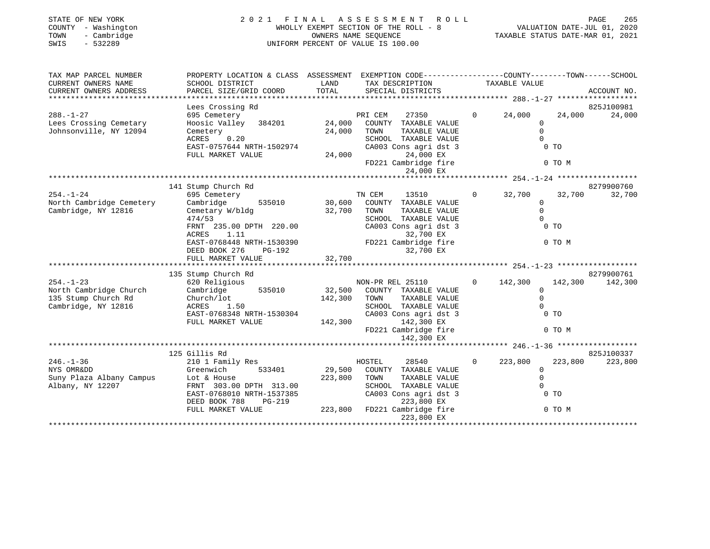| STATE OF NEW YORK<br>COUNTY - Washington<br>TOWN<br>- Cambridge<br>$-532289$<br>SWIS    | 2021                                                                                                                                                                                                                                     | FINAL<br>OWNERS NAME SEQUENCE | A S S E S S M E N T<br>R O L L<br>WHOLLY EXEMPT SECTION OF THE ROLL - 8<br>UNIFORM PERCENT OF VALUE IS 100.00                                                                 |                   |                                                                     | PAGE<br>265<br>VALUATION DATE-JUL 01, 2020<br>TAXABLE STATUS DATE-MAR 01, 2021 |
|-----------------------------------------------------------------------------------------|------------------------------------------------------------------------------------------------------------------------------------------------------------------------------------------------------------------------------------------|-------------------------------|-------------------------------------------------------------------------------------------------------------------------------------------------------------------------------|-------------------|---------------------------------------------------------------------|--------------------------------------------------------------------------------|
| TAX MAP PARCEL NUMBER<br>CURRENT OWNERS NAME<br>CURRENT OWNERS ADDRESS                  | PROPERTY LOCATION & CLASS ASSESSMENT EXEMPTION CODE----------------COUNTY-------TOWN------SCHOOL<br>SCHOOL DISTRICT<br>PARCEL SIZE/GRID COORD                                                                                            | LAND<br>TOTAL                 | TAX DESCRIPTION<br>SPECIAL DISTRICTS                                                                                                                                          |                   | TAXABLE VALUE                                                       | ACCOUNT NO.                                                                    |
|                                                                                         |                                                                                                                                                                                                                                          |                               |                                                                                                                                                                               |                   |                                                                     |                                                                                |
| $288. - 1 - 27$<br>Lees Crossing Cemetary<br>Johnsonville, NY 12094                     | Lees Crossing Rd<br>695 Cemetery<br>Hoosic Valley 384201<br>Cemetery<br>0.20<br>ACRES<br>EAST-0757644 NRTH-1502974<br>FULL MARKET VALUE                                                                                                  | 24,000<br>24,000<br>24,000    | PRI CEM<br>27350<br>COUNTY TAXABLE VALUE<br>TOWN<br>TAXABLE VALUE<br>SCHOOL TAXABLE VALUE<br>CA003 Cons agri dst 3<br>24,000 EX                                               | $0 \qquad \qquad$ | 24,000<br>$\mathbf{0}$<br>$\Omega$<br>$\Omega$<br>$0$ TO            | 825J100981<br>24,000<br>24,000                                                 |
|                                                                                         |                                                                                                                                                                                                                                          |                               | FD221 Cambridge fire                                                                                                                                                          |                   | 0 TO M                                                              |                                                                                |
|                                                                                         |                                                                                                                                                                                                                                          |                               | 24,000 EX                                                                                                                                                                     |                   |                                                                     |                                                                                |
| $254. - 1 - 24$<br>North Cambridge Cemetery<br>Cambridge, NY 12816                      | 141 Stump Church Rd<br>695 Cemetery<br>Cambridge<br>535010<br>Cemetary W/bldg<br>474/53<br>FRNT 235.00 DPTH 220.00<br>ACRES<br>1.11<br>EAST-0768448 NRTH-1530390<br>DEED BOOK 276 PG-192<br>DEED BOOK 276<br>PG-192<br>FULL MARKET VALUE | 30,600<br>32,700<br>32,700    | TN CEM<br>13510<br>COUNTY TAXABLE VALUE<br>TOWN<br>TAXABLE VALUE<br>SCHOOL TAXABLE VALUE<br>CA003 Cons agri dst 3<br>32,700 EX<br>FD221 Cambridge fire<br>32,700 EX           | $\overline{0}$    | 32,700<br>$\mathbf{0}$<br>$\mathbf 0$<br>$\Omega$<br>0 TO<br>0 TO M | 8279900760<br>32,700<br>32,700                                                 |
| $254. - 1 - 23$<br>North Cambridge Church<br>135 Stump Church Rd<br>Cambridge, NY 12816 | 135 Stump Church Rd<br>620 Religious<br>535010<br>Cambridge<br>Church/lot<br>1.50<br>ACRES<br>EAST-0768348 NRTH-1530304<br>FULL MARKET VALUE                                                                                             | 32,500<br>142,300<br>142,300  | NON-PR REL 25110<br>COUNTY TAXABLE VALUE<br>TOWN<br>TAXABLE VALUE<br>SCHOOL TAXABLE VALUE<br>CA003 Cons agri dst 3<br>142,300 EX<br>FD221 Cambridge fire<br>142,300 EX        | $\overline{0}$    | 142,300<br>$\Omega$<br>$\mathbf 0$<br>$\Omega$<br>$0$ TO<br>0 TO M  | 8279900761<br>142,300<br>142,300                                               |
|                                                                                         |                                                                                                                                                                                                                                          |                               |                                                                                                                                                                               |                   |                                                                     |                                                                                |
| $246. - 1 - 36$<br>NYS OMRⅅ<br>Suny Plaza Albany Campus<br>Albany, NY 12207             | 125 Gillis Rd<br>210 1 Family Res<br>Greenwich<br>533401<br>Lot & House<br>FRNT 303.00 DPTH 313.00<br>EAST-0768010 NRTH-1537385<br>DEED BOOK 788<br>PG-219<br>FULL MARKET VALUE                                                          | 29,500<br>223,800             | HOSTEL<br>28540<br>COUNTY TAXABLE VALUE<br>TOWN<br>TAXABLE VALUE<br>SCHOOL TAXABLE VALUE<br>CA003 Cons agri dst 3<br>223,800 EX<br>223,800 FD221 Cambridge fire<br>223,800 EX | $\Omega$          | 223,800<br>$\mathbf{0}$<br>$\Omega$<br>$\Omega$<br>$0$ TO<br>0 TO M | 825J100337<br>223,800<br>223,800                                               |
|                                                                                         |                                                                                                                                                                                                                                          |                               |                                                                                                                                                                               |                   |                                                                     |                                                                                |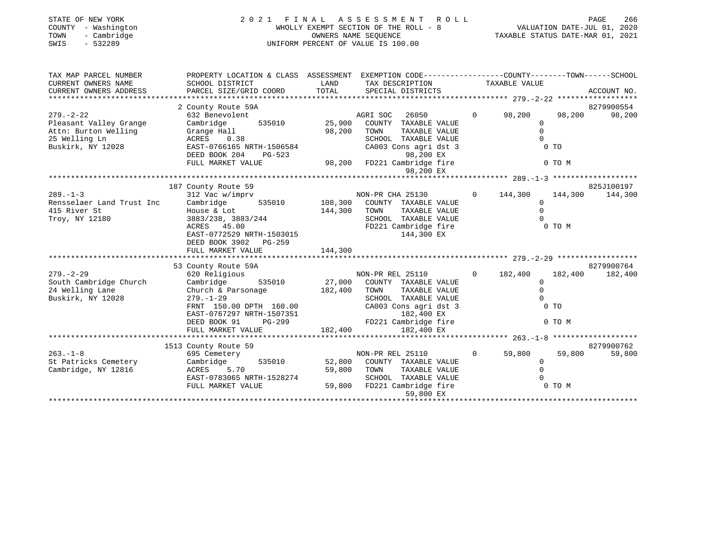| STATE OF NEW YORK<br>COUNTY - Washington<br>- Cambridge<br>TOWN<br>SWIS<br>$-532289$ | 2021 FINAL<br>WHOLLY EXEMPT SECTION OF THE ROLL - 8<br>UNIFORM PERCENT OF VALUE IS 100.00                         | ROLL           | PAGE<br>266<br>rAGE 200<br>2020, VALUATION DATE-JUL<br>2021, TAXABLE STATUS DATE-MAR 01 |                |                          |         |             |
|--------------------------------------------------------------------------------------|-------------------------------------------------------------------------------------------------------------------|----------------|-----------------------------------------------------------------------------------------|----------------|--------------------------|---------|-------------|
| TAX MAP PARCEL NUMBER<br>CURRENT OWNERS NAME                                         | PROPERTY LOCATION & CLASS ASSESSMENT EXEMPTION CODE---------------COUNTY-------TOWN-----SCHOOL<br>SCHOOL DISTRICT | LAND           |                                                                                         |                |                          |         |             |
| CURRENT OWNERS ADDRESS                                                               | PARCEL SIZE/GRID COORD                                                                                            | TOTAL          | TAX DESCRIPTION TAXABLE VALUE<br>SPECIAL DISTRICTS                                      |                |                          |         | ACCOUNT NO. |
|                                                                                      | 2 County Route 59A                                                                                                |                |                                                                                         |                |                          |         | 8279900554  |
| $279. - 2 - 22$                                                                      | 632 Benevolent                                                                                                    |                | AGRI SOC<br>26050                                                                       | $\Omega$       | 98,200                   | 98,200  | 98,200      |
| Pleasant Valley Grange                                                               | Cambridge<br>535010                                                                                               | 25,900         | COUNTY TAXABLE VALUE                                                                    |                | $\mathbf{0}$             |         |             |
| Attn: Burton Welling                                                                 | Grange Hall                                                                                                       | 98,200         | TOWN<br>TAXABLE VALUE                                                                   |                | $\Omega$                 |         |             |
| 25 Welling Ln                                                                        | 0.38<br>ACRES                                                                                                     |                | SCHOOL TAXABLE VALUE                                                                    |                | $\Omega$                 |         |             |
| Buskirk, NY 12028                                                                    | EAST-0766165 NRTH-1506584                                                                                         |                | CA003 Cons agri dst 3                                                                   |                | 0 <sub>T</sub>           |         |             |
|                                                                                      | DEED BOOK 204<br>PG-523                                                                                           |                | 98,200 EX                                                                               |                |                          |         |             |
|                                                                                      | FULL MARKET VALUE                                                                                                 |                | 98,200 FD221 Cambridge fire<br>98,200 EX                                                |                |                          | 0 TO M  |             |
|                                                                                      |                                                                                                                   |                |                                                                                         |                |                          |         |             |
|                                                                                      | 187 County Route 59                                                                                               |                |                                                                                         |                |                          |         | 825J100197  |
| $289. -1 - 3$                                                                        | 312 Vac w/imprv                                                                                                   |                | NON-PR CHA 25130                                                                        |                | $0 \t 144,300$           | 144,300 | 144,300     |
| Rensselaer Land Trust Inc                                                            | Cambridge                                                                                                         | 535010 108,300 | COUNTY TAXABLE VALUE                                                                    |                | $\Omega$                 |         |             |
| 415 River St                                                                         | House & Lot                                                                                                       | 144,300        | TAXABLE VALUE<br>TOWN                                                                   |                | $\Omega$                 |         |             |
| Troy, NY 12180                                                                       | 3883/238, 3883/244                                                                                                |                | SCHOOL TAXABLE VALUE                                                                    |                |                          |         |             |
|                                                                                      | ACRES 45.00                                                                                                       |                | FD221 Cambridge fire                                                                    |                |                          | 0 TO M  |             |
|                                                                                      | EAST-0772529 NRTH-1503015                                                                                         |                | 144,300 EX                                                                              |                |                          |         |             |
|                                                                                      | DEED BOOK 3902 PG-259                                                                                             |                |                                                                                         |                |                          |         |             |
|                                                                                      | FULL MARKET VALUE                                                                                                 | 144,300        |                                                                                         |                |                          |         |             |
|                                                                                      |                                                                                                                   |                |                                                                                         |                |                          |         |             |
|                                                                                      | 53 County Route 59A                                                                                               |                |                                                                                         |                |                          |         | 8279900764  |
| $279. - 2 - 29$                                                                      | 620 Religious                                                                                                     | NC<br>27,000   | NON-PR REL 25110                                                                        | $\overline{0}$ | 182,400                  | 182,400 | 182,400     |
| South Cambridge Church                                                               | 535010<br>Cambridge                                                                                               |                | COUNTY TAXABLE VALUE                                                                    |                | $\mathbf 0$              |         |             |
| 24 Welling Lane                                                                      | Church & Parsonage                                                                                                | 182,400        | TAXABLE VALUE<br>TOWN                                                                   |                | $\Omega$                 |         |             |
| Buskirk, NY 12028                                                                    | $279. - 1 - 29$                                                                                                   |                | SCHOOL TAXABLE VALUE                                                                    |                |                          |         |             |
|                                                                                      | FRNT 150.00 DPTH 160.00                                                                                           |                | CA003 Cons agri dst 3                                                                   |                | 0 <sub>T</sub>           |         |             |
|                                                                                      | EAST-0767297 NRTH-1507351                                                                                         |                | 182,400 EX                                                                              |                |                          |         |             |
|                                                                                      | DEED BOOK 91<br>PG-299                                                                                            |                | FD221 Cambridge fire                                                                    |                |                          | 0 TO M  |             |
|                                                                                      | FULL MARKET VALUE                                                                                                 | 182,400        | 182,400 EX                                                                              |                |                          |         |             |
|                                                                                      |                                                                                                                   |                |                                                                                         |                |                          |         |             |
|                                                                                      | 1513 County Route 59                                                                                              |                |                                                                                         |                |                          |         | 8279900762  |
| $263. - 1 - 8$                                                                       | 695 Cemetery                                                                                                      |                | NON-PR REL 25110                                                                        | $\mathbf{0}$   | 59,800                   | 59,800  | 59,800      |
| St Patricks Cemetery<br>Cambridge, NY 12816                                          | 535010<br>Cambridge                                                                                               | 52,800         | COUNTY TAXABLE VALUE<br>TOWN<br>TAXABLE VALUE                                           |                | $\mathbf{0}$<br>$\Omega$ |         |             |
|                                                                                      | ACRES<br>5.70<br>EAST-0783065 NRTH-1528274                                                                        | 59,800         | SCHOOL TAXABLE VALUE                                                                    |                |                          |         |             |
|                                                                                      | FULL MARKET VALUE                                                                                                 |                | 59,800 FD221 Cambridge fire                                                             |                |                          | 0 TO M  |             |
|                                                                                      |                                                                                                                   |                | 59,800 EX                                                                               |                |                          |         |             |
|                                                                                      |                                                                                                                   |                |                                                                                         |                |                          |         |             |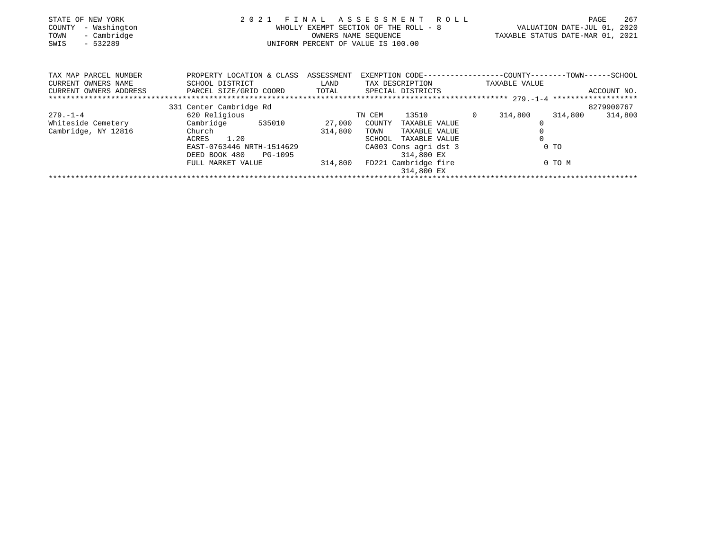| STATE OF NEW YORK<br>- Washington<br>COUNTY<br>- Cambridge<br>TOWN<br>- 532289<br>SWIS | 2021                                                              | FINAL   | A S S E S S M E N T R O L L<br>WHOLLY EXEMPT SECTION OF THE ROLL - 8<br>OWNERS NAME SEOUENCE<br>UNIFORM PERCENT OF VALUE IS 100.00 |                                                             | 267<br>PAGE<br>VALUATION DATE-JUL 01, 2020<br>TAXABLE STATUS DATE-MAR 01, 2021 |
|----------------------------------------------------------------------------------------|-------------------------------------------------------------------|---------|------------------------------------------------------------------------------------------------------------------------------------|-------------------------------------------------------------|--------------------------------------------------------------------------------|
| TAX MAP PARCEL NUMBER                                                                  | PROPERTY LOCATION & CLASS ASSESSMENT                              |         |                                                                                                                                    | EXEMPTION CODE----------------COUNTY-------TOWN------SCHOOL |                                                                                |
| CURRENT OWNERS NAME<br>CURRENT OWNERS ADDRESS                                          | SCHOOL DISTRICT<br>PARCEL SIZE/GRID COORD TOTAL SPECIAL DISTRICTS | LAND    | TAX DESCRIPTION                                                                                                                    | TAXABLE VALUE                                               | ACCOUNT NO.                                                                    |
|                                                                                        |                                                                   |         |                                                                                                                                    |                                                             |                                                                                |
|                                                                                        | 331 Center Cambridge Rd                                           |         |                                                                                                                                    |                                                             | 8279900767                                                                     |
| $279. - 1 - 4$                                                                         | 620 Religious                                                     |         | TN CEM                                                                                                                             | 13510 0 314,800                                             | 314,800<br>314,800                                                             |
| Whiteside Cemetery                                                                     | Cambridge 535010                                                  |         | 27,000 COUNTY<br>TAXABLE VALUE                                                                                                     |                                                             |                                                                                |
| Cambridge, NY 12816                                                                    | Church                                                            | 314,800 | TOWN<br>TAXABLE VALUE                                                                                                              |                                                             |                                                                                |
|                                                                                        | ACRES 1.20                                                        |         | SCHOOL<br>TAXABLE VALUE                                                                                                            |                                                             |                                                                                |
|                                                                                        | EAST-0763446 NRTH-1514629                                         |         | CA003 Cons agri dst 3                                                                                                              | $0$ TO                                                      |                                                                                |
|                                                                                        | DEED BOOK 480<br>PG-1095                                          |         | 314,800 EX                                                                                                                         |                                                             |                                                                                |
|                                                                                        | FULL MARKET VALUE                                                 | 314,800 | FD221 Cambridge fire                                                                                                               | 0 TO M                                                      |                                                                                |
|                                                                                        |                                                                   |         | 314,800 EX                                                                                                                         |                                                             |                                                                                |
|                                                                                        |                                                                   |         |                                                                                                                                    |                                                             |                                                                                |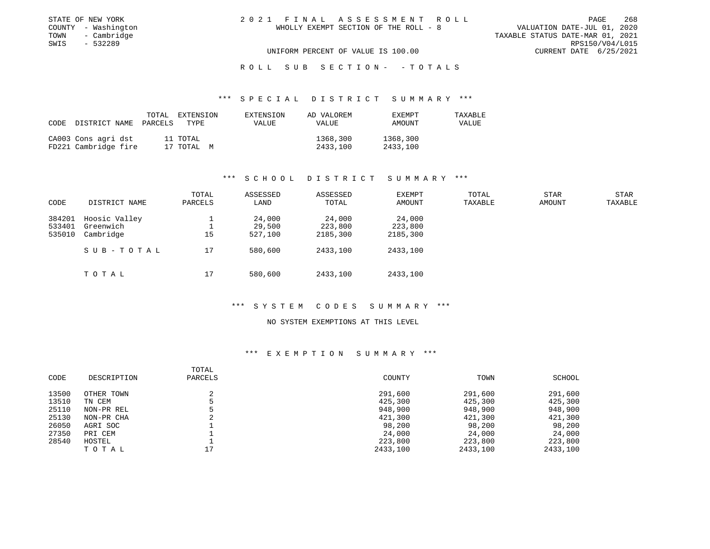| STATE OF NEW YORK   | 2021 FINAL ASSESSMENT ROLL            | 268<br>PAGE                      |
|---------------------|---------------------------------------|----------------------------------|
| COUNTY - Washington | WHOLLY EXEMPT SECTION OF THE ROLL - 8 | VALUATION DATE-JUL 01, 2020      |
| - Cambridge<br>TOWN |                                       | TAXABLE STATUS DATE-MAR 01, 2021 |
| SWIS<br>- 532289    |                                       | RPS150/V04/L015                  |
|                     | UNIFORM PERCENT OF VALUE IS 100.00    | CURRENT DATE 6/25/2021           |

# R O L L S U B S E C T I O N - - T O T A L S

## \*\*\* S P E C I A L D I S T R I C T S U M M A R Y \*\*\*

| CODE | DISTRICT NAME PARCELS                       | TOTAL | EXTENSION<br>TYPE      | EXTENSION<br>VALUE | AD VALOREM<br><b>VALUE</b> | <b>EXEMPT</b><br>AMOUNT | TAXABLE<br>VALUE |
|------|---------------------------------------------|-------|------------------------|--------------------|----------------------------|-------------------------|------------------|
|      | CA003 Cons agri dst<br>FD221 Cambridge fire |       | 11 TOTAL<br>17 TOTAL M |                    | 1368,300<br>2433,100       | 1368,300<br>2433,100    |                  |

## \*\*\* S C H O O L D I S T R I C T S U M M A R Y \*\*\*

| CODE   | DISTRICT NAME | TOTAL<br>PARCELS | ASSESSED<br>LAND | ASSESSED<br>TOTAL | EXEMPT<br>AMOUNT | TOTAL<br>TAXABLE | <b>STAR</b><br>AMOUNT | <b>STAR</b><br>TAXABLE |
|--------|---------------|------------------|------------------|-------------------|------------------|------------------|-----------------------|------------------------|
| 384201 | Hoosic Valley |                  | 24,000           | 24,000            | 24,000           |                  |                       |                        |
| 533401 | Greenwich     |                  | 29,500           | 223,800           | 223,800          |                  |                       |                        |
| 535010 | Cambridge     | 15               | 527,100          | 2185,300          | 2185,300         |                  |                       |                        |
|        | SUB-TOTAL     | 17               | 580,600          | 2433,100          | 2433,100         |                  |                       |                        |
|        | TOTAL         | 17               | 580,600          | 2433,100          | 2433,100         |                  |                       |                        |

#### \*\*\* S Y S T E M C O D E S S U M M A R Y \*\*\*

#### NO SYSTEM EXEMPTIONS AT THIS LEVEL

|       |             | TOTAL   |          |          |          |
|-------|-------------|---------|----------|----------|----------|
| CODE  | DESCRIPTION | PARCELS | COUNTY   | TOWN     | SCHOOL   |
| 13500 | OTHER TOWN  |         | 291,600  | 291,600  | 291,600  |
| 13510 | TN CEM      |         | 425,300  | 425,300  | 425,300  |
| 25110 | NON-PR REL  |         | 948,900  | 948,900  | 948,900  |
| 25130 | NON-PR CHA  |         | 421,300  | 421,300  | 421,300  |
| 26050 | AGRI SOC    |         | 98,200   | 98,200   | 98,200   |
| 27350 | PRI CEM     |         | 24,000   | 24,000   | 24,000   |
| 28540 | HOSTEL      |         | 223,800  | 223,800  | 223,800  |
|       | TOTAL       | 17      | 2433,100 | 2433,100 | 2433,100 |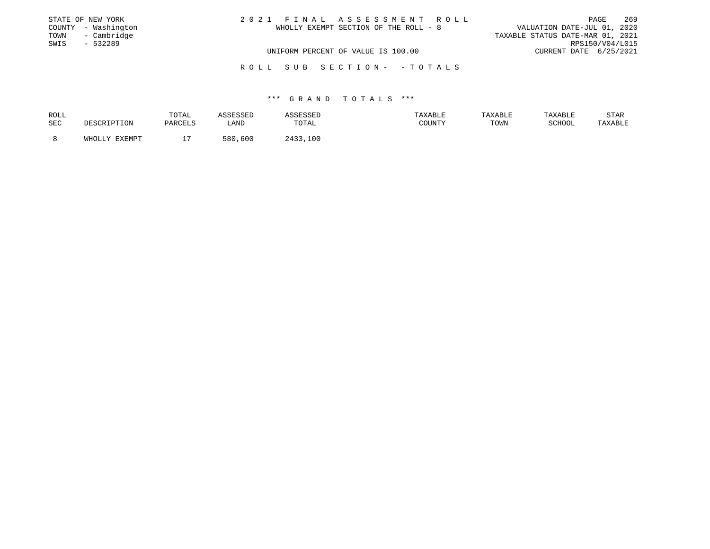|      | STATE OF NEW YORK   | 2021 FINAL ASSESSMENT ROLL            | PAGE                             | 269 |
|------|---------------------|---------------------------------------|----------------------------------|-----|
|      | COUNTY - Washington | WHOLLY EXEMPT SECTION OF THE ROLL - 8 | VALUATION DATE-JUL 01, 2020      |     |
| TOWN | - Cambridge         |                                       | TAXABLE STATUS DATE-MAR 01, 2021 |     |
| SWIS | $-532289$           |                                       | RPS150/V04/L015                  |     |
|      |                     | UNIFORM PERCENT OF VALUE IS 100.00    | CURRENT DATE 6/25/2021           |     |
|      |                     | ROLL SUB SECTION- -TOTALS             |                                  |     |

| ROLL |                    | TOTAL   | <i><b>SSESSED</b></i> | 1 تا 20     | TAXABLE | TAXABLE | TAXABLE | STAR    |
|------|--------------------|---------|-----------------------|-------------|---------|---------|---------|---------|
| SEC  | <b>DESCRIPTION</b> | PARCELS | LAND                  | TOTAL       | COUNTY  | TOWN    | SCHOOL  | TAXABLE |
|      | WHOLLY EXEMPT      |         | ,600<br>580           | つA33<br>100 |         |         |         |         |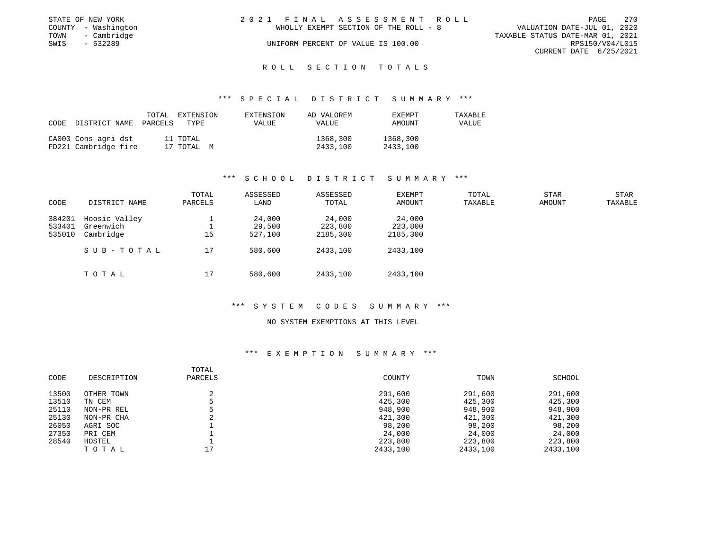|      | STATE OF NEW YORK   | 2021 FINAL ASSESSMENT ROLL            | - 270<br>PAGE                    |
|------|---------------------|---------------------------------------|----------------------------------|
|      | COUNTY - Washington | WHOLLY EXEMPT SECTION OF THE ROLL - 8 | VALUATION DATE-JUL 01, 2020      |
| TOWN | - Cambridge         |                                       | TAXABLE STATUS DATE-MAR 01, 2021 |
| SWIS | $-532289$           | UNIFORM PERCENT OF VALUE IS 100.00    | RPS150/V04/L015                  |
|      |                     |                                       | CURRENT DATE 6/25/2021           |
|      |                     |                                       |                                  |

## R O L L S E C T I O N T O T A L S

## \*\*\* S P E C I A L D I S T R I C T S U M M A R Y \*\*\*

| CODE | DISTRICT NAME PARCELS                       | TOTAL | EXTENSION<br>TYPE      | EXTENSION<br><b>VALUE</b> | AD VALOREM<br>VALUE  | <b>EXEMPT</b><br>AMOUNT | TAXABLE<br>VALUE |
|------|---------------------------------------------|-------|------------------------|---------------------------|----------------------|-------------------------|------------------|
|      | CA003 Cons agri dst<br>FD221 Cambridge fire |       | 11 TOTAL<br>17 TOTAL M |                           | 1368,300<br>2433,100 | 1368,300<br>2433,100    |                  |

## \*\*\* S C H O O L D I S T R I C T S U M M A R Y \*\*\*

| CODE   | DISTRICT NAME | TOTAL<br>PARCELS | ASSESSED<br>LAND | ASSESSED<br>TOTAL | EXEMPT<br>AMOUNT | TOTAL<br>TAXABLE | <b>STAR</b><br>AMOUNT | <b>STAR</b><br>TAXABLE |
|--------|---------------|------------------|------------------|-------------------|------------------|------------------|-----------------------|------------------------|
| 384201 | Hoosic Valley |                  | 24,000           | 24,000            | 24,000           |                  |                       |                        |
| 533401 | Greenwich     |                  | 29,500           | 223,800           | 223,800          |                  |                       |                        |
| 535010 | Cambridge     | 15               | 527,100          | 2185,300          | 2185,300         |                  |                       |                        |
|        | SUB-TOTAL     | 17               | 580,600          | 2433,100          | 2433,100         |                  |                       |                        |
|        | TOTAL         | 17               | 580,600          | 2433,100          | 2433,100         |                  |                       |                        |

## \*\*\* S Y S T E M C O D E S S U M M A R Y \*\*\*

#### NO SYSTEM EXEMPTIONS AT THIS LEVEL

|       |             | TOTAL   |          |          |          |
|-------|-------------|---------|----------|----------|----------|
| CODE  | DESCRIPTION | PARCELS | COUNTY   | TOWN     | SCHOOL   |
| 13500 | OTHER TOWN  |         | 291,600  | 291,600  | 291,600  |
| 13510 | TN CEM      |         | 425,300  | 425,300  | 425,300  |
| 25110 | NON-PR REL  |         | 948,900  | 948,900  | 948,900  |
| 25130 | NON-PR CHA  |         | 421,300  | 421,300  | 421,300  |
| 26050 | AGRI SOC    |         | 98,200   | 98,200   | 98,200   |
| 27350 | PRI CEM     |         | 24,000   | 24,000   | 24,000   |
| 28540 | HOSTEL      |         | 223,800  | 223,800  | 223,800  |
|       | TOTAL       | חי      | 2433,100 | 2433,100 | 2433,100 |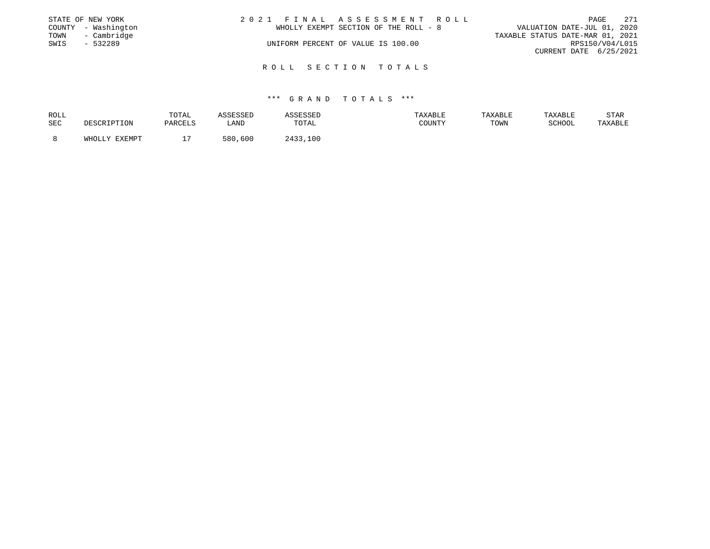|      | STATE OF NEW YORK   | 2021 FINAL ASSESSMENT ROLL            | PAGE                             | 271 |
|------|---------------------|---------------------------------------|----------------------------------|-----|
|      | COUNTY - Washington | WHOLLY EXEMPT SECTION OF THE ROLL - 8 | VALUATION DATE-JUL 01, 2020      |     |
| TOWN | - Cambridge         |                                       | TAXABLE STATUS DATE-MAR 01, 2021 |     |
| SWIS | $-532289$           | UNIFORM PERCENT OF VALUE IS 100.00    | RPS150/V04/L015                  |     |
|      |                     |                                       | CURRENT DATE 6/25/2021           |     |
|      |                     | ROLL SECTION TOTALS                   |                                  |     |

| ROLL |             | TOTAL   | ASSESSED | ASSESSEI | TAXABLE | TAXABLE | TAXABLE       | STAR    |
|------|-------------|---------|----------|----------|---------|---------|---------------|---------|
| SEC  | DESCRIPTION | PARCELS | LAND     | TOTAL    | COUNTY  | TOWN    | <b>RCHOOL</b> | TAXABLE |
|      | FYFMDT      |         |          | 2433     |         |         |               |         |
|      | Y.T.TOHW    |         | 580,600  | ,100     |         |         |               |         |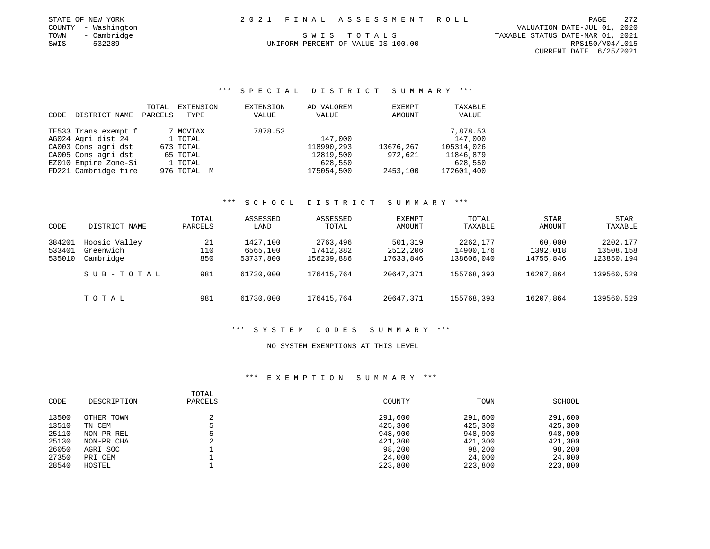| STATE OF NEW YORK | 2021 FINAL ASSESSMENT ROLL | PAGE | $\cap$ |
|-------------------|----------------------------|------|--------|
|                   |                            |      |        |

 COUNTY - Washington VALUATION DATE-JUL 01, 2020 TOWN - Cambridge SWIS TO TALS STORE STATUS DATE-MAR 01, 2021<br>SWIS - 532289 SWIS - 532289 UNIFORM PERCENT OF VALUE IS 100.00 CURRENT DATE 6/25/2021

# UNIFORM PERCENT OF VALUE IS 100.00

\*\*\* S P E C I A L D I S T R I C T S U M M A R Y \*\*\*

|      |                      | TOTAL   | EXTENSION   | EXTENSION | AD VALOREM | EXEMPT    | TAXABLE    |
|------|----------------------|---------|-------------|-----------|------------|-----------|------------|
| CODE | DISTRICT NAME        | PARCELS | TYPE        | VALUE     | VALUE      | AMOUNT    | VALUE      |
|      | TE533 Trans exempt f |         | 7 MOVTAX    | 7878.53   |            |           | 7,878.53   |
|      | AG024 Agri dist 24   |         | 1 TOTAL     |           | 147,000    |           | 147,000    |
|      | CA003 Cons agri dst  |         | 673 TOTAL   |           | 118990,293 | 13676,267 | 105314,026 |
|      | CA005 Cons agri dst  |         | 65 TOTAL    |           | 12819,500  | 972,621   | 11846,879  |
|      | EZ010 Empire Zone-Si |         | 1 TOTAL     |           | 628,550    |           | 628,550    |
|      | FD221 Cambridge fire |         | 976 TOTAL M |           | 175054,500 | 2453,100  | 172601,400 |

# \*\*\* S C H O O L D I S T R I C T S U M M A R Y \*\*\*

| CODE                       | DISTRICT NAME                           | TOTAL<br>PARCELS | ASSESSED<br>LAND                  | ASSESSED<br>TOTAL                   | <b>EXEMPT</b><br>AMOUNT          | TOTAL<br>TAXABLE                    | STAR<br>AMOUNT                  | STAR<br>TAXABLE                     |
|----------------------------|-----------------------------------------|------------------|-----------------------------------|-------------------------------------|----------------------------------|-------------------------------------|---------------------------------|-------------------------------------|
| 384201<br>533401<br>535010 | Hoosic Valley<br>Greenwich<br>Cambridge | 21<br>110<br>850 | 1427,100<br>6565,100<br>53737,800 | 2763,496<br>17412,382<br>156239,886 | 501,319<br>2512,206<br>17633,846 | 2262,177<br>14900,176<br>138606,040 | 60,000<br>1392,018<br>14755,846 | 2202,177<br>13508,158<br>123850,194 |
|                            | SUB-TOTAL                               | 981              | 61730,000                         | 176415,764                          | 20647,371                        | 155768,393                          | 16207,864                       | 139560,529                          |
|                            | TOTAL                                   | 981              | 61730,000                         | 176415,764                          | 20647,371                        | 155768,393                          | 16207,864                       | 139560,529                          |

## \*\*\* S Y S T E M C O D E S S U M M A R Y \*\*\*

# NO SYSTEM EXEMPTIONS AT THIS LEVEL

| CODE  | DESCRIPTION | TOTAL<br>PARCELS | COUNTY  | TOWN    | SCHOOL  |
|-------|-------------|------------------|---------|---------|---------|
| 13500 | OTHER TOWN  |                  | 291,600 | 291,600 | 291,600 |
| 13510 | TN CEM      |                  | 425,300 | 425,300 | 425,300 |
| 25110 | NON-PR REL  |                  | 948,900 | 948,900 | 948,900 |
| 25130 | NON-PR CHA  |                  | 421,300 | 421,300 | 421,300 |
| 26050 | AGRI SOC    |                  | 98,200  | 98,200  | 98,200  |
| 27350 | PRI CEM     |                  | 24,000  | 24,000  | 24,000  |
| 28540 | HOSTEL      |                  | 223,800 | 223,800 | 223,800 |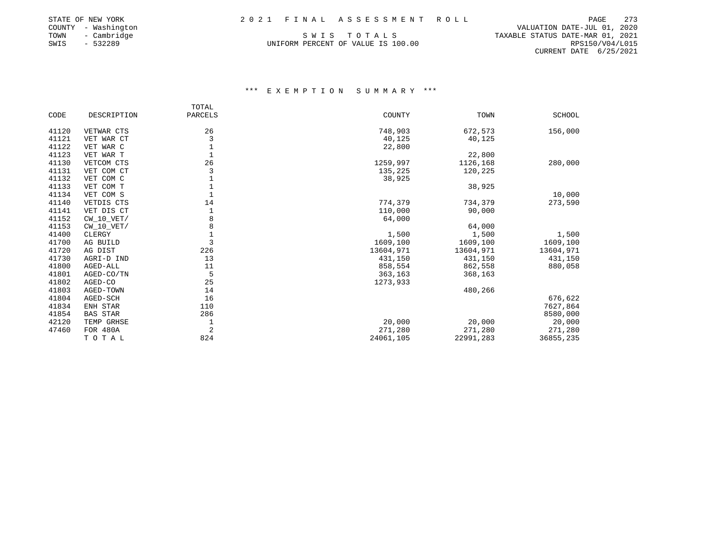|      | STATE OF NEW YORK   | 2021 FINAL ASSESSMENT ROLL         | PAGE                       |
|------|---------------------|------------------------------------|----------------------------|
|      | COUNTY - Washington |                                    | VALUATION DATE-JUL 01      |
| TOWN | - Cambridge         | SWIS TOTALS                        | TAXABLE STATUS DATE-MAR 01 |
| SWIS | - 532289            | UNIFORM PERCENT OF VALUE IS 100.00 | RPS150/V0                  |

VALUATION DATE-JUL 01, 2020<br>COUNTY SWIS TO TALS TAXABLE STATUS DATE-MAR 01, 2021 TOWN - Cambridge S W I S T O T A L S TAXABLE STATUS DATE-MAR 01, 2021 CURRENT DATE 6/25/2021

|       |                 | TOTAL          |           |           |               |
|-------|-----------------|----------------|-----------|-----------|---------------|
| CODE  | DESCRIPTION     | PARCELS        | COUNTY    | TOWN      | <b>SCHOOL</b> |
| 41120 | VETWAR CTS      | 26             | 748,903   | 672,573   | 156,000       |
| 41121 | VET WAR CT      | 3              | 40,125    | 40,125    |               |
| 41122 | VET WAR C       |                | 22,800    |           |               |
| 41123 | VET WAR T       |                |           | 22,800    |               |
| 41130 | VETCOM CTS      | 26             | 1259,997  | 1126,168  | 280,000       |
| 41131 | VET COM CT      |                | 135,225   | 120,225   |               |
| 41132 | VET COM C       |                | 38,925    |           |               |
| 41133 | VET COM T       |                |           | 38,925    |               |
| 41134 | VET COM S       |                |           |           | 10,000        |
| 41140 | VETDIS CTS      | 14             | 774,379   | 734,379   | 273,590       |
| 41141 | VET DIS CT      |                | 110,000   | 90,000    |               |
| 41152 | $CW_10_VET/$    |                | 64,000    |           |               |
| 41153 | $CW_10_VET/$    | 8              |           | 64,000    |               |
| 41400 | CLERGY          | $\mathbf{1}$   | 1,500     | 1,500     | 1,500         |
| 41700 | AG BUILD        | 3              | 1609,100  | 1609,100  | 1609,100      |
| 41720 | AG DIST         | 226            | 13604,971 | 13604,971 | 13604,971     |
| 41730 | AGRI-D IND      | 13             | 431,150   | 431,150   | 431,150       |
| 41800 | AGED-ALL        | 11             | 858,554   | 862,558   | 880,058       |
| 41801 | AGED-CO/TN      | 5              | 363,163   | 368,163   |               |
| 41802 | AGED-CO         | 25             | 1273,933  |           |               |
| 41803 | AGED-TOWN       | 14             |           | 480,266   |               |
| 41804 | AGED-SCH        | 16             |           |           | 676,622       |
| 41834 | ENH STAR        | 110            |           |           | 7627,864      |
| 41854 | <b>BAS STAR</b> | 286            |           |           | 8580,000      |
| 42120 | TEMP GRHSE      | 1              | 20,000    | 20,000    | 20,000        |
| 47460 | <b>FOR 480A</b> | $\overline{2}$ | 271,280   | 271,280   | 271,280       |
|       | TOTAL           | 824            | 24061,105 | 22991,283 | 36855,235     |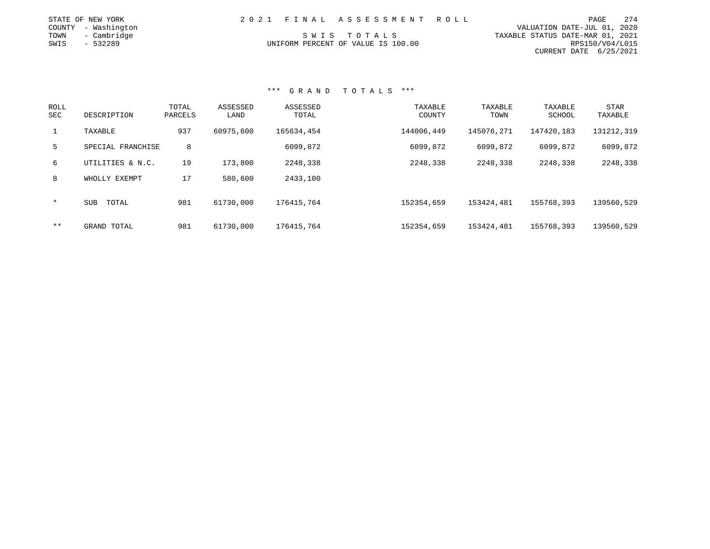| STATE OF NEW YORK   | 2021 FINAL ASSESSMENT ROLL         | PAGE                             | 274 |
|---------------------|------------------------------------|----------------------------------|-----|
| COUNTY - Washington |                                    | VALUATION DATE-JUL 01, 2020      |     |
| TOWN<br>- Cambridge | SWIS TOTALS                        | TAXABLE STATUS DATE-MAR 01, 2021 |     |
| SWIS<br>- 532289    | UNIFORM PERCENT OF VALUE IS 100.00 | RPS150/V04/L015                  |     |
|                     |                                    | CURRENT DATE 6/25/2021           |     |

| <b>ROLL</b><br><b>SEC</b> | DESCRIPTION         | TOTAL<br>PARCELS | ASSESSED<br>LAND | ASSESSED<br>TOTAL | TAXABLE<br>COUNTY | TAXABLE<br>TOWN | TAXABLE<br>SCHOOL | <b>STAR</b><br>TAXABLE |
|---------------------------|---------------------|------------------|------------------|-------------------|-------------------|-----------------|-------------------|------------------------|
| $\mathbf{1}$              | TAXABLE             | 937              | 60975,600        | 165634,454        | 144006,449        | 145076,271      | 147420,183        | 131212,319             |
| 5                         | SPECIAL FRANCHISE   | 8                |                  | 6099,872          | 6099,872          | 6099,872        | 6099,872          | 6099,872               |
| 6                         | UTILITIES & N.C.    | 19               | 173,800          | 2248,338          | 2248,338          | 2248,338        | 2248,338          | 2248,338               |
| 8                         | WHOLLY EXEMPT       | 17               | 580,600          | 2433,100          |                   |                 |                   |                        |
| $\star$                   | <b>SUB</b><br>TOTAL | 981              | 61730,000        | 176415,764        | 152354,659        | 153424,481      | 155768,393        | 139560,529             |
| $* *$                     | GRAND TOTAL         | 981              | 61730,000        | 176415,764        | 152354,659        | 153424,481      | 155768,393        | 139560,529             |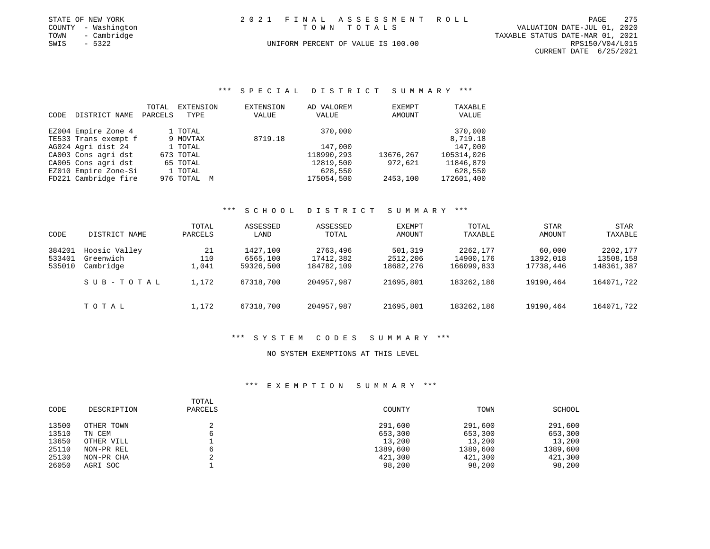| STATE OF NEW YORK |                     |  | 2021 FINAL ASSESSMENT ROLL         |                                  | PAGE            | 275 |
|-------------------|---------------------|--|------------------------------------|----------------------------------|-----------------|-----|
|                   | COUNTY - Washington |  | TOWN TOTALS                        | VALUATION DATE-JUL 01, 2020      |                 |     |
| TOWN              | - Cambridge         |  |                                    | TAXABLE STATUS DATE-MAR 01, 2021 |                 |     |
| SWIS              | $-5322$             |  | UNIFORM PERCENT OF VALUE IS 100.00 |                                  | RPS150/V04/L015 |     |
|                   |                     |  |                                    | CURRENT DATE 6/25/2021           |                 |     |

\*\*\* S P E C I A L D I S T R I C T S U M M A R Y \*\*\*

| CODE | DISTRICT NAME        | TOTAL<br>PARCELS | EXTENSION<br>TYPE | EXTENSION<br>VALUE | AD VALOREM<br>VALUE | EXEMPT<br>AMOUNT | TAXABLE<br>VALUE |
|------|----------------------|------------------|-------------------|--------------------|---------------------|------------------|------------------|
|      | EZ004 Empire Zone 4  |                  | 1 TOTAL           |                    | 370,000             |                  | 370,000          |
|      | TE533 Trans exempt f |                  | 9 MOVTAX          | 8719.18            |                     |                  | 8,719.18         |
|      | AG024 Agri dist 24   |                  | 1 TOTAL           |                    | 147,000             |                  | 147,000          |
|      | CA003 Cons agri dst  |                  | 673 TOTAL         |                    | 118990,293          | 13676,267        | 105314,026       |
|      | CA005 Cons agri dst  |                  | 65 TOTAL          |                    | 12819,500           | 972,621          | 11846,879        |
|      | EZ010 Empire Zone-Si |                  | 1 TOTAL           |                    | 628,550             |                  | 628,550          |
|      | FD221 Cambridge fire |                  | 976 TOTAL M       |                    | 175054,500          | 2453,100         | 172601,400       |

## \*\*\* S C H O O L D I S T R I C T S U M M A R Y \*\*\*

| CODE                       | DISTRICT NAME                           | TOTAL<br>PARCELS   | ASSESSED<br>LAND                  | ASSESSED<br>TOTAL                   | EXEMPT<br>AMOUNT                 | TOTAL<br>TAXABLE                    | <b>STAR</b><br>AMOUNT           | STAR<br>TAXABLE                     |
|----------------------------|-----------------------------------------|--------------------|-----------------------------------|-------------------------------------|----------------------------------|-------------------------------------|---------------------------------|-------------------------------------|
| 384201<br>533401<br>535010 | Hoosic Valley<br>Greenwich<br>Cambridge | 21<br>110<br>1,041 | 1427,100<br>6565,100<br>59326,500 | 2763,496<br>17412,382<br>184782,109 | 501,319<br>2512,206<br>18682,276 | 2262,177<br>14900,176<br>166099,833 | 60,000<br>1392,018<br>17738,446 | 2202,177<br>13508,158<br>148361,387 |
|                            | SUB-TOTAL                               | 1,172              | 67318,700                         | 204957,987                          | 21695,801                        | 183262,186                          | 19190,464                       | 164071,722                          |
|                            | тотаь                                   | 1,172              | 67318,700                         | 204957.987                          | 21695,801                        | 183262,186                          | 19190,464                       | 164071,722                          |

# \*\*\* S Y S T E M C O D E S S U M M A R Y \*\*\*

# NO SYSTEM EXEMPTIONS AT THIS LEVEL

| CODE  | DESCRIPTION | TOTAL<br>PARCELS | COUNTY   | TOWN     | SCHOOL   |
|-------|-------------|------------------|----------|----------|----------|
| 13500 | OTHER TOWN  |                  | 291,600  | 291,600  | 291,600  |
| 13510 | TN CEM      |                  | 653,300  | 653,300  | 653,300  |
| 13650 | OTHER VILL  |                  | 13,200   | 13,200   | 13,200   |
| 25110 | NON-PR REL  |                  | 1389,600 | 1389,600 | 1389,600 |
| 25130 | NON-PR CHA  |                  | 421,300  | 421,300  | 421,300  |
| 26050 | AGRI SOC    |                  | 98,200   | 98,200   | 98,200   |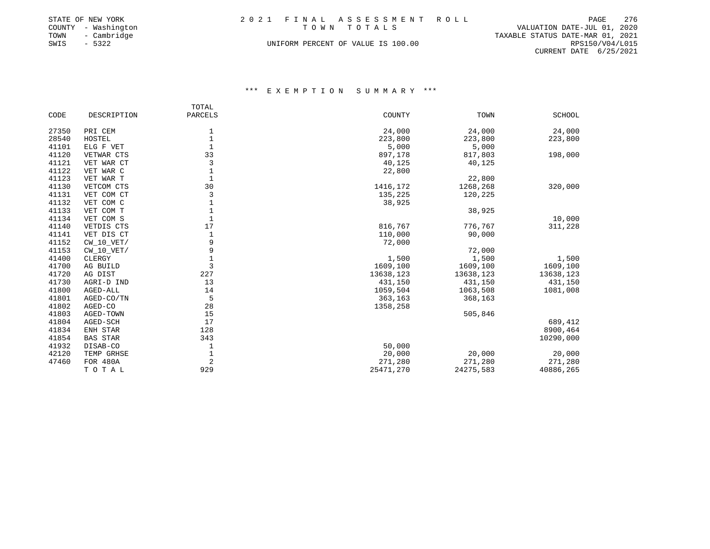|      | STATE OF NEW YORK   | 2021 FINAL ASSESSMENT ROLL                 | PAGE            | 276 |
|------|---------------------|--------------------------------------------|-----------------|-----|
|      | COUNTY - Washington | VALUATION DATE-JUL 01, 2020<br>TOWN TOTALS |                 |     |
| TOWN | - Cambridge         | TAXABLE STATUS DATE-MAR 01, 2021           |                 |     |
| SWIS | $-5322$             | UNIFORM PERCENT OF VALUE IS 100.00         | RPS150/V04/L015 |     |
|      |                     |                                            |                 |     |

CURRENT DATE 6/25/2021

|       |                 | TOTAL   |           |           |               |
|-------|-----------------|---------|-----------|-----------|---------------|
| CODE  | DESCRIPTION     | PARCELS | COUNTY    | TOWN      | <b>SCHOOL</b> |
| 27350 | PRI CEM         |         | 24,000    | 24,000    | 24,000        |
| 28540 | HOSTEL          |         | 223,800   | 223,800   | 223,800       |
| 41101 | ELG F VET       |         | 5,000     | 5,000     |               |
| 41120 | VETWAR CTS      | 33      | 897,178   | 817,803   | 198,000       |
| 41121 | VET WAR CT      | 3       | 40,125    | 40,125    |               |
| 41122 | VET WAR C       |         | 22,800    |           |               |
| 41123 | VET WAR T       | 1       |           | 22,800    |               |
| 41130 | VETCOM CTS      | 30      | 1416,172  | 1268,268  | 320,000       |
| 41131 | VET COM CT      | 3       | 135,225   | 120,225   |               |
| 41132 | VET COM C       |         | 38,925    |           |               |
| 41133 | VET COM T       |         |           | 38,925    |               |
| 41134 | VET COM S       |         |           |           | 10,000        |
| 41140 | VETDIS CTS      | 17      | 816,767   | 776,767   | 311,228       |
| 41141 | VET DIS CT      |         | 110,000   | 90,000    |               |
| 41152 | $CW_10_VET/$    | 9       | 72,000    |           |               |
| 41153 | $CW_10_VET/$    | 9       |           | 72,000    |               |
| 41400 | CLERGY          |         | 1,500     | 1,500     | 1,500         |
| 41700 | AG BUILD        | 3       | 1609,100  | 1609,100  | 1609,100      |
| 41720 | AG DIST         | 227     | 13638,123 | 13638,123 | 13638,123     |
| 41730 | AGRI-D IND      | 13      | 431,150   | 431,150   | 431,150       |
| 41800 | AGED-ALL        | 14      | 1059,504  | 1063,508  | 1081,008      |
| 41801 | AGED-CO/TN      | 5       | 363,163   | 368,163   |               |
| 41802 | AGED-CO         | 28      | 1358,258  |           |               |
| 41803 | AGED-TOWN       | 15      |           | 505,846   |               |
| 41804 | AGED-SCH        | 17      |           |           | 689,412       |
| 41834 | ENH STAR        | 128     |           |           | 8900,464      |
| 41854 | <b>BAS STAR</b> | 343     |           |           | 10290,000     |
| 41932 | DISAB-CO        |         | 50,000    |           |               |
| 42120 | TEMP GRHSE      |         | 20,000    | 20,000    | 20,000        |
| 47460 | FOR 480A        | 2       | 271,280   | 271,280   | 271,280       |
|       | TOTAL           | 929     | 25471,270 | 24275,583 | 40886,265     |